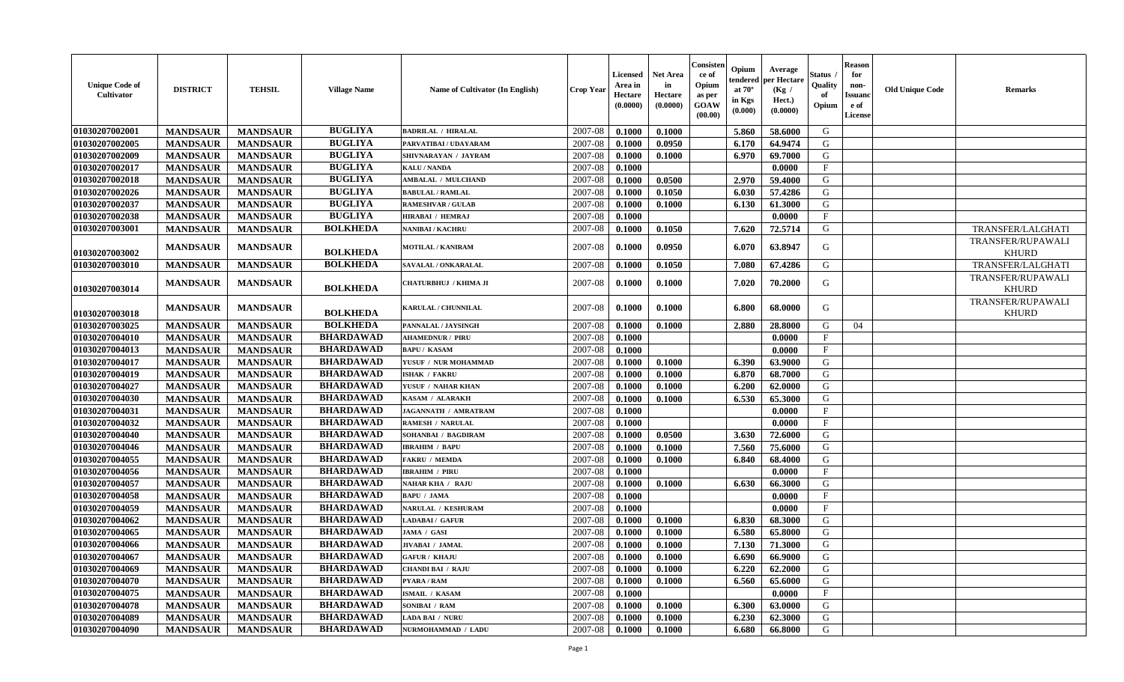| <b>Unique Code of</b><br>Cultivator | <b>DISTRICT</b> | <b>TEHSIL</b>   | <b>Village Name</b> | Name of Cultivator (In English) | <b>Crop Year</b> | <b>Licensed</b><br>Area in<br>Hectare<br>(0.0000) | <b>Net Area</b><br>in<br>Hectare<br>(0.0000) | Consister<br>ce of<br>Opium<br>as per<br>GOAW<br>(00.00) | Opium<br>endered<br>at $70^\circ$<br>in Kgs<br>(0.000) | Average<br>per Hectare<br>(Kg /<br>Hect.)<br>(0.0000) | Status<br>Quality<br>of<br>Opium | <b>Reason</b><br>for<br>non-<br>Issuan<br>e of<br>License | <b>Old Unique Code</b> | <b>Remarks</b>                           |
|-------------------------------------|-----------------|-----------------|---------------------|---------------------------------|------------------|---------------------------------------------------|----------------------------------------------|----------------------------------------------------------|--------------------------------------------------------|-------------------------------------------------------|----------------------------------|-----------------------------------------------------------|------------------------|------------------------------------------|
| 01030207002001                      | <b>MANDSAUR</b> | <b>MANDSAUR</b> | <b>BUGLIYA</b>      | <b>BADRILAL / HIRALAL</b>       | 2007-08          | 0.1000                                            | 0.1000                                       |                                                          | 5.860                                                  | 58.6000                                               | G                                |                                                           |                        |                                          |
| 01030207002005                      | <b>MANDSAUR</b> | <b>MANDSAUR</b> | <b>BUGLIYA</b>      | PARVATIBAI / UDAYARAM           | 2007-08          | 0.1000                                            | 0.0950                                       |                                                          | 6.170                                                  | 64.9474                                               | G                                |                                                           |                        |                                          |
| 01030207002009                      | <b>MANDSAUR</b> | <b>MANDSAUR</b> | <b>BUGLIYA</b>      | SHIVNARAYAN / JAYRAM            | 2007-08          | 0.1000                                            | 0.1000                                       |                                                          | 6.970                                                  | 69.7000                                               | G                                |                                                           |                        |                                          |
| 01030207002017                      | <b>MANDSAUR</b> | <b>MANDSAUR</b> | <b>BUGLIYA</b>      | <b>KALU / NANDA</b>             | 2007-08          | 0.1000                                            |                                              |                                                          |                                                        | 0.0000                                                | $\mathbf{F}$                     |                                                           |                        |                                          |
| 01030207002018                      | <b>MANDSAUR</b> | <b>MANDSAUR</b> | <b>BUGLIYA</b>      | <b>AMBALAL / MULCHAND</b>       | 2007-08          | 0.1000                                            | 0.0500                                       |                                                          | 2.970                                                  | 59.4000                                               | G                                |                                                           |                        |                                          |
| 01030207002026                      | <b>MANDSAUR</b> | <b>MANDSAUR</b> | <b>BUGLIYA</b>      | <b>BABULAL / RAMLAL</b>         | 2007-08          | 0.1000                                            | 0.1050                                       |                                                          | 6.030                                                  | 57.4286                                               | G                                |                                                           |                        |                                          |
| 01030207002037                      | <b>MANDSAUR</b> | <b>MANDSAUR</b> | <b>BUGLIYA</b>      | <b>RAMESHVAR / GULAB</b>        | 2007-08          | 0.1000                                            | 0.1000                                       |                                                          | 6.130                                                  | 61.3000                                               | G                                |                                                           |                        |                                          |
| 01030207002038                      | <b>MANDSAUR</b> | <b>MANDSAUR</b> | <b>BUGLIYA</b>      | <b>HIRABAI / HEMRAJ</b>         | 2007-08          | 0.1000                                            |                                              |                                                          |                                                        | 0.0000                                                | $\mathbf{F}$                     |                                                           |                        |                                          |
| 01030207003001                      | <b>MANDSAUR</b> | <b>MANDSAUR</b> | <b>BOLKHEDA</b>     | NANIBAI / KACHRU                | 2007-08          | 0.1000                                            | 0.1050                                       |                                                          | 7.620                                                  | 72.5714                                               | G                                |                                                           |                        | <b>TRANSFER/LALGHATI</b>                 |
| 01030207003002                      | <b>MANDSAUR</b> | <b>MANDSAUR</b> | <b>BOLKHEDA</b>     | <b>MOTILAL / KANIRAM</b>        | 2007-08          | 0.1000                                            | 0.0950                                       |                                                          | 6.070                                                  | 63.8947                                               | G                                |                                                           |                        | TRANSFER/RUPAWALI<br><b>KHURD</b>        |
| 01030207003010                      | <b>MANDSAUR</b> | <b>MANDSAUR</b> | <b>BOLKHEDA</b>     | SAVALAL / ONKARALAL             | 2007-08          | 0.1000                                            | 0.1050                                       |                                                          | 7.080                                                  | 67.4286                                               | G                                |                                                           |                        | TRANSFER/LALGHATI                        |
| 01030207003014                      | <b>MANDSAUR</b> | <b>MANDSAUR</b> | <b>BOLKHEDA</b>     | CHATURBHUJ / KHIMA JI           | 2007-08          | 0.1000                                            | 0.1000                                       |                                                          | 7.020                                                  | 70.2000                                               | G                                |                                                           |                        | <b>TRANSFER/RUPAWALI</b><br><b>KHURD</b> |
| 01030207003018                      | <b>MANDSAUR</b> | <b>MANDSAUR</b> | <b>BOLKHEDA</b>     | KARULAL / CHUNNILAL             | 2007-08          | 0.1000                                            | 0.1000                                       |                                                          | 6.800                                                  | 68.0000                                               | G                                |                                                           |                        | TRANSFER/RUPAWALI<br><b>KHURD</b>        |
| 01030207003025                      | <b>MANDSAUR</b> | <b>MANDSAUR</b> | <b>BOLKHEDA</b>     | PANNALAL / JAYSINGH             | 2007-08          | 0.1000                                            | 0.1000                                       |                                                          | 2.880                                                  | 28.8000                                               | G                                | 04                                                        |                        |                                          |
| 01030207004010                      | <b>MANDSAUR</b> | <b>MANDSAUR</b> | <b>BHARDAWAD</b>    | <b>AHAMEDNUR / PIRU</b>         | 2007-08          | 0.1000                                            |                                              |                                                          |                                                        | 0.0000                                                | $\mathbf{F}$                     |                                                           |                        |                                          |
| 01030207004013                      | <b>MANDSAUR</b> | <b>MANDSAUR</b> | <b>BHARDAWAD</b>    | <b>BAPU/KASAM</b>               | 2007-08          | 0.1000                                            |                                              |                                                          |                                                        | 0.0000                                                | $\mathbf{F}$                     |                                                           |                        |                                          |
| 01030207004017                      | <b>MANDSAUR</b> | <b>MANDSAUR</b> | <b>BHARDAWAD</b>    | YUSUF / NUR MOHAMMAD            | 2007-08          | 0.1000                                            | 0.1000                                       |                                                          | 6.390                                                  | 63.9000                                               | G                                |                                                           |                        |                                          |
| 01030207004019                      | <b>MANDSAUR</b> | <b>MANDSAUR</b> | <b>BHARDAWAD</b>    | <b>ISHAK / FAKRU</b>            | 2007-08          | 0.1000                                            | 0.1000                                       |                                                          | 6.870                                                  | 68.7000                                               | G                                |                                                           |                        |                                          |
| 01030207004027                      | <b>MANDSAUR</b> | <b>MANDSAUR</b> | <b>BHARDAWAD</b>    | YUSUF / NAHAR KHAN              | 2007-08          | 0.1000                                            | 0.1000                                       |                                                          | 6.200                                                  | 62.0000                                               | G                                |                                                           |                        |                                          |
| 01030207004030                      | <b>MANDSAUR</b> | <b>MANDSAUR</b> | <b>BHARDAWAD</b>    | KASAM / ALARAKH                 | 2007-08          | 0.1000                                            | 0.1000                                       |                                                          | 6.530                                                  | 65.3000                                               | G                                |                                                           |                        |                                          |
| 01030207004031                      | <b>MANDSAUR</b> | <b>MANDSAUR</b> | <b>BHARDAWAD</b>    | JAGANNATH / AMRATRAM            | 2007-08          | 0.1000                                            |                                              |                                                          |                                                        | 0.0000                                                | $\mathbf{F}$                     |                                                           |                        |                                          |
| 01030207004032                      | <b>MANDSAUR</b> | <b>MANDSAUR</b> | <b>BHARDAWAD</b>    | <b>RAMESH / NARULAL</b>         | 2007-08          | 0.1000                                            |                                              |                                                          |                                                        | 0.0000                                                | F                                |                                                           |                        |                                          |
| 01030207004040                      | <b>MANDSAUR</b> | <b>MANDSAUR</b> | <b>BHARDAWAD</b>    | SOHANBAI / BAGDIRAM             | 2007-08          | 0.1000                                            | 0.0500                                       |                                                          | 3.630                                                  | 72.6000                                               | G                                |                                                           |                        |                                          |
| 01030207004046                      | <b>MANDSAUR</b> | <b>MANDSAUR</b> | <b>BHARDAWAD</b>    | <b>IBRAHIM / BAPU</b>           | 2007-08          | 0.1000                                            | 0.1000                                       |                                                          | 7.560                                                  | 75.6000                                               | G                                |                                                           |                        |                                          |
| 01030207004055                      | <b>MANDSAUR</b> | <b>MANDSAUR</b> | <b>BHARDAWAD</b>    | <b>FAKRU / MEMDA</b>            | 2007-08          | 0.1000                                            | 0.1000                                       |                                                          | 6.840                                                  | 68.4000                                               | G                                |                                                           |                        |                                          |
| 01030207004056                      | <b>MANDSAUR</b> | <b>MANDSAUR</b> | <b>BHARDAWAD</b>    | <b>IBRAHIM / PIRU</b>           | 2007-08          | 0.1000                                            |                                              |                                                          |                                                        | 0.0000                                                | $\mathbf{F}$                     |                                                           |                        |                                          |
| 01030207004057                      | <b>MANDSAUR</b> | <b>MANDSAUR</b> | <b>BHARDAWAD</b>    | NAHAR KHA / RAJU                | 2007-08          | 0.1000                                            | 0.1000                                       |                                                          | 6.630                                                  | 66.3000                                               | G                                |                                                           |                        |                                          |
| 01030207004058                      | <b>MANDSAUR</b> | <b>MANDSAUR</b> | <b>BHARDAWAD</b>    | <b>BAPU / JAMA</b>              | 2007-08          | 0.1000                                            |                                              |                                                          |                                                        | 0.0000                                                | $\mathbf{F}$                     |                                                           |                        |                                          |
| 01030207004059                      | <b>MANDSAUR</b> | <b>MANDSAUR</b> | <b>BHARDAWAD</b>    | NARULAL / KESHURAM              | 2007-08          | 0.1000                                            |                                              |                                                          |                                                        | 0.0000                                                | $\mathbf{F}$                     |                                                           |                        |                                          |
| 01030207004062                      | <b>MANDSAUR</b> | <b>MANDSAUR</b> | <b>BHARDAWAD</b>    | <b>ADABAI/ GAFUR</b>            | 2007-08          | 0.1000                                            | 0.1000                                       |                                                          | 6.830                                                  | 68.3000                                               | G                                |                                                           |                        |                                          |
| 01030207004065                      | <b>MANDSAUR</b> | <b>MANDSAUR</b> | <b>BHARDAWAD</b>    | JAMA / GASI                     | 2007-08          | 0.1000                                            | 0.1000                                       |                                                          | 6.580                                                  | 65.8000                                               | G                                |                                                           |                        |                                          |
| 01030207004066                      | <b>MANDSAUR</b> | <b>MANDSAUR</b> | <b>BHARDAWAD</b>    | JIVABAI / JAMAL                 | 2007-08          | 0.1000                                            | 0.1000                                       |                                                          | 7.130                                                  | 71.3000                                               | G                                |                                                           |                        |                                          |
| 01030207004067                      | MANDSAUR        | MANDSAUR        | <b>BHARDAWAD</b>    | <b>GAFUR / KHAJU</b>            | $2007-08$ 0.1000 |                                                   | 0.1000                                       |                                                          |                                                        | 6.690 66.9000                                         | G                                |                                                           |                        |                                          |
| 01030207004069                      | <b>MANDSAUR</b> | <b>MANDSAUR</b> | <b>BHARDAWAD</b>    | <b>CHANDI BAI / RAJU</b>        | 2007-08          | 0.1000                                            | 0.1000                                       |                                                          | 6.220                                                  | 62.2000                                               | G                                |                                                           |                        |                                          |
| 01030207004070                      | <b>MANDSAUR</b> | <b>MANDSAUR</b> | <b>BHARDAWAD</b>    | PYARA / RAM                     | 2007-08          | 0.1000                                            | 0.1000                                       |                                                          | 6.560                                                  | 65.6000                                               | G                                |                                                           |                        |                                          |
| 01030207004075                      | <b>MANDSAUR</b> | <b>MANDSAUR</b> | <b>BHARDAWAD</b>    | <b>ISMAIL / KASAM</b>           | 2007-08          | 0.1000                                            |                                              |                                                          |                                                        | 0.0000                                                | $\mathbf{F}$                     |                                                           |                        |                                          |
| 01030207004078                      | <b>MANDSAUR</b> | <b>MANDSAUR</b> | <b>BHARDAWAD</b>    | SONIBAI / RAM                   | 2007-08          | 0.1000                                            | 0.1000                                       |                                                          | 6.300                                                  | 63.0000                                               | G                                |                                                           |                        |                                          |
| 01030207004089                      | <b>MANDSAUR</b> | <b>MANDSAUR</b> | <b>BHARDAWAD</b>    | <b>LADA BAI / NURU</b>          | 2007-08          | 0.1000                                            | 0.1000                                       |                                                          | 6.230                                                  | 62.3000                                               | G                                |                                                           |                        |                                          |
| 01030207004090                      | <b>MANDSAUR</b> | <b>MANDSAUR</b> | <b>BHARDAWAD</b>    | NURMOHAMMAD / LADU              | 2007-08          | 0.1000                                            | 0.1000                                       |                                                          | 6.680                                                  | 66.8000                                               | G                                |                                                           |                        |                                          |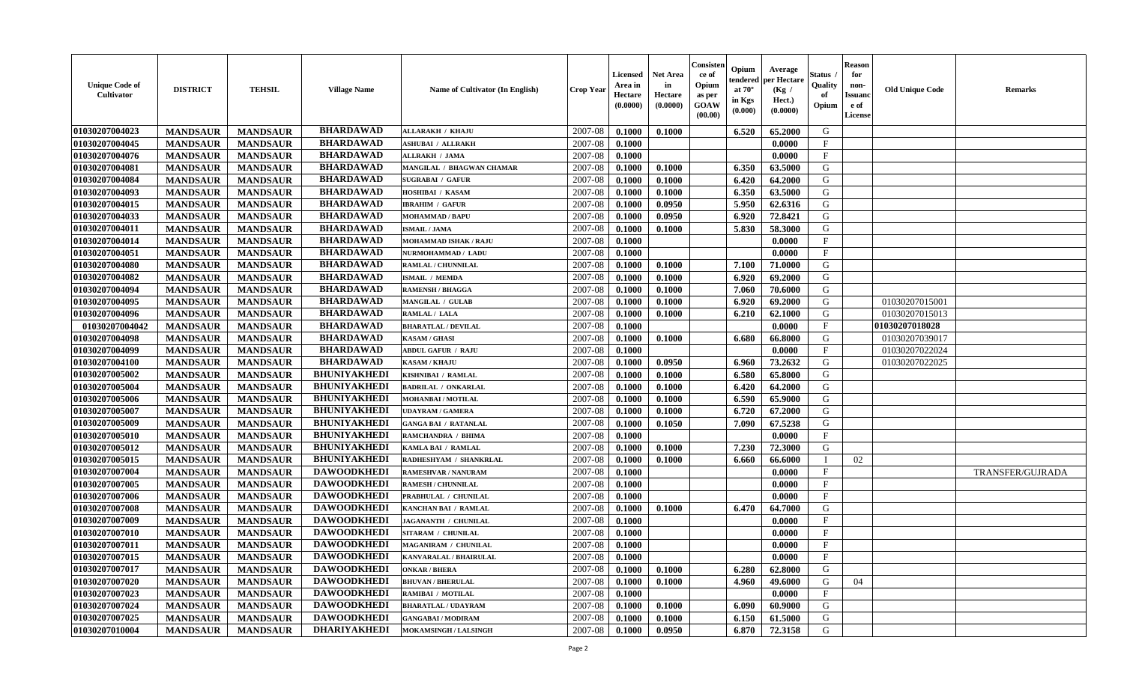| <b>Unique Code of</b><br><b>Cultivator</b> | <b>DISTRICT</b> | <b>TEHSIL</b>   | <b>Village Name</b> | Name of Cultivator (In English) | <b>Crop Year</b> | <b>Licensed</b><br>Area in<br>Hectare<br>(0.0000) | <b>Net Area</b><br>in<br>Hectare<br>(0.0000) | Consisteı<br>ce of<br>Opium<br>as per<br><b>GOAW</b><br>(00.00) | Opium<br>endered<br>at $70^\circ$<br>in Kgs<br>(0.000) | Average<br>per Hectare<br>(Kg /<br>Hect.)<br>(0.0000) | Status<br>Quality<br>of<br>Opium | <b>Reason</b><br>for<br>non-<br>Issuan<br>e of<br>License | <b>Old Unique Code</b> | <b>Remarks</b>   |
|--------------------------------------------|-----------------|-----------------|---------------------|---------------------------------|------------------|---------------------------------------------------|----------------------------------------------|-----------------------------------------------------------------|--------------------------------------------------------|-------------------------------------------------------|----------------------------------|-----------------------------------------------------------|------------------------|------------------|
| 01030207004023                             | <b>MANDSAUR</b> | <b>MANDSAUR</b> | <b>BHARDAWAD</b>    | <b>ALLARAKH / KHAJU</b>         | 2007-08          | 0.1000                                            | 0.1000                                       |                                                                 | 6.520                                                  | 65.2000                                               | G                                |                                                           |                        |                  |
| 01030207004045                             | <b>MANDSAUR</b> | <b>MANDSAUR</b> | <b>BHARDAWAD</b>    | <b>ASHUBAI / ALLRAKH</b>        | 2007-08          | 0.1000                                            |                                              |                                                                 |                                                        | 0.0000                                                | $\mathbf{F}$                     |                                                           |                        |                  |
| 01030207004076                             | <b>MANDSAUR</b> | <b>MANDSAUR</b> | <b>BHARDAWAD</b>    | <b>ALLRAKH / JAMA</b>           | 2007-08          | 0.1000                                            |                                              |                                                                 |                                                        | 0.0000                                                | $\mathbf{F}$                     |                                                           |                        |                  |
| 01030207004081                             | <b>MANDSAUR</b> | <b>MANDSAUR</b> | <b>BHARDAWAD</b>    | MANGILAL / BHAGWAN CHAMAR       | 2007-08          | 0.1000                                            | 0.1000                                       |                                                                 | 6.350                                                  | 63.5000                                               | G                                |                                                           |                        |                  |
| 01030207004084                             | <b>MANDSAUR</b> | <b>MANDSAUR</b> | <b>BHARDAWAD</b>    | <b>SUGRABAI / GAFUR</b>         | 2007-08          | 0.1000                                            | 0.1000                                       |                                                                 | 6.420                                                  | 64.2000                                               | G                                |                                                           |                        |                  |
| 01030207004093                             | <b>MANDSAUR</b> | <b>MANDSAUR</b> | <b>BHARDAWAD</b>    | HOSHIBAI / KASAM                | 2007-08          | 0.1000                                            | 0.1000                                       |                                                                 | 6.350                                                  | 63.5000                                               | G                                |                                                           |                        |                  |
| 01030207004015                             | <b>MANDSAUR</b> | <b>MANDSAUR</b> | <b>BHARDAWAD</b>    | <b>IBRAHIM / GAFUR</b>          | 2007-08          | 0.1000                                            | 0.0950                                       |                                                                 | 5.950                                                  | 62.6316                                               | G                                |                                                           |                        |                  |
| 01030207004033                             | <b>MANDSAUR</b> | <b>MANDSAUR</b> | <b>BHARDAWAD</b>    | <b>MOHAMMAD / BAPU</b>          | 2007-08          | 0.1000                                            | 0.0950                                       |                                                                 | 6.920                                                  | 72.8421                                               | G                                |                                                           |                        |                  |
| 01030207004011                             | <b>MANDSAUR</b> | <b>MANDSAUR</b> | <b>BHARDAWAD</b>    | <b>ISMAIL / JAMA</b>            | 2007-08          | 0.1000                                            | 0.1000                                       |                                                                 | 5.830                                                  | 58.3000                                               | G                                |                                                           |                        |                  |
| 01030207004014                             | <b>MANDSAUR</b> | <b>MANDSAUR</b> | <b>BHARDAWAD</b>    | <b>MOHAMMAD ISHAK / RAJU</b>    | 2007-08          | 0.1000                                            |                                              |                                                                 |                                                        | 0.0000                                                | F                                |                                                           |                        |                  |
| 01030207004051                             | <b>MANDSAUR</b> | <b>MANDSAUR</b> | <b>BHARDAWAD</b>    | NURMOHAMMAD / LADU              | 2007-08          | 0.1000                                            |                                              |                                                                 |                                                        | 0.0000                                                | $\mathbf{F}$                     |                                                           |                        |                  |
| 01030207004080                             | <b>MANDSAUR</b> | <b>MANDSAUR</b> | <b>BHARDAWAD</b>    | RAMLAL / CHUNNILAL              | 2007-08          | 0.1000                                            | 0.1000                                       |                                                                 | 7.100                                                  | 71.0000                                               | G                                |                                                           |                        |                  |
| 01030207004082                             | <b>MANDSAUR</b> | <b>MANDSAUR</b> | <b>BHARDAWAD</b>    | ISMAIL / MEMDA                  | 2007-08          | 0.1000                                            | 0.1000                                       |                                                                 | 6.920                                                  | 69.2000                                               | G                                |                                                           |                        |                  |
| 01030207004094                             | <b>MANDSAUR</b> | <b>MANDSAUR</b> | <b>BHARDAWAD</b>    | <b>RAMENSH / BHAGGA</b>         | 2007-08          | 0.1000                                            | 0.1000                                       |                                                                 | 7.060                                                  | 70.6000                                               | G                                |                                                           |                        |                  |
| 01030207004095                             | <b>MANDSAUR</b> | <b>MANDSAUR</b> | <b>BHARDAWAD</b>    | MANGILAL / GULAB                | 2007-08          | 0.1000                                            | 0.1000                                       |                                                                 | 6.920                                                  | 69.2000                                               | G                                |                                                           | 01030207015001         |                  |
| 01030207004096                             | <b>MANDSAUR</b> | <b>MANDSAUR</b> | <b>BHARDAWAD</b>    | RAMLAL / LALA                   | 2007-08          | 0.1000                                            | 0.1000                                       |                                                                 | 6.210                                                  | 62.1000                                               | G                                |                                                           | 01030207015013         |                  |
| 01030207004042                             | <b>MANDSAUR</b> | <b>MANDSAUR</b> | <b>BHARDAWAD</b>    | <b>BHARATLAL / DEVILAL</b>      | 2007-08          | 0.1000                                            |                                              |                                                                 |                                                        | 0.0000                                                | $\mathbf{F}$                     |                                                           | 01030207018028         |                  |
| 01030207004098                             | <b>MANDSAUR</b> | <b>MANDSAUR</b> | <b>BHARDAWAD</b>    | <b>KASAM / GHASI</b>            | 2007-08          | 0.1000                                            | 0.1000                                       |                                                                 | 6.680                                                  | 66.8000                                               | G                                |                                                           | 01030207039017         |                  |
| 01030207004099                             | <b>MANDSAUR</b> | <b>MANDSAUR</b> | <b>BHARDAWAD</b>    | <b>ABDUL GAFUR / RAJU</b>       | 2007-08          | 0.1000                                            |                                              |                                                                 |                                                        | 0.0000                                                | F                                |                                                           | 01030207022024         |                  |
| 01030207004100                             | <b>MANDSAUR</b> | <b>MANDSAUR</b> | <b>BHARDAWAD</b>    | KASAM / KHAJU                   | 2007-08          | 0.1000                                            | 0.0950                                       |                                                                 | 6.960                                                  | 73.2632                                               | G                                |                                                           | 01030207022025         |                  |
| 01030207005002                             | <b>MANDSAUR</b> | <b>MANDSAUR</b> | <b>BHUNIYAKHEDI</b> | KISHNIBAI / RAMLAL              | 2007-08          | 0.1000                                            | 0.1000                                       |                                                                 | 6.580                                                  | 65.8000                                               | G                                |                                                           |                        |                  |
| 01030207005004                             | <b>MANDSAUR</b> | <b>MANDSAUR</b> | <b>BHUNIYAKHEDI</b> | <b>BADRILAL / ONKARLAL</b>      | 2007-08          | 0.1000                                            | 0.1000                                       |                                                                 | 6.420                                                  | 64.2000                                               | G                                |                                                           |                        |                  |
| 01030207005006                             | <b>MANDSAUR</b> | <b>MANDSAUR</b> | <b>BHUNIYAKHEDI</b> | MOHANBAI / MOTILAL              | 2007-08          | 0.1000                                            | 0.1000                                       |                                                                 | 6.590                                                  | 65.9000                                               | G                                |                                                           |                        |                  |
| 01030207005007                             | <b>MANDSAUR</b> | <b>MANDSAUR</b> | <b>BHUNIYAKHEDI</b> | <b>UDAYRAM / GAMERA</b>         | 2007-08          | 0.1000                                            | 0.1000                                       |                                                                 | 6.720                                                  | 67.2000                                               | G                                |                                                           |                        |                  |
| 01030207005009                             | <b>MANDSAUR</b> | <b>MANDSAUR</b> | <b>BHUNIYAKHEDI</b> | <b>GANGA BAI / RATANLAL</b>     | 2007-08          | 0.1000                                            | 0.1050                                       |                                                                 | 7.090                                                  | 67.5238                                               | G                                |                                                           |                        |                  |
| 01030207005010                             | <b>MANDSAUR</b> | <b>MANDSAUR</b> | <b>BHUNIYAKHEDI</b> | RAMCHANDRA / BHIMA              | 2007-08          | 0.1000                                            |                                              |                                                                 |                                                        | 0.0000                                                | $\mathbf{F}$                     |                                                           |                        |                  |
| 01030207005012                             | <b>MANDSAUR</b> | <b>MANDSAUR</b> | <b>BHUNIYAKHEDI</b> | KAMLA BAI / RAMLAL              | 2007-08          | 0.1000                                            | 0.1000                                       |                                                                 | 7.230                                                  | 72.3000                                               | G                                |                                                           |                        |                  |
| 01030207005015                             | <b>MANDSAUR</b> | <b>MANDSAUR</b> | <b>BHUNIYAKHEDI</b> | RADHESHYAM / SHANKRLAL          | 2007-08          | 0.1000                                            | 0.1000                                       |                                                                 | 6.660                                                  | 66.6000                                               | $\blacksquare$                   | 02                                                        |                        |                  |
| 01030207007004                             | <b>MANDSAUR</b> | <b>MANDSAUR</b> | <b>DAWOODKHEDI</b>  | RAMESHVAR / NANURAM             | 2007-08          | 0.1000                                            |                                              |                                                                 |                                                        | 0.0000                                                | $\mathbf{F}$                     |                                                           |                        | TRANSFER/GUJRADA |
| 01030207007005                             | <b>MANDSAUR</b> | <b>MANDSAUR</b> | <b>DAWOODKHEDI</b>  | <b>RAMESH / CHUNNILAL</b>       | 2007-08          | 0.1000                                            |                                              |                                                                 |                                                        | 0.0000                                                | $_{\rm F}$                       |                                                           |                        |                  |
| 01030207007006                             | <b>MANDSAUR</b> | <b>MANDSAUR</b> | <b>DAWOODKHEDI</b>  | PRABHULAL / CHUNILAL            | 2007-08          | 0.1000                                            |                                              |                                                                 |                                                        | 0.0000                                                | $\mathbf{F}$                     |                                                           |                        |                  |
| 01030207007008                             | <b>MANDSAUR</b> | <b>MANDSAUR</b> | <b>DAWOODKHEDI</b>  | KANCHAN BAI / RAMLAL            | 2007-08          | 0.1000                                            | 0.1000                                       |                                                                 | 6.470                                                  | 64.7000                                               | G                                |                                                           |                        |                  |
| 01030207007009                             | <b>MANDSAUR</b> | <b>MANDSAUR</b> | <b>DAWOODKHEDI</b>  | JAGANANTH / CHUNILAL            | 2007-08          | 0.1000                                            |                                              |                                                                 |                                                        | 0.0000                                                | $\mathbf{F}$                     |                                                           |                        |                  |
| 01030207007010                             | <b>MANDSAUR</b> | <b>MANDSAUR</b> | <b>DAWOODKHEDI</b>  | SITARAM / CHUNILAL              | 2007-08          | 0.1000                                            |                                              |                                                                 |                                                        | 0.0000                                                | $_{\rm F}$                       |                                                           |                        |                  |
| 01030207007011                             | <b>MANDSAUR</b> | <b>MANDSAUR</b> | <b>DAWOODKHEDI</b>  | MAGANIRAM / CHUNILAL            | 2007-08          | 0.1000                                            |                                              |                                                                 |                                                        | 0.0000                                                | $\mathbf{F}$                     |                                                           |                        |                  |
| 01030207007015                             | <b>MANDSAUR</b> | <b>MANDSAUR</b> | <b>DAWOODKHEDI</b>  | KANVARALAL / BHAIRULAL          | $2007-08$ 0.1000 |                                                   |                                              |                                                                 |                                                        | 0.0000                                                | F                                |                                                           |                        |                  |
| 01030207007017                             | <b>MANDSAUR</b> | <b>MANDSAUR</b> | <b>DAWOODKHEDI</b>  | <b>ONKAR / BHERA</b>            | 2007-08          | 0.1000                                            | 0.1000                                       |                                                                 | 6.280                                                  | 62.8000                                               | G                                |                                                           |                        |                  |
| <b>01030207007020</b>                      | <b>MANDSAUR</b> | <b>MANDSAUR</b> | <b>DAWOODKHEDI</b>  | <b>BHUVAN / BHERULAL</b>        | 2007-08          | 0.1000                                            | 0.1000                                       |                                                                 | 4.960                                                  | 49.6000                                               | G                                | 04                                                        |                        |                  |
| 01030207007023                             | <b>MANDSAUR</b> | <b>MANDSAUR</b> | <b>DAWOODKHEDI</b>  | RAMIBAI / MOTILAL               | 2007-08          | 0.1000                                            |                                              |                                                                 |                                                        | 0.0000                                                | $\mathbf{F}$                     |                                                           |                        |                  |
| 01030207007024                             | <b>MANDSAUR</b> | <b>MANDSAUR</b> | <b>DAWOODKHEDI</b>  | <b>BHARATLAL / UDAYRAM</b>      | 2007-08          | 0.1000                                            | 0.1000                                       |                                                                 | 6.090                                                  | 60.9000                                               | G                                |                                                           |                        |                  |
| 01030207007025                             | <b>MANDSAUR</b> | <b>MANDSAUR</b> | <b>DAWOODKHEDI</b>  | <b>GANGABAI/MODIRAM</b>         | 2007-08          | $\, 0.1000 \,$                                    | 0.1000                                       |                                                                 | 6.150                                                  | 61.5000                                               | G                                |                                                           |                        |                  |
| 01030207010004                             | <b>MANDSAUR</b> | <b>MANDSAUR</b> | <b>DHARIYAKHEDI</b> | <b>MOKAMSINGH / LALSINGH</b>    | 2007-08          | 0.1000                                            | 0.0950                                       |                                                                 | 6.870                                                  | 72.3158                                               | G                                |                                                           |                        |                  |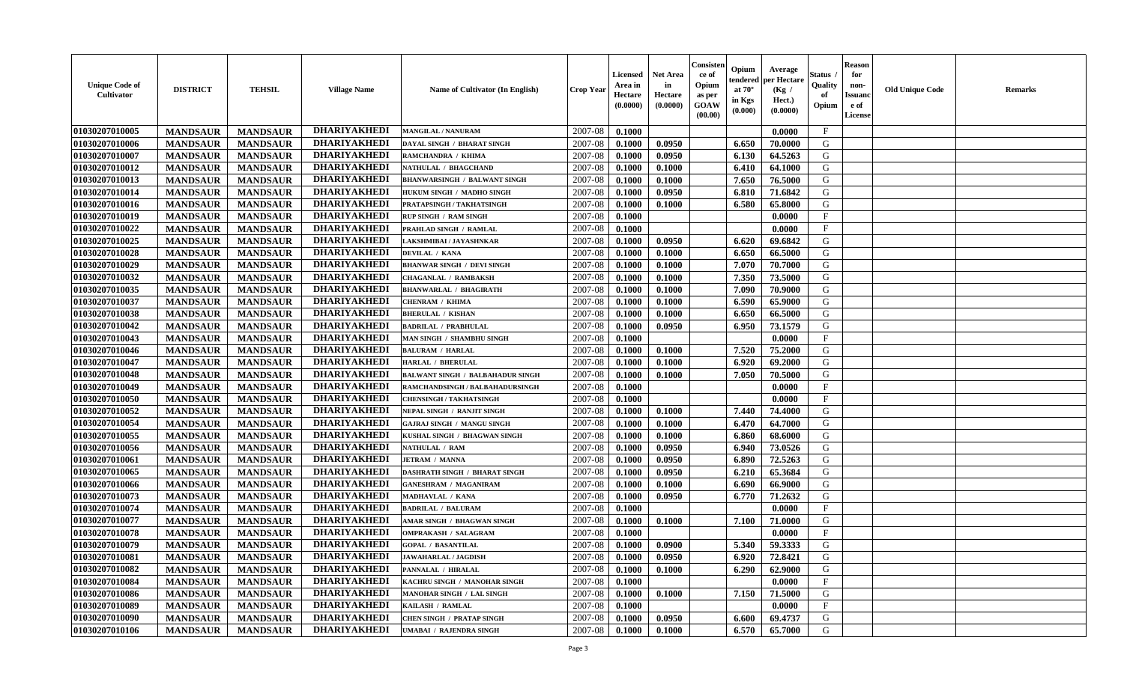| <b>Unique Code of</b><br><b>Cultivator</b> | <b>DISTRICT</b> | <b>TEHSIL</b>   | <b>Village Name</b> | Name of Cultivator (In English)         | <b>Crop Year</b> | <b>Licensed</b><br>Area in<br>Hectare<br>(0.0000) | <b>Net Area</b><br>in<br>Hectare<br>(0.0000) | Consister<br>ce of<br>Opium<br>as per<br><b>GOAW</b><br>(00.00) | Opium<br>endered<br>at $70^\circ$<br>in Kgs<br>$(\mathbf{0.000})$ | Average<br>per Hectare<br>(Kg /<br>Hect.)<br>(0.0000) | Status<br>Quality<br>of<br>Opium | Reason<br>for<br>non-<br>Issuan<br>e of<br>License | <b>Old Unique Code</b> | <b>Remarks</b> |
|--------------------------------------------|-----------------|-----------------|---------------------|-----------------------------------------|------------------|---------------------------------------------------|----------------------------------------------|-----------------------------------------------------------------|-------------------------------------------------------------------|-------------------------------------------------------|----------------------------------|----------------------------------------------------|------------------------|----------------|
| 01030207010005                             | <b>MANDSAUR</b> | <b>MANDSAUR</b> | <b>DHARIYAKHEDI</b> | <b>MANGILAL / NANURAM</b>               | 2007-08          | 0.1000                                            |                                              |                                                                 |                                                                   | 0.0000                                                | $\mathbf{F}$                     |                                                    |                        |                |
| 01030207010006                             | <b>MANDSAUR</b> | <b>MANDSAUR</b> | <b>DHARIYAKHEDI</b> | DAYAL SINGH / BHARAT SINGH              | 2007-08          | 0.1000                                            | 0.0950                                       |                                                                 | 6.650                                                             | 70.0000                                               | G                                |                                                    |                        |                |
| 01030207010007                             | <b>MANDSAUR</b> | <b>MANDSAUR</b> | <b>DHARIYAKHEDI</b> | RAMCHANDRA / KHIMA                      | 2007-08          | 0.1000                                            | 0.0950                                       |                                                                 | 6.130                                                             | 64.5263                                               | G                                |                                                    |                        |                |
| 01030207010012                             | <b>MANDSAUR</b> | <b>MANDSAUR</b> | <b>DHARIYAKHEDI</b> | NATHULAL / BHAGCHAND                    | 2007-08          | 0.1000                                            | 0.1000                                       |                                                                 | 6.410                                                             | 64.1000                                               | G                                |                                                    |                        |                |
| 01030207010013                             | <b>MANDSAUR</b> | <b>MANDSAUR</b> | <b>DHARIYAKHEDI</b> | <b>BHANWARSINGH / BALWANT SINGH</b>     | 2007-08          | 0.1000                                            | 0.1000                                       |                                                                 | 7.650                                                             | 76.5000                                               | G                                |                                                    |                        |                |
| 01030207010014                             | <b>MANDSAUR</b> | <b>MANDSAUR</b> | <b>DHARIYAKHEDI</b> | HUKUM SINGH / MADHO SINGH               | 2007-08          | 0.1000                                            | 0.0950                                       |                                                                 | 6.810                                                             | 71.6842                                               | G                                |                                                    |                        |                |
| 01030207010016                             | <b>MANDSAUR</b> | <b>MANDSAUR</b> | <b>DHARIYAKHEDI</b> | PRATAPSINGH / TAKHATSINGH               | 2007-08          | 0.1000                                            | 0.1000                                       |                                                                 | 6.580                                                             | 65.8000                                               | G                                |                                                    |                        |                |
| 01030207010019                             | <b>MANDSAUR</b> | <b>MANDSAUR</b> | <b>DHARIYAKHEDI</b> | <b>RUP SINGH / RAM SINGH</b>            | 2007-08          | 0.1000                                            |                                              |                                                                 |                                                                   | 0.0000                                                | $\mathbf{F}$                     |                                                    |                        |                |
| 01030207010022                             | <b>MANDSAUR</b> | <b>MANDSAUR</b> | <b>DHARIYAKHEDI</b> | PRAHLAD SINGH / RAMLAL                  | 2007-08          | 0.1000                                            |                                              |                                                                 |                                                                   | 0.0000                                                | $_{\rm F}$                       |                                                    |                        |                |
| 01030207010025                             | <b>MANDSAUR</b> | <b>MANDSAUR</b> | <b>DHARIYAKHEDI</b> | LAKSHMIBAI / JAYASHNKAR                 | 2007-08          | 0.1000                                            | 0.0950                                       |                                                                 | 6.620                                                             | 69.6842                                               | G                                |                                                    |                        |                |
| 01030207010028                             | <b>MANDSAUR</b> | <b>MANDSAUR</b> | <b>DHARIYAKHEDI</b> | DEVILAL / KANA                          | 2007-08          | 0.1000                                            | 0.1000                                       |                                                                 | 6.650                                                             | 66.5000                                               | G                                |                                                    |                        |                |
| 01030207010029                             | <b>MANDSAUR</b> | <b>MANDSAUR</b> | <b>DHARIYAKHEDI</b> | <b>BHANWAR SINGH / DEVI SINGH</b>       | 2007-08          | 0.1000                                            | 0.1000                                       |                                                                 | 7.070                                                             | 70.7000                                               | G                                |                                                    |                        |                |
| 01030207010032                             | <b>MANDSAUR</b> | <b>MANDSAUR</b> | <b>DHARIYAKHEDI</b> | <b>CHAGANLAL / RAMBAKSH</b>             | 2007-08          | 0.1000                                            | 0.1000                                       |                                                                 | 7.350                                                             | 73.5000                                               | G                                |                                                    |                        |                |
| 01030207010035                             | <b>MANDSAUR</b> | <b>MANDSAUR</b> | <b>DHARIYAKHEDI</b> | <b>BHANWARLAL / BHAGIRATH</b>           | 2007-08          | 0.1000                                            | 0.1000                                       |                                                                 | 7.090                                                             | 70.9000                                               | G                                |                                                    |                        |                |
| 01030207010037                             | <b>MANDSAUR</b> | <b>MANDSAUR</b> | <b>DHARIYAKHEDI</b> | CHENRAM / KHIMA                         | 2007-08          | 0.1000                                            | 0.1000                                       |                                                                 | 6.590                                                             | 65.9000                                               | G                                |                                                    |                        |                |
| 01030207010038                             | <b>MANDSAUR</b> | <b>MANDSAUR</b> | <b>DHARIYAKHEDI</b> | <b>BHERULAL / KISHAN</b>                | 2007-08          | 0.1000                                            | 0.1000                                       |                                                                 | 6.650                                                             | 66.5000                                               | G                                |                                                    |                        |                |
| 01030207010042                             | <b>MANDSAUR</b> | <b>MANDSAUR</b> | <b>DHARIYAKHEDI</b> | <b>BADRILAL / PRABHULAL</b>             | 2007-08          | 0.1000                                            | 0.0950                                       |                                                                 | 6.950                                                             | 73.1579                                               | G                                |                                                    |                        |                |
| 01030207010043                             | <b>MANDSAUR</b> | <b>MANDSAUR</b> | <b>DHARIYAKHEDI</b> | MAN SINGH / SHAMBHU SINGH               | 2007-08          | 0.1000                                            |                                              |                                                                 |                                                                   | 0.0000                                                | $\mathbf{F}$                     |                                                    |                        |                |
| 01030207010046                             | <b>MANDSAUR</b> | <b>MANDSAUR</b> | <b>DHARIYAKHEDI</b> | <b>BALURAM / HARLAL</b>                 | 2007-08          | 0.1000                                            | 0.1000                                       |                                                                 | 7.520                                                             | 75.2000                                               | G                                |                                                    |                        |                |
| 01030207010047                             | <b>MANDSAUR</b> | <b>MANDSAUR</b> | <b>DHARIYAKHEDI</b> | <b>HARLAL / BHERULAL</b>                | 2007-08          | 0.1000                                            | 0.1000                                       |                                                                 | 6.920                                                             | 69.2000                                               | G                                |                                                    |                        |                |
| 01030207010048                             | <b>MANDSAUR</b> | <b>MANDSAUR</b> | <b>DHARIYAKHEDI</b> | <b>BALWANT SINGH / BALBAHADUR SINGH</b> | 2007-08          | 0.1000                                            | 0.1000                                       |                                                                 | 7.050                                                             | 70.5000                                               | G                                |                                                    |                        |                |
| 01030207010049                             | <b>MANDSAUR</b> | <b>MANDSAUR</b> | <b>DHARIYAKHEDI</b> | RAMCHANDSINGH / BALBAHADURSINGH         | 2007-08          | 0.1000                                            |                                              |                                                                 |                                                                   | 0.0000                                                | $\mathbf{F}$                     |                                                    |                        |                |
| 01030207010050                             | <b>MANDSAUR</b> | <b>MANDSAUR</b> | <b>DHARIYAKHEDI</b> | <b>CHENSINGH / TAKHATSINGH</b>          | 2007-08          | 0.1000                                            |                                              |                                                                 |                                                                   | 0.0000                                                | $\mathbf{F}$                     |                                                    |                        |                |
| 01030207010052                             | <b>MANDSAUR</b> | <b>MANDSAUR</b> | <b>DHARIYAKHEDI</b> | NEPAL SINGH / RANJIT SINGH              | 2007-08          | 0.1000                                            | 0.1000                                       |                                                                 | 7.440                                                             | 74.4000                                               | G                                |                                                    |                        |                |
| 01030207010054                             | <b>MANDSAUR</b> | <b>MANDSAUR</b> | <b>DHARIYAKHEDI</b> | GAJRAJ SINGH / MANGU SINGH              | 2007-08          | 0.1000                                            | 0.1000                                       |                                                                 | 6.470                                                             | 64.7000                                               | G                                |                                                    |                        |                |
| 01030207010055                             | <b>MANDSAUR</b> | <b>MANDSAUR</b> | <b>DHARIYAKHEDI</b> | KUSHAL SINGH / BHAGWAN SINGH            | 2007-08          | 0.1000                                            | 0.1000                                       |                                                                 | 6.860                                                             | 68.6000                                               | G                                |                                                    |                        |                |
| 01030207010056                             | <b>MANDSAUR</b> | <b>MANDSAUR</b> | <b>DHARIYAKHEDI</b> | <b>NATHULAL / RAM</b>                   | 2007-08          | 0.1000                                            | 0.0950                                       |                                                                 | 6.940                                                             | 73.0526                                               | G                                |                                                    |                        |                |
| 01030207010061                             | <b>MANDSAUR</b> | <b>MANDSAUR</b> | <b>DHARIYAKHEDI</b> | <b>JETRAM / MANNA</b>                   | 2007-08          | 0.1000                                            | 0.0950                                       |                                                                 | 6.890                                                             | 72.5263                                               | G                                |                                                    |                        |                |
| 01030207010065                             | <b>MANDSAUR</b> | <b>MANDSAUR</b> | <b>DHARIYAKHEDI</b> | <b>DASHRATH SINGH / BHARAT SINGH</b>    | 2007-08          | 0.1000                                            | 0.0950                                       |                                                                 | 6.210                                                             | 65.3684                                               | G                                |                                                    |                        |                |
| 01030207010066                             | <b>MANDSAUR</b> | <b>MANDSAUR</b> | <b>DHARIYAKHEDI</b> | <b>GANESHRAM / MAGANIRAM</b>            | 2007-08          | 0.1000                                            | 0.1000                                       |                                                                 | 6.690                                                             | 66.9000                                               | G                                |                                                    |                        |                |
| 01030207010073                             | <b>MANDSAUR</b> | <b>MANDSAUR</b> | <b>DHARIYAKHEDI</b> | MADHAVLAL / KANA                        | 2007-08          | 0.1000                                            | 0.0950                                       |                                                                 | 6.770                                                             | 71.2632                                               | G                                |                                                    |                        |                |
| 01030207010074                             | <b>MANDSAUR</b> | <b>MANDSAUR</b> | <b>DHARIYAKHEDI</b> | <b>BADRILAL / BALURAM</b>               | 2007-08          | 0.1000                                            |                                              |                                                                 |                                                                   | 0.0000                                                | $\mathbf{F}$                     |                                                    |                        |                |
| 01030207010077                             | <b>MANDSAUR</b> | <b>MANDSAUR</b> | <b>DHARIYAKHEDI</b> | AMAR SINGH / BHAGWAN SINGH              | 2007-08          | 0.1000                                            | 0.1000                                       |                                                                 | 7.100                                                             | 71.0000                                               | G                                |                                                    |                        |                |
| 01030207010078                             | <b>MANDSAUR</b> | <b>MANDSAUR</b> | <b>DHARIYAKHEDI</b> | <b>OMPRAKASH / SALAGRAM</b>             | 2007-08          | 0.1000                                            |                                              |                                                                 |                                                                   | 0.0000                                                | $\mathbf{F}$                     |                                                    |                        |                |
| 01030207010079                             | <b>MANDSAUR</b> | <b>MANDSAUR</b> | <b>DHARIYAKHEDI</b> | <b>GOPAL / BASANTILAL</b>               | 2007-08          | 0.1000                                            | 0.0900                                       |                                                                 | 5.340                                                             | 59.3333                                               | G                                |                                                    |                        |                |
| 01030207010081                             | <b>MANDSAUR</b> | <b>MANDSAUR</b> | <b>DHARIYAKHEDI</b> | <b>JAWAHARLAL / JAGDISH</b>             | $2007 - 08$      | 0.1000                                            | 0.0950                                       |                                                                 | 6.920                                                             | 72.8421                                               | G                                |                                                    |                        |                |
| 01030207010082                             | <b>MANDSAUR</b> | <b>MANDSAUR</b> | <b>DHARIYAKHEDI</b> | PANNALAL / HIRALAL                      | 2007-08          | 0.1000                                            | 0.1000                                       |                                                                 | 6.290                                                             | 62.9000                                               | G                                |                                                    |                        |                |
| <b>01030207010084</b>                      | <b>MANDSAUR</b> | <b>MANDSAUR</b> | <b>DHARIYAKHEDI</b> | KACHRU SINGH / MANOHAR SINGH            | 2007-08          | 0.1000                                            |                                              |                                                                 |                                                                   | 0.0000                                                | $\mathbf{F}$                     |                                                    |                        |                |
| 01030207010086                             | <b>MANDSAUR</b> | <b>MANDSAUR</b> | <b>DHARIYAKHEDI</b> | MANOHAR SINGH / LAL SINGH               | 2007-08          | 0.1000                                            | 0.1000                                       |                                                                 | 7.150                                                             | 71.5000                                               | G                                |                                                    |                        |                |
| 01030207010089                             | <b>MANDSAUR</b> | <b>MANDSAUR</b> | <b>DHARIYAKHEDI</b> | KAILASH / RAMLAL                        | 2007-08          | 0.1000                                            |                                              |                                                                 |                                                                   | 0.0000                                                | $\mathbf{F}$                     |                                                    |                        |                |
| 01030207010090                             | <b>MANDSAUR</b> | <b>MANDSAUR</b> | <b>DHARIYAKHEDI</b> | <b>CHEN SINGH / PRATAP SINGH</b>        | 2007-08          | 0.1000                                            | 0.0950                                       |                                                                 | 6.600                                                             | 69.4737                                               | G                                |                                                    |                        |                |
| 01030207010106                             | <b>MANDSAUR</b> | <b>MANDSAUR</b> | <b>DHARIYAKHEDI</b> | <b>UMABAI / RAJENDRA SINGH</b>          | 2007-08          | 0.1000                                            | 0.1000                                       |                                                                 | 6.570                                                             | 65.7000                                               | G                                |                                                    |                        |                |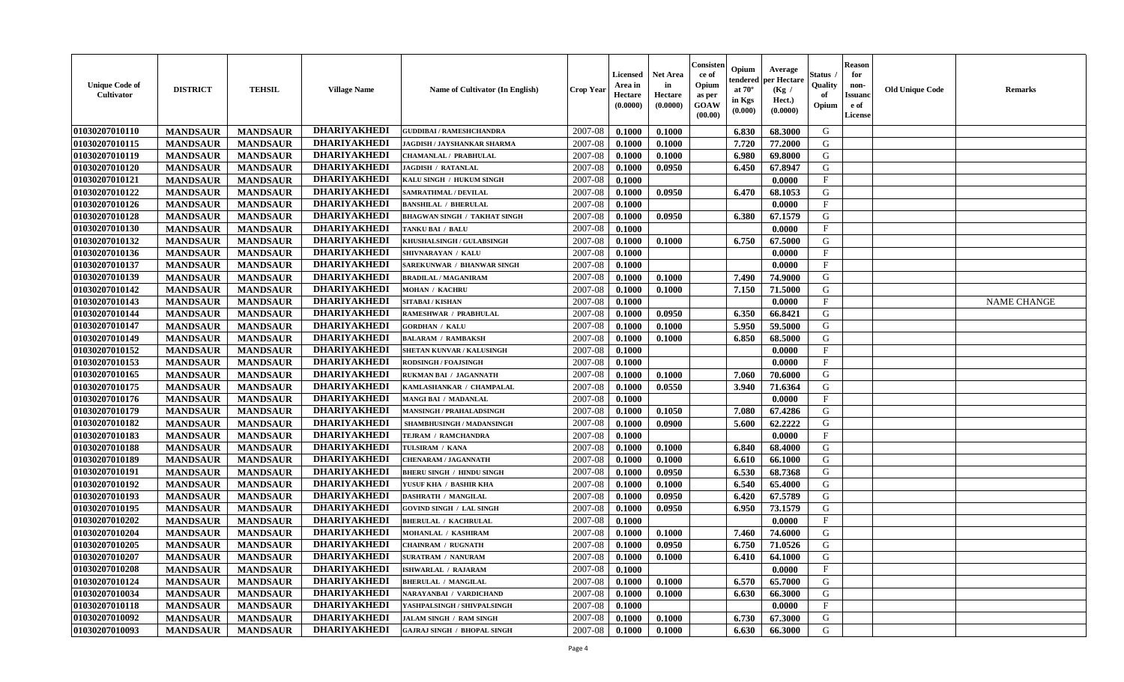| <b>Unique Code of</b><br><b>Cultivator</b> | <b>DISTRICT</b> | <b>TEHSIL</b>   | <b>Village Name</b> | Name of Cultivator (In English)     | <b>Crop Year</b> | <b>Licensed</b><br>Area in<br>Hectare<br>(0.0000) | <b>Net Area</b><br>in<br>Hectare<br>(0.0000) | Consisteı<br>ce of<br>Opium<br>as per<br><b>GOAW</b><br>(00.00) | Opium<br>endered<br>at $70^\circ$<br>in Kgs<br>$(\mathbf{0.000})$ | Average<br>per Hectare<br>(Kg /<br>Hect.)<br>(0.0000) | Status<br>Quality<br>of<br>Opium | Reason<br>for<br>non-<br>Issuan<br>e of<br>License | <b>Old Unique Code</b> | <b>Remarks</b>     |
|--------------------------------------------|-----------------|-----------------|---------------------|-------------------------------------|------------------|---------------------------------------------------|----------------------------------------------|-----------------------------------------------------------------|-------------------------------------------------------------------|-------------------------------------------------------|----------------------------------|----------------------------------------------------|------------------------|--------------------|
| 01030207010110                             | <b>MANDSAUR</b> | <b>MANDSAUR</b> | <b>DHARIYAKHEDI</b> | <b>GUDDIBAI / RAMESHCHANDRA</b>     | 2007-08          | 0.1000                                            | 0.1000                                       |                                                                 | 6.830                                                             | 68.3000                                               | G                                |                                                    |                        |                    |
| 01030207010115                             | <b>MANDSAUR</b> | <b>MANDSAUR</b> | <b>DHARIYAKHEDI</b> | JAGDISH / JAYSHANKAR SHARMA         | 2007-08          | 0.1000                                            | 0.1000                                       |                                                                 | 7.720                                                             | 77.2000                                               | G                                |                                                    |                        |                    |
| 01030207010119                             | <b>MANDSAUR</b> | <b>MANDSAUR</b> | <b>DHARIYAKHEDI</b> | CHAMANLAL / PRABHULAL               | 2007-08          | 0.1000                                            | 0.1000                                       |                                                                 | 6.980                                                             | 69.8000                                               | G                                |                                                    |                        |                    |
| 01030207010120                             | <b>MANDSAUR</b> | <b>MANDSAUR</b> | <b>DHARIYAKHEDI</b> | <b>JAGDISH / RATANLAL</b>           | 2007-08          | 0.1000                                            | 0.0950                                       |                                                                 | 6.450                                                             | 67.8947                                               | G                                |                                                    |                        |                    |
| 01030207010121                             | <b>MANDSAUR</b> | <b>MANDSAUR</b> | <b>DHARIYAKHEDI</b> | KALU SINGH / HUKUM SINGH            | 2007-08          | 0.1000                                            |                                              |                                                                 |                                                                   | 0.0000                                                | $_{\rm F}$                       |                                                    |                        |                    |
| 01030207010122                             | <b>MANDSAUR</b> | <b>MANDSAUR</b> | <b>DHARIYAKHEDI</b> | <b>SAMRATHMAL / DEVILAL</b>         | 2007-08          | 0.1000                                            | 0.0950                                       |                                                                 | 6.470                                                             | 68.1053                                               | G                                |                                                    |                        |                    |
| 01030207010126                             | <b>MANDSAUR</b> | <b>MANDSAUR</b> | <b>DHARIYAKHEDI</b> | <b>BANSHILAL / BHERULAL</b>         | 2007-08          | 0.1000                                            |                                              |                                                                 |                                                                   | 0.0000                                                | $\mathbf{F}$                     |                                                    |                        |                    |
| 01030207010128                             | <b>MANDSAUR</b> | <b>MANDSAUR</b> | <b>DHARIYAKHEDI</b> | <b>BHAGWAN SINGH / TAKHAT SINGH</b> | 2007-08          | 0.1000                                            | 0.0950                                       |                                                                 | 6.380                                                             | 67.1579                                               | G                                |                                                    |                        |                    |
| 01030207010130                             | <b>MANDSAUR</b> | <b>MANDSAUR</b> | <b>DHARIYAKHEDI</b> | TANKU BAI / BALU                    | 2007-08          | 0.1000                                            |                                              |                                                                 |                                                                   | 0.0000                                                | $_{\rm F}$                       |                                                    |                        |                    |
| 01030207010132                             | <b>MANDSAUR</b> | <b>MANDSAUR</b> | <b>DHARIYAKHEDI</b> | KHUSHALSINGH / GULABSINGH           | 2007-08          | 0.1000                                            | 0.1000                                       |                                                                 | 6.750                                                             | 67.5000                                               | G                                |                                                    |                        |                    |
| 01030207010136                             | <b>MANDSAUR</b> | <b>MANDSAUR</b> | <b>DHARIYAKHEDI</b> | SHIVNARAYAN / KALU                  | 2007-08          | 0.1000                                            |                                              |                                                                 |                                                                   | 0.0000                                                | $\mathbf{F}$                     |                                                    |                        |                    |
| 01030207010137                             | <b>MANDSAUR</b> | <b>MANDSAUR</b> | <b>DHARIYAKHEDI</b> | SAREKUNWAR / BHANWAR SINGH          | 2007-08          | 0.1000                                            |                                              |                                                                 |                                                                   | 0.0000                                                | $_{\rm F}$                       |                                                    |                        |                    |
| 01030207010139                             | <b>MANDSAUR</b> | <b>MANDSAUR</b> | <b>DHARIYAKHEDI</b> | <b>BRADILAL / MAGANIRAM</b>         | 2007-08          | 0.1000                                            | 0.1000                                       |                                                                 | 7.490                                                             | 74.9000                                               | G                                |                                                    |                        |                    |
| 01030207010142                             | <b>MANDSAUR</b> | <b>MANDSAUR</b> | <b>DHARIYAKHEDI</b> | <b>MOHAN / KACHRU</b>               | 2007-08          | 0.1000                                            | 0.1000                                       |                                                                 | 7.150                                                             | 71.5000                                               | G                                |                                                    |                        |                    |
| 01030207010143                             | <b>MANDSAUR</b> | <b>MANDSAUR</b> | <b>DHARIYAKHEDI</b> | <b>SITABAI/KISHAN</b>               | 2007-08          | 0.1000                                            |                                              |                                                                 |                                                                   | 0.0000                                                | $\mathbf{F}$                     |                                                    |                        | <b>NAME CHANGE</b> |
| 01030207010144                             | <b>MANDSAUR</b> | <b>MANDSAUR</b> | <b>DHARIYAKHEDI</b> | RAMESHWAR / PRABHULAL               | 2007-08          | 0.1000                                            | 0.0950                                       |                                                                 | 6.350                                                             | 66.8421                                               | G                                |                                                    |                        |                    |
| 01030207010147                             | <b>MANDSAUR</b> | <b>MANDSAUR</b> | <b>DHARIYAKHEDI</b> | <b>GORDHAN / KALU</b>               | 2007-08          | 0.1000                                            | 0.1000                                       |                                                                 | 5.950                                                             | 59.5000                                               | G                                |                                                    |                        |                    |
| 01030207010149                             | <b>MANDSAUR</b> | <b>MANDSAUR</b> | <b>DHARIYAKHEDI</b> | <b>BALARAM / RAMBAKSH</b>           | 2007-08          | 0.1000                                            | 0.1000                                       |                                                                 | 6.850                                                             | 68.5000                                               | G                                |                                                    |                        |                    |
| 01030207010152                             | <b>MANDSAUR</b> | <b>MANDSAUR</b> | <b>DHARIYAKHEDI</b> | SHETAN KUNVAR / KALUSINGH           | 2007-08          | 0.1000                                            |                                              |                                                                 |                                                                   | 0.0000                                                | F                                |                                                    |                        |                    |
| 01030207010153                             | <b>MANDSAUR</b> | <b>MANDSAUR</b> | <b>DHARIYAKHEDI</b> | <b>RODSINGH / FOAJSINGH</b>         | 2007-08          | 0.1000                                            |                                              |                                                                 |                                                                   | 0.0000                                                | $_{\rm F}$                       |                                                    |                        |                    |
| 01030207010165                             | <b>MANDSAUR</b> | <b>MANDSAUR</b> | <b>DHARIYAKHEDI</b> | RUKMAN BAI / JAGANNATH              | 2007-08          | 0.1000                                            | 0.1000                                       |                                                                 | 7.060                                                             | 70.6000                                               | G                                |                                                    |                        |                    |
| 01030207010175                             | <b>MANDSAUR</b> | <b>MANDSAUR</b> | <b>DHARIYAKHEDI</b> | KAMLASHANKAR / CHAMPALAL            | 2007-08          | 0.1000                                            | 0.0550                                       |                                                                 | 3.940                                                             | 71.6364                                               | G                                |                                                    |                        |                    |
| 01030207010176                             | <b>MANDSAUR</b> | <b>MANDSAUR</b> | <b>DHARIYAKHEDI</b> | <b>MANGI BAI / MADANLAL</b>         | 2007-08          | 0.1000                                            |                                              |                                                                 |                                                                   | 0.0000                                                | $\mathbf{F}$                     |                                                    |                        |                    |
| 01030207010179                             | <b>MANDSAUR</b> | <b>MANDSAUR</b> | <b>DHARIYAKHEDI</b> | <b>MANSINGH / PRAHALADSINGH</b>     | 2007-08          | 0.1000                                            | 0.1050                                       |                                                                 | 7.080                                                             | 67.4286                                               | G                                |                                                    |                        |                    |
| 01030207010182                             | <b>MANDSAUR</b> | <b>MANDSAUR</b> | <b>DHARIYAKHEDI</b> | SHAMBHUSINGH / MADANSINGH           | 2007-08          | 0.1000                                            | 0.0900                                       |                                                                 | 5.600                                                             | 62.2222                                               | G                                |                                                    |                        |                    |
| 01030207010183                             | <b>MANDSAUR</b> | <b>MANDSAUR</b> | <b>DHARIYAKHEDI</b> | TEJRAM / RAMCHANDRA                 | 2007-08          | 0.1000                                            |                                              |                                                                 |                                                                   | 0.0000                                                | $\mathbf{F}$                     |                                                    |                        |                    |
| 01030207010188                             | <b>MANDSAUR</b> | <b>MANDSAUR</b> | <b>DHARIYAKHEDI</b> | TULSIRAM / KANA                     | 2007-08          | 0.1000                                            | 0.1000                                       |                                                                 | 6.840                                                             | 68.4000                                               | G                                |                                                    |                        |                    |
| 01030207010189                             | <b>MANDSAUR</b> | <b>MANDSAUR</b> | <b>DHARIYAKHEDI</b> | <b>CHENARAM / JAGANNATH</b>         | 2007-08          | 0.1000                                            | 0.1000                                       |                                                                 | 6.610                                                             | 66.1000                                               | G                                |                                                    |                        |                    |
| 01030207010191                             | <b>MANDSAUR</b> | <b>MANDSAUR</b> | <b>DHARIYAKHEDI</b> | <b>BHERU SINGH / HINDU SINGH</b>    | 2007-08          | 0.1000                                            | 0.0950                                       |                                                                 | 6.530                                                             | 68.7368                                               | G                                |                                                    |                        |                    |
| 01030207010192                             | <b>MANDSAUR</b> | <b>MANDSAUR</b> | <b>DHARIYAKHEDI</b> | YUSUF KHA / BASHIR KHA              | 2007-08          | 0.1000                                            | 0.1000                                       |                                                                 | 6.540                                                             | 65.4000                                               | G                                |                                                    |                        |                    |
| 01030207010193                             | <b>MANDSAUR</b> | <b>MANDSAUR</b> | <b>DHARIYAKHEDI</b> | <b>DASHRATH / MANGILAL</b>          | 2007-08          | 0.1000                                            | 0.0950                                       |                                                                 | 6.420                                                             | 67.5789                                               | G                                |                                                    |                        |                    |
| 01030207010195                             | <b>MANDSAUR</b> | <b>MANDSAUR</b> | <b>DHARIYAKHEDI</b> | <b>GOVIND SINGH / LAL SINGH</b>     | 2007-08          | 0.1000                                            | 0.0950                                       |                                                                 | 6.950                                                             | 73.1579                                               | G                                |                                                    |                        |                    |
| 01030207010202                             | <b>MANDSAUR</b> | <b>MANDSAUR</b> | <b>DHARIYAKHEDI</b> | <b>BHERULAL / KACHRULAL</b>         | 2007-08          | 0.1000                                            |                                              |                                                                 |                                                                   | 0.0000                                                | $\mathbf{F}$                     |                                                    |                        |                    |
| 01030207010204                             | <b>MANDSAUR</b> | <b>MANDSAUR</b> | <b>DHARIYAKHEDI</b> | <b>MOHANLAL / KASHIRAM</b>          | 2007-08          | 0.1000                                            | 0.1000                                       |                                                                 | 7.460                                                             | 74.6000                                               | G                                |                                                    |                        |                    |
| 01030207010205                             | <b>MANDSAUR</b> | <b>MANDSAUR</b> | <b>DHARIYAKHEDI</b> | <b>CHAINRAM / RUGNATH</b>           | 2007-08          | 0.1000                                            | 0.0950                                       |                                                                 | 6.750                                                             | 71.0526                                               | G                                |                                                    |                        |                    |
| 01030207010207                             | <b>MANDSAUR</b> | <b>MANDSAUR</b> | <b>DHARIYAKHEDI</b> | <b>SURATRAM / NANURAM</b>           | $2007-08$ 0.1000 |                                                   | 0.1000                                       |                                                                 | 6.410                                                             | 64.1000                                               | G                                |                                                    |                        |                    |
| 01030207010208                             | <b>MANDSAUR</b> | <b>MANDSAUR</b> | <b>DHARIYAKHEDI</b> | <b>ISHWARLAL / RAJARAM</b>          | 2007-08          | 0.1000                                            |                                              |                                                                 |                                                                   | 0.0000                                                | $\mathbf{F}$                     |                                                    |                        |                    |
| 01030207010124                             | <b>MANDSAUR</b> | <b>MANDSAUR</b> | <b>DHARIYAKHEDI</b> | <b>BHERULAL / MANGILAL</b>          | 2007-08          | 0.1000                                            | 0.1000                                       |                                                                 | 6.570                                                             | 65.7000                                               | G                                |                                                    |                        |                    |
| 01030207010034                             | <b>MANDSAUR</b> | <b>MANDSAUR</b> | <b>DHARIYAKHEDI</b> | NARAYANBAI / VARDICHAND             | 2007-08          | 0.1000                                            | 0.1000                                       |                                                                 | 6.630                                                             | 66.3000                                               | G                                |                                                    |                        |                    |
| 01030207010118                             | <b>MANDSAUR</b> | <b>MANDSAUR</b> | <b>DHARIYAKHEDI</b> | YASHPALSINGH / SHIVPALSINGH         | 2007-08          | 0.1000                                            |                                              |                                                                 |                                                                   | 0.0000                                                | $\mathbf{F}$                     |                                                    |                        |                    |
| 01030207010092                             | <b>MANDSAUR</b> | <b>MANDSAUR</b> | <b>DHARIYAKHEDI</b> | <b>JALAM SINGH / RAM SINGH</b>      | 2007-08          | 0.1000                                            | 0.1000                                       |                                                                 | 6.730                                                             | 67.3000                                               | G                                |                                                    |                        |                    |
| 01030207010093                             | <b>MANDSAUR</b> | <b>MANDSAUR</b> | <b>DHARIYAKHEDI</b> | <b>GAJRAJ SINGH / BHOPAL SINGH</b>  | 2007-08          | 0.1000                                            | 0.1000                                       |                                                                 | 6.630                                                             | 66.3000                                               | G                                |                                                    |                        |                    |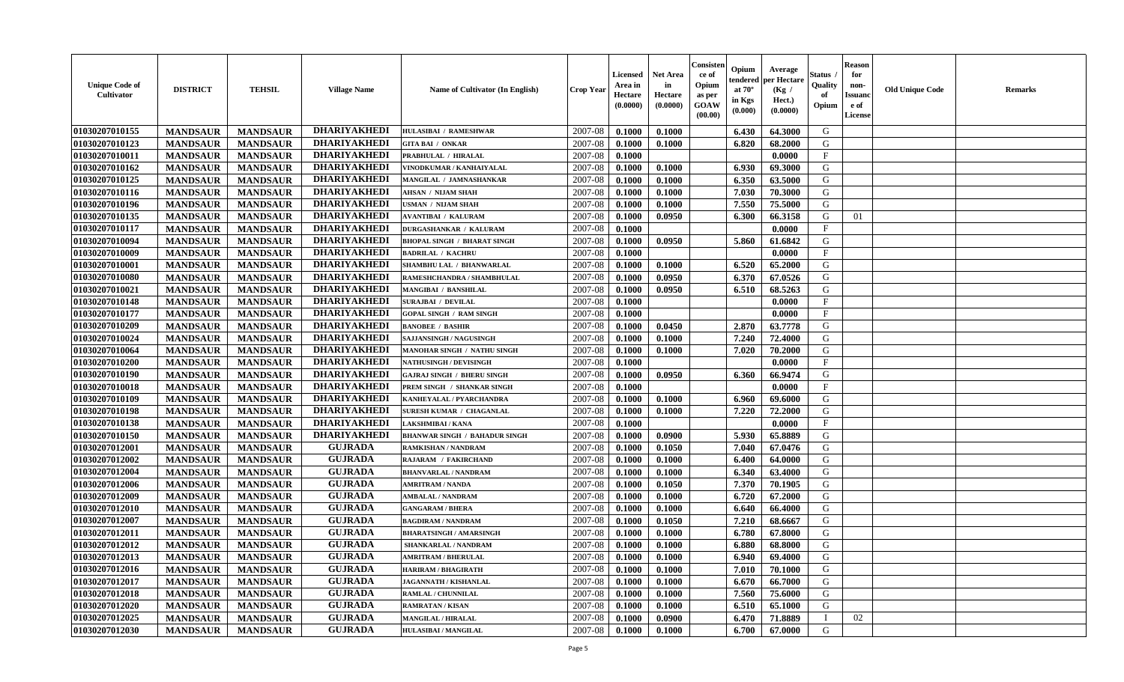| <b>Unique Code of</b><br><b>Cultivator</b> | <b>DISTRICT</b> | <b>TEHSIL</b>   | <b>Village Name</b> | <b>Name of Cultivator (In English)</b> | <b>Crop Year</b> | <b>Licensed</b><br>Area in<br>Hectare<br>(0.0000) | <b>Net Area</b><br>in<br>Hectare<br>(0.0000) | Consister<br>ce of<br>Opium<br>as per<br>GOAW<br>(00.00) | Opium<br>endered<br>at $70^\circ$<br>in Kgs<br>(0.000) | Average<br>per Hectare<br>(Kg /<br>Hect.)<br>(0.0000) | Status<br>Quality<br>of<br>Opium | <b>Reason</b><br>for<br>non-<br><b>Issuand</b><br>e of<br>License | <b>Old Unique Code</b> | Remarks |
|--------------------------------------------|-----------------|-----------------|---------------------|----------------------------------------|------------------|---------------------------------------------------|----------------------------------------------|----------------------------------------------------------|--------------------------------------------------------|-------------------------------------------------------|----------------------------------|-------------------------------------------------------------------|------------------------|---------|
| 01030207010155                             | <b>MANDSAUR</b> | <b>MANDSAUR</b> | <b>DHARIYAKHEDI</b> | <b>HULASIBAI / RAMESHWAR</b>           | 2007-08          | 0.1000                                            | 0.1000                                       |                                                          | 6.430                                                  | 64.3000                                               | G                                |                                                                   |                        |         |
| 01030207010123                             | <b>MANDSAUR</b> | <b>MANDSAUR</b> | <b>DHARIYAKHEDI</b> | <b>GITA BAI / ONKAR</b>                | 2007-08          | 0.1000                                            | 0.1000                                       |                                                          | 6.820                                                  | 68.2000                                               | G                                |                                                                   |                        |         |
| 01030207010011                             | <b>MANDSAUR</b> | <b>MANDSAUR</b> | <b>DHARIYAKHEDI</b> | PRABHULAL / HIRALAL                    | 2007-08          | 0.1000                                            |                                              |                                                          |                                                        | 0.0000                                                | $\mathbf{F}$                     |                                                                   |                        |         |
| 01030207010162                             | <b>MANDSAUR</b> | <b>MANDSAUR</b> | <b>DHARIYAKHEDI</b> | VINODKUMAR / KANHAIYALAL               | 2007-08          | 0.1000                                            | 0.1000                                       |                                                          | 6.930                                                  | 69.3000                                               | G                                |                                                                   |                        |         |
| 01030207010125                             | <b>MANDSAUR</b> | <b>MANDSAUR</b> | <b>DHARIYAKHEDI</b> | MANGILAL / JAMNASHANKAR                | 2007-08          | 0.1000                                            | 0.1000                                       |                                                          | 6.350                                                  | 63.5000                                               | G                                |                                                                   |                        |         |
| 01030207010116                             | <b>MANDSAUR</b> | <b>MANDSAUR</b> | <b>DHARIYAKHEDI</b> | <b>AHSAN / NIJAM SHAH</b>              | 2007-08          | 0.1000                                            | 0.1000                                       |                                                          | 7.030                                                  | 70.3000                                               | G                                |                                                                   |                        |         |
| 01030207010196                             | <b>MANDSAUR</b> | <b>MANDSAUR</b> | <b>DHARIYAKHEDI</b> | <b>JSMAN / NIJAM SHAH</b>              | 2007-08          | 0.1000                                            | 0.1000                                       |                                                          | 7.550                                                  | 75.5000                                               | G                                |                                                                   |                        |         |
| 01030207010135                             | <b>MANDSAUR</b> | <b>MANDSAUR</b> | <b>DHARIYAKHEDI</b> | <b>AVANTIBAI / KALURAM</b>             | 2007-08          | 0.1000                                            | 0.0950                                       |                                                          | 6.300                                                  | 66.3158                                               | G                                | 01                                                                |                        |         |
| 01030207010117                             | <b>MANDSAUR</b> | <b>MANDSAUR</b> | <b>DHARIYAKHEDI</b> | <b>DURGASHANKAR / KALURAM</b>          | 2007-08          | 0.1000                                            |                                              |                                                          |                                                        | 0.0000                                                | $\mathbf{F}$                     |                                                                   |                        |         |
| 01030207010094                             | <b>MANDSAUR</b> | <b>MANDSAUR</b> | <b>DHARIYAKHEDI</b> | <b>BHOPAL SINGH / BHARAT SINGH</b>     | 2007-08          | 0.1000                                            | 0.0950                                       |                                                          | 5.860                                                  | 61.6842                                               | G                                |                                                                   |                        |         |
| 01030207010009                             | <b>MANDSAUR</b> | <b>MANDSAUR</b> | <b>DHARIYAKHEDI</b> | <b>BADRILAL / KACHRU</b>               | 2007-08          | 0.1000                                            |                                              |                                                          |                                                        | 0.0000                                                | F                                |                                                                   |                        |         |
| 01030207010001                             | <b>MANDSAUR</b> | <b>MANDSAUR</b> | <b>DHARIYAKHEDI</b> | SHAMBHU LAL / BHANWARLAL               | 2007-08          | 0.1000                                            | 0.1000                                       |                                                          | 6.520                                                  | 65.2000                                               | G                                |                                                                   |                        |         |
| 01030207010080                             | <b>MANDSAUR</b> | <b>MANDSAUR</b> | <b>DHARIYAKHEDI</b> | RAMESHCHANDRA / SHAMBHULAL             | 2007-08          | 0.1000                                            | 0.0950                                       |                                                          | 6.370                                                  | 67.0526                                               | G                                |                                                                   |                        |         |
| 01030207010021                             | <b>MANDSAUR</b> | <b>MANDSAUR</b> | <b>DHARIYAKHEDI</b> | MANGIBAI / BANSHILAL                   | 2007-08          | 0.1000                                            | 0.0950                                       |                                                          | 6.510                                                  | 68.5263                                               | G                                |                                                                   |                        |         |
| 01030207010148                             | <b>MANDSAUR</b> | <b>MANDSAUR</b> | <b>DHARIYAKHEDI</b> | <b>SURAJBAI / DEVILAL</b>              | 2007-08          | 0.1000                                            |                                              |                                                          |                                                        | 0.0000                                                | F                                |                                                                   |                        |         |
| 01030207010177                             | <b>MANDSAUR</b> | <b>MANDSAUR</b> | <b>DHARIYAKHEDI</b> | <b>GOPAL SINGH / RAM SINGH</b>         | 2007-08          | 0.1000                                            |                                              |                                                          |                                                        | 0.0000                                                | $_{\rm F}$                       |                                                                   |                        |         |
| 01030207010209                             | <b>MANDSAUR</b> | <b>MANDSAUR</b> | <b>DHARIYAKHEDI</b> | <b>BANOBEE / BASHIR</b>                | 2007-08          | 0.1000                                            | 0.0450                                       |                                                          | 2.870                                                  | 63.7778                                               | G                                |                                                                   |                        |         |
| 01030207010024                             | <b>MANDSAUR</b> | <b>MANDSAUR</b> | <b>DHARIYAKHEDI</b> | SAJJANSINGH / NAGUSINGH                | 2007-08          | 0.1000                                            | 0.1000                                       |                                                          | 7.240                                                  | 72.4000                                               | G                                |                                                                   |                        |         |
| 01030207010064                             | <b>MANDSAUR</b> | <b>MANDSAUR</b> | <b>DHARIYAKHEDI</b> | MANOHAR SINGH / NATHU SINGH            | 2007-08          | 0.1000                                            | 0.1000                                       |                                                          | 7.020                                                  | 70.2000                                               | G                                |                                                                   |                        |         |
| 01030207010200                             | <b>MANDSAUR</b> | <b>MANDSAUR</b> | <b>DHARIYAKHEDI</b> | <b>NATHUSINGH / DEVISINGH</b>          | 2007-08          | 0.1000                                            |                                              |                                                          |                                                        | 0.0000                                                | $\mathbf{F}$                     |                                                                   |                        |         |
| 01030207010190                             | <b>MANDSAUR</b> | <b>MANDSAUR</b> | <b>DHARIYAKHEDI</b> | <b>GAJRAJ SINGH / BHERU SINGH</b>      | 2007-08          | 0.1000                                            | 0.0950                                       |                                                          | 6.360                                                  | 66.9474                                               | G                                |                                                                   |                        |         |
| 01030207010018                             | <b>MANDSAUR</b> | <b>MANDSAUR</b> | <b>DHARIYAKHEDI</b> | PREM SINGH / SHANKAR SINGH             | 2007-08          | 0.1000                                            |                                              |                                                          |                                                        | 0.0000                                                | $_{\rm F}$                       |                                                                   |                        |         |
| 01030207010109                             | <b>MANDSAUR</b> | <b>MANDSAUR</b> | <b>DHARIYAKHEDI</b> | KANHEYALAL / PYARCHANDRA               | 2007-08          | 0.1000                                            | 0.1000                                       |                                                          | 6.960                                                  | 69.6000                                               | G                                |                                                                   |                        |         |
| 01030207010198                             | <b>MANDSAUR</b> | <b>MANDSAUR</b> | <b>DHARIYAKHEDI</b> | <b>SURESH KUMAR / CHAGANLAL</b>        | 2007-08          | 0.1000                                            | 0.1000                                       |                                                          | 7.220                                                  | 72.2000                                               | G                                |                                                                   |                        |         |
| 01030207010138                             | <b>MANDSAUR</b> | <b>MANDSAUR</b> | <b>DHARIYAKHEDI</b> | LAKSHMIBAI / KANA                      | 2007-08          | 0.1000                                            |                                              |                                                          |                                                        | 0.0000                                                | $_{\rm F}$                       |                                                                   |                        |         |
| 01030207010150                             | <b>MANDSAUR</b> | <b>MANDSAUR</b> | <b>DHARIYAKHEDI</b> | <b>BHANWAR SINGH / BAHADUR SINGH</b>   | 2007-08          | 0.1000                                            | 0.0900                                       |                                                          | 5.930                                                  | 65.8889                                               | G                                |                                                                   |                        |         |
| 01030207012001                             | <b>MANDSAUR</b> | <b>MANDSAUR</b> | <b>GUJRADA</b>      | <b>RAMKISHAN / NANDRAM</b>             | 2007-08          | 0.1000                                            | 0.1050                                       |                                                          | 7.040                                                  | 67.0476                                               | G                                |                                                                   |                        |         |
| 01030207012002                             | <b>MANDSAUR</b> | <b>MANDSAUR</b> | <b>GUJRADA</b>      | RAJARAM / FAKIRCHAND                   | 2007-08          | 0.1000                                            | 0.1000                                       |                                                          | 6.400                                                  | 64.0000                                               | G                                |                                                                   |                        |         |
| 01030207012004                             | <b>MANDSAUR</b> | <b>MANDSAUR</b> | <b>GUJRADA</b>      | <b>BHANVARLAL / NANDRAM</b>            | 2007-08          | 0.1000                                            | 0.1000                                       |                                                          | 6.340                                                  | 63.4000                                               | G                                |                                                                   |                        |         |
| 01030207012006                             | <b>MANDSAUR</b> | <b>MANDSAUR</b> | <b>GUJRADA</b>      | <b>AMRITRAM / NANDA</b>                | 2007-08          | 0.1000                                            | 0.1050                                       |                                                          | 7.370                                                  | 70.1905                                               | G                                |                                                                   |                        |         |
| 01030207012009                             | <b>MANDSAUR</b> | <b>MANDSAUR</b> | <b>GUJRADA</b>      | <b>AMBALAL / NANDRAM</b>               | 2007-08          | 0.1000                                            | 0.1000                                       |                                                          | 6.720                                                  | 67.2000                                               | G                                |                                                                   |                        |         |
| 01030207012010                             | <b>MANDSAUR</b> | <b>MANDSAUR</b> | <b>GUJRADA</b>      | <b>GANGARAM / BHERA</b>                | 2007-08          | 0.1000                                            | 0.1000                                       |                                                          | 6.640                                                  | 66.4000                                               | G                                |                                                                   |                        |         |
| 01030207012007                             | <b>MANDSAUR</b> | <b>MANDSAUR</b> | <b>GUJRADA</b>      | <b>BAGDIRAM / NANDRAM</b>              | 2007-08          | 0.1000                                            | 0.1050                                       |                                                          | 7.210                                                  | 68.6667                                               | G                                |                                                                   |                        |         |
| 01030207012011                             | <b>MANDSAUR</b> | <b>MANDSAUR</b> | <b>GUJRADA</b>      | <b>BHARATSINGH / AMARSINGH</b>         | 2007-08          | 0.1000                                            | 0.1000                                       |                                                          | 6.780                                                  | 67.8000                                               | G                                |                                                                   |                        |         |
| 01030207012012                             | <b>MANDSAUR</b> | <b>MANDSAUR</b> | <b>GUJRADA</b>      | <b>SHANKARLAL / NANDRAM</b>            | 2007-08          | 0.1000                                            | 0.1000                                       |                                                          | 6.880                                                  | 68.8000                                               | G                                |                                                                   |                        |         |
| 01030207012013                             | <b>MANDSAUR</b> | <b>MANDSAUR</b> | <b>GUJRADA</b>      | <b>AMRITRAM / BHERULAL</b>             | 2007-08          | 0.1000                                            | 0.1000                                       |                                                          | 6.940                                                  | 69.4000                                               | G                                |                                                                   |                        |         |
| 01030207012016                             | <b>MANDSAUR</b> | <b>MANDSAUR</b> | <b>GUJRADA</b>      | <b>HARIRAM / BHAGIRATH</b>             | 2007-08          | 0.1000                                            | 0.1000                                       |                                                          | 7.010                                                  | 70.1000                                               | G                                |                                                                   |                        |         |
| 01030207012017                             | <b>MANDSAUR</b> | <b>MANDSAUR</b> | <b>GUJRADA</b>      | <b>JAGANNATH / KISHANLAL</b>           | 2007-08          | 0.1000                                            | 0.1000                                       |                                                          | 6.670                                                  | 66.7000                                               | G                                |                                                                   |                        |         |
| 01030207012018                             | <b>MANDSAUR</b> | <b>MANDSAUR</b> | <b>GUJRADA</b>      | RAMLAL / CHUNNILAL                     | 2007-08          | 0.1000                                            | 0.1000                                       |                                                          | 7.560                                                  | 75.6000                                               | G                                |                                                                   |                        |         |
| 01030207012020                             | <b>MANDSAUR</b> | <b>MANDSAUR</b> | <b>GUJRADA</b>      | <b>RAMRATAN / KISAN</b>                | 2007-08          | 0.1000                                            | 0.1000                                       |                                                          | 6.510                                                  | 65.1000                                               | G                                |                                                                   |                        |         |
| 01030207012025                             | <b>MANDSAUR</b> | <b>MANDSAUR</b> | <b>GUJRADA</b>      | <b>MANGILAL / HIRALAL</b>              | 2007-08          | 0.1000                                            | 0.0900                                       |                                                          | 6.470                                                  | 71.8889                                               |                                  | 02                                                                |                        |         |
| 01030207012030                             | <b>MANDSAUR</b> | <b>MANDSAUR</b> | <b>GUJRADA</b>      | <b>HULASIBAI / MANGILAL</b>            | 2007-08          | 0.1000                                            | 0.1000                                       |                                                          | 6.700                                                  | 67.0000                                               | G                                |                                                                   |                        |         |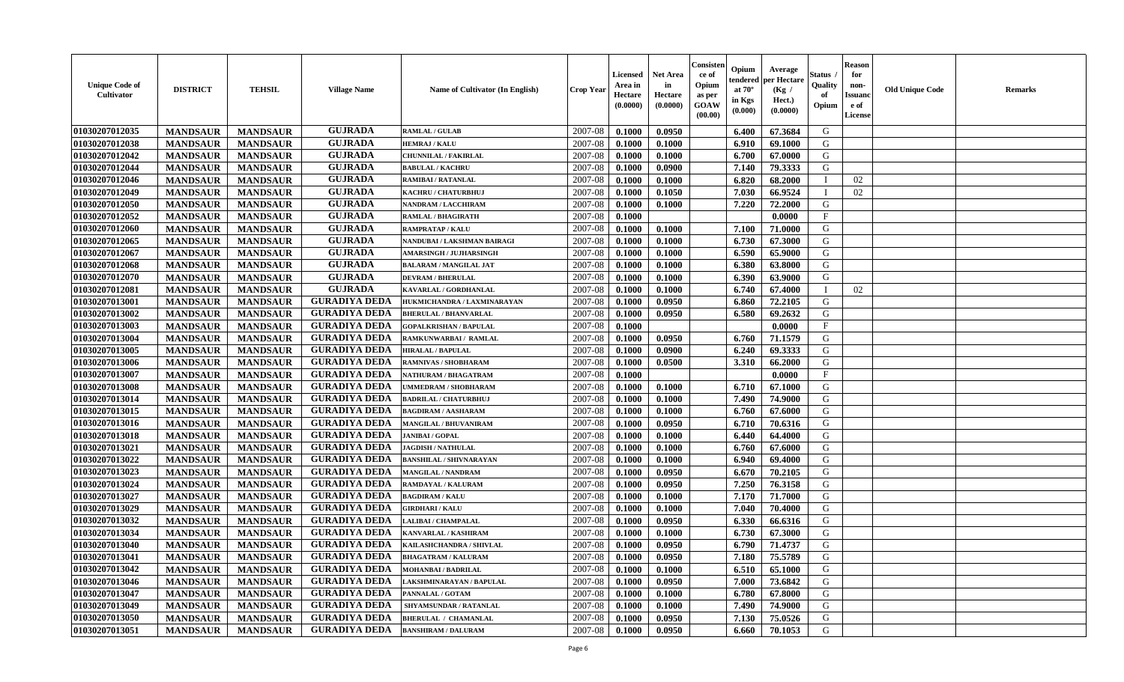| <b>Unique Code of</b><br>Cultivator | <b>DISTRICT</b> | <b>TEHSIL</b>   | <b>Village Name</b>  | <b>Name of Cultivator (In English)</b> | <b>Crop Year</b> | Licensed<br>Area in<br>Hectare<br>(0.0000) | Net Area<br>in<br>Hectare<br>(0.0000) | Consisten<br>ce of<br>Opium<br>as per<br>GOAW<br>(00.00) | Opium<br>endered<br>at $70^\circ$<br>in Kgs<br>$(\mathbf{0.000})$ | Average<br>per Hectare<br>(Kg /<br>Hect.)<br>(0.0000) | Status<br>Quality<br>of<br>Opium | <b>Reason</b><br>for<br>non-<br>Issuan<br>e of<br>License | <b>Old Unique Code</b> | Remarks |
|-------------------------------------|-----------------|-----------------|----------------------|----------------------------------------|------------------|--------------------------------------------|---------------------------------------|----------------------------------------------------------|-------------------------------------------------------------------|-------------------------------------------------------|----------------------------------|-----------------------------------------------------------|------------------------|---------|
| 01030207012035                      | <b>MANDSAUR</b> | <b>MANDSAUR</b> | <b>GUJRADA</b>       | <b>RAMLAL / GULAB</b>                  | 2007-08          | 0.1000                                     | 0.0950                                |                                                          | 6.400                                                             | 67.3684                                               | G                                |                                                           |                        |         |
| 01030207012038                      | <b>MANDSAUR</b> | <b>MANDSAUR</b> | <b>GUJRADA</b>       | <b>HEMRAJ / KALU</b>                   | 2007-08          | 0.1000                                     | 0.1000                                |                                                          | 6.910                                                             | 69.1000                                               | G                                |                                                           |                        |         |
| 01030207012042                      | <b>MANDSAUR</b> | <b>MANDSAUR</b> | <b>GUJRADA</b>       | CHUNNILAL / FAKIRLAL                   | 2007-08          | 0.1000                                     | 0.1000                                |                                                          | 6.700                                                             | 67.0000                                               | G                                |                                                           |                        |         |
| 01030207012044                      | <b>MANDSAUR</b> | <b>MANDSAUR</b> | <b>GUJRADA</b>       | <b>BABULAL / KACHRU</b>                | 2007-08          | 0.1000                                     | 0.0900                                |                                                          | 7.140                                                             | 79.3333                                               | G                                |                                                           |                        |         |
| 01030207012046                      | <b>MANDSAUR</b> | <b>MANDSAUR</b> | <b>GUJRADA</b>       | RAMIBAI / RATANLAL                     | 2007-08          | 0.1000                                     | 0.1000                                |                                                          | 6.820                                                             | 68.2000                                               |                                  | 02                                                        |                        |         |
| 01030207012049                      | <b>MANDSAUR</b> | <b>MANDSAUR</b> | <b>GUJRADA</b>       | KACHRU / CHATURBHUJ                    | 2007-08          | 0.1000                                     | 0.1050                                |                                                          | 7.030                                                             | 66.9524                                               |                                  | 02                                                        |                        |         |
| 01030207012050                      | <b>MANDSAUR</b> | <b>MANDSAUR</b> | <b>GUJRADA</b>       | <b>NANDRAM / LACCHIRAM</b>             | 2007-08          | 0.1000                                     | 0.1000                                |                                                          | 7.220                                                             | 72.2000                                               | G                                |                                                           |                        |         |
| 01030207012052                      | <b>MANDSAUR</b> | <b>MANDSAUR</b> | <b>GUJRADA</b>       | <b>RAMLAL / BHAGIRATH</b>              | 2007-08          | 0.1000                                     |                                       |                                                          |                                                                   | 0.0000                                                | $\mathbf{F}$                     |                                                           |                        |         |
| 01030207012060                      | <b>MANDSAUR</b> | <b>MANDSAUR</b> | <b>GUJRADA</b>       | <b>RAMPRATAP / KALU</b>                | 2007-08          | 0.1000                                     | 0.1000                                |                                                          | 7.100                                                             | 71.0000                                               | G                                |                                                           |                        |         |
| 01030207012065                      | <b>MANDSAUR</b> | <b>MANDSAUR</b> | <b>GUJRADA</b>       | NANDUBAI / LAKSHMAN BAIRAGI            | 2007-08          | 0.1000                                     | 0.1000                                |                                                          | 6.730                                                             | 67.3000                                               | G                                |                                                           |                        |         |
| 01030207012067                      | <b>MANDSAUR</b> | <b>MANDSAUR</b> | <b>GUJRADA</b>       | <b>AMARSINGH / JUJHARSINGH</b>         | 2007-08          | 0.1000                                     | 0.1000                                |                                                          | 6.590                                                             | 65.9000                                               | G                                |                                                           |                        |         |
| 01030207012068                      | <b>MANDSAUR</b> | <b>MANDSAUR</b> | <b>GUJRADA</b>       | <b>BALARAM / MANGILAL JAT</b>          | 2007-08          | 0.1000                                     | 0.1000                                |                                                          | 6.380                                                             | 63.8000                                               | G                                |                                                           |                        |         |
| 01030207012070                      | <b>MANDSAUR</b> | <b>MANDSAUR</b> | <b>GUJRADA</b>       | <b>DEVRAM / BHERULAL</b>               | 2007-08          | 0.1000                                     | 0.1000                                |                                                          | 6.390                                                             | 63.9000                                               | G                                |                                                           |                        |         |
| 01030207012081                      | <b>MANDSAUR</b> | <b>MANDSAUR</b> | <b>GUJRADA</b>       | KAVARLAL / GORDHANLAL                  | 2007-08          | 0.1000                                     | 0.1000                                |                                                          | 6.740                                                             | 67.4000                                               |                                  | 02                                                        |                        |         |
| 01030207013001                      | <b>MANDSAUR</b> | <b>MANDSAUR</b> | <b>GURADIYA DEDA</b> | HUKMICHANDRA / LAXMINARAYAN            | 2007-08          | 0.1000                                     | 0.0950                                |                                                          | 6.860                                                             | 72.2105                                               | G                                |                                                           |                        |         |
| 01030207013002                      | <b>MANDSAUR</b> | <b>MANDSAUR</b> | <b>GURADIYA DEDA</b> | <b>BHERULAL / BHANVARLAL</b>           | 2007-08          | 0.1000                                     | 0.0950                                |                                                          | 6.580                                                             | 69.2632                                               | G                                |                                                           |                        |         |
| 01030207013003                      | <b>MANDSAUR</b> | <b>MANDSAUR</b> | <b>GURADIYA DEDA</b> | <b>GOPALKRISHAN / BAPULAL</b>          | 2007-08          | 0.1000                                     |                                       |                                                          |                                                                   | 0.0000                                                | $\mathbf{F}$                     |                                                           |                        |         |
| 01030207013004                      | <b>MANDSAUR</b> | <b>MANDSAUR</b> | <b>GURADIYA DEDA</b> | RAMKUNWARBAI/ RAMLAL                   | 2007-08          | 0.1000                                     | 0.0950                                |                                                          | 6.760                                                             | 71.1579                                               | G                                |                                                           |                        |         |
| 01030207013005                      | <b>MANDSAUR</b> | <b>MANDSAUR</b> | <b>GURADIYA DEDA</b> | <b>HIRALAL / BAPULAL</b>               | 2007-08          | 0.1000                                     | 0.0900                                |                                                          | 6.240                                                             | 69.3333                                               | G                                |                                                           |                        |         |
| 01030207013006                      | <b>MANDSAUR</b> | <b>MANDSAUR</b> | <b>GURADIYA DEDA</b> | RAMNIVAS / SHOBHARAM                   | 2007-08          | 0.1000                                     | 0.0500                                |                                                          | 3.310                                                             | 66.2000                                               | G                                |                                                           |                        |         |
| 01030207013007                      | <b>MANDSAUR</b> | <b>MANDSAUR</b> | <b>GURADIYA DEDA</b> | NATHURAM / BHAGATRAM                   | 2007-08          | 0.1000                                     |                                       |                                                          |                                                                   | 0.0000                                                | $\mathbf{F}$                     |                                                           |                        |         |
| 01030207013008                      | <b>MANDSAUR</b> | <b>MANDSAUR</b> | <b>GURADIYA DEDA</b> | <b>JMMEDRAM / SHOBHARAM</b>            | 2007-08          | 0.1000                                     | 0.1000                                |                                                          | 6.710                                                             | 67.1000                                               | G                                |                                                           |                        |         |
| 01030207013014                      | <b>MANDSAUR</b> | <b>MANDSAUR</b> | <b>GURADIYA DEDA</b> | <b>BADRILAL / CHATURBHUJ</b>           | 2007-08          | 0.1000                                     | 0.1000                                |                                                          | 7.490                                                             | 74.9000                                               | G                                |                                                           |                        |         |
| 01030207013015                      | <b>MANDSAUR</b> | <b>MANDSAUR</b> | <b>GURADIYA DEDA</b> | <b>BAGDIRAM / AASHARAM</b>             | 2007-08          | 0.1000                                     | 0.1000                                |                                                          | 6.760                                                             | 67.6000                                               | G                                |                                                           |                        |         |
| 01030207013016                      | <b>MANDSAUR</b> | <b>MANDSAUR</b> | <b>GURADIYA DEDA</b> | <b>MANGILAL / BHUVANIRAM</b>           | 2007-08          | 0.1000                                     | 0.0950                                |                                                          | 6.710                                                             | 70.6316                                               | G                                |                                                           |                        |         |
| 01030207013018                      | <b>MANDSAUR</b> | <b>MANDSAUR</b> | <b>GURADIYA DEDA</b> | <b>JANIBAI / GOPAL</b>                 | 2007-08          | 0.1000                                     | 0.1000                                |                                                          | 6.440                                                             | 64.4000                                               | G                                |                                                           |                        |         |
| 01030207013021                      | <b>MANDSAUR</b> | <b>MANDSAUR</b> | <b>GURADIYA DEDA</b> | <b>JAGDISH / NATHULAL</b>              | 2007-08          | 0.1000                                     | 0.1000                                |                                                          | 6.760                                                             | 67.6000                                               | G                                |                                                           |                        |         |
| 01030207013022                      | <b>MANDSAUR</b> | <b>MANDSAUR</b> | <b>GURADIYA DEDA</b> | <b>BANSHILAL / SHIVNARAYAN</b>         | 2007-08          | 0.1000                                     | 0.1000                                |                                                          | 6.940                                                             | 69.4000                                               | G                                |                                                           |                        |         |
| 01030207013023                      | <b>MANDSAUR</b> | <b>MANDSAUR</b> | <b>GURADIYA DEDA</b> | MANGILAL / NANDRAM                     | 2007-08          | 0.1000                                     | 0.0950                                |                                                          | 6.670                                                             | 70.2105                                               | G                                |                                                           |                        |         |
| 01030207013024                      | <b>MANDSAUR</b> | <b>MANDSAUR</b> | <b>GURADIYA DEDA</b> | RAMDAYAL / KALURAM                     | 2007-08          | 0.1000                                     | 0.0950                                |                                                          | 7.250                                                             | 76.3158                                               | G                                |                                                           |                        |         |
| 01030207013027                      | <b>MANDSAUR</b> | <b>MANDSAUR</b> | <b>GURADIYA DEDA</b> | <b>BAGDIRAM / KALU</b>                 | 2007-08          | 0.1000                                     | 0.1000                                |                                                          | 7.170                                                             | 71.7000                                               | G                                |                                                           |                        |         |
| 01030207013029                      | <b>MANDSAUR</b> | <b>MANDSAUR</b> | <b>GURADIYA DEDA</b> | <b>GIRDHARI / KALU</b>                 | 2007-08          | 0.1000                                     | 0.1000                                |                                                          | 7.040                                                             | 70.4000                                               | G                                |                                                           |                        |         |
| 01030207013032                      | <b>MANDSAUR</b> | <b>MANDSAUR</b> | <b>GURADIYA DEDA</b> | LALIBAI / CHAMPALAL                    | 2007-08          | 0.1000                                     | 0.0950                                |                                                          | 6.330                                                             | 66.6316                                               | G                                |                                                           |                        |         |
| 01030207013034                      | <b>MANDSAUR</b> | <b>MANDSAUR</b> | <b>GURADIYA DEDA</b> | KANVARLAL / KASHIRAM                   | 2007-08          | 0.1000                                     | 0.1000                                |                                                          | 6.730                                                             | 67.3000                                               | G                                |                                                           |                        |         |
| 01030207013040                      | <b>MANDSAUR</b> | <b>MANDSAUR</b> | <b>GURADIYA DEDA</b> | KAILASHCHANDRA / SHIVLAL               | 2007-08          | 0.1000                                     | 0.0950                                |                                                          | 6.790                                                             | 71.4737                                               | G                                |                                                           |                        |         |
| 01030207013041                      | <b>MANDSAUR</b> | <b>MANDSAUR</b> | <b>GURADIYA DEDA</b> | <b>BHAGATRAM / KALURAM</b>             | 2007-08          | 0.1000                                     | 0.0950                                |                                                          | 7.180                                                             | 75.5789                                               | G                                |                                                           |                        |         |
| 01030207013042                      | <b>MANDSAUR</b> | <b>MANDSAUR</b> | <b>GURADIYA DEDA</b> | <b>MOHANBAI/BADRILAL</b>               | 2007-08          | 0.1000                                     | 0.1000                                |                                                          | 6.510                                                             | 65.1000                                               | G                                |                                                           |                        |         |
| 01030207013046                      | <b>MANDSAUR</b> | <b>MANDSAUR</b> | <b>GURADIYA DEDA</b> | LAKSHMINARAYAN / BAPULAL               | 2007-08          | 0.1000                                     | 0.0950                                |                                                          | 7.000                                                             | 73.6842                                               | G                                |                                                           |                        |         |
| 01030207013047                      | <b>MANDSAUR</b> | <b>MANDSAUR</b> | <b>GURADIYA DEDA</b> | PANNALAL / GOTAM                       | 2007-08          | 0.1000                                     | 0.1000                                |                                                          | 6.780                                                             | 67.8000                                               | G                                |                                                           |                        |         |
| 01030207013049                      | <b>MANDSAUR</b> | <b>MANDSAUR</b> | <b>GURADIYA DEDA</b> | SHYAMSUNDAR / RATANLAL                 | 2007-08          | 0.1000                                     | 0.1000                                |                                                          | 7.490                                                             | 74.9000                                               | G                                |                                                           |                        |         |
| 01030207013050                      | <b>MANDSAUR</b> | <b>MANDSAUR</b> | <b>GURADIYA DEDA</b> | <b>BHERULAL / CHAMANLAL</b>            | 2007-08          | 0.1000                                     | 0.0950                                |                                                          | 7.130                                                             | 75.0526                                               | G                                |                                                           |                        |         |
| 01030207013051                      | <b>MANDSAUR</b> | <b>MANDSAUR</b> | <b>GURADIYA DEDA</b> | <b>BANSHIRAM / DALURAM</b>             | 2007-08          | 0.1000                                     | 0.0950                                |                                                          | 6.660                                                             | 70.1053                                               | G                                |                                                           |                        |         |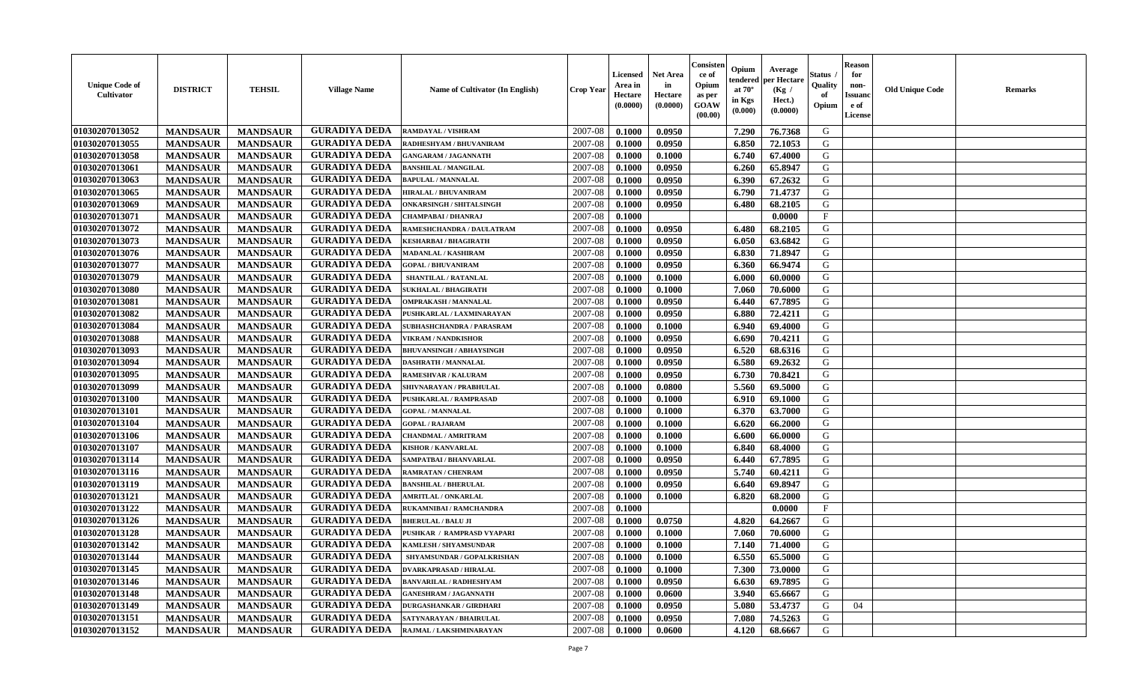| <b>Unique Code of</b><br><b>Cultivator</b> | <b>DISTRICT</b> | <b>TEHSIL</b>   | <b>Village Name</b>  | Name of Cultivator (In English)  | <b>Crop Year</b> | <b>Licensed</b><br>Area in<br>Hectare<br>(0.0000) | <b>Net Area</b><br>in<br>Hectare<br>(0.0000) | Consisteı<br>ce of<br>Opium<br>as per<br><b>GOAW</b><br>(00.00) | Opium<br>endered<br>at $70^\circ$<br>in Kgs<br>$(\mathbf{0.000})$ | Average<br>per Hectare<br>(Kg /<br>Hect.)<br>(0.0000) | Status<br>Quality<br>of<br>Opium | Reason<br>for<br>non-<br>Issuan<br>e of<br>License | <b>Old Unique Code</b> | <b>Remarks</b> |
|--------------------------------------------|-----------------|-----------------|----------------------|----------------------------------|------------------|---------------------------------------------------|----------------------------------------------|-----------------------------------------------------------------|-------------------------------------------------------------------|-------------------------------------------------------|----------------------------------|----------------------------------------------------|------------------------|----------------|
| 01030207013052                             | <b>MANDSAUR</b> | <b>MANDSAUR</b> | <b>GURADIYA DEDA</b> | <b>RAMDAYAL / VISHRAM</b>        | 2007-08          | 0.1000                                            | 0.0950                                       |                                                                 | 7.290                                                             | 76.7368                                               | G                                |                                                    |                        |                |
| 01030207013055                             | <b>MANDSAUR</b> | <b>MANDSAUR</b> | <b>GURADIYA DEDA</b> | RADHESHYAM / BHUVANIRAM          | 2007-08          | 0.1000                                            | 0.0950                                       |                                                                 | 6.850                                                             | 72.1053                                               | G                                |                                                    |                        |                |
| 01030207013058                             | <b>MANDSAUR</b> | <b>MANDSAUR</b> | <b>GURADIYA DEDA</b> | <b>GANGARAM / JAGANNATH</b>      | 2007-08          | 0.1000                                            | 0.1000                                       |                                                                 | 6.740                                                             | 67.4000                                               | G                                |                                                    |                        |                |
| 01030207013061                             | <b>MANDSAUR</b> | <b>MANDSAUR</b> | <b>GURADIYA DEDA</b> | <b>BANSHILAL / MANGILAL</b>      | 2007-08          | 0.1000                                            | 0.0950                                       |                                                                 | 6.260                                                             | 65.8947                                               | G                                |                                                    |                        |                |
| 01030207013063                             | <b>MANDSAUR</b> | <b>MANDSAUR</b> | <b>GURADIYA DEDA</b> | <b>BAPULAL / MANNALAL</b>        | 2007-08          | 0.1000                                            | 0.0950                                       |                                                                 | 6.390                                                             | 67.2632                                               | G                                |                                                    |                        |                |
| 01030207013065                             | <b>MANDSAUR</b> | <b>MANDSAUR</b> | <b>GURADIYA DEDA</b> | <b>HIRALAL / BHUVANIRAM</b>      | 2007-08          | 0.1000                                            | 0.0950                                       |                                                                 | 6.790                                                             | 71.4737                                               | G                                |                                                    |                        |                |
| 01030207013069                             | <b>MANDSAUR</b> | <b>MANDSAUR</b> | <b>GURADIYA DEDA</b> | <b>ONKARSINGH / SHITALSINGH</b>  | 2007-08          | 0.1000                                            | 0.0950                                       |                                                                 | 6.480                                                             | 68.2105                                               | G                                |                                                    |                        |                |
| 01030207013071                             | <b>MANDSAUR</b> | <b>MANDSAUR</b> | <b>GURADIYA DEDA</b> | CHAMPABAI / DHANRAJ              | 2007-08          | 0.1000                                            |                                              |                                                                 |                                                                   | 0.0000                                                | $\mathbf{F}$                     |                                                    |                        |                |
| 01030207013072                             | <b>MANDSAUR</b> | <b>MANDSAUR</b> | <b>GURADIYA DEDA</b> | RAMESHCHANDRA / DAULATRAM        | 2007-08          | 0.1000                                            | 0.0950                                       |                                                                 | 6.480                                                             | 68.2105                                               | G                                |                                                    |                        |                |
| 01030207013073                             | <b>MANDSAUR</b> | <b>MANDSAUR</b> | <b>GURADIYA DEDA</b> | KESHARBAI / BHAGIRATH            | 2007-08          | 0.1000                                            | 0.0950                                       |                                                                 | 6.050                                                             | 63.6842                                               | G                                |                                                    |                        |                |
| 01030207013076                             | <b>MANDSAUR</b> | <b>MANDSAUR</b> | <b>GURADIYA DEDA</b> | <b>MADANLAL / KASHIRAM</b>       | 2007-08          | 0.1000                                            | 0.0950                                       |                                                                 | 6.830                                                             | 71.8947                                               | G                                |                                                    |                        |                |
| 01030207013077                             | <b>MANDSAUR</b> | <b>MANDSAUR</b> | <b>GURADIYA DEDA</b> | <b>GOPAL / BHUVANIRAM</b>        | 2007-08          | 0.1000                                            | 0.0950                                       |                                                                 | 6.360                                                             | 66.9474                                               | G                                |                                                    |                        |                |
| 01030207013079                             | <b>MANDSAUR</b> | <b>MANDSAUR</b> | <b>GURADIYA DEDA</b> | <b>SHANTILAL / RATANLAL</b>      | 2007-08          | 0.1000                                            | 0.1000                                       |                                                                 | 6.000                                                             | 60.0000                                               | G                                |                                                    |                        |                |
| 01030207013080                             | <b>MANDSAUR</b> | <b>MANDSAUR</b> | <b>GURADIYA DEDA</b> | <b>SUKHALAL / BHAGIRATH</b>      | 2007-08          | 0.1000                                            | 0.1000                                       |                                                                 | 7.060                                                             | 70.6000                                               | G                                |                                                    |                        |                |
| 01030207013081                             | <b>MANDSAUR</b> | <b>MANDSAUR</b> | <b>GURADIYA DEDA</b> | <b>OMPRAKASH / MANNALAL</b>      | 2007-08          | 0.1000                                            | 0.0950                                       |                                                                 | 6.440                                                             | 67.7895                                               | G                                |                                                    |                        |                |
| 01030207013082                             | <b>MANDSAUR</b> | <b>MANDSAUR</b> | <b>GURADIYA DEDA</b> | PUSHKARLAL / LAXMINARAYAN        | 2007-08          | 0.1000                                            | 0.0950                                       |                                                                 | 6.880                                                             | 72.4211                                               | G                                |                                                    |                        |                |
| 01030207013084                             | <b>MANDSAUR</b> | <b>MANDSAUR</b> | <b>GURADIYA DEDA</b> | <b>SUBHASHCHANDRA / PARASRAM</b> | 2007-08          | 0.1000                                            | 0.1000                                       |                                                                 | 6.940                                                             | 69.4000                                               | G                                |                                                    |                        |                |
| 01030207013088                             | <b>MANDSAUR</b> | <b>MANDSAUR</b> | <b>GURADIYA DEDA</b> | <b>VIKRAM / NANDKISHOR</b>       | 2007-08          | 0.1000                                            | 0.0950                                       |                                                                 | 6.690                                                             | 70.4211                                               | G                                |                                                    |                        |                |
| 01030207013093                             | <b>MANDSAUR</b> | <b>MANDSAUR</b> | <b>GURADIYA DEDA</b> | <b>BHUVANSINGH / ABHAYSINGH</b>  | 2007-08          | 0.1000                                            | 0.0950                                       |                                                                 | 6.520                                                             | 68.6316                                               | G                                |                                                    |                        |                |
| 01030207013094                             | <b>MANDSAUR</b> | <b>MANDSAUR</b> | <b>GURADIYA DEDA</b> | <b>DASHRATH / MANNALAL</b>       | 2007-08          | 0.1000                                            | 0.0950                                       |                                                                 | 6.580                                                             | 69.2632                                               | G                                |                                                    |                        |                |
| 01030207013095                             | <b>MANDSAUR</b> | <b>MANDSAUR</b> | <b>GURADIYA DEDA</b> | RAMESHVAR / KALURAM              | 2007-08          | 0.1000                                            | 0.0950                                       |                                                                 | 6.730                                                             | 70.8421                                               | G                                |                                                    |                        |                |
| 01030207013099                             | <b>MANDSAUR</b> | <b>MANDSAUR</b> | <b>GURADIYA DEDA</b> | SHIVNARAYAN / PRABHULAL          | 2007-08          | 0.1000                                            | 0.0800                                       |                                                                 | 5.560                                                             | 69.5000                                               | G                                |                                                    |                        |                |
| 01030207013100                             | <b>MANDSAUR</b> | <b>MANDSAUR</b> | <b>GURADIYA DEDA</b> | PUSHKARLAL / RAMPRASAD           | 2007-08          | 0.1000                                            | 0.1000                                       |                                                                 | 6.910                                                             | 69.1000                                               | G                                |                                                    |                        |                |
| 01030207013101                             | <b>MANDSAUR</b> | <b>MANDSAUR</b> | <b>GURADIYA DEDA</b> | <b>GOPAL / MANNALAL</b>          | 2007-08          | 0.1000                                            | 0.1000                                       |                                                                 | 6.370                                                             | 63.7000                                               | G                                |                                                    |                        |                |
| 01030207013104                             | <b>MANDSAUR</b> | <b>MANDSAUR</b> | <b>GURADIYA DEDA</b> | <b>GOPAL / RAJARAM</b>           | 2007-08          | 0.1000                                            | 0.1000                                       |                                                                 | 6.620                                                             | 66.2000                                               | G                                |                                                    |                        |                |
| 01030207013106                             | <b>MANDSAUR</b> | <b>MANDSAUR</b> | <b>GURADIYA DEDA</b> | <b>CHANDMAL / AMRITRAM</b>       | 2007-08          | 0.1000                                            | 0.1000                                       |                                                                 | 6.600                                                             | 66.0000                                               | G                                |                                                    |                        |                |
| 01030207013107                             | <b>MANDSAUR</b> | <b>MANDSAUR</b> | <b>GURADIYA DEDA</b> | KISHOR / KANVARLAL               | 2007-08          | 0.1000                                            | 0.1000                                       |                                                                 | 6.840                                                             | 68.4000                                               | G                                |                                                    |                        |                |
| 01030207013114                             | <b>MANDSAUR</b> | <b>MANDSAUR</b> | <b>GURADIYA DEDA</b> | SAMPATBAI / BHANVARLAL           | 2007-08          | 0.1000                                            | 0.0950                                       |                                                                 | 6.440                                                             | 67.7895                                               | G                                |                                                    |                        |                |
| 01030207013116                             | <b>MANDSAUR</b> | <b>MANDSAUR</b> | <b>GURADIYA DEDA</b> | RAMRATAN / CHENRAM               | 2007-08          | 0.1000                                            | 0.0950                                       |                                                                 | 5.740                                                             | 60.4211                                               | G                                |                                                    |                        |                |
| 01030207013119                             | <b>MANDSAUR</b> | <b>MANDSAUR</b> | <b>GURADIYA DEDA</b> | <b>BANSHILAL / BHERULAL</b>      | 2007-08          | 0.1000                                            | 0.0950                                       |                                                                 | 6.640                                                             | 69.8947                                               | G                                |                                                    |                        |                |
| 01030207013121                             | <b>MANDSAUR</b> | <b>MANDSAUR</b> | <b>GURADIYA DEDA</b> | <b>AMRITLAL / ONKARLAL</b>       | 2007-08          | 0.1000                                            | 0.1000                                       |                                                                 | 6.820                                                             | 68.2000                                               | G                                |                                                    |                        |                |
| 01030207013122                             | <b>MANDSAUR</b> | <b>MANDSAUR</b> | <b>GURADIYA DEDA</b> | RUKAMNIBAI / RAMCHANDRA          | 2007-08          | 0.1000                                            |                                              |                                                                 |                                                                   | 0.0000                                                | $\mathbf{F}$                     |                                                    |                        |                |
| 01030207013126                             | <b>MANDSAUR</b> | <b>MANDSAUR</b> | <b>GURADIYA DEDA</b> | <b>BHERULAL / BALU JI</b>        | 2007-08          | 0.1000                                            | 0.0750                                       |                                                                 | 4.820                                                             | 64.2667                                               | G                                |                                                    |                        |                |
| 01030207013128                             | <b>MANDSAUR</b> | <b>MANDSAUR</b> | <b>GURADIYA DEDA</b> | PUSHKAR / RAMPRASD VYAPARI       | 2007-08          | 0.1000                                            | 0.1000                                       |                                                                 | 7.060                                                             | 70.6000                                               | G                                |                                                    |                        |                |
| 01030207013142                             | <b>MANDSAUR</b> | <b>MANDSAUR</b> | <b>GURADIYA DEDA</b> | KAMLESH / SHYAMSUNDAR            | 2007-08          | 0.1000                                            | 0.1000                                       |                                                                 | 7.140                                                             | 71.4000                                               | G                                |                                                    |                        |                |
| 01030207013144                             | <b>MANDSAUR</b> | <b>MANDSAUR</b> | <b>GURADIYA DEDA</b> | SHYAMSUNDAR / GOPALKRISHAN       | 2007-08          | 0.1000                                            | 0.1000                                       |                                                                 | 6.550                                                             | 65.5000                                               | G                                |                                                    |                        |                |
| 01030207013145                             | <b>MANDSAUR</b> | <b>MANDSAUR</b> | <b>GURADIYA DEDA</b> | <b>DVARKAPRASAD / HIRALAL</b>    | 2007-08          | 0.1000                                            | 0.1000                                       |                                                                 | 7.300                                                             | 73.0000                                               | G                                |                                                    |                        |                |
| 01030207013146                             | <b>MANDSAUR</b> | <b>MANDSAUR</b> | <b>GURADIYA DEDA</b> | <b>BANVARILAL / RADHESHYAM</b>   | 2007-08          | 0.1000                                            | 0.0950                                       |                                                                 | 6.630                                                             | 69.7895                                               | G                                |                                                    |                        |                |
| 01030207013148                             | <b>MANDSAUR</b> | <b>MANDSAUR</b> | <b>GURADIYA DEDA</b> | <b>GANESHRAM / JAGANNATH</b>     | 2007-08          | 0.1000                                            | 0.0600                                       |                                                                 | 3.940                                                             | 65.6667                                               | G                                |                                                    |                        |                |
| 01030207013149                             | <b>MANDSAUR</b> | <b>MANDSAUR</b> | <b>GURADIYA DEDA</b> | <b>DURGASHANKAR / GIRDHARI</b>   | 2007-08          | 0.1000                                            | 0.0950                                       |                                                                 | 5.080                                                             | 53.4737                                               | G                                | 04                                                 |                        |                |
| 01030207013151                             | <b>MANDSAUR</b> | <b>MANDSAUR</b> | <b>GURADIYA DEDA</b> | SATYNARAYAN / BHAIRULAL          | 2007-08          | 0.1000                                            | 0.0950                                       |                                                                 | 7.080                                                             | 74.5263                                               | G                                |                                                    |                        |                |
| 01030207013152                             | <b>MANDSAUR</b> | <b>MANDSAUR</b> | <b>GURADIYA DEDA</b> | RAJMAL / LAKSHMINARAYAN          | 2007-08          | 0.1000                                            | 0.0600                                       |                                                                 | 4.120                                                             | 68.6667                                               | G                                |                                                    |                        |                |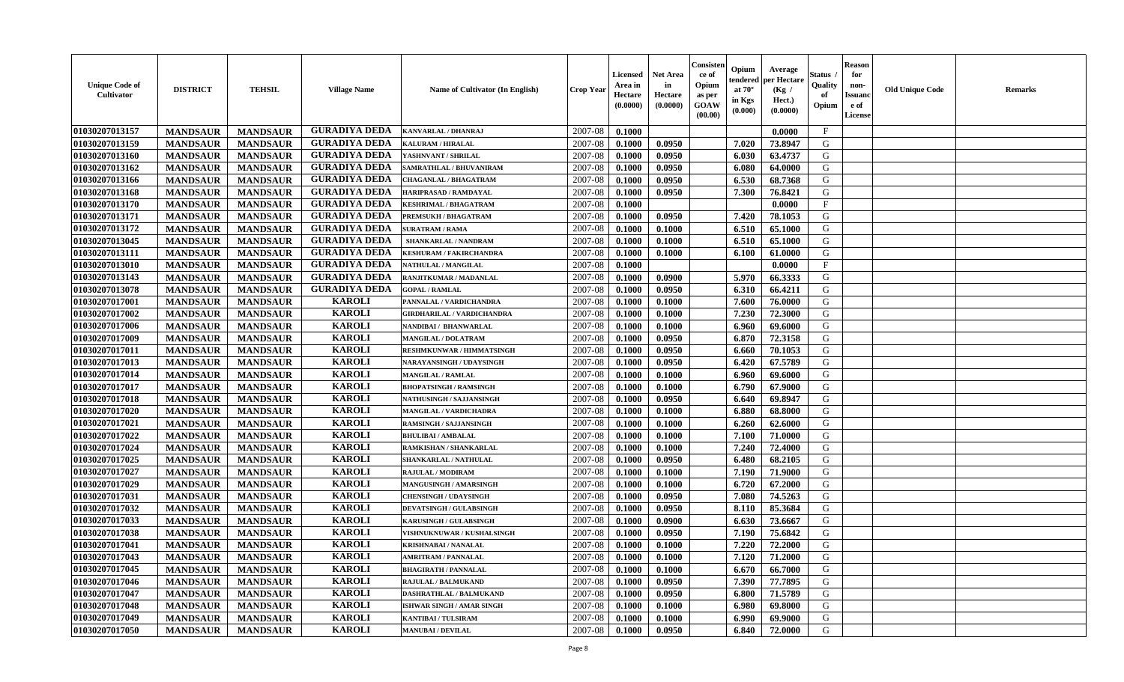| <b>Unique Code of</b><br><b>Cultivator</b> | <b>DISTRICT</b> | <b>TEHSIL</b>   | <b>Village Name</b>  | <b>Name of Cultivator (In English)</b> | <b>Crop Year</b> | <b>Licensed</b><br>Area in<br>Hectare<br>(0.0000) | <b>Net Area</b><br>in<br>Hectare<br>(0.0000) | Consister<br>ce of<br>Opium<br>as per<br><b>GOAW</b><br>(00.00) | Opium<br>endered<br>at $70^\circ$<br>in Kgs<br>(0.000) | Average<br>per Hectare<br>(Kg /<br>Hect.)<br>(0.0000) | Status<br>Quality<br>of<br>Opium | <b>Reason</b><br>for<br>non-<br><b>Issuand</b><br>e of<br><b>License</b> | <b>Old Unique Code</b> | <b>Remarks</b> |
|--------------------------------------------|-----------------|-----------------|----------------------|----------------------------------------|------------------|---------------------------------------------------|----------------------------------------------|-----------------------------------------------------------------|--------------------------------------------------------|-------------------------------------------------------|----------------------------------|--------------------------------------------------------------------------|------------------------|----------------|
| 01030207013157                             | <b>MANDSAUR</b> | <b>MANDSAUR</b> | <b>GURADIYA DEDA</b> | <b>KANVARLAL / DHANRAJ</b>             | 2007-08          | 0.1000                                            |                                              |                                                                 |                                                        | 0.0000                                                | $\mathbf{F}$                     |                                                                          |                        |                |
| 01030207013159                             | <b>MANDSAUR</b> | <b>MANDSAUR</b> | <b>GURADIYA DEDA</b> | <b>KALURAM / HIRALAL</b>               | 2007-08          | 0.1000                                            | 0.0950                                       |                                                                 | 7.020                                                  | 73.8947                                               | G                                |                                                                          |                        |                |
| 01030207013160                             | <b>MANDSAUR</b> | <b>MANDSAUR</b> | <b>GURADIYA DEDA</b> | YASHNVANT / SHRILAL                    | 2007-08          | 0.1000                                            | 0.0950                                       |                                                                 | 6.030                                                  | 63.4737                                               | G                                |                                                                          |                        |                |
| 01030207013162                             | <b>MANDSAUR</b> | <b>MANDSAUR</b> | <b>GURADIYA DEDA</b> | SAMRATHLAL / BHUVANIRAM                | 2007-08          | 0.1000                                            | 0.0950                                       |                                                                 | 6.080                                                  | 64.0000                                               | G                                |                                                                          |                        |                |
| 01030207013166                             | <b>MANDSAUR</b> | <b>MANDSAUR</b> | <b>GURADIYA DEDA</b> | <b>CHAGANLAL / BHAGATRAM</b>           | 2007-08          | 0.1000                                            | 0.0950                                       |                                                                 | 6.530                                                  | 68.7368                                               | G                                |                                                                          |                        |                |
| 01030207013168                             | <b>MANDSAUR</b> | <b>MANDSAUR</b> | <b>GURADIYA DEDA</b> | HARIPRASAD / RAMDAYAL                  | 2007-08          | 0.1000                                            | 0.0950                                       |                                                                 | 7.300                                                  | 76.8421                                               | G                                |                                                                          |                        |                |
| 01030207013170                             | <b>MANDSAUR</b> | <b>MANDSAUR</b> | <b>GURADIYA DEDA</b> | <b>KESHRIMAL / BHAGATRAM</b>           | 2007-08          | 0.1000                                            |                                              |                                                                 |                                                        | 0.0000                                                | F                                |                                                                          |                        |                |
| 01030207013171                             | <b>MANDSAUR</b> | <b>MANDSAUR</b> | <b>GURADIYA DEDA</b> | PREMSUKH / BHAGATRAM                   | 2007-08          | 0.1000                                            | 0.0950                                       |                                                                 | 7.420                                                  | 78.1053                                               | G                                |                                                                          |                        |                |
| 01030207013172                             | <b>MANDSAUR</b> | <b>MANDSAUR</b> | <b>GURADIYA DEDA</b> | <b>SURATRAM / RAMA</b>                 | 2007-08          | 0.1000                                            | 0.1000                                       |                                                                 | 6.510                                                  | 65.1000                                               | G                                |                                                                          |                        |                |
| 01030207013045                             | <b>MANDSAUR</b> | <b>MANDSAUR</b> | <b>GURADIYA DEDA</b> | SHANKARLAL / NANDRAM                   | 2007-08          | 0.1000                                            | 0.1000                                       |                                                                 | 6.510                                                  | 65.1000                                               | G                                |                                                                          |                        |                |
| 01030207013111                             | <b>MANDSAUR</b> | <b>MANDSAUR</b> | <b>GURADIYA DEDA</b> | <b>KESHURAM / FAKIRCHANDRA</b>         | 2007-08          | 0.1000                                            | 0.1000                                       |                                                                 | 6.100                                                  | 61.0000                                               | G                                |                                                                          |                        |                |
| 01030207013010                             | <b>MANDSAUR</b> | <b>MANDSAUR</b> | <b>GURADIYA DEDA</b> | NATHULAL / MANGILAL                    | 2007-08          | 0.1000                                            |                                              |                                                                 |                                                        | 0.0000                                                | $\mathbf{F}$                     |                                                                          |                        |                |
| 01030207013143                             | <b>MANDSAUR</b> | <b>MANDSAUR</b> | <b>GURADIYA DEDA</b> | RANJITKUMAR / MADANLAL                 | 2007-08          | 0.1000                                            | 0.0900                                       |                                                                 | 5.970                                                  | 66.3333                                               | G                                |                                                                          |                        |                |
| 01030207013078                             | <b>MANDSAUR</b> | <b>MANDSAUR</b> | <b>GURADIYA DEDA</b> | <b>GOPAL / RAMLAL</b>                  | 2007-08          | 0.1000                                            | 0.0950                                       |                                                                 | 6.310                                                  | 66.4211                                               | G                                |                                                                          |                        |                |
| 01030207017001                             | <b>MANDSAUR</b> | <b>MANDSAUR</b> | <b>KAROLI</b>        | PANNALAL / VARDICHANDRA                | 2007-08          | 0.1000                                            | 0.1000                                       |                                                                 | 7.600                                                  | 76.0000                                               | G                                |                                                                          |                        |                |
| 01030207017002                             | <b>MANDSAUR</b> | <b>MANDSAUR</b> | <b>KAROLI</b>        | <b>GIRDHARILAL / VARDICHANDRA</b>      | 2007-08          | 0.1000                                            | 0.1000                                       |                                                                 | 7.230                                                  | 72.3000                                               | G                                |                                                                          |                        |                |
| 01030207017006                             | <b>MANDSAUR</b> | <b>MANDSAUR</b> | <b>KAROLI</b>        | NANDIBAI / BHANWARLAL                  | 2007-08          | 0.1000                                            | 0.1000                                       |                                                                 | 6.960                                                  | 69.6000                                               | G                                |                                                                          |                        |                |
| 01030207017009                             | <b>MANDSAUR</b> | <b>MANDSAUR</b> | <b>KAROLI</b>        | <b>MANGILAL / DOLATRAM</b>             | 2007-08          | 0.1000                                            | 0.0950                                       |                                                                 | 6.870                                                  | 72.3158                                               | G                                |                                                                          |                        |                |
| 01030207017011                             | <b>MANDSAUR</b> | <b>MANDSAUR</b> | <b>KAROLI</b>        | <b>RESHMKUNWAR / HIMMATSINGH</b>       | 2007-08          | 0.1000                                            | 0.0950                                       |                                                                 | 6.660                                                  | 70.1053                                               | G                                |                                                                          |                        |                |
| 01030207017013                             | <b>MANDSAUR</b> | <b>MANDSAUR</b> | <b>KAROLI</b>        | <b>NARAYANSINGH / UDAYSINGH</b>        | 2007-08          | 0.1000                                            | 0.0950                                       |                                                                 | 6.420                                                  | 67.5789                                               | G                                |                                                                          |                        |                |
| 01030207017014                             | <b>MANDSAUR</b> | <b>MANDSAUR</b> | <b>KAROLI</b>        | <b>MANGILAL / RAMLAL</b>               | 2007-08          | 0.1000                                            | 0.1000                                       |                                                                 | 6.960                                                  | 69.6000                                               | G                                |                                                                          |                        |                |
| 01030207017017                             | <b>MANDSAUR</b> | <b>MANDSAUR</b> | <b>KAROLI</b>        | <b>BHOPATSINGH / RAMSINGH</b>          | 2007-08          | 0.1000                                            | 0.1000                                       |                                                                 | 6.790                                                  | 67.9000                                               | G                                |                                                                          |                        |                |
| 01030207017018                             | <b>MANDSAUR</b> | <b>MANDSAUR</b> | <b>KAROLI</b>        | NATHUSINGH / SAJJANSINGH               | 2007-08          | 0.1000                                            | 0.0950                                       |                                                                 | 6.640                                                  | 69.8947                                               | G                                |                                                                          |                        |                |
| 01030207017020                             | <b>MANDSAUR</b> | <b>MANDSAUR</b> | <b>KAROLI</b>        | MANGILAL / VARDICHADRA                 | 2007-08          | 0.1000                                            | 0.1000                                       |                                                                 | 6.880                                                  | 68.8000                                               | G                                |                                                                          |                        |                |
| 01030207017021                             | <b>MANDSAUR</b> | <b>MANDSAUR</b> | <b>KAROLI</b>        | <b>RAMSINGH / SAJJANSINGH</b>          | 2007-08          | 0.1000                                            | 0.1000                                       |                                                                 | 6.260                                                  | 62.6000                                               | G                                |                                                                          |                        |                |
| 01030207017022                             | <b>MANDSAUR</b> | <b>MANDSAUR</b> | <b>KAROLI</b>        | <b>BHULIBAI / AMBALAL</b>              | 2007-08          | 0.1000                                            | 0.1000                                       |                                                                 | 7.100                                                  | 71.0000                                               | G                                |                                                                          |                        |                |
| 01030207017024                             | <b>MANDSAUR</b> | <b>MANDSAUR</b> | <b>KAROLI</b>        | RAMKISHAN / SHANKARLAL                 | 2007-08          | 0.1000                                            | 0.1000                                       |                                                                 | 7.240                                                  | 72.4000                                               | G                                |                                                                          |                        |                |
| 01030207017025                             | <b>MANDSAUR</b> | <b>MANDSAUR</b> | <b>KAROLI</b>        | SHANKARLAL / NATHULAL                  | 2007-08          | 0.1000                                            | 0.0950                                       |                                                                 | 6.480                                                  | 68.2105                                               | G                                |                                                                          |                        |                |
| 01030207017027                             | <b>MANDSAUR</b> | <b>MANDSAUR</b> | <b>KAROLI</b>        | RAJULAL / MODIRAM                      | 2007-08          | 0.1000                                            | 0.1000                                       |                                                                 | 7.190                                                  | 71.9000                                               | G                                |                                                                          |                        |                |
| 01030207017029                             | <b>MANDSAUR</b> | <b>MANDSAUR</b> | <b>KAROLI</b>        | <b>MANGUSINGH / AMARSINGH</b>          | 2007-08          | 0.1000                                            | 0.1000                                       |                                                                 | 6.720                                                  | 67.2000                                               | G                                |                                                                          |                        |                |
| 01030207017031                             | <b>MANDSAUR</b> | <b>MANDSAUR</b> | <b>KAROLI</b>        | <b>CHENSINGH / UDAYSINGH</b>           | 2007-08          | 0.1000                                            | 0.0950                                       |                                                                 | 7.080                                                  | 74.5263                                               | G                                |                                                                          |                        |                |
| 01030207017032                             | <b>MANDSAUR</b> | <b>MANDSAUR</b> | <b>KAROLI</b>        | <b>DEVATSINGH / GULABSINGH</b>         | 2007-08          | 0.1000                                            | 0.0950                                       |                                                                 | 8.110                                                  | 85.3684                                               | ${\bf G}$                        |                                                                          |                        |                |
| 01030207017033                             | <b>MANDSAUR</b> | <b>MANDSAUR</b> | <b>KAROLI</b>        | <b>KARUSINGH / GULABSINGH</b>          | 2007-08          | 0.1000                                            | 0.0900                                       |                                                                 | 6.630                                                  | 73.6667                                               | G                                |                                                                          |                        |                |
| 01030207017038                             | <b>MANDSAUR</b> | <b>MANDSAUR</b> | <b>KAROLI</b>        | VISHNUKNUWAR / KUSHALSINGH             | 2007-08          | 0.1000                                            | 0.0950                                       |                                                                 | 7.190                                                  | 75.6842                                               | G                                |                                                                          |                        |                |
| 01030207017041                             | <b>MANDSAUR</b> | <b>MANDSAUR</b> | <b>KAROLI</b>        | <b>KRISHNABAI / NANALAL</b>            | 2007-08          | 0.1000                                            | 0.1000                                       |                                                                 | 7.220                                                  | 72.2000                                               | G                                |                                                                          |                        |                |
| 01030207017043                             | <b>MANDSAUR</b> | <b>MANDSAUR</b> | <b>KAROLI</b>        | <b>AMRITRAM / PANNALAL</b>             | 2007-08          | 0.1000                                            | 0.1000                                       |                                                                 | 7.120                                                  | 71.2000                                               | G                                |                                                                          |                        |                |
| 01030207017045                             | <b>MANDSAUR</b> | <b>MANDSAUR</b> | <b>KAROLI</b>        | <b>BHAGIRATH / PANNALAL</b>            | 2007-08          | 0.1000                                            | 0.1000                                       |                                                                 | 6.670                                                  | 66.7000                                               | G                                |                                                                          |                        |                |
| 01030207017046                             | <b>MANDSAUR</b> | <b>MANDSAUR</b> | <b>KAROLI</b>        | <b>RAJULAL / BALMUKAND</b>             | 2007-08          | 0.1000                                            | 0.0950                                       |                                                                 | 7.390                                                  | 77.7895                                               | G                                |                                                                          |                        |                |
| 01030207017047                             | <b>MANDSAUR</b> | <b>MANDSAUR</b> | <b>KAROLI</b>        | <b>DASHRATHLAL / BALMUKAND</b>         | 2007-08          | 0.1000                                            | 0.0950                                       |                                                                 | 6.800                                                  | 71.5789                                               | G                                |                                                                          |                        |                |
| 01030207017048                             | <b>MANDSAUR</b> | <b>MANDSAUR</b> | <b>KAROLI</b>        | ISHWAR SINGH / AMAR SINGH              | 2007-08          | 0.1000                                            | 0.1000                                       |                                                                 | 6.980                                                  | 69.8000                                               | $\mathbf G$                      |                                                                          |                        |                |
| 01030207017049                             | <b>MANDSAUR</b> | <b>MANDSAUR</b> | <b>KAROLI</b>        | <b>KANTIBAI / TULSIRAM</b>             | 2007-08          | 0.1000                                            | 0.1000                                       |                                                                 | 6.990                                                  | 69.9000                                               | G                                |                                                                          |                        |                |
| 01030207017050                             | <b>MANDSAUR</b> | <b>MANDSAUR</b> | <b>KAROLI</b>        | <b>MANUBAI/DEVILAL</b>                 | 2007-08          | 0.1000                                            | 0.0950                                       |                                                                 | 6.840                                                  | 72.0000                                               | G                                |                                                                          |                        |                |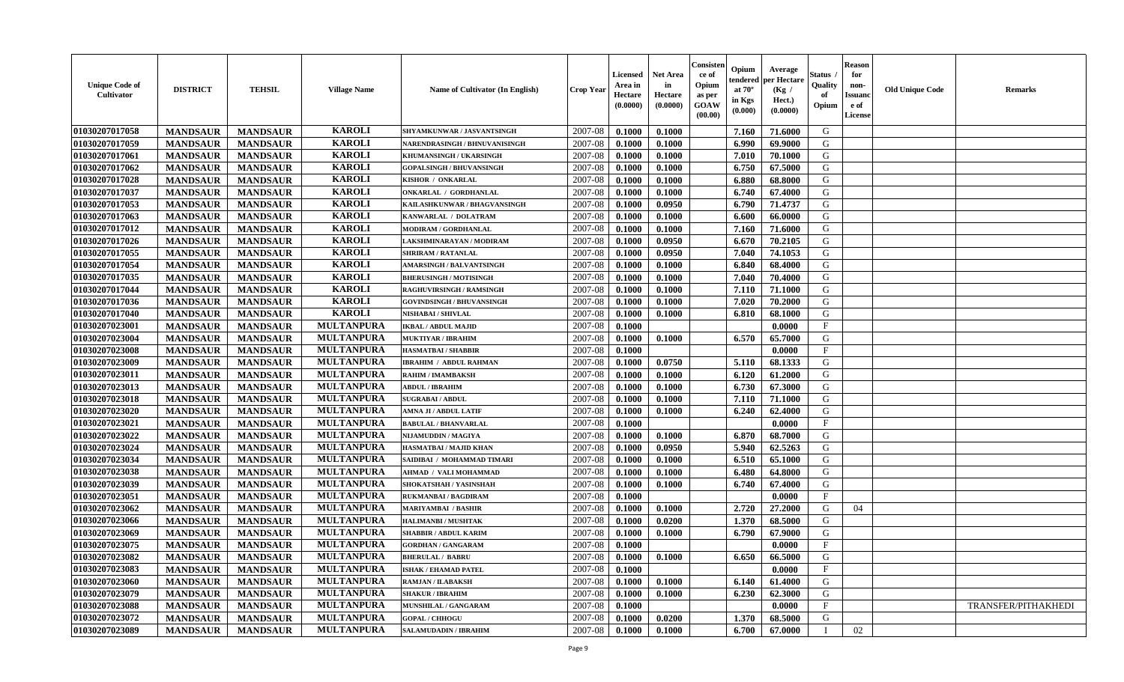| <b>Unique Code of</b><br><b>Cultivator</b> | <b>DISTRICT</b> | <b>TEHSIL</b>   | <b>Village Name</b> | <b>Name of Cultivator (In English)</b> | <b>Crop Year</b> | <b>Licensed</b><br>Area in<br>Hectare<br>(0.0000) | <b>Net Area</b><br>in<br>Hectare<br>(0.0000) | Consister<br>ce of<br>Opium<br>as per<br><b>GOAW</b><br>(00.00) | Opium<br>endered<br>at $70^{\circ}$<br>in Kgs<br>$(\mathbf{0.000})$ | Average<br>per Hectare<br>(Kg)<br>Hect.)<br>(0.0000) | Status<br>Quality<br>of<br>Opium | <b>Reason</b><br>for<br>non-<br><b>Issuano</b><br>e of<br>License | <b>Old Unique Code</b> | <b>Remarks</b>      |
|--------------------------------------------|-----------------|-----------------|---------------------|----------------------------------------|------------------|---------------------------------------------------|----------------------------------------------|-----------------------------------------------------------------|---------------------------------------------------------------------|------------------------------------------------------|----------------------------------|-------------------------------------------------------------------|------------------------|---------------------|
| 01030207017058                             | <b>MANDSAUR</b> | <b>MANDSAUR</b> | <b>KAROLI</b>       | SHYAMKUNWAR / JASVANTSINGH             | 2007-08          | 0.1000                                            | 0.1000                                       |                                                                 | 7.160                                                               | 71.6000                                              | G                                |                                                                   |                        |                     |
| 01030207017059                             | <b>MANDSAUR</b> | <b>MANDSAUR</b> | <b>KAROLI</b>       | NARENDRASINGH / BHNUVANISINGH          | 2007-08          | 0.1000                                            | 0.1000                                       |                                                                 | 6.990                                                               | 69.9000                                              | G                                |                                                                   |                        |                     |
| 01030207017061                             | <b>MANDSAUR</b> | <b>MANDSAUR</b> | <b>KAROLI</b>       | KHUMANSINGH / UKARSINGH                | 2007-08          | 0.1000                                            | 0.1000                                       |                                                                 | 7.010                                                               | 70.1000                                              | G                                |                                                                   |                        |                     |
| 01030207017062                             | <b>MANDSAUR</b> | <b>MANDSAUR</b> | <b>KAROLI</b>       | <b>GOPALSINGH / BHUVANSINGH</b>        | 2007-08          | 0.1000                                            | 0.1000                                       |                                                                 | 6.750                                                               | 67.5000                                              | G                                |                                                                   |                        |                     |
| 01030207017028                             | <b>MANDSAUR</b> | <b>MANDSAUR</b> | <b>KAROLI</b>       | KISHOR / ONKARLAL                      | 2007-08          | 0.1000                                            | 0.1000                                       |                                                                 | 6.880                                                               | 68.8000                                              | G                                |                                                                   |                        |                     |
| 01030207017037                             | <b>MANDSAUR</b> | <b>MANDSAUR</b> | <b>KAROLI</b>       | <b>ONKARLAL / GORDHANLAL</b>           | 2007-08          | 0.1000                                            | 0.1000                                       |                                                                 | 6.740                                                               | 67.4000                                              | G                                |                                                                   |                        |                     |
| 01030207017053                             | <b>MANDSAUR</b> | <b>MANDSAUR</b> | <b>KAROLI</b>       | KAILASHKUNWAR / BHAGVANSINGH           | 2007-08          | 0.1000                                            | 0.0950                                       |                                                                 | 6.790                                                               | 71,4737                                              | G                                |                                                                   |                        |                     |
| 01030207017063                             | <b>MANDSAUR</b> | <b>MANDSAUR</b> | <b>KAROLI</b>       | KANWARLAL / DOLATRAM                   | 2007-08          | 0.1000                                            | 0.1000                                       |                                                                 | 6.600                                                               | 66.0000                                              | G                                |                                                                   |                        |                     |
| 01030207017012                             | <b>MANDSAUR</b> | <b>MANDSAUR</b> | <b>KAROLI</b>       | MODIRAM / GORDHANLAL                   | 2007-08          | 0.1000                                            | 0.1000                                       |                                                                 | 7.160                                                               | 71.6000                                              | G                                |                                                                   |                        |                     |
| 01030207017026                             | <b>MANDSAUR</b> | <b>MANDSAUR</b> | <b>KAROLI</b>       | LAKSHMINARAYAN / MODIRAM               | 2007-08          | 0.1000                                            | 0.0950                                       |                                                                 | 6.670                                                               | 70.2105                                              | G                                |                                                                   |                        |                     |
| 01030207017055                             | <b>MANDSAUR</b> | <b>MANDSAUR</b> | <b>KAROLI</b>       | SHRIRAM / RATANLAL                     | 2007-08          | 0.1000                                            | 0.0950                                       |                                                                 | 7.040                                                               | 74.1053                                              | G                                |                                                                   |                        |                     |
| 01030207017054                             | <b>MANDSAUR</b> | <b>MANDSAUR</b> | <b>KAROLI</b>       | <b>AMARSINGH / BALVANTSINGH</b>        | 2007-08          | 0.1000                                            | 0.1000                                       |                                                                 | 6.840                                                               | 68.4000                                              | G                                |                                                                   |                        |                     |
| 01030207017035                             | <b>MANDSAUR</b> | <b>MANDSAUR</b> | <b>KAROLI</b>       | <b>BHERUSINGH / MOTISINGH</b>          | 2007-08          | 0.1000                                            | 0.1000                                       |                                                                 | 7.040                                                               | 70.4000                                              | G                                |                                                                   |                        |                     |
| 01030207017044                             | <b>MANDSAUR</b> | <b>MANDSAUR</b> | <b>KAROLI</b>       | <b>RAGHUVIRSINGH / RAMSINGH</b>        | 2007-08          | 0.1000                                            | 0.1000                                       |                                                                 | 7.110                                                               | 71.1000                                              | G                                |                                                                   |                        |                     |
| 01030207017036                             | <b>MANDSAUR</b> | <b>MANDSAUR</b> | <b>KAROLI</b>       | <b>GOVINDSINGH / BHUVANSINGH</b>       | 2007-08          | 0.1000                                            | 0.1000                                       |                                                                 | 7.020                                                               | 70.2000                                              | G                                |                                                                   |                        |                     |
| 01030207017040                             | <b>MANDSAUR</b> | <b>MANDSAUR</b> | <b>KAROLI</b>       | NISHABAI / SHIVLAL                     | 2007-08          | 0.1000                                            | 0.1000                                       |                                                                 | 6.810                                                               | 68.1000                                              | G                                |                                                                   |                        |                     |
| 01030207023001                             | <b>MANDSAUR</b> | <b>MANDSAUR</b> | <b>MULTANPURA</b>   | <b>IKBAL / ABDUL MAJID</b>             | 2007-08          | 0.1000                                            |                                              |                                                                 |                                                                     | 0.0000                                               | $\mathbf{F}$                     |                                                                   |                        |                     |
| 01030207023004                             | <b>MANDSAUR</b> | <b>MANDSAUR</b> | <b>MULTANPURA</b>   | <b>MUKTIYAR / IBRAHIM</b>              | 2007-08          | 0.1000                                            | 0.1000                                       |                                                                 | 6.570                                                               | 65.7000                                              | G                                |                                                                   |                        |                     |
| 01030207023008                             | <b>MANDSAUR</b> | <b>MANDSAUR</b> | <b>MULTANPURA</b>   | <b>HASMATBAI/SHABBIR</b>               | 2007-08          | 0.1000                                            |                                              |                                                                 |                                                                     | 0.0000                                               | $\mathbf{F}$                     |                                                                   |                        |                     |
| 01030207023009                             | <b>MANDSAUR</b> | <b>MANDSAUR</b> | <b>MULTANPURA</b>   | <b>IBRAHIM / ABDUL RAHMAN</b>          | 2007-08          | 0.1000                                            | 0.0750                                       |                                                                 | 5.110                                                               | 68.1333                                              | G                                |                                                                   |                        |                     |
| 01030207023011                             | <b>MANDSAUR</b> | <b>MANDSAUR</b> | <b>MULTANPURA</b>   | RAHIM / IMAMBAKSH                      | 2007-08          | 0.1000                                            | 0.1000                                       |                                                                 | 6.120                                                               | 61.2000                                              | G                                |                                                                   |                        |                     |
| 01030207023013                             | <b>MANDSAUR</b> | <b>MANDSAUR</b> | <b>MULTANPURA</b>   | <b>ABDUL / IBRAHIM</b>                 | 2007-08          | 0.1000                                            | 0.1000                                       |                                                                 | 6.730                                                               | 67.3000                                              | G                                |                                                                   |                        |                     |
| 01030207023018                             | <b>MANDSAUR</b> | <b>MANDSAUR</b> | <b>MULTANPURA</b>   | <b>SUGRABAI/ABDUL</b>                  | 2007-08          | 0.1000                                            | 0.1000                                       |                                                                 | 7.110                                                               | 71.1000                                              | G                                |                                                                   |                        |                     |
| 01030207023020                             | <b>MANDSAUR</b> | <b>MANDSAUR</b> | <b>MULTANPURA</b>   | AMNA JI / ABDUL LATIF                  | 2007-08          | 0.1000                                            | 0.1000                                       |                                                                 | 6.240                                                               | 62.4000                                              | G                                |                                                                   |                        |                     |
| 01030207023021                             | <b>MANDSAUR</b> | <b>MANDSAUR</b> | <b>MULTANPURA</b>   | <b>BABULAL / BHANVARLAL</b>            | 2007-08          | 0.1000                                            |                                              |                                                                 |                                                                     | 0.0000                                               | $\mathbf{F}$                     |                                                                   |                        |                     |
| 01030207023022                             | <b>MANDSAUR</b> | <b>MANDSAUR</b> | <b>MULTANPURA</b>   | NIJAMUDDIN / MAGIYA                    | 2007-08          | 0.1000                                            | 0.1000                                       |                                                                 | 6.870                                                               | 68.7000                                              | G                                |                                                                   |                        |                     |
| 01030207023024                             | <b>MANDSAUR</b> | <b>MANDSAUR</b> | <b>MULTANPURA</b>   | HASMATBAI / MAJID KHAN                 | 2007-08          | 0.1000                                            | 0.0950                                       |                                                                 | 5.940                                                               | 62.5263                                              | G                                |                                                                   |                        |                     |
| 01030207023034                             | <b>MANDSAUR</b> | <b>MANDSAUR</b> | <b>MULTANPURA</b>   | SAIDIBAI / MOHAMMAD TIMARI             | 2007-08          | 0.1000                                            | 0.1000                                       |                                                                 | 6.510                                                               | 65.1000                                              | G                                |                                                                   |                        |                     |
| 01030207023038                             | <b>MANDSAUR</b> | <b>MANDSAUR</b> | <b>MULTANPURA</b>   | AHMAD / VALI MOHAMMAD                  | 2007-08          | 0.1000                                            | 0.1000                                       |                                                                 | 6.480                                                               | 64.8000                                              | G                                |                                                                   |                        |                     |
| 01030207023039                             | <b>MANDSAUR</b> | <b>MANDSAUR</b> | <b>MULTANPURA</b>   | SHOKATSHAH / YASINSHAH                 | 2007-08          | 0.1000                                            | 0.1000                                       |                                                                 | 6.740                                                               | 67.4000                                              | G                                |                                                                   |                        |                     |
| 01030207023051                             | <b>MANDSAUR</b> | <b>MANDSAUR</b> | <b>MULTANPURA</b>   | <b>RUKMANBAI/BAGDIRAM</b>              | 2007-08          | 0.1000                                            |                                              |                                                                 |                                                                     | 0.0000                                               | $\mathbf{F}$                     |                                                                   |                        |                     |
| 01030207023062                             | <b>MANDSAUR</b> | <b>MANDSAUR</b> | <b>MULTANPURA</b>   | <b>MARIYAMBAI / BASHIR</b>             | 2007-08          | 0.1000                                            | 0.1000                                       |                                                                 | 2.720                                                               | 27.2000                                              | G                                | 04                                                                |                        |                     |
| 01030207023066                             | <b>MANDSAUR</b> | <b>MANDSAUR</b> | <b>MULTANPURA</b>   | <b>HALIMANBI / MUSHTAK</b>             | 2007-08          | 0.1000                                            | 0.0200                                       |                                                                 | 1.370                                                               | 68.5000                                              | G                                |                                                                   |                        |                     |
| 01030207023069                             | <b>MANDSAUR</b> | <b>MANDSAUR</b> | <b>MULTANPURA</b>   | <b>SHABBIR / ABDUL KARIM</b>           | 2007-08          | 0.1000                                            | 0.1000                                       |                                                                 | 6.790                                                               | 67.9000                                              | G                                |                                                                   |                        |                     |
| 01030207023075                             | <b>MANDSAUR</b> | <b>MANDSAUR</b> | <b>MULTANPURA</b>   | <b>GORDHAN / GANGARAM</b>              | 2007-08          | 0.1000                                            |                                              |                                                                 |                                                                     | 0.0000                                               | $\mathbf{F}$                     |                                                                   |                        |                     |
| 01030207023082                             | <b>MANDSAUR</b> | <b>MANDSAUR</b> | <b>MULTANPURA</b>   | <b>BHERULAL / BABRU</b>                | $2007 - 08$      | 0.1000                                            | 0.1000                                       |                                                                 | 6.650                                                               | 66.5000                                              | G                                |                                                                   |                        |                     |
| 01030207023083                             | <b>MANDSAUR</b> | <b>MANDSAUR</b> | <b>MULTANPURA</b>   | <b>ISHAK / EHAMAD PATEL</b>            | 2007-08          | 0.1000                                            |                                              |                                                                 |                                                                     | 0.0000                                               | $\mathbf{F}$                     |                                                                   |                        |                     |
| 01030207023060                             | <b>MANDSAUR</b> | <b>MANDSAUR</b> | <b>MULTANPURA</b>   | RAMJAN / ILABAKSH                      | 2007-08          | 0.1000                                            | 0.1000                                       |                                                                 | 6.140                                                               | 61.4000                                              | G                                |                                                                   |                        |                     |
| 01030207023079                             | <b>MANDSAUR</b> | <b>MANDSAUR</b> | <b>MULTANPURA</b>   | <b>SHAKUR / IBRAHIM</b>                | 2007-08          | 0.1000                                            | 0.1000                                       |                                                                 | 6.230                                                               | 62.3000                                              | G                                |                                                                   |                        |                     |
| 01030207023088                             | <b>MANDSAUR</b> | <b>MANDSAUR</b> | <b>MULTANPURA</b>   | <b>MUNSHILAL / GANGARAM</b>            | 2007-08          | 0.1000                                            |                                              |                                                                 |                                                                     | 0.0000                                               | $\mathbf{F}$                     |                                                                   |                        | TRANSFER/PITHAKHEDI |
| 01030207023072                             | <b>MANDSAUR</b> | <b>MANDSAUR</b> | <b>MULTANPURA</b>   | <b>GOPAL / CHHOGU</b>                  | 2007-08          | 0.1000                                            | 0.0200                                       |                                                                 | 1.370                                                               | 68.5000                                              | G                                |                                                                   |                        |                     |
| 01030207023089                             | <b>MANDSAUR</b> | <b>MANDSAUR</b> | <b>MULTANPURA</b>   | <b>SALAMUDADIN / IBRAHIM</b>           | 2007-08          | 0.1000                                            | 0.1000                                       |                                                                 | 6.700                                                               | 67.0000                                              | - 1                              | 02                                                                |                        |                     |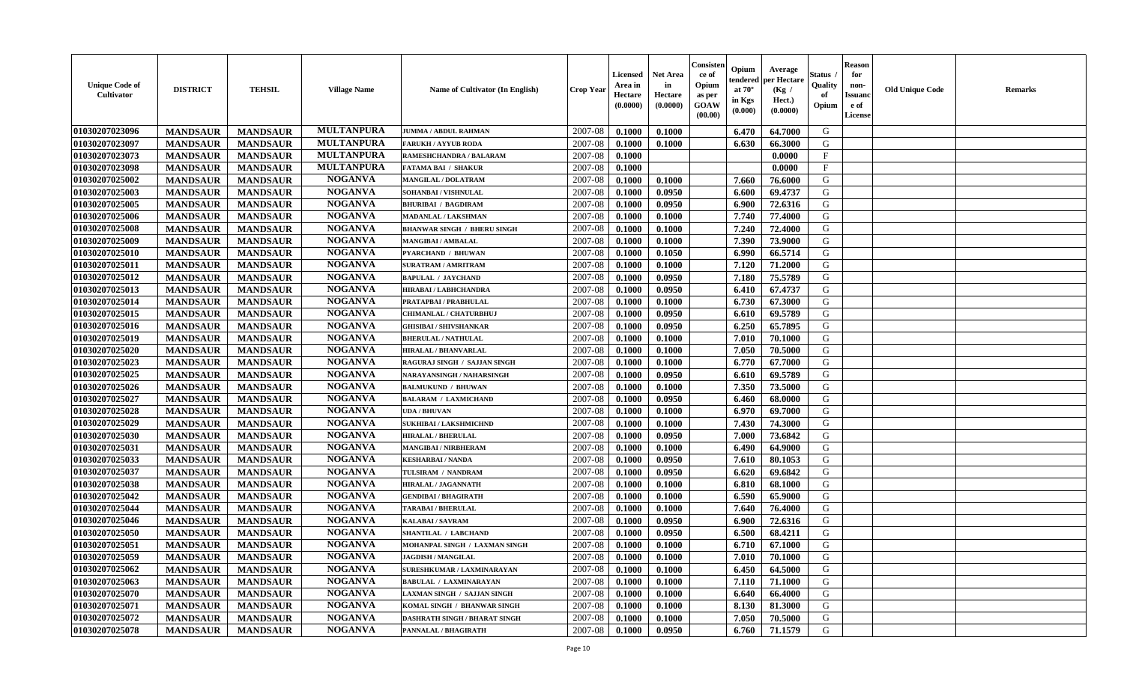| <b>Reason</b><br>Consister<br>Opium<br>Average<br><b>Net Area</b><br>Status<br>for<br><b>Licensed</b><br>ce of<br>per Hectare<br>endered<br>Opium<br><b>Unique Code of</b><br>in<br>Quality<br>Area in<br>non-<br><b>DISTRICT</b><br><b>TEHSIL</b><br><b>Village Name</b><br>Name of Cultivator (In English)<br><b>Crop Year</b><br>at $70^{\circ}$<br>(Kg /<br><b>Cultivator</b><br>Hectare<br>of<br><b>Issuano</b><br>Hectare<br>as per<br>in Kgs<br>Hect.)<br>(0.0000)<br><b>GOAW</b><br>(0.0000)<br>Opium<br>e of<br>(0.0000)<br>$(\mathbf{0.000})$<br>(00.00)<br>License | <b>Old Unique Code</b> | <b>Remarks</b> |
|-------------------------------------------------------------------------------------------------------------------------------------------------------------------------------------------------------------------------------------------------------------------------------------------------------------------------------------------------------------------------------------------------------------------------------------------------------------------------------------------------------------------------------------------------------------------------------|------------------------|----------------|
| <b>MULTANPURA</b><br>01030207023096<br>2007-08<br><b>MANDSAUR</b><br>6.470<br>G<br><b>MANDSAUR</b><br>0.1000<br>0.1000<br>64.7000<br><b>JUMMA / ABDUL RAHMAN</b>                                                                                                                                                                                                                                                                                                                                                                                                              |                        |                |
| 01030207023097<br><b>MULTANPURA</b><br>2007-08<br>G<br><b>MANDSAUR</b><br><b>MANDSAUR</b><br>0.1000<br>6.630<br>66.3000<br><b>FARUKH/AYYUB RODA</b><br>0.1000                                                                                                                                                                                                                                                                                                                                                                                                                 |                        |                |
| <b>MULTANPURA</b><br>01030207023073<br><b>MANDSAUR</b><br>$\mathbf{F}$<br><b>MANDSAUR</b><br>2007-08<br>0.1000<br>0.0000<br>RAMESHCHANDRA / BALARAM                                                                                                                                                                                                                                                                                                                                                                                                                           |                        |                |
| <b>MULTANPURA</b><br>01030207023098<br>2007-08<br>$_{\rm F}$<br><b>MANDSAUR</b><br><b>MANDSAUR</b><br><b>FATAMA BAI / SHAKUR</b><br>0.1000<br>0.0000                                                                                                                                                                                                                                                                                                                                                                                                                          |                        |                |
| <b>NOGANVA</b><br>G<br>01030207025002<br><b>MANDSAUR</b><br><b>MANDSAUR</b><br>2007-08<br>0.1000<br>0.1000<br>7.660<br>76.6000<br>MANGILAL / DOLATRAM                                                                                                                                                                                                                                                                                                                                                                                                                         |                        |                |
| <b>NOGANVA</b><br>01030207025003<br><b>MANDSAUR</b><br><b>MANDSAUR</b><br>0.0950<br>69.4737<br>G<br>SOHANBAI / VISHNULAL<br>2007-08<br>0.1000<br>6.600                                                                                                                                                                                                                                                                                                                                                                                                                        |                        |                |
| <b>NOGANVA</b><br>01030207025005<br><b>MANDSAUR</b><br><b>MANDSAUR</b><br>G<br><b>BHURIBAI / BAGDIRAM</b><br>2007-08<br>0.1000<br>0.0950<br>6.900<br>72.6316                                                                                                                                                                                                                                                                                                                                                                                                                  |                        |                |
| 01030207025006<br><b>NOGANVA</b><br>2007-08<br>7.740<br>G<br><b>MANDSAUR</b><br><b>MANDSAUR</b><br>0.1000<br>0.1000<br>77.4000<br>MADANLAL / LAKSHMAN                                                                                                                                                                                                                                                                                                                                                                                                                         |                        |                |
| <b>NOGANVA</b><br>01030207025008<br>7.240<br>G<br><b>MANDSAUR</b><br><b>MANDSAUR</b><br>2007-08<br>72.4000<br><b>BHANWAR SINGH / BHERU SINGH</b><br>0.1000<br>0.1000                                                                                                                                                                                                                                                                                                                                                                                                          |                        |                |
| <b>NOGANVA</b><br>G<br>01030207025009<br>2007-08<br>7.390<br><b>MANDSAUR</b><br><b>MANDSAUR</b><br>0.1000<br>73.9000<br>MANGIBAI / AMBALAL<br>0.1000                                                                                                                                                                                                                                                                                                                                                                                                                          |                        |                |
| <b>NOGANVA</b><br>G<br>01030207025010<br><b>MANDSAUR</b><br><b>MANDSAUR</b><br>2007-08<br>0.1000<br>0.1050<br>6.990<br>66.5714<br><b>PYARCHAND / BHUWAN</b>                                                                                                                                                                                                                                                                                                                                                                                                                   |                        |                |
| <b>NOGANVA</b><br>01030207025011<br><b>MANDSAUR</b><br><b>MANDSAUR</b><br>0.1000<br>G<br><b>SURATRAM / AMRITRAM</b><br>2007-08<br>0.1000<br>7.120<br>71.2000                                                                                                                                                                                                                                                                                                                                                                                                                  |                        |                |
| <b>NOGANVA</b><br>01030207025012<br><b>MANDSAUR</b><br><b>MANDSAUR</b><br>2007-08<br>0.0950<br>7.180<br>75.5789<br>G<br>0.1000<br><b>BAPULAL / JAYCHAND</b>                                                                                                                                                                                                                                                                                                                                                                                                                   |                        |                |
| 01030207025013<br><b>NOGANVA</b><br><b>MANDSAUR</b><br>6.410<br>67.4737<br>G<br><b>MANDSAUR</b><br>2007-08<br>0.1000<br>0.0950<br>HIRABAI / LABHCHANDRA                                                                                                                                                                                                                                                                                                                                                                                                                       |                        |                |
| <b>NOGANVA</b><br>01030207025014<br><b>MANDSAUR</b><br><b>MANDSAUR</b><br>PRATAPBAI / PRABHULAL<br>2007-08<br>0.1000<br>0.1000<br>6.730<br>67.3000<br>G                                                                                                                                                                                                                                                                                                                                                                                                                       |                        |                |
| <b>NOGANVA</b><br>G<br>01030207025015<br><b>MANDSAUR</b><br><b>MANDSAUR</b><br>2007-08<br>0.1000<br>0.0950<br>6.610<br>69.5789<br>CHIMANLAL / CHATURBHUJ                                                                                                                                                                                                                                                                                                                                                                                                                      |                        |                |
| <b>NOGANVA</b><br>01030207025016<br>G<br><b>MANDSAUR</b><br><b>MANDSAUR</b><br>2007-08<br>6.250<br>65.7895<br>0.1000<br>0.0950<br><b>GHISIBAI / SHIVSHANKAR</b>                                                                                                                                                                                                                                                                                                                                                                                                               |                        |                |
| <b>NOGANVA</b><br>01030207025019<br>G<br><b>MANDSAUR</b><br><b>MANDSAUR</b><br>2007-08<br><b>BHERULAL / NATHULAL</b><br>0.1000<br>0.1000<br>7.010<br>70.1000                                                                                                                                                                                                                                                                                                                                                                                                                  |                        |                |
| <b>NOGANVA</b><br>01030207025020<br><b>MANDSAUR</b><br><b>MANDSAUR</b><br>7.050<br>2007-08<br>0.1000<br>0.1000<br>70.5000<br>G<br>HIRALAL / BHANVARLAL                                                                                                                                                                                                                                                                                                                                                                                                                        |                        |                |
| <b>NOGANVA</b><br>01030207025023<br><b>MANDSAUR</b><br><b>MANDSAUR</b><br>2007-08<br>6.770<br>67.7000<br>G<br>RAGURAJ SINGH / SAJJAN SINGH<br>0.1000<br>0.1000                                                                                                                                                                                                                                                                                                                                                                                                                |                        |                |
| <b>NOGANVA</b><br>01030207025025<br>G<br><b>MANDSAUR</b><br><b>MANDSAUR</b><br>2007-08<br>0.0950<br>69.5789<br>NARAYANSINGH / NAHARSINGH<br>0.1000<br>6.610                                                                                                                                                                                                                                                                                                                                                                                                                   |                        |                |
| <b>NOGANVA</b><br>7.350<br>01030207025026<br><b>MANDSAUR</b><br><b>MANDSAUR</b><br>2007-08<br>0.1000<br>0.1000<br>73.5000<br>G<br><b>BALMUKUND / BHUWAN</b>                                                                                                                                                                                                                                                                                                                                                                                                                   |                        |                |
| <b>NOGANVA</b><br>01030207025027<br><b>MANDSAUR</b><br><b>MANDSAUR</b><br>0.0950<br>68.0000<br>G<br><b>BALARAM / LAXMICHAND</b><br>2007-08<br>0.1000<br>6.460                                                                                                                                                                                                                                                                                                                                                                                                                 |                        |                |
| <b>NOGANVA</b><br>01030207025028<br>G<br><b>MANDSAUR</b><br>2007-08<br><b>MANDSAUR</b><br><b>UDA / BHUVAN</b><br>0.1000<br>0.1000<br>6.970<br>69.7000                                                                                                                                                                                                                                                                                                                                                                                                                         |                        |                |
| 01030207025029<br><b>NOGANVA</b><br>G<br><b>MANDSAUR</b><br>2007-08<br>7.430<br><b>MANDSAUR</b><br><b>SUKHIBAI / LAKSHMICHND</b><br>0.1000<br>0.1000<br>74.3000                                                                                                                                                                                                                                                                                                                                                                                                               |                        |                |
| 01030207025030<br><b>NOGANVA</b><br><b>MANDSAUR</b><br>2007-08<br>0.0950<br>7.000<br>73.6842<br>G<br><b>MANDSAUR</b><br><b>HIRALAL / BHERULAL</b><br>0.1000                                                                                                                                                                                                                                                                                                                                                                                                                   |                        |                |
| <b>NOGANVA</b><br>G<br>01030207025031<br><b>MANDSAUR</b><br><b>MANDSAUR</b><br>2007-08<br>0.1000<br>6.490<br>64.9000<br>MANGIBAI / NIRBHERAM<br>0.1000                                                                                                                                                                                                                                                                                                                                                                                                                        |                        |                |
| <b>NOGANVA</b><br>G<br>01030207025033<br><b>MANDSAUR</b><br><b>MANDSAUR</b><br>7.610<br>2007-08<br>0.1000<br>0.0950<br>80.1053<br><b>KESHARBAI / NANDA</b>                                                                                                                                                                                                                                                                                                                                                                                                                    |                        |                |
| <b>NOGANVA</b><br>01030207025037<br><b>MANDSAUR</b><br><b>MANDSAUR</b><br>0.0950<br>G<br>TULSIRAM / NANDRAM<br>2007-08<br>0.1000<br>6.620<br>69.6842                                                                                                                                                                                                                                                                                                                                                                                                                          |                        |                |
| <b>NOGANVA</b><br>01030207025038<br><b>MANDSAUR</b><br><b>MANDSAUR</b><br>2007-08<br>0.1000<br>0.1000<br>6.810<br>68.1000<br>G<br>HIRALAL / JAGANNATH                                                                                                                                                                                                                                                                                                                                                                                                                         |                        |                |
| 01030207025042<br><b>NOGANVA</b><br><b>MANDSAUR</b><br><b>MANDSAUR</b><br>2007-08<br>6.590<br>G<br><b>GENDIBAI / BHAGIRATH</b><br>0.1000<br>0.1000<br>65.9000                                                                                                                                                                                                                                                                                                                                                                                                                 |                        |                |
| 01030207025044<br><b>NOGANVA</b><br><b>MANDSAUR</b><br>2007-08<br>G<br><b>MANDSAUR</b><br><b>TARABAI / BHERULAL</b><br>0.1000<br>0.1000<br>7.640<br>76.4000                                                                                                                                                                                                                                                                                                                                                                                                                   |                        |                |
| <b>NOGANVA</b><br>01030207025046<br>2007-08<br>G<br><b>MANDSAUR</b><br><b>MANDSAUR</b><br>0.0950<br>6.900<br>72.6316<br>KALABAI / SAVRAM<br>0.1000                                                                                                                                                                                                                                                                                                                                                                                                                            |                        |                |
| 01030207025050<br><b>NOGANVA</b><br>G<br><b>MANDSAUR</b><br><b>MANDSAUR</b><br>2007-08<br>0.0950<br>6.500<br>0.1000<br>68.4211<br>SHANTILAL / LABCHAND                                                                                                                                                                                                                                                                                                                                                                                                                        |                        |                |
| <b>NOGANVA</b><br>G<br>01030207025051<br>2007-08<br>0.1000<br>6.710<br>67.1000<br><b>MANDSAUR</b><br><b>MANDSAUR</b><br>MOHANPAL SINGH / LAXMAN SINGH<br>0.1000                                                                                                                                                                                                                                                                                                                                                                                                               |                        |                |
| 01030207025059<br><b>NOGANVA</b><br><b>MANDSAUR</b><br><b>MANDSAUR</b><br><b>JAGDISH / MANGILAL</b><br>$2007 - 08$<br>0.1000<br>0.1000<br>G<br>7.010 l<br>70.1000                                                                                                                                                                                                                                                                                                                                                                                                             |                        |                |
| <b>NOGANVA</b><br>01030207025062<br><b>MANDSAUR</b><br><b>MANDSAUR</b><br>SURESHKUMAR / LAXMINARAYAN<br>2007-08<br>0.1000<br>0.1000<br>6.450<br>64.5000<br>G                                                                                                                                                                                                                                                                                                                                                                                                                  |                        |                |
| <b>NOGANVA</b><br>01030207025063<br><b>MANDSAUR</b><br><b>MANDSAUR</b><br>2007-08<br>0.1000<br>G<br><b>BABULAL / LAXMINARAYAN</b><br>0.1000<br>7.110<br>71.1000                                                                                                                                                                                                                                                                                                                                                                                                               |                        |                |
| <b>NOGANVA</b><br><b>MANDSAUR</b><br>G<br>01030207025070<br><b>MANDSAUR</b><br>2007-08<br>0.1000<br>0.1000<br>6.640<br>66.4000<br><b>LAXMAN SINGH / SAJJAN SINGH</b>                                                                                                                                                                                                                                                                                                                                                                                                          |                        |                |
| 01030207025071<br><b>NOGANVA</b><br>G<br><b>MANDSAUR</b><br><b>MANDSAUR</b><br>2007-08<br>0.1000<br>0.1000<br>8.130<br>81.3000<br>KOMAL SINGH / BHANWAR SINGH                                                                                                                                                                                                                                                                                                                                                                                                                 |                        |                |
| <b>NOGANVA</b><br>01030207025072<br>G<br>2007-08<br><b>MANDSAUR</b><br><b>MANDSAUR</b><br><b>DASHRATH SINGH / BHARAT SINGH</b><br>0.1000<br>0.1000<br>7.050<br>70.5000                                                                                                                                                                                                                                                                                                                                                                                                        |                        |                |
| <b>NOGANVA</b><br>G<br>01030207025078<br><b>MANDSAUR</b><br>2007-08<br><b>MANDSAUR</b><br>PANNALAL / BHAGIRATH<br>0.1000<br>0.0950<br>6.760<br>71.1579                                                                                                                                                                                                                                                                                                                                                                                                                        |                        |                |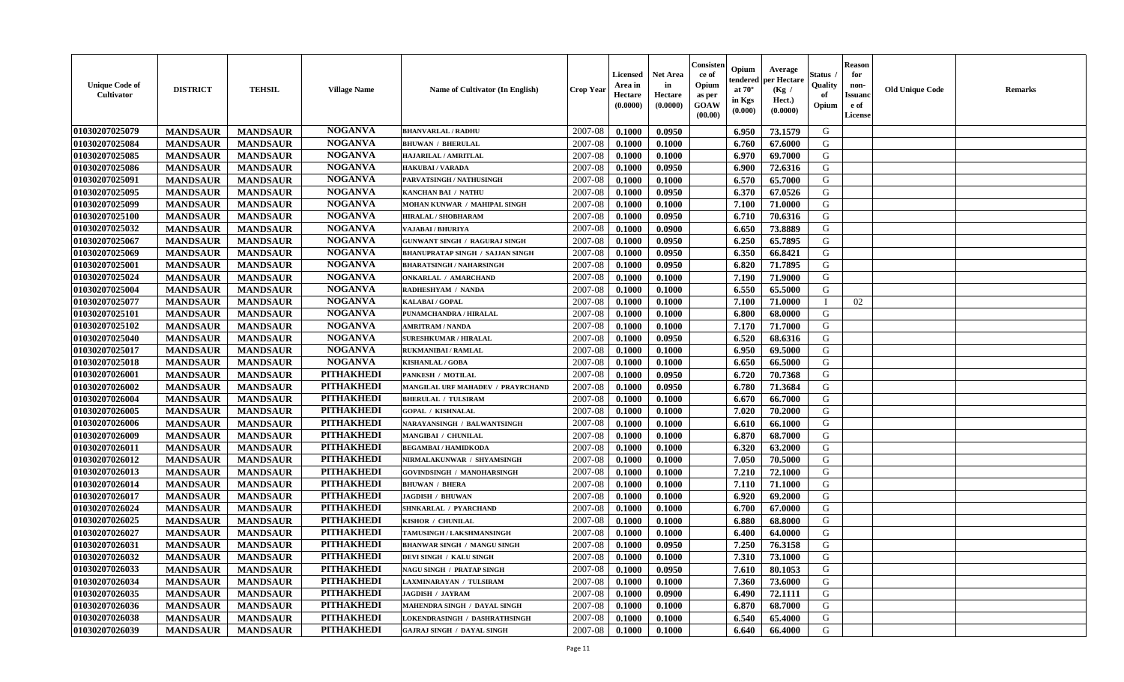| <b>Unique Code of</b><br><b>Cultivator</b> | <b>DISTRICT</b>                    | <b>TEHSIL</b>                      | <b>Village Name</b> | Name of Cultivator (In English)         | <b>Crop Year</b> | <b>Licensed</b><br>Area in<br>Hectare<br>(0.0000) | <b>Net Area</b><br>in<br>Hectare<br>(0.0000) | Consisteı<br>ce of<br>Opium<br>as per<br><b>GOAW</b><br>(00.00) | Opium<br>endered<br>at $70^\circ$<br>in Kgs<br>$(\mathbf{0.000})$ | Average<br>per Hectare<br>(Kg /<br>Hect.)<br>(0.0000) | Status<br>Quality<br>of<br>Opium | Reason<br>for<br>non-<br>Issuan<br>e of<br>License | <b>Old Unique Code</b> | <b>Remarks</b> |
|--------------------------------------------|------------------------------------|------------------------------------|---------------------|-----------------------------------------|------------------|---------------------------------------------------|----------------------------------------------|-----------------------------------------------------------------|-------------------------------------------------------------------|-------------------------------------------------------|----------------------------------|----------------------------------------------------|------------------------|----------------|
| 01030207025079                             | <b>MANDSAUR</b>                    | <b>MANDSAUR</b>                    | <b>NOGANVA</b>      | <b>BHANVARLAL / RADHU</b>               | 2007-08          | 0.1000                                            | 0.0950                                       |                                                                 | 6.950                                                             | 73.1579                                               | G                                |                                                    |                        |                |
| 01030207025084                             | <b>MANDSAUR</b>                    | <b>MANDSAUR</b>                    | <b>NOGANVA</b>      | <b>BHUWAN / BHERULAL</b>                | 2007-08          | 0.1000                                            | 0.1000                                       |                                                                 | 6.760                                                             | 67.6000                                               | G                                |                                                    |                        |                |
| 01030207025085                             | <b>MANDSAUR</b>                    | <b>MANDSAUR</b>                    | <b>NOGANVA</b>      | HAJARILAL / AMRITLAL                    | 2007-08          | 0.1000                                            | 0.1000                                       |                                                                 | 6.970                                                             | 69.7000                                               | G                                |                                                    |                        |                |
| 01030207025086                             | <b>MANDSAUR</b>                    | <b>MANDSAUR</b>                    | <b>NOGANVA</b>      | <b>HAKUBAI/VARADA</b>                   | 2007-08          | 0.1000                                            | 0.0950                                       |                                                                 | 6.900                                                             | 72.6316                                               | G                                |                                                    |                        |                |
| 01030207025091                             | <b>MANDSAUR</b>                    | <b>MANDSAUR</b>                    | <b>NOGANVA</b>      | PARVATSINGH / NATHUSINGH                | 2007-08          | 0.1000                                            | 0.1000                                       |                                                                 | 6.570                                                             | 65.7000                                               | G                                |                                                    |                        |                |
| 01030207025095                             | <b>MANDSAUR</b>                    | <b>MANDSAUR</b>                    | <b>NOGANVA</b>      | <b>KANCHAN BAI / NATHU</b>              | 2007-08          | 0.1000                                            | 0.0950                                       |                                                                 | 6.370                                                             | 67.0526                                               | G                                |                                                    |                        |                |
| 01030207025099                             | <b>MANDSAUR</b>                    | <b>MANDSAUR</b>                    | <b>NOGANVA</b>      | <b>MOHAN KUNWAR / MAHIPAL SINGH</b>     | 2007-08          | 0.1000                                            | 0.1000                                       |                                                                 | 7.100                                                             | 71.0000                                               | G                                |                                                    |                        |                |
| 01030207025100                             | <b>MANDSAUR</b>                    | <b>MANDSAUR</b>                    | <b>NOGANVA</b>      | HIRALAL / SHOBHARAM                     | 2007-08          | 0.1000                                            | 0.0950                                       |                                                                 | 6.710                                                             | 70.6316                                               | G                                |                                                    |                        |                |
| 01030207025032                             | <b>MANDSAUR</b>                    | <b>MANDSAUR</b>                    | <b>NOGANVA</b>      | VAJABAI / BHURIYA                       | 2007-08          | 0.1000                                            | 0.0900                                       |                                                                 | 6.650                                                             | 73.8889                                               | G                                |                                                    |                        |                |
| 01030207025067                             | <b>MANDSAUR</b>                    | <b>MANDSAUR</b>                    | <b>NOGANVA</b>      | <b>GUNWANT SINGH / RAGURAJ SINGH</b>    | 2007-08          | 0.1000                                            | 0.0950                                       |                                                                 | 6.250                                                             | 65.7895                                               | G                                |                                                    |                        |                |
| 01030207025069                             | <b>MANDSAUR</b>                    | <b>MANDSAUR</b>                    | <b>NOGANVA</b>      | <b>BHANUPRATAP SINGH / SAJJAN SINGH</b> | 2007-08          | 0.1000                                            | 0.0950                                       |                                                                 | 6.350                                                             | 66.8421                                               | G                                |                                                    |                        |                |
| 01030207025001                             | <b>MANDSAUR</b>                    | <b>MANDSAUR</b>                    | <b>NOGANVA</b>      | <b>BHARATSINGH / NAHARSINGH</b>         | 2007-08          | 0.1000                                            | 0.0950                                       |                                                                 | 6.820                                                             | 71.7895                                               | G                                |                                                    |                        |                |
| 01030207025024                             | <b>MANDSAUR</b>                    | <b>MANDSAUR</b>                    | <b>NOGANVA</b>      | <b>ONKARLAL / AMARCHAND</b>             | 2007-08          | 0.1000                                            | 0.1000                                       |                                                                 | 7.190                                                             | 71.9000                                               | G                                |                                                    |                        |                |
| 01030207025004                             | <b>MANDSAUR</b>                    | <b>MANDSAUR</b>                    | <b>NOGANVA</b>      | RADHESHYAM / NANDA                      | 2007-08          | 0.1000                                            | 0.1000                                       |                                                                 | 6.550                                                             | 65.5000                                               | G                                |                                                    |                        |                |
| 01030207025077                             | <b>MANDSAUR</b>                    | <b>MANDSAUR</b>                    | <b>NOGANVA</b>      | KALABAI / GOPAL                         | 2007-08          | 0.1000                                            | 0.1000                                       |                                                                 | 7.100                                                             | 71.0000                                               |                                  | 02                                                 |                        |                |
| 01030207025101                             | <b>MANDSAUR</b>                    | <b>MANDSAUR</b>                    | <b>NOGANVA</b>      | PUNAMCHANDRA / HIRALAL                  | 2007-08          | 0.1000                                            | 0.1000                                       |                                                                 | 6.800                                                             | 68.0000                                               | G                                |                                                    |                        |                |
| 01030207025102                             | <b>MANDSAUR</b>                    | <b>MANDSAUR</b>                    | <b>NOGANVA</b>      | <b>AMRITRAM / NANDA</b>                 | 2007-08          | 0.1000                                            | 0.1000                                       |                                                                 | 7.170                                                             | 71.7000                                               | G                                |                                                    |                        |                |
| 01030207025040                             | <b>MANDSAUR</b>                    | <b>MANDSAUR</b>                    | <b>NOGANVA</b>      | <b>SURESHKUMAR / HIRALAL</b>            | 2007-08          | 0.1000                                            | 0.0950                                       |                                                                 | 6.520                                                             | 68.6316                                               | G                                |                                                    |                        |                |
| 01030207025017                             | <b>MANDSAUR</b>                    | <b>MANDSAUR</b>                    | <b>NOGANVA</b>      | <b>RUKMANIBAI / RAMLAL</b>              | 2007-08          | 0.1000                                            | 0.1000                                       |                                                                 | 6.950                                                             | 69.5000                                               | G                                |                                                    |                        |                |
| 01030207025018                             | <b>MANDSAUR</b>                    | <b>MANDSAUR</b>                    | <b>NOGANVA</b>      | <b>KISHANLAL / GOBA</b>                 | 2007-08          | 0.1000                                            | 0.1000                                       |                                                                 | 6.650                                                             | 66.5000                                               | G                                |                                                    |                        |                |
| 01030207026001                             | <b>MANDSAUR</b>                    | <b>MANDSAUR</b>                    | <b>PITHAKHEDI</b>   | PANKESH / MOTILAL                       | 2007-08          | 0.1000                                            | 0.0950                                       |                                                                 | 6.720                                                             | 70.7368                                               | G                                |                                                    |                        |                |
| 01030207026002                             | <b>MANDSAUR</b>                    | <b>MANDSAUR</b>                    | <b>PITHAKHEDI</b>   | MANGILAL URF MAHADEV / PRAYRCHAND       | 2007-08          | 0.1000                                            | 0.0950                                       |                                                                 | 6.780                                                             | 71.3684                                               | G                                |                                                    |                        |                |
| 01030207026004                             | <b>MANDSAUR</b>                    | <b>MANDSAUR</b>                    | <b>PITHAKHEDI</b>   | <b>BHERULAL / TULSIRAM</b>              | 2007-08          | 0.1000                                            | 0.1000                                       |                                                                 | 6.670                                                             | 66.7000                                               | G                                |                                                    |                        |                |
| 01030207026005                             | <b>MANDSAUR</b>                    | <b>MANDSAUR</b>                    | <b>PITHAKHEDI</b>   | <b>GOPAL / KISHNALAL</b>                | 2007-08          | 0.1000                                            | 0.1000                                       |                                                                 | 7.020                                                             | 70.2000                                               | G                                |                                                    |                        |                |
| 01030207026006                             | <b>MANDSAUR</b>                    | <b>MANDSAUR</b>                    | <b>PITHAKHEDI</b>   | NARAYANSINGH / BALWANTSINGH             | 2007-08          | 0.1000                                            | 0.1000                                       |                                                                 | 6.610                                                             | 66.1000                                               | G                                |                                                    |                        |                |
| 01030207026009                             | <b>MANDSAUR</b>                    | <b>MANDSAUR</b>                    | <b>PITHAKHEDI</b>   | MANGIBAI / CHUNILAL                     | 2007-08          | 0.1000                                            | 0.1000                                       |                                                                 | 6.870                                                             | 68.7000                                               | G                                |                                                    |                        |                |
| 01030207026011                             |                                    |                                    | <b>PITHAKHEDI</b>   | <b>BEGAMBAI/HAMIDKODA</b>               | 2007-08          | 0.1000                                            | 0.1000                                       |                                                                 | 6.320                                                             | 63.2000                                               | G                                |                                                    |                        |                |
| 01030207026012                             | <b>MANDSAUR</b><br><b>MANDSAUR</b> | <b>MANDSAUR</b><br><b>MANDSAUR</b> | <b>PITHAKHEDI</b>   | NIRMALAKUNWAR / SHYAMSINGH              | 2007-08          | 0.1000                                            | 0.1000                                       |                                                                 | 7.050                                                             | 70.5000                                               | G                                |                                                    |                        |                |
| 01030207026013                             | <b>MANDSAUR</b>                    | <b>MANDSAUR</b>                    | <b>PITHAKHEDI</b>   | <b>GOVINDSINGH / MANOHARSINGH</b>       | 2007-08          | 0.1000                                            | 0.1000                                       |                                                                 | 7.210                                                             | 72.1000                                               | G                                |                                                    |                        |                |
| 01030207026014                             | <b>MANDSAUR</b>                    | <b>MANDSAUR</b>                    | <b>PITHAKHEDI</b>   | <b>BHUWAN / BHERA</b>                   | 2007-08          | 0.1000                                            | 0.1000                                       |                                                                 | 7.110                                                             | 71.1000                                               | G                                |                                                    |                        |                |
| 01030207026017                             | <b>MANDSAUR</b>                    | <b>MANDSAUR</b>                    | <b>PITHAKHEDI</b>   | <b>JAGDISH / BHUWAN</b>                 | 2007-08          | 0.1000                                            | 0.1000                                       |                                                                 | 6.920                                                             | 69.2000                                               | G                                |                                                    |                        |                |
| 01030207026024                             | <b>MANDSAUR</b>                    | <b>MANDSAUR</b>                    | <b>PITHAKHEDI</b>   | SHNKARLAL / PYARCHAND                   | 2007-08          | 0.1000                                            | 0.1000                                       |                                                                 | 6.700                                                             | 67.0000                                               | G                                |                                                    |                        |                |
| 01030207026025                             | <b>MANDSAUR</b>                    | <b>MANDSAUR</b>                    | <b>PITHAKHEDI</b>   | KISHOR / CHUNILAL                       | 2007-08          | 0.1000                                            | 0.1000                                       |                                                                 | 6.880                                                             | 68.8000                                               | G                                |                                                    |                        |                |
| 01030207026027                             | <b>MANDSAUR</b>                    | <b>MANDSAUR</b>                    | <b>PITHAKHEDI</b>   | TAMUSINGH / LAKSHMANSINGH               | 2007-08          | 0.1000                                            | 0.1000                                       |                                                                 | 6.400                                                             | 64.0000                                               | G                                |                                                    |                        |                |
| 01030207026031                             | <b>MANDSAUR</b>                    | <b>MANDSAUR</b>                    | <b>PITHAKHEDI</b>   | <b>BHANWAR SINGH / MANGU SINGH</b>      | 2007-08          | 0.1000                                            | 0.0950                                       |                                                                 | 7.250                                                             | 76.3158                                               | G                                |                                                    |                        |                |
|                                            |                                    |                                    | PITHAKHEDI          | <b>DEVI SINGH / KALU SINGH</b>          |                  |                                                   | 0.1000                                       |                                                                 |                                                                   |                                                       | G                                |                                                    |                        |                |
| 01030207026032                             | <b>MANDSAUR</b>                    | <b>MANDSAUR</b>                    | <b>PITHAKHEDI</b>   |                                         | 2007-08          | 0.1000                                            |                                              |                                                                 | 7.310                                                             | 73.1000                                               |                                  |                                                    |                        |                |
| 01030207026033<br>01030207026034           | <b>MANDSAUR</b>                    | <b>MANDSAUR</b><br><b>MANDSAUR</b> | <b>PITHAKHEDI</b>   | <b>NAGU SINGH / PRATAP SINGH</b>        | 2007-08          | 0.1000                                            | 0.0950<br>0.1000                             |                                                                 | 7.610                                                             | 80.1053                                               | G                                |                                                    |                        |                |
|                                            | <b>MANDSAUR</b>                    |                                    | <b>PITHAKHEDI</b>   | LAXMINARAYAN / TULSIRAM                 | 2007-08          | 0.1000                                            |                                              |                                                                 | 7.360                                                             | 73.6000                                               | G                                |                                                    |                        |                |
| 01030207026035<br>01030207026036           | <b>MANDSAUR</b>                    | <b>MANDSAUR</b>                    | <b>PITHAKHEDI</b>   | <b>JAGDISH / JAYRAM</b>                 | 2007-08          | 0.1000                                            | 0.0900                                       |                                                                 | 6.490                                                             | 72.1111                                               | G                                |                                                    |                        |                |
|                                            | <b>MANDSAUR</b>                    | <b>MANDSAUR</b>                    | <b>PITHAKHEDI</b>   | MAHENDRA SINGH / DAYAL SINGH            | 2007-08          | 0.1000                                            | 0.1000                                       |                                                                 | 6.870                                                             | 68.7000                                               | G                                |                                                    |                        |                |
| 01030207026038                             | <b>MANDSAUR</b>                    | <b>MANDSAUR</b>                    |                     | <b>LOKENDRASINGH / DASHRATHSINGH</b>    | 2007-08          | 0.1000                                            | 0.1000                                       |                                                                 | 6.540                                                             | 65.4000                                               | G                                |                                                    |                        |                |
| 01030207026039                             | <b>MANDSAUR</b>                    | <b>MANDSAUR</b>                    | <b>PITHAKHEDI</b>   | <b>GAJRAJ SINGH / DAYAL SINGH</b>       | 2007-08          | 0.1000                                            | 0.1000                                       |                                                                 | 6.640                                                             | 66.4000                                               | G                                |                                                    |                        |                |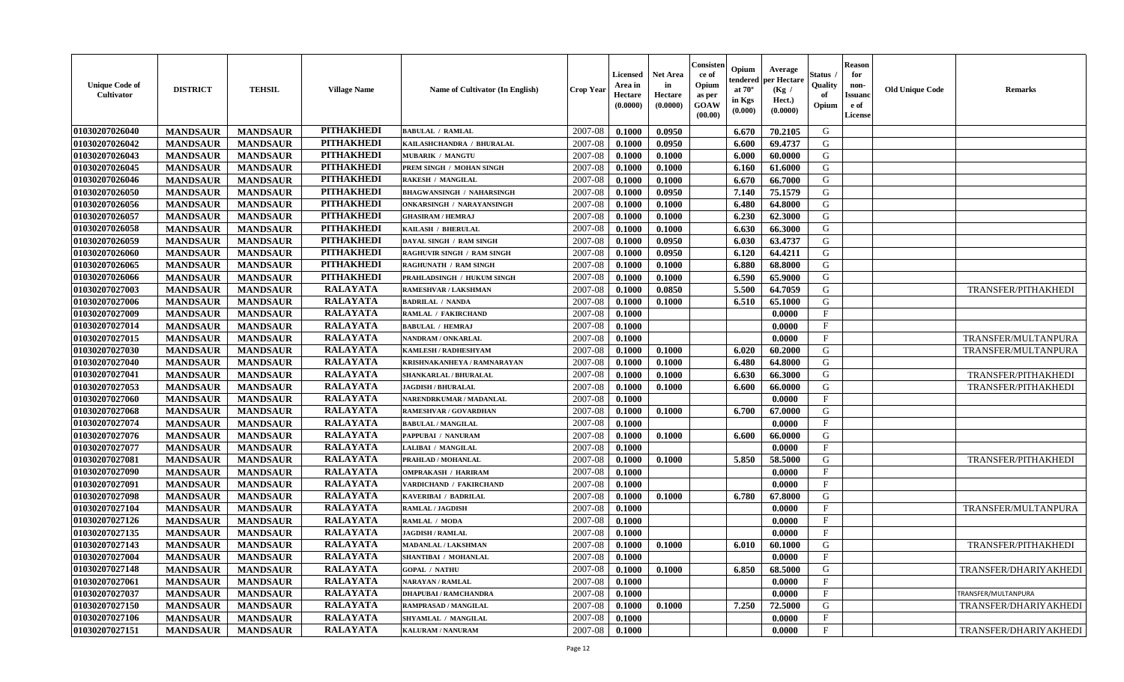| <b>Unique Code of</b><br>Cultivator | <b>DISTRICT</b> | <b>TEHSIL</b>   | <b>Village Name</b> | Name of Cultivator (In English)  | <b>Crop Year</b> | <b>Licensed</b><br>Area in<br>Hectare<br>(0.0000) | <b>Net Area</b><br>in<br>Hectare<br>(0.0000) | Consister<br>ce of<br>Opium<br>as per<br><b>GOAW</b><br>(00.00) | Opium<br>tendered<br>at $70^{\circ}$<br>in Kgs<br>$(\mathbf{0.000})$ | Average<br>per Hectare<br>(Kg /<br>Hect.)<br>(0.0000) | Status .<br>Quality<br>of<br>Opium | <b>Reason</b><br>for<br>non-<br><b>Issuanc</b><br>e of<br>License | <b>Old Unique Code</b> | <b>Remarks</b>             |
|-------------------------------------|-----------------|-----------------|---------------------|----------------------------------|------------------|---------------------------------------------------|----------------------------------------------|-----------------------------------------------------------------|----------------------------------------------------------------------|-------------------------------------------------------|------------------------------------|-------------------------------------------------------------------|------------------------|----------------------------|
| 01030207026040                      | <b>MANDSAUR</b> | <b>MANDSAUR</b> | <b>PITHAKHEDI</b>   | <b>BABULAL / RAMLAL</b>          | 2007-08          | 0.1000                                            | 0.0950                                       |                                                                 | 6.670                                                                | 70.2105                                               | G                                  |                                                                   |                        |                            |
| 01030207026042                      | <b>MANDSAUR</b> | <b>MANDSAUR</b> | <b>PITHAKHEDI</b>   | KAILASHCHANDRA / BHURALAL        | 2007-08          | 0.1000                                            | 0.0950                                       |                                                                 | 6.600                                                                | 69.4737                                               | G                                  |                                                                   |                        |                            |
| 01030207026043                      | <b>MANDSAUR</b> | <b>MANDSAUR</b> | <b>PITHAKHEDI</b>   | <b>MUBARIK / MANGTU</b>          | 2007-08          | 0.1000                                            | 0.1000                                       |                                                                 | 6.000                                                                | 60.0000                                               | G                                  |                                                                   |                        |                            |
| 01030207026045                      | <b>MANDSAUR</b> | <b>MANDSAUR</b> | <b>PITHAKHEDI</b>   | PREM SINGH / MOHAN SINGH         | 2007-08          | 0.1000                                            | 0.1000                                       |                                                                 | 6.160                                                                | 61.6000                                               | G                                  |                                                                   |                        |                            |
| 01030207026046                      | <b>MANDSAUR</b> | <b>MANDSAUR</b> | <b>PITHAKHEDI</b>   | <b>RAKESH / MANGILAL</b>         | 2007-08          | 0.1000                                            | 0.1000                                       |                                                                 | 6.670                                                                | 66.7000                                               | G                                  |                                                                   |                        |                            |
| 01030207026050                      | <b>MANDSAUR</b> | <b>MANDSAUR</b> | <b>PITHAKHEDI</b>   | <b>BHAGWANSINGH / NAHARSINGH</b> | 2007-08          | 0.1000                                            | 0.0950                                       |                                                                 | 7.140                                                                | 75.1579                                               | G                                  |                                                                   |                        |                            |
| 01030207026056                      | <b>MANDSAUR</b> | <b>MANDSAUR</b> | <b>PITHAKHEDI</b>   | <b>ONKARSINGH / NARAYANSINGH</b> | 2007-08          | 0.1000                                            | 0.1000                                       |                                                                 | 6.480                                                                | 64.8000                                               | G                                  |                                                                   |                        |                            |
| 01030207026057                      | <b>MANDSAUR</b> | <b>MANDSAUR</b> | <b>PITHAKHEDI</b>   | <b>GHASIRAM / HEMRAJ</b>         | 2007-08          | 0.1000                                            | 0.1000                                       |                                                                 | 6.230                                                                | 62.3000                                               | G                                  |                                                                   |                        |                            |
| 01030207026058                      | <b>MANDSAUR</b> | <b>MANDSAUR</b> | <b>PITHAKHEDI</b>   | KAILASH / BHERULAL               | 2007-08          | 0.1000                                            | 0.1000                                       |                                                                 | 6.630                                                                | 66.3000                                               | G                                  |                                                                   |                        |                            |
| 01030207026059                      | <b>MANDSAUR</b> | <b>MANDSAUR</b> | <b>PITHAKHEDI</b>   | DAYAL SINGH / RAM SINGH          | 2007-08          | 0.1000                                            | 0.0950                                       |                                                                 | 6.030                                                                | 63.4737                                               | G                                  |                                                                   |                        |                            |
| 01030207026060                      | <b>MANDSAUR</b> | <b>MANDSAUR</b> | <b>PITHAKHEDI</b>   | RAGHUVIR SINGH / RAM SINGH       | 2007-08          | 0.1000                                            | 0.0950                                       |                                                                 | 6.120                                                                | 64.4211                                               | G                                  |                                                                   |                        |                            |
| 01030207026065                      | <b>MANDSAUR</b> | <b>MANDSAUR</b> | <b>PITHAKHEDI</b>   | <b>RAGHUNATH / RAM SINGH</b>     | 2007-08          | 0.1000                                            | 0.1000                                       |                                                                 | 6.880                                                                | 68.8000                                               | G                                  |                                                                   |                        |                            |
| 01030207026066                      | <b>MANDSAUR</b> | <b>MANDSAUR</b> | <b>PITHAKHEDI</b>   | PRAHLADSINGH / HUKUM SINGH       | 2007-08          | 0.1000                                            | 0.1000                                       |                                                                 | 6.590                                                                | 65.9000                                               | G                                  |                                                                   |                        |                            |
| 01030207027003                      | <b>MANDSAUR</b> | <b>MANDSAUR</b> | <b>RALAYATA</b>     | RAMESHVAR / LAKSHMAN             | 2007-08          | 0.1000                                            | 0.0850                                       |                                                                 | 5.500                                                                | 64.7059                                               | G                                  |                                                                   |                        | <b>TRANSFER/PITHAKHEDI</b> |
| 01030207027006                      | <b>MANDSAUR</b> | <b>MANDSAUR</b> | <b>RALAYATA</b>     | <b>BADRILAL / NANDA</b>          | 2007-08          | 0.1000                                            | 0.1000                                       |                                                                 | 6.510                                                                | 65.1000                                               | G                                  |                                                                   |                        |                            |
| 01030207027009                      | <b>MANDSAUR</b> | <b>MANDSAUR</b> | <b>RALAYATA</b>     | RAMLAL / FAKIRCHAND              | 2007-08          | 0.1000                                            |                                              |                                                                 |                                                                      | 0.0000                                                | $\mathbf{F}$                       |                                                                   |                        |                            |
| 01030207027014                      | <b>MANDSAUR</b> | <b>MANDSAUR</b> | <b>RALAYATA</b>     | <b>BABULAL / HEMRAJ</b>          | 2007-08          | 0.1000                                            |                                              |                                                                 |                                                                      | 0.0000                                                | $\mathbf{F}$                       |                                                                   |                        |                            |
| 01030207027015                      | <b>MANDSAUR</b> | <b>MANDSAUR</b> | <b>RALAYATA</b>     | NANDRAM / ONKARLAL               | 2007-08          | 0.1000                                            |                                              |                                                                 |                                                                      | 0.0000                                                | $\mathbf{F}$                       |                                                                   |                        | TRANSFER/MULTANPURA        |
| 01030207027030                      | <b>MANDSAUR</b> | <b>MANDSAUR</b> | <b>RALAYATA</b>     | <b>KAMLESH / RADHESHYAM</b>      | 2007-08          | 0.1000                                            | 0.1000                                       |                                                                 | 6.020                                                                | 60.2000                                               | G                                  |                                                                   |                        | TRANSFER/MULTANPURA        |
| 01030207027040                      | <b>MANDSAUR</b> | <b>MANDSAUR</b> | <b>RALAYATA</b>     | KRISHNAKANHEYA / RAMNARAYAN      | 2007-08          | 0.1000                                            | 0.1000                                       |                                                                 | 6.480                                                                | 64.8000                                               | G                                  |                                                                   |                        |                            |
| 01030207027041                      | <b>MANDSAUR</b> | <b>MANDSAUR</b> | <b>RALAYATA</b>     | SHANKARLAL / BHURALAL            | 2007-08          | 0.1000                                            | 0.1000                                       |                                                                 | 6.630                                                                | 66.3000                                               | G                                  |                                                                   |                        | TRANSFER/PITHAKHEDI        |
| 01030207027053                      | <b>MANDSAUR</b> | <b>MANDSAUR</b> | <b>RALAYATA</b>     | <b>JAGDISH / BHURALAL</b>        | 2007-08          | 0.1000                                            | 0.1000                                       |                                                                 | 6.600                                                                | 66.0000                                               | G                                  |                                                                   |                        | TRANSFER/PITHAKHEDI        |
| 01030207027060                      | <b>MANDSAUR</b> | <b>MANDSAUR</b> | <b>RALAYATA</b>     | <b>NARENDRKUMAR / MADANLAL</b>   | 2007-08          | 0.1000                                            |                                              |                                                                 |                                                                      | 0.0000                                                | $\mathbf{F}$                       |                                                                   |                        |                            |
| 01030207027068                      | <b>MANDSAUR</b> | <b>MANDSAUR</b> | <b>RALAYATA</b>     | RAMESHVAR / GOVARDHAN            | 2007-08          | 0.1000                                            | 0.1000                                       |                                                                 | 6.700                                                                | 67.0000                                               | G                                  |                                                                   |                        |                            |
| 01030207027074                      | <b>MANDSAUR</b> | <b>MANDSAUR</b> | <b>RALAYATA</b>     | <b>BABULAL / MANGILAL</b>        | 2007-08          | 0.1000                                            |                                              |                                                                 |                                                                      | 0.0000                                                | $\mathbf{F}$                       |                                                                   |                        |                            |
| 01030207027076                      | <b>MANDSAUR</b> | <b>MANDSAUR</b> | <b>RALAYATA</b>     | PAPPUBAI / NANURAM               | 2007-08          | 0.1000                                            | 0.1000                                       |                                                                 | 6.600                                                                | 66.0000                                               | G                                  |                                                                   |                        |                            |
| 01030207027077                      | <b>MANDSAUR</b> | <b>MANDSAUR</b> | <b>RALAYATA</b>     | LALIBAI / MANGILAL               | 2007-08          | 0.1000                                            |                                              |                                                                 |                                                                      | 0.0000                                                | F                                  |                                                                   |                        |                            |
| 01030207027081                      | <b>MANDSAUR</b> | <b>MANDSAUR</b> | <b>RALAYATA</b>     | PRAHLAD / MOHANLAL               | 2007-08          | 0.1000                                            | 0.1000                                       |                                                                 | 5.850                                                                | 58.5000                                               | G                                  |                                                                   |                        | <b>TRANSFER/PITHAKHEDI</b> |
| 01030207027090                      | <b>MANDSAUR</b> | <b>MANDSAUR</b> | <b>RALAYATA</b>     | <b>OMPRAKASH / HARIRAM</b>       | 2007-08          | 0.1000                                            |                                              |                                                                 |                                                                      | 0.0000                                                | $\mathbf{F}$                       |                                                                   |                        |                            |
| 01030207027091                      | <b>MANDSAUR</b> | <b>MANDSAUR</b> | <b>RALAYATA</b>     | VARDICHAND / FAKIRCHAND          | 2007-08          | 0.1000                                            |                                              |                                                                 |                                                                      | 0.0000                                                | $\mathbf{F}$                       |                                                                   |                        |                            |
| 01030207027098                      | <b>MANDSAUR</b> | <b>MANDSAUR</b> | <b>RALAYATA</b>     | <b>KAVERIBAI / BADRILAL</b>      | 2007-08          | 0.1000                                            | 0.1000                                       |                                                                 | 6.780                                                                | 67.8000                                               | G                                  |                                                                   |                        |                            |
| 01030207027104                      | <b>MANDSAUR</b> | <b>MANDSAUR</b> | <b>RALAYATA</b>     | <b>RAMLAL / JAGDISH</b>          | 2007-08          | 0.1000                                            |                                              |                                                                 |                                                                      | 0.0000                                                | $\mathbf{F}$                       |                                                                   |                        | TRANSFER/MULTANPURA        |
| 01030207027126                      | <b>MANDSAUR</b> | <b>MANDSAUR</b> | <b>RALAYATA</b>     | RAMLAL / MODA                    | 2007-08          | 0.1000                                            |                                              |                                                                 |                                                                      | 0.0000                                                | $\mathbf{F}$                       |                                                                   |                        |                            |
| 01030207027135                      | <b>MANDSAUR</b> | <b>MANDSAUR</b> | <b>RALAYATA</b>     | <b>JAGDISH / RAMLAL</b>          | 2007-08          | 0.1000                                            |                                              |                                                                 |                                                                      | 0.0000                                                | $\mathbf{F}$                       |                                                                   |                        |                            |
| 01030207027143                      | <b>MANDSAUR</b> | <b>MANDSAUR</b> | <b>RALAYATA</b>     | MADANLAL / LAKSHMAN              | 2007-08          | 0.1000                                            | 0.1000                                       |                                                                 | 6.010                                                                | 60.1000                                               | G                                  |                                                                   |                        | TRANSFER/PITHAKHEDI        |
| 01030207027004                      | <b>MANDSAUR</b> | <b>MANDSAUR</b> | <b>RALAYATA</b>     | SHANTIBAI / MOHANLAL             | 2007-08          | $\boldsymbol{0.1000}$                             |                                              |                                                                 |                                                                      | 0.0000                                                | $\mathbf{F}$                       |                                                                   |                        |                            |
| 01030207027148                      | <b>MANDSAUR</b> | <b>MANDSAUR</b> | <b>RALAYATA</b>     | <b>GOPAL / NATHU</b>             | 2007-08          | 0.1000                                            | 0.1000                                       |                                                                 | 6.850                                                                | 68.5000                                               | G                                  |                                                                   |                        | TRANSFER/DHARIYAKHEDI      |
| 01030207027061                      | <b>MANDSAUR</b> | <b>MANDSAUR</b> | <b>RALAYATA</b>     | <b>NARAYAN / RAMLAL</b>          | 2007-08          | 0.1000                                            |                                              |                                                                 |                                                                      | 0.0000                                                | $_{\rm F}$                         |                                                                   |                        |                            |
| 01030207027037                      | <b>MANDSAUR</b> | <b>MANDSAUR</b> | <b>RALAYATA</b>     | <b>DHAPUBAI/RAMCHANDRA</b>       | 2007-08          | 0.1000                                            |                                              |                                                                 |                                                                      | 0.0000                                                | $\mathbf{F}$                       |                                                                   |                        | TRANSFER/MULTANPURA        |
| 01030207027150                      | <b>MANDSAUR</b> | <b>MANDSAUR</b> | <b>RALAYATA</b>     | RAMPRASAD / MANGILAL             | 2007-08          | 0.1000                                            | 0.1000                                       |                                                                 | 7.250                                                                | 72.5000                                               | G                                  |                                                                   |                        | TRANSFER/DHARIYAKHEDI      |
| 01030207027106                      | <b>MANDSAUR</b> | <b>MANDSAUR</b> | <b>RALAYATA</b>     | SHYAMLAL / MANGILAL              | 2007-08          | 0.1000                                            |                                              |                                                                 |                                                                      | 0.0000                                                | $\mathbf{F}$                       |                                                                   |                        |                            |
| 01030207027151                      | <b>MANDSAUR</b> | <b>MANDSAUR</b> | <b>RALAYATA</b>     | <b>KALURAM / NANURAM</b>         | 2007-08          | 0.1000                                            |                                              |                                                                 |                                                                      | 0.0000                                                | $\mathbf{F}$                       |                                                                   |                        | TRANSFER/DHARIYAKHEDI      |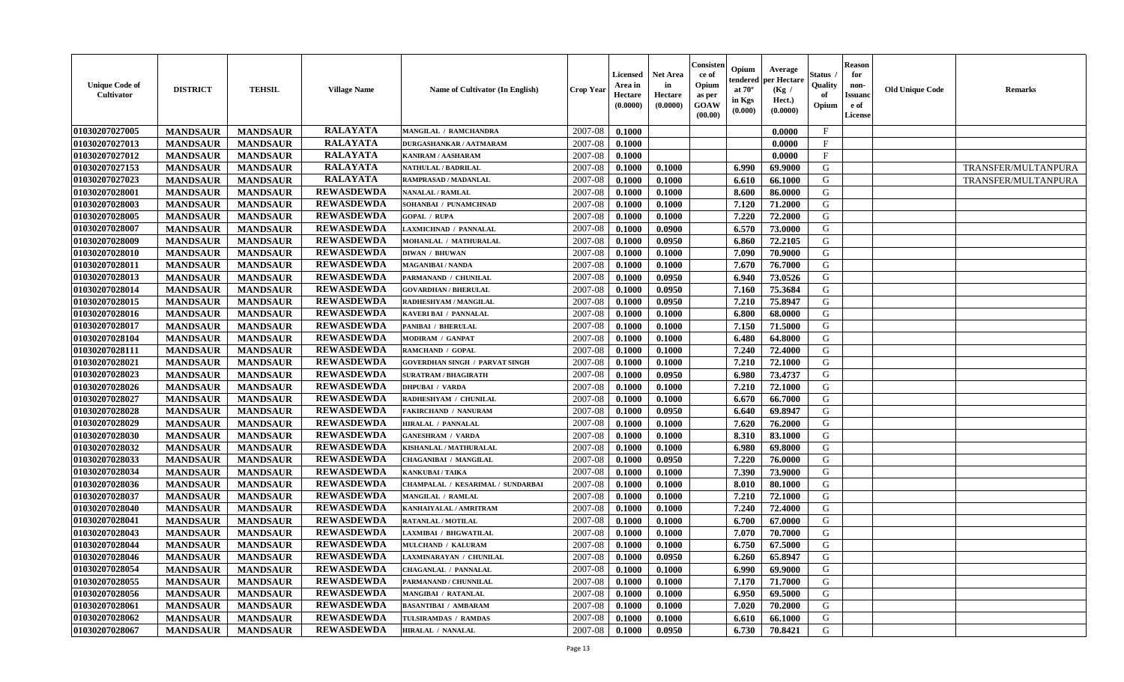| <b>Unique Code of</b><br>Cultivator | <b>DISTRICT</b> | <b>TEHSIL</b>   | <b>Village Name</b> | <b>Name of Cultivator (In English)</b> | <b>Crop Year</b> | <b>Licensed</b><br>Area in<br>Hectare<br>(0.0000) | <b>Net Area</b><br>in<br>Hectare<br>(0.0000) | Consisten<br>ce of<br>Opium<br>as per<br>GOAW<br>(00.00) | Opium<br>tendered<br>at $70^\circ$<br>in Kgs<br>(0.000) | Average<br>per Hectare<br>(Kg)<br>Hect.)<br>(0.0000) | Status<br>Quality<br>of<br>Opium | <b>Reason</b><br>for<br>non-<br>Issuano<br>e of<br>License | <b>Old Unique Code</b> | <b>Remarks</b>      |
|-------------------------------------|-----------------|-----------------|---------------------|----------------------------------------|------------------|---------------------------------------------------|----------------------------------------------|----------------------------------------------------------|---------------------------------------------------------|------------------------------------------------------|----------------------------------|------------------------------------------------------------|------------------------|---------------------|
| 01030207027005                      | <b>MANDSAUR</b> | <b>MANDSAUR</b> | <b>RALAYATA</b>     | <b>MANGILAL / RAMCHANDRA</b>           | 2007-08          | 0.1000                                            |                                              |                                                          |                                                         | 0.0000                                               | $\mathbf{F}$                     |                                                            |                        |                     |
| 01030207027013                      | <b>MANDSAUR</b> | <b>MANDSAUR</b> | <b>RALAYATA</b>     | DURGASHANKAR / AATMARAM                | 2007-08          | 0.1000                                            |                                              |                                                          |                                                         | 0.0000                                               | $\mathbf{F}$                     |                                                            |                        |                     |
| 01030207027012                      | <b>MANDSAUR</b> | <b>MANDSAUR</b> | <b>RALAYATA</b>     | KANIRAM / AASHARAM                     | 2007-08          | 0.1000                                            |                                              |                                                          |                                                         | 0.0000                                               | $\mathbf{F}$                     |                                                            |                        |                     |
| 01030207027153                      | <b>MANDSAUR</b> | <b>MANDSAUR</b> | <b>RALAYATA</b>     | <b>NATHULAL / BADRILAL</b>             | 2007-08          | 0.1000                                            | 0.1000                                       |                                                          | 6.990                                                   | 69.9000                                              | G                                |                                                            |                        | TRANSFER/MULTANPURA |
| 01030207027023                      | <b>MANDSAUR</b> | <b>MANDSAUR</b> | <b>RALAYATA</b>     | RAMPRASAD / MADANLAL                   | 2007-08          | 0.1000                                            | 0.1000                                       |                                                          | 6.610                                                   | 66.1000                                              | G                                |                                                            |                        | TRANSFER/MULTANPURA |
| 01030207028001                      | <b>MANDSAUR</b> | <b>MANDSAUR</b> | <b>REWASDEWDA</b>   | <b>NANALAL / RAMLAL</b>                | 2007-08          | 0.1000                                            | 0.1000                                       |                                                          | 8.600                                                   | 86.0000                                              | G                                |                                                            |                        |                     |
| 01030207028003                      | <b>MANDSAUR</b> | <b>MANDSAUR</b> | <b>REWASDEWDA</b>   | SOHANBAI / PUNAMCHNAD                  | 2007-08          | 0.1000                                            | 0.1000                                       |                                                          | 7.120                                                   | 71.2000                                              | G                                |                                                            |                        |                     |
| 01030207028005                      | <b>MANDSAUR</b> | <b>MANDSAUR</b> | <b>REWASDEWDA</b>   | <b>GOPAL / RUPA</b>                    | 2007-08          | 0.1000                                            | 0.1000                                       |                                                          | 7.220                                                   | 72.2000                                              | G                                |                                                            |                        |                     |
| 01030207028007                      | <b>MANDSAUR</b> | <b>MANDSAUR</b> | <b>REWASDEWDA</b>   | <b>LAXMICHNAD / PANNALAL</b>           | 2007-08          | 0.1000                                            | 0.0900                                       |                                                          | 6.570                                                   | 73.0000                                              | G                                |                                                            |                        |                     |
| 01030207028009                      | <b>MANDSAUR</b> | <b>MANDSAUR</b> | <b>REWASDEWDA</b>   | MOHANLAL / MATHURALAL                  | 2007-08          | 0.1000                                            | 0.0950                                       |                                                          | 6.860                                                   | 72.2105                                              | G                                |                                                            |                        |                     |
| 01030207028010                      | <b>MANDSAUR</b> | <b>MANDSAUR</b> | <b>REWASDEWDA</b>   | <b>DIWAN / BHUWAN</b>                  | 2007-08          | 0.1000                                            | 0.1000                                       |                                                          | 7.090                                                   | 70.9000                                              | G                                |                                                            |                        |                     |
| 01030207028011                      | <b>MANDSAUR</b> | <b>MANDSAUR</b> | <b>REWASDEWDA</b>   | <b>MAGANIBAI / NANDA</b>               | 2007-08          | 0.1000                                            | 0.1000                                       |                                                          | 7.670                                                   | 76.7000                                              | G                                |                                                            |                        |                     |
| 01030207028013                      | <b>MANDSAUR</b> | <b>MANDSAUR</b> | <b>REWASDEWDA</b>   | PARMANAND / CHUNILAL                   | 2007-08          | 0.1000                                            | 0.0950                                       |                                                          | 6.940                                                   | 73.0526                                              | G                                |                                                            |                        |                     |
| 01030207028014                      | <b>MANDSAUR</b> | <b>MANDSAUR</b> | <b>REWASDEWDA</b>   | <b>GOVARDHAN / BHERULAL</b>            | 2007-08          | 0.1000                                            | 0.0950                                       |                                                          | 7.160                                                   | 75.3684                                              | G                                |                                                            |                        |                     |
| 01030207028015                      | <b>MANDSAUR</b> | <b>MANDSAUR</b> | <b>REWASDEWDA</b>   | RADHESHYAM / MANGILAL                  | 2007-08          | 0.1000                                            | 0.0950                                       |                                                          | 7.210                                                   | 75.8947                                              | G                                |                                                            |                        |                     |
| 01030207028016                      | <b>MANDSAUR</b> | <b>MANDSAUR</b> | <b>REWASDEWDA</b>   | KAVERI BAI / PANNALAL                  | 2007-08          | 0.1000                                            | 0.1000                                       |                                                          | 6.800                                                   | 68.0000                                              | G                                |                                                            |                        |                     |
| 01030207028017                      | <b>MANDSAUR</b> | <b>MANDSAUR</b> | <b>REWASDEWDA</b>   | <b>PANIBAI / BHERULAL</b>              | 2007-08          | 0.1000                                            | 0.1000                                       |                                                          | 7.150                                                   | 71.5000                                              | G                                |                                                            |                        |                     |
| 01030207028104                      | <b>MANDSAUR</b> | <b>MANDSAUR</b> | <b>REWASDEWDA</b>   | MODIRAM / GANPAT                       | 2007-08          | 0.1000                                            | 0.1000                                       |                                                          | 6.480                                                   | 64.8000                                              | G                                |                                                            |                        |                     |
| 01030207028111                      | <b>MANDSAUR</b> | <b>MANDSAUR</b> | <b>REWASDEWDA</b>   | <b>RAMCHAND / GOPAL</b>                | 2007-08          | 0.1000                                            | 0.1000                                       |                                                          | 7.240                                                   | 72.4000                                              | G                                |                                                            |                        |                     |
| 01030207028021                      | <b>MANDSAUR</b> | <b>MANDSAUR</b> | <b>REWASDEWDA</b>   | <b>GOVERDHAN SINGH / PARVAT SINGH</b>  | 2007-08          | 0.1000                                            | 0.1000                                       |                                                          | 7.210                                                   | 72.1000                                              | G                                |                                                            |                        |                     |
| 01030207028023                      | <b>MANDSAUR</b> | <b>MANDSAUR</b> | <b>REWASDEWDA</b>   | <b>SURATRAM / BHAGIRATH</b>            | 2007-08          | 0.1000                                            | 0.0950                                       |                                                          | 6.980                                                   | 73,4737                                              | G                                |                                                            |                        |                     |
| 01030207028026                      | <b>MANDSAUR</b> | <b>MANDSAUR</b> | <b>REWASDEWDA</b>   | <b>DHPUBAI / VARDA</b>                 | 2007-08          | 0.1000                                            | 0.1000                                       |                                                          | 7.210                                                   | 72.1000                                              | G                                |                                                            |                        |                     |
| 01030207028027                      | <b>MANDSAUR</b> | <b>MANDSAUR</b> | <b>REWASDEWDA</b>   | RADHESHYAM / CHUNILAL                  | 2007-08          | 0.1000                                            | 0.1000                                       |                                                          | 6.670                                                   | 66.7000                                              | G                                |                                                            |                        |                     |
| 01030207028028                      | <b>MANDSAUR</b> | <b>MANDSAUR</b> | <b>REWASDEWDA</b>   | <b>FAKIRCHAND / NANURAM</b>            | 2007-08          | 0.1000                                            | 0.0950                                       |                                                          | 6.640                                                   | 69.8947                                              | G                                |                                                            |                        |                     |
| 01030207028029                      | <b>MANDSAUR</b> | <b>MANDSAUR</b> | <b>REWASDEWDA</b>   | <b>HIRALAL / PANNALAL</b>              | 2007-08          | 0.1000                                            | 0.1000                                       |                                                          | 7.620                                                   | 76.2000                                              | G                                |                                                            |                        |                     |
| 01030207028030                      | <b>MANDSAUR</b> | <b>MANDSAUR</b> | <b>REWASDEWDA</b>   | <b>GANESHRAM / VARDA</b>               | 2007-08          | 0.1000                                            | 0.1000                                       |                                                          | 8.310                                                   | 83.1000                                              | G                                |                                                            |                        |                     |
| 01030207028032                      | <b>MANDSAUR</b> | <b>MANDSAUR</b> | <b>REWASDEWDA</b>   | KISHANLAL / MATHURALAL                 | 2007-08          | 0.1000                                            | 0.1000                                       |                                                          | 6.980                                                   | 69.8000                                              | G                                |                                                            |                        |                     |
| 01030207028033                      | <b>MANDSAUR</b> | <b>MANDSAUR</b> | <b>REWASDEWDA</b>   | <b>CHAGANIBAI / MANGILAL</b>           | 2007-08          | 0.1000                                            | 0.0950                                       |                                                          | 7.220                                                   | 76.0000                                              | G                                |                                                            |                        |                     |
| 01030207028034                      | <b>MANDSAUR</b> | <b>MANDSAUR</b> | <b>REWASDEWDA</b>   | <b>KANKUBAI/TAIKA</b>                  | 2007-08          | 0.1000                                            | 0.1000                                       |                                                          | 7.390                                                   | 73.9000                                              | G                                |                                                            |                        |                     |
| 01030207028036                      | <b>MANDSAUR</b> | <b>MANDSAUR</b> | <b>REWASDEWDA</b>   | CHAMPALAL / KESARIMAL / SUNDARBAI      | 2007-08          | 0.1000                                            | 0.1000                                       |                                                          | 8.010                                                   | 80.1000                                              | G                                |                                                            |                        |                     |
| 01030207028037                      | <b>MANDSAUR</b> | <b>MANDSAUR</b> | <b>REWASDEWDA</b>   | <b>MANGILAL / RAMLAL</b>               | 2007-08          | 0.1000                                            | 0.1000                                       |                                                          | 7.210                                                   | 72.1000                                              | G                                |                                                            |                        |                     |
| 01030207028040                      | <b>MANDSAUR</b> | <b>MANDSAUR</b> | <b>REWASDEWDA</b>   | KANHAIYALAL / AMRITRAM                 | 2007-08          | 0.1000                                            | 0.1000                                       |                                                          | 7.240                                                   | 72.4000                                              | G                                |                                                            |                        |                     |
| 01030207028041                      | <b>MANDSAUR</b> | <b>MANDSAUR</b> | <b>REWASDEWDA</b>   | RATANLAL / MOTILAL                     | 2007-08          | 0.1000                                            | 0.1000                                       |                                                          | 6.700                                                   | 67.0000                                              | G                                |                                                            |                        |                     |
| 01030207028043                      | <b>MANDSAUR</b> | <b>MANDSAUR</b> | <b>REWASDEWDA</b>   | <b>LAXMIBAI / BHGWATILAL</b>           | 2007-08          | 0.1000                                            | 0.1000                                       |                                                          | 7.070                                                   | 70.7000                                              | G                                |                                                            |                        |                     |
| 01030207028044                      | <b>MANDSAUR</b> | <b>MANDSAUR</b> | <b>REWASDEWDA</b>   | MULCHAND / KALURAM                     | 2007-08          | 0.1000                                            | 0.1000                                       |                                                          | 6.750                                                   | 67.5000                                              | G                                |                                                            |                        |                     |
| 01030207028046                      | <b>MANDSAUR</b> | <b>MANDSAUR</b> | <b>REWASDEWDA</b>   | LAXMINARAYAN / CHUNILAL                | 2007-08          | 0.1000                                            | 0.0950                                       |                                                          | 6.260                                                   | 65.8947                                              | G                                |                                                            |                        |                     |
| 01030207028054                      | <b>MANDSAUR</b> | <b>MANDSAUR</b> | <b>REWASDEWDA</b>   | <b>CHAGANLAL / PANNALAL</b>            | 2007-08          | 0.1000                                            | 0.1000                                       |                                                          | 6.990                                                   | 69.9000                                              | G                                |                                                            |                        |                     |
| 01030207028055                      | <b>MANDSAUR</b> | <b>MANDSAUR</b> | <b>REWASDEWDA</b>   | PARMANAND / CHUNNILAL                  | 2007-08          | 0.1000                                            | 0.1000                                       |                                                          | 7.170                                                   | 71.7000                                              | G                                |                                                            |                        |                     |
| 01030207028056                      | <b>MANDSAUR</b> | <b>MANDSAUR</b> | <b>REWASDEWDA</b>   | <b>MANGIBAI / RATANLAL</b>             | 2007-08          | 0.1000                                            | 0.1000                                       |                                                          | 6.950                                                   | 69.5000                                              | G                                |                                                            |                        |                     |
| 01030207028061                      | <b>MANDSAUR</b> | <b>MANDSAUR</b> | <b>REWASDEWDA</b>   | <b>BASANTIBAI / AMBARAM</b>            | 2007-08          | 0.1000                                            | 0.1000                                       |                                                          | 7.020                                                   | 70.2000                                              | G                                |                                                            |                        |                     |
| 01030207028062                      | <b>MANDSAUR</b> | <b>MANDSAUR</b> | <b>REWASDEWDA</b>   | TULSIRAMDAS / RAMDAS                   | 2007-08          | 0.1000                                            | 0.1000                                       |                                                          | 6.610                                                   | 66.1000                                              | G                                |                                                            |                        |                     |
| 01030207028067                      | <b>MANDSAUR</b> | <b>MANDSAUR</b> | <b>REWASDEWDA</b>   | <b>HIRALAL / NANALAL</b>               | 2007-08          | 0.1000                                            | 0.0950                                       |                                                          | 6.730                                                   | 70.8421                                              | G                                |                                                            |                        |                     |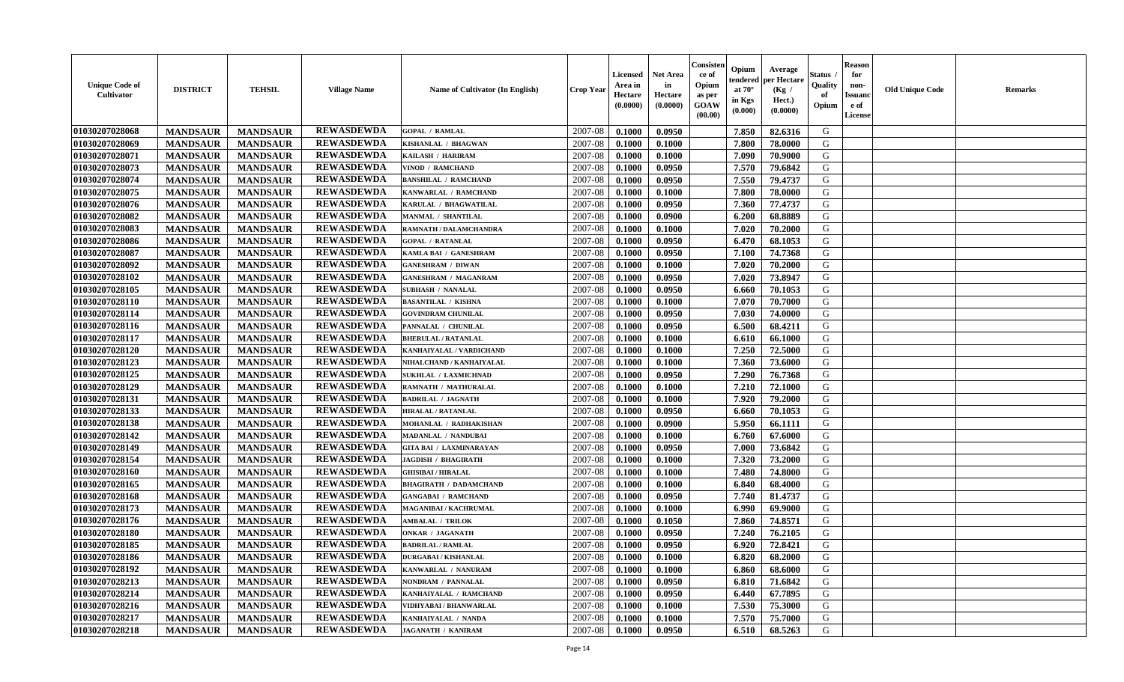| <b>Unique Code of</b><br><b>Cultivator</b> | <b>DISTRICT</b> | <b>TEHSIL</b>   | <b>Village Name</b> | Name of Cultivator (In English) | <b>Crop Year</b> | <b>Licensed</b><br>Area in<br>Hectare<br>(0.0000) | <b>Net Area</b><br>in<br>Hectare<br>(0.0000) | Consisteı<br>ce of<br>Opium<br>as per<br><b>GOAW</b><br>(00.00) | Opium<br>endered<br>at $70^\circ$<br>in Kgs<br>$(\mathbf{0.000})$ | Average<br>per Hectare<br>(Kg /<br>Hect.)<br>(0.0000) | Status<br>Quality<br>of<br>Opium | Reason<br>for<br>non-<br>Issuan<br>e of<br>License | <b>Old Unique Code</b> | <b>Remarks</b> |
|--------------------------------------------|-----------------|-----------------|---------------------|---------------------------------|------------------|---------------------------------------------------|----------------------------------------------|-----------------------------------------------------------------|-------------------------------------------------------------------|-------------------------------------------------------|----------------------------------|----------------------------------------------------|------------------------|----------------|
| 01030207028068                             | <b>MANDSAUR</b> | <b>MANDSAUR</b> | <b>REWASDEWDA</b>   | <b>GOPAL / RAMLAL</b>           | 2007-08          | 0.1000                                            | 0.0950                                       |                                                                 | 7.850                                                             | 82.6316                                               | G                                |                                                    |                        |                |
| 01030207028069                             | <b>MANDSAUR</b> | <b>MANDSAUR</b> | <b>REWASDEWDA</b>   | KISHANLAL / BHAGWAN             | 2007-08          | 0.1000                                            | 0.1000                                       |                                                                 | 7.800                                                             | 78.0000                                               | G                                |                                                    |                        |                |
| 01030207028071                             | <b>MANDSAUR</b> | <b>MANDSAUR</b> | <b>REWASDEWDA</b>   | KAILASH / HARIRAM               | 2007-08          | 0.1000                                            | 0.1000                                       |                                                                 | 7.090                                                             | 70.9000                                               | G                                |                                                    |                        |                |
| 01030207028073                             | <b>MANDSAUR</b> | <b>MANDSAUR</b> | <b>REWASDEWDA</b>   | VINOD / RAMCHAND                | 2007-08          | 0.1000                                            | 0.0950                                       |                                                                 | 7.570                                                             | 79.6842                                               | G                                |                                                    |                        |                |
| 01030207028074                             | <b>MANDSAUR</b> | <b>MANDSAUR</b> | <b>REWASDEWDA</b>   | <b>BANSHILAL / RAMCHAND</b>     | 2007-08          | 0.1000                                            | 0.0950                                       |                                                                 | 7.550                                                             | 79.4737                                               | G                                |                                                    |                        |                |
| 01030207028075                             | <b>MANDSAUR</b> | <b>MANDSAUR</b> | <b>REWASDEWDA</b>   | KANWARLAL / RAMCHAND            | 2007-08          | 0.1000                                            | 0.1000                                       |                                                                 | 7.800                                                             | 78.0000                                               | G                                |                                                    |                        |                |
| 01030207028076                             | <b>MANDSAUR</b> | <b>MANDSAUR</b> | <b>REWASDEWDA</b>   | KARULAL / BHAGWATILAL           | 2007-08          | 0.1000                                            | 0.0950                                       |                                                                 | 7.360                                                             | 77,4737                                               | G                                |                                                    |                        |                |
| 01030207028082                             | <b>MANDSAUR</b> | <b>MANDSAUR</b> | <b>REWASDEWDA</b>   | MANMAL / SHANTILAL              | 2007-08          | 0.1000                                            | 0.0900                                       |                                                                 | 6.200                                                             | 68.8889                                               | G                                |                                                    |                        |                |
| 01030207028083                             | <b>MANDSAUR</b> | <b>MANDSAUR</b> | <b>REWASDEWDA</b>   | RAMNATH / DALAMCHANDRA          | 2007-08          | 0.1000                                            | 0.1000                                       |                                                                 | 7.020                                                             | 70.2000                                               | G                                |                                                    |                        |                |
| 01030207028086                             | <b>MANDSAUR</b> | <b>MANDSAUR</b> | <b>REWASDEWDA</b>   | <b>GOPAL / RATANLAL</b>         | 2007-08          | 0.1000                                            | 0.0950                                       |                                                                 | 6.470                                                             | 68.1053                                               | G                                |                                                    |                        |                |
| 01030207028087                             | <b>MANDSAUR</b> | <b>MANDSAUR</b> | <b>REWASDEWDA</b>   | KAMLA BAI / GANESHRAM           | 2007-08          | 0.1000                                            | 0.0950                                       |                                                                 | 7.100                                                             | 74.7368                                               | G                                |                                                    |                        |                |
| 01030207028092                             | <b>MANDSAUR</b> | <b>MANDSAUR</b> | <b>REWASDEWDA</b>   | <b>GANESHRAM / DIWAN</b>        | 2007-08          | 0.1000                                            | 0.1000                                       |                                                                 | 7.020                                                             | 70.2000                                               | G                                |                                                    |                        |                |
| 01030207028102                             | <b>MANDSAUR</b> | <b>MANDSAUR</b> | <b>REWASDEWDA</b>   | <b>GANESHRAM / MAGANRAM</b>     | 2007-08          | 0.1000                                            | 0.0950                                       |                                                                 | 7.020                                                             | 73.8947                                               | G                                |                                                    |                        |                |
| 01030207028105                             | <b>MANDSAUR</b> | <b>MANDSAUR</b> | <b>REWASDEWDA</b>   | <b>SUBHASH / NANALAL</b>        | 2007-08          | 0.1000                                            | 0.0950                                       |                                                                 | 6.660                                                             | 70.1053                                               | G                                |                                                    |                        |                |
| 01030207028110                             | <b>MANDSAUR</b> | <b>MANDSAUR</b> | <b>REWASDEWDA</b>   | <b>BASANTILAL / KISHNA</b>      | 2007-08          | 0.1000                                            | 0.1000                                       |                                                                 | 7.070                                                             | 70.7000                                               | G                                |                                                    |                        |                |
| 01030207028114                             | <b>MANDSAUR</b> | <b>MANDSAUR</b> | <b>REWASDEWDA</b>   | <b>GOVINDRAM CHUNILAL</b>       | 2007-08          | 0.1000                                            | 0.0950                                       |                                                                 | 7.030                                                             | 74.0000                                               | G                                |                                                    |                        |                |
| 01030207028116                             | <b>MANDSAUR</b> | <b>MANDSAUR</b> | <b>REWASDEWDA</b>   | PANNALAL / CHUNILAL             | 2007-08          | 0.1000                                            | 0.0950                                       |                                                                 | 6.500                                                             | 68.4211                                               | G                                |                                                    |                        |                |
| 01030207028117                             | <b>MANDSAUR</b> | <b>MANDSAUR</b> | <b>REWASDEWDA</b>   | <b>BHERULAL / RATANLAL</b>      | 2007-08          | 0.1000                                            | 0.1000                                       |                                                                 | 6.610                                                             | 66.1000                                               | G                                |                                                    |                        |                |
| 01030207028120                             | <b>MANDSAUR</b> | <b>MANDSAUR</b> | <b>REWASDEWDA</b>   | KANHAIYALAL / VARDICHAND        | 2007-08          | 0.1000                                            | 0.1000                                       |                                                                 | 7.250                                                             | 72.5000                                               | G                                |                                                    |                        |                |
| 01030207028123                             | <b>MANDSAUR</b> | <b>MANDSAUR</b> | <b>REWASDEWDA</b>   | NIHALCHAND / KANHAIYALAL        | 2007-08          | 0.1000                                            | 0.1000                                       |                                                                 | 7.360                                                             | 73.6000                                               | G                                |                                                    |                        |                |
| 01030207028125                             | <b>MANDSAUR</b> | <b>MANDSAUR</b> | <b>REWASDEWDA</b>   | <b>SUKHLAL / LAXMICHNAD</b>     | 2007-08          | 0.1000                                            | 0.0950                                       |                                                                 | 7.290                                                             | 76.7368                                               | G                                |                                                    |                        |                |
| 01030207028129                             | <b>MANDSAUR</b> | <b>MANDSAUR</b> | <b>REWASDEWDA</b>   | RAMNATH / MATHURALAL            | 2007-08          | 0.1000                                            | 0.1000                                       |                                                                 | 7.210                                                             | 72.1000                                               | G                                |                                                    |                        |                |
| 01030207028131                             | <b>MANDSAUR</b> | <b>MANDSAUR</b> | <b>REWASDEWDA</b>   | <b>BADRILAL / JAGNATH</b>       | 2007-08          | 0.1000                                            | 0.1000                                       |                                                                 | 7.920                                                             | 79.2000                                               | G                                |                                                    |                        |                |
| 01030207028133                             | <b>MANDSAUR</b> | <b>MANDSAUR</b> | <b>REWASDEWDA</b>   | HIRALAL / RATANLAL              | 2007-08          | 0.1000                                            | 0.0950                                       |                                                                 | 6.660                                                             | 70.1053                                               | G                                |                                                    |                        |                |
| 01030207028138                             | <b>MANDSAUR</b> | <b>MANDSAUR</b> | <b>REWASDEWDA</b>   | MOHANLAL / RADHAKISHAN          | 2007-08          | 0.1000                                            | 0.0900                                       |                                                                 | 5.950                                                             | 66.1111                                               | G                                |                                                    |                        |                |
| 01030207028142                             | <b>MANDSAUR</b> | <b>MANDSAUR</b> | <b>REWASDEWDA</b>   | MADANLAL / NANDUBAI             | 2007-08          | 0.1000                                            | 0.1000                                       |                                                                 | 6.760                                                             | 67.6000                                               | G                                |                                                    |                        |                |
| 01030207028149                             | <b>MANDSAUR</b> | <b>MANDSAUR</b> | <b>REWASDEWDA</b>   | <b>GITA BAI / LAXMINARAYAN</b>  | 2007-08          | 0.1000                                            | 0.0950                                       |                                                                 | 7.000                                                             | 73.6842                                               | G                                |                                                    |                        |                |
| 01030207028154                             | <b>MANDSAUR</b> | <b>MANDSAUR</b> | <b>REWASDEWDA</b>   | <b>JAGDISH / BHAGIRATH</b>      | 2007-08          | 0.1000                                            | 0.1000                                       |                                                                 | 7.320                                                             | 73.2000                                               | G                                |                                                    |                        |                |
| 01030207028160                             | <b>MANDSAUR</b> | <b>MANDSAUR</b> | <b>REWASDEWDA</b>   | <b>GHISIBAI/HIRALAL</b>         | 2007-08          | 0.1000                                            | 0.1000                                       |                                                                 | 7.480                                                             | 74.8000                                               | G                                |                                                    |                        |                |
| 01030207028165                             | <b>MANDSAUR</b> | <b>MANDSAUR</b> | <b>REWASDEWDA</b>   | <b>BHAGIRATH / DADAMCHAND</b>   | 2007-08          | 0.1000                                            | 0.1000                                       |                                                                 | 6.840                                                             | 68.4000                                               | G                                |                                                    |                        |                |
| 01030207028168                             | <b>MANDSAUR</b> | <b>MANDSAUR</b> | <b>REWASDEWDA</b>   | <b>GANGABAI / RAMCHAND</b>      | 2007-08          | 0.1000                                            | 0.0950                                       |                                                                 | 7.740                                                             | 81.4737                                               | G                                |                                                    |                        |                |
| 01030207028173                             | <b>MANDSAUR</b> | <b>MANDSAUR</b> | <b>REWASDEWDA</b>   | <b>MAGANIBAI / KACHRUMAL</b>    | 2007-08          | 0.1000                                            | 0.1000                                       |                                                                 | 6.990                                                             | 69.9000                                               | G                                |                                                    |                        |                |
| 01030207028176                             | <b>MANDSAUR</b> | <b>MANDSAUR</b> | <b>REWASDEWDA</b>   | <b>AMBALAL / TRILOK</b>         | 2007-08          | 0.1000                                            | 0.1050                                       |                                                                 | 7.860                                                             | 74.8571                                               | G                                |                                                    |                        |                |
| 01030207028180                             | <b>MANDSAUR</b> | <b>MANDSAUR</b> | <b>REWASDEWDA</b>   | <b>ONKAR / JAGANATH</b>         | 2007-08          | 0.1000                                            | 0.0950                                       |                                                                 | 7.240                                                             | 76.2105                                               | G                                |                                                    |                        |                |
| 01030207028185                             | <b>MANDSAUR</b> | <b>MANDSAUR</b> | <b>REWASDEWDA</b>   | <b>BADRILAL / RAMLAL</b>        | 2007-08          | 0.1000                                            | 0.0950                                       |                                                                 | 6.920                                                             | 72.8421                                               | G                                |                                                    |                        |                |
| 01030207028186                             | <b>MANDSAUR</b> | <b>MANDSAUR</b> | <b>REWASDEWDA</b>   | <b>DURGABAI/KISHANLAL</b>       | $2007-08$ 0.1000 |                                                   | 0.1000                                       |                                                                 | 6.820                                                             | 68.2000                                               | G                                |                                                    |                        |                |
| 01030207028192                             | <b>MANDSAUR</b> | <b>MANDSAUR</b> | <b>REWASDEWDA</b>   | KANWARLAL / NANURAM             | 2007-08          | 0.1000                                            | 0.1000                                       |                                                                 | 6.860                                                             | 68.6000                                               | G                                |                                                    |                        |                |
| 01030207028213                             | <b>MANDSAUR</b> | <b>MANDSAUR</b> | <b>REWASDEWDA</b>   | NONDRAM / PANNALAL              | 2007-08          | 0.1000                                            | 0.0950                                       |                                                                 | 6.810                                                             | 71.6842                                               | G                                |                                                    |                        |                |
| 01030207028214                             | <b>MANDSAUR</b> | <b>MANDSAUR</b> | <b>REWASDEWDA</b>   | KANHAIYALAL / RAMCHAND          | 2007-08          | 0.1000                                            | 0.0950                                       |                                                                 | 6.440                                                             | 67.7895                                               | G                                |                                                    |                        |                |
| 01030207028216                             | <b>MANDSAUR</b> | <b>MANDSAUR</b> | <b>REWASDEWDA</b>   | VIDHYABAI / BHANWARLAL          | 2007-08          | 0.1000                                            | 0.1000                                       |                                                                 | 7.530                                                             | 75.3000                                               | G                                |                                                    |                        |                |
| 01030207028217                             | <b>MANDSAUR</b> | <b>MANDSAUR</b> | <b>REWASDEWDA</b>   | KANHAIYALAL / NANDA             | 2007-08          | 0.1000                                            | 0.1000                                       |                                                                 | 7.570                                                             | 75.7000                                               | G                                |                                                    |                        |                |
| 01030207028218                             | <b>MANDSAUR</b> | <b>MANDSAUR</b> | <b>REWASDEWDA</b>   | <b>JAGANATH / KANIRAM</b>       | 2007-08          | 0.1000                                            | 0.0950                                       |                                                                 | 6.510                                                             | 68.5263                                               | G                                |                                                    |                        |                |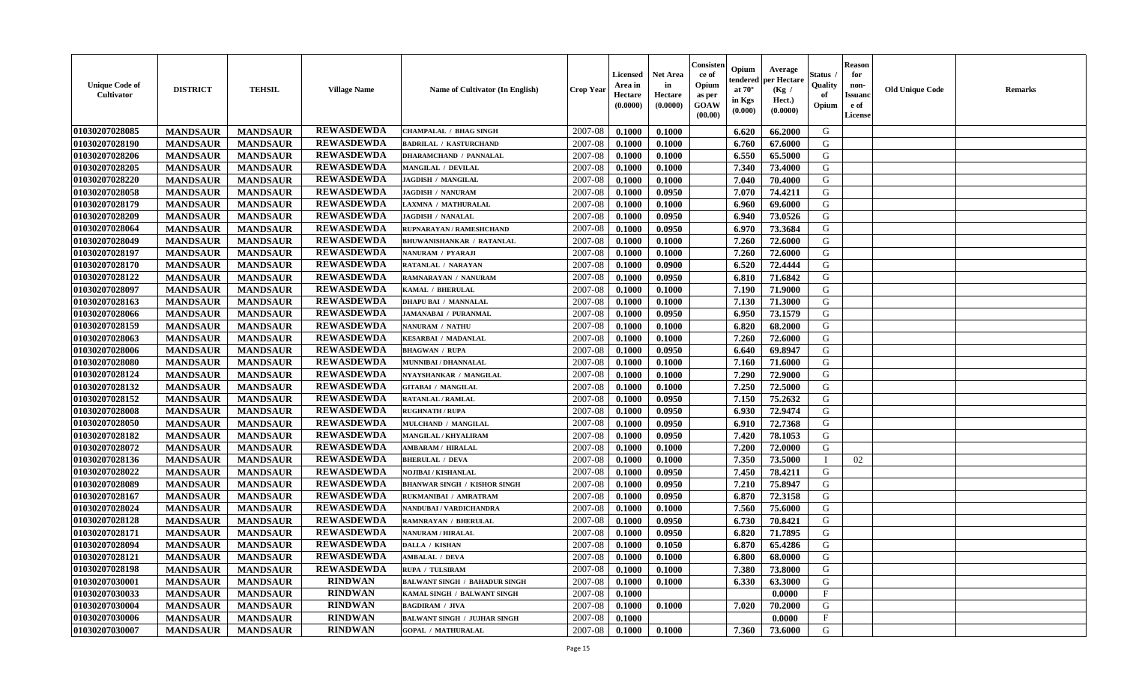| <b>Unique Code of</b><br>Cultivator | <b>DISTRICT</b> | <b>TEHSIL</b>   | <b>Village Name</b> | Name of Cultivator (In English)      | <b>Crop Year</b> | <b>Licensed</b><br>Area in<br>Hectare<br>(0.0000) | <b>Net Area</b><br>in<br>Hectare<br>(0.0000) | Consisten<br>ce of<br>Opium<br>as per<br><b>GOAW</b><br>(00.00) | Opium<br>tendered<br>at $70^{\circ}$<br>in Kgs<br>(0.000) | Average<br>per Hectare<br>(Kg /<br>Hect.)<br>(0.0000) | Status .<br>Quality<br>of<br>Opium | <b>Reason</b><br>for<br>non-<br><b>Issuand</b><br>e of<br>License | <b>Old Unique Code</b> | <b>Remarks</b> |
|-------------------------------------|-----------------|-----------------|---------------------|--------------------------------------|------------------|---------------------------------------------------|----------------------------------------------|-----------------------------------------------------------------|-----------------------------------------------------------|-------------------------------------------------------|------------------------------------|-------------------------------------------------------------------|------------------------|----------------|
| 01030207028085                      | <b>MANDSAUR</b> | <b>MANDSAUR</b> | <b>REWASDEWDA</b>   | <b>CHAMPALAL / BHAG SINGH</b>        | 2007-08          | 0.1000                                            | 0.1000                                       |                                                                 | 6.620                                                     | 66.2000                                               | G                                  |                                                                   |                        |                |
| 01030207028190                      | <b>MANDSAUR</b> | <b>MANDSAUR</b> | <b>REWASDEWDA</b>   | <b>BADRILAL / KASTURCHAND</b>        | 2007-08          | 0.1000                                            | 0.1000                                       |                                                                 | 6.760                                                     | 67.6000                                               | G                                  |                                                                   |                        |                |
| 01030207028206                      | <b>MANDSAUR</b> | <b>MANDSAUR</b> | <b>REWASDEWDA</b>   | <b>DHARAMCHAND / PANNALAL</b>        | 2007-08          | 0.1000                                            | 0.1000                                       |                                                                 | 6.550                                                     | 65.5000                                               | G                                  |                                                                   |                        |                |
| 01030207028205                      | <b>MANDSAUR</b> | <b>MANDSAUR</b> | <b>REWASDEWDA</b>   | MANGILAL / DEVILAL                   | 2007-08          | 0.1000                                            | 0.1000                                       |                                                                 | 7.340                                                     | 73.4000                                               | G                                  |                                                                   |                        |                |
| 01030207028220                      | <b>MANDSAUR</b> | <b>MANDSAUR</b> | <b>REWASDEWDA</b>   | <b>JAGDISH / MANGILAL</b>            | 2007-08          | 0.1000                                            | 0.1000                                       |                                                                 | 7.040                                                     | 70.4000                                               | G                                  |                                                                   |                        |                |
| 01030207028058                      | <b>MANDSAUR</b> | <b>MANDSAUR</b> | <b>REWASDEWDA</b>   | <b>JAGDISH / NANURAM</b>             | 2007-08          | 0.1000                                            | 0.0950                                       |                                                                 | 7.070                                                     | 74,4211                                               | G                                  |                                                                   |                        |                |
| 01030207028179                      | <b>MANDSAUR</b> | <b>MANDSAUR</b> | <b>REWASDEWDA</b>   | LAXMNA / MATHURALAL                  | 2007-08          | 0.1000                                            | 0.1000                                       |                                                                 | 6.960                                                     | 69.6000                                               | G                                  |                                                                   |                        |                |
| 01030207028209                      | <b>MANDSAUR</b> | <b>MANDSAUR</b> | <b>REWASDEWDA</b>   | <b>JAGDISH / NANALAL</b>             | 2007-08          | 0.1000                                            | 0.0950                                       |                                                                 | 6.940                                                     | 73.0526                                               | G                                  |                                                                   |                        |                |
| 01030207028064                      | <b>MANDSAUR</b> | <b>MANDSAUR</b> | <b>REWASDEWDA</b>   | RUPNARAYAN / RAMESHCHAND             | 2007-08          | 0.1000                                            | 0.0950                                       |                                                                 | 6.970                                                     | 73.3684                                               | G                                  |                                                                   |                        |                |
| 01030207028049                      | <b>MANDSAUR</b> | <b>MANDSAUR</b> | <b>REWASDEWDA</b>   | BHUWANISHANKAR / RATANLAL            | 2007-08          | 0.1000                                            | 0.1000                                       |                                                                 | 7.260                                                     | 72.6000                                               | G                                  |                                                                   |                        |                |
| 01030207028197                      | <b>MANDSAUR</b> | <b>MANDSAUR</b> | <b>REWASDEWDA</b>   | NANURAM / PYARAJI                    | 2007-08          | 0.1000                                            | 0.1000                                       |                                                                 | 7.260                                                     | 72.6000                                               | G                                  |                                                                   |                        |                |
| 01030207028170                      | <b>MANDSAUR</b> | <b>MANDSAUR</b> | <b>REWASDEWDA</b>   | RATANLAL / NARAYAN                   | 2007-08          | 0.1000                                            | 0.0900                                       |                                                                 | 6.520                                                     | 72,4444                                               | G                                  |                                                                   |                        |                |
| 01030207028122                      | <b>MANDSAUR</b> | <b>MANDSAUR</b> | <b>REWASDEWDA</b>   | RAMNARAYAN / NANURAM                 | 2007-08          | 0.1000                                            | 0.0950                                       |                                                                 | 6.810                                                     | 71.6842                                               | G                                  |                                                                   |                        |                |
| 01030207028097                      | <b>MANDSAUR</b> | <b>MANDSAUR</b> | <b>REWASDEWDA</b>   | KAMAL / BHERULAL                     | 2007-08          | 0.1000                                            | 0.1000                                       |                                                                 | 7.190                                                     | 71.9000                                               | G                                  |                                                                   |                        |                |
| 01030207028163                      | <b>MANDSAUR</b> | <b>MANDSAUR</b> | <b>REWASDEWDA</b>   | <b>DHAPU BAI / MANNALAL</b>          | 2007-08          | 0.1000                                            | 0.1000                                       |                                                                 | 7.130                                                     | 71.3000                                               | G                                  |                                                                   |                        |                |
| 01030207028066                      | <b>MANDSAUR</b> | <b>MANDSAUR</b> | <b>REWASDEWDA</b>   | <b>JAMANABAI / PURANMAL</b>          | 2007-08          | 0.1000                                            | 0.0950                                       |                                                                 | 6.950                                                     | 73.1579                                               | G                                  |                                                                   |                        |                |
| 01030207028159                      | <b>MANDSAUR</b> | <b>MANDSAUR</b> | <b>REWASDEWDA</b>   | NANURAM / NATHU                      | 2007-08          | 0.1000                                            | 0.1000                                       |                                                                 | 6.820                                                     | 68.2000                                               | G                                  |                                                                   |                        |                |
| 01030207028063                      | <b>MANDSAUR</b> | <b>MANDSAUR</b> | <b>REWASDEWDA</b>   | <b>KESARBAI / MADANLAL</b>           | 2007-08          | 0.1000                                            | 0.1000                                       |                                                                 | 7.260                                                     | 72.6000                                               | G                                  |                                                                   |                        |                |
| 01030207028006                      | <b>MANDSAUR</b> | <b>MANDSAUR</b> | <b>REWASDEWDA</b>   | <b>BHAGWAN / RUPA</b>                | 2007-08          | 0.1000                                            | 0.0950                                       |                                                                 | 6.640                                                     | 69.8947                                               | G                                  |                                                                   |                        |                |
| 01030207028080                      | <b>MANDSAUR</b> | <b>MANDSAUR</b> | <b>REWASDEWDA</b>   | MUNNIBAI / DHANNALAL                 | 2007-08          | 0.1000                                            | 0.1000                                       |                                                                 | 7.160                                                     | 71.6000                                               | G                                  |                                                                   |                        |                |
| 01030207028124                      | <b>MANDSAUR</b> | <b>MANDSAUR</b> | <b>REWASDEWDA</b>   | NYAYSHANKAR / MANGILAL               | 2007-08          | 0.1000                                            | 0.1000                                       |                                                                 | 7.290                                                     | 72.9000                                               | G                                  |                                                                   |                        |                |
| 01030207028132                      | <b>MANDSAUR</b> | <b>MANDSAUR</b> | <b>REWASDEWDA</b>   | <b>GITABAI / MANGILAL</b>            | 2007-08          | 0.1000                                            | 0.1000                                       |                                                                 | 7.250                                                     | 72.5000                                               | G                                  |                                                                   |                        |                |
| 01030207028152                      | <b>MANDSAUR</b> | <b>MANDSAUR</b> | <b>REWASDEWDA</b>   | <b>RATANLAL / RAMLAL</b>             | 2007-08          | 0.1000                                            | 0.0950                                       |                                                                 | 7.150                                                     | 75.2632                                               | G                                  |                                                                   |                        |                |
| 01030207028008                      | <b>MANDSAUR</b> | <b>MANDSAUR</b> | <b>REWASDEWDA</b>   | <b>RUGHNATH / RUPA</b>               | 2007-08          | 0.1000                                            | 0.0950                                       |                                                                 | 6.930                                                     | 72.9474                                               | G                                  |                                                                   |                        |                |
| 01030207028050                      | <b>MANDSAUR</b> | <b>MANDSAUR</b> | <b>REWASDEWDA</b>   | MULCHAND / MANGILAL                  | 2007-08          | 0.1000                                            | 0.0950                                       |                                                                 | 6.910                                                     | 72.7368                                               | G                                  |                                                                   |                        |                |
| 01030207028182                      | <b>MANDSAUR</b> | <b>MANDSAUR</b> | <b>REWASDEWDA</b>   | <b>MANGILAL / KHYALIRAM</b>          | 2007-08          | 0.1000                                            | 0.0950                                       |                                                                 | 7.420                                                     | 78.1053                                               | G                                  |                                                                   |                        |                |
| 01030207028072                      | <b>MANDSAUR</b> | <b>MANDSAUR</b> | <b>REWASDEWDA</b>   | <b>AMBARAM / HIRALAL</b>             | 2007-08          | 0.1000                                            | 0.1000                                       |                                                                 | 7.200                                                     | 72.0000                                               | G                                  |                                                                   |                        |                |
| 01030207028136                      | <b>MANDSAUR</b> | <b>MANDSAUR</b> | <b>REWASDEWDA</b>   | <b>BHERULAL / DEVA</b>               | 2007-08          | 0.1000                                            | 0.1000                                       |                                                                 | 7.350                                                     | 73.5000                                               |                                    | 02                                                                |                        |                |
| 01030207028022                      | <b>MANDSAUR</b> | <b>MANDSAUR</b> | <b>REWASDEWDA</b>   | <b>NOJIBAI / KISHANLAL</b>           | 2007-08          | 0.1000                                            | 0.0950                                       |                                                                 | 7.450                                                     | 78.4211                                               | G                                  |                                                                   |                        |                |
| 01030207028089                      | <b>MANDSAUR</b> | <b>MANDSAUR</b> | <b>REWASDEWDA</b>   | <b>BHANWAR SINGH / KISHOR SINGH</b>  | 2007-08          | 0.1000                                            | 0.0950                                       |                                                                 | 7.210                                                     | 75.8947                                               | G                                  |                                                                   |                        |                |
| 01030207028167                      | <b>MANDSAUR</b> | <b>MANDSAUR</b> | <b>REWASDEWDA</b>   | RUKMANIBAI / AMRATRAM                | 2007-08          | 0.1000                                            | 0.0950                                       |                                                                 | 6.870                                                     | 72.3158                                               | G                                  |                                                                   |                        |                |
| 01030207028024                      | <b>MANDSAUR</b> | <b>MANDSAUR</b> | <b>REWASDEWDA</b>   | NANDUBAI / VARDICHANDRA              | 2007-08          | 0.1000                                            | 0.1000                                       |                                                                 | 7.560                                                     | 75.6000                                               | G                                  |                                                                   |                        |                |
| 01030207028128                      | <b>MANDSAUR</b> | <b>MANDSAUR</b> | <b>REWASDEWDA</b>   | RAMNRAYAN / BHERULAL                 | 2007-08          | 0.1000                                            | 0.0950                                       |                                                                 | 6.730                                                     | 70.8421                                               | G                                  |                                                                   |                        |                |
| 01030207028171                      | <b>MANDSAUR</b> | <b>MANDSAUR</b> | <b>REWASDEWDA</b>   | NANURAM / HIRALAL                    | 2007-08          | 0.1000                                            | 0.0950                                       |                                                                 | 6.820                                                     | 71.7895                                               | G                                  |                                                                   |                        |                |
| 01030207028094                      | <b>MANDSAUR</b> | <b>MANDSAUR</b> | <b>REWASDEWDA</b>   | DALLA / KISHAN                       | 2007-08          | 0.1000                                            | 0.1050                                       |                                                                 | 6.870                                                     | 65.4286                                               | G                                  |                                                                   |                        |                |
| 01030207028121                      | <b>MANDSAUR</b> | <b>MANDSAUR</b> | <b>REWASDEWDA</b>   | <b>AMBALAL / DEVA</b>                | 2007-08          | 0.1000                                            | 0.1000                                       |                                                                 | 6.800                                                     | 68.0000                                               | G                                  |                                                                   |                        |                |
| 01030207028198                      | <b>MANDSAUR</b> | <b>MANDSAUR</b> | <b>REWASDEWDA</b>   | RUPA / TULSIRAM                      | 2007-08          | 0.1000                                            | 0.1000                                       |                                                                 | 7.380                                                     | 73.8000                                               | G                                  |                                                                   |                        |                |
| 01030207030001                      | <b>MANDSAUR</b> | <b>MANDSAUR</b> | <b>RINDWAN</b>      | <b>BALWANT SINGH / BAHADUR SINGH</b> | 2007-08          | 0.1000                                            | 0.1000                                       |                                                                 | 6.330                                                     | 63.3000                                               | G                                  |                                                                   |                        |                |
| 01030207030033                      | <b>MANDSAUR</b> | <b>MANDSAUR</b> | <b>RINDWAN</b>      | KAMAL SINGH / BALWANT SINGH          | 2007-08          | 0.1000                                            |                                              |                                                                 |                                                           | 0.0000                                                | $\mathbf{F}$                       |                                                                   |                        |                |
| 01030207030004                      | <b>MANDSAUR</b> | <b>MANDSAUR</b> | <b>RINDWAN</b>      | <b>BAGDIRAM / JIVA</b>               | 2007-08          | 0.1000                                            | 0.1000                                       |                                                                 | 7.020                                                     | 70.2000                                               | G                                  |                                                                   |                        |                |
| 01030207030006                      | <b>MANDSAUR</b> | <b>MANDSAUR</b> | <b>RINDWAN</b>      | <b>BALWANT SINGH / JUJHAR SINGH</b>  | 2007-08          | 0.1000                                            |                                              |                                                                 |                                                           | 0.0000                                                | $\mathbf{F}$                       |                                                                   |                        |                |
| 01030207030007                      | <b>MANDSAUR</b> | <b>MANDSAUR</b> | <b>RINDWAN</b>      | <b>GOPAL / MATHURALAL</b>            | 2007-08          | 0.1000                                            | 0.1000                                       |                                                                 | 7.360                                                     | 73.6000                                               | G                                  |                                                                   |                        |                |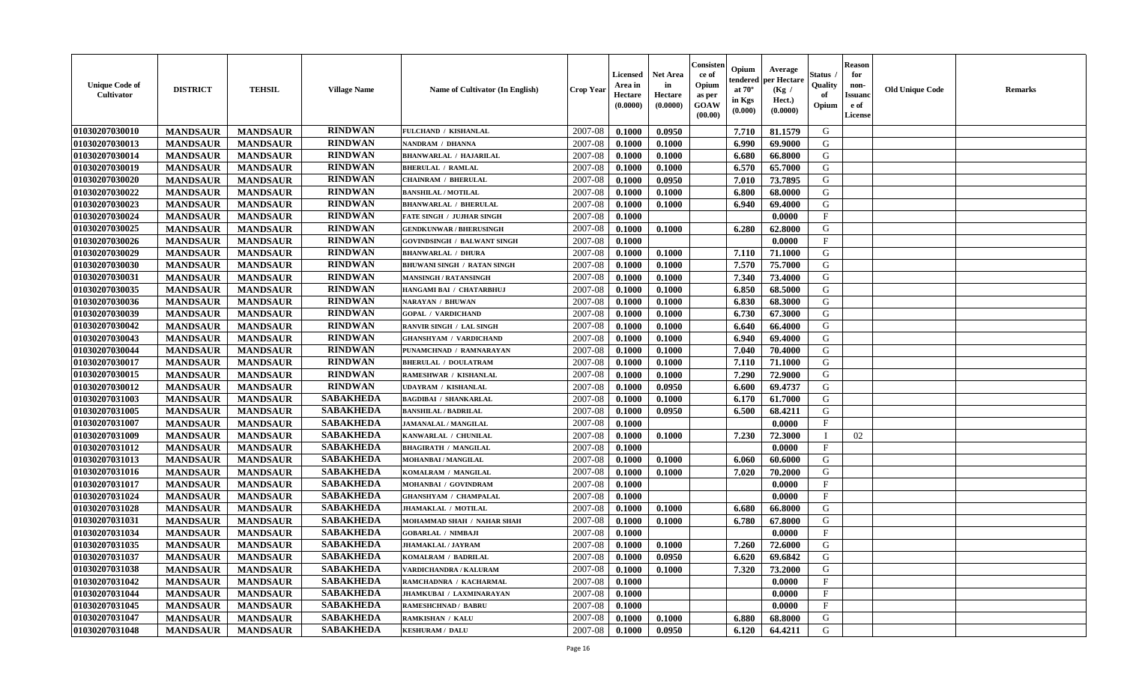| <b>Unique Code of</b><br><b>Cultivator</b> | <b>DISTRICT</b> | <b>TEHSIL</b>   | <b>Village Name</b> | Name of Cultivator (In English)    | <b>Crop Year</b> | <b>Licensed</b><br>Area in<br>Hectare<br>(0.0000) | <b>Net Area</b><br>in<br>Hectare<br>(0.0000) | Consisteı<br>ce of<br>Opium<br>as per<br><b>GOAW</b><br>(00.00) | Opium<br>endered<br>at $70^\circ$<br>in Kgs<br>$(\mathbf{0.000})$ | Average<br>per Hectare<br>(Kg /<br>Hect.)<br>(0.0000) | Status<br>Quality<br>of<br>Opium | Reason<br>for<br>non-<br>Issuan<br>e of<br>License | <b>Old Unique Code</b> | <b>Remarks</b> |
|--------------------------------------------|-----------------|-----------------|---------------------|------------------------------------|------------------|---------------------------------------------------|----------------------------------------------|-----------------------------------------------------------------|-------------------------------------------------------------------|-------------------------------------------------------|----------------------------------|----------------------------------------------------|------------------------|----------------|
| 01030207030010                             | <b>MANDSAUR</b> | <b>MANDSAUR</b> | <b>RINDWAN</b>      | FULCHAND / KISHANLAL               | 2007-08          | 0.1000                                            | 0.0950                                       |                                                                 | 7.710                                                             | 81.1579                                               | G                                |                                                    |                        |                |
| 01030207030013                             | <b>MANDSAUR</b> | <b>MANDSAUR</b> | <b>RINDWAN</b>      | NANDRAM / DHANNA                   | 2007-08          | 0.1000                                            | 0.1000                                       |                                                                 | 6.990                                                             | 69.9000                                               | G                                |                                                    |                        |                |
| 01030207030014                             | <b>MANDSAUR</b> | <b>MANDSAUR</b> | <b>RINDWAN</b>      | <b>BHANWARLAL / HAJARILAL</b>      | 2007-08          | 0.1000                                            | 0.1000                                       |                                                                 | 6.680                                                             | 66.8000                                               | G                                |                                                    |                        |                |
| 01030207030019                             | <b>MANDSAUR</b> | <b>MANDSAUR</b> | <b>RINDWAN</b>      | <b>BHERULAL / RAMLAL</b>           | 2007-08          | 0.1000                                            | 0.1000                                       |                                                                 | 6.570                                                             | 65.7000                                               | G                                |                                                    |                        |                |
| 01030207030020                             | <b>MANDSAUR</b> | <b>MANDSAUR</b> | <b>RINDWAN</b>      | <b>CHAINRAM / BHERULAL</b>         | 2007-08          | 0.1000                                            | 0.0950                                       |                                                                 | 7.010                                                             | 73.7895                                               | G                                |                                                    |                        |                |
| 01030207030022                             | <b>MANDSAUR</b> | <b>MANDSAUR</b> | <b>RINDWAN</b>      | <b>BANSHILAL / MOTILAL</b>         | 2007-08          | 0.1000                                            | 0.1000                                       |                                                                 | 6.800                                                             | 68.0000                                               | G                                |                                                    |                        |                |
| 01030207030023                             | <b>MANDSAUR</b> | <b>MANDSAUR</b> | <b>RINDWAN</b>      | <b>BHANWARLAL / BHERULAL</b>       | 2007-08          | 0.1000                                            | 0.1000                                       |                                                                 | 6.940                                                             | 69.4000                                               | G                                |                                                    |                        |                |
| 01030207030024                             | <b>MANDSAUR</b> | <b>MANDSAUR</b> | <b>RINDWAN</b>      | <b>FATE SINGH / JUJHAR SINGH</b>   | 2007-08          | 0.1000                                            |                                              |                                                                 |                                                                   | 0.0000                                                | $\mathbf{F}$                     |                                                    |                        |                |
| 01030207030025                             | <b>MANDSAUR</b> | <b>MANDSAUR</b> | <b>RINDWAN</b>      | <b>GENDKUNWAR / BHERUSINGH</b>     | 2007-08          | 0.1000                                            | 0.1000                                       |                                                                 | 6.280                                                             | 62.8000                                               | G                                |                                                    |                        |                |
| 01030207030026                             | <b>MANDSAUR</b> | <b>MANDSAUR</b> | <b>RINDWAN</b>      | <b>GOVINDSINGH / BALWANT SINGH</b> | 2007-08          | 0.1000                                            |                                              |                                                                 |                                                                   | 0.0000                                                | $\mathbf{F}$                     |                                                    |                        |                |
| 01030207030029                             | <b>MANDSAUR</b> | <b>MANDSAUR</b> | <b>RINDWAN</b>      | <b>BHANWARLAL / DHURA</b>          | 2007-08          | 0.1000                                            | 0.1000                                       |                                                                 | 7.110                                                             | 71.1000                                               | G                                |                                                    |                        |                |
| 01030207030030                             | <b>MANDSAUR</b> | <b>MANDSAUR</b> | <b>RINDWAN</b>      | <b>BHUWANI SINGH / RATAN SINGH</b> | 2007-08          | 0.1000                                            | 0.1000                                       |                                                                 | 7.570                                                             | 75.7000                                               | G                                |                                                    |                        |                |
| 01030207030031                             | <b>MANDSAUR</b> | <b>MANDSAUR</b> | <b>RINDWAN</b>      | <b>MANSINGH / RATANSINGH</b>       | 2007-08          | 0.1000                                            | 0.1000                                       |                                                                 | 7.340                                                             | 73.4000                                               | G                                |                                                    |                        |                |
| 01030207030035                             | <b>MANDSAUR</b> | <b>MANDSAUR</b> | <b>RINDWAN</b>      | HANGAMI BAI / CHATARBHUJ           | 2007-08          | 0.1000                                            | 0.1000                                       |                                                                 | 6.850                                                             | 68.5000                                               | G                                |                                                    |                        |                |
| 01030207030036                             | <b>MANDSAUR</b> | <b>MANDSAUR</b> | <b>RINDWAN</b>      | <b>NARAYAN / BHUWAN</b>            | 2007-08          | 0.1000                                            | 0.1000                                       |                                                                 | 6.830                                                             | 68.3000                                               | G                                |                                                    |                        |                |
| 01030207030039                             | <b>MANDSAUR</b> | <b>MANDSAUR</b> | <b>RINDWAN</b>      | <b>GOPAL / VARDICHAND</b>          | 2007-08          | 0.1000                                            | 0.1000                                       |                                                                 | 6.730                                                             | 67.3000                                               | G                                |                                                    |                        |                |
| 01030207030042                             | <b>MANDSAUR</b> | <b>MANDSAUR</b> | <b>RINDWAN</b>      | RANVIR SINGH / LAL SINGH           | 2007-08          | 0.1000                                            | 0.1000                                       |                                                                 | 6.640                                                             | 66.4000                                               | G                                |                                                    |                        |                |
| 01030207030043                             | <b>MANDSAUR</b> | <b>MANDSAUR</b> | <b>RINDWAN</b>      | <b>GHANSHYAM / VARDICHAND</b>      | 2007-08          | 0.1000                                            | 0.1000                                       |                                                                 | 6.940                                                             | 69.4000                                               | G                                |                                                    |                        |                |
| 01030207030044                             | <b>MANDSAUR</b> | <b>MANDSAUR</b> | <b>RINDWAN</b>      | PUNAMCHNAD / RAMNARAYAN            | 2007-08          | 0.1000                                            | 0.1000                                       |                                                                 | 7.040                                                             | 70.4000                                               | G                                |                                                    |                        |                |
| 01030207030017                             | <b>MANDSAUR</b> | <b>MANDSAUR</b> | <b>RINDWAN</b>      | <b>BHERULAL / DOULATRAM</b>        | 2007-08          | 0.1000                                            | 0.1000                                       |                                                                 | 7.110                                                             | 71.1000                                               | G                                |                                                    |                        |                |
| 01030207030015                             | <b>MANDSAUR</b> | <b>MANDSAUR</b> | <b>RINDWAN</b>      | RAMESHWAR / KISHANLAL              | 2007-08          | 0.1000                                            | 0.1000                                       |                                                                 | 7.290                                                             | 72.9000                                               | G                                |                                                    |                        |                |
| 01030207030012                             | <b>MANDSAUR</b> | <b>MANDSAUR</b> | <b>RINDWAN</b>      | UDAYRAM / KISHANLAL                | 2007-08          | 0.1000                                            | 0.0950                                       |                                                                 | 6.600                                                             | 69.4737                                               | G                                |                                                    |                        |                |
| 01030207031003                             | <b>MANDSAUR</b> | <b>MANDSAUR</b> | <b>SABAKHEDA</b>    | <b>BAGDIBAI / SHANKARLAL</b>       | 2007-08          | 0.1000                                            | 0.1000                                       |                                                                 | 6.170                                                             | 61.7000                                               | G                                |                                                    |                        |                |
| 01030207031005                             | <b>MANDSAUR</b> | <b>MANDSAUR</b> | <b>SABAKHEDA</b>    | <b>BANSHILAL / BADRILAL</b>        | 2007-08          | 0.1000                                            | 0.0950                                       |                                                                 | 6.500                                                             | 68.4211                                               | G                                |                                                    |                        |                |
| 01030207031007                             | <b>MANDSAUR</b> | <b>MANDSAUR</b> | <b>SABAKHEDA</b>    | JAMANALAL / MANGILAL               | 2007-08          | 0.1000                                            |                                              |                                                                 |                                                                   | 0.0000                                                | $\mathbf{F}$                     |                                                    |                        |                |
| 01030207031009                             | <b>MANDSAUR</b> | <b>MANDSAUR</b> | <b>SABAKHEDA</b>    | KANWARLAL / CHUNILAL               | 2007-08          | 0.1000                                            | 0.1000                                       |                                                                 | 7.230                                                             | 72.3000                                               | П                                | 02                                                 |                        |                |
| 01030207031012                             | <b>MANDSAUR</b> | <b>MANDSAUR</b> | <b>SABAKHEDA</b>    | <b>BHAGIRATH / MANGILAL</b>        | 2007-08          | 0.1000                                            |                                              |                                                                 |                                                                   | 0.0000                                                | $\mathbf{F}$                     |                                                    |                        |                |
| 01030207031013                             | <b>MANDSAUR</b> | <b>MANDSAUR</b> | <b>SABAKHEDA</b>    | MOHANBAI / MANGILAL                | 2007-08          | 0.1000                                            | 0.1000                                       |                                                                 | 6.060                                                             | 60.6000                                               | G                                |                                                    |                        |                |
| 01030207031016                             | <b>MANDSAUR</b> | <b>MANDSAUR</b> | <b>SABAKHEDA</b>    | KOMALRAM / MANGILAL                | 2007-08          | 0.1000                                            | 0.1000                                       |                                                                 | 7.020                                                             | 70.2000                                               | G                                |                                                    |                        |                |
| 01030207031017                             | <b>MANDSAUR</b> | <b>MANDSAUR</b> | <b>SABAKHEDA</b>    | MOHANBAI / GOVINDRAM               | 2007-08          | 0.1000                                            |                                              |                                                                 |                                                                   | 0.0000                                                | $_{\rm F}$                       |                                                    |                        |                |
| 01030207031024                             | <b>MANDSAUR</b> | <b>MANDSAUR</b> | <b>SABAKHEDA</b>    | <b>GHANSHYAM / CHAMPALAL</b>       | 2007-08          | 0.1000                                            |                                              |                                                                 |                                                                   | 0.0000                                                | $_{\rm F}$                       |                                                    |                        |                |
| 01030207031028                             | <b>MANDSAUR</b> | <b>MANDSAUR</b> | <b>SABAKHEDA</b>    | JHAMAKLAL / MOTILAL                | 2007-08          | 0.1000                                            | 0.1000                                       |                                                                 | 6.680                                                             | 66.8000                                               | G                                |                                                    |                        |                |
| 01030207031031                             | <b>MANDSAUR</b> | <b>MANDSAUR</b> | <b>SABAKHEDA</b>    | MOHAMMAD SHAH / NAHAR SHAH         | 2007-08          | 0.1000                                            | 0.1000                                       |                                                                 | 6.780                                                             | 67.8000                                               | G                                |                                                    |                        |                |
| 01030207031034                             | <b>MANDSAUR</b> | <b>MANDSAUR</b> | <b>SABAKHEDA</b>    | <b>GOBARLAL / NIMBAJI</b>          | 2007-08          | 0.1000                                            |                                              |                                                                 |                                                                   | 0.0000                                                | $_{\rm F}$                       |                                                    |                        |                |
| 01030207031035                             | <b>MANDSAUR</b> | <b>MANDSAUR</b> | <b>SABAKHEDA</b>    | <b>JHAMAKLAL / JAYRAM</b>          | 2007-08          | 0.1000                                            | 0.1000                                       |                                                                 | 7.260                                                             | 72.6000                                               | G                                |                                                    |                        |                |
| 01030207031037                             | <b>MANDSAUR</b> | <b>MANDSAUR</b> | <b>SABAKHEDA</b>    | KOMALRAM / BADRILAL                | 2007-08          | 0.1000                                            | 0.0950                                       |                                                                 | $6.620$                                                           | 69.6842                                               | G                                |                                                    |                        |                |
| 01030207031038                             | <b>MANDSAUR</b> | <b>MANDSAUR</b> | <b>SABAKHEDA</b>    | VARDICHANDRA / KALURAM             | 2007-08          | 0.1000                                            | 0.1000                                       |                                                                 | 7.320                                                             | 73.2000                                               | G                                |                                                    |                        |                |
| 01030207031042                             | <b>MANDSAUR</b> | <b>MANDSAUR</b> | <b>SABAKHEDA</b>    | RAMCHADNRA / KACHARMAL             | 2007-08          | 0.1000                                            |                                              |                                                                 |                                                                   | 0.0000                                                | $\mathbf{F}$                     |                                                    |                        |                |
| 01030207031044                             | <b>MANDSAUR</b> | <b>MANDSAUR</b> | <b>SABAKHEDA</b>    | JHAMKUBAI / LAXMINARAYAN           | 2007-08          | 0.1000                                            |                                              |                                                                 |                                                                   | 0.0000                                                | $\mathbf{F}$                     |                                                    |                        |                |
| 01030207031045                             | <b>MANDSAUR</b> | <b>MANDSAUR</b> | <b>SABAKHEDA</b>    | <b>RAMESHCHNAD / BABRU</b>         | 2007-08          | 0.1000                                            |                                              |                                                                 |                                                                   | 0.0000                                                | $\mathbf{F}$                     |                                                    |                        |                |
| 01030207031047                             | <b>MANDSAUR</b> | <b>MANDSAUR</b> | <b>SABAKHEDA</b>    | <b>RAMKISHAN / KALU</b>            | 2007-08          | 0.1000                                            | 0.1000                                       |                                                                 | 6.880                                                             | 68.8000                                               | G                                |                                                    |                        |                |
| 01030207031048                             | <b>MANDSAUR</b> | <b>MANDSAUR</b> | <b>SABAKHEDA</b>    | <b>KESHURAM / DALU</b>             | 2007-08          | 0.1000                                            | 0.0950                                       |                                                                 | 6.120                                                             | 64.4211                                               | G                                |                                                    |                        |                |
|                                            |                 |                 |                     |                                    |                  |                                                   |                                              |                                                                 |                                                                   |                                                       |                                  |                                                    |                        |                |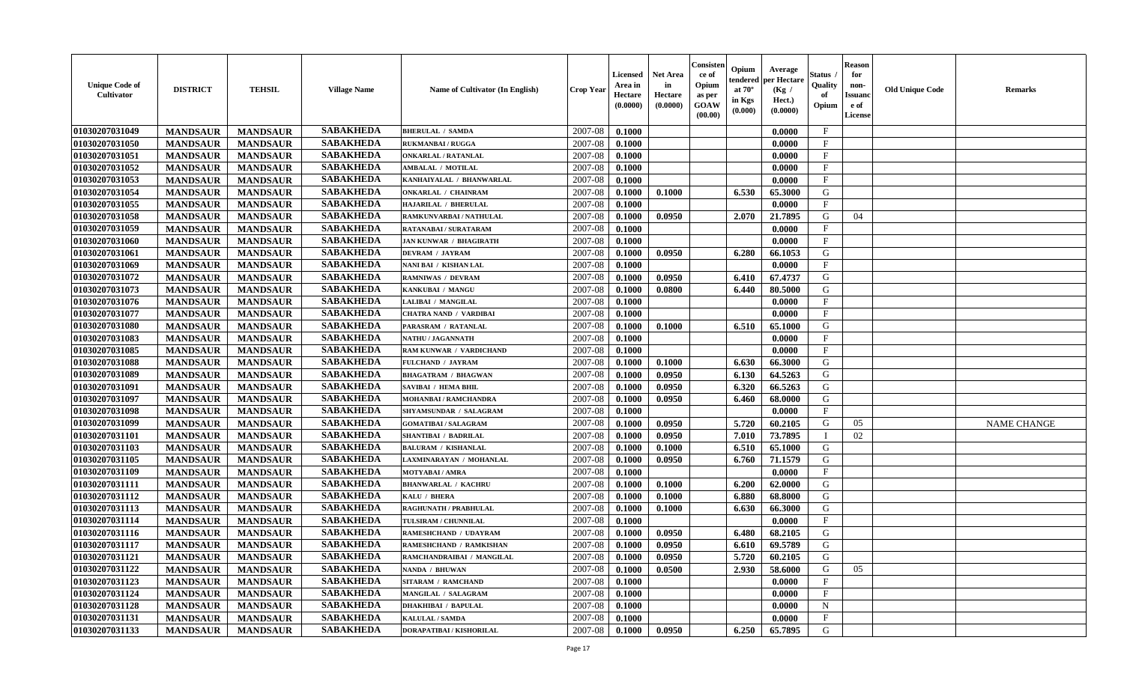| <b>Unique Code of</b><br><b>Cultivator</b> | <b>DISTRICT</b> | <b>TEHSIL</b>   | <b>Village Name</b> | Name of Cultivator (In English) | <b>Crop Year</b> | <b>Licensed</b><br>Area in<br>Hectare<br>(0.0000) | <b>Net Area</b><br>in<br>Hectare<br>(0.0000) | Consisteı<br>ce of<br>Opium<br>as per<br><b>GOAW</b><br>(00.00) | Opium<br>endered<br>at $70^\circ$<br>in Kgs<br>(0.000) | Average<br>per Hectare<br>(Kg /<br>Hect.)<br>(0.0000) | Status<br>Quality<br>of<br>Opium | Reason<br>for<br>non-<br>Issuan<br>e of<br>License | <b>Old Unique Code</b> | <b>Remarks</b>     |
|--------------------------------------------|-----------------|-----------------|---------------------|---------------------------------|------------------|---------------------------------------------------|----------------------------------------------|-----------------------------------------------------------------|--------------------------------------------------------|-------------------------------------------------------|----------------------------------|----------------------------------------------------|------------------------|--------------------|
| 01030207031049                             | <b>MANDSAUR</b> | <b>MANDSAUR</b> | <b>SABAKHEDA</b>    | <b>BHERULAL / SAMDA</b>         | 2007-08          | 0.1000                                            |                                              |                                                                 |                                                        | 0.0000                                                | $\mathbf{F}$                     |                                                    |                        |                    |
| 01030207031050                             | <b>MANDSAUR</b> | <b>MANDSAUR</b> | <b>SABAKHEDA</b>    | <b>RUKMANBAI / RUGGA</b>        | 2007-08          | 0.1000                                            |                                              |                                                                 |                                                        | 0.0000                                                | $_{\rm F}$                       |                                                    |                        |                    |
| 01030207031051                             | <b>MANDSAUR</b> | <b>MANDSAUR</b> | <b>SABAKHEDA</b>    | <b>ONKARLAL / RATANLAL</b>      | 2007-08          | 0.1000                                            |                                              |                                                                 |                                                        | 0.0000                                                | $\mathbf{F}$                     |                                                    |                        |                    |
| 01030207031052                             | <b>MANDSAUR</b> | <b>MANDSAUR</b> | <b>SABAKHEDA</b>    | AMBALAL / MOTILAL               | 2007-08          | 0.1000                                            |                                              |                                                                 |                                                        | 0.0000                                                | $\mathbf{F}$                     |                                                    |                        |                    |
| 01030207031053                             | <b>MANDSAUR</b> | <b>MANDSAUR</b> | <b>SABAKHEDA</b>    | KANHAIYALAL / BHANWARLAL        | 2007-08          | 0.1000                                            |                                              |                                                                 |                                                        | 0.0000                                                | $\mathbf{F}$                     |                                                    |                        |                    |
| 01030207031054                             | <b>MANDSAUR</b> | <b>MANDSAUR</b> | <b>SABAKHEDA</b>    | <b>ONKARLAL / CHAINRAM</b>      | 2007-08          | 0.1000                                            | 0.1000                                       |                                                                 | 6.530                                                  | 65.3000                                               | G                                |                                                    |                        |                    |
| 01030207031055                             | <b>MANDSAUR</b> | <b>MANDSAUR</b> | <b>SABAKHEDA</b>    | HAJARILAL / BHERULAL            | 2007-08          | 0.1000                                            |                                              |                                                                 |                                                        | 0.0000                                                | $\mathbf{F}$                     |                                                    |                        |                    |
| 01030207031058                             | <b>MANDSAUR</b> | <b>MANDSAUR</b> | <b>SABAKHEDA</b>    | RAMKUNVARBAI / NATHULAL         | 2007-08          | 0.1000                                            | 0.0950                                       |                                                                 | 2.070                                                  | 21.7895                                               | G                                | 04                                                 |                        |                    |
| 01030207031059                             | <b>MANDSAUR</b> | <b>MANDSAUR</b> | <b>SABAKHEDA</b>    | <b>RATANABAI/SURATARAM</b>      | 2007-08          | 0.1000                                            |                                              |                                                                 |                                                        | 0.0000                                                | $_{\rm F}$                       |                                                    |                        |                    |
| 01030207031060                             | <b>MANDSAUR</b> | <b>MANDSAUR</b> | <b>SABAKHEDA</b>    | <b>JAN KUNWAR / BHAGIRATH</b>   | 2007-08          | 0.1000                                            |                                              |                                                                 |                                                        | 0.0000                                                | $_{\rm F}$                       |                                                    |                        |                    |
| 01030207031061                             | <b>MANDSAUR</b> | <b>MANDSAUR</b> | <b>SABAKHEDA</b>    | <b>DEVRAM / JAYRAM</b>          | 2007-08          | 0.1000                                            | 0.0950                                       |                                                                 | 6.280                                                  | 66.1053                                               | G                                |                                                    |                        |                    |
| 01030207031069                             | <b>MANDSAUR</b> | <b>MANDSAUR</b> | <b>SABAKHEDA</b>    | NANI BAI / KISHAN LAL           | 2007-08          | 0.1000                                            |                                              |                                                                 |                                                        | 0.0000                                                | $\mathbf{F}$                     |                                                    |                        |                    |
| 01030207031072                             | <b>MANDSAUR</b> | <b>MANDSAUR</b> | <b>SABAKHEDA</b>    | <b>RAMNIWAS / DEVRAM</b>        | 2007-08          | 0.1000                                            | 0.0950                                       |                                                                 | 6.410                                                  | 67.4737                                               | G                                |                                                    |                        |                    |
| 01030207031073                             | <b>MANDSAUR</b> | <b>MANDSAUR</b> | <b>SABAKHEDA</b>    | KANKUBAI / MANGU                | 2007-08          | 0.1000                                            | 0.0800                                       |                                                                 | 6.440                                                  | 80.5000                                               | G                                |                                                    |                        |                    |
| 01030207031076                             | <b>MANDSAUR</b> | <b>MANDSAUR</b> | <b>SABAKHEDA</b>    | LALIBAI / MANGILAL              | 2007-08          | 0.1000                                            |                                              |                                                                 |                                                        | 0.0000                                                | $\mathbf{F}$                     |                                                    |                        |                    |
| 01030207031077                             | <b>MANDSAUR</b> | <b>MANDSAUR</b> | <b>SABAKHEDA</b>    | CHATRA NAND / VARDIBAI          | 2007-08          | 0.1000                                            |                                              |                                                                 |                                                        | 0.0000                                                | F                                |                                                    |                        |                    |
| 01030207031080                             | <b>MANDSAUR</b> | <b>MANDSAUR</b> | <b>SABAKHEDA</b>    | PARASRAM / RATANLAL             | 2007-08          | 0.1000                                            | 0.1000                                       |                                                                 | 6.510                                                  | 65.1000                                               | G                                |                                                    |                        |                    |
| 01030207031083                             | <b>MANDSAUR</b> | <b>MANDSAUR</b> | <b>SABAKHEDA</b>    | NATHU / JAGANNATH               | 2007-08          | 0.1000                                            |                                              |                                                                 |                                                        | 0.0000                                                | $\mathbf{F}$                     |                                                    |                        |                    |
| 01030207031085                             | <b>MANDSAUR</b> | <b>MANDSAUR</b> | <b>SABAKHEDA</b>    | RAM KUNWAR / VARDICHAND         | 2007-08          | 0.1000                                            |                                              |                                                                 |                                                        | 0.0000                                                | $_{\rm F}$                       |                                                    |                        |                    |
| 01030207031088                             | <b>MANDSAUR</b> | <b>MANDSAUR</b> | <b>SABAKHEDA</b>    | FULCHAND / JAYRAM               | 2007-08          | 0.1000                                            | 0.1000                                       |                                                                 | 6.630                                                  | 66.3000                                               | G                                |                                                    |                        |                    |
| 01030207031089                             | <b>MANDSAUR</b> | <b>MANDSAUR</b> | <b>SABAKHEDA</b>    | <b>BHAGATRAM / BHAGWAN</b>      | 2007-08          | 0.1000                                            | 0.0950                                       |                                                                 | 6.130                                                  | 64.5263                                               | G                                |                                                    |                        |                    |
| 01030207031091                             | <b>MANDSAUR</b> | <b>MANDSAUR</b> | <b>SABAKHEDA</b>    | SAVIBAI / HEMA BHIL             | 2007-08          | 0.1000                                            | 0.0950                                       |                                                                 | 6.320                                                  | 66.5263                                               | G                                |                                                    |                        |                    |
| 01030207031097                             | <b>MANDSAUR</b> | <b>MANDSAUR</b> | <b>SABAKHEDA</b>    | MOHANBAI / RAMCHANDRA           | 2007-08          | 0.1000                                            | 0.0950                                       |                                                                 | 6.460                                                  | 68.0000                                               | G                                |                                                    |                        |                    |
| 01030207031098                             | <b>MANDSAUR</b> | <b>MANDSAUR</b> | <b>SABAKHEDA</b>    | SHYAMSUNDAR / SALAGRAM          | 2007-08          | 0.1000                                            |                                              |                                                                 |                                                        | 0.0000                                                | $\mathbf{F}$                     |                                                    |                        |                    |
| 01030207031099                             | <b>MANDSAUR</b> | <b>MANDSAUR</b> | <b>SABAKHEDA</b>    | <b>GOMATIBAI / SALAGRAM</b>     | 2007-08          | 0.1000                                            | 0.0950                                       |                                                                 | 5.720                                                  | 60.2105                                               | G                                | 05                                                 |                        | <b>NAME CHANGE</b> |
| 01030207031101                             | <b>MANDSAUR</b> | <b>MANDSAUR</b> | <b>SABAKHEDA</b>    | <b>SHANTIBAI / BADRILAL</b>     | 2007-08          | 0.1000                                            | 0.0950                                       |                                                                 | 7.010                                                  | 73.7895                                               | $\blacksquare$                   | 02                                                 |                        |                    |
| 01030207031103                             | <b>MANDSAUR</b> | <b>MANDSAUR</b> | <b>SABAKHEDA</b>    | <b>BALURAM / KISHANLAL</b>      | 2007-08          | 0.1000                                            | 0.1000                                       |                                                                 | 6.510                                                  | 65.1000                                               | G                                |                                                    |                        |                    |
| 01030207031105                             | <b>MANDSAUR</b> | <b>MANDSAUR</b> | <b>SABAKHEDA</b>    | LAXMINARAYAN / MOHANLAL         | 2007-08          | 0.1000                                            | 0.0950                                       |                                                                 | 6.760                                                  | 71.1579                                               | G                                |                                                    |                        |                    |
| 01030207031109                             | <b>MANDSAUR</b> | <b>MANDSAUR</b> | <b>SABAKHEDA</b>    | <b>MOTYABAI/AMRA</b>            | 2007-08          | 0.1000                                            |                                              |                                                                 |                                                        | 0.0000                                                | $\mathbf{F}$                     |                                                    |                        |                    |
| 01030207031111                             | <b>MANDSAUR</b> | <b>MANDSAUR</b> | <b>SABAKHEDA</b>    | <b>BHANWARLAL / KACHRU</b>      | 2007-08          | 0.1000                                            | 0.1000                                       |                                                                 | 6.200                                                  | 62.0000                                               | G                                |                                                    |                        |                    |
| 01030207031112                             | <b>MANDSAUR</b> | <b>MANDSAUR</b> | <b>SABAKHEDA</b>    | KALU / BHERA                    | 2007-08          | 0.1000                                            | 0.1000                                       |                                                                 | 6.880                                                  | 68.8000                                               | G                                |                                                    |                        |                    |
| 01030207031113                             | <b>MANDSAUR</b> | <b>MANDSAUR</b> | <b>SABAKHEDA</b>    | <b>RAGHUNATH / PRABHULAL</b>    | 2007-08          | 0.1000                                            | 0.1000                                       |                                                                 | 6.630                                                  | 66.3000                                               | G                                |                                                    |                        |                    |
| 01030207031114                             | <b>MANDSAUR</b> | <b>MANDSAUR</b> | <b>SABAKHEDA</b>    | TULSIRAM / CHUNNILAL            | 2007-08          | 0.1000                                            |                                              |                                                                 |                                                        | 0.0000                                                | $\mathbf{F}$                     |                                                    |                        |                    |
| 01030207031116                             | <b>MANDSAUR</b> | <b>MANDSAUR</b> | <b>SABAKHEDA</b>    | RAMESHCHAND / UDAYRAM           | 2007-08          | 0.1000                                            | 0.0950                                       |                                                                 | 6.480                                                  | 68.2105                                               | G                                |                                                    |                        |                    |
| 01030207031117                             | <b>MANDSAUR</b> | <b>MANDSAUR</b> | <b>SABAKHEDA</b>    | RAMESHCHAND / RAMKISHAN         | 2007-08          | 0.1000                                            | 0.0950                                       |                                                                 | 6.610                                                  | 69.5789                                               | G                                |                                                    |                        |                    |
| <b>01030207031121</b>                      | <b>MANDSAUR</b> | <b>MANDSAUR</b> | <b>SABAKHEDA</b>    | RAMCHANDRAIBAI / MANGILAL       | 2007-08          | 0.1000                                            | 0.0950                                       |                                                                 | 5.720                                                  | 60.2105                                               | G                                |                                                    |                        |                    |
| 01030207031122                             | <b>MANDSAUR</b> | <b>MANDSAUR</b> | <b>SABAKHEDA</b>    | NANDA / BHUWAN                  | 2007-08          | 0.1000                                            | 0.0500                                       |                                                                 | 2.930                                                  | 58.6000                                               | G                                | 05                                                 |                        |                    |
| 01030207031123                             | <b>MANDSAUR</b> | <b>MANDSAUR</b> | <b>SABAKHEDA</b>    | <b>SITARAM / RAMCHAND</b>       | 2007-08          | 0.1000                                            |                                              |                                                                 |                                                        | 0.0000                                                | $_{\rm F}$                       |                                                    |                        |                    |
| 01030207031124                             | <b>MANDSAUR</b> | <b>MANDSAUR</b> | <b>SABAKHEDA</b>    | MANGILAL / SALAGRAM             | 2007-08          | 0.1000                                            |                                              |                                                                 |                                                        | 0.0000                                                | $\mathbf{F}$                     |                                                    |                        |                    |
| 01030207031128                             | <b>MANDSAUR</b> | <b>MANDSAUR</b> | <b>SABAKHEDA</b>    | <b>DHAKHIBAI / BAPULAL</b>      | 2007-08          | 0.1000                                            |                                              |                                                                 |                                                        | 0.0000                                                | $\mathbf N$                      |                                                    |                        |                    |
| 01030207031131                             | <b>MANDSAUR</b> | <b>MANDSAUR</b> | <b>SABAKHEDA</b>    | <b>KALULAL / SAMDA</b>          | 2007-08          | 0.1000                                            |                                              |                                                                 |                                                        | 0.0000                                                | $\mathbf{F}$                     |                                                    |                        |                    |
| 01030207031133                             | <b>MANDSAUR</b> | <b>MANDSAUR</b> | <b>SABAKHEDA</b>    | DORAPATIBAI / KISHORILAL        | 2007-08          | $\boldsymbol{0.1000}$                             | 0.0950                                       |                                                                 | 6.250                                                  | 65.7895                                               | G                                |                                                    |                        |                    |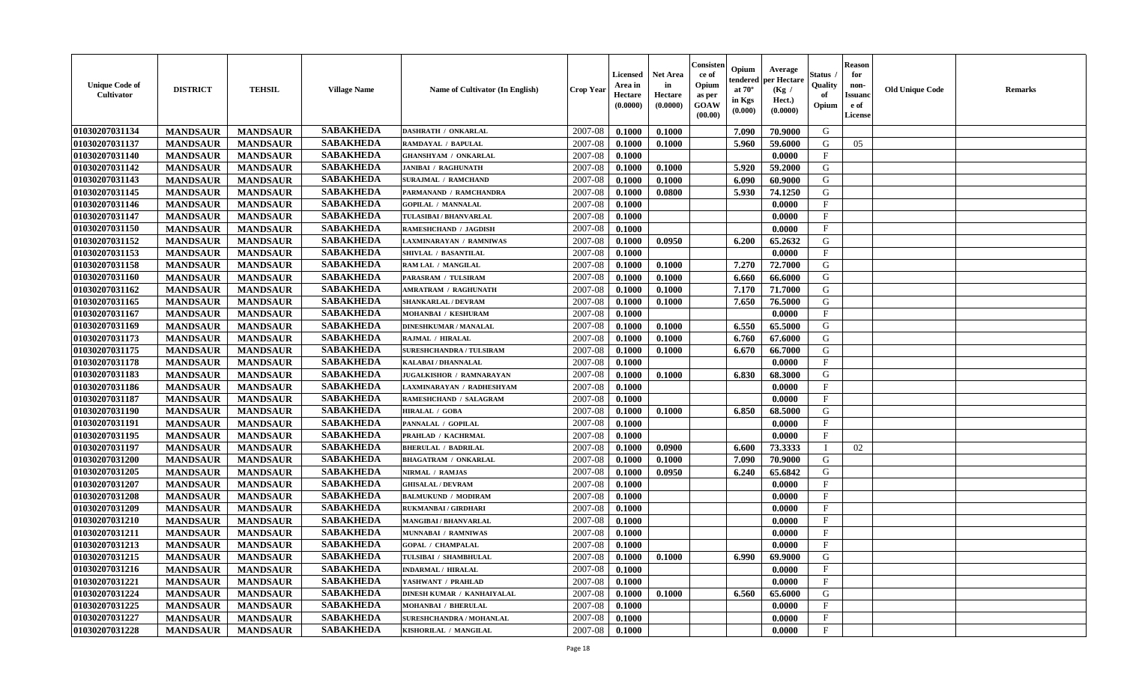| <b>Unique Code of</b><br><b>Cultivator</b> | <b>DISTRICT</b> | <b>TEHSIL</b>   | <b>Village Name</b> | Name of Cultivator (In English) | <b>Crop Year</b> | <b>Licensed</b><br>Area in<br>Hectare<br>(0.0000) | <b>Net Area</b><br>in<br>Hectare<br>(0.0000) | Consister<br>ce of<br>Opium<br>as per<br><b>GOAW</b><br>(00.00) | Opium<br>endered<br>at $70^{\circ}$<br>in Kgs<br>(0.000) | Average<br>per Hectare<br>(Kg /<br>Hect.)<br>(0.0000) | Status<br>Quality<br>of<br>Opium | <b>Reason</b><br>for<br>non-<br><b>Issuano</b><br>e of<br>License | <b>Old Unique Code</b> | <b>Remarks</b> |
|--------------------------------------------|-----------------|-----------------|---------------------|---------------------------------|------------------|---------------------------------------------------|----------------------------------------------|-----------------------------------------------------------------|----------------------------------------------------------|-------------------------------------------------------|----------------------------------|-------------------------------------------------------------------|------------------------|----------------|
| 01030207031134                             | <b>MANDSAUR</b> | <b>MANDSAUR</b> | <b>SABAKHEDA</b>    | <b>DASHRATH / ONKARLAL</b>      | 2007-08          | 0.1000                                            | 0.1000                                       |                                                                 | 7.090                                                    | 70.9000                                               | G                                |                                                                   |                        |                |
| 01030207031137                             | <b>MANDSAUR</b> | <b>MANDSAUR</b> | <b>SABAKHEDA</b>    | RAMDAYAL / BAPULAL              | 2007-08          | 0.1000                                            | 0.1000                                       |                                                                 | 5.960                                                    | 59.6000                                               | G                                | 05                                                                |                        |                |
| 01030207031140                             | <b>MANDSAUR</b> | <b>MANDSAUR</b> | <b>SABAKHEDA</b>    | <b>GHANSHYAM / ONKARLAL</b>     | 2007-08          | 0.1000                                            |                                              |                                                                 |                                                          | 0.0000                                                | $\mathbf{F}$                     |                                                                   |                        |                |
| 01030207031142                             | <b>MANDSAUR</b> | <b>MANDSAUR</b> | <b>SABAKHEDA</b>    | <b>JANIBAI / RAGHUNATH</b>      | 2007-08          | 0.1000                                            | 0.1000                                       |                                                                 | 5.920                                                    | 59.2000                                               | G                                |                                                                   |                        |                |
| 01030207031143                             | <b>MANDSAUR</b> | <b>MANDSAUR</b> | <b>SABAKHEDA</b>    | <b>SURAJMAL / RAMCHAND</b>      | 2007-08          | 0.1000                                            | 0.1000                                       |                                                                 | 6.090                                                    | 60.9000                                               | G                                |                                                                   |                        |                |
| 01030207031145                             | <b>MANDSAUR</b> | <b>MANDSAUR</b> | <b>SABAKHEDA</b>    | PARMANAND / RAMCHANDRA          | 2007-08          | 0.1000                                            | 0.0800                                       |                                                                 | 5.930                                                    | 74.1250                                               | G                                |                                                                   |                        |                |
| 01030207031146                             | <b>MANDSAUR</b> | <b>MANDSAUR</b> | <b>SABAKHEDA</b>    | <b>GOPILAL / MANNALAL</b>       | 2007-08          | 0.1000                                            |                                              |                                                                 |                                                          | 0.0000                                                | $\mathbf{F}$                     |                                                                   |                        |                |
| 01030207031147                             | <b>MANDSAUR</b> | <b>MANDSAUR</b> | <b>SABAKHEDA</b>    | TULASIBAI / BHANVARLAL          | 2007-08          | 0.1000                                            |                                              |                                                                 |                                                          | 0.0000                                                | $\mathbf{F}$                     |                                                                   |                        |                |
| 01030207031150                             | <b>MANDSAUR</b> | <b>MANDSAUR</b> | <b>SABAKHEDA</b>    | RAMESHCHAND / JAGDISH           | 2007-08          | 0.1000                                            |                                              |                                                                 |                                                          | 0.0000                                                | $\mathbf{F}$                     |                                                                   |                        |                |
| 01030207031152                             | <b>MANDSAUR</b> | <b>MANDSAUR</b> | <b>SABAKHEDA</b>    | LAXMINARAYAN / RAMNIWAS         | 2007-08          | 0.1000                                            | 0.0950                                       |                                                                 | 6.200                                                    | 65.2632                                               | G                                |                                                                   |                        |                |
| 01030207031153                             | <b>MANDSAUR</b> | <b>MANDSAUR</b> | <b>SABAKHEDA</b>    | SHIVLAL / BASANTILAL            | 2007-08          | 0.1000                                            |                                              |                                                                 |                                                          | 0.0000                                                | $_{\rm F}$                       |                                                                   |                        |                |
| 01030207031158                             | <b>MANDSAUR</b> | <b>MANDSAUR</b> | <b>SABAKHEDA</b>    | RAM LAL / MANGILAL              | 2007-08          | 0.1000                                            | 0.1000                                       |                                                                 | 7.270                                                    | 72.7000                                               | G                                |                                                                   |                        |                |
| 01030207031160                             | <b>MANDSAUR</b> | <b>MANDSAUR</b> | <b>SABAKHEDA</b>    | PARASRAM / TULSIRAM             | 2007-08          | 0.1000                                            | 0.1000                                       |                                                                 | 6.660                                                    | 66.6000                                               | G                                |                                                                   |                        |                |
| 01030207031162                             | <b>MANDSAUR</b> | <b>MANDSAUR</b> | <b>SABAKHEDA</b>    | AMRATRAM / RAGHUNATH            | 2007-08          | 0.1000                                            | 0.1000                                       |                                                                 | 7.170                                                    | 71.7000                                               | G                                |                                                                   |                        |                |
| 01030207031165                             | <b>MANDSAUR</b> | <b>MANDSAUR</b> | <b>SABAKHEDA</b>    | SHANKARLAL / DEVRAM             | 2007-08          | 0.1000                                            | 0.1000                                       |                                                                 | 7.650                                                    | 76.5000                                               | G                                |                                                                   |                        |                |
| 01030207031167                             | <b>MANDSAUR</b> | <b>MANDSAUR</b> | <b>SABAKHEDA</b>    | MOHANBAI / KESHURAM             | 2007-08          | 0.1000                                            |                                              |                                                                 |                                                          | 0.0000                                                | $\mathbf{F}$                     |                                                                   |                        |                |
| 01030207031169                             | <b>MANDSAUR</b> | <b>MANDSAUR</b> | <b>SABAKHEDA</b>    | <b>DINESHKUMAR / MANALAL</b>    | 2007-08          | 0.1000                                            | 0.1000                                       |                                                                 | 6.550                                                    | 65.5000                                               | G                                |                                                                   |                        |                |
| 01030207031173                             | <b>MANDSAUR</b> | <b>MANDSAUR</b> | <b>SABAKHEDA</b>    | RAJMAL / HIRALAL                | 2007-08          | 0.1000                                            | 0.1000                                       |                                                                 | 6.760                                                    | 67.6000                                               | G                                |                                                                   |                        |                |
| 01030207031175                             | <b>MANDSAUR</b> | <b>MANDSAUR</b> | <b>SABAKHEDA</b>    | <b>SURESHCHANDRA / TULSIRAM</b> | 2007-08          | 0.1000                                            | 0.1000                                       |                                                                 | 6.670                                                    | 66.7000                                               | G                                |                                                                   |                        |                |
| 01030207031178                             | <b>MANDSAUR</b> | <b>MANDSAUR</b> | <b>SABAKHEDA</b>    | <b>KALABAI/DHANNALAL</b>        | 2007-08          | 0.1000                                            |                                              |                                                                 |                                                          | 0.0000                                                | $\mathbf{F}$                     |                                                                   |                        |                |
| 01030207031183                             | <b>MANDSAUR</b> | <b>MANDSAUR</b> | <b>SABAKHEDA</b>    | <b>JUGALKISHOR / RAMNARAYAN</b> | 2007-08          | 0.1000                                            | 0.1000                                       |                                                                 | 6.830                                                    | 68.3000                                               | G                                |                                                                   |                        |                |
| 01030207031186                             | <b>MANDSAUR</b> | <b>MANDSAUR</b> | <b>SABAKHEDA</b>    | LAXMINARAYAN / RADHESHYAM       | 2007-08          | 0.1000                                            |                                              |                                                                 |                                                          | 0.0000                                                | $_{\rm F}$                       |                                                                   |                        |                |
| 01030207031187                             | <b>MANDSAUR</b> | <b>MANDSAUR</b> | <b>SABAKHEDA</b>    | RAMESHCHAND / SALAGRAM          | 2007-08          | 0.1000                                            |                                              |                                                                 |                                                          | 0.0000                                                | $\mathbf{F}$                     |                                                                   |                        |                |
| 01030207031190                             | <b>MANDSAUR</b> | <b>MANDSAUR</b> | <b>SABAKHEDA</b>    | HIRALAL / GOBA                  | 2007-08          | 0.1000                                            | 0.1000                                       |                                                                 | 6.850                                                    | 68.5000                                               | G                                |                                                                   |                        |                |
| 01030207031191                             | <b>MANDSAUR</b> | <b>MANDSAUR</b> | <b>SABAKHEDA</b>    | PANNALAL / GOPILAL              | 2007-08          | 0.1000                                            |                                              |                                                                 |                                                          | 0.0000                                                | $\mathbf{F}$                     |                                                                   |                        |                |
| 01030207031195                             | <b>MANDSAUR</b> | <b>MANDSAUR</b> | <b>SABAKHEDA</b>    | PRAHLAD / KACHRMAL              | 2007-08          | 0.1000                                            |                                              |                                                                 |                                                          | 0.0000                                                | $_{\rm F}$                       |                                                                   |                        |                |
| 01030207031197                             | <b>MANDSAUR</b> | <b>MANDSAUR</b> | <b>SABAKHEDA</b>    | <b>BHERULAL / BADRILAL</b>      | 2007-08          | 0.1000                                            | 0.0900                                       |                                                                 | 6.600                                                    | 73.3333                                               | - 1                              | 02                                                                |                        |                |
| 01030207031200                             | <b>MANDSAUR</b> | <b>MANDSAUR</b> | <b>SABAKHEDA</b>    | <b>BHAGATRAM / ONKARLAL</b>     | 2007-08          | 0.1000                                            | 0.1000                                       |                                                                 | 7.090                                                    | 70.9000                                               | G                                |                                                                   |                        |                |
| 01030207031205                             | <b>MANDSAUR</b> | <b>MANDSAUR</b> | <b>SABAKHEDA</b>    | NIRMAL / RAMJAS                 | 2007-08          | 0.1000                                            | 0.0950                                       |                                                                 | 6.240                                                    | 65.6842                                               | G                                |                                                                   |                        |                |
| 01030207031207                             | <b>MANDSAUR</b> | <b>MANDSAUR</b> | <b>SABAKHEDA</b>    | <b>GHISALAL / DEVRAM</b>        | 2007-08          | 0.1000                                            |                                              |                                                                 |                                                          | 0.0000                                                | $\mathbf{F}$                     |                                                                   |                        |                |
| 01030207031208                             | <b>MANDSAUR</b> | <b>MANDSAUR</b> | <b>SABAKHEDA</b>    | <b>BALMUKUND / MODIRAM</b>      | 2007-08          | 0.1000                                            |                                              |                                                                 |                                                          | 0.0000                                                | $\mathbf{F}$                     |                                                                   |                        |                |
| 01030207031209                             | <b>MANDSAUR</b> | <b>MANDSAUR</b> | <b>SABAKHEDA</b>    | RUKMANBAI / GIRDHARI            | 2007-08          | 0.1000                                            |                                              |                                                                 |                                                          | 0.0000                                                | $\mathbf{F}$                     |                                                                   |                        |                |
| 01030207031210                             | <b>MANDSAUR</b> | <b>MANDSAUR</b> | <b>SABAKHEDA</b>    | MANGIBAI / BHANVARLAL           | 2007-08          | 0.1000                                            |                                              |                                                                 |                                                          | 0.0000                                                | $_{\rm F}$                       |                                                                   |                        |                |
| 01030207031211                             | <b>MANDSAUR</b> | <b>MANDSAUR</b> | <b>SABAKHEDA</b>    | MUNNABAI / RAMNIWAS             | 2007-08          | 0.1000                                            |                                              |                                                                 |                                                          | 0.0000                                                | $\mathbf{F}$                     |                                                                   |                        |                |
| 01030207031213                             | <b>MANDSAUR</b> | <b>MANDSAUR</b> | <b>SABAKHEDA</b>    | <b>GOPAL / CHAMPALAL</b>        | 2007-08          | 0.1000                                            |                                              |                                                                 |                                                          | 0.0000                                                | $\mathbf{F}$                     |                                                                   |                        |                |
| 01030207031215                             | <b>MANDSAUR</b> | <b>MANDSAUR</b> | <b>SABAKHEDA</b>    | TULSIBAI / SHAMBHULAL           | $2007 - 08$      | 0.1000                                            | 0.1000                                       |                                                                 | 6.990                                                    | 69.9000                                               | G                                |                                                                   |                        |                |
| 01030207031216                             | <b>MANDSAUR</b> | <b>MANDSAUR</b> | <b>SABAKHEDA</b>    | <b>INDARMAL / HIRALAL</b>       | 2007-08          | 0.1000                                            |                                              |                                                                 |                                                          | 0.0000                                                | $\mathbf{F}$                     |                                                                   |                        |                |
| 01030207031221                             | <b>MANDSAUR</b> | <b>MANDSAUR</b> | <b>SABAKHEDA</b>    | YASHWANT / PRAHLAD              | 2007-08          | 0.1000                                            |                                              |                                                                 |                                                          | 0.0000                                                | $\mathbf{F}$                     |                                                                   |                        |                |
| 01030207031224                             | <b>MANDSAUR</b> | <b>MANDSAUR</b> | <b>SABAKHEDA</b>    | DINESH KUMAR / KANHAIYALAL      | 2007-08          | 0.1000                                            | 0.1000                                       |                                                                 | 6.560                                                    | 65.6000                                               | G                                |                                                                   |                        |                |
| 01030207031225                             | <b>MANDSAUR</b> | <b>MANDSAUR</b> | <b>SABAKHEDA</b>    | <b>MOHANBAI / BHERULAL</b>      | 2007-08          | 0.1000                                            |                                              |                                                                 |                                                          | 0.0000                                                | $\mathbf{F}$                     |                                                                   |                        |                |
| 01030207031227                             | <b>MANDSAUR</b> | <b>MANDSAUR</b> | <b>SABAKHEDA</b>    | SURESHCHANDRA / MOHANLAL        | 2007-08          | 0.1000                                            |                                              |                                                                 |                                                          | 0.0000                                                | $\mathbf F$                      |                                                                   |                        |                |
| 01030207031228                             | <b>MANDSAUR</b> | <b>MANDSAUR</b> | <b>SABAKHEDA</b>    | KISHORILAL / MANGILAL           | 2007-08          | $\boldsymbol{0.1000}$                             |                                              |                                                                 |                                                          | 0.0000                                                | $\mathbf{F}$                     |                                                                   |                        |                |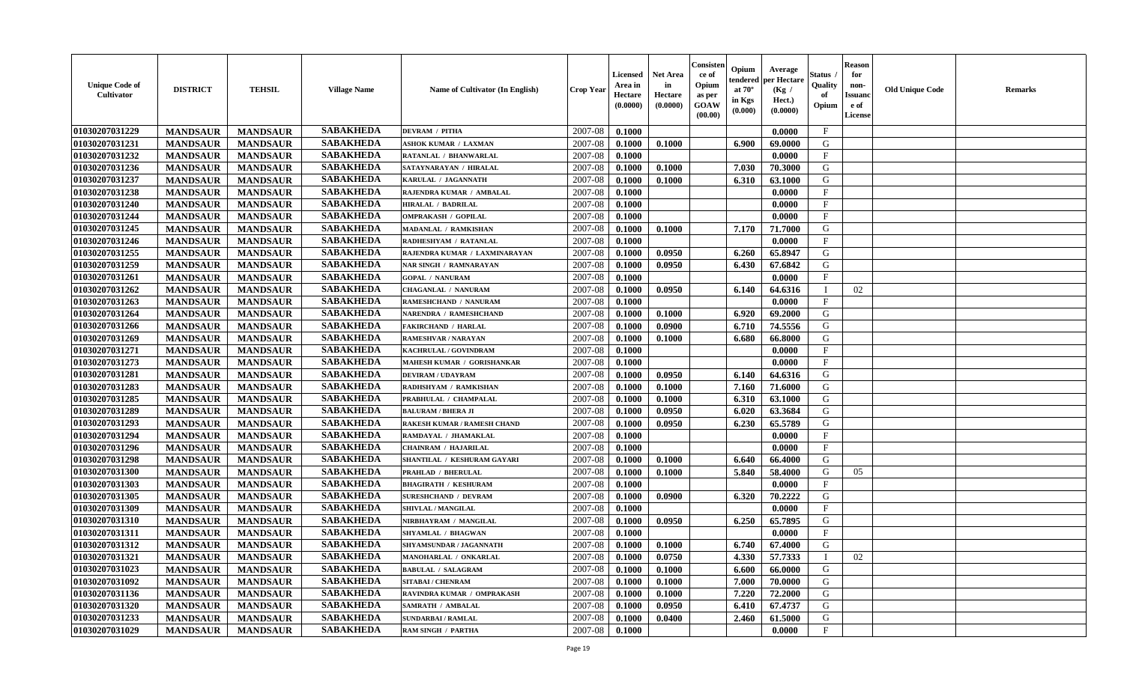| <b>Unique Code of</b><br><b>Cultivator</b> | <b>DISTRICT</b> | <b>TEHSIL</b>   | <b>Village Name</b> | Name of Cultivator (In English)    | <b>Crop Year</b> | <b>Licensed</b><br>Area in<br>Hectare<br>(0.0000) | <b>Net Area</b><br>in<br>Hectare<br>(0.0000) | Consister<br>ce of<br>Opium<br>as per<br><b>GOAW</b><br>(00.00) | Opium<br>endered<br>at $70^\circ$<br>in Kgs<br>$(\mathbf{0.000})$ | Average<br>per Hectare<br>(Kg /<br>Hect.)<br>(0.0000) | Status<br>Quality<br>of<br>Opium | Reason<br>for<br>non-<br>Issuan<br>e of<br>License | <b>Old Unique Code</b> | <b>Remarks</b> |
|--------------------------------------------|-----------------|-----------------|---------------------|------------------------------------|------------------|---------------------------------------------------|----------------------------------------------|-----------------------------------------------------------------|-------------------------------------------------------------------|-------------------------------------------------------|----------------------------------|----------------------------------------------------|------------------------|----------------|
| 01030207031229                             | <b>MANDSAUR</b> | <b>MANDSAUR</b> | <b>SABAKHEDA</b>    | <b>DEVRAM / PITHA</b>              | 2007-08          | 0.1000                                            |                                              |                                                                 |                                                                   | 0.0000                                                | $\mathbf{F}$                     |                                                    |                        |                |
| 01030207031231                             | <b>MANDSAUR</b> | <b>MANDSAUR</b> | <b>SABAKHEDA</b>    | <b>ASHOK KUMAR / LAXMAN</b>        | 2007-08          | 0.1000                                            | 0.1000                                       |                                                                 | 6.900                                                             | 69.0000                                               | G                                |                                                    |                        |                |
| 01030207031232                             | <b>MANDSAUR</b> | <b>MANDSAUR</b> | <b>SABAKHEDA</b>    | RATANLAL / BHANWARLAL              | 2007-08          | 0.1000                                            |                                              |                                                                 |                                                                   | 0.0000                                                | $\mathbf{F}$                     |                                                    |                        |                |
| 01030207031236                             | <b>MANDSAUR</b> | <b>MANDSAUR</b> | <b>SABAKHEDA</b>    | SATAYNARAYAN / HIRALAL             | 2007-08          | 0.1000                                            | 0.1000                                       |                                                                 | 7.030                                                             | 70.3000                                               | G                                |                                                    |                        |                |
| 01030207031237                             | <b>MANDSAUR</b> | <b>MANDSAUR</b> | <b>SABAKHEDA</b>    | KARULAL / JAGANNATH                | 2007-08          | 0.1000                                            | 0.1000                                       |                                                                 | 6.310                                                             | 63.1000                                               | G                                |                                                    |                        |                |
| 01030207031238                             | <b>MANDSAUR</b> | <b>MANDSAUR</b> | <b>SABAKHEDA</b>    | RAJENDRA KUMAR / AMBALAL           | 2007-08          | 0.1000                                            |                                              |                                                                 |                                                                   | 0.0000                                                | $\mathbf{F}$                     |                                                    |                        |                |
| 01030207031240                             | <b>MANDSAUR</b> | <b>MANDSAUR</b> | <b>SABAKHEDA</b>    | <b>HIRALAL / BADRILAL</b>          | 2007-08          | 0.1000                                            |                                              |                                                                 |                                                                   | 0.0000                                                | $\mathbf{F}$                     |                                                    |                        |                |
| 01030207031244                             | <b>MANDSAUR</b> | <b>MANDSAUR</b> | <b>SABAKHEDA</b>    | <b>OMPRAKASH / GOPILAL</b>         | 2007-08          | 0.1000                                            |                                              |                                                                 |                                                                   | 0.0000                                                | $\mathbf{F}$                     |                                                    |                        |                |
| 01030207031245                             | <b>MANDSAUR</b> | <b>MANDSAUR</b> | <b>SABAKHEDA</b>    | MADANLAL / RAMKISHAN               | 2007-08          | 0.1000                                            | 0.1000                                       |                                                                 | 7.170                                                             | 71.7000                                               | G                                |                                                    |                        |                |
| 01030207031246                             | <b>MANDSAUR</b> | <b>MANDSAUR</b> | <b>SABAKHEDA</b>    | RADHESHYAM / RATANLAL              | 2007-08          | 0.1000                                            |                                              |                                                                 |                                                                   | 0.0000                                                | $\mathbf{F}$                     |                                                    |                        |                |
| 01030207031255                             | <b>MANDSAUR</b> | <b>MANDSAUR</b> | <b>SABAKHEDA</b>    | RAJENDRA KUMAR / LAXMINARAYAN      | 2007-08          | 0.1000                                            | 0.0950                                       |                                                                 | 6.260                                                             | 65.8947                                               | G                                |                                                    |                        |                |
| 01030207031259                             | <b>MANDSAUR</b> | <b>MANDSAUR</b> | <b>SABAKHEDA</b>    | <b>NAR SINGH / RAMNARAYAN</b>      | 2007-08          | 0.1000                                            | 0.0950                                       |                                                                 | 6.430                                                             | 67.6842                                               | G                                |                                                    |                        |                |
| 01030207031261                             | <b>MANDSAUR</b> | <b>MANDSAUR</b> | <b>SABAKHEDA</b>    | <b>GOPAL / NANURAM</b>             | 2007-08          | 0.1000                                            |                                              |                                                                 |                                                                   | 0.0000                                                | $\mathbf{F}$                     |                                                    |                        |                |
| 01030207031262                             | <b>MANDSAUR</b> | <b>MANDSAUR</b> | <b>SABAKHEDA</b>    | CHAGANLAL / NANURAM                | 2007-08          | 0.1000                                            | 0.0950                                       |                                                                 | 6.140                                                             | 64.6316                                               |                                  | 02                                                 |                        |                |
| 01030207031263                             | <b>MANDSAUR</b> | <b>MANDSAUR</b> | <b>SABAKHEDA</b>    | RAMESHCHAND / NANURAM              | 2007-08          | 0.1000                                            |                                              |                                                                 |                                                                   | 0.0000                                                | $\mathbf{F}$                     |                                                    |                        |                |
| 01030207031264                             | <b>MANDSAUR</b> | <b>MANDSAUR</b> | <b>SABAKHEDA</b>    | NARENDRA / RAMESHCHAND             | 2007-08          | 0.1000                                            | 0.1000                                       |                                                                 | 6.920                                                             | 69.2000                                               | G                                |                                                    |                        |                |
| 01030207031266                             | <b>MANDSAUR</b> | <b>MANDSAUR</b> | <b>SABAKHEDA</b>    | <b>FAKIRCHAND / HARLAL</b>         | 2007-08          | 0.1000                                            | 0.0900                                       |                                                                 | 6.710                                                             | 74.5556                                               | G                                |                                                    |                        |                |
| 01030207031269                             | <b>MANDSAUR</b> | <b>MANDSAUR</b> | <b>SABAKHEDA</b>    | RAMESHVAR / NARAYAN                | 2007-08          | 0.1000                                            | 0.1000                                       |                                                                 | 6.680                                                             | 66.8000                                               | G                                |                                                    |                        |                |
| 01030207031271                             | <b>MANDSAUR</b> | <b>MANDSAUR</b> | <b>SABAKHEDA</b>    | KACHRULAL / GOVINDRAM              | 2007-08          | 0.1000                                            |                                              |                                                                 |                                                                   | 0.0000                                                | F                                |                                                    |                        |                |
| 01030207031273                             | <b>MANDSAUR</b> | <b>MANDSAUR</b> | <b>SABAKHEDA</b>    | <b>MAHESH KUMAR / GORISHANKAR</b>  | 2007-08          | 0.1000                                            |                                              |                                                                 |                                                                   | 0.0000                                                | $_{\rm F}$                       |                                                    |                        |                |
| 01030207031281                             | <b>MANDSAUR</b> | <b>MANDSAUR</b> | <b>SABAKHEDA</b>    | <b>DEVIRAM / UDAYRAM</b>           | 2007-08          | 0.1000                                            | 0.0950                                       |                                                                 | 6.140                                                             | 64.6316                                               | G                                |                                                    |                        |                |
| 01030207031283                             | <b>MANDSAUR</b> | <b>MANDSAUR</b> | <b>SABAKHEDA</b>    | RADHSHYAM / RAMKISHAN              | 2007-08          | 0.1000                                            | 0.1000                                       |                                                                 | 7.160                                                             | 71.6000                                               | G                                |                                                    |                        |                |
| 01030207031285                             | <b>MANDSAUR</b> | <b>MANDSAUR</b> | <b>SABAKHEDA</b>    | PRABHULAL / CHAMPALAL              | 2007-08          | 0.1000                                            | 0.1000                                       |                                                                 | 6.310                                                             | 63.1000                                               | G                                |                                                    |                        |                |
| 01030207031289                             | <b>MANDSAUR</b> | <b>MANDSAUR</b> | <b>SABAKHEDA</b>    | <b>BALURAM / BHERA JI</b>          | 2007-08          | 0.1000                                            | 0.0950                                       |                                                                 | 6.020                                                             | 63.3684                                               | G                                |                                                    |                        |                |
| 01030207031293                             | <b>MANDSAUR</b> | <b>MANDSAUR</b> | <b>SABAKHEDA</b>    | <b>RAKESH KUMAR / RAMESH CHAND</b> | 2007-08          | 0.1000                                            | 0.0950                                       |                                                                 | 6.230                                                             | 65.5789                                               | G                                |                                                    |                        |                |
| 01030207031294                             | <b>MANDSAUR</b> | <b>MANDSAUR</b> | <b>SABAKHEDA</b>    | RAMDAYAL / JHAMAKLAL               | 2007-08          | 0.1000                                            |                                              |                                                                 |                                                                   | 0.0000                                                | $\mathbf{F}$                     |                                                    |                        |                |
| 01030207031296                             | <b>MANDSAUR</b> | <b>MANDSAUR</b> | <b>SABAKHEDA</b>    | <b>CHAINRAM / HAJARILAL</b>        | 2007-08          | 0.1000                                            |                                              |                                                                 |                                                                   | 0.0000                                                | $_{\rm F}$                       |                                                    |                        |                |
| 01030207031298                             | <b>MANDSAUR</b> | <b>MANDSAUR</b> | <b>SABAKHEDA</b>    | SHANTILAL / KESHURAM GAYARI        | 2007-08          | 0.1000                                            | 0.1000                                       |                                                                 | 6.640                                                             | 66.4000                                               | G                                |                                                    |                        |                |
| 01030207031300                             | <b>MANDSAUR</b> | <b>MANDSAUR</b> | <b>SABAKHEDA</b>    | <b>PRAHLAD / BHERULAL</b>          | 2007-08          | 0.1000                                            | 0.1000                                       |                                                                 | 5.840                                                             | 58.4000                                               | G                                | 05                                                 |                        |                |
| 01030207031303                             | <b>MANDSAUR</b> | <b>MANDSAUR</b> | <b>SABAKHEDA</b>    | <b>BHAGIRATH / KESHURAM</b>        | 2007-08          | 0.1000                                            |                                              |                                                                 |                                                                   | 0.0000                                                | $_{\rm F}$                       |                                                    |                        |                |
| 01030207031305                             | <b>MANDSAUR</b> | <b>MANDSAUR</b> | <b>SABAKHEDA</b>    | <b>SURESHCHAND / DEVRAM</b>        | 2007-08          | 0.1000                                            | 0.0900                                       |                                                                 | 6.320                                                             | 70.2222                                               | G                                |                                                    |                        |                |
| 01030207031309                             | <b>MANDSAUR</b> | <b>MANDSAUR</b> | <b>SABAKHEDA</b>    | SHIVLAL / MANGILAL                 | 2007-08          | 0.1000                                            |                                              |                                                                 |                                                                   | 0.0000                                                | $\mathbf{F}$                     |                                                    |                        |                |
| 01030207031310                             | <b>MANDSAUR</b> | <b>MANDSAUR</b> | <b>SABAKHEDA</b>    | NIRBHAYRAM / MANGILAL              | 2007-08          | 0.1000                                            | 0.0950                                       |                                                                 | 6.250                                                             | 65.7895                                               | G                                |                                                    |                        |                |
| 01030207031311                             | <b>MANDSAUR</b> | <b>MANDSAUR</b> | <b>SABAKHEDA</b>    | <b>SHYAMLAL / BHAGWAN</b>          | 2007-08          | 0.1000                                            |                                              |                                                                 |                                                                   | 0.0000                                                | $\mathbf{F}$                     |                                                    |                        |                |
| 01030207031312                             | <b>MANDSAUR</b> | <b>MANDSAUR</b> | <b>SABAKHEDA</b>    | <b>SHYAMSUNDAR / JAGANNATH</b>     | 2007-08          | 0.1000                                            | 0.1000                                       |                                                                 | 6.740                                                             | 67.4000                                               | G                                |                                                    |                        |                |
| <b>01030207031321</b>                      | <b>MANDSAUR</b> | <b>MANDSAUR</b> | <b>SABAKHEDA</b>    | MANOHARLAL / ONKARLAL              | $2007-08$ 0.1000 |                                                   | 0.0750                                       |                                                                 |                                                                   | 4.330 57.7333                                         | $\perp$                          | 02                                                 |                        |                |
| 01030207031023                             | <b>MANDSAUR</b> | <b>MANDSAUR</b> | <b>SABAKHEDA</b>    | <b>BABULAL / SALAGRAM</b>          | 2007-08          | 0.1000                                            | 0.1000                                       |                                                                 | 6.600                                                             | 66.0000                                               | G                                |                                                    |                        |                |
| 01030207031092                             | <b>MANDSAUR</b> | <b>MANDSAUR</b> | <b>SABAKHEDA</b>    | <b>SITABAI / CHENRAM</b>           | 2007-08          | 0.1000                                            | 0.1000                                       |                                                                 | 7.000                                                             | 70.0000                                               | G                                |                                                    |                        |                |
| 01030207031136                             | <b>MANDSAUR</b> | <b>MANDSAUR</b> | <b>SABAKHEDA</b>    | RAVINDRA KUMAR / OMPRAKASH         | 2007-08          | 0.1000                                            | 0.1000                                       |                                                                 | 7.220                                                             | 72.2000                                               | G                                |                                                    |                        |                |
| 01030207031320                             | <b>MANDSAUR</b> | <b>MANDSAUR</b> | <b>SABAKHEDA</b>    | <b>SAMRATH / AMBALAL</b>           | 2007-08          | 0.1000                                            | 0.0950                                       |                                                                 | 6.410                                                             | 67.4737                                               | G                                |                                                    |                        |                |
| 01030207031233                             | <b>MANDSAUR</b> | <b>MANDSAUR</b> | <b>SABAKHEDA</b>    | <b>SUNDARBAI/RAMLAL</b>            | 2007-08          | 0.1000                                            | 0.0400                                       |                                                                 | 2.460                                                             | 61.5000                                               | G                                |                                                    |                        |                |
| 01030207031029                             | <b>MANDSAUR</b> | <b>MANDSAUR</b> | <b>SABAKHEDA</b>    | <b>RAM SINGH / PARTHA</b>          | 2007-08          | 0.1000                                            |                                              |                                                                 |                                                                   | 0.0000                                                | $\mathbf{F}$                     |                                                    |                        |                |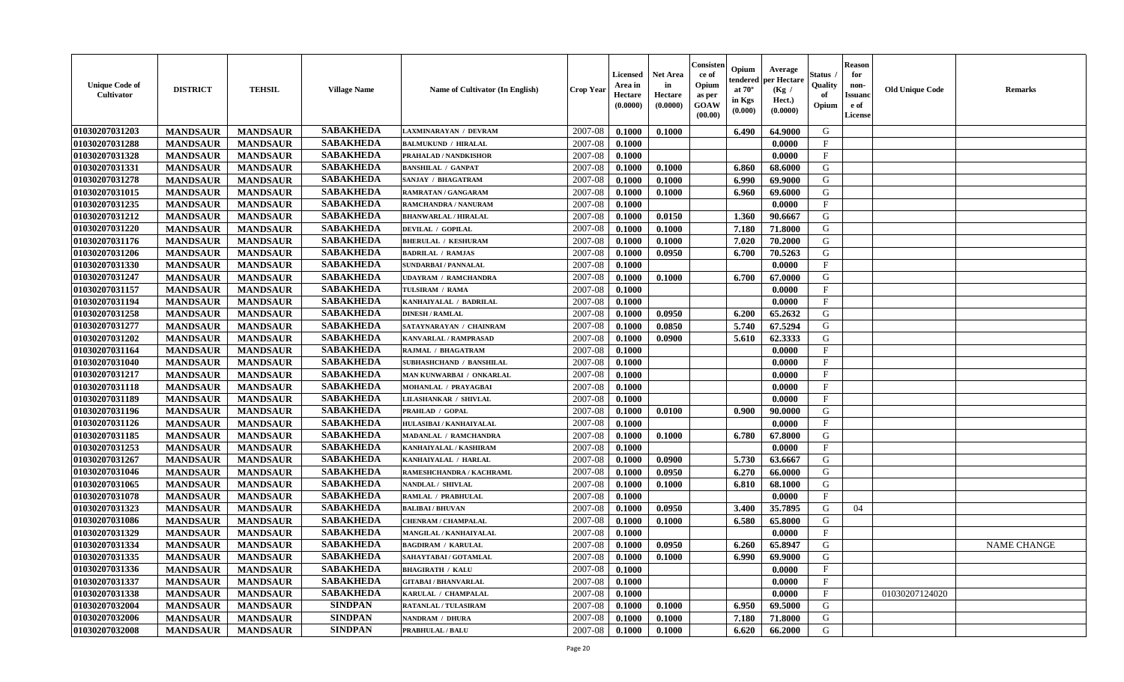| <b>Unique Code of</b><br>Cultivator | <b>DISTRICT</b> | <b>TEHSIL</b>   | <b>Village Name</b> | Name of Cultivator (In English) | <b>Crop Year</b> | <b>Licensed</b><br>Area in<br>Hectare<br>(0.0000) | <b>Net Area</b><br>in<br>Hectare<br>(0.0000) | Consister<br>ce of<br>Opium<br>as per<br>GOAW<br>(00.00) | Opium<br>endered<br>at $70^\circ$<br>in Kgs<br>(0.000) | Average<br>per Hectare<br>(Kg /<br>Hect.)<br>(0.0000) | <b>Status</b> .<br>Quality<br>of<br>Opium | <b>Reason</b><br>for<br>non-<br><b>Issuand</b><br>e of<br>License | <b>Old Unique Code</b> | <b>Remarks</b>     |
|-------------------------------------|-----------------|-----------------|---------------------|---------------------------------|------------------|---------------------------------------------------|----------------------------------------------|----------------------------------------------------------|--------------------------------------------------------|-------------------------------------------------------|-------------------------------------------|-------------------------------------------------------------------|------------------------|--------------------|
| 01030207031203                      | <b>MANDSAUR</b> | <b>MANDSAUR</b> | <b>SABAKHEDA</b>    | LAXMINARAYAN / DEVRAM           | 2007-08          | 0.1000                                            | 0.1000                                       |                                                          | 6.490                                                  | 64.9000                                               | G                                         |                                                                   |                        |                    |
| 01030207031288                      | <b>MANDSAUR</b> | <b>MANDSAUR</b> | <b>SABAKHEDA</b>    | <b>BALMUKUND / HIRALAL</b>      | 2007-08          | 0.1000                                            |                                              |                                                          |                                                        | 0.0000                                                | $\mathbf{F}$                              |                                                                   |                        |                    |
| 01030207031328                      | <b>MANDSAUR</b> | <b>MANDSAUR</b> | <b>SABAKHEDA</b>    | PRAHALAD / NANDKISHOR           | 2007-08          | 0.1000                                            |                                              |                                                          |                                                        | 0.0000                                                | $\mathbf{F}$                              |                                                                   |                        |                    |
| 01030207031331                      | <b>MANDSAUR</b> | <b>MANDSAUR</b> | <b>SABAKHEDA</b>    | <b>BANSHILAL / GANPAT</b>       | 2007-08          | 0.1000                                            | 0.1000                                       |                                                          | 6.860                                                  | 68.6000                                               | G                                         |                                                                   |                        |                    |
| 01030207031278                      | <b>MANDSAUR</b> | <b>MANDSAUR</b> | <b>SABAKHEDA</b>    | SANJAY / BHAGATRAM              | 2007-08          | 0.1000                                            | 0.1000                                       |                                                          | 6.990                                                  | 69.9000                                               | G                                         |                                                                   |                        |                    |
| 01030207031015                      | <b>MANDSAUR</b> | <b>MANDSAUR</b> | <b>SABAKHEDA</b>    | <b>RAMRATAN / GANGARAM</b>      | 2007-08          | 0.1000                                            | 0.1000                                       |                                                          | 6.960                                                  | 69.6000                                               | G                                         |                                                                   |                        |                    |
| 01030207031235                      | <b>MANDSAUR</b> | <b>MANDSAUR</b> | <b>SABAKHEDA</b>    | RAMCHANDRA / NANURAM            | 2007-08          | 0.1000                                            |                                              |                                                          |                                                        | 0.0000                                                | $\mathbf F$                               |                                                                   |                        |                    |
| 01030207031212                      | <b>MANDSAUR</b> | <b>MANDSAUR</b> | <b>SABAKHEDA</b>    | <b>BHANWARLAL / HIRALAL</b>     | 2007-08          | 0.1000                                            | 0.0150                                       |                                                          | 1.360                                                  | 90.6667                                               | G                                         |                                                                   |                        |                    |
| 01030207031220                      | <b>MANDSAUR</b> | <b>MANDSAUR</b> | <b>SABAKHEDA</b>    | <b>DEVILAL / GOPILAL</b>        | 2007-08          | 0.1000                                            | 0.1000                                       |                                                          | 7.180                                                  | 71.8000                                               | G                                         |                                                                   |                        |                    |
| 01030207031176                      | <b>MANDSAUR</b> | <b>MANDSAUR</b> | <b>SABAKHEDA</b>    | <b>BHERULAL / KESHURAM</b>      | 2007-08          | 0.1000                                            | 0.1000                                       |                                                          | 7.020                                                  | 70.2000                                               | G                                         |                                                                   |                        |                    |
| 01030207031206                      | <b>MANDSAUR</b> | <b>MANDSAUR</b> | <b>SABAKHEDA</b>    | <b>BADRILAL / RAMJAS</b>        | 2007-08          | 0.1000                                            | 0.0950                                       |                                                          | 6.700                                                  | 70.5263                                               | G                                         |                                                                   |                        |                    |
| 01030207031330                      | <b>MANDSAUR</b> | <b>MANDSAUR</b> | <b>SABAKHEDA</b>    | <b>SUNDARBAI / PANNALAL</b>     | 2007-08          | 0.1000                                            |                                              |                                                          |                                                        | 0.0000                                                | $\mathbf F$                               |                                                                   |                        |                    |
| 01030207031247                      | <b>MANDSAUR</b> | <b>MANDSAUR</b> | <b>SABAKHEDA</b>    | <b>UDAYRAM / RAMCHANDRA</b>     | 2007-08          | 0.1000                                            | 0.1000                                       |                                                          | 6.700                                                  | 67.0000                                               | G                                         |                                                                   |                        |                    |
| 01030207031157                      | <b>MANDSAUR</b> | <b>MANDSAUR</b> | <b>SABAKHEDA</b>    | TULSIRAM / RAMA                 | 2007-08          | 0.1000                                            |                                              |                                                          |                                                        | 0.0000                                                | $\mathbf F$                               |                                                                   |                        |                    |
| 01030207031194                      | <b>MANDSAUR</b> | <b>MANDSAUR</b> | <b>SABAKHEDA</b>    | KANHAIYALAL / BADRILAL          | 2007-08          | 0.1000                                            |                                              |                                                          |                                                        | 0.0000                                                | $\mathbf{F}$                              |                                                                   |                        |                    |
| 01030207031258                      | <b>MANDSAUR</b> | <b>MANDSAUR</b> | <b>SABAKHEDA</b>    | <b>DINESH / RAMLAL</b>          | 2007-08          | 0.1000                                            | 0.0950                                       |                                                          | 6.200                                                  | 65.2632                                               | G                                         |                                                                   |                        |                    |
| 01030207031277                      | <b>MANDSAUR</b> | <b>MANDSAUR</b> | <b>SABAKHEDA</b>    | SATAYNARAYAN / CHAINRAM         | 2007-08          | 0.1000                                            | 0.0850                                       |                                                          | 5.740                                                  | 67.5294                                               | G                                         |                                                                   |                        |                    |
| 01030207031202                      | <b>MANDSAUR</b> | <b>MANDSAUR</b> | <b>SABAKHEDA</b>    | <b>KANVARLAL / RAMPRASAD</b>    | 2007-08          | 0.1000                                            | 0.0900                                       |                                                          | 5.610                                                  | 62.3333                                               | G                                         |                                                                   |                        |                    |
| 01030207031164                      | <b>MANDSAUR</b> | <b>MANDSAUR</b> | <b>SABAKHEDA</b>    | RAJMAL / BHAGATRAM              | 2007-08          | 0.1000                                            |                                              |                                                          |                                                        | 0.0000                                                | $\mathbf{F}$                              |                                                                   |                        |                    |
| 01030207031040                      | <b>MANDSAUR</b> | <b>MANDSAUR</b> | <b>SABAKHEDA</b>    | SUBHASHCHAND / BANSHILAL        | 2007-08          | 0.1000                                            |                                              |                                                          |                                                        | 0.0000                                                | $\mathbf{F}$                              |                                                                   |                        |                    |
| 01030207031217                      | <b>MANDSAUR</b> | <b>MANDSAUR</b> | <b>SABAKHEDA</b>    | MAN KUNWARBAI / ONKARLAL        | 2007-08          | 0.1000                                            |                                              |                                                          |                                                        | 0.0000                                                | $\mathbf{F}$                              |                                                                   |                        |                    |
| 01030207031118                      | <b>MANDSAUR</b> | <b>MANDSAUR</b> | <b>SABAKHEDA</b>    | MOHANLAL / PRAYAGBAI            | 2007-08          | 0.1000                                            |                                              |                                                          |                                                        | 0.0000                                                | F                                         |                                                                   |                        |                    |
| 01030207031189                      | <b>MANDSAUR</b> | <b>MANDSAUR</b> | <b>SABAKHEDA</b>    | <b>LILASHANKAR / SHIVLAL</b>    | 2007-08          | 0.1000                                            |                                              |                                                          |                                                        | 0.0000                                                | $\mathbf{F}$                              |                                                                   |                        |                    |
| 01030207031196                      | <b>MANDSAUR</b> | <b>MANDSAUR</b> | <b>SABAKHEDA</b>    | PRAHLAD / GOPAL                 | 2007-08          | 0.1000                                            | 0.0100                                       |                                                          | 0.900                                                  | 90.0000                                               | G                                         |                                                                   |                        |                    |
| 01030207031126                      | <b>MANDSAUR</b> | <b>MANDSAUR</b> | <b>SABAKHEDA</b>    | HULASIBAI / KANHAIYALAL         | 2007-08          | 0.1000                                            |                                              |                                                          |                                                        | 0.0000                                                | $\mathbf F$                               |                                                                   |                        |                    |
| 01030207031185                      | <b>MANDSAUR</b> | <b>MANDSAUR</b> | <b>SABAKHEDA</b>    | MADANLAL / RAMCHANDRA           | 2007-08          | 0.1000                                            | 0.1000                                       |                                                          | 6.780                                                  | 67.8000                                               | G                                         |                                                                   |                        |                    |
| 01030207031253                      | <b>MANDSAUR</b> | <b>MANDSAUR</b> | <b>SABAKHEDA</b>    | KANHAIYALAL / KASHIRAM          | 2007-08          | 0.1000                                            |                                              |                                                          |                                                        | 0.0000                                                | $_{\rm F}$                                |                                                                   |                        |                    |
| 01030207031267                      | <b>MANDSAUR</b> | <b>MANDSAUR</b> | <b>SABAKHEDA</b>    | KANHAIYALAL / HARLAL            | 2007-08          | 0.1000                                            | 0.0900                                       |                                                          | 5.730                                                  | 63.6667                                               | G                                         |                                                                   |                        |                    |
| 01030207031046                      | <b>MANDSAUR</b> | <b>MANDSAUR</b> | <b>SABAKHEDA</b>    | RAMESHCHANDRA / KACHRAML        | 2007-08          | 0.1000                                            | 0.0950                                       |                                                          | 6.270                                                  | 66.0000                                               | G                                         |                                                                   |                        |                    |
| 01030207031065                      | <b>MANDSAUR</b> | <b>MANDSAUR</b> | <b>SABAKHEDA</b>    | NANDLAL / SHIVLAL               | 2007-08          | 0.1000                                            | 0.1000                                       |                                                          | 6.810                                                  | 68.1000                                               | G                                         |                                                                   |                        |                    |
| 01030207031078                      | <b>MANDSAUR</b> | <b>MANDSAUR</b> | <b>SABAKHEDA</b>    | RAMLAL / PRABHULAL              | 2007-08          | 0.1000                                            |                                              |                                                          |                                                        | 0.0000                                                | $\mathbf{F}$                              |                                                                   |                        |                    |
| 01030207031323                      | <b>MANDSAUR</b> | <b>MANDSAUR</b> | <b>SABAKHEDA</b>    | <b>BALIBAI/BHUVAN</b>           | 2007-08          | 0.1000                                            | 0.0950                                       |                                                          | 3.400                                                  | 35.7895                                               | G                                         | 04                                                                |                        |                    |
| 01030207031086                      | <b>MANDSAUR</b> | <b>MANDSAUR</b> | <b>SABAKHEDA</b>    | <b>CHENRAM / CHAMPALAL</b>      | 2007-08          | 0.1000                                            | 0.1000                                       |                                                          | 6.580                                                  | 65.8000                                               | G                                         |                                                                   |                        |                    |
| 01030207031329                      | <b>MANDSAUR</b> | <b>MANDSAUR</b> | <b>SABAKHEDA</b>    | MANGILAL / KANHAIYALAL          | 2007-08          | 0.1000                                            |                                              |                                                          |                                                        | 0.0000                                                | $\mathbf F$                               |                                                                   |                        |                    |
| 01030207031334                      | <b>MANDSAUR</b> | <b>MANDSAUR</b> | <b>SABAKHEDA</b>    | <b>BAGDIRAM / KARULAL</b>       | 2007-08          | 0.1000                                            | 0.0950                                       |                                                          | 6.260                                                  | 65.8947                                               | G                                         |                                                                   |                        | <b>NAME CHANGE</b> |
| 01030207031335                      | <b>MANDSAUR</b> | <b>MANDSAUR</b> | <b>SABAKHEDA</b>    | SAHAYTABAI / GOTAMLAL           | 2007-08          | 0.1000                                            | 0.1000                                       |                                                          | 6.990                                                  | 69.9000                                               | G                                         |                                                                   |                        |                    |
| 01030207031336                      | <b>MANDSAUR</b> | <b>MANDSAUR</b> | <b>SABAKHEDA</b>    | <b>BHAGIRATH / KALU</b>         | 2007-08          | 0.1000                                            |                                              |                                                          |                                                        | 0.0000                                                | $\mathbf{F}$                              |                                                                   |                        |                    |
| 01030207031337                      | <b>MANDSAUR</b> | <b>MANDSAUR</b> | <b>SABAKHEDA</b>    | <b>GITABAI/BHANVARLAL</b>       | 2007-08          | 0.1000                                            |                                              |                                                          |                                                        | 0.0000                                                | $\mathbf{F}$                              |                                                                   |                        |                    |
| 01030207031338                      | <b>MANDSAUR</b> | <b>MANDSAUR</b> | <b>SABAKHEDA</b>    | KARULAL / CHAMPALAL             | 2007-08          | 0.1000                                            |                                              |                                                          |                                                        | 0.0000                                                | $\mathbf{F}$                              |                                                                   | 01030207124020         |                    |
| 01030207032004                      | <b>MANDSAUR</b> | <b>MANDSAUR</b> | <b>SINDPAN</b>      | RATANLAL / TULASIRAM            | 2007-08          | 0.1000                                            | 0.1000                                       |                                                          | 6.950                                                  | 69.5000                                               | ${\bf G}$                                 |                                                                   |                        |                    |
| 01030207032006                      | <b>MANDSAUR</b> | <b>MANDSAUR</b> | <b>SINDPAN</b>      | NANDRAM / DHURA                 | 2007-08          | 0.1000                                            | 0.1000                                       |                                                          | 7.180                                                  | 71.8000                                               | G                                         |                                                                   |                        |                    |
| 01030207032008                      | <b>MANDSAUR</b> | <b>MANDSAUR</b> | <b>SINDPAN</b>      | <b>PRABHULAL / BALU</b>         | 2007-08          | 0.1000                                            | 0.1000                                       |                                                          | 6.620                                                  | 66.2000                                               | G                                         |                                                                   |                        |                    |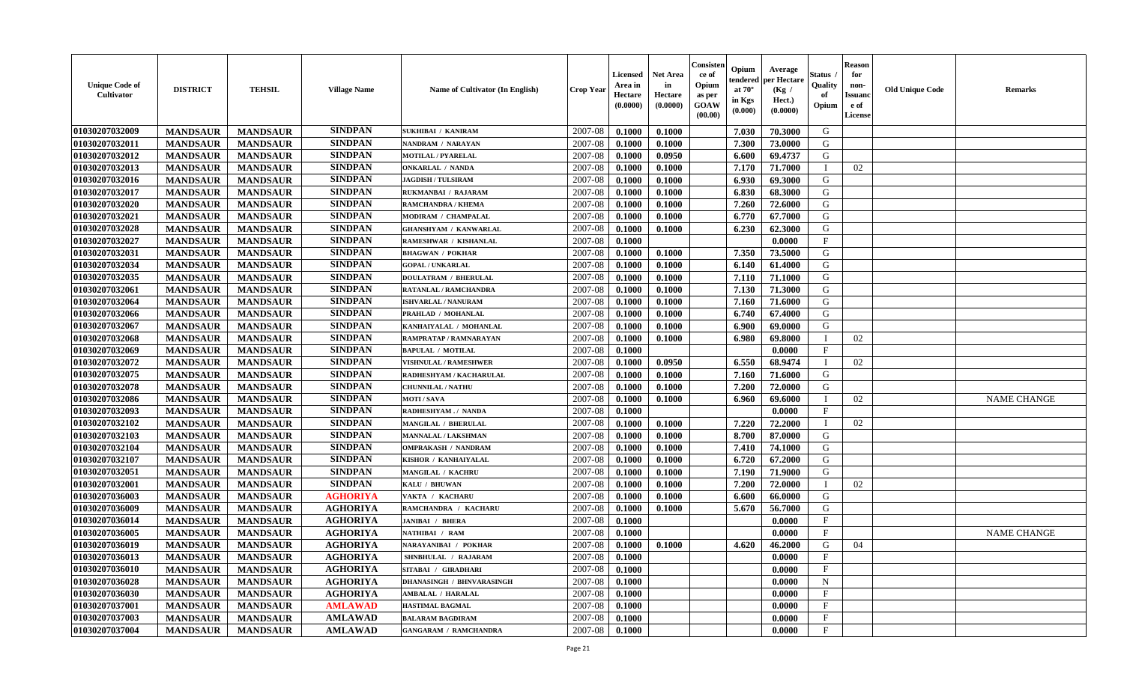| <b>Unique Code of</b><br>Cultivator | <b>DISTRICT</b> | <b>TEHSIL</b>   | <b>Village Name</b> | Name of Cultivator (In English)  | <b>Crop Year</b> | <b>Licensed</b><br>Area in<br>Hectare<br>(0.0000) | <b>Net Area</b><br>in<br>Hectare<br>(0.0000) | Consister<br>ce of<br>Opium<br>as per<br><b>GOAW</b><br>(00.00) | Opium<br>tendered<br>at $70^{\circ}$<br>in Kgs<br>(0.000) | Average<br>per Hectare<br>(Kg /<br>Hect.)<br>(0.0000) | <b>Status</b><br>Quality<br>of<br>Opium | <b>Reason</b><br>for<br>non-<br><b>Issuand</b><br>e of<br>License | <b>Old Unique Code</b> | <b>Remarks</b>     |
|-------------------------------------|-----------------|-----------------|---------------------|----------------------------------|------------------|---------------------------------------------------|----------------------------------------------|-----------------------------------------------------------------|-----------------------------------------------------------|-------------------------------------------------------|-----------------------------------------|-------------------------------------------------------------------|------------------------|--------------------|
| 01030207032009                      | <b>MANDSAUR</b> | <b>MANDSAUR</b> | <b>SINDPAN</b>      | <b>SUKHIBAI / KANIRAM</b>        | 2007-08          | 0.1000                                            | 0.1000                                       |                                                                 | 7.030                                                     | 70.3000                                               | G                                       |                                                                   |                        |                    |
| 01030207032011                      | <b>MANDSAUR</b> | <b>MANDSAUR</b> | <b>SINDPAN</b>      | NANDRAM / NARAYAN                | 2007-08          | 0.1000                                            | 0.1000                                       |                                                                 | 7.300                                                     | 73.0000                                               | G                                       |                                                                   |                        |                    |
| 01030207032012                      | <b>MANDSAUR</b> | <b>MANDSAUR</b> | <b>SINDPAN</b>      | <b>MOTILAL / PYARELAL</b>        | 2007-08          | 0.1000                                            | 0.0950                                       |                                                                 | 6.600                                                     | 69,4737                                               | G                                       |                                                                   |                        |                    |
| 01030207032013                      | <b>MANDSAUR</b> | <b>MANDSAUR</b> | <b>SINDPAN</b>      | <b>ONKARLAL / NANDA</b>          | 2007-08          | 0.1000                                            | 0.1000                                       |                                                                 | 7.170                                                     | 71.7000                                               |                                         | 02                                                                |                        |                    |
| 01030207032016                      | <b>MANDSAUR</b> | <b>MANDSAUR</b> | <b>SINDPAN</b>      | <b>JAGDISH / TULSIRAM</b>        | 2007-08          | 0.1000                                            | 0.1000                                       |                                                                 | 6.930                                                     | 69.3000                                               | G                                       |                                                                   |                        |                    |
| 01030207032017                      | <b>MANDSAUR</b> | <b>MANDSAUR</b> | <b>SINDPAN</b>      | RUKMANBAI / RAJARAM              | 2007-08          | 0.1000                                            | 0.1000                                       |                                                                 | 6.830                                                     | 68.3000                                               | G                                       |                                                                   |                        |                    |
| 01030207032020                      | <b>MANDSAUR</b> | <b>MANDSAUR</b> | <b>SINDPAN</b>      | <b>RAMCHANDRA / KHEMA</b>        | 2007-08          | 0.1000                                            | 0.1000                                       |                                                                 | 7.260                                                     | 72.6000                                               | G                                       |                                                                   |                        |                    |
| 01030207032021                      | <b>MANDSAUR</b> | <b>MANDSAUR</b> | <b>SINDPAN</b>      | MODIRAM / CHAMPALAL              | 2007-08          | 0.1000                                            | 0.1000                                       |                                                                 | 6.770                                                     | 67.7000                                               | G                                       |                                                                   |                        |                    |
| 01030207032028                      | <b>MANDSAUR</b> | <b>MANDSAUR</b> | <b>SINDPAN</b>      | <b>GHANSHYAM / KANWARLAL</b>     | 2007-08          | 0.1000                                            | 0.1000                                       |                                                                 | 6.230                                                     | 62.3000                                               | G                                       |                                                                   |                        |                    |
| 01030207032027                      | <b>MANDSAUR</b> | <b>MANDSAUR</b> | <b>SINDPAN</b>      | RAMESHWAR / KISHANLAL            | 2007-08          | 0.1000                                            |                                              |                                                                 |                                                           | 0.0000                                                | $\mathbf{F}$                            |                                                                   |                        |                    |
| 01030207032031                      | <b>MANDSAUR</b> | <b>MANDSAUR</b> | <b>SINDPAN</b>      | <b>BHAGWAN / POKHAR</b>          | 2007-08          | 0.1000                                            | 0.1000                                       |                                                                 | 7.350                                                     | 73.5000                                               | G                                       |                                                                   |                        |                    |
| 01030207032034                      | <b>MANDSAUR</b> | <b>MANDSAUR</b> | <b>SINDPAN</b>      | <b>GOPAL / UNKARLAL</b>          | 2007-08          | 0.1000                                            | 0.1000                                       |                                                                 | 6.140                                                     | 61.4000                                               | G                                       |                                                                   |                        |                    |
| 01030207032035                      | <b>MANDSAUR</b> | <b>MANDSAUR</b> | <b>SINDPAN</b>      | <b>DOULATRAM / BHERULAL</b>      | 2007-08          | 0.1000                                            | 0.1000                                       |                                                                 | 7.110                                                     | 71.1000                                               | G                                       |                                                                   |                        |                    |
| 01030207032061                      | <b>MANDSAUR</b> | <b>MANDSAUR</b> | <b>SINDPAN</b>      | <b>RATANLAL / RAMCHANDRA</b>     | 2007-08          | 0.1000                                            | 0.1000                                       |                                                                 | 7.130                                                     | 71.3000                                               | G                                       |                                                                   |                        |                    |
| 01030207032064                      | <b>MANDSAUR</b> | <b>MANDSAUR</b> | <b>SINDPAN</b>      | ISHVARLAL / NANURAM              | 2007-08          | 0.1000                                            | 0.1000                                       |                                                                 | 7.160                                                     | 71.6000                                               | G                                       |                                                                   |                        |                    |
| 01030207032066                      | <b>MANDSAUR</b> | <b>MANDSAUR</b> | <b>SINDPAN</b>      | PRAHLAD / MOHANLAL               | 2007-08          | 0.1000                                            | 0.1000                                       |                                                                 | 6.740                                                     | 67.4000                                               | G                                       |                                                                   |                        |                    |
| 01030207032067                      | <b>MANDSAUR</b> | <b>MANDSAUR</b> | <b>SINDPAN</b>      | KANHAIYALAL / MOHANLAL           | 2007-08          | 0.1000                                            | 0.1000                                       |                                                                 | 6.900                                                     | 69.0000                                               | G                                       |                                                                   |                        |                    |
| 01030207032068                      | <b>MANDSAUR</b> | <b>MANDSAUR</b> | <b>SINDPAN</b>      | RAMPRATAP / RAMNARAYAN           | 2007-08          | 0.1000                                            | 0.1000                                       |                                                                 | 6.980                                                     | 69.8000                                               |                                         | 02                                                                |                        |                    |
| 01030207032069                      | <b>MANDSAUR</b> | <b>MANDSAUR</b> | <b>SINDPAN</b>      | <b>BAPULAL / MOTILAL</b>         | 2007-08          | 0.1000                                            |                                              |                                                                 |                                                           | 0.0000                                                | F                                       |                                                                   |                        |                    |
| 01030207032072                      | <b>MANDSAUR</b> | <b>MANDSAUR</b> | <b>SINDPAN</b>      | <b>VISHNULAL / RAMESHWER</b>     | 2007-08          | 0.1000                                            | 0.0950                                       |                                                                 | 6.550                                                     | 68.9474                                               |                                         | 02                                                                |                        |                    |
| 01030207032075                      | <b>MANDSAUR</b> | <b>MANDSAUR</b> | <b>SINDPAN</b>      | RADHESHYAM / KACHARULAL          | 2007-08          | 0.1000                                            | 0.1000                                       |                                                                 | 7.160                                                     | 71.6000                                               | G                                       |                                                                   |                        |                    |
| 01030207032078                      | <b>MANDSAUR</b> | <b>MANDSAUR</b> | <b>SINDPAN</b>      | <b>CHUNNILAL / NATHU</b>         | 2007-08          | 0.1000                                            | 0.1000                                       |                                                                 | 7.200                                                     | 72.0000                                               | G                                       |                                                                   |                        |                    |
| 01030207032086                      | <b>MANDSAUR</b> | <b>MANDSAUR</b> | <b>SINDPAN</b>      | <b>MOTI/SAVA</b>                 | 2007-08          | 0.1000                                            | 0.1000                                       |                                                                 | 6.960                                                     | 69.6000                                               |                                         | 02                                                                |                        | <b>NAME CHANGE</b> |
| 01030207032093                      | <b>MANDSAUR</b> | <b>MANDSAUR</b> | <b>SINDPAN</b>      | RADHESHYAM./ NANDA               | 2007-08          | 0.1000                                            |                                              |                                                                 |                                                           | 0.0000                                                | $\mathbf F$                             |                                                                   |                        |                    |
| 01030207032102                      | <b>MANDSAUR</b> | <b>MANDSAUR</b> | <b>SINDPAN</b>      | <b>MANGILAL / BHERULAL</b>       | 2007-08          | 0.1000                                            | 0.1000                                       |                                                                 | 7.220                                                     | 72.2000                                               |                                         | 02                                                                |                        |                    |
| 01030207032103                      | <b>MANDSAUR</b> | <b>MANDSAUR</b> | <b>SINDPAN</b>      | MANNALAL / LAKSHMAN              | 2007-08          | 0.1000                                            | 0.1000                                       |                                                                 | 8.700                                                     | 87.0000                                               | G                                       |                                                                   |                        |                    |
| 01030207032104                      | <b>MANDSAUR</b> | <b>MANDSAUR</b> | <b>SINDPAN</b>      | <b>OMPRAKASH / NANDRAM</b>       | 2007-08          | 0.1000                                            | 0.1000                                       |                                                                 | 7.410                                                     | 74.1000                                               | G                                       |                                                                   |                        |                    |
| 01030207032107                      | <b>MANDSAUR</b> | <b>MANDSAUR</b> | <b>SINDPAN</b>      | KISHOR / KANHAIYALAL             | 2007-08          | 0.1000                                            | 0.1000                                       |                                                                 | 6.720                                                     | 67.2000                                               | G                                       |                                                                   |                        |                    |
| 01030207032051                      | <b>MANDSAUR</b> | <b>MANDSAUR</b> | <b>SINDPAN</b>      | <b>MANGILAL / KACHRU</b>         | 2007-08          | 0.1000                                            | 0.1000                                       |                                                                 | 7.190                                                     | 71.9000                                               | G                                       |                                                                   |                        |                    |
| 01030207032001                      | <b>MANDSAUR</b> | <b>MANDSAUR</b> | <b>SINDPAN</b>      | KALU / BHUWAN                    | 2007-08          | 0.1000                                            | 0.1000                                       |                                                                 | 7.200                                                     | 72.0000                                               |                                         | 02                                                                |                        |                    |
| 01030207036003                      | <b>MANDSAUR</b> | <b>MANDSAUR</b> | <b>AGHORIYA</b>     | VAKTA / KACHARU                  | 2007-08          | 0.1000                                            | 0.1000                                       |                                                                 | 6.600                                                     | 66.0000                                               | G                                       |                                                                   |                        |                    |
| 01030207036009                      | <b>MANDSAUR</b> | <b>MANDSAUR</b> | <b>AGHORIYA</b>     | RAMCHANDRA / KACHARU             | 2007-08          | 0.1000                                            | 0.1000                                       |                                                                 | 5.670                                                     | 56.7000                                               | G                                       |                                                                   |                        |                    |
| 01030207036014                      | <b>MANDSAUR</b> | <b>MANDSAUR</b> | <b>AGHORIYA</b>     | <b>JANIBAI / BHERA</b>           | 2007-08          | 0.1000                                            |                                              |                                                                 |                                                           | 0.0000                                                | $\mathbf{F}$                            |                                                                   |                        |                    |
| 01030207036005                      | <b>MANDSAUR</b> | <b>MANDSAUR</b> | <b>AGHORIYA</b>     | NATHIBAI / RAM                   | 2007-08          | 0.1000                                            |                                              |                                                                 |                                                           | 0.0000                                                | $_{\rm F}$                              |                                                                   |                        | <b>NAME CHANGE</b> |
| 01030207036019                      | <b>MANDSAUR</b> | <b>MANDSAUR</b> | <b>AGHORIYA</b>     | NARAYANIBAI / POKHAR             | 2007-08          | 0.1000                                            | 0.1000                                       |                                                                 | 4.620                                                     | 46.2000                                               | G                                       | 04                                                                |                        |                    |
| 01030207036013                      | <b>MANDSAUR</b> | MANDSAUR        | <b>AGHORIYA</b>     | SHNBHULAL / RAJARAM              |                  | $2007-08$ 0.1000                                  |                                              |                                                                 |                                                           | 0.0000                                                | F                                       |                                                                   |                        |                    |
| 01030207036010                      | <b>MANDSAUR</b> | <b>MANDSAUR</b> | <b>AGHORIYA</b>     | SITABAI / GIRADHARI              | 2007-08          | 0.1000                                            |                                              |                                                                 |                                                           | 0.0000                                                | $\mathbf{F}$                            |                                                                   |                        |                    |
| 01030207036028                      | <b>MANDSAUR</b> | <b>MANDSAUR</b> | <b>AGHORIYA</b>     | <b>DHANASINGH / BHNVARASINGH</b> | 2007-08          | 0.1000                                            |                                              |                                                                 |                                                           | 0.0000                                                | N                                       |                                                                   |                        |                    |
| 01030207036030                      | <b>MANDSAUR</b> | <b>MANDSAUR</b> | <b>AGHORIYA</b>     | <b>AMBALAL / HARALAL</b>         | 2007-08          | 0.1000                                            |                                              |                                                                 |                                                           | 0.0000                                                | $\mathbf{F}$                            |                                                                   |                        |                    |
| 01030207037001                      | <b>MANDSAUR</b> | <b>MANDSAUR</b> | <b>AMLAWAD</b>      | <b>HASTIMAL BAGMAL</b>           | 2007-08          | 0.1000                                            |                                              |                                                                 |                                                           | 0.0000                                                | $\mathbf{F}$                            |                                                                   |                        |                    |
| 01030207037003                      | <b>MANDSAUR</b> | <b>MANDSAUR</b> | <b>AMLAWAD</b>      | <b>BALARAM BAGDIRAM</b>          | 2007-08          | 0.1000                                            |                                              |                                                                 |                                                           | 0.0000                                                | $\mathbf{F}$                            |                                                                   |                        |                    |
| 01030207037004                      | <b>MANDSAUR</b> | <b>MANDSAUR</b> | <b>AMLAWAD</b>      | <b>GANGARAM / RAMCHANDRA</b>     | 2007-08          | 0.1000                                            |                                              |                                                                 |                                                           | 0.0000                                                | $\mathbf{F}$                            |                                                                   |                        |                    |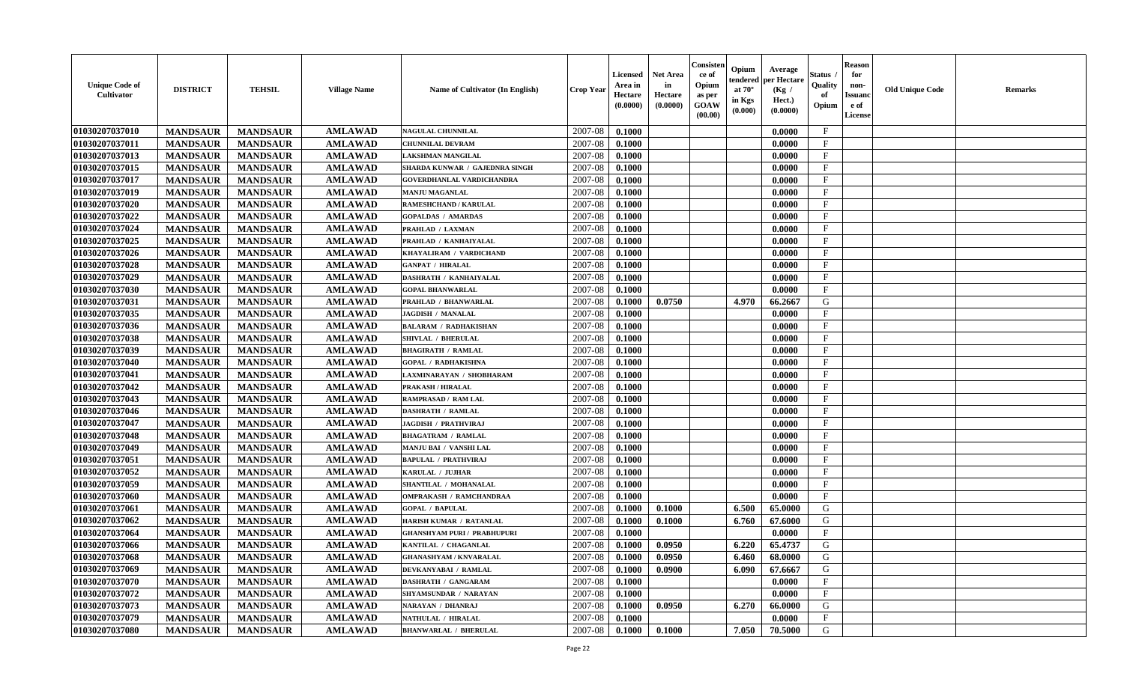| <b>Unique Code of</b><br>Cultivator | <b>DISTRICT</b> | <b>TEHSIL</b>   | <b>Village Name</b> | Name of Cultivator (In English)    | <b>Crop Year</b> | <b>Licensed</b><br>Area in<br>Hectare<br>(0.0000) | <b>Net Area</b><br>in<br>Hectare<br>(0.0000) | Consister<br>ce of<br>Opium<br>as per<br>GOAW<br>(00.00) | Opium<br>endered<br>at $70^\circ$<br>in Kgs<br>(0.000) | Average<br>per Hectare<br>(Kg /<br>Hect.)<br>(0.0000) | <b>Status</b> .<br>Quality<br>of<br>Opium | <b>Reason</b><br>for<br>non-<br><b>Issuanc</b><br>e of<br>License | <b>Old Unique Code</b> | <b>Remarks</b> |
|-------------------------------------|-----------------|-----------------|---------------------|------------------------------------|------------------|---------------------------------------------------|----------------------------------------------|----------------------------------------------------------|--------------------------------------------------------|-------------------------------------------------------|-------------------------------------------|-------------------------------------------------------------------|------------------------|----------------|
| 01030207037010                      | <b>MANDSAUR</b> | <b>MANDSAUR</b> | <b>AMLAWAD</b>      | NAGULAL CHUNNILAL                  | 2007-08          | 0.1000                                            |                                              |                                                          |                                                        | 0.0000                                                | $\mathbf{F}$                              |                                                                   |                        |                |
| 01030207037011                      | <b>MANDSAUR</b> | <b>MANDSAUR</b> | <b>AMLAWAD</b>      | <b>CHUNNILAL DEVRAM</b>            | 2007-08          | 0.1000                                            |                                              |                                                          |                                                        | 0.0000                                                | $\mathbf{F}$                              |                                                                   |                        |                |
| 01030207037013                      | <b>MANDSAUR</b> | <b>MANDSAUR</b> | <b>AMLAWAD</b>      | LAKSHMAN MANGILAL                  | 2007-08          | 0.1000                                            |                                              |                                                          |                                                        | 0.0000                                                | $\mathbf{F}$                              |                                                                   |                        |                |
| 01030207037015                      | <b>MANDSAUR</b> | <b>MANDSAUR</b> | <b>AMLAWAD</b>      | SHARDA KUNWAR / GAJEDNRA SINGH     | 2007-08          | 0.1000                                            |                                              |                                                          |                                                        | 0.0000                                                | $\mathbf{F}$                              |                                                                   |                        |                |
| 01030207037017                      | <b>MANDSAUR</b> | <b>MANDSAUR</b> | <b>AMLAWAD</b>      | <b>GOVERDHANLAL VARDICHANDRA</b>   | 2007-08          | 0.1000                                            |                                              |                                                          |                                                        | 0.0000                                                | $\mathbf F$                               |                                                                   |                        |                |
| 01030207037019                      | <b>MANDSAUR</b> | <b>MANDSAUR</b> | <b>AMLAWAD</b>      | <b>MANJU MAGANLAL</b>              | 2007-08          | 0.1000                                            |                                              |                                                          |                                                        | 0.0000                                                | $\mathbf{F}$                              |                                                                   |                        |                |
| 01030207037020                      | <b>MANDSAUR</b> | <b>MANDSAUR</b> | <b>AMLAWAD</b>      | <b>RAMESHCHAND / KARULAL</b>       | 2007-08          | 0.1000                                            |                                              |                                                          |                                                        | 0.0000                                                | $\mathbf F$                               |                                                                   |                        |                |
| 01030207037022                      | <b>MANDSAUR</b> | <b>MANDSAUR</b> | <b>AMLAWAD</b>      | <b>GOPALDAS / AMARDAS</b>          | 2007-08          | 0.1000                                            |                                              |                                                          |                                                        | 0.0000                                                | $\mathbf{F}$                              |                                                                   |                        |                |
| 01030207037024                      | <b>MANDSAUR</b> | <b>MANDSAUR</b> | <b>AMLAWAD</b>      | PRAHLAD / LAXMAN                   | 2007-08          | 0.1000                                            |                                              |                                                          |                                                        | 0.0000                                                | F                                         |                                                                   |                        |                |
| 01030207037025                      | <b>MANDSAUR</b> | <b>MANDSAUR</b> | <b>AMLAWAD</b>      | PRAHLAD / KANHAIYALAL              | 2007-08          | 0.1000                                            |                                              |                                                          |                                                        | 0.0000                                                | $\mathbf{F}$                              |                                                                   |                        |                |
| 01030207037026                      | <b>MANDSAUR</b> | <b>MANDSAUR</b> | <b>AMLAWAD</b>      | KHAYALIRAM / VARDICHAND            | 2007-08          | 0.1000                                            |                                              |                                                          |                                                        | 0.0000                                                | $\mathbf{F}$                              |                                                                   |                        |                |
| 01030207037028                      | <b>MANDSAUR</b> | <b>MANDSAUR</b> | <b>AMLAWAD</b>      | <b>GANPAT / HIRALAL</b>            | 2007-08          | 0.1000                                            |                                              |                                                          |                                                        | 0.0000                                                | $\mathbf{F}$                              |                                                                   |                        |                |
| 01030207037029                      | <b>MANDSAUR</b> | <b>MANDSAUR</b> | <b>AMLAWAD</b>      | DASHRATH / KANHAIYALAL             | 2007-08          | 0.1000                                            |                                              |                                                          |                                                        | 0.0000                                                | $\mathbf{F}$                              |                                                                   |                        |                |
| 01030207037030                      | <b>MANDSAUR</b> | <b>MANDSAUR</b> | <b>AMLAWAD</b>      | <b>GOPAL BHANWARLAL</b>            | 2007-08          | 0.1000                                            |                                              |                                                          |                                                        | 0.0000                                                | $\mathbf{F}$                              |                                                                   |                        |                |
| 01030207037031                      | <b>MANDSAUR</b> | <b>MANDSAUR</b> | <b>AMLAWAD</b>      | <b>PRAHLAD / BHANWARLAL</b>        | 2007-08          | 0.1000                                            | 0.0750                                       |                                                          | 4.970                                                  | 66.2667                                               | ${\bf G}$                                 |                                                                   |                        |                |
| 01030207037035                      | <b>MANDSAUR</b> | <b>MANDSAUR</b> | <b>AMLAWAD</b>      | <b>JAGDISH / MANALAL</b>           | 2007-08          | 0.1000                                            |                                              |                                                          |                                                        | 0.0000                                                | $\mathbf{F}$                              |                                                                   |                        |                |
| 01030207037036                      | <b>MANDSAUR</b> | <b>MANDSAUR</b> | <b>AMLAWAD</b>      | <b>BALARAM / RADHAKISHAN</b>       | 2007-08          | 0.1000                                            |                                              |                                                          |                                                        | 0.0000                                                | $\mathbf{F}$                              |                                                                   |                        |                |
| 01030207037038                      | <b>MANDSAUR</b> | <b>MANDSAUR</b> | <b>AMLAWAD</b>      | SHIVLAL / BHERULAL                 | 2007-08          | 0.1000                                            |                                              |                                                          |                                                        | 0.0000                                                | $\mathbf{F}$                              |                                                                   |                        |                |
| 01030207037039                      | <b>MANDSAUR</b> | <b>MANDSAUR</b> | <b>AMLAWAD</b>      | <b>BHAGIRATH / RAMLAL</b>          | 2007-08          | 0.1000                                            |                                              |                                                          |                                                        | 0.0000                                                | $\mathbf{F}$                              |                                                                   |                        |                |
| 01030207037040                      | <b>MANDSAUR</b> | <b>MANDSAUR</b> | <b>AMLAWAD</b>      | <b>GOPAL / RADHAKISHNA</b>         | 2007-08          | 0.1000                                            |                                              |                                                          |                                                        | 0.0000                                                | $\mathbf{F}$                              |                                                                   |                        |                |
| 01030207037041                      | <b>MANDSAUR</b> | <b>MANDSAUR</b> | <b>AMLAWAD</b>      | LAXMINARAYAN / SHOBHARAM           | 2007-08          | 0.1000                                            |                                              |                                                          |                                                        | 0.0000                                                | $\mathbf{F}$                              |                                                                   |                        |                |
| 01030207037042                      | <b>MANDSAUR</b> | <b>MANDSAUR</b> | <b>AMLAWAD</b>      | <b>PRAKASH / HIRALAL</b>           | 2007-08          | 0.1000                                            |                                              |                                                          |                                                        | 0.0000                                                | F                                         |                                                                   |                        |                |
| 01030207037043                      | <b>MANDSAUR</b> | <b>MANDSAUR</b> | <b>AMLAWAD</b>      | RAMPRASAD / RAM LAL                | 2007-08          | 0.1000                                            |                                              |                                                          |                                                        | 0.0000                                                | $\mathbf{F}$                              |                                                                   |                        |                |
| 01030207037046                      | <b>MANDSAUR</b> | <b>MANDSAUR</b> | <b>AMLAWAD</b>      | DASHRATH / RAMLAL                  | 2007-08          | 0.1000                                            |                                              |                                                          |                                                        | 0.0000                                                | $\mathbf{F}$                              |                                                                   |                        |                |
| 01030207037047                      | <b>MANDSAUR</b> | <b>MANDSAUR</b> | <b>AMLAWAD</b>      | <b>JAGDISH / PRATHVIRAJ</b>        | 2007-08          | 0.1000                                            |                                              |                                                          |                                                        | 0.0000                                                | $\mathbf F$                               |                                                                   |                        |                |
| 01030207037048                      | <b>MANDSAUR</b> | <b>MANDSAUR</b> | <b>AMLAWAD</b>      | <b>BHAGATRAM / RAMLAL</b>          | 2007-08          | 0.1000                                            |                                              |                                                          |                                                        | 0.0000                                                | $\mathbf{F}$                              |                                                                   |                        |                |
| 01030207037049                      | <b>MANDSAUR</b> | <b>MANDSAUR</b> | <b>AMLAWAD</b>      | MANJU BAI / VANSHI LAL             | 2007-08          | 0.1000                                            |                                              |                                                          |                                                        | 0.0000                                                | F                                         |                                                                   |                        |                |
| 01030207037051                      | <b>MANDSAUR</b> | <b>MANDSAUR</b> | <b>AMLAWAD</b>      | <b>BAPULAL / PRATHVIRAJ</b>        | 2007-08          | 0.1000                                            |                                              |                                                          |                                                        | 0.0000                                                | $\mathbf{F}$                              |                                                                   |                        |                |
| 01030207037052                      | <b>MANDSAUR</b> | <b>MANDSAUR</b> | <b>AMLAWAD</b>      | KARULAL / JUJHAR                   | 2007-08          | 0.1000                                            |                                              |                                                          |                                                        | 0.0000                                                | $\mathbf{F}$                              |                                                                   |                        |                |
| 01030207037059                      | <b>MANDSAUR</b> | <b>MANDSAUR</b> | <b>AMLAWAD</b>      | SHANTILAL / MOHANALAL              | 2007-08          | 0.1000                                            |                                              |                                                          |                                                        | 0.0000                                                | $\mathbf F$                               |                                                                   |                        |                |
| 01030207037060                      | <b>MANDSAUR</b> | <b>MANDSAUR</b> | <b>AMLAWAD</b>      | OMPRAKASH / RAMCHANDRAA            | 2007-08          | 0.1000                                            |                                              |                                                          |                                                        | 0.0000                                                | $\mathbf{F}$                              |                                                                   |                        |                |
| 01030207037061                      | <b>MANDSAUR</b> | <b>MANDSAUR</b> | <b>AMLAWAD</b>      | <b>GOPAL / BAPULAL</b>             | 2007-08          | 0.1000                                            | 0.1000                                       |                                                          | 6.500                                                  | 65.0000                                               | G                                         |                                                                   |                        |                |
| 01030207037062                      | <b>MANDSAUR</b> | <b>MANDSAUR</b> | <b>AMLAWAD</b>      | HARISH KUMAR / RATANLAL            | 2007-08          | 0.1000                                            | 0.1000                                       |                                                          | 6.760                                                  | 67.6000                                               | G                                         |                                                                   |                        |                |
| 01030207037064                      | <b>MANDSAUR</b> | <b>MANDSAUR</b> | <b>AMLAWAD</b>      | <b>GHANSHYAM PURI / PRABHUPURI</b> | 2007-08          | 0.1000                                            |                                              |                                                          |                                                        | 0.0000                                                | $\mathbf F$                               |                                                                   |                        |                |
| 01030207037066                      | <b>MANDSAUR</b> | <b>MANDSAUR</b> | <b>AMLAWAD</b>      | KANTILAL / CHAGANLAL               | 2007-08          | 0.1000                                            | 0.0950                                       |                                                          | 6.220                                                  | 65.4737                                               | ${\bf G}$                                 |                                                                   |                        |                |
| 01030207037068                      | <b>MANDSAUR</b> | <b>MANDSAUR</b> | <b>AMLAWAD</b>      | <b>GHANASHYAM / KNVARALAL</b>      | 2007-08          | 0.1000                                            | 0.0950                                       |                                                          | 6.460                                                  | 68.0000                                               | G                                         |                                                                   |                        |                |
| 01030207037069                      | <b>MANDSAUR</b> | <b>MANDSAUR</b> | <b>AMLAWAD</b>      | DEVKANYABAI / RAMLAL               | 2007-08          | 0.1000                                            | 0.0900                                       |                                                          | 6.090                                                  | 67.6667                                               | G                                         |                                                                   |                        |                |
| 01030207037070                      | <b>MANDSAUR</b> | <b>MANDSAUR</b> | <b>AMLAWAD</b>      | DASHRATH / GANGARAM                | 2007-08          | 0.1000                                            |                                              |                                                          |                                                        | 0.0000                                                | $\mathbf{F}$                              |                                                                   |                        |                |
| 01030207037072                      | <b>MANDSAUR</b> | <b>MANDSAUR</b> | <b>AMLAWAD</b>      | SHYAMSUNDAR / NARAYAN              | 2007-08          | 0.1000                                            |                                              |                                                          |                                                        | 0.0000                                                | $\mathbf{F}$                              |                                                                   |                        |                |
| 01030207037073                      | <b>MANDSAUR</b> | <b>MANDSAUR</b> | <b>AMLAWAD</b>      | <b>VARAYAN / DHANRAJ</b>           | 2007-08          | 0.1000                                            | 0.0950                                       |                                                          | 6.270                                                  | 66.0000                                               | G                                         |                                                                   |                        |                |
| 01030207037079                      | <b>MANDSAUR</b> | <b>MANDSAUR</b> | <b>AMLAWAD</b>      | NATHULAL / HIRALAL                 | 2007-08          | 0.1000                                            |                                              |                                                          |                                                        | 0.0000                                                | $\mathbf{F}$                              |                                                                   |                        |                |
| 01030207037080                      | <b>MANDSAUR</b> | <b>MANDSAUR</b> | <b>AMLAWAD</b>      | <b>BHANWARLAL / BHERULAL</b>       | 2007-08          | 0.1000                                            | 0.1000                                       |                                                          | 7.050                                                  | 70.5000                                               | G                                         |                                                                   |                        |                |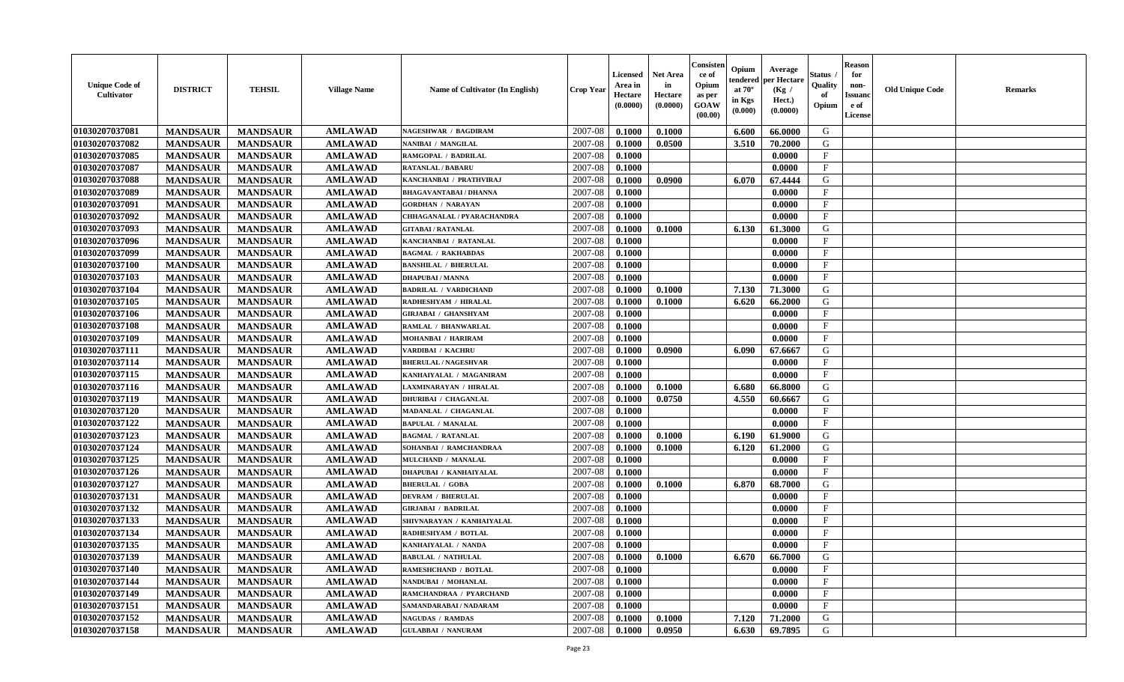| <b>Unique Code of</b><br>Cultivator | <b>DISTRICT</b> | <b>TEHSIL</b>   | <b>Village Name</b> | Name of Cultivator (In English) | <b>Crop Year</b> | <b>Licensed</b><br>Area in<br>Hectare<br>(0.0000) | <b>Net Area</b><br>in<br>Hectare<br>(0.0000) | Consister<br>ce of<br>Opium<br>as per<br><b>GOAW</b><br>(00.00) | Opium<br>endered<br>at $70^{\circ}$<br>in Kgs<br>(0.000) | Average<br>per Hectare<br>(Kg /<br>Hect.)<br>(0.0000) | <b>Status</b><br>Quality<br>of<br>Opium | <b>Reason</b><br>for<br>non-<br><b>Issuand</b><br>e of<br>License | <b>Old Unique Code</b> | <b>Remarks</b> |
|-------------------------------------|-----------------|-----------------|---------------------|---------------------------------|------------------|---------------------------------------------------|----------------------------------------------|-----------------------------------------------------------------|----------------------------------------------------------|-------------------------------------------------------|-----------------------------------------|-------------------------------------------------------------------|------------------------|----------------|
| 01030207037081                      | <b>MANDSAUR</b> | <b>MANDSAUR</b> | <b>AMLAWAD</b>      | <b>NAGESHWAR / BAGDIRAM</b>     | 2007-08          | 0.1000                                            | 0.1000                                       |                                                                 | 6.600                                                    | 66.0000                                               | G                                       |                                                                   |                        |                |
| 01030207037082                      | <b>MANDSAUR</b> | <b>MANDSAUR</b> | <b>AMLAWAD</b>      | NANIBAI / MANGILAL              | 2007-08          | 0.1000                                            | 0.0500                                       |                                                                 | 3.510                                                    | 70.2000                                               | G                                       |                                                                   |                        |                |
| 01030207037085                      | <b>MANDSAUR</b> | <b>MANDSAUR</b> | <b>AMLAWAD</b>      | RAMGOPAL / BADRILAL             | 2007-08          | 0.1000                                            |                                              |                                                                 |                                                          | 0.0000                                                | $\mathbf{F}$                            |                                                                   |                        |                |
| 01030207037087                      | <b>MANDSAUR</b> | <b>MANDSAUR</b> | <b>AMLAWAD</b>      | <b>RATANLAL / BABARU</b>        | 2007-08          | 0.1000                                            |                                              |                                                                 |                                                          | 0.0000                                                | $\mathbf{F}$                            |                                                                   |                        |                |
| 01030207037088                      | <b>MANDSAUR</b> | <b>MANDSAUR</b> | <b>AMLAWAD</b>      | KANCHANBAI / PRATHVIRAJ         | 2007-08          | 0.1000                                            | 0.0900                                       |                                                                 | 6.070                                                    | 67.4444                                               | G                                       |                                                                   |                        |                |
| 01030207037089                      | <b>MANDSAUR</b> | <b>MANDSAUR</b> | <b>AMLAWAD</b>      | <b>BHAGAVANTABAI / DHANNA</b>   | 2007-08          | 0.1000                                            |                                              |                                                                 |                                                          | 0.0000                                                | $\mathbf{F}$                            |                                                                   |                        |                |
| 01030207037091                      | <b>MANDSAUR</b> | <b>MANDSAUR</b> | <b>AMLAWAD</b>      | <b>GORDHAN / NARAYAN</b>        | 2007-08          | 0.1000                                            |                                              |                                                                 |                                                          | 0.0000                                                | $\mathbf{F}$                            |                                                                   |                        |                |
| 01030207037092                      | <b>MANDSAUR</b> | <b>MANDSAUR</b> | <b>AMLAWAD</b>      | CHHAGANALAL / PYARACHANDRA      | 2007-08          | 0.1000                                            |                                              |                                                                 |                                                          | 0.0000                                                | $\mathbf{F}$                            |                                                                   |                        |                |
| 01030207037093                      | <b>MANDSAUR</b> | <b>MANDSAUR</b> | <b>AMLAWAD</b>      | <b>GITABAI/RATANLAL</b>         | 2007-08          | 0.1000                                            | 0.1000                                       |                                                                 | 6.130                                                    | 61.3000                                               | G                                       |                                                                   |                        |                |
| 01030207037096                      | <b>MANDSAUR</b> | <b>MANDSAUR</b> | <b>AMLAWAD</b>      | KANCHANBAI / RATANLAL           | 2007-08          | 0.1000                                            |                                              |                                                                 |                                                          | 0.0000                                                | $\mathbf{F}$                            |                                                                   |                        |                |
| 01030207037099                      | <b>MANDSAUR</b> | <b>MANDSAUR</b> | <b>AMLAWAD</b>      | <b>BAGMAL / RAKHABDAS</b>       | 2007-08          | 0.1000                                            |                                              |                                                                 |                                                          | 0.0000                                                | $\mathbf{F}$                            |                                                                   |                        |                |
| 01030207037100                      | <b>MANDSAUR</b> | <b>MANDSAUR</b> | <b>AMLAWAD</b>      | <b>BANSHILAL / BHERULAL</b>     | 2007-08          | 0.1000                                            |                                              |                                                                 |                                                          | 0.0000                                                | $\mathbf F$                             |                                                                   |                        |                |
| 01030207037103                      | <b>MANDSAUR</b> | <b>MANDSAUR</b> | <b>AMLAWAD</b>      | <b>DHAPUBAI/MANNA</b>           | 2007-08          | 0.1000                                            |                                              |                                                                 |                                                          | 0.0000                                                | $\mathbf{F}$                            |                                                                   |                        |                |
| 01030207037104                      | <b>MANDSAUR</b> | <b>MANDSAUR</b> | <b>AMLAWAD</b>      | <b>BADRILAL / VARDICHAND</b>    | 2007-08          | 0.1000                                            | 0.1000                                       |                                                                 | 7.130                                                    | 71.3000                                               | G                                       |                                                                   |                        |                |
| 01030207037105                      | <b>MANDSAUR</b> | <b>MANDSAUR</b> | <b>AMLAWAD</b>      | RADHESHYAM / HIRALAL            | 2007-08          | 0.1000                                            | 0.1000                                       |                                                                 | 6.620                                                    | 66.2000                                               | G                                       |                                                                   |                        |                |
| 01030207037106                      | <b>MANDSAUR</b> | <b>MANDSAUR</b> | <b>AMLAWAD</b>      | GIRJABAI / GHANSHYAM            | 2007-08          | 0.1000                                            |                                              |                                                                 |                                                          | 0.0000                                                | $_{\rm F}$                              |                                                                   |                        |                |
| 01030207037108                      | <b>MANDSAUR</b> | <b>MANDSAUR</b> | <b>AMLAWAD</b>      | RAMLAL / BHANWARLAL             | 2007-08          | 0.1000                                            |                                              |                                                                 |                                                          | 0.0000                                                | $\mathbf{F}$                            |                                                                   |                        |                |
| 01030207037109                      | <b>MANDSAUR</b> | <b>MANDSAUR</b> | <b>AMLAWAD</b>      | MOHANBAI / HARIRAM              | 2007-08          | 0.1000                                            |                                              |                                                                 |                                                          | 0.0000                                                | $\mathbf{F}$                            |                                                                   |                        |                |
| 01030207037111                      | <b>MANDSAUR</b> | <b>MANDSAUR</b> | <b>AMLAWAD</b>      | VARDIBAI / KACHRU               | 2007-08          | 0.1000                                            | 0.0900                                       |                                                                 | 6.090                                                    | 67.6667                                               | G                                       |                                                                   |                        |                |
| 01030207037114                      | <b>MANDSAUR</b> | <b>MANDSAUR</b> | <b>AMLAWAD</b>      | <b>BHERULAL / NAGESHVAR</b>     | 2007-08          | 0.1000                                            |                                              |                                                                 |                                                          | 0.0000                                                | $\mathbf{F}$                            |                                                                   |                        |                |
| 01030207037115                      | <b>MANDSAUR</b> | <b>MANDSAUR</b> | <b>AMLAWAD</b>      | KANHAIYALAL / MAGANIRAM         | 2007-08          | 0.1000                                            |                                              |                                                                 |                                                          | 0.0000                                                | $\mathbf F$                             |                                                                   |                        |                |
| 01030207037116                      | <b>MANDSAUR</b> | <b>MANDSAUR</b> | <b>AMLAWAD</b>      | LAXMINARAYAN / HIRALAL          | 2007-08          | 0.1000                                            | 0.1000                                       |                                                                 | 6.680                                                    | 66.8000                                               | G                                       |                                                                   |                        |                |
| 01030207037119                      | <b>MANDSAUR</b> | <b>MANDSAUR</b> | <b>AMLAWAD</b>      | <b>DHURIBAI / CHAGANLAL</b>     | 2007-08          | 0.1000                                            | 0.0750                                       |                                                                 | 4.550                                                    | 60.6667                                               | G                                       |                                                                   |                        |                |
| 01030207037120                      | <b>MANDSAUR</b> | <b>MANDSAUR</b> | <b>AMLAWAD</b>      | MADANLAL / CHAGANLAL            | 2007-08          | 0.1000                                            |                                              |                                                                 |                                                          | 0.0000                                                | $_{\rm F}$                              |                                                                   |                        |                |
| 01030207037122                      | <b>MANDSAUR</b> | <b>MANDSAUR</b> | <b>AMLAWAD</b>      | <b>BAPULAL / MANALAL</b>        | 2007-08          | 0.1000                                            |                                              |                                                                 |                                                          | 0.0000                                                | $\mathbf F$                             |                                                                   |                        |                |
| 01030207037123                      | <b>MANDSAUR</b> | <b>MANDSAUR</b> | <b>AMLAWAD</b>      | <b>BAGMAL / RATANLAL</b>        | 2007-08          | 0.1000                                            | 0.1000                                       |                                                                 | 6.190                                                    | 61.9000                                               | G                                       |                                                                   |                        |                |
| 01030207037124                      | <b>MANDSAUR</b> | <b>MANDSAUR</b> | <b>AMLAWAD</b>      | SOHANBAI / RAMCHANDRAA          | 2007-08          | 0.1000                                            | 0.1000                                       |                                                                 | 6.120                                                    | 61.2000                                               | G                                       |                                                                   |                        |                |
| 01030207037125                      | <b>MANDSAUR</b> | <b>MANDSAUR</b> | <b>AMLAWAD</b>      | MULCHAND / MANALAL              | 2007-08          | 0.1000                                            |                                              |                                                                 |                                                          | 0.0000                                                | $\mathbf{F}$                            |                                                                   |                        |                |
| 01030207037126                      | <b>MANDSAUR</b> | <b>MANDSAUR</b> | <b>AMLAWAD</b>      | <b>DHAPUBAI / KANHAIYALAL</b>   | 2007-08          | 0.1000                                            |                                              |                                                                 |                                                          | 0.0000                                                | $\mathbf{F}$                            |                                                                   |                        |                |
| 01030207037127                      | <b>MANDSAUR</b> | <b>MANDSAUR</b> | <b>AMLAWAD</b>      | <b>BHERULAL / GOBA</b>          | 2007-08          | 0.1000                                            | 0.1000                                       |                                                                 | 6.870                                                    | 68.7000                                               | G                                       |                                                                   |                        |                |
| 01030207037131                      | <b>MANDSAUR</b> | <b>MANDSAUR</b> | <b>AMLAWAD</b>      | <b>DEVRAM / BHERULAL</b>        | 2007-08          | 0.1000                                            |                                              |                                                                 |                                                          | 0.0000                                                | $\mathbf{F}$                            |                                                                   |                        |                |
| 01030207037132                      | <b>MANDSAUR</b> | <b>MANDSAUR</b> | <b>AMLAWAD</b>      | <b>GIRJABAI / BADRILAL</b>      | 2007-08          | 0.1000                                            |                                              |                                                                 |                                                          | 0.0000                                                | $\mathbf{F}$                            |                                                                   |                        |                |
| 01030207037133                      | <b>MANDSAUR</b> | <b>MANDSAUR</b> | <b>AMLAWAD</b>      | SHIVNARAYAN / KANHAIYALAL       | 2007-08          | 0.1000                                            |                                              |                                                                 |                                                          | 0.0000                                                | $\mathbf{F}$                            |                                                                   |                        |                |
| 01030207037134                      | <b>MANDSAUR</b> | <b>MANDSAUR</b> | <b>AMLAWAD</b>      | RADHESHYAM / BOTLAL             | 2007-08          | 0.1000                                            |                                              |                                                                 |                                                          | 0.0000                                                | $_{\rm F}$                              |                                                                   |                        |                |
| 01030207037135                      | <b>MANDSAUR</b> | <b>MANDSAUR</b> | <b>AMLAWAD</b>      | KANHAIYALAL / NANDA             | 2007-08          | 0.1000                                            |                                              |                                                                 |                                                          | 0.0000                                                | $\mathbf{F}$                            |                                                                   |                        |                |
| 01030207037139                      | <b>MANDSAUR</b> | MANDSAUR        | AMLAWAD             | <b>BABULAL / NATHULAL</b>       |                  | $2007-08$ 0.1000                                  | 0.1000                                       |                                                                 | $6.670$                                                  | 66.7000                                               | G                                       |                                                                   |                        |                |
| 01030207037140                      | <b>MANDSAUR</b> | <b>MANDSAUR</b> | <b>AMLAWAD</b>      | <b>RAMESHCHAND / BOTLAL</b>     | 2007-08          | 0.1000                                            |                                              |                                                                 |                                                          | 0.0000                                                | $_{\rm F}$                              |                                                                   |                        |                |
| 01030207037144                      | <b>MANDSAUR</b> | <b>MANDSAUR</b> | <b>AMLAWAD</b>      | NANDUBAI / MOHANLAL             | 2007-08          | 0.1000                                            |                                              |                                                                 |                                                          | 0.0000                                                | $\mathbf F$                             |                                                                   |                        |                |
| 01030207037149                      | <b>MANDSAUR</b> | <b>MANDSAUR</b> | <b>AMLAWAD</b>      | RAMCHANDRAA / PYARCHAND         | 2007-08          | 0.1000                                            |                                              |                                                                 |                                                          | 0.0000                                                | $\mathbf{F}$                            |                                                                   |                        |                |
| 01030207037151                      | <b>MANDSAUR</b> | <b>MANDSAUR</b> | <b>AMLAWAD</b>      | SAMANDARABAI / NADARAM          | 2007-08          | 0.1000                                            |                                              |                                                                 |                                                          | 0.0000                                                | $\mathbf{F}$                            |                                                                   |                        |                |
| 01030207037152                      | <b>MANDSAUR</b> | <b>MANDSAUR</b> | <b>AMLAWAD</b>      | <b>NAGUDAS / RAMDAS</b>         | 2007-08          | 0.1000                                            | 0.1000                                       |                                                                 | 7.120                                                    | 71.2000                                               | G                                       |                                                                   |                        |                |
| 01030207037158                      | <b>MANDSAUR</b> | <b>MANDSAUR</b> | <b>AMLAWAD</b>      | <b>GULABBAI / NANURAM</b>       | 2007-08          | 0.1000                                            | 0.0950                                       |                                                                 | 6.630                                                    | 69.7895                                               | G                                       |                                                                   |                        |                |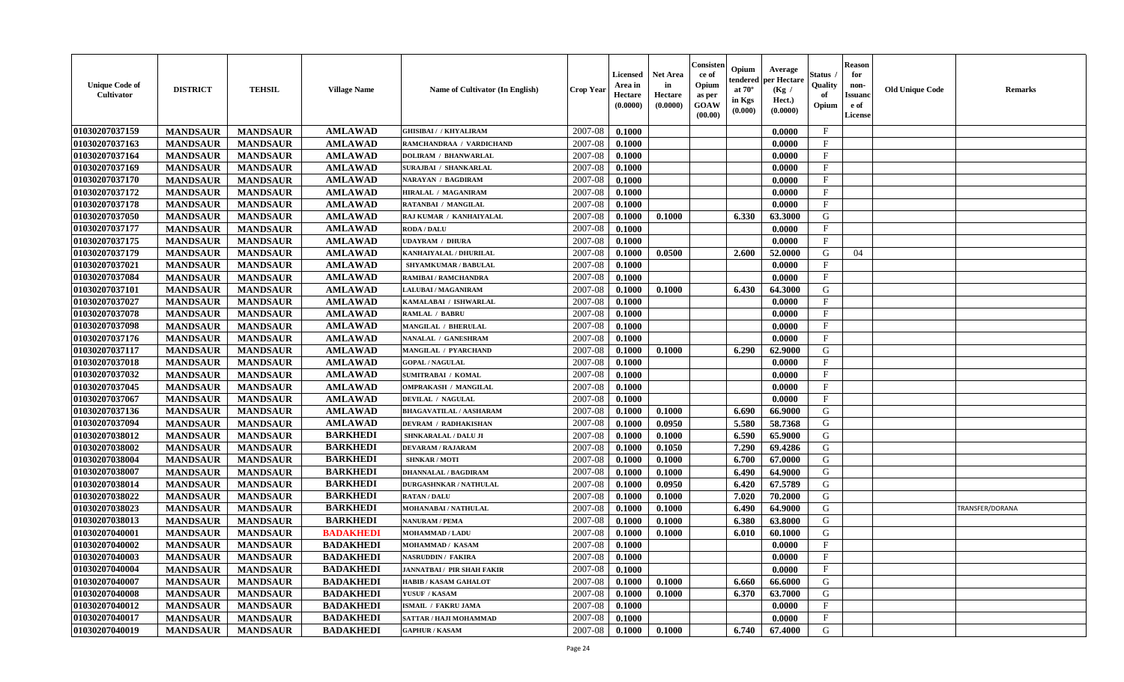| <b>Unique Code of</b><br>Cultivator | <b>DISTRICT</b> | <b>TEHSIL</b>   | <b>Village Name</b> | Name of Cultivator (In English)   | <b>Crop Year</b> | <b>Licensed</b><br>Area in<br>Hectare<br>(0.0000) | <b>Net Area</b><br>in<br>Hectare<br>(0.0000) | Consister<br>ce of<br>Opium<br>as per<br><b>GOAW</b><br>(00.00) | Opium<br>endered<br>at $70^{\circ}$<br>in Kgs<br>(0.000) | Average<br>per Hectare<br>(Kg /<br>Hect.)<br>(0.0000) | <b>Status</b><br>Quality<br>of<br>Opium | <b>Reason</b><br>for<br>non-<br><b>Issuand</b><br>e of<br>License | <b>Old Unique Code</b> | <b>Remarks</b>  |
|-------------------------------------|-----------------|-----------------|---------------------|-----------------------------------|------------------|---------------------------------------------------|----------------------------------------------|-----------------------------------------------------------------|----------------------------------------------------------|-------------------------------------------------------|-----------------------------------------|-------------------------------------------------------------------|------------------------|-----------------|
| 01030207037159                      | <b>MANDSAUR</b> | <b>MANDSAUR</b> | <b>AMLAWAD</b>      | <b>GHISIBAI / / KHYALIRAM</b>     | 2007-08          | 0.1000                                            |                                              |                                                                 |                                                          | 0.0000                                                | $\mathbf{F}$                            |                                                                   |                        |                 |
| 01030207037163                      | <b>MANDSAUR</b> | <b>MANDSAUR</b> | <b>AMLAWAD</b>      | RAMCHANDRAA / VARDICHAND          | 2007-08          | 0.1000                                            |                                              |                                                                 |                                                          | 0.0000                                                | $\mathbf F$                             |                                                                   |                        |                 |
| 01030207037164                      | <b>MANDSAUR</b> | <b>MANDSAUR</b> | <b>AMLAWAD</b>      | <b>DOLIRAM / BHANWARLAL</b>       | 2007-08          | 0.1000                                            |                                              |                                                                 |                                                          | 0.0000                                                | $\mathbf{F}$                            |                                                                   |                        |                 |
| 01030207037169                      | <b>MANDSAUR</b> | <b>MANDSAUR</b> | <b>AMLAWAD</b>      | SURAJBAI / SHANKARLAL             | 2007-08          | 0.1000                                            |                                              |                                                                 |                                                          | 0.0000                                                | $\mathbf{F}$                            |                                                                   |                        |                 |
| 01030207037170                      | <b>MANDSAUR</b> | <b>MANDSAUR</b> | <b>AMLAWAD</b>      | NARAYAN / BAGDIRAM                | 2007-08          | 0.1000                                            |                                              |                                                                 |                                                          | 0.0000                                                | $\mathbf F$                             |                                                                   |                        |                 |
| 01030207037172                      | <b>MANDSAUR</b> | <b>MANDSAUR</b> | <b>AMLAWAD</b>      | HIRALAL / MAGANIRAM               | 2007-08          | 0.1000                                            |                                              |                                                                 |                                                          | 0.0000                                                | $\mathbf{F}$                            |                                                                   |                        |                 |
| 01030207037178                      | <b>MANDSAUR</b> | <b>MANDSAUR</b> | <b>AMLAWAD</b>      | <b>RATANBAI / MANGILAL</b>        | 2007-08          | 0.1000                                            |                                              |                                                                 |                                                          | 0.0000                                                | $\mathbf{F}$                            |                                                                   |                        |                 |
| 01030207037050                      | <b>MANDSAUR</b> | <b>MANDSAUR</b> | <b>AMLAWAD</b>      | RAJ KUMAR / KANHAIYALAL           | 2007-08          | 0.1000                                            | 0.1000                                       |                                                                 | 6.330                                                    | 63.3000                                               | G                                       |                                                                   |                        |                 |
| 01030207037177                      | <b>MANDSAUR</b> | <b>MANDSAUR</b> | <b>AMLAWAD</b>      | <b>RODA / DALU</b>                | 2007-08          | 0.1000                                            |                                              |                                                                 |                                                          | 0.0000                                                | F                                       |                                                                   |                        |                 |
| 01030207037175                      | <b>MANDSAUR</b> | <b>MANDSAUR</b> | <b>AMLAWAD</b>      | UDAYRAM / DHURA                   | 2007-08          | 0.1000                                            |                                              |                                                                 |                                                          | 0.0000                                                | $\mathbf{F}$                            |                                                                   |                        |                 |
| 01030207037179                      | <b>MANDSAUR</b> | <b>MANDSAUR</b> | <b>AMLAWAD</b>      | KANHAIYALAL / DHURILAL            | 2007-08          | 0.1000                                            | 0.0500                                       |                                                                 | 2.600                                                    | 52.0000                                               | G                                       | 04                                                                |                        |                 |
| 01030207037021                      | <b>MANDSAUR</b> | <b>MANDSAUR</b> | <b>AMLAWAD</b>      | <b>SHYAMKUMAR / BABULAL</b>       | 2007-08          | 0.1000                                            |                                              |                                                                 |                                                          | 0.0000                                                | F                                       |                                                                   |                        |                 |
| 01030207037084                      | <b>MANDSAUR</b> | <b>MANDSAUR</b> | <b>AMLAWAD</b>      | RAMIBAI / RAMCHANDRA              | 2007-08          | 0.1000                                            |                                              |                                                                 |                                                          | 0.0000                                                | $\mathbf{F}$                            |                                                                   |                        |                 |
| 01030207037101                      | <b>MANDSAUR</b> | <b>MANDSAUR</b> | <b>AMLAWAD</b>      | <b>LALUBAI / MAGANIRAM</b>        | 2007-08          | 0.1000                                            | 0.1000                                       |                                                                 | 6.430                                                    | 64.3000                                               | G                                       |                                                                   |                        |                 |
| 01030207037027                      | <b>MANDSAUR</b> | <b>MANDSAUR</b> | <b>AMLAWAD</b>      | KAMALABAI / ISHWARLAL             | 2007-08          | 0.1000                                            |                                              |                                                                 |                                                          | 0.0000                                                | $\mathbf{F}$                            |                                                                   |                        |                 |
| 01030207037078                      | <b>MANDSAUR</b> | <b>MANDSAUR</b> | <b>AMLAWAD</b>      | <b>RAMLAL / BABRU</b>             | 2007-08          | 0.1000                                            |                                              |                                                                 |                                                          | 0.0000                                                | $\mathbf{F}$                            |                                                                   |                        |                 |
| 01030207037098                      | <b>MANDSAUR</b> | <b>MANDSAUR</b> | <b>AMLAWAD</b>      | <b>MANGILAL / BHERULAL</b>        | 2007-08          | 0.1000                                            |                                              |                                                                 |                                                          | 0.0000                                                | $\mathbf{F}$                            |                                                                   |                        |                 |
| 01030207037176                      | <b>MANDSAUR</b> | <b>MANDSAUR</b> | <b>AMLAWAD</b>      | NANALAL / GANESHRAM               | 2007-08          | 0.1000                                            |                                              |                                                                 |                                                          | 0.0000                                                | $\mathbf{F}$                            |                                                                   |                        |                 |
| 01030207037117                      | <b>MANDSAUR</b> | <b>MANDSAUR</b> | <b>AMLAWAD</b>      | MANGILAL / PYARCHAND              | 2007-08          | 0.1000                                            | 0.1000                                       |                                                                 | 6.290                                                    | 62.9000                                               | G                                       |                                                                   |                        |                 |
| 01030207037018                      | <b>MANDSAUR</b> | <b>MANDSAUR</b> | <b>AMLAWAD</b>      | <b>GOPAL / NAGULAL</b>            | 2007-08          | 0.1000                                            |                                              |                                                                 |                                                          | 0.0000                                                | $\mathbf{F}$                            |                                                                   |                        |                 |
| 01030207037032                      | <b>MANDSAUR</b> | <b>MANDSAUR</b> | <b>AMLAWAD</b>      | <b>SUMITRABAI / KOMAL</b>         | 2007-08          | 0.1000                                            |                                              |                                                                 |                                                          | 0.0000                                                | $\mathbf F$                             |                                                                   |                        |                 |
| 01030207037045                      | <b>MANDSAUR</b> | <b>MANDSAUR</b> | <b>AMLAWAD</b>      | <b>OMPRAKASH / MANGILAL</b>       | 2007-08          | 0.1000                                            |                                              |                                                                 |                                                          | 0.0000                                                | $\mathbf{F}$                            |                                                                   |                        |                 |
| 01030207037067                      | <b>MANDSAUR</b> | <b>MANDSAUR</b> | <b>AMLAWAD</b>      | <b>DEVILAL / NAGULAL</b>          | 2007-08          | 0.1000                                            |                                              |                                                                 |                                                          | 0.0000                                                | $\mathbf{F}$                            |                                                                   |                        |                 |
| 01030207037136                      | <b>MANDSAUR</b> | <b>MANDSAUR</b> | <b>AMLAWAD</b>      | BHAGAVATILAL / AASHARAM           | 2007-08          | 0.1000                                            | 0.1000                                       |                                                                 | 6.690                                                    | 66.9000                                               | G                                       |                                                                   |                        |                 |
| 01030207037094                      | <b>MANDSAUR</b> | <b>MANDSAUR</b> | <b>AMLAWAD</b>      | DEVRAM / RADHAKISHAN              | 2007-08          | 0.1000                                            | 0.0950                                       |                                                                 | 5.580                                                    | 58.7368                                               | G                                       |                                                                   |                        |                 |
| 01030207038012                      | <b>MANDSAUR</b> | <b>MANDSAUR</b> | <b>BARKHEDI</b>     | SHNKARALAL / DALU JI              | 2007-08          | 0.1000                                            | 0.1000                                       |                                                                 | 6.590                                                    | 65.9000                                               | G                                       |                                                                   |                        |                 |
| 01030207038002                      | <b>MANDSAUR</b> | <b>MANDSAUR</b> | <b>BARKHEDI</b>     | <b>DEVARAM / RAJARAM</b>          | 2007-08          | 0.1000                                            | 0.1050                                       |                                                                 | 7.290                                                    | 69.4286                                               | G                                       |                                                                   |                        |                 |
| 01030207038004                      | <b>MANDSAUR</b> | <b>MANDSAUR</b> | <b>BARKHEDI</b>     | <b>SHNKAR / MOTI</b>              | 2007-08          | 0.1000                                            | 0.1000                                       |                                                                 | 6.700                                                    | 67.0000                                               | G                                       |                                                                   |                        |                 |
| 01030207038007                      | <b>MANDSAUR</b> | <b>MANDSAUR</b> | <b>BARKHEDI</b>     | <b>DHANNALAL / BAGDIRAM</b>       | 2007-08          | 0.1000                                            | 0.1000                                       |                                                                 | 6.490                                                    | 64.9000                                               | G                                       |                                                                   |                        |                 |
| 01030207038014                      | <b>MANDSAUR</b> | <b>MANDSAUR</b> | <b>BARKHEDI</b>     | <b>DURGASHNKAR / NATHULAL</b>     | 2007-08          | 0.1000                                            | 0.0950                                       |                                                                 | 6.420                                                    | 67.5789                                               | G                                       |                                                                   |                        |                 |
| 01030207038022                      | <b>MANDSAUR</b> | <b>MANDSAUR</b> | <b>BARKHEDI</b>     | <b>RATAN/DALU</b>                 | 2007-08          | 0.1000                                            | 0.1000                                       |                                                                 | 7.020                                                    | 70.2000                                               | G                                       |                                                                   |                        |                 |
| 01030207038023                      | <b>MANDSAUR</b> | <b>MANDSAUR</b> | <b>BARKHEDI</b>     | MOHANABAI / NATHULAL              | 2007-08          | 0.1000                                            | 0.1000                                       |                                                                 | 6.490                                                    | 64.9000                                               | G                                       |                                                                   |                        | TRANSFER/DORANA |
| 01030207038013                      | <b>MANDSAUR</b> | <b>MANDSAUR</b> | <b>BARKHEDI</b>     | <b>NANURAM / PEMA</b>             | 2007-08          | 0.1000                                            | 0.1000                                       |                                                                 | 6.380                                                    | 63.8000                                               | G                                       |                                                                   |                        |                 |
| 01030207040001                      | <b>MANDSAUR</b> | <b>MANDSAUR</b> | <b>BADAKHEDI</b>    | <b>MOHAMMAD / LADU</b>            | 2007-08          | 0.1000                                            | 0.1000                                       |                                                                 | 6.010                                                    | 60.1000                                               | G                                       |                                                                   |                        |                 |
| 01030207040002                      | <b>MANDSAUR</b> | <b>MANDSAUR</b> | <b>BADAKHEDI</b>    | MOHAMMAD / KASAM                  | 2007-08          | 0.1000                                            |                                              |                                                                 |                                                          | 0.0000                                                | $\mathbf{F}$                            |                                                                   |                        |                 |
| 01030207040003                      | <b>MANDSAUR</b> | MANDSAUR        | <b>BADAKHEDI</b>    | <b>NASRUDDIN / FAKIRA</b>         | $2007-08$ 0.1000 |                                                   |                                              |                                                                 |                                                          | 0.0000                                                | F                                       |                                                                   |                        |                 |
| 01030207040004                      | <b>MANDSAUR</b> | <b>MANDSAUR</b> | <b>BADAKHEDI</b>    | <b>JANNATBAI / PIR SHAH FAKIR</b> | 2007-08          | 0.1000                                            |                                              |                                                                 |                                                          | 0.0000                                                | $_{\rm F}$                              |                                                                   |                        |                 |
| 01030207040007                      | <b>MANDSAUR</b> | <b>MANDSAUR</b> | <b>BADAKHEDI</b>    | <b>HABIB / KASAM GAHALOT</b>      | 2007-08          | 0.1000                                            | 0.1000                                       |                                                                 | 6.660                                                    | 66.6000                                               | G                                       |                                                                   |                        |                 |
| 01030207040008                      | <b>MANDSAUR</b> | <b>MANDSAUR</b> | <b>BADAKHEDI</b>    | YUSUF / KASAM                     | 2007-08          | 0.1000                                            | 0.1000                                       |                                                                 | 6.370                                                    | 63.7000                                               | G                                       |                                                                   |                        |                 |
| 01030207040012                      | <b>MANDSAUR</b> | <b>MANDSAUR</b> | <b>BADAKHEDI</b>    | <b>ISMAIL / FAKRU JAMA</b>        | 2007-08          | 0.1000                                            |                                              |                                                                 |                                                          | 0.0000                                                | $\mathbf{F}$                            |                                                                   |                        |                 |
| 01030207040017                      | <b>MANDSAUR</b> | <b>MANDSAUR</b> | <b>BADAKHEDI</b>    | SATTAR / HAJI MOHAMMAD            | 2007-08          | 0.1000                                            |                                              |                                                                 |                                                          | 0.0000                                                | $\mathbf{F}$                            |                                                                   |                        |                 |
| 01030207040019                      | <b>MANDSAUR</b> | <b>MANDSAUR</b> | <b>BADAKHEDI</b>    | <b>GAPHUR / KASAM</b>             | 2007-08          | 0.1000                                            | 0.1000                                       |                                                                 | 6.740                                                    | 67.4000                                               | G                                       |                                                                   |                        |                 |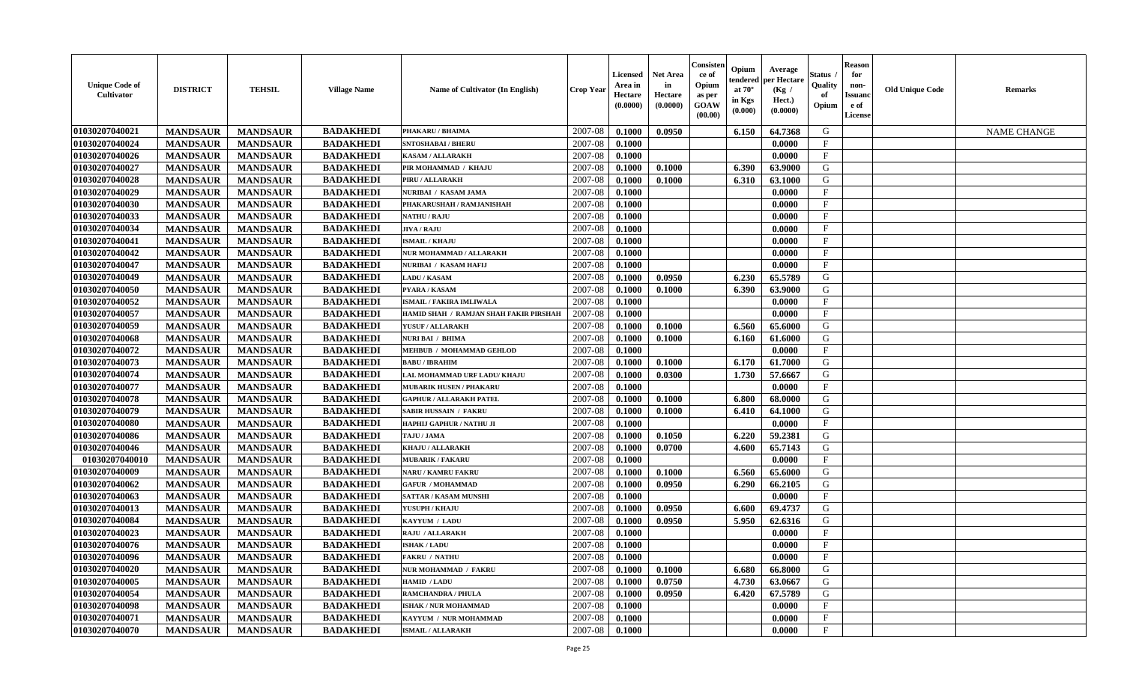| <b>Unique Code of</b><br>Cultivator | <b>DISTRICT</b> | <b>TEHSIL</b>   | <b>Village Name</b> | <b>Name of Cultivator (In English)</b> | <b>Crop Year</b> | <b>Licensed</b><br>Area in<br>Hectare<br>(0.0000) | Net Area<br>in<br>Hectare<br>(0.0000) | <b>Consisten</b><br>ce of<br>Opium<br>as per<br>GOAW<br>(00.00) | Opium<br>tendered<br>at $70^\circ$<br>in Kgs<br>(0.000) | Average<br>per Hectare<br>(Kg)<br>Hect.)<br>(0.0000) | Status<br>Quality<br>of<br>Opium | <b>Reason</b><br>for<br>non-<br>Issuano<br>e of<br><b>License</b> | <b>Old Unique Code</b> | <b>Remarks</b>     |
|-------------------------------------|-----------------|-----------------|---------------------|----------------------------------------|------------------|---------------------------------------------------|---------------------------------------|-----------------------------------------------------------------|---------------------------------------------------------|------------------------------------------------------|----------------------------------|-------------------------------------------------------------------|------------------------|--------------------|
| 01030207040021                      | <b>MANDSAUR</b> | <b>MANDSAUR</b> | <b>BADAKHEDI</b>    | PHAKARU / BHAIMA                       | 2007-08          | 0.1000                                            | 0.0950                                |                                                                 | 6.150                                                   | 64.7368                                              | G                                |                                                                   |                        | <b>NAME CHANGE</b> |
| 01030207040024                      | <b>MANDSAUR</b> | <b>MANDSAUR</b> | <b>BADAKHEDI</b>    | SNTOSHABAI / BHERU                     | 2007-08          | 0.1000                                            |                                       |                                                                 |                                                         | 0.0000                                               | $\mathbf{F}$                     |                                                                   |                        |                    |
| 01030207040026                      | <b>MANDSAUR</b> | <b>MANDSAUR</b> | <b>BADAKHEDI</b>    | <b>KASAM / ALLARAKH</b>                | 2007-08          | 0.1000                                            |                                       |                                                                 |                                                         | 0.0000                                               | $_{\rm F}$                       |                                                                   |                        |                    |
| 01030207040027                      | <b>MANDSAUR</b> | <b>MANDSAUR</b> | <b>BADAKHEDI</b>    | PIR MOHAMMAD / KHAJU                   | 2007-08          | 0.1000                                            | 0.1000                                |                                                                 | 6.390                                                   | 63.9000                                              | G                                |                                                                   |                        |                    |
| 01030207040028                      | <b>MANDSAUR</b> | <b>MANDSAUR</b> | <b>BADAKHEDI</b>    | PIRU / ALLARAKH                        | 2007-08          | 0.1000                                            | 0.1000                                |                                                                 | 6.310                                                   | 63.1000                                              | G                                |                                                                   |                        |                    |
| 01030207040029                      | <b>MANDSAUR</b> | <b>MANDSAUR</b> | <b>BADAKHEDI</b>    | NURIBAI / KASAM JAMA                   | 2007-08          | 0.1000                                            |                                       |                                                                 |                                                         | 0.0000                                               | $\mathbf F$                      |                                                                   |                        |                    |
| 01030207040030                      | <b>MANDSAUR</b> | <b>MANDSAUR</b> | <b>BADAKHEDI</b>    | PHAKARUSHAH / RAMJANISHAH              | 2007-08          | 0.1000                                            |                                       |                                                                 |                                                         | 0.0000                                               | $\mathbf{F}$                     |                                                                   |                        |                    |
| 01030207040033                      | <b>MANDSAUR</b> | <b>MANDSAUR</b> | <b>BADAKHEDI</b>    | <b>NATHU / RAJU</b>                    | 2007-08          | 0.1000                                            |                                       |                                                                 |                                                         | 0.0000                                               | $\mathbf{F}$                     |                                                                   |                        |                    |
| 01030207040034                      | <b>MANDSAUR</b> | <b>MANDSAUR</b> | <b>BADAKHEDI</b>    | JIVA / RAJU                            | 2007-08          | 0.1000                                            |                                       |                                                                 |                                                         | 0.0000                                               | $_{\rm F}$                       |                                                                   |                        |                    |
| 01030207040041                      | <b>MANDSAUR</b> | <b>MANDSAUR</b> | <b>BADAKHEDI</b>    | <b>ISMAIL / KHAJU</b>                  | 2007-08          | 0.1000                                            |                                       |                                                                 |                                                         | 0.0000                                               | $_{\rm F}$                       |                                                                   |                        |                    |
| 01030207040042                      | <b>MANDSAUR</b> | <b>MANDSAUR</b> | <b>BADAKHEDI</b>    | NUR MOHAMMAD / ALLARAKH                | 2007-08          | 0.1000                                            |                                       |                                                                 |                                                         | 0.0000                                               | $\mathbf{F}$                     |                                                                   |                        |                    |
| 01030207040047                      | <b>MANDSAUR</b> | <b>MANDSAUR</b> | <b>BADAKHEDI</b>    | NURIBAI / KASAM HAFIJ                  | 2007-08          | 0.1000                                            |                                       |                                                                 |                                                         | 0.0000                                               | $\mathbf{F}$                     |                                                                   |                        |                    |
| 01030207040049                      | <b>MANDSAUR</b> | <b>MANDSAUR</b> | <b>BADAKHEDI</b>    | <b>LADU / KASAM</b>                    | 2007-08          | 0.1000                                            | 0.0950                                |                                                                 | 6.230                                                   | 65.5789                                              | G                                |                                                                   |                        |                    |
| 01030207040050                      | <b>MANDSAUR</b> | <b>MANDSAUR</b> | <b>BADAKHEDI</b>    | PYARA / KASAM                          | 2007-08          | 0.1000                                            | 0.1000                                |                                                                 | 6.390                                                   | 63.9000                                              | G                                |                                                                   |                        |                    |
| 01030207040052                      | <b>MANDSAUR</b> | <b>MANDSAUR</b> | <b>BADAKHEDI</b>    | <b>ISMAIL / FAKIRA IMLIWALA</b>        | 2007-08          | 0.1000                                            |                                       |                                                                 |                                                         | 0.0000                                               | $\mathbf{F}$                     |                                                                   |                        |                    |
| 01030207040057                      | <b>MANDSAUR</b> | <b>MANDSAUR</b> | <b>BADAKHEDI</b>    | HAMID SHAH / RAMJAN SHAH FAKIR PIRSHAH | 2007-08          | 0.1000                                            |                                       |                                                                 |                                                         | 0.0000                                               | $\mathbf{F}$                     |                                                                   |                        |                    |
| 01030207040059                      | <b>MANDSAUR</b> | <b>MANDSAUR</b> | <b>BADAKHEDI</b>    | YUSUF / ALLARAKH                       | 2007-08          | 0.1000                                            | 0.1000                                |                                                                 | 6.560                                                   | 65.6000                                              | G                                |                                                                   |                        |                    |
| 01030207040068                      | <b>MANDSAUR</b> | <b>MANDSAUR</b> | <b>BADAKHEDI</b>    | <b>NURI BAI / BHIMA</b>                | 2007-08          | 0.1000                                            | 0.1000                                |                                                                 | 6.160                                                   | 61.6000                                              | G                                |                                                                   |                        |                    |
| 01030207040072                      | <b>MANDSAUR</b> | <b>MANDSAUR</b> | <b>BADAKHEDI</b>    | MEHBUB / MOHAMMAD GEHLOD               | 2007-08          | 0.1000                                            |                                       |                                                                 |                                                         | 0.0000                                               | $\mathbf{F}$                     |                                                                   |                        |                    |
| 01030207040073                      | <b>MANDSAUR</b> | <b>MANDSAUR</b> | <b>BADAKHEDI</b>    | <b>BABU / IBRAHIM</b>                  | 2007-08          | 0.1000                                            | 0.1000                                |                                                                 | 6.170                                                   | 61.7000                                              | G                                |                                                                   |                        |                    |
| 01030207040074                      | <b>MANDSAUR</b> | <b>MANDSAUR</b> | <b>BADAKHEDI</b>    | LAL MOHAMMAD URF LADU/ KHAJU           | 2007-08          | 0.1000                                            | 0.0300                                |                                                                 | 1.730                                                   | 57.6667                                              | G                                |                                                                   |                        |                    |
| 01030207040077                      | <b>MANDSAUR</b> | <b>MANDSAUR</b> | <b>BADAKHEDI</b>    | <b>MUBARIK HUSEN / PHAKARU</b>         | 2007-08          | 0.1000                                            |                                       |                                                                 |                                                         | 0.0000                                               | $_{\rm F}$                       |                                                                   |                        |                    |
| 01030207040078                      | <b>MANDSAUR</b> | <b>MANDSAUR</b> | <b>BADAKHEDI</b>    | <b>GAPHUR / ALLARAKH PATEL</b>         | 2007-08          | 0.1000                                            | 0.1000                                |                                                                 | 6.800                                                   | 68.0000                                              | G                                |                                                                   |                        |                    |
| 01030207040079                      | <b>MANDSAUR</b> | <b>MANDSAUR</b> | <b>BADAKHEDI</b>    | <b>SABIR HUSSAIN / FAKRU</b>           | 2007-08          | 0.1000                                            | 0.1000                                |                                                                 | 6.410                                                   | 64.1000                                              | G                                |                                                                   |                        |                    |
| 01030207040080                      | <b>MANDSAUR</b> | <b>MANDSAUR</b> | <b>BADAKHEDI</b>    | HAPHIJ GAPHUR / NATHU JI               | 2007-08          | 0.1000                                            |                                       |                                                                 |                                                         | 0.0000                                               | $_{\rm F}$                       |                                                                   |                        |                    |
| 01030207040086                      | <b>MANDSAUR</b> | <b>MANDSAUR</b> | <b>BADAKHEDI</b>    | TAJU / JAMA                            | 2007-08          | 0.1000                                            | 0.1050                                |                                                                 | 6.220                                                   | 59.2381                                              | G                                |                                                                   |                        |                    |
| 01030207040046                      | <b>MANDSAUR</b> | <b>MANDSAUR</b> | <b>BADAKHEDI</b>    | KHAJU / ALLARAKH                       | 2007-08          | 0.1000                                            | 0.0700                                |                                                                 | 4.600                                                   | 65.7143                                              | G                                |                                                                   |                        |                    |
| 01030207040010                      | <b>MANDSAUR</b> | <b>MANDSAUR</b> | <b>BADAKHEDI</b>    | <b>MUBARIK / FAKARU</b>                | 2007-08          | 0.1000                                            |                                       |                                                                 |                                                         | 0.0000                                               | $\mathbf{F}$                     |                                                                   |                        |                    |
| 01030207040009                      | <b>MANDSAUR</b> | <b>MANDSAUR</b> | <b>BADAKHEDI</b>    | <b>NARU / KAMRU FAKRU</b>              | 2007-08          | 0.1000                                            | 0.1000                                |                                                                 | 6.560                                                   | 65.6000                                              | G                                |                                                                   |                        |                    |
| 01030207040062                      | <b>MANDSAUR</b> | <b>MANDSAUR</b> | <b>BADAKHEDI</b>    | <b>GAFUR / MOHAMMAD</b>                | 2007-08          | 0.1000                                            | 0.0950                                |                                                                 | 6.290                                                   | 66.2105                                              | G                                |                                                                   |                        |                    |
| 01030207040063                      | <b>MANDSAUR</b> | <b>MANDSAUR</b> | <b>BADAKHEDI</b>    | <b>SATTAR / KASAM MUNSHI</b>           | 2007-08          | 0.1000                                            |                                       |                                                                 |                                                         | 0.0000                                               | $_{\rm F}$                       |                                                                   |                        |                    |
| 01030207040013                      | <b>MANDSAUR</b> | <b>MANDSAUR</b> | <b>BADAKHEDI</b>    | YUSUPH / KHAJU                         | 2007-08          | 0.1000                                            | 0.0950                                |                                                                 | 6.600                                                   | 69.4737                                              | G                                |                                                                   |                        |                    |
| 01030207040084                      | <b>MANDSAUR</b> | <b>MANDSAUR</b> | <b>BADAKHEDI</b>    | KAYYUM / LADU                          | 2007-08          | 0.1000                                            | 0.0950                                |                                                                 | 5.950                                                   | 62.6316                                              | G                                |                                                                   |                        |                    |
| 01030207040023                      | <b>MANDSAUR</b> | <b>MANDSAUR</b> | <b>BADAKHEDI</b>    | <b>RAJU / ALLARAKH</b>                 | 2007-08          | 0.1000                                            |                                       |                                                                 |                                                         | 0.0000                                               | $\mathbf{F}$                     |                                                                   |                        |                    |
| 01030207040076                      | <b>MANDSAUR</b> | <b>MANDSAUR</b> | <b>BADAKHEDI</b>    | <b>ISHAK / LADU</b>                    | 2007-08          | 0.1000                                            |                                       |                                                                 |                                                         | 0.0000                                               | F                                |                                                                   |                        |                    |
| 01030207040096                      | <b>MANDSAUR</b> | MANDSAUR        | <b>BADAKHEDI</b>    | <b>FAKRU / NATHU</b>                   | 2007-08 0.1000   |                                                   |                                       |                                                                 |                                                         | 0.0000                                               | F                                |                                                                   |                        |                    |
| 01030207040020                      | <b>MANDSAUR</b> | <b>MANDSAUR</b> | <b>BADAKHEDI</b>    | NUR MOHAMMAD / FAKRU                   | 2007-08          | 0.1000                                            | 0.1000                                |                                                                 | 6.680                                                   | 66.8000                                              | G                                |                                                                   |                        |                    |
| 01030207040005                      | <b>MANDSAUR</b> | <b>MANDSAUR</b> | <b>BADAKHEDI</b>    | <b>HAMID / LADU</b>                    | 2007-08          | 0.1000                                            | 0.0750                                |                                                                 | 4.730                                                   | 63.0667                                              | G                                |                                                                   |                        |                    |
| 01030207040054                      | <b>MANDSAUR</b> | <b>MANDSAUR</b> | <b>BADAKHEDI</b>    | <b>RAMCHANDRA / PHULA</b>              | 2007-08          | 0.1000                                            | 0.0950                                |                                                                 | 6.420                                                   | 67.5789                                              | G                                |                                                                   |                        |                    |
| 01030207040098                      | <b>MANDSAUR</b> | <b>MANDSAUR</b> | <b>BADAKHEDI</b>    | <b>ISHAK / NUR MOHAMMAD</b>            | 2007-08          | 0.1000                                            |                                       |                                                                 |                                                         | 0.0000                                               | $\mathbf{F}$                     |                                                                   |                        |                    |
| 01030207040071                      | <b>MANDSAUR</b> | <b>MANDSAUR</b> | <b>BADAKHEDI</b>    | KAYYUM / NUR MOHAMMAD                  | 2007-08          | 0.1000                                            |                                       |                                                                 |                                                         | 0.0000                                               | $\mathbf{F}$                     |                                                                   |                        |                    |
| 01030207040070                      | <b>MANDSAUR</b> | <b>MANDSAUR</b> | <b>BADAKHEDI</b>    | <b>ISMAIL / ALLARAKH</b>               | 2007-08          | 0.1000                                            |                                       |                                                                 |                                                         | 0.0000                                               | $\mathbf{F}$                     |                                                                   |                        |                    |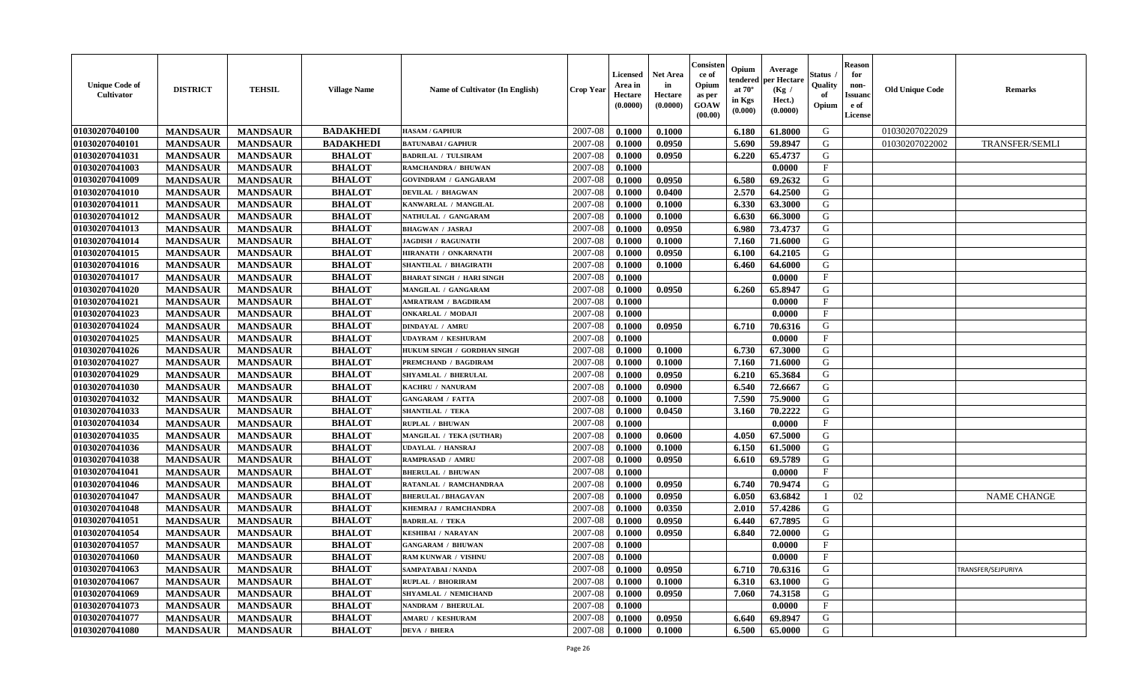| <b>Unique Code of</b><br><b>Cultivator</b> | <b>DISTRICT</b> | <b>TEHSIL</b>   | <b>Village Name</b> | Name of Cultivator (In English)  | <b>Crop Year</b> | <b>Licensed</b><br>Area in<br>Hectare<br>(0.0000) | <b>Net Area</b><br>in<br>Hectare<br>(0.0000) | Consisteı<br>ce of<br>Opium<br>as per<br><b>GOAW</b><br>(00.00) | Opium<br>endered<br>at $70^\circ$<br>in Kgs<br>(0.000) | Average<br>per Hectare<br>(Kg /<br>Hect.)<br>(0.0000) | Status<br>Quality<br>of<br>Opium | <b>Reason</b><br>for<br>non-<br>Issuan<br>e of<br>License | <b>Old Unique Code</b> | <b>Remarks</b>        |
|--------------------------------------------|-----------------|-----------------|---------------------|----------------------------------|------------------|---------------------------------------------------|----------------------------------------------|-----------------------------------------------------------------|--------------------------------------------------------|-------------------------------------------------------|----------------------------------|-----------------------------------------------------------|------------------------|-----------------------|
| 01030207040100                             | <b>MANDSAUR</b> | <b>MANDSAUR</b> | <b>BADAKHEDI</b>    | <b>HASAM / GAPHUR</b>            | 2007-08          | 0.1000                                            | 0.1000                                       |                                                                 | 6.180                                                  | 61.8000                                               | G                                |                                                           | 01030207022029         |                       |
| 01030207040101                             | <b>MANDSAUR</b> | <b>MANDSAUR</b> | <b>BADAKHEDI</b>    | <b>BATUNABAI/GAPHUR</b>          | 2007-08          | 0.1000                                            | 0.0950                                       |                                                                 | 5.690                                                  | 59.8947                                               | G                                |                                                           | 01030207022002         | <b>TRANSFER/SEMLI</b> |
| 01030207041031                             | <b>MANDSAUR</b> | <b>MANDSAUR</b> | <b>BHALOT</b>       | <b>BADRILAL / TULSIRAM</b>       | 2007-08          | 0.1000                                            | 0.0950                                       |                                                                 | 6.220                                                  | 65,4737                                               | G                                |                                                           |                        |                       |
| 01030207041003                             | <b>MANDSAUR</b> | <b>MANDSAUR</b> | <b>BHALOT</b>       | RAMCHANDRA / BHUWAN              | 2007-08          | 0.1000                                            |                                              |                                                                 |                                                        | 0.0000                                                | $\mathbf{F}$                     |                                                           |                        |                       |
| 01030207041009                             | <b>MANDSAUR</b> | <b>MANDSAUR</b> | <b>BHALOT</b>       | <b>GOVINDRAM / GANGARAM</b>      | 2007-08          | 0.1000                                            | 0.0950                                       |                                                                 | 6.580                                                  | 69.2632                                               | G                                |                                                           |                        |                       |
| 01030207041010                             | <b>MANDSAUR</b> | <b>MANDSAUR</b> | <b>BHALOT</b>       | <b>DEVILAL / BHAGWAN</b>         | 2007-08          | 0.1000                                            | 0.0400                                       |                                                                 | 2.570                                                  | 64.2500                                               | G                                |                                                           |                        |                       |
| 01030207041011                             | <b>MANDSAUR</b> | <b>MANDSAUR</b> | <b>BHALOT</b>       | KANWARLAL / MANGILAL             | 2007-08          | 0.1000                                            | 0.1000                                       |                                                                 | 6.330                                                  | 63.3000                                               | G                                |                                                           |                        |                       |
| 01030207041012                             | <b>MANDSAUR</b> | <b>MANDSAUR</b> | <b>BHALOT</b>       | NATHULAL / GANGARAM              | 2007-08          | 0.1000                                            | 0.1000                                       |                                                                 | 6.630                                                  | 66.3000                                               | G                                |                                                           |                        |                       |
| 01030207041013                             | <b>MANDSAUR</b> | <b>MANDSAUR</b> | <b>BHALOT</b>       | <b>BHAGWAN / JASRAJ</b>          | 2007-08          | 0.1000                                            | 0.0950                                       |                                                                 | 6.980                                                  | 73.4737                                               | G                                |                                                           |                        |                       |
| 01030207041014                             | <b>MANDSAUR</b> | <b>MANDSAUR</b> | <b>BHALOT</b>       | <b>JAGDISH / RAGUNATH</b>        | 2007-08          | 0.1000                                            | 0.1000                                       |                                                                 | 7.160                                                  | 71.6000                                               | G                                |                                                           |                        |                       |
| 01030207041015                             | <b>MANDSAUR</b> | <b>MANDSAUR</b> | <b>BHALOT</b>       | HIRANATH / ONKARNATH             | 2007-08          | 0.1000                                            | 0.0950                                       |                                                                 | 6.100                                                  | 64.2105                                               | G                                |                                                           |                        |                       |
| 01030207041016                             | <b>MANDSAUR</b> | <b>MANDSAUR</b> | <b>BHALOT</b>       | <b>SHANTILAL / BHAGIRATH</b>     | 2007-08          | 0.1000                                            | 0.1000                                       |                                                                 | 6.460                                                  | 64.6000                                               | G                                |                                                           |                        |                       |
| 01030207041017                             | <b>MANDSAUR</b> | <b>MANDSAUR</b> | <b>BHALOT</b>       | <b>BHARAT SINGH / HARI SINGH</b> | 2007-08          | 0.1000                                            |                                              |                                                                 |                                                        | 0.0000                                                | $\mathbf{F}$                     |                                                           |                        |                       |
| 01030207041020                             | <b>MANDSAUR</b> | <b>MANDSAUR</b> | <b>BHALOT</b>       | MANGILAL / GANGARAM              | 2007-08          | 0.1000                                            | 0.0950                                       |                                                                 | 6.260                                                  | 65.8947                                               | G                                |                                                           |                        |                       |
| 01030207041021                             | <b>MANDSAUR</b> | <b>MANDSAUR</b> | <b>BHALOT</b>       | AMRATRAM / BAGDIRAM              | 2007-08          | 0.1000                                            |                                              |                                                                 |                                                        | 0.0000                                                | $\mathbf{F}$                     |                                                           |                        |                       |
| 01030207041023                             | <b>MANDSAUR</b> | <b>MANDSAUR</b> | <b>BHALOT</b>       | <b>ONKARLAL / MODAJI</b>         | 2007-08          | 0.1000                                            |                                              |                                                                 |                                                        | 0.0000                                                | $_{\rm F}$                       |                                                           |                        |                       |
| 01030207041024                             | <b>MANDSAUR</b> | <b>MANDSAUR</b> | <b>BHALOT</b>       | <b>DINDAYAL / AMRU</b>           | 2007-08          | 0.1000                                            | 0.0950                                       |                                                                 | 6.710                                                  | 70.6316                                               | G                                |                                                           |                        |                       |
| 01030207041025                             | <b>MANDSAUR</b> | <b>MANDSAUR</b> | <b>BHALOT</b>       | <b>UDAYRAM / KESHURAM</b>        | 2007-08          | 0.1000                                            |                                              |                                                                 |                                                        | 0.0000                                                | $\mathbf{F}$                     |                                                           |                        |                       |
| 01030207041026                             | <b>MANDSAUR</b> | <b>MANDSAUR</b> | <b>BHALOT</b>       | HUKUM SINGH / GORDHAN SINGH      | 2007-08          | 0.1000                                            | 0.1000                                       |                                                                 | 6.730                                                  | 67.3000                                               | G                                |                                                           |                        |                       |
| 01030207041027                             | <b>MANDSAUR</b> | <b>MANDSAUR</b> | <b>BHALOT</b>       | PREMCHAND / BAGDIRAM             | 2007-08          | 0.1000                                            | 0.1000                                       |                                                                 | 7.160                                                  | 71.6000                                               | G                                |                                                           |                        |                       |
| 01030207041029                             | <b>MANDSAUR</b> | <b>MANDSAUR</b> | <b>BHALOT</b>       | SHYAMLAL / BHERULAL              | 2007-08          | 0.1000                                            | 0.0950                                       |                                                                 | 6.210                                                  | 65.3684                                               | G                                |                                                           |                        |                       |
| 01030207041030                             | <b>MANDSAUR</b> | <b>MANDSAUR</b> | <b>BHALOT</b>       | KACHRU / NANURAM                 | 2007-08          | 0.1000                                            | 0.0900                                       |                                                                 | 6.540                                                  | 72.6667                                               | G                                |                                                           |                        |                       |
| 01030207041032                             | <b>MANDSAUR</b> | <b>MANDSAUR</b> | <b>BHALOT</b>       | <b>GANGARAM / FATTA</b>          | 2007-08          | 0.1000                                            | 0.1000                                       |                                                                 | 7.590                                                  | 75.9000                                               | G                                |                                                           |                        |                       |
| 01030207041033                             | <b>MANDSAUR</b> | <b>MANDSAUR</b> | <b>BHALOT</b>       | <b>SHANTILAL / TEKA</b>          | 2007-08          | 0.1000                                            | 0.0450                                       |                                                                 | 3.160                                                  | 70,2222                                               | G                                |                                                           |                        |                       |
| 01030207041034                             | <b>MANDSAUR</b> | <b>MANDSAUR</b> | <b>BHALOT</b>       | <b>RUPLAL / BHUWAN</b>           | 2007-08          | 0.1000                                            |                                              |                                                                 |                                                        | 0.0000                                                | $\mathbf{F}$                     |                                                           |                        |                       |
| 01030207041035                             | <b>MANDSAUR</b> | <b>MANDSAUR</b> | <b>BHALOT</b>       | MANGILAL / TEKA (SUTHAR)         | 2007-08          | 0.1000                                            | 0.0600                                       |                                                                 | 4.050                                                  | 67.5000                                               | G                                |                                                           |                        |                       |
| 01030207041036                             | <b>MANDSAUR</b> | <b>MANDSAUR</b> | <b>BHALOT</b>       | UDAYLAL / HANSRAJ                | 2007-08          | 0.1000                                            | 0.1000                                       |                                                                 | 6.150                                                  | 61.5000                                               | G                                |                                                           |                        |                       |
| 01030207041038                             | <b>MANDSAUR</b> | <b>MANDSAUR</b> | <b>BHALOT</b>       | RAMPRASAD / AMRU                 | 2007-08          | 0.1000                                            | 0.0950                                       |                                                                 | 6.610                                                  | 69.5789                                               | G                                |                                                           |                        |                       |
| 01030207041041                             | <b>MANDSAUR</b> | <b>MANDSAUR</b> | <b>BHALOT</b>       | <b>BHERULAL / BHUWAN</b>         | 2007-08          | 0.1000                                            |                                              |                                                                 |                                                        | 0.0000                                                | $\mathbf{F}$                     |                                                           |                        |                       |
| 01030207041046                             | <b>MANDSAUR</b> | <b>MANDSAUR</b> | <b>BHALOT</b>       | RATANLAL / RAMCHANDRAA           | 2007-08          | 0.1000                                            | 0.0950                                       |                                                                 | 6.740                                                  | 70.9474                                               | G                                |                                                           |                        |                       |
| 01030207041047                             | <b>MANDSAUR</b> | <b>MANDSAUR</b> | <b>BHALOT</b>       | <b>BHERULAL / BHAGAVAN</b>       | 2007-08          | 0.1000                                            | 0.0950                                       |                                                                 | 6.050                                                  | 63.6842                                               | - 1                              | 02                                                        |                        | <b>NAME CHANGE</b>    |
| 01030207041048                             | <b>MANDSAUR</b> | <b>MANDSAUR</b> | <b>BHALOT</b>       | KHEMRAJ / RAMCHANDRA             | 2007-08          | 0.1000                                            | 0.0350                                       |                                                                 | 2.010                                                  | 57.4286                                               | G                                |                                                           |                        |                       |
| 01030207041051                             | <b>MANDSAUR</b> | <b>MANDSAUR</b> | <b>BHALOT</b>       | <b>BADRILAL / TEKA</b>           | 2007-08          | 0.1000                                            | 0.0950                                       |                                                                 | 6.440                                                  | 67.7895                                               | G                                |                                                           |                        |                       |
| 01030207041054                             | <b>MANDSAUR</b> | <b>MANDSAUR</b> | <b>BHALOT</b>       | <b>KESHIBAI / NARAYAN</b>        | 2007-08          | 0.1000                                            | 0.0950                                       |                                                                 | 6.840                                                  | 72.0000                                               | G                                |                                                           |                        |                       |
| 01030207041057                             | <b>MANDSAUR</b> | <b>MANDSAUR</b> | <b>BHALOT</b>       | <b>GANGARAM / BHUWAN</b>         | 2007-08          | 0.1000                                            |                                              |                                                                 |                                                        | 0.0000                                                | $\mathbf{F}$                     |                                                           |                        |                       |
| 01030207041060                             | <b>MANDSAUR</b> | <b>MANDSAUR</b> | <b>BHALOT</b>       | <b>RAM KUNWAR / VISHNU</b>       | $2007 - 08$      | 0.1000                                            |                                              |                                                                 |                                                        | 0.0000                                                | F                                |                                                           |                        |                       |
| 01030207041063                             | <b>MANDSAUR</b> | <b>MANDSAUR</b> | <b>BHALOT</b>       | SAMPATABAI / NANDA               | 2007-08          | 0.1000                                            | 0.0950                                       |                                                                 | 6.710                                                  | 70.6316                                               | G                                |                                                           |                        | TRANSFER/SEJPURIYA    |
| 01030207041067                             | <b>MANDSAUR</b> | <b>MANDSAUR</b> | <b>BHALOT</b>       | <b>RUPLAL / BHORIRAM</b>         | 2007-08          | 0.1000                                            | 0.1000                                       |                                                                 | 6.310                                                  | 63.1000                                               | G                                |                                                           |                        |                       |
| 01030207041069                             | <b>MANDSAUR</b> | <b>MANDSAUR</b> | <b>BHALOT</b>       | SHYAMLAL / NEMICHAND             | 2007-08          | 0.1000                                            | 0.0950                                       |                                                                 | 7.060                                                  | 74.3158                                               | G                                |                                                           |                        |                       |
| 01030207041073                             | <b>MANDSAUR</b> | <b>MANDSAUR</b> | <b>BHALOT</b>       | <b>NANDRAM / BHERULAL</b>        | 2007-08          | 0.1000                                            |                                              |                                                                 |                                                        | 0.0000                                                | $\mathbf{F}$                     |                                                           |                        |                       |
| 01030207041077                             | <b>MANDSAUR</b> | <b>MANDSAUR</b> | <b>BHALOT</b>       | <b>AMARU / KESHURAM</b>          | 2007-08          | 0.1000                                            | 0.0950                                       |                                                                 | 6.640                                                  | 69.8947                                               | G                                |                                                           |                        |                       |
| 01030207041080                             | <b>MANDSAUR</b> | <b>MANDSAUR</b> | <b>BHALOT</b>       | <b>DEVA / BHERA</b>              | 2007-08          | 0.1000                                            | 0.1000                                       |                                                                 | 6.500                                                  | 65.0000                                               | G                                |                                                           |                        |                       |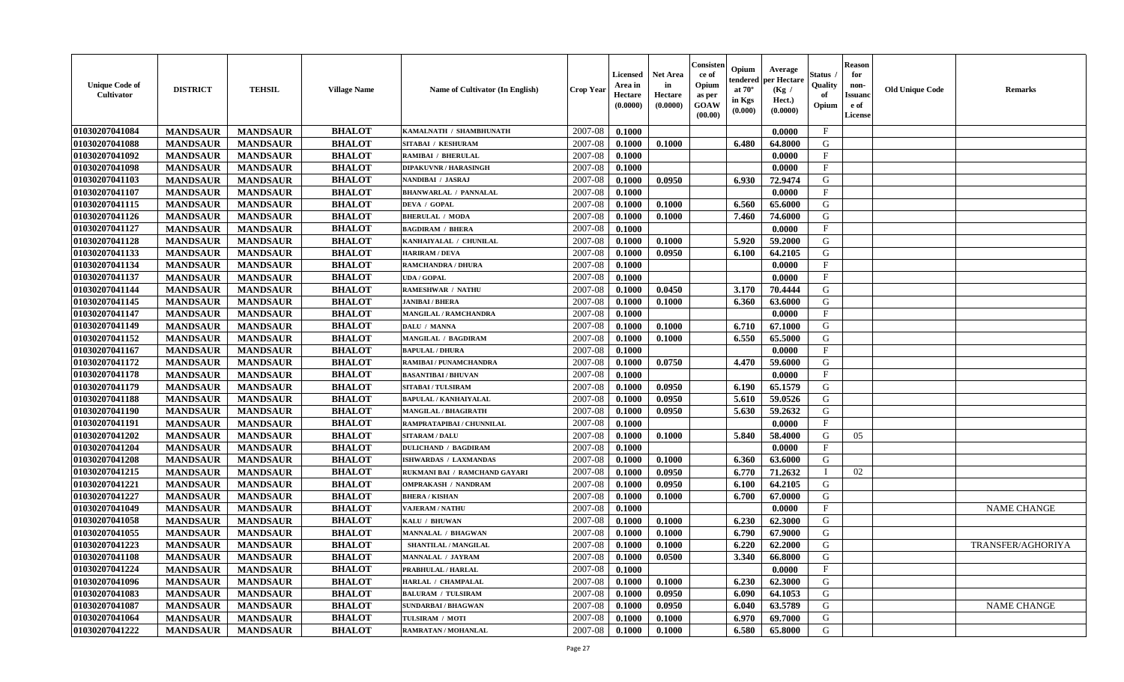| <b>Unique Code of</b><br><b>Cultivator</b> | <b>DISTRICT</b> | <b>TEHSIL</b>   | <b>Village Name</b> | Name of Cultivator (In English) | <b>Crop Year</b> | <b>Licensed</b><br>Area in<br>Hectare<br>(0.0000) | <b>Net Area</b><br>in<br>Hectare<br>(0.0000) | Consister<br>ce of<br>Opium<br>as per<br><b>GOAW</b><br>(00.00) | Opium<br>endered<br>at $70^\circ$<br>in Kgs<br>(0.000) | Average<br>per Hectare<br>(Kg /<br>Hect.)<br>(0.0000) | Status<br>Quality<br>of<br>Opium | <b>Reason</b><br>for<br>non-<br><b>Issuand</b><br>e of<br><b>License</b> | <b>Old Unique Code</b> | <b>Remarks</b>     |
|--------------------------------------------|-----------------|-----------------|---------------------|---------------------------------|------------------|---------------------------------------------------|----------------------------------------------|-----------------------------------------------------------------|--------------------------------------------------------|-------------------------------------------------------|----------------------------------|--------------------------------------------------------------------------|------------------------|--------------------|
| 01030207041084                             | <b>MANDSAUR</b> | <b>MANDSAUR</b> | <b>BHALOT</b>       | KAMALNATH / SHAMBHUNATH         | 2007-08          | 0.1000                                            |                                              |                                                                 |                                                        | 0.0000                                                | $\mathbf{F}$                     |                                                                          |                        |                    |
| 01030207041088                             | <b>MANDSAUR</b> | <b>MANDSAUR</b> | <b>BHALOT</b>       | SITABAI / KESHURAM              | 2007-08          | 0.1000                                            | 0.1000                                       |                                                                 | 6.480                                                  | 64.8000                                               | G                                |                                                                          |                        |                    |
| 01030207041092                             | <b>MANDSAUR</b> | <b>MANDSAUR</b> | <b>BHALOT</b>       | <b>RAMIBAI / BHERULAL</b>       | 2007-08          | 0.1000                                            |                                              |                                                                 |                                                        | 0.0000                                                | $\mathbf{F}$                     |                                                                          |                        |                    |
| 01030207041098                             | <b>MANDSAUR</b> | <b>MANDSAUR</b> | <b>BHALOT</b>       | <b>DIPAKUVNR / HARASINGH</b>    | 2007-08          | 0.1000                                            |                                              |                                                                 |                                                        | 0.0000                                                | $\mathbf{F}$                     |                                                                          |                        |                    |
| 01030207041103                             | <b>MANDSAUR</b> | <b>MANDSAUR</b> | <b>BHALOT</b>       | NANDIBAI / JASRAJ               | 2007-08          | 0.1000                                            | 0.0950                                       |                                                                 | 6.930                                                  | 72.9474                                               | G                                |                                                                          |                        |                    |
| 01030207041107                             | <b>MANDSAUR</b> | <b>MANDSAUR</b> | <b>BHALOT</b>       | <b>BHANWARLAL / PANNALAL</b>    | 2007-08          | 0.1000                                            |                                              |                                                                 |                                                        | 0.0000                                                | $_{\rm F}$                       |                                                                          |                        |                    |
| 01030207041115                             | <b>MANDSAUR</b> | <b>MANDSAUR</b> | <b>BHALOT</b>       | <b>DEVA / GOPAL</b>             | 2007-08          | 0.1000                                            | 0.1000                                       |                                                                 | 6.560                                                  | 65.6000                                               | G                                |                                                                          |                        |                    |
| 01030207041126                             | <b>MANDSAUR</b> | <b>MANDSAUR</b> | <b>BHALOT</b>       | <b>BHERULAL / MODA</b>          | 2007-08          | 0.1000                                            | 0.1000                                       |                                                                 | 7.460                                                  | 74.6000                                               | G                                |                                                                          |                        |                    |
| 01030207041127                             | <b>MANDSAUR</b> | <b>MANDSAUR</b> | <b>BHALOT</b>       | <b>BAGDIRAM / BHERA</b>         | 2007-08          | 0.1000                                            |                                              |                                                                 |                                                        | 0.0000                                                | $_{\rm F}$                       |                                                                          |                        |                    |
| 01030207041128                             | <b>MANDSAUR</b> | <b>MANDSAUR</b> | <b>BHALOT</b>       | KANHAIYALAL / CHUNILAL          | 2007-08          | 0.1000                                            | 0.1000                                       |                                                                 | 5.920                                                  | 59.2000                                               | G                                |                                                                          |                        |                    |
| 01030207041133                             | <b>MANDSAUR</b> | <b>MANDSAUR</b> | <b>BHALOT</b>       | <b>HARIRAM / DEVA</b>           | 2007-08          | 0.1000                                            | 0.0950                                       |                                                                 | 6.100                                                  | 64.2105                                               | G                                |                                                                          |                        |                    |
| 01030207041134                             | <b>MANDSAUR</b> | <b>MANDSAUR</b> | <b>BHALOT</b>       | <b>RAMCHANDRA / DHURA</b>       | 2007-08          | 0.1000                                            |                                              |                                                                 |                                                        | 0.0000                                                | $\mathbf{F}$                     |                                                                          |                        |                    |
| 01030207041137                             | <b>MANDSAUR</b> | <b>MANDSAUR</b> | <b>BHALOT</b>       | <b>UDA / GOPAL</b>              | 2007-08          | 0.1000                                            |                                              |                                                                 |                                                        | 0.0000                                                | $\mathbf{F}$                     |                                                                          |                        |                    |
| 01030207041144                             | <b>MANDSAUR</b> | <b>MANDSAUR</b> | <b>BHALOT</b>       | <b>RAMESHWAR / NATHU</b>        | 2007-08          | 0.1000                                            | 0.0450                                       |                                                                 | 3.170                                                  | 70.4444                                               | G                                |                                                                          |                        |                    |
| 01030207041145                             | <b>MANDSAUR</b> | <b>MANDSAUR</b> | <b>BHALOT</b>       | <b>JANIBAI / BHERA</b>          | 2007-08          | 0.1000                                            | 0.1000                                       |                                                                 | 6.360                                                  | 63.6000                                               | G                                |                                                                          |                        |                    |
| 01030207041147                             | <b>MANDSAUR</b> | <b>MANDSAUR</b> | <b>BHALOT</b>       | <b>MANGILAL / RAMCHANDRA</b>    | 2007-08          | 0.1000                                            |                                              |                                                                 |                                                        | 0.0000                                                | $\mathbf{F}$                     |                                                                          |                        |                    |
| 01030207041149                             | <b>MANDSAUR</b> | <b>MANDSAUR</b> | <b>BHALOT</b>       | DALU / MANNA                    | 2007-08          | 0.1000                                            | 0.1000                                       |                                                                 | 6.710                                                  | 67.1000                                               | G                                |                                                                          |                        |                    |
| 01030207041152                             | <b>MANDSAUR</b> | <b>MANDSAUR</b> | <b>BHALOT</b>       | <b>MANGILAL / BAGDIRAM</b>      | 2007-08          | 0.1000                                            | 0.1000                                       |                                                                 | 6.550                                                  | 65.5000                                               | G                                |                                                                          |                        |                    |
| 01030207041167                             | <b>MANDSAUR</b> | <b>MANDSAUR</b> | <b>BHALOT</b>       | <b>BAPULAL / DHURA</b>          | 2007-08          | 0.1000                                            |                                              |                                                                 |                                                        | 0.0000                                                | F                                |                                                                          |                        |                    |
| 01030207041172                             | <b>MANDSAUR</b> | <b>MANDSAUR</b> | <b>BHALOT</b>       | RAMIBAI / PUNAMCHANDRA          | 2007-08          | 0.1000                                            | 0.0750                                       |                                                                 | 4.470                                                  | 59.6000                                               | G                                |                                                                          |                        |                    |
| 01030207041178                             | <b>MANDSAUR</b> | <b>MANDSAUR</b> | <b>BHALOT</b>       | <b>BASANTIBAI/BHUVAN</b>        | 2007-08          | 0.1000                                            |                                              |                                                                 |                                                        | 0.0000                                                | $\mathbf{F}$                     |                                                                          |                        |                    |
| 01030207041179                             | <b>MANDSAUR</b> | <b>MANDSAUR</b> | <b>BHALOT</b>       | <b>SITABAI/TULSIRAM</b>         | 2007-08          | 0.1000                                            | 0.0950                                       |                                                                 | 6.190                                                  | 65.1579                                               | G                                |                                                                          |                        |                    |
| 01030207041188                             | <b>MANDSAUR</b> | <b>MANDSAUR</b> | <b>BHALOT</b>       | <b>BAPULAL / KANHAIYALAL</b>    | 2007-08          | 0.1000                                            | 0.0950                                       |                                                                 | 5.610                                                  | 59.0526                                               | G                                |                                                                          |                        |                    |
| 01030207041190                             | <b>MANDSAUR</b> | <b>MANDSAUR</b> | <b>BHALOT</b>       | <b>MANGILAL / BHAGIRATH</b>     | 2007-08          | 0.1000                                            | 0.0950                                       |                                                                 | 5.630                                                  | 59.2632                                               | G                                |                                                                          |                        |                    |
| 01030207041191                             | <b>MANDSAUR</b> | <b>MANDSAUR</b> | <b>BHALOT</b>       | RAMPRATAPIBAI / CHUNNILAL       | 2007-08          | 0.1000                                            |                                              |                                                                 |                                                        | 0.0000                                                | $\rm F$                          |                                                                          |                        |                    |
| 01030207041202                             | <b>MANDSAUR</b> | <b>MANDSAUR</b> | <b>BHALOT</b>       | <b>SITARAM / DALU</b>           | 2007-08          | 0.1000                                            | 0.1000                                       |                                                                 | 5.840                                                  | 58.4000                                               | G                                | 05                                                                       |                        |                    |
| 01030207041204                             | <b>MANDSAUR</b> | <b>MANDSAUR</b> | <b>BHALOT</b>       | <b>DULICHAND / BAGDIRAM</b>     | 2007-08          | 0.1000                                            |                                              |                                                                 |                                                        | 0.0000                                                | $\mathbf{F}$                     |                                                                          |                        |                    |
| 01030207041208                             | <b>MANDSAUR</b> | <b>MANDSAUR</b> | <b>BHALOT</b>       | ISHWARDAS / LAXMANDAS           | 2007-08          | 0.1000                                            | 0.1000                                       |                                                                 | 6.360                                                  | 63.6000                                               | G                                |                                                                          |                        |                    |
| 01030207041215                             | <b>MANDSAUR</b> | <b>MANDSAUR</b> | <b>BHALOT</b>       | RUKMANI BAI / RAMCHAND GAYARI   | 2007-08          | 0.1000                                            | 0.0950                                       |                                                                 | 6.770                                                  | 71.2632                                               | $\mathbf{I}$                     | 02                                                                       |                        |                    |
| 01030207041221                             | <b>MANDSAUR</b> | <b>MANDSAUR</b> | <b>BHALOT</b>       | <b>OMPRAKASH / NANDRAM</b>      | 2007-08          | 0.1000                                            | 0.0950                                       |                                                                 | 6.100                                                  | 64.2105                                               | G                                |                                                                          |                        |                    |
| 01030207041227                             | <b>MANDSAUR</b> | <b>MANDSAUR</b> | <b>BHALOT</b>       | <b>BHERA / KISHAN</b>           | 2007-08          | 0.1000                                            | 0.1000                                       |                                                                 | 6.700                                                  | 67.0000                                               | G                                |                                                                          |                        |                    |
| 01030207041049                             | <b>MANDSAUR</b> | <b>MANDSAUR</b> | <b>BHALOT</b>       | <b>VAJERAM / NATHU</b>          | 2007-08          | 0.1000                                            |                                              |                                                                 |                                                        | 0.0000                                                | $\mathbf F$                      |                                                                          |                        | <b>NAME CHANGE</b> |
| 01030207041058                             | <b>MANDSAUR</b> | <b>MANDSAUR</b> | <b>BHALOT</b>       | KALU / BHUWAN                   | 2007-08          | 0.1000                                            | 0.1000                                       |                                                                 | 6.230                                                  | 62.3000                                               | G                                |                                                                          |                        |                    |
| 01030207041055                             | <b>MANDSAUR</b> | <b>MANDSAUR</b> | <b>BHALOT</b>       | <b>MANNALAL / BHAGWAN</b>       | 2007-08          | 0.1000                                            | 0.1000                                       |                                                                 | 6.790                                                  | 67.9000                                               | G                                |                                                                          |                        |                    |
| 01030207041223                             | <b>MANDSAUR</b> | <b>MANDSAUR</b> | <b>BHALOT</b>       | <b>SHANTILAL / MANGILAL</b>     | 2007-08          | 0.1000                                            | 0.1000                                       |                                                                 | 6.220                                                  | 62.2000                                               | G                                |                                                                          |                        | TRANSFER/AGHORIYA  |
| 01030207041108                             | <b>MANDSAUR</b> | <b>MANDSAUR</b> | <b>BHALOT</b>       | <b>MANNALAL / JAYRAM</b>        | 2007-08          | 0.1000                                            | 0.0500                                       |                                                                 | 3.340                                                  | 66.8000                                               | G                                |                                                                          |                        |                    |
| 01030207041224                             | <b>MANDSAUR</b> | <b>MANDSAUR</b> | <b>BHALOT</b>       | PRABHULAL / HARLAL              | 2007-08          | 0.1000                                            |                                              |                                                                 |                                                        | 0.0000                                                | $\rm F$                          |                                                                          |                        |                    |
| 01030207041096                             | <b>MANDSAUR</b> | <b>MANDSAUR</b> | <b>BHALOT</b>       | HARLAL / CHAMPALAL              | 2007-08          | 0.1000                                            | 0.1000                                       |                                                                 | 6.230                                                  | 62.3000                                               | G                                |                                                                          |                        |                    |
| 01030207041083                             | <b>MANDSAUR</b> | <b>MANDSAUR</b> | <b>BHALOT</b>       | <b>BALURAM / TULSIRAM</b>       | 2007-08          | 0.1000                                            | 0.0950                                       |                                                                 | 6.090                                                  | 64.1053                                               | G                                |                                                                          |                        |                    |
| 01030207041087                             | <b>MANDSAUR</b> | <b>MANDSAUR</b> | <b>BHALOT</b>       | <b>SUNDARBAI/BHAGWAN</b>        | 2007-08          | 0.1000                                            | 0.0950                                       |                                                                 | 6.040                                                  | 63.5789                                               | G                                |                                                                          |                        | <b>NAME CHANGE</b> |
| 01030207041064                             | <b>MANDSAUR</b> | <b>MANDSAUR</b> | <b>BHALOT</b>       | TULSIRAM / MOTI                 | 2007-08          | 0.1000                                            | 0.1000                                       |                                                                 | 6.970                                                  | 69.7000                                               | G                                |                                                                          |                        |                    |
| 01030207041222                             | <b>MANDSAUR</b> | <b>MANDSAUR</b> | <b>BHALOT</b>       | RAMRATAN / MOHANLAL             | 2007-08          | 0.1000                                            | 0.1000                                       |                                                                 | 6.580                                                  | 65.8000                                               | G                                |                                                                          |                        |                    |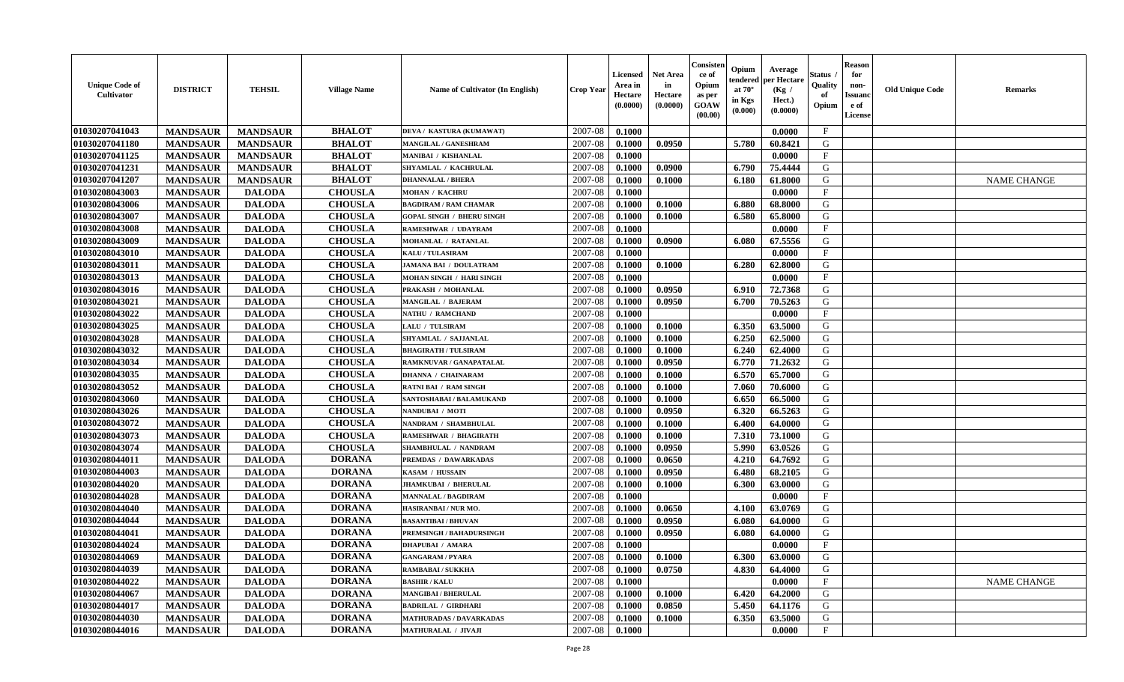| <b>Unique Code of</b><br><b>Cultivator</b> | <b>DISTRICT</b> | <b>TEHSIL</b>   | <b>Village Name</b> | Name of Cultivator (In English)  | <b>Crop Year</b> | <b>Licensed</b><br>Area in<br>Hectare<br>(0.0000) | <b>Net Area</b><br>in<br>Hectare<br>(0.0000) | Consisteı<br>ce of<br>Opium<br>as per<br><b>GOAW</b><br>(00.00) | Opium<br>endered<br>at $70^\circ$<br>in Kgs<br>$(\mathbf{0.000})$ | Average<br>per Hectare<br>(Kg /<br>Hect.)<br>(0.0000) | Status<br>Quality<br>of<br>Opium | <b>Reason</b><br>for<br>non-<br>Issuan<br>e of<br>License | <b>Old Unique Code</b> | <b>Remarks</b>     |
|--------------------------------------------|-----------------|-----------------|---------------------|----------------------------------|------------------|---------------------------------------------------|----------------------------------------------|-----------------------------------------------------------------|-------------------------------------------------------------------|-------------------------------------------------------|----------------------------------|-----------------------------------------------------------|------------------------|--------------------|
| 01030207041043                             | <b>MANDSAUR</b> | <b>MANDSAUR</b> | <b>BHALOT</b>       | DEVA / KASTURA (KUMAWAT)         | 2007-08          | 0.1000                                            |                                              |                                                                 |                                                                   | 0.0000                                                | $\mathbf{F}$                     |                                                           |                        |                    |
| 01030207041180                             | <b>MANDSAUR</b> | <b>MANDSAUR</b> | <b>BHALOT</b>       | MANGILAL / GANESHRAM             | 2007-08          | 0.1000                                            | 0.0950                                       |                                                                 | 5.780                                                             | 60.8421                                               | G                                |                                                           |                        |                    |
| 01030207041125                             | <b>MANDSAUR</b> | <b>MANDSAUR</b> | <b>BHALOT</b>       | MANIBAI / KISHANLAL              | 2007-08          | 0.1000                                            |                                              |                                                                 |                                                                   | 0.0000                                                | $\mathbf{F}$                     |                                                           |                        |                    |
| 01030207041231                             | <b>MANDSAUR</b> | <b>MANDSAUR</b> | <b>BHALOT</b>       | SHYAMLAL / KACHRULAL             | 2007-08          | 0.1000                                            | 0.0900                                       |                                                                 | 6.790                                                             | 75.4444                                               | G                                |                                                           |                        |                    |
| 01030207041207                             | <b>MANDSAUR</b> | <b>MANDSAUR</b> | <b>BHALOT</b>       | <b>DHANNALAL / BHERA</b>         | 2007-08          | 0.1000                                            | 0.1000                                       |                                                                 | 6.180                                                             | 61.8000                                               | G                                |                                                           |                        | <b>NAME CHANGE</b> |
| 01030208043003                             | <b>MANDSAUR</b> | <b>DALODA</b>   | <b>CHOUSLA</b>      | <b>MOHAN / KACHRU</b>            | 2007-08          | 0.1000                                            |                                              |                                                                 |                                                                   | 0.0000                                                | $\mathbf{F}$                     |                                                           |                        |                    |
| 01030208043006                             | <b>MANDSAUR</b> | <b>DALODA</b>   | <b>CHOUSLA</b>      | <b>BAGDIRAM / RAM CHAMAR</b>     | 2007-08          | 0.1000                                            | 0.1000                                       |                                                                 | 6.880                                                             | 68.8000                                               | G                                |                                                           |                        |                    |
| 01030208043007                             | <b>MANDSAUR</b> | <b>DALODA</b>   | <b>CHOUSLA</b>      | <b>GOPAL SINGH / BHERU SINGH</b> | 2007-08          | 0.1000                                            | 0.1000                                       |                                                                 | 6.580                                                             | 65.8000                                               | G                                |                                                           |                        |                    |
| 01030208043008                             | <b>MANDSAUR</b> | <b>DALODA</b>   | <b>CHOUSLA</b>      | RAMESHWAR / UDAYRAM              | 2007-08          | 0.1000                                            |                                              |                                                                 |                                                                   | 0.0000                                                | $_{\rm F}$                       |                                                           |                        |                    |
| 01030208043009                             | <b>MANDSAUR</b> | <b>DALODA</b>   | <b>CHOUSLA</b>      | MOHANLAL / RATANLAL              | 2007-08          | 0.1000                                            | 0.0900                                       |                                                                 | 6.080                                                             | 67.5556                                               | G                                |                                                           |                        |                    |
| 01030208043010                             | <b>MANDSAUR</b> | <b>DALODA</b>   | <b>CHOUSLA</b>      | <b>KALU / TULASIRAM</b>          | 2007-08          | 0.1000                                            |                                              |                                                                 |                                                                   | 0.0000                                                | $\mathbf{F}$                     |                                                           |                        |                    |
| 01030208043011                             | <b>MANDSAUR</b> | <b>DALODA</b>   | <b>CHOUSLA</b>      | JAMANA BAI / DOULATRAM           | 2007-08          | 0.1000                                            | 0.1000                                       |                                                                 | 6.280                                                             | 62.8000                                               | G                                |                                                           |                        |                    |
| 01030208043013                             | <b>MANDSAUR</b> | <b>DALODA</b>   | <b>CHOUSLA</b>      | MOHAN SINGH / HARI SINGH         | 2007-08          | 0.1000                                            |                                              |                                                                 |                                                                   | 0.0000                                                | $\mathbf{F}$                     |                                                           |                        |                    |
| 01030208043016                             | <b>MANDSAUR</b> | <b>DALODA</b>   | <b>CHOUSLA</b>      | PRAKASH / MOHANLAL               | 2007-08          | 0.1000                                            | 0.0950                                       |                                                                 | 6.910                                                             | 72.7368                                               | G                                |                                                           |                        |                    |
| 01030208043021                             | <b>MANDSAUR</b> | <b>DALODA</b>   | <b>CHOUSLA</b>      | MANGILAL / BAJERAM               | 2007-08          | 0.1000                                            | 0.0950                                       |                                                                 | 6.700                                                             | 70.5263                                               | G                                |                                                           |                        |                    |
| 01030208043022                             | <b>MANDSAUR</b> | <b>DALODA</b>   | <b>CHOUSLA</b>      | <b>NATHU / RAMCHAND</b>          | 2007-08          | 0.1000                                            |                                              |                                                                 |                                                                   | 0.0000                                                | F                                |                                                           |                        |                    |
| 01030208043025                             | <b>MANDSAUR</b> | <b>DALODA</b>   | <b>CHOUSLA</b>      | LALU / TULSIRAM                  | 2007-08          | 0.1000                                            | 0.1000                                       |                                                                 | 6.350                                                             | 63.5000                                               | G                                |                                                           |                        |                    |
| 01030208043028                             | <b>MANDSAUR</b> | <b>DALODA</b>   | <b>CHOUSLA</b>      | SHYAMLAL / SAJJANLAL             | 2007-08          | 0.1000                                            | 0.1000                                       |                                                                 | 6.250                                                             | 62.5000                                               | G                                |                                                           |                        |                    |
| 01030208043032                             | <b>MANDSAUR</b> | <b>DALODA</b>   | <b>CHOUSLA</b>      | <b>BHAGIRATH / TULSIRAM</b>      | 2007-08          | 0.1000                                            | 0.1000                                       |                                                                 | 6.240                                                             | 62.4000                                               | G                                |                                                           |                        |                    |
| 01030208043034                             | <b>MANDSAUR</b> | <b>DALODA</b>   | <b>CHOUSLA</b>      | <b>RAMKNUVAR / GANAPATALAL</b>   | 2007-08          | 0.1000                                            | 0.0950                                       |                                                                 | 6.770                                                             | 71.2632                                               | G                                |                                                           |                        |                    |
| 01030208043035                             | <b>MANDSAUR</b> | <b>DALODA</b>   | <b>CHOUSLA</b>      | <b>DHANNA / CHAINARAM</b>        | 2007-08          | 0.1000                                            | 0.1000                                       |                                                                 | 6.570                                                             | 65.7000                                               | G                                |                                                           |                        |                    |
| 01030208043052                             | <b>MANDSAUR</b> | <b>DALODA</b>   | <b>CHOUSLA</b>      | <b>RATNI BAI / RAM SINGH</b>     | 2007-08          | 0.1000                                            | 0.1000                                       |                                                                 | 7.060                                                             | 70.6000                                               | G                                |                                                           |                        |                    |
| 01030208043060                             | <b>MANDSAUR</b> | <b>DALODA</b>   | <b>CHOUSLA</b>      | SANTOSHABAI / BALAMUKAND         | 2007-08          | 0.1000                                            | 0.1000                                       |                                                                 | 6.650                                                             | 66.5000                                               | G                                |                                                           |                        |                    |
| 01030208043026                             | <b>MANDSAUR</b> | <b>DALODA</b>   | <b>CHOUSLA</b>      | NANDUBAI / MOTI                  | 2007-08          | 0.1000                                            | 0.0950                                       |                                                                 | 6.320                                                             | 66.5263                                               | G                                |                                                           |                        |                    |
| 01030208043072                             | <b>MANDSAUR</b> | <b>DALODA</b>   | <b>CHOUSLA</b>      | NANDRAM / SHAMBHULAL             | 2007-08          | 0.1000                                            | 0.1000                                       |                                                                 | 6.400                                                             | 64.0000                                               | G                                |                                                           |                        |                    |
| 01030208043073                             | <b>MANDSAUR</b> | <b>DALODA</b>   | <b>CHOUSLA</b>      | RAMESHWAR / BHAGIRATH            | 2007-08          | 0.1000                                            | 0.1000                                       |                                                                 | 7.310                                                             | 73.1000                                               | G                                |                                                           |                        |                    |
| 01030208043074                             | <b>MANDSAUR</b> | <b>DALODA</b>   | <b>CHOUSLA</b>      | SHAMBHULAL / NANDRAM             | 2007-08          | 0.1000                                            | 0.0950                                       |                                                                 | 5.990                                                             | 63.0526                                               | G                                |                                                           |                        |                    |
| 01030208044011                             | <b>MANDSAUR</b> | <b>DALODA</b>   | <b>DORANA</b>       | PREMDAS / DAWARKADAS             | 2007-08          | 0.1000                                            | 0.0650                                       |                                                                 | 4.210                                                             | 64.7692                                               | G                                |                                                           |                        |                    |
| 01030208044003                             | <b>MANDSAUR</b> | <b>DALODA</b>   | <b>DORANA</b>       | KASAM / HUSSAIN                  | 2007-08          | 0.1000                                            | 0.0950                                       |                                                                 | 6.480                                                             | 68.2105                                               | G                                |                                                           |                        |                    |
| 01030208044020                             | <b>MANDSAUR</b> | <b>DALODA</b>   | <b>DORANA</b>       | <b>JHAMKUBAI / BHERULAL</b>      | 2007-08          | 0.1000                                            | 0.1000                                       |                                                                 | 6.300                                                             | 63.0000                                               | G                                |                                                           |                        |                    |
| 01030208044028                             | <b>MANDSAUR</b> | <b>DALODA</b>   | <b>DORANA</b>       | <b>MANNALAL / BAGDIRAM</b>       | 2007-08          | 0.1000                                            |                                              |                                                                 |                                                                   | 0.0000                                                | $_{\rm F}$                       |                                                           |                        |                    |
| 01030208044040                             | <b>MANDSAUR</b> | <b>DALODA</b>   | <b>DORANA</b>       | HASIRANBAI / NUR MO.             | 2007-08          | 0.1000                                            | 0.0650                                       |                                                                 | 4.100                                                             | 63.0769                                               | G                                |                                                           |                        |                    |
| 01030208044044                             | <b>MANDSAUR</b> | <b>DALODA</b>   | <b>DORANA</b>       | <b>BASANTIBAI / BHUVAN</b>       | 2007-08          | 0.1000                                            | 0.0950                                       |                                                                 | 6.080                                                             | 64.0000                                               | G                                |                                                           |                        |                    |
| 01030208044041                             | <b>MANDSAUR</b> | <b>DALODA</b>   | <b>DORANA</b>       | <b>PREMSINGH / BAHADURSINGH</b>  | 2007-08          | 0.1000                                            | 0.0950                                       |                                                                 | 6.080                                                             | 64.0000                                               | G                                |                                                           |                        |                    |
| 01030208044024                             | <b>MANDSAUR</b> | <b>DALODA</b>   | <b>DORANA</b>       | <b>DHAPUBAI / AMARA</b>          | 2007-08          | 0.1000                                            |                                              |                                                                 |                                                                   | 0.0000                                                | $\mathbf{F}$                     |                                                           |                        |                    |
| 01030208044069                             | <b>MANDSAUR</b> | <b>DALODA</b>   | <b>DORANA</b>       | <b>GANGARAM / PYARA</b>          | $2007 - 08$      | 0.1000                                            | 0.1000                                       |                                                                 |                                                                   | 6.300 63.0000                                         | G                                |                                                           |                        |                    |
| 01030208044039                             | <b>MANDSAUR</b> | <b>DALODA</b>   | <b>DORANA</b>       | RAMBABAI / SUKKHA                | 2007-08          | 0.1000                                            | 0.0750                                       |                                                                 | 4.830                                                             | 64.4000                                               | G                                |                                                           |                        |                    |
| 01030208044022                             | <b>MANDSAUR</b> | <b>DALODA</b>   | <b>DORANA</b>       | <b>BASHIR / KALU</b>             | 2007-08          | 0.1000                                            |                                              |                                                                 |                                                                   | 0.0000                                                | $\mathbf{F}$                     |                                                           |                        | <b>NAME CHANGE</b> |
| 01030208044067                             | <b>MANDSAUR</b> | <b>DALODA</b>   | <b>DORANA</b>       | <b>MANGIBAI / BHERULAL</b>       | 2007-08          | 0.1000                                            | 0.1000                                       |                                                                 | 6.420                                                             | 64.2000                                               | G                                |                                                           |                        |                    |
| 01030208044017                             | <b>MANDSAUR</b> | <b>DALODA</b>   | <b>DORANA</b>       | <b>BADRILAL / GIRDHARI</b>       | 2007-08          | 0.1000                                            | 0.0850                                       |                                                                 | 5.450                                                             | 64.1176                                               | G                                |                                                           |                        |                    |
| 01030208044030                             | <b>MANDSAUR</b> | <b>DALODA</b>   | <b>DORANA</b>       | <b>MATHURADAS / DAVARKADAS</b>   | 2007-08          | 0.1000                                            | 0.1000                                       |                                                                 | 6.350                                                             | 63.5000                                               | G                                |                                                           |                        |                    |
| 01030208044016                             | <b>MANDSAUR</b> | <b>DALODA</b>   | <b>DORANA</b>       | <b>MATHURALAL / JIVAJI</b>       | 2007-08          | 0.1000                                            |                                              |                                                                 |                                                                   | 0.0000                                                | $\mathbf{F}$                     |                                                           |                        |                    |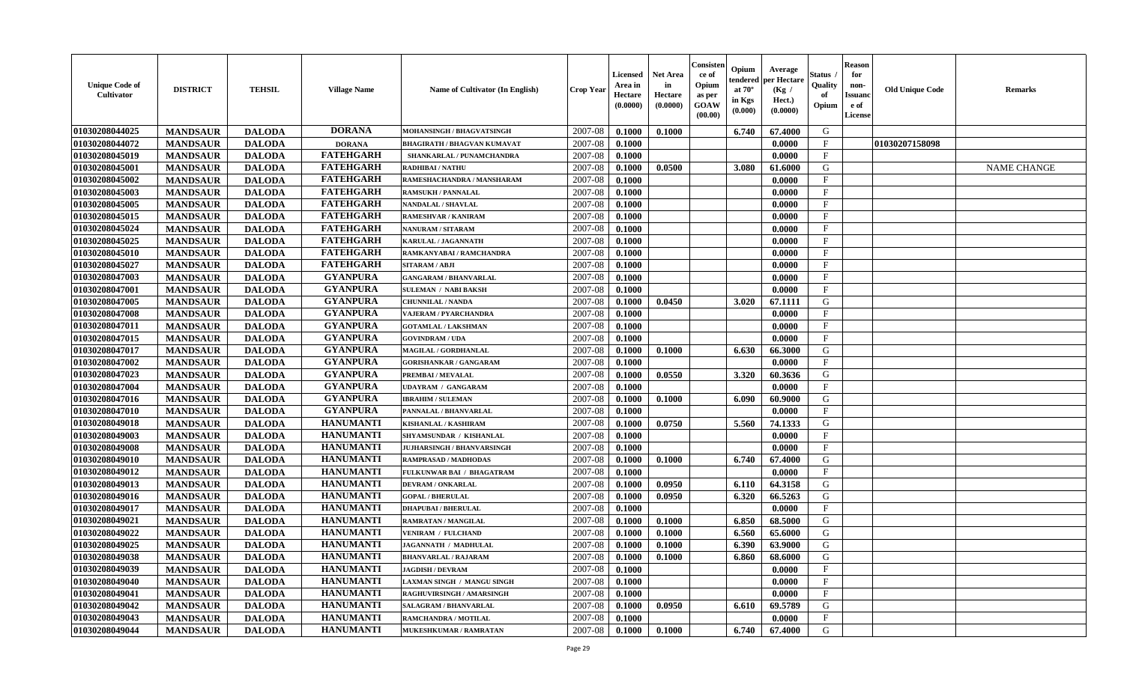| <b>Unique Code of</b><br><b>Cultivator</b> | <b>DISTRICT</b> | <b>TEHSIL</b> | <b>Village Name</b> | Name of Cultivator (In English)    | <b>Crop Year</b> | <b>Licensed</b><br>Area in<br>Hectare<br>(0.0000) | Net Area<br>in<br>Hectare<br>(0.0000) | Consisteı<br>ce of<br>Opium<br>as per<br>GOAW<br>(00.00) | Opium<br>endered<br>at $70^\circ$<br>in Kgs<br>(0.000) | Average<br>per Hectare<br>(Kg /<br>Hect.)<br>(0.0000) | Status<br>Quality<br>of<br>Opium | <b>Reason</b><br>for<br>non-<br><b>Issuand</b><br>e of<br>License | <b>Old Unique Code</b> | Remarks            |
|--------------------------------------------|-----------------|---------------|---------------------|------------------------------------|------------------|---------------------------------------------------|---------------------------------------|----------------------------------------------------------|--------------------------------------------------------|-------------------------------------------------------|----------------------------------|-------------------------------------------------------------------|------------------------|--------------------|
| 01030208044025                             | <b>MANDSAUR</b> | <b>DALODA</b> | <b>DORANA</b>       | MOHANSINGH / BHAGVATSINGH          | 2007-08          | 0.1000                                            | 0.1000                                |                                                          | 6.740                                                  | 67.4000                                               | G                                |                                                                   |                        |                    |
| 01030208044072                             | <b>MANDSAUR</b> | <b>DALODA</b> | <b>DORANA</b>       | <b>BHAGIRATH / BHAGVAN KUMAVAT</b> | 2007-08          | 0.1000                                            |                                       |                                                          |                                                        | 0.0000                                                | $\mathbf{F}$                     |                                                                   | 01030207158098         |                    |
| 01030208045019                             | <b>MANDSAUR</b> | <b>DALODA</b> | <b>FATEHGARH</b>    | SHANKARLAL / PUNAMCHANDRA          | 2007-08          | 0.1000                                            |                                       |                                                          |                                                        | 0.0000                                                | $\mathbf{F}$                     |                                                                   |                        |                    |
| 01030208045001                             | <b>MANDSAUR</b> | <b>DALODA</b> | <b>FATEHGARH</b>    | RADHIBAI / NATHU                   | 2007-08          | 0.1000                                            | 0.0500                                |                                                          | 3.080                                                  | 61.6000                                               | G                                |                                                                   |                        | <b>NAME CHANGE</b> |
| 01030208045002                             | <b>MANDSAUR</b> | <b>DALODA</b> | <b>FATEHGARH</b>    | RAMESHACHANDRA / MANSHARAM         | 2007-08          | 0.1000                                            |                                       |                                                          |                                                        | 0.0000                                                | $_{\rm F}$                       |                                                                   |                        |                    |
| 01030208045003                             | <b>MANDSAUR</b> | <b>DALODA</b> | <b>FATEHGARH</b>    | <b>RAMSUKH / PANNALAL</b>          | 2007-08          | 0.1000                                            |                                       |                                                          |                                                        | 0.0000                                                | F                                |                                                                   |                        |                    |
| 01030208045005                             | <b>MANDSAUR</b> | <b>DALODA</b> | <b>FATEHGARH</b>    | NANDALAL / SHAVLAL                 | 2007-08          | 0.1000                                            |                                       |                                                          |                                                        | 0.0000                                                | $\mathbf{F}$                     |                                                                   |                        |                    |
| 01030208045015                             | <b>MANDSAUR</b> | <b>DALODA</b> | <b>FATEHGARH</b>    | RAMESHVAR / KANIRAM                | 2007-08          | 0.1000                                            |                                       |                                                          |                                                        | 0.0000                                                | $\mathbf{F}$                     |                                                                   |                        |                    |
| 01030208045024                             | <b>MANDSAUR</b> | <b>DALODA</b> | <b>FATEHGARH</b>    | <b>NANURAM / SITARAM</b>           | 2007-08          | 0.1000                                            |                                       |                                                          |                                                        | 0.0000                                                | $\mathbf{F}$                     |                                                                   |                        |                    |
| 01030208045025                             | <b>MANDSAUR</b> | <b>DALODA</b> | <b>FATEHGARH</b>    | <b>KARULAL / JAGANNATH</b>         | 2007-08          | 0.1000                                            |                                       |                                                          |                                                        | 0.0000                                                | $_{\rm F}$                       |                                                                   |                        |                    |
| 01030208045010                             | <b>MANDSAUR</b> | <b>DALODA</b> | <b>FATEHGARH</b>    | RAMKANYABAI / RAMCHANDRA           | 2007-08          | 0.1000                                            |                                       |                                                          |                                                        | 0.0000                                                | F                                |                                                                   |                        |                    |
| 01030208045027                             | <b>MANDSAUR</b> | <b>DALODA</b> | <b>FATEHGARH</b>    | <b>SITARAM / ABJI</b>              | 2007-08          | 0.1000                                            |                                       |                                                          |                                                        | 0.0000                                                | $_{\rm F}$                       |                                                                   |                        |                    |
| 01030208047003                             | <b>MANDSAUR</b> | <b>DALODA</b> | <b>GYANPURA</b>     | <b>GANGARAM / BHANVARLAL</b>       | 2007-08          | 0.1000                                            |                                       |                                                          |                                                        | 0.0000                                                | $\mathbf{F}$                     |                                                                   |                        |                    |
| 01030208047001                             | <b>MANDSAUR</b> | <b>DALODA</b> | <b>GYANPURA</b>     | <b>SULEMAN / NABI BAKSH</b>        | 2007-08          | 0.1000                                            |                                       |                                                          |                                                        | 0.0000                                                | $\mathbf{F}$                     |                                                                   |                        |                    |
| 01030208047005                             | <b>MANDSAUR</b> | <b>DALODA</b> | <b>GYANPURA</b>     | <b>CHUNNILAL / NANDA</b>           | 2007-08          | 0.1000                                            | 0.0450                                |                                                          | 3.020                                                  | 67.1111                                               | $\mathbf G$                      |                                                                   |                        |                    |
| 01030208047008                             | <b>MANDSAUR</b> | <b>DALODA</b> | <b>GYANPURA</b>     | VAJERAM / PYARCHANDRA              | 2007-08          | 0.1000                                            |                                       |                                                          |                                                        | 0.0000                                                | $_{\rm F}$                       |                                                                   |                        |                    |
| 01030208047011                             | <b>MANDSAUR</b> | <b>DALODA</b> | <b>GYANPURA</b>     | <b>GOTAMLAL / LAKSHMAN</b>         | 2007-08          | 0.1000                                            |                                       |                                                          |                                                        | 0.0000                                                | $\mathbf{F}$                     |                                                                   |                        |                    |
| 01030208047015                             | <b>MANDSAUR</b> | <b>DALODA</b> | <b>GYANPURA</b>     | <b>GOVINDRAM / UDA</b>             | 2007-08          | 0.1000                                            |                                       |                                                          |                                                        | 0.0000                                                | $_{\rm F}$                       |                                                                   |                        |                    |
| 01030208047017                             | <b>MANDSAUR</b> | <b>DALODA</b> | <b>GYANPURA</b>     | MAGILAL / GORDHANLAL               | 2007-08          | 0.1000                                            | 0.1000                                |                                                          | 6.630                                                  | 66.3000                                               | G                                |                                                                   |                        |                    |
| 01030208047002                             | <b>MANDSAUR</b> | <b>DALODA</b> | <b>GYANPURA</b>     | <b>GORISHANKAR / GANGARAM</b>      | 2007-08          | 0.1000                                            |                                       |                                                          |                                                        | 0.0000                                                | $\mathbf{F}$                     |                                                                   |                        |                    |
| 01030208047023                             | <b>MANDSAUR</b> | <b>DALODA</b> | <b>GYANPURA</b>     | PREMBAI / MEVALAL                  | 2007-08          | 0.1000                                            | 0.0550                                |                                                          | 3.320                                                  | 60.3636                                               | G                                |                                                                   |                        |                    |
| 01030208047004                             | <b>MANDSAUR</b> | <b>DALODA</b> | <b>GYANPURA</b>     | <b>UDAYRAM / GANGARAM</b>          | 2007-08          | 0.1000                                            |                                       |                                                          |                                                        | 0.0000                                                | $_{\rm F}$                       |                                                                   |                        |                    |
| 01030208047016                             | <b>MANDSAUR</b> | <b>DALODA</b> | <b>GYANPURA</b>     | <b>IBRAHIM / SULEMAN</b>           | 2007-08          | 0.1000                                            | 0.1000                                |                                                          | 6.090                                                  | 60.9000                                               | G                                |                                                                   |                        |                    |
| 01030208047010                             | <b>MANDSAUR</b> | <b>DALODA</b> | <b>GYANPURA</b>     | PANNALAL / BHANVARLAL              | 2007-08          | 0.1000                                            |                                       |                                                          |                                                        | 0.0000                                                | $\rm F$                          |                                                                   |                        |                    |
| 01030208049018                             | <b>MANDSAUR</b> | <b>DALODA</b> | <b>HANUMANTI</b>    | <b>KISHANLAL / KASHIRAM</b>        | 2007-08          | 0.1000                                            | 0.0750                                |                                                          | 5.560                                                  | 74.1333                                               | G                                |                                                                   |                        |                    |
| 01030208049003                             | <b>MANDSAUR</b> | <b>DALODA</b> | <b>HANUMANTI</b>    | SHYAMSUNDAR / KISHANLAL            | 2007-08          | 0.1000                                            |                                       |                                                          |                                                        | 0.0000                                                | $_{\rm F}$                       |                                                                   |                        |                    |
| 01030208049008                             | <b>MANDSAUR</b> | <b>DALODA</b> | <b>HANUMANTI</b>    | <b>JUJHARSINGH / BHANVARSINGH</b>  | 2007-08          | 0.1000                                            |                                       |                                                          |                                                        | 0.0000                                                | $_{\rm F}$                       |                                                                   |                        |                    |
| 01030208049010                             | <b>MANDSAUR</b> | <b>DALODA</b> | <b>HANUMANTI</b>    | <b>RAMPRASAD / MADHODAS</b>        | 2007-08          | 0.1000                                            | 0.1000                                |                                                          | 6.740                                                  | 67.4000                                               | G                                |                                                                   |                        |                    |
| 01030208049012                             | <b>MANDSAUR</b> | <b>DALODA</b> | <b>HANUMANTI</b>    | FULKUNWAR BAI / BHAGATRAM          | 2007-08          | 0.1000                                            |                                       |                                                          |                                                        | 0.0000                                                | $\mathbf{F}$                     |                                                                   |                        |                    |
| 01030208049013                             | <b>MANDSAUR</b> | <b>DALODA</b> | <b>HANUMANTI</b>    | <b>DEVRAM / ONKARLAL</b>           | 2007-08          | 0.1000                                            | 0.0950                                |                                                          | 6.110                                                  | 64.3158                                               | G                                |                                                                   |                        |                    |
| 01030208049016                             | <b>MANDSAUR</b> | <b>DALODA</b> | <b>HANUMANTI</b>    | <b>GOPAL / BHERULAL</b>            | 2007-08          | 0.1000                                            | 0.0950                                |                                                          | 6.320                                                  | 66.5263                                               | G                                |                                                                   |                        |                    |
| 01030208049017                             | <b>MANDSAUR</b> | <b>DALODA</b> | <b>HANUMANTI</b>    | <b>DHAPUBAI/BHERULAL</b>           | 2007-08          | 0.1000                                            |                                       |                                                          |                                                        | 0.0000                                                | $\mathbf{F}$                     |                                                                   |                        |                    |
| 01030208049021                             | <b>MANDSAUR</b> | <b>DALODA</b> | <b>HANUMANTI</b>    | <b>RAMRATAN / MANGILAL</b>         | 2007-08          | 0.1000                                            | 0.1000                                |                                                          | 6.850                                                  | 68.5000                                               | G                                |                                                                   |                        |                    |
| 01030208049022                             | <b>MANDSAUR</b> | <b>DALODA</b> | <b>HANUMANTI</b>    | <b>VENIRAM / FULCHAND</b>          | 2007-08          | 0.1000                                            | 0.1000                                |                                                          | 6.560                                                  | 65.6000                                               | G                                |                                                                   |                        |                    |
| 01030208049025                             | <b>MANDSAUR</b> | <b>DALODA</b> | <b>HANUMANTI</b>    | JAGANNATH / MADHULAL               | 2007-08          | 0.1000                                            | 0.1000                                |                                                          | 6.390                                                  | 63.9000                                               | G                                |                                                                   |                        |                    |
| 01030208049038                             | <b>MANDSAUR</b> | <b>DALODA</b> | <b>HANUMANTI</b>    | <b>BHANVARLAL / RAJARAM</b>        | 2007-08          | 0.1000                                            | 0.1000                                |                                                          | 6.860                                                  | 68.6000                                               | G                                |                                                                   |                        |                    |
| 01030208049039                             | <b>MANDSAUR</b> | <b>DALODA</b> | <b>HANUMANTI</b>    | <b>JAGDISH / DEVRAM</b>            | 2007-08          | 0.1000                                            |                                       |                                                          |                                                        | 0.0000                                                | $\rm F$                          |                                                                   |                        |                    |
| 01030208049040                             | <b>MANDSAUR</b> | <b>DALODA</b> | <b>HANUMANTI</b>    | LAXMAN SINGH / MANGU SINGH         | 2007-08          | 0.1000                                            |                                       |                                                          |                                                        | 0.0000                                                | $\mathbf{F}$                     |                                                                   |                        |                    |
| 01030208049041                             | <b>MANDSAUR</b> | <b>DALODA</b> | <b>HANUMANTI</b>    | RAGHUVIRSINGH / AMARSINGH          | 2007-08          | 0.1000                                            |                                       |                                                          |                                                        | 0.0000                                                | $\mathbf{F}$                     |                                                                   |                        |                    |
| 01030208049042                             | <b>MANDSAUR</b> | <b>DALODA</b> | <b>HANUMANTI</b>    | SALAGRAM / BHANVARLAL              | 2007-08          | 0.1000                                            | 0.0950                                |                                                          | 6.610                                                  | 69.5789                                               | G                                |                                                                   |                        |                    |
| 01030208049043                             | <b>MANDSAUR</b> | <b>DALODA</b> | <b>HANUMANTI</b>    | RAMCHANDRA / MOTILAL               | 2007-08          | 0.1000                                            |                                       |                                                          |                                                        | 0.0000                                                | $\mathbf{F}$                     |                                                                   |                        |                    |
| 01030208049044                             | <b>MANDSAUR</b> | <b>DALODA</b> | <b>HANUMANTI</b>    | <b>MUKESHKUMAR / RAMRATAN</b>      | 2007-08          | 0.1000                                            | 0.1000                                |                                                          | 6.740                                                  | 67.4000                                               | G                                |                                                                   |                        |                    |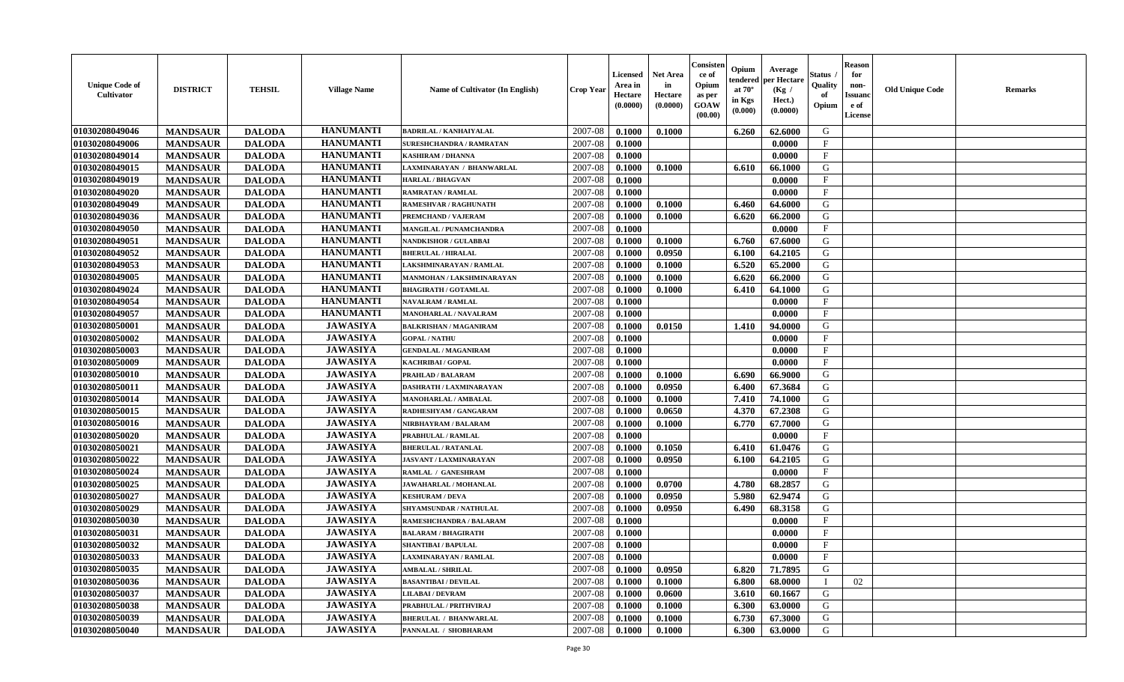| <b>Unique Code of</b><br><b>Cultivator</b> | <b>DISTRICT</b> | <b>TEHSIL</b> | <b>Village Name</b> | Name of Cultivator (In English) | <b>Crop Year</b> | <b>Licensed</b><br>Area in<br>Hectare<br>(0.0000) | <b>Net Area</b><br>in<br>Hectare<br>(0.0000) | Consisteı<br>ce of<br>Opium<br>as per<br><b>GOAW</b><br>(00.00) | Opium<br>endered<br>at $70^\circ$<br>in Kgs<br>$(\mathbf{0.000})$ | Average<br>per Hectare<br>(Kg /<br>Hect.)<br>(0.0000) | Status<br>Quality<br>of<br>Opium | <b>Reason</b><br>for<br>non-<br>Issuan<br>e of<br>License | <b>Old Unique Code</b> | <b>Remarks</b> |
|--------------------------------------------|-----------------|---------------|---------------------|---------------------------------|------------------|---------------------------------------------------|----------------------------------------------|-----------------------------------------------------------------|-------------------------------------------------------------------|-------------------------------------------------------|----------------------------------|-----------------------------------------------------------|------------------------|----------------|
| 01030208049046                             | <b>MANDSAUR</b> | <b>DALODA</b> | <b>HANUMANTI</b>    | <b>BADRILAL / KANHAIYALAL</b>   | 2007-08          | 0.1000                                            | 0.1000                                       |                                                                 | 6.260                                                             | 62.6000                                               | G                                |                                                           |                        |                |
| 01030208049006                             | <b>MANDSAUR</b> | <b>DALODA</b> | <b>HANUMANTI</b>    | SURESHCHANDRA / RAMRATAN        | 2007-08          | 0.1000                                            |                                              |                                                                 |                                                                   | 0.0000                                                | $_{\rm F}$                       |                                                           |                        |                |
| 01030208049014                             | <b>MANDSAUR</b> | <b>DALODA</b> | <b>HANUMANTI</b>    | <b>KASHIRAM / DHANNA</b>        | 2007-08          | 0.1000                                            |                                              |                                                                 |                                                                   | 0.0000                                                | $\mathbf{F}$                     |                                                           |                        |                |
| 01030208049015                             | <b>MANDSAUR</b> | <b>DALODA</b> | <b>HANUMANTI</b>    | LAXMINARAYAN / BHANWARLAL       | 2007-08          | 0.1000                                            | 0.1000                                       |                                                                 | 6.610                                                             | 66.1000                                               | G                                |                                                           |                        |                |
| 01030208049019                             | <b>MANDSAUR</b> | <b>DALODA</b> | <b>HANUMANTI</b>    | <b>HARLAL / BHAGVAN</b>         | 2007-08          | 0.1000                                            |                                              |                                                                 |                                                                   | 0.0000                                                | $_{\rm F}$                       |                                                           |                        |                |
| 01030208049020                             | <b>MANDSAUR</b> | <b>DALODA</b> | <b>HANUMANTI</b>    | <b>RAMRATAN / RAMLAL</b>        | 2007-08          | 0.1000                                            |                                              |                                                                 |                                                                   | 0.0000                                                | $\mathbf{F}$                     |                                                           |                        |                |
| 01030208049049                             | <b>MANDSAUR</b> | <b>DALODA</b> | <b>HANUMANTI</b>    | <b>RAMESHVAR / RAGHUNATH</b>    | 2007-08          | 0.1000                                            | 0.1000                                       |                                                                 | 6.460                                                             | 64.6000                                               | G                                |                                                           |                        |                |
| 01030208049036                             | <b>MANDSAUR</b> | <b>DALODA</b> | <b>HANUMANTI</b>    | PREMCHAND / VAJERAM             | 2007-08          | 0.1000                                            | 0.1000                                       |                                                                 | 6.620                                                             | 66.2000                                               | G                                |                                                           |                        |                |
| 01030208049050                             | <b>MANDSAUR</b> | <b>DALODA</b> | <b>HANUMANTI</b>    | MANGILAL / PUNAMCHANDRA         | 2007-08          | 0.1000                                            |                                              |                                                                 |                                                                   | 0.0000                                                | $_{\rm F}$                       |                                                           |                        |                |
| 01030208049051                             | <b>MANDSAUR</b> | <b>DALODA</b> | <b>HANUMANTI</b>    | <b>NANDKISHOR / GULABBAI</b>    | 2007-08          | 0.1000                                            | 0.1000                                       |                                                                 | 6.760                                                             | 67.6000                                               | G                                |                                                           |                        |                |
| 01030208049052                             | <b>MANDSAUR</b> | <b>DALODA</b> | <b>HANUMANTI</b>    | <b>BHERULAL / HIRALAL</b>       | 2007-08          | 0.1000                                            | 0.0950                                       |                                                                 | 6.100                                                             | 64.2105                                               | G                                |                                                           |                        |                |
| 01030208049053                             | <b>MANDSAUR</b> | <b>DALODA</b> | <b>HANUMANTI</b>    | LAKSHMINARAYAN / RAMLAL         | 2007-08          | 0.1000                                            | 0.1000                                       |                                                                 | 6.520                                                             | 65.2000                                               | G                                |                                                           |                        |                |
| 01030208049005                             | <b>MANDSAUR</b> | <b>DALODA</b> | <b>HANUMANTI</b>    | MANMOHAN / LAKSHMINARAYAN       | 2007-08          | 0.1000                                            | 0.1000                                       |                                                                 | 6.620                                                             | 66.2000                                               | G                                |                                                           |                        |                |
| 01030208049024                             | <b>MANDSAUR</b> | <b>DALODA</b> | <b>HANUMANTI</b>    | <b>BHAGIRATH / GOTAMLAL</b>     | 2007-08          | 0.1000                                            | 0.1000                                       |                                                                 | 6.410                                                             | 64.1000                                               | G                                |                                                           |                        |                |
| 01030208049054                             | <b>MANDSAUR</b> | <b>DALODA</b> | <b>HANUMANTI</b>    | <b>NAVALRAM / RAMLAL</b>        | 2007-08          | 0.1000                                            |                                              |                                                                 |                                                                   | 0.0000                                                | $\mathbf{F}$                     |                                                           |                        |                |
| 01030208049057                             | <b>MANDSAUR</b> | <b>DALODA</b> | <b>HANUMANTI</b>    | MANOHARLAL / NAVALRAM           | 2007-08          | 0.1000                                            |                                              |                                                                 |                                                                   | 0.0000                                                | $_{\rm F}$                       |                                                           |                        |                |
| 01030208050001                             | <b>MANDSAUR</b> | <b>DALODA</b> | <b>JAWASIYA</b>     | <b>BALKRISHAN / MAGANIRAM</b>   | 2007-08          | 0.1000                                            | 0.0150                                       |                                                                 | 1.410                                                             | 94.0000                                               | G                                |                                                           |                        |                |
| 01030208050002                             | <b>MANDSAUR</b> | <b>DALODA</b> | <b>JAWASIYA</b>     | <b>GOPAL / NATHU</b>            | 2007-08          | 0.1000                                            |                                              |                                                                 |                                                                   | 0.0000                                                | $\mathbf F$                      |                                                           |                        |                |
| 01030208050003                             | <b>MANDSAUR</b> | <b>DALODA</b> | <b>JAWASIYA</b>     | <b>GENDALAL / MAGANIRAM</b>     | 2007-08          | 0.1000                                            |                                              |                                                                 |                                                                   | 0.0000                                                | $_{\rm F}$                       |                                                           |                        |                |
| 01030208050009                             | <b>MANDSAUR</b> | <b>DALODA</b> | <b>JAWASIYA</b>     | <b>KACHRIBAI / GOPAL</b>        | 2007-08          | 0.1000                                            |                                              |                                                                 |                                                                   | 0.0000                                                | $_{\rm F}$                       |                                                           |                        |                |
| 01030208050010                             | <b>MANDSAUR</b> | <b>DALODA</b> | <b>JAWASIYA</b>     | PRAHLAD / BALARAM               | 2007-08          | 0.1000                                            | 0.1000                                       |                                                                 | 6.690                                                             | 66.9000                                               | G                                |                                                           |                        |                |
| 01030208050011                             | <b>MANDSAUR</b> | <b>DALODA</b> | <b>JAWASIYA</b>     | DASHRATH / LAXMINARAYAN         | 2007-08          | 0.1000                                            | 0.0950                                       |                                                                 | 6.400                                                             | 67.3684                                               | G                                |                                                           |                        |                |
| 01030208050014                             | <b>MANDSAUR</b> | <b>DALODA</b> | <b>JAWASIYA</b>     | <b>MANOHARLAL / AMBALAL</b>     | 2007-08          | 0.1000                                            | 0.1000                                       |                                                                 | 7.410                                                             | 74.1000                                               | G                                |                                                           |                        |                |
| 01030208050015                             | <b>MANDSAUR</b> | <b>DALODA</b> | <b>JAWASIYA</b>     | RADHESHYAM / GANGARAM           | 2007-08          | 0.1000                                            | 0.0650                                       |                                                                 | 4.370                                                             | 67.2308                                               | G                                |                                                           |                        |                |
| 01030208050016                             | <b>MANDSAUR</b> | <b>DALODA</b> | <b>JAWASIYA</b>     | NIRBHAYRAM / BALARAM            | 2007-08          | 0.1000                                            | 0.1000                                       |                                                                 | 6.770                                                             | 67.7000                                               | G                                |                                                           |                        |                |
| 01030208050020                             | <b>MANDSAUR</b> | <b>DALODA</b> | <b>JAWASIYA</b>     | PRABHULAL / RAMLAL              | 2007-08          | 0.1000                                            |                                              |                                                                 |                                                                   | 0.0000                                                | $\mathbf{F}$                     |                                                           |                        |                |
| 01030208050021                             | <b>MANDSAUR</b> | <b>DALODA</b> | <b>JAWASIYA</b>     | <b>BHERULAL / RATANLAL</b>      | 2007-08          | 0.1000                                            | 0.1050                                       |                                                                 | 6.410                                                             | 61.0476                                               | G                                |                                                           |                        |                |
| 01030208050022                             | <b>MANDSAUR</b> | <b>DALODA</b> | <b>JAWASIYA</b>     | <b>JASVANT / LAXMINARAYAN</b>   | 2007-08          | 0.1000                                            | 0.0950                                       |                                                                 | 6.100                                                             | 64.2105                                               | G                                |                                                           |                        |                |
| 01030208050024                             | <b>MANDSAUR</b> | <b>DALODA</b> | <b>JAWASIYA</b>     | <b>RAMLAL / GANESHRAM</b>       | 2007-08          | 0.1000                                            |                                              |                                                                 |                                                                   | 0.0000                                                | $\mathbf{F}$                     |                                                           |                        |                |
| 01030208050025                             | <b>MANDSAUR</b> | <b>DALODA</b> | <b>JAWASIYA</b>     | JAWAHARLAL / MOHANLAL           | 2007-08          | 0.1000                                            | 0.0700                                       |                                                                 | 4.780                                                             | 68.2857                                               | G                                |                                                           |                        |                |
| 01030208050027                             | <b>MANDSAUR</b> | <b>DALODA</b> | <b>JAWASIYA</b>     | <b>KESHURAM / DEVA</b>          | 2007-08          | 0.1000                                            | 0.0950                                       |                                                                 | 5.980                                                             | 62.9474                                               | G                                |                                                           |                        |                |
| 01030208050029                             | <b>MANDSAUR</b> | <b>DALODA</b> | <b>JAWASIYA</b>     | SHYAMSUNDAR / NATHULAL          | 2007-08          | 0.1000                                            | 0.0950                                       |                                                                 | 6.490                                                             | 68.3158                                               | G                                |                                                           |                        |                |
| 01030208050030                             | <b>MANDSAUR</b> | <b>DALODA</b> | <b>JAWASIYA</b>     | RAMESHCHANDRA / BALARAM         | 2007-08          | 0.1000                                            |                                              |                                                                 |                                                                   | 0.0000                                                | $\mathbf{F}$                     |                                                           |                        |                |
| 01030208050031                             | <b>MANDSAUR</b> | <b>DALODA</b> | <b>JAWASIYA</b>     | <b>BALARAM / BHAGIRATH</b>      | 2007-08          | 0.1000                                            |                                              |                                                                 |                                                                   | 0.0000                                                | $_{\rm F}$                       |                                                           |                        |                |
| 01030208050032                             | <b>MANDSAUR</b> | <b>DALODA</b> | <b>JAWASIYA</b>     | <b>SHANTIBAI / BAPULAL</b>      | 2007-08          | 0.1000                                            |                                              |                                                                 |                                                                   | 0.0000                                                | $\mathbf{F}$                     |                                                           |                        |                |
| 01030208050033                             | <b>MANDSAUR</b> | <b>DALODA</b> | <b>JAWASIYA</b>     | LAXMINARAYAN / RAMLAL           |                  | $2007-08$ 0.1000                                  |                                              |                                                                 |                                                                   | 0.0000                                                | F                                |                                                           |                        |                |
| 01030208050035                             | <b>MANDSAUR</b> | <b>DALODA</b> | <b>JAWASIYA</b>     | <b>AMBALAL / SHRILAL</b>        | 2007-08          | 0.1000                                            | 0.0950                                       |                                                                 | 6.820                                                             | 71.7895                                               | G                                |                                                           |                        |                |
| 01030208050036                             | <b>MANDSAUR</b> | <b>DALODA</b> | <b>JAWASIYA</b>     | <b>BASANTIBAI / DEVILAL</b>     | 2007-08          | 0.1000                                            | 0.1000                                       |                                                                 | 6.800                                                             | 68.0000                                               |                                  | 02                                                        |                        |                |
| 01030208050037                             | <b>MANDSAUR</b> | <b>DALODA</b> | <b>JAWASIYA</b>     | <b>LILABAI/DEVRAM</b>           | 2007-08          | 0.1000                                            | 0.0600                                       |                                                                 | 3.610                                                             | 60.1667                                               | G                                |                                                           |                        |                |
| 01030208050038                             | <b>MANDSAUR</b> | <b>DALODA</b> | <b>JAWASIYA</b>     | PRABHULAL / PRITHVIRAJ          | 2007-08          | 0.1000                                            | 0.1000                                       |                                                                 | 6.300                                                             | 63.0000                                               | G                                |                                                           |                        |                |
| 01030208050039                             | <b>MANDSAUR</b> | <b>DALODA</b> | <b>JAWASIYA</b>     | <b>BHERULAL / BHANWARLAL</b>    | 2007-08          | 0.1000                                            | 0.1000                                       |                                                                 | 6.730                                                             | 67.3000                                               | G                                |                                                           |                        |                |
| 01030208050040                             | <b>MANDSAUR</b> | <b>DALODA</b> | <b>JAWASIYA</b>     | PANNALAL / SHOBHARAM            | 2007-08          | 0.1000                                            | 0.1000                                       |                                                                 | 6.300                                                             | 63.0000                                               | G                                |                                                           |                        |                |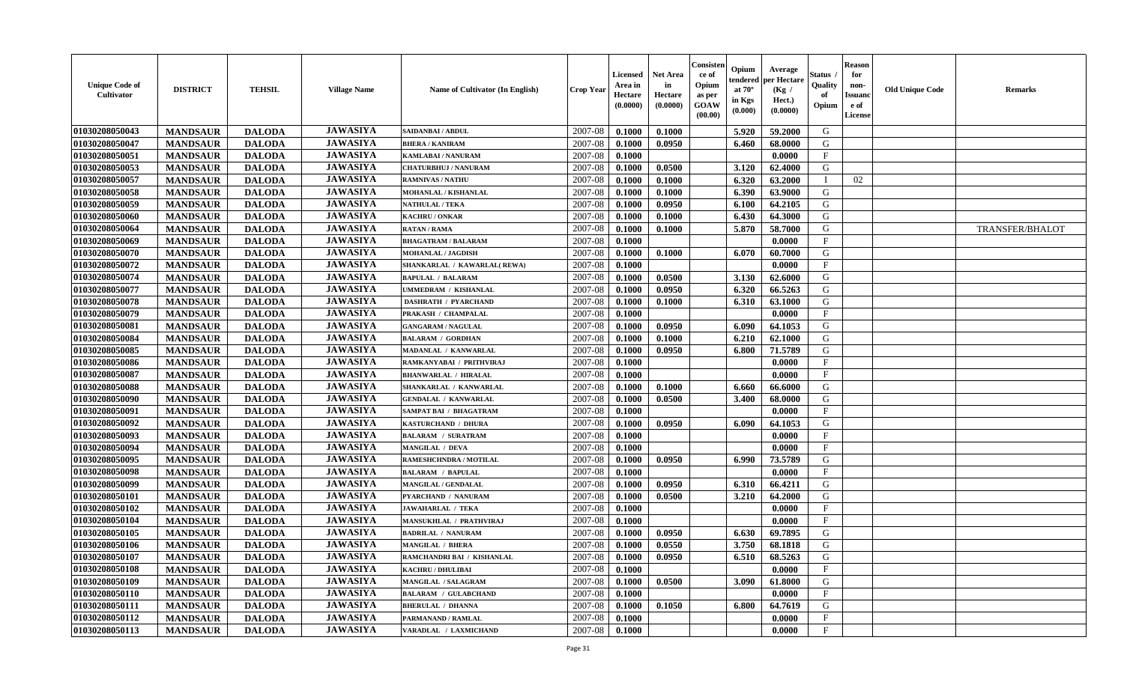| <b>Unique Code of</b><br><b>Cultivator</b> | <b>DISTRICT</b> | <b>TEHSIL</b> | <b>Village Name</b> | Name of Cultivator (In English) | <b>Crop Year</b> | <b>Licensed</b><br>Area in<br>Hectare<br>(0.0000) | <b>Net Area</b><br>in<br>Hectare<br>(0.0000) | Consisteı<br>ce of<br>Opium<br>as per<br><b>GOAW</b><br>(00.00) | Opium<br>endered<br>at $70^\circ$<br>in Kgs<br>$(\mathbf{0.000})$ | Average<br>per Hectare<br>(Kg /<br>Hect.)<br>(0.0000) | Status<br>Quality<br>of<br>Opium | <b>Reason</b><br>for<br>non-<br>Issuan<br>e of<br>License | <b>Old Unique Code</b> | <b>Remarks</b>  |
|--------------------------------------------|-----------------|---------------|---------------------|---------------------------------|------------------|---------------------------------------------------|----------------------------------------------|-----------------------------------------------------------------|-------------------------------------------------------------------|-------------------------------------------------------|----------------------------------|-----------------------------------------------------------|------------------------|-----------------|
| 01030208050043                             | <b>MANDSAUR</b> | <b>DALODA</b> | <b>JAWASIYA</b>     | <b>SAIDANBAI/ABDUL</b>          | 2007-08          | 0.1000                                            | 0.1000                                       |                                                                 | 5.920                                                             | 59.2000                                               | G                                |                                                           |                        |                 |
| 01030208050047                             | <b>MANDSAUR</b> | <b>DALODA</b> | <b>JAWASIYA</b>     | <b>BHERA / KANIRAM</b>          | 2007-08          | 0.1000                                            | 0.0950                                       |                                                                 | 6.460                                                             | 68.0000                                               | G                                |                                                           |                        |                 |
| 01030208050051                             | <b>MANDSAUR</b> | <b>DALODA</b> | <b>JAWASIYA</b>     | <b>KAMLABAI/NANURAM</b>         | 2007-08          | 0.1000                                            |                                              |                                                                 |                                                                   | 0.0000                                                | $\mathbf{F}$                     |                                                           |                        |                 |
| 01030208050053                             | <b>MANDSAUR</b> | <b>DALODA</b> | <b>JAWASIYA</b>     | <b>CHATURBHUJ / NANURAM</b>     | 2007-08          | 0.1000                                            | 0.0500                                       |                                                                 | 3.120                                                             | 62.4000                                               | G                                |                                                           |                        |                 |
| 01030208050057                             | <b>MANDSAUR</b> | <b>DALODA</b> | <b>JAWASIYA</b>     | <b>RAMNIVAS / NATHU</b>         | 2007-08          | 0.1000                                            | 0.1000                                       |                                                                 | 6.320                                                             | 63.2000                                               |                                  | 02                                                        |                        |                 |
| 01030208050058                             | <b>MANDSAUR</b> | <b>DALODA</b> | <b>JAWASIYA</b>     | <b>MOHANLAL / KISHANLAL</b>     | 2007-08          | 0.1000                                            | 0.1000                                       |                                                                 | 6.390                                                             | 63.9000                                               | G                                |                                                           |                        |                 |
| 01030208050059                             | <b>MANDSAUR</b> | <b>DALODA</b> | <b>JAWASIYA</b>     | <b>NATHULAL / TEKA</b>          | 2007-08          | 0.1000                                            | 0.0950                                       |                                                                 | 6.100                                                             | 64.2105                                               | G                                |                                                           |                        |                 |
| 01030208050060                             | <b>MANDSAUR</b> | <b>DALODA</b> | <b>JAWASIYA</b>     | KACHRU / ONKAR                  | 2007-08          | 0.1000                                            | 0.1000                                       |                                                                 | 6.430                                                             | 64.3000                                               | G                                |                                                           |                        |                 |
| 01030208050064                             | <b>MANDSAUR</b> | <b>DALODA</b> | <b>JAWASIYA</b>     | <b>RATAN / RAMA</b>             | 2007-08          | 0.1000                                            | 0.1000                                       |                                                                 | 5.870                                                             | 58.7000                                               | G                                |                                                           |                        | TRANSFER/BHALOT |
| 01030208050069                             | <b>MANDSAUR</b> | <b>DALODA</b> | <b>JAWASIYA</b>     | <b>BHAGATRAM / BALARAM</b>      | 2007-08          | 0.1000                                            |                                              |                                                                 |                                                                   | 0.0000                                                | F                                |                                                           |                        |                 |
| 01030208050070                             | <b>MANDSAUR</b> | <b>DALODA</b> | <b>JAWASIYA</b>     | <b>MOHANLAL / JAGDISH</b>       | 2007-08          | 0.1000                                            | 0.1000                                       |                                                                 | 6.070                                                             | 60.7000                                               | G                                |                                                           |                        |                 |
| 01030208050072                             | <b>MANDSAUR</b> | <b>DALODA</b> | <b>JAWASIYA</b>     | SHANKARLAL / KAWARLAL(REWA)     | 2007-08          | 0.1000                                            |                                              |                                                                 |                                                                   | 0.0000                                                | $\mathbf{F}$                     |                                                           |                        |                 |
| 01030208050074                             | <b>MANDSAUR</b> | <b>DALODA</b> | <b>JAWASIYA</b>     | <b>BAPULAL / BALARAM</b>        | 2007-08          | 0.1000                                            | 0.0500                                       |                                                                 | 3.130                                                             | 62.6000                                               | G                                |                                                           |                        |                 |
| 01030208050077                             | <b>MANDSAUR</b> | <b>DALODA</b> | <b>JAWASIYA</b>     | UMMEDRAM / KISHANLAL            | 2007-08          | 0.1000                                            | 0.0950                                       |                                                                 | 6.320                                                             | 66.5263                                               | G                                |                                                           |                        |                 |
| 01030208050078                             | <b>MANDSAUR</b> | <b>DALODA</b> | <b>JAWASIYA</b>     | <b>DASHRATH / PYARCHAND</b>     | 2007-08          | 0.1000                                            | 0.1000                                       |                                                                 | 6.310                                                             | 63.1000                                               | G                                |                                                           |                        |                 |
| 01030208050079                             | <b>MANDSAUR</b> | <b>DALODA</b> | <b>JAWASIYA</b>     | PRAKASH / CHAMPALAL             | 2007-08          | 0.1000                                            |                                              |                                                                 |                                                                   | 0.0000                                                | F                                |                                                           |                        |                 |
| 01030208050081                             | <b>MANDSAUR</b> | <b>DALODA</b> | <b>JAWASIYA</b>     | <b>GANGARAM / NAGULAL</b>       | 2007-08          | 0.1000                                            | 0.0950                                       |                                                                 | 6.090                                                             | 64.1053                                               | G                                |                                                           |                        |                 |
| 01030208050084                             | <b>MANDSAUR</b> | <b>DALODA</b> | <b>JAWASIYA</b>     | <b>BALARAM / GORDHAN</b>        | 2007-08          | 0.1000                                            | 0.1000                                       |                                                                 | 6.210                                                             | 62.1000                                               | G                                |                                                           |                        |                 |
| 01030208050085                             | <b>MANDSAUR</b> | <b>DALODA</b> | <b>JAWASIYA</b>     | MADANLAL / KANWARLAL            | 2007-08          | 0.1000                                            | 0.0950                                       |                                                                 | 6.800                                                             | 71.5789                                               | G                                |                                                           |                        |                 |
| 01030208050086                             | <b>MANDSAUR</b> | <b>DALODA</b> | <b>JAWASIYA</b>     | RAMKANYABAI / PRITHVIRAJ        | 2007-08          | 0.1000                                            |                                              |                                                                 |                                                                   | 0.0000                                                | F                                |                                                           |                        |                 |
| 01030208050087                             | <b>MANDSAUR</b> | <b>DALODA</b> | <b>JAWASIYA</b>     | <b>BHANWARLAL / HIRALAL</b>     | 2007-08          | 0.1000                                            |                                              |                                                                 |                                                                   | 0.0000                                                | $\mathbf{F}$                     |                                                           |                        |                 |
| 01030208050088                             | <b>MANDSAUR</b> | <b>DALODA</b> | <b>JAWASIYA</b>     | SHANKARLAL / KANWARLAL          | 2007-08          | 0.1000                                            | 0.1000                                       |                                                                 | 6.660                                                             | 66.6000                                               | G                                |                                                           |                        |                 |
| 01030208050090                             | <b>MANDSAUR</b> | <b>DALODA</b> | <b>JAWASIYA</b>     | <b>GENDALAL / KANWARLAL</b>     | 2007-08          | 0.1000                                            | 0.0500                                       |                                                                 | 3.400                                                             | 68.0000                                               | G                                |                                                           |                        |                 |
| 01030208050091                             | <b>MANDSAUR</b> | <b>DALODA</b> | <b>JAWASIYA</b>     | <b>SAMPAT BAI / BHAGATRAM</b>   | 2007-08          | 0.1000                                            |                                              |                                                                 |                                                                   | 0.0000                                                | $\mathbf{F}$                     |                                                           |                        |                 |
| 01030208050092                             | <b>MANDSAUR</b> | <b>DALODA</b> | <b>JAWASIYA</b>     | KASTURCHAND / DHURA             | 2007-08          | 0.1000                                            | 0.0950                                       |                                                                 | 6.090                                                             | 64.1053                                               | G                                |                                                           |                        |                 |
| 01030208050093                             | <b>MANDSAUR</b> | <b>DALODA</b> | <b>JAWASIYA</b>     | <b>BALARAM / SURATRAM</b>       | 2007-08          | 0.1000                                            |                                              |                                                                 |                                                                   | 0.0000                                                | $\mathbf{F}$                     |                                                           |                        |                 |
| 01030208050094                             | <b>MANDSAUR</b> | <b>DALODA</b> | <b>JAWASIYA</b>     | <b>MANGILAL / DEVA</b>          | 2007-08          | 0.1000                                            |                                              |                                                                 |                                                                   | 0.0000                                                | $\mathbf{F}$                     |                                                           |                        |                 |
| 01030208050095                             | <b>MANDSAUR</b> | <b>DALODA</b> | <b>JAWASIYA</b>     | RAMESHCHNDRA / MOTILAL          | 2007-08          | 0.1000                                            | 0.0950                                       |                                                                 | 6.990                                                             | 73.5789                                               | G                                |                                                           |                        |                 |
| 01030208050098                             | <b>MANDSAUR</b> | <b>DALODA</b> | <b>JAWASIYA</b>     | <b>BALARAM / BAPULAL</b>        | 2007-08          | 0.1000                                            |                                              |                                                                 |                                                                   | 0.0000                                                | $\mathbf{F}$                     |                                                           |                        |                 |
| 01030208050099                             | <b>MANDSAUR</b> | <b>DALODA</b> | <b>JAWASIYA</b>     | <b>MANGILAL / GENDALAL</b>      | 2007-08          | 0.1000                                            | 0.0950                                       |                                                                 | 6.310                                                             | 66.4211                                               | G                                |                                                           |                        |                 |
| 01030208050101                             | <b>MANDSAUR</b> | <b>DALODA</b> | <b>JAWASIYA</b>     | PYARCHAND / NANURAM             | 2007-08          | 0.1000                                            | 0.0500                                       |                                                                 | 3.210                                                             | 64.2000                                               | G                                |                                                           |                        |                 |
| 01030208050102                             | <b>MANDSAUR</b> | <b>DALODA</b> | <b>JAWASIYA</b>     | <b>JAWAHARLAL / TEKA</b>        | 2007-08          | 0.1000                                            |                                              |                                                                 |                                                                   | 0.0000                                                | $\mathbf{F}$                     |                                                           |                        |                 |
| 01030208050104                             | <b>MANDSAUR</b> | <b>DALODA</b> | <b>JAWASIYA</b>     | <b>MANSUKHLAL / PRATHVIRAJ</b>  | 2007-08          | 0.1000                                            |                                              |                                                                 |                                                                   | 0.0000                                                | $\mathbf{F}$                     |                                                           |                        |                 |
| 01030208050105                             | <b>MANDSAUR</b> | <b>DALODA</b> | <b>JAWASIYA</b>     | <b>BADRILAL / NANURAM</b>       | 2007-08          | 0.1000                                            | 0.0950                                       |                                                                 | 6.630                                                             | 69.7895                                               | G                                |                                                           |                        |                 |
| 01030208050106                             | <b>MANDSAUR</b> | <b>DALODA</b> | <b>JAWASIYA</b>     | <b>MANGILAL / BHERA</b>         | 2007-08          | 0.1000                                            | 0.0550                                       |                                                                 | 3.750                                                             | 68.1818                                               | G                                |                                                           |                        |                 |
| 01030208050107                             | <b>MANDSAUR</b> | <b>DALODA</b> | <b>JAWASIYA</b>     | RAMCHANDRI BAI / KISHANLAL      | 2007-08          | 0.1000                                            | 0.0950                                       |                                                                 | $6.510$                                                           | 68.5263                                               | G                                |                                                           |                        |                 |
| 01030208050108                             | <b>MANDSAUR</b> | <b>DALODA</b> | <b>JAWASIYA</b>     | <b>KACHRU / DHULIBAI</b>        | 2007-08          | 0.1000                                            |                                              |                                                                 |                                                                   | 0.0000                                                | $_{\rm F}$                       |                                                           |                        |                 |
| 01030208050109                             | <b>MANDSAUR</b> | <b>DALODA</b> | <b>JAWASIYA</b>     | MANGILAL / SALAGRAM             | 2007-08          | 0.1000                                            | 0.0500                                       |                                                                 | 3.090                                                             | 61.8000                                               | G                                |                                                           |                        |                 |
| 01030208050110                             | <b>MANDSAUR</b> | <b>DALODA</b> | <b>JAWASIYA</b>     | <b>BALARAM / GULABCHAND</b>     | 2007-08          | 0.1000                                            |                                              |                                                                 |                                                                   | 0.0000                                                | $\mathbf{F}$                     |                                                           |                        |                 |
| 01030208050111                             | <b>MANDSAUR</b> | <b>DALODA</b> | <b>JAWASIYA</b>     | <b>BHERULAL / DHANNA</b>        | 2007-08          | 0.1000                                            | 0.1050                                       |                                                                 | 6.800                                                             | 64.7619                                               | G                                |                                                           |                        |                 |
| 01030208050112                             | <b>MANDSAUR</b> | <b>DALODA</b> | <b>JAWASIYA</b>     | PARMANAND / RAMLAL              | 2007-08          | 0.1000                                            |                                              |                                                                 |                                                                   | 0.0000                                                | $\mathbf{F}$                     |                                                           |                        |                 |
| 01030208050113                             | <b>MANDSAUR</b> | <b>DALODA</b> | <b>JAWASIYA</b>     | VARADLAL / LAXMICHAND           | 2007-08          | 0.1000                                            |                                              |                                                                 |                                                                   | 0.0000                                                | $\mathbf{F}$                     |                                                           |                        |                 |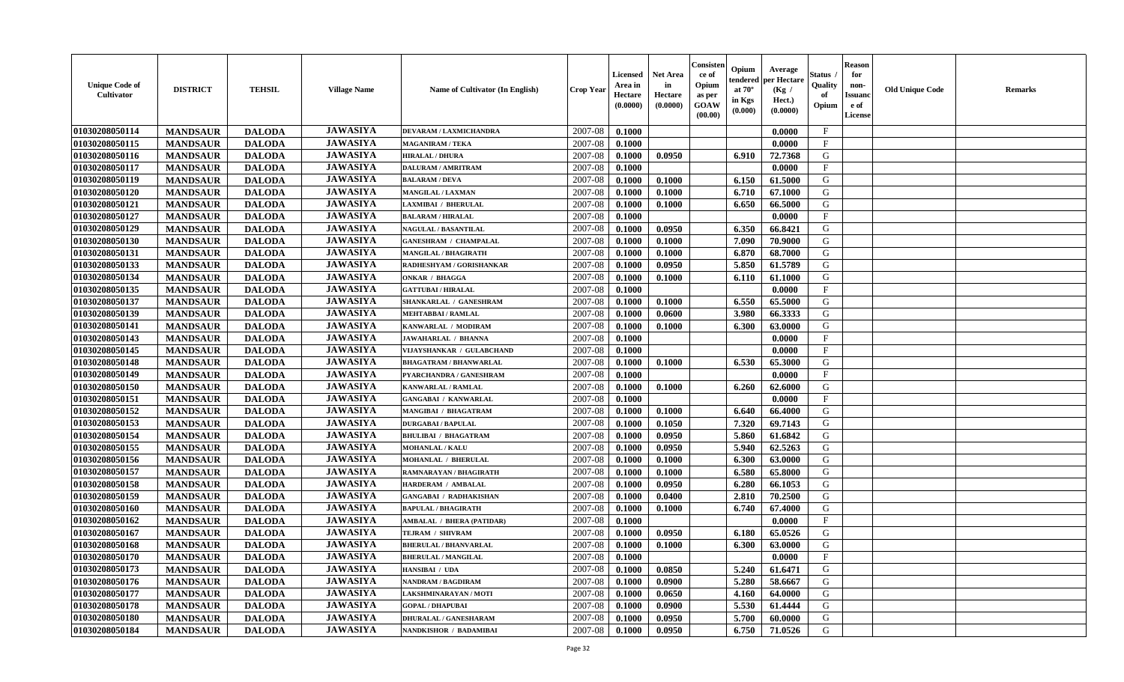| <b>Unique Code of</b><br><b>Cultivator</b> | <b>DISTRICT</b> | <b>TEHSIL</b> | <b>Village Name</b> | Name of Cultivator (In English)  | <b>Crop Year</b> | <b>Licensed</b><br>Area in<br>Hectare<br>(0.0000) | <b>Net Area</b><br>in<br>Hectare<br>(0.0000) | Consister<br>ce of<br>Opium<br>as per<br><b>GOAW</b><br>(00.00) | Opium<br>endered<br>at $70^\circ$<br>in Kgs<br>(0.000) | Average<br>per Hectare<br>(Kg /<br>Hect.)<br>(0.0000) | Status<br>Quality<br>of<br>Opium | <b>Reason</b><br>for<br>non-<br><b>Issuand</b><br>e of<br><b>License</b> | <b>Old Unique Code</b> | <b>Remarks</b> |
|--------------------------------------------|-----------------|---------------|---------------------|----------------------------------|------------------|---------------------------------------------------|----------------------------------------------|-----------------------------------------------------------------|--------------------------------------------------------|-------------------------------------------------------|----------------------------------|--------------------------------------------------------------------------|------------------------|----------------|
| 01030208050114                             | <b>MANDSAUR</b> | <b>DALODA</b> | <b>JAWASIYA</b>     | DEVARAM / LAXMICHANDRA           | 2007-08          | 0.1000                                            |                                              |                                                                 |                                                        | 0.0000                                                | $\mathbf{F}$                     |                                                                          |                        |                |
| 01030208050115                             | <b>MANDSAUR</b> | <b>DALODA</b> | <b>JAWASIYA</b>     | <b>MAGANIRAM / TEKA</b>          | 2007-08          | 0.1000                                            |                                              |                                                                 |                                                        | 0.0000                                                | $\mathbf F$                      |                                                                          |                        |                |
| 01030208050116                             | <b>MANDSAUR</b> | <b>DALODA</b> | <b>JAWASIYA</b>     | <b>HIRALAL / DHURA</b>           | 2007-08          | 0.1000                                            | 0.0950                                       |                                                                 | 6.910                                                  | 72.7368                                               | G                                |                                                                          |                        |                |
| 01030208050117                             | <b>MANDSAUR</b> | <b>DALODA</b> | <b>JAWASIYA</b>     | <b>DALURAM / AMRITRAM</b>        | 2007-08          | 0.1000                                            |                                              |                                                                 |                                                        | 0.0000                                                | $\mathbf{F}$                     |                                                                          |                        |                |
| 01030208050119                             | <b>MANDSAUR</b> | <b>DALODA</b> | <b>JAWASIYA</b>     | <b>BALARAM / DEVA</b>            | 2007-08          | 0.1000                                            | 0.1000                                       |                                                                 | 6.150                                                  | 61.5000                                               | G                                |                                                                          |                        |                |
| 01030208050120                             | <b>MANDSAUR</b> | <b>DALODA</b> | <b>JAWASIYA</b>     | <b>MANGILAL / LAXMAN</b>         | 2007-08          | 0.1000                                            | 0.1000                                       |                                                                 | 6.710                                                  | 67.1000                                               | G                                |                                                                          |                        |                |
| 01030208050121                             | <b>MANDSAUR</b> | <b>DALODA</b> | <b>JAWASIYA</b>     | <b>LAXMIBAI / BHERULAL</b>       | 2007-08          | 0.1000                                            | 0.1000                                       |                                                                 | 6.650                                                  | 66.5000                                               | G                                |                                                                          |                        |                |
| 01030208050127                             | <b>MANDSAUR</b> | <b>DALODA</b> | <b>JAWASIYA</b>     | <b>BALARAM / HIRALAL</b>         | 2007-08          | 0.1000                                            |                                              |                                                                 |                                                        | 0.0000                                                | $\rm F$                          |                                                                          |                        |                |
| 01030208050129                             | <b>MANDSAUR</b> | <b>DALODA</b> | <b>JAWASIYA</b>     | <b>NAGULAL / BASANTILAL</b>      | 2007-08          | 0.1000                                            | 0.0950                                       |                                                                 | 6.350                                                  | 66.8421                                               | G                                |                                                                          |                        |                |
| 01030208050130                             | <b>MANDSAUR</b> | <b>DALODA</b> | <b>JAWASIYA</b>     | <b>GANESHRAM / CHAMPALAL</b>     | 2007-08          | 0.1000                                            | 0.1000                                       |                                                                 | 7.090                                                  | 70.9000                                               | G                                |                                                                          |                        |                |
| 01030208050131                             | <b>MANDSAUR</b> | <b>DALODA</b> | <b>JAWASIYA</b>     | <b>MANGILAL / BHAGIRATH</b>      | 2007-08          | 0.1000                                            | 0.1000                                       |                                                                 | 6.870                                                  | 68.7000                                               | G                                |                                                                          |                        |                |
| 01030208050133                             | <b>MANDSAUR</b> | <b>DALODA</b> | <b>JAWASIYA</b>     | RADHESHYAM / GORISHANKAR         | 2007-08          | 0.1000                                            | 0.0950                                       |                                                                 | 5.850                                                  | 61.5789                                               | G                                |                                                                          |                        |                |
| 01030208050134                             | <b>MANDSAUR</b> | <b>DALODA</b> | <b>JAWASIYA</b>     | <b>ONKAR / BHAGGA</b>            | 2007-08          | 0.1000                                            | 0.1000                                       |                                                                 | 6.110                                                  | 61.1000                                               | G                                |                                                                          |                        |                |
| 01030208050135                             | <b>MANDSAUR</b> | <b>DALODA</b> | <b>JAWASIYA</b>     | <b>GATTUBAI/HIRALAL</b>          | 2007-08          | 0.1000                                            |                                              |                                                                 |                                                        | 0.0000                                                | $_{\rm F}$                       |                                                                          |                        |                |
| 01030208050137                             | <b>MANDSAUR</b> | <b>DALODA</b> | <b>JAWASIYA</b>     | SHANKARLAL / GANESHRAM           | 2007-08          | 0.1000                                            | 0.1000                                       |                                                                 | 6.550                                                  | 65.5000                                               | G                                |                                                                          |                        |                |
| 01030208050139                             | <b>MANDSAUR</b> | <b>DALODA</b> | <b>JAWASIYA</b>     | <b>MEHTABBAI/RAMLAL</b>          | 2007-08          | 0.1000                                            | 0.0600                                       |                                                                 | 3.980                                                  | 66.3333                                               | G                                |                                                                          |                        |                |
| 01030208050141                             | <b>MANDSAUR</b> | <b>DALODA</b> | <b>JAWASIYA</b>     | KANWARLAL / MODIRAM              | 2007-08          | 0.1000                                            | 0.1000                                       |                                                                 | 6.300                                                  | 63.0000                                               | G                                |                                                                          |                        |                |
| 01030208050143                             | <b>MANDSAUR</b> | <b>DALODA</b> | <b>JAWASIYA</b>     | <b>JAWAHARLAL / BHANNA</b>       | 2007-08          | 0.1000                                            |                                              |                                                                 |                                                        | 0.0000                                                | $\mathbf{F}$                     |                                                                          |                        |                |
| 01030208050145                             | <b>MANDSAUR</b> | <b>DALODA</b> | <b>JAWASIYA</b>     | VIJAYSHANKAR / GULABCHAND        | 2007-08          | 0.1000                                            |                                              |                                                                 |                                                        | 0.0000                                                | $\mathbf{F}$                     |                                                                          |                        |                |
| 01030208050148                             | <b>MANDSAUR</b> | <b>DALODA</b> | <b>JAWASIYA</b>     | <b>BHAGATRAM / BHANWARLAL</b>    | 2007-08          | 0.1000                                            | 0.1000                                       |                                                                 | 6.530                                                  | 65.3000                                               | G                                |                                                                          |                        |                |
| 01030208050149                             | <b>MANDSAUR</b> | <b>DALODA</b> | <b>JAWASIYA</b>     | PYARCHANDRA / GANESHRAM          | 2007-08          | 0.1000                                            |                                              |                                                                 |                                                        | 0.0000                                                | $\mathbf{F}$                     |                                                                          |                        |                |
| 01030208050150                             | <b>MANDSAUR</b> | <b>DALODA</b> | <b>JAWASIYA</b>     | <b>KANWARLAL / RAMLAL</b>        | 2007-08          | 0.1000                                            | 0.1000                                       |                                                                 | 6.260                                                  | 62.6000                                               | G                                |                                                                          |                        |                |
| 01030208050151                             | <b>MANDSAUR</b> | <b>DALODA</b> | <b>JAWASIYA</b>     | <b>GANGABAI / KANWARLAL</b>      | 2007-08          | 0.1000                                            |                                              |                                                                 |                                                        | 0.0000                                                | $\mathbf{F}$                     |                                                                          |                        |                |
| 01030208050152                             | <b>MANDSAUR</b> | <b>DALODA</b> | <b>JAWASIYA</b>     | <b>MANGIBAI / BHAGATRAM</b>      | 2007-08          | 0.1000                                            | 0.1000                                       |                                                                 | 6.640                                                  | 66.4000                                               | G                                |                                                                          |                        |                |
| 01030208050153                             | <b>MANDSAUR</b> | <b>DALODA</b> | <b>JAWASIYA</b>     | <b>DURGABAI/BAPULAL</b>          | 2007-08          | 0.1000                                            | 0.1050                                       |                                                                 | 7.320                                                  | 69.7143                                               | G                                |                                                                          |                        |                |
| 01030208050154                             | <b>MANDSAUR</b> | <b>DALODA</b> | <b>JAWASIYA</b>     | <b>BHULIBAI / BHAGATRAM</b>      | 2007-08          | 0.1000                                            | 0.0950                                       |                                                                 | 5.860                                                  | 61.6842                                               | G                                |                                                                          |                        |                |
| 01030208050155                             | <b>MANDSAUR</b> | <b>DALODA</b> | <b>JAWASIYA</b>     | <b>MOHANLAL / KALU</b>           | 2007-08          | 0.1000                                            | 0.0950                                       |                                                                 | 5.940                                                  | 62.5263                                               | G                                |                                                                          |                        |                |
| 01030208050156                             | <b>MANDSAUR</b> | <b>DALODA</b> | <b>JAWASIYA</b>     | MOHANLAL / BHERULAL              | 2007-08          | 0.1000                                            | 0.1000                                       |                                                                 | 6.300                                                  | 63.0000                                               | G                                |                                                                          |                        |                |
| 01030208050157                             | <b>MANDSAUR</b> | <b>DALODA</b> | <b>JAWASIYA</b>     | RAMNARAYAN / BHAGIRATH           | 2007-08          | 0.1000                                            | 0.1000                                       |                                                                 | 6.580                                                  | 65.8000                                               | G                                |                                                                          |                        |                |
| 01030208050158                             | <b>MANDSAUR</b> | <b>DALODA</b> | <b>JAWASIYA</b>     | HARDERAM / AMBALAL               | 2007-08          | 0.1000                                            | 0.0950                                       |                                                                 | 6.280                                                  | 66.1053                                               | G                                |                                                                          |                        |                |
| 01030208050159                             | <b>MANDSAUR</b> | <b>DALODA</b> | <b>JAWASIYA</b>     | <b>GANGABAI / RADHAKISHAN</b>    | 2007-08          | 0.1000                                            | 0.0400                                       |                                                                 | 2.810                                                  | 70.2500                                               | G                                |                                                                          |                        |                |
| 01030208050160                             | <b>MANDSAUR</b> | <b>DALODA</b> | <b>JAWASIYA</b>     | <b>BAPULAL / BHAGIRATH</b>       | 2007-08          | 0.1000                                            | 0.1000                                       |                                                                 | 6.740                                                  | 67.4000                                               | ${\bf G}$                        |                                                                          |                        |                |
| 01030208050162                             | <b>MANDSAUR</b> | <b>DALODA</b> | <b>JAWASIYA</b>     | <b>AMBALAL / BHERA (PATIDAR)</b> | 2007-08          | 0.1000                                            |                                              |                                                                 |                                                        | 0.0000                                                | $_{\rm F}$                       |                                                                          |                        |                |
| 01030208050167                             | <b>MANDSAUR</b> | <b>DALODA</b> | <b>JAWASIYA</b>     | TEJRAM / SHIVRAM                 | 2007-08          | 0.1000                                            | 0.0950                                       |                                                                 | 6.180                                                  | 65.0526                                               | G                                |                                                                          |                        |                |
| 01030208050168                             | <b>MANDSAUR</b> | <b>DALODA</b> | <b>JAWASIYA</b>     | <b>BHERULAL / BHANVARLAL</b>     | 2007-08          | 0.1000                                            | 0.1000                                       |                                                                 | 6.300                                                  | 63.0000                                               | G                                |                                                                          |                        |                |
| 01030208050170                             | <b>MANDSAUR</b> | <b>DALODA</b> | <b>JAWASIYA</b>     | <b>BHERULAL / MANGILAL</b>       | 2007-08          | 0.1000                                            |                                              |                                                                 |                                                        | 0.0000                                                | $\mathbf{F}$                     |                                                                          |                        |                |
| 01030208050173                             | <b>MANDSAUR</b> | <b>DALODA</b> | <b>JAWASIYA</b>     | HANSIBAI / UDA                   | 2007-08          | 0.1000                                            | 0.0850                                       |                                                                 | 5.240                                                  | 61.6471                                               | G                                |                                                                          |                        |                |
| 01030208050176                             | <b>MANDSAUR</b> | <b>DALODA</b> | <b>JAWASIYA</b>     | <b>NANDRAM / BAGDIRAM</b>        | 2007-08          | 0.1000                                            | 0.0900                                       |                                                                 | 5.280                                                  | 58.6667                                               | G                                |                                                                          |                        |                |
| 01030208050177                             | <b>MANDSAUR</b> | <b>DALODA</b> | <b>JAWASIYA</b>     | LAKSHMINARAYAN / MOTI            | 2007-08          | 0.1000                                            | 0.0650                                       |                                                                 | 4.160                                                  | 64.0000                                               | G                                |                                                                          |                        |                |
| 01030208050178                             | <b>MANDSAUR</b> | <b>DALODA</b> | <b>JAWASIYA</b>     | <b>GOPAL / DHAPUBAI</b>          | 2007-08          | 0.1000                                            | 0.0900                                       |                                                                 | 5.530                                                  | 61.4444                                               | ${\bf G}$                        |                                                                          |                        |                |
| 01030208050180                             | <b>MANDSAUR</b> | <b>DALODA</b> | <b>JAWASIYA</b>     | <b>DHURALAL / GANESHARAM</b>     | 2007-08          | 0.1000                                            | 0.0950                                       |                                                                 | 5.700                                                  | 60.0000                                               | G                                |                                                                          |                        |                |
| 01030208050184                             | <b>MANDSAUR</b> | <b>DALODA</b> | <b>JAWASIYA</b>     | NANDKISHOR / BADAMIBAI           | 2007-08          | 0.1000                                            | 0.0950                                       |                                                                 | 6.750                                                  | 71.0526                                               | G                                |                                                                          |                        |                |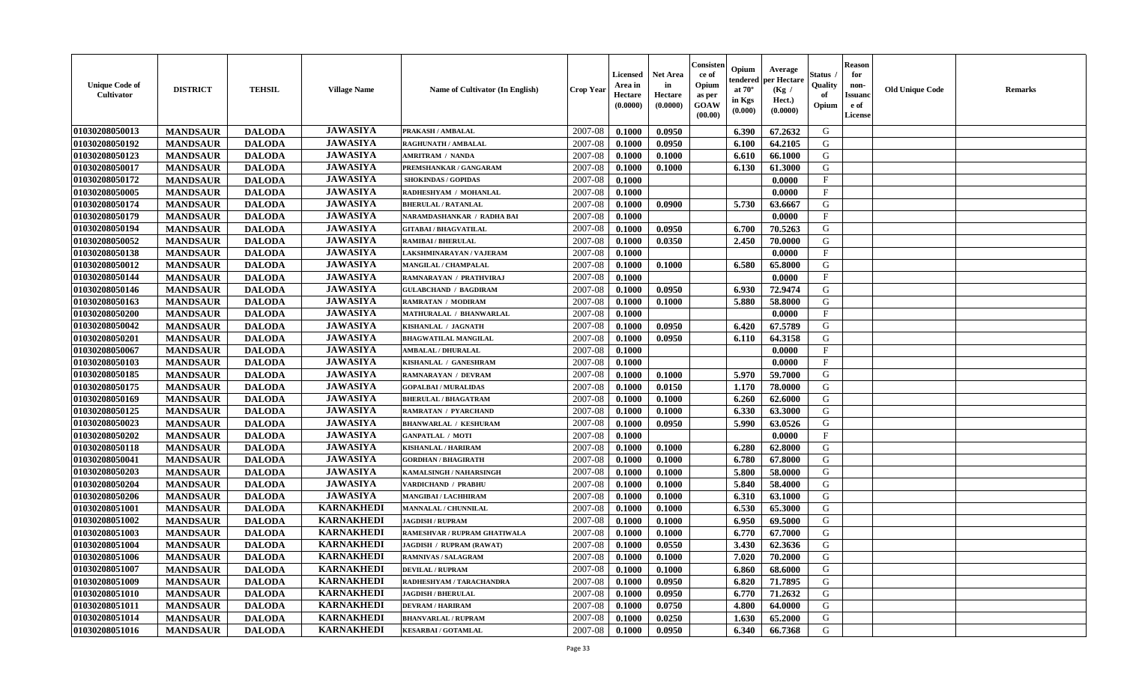| <b>Unique Code of</b><br><b>Cultivator</b> | <b>DISTRICT</b> | <b>TEHSIL</b> | <b>Village Name</b> | Name of Cultivator (In English) | <b>Crop Year</b> | <b>Licensed</b><br>Area in<br>Hectare<br>(0.0000) | <b>Net Area</b><br>in<br>Hectare<br>(0.0000) | Consister<br>ce of<br>Opium<br>as per<br><b>GOAW</b><br>(00.00) | Opium<br>endered<br>at $70^\circ$<br>in Kgs<br>(0.000) | Average<br>per Hectare<br>(Kg /<br>Hect.)<br>(0.0000) | Status<br>Quality<br>of<br>Opium | <b>Reason</b><br>for<br>non-<br><b>Issuand</b><br>e of<br><b>License</b> | <b>Old Unique Code</b> | <b>Remarks</b> |
|--------------------------------------------|-----------------|---------------|---------------------|---------------------------------|------------------|---------------------------------------------------|----------------------------------------------|-----------------------------------------------------------------|--------------------------------------------------------|-------------------------------------------------------|----------------------------------|--------------------------------------------------------------------------|------------------------|----------------|
| 01030208050013                             | <b>MANDSAUR</b> | <b>DALODA</b> | <b>JAWASIYA</b>     | PRAKASH / AMBALAL               | 2007-08          | 0.1000                                            | 0.0950                                       |                                                                 | 6.390                                                  | 67.2632                                               | G                                |                                                                          |                        |                |
| 01030208050192                             | <b>MANDSAUR</b> | <b>DALODA</b> | <b>JAWASIYA</b>     | <b>RAGHUNATH / AMBALAL</b>      | 2007-08          | 0.1000                                            | 0.0950                                       |                                                                 | 6.100                                                  | 64.2105                                               | G                                |                                                                          |                        |                |
| 01030208050123                             | <b>MANDSAUR</b> | <b>DALODA</b> | <b>JAWASIYA</b>     | <b>AMRITRAM / NANDA</b>         | 2007-08          | 0.1000                                            | 0.1000                                       |                                                                 | 6.610                                                  | 66.1000                                               | G                                |                                                                          |                        |                |
| 01030208050017                             | <b>MANDSAUR</b> | <b>DALODA</b> | <b>JAWASIYA</b>     | PREMSHANKAR / GANGARAM          | 2007-08          | 0.1000                                            | 0.1000                                       |                                                                 | 6.130                                                  | 61.3000                                               | G                                |                                                                          |                        |                |
| 01030208050172                             | <b>MANDSAUR</b> | <b>DALODA</b> | <b>JAWASIYA</b>     | <b>SHOKINDAS / GOPIDAS</b>      | 2007-08          | 0.1000                                            |                                              |                                                                 |                                                        | 0.0000                                                | $\mathbf{F}$                     |                                                                          |                        |                |
| 01030208050005                             | <b>MANDSAUR</b> | <b>DALODA</b> | <b>JAWASIYA</b>     | RADHESHYAM / MOHANLAL           | 2007-08          | 0.1000                                            |                                              |                                                                 |                                                        | 0.0000                                                | $_{\rm F}$                       |                                                                          |                        |                |
| 01030208050174                             | <b>MANDSAUR</b> | <b>DALODA</b> | <b>JAWASIYA</b>     | <b>BHERULAL / RATANLAL</b>      | 2007-08          | 0.1000                                            | 0.0900                                       |                                                                 | 5.730                                                  | 63.6667                                               | G                                |                                                                          |                        |                |
| 01030208050179                             | <b>MANDSAUR</b> | <b>DALODA</b> | <b>JAWASIYA</b>     | NARAMDASHANKAR / RADHA BAI      | 2007-08          | 0.1000                                            |                                              |                                                                 |                                                        | 0.0000                                                | $\mathbf{F}$                     |                                                                          |                        |                |
| 01030208050194                             | <b>MANDSAUR</b> | <b>DALODA</b> | <b>JAWASIYA</b>     | <b>GITABAI/BHAGVATILAL</b>      | 2007-08          | 0.1000                                            | 0.0950                                       |                                                                 | 6.700                                                  | 70.5263                                               | G                                |                                                                          |                        |                |
| 01030208050052                             | <b>MANDSAUR</b> | <b>DALODA</b> | <b>JAWASIYA</b>     | <b>RAMIBAI / BHERULAL</b>       | 2007-08          | 0.1000                                            | 0.0350                                       |                                                                 | 2.450                                                  | 70.0000                                               | G                                |                                                                          |                        |                |
| 01030208050138                             | <b>MANDSAUR</b> | <b>DALODA</b> | <b>JAWASIYA</b>     | LAKSHMINARAYAN / VAJERAM        | 2007-08          | 0.1000                                            |                                              |                                                                 |                                                        | 0.0000                                                | F                                |                                                                          |                        |                |
| 01030208050012                             | <b>MANDSAUR</b> | <b>DALODA</b> | <b>JAWASIYA</b>     | MANGILAL / CHAMPALAL            | 2007-08          | 0.1000                                            | 0.1000                                       |                                                                 | 6.580                                                  | 65.8000                                               | G                                |                                                                          |                        |                |
| 01030208050144                             | <b>MANDSAUR</b> | <b>DALODA</b> | <b>JAWASIYA</b>     | RAMNARAYAN / PRATHVIRAJ         | 2007-08          | 0.1000                                            |                                              |                                                                 |                                                        | 0.0000                                                | $\mathbf{F}$                     |                                                                          |                        |                |
| 01030208050146                             | <b>MANDSAUR</b> | <b>DALODA</b> | <b>JAWASIYA</b>     | <b>GULABCHAND / BAGDIRAM</b>    | 2007-08          | 0.1000                                            | 0.0950                                       |                                                                 | 6.930                                                  | 72.9474                                               | G                                |                                                                          |                        |                |
| 01030208050163                             | <b>MANDSAUR</b> | <b>DALODA</b> | <b>JAWASIYA</b>     | <b>RAMRATAN / MODIRAM</b>       | 2007-08          | 0.1000                                            | 0.1000                                       |                                                                 | 5.880                                                  | 58.8000                                               | G                                |                                                                          |                        |                |
| 01030208050200                             | <b>MANDSAUR</b> | <b>DALODA</b> | <b>JAWASIYA</b>     | MATHURALAL / BHANWARLAL         | 2007-08          | 0.1000                                            |                                              |                                                                 |                                                        | 0.0000                                                | $\rm F$                          |                                                                          |                        |                |
| 01030208050042                             | <b>MANDSAUR</b> | <b>DALODA</b> | <b>JAWASIYA</b>     | KISHANLAL / JAGNATH             | 2007-08          | 0.1000                                            | 0.0950                                       |                                                                 | 6.420                                                  | 67.5789                                               | G                                |                                                                          |                        |                |
| 01030208050201                             | <b>MANDSAUR</b> | <b>DALODA</b> | <b>JAWASIYA</b>     | <b>BHAGWATILAL MANGILAL</b>     | 2007-08          | 0.1000                                            | 0.0950                                       |                                                                 | 6.110                                                  | 64.3158                                               | G                                |                                                                          |                        |                |
| 01030208050067                             | <b>MANDSAUR</b> | <b>DALODA</b> | <b>JAWASIYA</b>     | <b>AMBALAL / DHURALAL</b>       | 2007-08          | 0.1000                                            |                                              |                                                                 |                                                        | 0.0000                                                | F                                |                                                                          |                        |                |
| 01030208050103                             | <b>MANDSAUR</b> | <b>DALODA</b> | <b>JAWASIYA</b>     | KISHANLAL / GANESHRAM           | 2007-08          | 0.1000                                            |                                              |                                                                 |                                                        | 0.0000                                                | $\mathbf{F}$                     |                                                                          |                        |                |
| 01030208050185                             | <b>MANDSAUR</b> | <b>DALODA</b> | <b>JAWASIYA</b>     | <b>RAMNARAYAN / DEVRAM</b>      | 2007-08          | 0.1000                                            | 0.1000                                       |                                                                 | 5.970                                                  | 59.7000                                               | G                                |                                                                          |                        |                |
| 01030208050175                             | <b>MANDSAUR</b> | <b>DALODA</b> | <b>JAWASIYA</b>     | <b>GOPALBAI/MURALIDAS</b>       | 2007-08          | 0.1000                                            | 0.0150                                       |                                                                 | 1.170                                                  | 78.0000                                               | G                                |                                                                          |                        |                |
| 01030208050169                             | <b>MANDSAUR</b> | <b>DALODA</b> | <b>JAWASIYA</b>     | <b>BHERULAL / BHAGATRAM</b>     | 2007-08          | 0.1000                                            | 0.1000                                       |                                                                 | 6.260                                                  | 62.6000                                               | G                                |                                                                          |                        |                |
| 01030208050125                             | <b>MANDSAUR</b> | <b>DALODA</b> | <b>JAWASIYA</b>     | <b>RAMRATAN / PYARCHAND</b>     | 2007-08          | 0.1000                                            | 0.1000                                       |                                                                 | 6.330                                                  | 63.3000                                               | G                                |                                                                          |                        |                |
| 01030208050023                             | <b>MANDSAUR</b> | <b>DALODA</b> | <b>JAWASIYA</b>     | <b>BHANWARLAL / KESHURAM</b>    | 2007-08          | 0.1000                                            | 0.0950                                       |                                                                 | 5.990                                                  | 63.0526                                               | G                                |                                                                          |                        |                |
| 01030208050202                             | <b>MANDSAUR</b> | <b>DALODA</b> | <b>JAWASIYA</b>     | <b>GANPATLAL / MOTI</b>         | 2007-08          | 0.1000                                            |                                              |                                                                 |                                                        | 0.0000                                                | $\mathbf{F}$                     |                                                                          |                        |                |
| 01030208050118                             | <b>MANDSAUR</b> | <b>DALODA</b> | <b>JAWASIYA</b>     | <b>KISHANLAL / HARIRAM</b>      | 2007-08          | 0.1000                                            | 0.1000                                       |                                                                 | 6.280                                                  | 62.8000                                               | G                                |                                                                          |                        |                |
| 01030208050041                             | <b>MANDSAUR</b> | <b>DALODA</b> | <b>JAWASIYA</b>     | <b>GORDHAN / BHAGIRATH</b>      | 2007-08          | 0.1000                                            | 0.1000                                       |                                                                 | 6.780                                                  | 67.8000                                               | G                                |                                                                          |                        |                |
| 01030208050203                             | <b>MANDSAUR</b> | <b>DALODA</b> | <b>JAWASIYA</b>     | KAMALSINGH / NAHARSINGH         | 2007-08          | 0.1000                                            | 0.1000                                       |                                                                 | 5.800                                                  | 58.0000                                               | G                                |                                                                          |                        |                |
| 01030208050204                             | <b>MANDSAUR</b> | <b>DALODA</b> | <b>JAWASIYA</b>     | VARDICHAND / PRABHU             | 2007-08          | 0.1000                                            | 0.1000                                       |                                                                 | 5.840                                                  | 58.4000                                               | G                                |                                                                          |                        |                |
| 01030208050206                             | <b>MANDSAUR</b> | <b>DALODA</b> | <b>JAWASIYA</b>     | <b>MANGIBAI / LACHHIRAM</b>     | 2007-08          | 0.1000                                            | 0.1000                                       |                                                                 | 6.310                                                  | 63.1000                                               | G                                |                                                                          |                        |                |
| 01030208051001                             | <b>MANDSAUR</b> | <b>DALODA</b> | <b>KARNAKHEDI</b>   | MANNALAL / CHUNNILAL            | 2007-08          | 0.1000                                            | 0.1000                                       |                                                                 | 6.530                                                  | 65.3000                                               | ${\bf G}$                        |                                                                          |                        |                |
| 01030208051002                             | <b>MANDSAUR</b> | <b>DALODA</b> | <b>KARNAKHEDI</b>   | <b>JAGDISH / RUPRAM</b>         | 2007-08          | 0.1000                                            | 0.1000                                       |                                                                 | 6.950                                                  | 69.5000                                               | G                                |                                                                          |                        |                |
| 01030208051003                             | <b>MANDSAUR</b> | <b>DALODA</b> | <b>KARNAKHEDI</b>   | RAMESHVAR / RUPRAM GHATIWALA    | 2007-08          | 0.1000                                            | 0.1000                                       |                                                                 | 6.770                                                  | 67.7000                                               | G                                |                                                                          |                        |                |
| 01030208051004                             | <b>MANDSAUR</b> | <b>DALODA</b> | <b>KARNAKHEDI</b>   | JAGDISH / RUPRAM (RAWAT)        | 2007-08          | 0.1000                                            | 0.0550                                       |                                                                 | 3.430                                                  | 62.3636                                               | G                                |                                                                          |                        |                |
| 01030208051006                             | <b>MANDSAUR</b> | <b>DALODA</b> | <b>KARNAKHEDI</b>   | <b>RAMNIVAS / SALAGRAM</b>      | 2007-08          | 0.1000                                            | 0.1000                                       |                                                                 | 7.020                                                  | 70.2000                                               | G                                |                                                                          |                        |                |
| 01030208051007                             | <b>MANDSAUR</b> | <b>DALODA</b> | <b>KARNAKHEDI</b>   | <b>DEVILAL / RUPRAM</b>         | 2007-08          | 0.1000                                            | 0.1000                                       |                                                                 | 6.860                                                  | 68.6000                                               | G                                |                                                                          |                        |                |
| 01030208051009                             | <b>MANDSAUR</b> | <b>DALODA</b> | <b>KARNAKHEDI</b>   | RADHESHYAM / TARACHANDRA        | 2007-08          | 0.1000                                            | 0.0950                                       |                                                                 | 6.820                                                  | 71.7895                                               | G                                |                                                                          |                        |                |
| 01030208051010                             | <b>MANDSAUR</b> | <b>DALODA</b> | <b>KARNAKHEDI</b>   | <b>JAGDISH / BHERULAL</b>       | 2007-08          | 0.1000                                            | 0.0950                                       |                                                                 | 6.770                                                  | 71.2632                                               | G                                |                                                                          |                        |                |
| 01030208051011                             | <b>MANDSAUR</b> | <b>DALODA</b> | <b>KARNAKHEDI</b>   | <b>DEVRAM / HARIRAM</b>         | 2007-08          | 0.1000                                            | 0.0750                                       |                                                                 | 4.800                                                  | 64.0000                                               | ${\bf G}$                        |                                                                          |                        |                |
| 01030208051014                             | <b>MANDSAUR</b> | <b>DALODA</b> | <b>KARNAKHEDI</b>   | <b>BHANVARLAL / RUPRAM</b>      | 2007-08          | 0.1000                                            | 0.0250                                       |                                                                 | 1.630                                                  | 65.2000                                               | G                                |                                                                          |                        |                |
| 01030208051016                             | <b>MANDSAUR</b> | <b>DALODA</b> | <b>KARNAKHEDI</b>   | <b>KESARBAI/GOTAMLAL</b>        | 2007-08          | 0.1000                                            | 0.0950                                       |                                                                 | 6.340                                                  | 66.7368                                               | G                                |                                                                          |                        |                |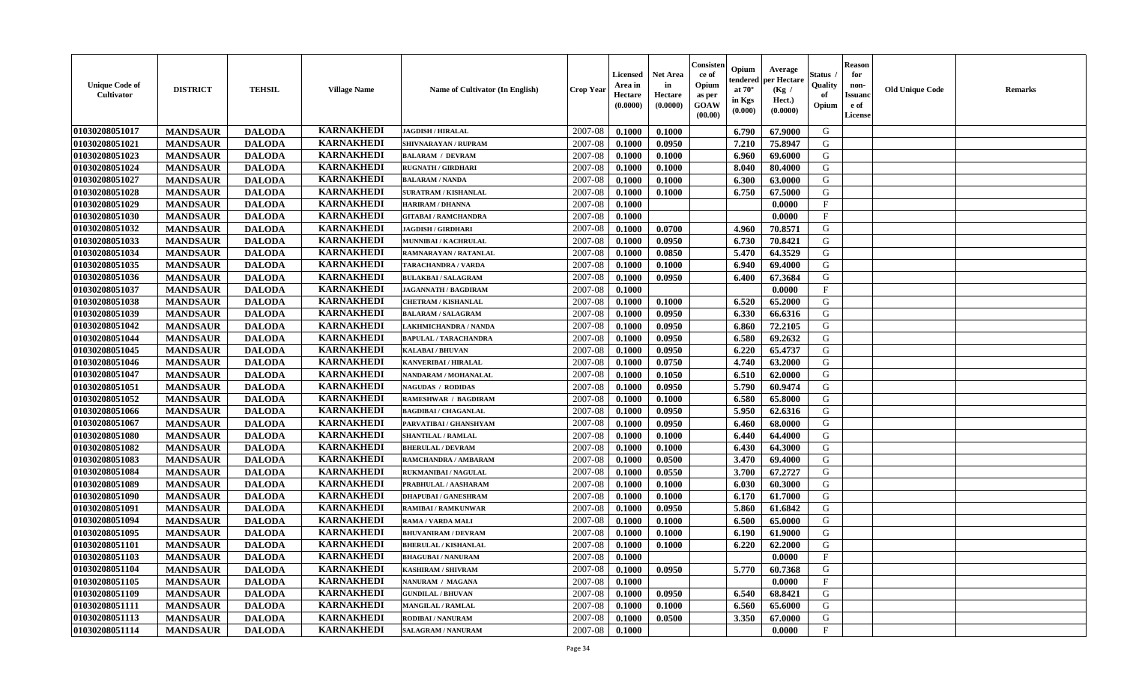| <b>Unique Code of</b><br><b>Cultivator</b> | <b>DISTRICT</b> | <b>TEHSIL</b> | <b>Village Name</b> | Name of Cultivator (In English) | <b>Crop Year</b> | <b>Licensed</b><br>Area in<br>Hectare<br>(0.0000) | Net Area<br>in<br>Hectare<br>(0.0000) | Consister<br>ce of<br>Opium<br>as per<br><b>GOAW</b><br>(00.00) | Opium<br>endered<br>at $70^\circ$<br>in Kgs<br>(0.000) | Average<br>per Hectare<br>(Kg /<br>Hect.)<br>(0.0000) | Status<br>Quality<br>of<br>Opium | <b>Reason</b><br>for<br>non-<br><b>Issuand</b><br>e of<br><b>License</b> | <b>Old Unique Code</b> | <b>Remarks</b> |
|--------------------------------------------|-----------------|---------------|---------------------|---------------------------------|------------------|---------------------------------------------------|---------------------------------------|-----------------------------------------------------------------|--------------------------------------------------------|-------------------------------------------------------|----------------------------------|--------------------------------------------------------------------------|------------------------|----------------|
| 01030208051017                             | <b>MANDSAUR</b> | <b>DALODA</b> | <b>KARNAKHEDI</b>   | <b>JAGDISH / HIRALAL</b>        | 2007-08          | 0.1000                                            | 0.1000                                |                                                                 | 6.790                                                  | 67.9000                                               | G                                |                                                                          |                        |                |
| 01030208051021                             | <b>MANDSAUR</b> | <b>DALODA</b> | <b>KARNAKHEDI</b>   | SHIVNARAYAN / RUPRAM            | 2007-08          | 0.1000                                            | 0.0950                                |                                                                 | 7.210                                                  | 75.8947                                               | G                                |                                                                          |                        |                |
| 01030208051023                             | <b>MANDSAUR</b> | <b>DALODA</b> | <b>KARNAKHEDI</b>   | <b>BALARAM / DEVRAM</b>         | 2007-08          | 0.1000                                            | 0.1000                                |                                                                 | 6.960                                                  | 69.6000                                               | G                                |                                                                          |                        |                |
| 01030208051024                             | <b>MANDSAUR</b> | <b>DALODA</b> | <b>KARNAKHEDI</b>   | <b>RUGNATH / GIRDHARI</b>       | 2007-08          | 0.1000                                            | 0.1000                                |                                                                 | 8.040                                                  | 80.4000                                               | G                                |                                                                          |                        |                |
| 01030208051027                             | <b>MANDSAUR</b> | <b>DALODA</b> | <b>KARNAKHEDI</b>   | <b>BALARAM / NANDA</b>          | 2007-08          | 0.1000                                            | 0.1000                                |                                                                 | 6.300                                                  | 63.0000                                               | G                                |                                                                          |                        |                |
| 01030208051028                             | <b>MANDSAUR</b> | <b>DALODA</b> | <b>KARNAKHEDI</b>   | <b>SURATRAM / KISHANLAL</b>     | 2007-08          | 0.1000                                            | 0.1000                                |                                                                 | 6.750                                                  | 67.5000                                               | G                                |                                                                          |                        |                |
| 01030208051029                             | <b>MANDSAUR</b> | <b>DALODA</b> | <b>KARNAKHEDI</b>   | <b>HARIRAM / DHANNA</b>         | 2007-08          | 0.1000                                            |                                       |                                                                 |                                                        | 0.0000                                                | F                                |                                                                          |                        |                |
| 01030208051030                             | <b>MANDSAUR</b> | <b>DALODA</b> | <b>KARNAKHEDI</b>   | <b>GITABAI/RAMCHANDRA</b>       | 2007-08          | 0.1000                                            |                                       |                                                                 |                                                        | 0.0000                                                | $\mathbf{F}$                     |                                                                          |                        |                |
| 01030208051032                             | <b>MANDSAUR</b> | <b>DALODA</b> | <b>KARNAKHEDI</b>   | <b>JAGDISH / GIRDHARI</b>       | 2007-08          | 0.1000                                            | 0.0700                                |                                                                 | 4.960                                                  | 70.8571                                               | G                                |                                                                          |                        |                |
| 01030208051033                             | <b>MANDSAUR</b> | <b>DALODA</b> | <b>KARNAKHEDI</b>   | MUNNIBAI / KACHRULAL            | 2007-08          | 0.1000                                            | 0.0950                                |                                                                 | 6.730                                                  | 70.8421                                               | G                                |                                                                          |                        |                |
| 01030208051034                             | <b>MANDSAUR</b> | <b>DALODA</b> | <b>KARNAKHEDI</b>   | RAMNARAYAN / RATANLAL           | 2007-08          | 0.1000                                            | 0.0850                                |                                                                 | 5.470                                                  | 64.3529                                               | G                                |                                                                          |                        |                |
| 01030208051035                             | <b>MANDSAUR</b> | <b>DALODA</b> | <b>KARNAKHEDI</b>   | TARACHANDRA / VARDA             | 2007-08          | 0.1000                                            | 0.1000                                |                                                                 | 6.940                                                  | 69.4000                                               | G                                |                                                                          |                        |                |
| 01030208051036                             | <b>MANDSAUR</b> | <b>DALODA</b> | <b>KARNAKHEDI</b>   | <b>BULAKBAI/SALAGRAM</b>        | 2007-08          | 0.1000                                            | 0.0950                                |                                                                 | 6.400                                                  | 67.3684                                               | G                                |                                                                          |                        |                |
| 01030208051037                             | <b>MANDSAUR</b> | <b>DALODA</b> | <b>KARNAKHEDI</b>   | <b>JAGANNATH / BAGDIRAM</b>     | 2007-08          | 0.1000                                            |                                       |                                                                 |                                                        | 0.0000                                                | $_{\rm F}$                       |                                                                          |                        |                |
| 01030208051038                             | <b>MANDSAUR</b> | <b>DALODA</b> | <b>KARNAKHEDI</b>   | <b>CHETRAM / KISHANLAL</b>      | 2007-08          | 0.1000                                            | 0.1000                                |                                                                 | 6.520                                                  | 65.2000                                               | G                                |                                                                          |                        |                |
| 01030208051039                             | <b>MANDSAUR</b> | <b>DALODA</b> | <b>KARNAKHEDI</b>   | <b>BALARAM / SALAGRAM</b>       | 2007-08          | 0.1000                                            | 0.0950                                |                                                                 | 6.330                                                  | 66.6316                                               | G                                |                                                                          |                        |                |
| 01030208051042                             | <b>MANDSAUR</b> | <b>DALODA</b> | <b>KARNAKHEDI</b>   | LAKHMICHANDRA / NANDA           | 2007-08          | 0.1000                                            | 0.0950                                |                                                                 | 6.860                                                  | 72.2105                                               | G                                |                                                                          |                        |                |
| 01030208051044                             | <b>MANDSAUR</b> | <b>DALODA</b> | <b>KARNAKHEDI</b>   | <b>BAPULAL / TARACHANDRA</b>    | 2007-08          | 0.1000                                            | 0.0950                                |                                                                 | 6.580                                                  | 69.2632                                               | G                                |                                                                          |                        |                |
| 01030208051045                             | <b>MANDSAUR</b> | <b>DALODA</b> | <b>KARNAKHEDI</b>   | <b>KALABAI/BHUVAN</b>           | 2007-08          | 0.1000                                            | 0.0950                                |                                                                 | 6.220                                                  | 65.4737                                               | G                                |                                                                          |                        |                |
| 01030208051046                             | <b>MANDSAUR</b> | <b>DALODA</b> | <b>KARNAKHEDI</b>   | <b>KANVERIBAI / HIRALAL</b>     | 2007-08          | 0.1000                                            | 0.0750                                |                                                                 | 4.740                                                  | 63.2000                                               | G                                |                                                                          |                        |                |
| 01030208051047                             | <b>MANDSAUR</b> | <b>DALODA</b> | <b>KARNAKHEDI</b>   | NANDARAM / MOHANALAL            | 2007-08          | 0.1000                                            | 0.1050                                |                                                                 | 6.510                                                  | 62.0000                                               | G                                |                                                                          |                        |                |
| 01030208051051                             | <b>MANDSAUR</b> | <b>DALODA</b> | <b>KARNAKHEDI</b>   | <b>NAGUDAS / RODIDAS</b>        | 2007-08          | 0.1000                                            | 0.0950                                |                                                                 | 5.790                                                  | 60.9474                                               | G                                |                                                                          |                        |                |
| 01030208051052                             | <b>MANDSAUR</b> | <b>DALODA</b> | <b>KARNAKHEDI</b>   | RAMESHWAR / BAGDIRAM            | 2007-08          | 0.1000                                            | 0.1000                                |                                                                 | 6.580                                                  | 65.8000                                               | G                                |                                                                          |                        |                |
| 01030208051066                             | <b>MANDSAUR</b> | <b>DALODA</b> | <b>KARNAKHEDI</b>   | <b>BAGDIBAI / CHAGANLAL</b>     | 2007-08          | 0.1000                                            | 0.0950                                |                                                                 | 5.950                                                  | 62.6316                                               | G                                |                                                                          |                        |                |
| 01030208051067                             | <b>MANDSAUR</b> | <b>DALODA</b> | <b>KARNAKHEDI</b>   | PARVATIBAI / GHANSHYAM          | 2007-08          | 0.1000                                            | 0.0950                                |                                                                 | 6.460                                                  | 68.0000                                               | G                                |                                                                          |                        |                |
| 01030208051080                             | <b>MANDSAUR</b> | <b>DALODA</b> | <b>KARNAKHEDI</b>   | <b>SHANTILAL / RAMLAL</b>       | 2007-08          | 0.1000                                            | 0.1000                                |                                                                 | 6.440                                                  | 64.4000                                               | G                                |                                                                          |                        |                |
| 01030208051082                             | <b>MANDSAUR</b> | <b>DALODA</b> | <b>KARNAKHEDI</b>   | <b>BHERULAL / DEVRAM</b>        | 2007-08          | 0.1000                                            | 0.1000                                |                                                                 | 6.430                                                  | 64.3000                                               | G                                |                                                                          |                        |                |
| 01030208051083                             | <b>MANDSAUR</b> | <b>DALODA</b> | <b>KARNAKHEDI</b>   | RAMCHANDRA / AMBARAM            | 2007-08          | 0.1000                                            | 0.0500                                |                                                                 | 3.470                                                  | 69.4000                                               | G                                |                                                                          |                        |                |
| 01030208051084                             | <b>MANDSAUR</b> | <b>DALODA</b> | <b>KARNAKHEDI</b>   | RUKMANIBAI / NAGULAL            | 2007-08          | 0.1000                                            | 0.0550                                |                                                                 | 3.700                                                  | 67.2727                                               | G                                |                                                                          |                        |                |
| 01030208051089                             | <b>MANDSAUR</b> | <b>DALODA</b> | <b>KARNAKHEDI</b>   | PRABHULAL / AASHARAM            | 2007-08          | 0.1000                                            | 0.1000                                |                                                                 | 6.030                                                  | 60.3000                                               | G                                |                                                                          |                        |                |
| 01030208051090                             | <b>MANDSAUR</b> | <b>DALODA</b> | <b>KARNAKHEDI</b>   | <b>DHAPUBAI/GANESHRAM</b>       | 2007-08          | 0.1000                                            | 0.1000                                |                                                                 | 6.170                                                  | 61.7000                                               | G                                |                                                                          |                        |                |
| 01030208051091                             | <b>MANDSAUR</b> | <b>DALODA</b> | <b>KARNAKHEDI</b>   | <b>RAMIBAI / RAMKUNWAR</b>      | 2007-08          | 0.1000                                            | 0.0950                                |                                                                 | 5.860                                                  | 61.6842                                               | ${\bf G}$                        |                                                                          |                        |                |
| 01030208051094                             | <b>MANDSAUR</b> | <b>DALODA</b> | <b>KARNAKHEDI</b>   | RAMA / VARDA MALI               | 2007-08          | 0.1000                                            | 0.1000                                |                                                                 | 6.500                                                  | 65.0000                                               | G                                |                                                                          |                        |                |
| 01030208051095                             | <b>MANDSAUR</b> | <b>DALODA</b> | <b>KARNAKHEDI</b>   | <b>BHUVANIRAM / DEVRAM</b>      | 2007-08          | 0.1000                                            | 0.1000                                |                                                                 | 6.190                                                  | 61.9000                                               | G                                |                                                                          |                        |                |
| 01030208051101                             | <b>MANDSAUR</b> | <b>DALODA</b> | <b>KARNAKHEDI</b>   | <b>BHERULAL / KISHANLAL</b>     | 2007-08          | 0.1000                                            | 0.1000                                |                                                                 | 6.220                                                  | 62.2000                                               | G                                |                                                                          |                        |                |
| 01030208051103                             | <b>MANDSAUR</b> | <b>DALODA</b> | <b>KARNAKHEDI</b>   | <b>BHAGUBAI / NANURAM</b>       | 2007-08          | 0.1000                                            |                                       |                                                                 |                                                        | 0.0000                                                | F                                |                                                                          |                        |                |
| 01030208051104                             | <b>MANDSAUR</b> | <b>DALODA</b> | <b>KARNAKHEDI</b>   | <b>KASHIRAM / SHIVRAM</b>       | 2007-08          | 0.1000                                            | 0.0950                                |                                                                 | 5.770                                                  | 60.7368                                               | G                                |                                                                          |                        |                |
| 01030208051105                             | <b>MANDSAUR</b> | <b>DALODA</b> | <b>KARNAKHEDI</b>   | NANURAM / MAGANA                | 2007-08          | 0.1000                                            |                                       |                                                                 |                                                        | 0.0000                                                | $\mathbf{F}$                     |                                                                          |                        |                |
| 01030208051109                             | <b>MANDSAUR</b> | <b>DALODA</b> | <b>KARNAKHEDI</b>   | <b>GUNDILAL / BHUVAN</b>        | 2007-08          | 0.1000                                            | 0.0950                                |                                                                 | 6.540                                                  | 68.8421                                               | G                                |                                                                          |                        |                |
| 01030208051111                             | <b>MANDSAUR</b> | <b>DALODA</b> | <b>KARNAKHEDI</b>   | <b>MANGILAL / RAMLAL</b>        | 2007-08          | 0.1000                                            | 0.1000                                |                                                                 | 6.560                                                  | 65.6000                                               | ${\bf G}$                        |                                                                          |                        |                |
| 01030208051113                             | <b>MANDSAUR</b> | <b>DALODA</b> | <b>KARNAKHEDI</b>   | RODIBAI / NANURAM               | 2007-08          | 0.1000                                            | 0.0500                                |                                                                 | 3.350                                                  | 67.0000                                               | G                                |                                                                          |                        |                |
| 01030208051114                             | <b>MANDSAUR</b> | <b>DALODA</b> | <b>KARNAKHEDI</b>   | <b>SALAGRAM / NANURAM</b>       | 2007-08          | 0.1000                                            |                                       |                                                                 |                                                        | 0.0000                                                | $\mathbf{F}$                     |                                                                          |                        |                |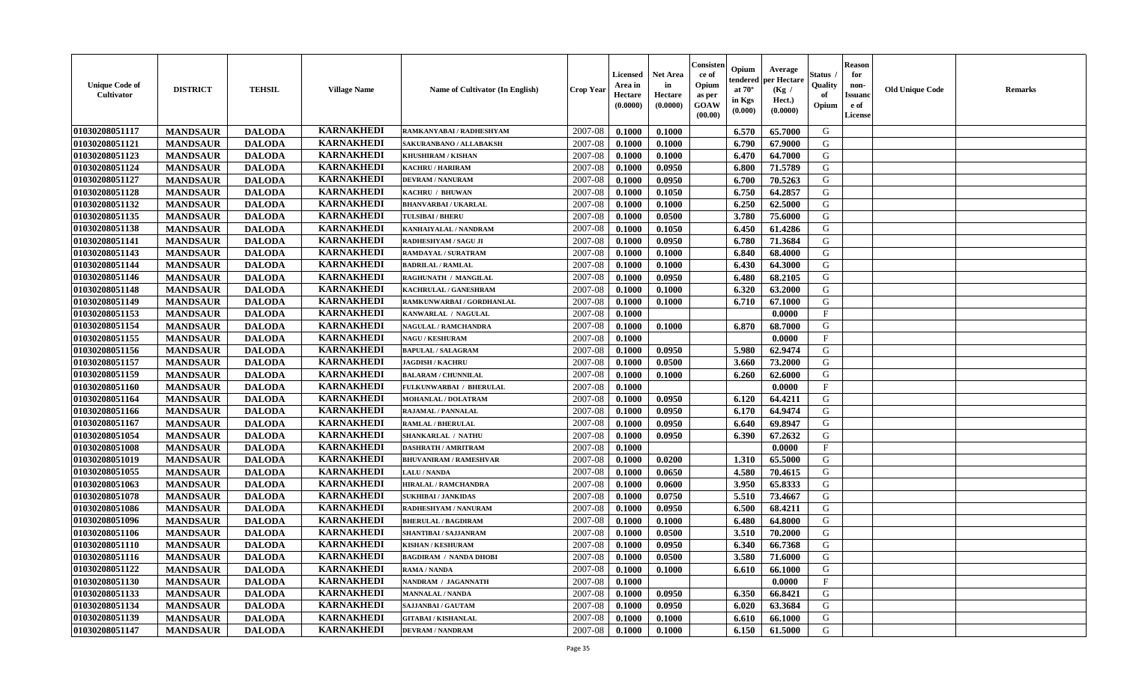| <b>Unique Code of</b><br><b>Cultivator</b> | <b>DISTRICT</b> | <b>TEHSIL</b> | <b>Village Name</b> | Name of Cultivator (In English) | <b>Crop Year</b> | <b>Licensed</b><br>Area in<br>Hectare<br>(0.0000) | Net Area<br>in<br>Hectare<br>(0.0000) | Consister<br>ce of<br>Opium<br>as per<br><b>GOAW</b><br>(00.00) | Opium<br>endered<br>at $70^\circ$<br>in Kgs<br>(0.000) | Average<br>per Hectare<br>(Kg /<br>Hect.)<br>(0.0000) | Status<br>Quality<br>of<br>Opium | <b>Reason</b><br>for<br>non-<br><b>Issuand</b><br>e of<br><b>License</b> | <b>Old Unique Code</b> | <b>Remarks</b> |
|--------------------------------------------|-----------------|---------------|---------------------|---------------------------------|------------------|---------------------------------------------------|---------------------------------------|-----------------------------------------------------------------|--------------------------------------------------------|-------------------------------------------------------|----------------------------------|--------------------------------------------------------------------------|------------------------|----------------|
| 01030208051117                             | <b>MANDSAUR</b> | <b>DALODA</b> | <b>KARNAKHEDI</b>   | RAMKANYABAI / RADHESHYAM        | 2007-08          | 0.1000                                            | 0.1000                                |                                                                 | 6.570                                                  | 65.7000                                               | G                                |                                                                          |                        |                |
| 01030208051121                             | <b>MANDSAUR</b> | <b>DALODA</b> | <b>KARNAKHEDI</b>   | SAKURANBANO / ALLABAKSH         | 2007-08          | 0.1000                                            | 0.1000                                |                                                                 | 6.790                                                  | 67.9000                                               | G                                |                                                                          |                        |                |
| 01030208051123                             | <b>MANDSAUR</b> | <b>DALODA</b> | <b>KARNAKHEDI</b>   | KHUSHIRAM / KISHAN              | 2007-08          | 0.1000                                            | 0.1000                                |                                                                 | 6.470                                                  | 64.7000                                               | G                                |                                                                          |                        |                |
| 01030208051124                             | <b>MANDSAUR</b> | <b>DALODA</b> | <b>KARNAKHEDI</b>   | <b>KACHRU / HARIRAM</b>         | 2007-08          | 0.1000                                            | 0.0950                                |                                                                 | 6.800                                                  | 71.5789                                               | G                                |                                                                          |                        |                |
| 01030208051127                             | <b>MANDSAUR</b> | <b>DALODA</b> | <b>KARNAKHEDI</b>   | <b>DEVRAM / NANURAM</b>         | 2007-08          | 0.1000                                            | 0.0950                                |                                                                 | 6.700                                                  | 70.5263                                               | G                                |                                                                          |                        |                |
| 01030208051128                             | <b>MANDSAUR</b> | <b>DALODA</b> | <b>KARNAKHEDI</b>   | KACHRU / BHUWAN                 | 2007-08          | 0.1000                                            | 0.1050                                |                                                                 | 6.750                                                  | 64.2857                                               | G                                |                                                                          |                        |                |
| 01030208051132                             | <b>MANDSAUR</b> | <b>DALODA</b> | <b>KARNAKHEDI</b>   | <b>BHANVARBAI/UKARLAL</b>       | 2007-08          | 0.1000                                            | 0.1000                                |                                                                 | 6.250                                                  | 62.5000                                               | G                                |                                                                          |                        |                |
| 01030208051135                             | <b>MANDSAUR</b> | <b>DALODA</b> | <b>KARNAKHEDI</b>   | <b>TULSIBAI/BHERU</b>           | 2007-08          | 0.1000                                            | 0.0500                                |                                                                 | 3.780                                                  | 75.6000                                               | ${\bf G}$                        |                                                                          |                        |                |
| 01030208051138                             | <b>MANDSAUR</b> | <b>DALODA</b> | <b>KARNAKHEDI</b>   | KANHAIYALAL / NANDRAM           | 2007-08          | 0.1000                                            | 0.1050                                |                                                                 | 6.450                                                  | 61.4286                                               | G                                |                                                                          |                        |                |
| 01030208051141                             | <b>MANDSAUR</b> | <b>DALODA</b> | <b>KARNAKHEDI</b>   | RADHESHYAM / SAGU JI            | 2007-08          | 0.1000                                            | 0.0950                                |                                                                 | 6.780                                                  | 71.3684                                               | G                                |                                                                          |                        |                |
| 01030208051143                             | <b>MANDSAUR</b> | <b>DALODA</b> | <b>KARNAKHEDI</b>   | <b>RAMDAYAL / SURATRAM</b>      | 2007-08          | 0.1000                                            | 0.1000                                |                                                                 | 6.840                                                  | 68.4000                                               | G                                |                                                                          |                        |                |
| 01030208051144                             | <b>MANDSAUR</b> | <b>DALODA</b> | <b>KARNAKHEDI</b>   | <b>BADRILAL / RAMLAL</b>        | 2007-08          | 0.1000                                            | 0.1000                                |                                                                 | 6.430                                                  | 64.3000                                               | G                                |                                                                          |                        |                |
| 01030208051146                             | <b>MANDSAUR</b> | <b>DALODA</b> | <b>KARNAKHEDI</b>   | RAGHUNATH / MANGILAL            | 2007-08          | 0.1000                                            | 0.0950                                |                                                                 | 6.480                                                  | 68.2105                                               | G                                |                                                                          |                        |                |
| 01030208051148                             | <b>MANDSAUR</b> | <b>DALODA</b> | <b>KARNAKHEDI</b>   | KACHRULAL / GANESHRAM           | 2007-08          | 0.1000                                            | 0.1000                                |                                                                 | 6.320                                                  | 63.2000                                               | G                                |                                                                          |                        |                |
| 01030208051149                             | <b>MANDSAUR</b> | <b>DALODA</b> | <b>KARNAKHEDI</b>   | RAMKUNWARBAI / GORDHANLAL       | 2007-08          | 0.1000                                            | 0.1000                                |                                                                 | 6.710                                                  | 67.1000                                               | G                                |                                                                          |                        |                |
| 01030208051153                             | <b>MANDSAUR</b> | <b>DALODA</b> | <b>KARNAKHEDI</b>   | KANWARLAL / NAGULAL             | 2007-08          | 0.1000                                            |                                       |                                                                 |                                                        | 0.0000                                                | $\rm F$                          |                                                                          |                        |                |
| 01030208051154                             | <b>MANDSAUR</b> | <b>DALODA</b> | <b>KARNAKHEDI</b>   | <b>NAGULAL / RAMCHANDRA</b>     | 2007-08          | 0.1000                                            | 0.1000                                |                                                                 | 6.870                                                  | 68.7000                                               | G                                |                                                                          |                        |                |
| 01030208051155                             | <b>MANDSAUR</b> | <b>DALODA</b> | <b>KARNAKHEDI</b>   | <b>NAGU / KESHURAM</b>          | 2007-08          | 0.1000                                            |                                       |                                                                 |                                                        | 0.0000                                                | $\mathbf{F}$                     |                                                                          |                        |                |
| 01030208051156                             | <b>MANDSAUR</b> | <b>DALODA</b> | <b>KARNAKHEDI</b>   | <b>BAPULAL / SALAGRAM</b>       | 2007-08          | 0.1000                                            | 0.0950                                |                                                                 | 5.980                                                  | 62.9474                                               | G                                |                                                                          |                        |                |
| 01030208051157                             | <b>MANDSAUR</b> | <b>DALODA</b> | <b>KARNAKHEDI</b>   | <b>JAGDISH / KACHRU</b>         | 2007-08          | 0.1000                                            | 0.0500                                |                                                                 | 3.660                                                  | 73.2000                                               | G                                |                                                                          |                        |                |
| 01030208051159                             | <b>MANDSAUR</b> | <b>DALODA</b> | <b>KARNAKHEDI</b>   | <b>BALARAM / CHUNNILAL</b>      | 2007-08          | 0.1000                                            | 0.1000                                |                                                                 | 6.260                                                  | 62.6000                                               | G                                |                                                                          |                        |                |
| 01030208051160                             | <b>MANDSAUR</b> | <b>DALODA</b> | <b>KARNAKHEDI</b>   | FULKUNWARBAI / BHERULAL         | 2007-08          | 0.1000                                            |                                       |                                                                 |                                                        | 0.0000                                                | $_{\rm F}$                       |                                                                          |                        |                |
| 01030208051164                             | <b>MANDSAUR</b> | <b>DALODA</b> | <b>KARNAKHEDI</b>   | <b>MOHANLAL / DOLATRAM</b>      | 2007-08          | 0.1000                                            | 0.0950                                |                                                                 | 6.120                                                  | 64.4211                                               | G                                |                                                                          |                        |                |
| 01030208051166                             | <b>MANDSAUR</b> | <b>DALODA</b> | <b>KARNAKHEDI</b>   | RAJAMAL / PANNALAL              | 2007-08          | 0.1000                                            | 0.0950                                |                                                                 | 6.170                                                  | 64.9474                                               | G                                |                                                                          |                        |                |
| 01030208051167                             | <b>MANDSAUR</b> | <b>DALODA</b> | <b>KARNAKHEDI</b>   | <b>RAMLAL / BHERULAL</b>        | 2007-08          | 0.1000                                            | 0.0950                                |                                                                 | 6.640                                                  | 69.8947                                               | G                                |                                                                          |                        |                |
| 01030208051054                             | <b>MANDSAUR</b> | <b>DALODA</b> | <b>KARNAKHEDI</b>   | <b>SHANKARLAL / NATHU</b>       | 2007-08          | 0.1000                                            | 0.0950                                |                                                                 | 6.390                                                  | 67.2632                                               | G                                |                                                                          |                        |                |
| 01030208051008                             | <b>MANDSAUR</b> | <b>DALODA</b> | <b>KARNAKHEDI</b>   | <b>DASHRATH / AMRITRAM</b>      | 2007-08          | 0.1000                                            |                                       |                                                                 |                                                        | 0.0000                                                | F                                |                                                                          |                        |                |
| 01030208051019                             | <b>MANDSAUR</b> | <b>DALODA</b> | <b>KARNAKHEDI</b>   | <b>BHUVANIRAM / RAMESHVAR</b>   | 2007-08          | 0.1000                                            | 0.0200                                |                                                                 | 1.310                                                  | 65.5000                                               | G                                |                                                                          |                        |                |
| 01030208051055                             | <b>MANDSAUR</b> | <b>DALODA</b> | <b>KARNAKHEDI</b>   | <b>LALU/NANDA</b>               | 2007-08          | 0.1000                                            | 0.0650                                |                                                                 | 4.580                                                  | 70.4615                                               | G                                |                                                                          |                        |                |
| 01030208051063                             | <b>MANDSAUR</b> | <b>DALODA</b> | <b>KARNAKHEDI</b>   | <b>HIRALAL / RAMCHANDRA</b>     | 2007-08          | 0.1000                                            | 0.0600                                |                                                                 | 3.950                                                  | 65.8333                                               | G                                |                                                                          |                        |                |
| 01030208051078                             | <b>MANDSAUR</b> | <b>DALODA</b> | <b>KARNAKHEDI</b>   | <b>SUKHIBAI / JANKIDAS</b>      | 2007-08          | 0.1000                                            | 0.0750                                |                                                                 | 5.510                                                  | 73.4667                                               | G                                |                                                                          |                        |                |
| 01030208051086                             | <b>MANDSAUR</b> | <b>DALODA</b> | <b>KARNAKHEDI</b>   | RADHESHYAM / NANURAM            | 2007-08          | 0.1000                                            | 0.0950                                |                                                                 | 6.500                                                  | 68.4211                                               | ${\bf G}$                        |                                                                          |                        |                |
| 01030208051096                             | <b>MANDSAUR</b> | <b>DALODA</b> | <b>KARNAKHEDI</b>   | <b>BHERULAL / BAGDIRAM</b>      | 2007-08          | 0.1000                                            | 0.1000                                |                                                                 | 6.480                                                  | 64.8000                                               | G                                |                                                                          |                        |                |
| 01030208051106                             | <b>MANDSAUR</b> | <b>DALODA</b> | <b>KARNAKHEDI</b>   | <b>SHANTIBAI / SAJJANRAM</b>    | 2007-08          | 0.1000                                            | 0.0500                                |                                                                 | 3.510                                                  | 70.2000                                               | G                                |                                                                          |                        |                |
| 01030208051110                             | <b>MANDSAUR</b> | <b>DALODA</b> | <b>KARNAKHEDI</b>   | <b>KISHAN / KESHURAM</b>        | 2007-08          | 0.1000                                            | 0.0950                                |                                                                 | 6.340                                                  | 66.7368                                               | G                                |                                                                          |                        |                |
| 01030208051116                             | <b>MANDSAUR</b> | <b>DALODA</b> | <b>KARNAKHEDI</b>   | <b>BAGDIRAM / NANDA DHOBI</b>   | 2007-08          | 0.1000                                            | 0.0500                                |                                                                 | 3.580                                                  | 71.6000                                               | G                                |                                                                          |                        |                |
| 01030208051122                             | <b>MANDSAUR</b> | <b>DALODA</b> | <b>KARNAKHEDI</b>   | <b>RAMA / NANDA</b>             | 2007-08          | 0.1000                                            | 0.1000                                |                                                                 | 6.610                                                  | 66.1000                                               | G                                |                                                                          |                        |                |
| 01030208051130                             | <b>MANDSAUR</b> | <b>DALODA</b> | <b>KARNAKHEDI</b>   | NANDRAM / JAGANNATH             | 2007-08          | 0.1000                                            |                                       |                                                                 |                                                        | 0.0000                                                | $\mathbf{F}$                     |                                                                          |                        |                |
| 01030208051133                             | <b>MANDSAUR</b> | <b>DALODA</b> | <b>KARNAKHEDI</b>   | <b>MANNALAL / NANDA</b>         | 2007-08          | 0.1000                                            | 0.0950                                |                                                                 | 6.350                                                  | 66.8421                                               | G                                |                                                                          |                        |                |
| 01030208051134                             | <b>MANDSAUR</b> | <b>DALODA</b> | <b>KARNAKHEDI</b>   | SAJJANBAI / GAUTAM              | 2007-08          | 0.1000                                            | 0.0950                                |                                                                 | 6.020                                                  | 63.3684                                               | ${\bf G}$                        |                                                                          |                        |                |
| 01030208051139                             | <b>MANDSAUR</b> | <b>DALODA</b> | <b>KARNAKHEDI</b>   | <b>GITABAI/KISHANLAL</b>        | 2007-08          | 0.1000                                            | 0.1000                                |                                                                 | 6.610                                                  | 66.1000                                               | G                                |                                                                          |                        |                |
| 01030208051147                             | <b>MANDSAUR</b> | <b>DALODA</b> | <b>KARNAKHEDI</b>   | <b>DEVRAM / NANDRAM</b>         | 2007-08          | 0.1000                                            | 0.1000                                |                                                                 | 6.150                                                  | 61.5000                                               | G                                |                                                                          |                        |                |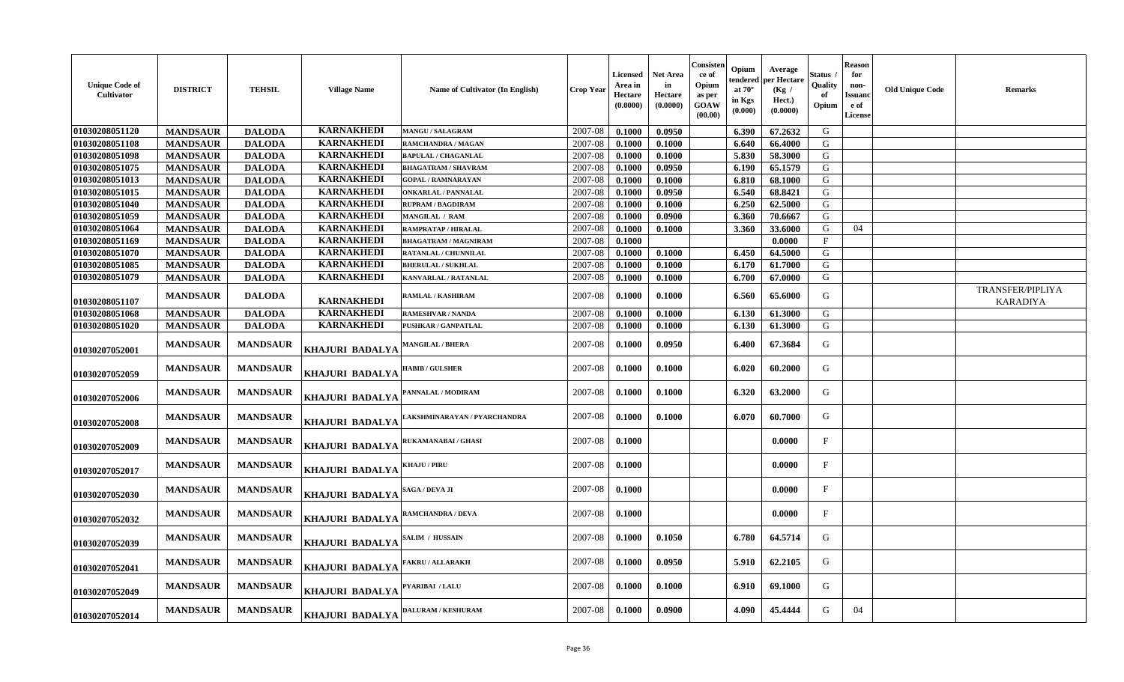| <b>Unique Code of</b><br>Cultivator | <b>DISTRICT</b> | <b>TEHSIL</b>   | <b>Village Name</b>    | <b>Name of Cultivator (In English)</b> | <b>Crop Year</b> | Licensed<br>Area in<br>Hectare<br>(0.0000) | Net Area<br>in<br>Hectare<br>(0.0000) | Consisten<br>ce of<br>Opium<br>as per<br><b>GOAW</b><br>(00.00) | Opium<br>endered<br>at $70^\circ$<br>in Kgs<br>$(\mathbf{0.000})$ | Average<br>per Hectare<br>(Kg /<br>Hect.)<br>(0.0000) | Status<br>Quality<br>Opium | ${\bf Reason}$<br>for<br>non-<br><b>Issuanc</b><br>e of<br><b>License</b> | <b>Old Unique Code</b> | Remarks                             |
|-------------------------------------|-----------------|-----------------|------------------------|----------------------------------------|------------------|--------------------------------------------|---------------------------------------|-----------------------------------------------------------------|-------------------------------------------------------------------|-------------------------------------------------------|----------------------------|---------------------------------------------------------------------------|------------------------|-------------------------------------|
| 01030208051120                      | <b>MANDSAUR</b> | <b>DALODA</b>   | <b>KARNAKHEDI</b>      | <b>MANGU / SALAGRAM</b>                | 2007-08          | 0.1000                                     | 0.0950                                |                                                                 | 6.390                                                             | 67.2632                                               | G                          |                                                                           |                        |                                     |
| 01030208051108                      | <b>MANDSAUR</b> | <b>DALODA</b>   | <b>KARNAKHEDI</b>      | RAMCHANDRA / MAGAN                     | 2007-08          | 0.1000                                     | 0.1000                                |                                                                 | 6.640                                                             | 66.4000                                               | ${\bf G}$                  |                                                                           |                        |                                     |
| 01030208051098                      | <b>MANDSAUR</b> | <b>DALODA</b>   | <b>KARNAKHEDI</b>      | <b>BAPULAL / CHAGANLAL</b>             | 2007-08          | 0.1000                                     | 0.1000                                |                                                                 | 5.830                                                             | 58.3000                                               | G                          |                                                                           |                        |                                     |
| 01030208051075                      | <b>MANDSAUR</b> | <b>DALODA</b>   | <b>KARNAKHEDI</b>      | <b>BHAGATRAM / SHAVRAM</b>             | 2007-08          | 0.1000                                     | 0.0950                                |                                                                 | 6.190                                                             | 65.1579                                               | G                          |                                                                           |                        |                                     |
| 01030208051013                      | <b>MANDSAUR</b> | <b>DALODA</b>   | <b>KARNAKHEDI</b>      | <b>GOPAL / RAMNARAYAN</b>              | 2007-08          | 0.1000                                     | 0.1000                                |                                                                 | 6.810                                                             | 68.1000                                               | G                          |                                                                           |                        |                                     |
| 01030208051015                      | <b>MANDSAUR</b> | <b>DALODA</b>   | <b>KARNAKHEDI</b>      | <b>ONKARLAL / PANNALAL</b>             | 2007-08          | 0.1000                                     | 0.0950                                |                                                                 | 6.540                                                             | 68.8421                                               | G                          |                                                                           |                        |                                     |
| 01030208051040                      | <b>MANDSAUR</b> | <b>DALODA</b>   | <b>KARNAKHEDI</b>      | <b>RUPRAM / BAGDIRAM</b>               | 2007-08          | 0.1000                                     | 0.1000                                |                                                                 | 6.250                                                             | 62.5000                                               | G                          |                                                                           |                        |                                     |
| 01030208051059                      | <b>MANDSAUR</b> | <b>DALODA</b>   | <b>KARNAKHEDI</b>      | <b>MANGILAL / RAM</b>                  | 2007-08          | 0.1000                                     | 0.0900                                |                                                                 | 6.360                                                             | 70.6667                                               | G                          |                                                                           |                        |                                     |
| 01030208051064                      | <b>MANDSAUR</b> | <b>DALODA</b>   | <b>KARNAKHEDI</b>      | RAMPRATAP / HIRALAL                    | 2007-08          | 0.1000                                     | 0.1000                                |                                                                 | 3.360                                                             | 33.6000                                               | G                          | 04                                                                        |                        |                                     |
| 01030208051169                      | <b>MANDSAUR</b> | <b>DALODA</b>   | <b>KARNAKHEDI</b>      | <b>BHAGATRAM / MAGNIRAM</b>            | 2007-08          | 0.1000                                     |                                       |                                                                 |                                                                   | 0.0000                                                | $\mathbf{F}$               |                                                                           |                        |                                     |
| 01030208051070                      | <b>MANDSAUR</b> | <b>DALODA</b>   | <b>KARNAKHEDI</b>      | RATANLAL / CHUNNILAL                   | 2007-08          | 0.1000                                     | 0.1000                                |                                                                 | 6.450                                                             | 64.5000                                               | G                          |                                                                           |                        |                                     |
| 01030208051085                      | <b>MANDSAUR</b> | <b>DALODA</b>   | <b>KARNAKHEDI</b>      | <b>BHERULAL / SUKHLAL</b>              | 2007-08          | 0.1000                                     | 0.1000                                |                                                                 | 6.170                                                             | 61.7000                                               | G                          |                                                                           |                        |                                     |
| 01030208051079                      | <b>MANDSAUR</b> | <b>DALODA</b>   | <b>KARNAKHEDI</b>      | <b>KANVARLAL / RATANLAL</b>            | 2007-08          | 0.1000                                     | 0.1000                                |                                                                 | 6.700                                                             | 67.0000                                               | G                          |                                                                           |                        |                                     |
| 01030208051107                      | <b>MANDSAUR</b> | <b>DALODA</b>   | <b>KARNAKHEDI</b>      | RAMLAL / KASHIRAM                      | 2007-08          | 0.1000                                     | 0.1000                                |                                                                 | 6.560                                                             | 65.6000                                               | G                          |                                                                           |                        | TRANSFER/PIPLIYA<br><b>KARADIYA</b> |
| 01030208051068                      | <b>MANDSAUR</b> | <b>DALODA</b>   | <b>KARNAKHEDI</b>      | <b>RAMESHVAR / NANDA</b>               | 2007-08          | 0.1000                                     | 0.1000                                |                                                                 | 6.130                                                             | 61.3000                                               | G                          |                                                                           |                        |                                     |
| 01030208051020                      | <b>MANDSAUR</b> | <b>DALODA</b>   | <b>KARNAKHEDI</b>      | PUSHKAR / GANPATLAL                    | 2007-08          | 0.1000                                     | 0.1000                                |                                                                 | 6.130                                                             | 61.3000                                               | G                          |                                                                           |                        |                                     |
| 01030207052001                      | <b>MANDSAUR</b> | <b>MANDSAUR</b> | KHAJURI BADALYA        | <b>MANGILAL / BHERA</b>                | 2007-08          | 0.1000                                     | 0.0950                                |                                                                 | 6.400                                                             | 67.3684                                               | G                          |                                                                           |                        |                                     |
| 01030207052059                      | <b>MANDSAUR</b> | <b>MANDSAUR</b> | <b>KHAJURI BADALYA</b> | <b>HABIB / GULSHER</b>                 | 2007-08          | 0.1000                                     | 0.1000                                |                                                                 | 6.020                                                             | 60.2000                                               | G                          |                                                                           |                        |                                     |
| 01030207052006                      | <b>MANDSAUR</b> | <b>MANDSAUR</b> | <b>KHAJURI BADALYA</b> | PANNALAL / MODIRAM                     | 2007-08          | 0.1000                                     | 0.1000                                |                                                                 | 6.320                                                             | 63.2000                                               | G                          |                                                                           |                        |                                     |
| 01030207052008                      | <b>MANDSAUR</b> | <b>MANDSAUR</b> | KHAJURI BADALYA        | AKSHMINARAYAN / PYARCHANDRA            | 2007-08          | 0.1000                                     | 0.1000                                |                                                                 | 6.070                                                             | 60.7000                                               | G                          |                                                                           |                        |                                     |
| 01030207052009                      | <b>MANDSAUR</b> | <b>MANDSAUR</b> | KHAJURI BADALYA        | <b>RUKAMANABAI / GHASI</b>             | 2007-08          | 0.1000                                     |                                       |                                                                 |                                                                   | 0.0000                                                | F                          |                                                                           |                        |                                     |
| 01030207052017                      | <b>MANDSAUR</b> | <b>MANDSAUR</b> | <b>KHAJURI BADALYA</b> | KHAJU / PIRU                           | 2007-08          | 0.1000                                     |                                       |                                                                 |                                                                   | 0.0000                                                | F                          |                                                                           |                        |                                     |
| 01030207052030                      | <b>MANDSAUR</b> | <b>MANDSAUR</b> | KHAJURI BADALYA        | SAGA / DEVA JI                         | 2007-08          | 0.1000                                     |                                       |                                                                 |                                                                   | 0.0000                                                | F                          |                                                                           |                        |                                     |
| 01030207052032                      | <b>MANDSAUR</b> | <b>MANDSAUR</b> | <b>KHAJURI BADALYA</b> | <b>RAMCHANDRA / DEVA</b>               | 2007-08          | 0.1000                                     |                                       |                                                                 |                                                                   | 0.0000                                                | $\mathbf{F}$               |                                                                           |                        |                                     |
| 01030207052039                      | <b>MANDSAUR</b> | <b>MANDSAUR</b> | <b>KHAJURI BADALYA</b> | SALIM / HUSSAIN                        | 2007-08          | 0.1000                                     | 0.1050                                |                                                                 | 6.780                                                             | 64.5714                                               | G                          |                                                                           |                        |                                     |
| 01030207052041                      | <b>MANDSAUR</b> | <b>MANDSAUR</b> | <b>KHAJURI BADALYA</b> | <b>FAKRU / ALLARAKH</b>                | 2007-08          | 0.1000                                     | 0.0950                                |                                                                 | 5.910                                                             | 62.2105                                               | G                          |                                                                           |                        |                                     |
| 01030207052049                      | <b>MANDSAUR</b> | <b>MANDSAUR</b> | <b>KHAJURI BADALYA</b> | PYARIBAI / LALU                        | 2007-08          | 0.1000                                     | 0.1000                                |                                                                 | 6.910                                                             | 69.1000                                               | G                          |                                                                           |                        |                                     |
| 01030207052014                      | <b>MANDSAUR</b> | <b>MANDSAUR</b> | <b>KHAJURI BADALYA</b> | <b>DALURAM / KESHURAM</b>              | 2007-08          | 0.1000                                     | 0.0900                                |                                                                 | 4.090                                                             | 45,4444                                               | G                          | 04                                                                        |                        |                                     |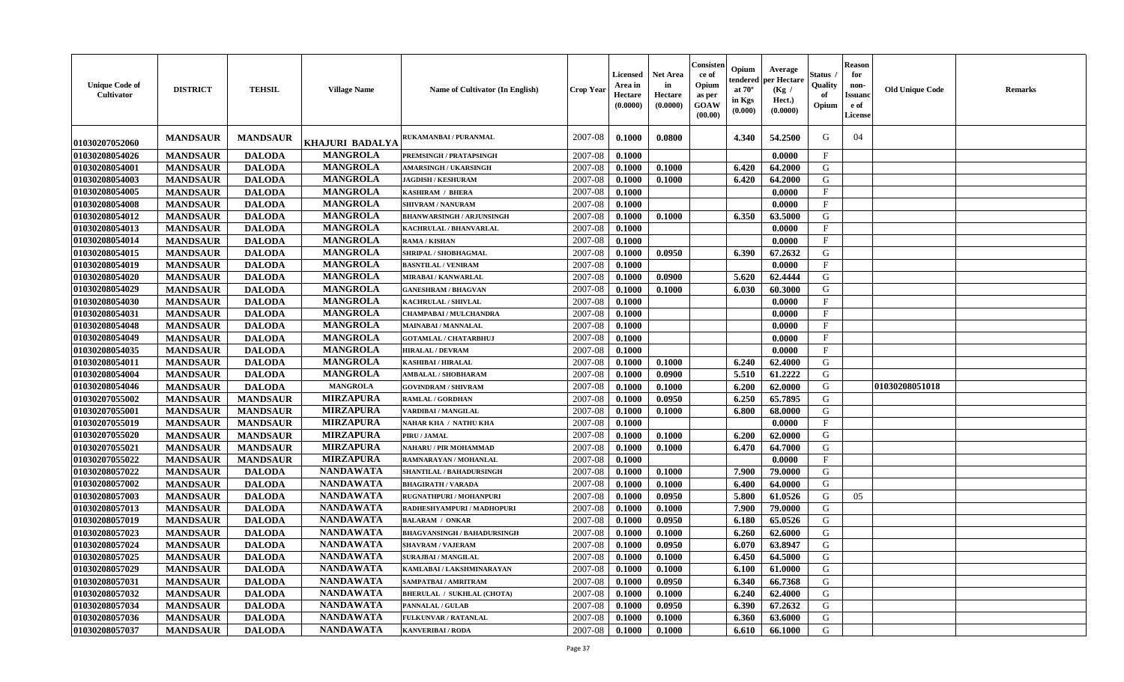| <b>Unique Code of</b><br><b>Cultivator</b> | <b>DISTRICT</b> | <b>TEHSIL</b>   | <b>Village Name</b>    | <b>Name of Cultivator (In English)</b> | <b>Crop Year</b> | <b>Licensed</b><br>Area in<br>Hectare<br>(0.0000) | <b>Net Area</b><br>in<br>Hectare<br>(0.0000) | Consisteı<br>ce of<br>Opium<br>as per<br><b>GOAW</b><br>(00.00) | Opium<br>endered<br>at $70^\circ$<br>in Kgs<br>$(\mathbf{0.000})$ | Average<br>per Hectare<br>(Kg /<br>Hect.)<br>(0.0000) | Status<br>Quality<br>of<br>Opium | Reason<br>for<br>non-<br><b>Issuano</b><br>e of<br>License | <b>Old Unique Code</b> | <b>Remarks</b> |
|--------------------------------------------|-----------------|-----------------|------------------------|----------------------------------------|------------------|---------------------------------------------------|----------------------------------------------|-----------------------------------------------------------------|-------------------------------------------------------------------|-------------------------------------------------------|----------------------------------|------------------------------------------------------------|------------------------|----------------|
| 01030207052060                             | <b>MANDSAUR</b> | <b>MANDSAUR</b> | <b>KHAJURI BADALYA</b> | <b>RUKAMANBAI / PURANMAL</b>           | 2007-08          | 0.1000                                            | 0.0800                                       |                                                                 | 4.340                                                             | 54.2500                                               | G                                | 04                                                         |                        |                |
| 01030208054026                             | <b>MANDSAUR</b> | <b>DALODA</b>   | <b>MANGROLA</b>        | PREMSINGH / PRATAPSINGH                | 2007-08          | 0.1000                                            |                                              |                                                                 |                                                                   | 0.0000                                                | $\mathbf{F}$                     |                                                            |                        |                |
| 01030208054001                             | <b>MANDSAUR</b> | <b>DALODA</b>   | <b>MANGROLA</b>        | <b>AMARSINGH / UKARSINGH</b>           | 2007-08          | 0.1000                                            | 0.1000                                       |                                                                 | 6.420                                                             | 64.2000                                               | G                                |                                                            |                        |                |
| 01030208054003                             | <b>MANDSAUR</b> | <b>DALODA</b>   | <b>MANGROLA</b>        | <b>JAGDISH / KESHURAM</b>              | 2007-08          | 0.1000                                            | 0.1000                                       |                                                                 | 6.420                                                             | 64.2000                                               | G                                |                                                            |                        |                |
| 01030208054005                             | <b>MANDSAUR</b> | <b>DALODA</b>   | <b>MANGROLA</b>        | <b>KASHIRAM / BHERA</b>                | 2007-08          | 0.1000                                            |                                              |                                                                 |                                                                   | 0.0000                                                | $_{\rm F}$                       |                                                            |                        |                |
| 01030208054008                             | <b>MANDSAUR</b> | <b>DALODA</b>   | <b>MANGROLA</b>        | <b>SHIVRAM / NANURAM</b>               | 2007-08          | 0.1000                                            |                                              |                                                                 |                                                                   | 0.0000                                                | $\mathbf{F}$                     |                                                            |                        |                |
| 01030208054012                             | <b>MANDSAUR</b> | <b>DALODA</b>   | <b>MANGROLA</b>        | <b>BHANWARSINGH / ARJUNSINGH</b>       | 2007-08          | 0.1000                                            | 0.1000                                       |                                                                 | 6.350                                                             | 63.5000                                               | G                                |                                                            |                        |                |
| 01030208054013                             | <b>MANDSAUR</b> | <b>DALODA</b>   | <b>MANGROLA</b>        | KACHRULAL / BHANVARLAL                 | 2007-08          | 0.1000                                            |                                              |                                                                 |                                                                   | 0.0000                                                | $_{\rm F}$                       |                                                            |                        |                |
| 01030208054014                             | <b>MANDSAUR</b> | <b>DALODA</b>   | <b>MANGROLA</b>        | <b>RAMA / KISHAN</b>                   | 2007-08          | 0.1000                                            |                                              |                                                                 |                                                                   | 0.0000                                                | $_{\rm F}$                       |                                                            |                        |                |
| 01030208054015                             | <b>MANDSAUR</b> | <b>DALODA</b>   | <b>MANGROLA</b>        | SHRIPAL / SHOBHAGMAL                   | 2007-08          | 0.1000                                            | 0.0950                                       |                                                                 | 6.390                                                             | 67.2632                                               | G                                |                                                            |                        |                |
| 01030208054019                             | <b>MANDSAUR</b> | <b>DALODA</b>   | <b>MANGROLA</b>        | <b>BASNTILAL / VENIRAM</b>             | 2007-08          | 0.1000                                            |                                              |                                                                 |                                                                   | 0.0000                                                | $\mathbf{F}$                     |                                                            |                        |                |
| 01030208054020                             | <b>MANDSAUR</b> | <b>DALODA</b>   | <b>MANGROLA</b>        | MIRABAI / KANWARLAL                    | 2007-08          | 0.1000                                            | 0.0900                                       |                                                                 | 5.620                                                             | 62.4444                                               | G                                |                                                            |                        |                |
| 01030208054029                             | <b>MANDSAUR</b> | <b>DALODA</b>   | <b>MANGROLA</b>        | <b>GANESHRAM / BHAGVAN</b>             | 2007-08          | 0.1000                                            | 0.1000                                       |                                                                 | 6.030                                                             | 60.3000                                               | G                                |                                                            |                        |                |
| 01030208054030                             | <b>MANDSAUR</b> | <b>DALODA</b>   | <b>MANGROLA</b>        | KACHRULAL / SHIVLAL                    | 2007-08          | 0.1000                                            |                                              |                                                                 |                                                                   | 0.0000                                                | $\mathbf{F}$                     |                                                            |                        |                |
| 01030208054031                             | <b>MANDSAUR</b> | <b>DALODA</b>   | <b>MANGROLA</b>        | CHAMPABAI / MULCHANDRA                 | 2007-08          | 0.1000                                            |                                              |                                                                 |                                                                   | 0.0000                                                | F                                |                                                            |                        |                |
| 01030208054048                             | <b>MANDSAUR</b> | <b>DALODA</b>   | <b>MANGROLA</b>        | <b>MAINABAI/MANNALAL</b>               | 2007-08          | 0.1000                                            |                                              |                                                                 |                                                                   | 0.0000                                                | $\mathbf{F}$                     |                                                            |                        |                |
| 01030208054049                             | <b>MANDSAUR</b> | <b>DALODA</b>   | <b>MANGROLA</b>        | <b>GOTAMLAL / CHATARBHUJ</b>           | 2007-08          | 0.1000                                            |                                              |                                                                 |                                                                   | 0.0000                                                | $\mathbf F$                      |                                                            |                        |                |
| 01030208054035                             | <b>MANDSAUR</b> | <b>DALODA</b>   | <b>MANGROLA</b>        | <b>HIRALAL / DEVRAM</b>                | 2007-08          | 0.1000                                            |                                              |                                                                 |                                                                   | 0.0000                                                | $\mathbf{F}$                     |                                                            |                        |                |
| 01030208054011                             | <b>MANDSAUR</b> | <b>DALODA</b>   | <b>MANGROLA</b>        | KASHIBAI / HIRALAL                     | 2007-08          | 0.1000                                            | 0.1000                                       |                                                                 | 6.240                                                             | 62.4000                                               | G                                |                                                            |                        |                |
| 01030208054004                             | <b>MANDSAUR</b> | <b>DALODA</b>   | <b>MANGROLA</b>        | <b>AMBALAL / SHOBHARAM</b>             | 2007-08          | 0.1000                                            | 0.0900                                       |                                                                 | 5.510                                                             | 61.2222                                               | G                                |                                                            |                        |                |
| 01030208054046                             | <b>MANDSAUR</b> | <b>DALODA</b>   | <b>MANGROLA</b>        | <b>GOVINDRAM / SHIVRAM</b>             | 2007-08          | 0.1000                                            | 0.1000                                       |                                                                 | 6.200                                                             | 62.0000                                               | G                                |                                                            | 01030208051018         |                |
| 01030207055002                             | <b>MANDSAUR</b> | <b>MANDSAUR</b> | <b>MIRZAPURA</b>       | <b>RAMLAL / GORDHAN</b>                | 2007-08          | 0.1000                                            | 0.0950                                       |                                                                 | 6.250                                                             | 65.7895                                               | G                                |                                                            |                        |                |
| 01030207055001                             | <b>MANDSAUR</b> | <b>MANDSAUR</b> | <b>MIRZAPURA</b>       | VARDIBAI / MANGILAL                    | 2007-08          | 0.1000                                            | 0.1000                                       |                                                                 | 6.800                                                             | 68.0000                                               | G                                |                                                            |                        |                |
| 01030207055019                             | <b>MANDSAUR</b> | <b>MANDSAUR</b> | <b>MIRZAPURA</b>       | NAHAR KHA / NATHU KHA                  | 2007-08          | 0.1000                                            |                                              |                                                                 |                                                                   | 0.0000                                                | $\mathbf{F}$                     |                                                            |                        |                |
| 01030207055020                             | <b>MANDSAUR</b> | <b>MANDSAUR</b> | <b>MIRZAPURA</b>       | PIRU / JAMAL                           | 2007-08          | 0.1000                                            | 0.1000                                       |                                                                 | 6.200                                                             | 62.0000                                               | G                                |                                                            |                        |                |
| 01030207055021                             | <b>MANDSAUR</b> | <b>MANDSAUR</b> | <b>MIRZAPURA</b>       | <b>NAHARU / PIR MOHAMMAD</b>           | 2007-08          | 0.1000                                            | 0.1000                                       |                                                                 | 6.470                                                             | 64.7000                                               | G                                |                                                            |                        |                |
| 01030207055022                             | <b>MANDSAUR</b> | <b>MANDSAUR</b> | <b>MIRZAPURA</b>       | RAMNARAYAN / MOHANLAL                  | 2007-08          | 0.1000                                            |                                              |                                                                 |                                                                   | 0.0000                                                | $\mathbf{F}$                     |                                                            |                        |                |
| 01030208057022                             | <b>MANDSAUR</b> | <b>DALODA</b>   | <b>NANDAWATA</b>       | SHANTILAL / BAHADURSINGH               | 2007-08          | 0.1000                                            | 0.1000                                       |                                                                 | 7.900                                                             | 79.0000                                               | G                                |                                                            |                        |                |
| 01030208057002                             | <b>MANDSAUR</b> | <b>DALODA</b>   | <b>NANDAWATA</b>       | <b>BHAGIRATH / VARADA</b>              | 2007-08          | 0.1000                                            | 0.1000                                       |                                                                 | 6.400                                                             | 64.0000                                               | G                                |                                                            |                        |                |
| 01030208057003                             | <b>MANDSAUR</b> | <b>DALODA</b>   | <b>NANDAWATA</b>       | RUGNATHPURI / MOHANPURI                | 2007-08          | 0.1000                                            | 0.0950                                       |                                                                 | 5.800                                                             | 61.0526                                               | G                                | 05                                                         |                        |                |
| 01030208057013                             | <b>MANDSAUR</b> | <b>DALODA</b>   | <b>NANDAWATA</b>       | RADHESHYAMPURI / MADHOPURI             | 2007-08          | 0.1000                                            | 0.1000                                       |                                                                 | 7.900                                                             | 79.0000                                               | G                                |                                                            |                        |                |
| 01030208057019                             | <b>MANDSAUR</b> | <b>DALODA</b>   | <b>NANDAWATA</b>       | <b>BALARAM / ONKAR</b>                 | 2007-08          | 0.1000                                            | 0.0950                                       |                                                                 | 6.180                                                             | 65.0526                                               | G                                |                                                            |                        |                |
| 01030208057023                             | <b>MANDSAUR</b> | <b>DALODA</b>   | <b>NANDAWATA</b>       | <b>BHAGVANSINGH / BAHADURSINGH</b>     | 2007-08          | 0.1000                                            | 0.1000                                       |                                                                 | 6.260                                                             | 62.6000                                               | G                                |                                                            |                        |                |
| 01030208057024                             | <b>MANDSAUR</b> | <b>DALODA</b>   | <b>NANDAWATA</b>       | <b>SHAVRAM / VAJERAM</b>               | 2007-08          | 0.1000                                            | 0.0950                                       |                                                                 | 6.070                                                             | 63.8947                                               | G                                |                                                            |                        |                |
| 01030208057025                             | <b>MANDSAUR</b> | <b>DALODA</b>   | <b>NANDAWATA</b>       | <b>SURAJBAI / MANGILAL</b>             | 2007-08          | 0.1000                                            | 0.1000                                       |                                                                 | $6.450$                                                           | 64.5000                                               | G                                |                                                            |                        |                |
| 01030208057029                             | <b>MANDSAUR</b> | <b>DALODA</b>   | <b>NANDAWATA</b>       | KAMLABAI / LAKSHMINARAYAN              | 2007-08          | 0.1000                                            | 0.1000                                       |                                                                 | 6.100                                                             | 61.0000                                               | G                                |                                                            |                        |                |
| 01030208057031                             | <b>MANDSAUR</b> | <b>DALODA</b>   | <b>NANDAWATA</b>       | SAMPATBAI / AMRITRAM                   | 2007-08          | 0.1000                                            | 0.0950                                       |                                                                 | 6.340                                                             | 66.7368                                               | G                                |                                                            |                        |                |
| 01030208057032                             | <b>MANDSAUR</b> | <b>DALODA</b>   | <b>NANDAWATA</b>       | <b>BHERULAL / SUKHLAL (CHOTA)</b>      | 2007-08          | 0.1000                                            | 0.1000                                       |                                                                 | 6.240                                                             | 62.4000                                               | G                                |                                                            |                        |                |
| 01030208057034                             | <b>MANDSAUR</b> | <b>DALODA</b>   | <b>NANDAWATA</b>       | PANNALAL / GULAB                       | 2007-08          | 0.1000                                            | 0.0950                                       |                                                                 | 6.390                                                             | 67.2632                                               | G                                |                                                            |                        |                |
| 01030208057036                             | <b>MANDSAUR</b> | <b>DALODA</b>   | <b>NANDAWATA</b>       | FULKUNVAR / RATANLAL                   | 2007-08          | 0.1000                                            | 0.1000                                       |                                                                 | 6.360                                                             | 63.6000                                               | G                                |                                                            |                        |                |
| 01030208057037                             | <b>MANDSAUR</b> | <b>DALODA</b>   | <b>NANDAWATA</b>       | <b>KANVERIBAI / RODA</b>               | 2007-08          | 0.1000                                            | 0.1000                                       |                                                                 | 6.610                                                             | 66.1000                                               | G                                |                                                            |                        |                |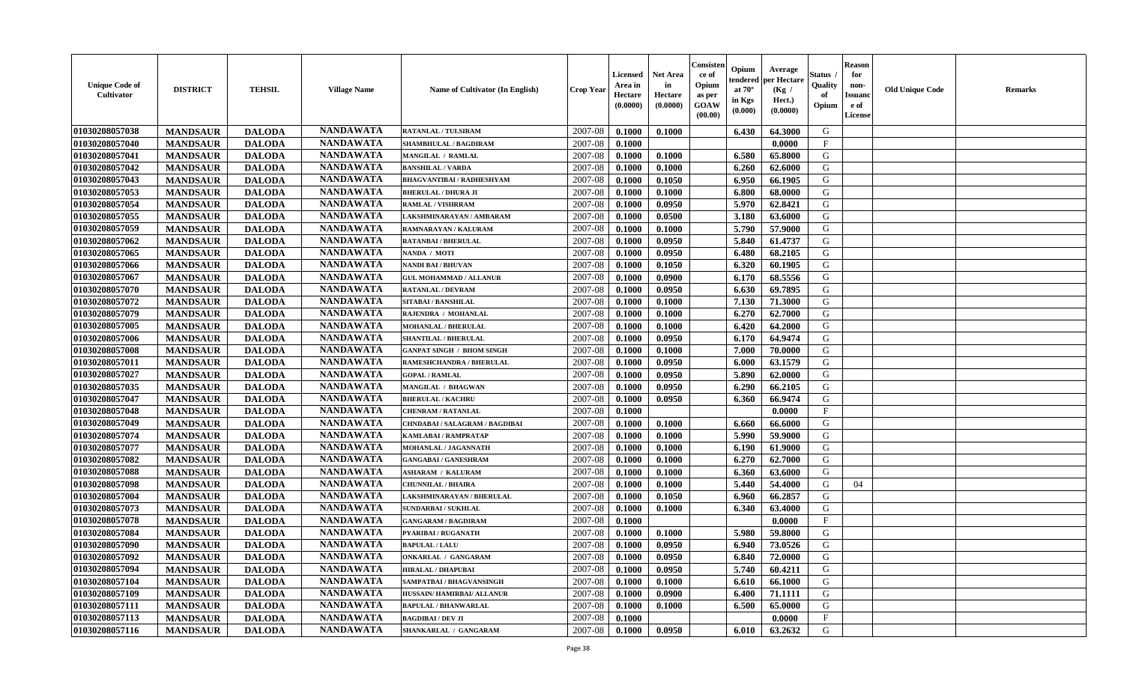| <b>Unique Code of</b><br><b>Cultivator</b> | <b>DISTRICT</b> | <b>TEHSIL</b> | <b>Village Name</b> | Name of Cultivator (In English)  | <b>Crop Year</b> | <b>Licensed</b><br>Area in<br>Hectare<br>(0.0000) | <b>Net Area</b><br>in<br>Hectare<br>(0.0000) | Consister<br>ce of<br>Opium<br>as per<br><b>GOAW</b><br>(00.00) | Opium<br>endered<br>at $70^\circ$<br>in Kgs<br>(0.000) | Average<br>per Hectare<br>(Kg /<br>Hect.)<br>(0.0000) | Status<br>Quality<br>of<br>Opium | <b>Reason</b><br>for<br>non-<br><b>Issuand</b><br>e of<br><b>License</b> | <b>Old Unique Code</b> | <b>Remarks</b> |
|--------------------------------------------|-----------------|---------------|---------------------|----------------------------------|------------------|---------------------------------------------------|----------------------------------------------|-----------------------------------------------------------------|--------------------------------------------------------|-------------------------------------------------------|----------------------------------|--------------------------------------------------------------------------|------------------------|----------------|
| 01030208057038                             | <b>MANDSAUR</b> | <b>DALODA</b> | <b>NANDAWATA</b>    | <b>RATANLAL / TULSIRAM</b>       | 2007-08          | 0.1000                                            | 0.1000                                       |                                                                 | 6.430                                                  | 64.3000                                               | G                                |                                                                          |                        |                |
| 01030208057040                             | <b>MANDSAUR</b> | <b>DALODA</b> | <b>NANDAWATA</b>    | <b>SHAMBHULAL / BAGDIRAM</b>     | 2007-08          | 0.1000                                            |                                              |                                                                 |                                                        | 0.0000                                                | $\mathbf F$                      |                                                                          |                        |                |
| 01030208057041                             | <b>MANDSAUR</b> | <b>DALODA</b> | <b>NANDAWATA</b>    | <b>MANGILAL / RAMLAL</b>         | 2007-08          | 0.1000                                            | 0.1000                                       |                                                                 | 6.580                                                  | 65.8000                                               | G                                |                                                                          |                        |                |
| 01030208057042                             | <b>MANDSAUR</b> | <b>DALODA</b> | <b>NANDAWATA</b>    | <b>BANSHILAL / VARDA</b>         | 2007-08          | 0.1000                                            | 0.1000                                       |                                                                 | 6.260                                                  | 62.6000                                               | G                                |                                                                          |                        |                |
| 01030208057043                             | <b>MANDSAUR</b> | <b>DALODA</b> | <b>NANDAWATA</b>    | <b>BHAGVANTIBAI / RADHESHYAM</b> | 2007-08          | 0.1000                                            | 0.1050                                       |                                                                 | 6.950                                                  | 66.1905                                               | G                                |                                                                          |                        |                |
| 01030208057053                             | <b>MANDSAUR</b> | <b>DALODA</b> | <b>NANDAWATA</b>    | <b>BHERULAL / DHURA JI</b>       | 2007-08          | 0.1000                                            | 0.1000                                       |                                                                 | 6.800                                                  | 68.0000                                               | G                                |                                                                          |                        |                |
| 01030208057054                             | <b>MANDSAUR</b> | <b>DALODA</b> | <b>NANDAWATA</b>    | <b>RAMLAL / VISHRRAM</b>         | 2007-08          | 0.1000                                            | 0.0950                                       |                                                                 | 5.970                                                  | 62.8421                                               | G                                |                                                                          |                        |                |
| 01030208057055                             | <b>MANDSAUR</b> | <b>DALODA</b> | <b>NANDAWATA</b>    | LAKSHMINARAYAN / AMBARAM         | 2007-08          | 0.1000                                            | 0.0500                                       |                                                                 | 3.180                                                  | 63.6000                                               | ${\bf G}$                        |                                                                          |                        |                |
| 01030208057059                             | <b>MANDSAUR</b> | <b>DALODA</b> | <b>NANDAWATA</b>    | RAMNARAYAN / KALURAM             | 2007-08          | 0.1000                                            | 0.1000                                       |                                                                 | 5.790                                                  | 57.9000                                               | G                                |                                                                          |                        |                |
| 01030208057062                             | <b>MANDSAUR</b> | <b>DALODA</b> | <b>NANDAWATA</b>    | <b>RATANBAI/BHERULAL</b>         | 2007-08          | 0.1000                                            | 0.0950                                       |                                                                 | 5.840                                                  | 61.4737                                               | G                                |                                                                          |                        |                |
| 01030208057065                             | <b>MANDSAUR</b> | <b>DALODA</b> | <b>NANDAWATA</b>    | NANDA / MOTI                     | 2007-08          | 0.1000                                            | 0.0950                                       |                                                                 | 6.480                                                  | 68.2105                                               | G                                |                                                                          |                        |                |
| 01030208057066                             | <b>MANDSAUR</b> | <b>DALODA</b> | <b>NANDAWATA</b>    | <b>NANDI BAI/BHUVAN</b>          | 2007-08          | 0.1000                                            | 0.1050                                       |                                                                 | 6.320                                                  | 60.1905                                               | G                                |                                                                          |                        |                |
| 01030208057067                             | <b>MANDSAUR</b> | <b>DALODA</b> | <b>NANDAWATA</b>    | <b>GUL MOHAMMAD / ALLANUR</b>    | 2007-08          | 0.1000                                            | 0.0900                                       |                                                                 | 6.170                                                  | 68.5556                                               | G                                |                                                                          |                        |                |
| 01030208057070                             | <b>MANDSAUR</b> | <b>DALODA</b> | <b>NANDAWATA</b>    | <b>RATANLAL / DEVRAM</b>         | 2007-08          | 0.1000                                            | 0.0950                                       |                                                                 | 6.630                                                  | 69.7895                                               | G                                |                                                                          |                        |                |
| 01030208057072                             | <b>MANDSAUR</b> | <b>DALODA</b> | <b>NANDAWATA</b>    | <b>SITABAI/BANSHILAL</b>         | 2007-08          | 0.1000                                            | 0.1000                                       |                                                                 | 7.130                                                  | 71.3000                                               | G                                |                                                                          |                        |                |
| 01030208057079                             | <b>MANDSAUR</b> | <b>DALODA</b> | <b>NANDAWATA</b>    | RAJENDRA / MOHANLAL              | 2007-08          | 0.1000                                            | 0.1000                                       |                                                                 | 6.270                                                  | 62.7000                                               | G                                |                                                                          |                        |                |
| 01030208057005                             | <b>MANDSAUR</b> | <b>DALODA</b> | <b>NANDAWATA</b>    | MOHANLAL / BHERULAL              | 2007-08          | 0.1000                                            | 0.1000                                       |                                                                 | 6.420                                                  | 64.2000                                               | G                                |                                                                          |                        |                |
| 01030208057006                             | <b>MANDSAUR</b> | <b>DALODA</b> | <b>NANDAWATA</b>    | <b>SHANTILAL / BHERULAL</b>      | 2007-08          | 0.1000                                            | 0.0950                                       |                                                                 | 6.170                                                  | 64.9474                                               | G                                |                                                                          |                        |                |
| 01030208057008                             | <b>MANDSAUR</b> | <b>DALODA</b> | <b>NANDAWATA</b>    | <b>GANPAT SINGH / BHOM SINGH</b> | 2007-08          | 0.1000                                            | 0.1000                                       |                                                                 | 7.000                                                  | 70.0000                                               | G                                |                                                                          |                        |                |
| 01030208057011                             | <b>MANDSAUR</b> | <b>DALODA</b> | <b>NANDAWATA</b>    | <b>RAMESHCHANDRA / BHERULAL</b>  | 2007-08          | 0.1000                                            | 0.0950                                       |                                                                 | 6.000                                                  | 63.1579                                               | G                                |                                                                          |                        |                |
| 01030208057027                             | <b>MANDSAUR</b> | <b>DALODA</b> | <b>NANDAWATA</b>    | <b>GOPAL / RAMLAL</b>            | 2007-08          | 0.1000                                            | 0.0950                                       |                                                                 | 5.890                                                  | 62.0000                                               | G                                |                                                                          |                        |                |
| 01030208057035                             | <b>MANDSAUR</b> | <b>DALODA</b> | <b>NANDAWATA</b>    | <b>MANGILAL / BHAGWAN</b>        | 2007-08          | 0.1000                                            | 0.0950                                       |                                                                 | 6.290                                                  | 66.2105                                               | G                                |                                                                          |                        |                |
| 01030208057047                             | <b>MANDSAUR</b> | <b>DALODA</b> | <b>NANDAWATA</b>    | <b>BHERULAL / KACHRU</b>         | 2007-08          | 0.1000                                            | 0.0950                                       |                                                                 | 6.360                                                  | 66.9474                                               | G                                |                                                                          |                        |                |
| 01030208057048                             | <b>MANDSAUR</b> | <b>DALODA</b> | <b>NANDAWATA</b>    | <b>CHENRAM / RATANLAL</b>        | 2007-08          | 0.1000                                            |                                              |                                                                 |                                                        | 0.0000                                                | $\mathbf{F}$                     |                                                                          |                        |                |
| 01030208057049                             | <b>MANDSAUR</b> | <b>DALODA</b> | <b>NANDAWATA</b>    | CHNDABAI / SALAGRAM / BAGDIBAI   | 2007-08          | 0.1000                                            | 0.1000                                       |                                                                 | 6.660                                                  | 66.6000                                               | G                                |                                                                          |                        |                |
| 01030208057074                             | <b>MANDSAUR</b> | <b>DALODA</b> | <b>NANDAWATA</b>    | KAMLABAI / RAMPRATAP             | 2007-08          | 0.1000                                            | 0.1000                                       |                                                                 | 5.990                                                  | 59.9000                                               | G                                |                                                                          |                        |                |
| 01030208057077                             | <b>MANDSAUR</b> | <b>DALODA</b> | <b>NANDAWATA</b>    | MOHANLAL / JAGANNATH             | 2007-08          | 0.1000                                            | 0.1000                                       |                                                                 | 6.190                                                  | 61.9000                                               | G                                |                                                                          |                        |                |
| 01030208057082                             | <b>MANDSAUR</b> | <b>DALODA</b> | <b>NANDAWATA</b>    | <b>GANGABAI / GANESHRAM</b>      | 2007-08          | 0.1000                                            | 0.1000                                       |                                                                 | 6.270                                                  | 62.7000                                               | G                                |                                                                          |                        |                |
| 01030208057088                             | <b>MANDSAUR</b> | <b>DALODA</b> | <b>NANDAWATA</b>    | <b>ASHARAM / KALURAM</b>         | 2007-08          | 0.1000                                            | 0.1000                                       |                                                                 | 6.360                                                  | 63.6000                                               | G                                |                                                                          |                        |                |
| 01030208057098                             | <b>MANDSAUR</b> | <b>DALODA</b> | <b>NANDAWATA</b>    | <b>CHUNNILAL / BHAIRA</b>        | 2007-08          | 0.1000                                            | 0.1000                                       |                                                                 | 5.440                                                  | 54.4000                                               | G                                | 04                                                                       |                        |                |
| 01030208057004                             | <b>MANDSAUR</b> | <b>DALODA</b> | <b>NANDAWATA</b>    | LAKSHMINARAYAN / BHERULAL        | 2007-08          | 0.1000                                            | 0.1050                                       |                                                                 | 6.960                                                  | 66.2857                                               | G                                |                                                                          |                        |                |
| 01030208057073                             | <b>MANDSAUR</b> | <b>DALODA</b> | <b>NANDAWATA</b>    | <b>SUNDARBAI / SUKHLAL</b>       | 2007-08          | 0.1000                                            | 0.1000                                       |                                                                 | 6.340                                                  | 63.4000                                               | ${\bf G}$                        |                                                                          |                        |                |
| 01030208057078                             | <b>MANDSAUR</b> | <b>DALODA</b> | <b>NANDAWATA</b>    | <b>GANGARAM / BAGDIRAM</b>       | 2007-08          | 0.1000                                            |                                              |                                                                 |                                                        | 0.0000                                                | $_{\rm F}$                       |                                                                          |                        |                |
| 01030208057084                             | <b>MANDSAUR</b> | <b>DALODA</b> | <b>NANDAWATA</b>    | PYARIBAI / RUGANATH              | 2007-08          | 0.1000                                            | 0.1000                                       |                                                                 | 5.980                                                  | 59.8000                                               | G                                |                                                                          |                        |                |
| 01030208057090                             | <b>MANDSAUR</b> | <b>DALODA</b> | <b>NANDAWATA</b>    | <b>BAPULAL / LALU</b>            | 2007-08          | 0.1000                                            | 0.0950                                       |                                                                 | 6.940                                                  | 73.0526                                               | G                                |                                                                          |                        |                |
| 01030208057092                             | <b>MANDSAUR</b> | <b>DALODA</b> | <b>NANDAWATA</b>    | ONKARLAL / GANGARAM              | 2007-08          | 0.1000                                            | 0.0950                                       |                                                                 | 6.840                                                  | 72.0000                                               | G                                |                                                                          |                        |                |
| 01030208057094                             | <b>MANDSAUR</b> | <b>DALODA</b> | <b>NANDAWATA</b>    | <b>HIRALAL / DHAPUBAI</b>        | 2007-08          | 0.1000                                            | 0.0950                                       |                                                                 | 5.740                                                  | 60.4211                                               | G                                |                                                                          |                        |                |
| 01030208057104                             | <b>MANDSAUR</b> | <b>DALODA</b> | <b>NANDAWATA</b>    | SAMPATBAI / BHAGVANSINGH         | 2007-08          | 0.1000                                            | 0.1000                                       |                                                                 | 6.610                                                  | 66.1000                                               | G                                |                                                                          |                        |                |
| 01030208057109                             | <b>MANDSAUR</b> | <b>DALODA</b> | <b>NANDAWATA</b>    | HUSSAIN/HAMIRBAI/ ALLANUR        | 2007-08          | 0.1000                                            | 0.0900                                       |                                                                 | 6.400                                                  | 71.1111                                               | G                                |                                                                          |                        |                |
| 01030208057111                             | <b>MANDSAUR</b> | <b>DALODA</b> | <b>NANDAWATA</b>    | <b>BAPULAL / BHANWARLAL</b>      | 2007-08          | 0.1000                                            | 0.1000                                       |                                                                 | 6.500                                                  | 65.0000                                               | ${\bf G}$                        |                                                                          |                        |                |
| 01030208057113                             | <b>MANDSAUR</b> | <b>DALODA</b> | <b>NANDAWATA</b>    | <b>BAGDIBAI / DEV JI</b>         | 2007-08          | 0.1000                                            |                                              |                                                                 |                                                        | 0.0000                                                | $\mathbf{F}$                     |                                                                          |                        |                |
| 01030208057116                             | <b>MANDSAUR</b> | <b>DALODA</b> | <b>NANDAWATA</b>    | SHANKARLAL / GANGARAM            | 2007-08          | 0.1000                                            | 0.0950                                       |                                                                 | 6.010                                                  | 63.2632                                               | G                                |                                                                          |                        |                |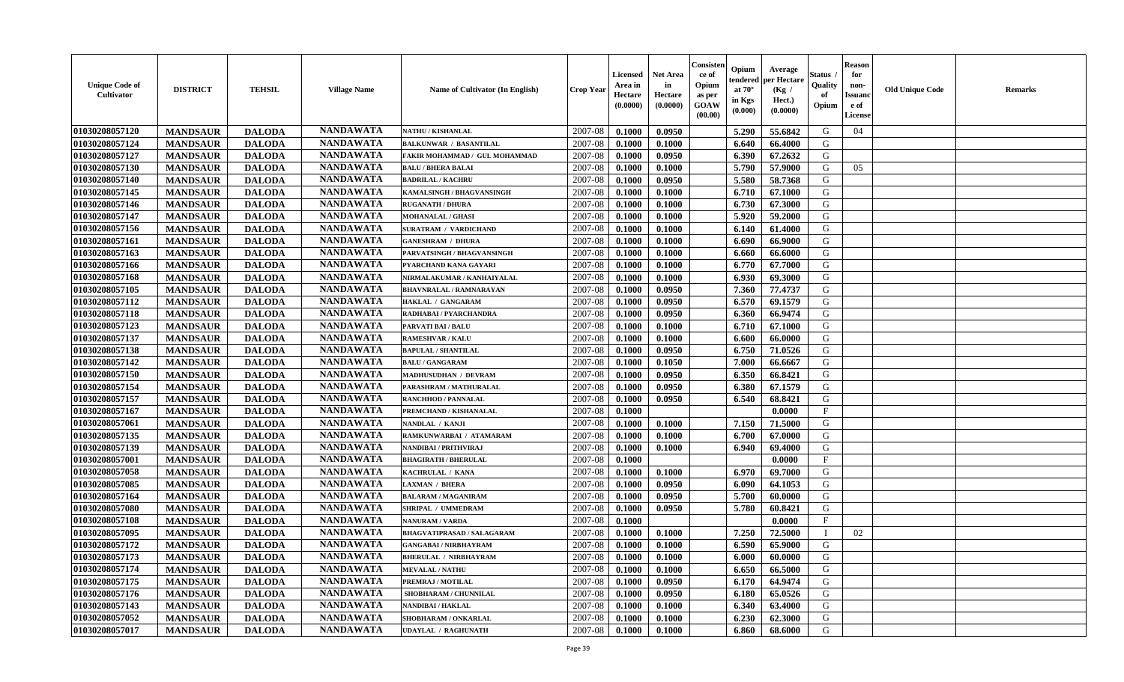| <b>Unique Code of</b><br><b>Cultivator</b> | <b>DISTRICT</b> | <b>TEHSIL</b> | <b>Village Name</b> | <b>Name of Cultivator (In English)</b> | <b>Crop Year</b> | <b>Licensed</b><br>Area in<br>Hectare<br>(0.0000) | <b>Net Area</b><br>in<br>Hectare<br>(0.0000) | Consisteı<br>ce of<br>Opium<br>as per<br><b>GOAW</b><br>(00.00) | Opium<br>endered<br>at $70^\circ$<br>in Kgs<br>$(\mathbf{0.000})$ | Average<br>per Hectare<br>(Kg /<br>Hect.)<br>(0.0000) | Status<br>Quality<br>of<br>Opium | <b>Reason</b><br>for<br>non-<br>Issuan<br>e of<br>License | <b>Old Unique Code</b> | <b>Remarks</b> |
|--------------------------------------------|-----------------|---------------|---------------------|----------------------------------------|------------------|---------------------------------------------------|----------------------------------------------|-----------------------------------------------------------------|-------------------------------------------------------------------|-------------------------------------------------------|----------------------------------|-----------------------------------------------------------|------------------------|----------------|
| 01030208057120                             | <b>MANDSAUR</b> | <b>DALODA</b> | <b>NANDAWATA</b>    | <b>NATHU / KISHANLAL</b>               | 2007-08          | 0.1000                                            | 0.0950                                       |                                                                 | 5.290                                                             | 55.6842                                               | G                                | 04                                                        |                        |                |
| 01030208057124                             | <b>MANDSAUR</b> | <b>DALODA</b> | <b>NANDAWATA</b>    | <b>BALKUNWAR / BASANTILAL</b>          | 2007-08          | 0.1000                                            | 0.1000                                       |                                                                 | 6.640                                                             | 66.4000                                               | G                                |                                                           |                        |                |
| 01030208057127                             | <b>MANDSAUR</b> | <b>DALODA</b> | <b>NANDAWATA</b>    | FAKIR MOHAMMAD / GUL MOHAMMAD          | 2007-08          | 0.1000                                            | 0.0950                                       |                                                                 | 6.390                                                             | 67.2632                                               | G                                |                                                           |                        |                |
| 01030208057130                             | <b>MANDSAUR</b> | <b>DALODA</b> | <b>NANDAWATA</b>    | <b>BALU / BHERA BALAI</b>              | 2007-08          | 0.1000                                            | 0.1000                                       |                                                                 | 5.790                                                             | 57.9000                                               | G                                | 05                                                        |                        |                |
| 01030208057140                             | <b>MANDSAUR</b> | <b>DALODA</b> | <b>NANDAWATA</b>    | <b>BADRILAL / KACHRU</b>               | 2007-08          | 0.1000                                            | 0.0950                                       |                                                                 | 5.580                                                             | 58.7368                                               | G                                |                                                           |                        |                |
| 01030208057145                             | <b>MANDSAUR</b> | <b>DALODA</b> | <b>NANDAWATA</b>    | KAMALSINGH / BHAGVANSINGH              | 2007-08          | 0.1000                                            | 0.1000                                       |                                                                 | 6.710                                                             | 67.1000                                               | G                                |                                                           |                        |                |
| 01030208057146                             | <b>MANDSAUR</b> | <b>DALODA</b> | <b>NANDAWATA</b>    | <b>RUGANATH / DHURA</b>                | 2007-08          | 0.1000                                            | 0.1000                                       |                                                                 | 6.730                                                             | 67.3000                                               | G                                |                                                           |                        |                |
| 01030208057147                             | <b>MANDSAUR</b> | <b>DALODA</b> | <b>NANDAWATA</b>    | <b>MOHANALAL / GHASI</b>               | 2007-08          | 0.1000                                            | 0.1000                                       |                                                                 | 5.920                                                             | 59.2000                                               | G                                |                                                           |                        |                |
| 01030208057156                             | <b>MANDSAUR</b> | <b>DALODA</b> | <b>NANDAWATA</b>    | <b>SURATRAM / VARDICHAND</b>           | 2007-08          | 0.1000                                            | 0.1000                                       |                                                                 | 6.140                                                             | 61.4000                                               | G                                |                                                           |                        |                |
| 01030208057161                             | <b>MANDSAUR</b> | <b>DALODA</b> | <b>NANDAWATA</b>    | <b>GANESHRAM / DHURA</b>               | 2007-08          | 0.1000                                            | 0.1000                                       |                                                                 | 6.690                                                             | 66.9000                                               | G                                |                                                           |                        |                |
| 01030208057163                             | <b>MANDSAUR</b> | <b>DALODA</b> | <b>NANDAWATA</b>    | PARVATSINGH / BHAGVANSINGH             | 2007-08          | 0.1000                                            | 0.1000                                       |                                                                 | 6.660                                                             | 66.6000                                               | G                                |                                                           |                        |                |
| 01030208057166                             | <b>MANDSAUR</b> | <b>DALODA</b> | <b>NANDAWATA</b>    | PYARCHAND KANA GAYARI                  | 2007-08          | 0.1000                                            | 0.1000                                       |                                                                 | 6.770                                                             | 67.7000                                               | G                                |                                                           |                        |                |
| 01030208057168                             | <b>MANDSAUR</b> | <b>DALODA</b> | <b>NANDAWATA</b>    | NIRMALAKUMAR / KANHAIYALAL             | 2007-08          | 0.1000                                            | 0.1000                                       |                                                                 | 6.930                                                             | 69.3000                                               | G                                |                                                           |                        |                |
| 01030208057105                             | <b>MANDSAUR</b> | <b>DALODA</b> | <b>NANDAWATA</b>    | <b>BHAVNRALAL / RAMNARAYAN</b>         | 2007-08          | 0.1000                                            | 0.0950                                       |                                                                 | 7.360                                                             | 77.4737                                               | G                                |                                                           |                        |                |
| 01030208057112                             | <b>MANDSAUR</b> | <b>DALODA</b> | <b>NANDAWATA</b>    | <b>HAKLAL / GANGARAM</b>               | 2007-08          | 0.1000                                            | 0.0950                                       |                                                                 | 6.570                                                             | 69.1579                                               | G                                |                                                           |                        |                |
| 01030208057118                             | <b>MANDSAUR</b> | <b>DALODA</b> | <b>NANDAWATA</b>    | RADHABAI / PYARCHANDRA                 | 2007-08          | 0.1000                                            | 0.0950                                       |                                                                 | 6.360                                                             | 66.9474                                               | G                                |                                                           |                        |                |
| 01030208057123                             | <b>MANDSAUR</b> | <b>DALODA</b> | <b>NANDAWATA</b>    | <b>PARVATI BAI / BALU</b>              | 2007-08          | 0.1000                                            | 0.1000                                       |                                                                 | 6.710                                                             | 67.1000                                               | G                                |                                                           |                        |                |
| 01030208057137                             | <b>MANDSAUR</b> | <b>DALODA</b> | <b>NANDAWATA</b>    | <b>RAMESHVAR / KALU</b>                | 2007-08          | 0.1000                                            | 0.1000                                       |                                                                 | 6.600                                                             | 66.0000                                               | G                                |                                                           |                        |                |
| 01030208057138                             | <b>MANDSAUR</b> | <b>DALODA</b> | <b>NANDAWATA</b>    | <b>BAPULAL / SHANTILAL</b>             | 2007-08          | 0.1000                                            | 0.0950                                       |                                                                 | 6.750                                                             | 71.0526                                               | G                                |                                                           |                        |                |
| 01030208057142                             | <b>MANDSAUR</b> | <b>DALODA</b> | <b>NANDAWATA</b>    | <b>BALU / GANGARAM</b>                 | 2007-08          | 0.1000                                            | 0.1050                                       |                                                                 | 7.000                                                             | 66.6667                                               | G                                |                                                           |                        |                |
| 01030208057150                             | <b>MANDSAUR</b> | <b>DALODA</b> | <b>NANDAWATA</b>    | <b>MADHUSUDHAN / DEVRAM</b>            | 2007-08          | 0.1000                                            | 0.0950                                       |                                                                 | 6.350                                                             | 66.8421                                               | G                                |                                                           |                        |                |
| 01030208057154                             | <b>MANDSAUR</b> | <b>DALODA</b> | <b>NANDAWATA</b>    | PARASHRAM / MATHURALAL                 | 2007-08          | 0.1000                                            | 0.0950                                       |                                                                 | 6.380                                                             | 67.1579                                               | G                                |                                                           |                        |                |
| 01030208057157                             | <b>MANDSAUR</b> | <b>DALODA</b> | <b>NANDAWATA</b>    | <b>RANCHHOD / PANNALAL</b>             | 2007-08          | 0.1000                                            | 0.0950                                       |                                                                 | 6.540                                                             | 68.8421                                               | G                                |                                                           |                        |                |
| 01030208057167                             | <b>MANDSAUR</b> | <b>DALODA</b> | <b>NANDAWATA</b>    | PREMCHAND / KISHANALAL                 | 2007-08          | 0.1000                                            |                                              |                                                                 |                                                                   | 0.0000                                                | $\mathbf{F}$                     |                                                           |                        |                |
| 01030208057061                             | <b>MANDSAUR</b> | <b>DALODA</b> | <b>NANDAWATA</b>    | NANDLAL / KANJI                        | 2007-08          | 0.1000                                            | 0.1000                                       |                                                                 | 7.150                                                             | 71.5000                                               | G                                |                                                           |                        |                |
| 01030208057135                             | <b>MANDSAUR</b> | <b>DALODA</b> | <b>NANDAWATA</b>    | RAMKUNWARBAI / ATAMARAM                | 2007-08          | 0.1000                                            | 0.1000                                       |                                                                 | 6.700                                                             | 67.0000                                               | G                                |                                                           |                        |                |
| 01030208057139                             | <b>MANDSAUR</b> | <b>DALODA</b> | <b>NANDAWATA</b>    | NANDIBAI / PRITHVIRAJ                  | 2007-08          | 0.1000                                            | 0.1000                                       |                                                                 | 6.940                                                             | 69.4000                                               | G                                |                                                           |                        |                |
| 01030208057001                             | <b>MANDSAUR</b> | <b>DALODA</b> | <b>NANDAWATA</b>    | <b>BHAGIRATH / BHERULAL</b>            | 2007-08          | 0.1000                                            |                                              |                                                                 |                                                                   | 0.0000                                                | $\mathbf{F}$                     |                                                           |                        |                |
| 01030208057058                             | <b>MANDSAUR</b> | <b>DALODA</b> | <b>NANDAWATA</b>    | KACHRULAL / KANA                       | 2007-08          | 0.1000                                            | 0.1000                                       |                                                                 | 6.970                                                             | 69.7000                                               | G                                |                                                           |                        |                |
| 01030208057085                             | <b>MANDSAUR</b> | <b>DALODA</b> | <b>NANDAWATA</b>    | <b>LAXMAN / BHERA</b>                  | 2007-08          | 0.1000                                            | 0.0950                                       |                                                                 | 6.090                                                             | 64.1053                                               | G                                |                                                           |                        |                |
| 01030208057164                             | <b>MANDSAUR</b> | <b>DALODA</b> | <b>NANDAWATA</b>    | <b>BALARAM / MAGANIRAM</b>             | 2007-08          | 0.1000                                            | 0.0950                                       |                                                                 | 5.700                                                             | 60.0000                                               | G                                |                                                           |                        |                |
| 01030208057080                             | <b>MANDSAUR</b> | <b>DALODA</b> | <b>NANDAWATA</b>    | SHRIPAL / UMMEDRAM                     | 2007-08          | 0.1000                                            | 0.0950                                       |                                                                 | 5.780                                                             | 60.8421                                               | G                                |                                                           |                        |                |
| 01030208057108                             | <b>MANDSAUR</b> | <b>DALODA</b> | <b>NANDAWATA</b>    | NANURAM / VARDA                        | 2007-08          | 0.1000                                            |                                              |                                                                 |                                                                   | 0.0000                                                | $\mathbf{F}$                     |                                                           |                        |                |
| 01030208057095                             | <b>MANDSAUR</b> | <b>DALODA</b> | <b>NANDAWATA</b>    | BHAGVATIPRASAD / SALAGARAM             | 2007-08          | 0.1000                                            | 0.1000                                       |                                                                 | 7.250                                                             | 72.5000                                               |                                  | 02                                                        |                        |                |
| 01030208057172                             | <b>MANDSAUR</b> | <b>DALODA</b> | <b>NANDAWATA</b>    | <b>GANGABAI/NIRBHAYRAM</b>             | 2007-08          | 0.1000                                            | 0.1000                                       |                                                                 | 6.590                                                             | 65.9000                                               | G                                |                                                           |                        |                |
| 01030208057173                             | <b>MANDSAUR</b> | <b>DALODA</b> | <b>NANDAWATA</b>    | <b>BHERULAL / NIRBHAYRAM</b>           | $2007-08$ 0.1000 |                                                   | 0.1000                                       |                                                                 | $6.000$                                                           | 60.0000                                               | G                                |                                                           |                        |                |
| 01030208057174                             | <b>MANDSAUR</b> | <b>DALODA</b> | <b>NANDAWATA</b>    | <b>MEVALAL / NATHU</b>                 | 2007-08          | 0.1000                                            | 0.1000                                       |                                                                 | 6.650                                                             | 66.5000                                               | G                                |                                                           |                        |                |
| 01030208057175                             | <b>MANDSAUR</b> | <b>DALODA</b> | <b>NANDAWATA</b>    | PREMRAJ / MOTILAL                      | 2007-08          | 0.1000                                            | 0.0950                                       |                                                                 | 6.170                                                             | 64.9474                                               | G                                |                                                           |                        |                |
| 01030208057176                             | <b>MANDSAUR</b> | <b>DALODA</b> | <b>NANDAWATA</b>    | SHOBHARAM / CHUNNILAL                  | 2007-08          | 0.1000                                            | 0.0950                                       |                                                                 | 6.180                                                             | 65.0526                                               | G                                |                                                           |                        |                |
| 01030208057143                             | <b>MANDSAUR</b> | <b>DALODA</b> | <b>NANDAWATA</b>    | <b>NANDIBAI / HAKLAL</b>               | 2007-08          | 0.1000                                            | 0.1000                                       |                                                                 | 6.340                                                             | 63.4000                                               | G                                |                                                           |                        |                |
| 01030208057052                             | <b>MANDSAUR</b> | <b>DALODA</b> | <b>NANDAWATA</b>    | SHOBHARAM / ONKARLAL                   | 2007-08          | 0.1000                                            | 0.1000                                       |                                                                 | 6.230                                                             | 62.3000                                               | G                                |                                                           |                        |                |
| 01030208057017                             | <b>MANDSAUR</b> | <b>DALODA</b> | <b>NANDAWATA</b>    | <b>UDAYLAL / RAGHUNATH</b>             | 2007-08          | 0.1000                                            | 0.1000                                       |                                                                 | 6.860                                                             | 68.6000                                               | G                                |                                                           |                        |                |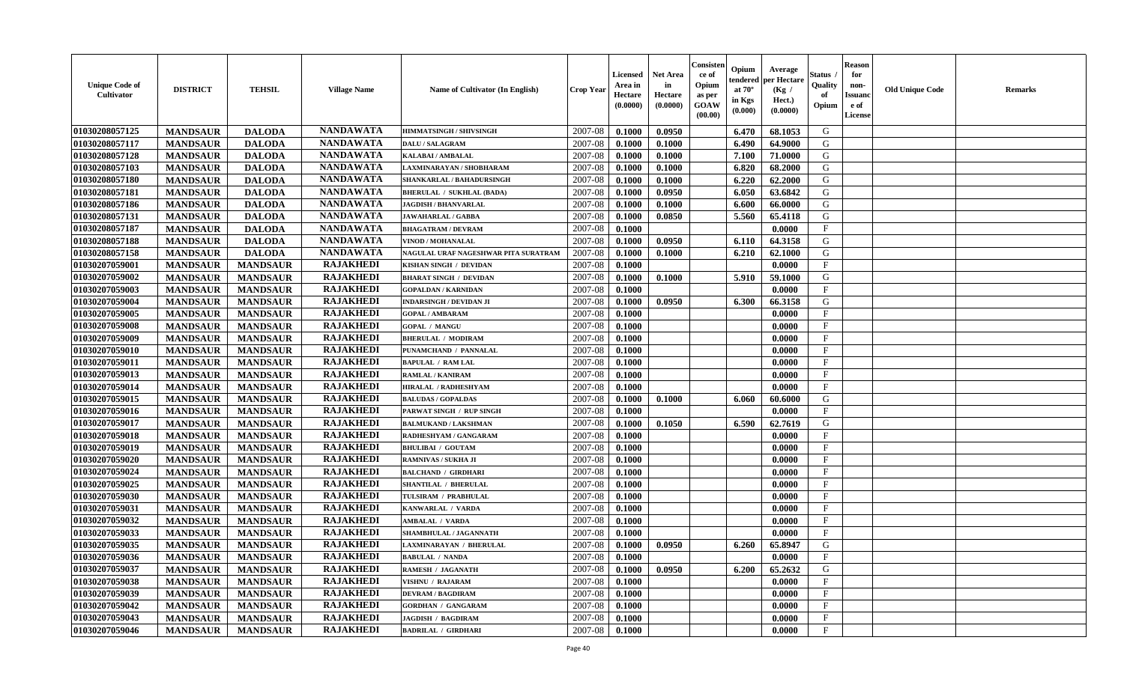| <b>Unique Code of</b><br>Cultivator | <b>DISTRICT</b> | <b>TEHSIL</b>   | <b>Village Name</b> | <b>Name of Cultivator (In English)</b> | <b>Crop Year</b> | <b>Licensed</b><br>Area in<br>Hectare<br>(0.0000) | <b>Net Area</b><br>in<br>Hectare<br>(0.0000) | Consister<br>ce of<br>Opium<br>as per<br><b>GOAW</b><br>(00.00) | Opium<br>endered<br>at $70^{\circ}$<br>in Kgs<br>(0.000) | Average<br>per Hectare<br>(Kg /<br>Hect.)<br>(0.0000) | Status<br>Quality<br>of<br>Opium | <b>Reason</b><br>for<br>non-<br><b>Issuand</b><br>e of<br>License | <b>Old Unique Code</b> | <b>Remarks</b> |
|-------------------------------------|-----------------|-----------------|---------------------|----------------------------------------|------------------|---------------------------------------------------|----------------------------------------------|-----------------------------------------------------------------|----------------------------------------------------------|-------------------------------------------------------|----------------------------------|-------------------------------------------------------------------|------------------------|----------------|
| 01030208057125                      | <b>MANDSAUR</b> | <b>DALODA</b>   | <b>NANDAWATA</b>    | <b>HIMMATSINGH / SHIVSINGH</b>         | 2007-08          | 0.1000                                            | 0.0950                                       |                                                                 | 6.470                                                    | 68.1053                                               | G                                |                                                                   |                        |                |
| 01030208057117                      | <b>MANDSAUR</b> | <b>DALODA</b>   | <b>NANDAWATA</b>    | <b>DALU / SALAGRAM</b>                 | 2007-08          | 0.1000                                            | 0.1000                                       |                                                                 | 6.490                                                    | 64.9000                                               | G                                |                                                                   |                        |                |
| 01030208057128                      | <b>MANDSAUR</b> | <b>DALODA</b>   | <b>NANDAWATA</b>    | KALABAI / AMBALAL                      | 2007-08          | 0.1000                                            | 0.1000                                       |                                                                 | 7.100                                                    | 71.0000                                               | G                                |                                                                   |                        |                |
| 01030208057103                      | <b>MANDSAUR</b> | <b>DALODA</b>   | <b>NANDAWATA</b>    | LAXMINARAYAN / SHOBHARAM               | 2007-08          | 0.1000                                            | 0.1000                                       |                                                                 | 6.820                                                    | 68.2000                                               | G                                |                                                                   |                        |                |
| 01030208057180                      | <b>MANDSAUR</b> | <b>DALODA</b>   | <b>NANDAWATA</b>    | SHANKARLAL / BAHADURSINGH              | 2007-08          | 0.1000                                            | 0.1000                                       |                                                                 | 6.220                                                    | 62.2000                                               | G                                |                                                                   |                        |                |
| 01030208057181                      | <b>MANDSAUR</b> | <b>DALODA</b>   | <b>NANDAWATA</b>    | <b>BHERULAL / SUKHLAL (BADA)</b>       | 2007-08          | 0.1000                                            | 0.0950                                       |                                                                 | 6.050                                                    | 63.6842                                               | G                                |                                                                   |                        |                |
| 01030208057186                      | <b>MANDSAUR</b> | <b>DALODA</b>   | <b>NANDAWATA</b>    | <b>JAGDISH / BHANVARLAL</b>            | 2007-08          | 0.1000                                            | 0.1000                                       |                                                                 | 6.600                                                    | 66.0000                                               | G                                |                                                                   |                        |                |
| 01030208057131                      | <b>MANDSAUR</b> | <b>DALODA</b>   | <b>NANDAWATA</b>    | <b>JAWAHARLAL / GABBA</b>              | 2007-08          | 0.1000                                            | 0.0850                                       |                                                                 | 5.560                                                    | 65.4118                                               | G                                |                                                                   |                        |                |
| 01030208057187                      | <b>MANDSAUR</b> | <b>DALODA</b>   | <b>NANDAWATA</b>    | <b>BHAGATRAM / DEVRAM</b>              | 2007-08          | 0.1000                                            |                                              |                                                                 |                                                          | 0.0000                                                | F                                |                                                                   |                        |                |
| 01030208057188                      | <b>MANDSAUR</b> | <b>DALODA</b>   | <b>NANDAWATA</b>    | <b>VINOD / MOHANALAL</b>               | 2007-08          | 0.1000                                            | 0.0950                                       |                                                                 | 6.110                                                    | 64.3158                                               | G                                |                                                                   |                        |                |
| 01030208057158                      | <b>MANDSAUR</b> | <b>DALODA</b>   | <b>NANDAWATA</b>    | NAGULAL URAF NAGESHWAR PITA SURATRAM   | 2007-08          | 0.1000                                            | 0.1000                                       |                                                                 | 6.210                                                    | 62.1000                                               | G                                |                                                                   |                        |                |
| 01030207059001                      | <b>MANDSAUR</b> | <b>MANDSAUR</b> | <b>RAJAKHEDI</b>    | KISHAN SINGH / DEVIDAN                 | 2007-08          | 0.1000                                            |                                              |                                                                 |                                                          | 0.0000                                                | $\mathbf{F}$                     |                                                                   |                        |                |
| 01030207059002                      | <b>MANDSAUR</b> | <b>MANDSAUR</b> | <b>RAJAKHEDI</b>    | <b>BHARAT SINGH / DEVIDAN</b>          | 2007-08          | 0.1000                                            | 0.1000                                       |                                                                 | 5.910                                                    | 59.1000                                               | G                                |                                                                   |                        |                |
| 01030207059003                      | <b>MANDSAUR</b> | <b>MANDSAUR</b> | <b>RAJAKHEDI</b>    | <b>GOPALDAN / KARNIDAN</b>             | 2007-08          | 0.1000                                            |                                              |                                                                 |                                                          | 0.0000                                                | $\mathbf F$                      |                                                                   |                        |                |
| 01030207059004                      | <b>MANDSAUR</b> | <b>MANDSAUR</b> | <b>RAJAKHEDI</b>    | <b>INDARSINGH / DEVIDAN JI</b>         | 2007-08          | 0.1000                                            | 0.0950                                       |                                                                 | 6.300                                                    | 66.3158                                               | G                                |                                                                   |                        |                |
| 01030207059005                      | <b>MANDSAUR</b> | <b>MANDSAUR</b> | <b>RAJAKHEDI</b>    | <b>GOPAL / AMBARAM</b>                 | 2007-08          | 0.1000                                            |                                              |                                                                 |                                                          | 0.0000                                                | $\mathbf{F}$                     |                                                                   |                        |                |
| 01030207059008                      | <b>MANDSAUR</b> | <b>MANDSAUR</b> | <b>RAJAKHEDI</b>    | <b>GOPAL / MANGU</b>                   | 2007-08          | 0.1000                                            |                                              |                                                                 |                                                          | 0.0000                                                | $\mathbf{F}$                     |                                                                   |                        |                |
| 01030207059009                      | <b>MANDSAUR</b> | <b>MANDSAUR</b> | <b>RAJAKHEDI</b>    | <b>BHERULAL / MODIRAM</b>              | 2007-08          | 0.1000                                            |                                              |                                                                 |                                                          | 0.0000                                                | $\mathbf{F}$                     |                                                                   |                        |                |
| 01030207059010                      | <b>MANDSAUR</b> | <b>MANDSAUR</b> | <b>RAJAKHEDI</b>    | PUNAMCHAND / PANNALAL                  | 2007-08          | 0.1000                                            |                                              |                                                                 |                                                          | 0.0000                                                | $\mathbf{F}$                     |                                                                   |                        |                |
| 01030207059011                      | <b>MANDSAUR</b> | <b>MANDSAUR</b> | <b>RAJAKHEDI</b>    | <b>BAPULAL / RAM LAL</b>               | 2007-08          | 0.1000                                            |                                              |                                                                 |                                                          | 0.0000                                                | $\mathbf{F}$                     |                                                                   |                        |                |
| 01030207059013                      | <b>MANDSAUR</b> | <b>MANDSAUR</b> | <b>RAJAKHEDI</b>    | RAMLAL / KANIRAM                       | 2007-08          | 0.1000                                            |                                              |                                                                 |                                                          | 0.0000                                                | $_{\rm F}$                       |                                                                   |                        |                |
| 01030207059014                      | <b>MANDSAUR</b> | <b>MANDSAUR</b> | <b>RAJAKHEDI</b>    | HIRALAL / RADHESHYAM                   | 2007-08          | 0.1000                                            |                                              |                                                                 |                                                          | 0.0000                                                | $\mathbf{F}$                     |                                                                   |                        |                |
| 01030207059015                      | <b>MANDSAUR</b> | <b>MANDSAUR</b> | <b>RAJAKHEDI</b>    | <b>BALUDAS / GOPALDAS</b>              | 2007-08          | 0.1000                                            | 0.1000                                       |                                                                 | 6.060                                                    | 60.6000                                               | G                                |                                                                   |                        |                |
| 01030207059016                      | <b>MANDSAUR</b> | <b>MANDSAUR</b> | <b>RAJAKHEDI</b>    | PARWAT SINGH / RUP SINGH               | 2007-08          | 0.1000                                            |                                              |                                                                 |                                                          | 0.0000                                                | $_{\rm F}$                       |                                                                   |                        |                |
| 01030207059017                      | <b>MANDSAUR</b> | <b>MANDSAUR</b> | <b>RAJAKHEDI</b>    | <b>BALMUKAND / LAKSHMAN</b>            | 2007-08          | 0.1000                                            | 0.1050                                       |                                                                 | 6.590                                                    | 62.7619                                               | G                                |                                                                   |                        |                |
| 01030207059018                      | <b>MANDSAUR</b> | <b>MANDSAUR</b> | <b>RAJAKHEDI</b>    | RADHESHYAM / GANGARAM                  | 2007-08          | 0.1000                                            |                                              |                                                                 |                                                          | 0.0000                                                | $\mathbf{F}$                     |                                                                   |                        |                |
| 01030207059019                      | <b>MANDSAUR</b> | <b>MANDSAUR</b> | <b>RAJAKHEDI</b>    | <b>BHULIBAI / GOUTAM</b>               | 2007-08          | 0.1000                                            |                                              |                                                                 |                                                          | 0.0000                                                | $\mathbf{F}$                     |                                                                   |                        |                |
| 01030207059020                      | <b>MANDSAUR</b> | <b>MANDSAUR</b> | <b>RAJAKHEDI</b>    | RAMNIVAS / SUKHA JI                    | 2007-08          | 0.1000                                            |                                              |                                                                 |                                                          | 0.0000                                                | $\mathbf{F}$                     |                                                                   |                        |                |
| 01030207059024                      | <b>MANDSAUR</b> | <b>MANDSAUR</b> | <b>RAJAKHEDI</b>    | <b>BALCHAND / GIRDHARI</b>             | 2007-08          | 0.1000                                            |                                              |                                                                 |                                                          | 0.0000                                                | $\mathbf{F}$                     |                                                                   |                        |                |
| 01030207059025                      | <b>MANDSAUR</b> | <b>MANDSAUR</b> | <b>RAJAKHEDI</b>    | <b>SHANTILAL / BHERULAL</b>            | 2007-08          | 0.1000                                            |                                              |                                                                 |                                                          | 0.0000                                                | $_{\rm F}$                       |                                                                   |                        |                |
| 01030207059030                      | <b>MANDSAUR</b> | <b>MANDSAUR</b> | <b>RAJAKHEDI</b>    | TULSIRAM / PRABHULAL                   | 2007-08          | 0.1000                                            |                                              |                                                                 |                                                          | 0.0000                                                | $\mathbf F$                      |                                                                   |                        |                |
| 01030207059031                      | <b>MANDSAUR</b> | <b>MANDSAUR</b> | <b>RAJAKHEDI</b>    | KANWARLAL / VARDA                      | 2007-08          | 0.1000                                            |                                              |                                                                 |                                                          | 0.0000                                                | $\mathbf{F}$                     |                                                                   |                        |                |
| 01030207059032                      | <b>MANDSAUR</b> | <b>MANDSAUR</b> | <b>RAJAKHEDI</b>    | <b>AMBALAL / VARDA</b>                 | 2007-08          | 0.1000                                            |                                              |                                                                 |                                                          | 0.0000                                                | $\mathbf{F}$                     |                                                                   |                        |                |
| 01030207059033                      | <b>MANDSAUR</b> | <b>MANDSAUR</b> | <b>RAJAKHEDI</b>    | SHAMBHULAL / JAGANNATH                 | 2007-08          | 0.1000                                            |                                              |                                                                 |                                                          | 0.0000                                                | $_{\rm F}$                       |                                                                   |                        |                |
| 01030207059035                      | <b>MANDSAUR</b> | <b>MANDSAUR</b> | <b>RAJAKHEDI</b>    | LAXMINARAYAN / BHERULAL                | 2007-08          | 0.1000                                            | 0.0950                                       |                                                                 | 6.260                                                    | 65.8947                                               | G                                |                                                                   |                        |                |
| 01030207059036                      | <b>MANDSAUR</b> | MANDSAUR        | <b>RAJAKHEDI</b>    | <b>BABULAL / NANDA</b>                 | $2007 - 08$      | 0.1000                                            |                                              |                                                                 |                                                          | 0.0000                                                | F                                |                                                                   |                        |                |
| 01030207059037                      | <b>MANDSAUR</b> | <b>MANDSAUR</b> | <b>RAJAKHEDI</b>    | <b>RAMESH / JAGANATH</b>               | 2007-08          | 0.1000                                            | 0.0950                                       |                                                                 | 6.200                                                    | 65.2632                                               | G                                |                                                                   |                        |                |
| 01030207059038                      | <b>MANDSAUR</b> | <b>MANDSAUR</b> | <b>RAJAKHEDI</b>    | VISHNU / RAJARAM                       | 2007-08          | 0.1000                                            |                                              |                                                                 |                                                          | 0.0000                                                | F                                |                                                                   |                        |                |
| 01030207059039                      | <b>MANDSAUR</b> | <b>MANDSAUR</b> | <b>RAJAKHEDI</b>    | <b>DEVRAM / BAGDIRAM</b>               | 2007-08          | 0.1000                                            |                                              |                                                                 |                                                          | 0.0000                                                | $\mathbf{F}$                     |                                                                   |                        |                |
| 01030207059042                      | <b>MANDSAUR</b> | <b>MANDSAUR</b> | <b>RAJAKHEDI</b>    | <b>GORDHAN / GANGARAM</b>              | 2007-08          | 0.1000                                            |                                              |                                                                 |                                                          | 0.0000                                                | $\mathbf{F}$                     |                                                                   |                        |                |
| 01030207059043                      | <b>MANDSAUR</b> | <b>MANDSAUR</b> | <b>RAJAKHEDI</b>    | <b>JAGDISH / BAGDIRAM</b>              | 2007-08          | 0.1000                                            |                                              |                                                                 |                                                          | 0.0000                                                | $\mathbf{F}$                     |                                                                   |                        |                |
| 01030207059046                      | <b>MANDSAUR</b> | <b>MANDSAUR</b> | <b>RAJAKHEDI</b>    | <b>BADRILAL / GIRDHARI</b>             | 2007-08          | 0.1000                                            |                                              |                                                                 |                                                          | 0.0000                                                | $\mathbf{F}$                     |                                                                   |                        |                |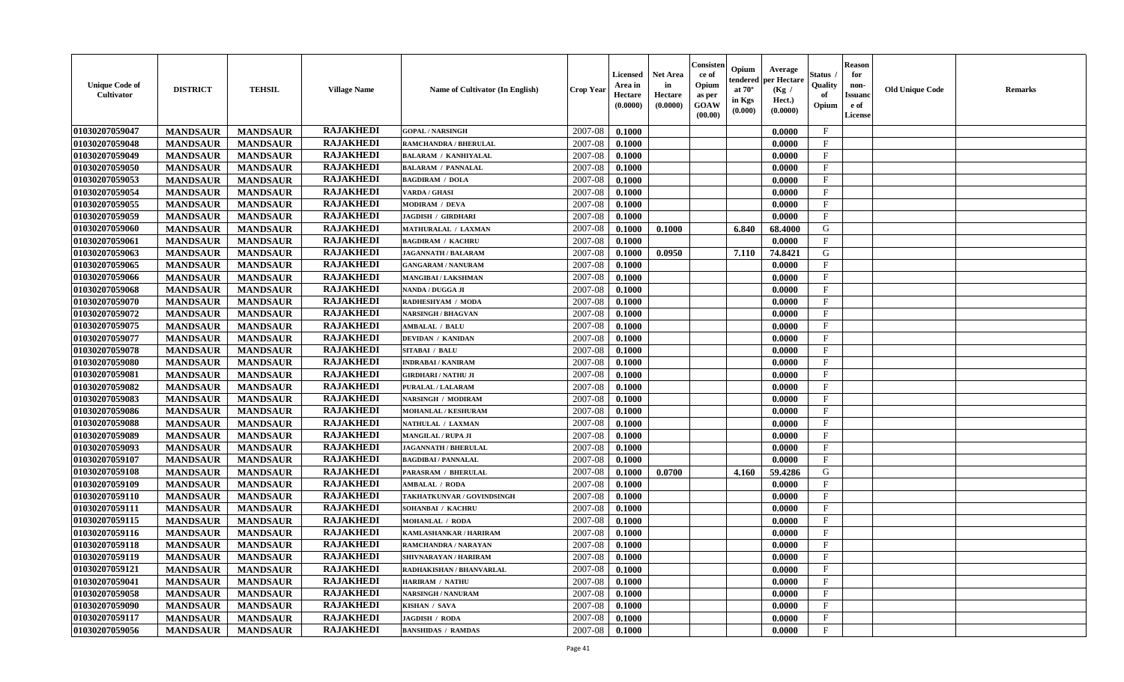| <b>Unique Code of</b><br>Cultivator | <b>DISTRICT</b> | <b>TEHSIL</b>   | <b>Village Name</b> | Name of Cultivator (In English) | <b>Crop Year</b> | <b>Licensed</b><br>Area in<br>Hectare<br>(0.0000) | <b>Net Area</b><br>in<br>Hectare<br>(0.0000) | Consisten<br>ce of<br>Opium<br>as per<br><b>GOAW</b><br>(00.00) | Opium<br>endered<br>at $70^\circ$<br>in Kgs<br>(0.000) | Average<br>per Hectare<br>(Kg /<br>Hect.)<br>(0.0000) | <b>Status</b><br>Quality<br>of<br>Opium | <b>Reason</b><br>for<br>non-<br><b>Issuand</b><br>e of<br>License | <b>Old Unique Code</b> | <b>Remarks</b> |
|-------------------------------------|-----------------|-----------------|---------------------|---------------------------------|------------------|---------------------------------------------------|----------------------------------------------|-----------------------------------------------------------------|--------------------------------------------------------|-------------------------------------------------------|-----------------------------------------|-------------------------------------------------------------------|------------------------|----------------|
| 01030207059047                      | <b>MANDSAUR</b> | <b>MANDSAUR</b> | <b>RAJAKHEDI</b>    | <b>GOPAL / NARSINGH</b>         | 2007-08          | 0.1000                                            |                                              |                                                                 |                                                        | 0.0000                                                | $\mathbf{F}$                            |                                                                   |                        |                |
| 01030207059048                      | <b>MANDSAUR</b> | <b>MANDSAUR</b> | <b>RAJAKHEDI</b>    | <b>RAMCHANDRA / BHERULAL</b>    | 2007-08          | 0.1000                                            |                                              |                                                                 |                                                        | 0.0000                                                | $\mathbf{F}$                            |                                                                   |                        |                |
| 01030207059049                      | <b>MANDSAUR</b> | <b>MANDSAUR</b> | <b>RAJAKHEDI</b>    | <b>BALARAM / KANHIYALAL</b>     | 2007-08          | 0.1000                                            |                                              |                                                                 |                                                        | 0.0000                                                | $\mathbf{F}$                            |                                                                   |                        |                |
| 01030207059050                      | <b>MANDSAUR</b> | <b>MANDSAUR</b> | <b>RAJAKHEDI</b>    | <b>BALARAM / PANNALAL</b>       | 2007-08          | 0.1000                                            |                                              |                                                                 |                                                        | 0.0000                                                | $\mathbf{F}$                            |                                                                   |                        |                |
| 01030207059053                      | <b>MANDSAUR</b> | <b>MANDSAUR</b> | <b>RAJAKHEDI</b>    | <b>BAGDIRAM / DOLA</b>          | 2007-08          | 0.1000                                            |                                              |                                                                 |                                                        | 0.0000                                                | $\mathbf{F}$                            |                                                                   |                        |                |
| 01030207059054                      | <b>MANDSAUR</b> | <b>MANDSAUR</b> | <b>RAJAKHEDI</b>    | <b>VARDA / GHASI</b>            | 2007-08          | 0.1000                                            |                                              |                                                                 |                                                        | 0.0000                                                | $\mathbf{F}$                            |                                                                   |                        |                |
| 01030207059055                      | <b>MANDSAUR</b> | <b>MANDSAUR</b> | <b>RAJAKHEDI</b>    | <b>MODIRAM / DEVA</b>           | 2007-08          | 0.1000                                            |                                              |                                                                 |                                                        | 0.0000                                                | F                                       |                                                                   |                        |                |
| 01030207059059                      | <b>MANDSAUR</b> | <b>MANDSAUR</b> | <b>RAJAKHEDI</b>    | <b>JAGDISH / GIRDHARI</b>       | 2007-08          | 0.1000                                            |                                              |                                                                 |                                                        | 0.0000                                                | $\mathbf F$                             |                                                                   |                        |                |
| 01030207059060                      | <b>MANDSAUR</b> | <b>MANDSAUR</b> | <b>RAJAKHEDI</b>    | MATHURALAL / LAXMAN             | 2007-08          | 0.1000                                            | 0.1000                                       |                                                                 | 6.840                                                  | 68.4000                                               | G                                       |                                                                   |                        |                |
| 01030207059061                      | <b>MANDSAUR</b> | <b>MANDSAUR</b> | <b>RAJAKHEDI</b>    | <b>BAGDIRAM / KACHRU</b>        | 2007-08          | 0.1000                                            |                                              |                                                                 |                                                        | 0.0000                                                | $\mathbf F$                             |                                                                   |                        |                |
| 01030207059063                      | <b>MANDSAUR</b> | <b>MANDSAUR</b> | <b>RAJAKHEDI</b>    | <b>JAGANNATH / BALARAM</b>      | 2007-08          | 0.1000                                            | 0.0950                                       |                                                                 | 7.110                                                  | 74.8421                                               | ${\bf G}$                               |                                                                   |                        |                |
| 01030207059065                      | <b>MANDSAUR</b> | <b>MANDSAUR</b> | <b>RAJAKHEDI</b>    | <b>GANGARAM / NANURAM</b>       | 2007-08          | 0.1000                                            |                                              |                                                                 |                                                        | 0.0000                                                | $\mathbf{F}$                            |                                                                   |                        |                |
| 01030207059066                      | <b>MANDSAUR</b> | <b>MANDSAUR</b> | <b>RAJAKHEDI</b>    | <b>MANGIBAI/LAKSHMAN</b>        | 2007-08          | 0.1000                                            |                                              |                                                                 |                                                        | 0.0000                                                | $\mathbf{F}$                            |                                                                   |                        |                |
| 01030207059068                      | <b>MANDSAUR</b> | <b>MANDSAUR</b> | <b>RAJAKHEDI</b>    | NANDA / DUGGA JI                | 2007-08          | 0.1000                                            |                                              |                                                                 |                                                        | 0.0000                                                | $\mathbf{F}$                            |                                                                   |                        |                |
| 01030207059070                      | <b>MANDSAUR</b> | <b>MANDSAUR</b> | <b>RAJAKHEDI</b>    | RADHESHYAM / MODA               | 2007-08          | 0.1000                                            |                                              |                                                                 |                                                        | 0.0000                                                | $\mathbf{F}$                            |                                                                   |                        |                |
| 01030207059072                      | <b>MANDSAUR</b> | <b>MANDSAUR</b> | <b>RAJAKHEDI</b>    | <b>NARSINGH / BHAGVAN</b>       | 2007-08          | 0.1000                                            |                                              |                                                                 |                                                        | 0.0000                                                | $\mathbf F$                             |                                                                   |                        |                |
| 01030207059075                      | <b>MANDSAUR</b> | <b>MANDSAUR</b> | <b>RAJAKHEDI</b>    | <b>AMBALAL / BALU</b>           | 2007-08          | 0.1000                                            |                                              |                                                                 |                                                        | 0.0000                                                | $\mathbf{F}$                            |                                                                   |                        |                |
| 01030207059077                      | <b>MANDSAUR</b> | <b>MANDSAUR</b> | <b>RAJAKHEDI</b>    | <b>DEVIDAN / KANIDAN</b>        | 2007-08          | 0.1000                                            |                                              |                                                                 |                                                        | 0.0000                                                | $_{\rm F}$                              |                                                                   |                        |                |
| 01030207059078                      | <b>MANDSAUR</b> | <b>MANDSAUR</b> | <b>RAJAKHEDI</b>    | SITABAI / BALU                  | 2007-08          | 0.1000                                            |                                              |                                                                 |                                                        | 0.0000                                                | $\mathbf F$                             |                                                                   |                        |                |
| 01030207059080                      | <b>MANDSAUR</b> | <b>MANDSAUR</b> | <b>RAJAKHEDI</b>    | <b>INDRABAI/KANIRAM</b>         | 2007-08          | 0.1000                                            |                                              |                                                                 |                                                        | 0.0000                                                | $\mathbf{F}$                            |                                                                   |                        |                |
| 01030207059081                      | <b>MANDSAUR</b> | <b>MANDSAUR</b> | <b>RAJAKHEDI</b>    | <b>GIRDHARI / NATHU JI</b>      | 2007-08          | 0.1000                                            |                                              |                                                                 |                                                        | 0.0000                                                | $\mathbf{F}$                            |                                                                   |                        |                |
| 01030207059082                      | <b>MANDSAUR</b> | <b>MANDSAUR</b> | <b>RAJAKHEDI</b>    | <b>PURALAL / LALARAM</b>        | 2007-08          | 0.1000                                            |                                              |                                                                 |                                                        | 0.0000                                                | $\mathbf{F}$                            |                                                                   |                        |                |
| 01030207059083                      | <b>MANDSAUR</b> | <b>MANDSAUR</b> | <b>RAJAKHEDI</b>    | NARSINGH / MODIRAM              | 2007-08          | 0.1000                                            |                                              |                                                                 |                                                        | 0.0000                                                | $\mathbf{F}$                            |                                                                   |                        |                |
| 01030207059086                      | <b>MANDSAUR</b> | <b>MANDSAUR</b> | <b>RAJAKHEDI</b>    | <b>MOHANLAL / KESHURAM</b>      | 2007-08          | 0.1000                                            |                                              |                                                                 |                                                        | 0.0000                                                | $\mathbf{F}$                            |                                                                   |                        |                |
| 01030207059088                      |                 | <b>MANDSAUR</b> | <b>RAJAKHEDI</b>    | NATHULAL / LAXMAN               | 2007-08          | 0.1000                                            |                                              |                                                                 |                                                        | 0.0000                                                | $\mathbf F$                             |                                                                   |                        |                |
|                                     | <b>MANDSAUR</b> |                 | <b>RAJAKHEDI</b>    |                                 | 2007-08          |                                                   |                                              |                                                                 |                                                        |                                                       | $\mathbf F$                             |                                                                   |                        |                |
| 01030207059089                      | <b>MANDSAUR</b> | <b>MANDSAUR</b> | <b>RAJAKHEDI</b>    | <b>MANGILAL / RUPA JI</b>       |                  | 0.1000                                            |                                              |                                                                 |                                                        | 0.0000                                                |                                         |                                                                   |                        |                |
| 01030207059093                      | <b>MANDSAUR</b> | <b>MANDSAUR</b> | <b>RAJAKHEDI</b>    | <b>JAGANNATH / BHERULAL</b>     | 2007-08          | 0.1000                                            |                                              |                                                                 |                                                        | 0.0000                                                | F                                       |                                                                   |                        |                |
| 01030207059107                      | <b>MANDSAUR</b> | <b>MANDSAUR</b> | <b>RAJAKHEDI</b>    | <b>BAGDIBAI / PANNALAL</b>      | 2007-08          | 0.1000                                            |                                              |                                                                 |                                                        | 0.0000                                                | F                                       |                                                                   |                        |                |
| 01030207059108                      | <b>MANDSAUR</b> | <b>MANDSAUR</b> |                     | PARASRAM / BHERULAL             | 2007-08          | 0.1000                                            | 0.0700                                       |                                                                 | 4.160                                                  | 59.4286                                               | G                                       |                                                                   |                        |                |
| 01030207059109                      | <b>MANDSAUR</b> | <b>MANDSAUR</b> | <b>RAJAKHEDI</b>    | <b>AMBALAL / RODA</b>           | 2007-08          | 0.1000                                            |                                              |                                                                 |                                                        | 0.0000                                                | $\mathbf{F}$                            |                                                                   |                        |                |
| 01030207059110                      | <b>MANDSAUR</b> | <b>MANDSAUR</b> | <b>RAJAKHEDI</b>    | TAKHATKUNVAR / GOVINDSINGH      | 2007-08          | 0.1000                                            |                                              |                                                                 |                                                        | 0.0000                                                | $\mathbf{F}$                            |                                                                   |                        |                |
| 01030207059111                      | <b>MANDSAUR</b> | <b>MANDSAUR</b> | <b>RAJAKHEDI</b>    | SOHANBAI / KACHRU               | 2007-08          | 0.1000                                            |                                              |                                                                 |                                                        | 0.0000                                                | $\mathbf F$                             |                                                                   |                        |                |
| 01030207059115                      | <b>MANDSAUR</b> | <b>MANDSAUR</b> | <b>RAJAKHEDI</b>    | <b>MOHANLAL / RODA</b>          | 2007-08          | 0.1000                                            |                                              |                                                                 |                                                        | 0.0000                                                | $\mathbf{F}$                            |                                                                   |                        |                |
| 01030207059116                      | <b>MANDSAUR</b> | <b>MANDSAUR</b> | <b>RAJAKHEDI</b>    | KAMLASHANKAR / HARIRAM          | 2007-08          | 0.1000                                            |                                              |                                                                 |                                                        | 0.0000                                                | $\mathbf{F}$                            |                                                                   |                        |                |
| 01030207059118                      | <b>MANDSAUR</b> | <b>MANDSAUR</b> | <b>RAJAKHEDI</b>    | RAMCHANDRA / NARAYAN            | 2007-08          | 0.1000                                            |                                              |                                                                 |                                                        | 0.0000                                                | $\mathbf{F}$                            |                                                                   |                        |                |
| 01030207059119                      | <b>MANDSAUR</b> | <b>MANDSAUR</b> | <b>RAJAKHEDI</b>    | SHIVNARAYAN / HARIRAM           | 2007-08          | 0.1000                                            |                                              |                                                                 |                                                        | 0.0000                                                | $\mathbf{F}$                            |                                                                   |                        |                |
| 01030207059121                      | <b>MANDSAUR</b> | <b>MANDSAUR</b> | <b>RAJAKHEDI</b>    | RADHAKISHAN / BHANVARLAL        | 2007-08          | 0.1000                                            |                                              |                                                                 |                                                        | 0.0000                                                | $\mathbf{F}$                            |                                                                   |                        |                |
| 01030207059041                      | <b>MANDSAUR</b> | <b>MANDSAUR</b> | <b>RAJAKHEDI</b>    | <b>HARIRAM / NATHU</b>          | 2007-08          | 0.1000                                            |                                              |                                                                 |                                                        | 0.0000                                                | $\mathbf{F}$                            |                                                                   |                        |                |
| 01030207059058                      | <b>MANDSAUR</b> | <b>MANDSAUR</b> | <b>RAJAKHEDI</b>    | <b>NARSINGH / NANURAM</b>       | 2007-08          | 0.1000                                            |                                              |                                                                 |                                                        | 0.0000                                                | $\mathbf{F}$                            |                                                                   |                        |                |
| 01030207059090                      | <b>MANDSAUR</b> | <b>MANDSAUR</b> | <b>RAJAKHEDI</b>    | KISHAN / SAVA                   | 2007-08          | 0.1000                                            |                                              |                                                                 |                                                        | 0.0000                                                | F                                       |                                                                   |                        |                |
| 01030207059117                      | <b>MANDSAUR</b> | <b>MANDSAUR</b> | <b>RAJAKHEDI</b>    | JAGDISH / RODA                  | 2007-08          | 0.1000                                            |                                              |                                                                 |                                                        | 0.0000                                                | $\mathbf{F}$                            |                                                                   |                        |                |
| 01030207059056                      | <b>MANDSAUR</b> | <b>MANDSAUR</b> | <b>RAJAKHEDI</b>    | <b>BANSHIDAS / RAMDAS</b>       | 2007-08          | 0.1000                                            |                                              |                                                                 |                                                        | 0.0000                                                | $\mathbf{F}$                            |                                                                   |                        |                |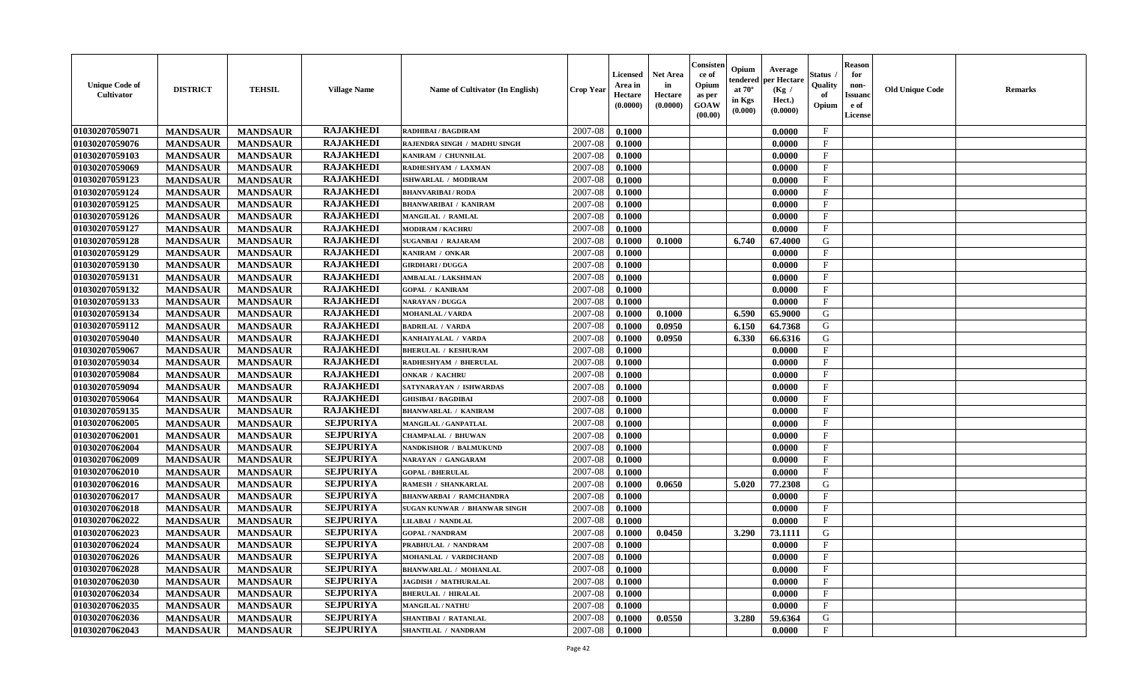| <b>Unique Code of</b><br>Cultivator | <b>DISTRICT</b> | <b>TEHSIL</b>   | <b>Village Name</b> | <b>Name of Cultivator (In English)</b> | <b>Crop Year</b> | <b>Licensed</b><br>Area in<br>Hectare<br>(0.0000) | <b>Net Area</b><br>in<br>Hectare<br>(0.0000) | Consister<br>ce of<br>Opium<br>as per<br>GOAW<br>(00.00) | Opium<br>endered<br>at $70^{\circ}$<br>in Kgs<br>(0.000) | Average<br>per Hectare<br>(Kg /<br>Hect.)<br>(0.0000) | <b>Status</b><br>Quality<br>of<br>Opium | <b>Reason</b><br>for<br>non-<br><b>Issuand</b><br>e of<br>License | <b>Old Unique Code</b> | <b>Remarks</b> |
|-------------------------------------|-----------------|-----------------|---------------------|----------------------------------------|------------------|---------------------------------------------------|----------------------------------------------|----------------------------------------------------------|----------------------------------------------------------|-------------------------------------------------------|-----------------------------------------|-------------------------------------------------------------------|------------------------|----------------|
| 01030207059071                      | <b>MANDSAUR</b> | <b>MANDSAUR</b> | <b>RAJAKHEDI</b>    | RADHIBAI / BAGDIRAM                    | 2007-08          | 0.1000                                            |                                              |                                                          |                                                          | 0.0000                                                | $\mathbf{F}$                            |                                                                   |                        |                |
| 01030207059076                      | <b>MANDSAUR</b> | <b>MANDSAUR</b> | <b>RAJAKHEDI</b>    | RAJENDRA SINGH / MADHU SINGH           | 2007-08          | 0.1000                                            |                                              |                                                          |                                                          | 0.0000                                                | $\mathbf F$                             |                                                                   |                        |                |
| 01030207059103                      | <b>MANDSAUR</b> | <b>MANDSAUR</b> | <b>RAJAKHEDI</b>    | KANIRAM / CHUNNILAL                    | 2007-08          | 0.1000                                            |                                              |                                                          |                                                          | 0.0000                                                | $\mathbf{F}$                            |                                                                   |                        |                |
| 01030207059069                      | <b>MANDSAUR</b> | <b>MANDSAUR</b> | <b>RAJAKHEDI</b>    | RADHESHYAM / LAXMAN                    | 2007-08          | 0.1000                                            |                                              |                                                          |                                                          | 0.0000                                                | $\mathbf{F}$                            |                                                                   |                        |                |
| 01030207059123                      | <b>MANDSAUR</b> | <b>MANDSAUR</b> | <b>RAJAKHEDI</b>    | ISHWARLAL / MODIRAM                    | 2007-08          | 0.1000                                            |                                              |                                                          |                                                          | 0.0000                                                | $_{\rm F}$                              |                                                                   |                        |                |
| 01030207059124                      | <b>MANDSAUR</b> | <b>MANDSAUR</b> | <b>RAJAKHEDI</b>    | <b>BHANVARIBAI/RODA</b>                | 2007-08          | 0.1000                                            |                                              |                                                          |                                                          | 0.0000                                                | $\mathbf{F}$                            |                                                                   |                        |                |
| 01030207059125                      | <b>MANDSAUR</b> | <b>MANDSAUR</b> | <b>RAJAKHEDI</b>    | <b>BHANWARIBAI / KANIRAM</b>           | 2007-08          | 0.1000                                            |                                              |                                                          |                                                          | 0.0000                                                | $\mathbf{F}$                            |                                                                   |                        |                |
| 01030207059126                      | <b>MANDSAUR</b> | <b>MANDSAUR</b> | <b>RAJAKHEDI</b>    | MANGILAL / RAMLAL                      | 2007-08          | 0.1000                                            |                                              |                                                          |                                                          | 0.0000                                                | $\mathbf{F}$                            |                                                                   |                        |                |
| 01030207059127                      | <b>MANDSAUR</b> | <b>MANDSAUR</b> | <b>RAJAKHEDI</b>    | <b>MODIRAM / KACHRU</b>                | 2007-08          | 0.1000                                            |                                              |                                                          |                                                          | 0.0000                                                | F                                       |                                                                   |                        |                |
| 01030207059128                      | <b>MANDSAUR</b> | <b>MANDSAUR</b> | <b>RAJAKHEDI</b>    | <b>SUGANBAI / RAJARAM</b>              | 2007-08          | 0.1000                                            | 0.1000                                       |                                                          | 6.740                                                    | 67.4000                                               | G                                       |                                                                   |                        |                |
| 01030207059129                      | <b>MANDSAUR</b> | <b>MANDSAUR</b> | <b>RAJAKHEDI</b>    | KANIRAM / ONKAR                        | 2007-08          | 0.1000                                            |                                              |                                                          |                                                          | 0.0000                                                | $\mathbf{F}$                            |                                                                   |                        |                |
| 01030207059130                      | <b>MANDSAUR</b> | <b>MANDSAUR</b> | <b>RAJAKHEDI</b>    | <b>GIRDHARI / DUGGA</b>                | 2007-08          | 0.1000                                            |                                              |                                                          |                                                          | 0.0000                                                | $_{\rm F}$                              |                                                                   |                        |                |
| 01030207059131                      | <b>MANDSAUR</b> | <b>MANDSAUR</b> | <b>RAJAKHEDI</b>    | <b>AMBALAL / LAKSHMAN</b>              | 2007-08          | 0.1000                                            |                                              |                                                          |                                                          | 0.0000                                                | $\mathbf{F}$                            |                                                                   |                        |                |
| 01030207059132                      | <b>MANDSAUR</b> | <b>MANDSAUR</b> | <b>RAJAKHEDI</b>    | <b>GOPAL / KANIRAM</b>                 | 2007-08          | 0.1000                                            |                                              |                                                          |                                                          | 0.0000                                                | $\mathbf{F}$                            |                                                                   |                        |                |
| 01030207059133                      | <b>MANDSAUR</b> | <b>MANDSAUR</b> | <b>RAJAKHEDI</b>    | NARAYAN / DUGGA                        | 2007-08          | 0.1000                                            |                                              |                                                          |                                                          | 0.0000                                                | $\mathbf{F}$                            |                                                                   |                        |                |
| 01030207059134                      | <b>MANDSAUR</b> | <b>MANDSAUR</b> | <b>RAJAKHEDI</b>    | <b>MOHANLAL / VARDA</b>                | 2007-08          | 0.1000                                            | 0.1000                                       |                                                          | 6.590                                                    | 65.9000                                               | G                                       |                                                                   |                        |                |
| 01030207059112                      | <b>MANDSAUR</b> | <b>MANDSAUR</b> | <b>RAJAKHEDI</b>    | <b>BADRILAL / VARDA</b>                | 2007-08          | 0.1000                                            | 0.0950                                       |                                                          | 6.150                                                    | 64.7368                                               | G                                       |                                                                   |                        |                |
| 01030207059040                      | <b>MANDSAUR</b> | <b>MANDSAUR</b> | <b>RAJAKHEDI</b>    | KANHAIYALAL / VARDA                    | 2007-08          | 0.1000                                            | 0.0950                                       |                                                          | 6.330                                                    | 66.6316                                               | G                                       |                                                                   |                        |                |
| 01030207059067                      | <b>MANDSAUR</b> | <b>MANDSAUR</b> | <b>RAJAKHEDI</b>    | <b>BHERULAL / KESHURAM</b>             | 2007-08          | 0.1000                                            |                                              |                                                          |                                                          | 0.0000                                                | F                                       |                                                                   |                        |                |
| 01030207059034                      | <b>MANDSAUR</b> | <b>MANDSAUR</b> | <b>RAJAKHEDI</b>    | RADHESHYAM / BHERULAL                  | 2007-08          | 0.1000                                            |                                              |                                                          |                                                          | 0.0000                                                | $\mathbf{F}$                            |                                                                   |                        |                |
| 01030207059084                      | <b>MANDSAUR</b> | <b>MANDSAUR</b> | <b>RAJAKHEDI</b>    | <b>ONKAR / KACHRU</b>                  | 2007-08          | 0.1000                                            |                                              |                                                          |                                                          | 0.0000                                                | $_{\rm F}$                              |                                                                   |                        |                |
| 01030207059094                      | <b>MANDSAUR</b> | <b>MANDSAUR</b> | <b>RAJAKHEDI</b>    | SATYNARAYAN / ISHWARDAS                | 2007-08          | 0.1000                                            |                                              |                                                          |                                                          | 0.0000                                                | $\mathbf{F}$                            |                                                                   |                        |                |
| 01030207059064                      | <b>MANDSAUR</b> | <b>MANDSAUR</b> | <b>RAJAKHEDI</b>    | <b>GHISIBAI/BAGDIBAI</b>               | 2007-08          | 0.1000                                            |                                              |                                                          |                                                          | 0.0000                                                | $\mathbf{F}$                            |                                                                   |                        |                |
| 01030207059135                      | <b>MANDSAUR</b> | <b>MANDSAUR</b> | <b>RAJAKHEDI</b>    | <b>BHANWARLAL / KANIRAM</b>            | 2007-08          | 0.1000                                            |                                              |                                                          |                                                          | 0.0000                                                | $\mathbf{F}$                            |                                                                   |                        |                |
| 01030207062005                      | <b>MANDSAUR</b> | <b>MANDSAUR</b> | <b>SEJPURIYA</b>    | MANGILAL / GANPATLAL                   | 2007-08          | 0.1000                                            |                                              |                                                          |                                                          | 0.0000                                                | $\mathbf F$                             |                                                                   |                        |                |
| 01030207062001                      | <b>MANDSAUR</b> | <b>MANDSAUR</b> | <b>SEJPURIYA</b>    | <b>CHAMPALAL / BHUWAN</b>              | 2007-08          | 0.1000                                            |                                              |                                                          |                                                          | 0.0000                                                | $\mathbf{F}$                            |                                                                   |                        |                |
| 01030207062004                      | <b>MANDSAUR</b> | <b>MANDSAUR</b> | <b>SEJPURIYA</b>    | NANDKISHOR / BALMUKUND                 | 2007-08          | 0.1000                                            |                                              |                                                          |                                                          | 0.0000                                                | F                                       |                                                                   |                        |                |
| 01030207062009                      | <b>MANDSAUR</b> | <b>MANDSAUR</b> | <b>SEJPURIYA</b>    | NARAYAN / GANGARAM                     | 2007-08          | 0.1000                                            |                                              |                                                          |                                                          | 0.0000                                                | $\mathbf{F}$                            |                                                                   |                        |                |
| 01030207062010                      | <b>MANDSAUR</b> | <b>MANDSAUR</b> | <b>SEJPURIYA</b>    | <b>GOPAL / BHERULAL</b>                | 2007-08          | 0.1000                                            |                                              |                                                          |                                                          | 0.0000                                                | $\mathbf{F}$                            |                                                                   |                        |                |
| 01030207062016                      | <b>MANDSAUR</b> | <b>MANDSAUR</b> | <b>SEJPURIYA</b>    | RAMESH / SHANKARLAL                    | 2007-08          | 0.1000                                            | 0.0650                                       |                                                          | 5.020                                                    | 77.2308                                               | G                                       |                                                                   |                        |                |
| 01030207062017                      | <b>MANDSAUR</b> | <b>MANDSAUR</b> | <b>SEJPURIYA</b>    | <b>BHANWARBAI / RAMCHANDRA</b>         | 2007-08          | 0.1000                                            |                                              |                                                          |                                                          | 0.0000                                                | F                                       |                                                                   |                        |                |
| 01030207062018                      | <b>MANDSAUR</b> | <b>MANDSAUR</b> | <b>SEJPURIYA</b>    | SUGAN KUNWAR / BHANWAR SINGH           | 2007-08          | 0.1000                                            |                                              |                                                          |                                                          | 0.0000                                                | $\mathbf{F}$                            |                                                                   |                        |                |
| 01030207062022                      | <b>MANDSAUR</b> | <b>MANDSAUR</b> | <b>SEJPURIYA</b>    | LILABAI / NANDLAL                      | 2007-08          | 0.1000                                            |                                              |                                                          |                                                          | 0.0000                                                | $\mathbf{F}$                            |                                                                   |                        |                |
| 01030207062023                      | <b>MANDSAUR</b> | <b>MANDSAUR</b> | <b>SEJPURIYA</b>    | <b>GOPAL / NANDRAM</b>                 | 2007-08          | 0.1000                                            | 0.0450                                       |                                                          | 3.290                                                    | 73.1111                                               | G                                       |                                                                   |                        |                |
| 01030207062024                      | <b>MANDSAUR</b> | <b>MANDSAUR</b> | <b>SEJPURIYA</b>    | PRABHULAL / NANDRAM                    | 2007-08          | 0.1000                                            |                                              |                                                          |                                                          | 0.0000                                                | $\mathbf{F}$                            |                                                                   |                        |                |
| 01030207062026                      | <b>MANDSAUR</b> | MANDSAUR        | <b>SEJPURIYA</b>    | MOHANLAL / VARDICHAND                  |                  | $2007-08$ 0.1000                                  |                                              |                                                          |                                                          | 0.0000                                                | F                                       |                                                                   |                        |                |
| 01030207062028                      | <b>MANDSAUR</b> | <b>MANDSAUR</b> | <b>SEJPURIYA</b>    | <b>BHANWARLAL / MOHANLAL</b>           | 2007-08          | 0.1000                                            |                                              |                                                          |                                                          | 0.0000                                                | $\mathbf{F}$                            |                                                                   |                        |                |
| 01030207062030                      | <b>MANDSAUR</b> | <b>MANDSAUR</b> | <b>SEJPURIYA</b>    | <b>JAGDISH / MATHURALAL</b>            | 2007-08          | 0.1000                                            |                                              |                                                          |                                                          | 0.0000                                                | $\mathbf F$                             |                                                                   |                        |                |
| 01030207062034                      | <b>MANDSAUR</b> | <b>MANDSAUR</b> | <b>SEJPURIYA</b>    | <b>BHERULAL / HIRALAL</b>              | 2007-08          | 0.1000                                            |                                              |                                                          |                                                          | 0.0000                                                | $\mathbf{F}$                            |                                                                   |                        |                |
| 01030207062035                      | <b>MANDSAUR</b> | <b>MANDSAUR</b> | <b>SEJPURIYA</b>    | <b>MANGILAL / NATHU</b>                | 2007-08          | 0.1000                                            |                                              |                                                          |                                                          | 0.0000                                                | $\mathbf{F}$                            |                                                                   |                        |                |
| 01030207062036                      | <b>MANDSAUR</b> | <b>MANDSAUR</b> | <b>SEJPURIYA</b>    | SHANTIBAI / RATANLAL                   | 2007-08          | 0.1000                                            | 0.0550                                       |                                                          | 3.280                                                    | 59.6364                                               | G                                       |                                                                   |                        |                |
| 01030207062043                      | <b>MANDSAUR</b> | <b>MANDSAUR</b> | <b>SEJPURIYA</b>    | SHANTILAL / NANDRAM                    | 2007-08          | 0.1000                                            |                                              |                                                          |                                                          | 0.0000                                                | $\mathbf F$                             |                                                                   |                        |                |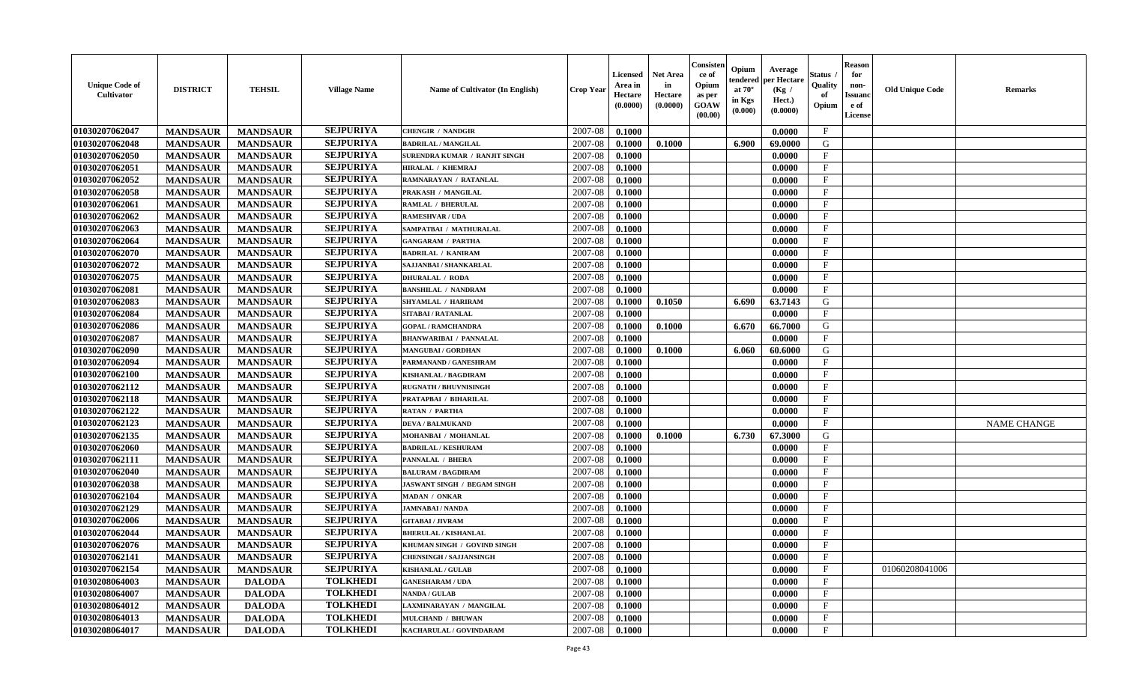| <b>Unique Code of</b><br><b>Cultivator</b> | <b>DISTRICT</b> | <b>TEHSIL</b>   | <b>Village Name</b> | Name of Cultivator (In English)    | <b>Crop Year</b> | <b>Licensed</b><br>Area in<br>Hectare<br>(0.0000) | <b>Net Area</b><br>in<br>Hectare<br>(0.0000) | Consisteı<br>ce of<br>Opium<br>as per<br><b>GOAW</b><br>(00.00) | Opium<br>endered<br>at $70^\circ$<br>in Kgs<br>(0.000) | Average<br>per Hectare<br>(Kg /<br>Hect.)<br>(0.0000) | Status<br>Quality<br>of<br>Opium | <b>Reason</b><br>for<br>non-<br>Issuan<br>e of<br>License | <b>Old Unique Code</b> | <b>Remarks</b>     |
|--------------------------------------------|-----------------|-----------------|---------------------|------------------------------------|------------------|---------------------------------------------------|----------------------------------------------|-----------------------------------------------------------------|--------------------------------------------------------|-------------------------------------------------------|----------------------------------|-----------------------------------------------------------|------------------------|--------------------|
| 01030207062047                             | <b>MANDSAUR</b> | <b>MANDSAUR</b> | <b>SEJPURIYA</b>    | <b>CHENGIR / NANDGIR</b>           | 2007-08          | 0.1000                                            |                                              |                                                                 |                                                        | 0.0000                                                | $\mathbf{F}$                     |                                                           |                        |                    |
| 01030207062048                             | <b>MANDSAUR</b> | <b>MANDSAUR</b> | <b>SEJPURIYA</b>    | <b>BADRILAL / MANGILAL</b>         | 2007-08          | 0.1000                                            | 0.1000                                       |                                                                 | 6.900                                                  | 69.0000                                               | G                                |                                                           |                        |                    |
| 01030207062050                             | <b>MANDSAUR</b> | <b>MANDSAUR</b> | <b>SEJPURIYA</b>    | SURENDRA KUMAR / RANJIT SINGH      | 2007-08          | 0.1000                                            |                                              |                                                                 |                                                        | 0.0000                                                | $\mathbf{F}$                     |                                                           |                        |                    |
| 01030207062051                             | <b>MANDSAUR</b> | <b>MANDSAUR</b> | <b>SEJPURIYA</b>    | HIRALAL / KHEMRAJ                  | 2007-08          | 0.1000                                            |                                              |                                                                 |                                                        | 0.0000                                                | $\mathbf{F}$                     |                                                           |                        |                    |
| 01030207062052                             | <b>MANDSAUR</b> | <b>MANDSAUR</b> | <b>SEJPURIYA</b>    | RAMNARAYAN / RATANLAL              | 2007-08          | 0.1000                                            |                                              |                                                                 |                                                        | 0.0000                                                | $_{\rm F}$                       |                                                           |                        |                    |
| 01030207062058                             | <b>MANDSAUR</b> | <b>MANDSAUR</b> | <b>SEJPURIYA</b>    | PRAKASH / MANGILAL                 | 2007-08          | 0.1000                                            |                                              |                                                                 |                                                        | 0.0000                                                | $\mathbf{F}$                     |                                                           |                        |                    |
| 01030207062061                             | <b>MANDSAUR</b> | <b>MANDSAUR</b> | <b>SEJPURIYA</b>    | <b>RAMLAL / BHERULAL</b>           | 2007-08          | 0.1000                                            |                                              |                                                                 |                                                        | 0.0000                                                | $\mathbf{F}$                     |                                                           |                        |                    |
| 01030207062062                             | <b>MANDSAUR</b> | <b>MANDSAUR</b> | <b>SEJPURIYA</b>    | <b>RAMESHVAR / UDA</b>             | 2007-08          | 0.1000                                            |                                              |                                                                 |                                                        | 0.0000                                                | $\mathbf{F}$                     |                                                           |                        |                    |
| 01030207062063                             | <b>MANDSAUR</b> | <b>MANDSAUR</b> | <b>SEJPURIYA</b>    | SAMPATBAI / MATHURALAL             | 2007-08          | 0.1000                                            |                                              |                                                                 |                                                        | 0.0000                                                | $_{\rm F}$                       |                                                           |                        |                    |
| 01030207062064                             | <b>MANDSAUR</b> | <b>MANDSAUR</b> | <b>SEJPURIYA</b>    | <b>GANGARAM / PARTHA</b>           | 2007-08          | 0.1000                                            |                                              |                                                                 |                                                        | 0.0000                                                | $_{\rm F}$                       |                                                           |                        |                    |
| 01030207062070                             | <b>MANDSAUR</b> | <b>MANDSAUR</b> | <b>SEJPURIYA</b>    | <b>BADRILAL / KANIRAM</b>          | 2007-08          | 0.1000                                            |                                              |                                                                 |                                                        | 0.0000                                                | $\mathbf{F}$                     |                                                           |                        |                    |
| 01030207062072                             | <b>MANDSAUR</b> | <b>MANDSAUR</b> | <b>SEJPURIYA</b>    | SAJJANBAI / SHANKARLAL             | 2007-08          | 0.1000                                            |                                              |                                                                 |                                                        | 0.0000                                                | $_{\rm F}$                       |                                                           |                        |                    |
| 01030207062075                             | <b>MANDSAUR</b> | <b>MANDSAUR</b> | <b>SEJPURIYA</b>    | <b>DHURALAL / RODA</b>             | 2007-08          | 0.1000                                            |                                              |                                                                 |                                                        | 0.0000                                                | $\mathbf{F}$                     |                                                           |                        |                    |
| 01030207062081                             | <b>MANDSAUR</b> | <b>MANDSAUR</b> | <b>SEJPURIYA</b>    | <b>BANSHILAL / NANDRAM</b>         | 2007-08          | 0.1000                                            |                                              |                                                                 |                                                        | 0.0000                                                | $\mathbf{F}$                     |                                                           |                        |                    |
| 01030207062083                             | <b>MANDSAUR</b> | <b>MANDSAUR</b> | <b>SEJPURIYA</b>    | SHYAMLAL / HARIRAM                 | 2007-08          | 0.1000                                            | 0.1050                                       |                                                                 | 6.690                                                  | 63.7143                                               | G                                |                                                           |                        |                    |
| 01030207062084                             | <b>MANDSAUR</b> | <b>MANDSAUR</b> | <b>SEJPURIYA</b>    | <b>SITABAI/RATANLAL</b>            | 2007-08          | 0.1000                                            |                                              |                                                                 |                                                        | 0.0000                                                | F                                |                                                           |                        |                    |
| 01030207062086                             | <b>MANDSAUR</b> | <b>MANDSAUR</b> | <b>SEJPURIYA</b>    | <b>GOPAL / RAMCHANDRA</b>          | 2007-08          | 0.1000                                            | 0.1000                                       |                                                                 | 6.670                                                  | 66.7000                                               | G                                |                                                           |                        |                    |
| 01030207062087                             | <b>MANDSAUR</b> | <b>MANDSAUR</b> | <b>SEJPURIYA</b>    | <b>BHANWARIBAI / PANNALAL</b>      | 2007-08          | 0.1000                                            |                                              |                                                                 |                                                        | 0.0000                                                | $\mathbf F$                      |                                                           |                        |                    |
| 01030207062090                             | <b>MANDSAUR</b> | <b>MANDSAUR</b> | <b>SEJPURIYA</b>    | <b>MANGUBAI/GORDHAN</b>            | 2007-08          | 0.1000                                            | 0.1000                                       |                                                                 | 6.060                                                  | 60.6000                                               | G                                |                                                           |                        |                    |
| 01030207062094                             | <b>MANDSAUR</b> | <b>MANDSAUR</b> | <b>SEJPURIYA</b>    | PARMANAND / GANESHRAM              | 2007-08          | 0.1000                                            |                                              |                                                                 |                                                        | 0.0000                                                | F                                |                                                           |                        |                    |
| 01030207062100                             | <b>MANDSAUR</b> | <b>MANDSAUR</b> | <b>SEJPURIYA</b>    | KISHANLAL / BAGDIRAM               | 2007-08          | 0.1000                                            |                                              |                                                                 |                                                        | 0.0000                                                | F                                |                                                           |                        |                    |
| 01030207062112                             | <b>MANDSAUR</b> | <b>MANDSAUR</b> | <b>SEJPURIYA</b>    | <b>RUGNATH / BHUVNISINGH</b>       | 2007-08          | 0.1000                                            |                                              |                                                                 |                                                        | 0.0000                                                | $\mathbf{F}$                     |                                                           |                        |                    |
| 01030207062118                             | <b>MANDSAUR</b> | <b>MANDSAUR</b> | <b>SEJPURIYA</b>    | PRATAPBAI / BIHARILAL              | 2007-08          | 0.1000                                            |                                              |                                                                 |                                                        | 0.0000                                                | $\mathbf{F}$                     |                                                           |                        |                    |
| 01030207062122                             | <b>MANDSAUR</b> | <b>MANDSAUR</b> | <b>SEJPURIYA</b>    | <b>RATAN / PARTHA</b>              | 2007-08          | 0.1000                                            |                                              |                                                                 |                                                        | 0.0000                                                | $\mathbf{F}$                     |                                                           |                        |                    |
| 01030207062123                             | <b>MANDSAUR</b> | <b>MANDSAUR</b> | <b>SEJPURIYA</b>    | <b>DEVA / BALMUKAND</b>            | 2007-08          | 0.1000                                            |                                              |                                                                 |                                                        | 0.0000                                                | $\mathbf{F}$                     |                                                           |                        | <b>NAME CHANGE</b> |
| 01030207062135                             | <b>MANDSAUR</b> | <b>MANDSAUR</b> | <b>SEJPURIYA</b>    | MOHANBAI / MOHANLAL                | 2007-08          | 0.1000                                            | 0.1000                                       |                                                                 | 6.730                                                  | 67.3000                                               | G                                |                                                           |                        |                    |
| 01030207062060                             | <b>MANDSAUR</b> | <b>MANDSAUR</b> | <b>SEJPURIYA</b>    | <b>BADRILAL / KESHURAM</b>         | 2007-08          | 0.1000                                            |                                              |                                                                 |                                                        | 0.0000                                                | $_{\rm F}$                       |                                                           |                        |                    |
| 01030207062111                             | <b>MANDSAUR</b> | <b>MANDSAUR</b> | <b>SEJPURIYA</b>    | <b>PANNALAL / BHERA</b>            | 2007-08          | 0.1000                                            |                                              |                                                                 |                                                        | 0.0000                                                | $\mathbf{F}$                     |                                                           |                        |                    |
| 01030207062040                             | <b>MANDSAUR</b> | <b>MANDSAUR</b> | <b>SEJPURIYA</b>    | <b>BALURAM / BAGDIRAM</b>          | 2007-08          | 0.1000                                            |                                              |                                                                 |                                                        | 0.0000                                                | $\mathbf{F}$                     |                                                           |                        |                    |
| 01030207062038                             | <b>MANDSAUR</b> | <b>MANDSAUR</b> | <b>SEJPURIYA</b>    | <b>JASWANT SINGH / BEGAM SINGH</b> | 2007-08          | 0.1000                                            |                                              |                                                                 |                                                        | 0.0000                                                | $_{\rm F}$                       |                                                           |                        |                    |
| 01030207062104                             | <b>MANDSAUR</b> | <b>MANDSAUR</b> | <b>SEJPURIYA</b>    | <b>MADAN / ONKAR</b>               | 2007-08          | 0.1000                                            |                                              |                                                                 |                                                        | 0.0000                                                | $_{\rm F}$                       |                                                           |                        |                    |
| 01030207062129                             | <b>MANDSAUR</b> | <b>MANDSAUR</b> | <b>SEJPURIYA</b>    | <b>JAMNABAI/NANDA</b>              | 2007-08          | 0.1000                                            |                                              |                                                                 |                                                        | 0.0000                                                | $\mathbf{F}$                     |                                                           |                        |                    |
| 01030207062006                             | <b>MANDSAUR</b> | <b>MANDSAUR</b> | <b>SEJPURIYA</b>    | <b>GITABAI / JIVRAM</b>            | 2007-08          | 0.1000                                            |                                              |                                                                 |                                                        | 0.0000                                                | $\mathbf{F}$                     |                                                           |                        |                    |
| 01030207062044                             | <b>MANDSAUR</b> | <b>MANDSAUR</b> | <b>SEJPURIYA</b>    | <b>BHERULAL / KISHANLAL</b>        | 2007-08          | 0.1000                                            |                                              |                                                                 |                                                        | 0.0000                                                | $_{\rm F}$                       |                                                           |                        |                    |
| 01030207062076                             | <b>MANDSAUR</b> | <b>MANDSAUR</b> | <b>SEJPURIYA</b>    | KHUMAN SINGH / GOVIND SINGH        | 2007-08          | 0.1000                                            |                                              |                                                                 |                                                        | 0.0000                                                | $\mathbf{F}$                     |                                                           |                        |                    |
| 01030207062141                             | <b>MANDSAUR</b> | <b>MANDSAUR</b> | <b>SEJPURIYA</b>    | <b>CHENSINGH / SAJJANSINGH</b>     | $2007-08$ 0.1000 |                                                   |                                              |                                                                 |                                                        | 0.0000                                                | F                                |                                                           |                        |                    |
| 01030207062154                             | <b>MANDSAUR</b> | <b>MANDSAUR</b> | <b>SEJPURIYA</b>    | <b>KISHANLAL / GULAB</b>           | 2007-08          | 0.1000                                            |                                              |                                                                 |                                                        | 0.0000                                                | $_{\rm F}$                       |                                                           | 01060208041006         |                    |
| 01030208064003                             | <b>MANDSAUR</b> | <b>DALODA</b>   | <b>TOLKHEDI</b>     | <b>GANESHARAM / UDA</b>            | 2007-08          | 0.1000                                            |                                              |                                                                 |                                                        | 0.0000                                                | $\mathbf{F}$                     |                                                           |                        |                    |
| 01030208064007                             | <b>MANDSAUR</b> | <b>DALODA</b>   | <b>TOLKHEDI</b>     | <b>NANDA / GULAB</b>               | 2007-08          | 0.1000                                            |                                              |                                                                 |                                                        | 0.0000                                                | $\mathbf{F}$                     |                                                           |                        |                    |
| 01030208064012                             | <b>MANDSAUR</b> | <b>DALODA</b>   | <b>TOLKHEDI</b>     | LAXMINARAYAN / MANGILAL            | 2007-08          | 0.1000                                            |                                              |                                                                 |                                                        | 0.0000                                                | $\mathbf{F}$                     |                                                           |                        |                    |
| 01030208064013                             | <b>MANDSAUR</b> | <b>DALODA</b>   | <b>TOLKHEDI</b>     | <b>MULCHAND / BHUWAN</b>           | 2007-08          | 0.1000                                            |                                              |                                                                 |                                                        | 0.0000                                                | $\mathbf{F}$                     |                                                           |                        |                    |
| 01030208064017                             | <b>MANDSAUR</b> | <b>DALODA</b>   | <b>TOLKHEDI</b>     | KACHARULAL / GOVINDARAM            | 2007-08          | 0.1000                                            |                                              |                                                                 |                                                        | 0.0000                                                | $\mathbf{F}$                     |                                                           |                        |                    |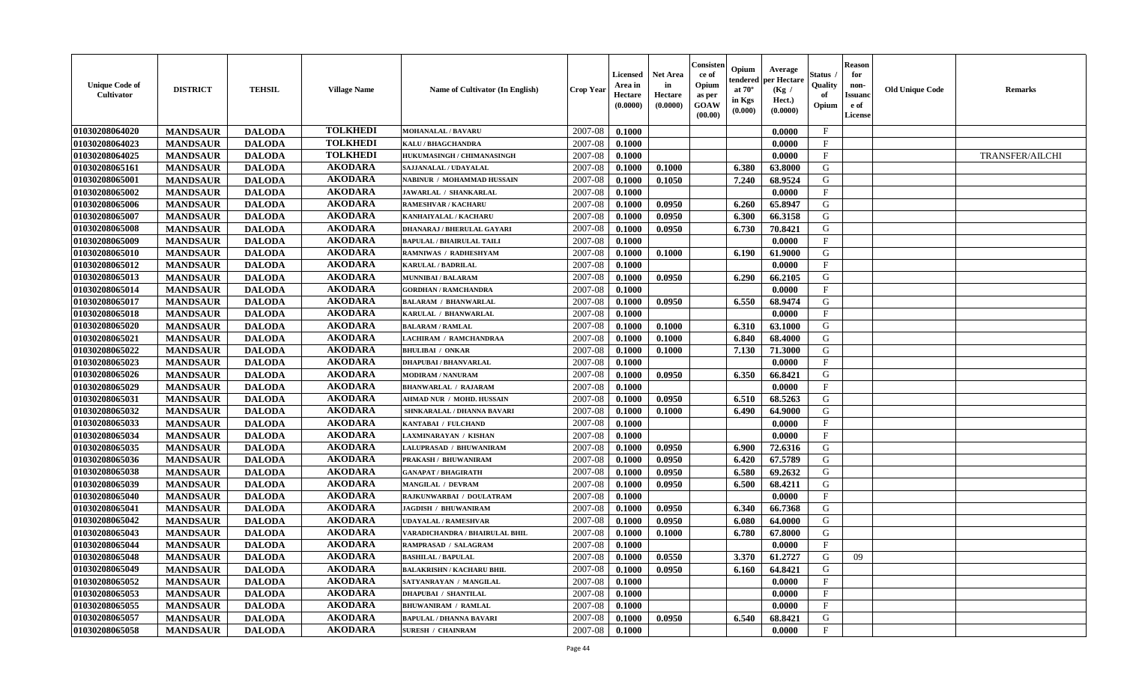| <b>Unique Code of</b><br><b>Cultivator</b> | <b>DISTRICT</b> | <b>TEHSIL</b> | <b>Village Name</b> | <b>Name of Cultivator (In English)</b> | <b>Crop Year</b> | <b>Licensed</b><br>Area in<br>Hectare<br>(0.0000) | <b>Net Area</b><br>in<br>Hectare<br>(0.0000) | Consisteı<br>ce of<br>Opium<br>as per<br><b>GOAW</b><br>(00.00) | Opium<br>endered<br>at $70^\circ$<br>in Kgs<br>$(\mathbf{0.000})$ | Average<br>per Hectare<br>(Kg /<br>Hect.)<br>(0.0000) | Status<br>Quality<br>of<br>Opium | <b>Reason</b><br>for<br>non-<br>Issuan<br>e of<br>License | <b>Old Unique Code</b> | <b>Remarks</b>         |
|--------------------------------------------|-----------------|---------------|---------------------|----------------------------------------|------------------|---------------------------------------------------|----------------------------------------------|-----------------------------------------------------------------|-------------------------------------------------------------------|-------------------------------------------------------|----------------------------------|-----------------------------------------------------------|------------------------|------------------------|
| 01030208064020                             | <b>MANDSAUR</b> | <b>DALODA</b> | <b>TOLKHEDI</b>     | <b>MOHANALAL / BAVARU</b>              | 2007-08          | 0.1000                                            |                                              |                                                                 |                                                                   | 0.0000                                                | $\mathbf{F}$                     |                                                           |                        |                        |
| 01030208064023                             | <b>MANDSAUR</b> | <b>DALODA</b> | <b>TOLKHEDI</b>     | <b>KALU / BHAGCHANDRA</b>              | 2007-08          | 0.1000                                            |                                              |                                                                 |                                                                   | 0.0000                                                | $_{\rm F}$                       |                                                           |                        |                        |
| 01030208064025                             | <b>MANDSAUR</b> | <b>DALODA</b> | <b>TOLKHEDI</b>     | HUKUMASINGH / CHIMANASINGH             | 2007-08          | 0.1000                                            |                                              |                                                                 |                                                                   | 0.0000                                                | $\mathbf{F}$                     |                                                           |                        | <b>TRANSFER/AILCHI</b> |
| 01030208065161                             | <b>MANDSAUR</b> | <b>DALODA</b> | <b>AKODARA</b>      | SAJJANALAL / UDAYALAL                  | 2007-08          | 0.1000                                            | 0.1000                                       |                                                                 | 6.380                                                             | 63.8000                                               | G                                |                                                           |                        |                        |
| 01030208065001                             | <b>MANDSAUR</b> | <b>DALODA</b> | <b>AKODARA</b>      | NABINUR / MOHAMMAD HUSSAIN             | 2007-08          | 0.1000                                            | 0.1050                                       |                                                                 | 7.240                                                             | 68.9524                                               | G                                |                                                           |                        |                        |
| 01030208065002                             | <b>MANDSAUR</b> | <b>DALODA</b> | <b>AKODARA</b>      | JAWARLAL / SHANKARLAL                  | 2007-08          | 0.1000                                            |                                              |                                                                 |                                                                   | 0.0000                                                | $\mathbf{F}$                     |                                                           |                        |                        |
| 01030208065006                             | <b>MANDSAUR</b> | <b>DALODA</b> | <b>AKODARA</b>      | <b>RAMESHVAR / KACHARU</b>             | 2007-08          | 0.1000                                            | 0.0950                                       |                                                                 | 6.260                                                             | 65.8947                                               | G                                |                                                           |                        |                        |
| 01030208065007                             | <b>MANDSAUR</b> | <b>DALODA</b> | <b>AKODARA</b>      | KANHAIYALAL / KACHARU                  | 2007-08          | 0.1000                                            | 0.0950                                       |                                                                 | 6.300                                                             | 66.3158                                               | G                                |                                                           |                        |                        |
| 01030208065008                             | <b>MANDSAUR</b> | <b>DALODA</b> | <b>AKODARA</b>      | DHANARAJ / BHERULAL GAYARI             | 2007-08          | 0.1000                                            | 0.0950                                       |                                                                 | 6.730                                                             | 70.8421                                               | G                                |                                                           |                        |                        |
| 01030208065009                             | <b>MANDSAUR</b> | <b>DALODA</b> | <b>AKODARA</b>      | <b>BAPULAL / BHAIRULAL TAILI</b>       | 2007-08          | 0.1000                                            |                                              |                                                                 |                                                                   | 0.0000                                                | F                                |                                                           |                        |                        |
| 01030208065010                             | <b>MANDSAUR</b> | <b>DALODA</b> | <b>AKODARA</b>      | RAMNIWAS / RADHESHYAM                  | 2007-08          | 0.1000                                            | 0.1000                                       |                                                                 | 6.190                                                             | 61.9000                                               | G                                |                                                           |                        |                        |
| 01030208065012                             | <b>MANDSAUR</b> | <b>DALODA</b> | <b>AKODARA</b>      | <b>KARULAL / BADRILAL</b>              | 2007-08          | 0.1000                                            |                                              |                                                                 |                                                                   | 0.0000                                                | $\mathbf{F}$                     |                                                           |                        |                        |
| 01030208065013                             | <b>MANDSAUR</b> | <b>DALODA</b> | <b>AKODARA</b>      | <b>MUNNIBAI/BALARAM</b>                | 2007-08          | 0.1000                                            | 0.0950                                       |                                                                 | 6.290                                                             | 66.2105                                               | G                                |                                                           |                        |                        |
| 01030208065014                             | <b>MANDSAUR</b> | <b>DALODA</b> | <b>AKODARA</b>      | <b>GORDHAN / RAMCHANDRA</b>            | 2007-08          | 0.1000                                            |                                              |                                                                 |                                                                   | 0.0000                                                | $\mathbf{F}$                     |                                                           |                        |                        |
| 01030208065017                             | <b>MANDSAUR</b> | <b>DALODA</b> | <b>AKODARA</b>      | <b>BALARAM / BHANWARLAL</b>            | 2007-08          | 0.1000                                            | 0.0950                                       |                                                                 | 6.550                                                             | 68.9474                                               | G                                |                                                           |                        |                        |
| 01030208065018                             | <b>MANDSAUR</b> | <b>DALODA</b> | <b>AKODARA</b>      | KARULAL / BHANWARLAL                   | 2007-08          | 0.1000                                            |                                              |                                                                 |                                                                   | 0.0000                                                | F                                |                                                           |                        |                        |
| 01030208065020                             | <b>MANDSAUR</b> | <b>DALODA</b> | <b>AKODARA</b>      | <b>BALARAM / RAMLAL</b>                | 2007-08          | 0.1000                                            | 0.1000                                       |                                                                 | 6.310                                                             | 63.1000                                               | G                                |                                                           |                        |                        |
| 01030208065021                             | <b>MANDSAUR</b> | <b>DALODA</b> | <b>AKODARA</b>      | LACHIRAM / RAMCHANDRAA                 | 2007-08          | 0.1000                                            | 0.1000                                       |                                                                 | 6.840                                                             | 68.4000                                               | G                                |                                                           |                        |                        |
| 01030208065022                             | <b>MANDSAUR</b> | <b>DALODA</b> | <b>AKODARA</b>      | <b>BHULIBAI / ONKAR</b>                | 2007-08          | 0.1000                                            | 0.1000                                       |                                                                 | 7.130                                                             | 71.3000                                               | G                                |                                                           |                        |                        |
| 01030208065023                             | <b>MANDSAUR</b> | <b>DALODA</b> | <b>AKODARA</b>      | <b>DHAPUBAI/BHANVARLAL</b>             | 2007-08          | 0.1000                                            |                                              |                                                                 |                                                                   | 0.0000                                                | $_{\rm F}$                       |                                                           |                        |                        |
| 01030208065026                             | <b>MANDSAUR</b> | <b>DALODA</b> | <b>AKODARA</b>      | <b>MODIRAM / NANURAM</b>               | 2007-08          | 0.1000                                            | 0.0950                                       |                                                                 | 6.350                                                             | 66.8421                                               | G                                |                                                           |                        |                        |
| 01030208065029                             | <b>MANDSAUR</b> | <b>DALODA</b> | <b>AKODARA</b>      | <b>BHANWARLAL / RAJARAM</b>            | 2007-08          | 0.1000                                            |                                              |                                                                 |                                                                   | 0.0000                                                | $\mathbf{F}$                     |                                                           |                        |                        |
| 01030208065031                             | <b>MANDSAUR</b> | <b>DALODA</b> | <b>AKODARA</b>      | <b>AHMAD NUR / MOHD. HUSSAIN</b>       | 2007-08          | 0.1000                                            | 0.0950                                       |                                                                 | 6.510                                                             | 68.5263                                               | G                                |                                                           |                        |                        |
| 01030208065032                             | <b>MANDSAUR</b> | <b>DALODA</b> | <b>AKODARA</b>      | SHNKARALAL / DHANNA BAVARI             | 2007-08          | 0.1000                                            | 0.1000                                       |                                                                 | 6.490                                                             | 64.9000                                               | G                                |                                                           |                        |                        |
| 01030208065033                             | <b>MANDSAUR</b> | <b>DALODA</b> | <b>AKODARA</b>      | KANTABAI / FULCHAND                    | 2007-08          | 0.1000                                            |                                              |                                                                 |                                                                   | 0.0000                                                | $\mathbf{F}$                     |                                                           |                        |                        |
| 01030208065034                             | <b>MANDSAUR</b> | <b>DALODA</b> | <b>AKODARA</b>      | LAXMINARAYAN / KISHAN                  | 2007-08          | 0.1000                                            |                                              |                                                                 |                                                                   | 0.0000                                                | $\mathbf{F}$                     |                                                           |                        |                        |
| 01030208065035                             | <b>MANDSAUR</b> | <b>DALODA</b> | <b>AKODARA</b>      | LALUPRASAD / BHUWANIRAM                | 2007-08          | 0.1000                                            | 0.0950                                       |                                                                 | 6.900                                                             | 72.6316                                               | G                                |                                                           |                        |                        |
| 01030208065036                             | <b>MANDSAUR</b> | <b>DALODA</b> | <b>AKODARA</b>      | PRAKASH / BHUWANIRAM                   | 2007-08          | 0.1000                                            | 0.0950                                       |                                                                 | 6.420                                                             | 67.5789                                               | G                                |                                                           |                        |                        |
| 01030208065038                             | <b>MANDSAUR</b> | <b>DALODA</b> | <b>AKODARA</b>      | <b>GANAPAT / BHAGIRATH</b>             | 2007-08          | 0.1000                                            | 0.0950                                       |                                                                 | 6.580                                                             | 69.2632                                               | G                                |                                                           |                        |                        |
| 01030208065039                             | <b>MANDSAUR</b> | <b>DALODA</b> | <b>AKODARA</b>      | <b>MANGILAL / DEVRAM</b>               | 2007-08          | 0.1000                                            | 0.0950                                       |                                                                 | 6.500                                                             | 68.4211                                               | G                                |                                                           |                        |                        |
| 01030208065040                             | <b>MANDSAUR</b> | <b>DALODA</b> | <b>AKODARA</b>      | RAJKUNWARBAI / DOULATRAM               | 2007-08          | 0.1000                                            |                                              |                                                                 |                                                                   | 0.0000                                                | $\mathbf{F}$                     |                                                           |                        |                        |
| 01030208065041                             | <b>MANDSAUR</b> | <b>DALODA</b> | <b>AKODARA</b>      | <b>JAGDISH / BHUWANIRAM</b>            | 2007-08          | 0.1000                                            | 0.0950                                       |                                                                 | 6.340                                                             | 66.7368                                               | G                                |                                                           |                        |                        |
| 01030208065042                             | <b>MANDSAUR</b> | <b>DALODA</b> | <b>AKODARA</b>      | UDAYALAL / RAMESHVAR                   | 2007-08          | 0.1000                                            | 0.0950                                       |                                                                 | 6.080                                                             | 64.0000                                               | G                                |                                                           |                        |                        |
| 01030208065043                             | <b>MANDSAUR</b> | <b>DALODA</b> | <b>AKODARA</b>      | VARADICHANDRA / BHAIRULAL BHIL         | 2007-08          | 0.1000                                            | 0.1000                                       |                                                                 | 6.780                                                             | 67.8000                                               | G                                |                                                           |                        |                        |
| 01030208065044                             | <b>MANDSAUR</b> | <b>DALODA</b> | <b>AKODARA</b>      | RAMPRASAD / SALAGRAM                   | 2007-08          | 0.1000                                            |                                              |                                                                 |                                                                   | 0.0000                                                | $\mathbf{F}$                     |                                                           |                        |                        |
| 01030208065048                             | <b>MANDSAUR</b> | <b>DALODA</b> | AKODARA             | <b>BASHILAL / BAPULAL</b>              | 2007-08          | 0.1000                                            | 0.0550                                       |                                                                 |                                                                   | $3.370$ 61.2727                                       | G                                | 09                                                        |                        |                        |
| 01030208065049                             | <b>MANDSAUR</b> | <b>DALODA</b> | <b>AKODARA</b>      | <b>BALAKRISHN / KACHARU BHIL</b>       | 2007-08          | 0.1000                                            | 0.0950                                       |                                                                 | 6.160                                                             | 64.8421                                               | G                                |                                                           |                        |                        |
| 01030208065052                             | <b>MANDSAUR</b> | <b>DALODA</b> | <b>AKODARA</b>      | SATYANRAYAN / MANGILAL                 | 2007-08          | 0.1000                                            |                                              |                                                                 |                                                                   | 0.0000                                                | $_{\rm F}$                       |                                                           |                        |                        |
| 01030208065053                             | <b>MANDSAUR</b> | <b>DALODA</b> | <b>AKODARA</b>      | <b>DHAPUBAI / SHANTILAL</b>            | 2007-08          | 0.1000                                            |                                              |                                                                 |                                                                   | 0.0000                                                | $\mathbf{F}$                     |                                                           |                        |                        |
| 01030208065055                             | <b>MANDSAUR</b> | <b>DALODA</b> | <b>AKODARA</b>      | <b>BHUWANIRAM / RAMLAL</b>             | 2007-08          | 0.1000                                            |                                              |                                                                 |                                                                   | 0.0000                                                | $\mathbf{F}$                     |                                                           |                        |                        |
| 01030208065057                             | <b>MANDSAUR</b> | <b>DALODA</b> | <b>AKODARA</b>      | <b>BAPULAL / DHANNA BAVARI</b>         | 2007-08          | 0.1000                                            | 0.0950                                       |                                                                 | 6.540                                                             | 68.8421                                               | G                                |                                                           |                        |                        |
| 01030208065058                             | <b>MANDSAUR</b> | <b>DALODA</b> | <b>AKODARA</b>      | <b>SURESH / CHAINRAM</b>               | 2007-08          | 0.1000                                            |                                              |                                                                 |                                                                   | 0.0000                                                | $\mathbf{F}$                     |                                                           |                        |                        |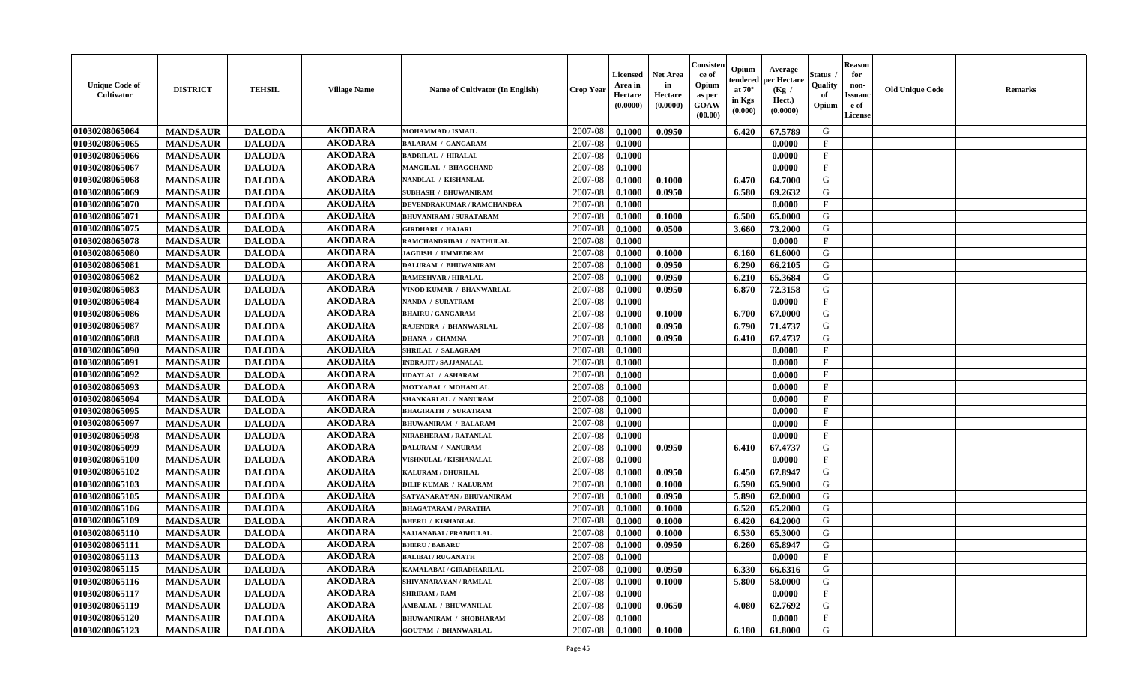| <b>Unique Code of</b><br><b>Cultivator</b> | <b>DISTRICT</b> | <b>TEHSIL</b> | <b>Village Name</b> | Name of Cultivator (In English) | <b>Crop Year</b> | <b>Licensed</b><br>Area in<br>Hectare<br>(0.0000) | <b>Net Area</b><br>in<br>Hectare<br>(0.0000) | Consister<br>ce of<br>Opium<br>as per<br><b>GOAW</b><br>(00.00) | Opium<br>endered<br>at $70^\circ$<br>in Kgs<br>(0.000) | Average<br>per Hectare<br>(Kg /<br>Hect.)<br>(0.0000) | Status<br>Quality<br>of<br>Opium | <b>Reason</b><br>for<br>non-<br><b>Issuand</b><br>e of<br><b>License</b> | <b>Old Unique Code</b> | <b>Remarks</b> |
|--------------------------------------------|-----------------|---------------|---------------------|---------------------------------|------------------|---------------------------------------------------|----------------------------------------------|-----------------------------------------------------------------|--------------------------------------------------------|-------------------------------------------------------|----------------------------------|--------------------------------------------------------------------------|------------------------|----------------|
| 01030208065064                             | <b>MANDSAUR</b> | <b>DALODA</b> | <b>AKODARA</b>      | MOHAMMAD / ISMAIL               | 2007-08          | 0.1000                                            | 0.0950                                       |                                                                 | 6.420                                                  | 67.5789                                               | G                                |                                                                          |                        |                |
| 01030208065065                             | <b>MANDSAUR</b> | <b>DALODA</b> | <b>AKODARA</b>      | <b>BALARAM / GANGARAM</b>       | 2007-08          | 0.1000                                            |                                              |                                                                 |                                                        | 0.0000                                                | $\mathbf F$                      |                                                                          |                        |                |
| 01030208065066                             | <b>MANDSAUR</b> | <b>DALODA</b> | <b>AKODARA</b>      | <b>BADRILAL / HIRALAL</b>       | 2007-08          | 0.1000                                            |                                              |                                                                 |                                                        | 0.0000                                                | $\mathbf{F}$                     |                                                                          |                        |                |
| 01030208065067                             | <b>MANDSAUR</b> | <b>DALODA</b> | <b>AKODARA</b>      | <b>MANGILAL / BHAGCHAND</b>     | 2007-08          | 0.1000                                            |                                              |                                                                 |                                                        | 0.0000                                                | $\mathbf{F}$                     |                                                                          |                        |                |
| 01030208065068                             | <b>MANDSAUR</b> | <b>DALODA</b> | <b>AKODARA</b>      | NANDLAL / KISHANLAL             | 2007-08          | 0.1000                                            | 0.1000                                       |                                                                 | 6.470                                                  | 64.7000                                               | G                                |                                                                          |                        |                |
| 01030208065069                             | <b>MANDSAUR</b> | <b>DALODA</b> | <b>AKODARA</b>      | <b>SUBHASH / BHUWANIRAM</b>     | 2007-08          | 0.1000                                            | 0.0950                                       |                                                                 | 6.580                                                  | 69.2632                                               | G                                |                                                                          |                        |                |
| 01030208065070                             | <b>MANDSAUR</b> | <b>DALODA</b> | <b>AKODARA</b>      | DEVENDRAKUMAR / RAMCHANDRA      | 2007-08          | 0.1000                                            |                                              |                                                                 |                                                        | 0.0000                                                | F                                |                                                                          |                        |                |
| 01030208065071                             | <b>MANDSAUR</b> | <b>DALODA</b> | <b>AKODARA</b>      | <b>BHUVANIRAM / SURATARAM</b>   | 2007-08          | 0.1000                                            | 0.1000                                       |                                                                 | 6.500                                                  | 65.0000                                               | ${\bf G}$                        |                                                                          |                        |                |
| 01030208065075                             | <b>MANDSAUR</b> | <b>DALODA</b> | <b>AKODARA</b>      | <b>GIRDHARI / HAJARI</b>        | 2007-08          | 0.1000                                            | 0.0500                                       |                                                                 | 3.660                                                  | 73.2000                                               | G                                |                                                                          |                        |                |
| 01030208065078                             | <b>MANDSAUR</b> | <b>DALODA</b> | <b>AKODARA</b>      | RAMCHANDRIBAI / NATHULAL        | 2007-08          | 0.1000                                            |                                              |                                                                 |                                                        | 0.0000                                                | $\mathbf{F}$                     |                                                                          |                        |                |
| 01030208065080                             | <b>MANDSAUR</b> | <b>DALODA</b> | <b>AKODARA</b>      | <b>JAGDISH / UMMEDRAM</b>       | 2007-08          | 0.1000                                            | 0.1000                                       |                                                                 | 6.160                                                  | 61.6000                                               | G                                |                                                                          |                        |                |
| 01030208065081                             | <b>MANDSAUR</b> | <b>DALODA</b> | <b>AKODARA</b>      | <b>DALURAM / BHUWANIRAM</b>     | 2007-08          | 0.1000                                            | 0.0950                                       |                                                                 | 6.290                                                  | 66.2105                                               | G                                |                                                                          |                        |                |
| 01030208065082                             | <b>MANDSAUR</b> | <b>DALODA</b> | <b>AKODARA</b>      | <b>RAMESHVAR / HIRALAL</b>      | 2007-08          | 0.1000                                            | 0.0950                                       |                                                                 | 6.210                                                  | 65.3684                                               | G                                |                                                                          |                        |                |
| 01030208065083                             | <b>MANDSAUR</b> | <b>DALODA</b> | <b>AKODARA</b>      | VINOD KUMAR / BHANWARLAL        | 2007-08          | 0.1000                                            | 0.0950                                       |                                                                 | 6.870                                                  | 72.3158                                               | G                                |                                                                          |                        |                |
| 01030208065084                             | <b>MANDSAUR</b> | <b>DALODA</b> | <b>AKODARA</b>      | NANDA / SURATRAM                | 2007-08          | 0.1000                                            |                                              |                                                                 |                                                        | 0.0000                                                | $\mathbf{F}$                     |                                                                          |                        |                |
| 01030208065086                             | <b>MANDSAUR</b> | <b>DALODA</b> | <b>AKODARA</b>      | <b>BHAIRU / GANGARAM</b>        | 2007-08          | 0.1000                                            | 0.1000                                       |                                                                 | 6.700                                                  | 67.0000                                               | G                                |                                                                          |                        |                |
| 01030208065087                             | <b>MANDSAUR</b> | <b>DALODA</b> | <b>AKODARA</b>      | RAJENDRA / BHANWARLAL           | 2007-08          | 0.1000                                            | 0.0950                                       |                                                                 | 6.790                                                  | 71.4737                                               | G                                |                                                                          |                        |                |
| 01030208065088                             | <b>MANDSAUR</b> | <b>DALODA</b> | <b>AKODARA</b>      | <b>DHANA / CHAMNA</b>           | 2007-08          | 0.1000                                            | 0.0950                                       |                                                                 | 6.410                                                  | 67.4737                                               | G                                |                                                                          |                        |                |
| 01030208065090                             | <b>MANDSAUR</b> | <b>DALODA</b> | <b>AKODARA</b>      | SHRILAL / SALAGRAM              | 2007-08          | 0.1000                                            |                                              |                                                                 |                                                        | 0.0000                                                | $_{\rm F}$                       |                                                                          |                        |                |
| 01030208065091                             | <b>MANDSAUR</b> | <b>DALODA</b> | <b>AKODARA</b>      | <b>INDRAJIT / SAJJANALAL</b>    | 2007-08          | 0.1000                                            |                                              |                                                                 |                                                        | 0.0000                                                | $\mathbf{F}$                     |                                                                          |                        |                |
| 01030208065092                             | <b>MANDSAUR</b> | <b>DALODA</b> | <b>AKODARA</b>      | <b>UDAYLAL / ASHARAM</b>        | 2007-08          | 0.1000                                            |                                              |                                                                 |                                                        | 0.0000                                                | $\mathbf{F}$                     |                                                                          |                        |                |
| 01030208065093                             | <b>MANDSAUR</b> | <b>DALODA</b> | <b>AKODARA</b>      | MOTYABAI / MOHANLAL             | 2007-08          | 0.1000                                            |                                              |                                                                 |                                                        | 0.0000                                                | $_{\rm F}$                       |                                                                          |                        |                |
| 01030208065094                             | <b>MANDSAUR</b> | <b>DALODA</b> | <b>AKODARA</b>      | SHANKARLAL / NANURAM            | 2007-08          | 0.1000                                            |                                              |                                                                 |                                                        | 0.0000                                                | $\mathbf{F}$                     |                                                                          |                        |                |
| 01030208065095                             | <b>MANDSAUR</b> | <b>DALODA</b> | <b>AKODARA</b>      | <b>BHAGIRATH / SURATRAM</b>     | 2007-08          | 0.1000                                            |                                              |                                                                 |                                                        | 0.0000                                                | $\mathbf{F}$                     |                                                                          |                        |                |
| 01030208065097                             | <b>MANDSAUR</b> | <b>DALODA</b> | <b>AKODARA</b>      | <b>BHUWANIRAM / BALARAM</b>     | 2007-08          | 0.1000                                            |                                              |                                                                 |                                                        | 0.0000                                                | $\mathbf{F}$                     |                                                                          |                        |                |
| 01030208065098                             | <b>MANDSAUR</b> | <b>DALODA</b> | <b>AKODARA</b>      | NIRABHERAM / RATANLAL           | 2007-08          | 0.1000                                            |                                              |                                                                 |                                                        | 0.0000                                                | $\mathbf{F}$                     |                                                                          |                        |                |
| 01030208065099                             | <b>MANDSAUR</b> | <b>DALODA</b> | <b>AKODARA</b>      | <b>DALURAM / NANURAM</b>        | 2007-08          | 0.1000                                            | 0.0950                                       |                                                                 | 6.410                                                  | 67.4737                                               | G                                |                                                                          |                        |                |
| 01030208065100                             | <b>MANDSAUR</b> | <b>DALODA</b> | <b>AKODARA</b>      | <b>VISHNULAL / KISHANALAL</b>   | 2007-08          | 0.1000                                            |                                              |                                                                 |                                                        | 0.0000                                                | $_{\rm F}$                       |                                                                          |                        |                |
| 01030208065102                             | <b>MANDSAUR</b> | <b>DALODA</b> | <b>AKODARA</b>      | <b>KALURAM / DHURILAL</b>       | 2007-08          | 0.1000                                            | 0.0950                                       |                                                                 | 6.450                                                  | 67.8947                                               | G                                |                                                                          |                        |                |
| 01030208065103                             | <b>MANDSAUR</b> | <b>DALODA</b> | <b>AKODARA</b>      | <b>DILIP KUMAR / KALURAM</b>    | 2007-08          | 0.1000                                            | 0.1000                                       |                                                                 | 6.590                                                  | 65.9000                                               | G                                |                                                                          |                        |                |
| 01030208065105                             | <b>MANDSAUR</b> | <b>DALODA</b> | <b>AKODARA</b>      | SATYANARAYAN / BHUVANIRAM       | 2007-08          | 0.1000                                            | 0.0950                                       |                                                                 | 5.890                                                  | 62.0000                                               | G                                |                                                                          |                        |                |
| 01030208065106                             | <b>MANDSAUR</b> | <b>DALODA</b> | <b>AKODARA</b>      | <b>BHAGATARAM / PARATHA</b>     | 2007-08          | 0.1000                                            | 0.1000                                       |                                                                 | 6.520                                                  | 65.2000                                               | ${\bf G}$                        |                                                                          |                        |                |
| 01030208065109                             | <b>MANDSAUR</b> | <b>DALODA</b> | <b>AKODARA</b>      | <b>BHERU / KISHANLAL</b>        | 2007-08          | 0.1000                                            | 0.1000                                       |                                                                 | 6.420                                                  | 64.2000                                               | G                                |                                                                          |                        |                |
| 01030208065110                             | <b>MANDSAUR</b> | <b>DALODA</b> | <b>AKODARA</b>      | SAJJANABAI / PRABHULAL          | 2007-08          | 0.1000                                            | 0.1000                                       |                                                                 | 6.530                                                  | 65.3000                                               | G                                |                                                                          |                        |                |
| 01030208065111                             | <b>MANDSAUR</b> | <b>DALODA</b> | <b>AKODARA</b>      | <b>BHERU / BABARU</b>           | 2007-08          | 0.1000                                            | 0.0950                                       |                                                                 | 6.260                                                  | 65.8947                                               | G                                |                                                                          |                        |                |
| 01030208065113                             | <b>MANDSAUR</b> | <b>DALODA</b> | <b>AKODARA</b>      | <b>BALIBAI/RUGANATH</b>         | 2007-08          | 0.1000                                            |                                              |                                                                 |                                                        | 0.0000                                                | $\mathbf{F}$                     |                                                                          |                        |                |
| 01030208065115                             | <b>MANDSAUR</b> | <b>DALODA</b> | <b>AKODARA</b>      | KAMALABAI / GIRADHARILAL        | 2007-08          | 0.1000                                            | 0.0950                                       |                                                                 | 6.330                                                  | 66.6316                                               | G                                |                                                                          |                        |                |
| 01030208065116                             | <b>MANDSAUR</b> | <b>DALODA</b> | <b>AKODARA</b>      | SHIVANARAYAN / RAMLAL           | 2007-08          | 0.1000                                            | 0.1000                                       |                                                                 | 5.800                                                  | 58.0000                                               | G                                |                                                                          |                        |                |
| 01030208065117                             | <b>MANDSAUR</b> | <b>DALODA</b> | <b>AKODARA</b>      | <b>SHRIRAM / RAM</b>            | 2007-08          | 0.1000                                            |                                              |                                                                 |                                                        | 0.0000                                                | $\mathbf{F}$                     |                                                                          |                        |                |
| 01030208065119                             | <b>MANDSAUR</b> | <b>DALODA</b> | <b>AKODARA</b>      | <b>AMBALAL / BHUWANILAL</b>     | 2007-08          | 0.1000                                            | 0.0650                                       |                                                                 | 4.080                                                  | 62.7692                                               | G                                |                                                                          |                        |                |
| 01030208065120                             | <b>MANDSAUR</b> | <b>DALODA</b> | <b>AKODARA</b>      | <b>BHUWANIRAM / SHOBHARAM</b>   | 2007-08          | 0.1000                                            |                                              |                                                                 |                                                        | 0.0000                                                | $\mathbf{F}$                     |                                                                          |                        |                |
| 01030208065123                             | <b>MANDSAUR</b> | <b>DALODA</b> | <b>AKODARA</b>      | <b>GOUTAM / BHANWARLAL</b>      | 2007-08          | 0.1000                                            | 0.1000                                       |                                                                 | 6.180                                                  | 61.8000                                               | G                                |                                                                          |                        |                |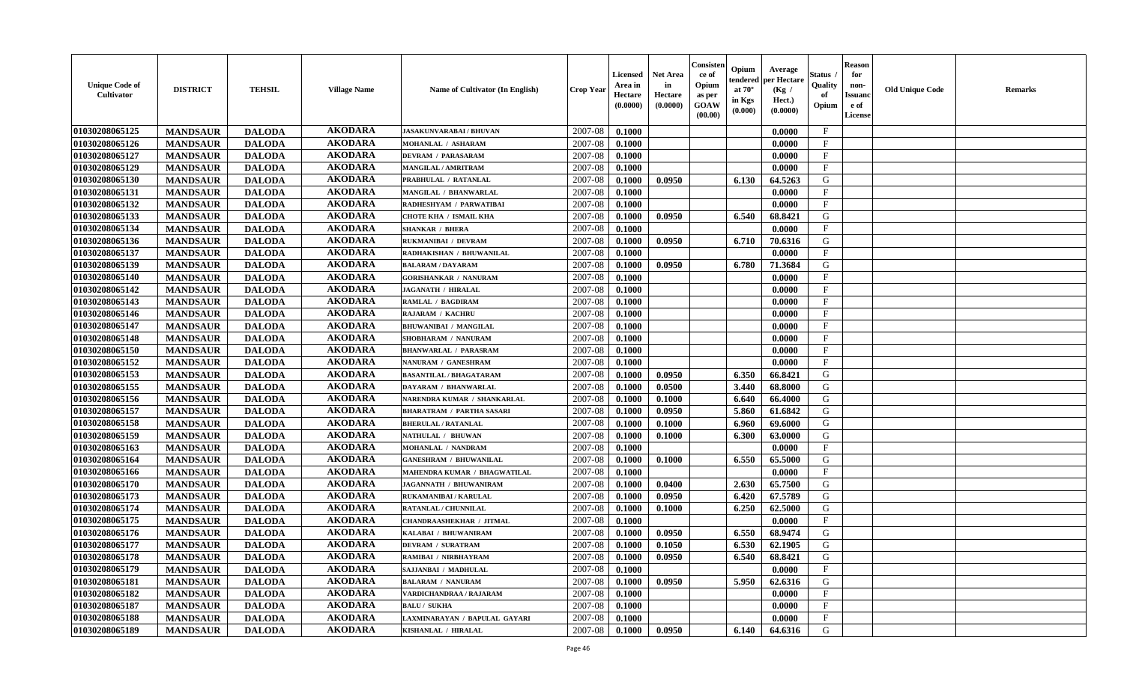| <b>Unique Code of</b><br><b>Cultivator</b> | <b>DISTRICT</b> | <b>TEHSIL</b> | <b>Village Name</b> | Name of Cultivator (In English)  | <b>Crop Year</b> | <b>Licensed</b><br>Area in<br>Hectare<br>(0.0000) | <b>Net Area</b><br>in<br>Hectare<br>(0.0000) | Consister<br>ce of<br>Opium<br>as per<br><b>GOAW</b><br>(00.00) | Opium<br>endered<br>at $70^\circ$<br>in Kgs<br>(0.000) | Average<br>per Hectare<br>(Kg /<br>Hect.)<br>(0.0000) | Status<br>Quality<br>of<br>Opium | <b>Reason</b><br>for<br>non-<br><b>Issuand</b><br>e of<br><b>License</b> | <b>Old Unique Code</b> | <b>Remarks</b> |
|--------------------------------------------|-----------------|---------------|---------------------|----------------------------------|------------------|---------------------------------------------------|----------------------------------------------|-----------------------------------------------------------------|--------------------------------------------------------|-------------------------------------------------------|----------------------------------|--------------------------------------------------------------------------|------------------------|----------------|
| 01030208065125                             | <b>MANDSAUR</b> | <b>DALODA</b> | <b>AKODARA</b>      | <b>JASAKUNVARABAI/BHUVAN</b>     | 2007-08          | 0.1000                                            |                                              |                                                                 |                                                        | 0.0000                                                | $\mathbf{F}$                     |                                                                          |                        |                |
| 01030208065126                             | <b>MANDSAUR</b> | <b>DALODA</b> | <b>AKODARA</b>      | MOHANLAL / ASHARAM               | 2007-08          | 0.1000                                            |                                              |                                                                 |                                                        | 0.0000                                                | $\mathbf F$                      |                                                                          |                        |                |
| 01030208065127                             | <b>MANDSAUR</b> | <b>DALODA</b> | <b>AKODARA</b>      | <b>DEVRAM / PARASARAM</b>        | 2007-08          | 0.1000                                            |                                              |                                                                 |                                                        | 0.0000                                                | $\mathbf{F}$                     |                                                                          |                        |                |
| 01030208065129                             | <b>MANDSAUR</b> | <b>DALODA</b> | <b>AKODARA</b>      | <b>MANGILAL / AMRITRAM</b>       | 2007-08          | 0.1000                                            |                                              |                                                                 |                                                        | 0.0000                                                | $\mathbf{F}$                     |                                                                          |                        |                |
| 01030208065130                             | <b>MANDSAUR</b> | <b>DALODA</b> | <b>AKODARA</b>      | PRABHULAL / RATANLAL             | 2007-08          | 0.1000                                            | 0.0950                                       |                                                                 | 6.130                                                  | 64.5263                                               | G                                |                                                                          |                        |                |
| 01030208065131                             | <b>MANDSAUR</b> | <b>DALODA</b> | <b>AKODARA</b>      | MANGILAL / BHANWARLAL            | 2007-08          | 0.1000                                            |                                              |                                                                 |                                                        | 0.0000                                                | $_{\rm F}$                       |                                                                          |                        |                |
| 01030208065132                             | <b>MANDSAUR</b> | <b>DALODA</b> | <b>AKODARA</b>      | RADHESHYAM / PARWATIBAI          | 2007-08          | 0.1000                                            |                                              |                                                                 |                                                        | 0.0000                                                | $\mathbf{F}$                     |                                                                          |                        |                |
| 01030208065133                             | <b>MANDSAUR</b> | <b>DALODA</b> | <b>AKODARA</b>      | <b>CHOTE KHA / ISMAIL KHA</b>    | 2007-08          | 0.1000                                            | 0.0950                                       |                                                                 | 6.540                                                  | 68.8421                                               | ${\bf G}$                        |                                                                          |                        |                |
| 01030208065134                             | <b>MANDSAUR</b> | <b>DALODA</b> | <b>AKODARA</b>      | <b>SHANKAR / BHERA</b>           | 2007-08          | 0.1000                                            |                                              |                                                                 |                                                        | 0.0000                                                | $_{\rm F}$                       |                                                                          |                        |                |
| 01030208065136                             | <b>MANDSAUR</b> | <b>DALODA</b> | <b>AKODARA</b>      | RUKMANIBAI / DEVRAM              | 2007-08          | 0.1000                                            | 0.0950                                       |                                                                 | 6.710                                                  | 70.6316                                               | G                                |                                                                          |                        |                |
| 01030208065137                             | <b>MANDSAUR</b> | <b>DALODA</b> | <b>AKODARA</b>      | RADHAKISHAN / BHUWANILAL         | 2007-08          | 0.1000                                            |                                              |                                                                 |                                                        | 0.0000                                                | $\mathbf{F}$                     |                                                                          |                        |                |
| 01030208065139                             | <b>MANDSAUR</b> | <b>DALODA</b> | <b>AKODARA</b>      | <b>BALARAM / DAYARAM</b>         | 2007-08          | 0.1000                                            | 0.0950                                       |                                                                 | 6.780                                                  | 71.3684                                               | G                                |                                                                          |                        |                |
| 01030208065140                             | <b>MANDSAUR</b> | <b>DALODA</b> | <b>AKODARA</b>      | <b>GORISHANKAR / NANURAM</b>     | 2007-08          | 0.1000                                            |                                              |                                                                 |                                                        | 0.0000                                                | $\mathbf{F}$                     |                                                                          |                        |                |
| 01030208065142                             | <b>MANDSAUR</b> | <b>DALODA</b> | <b>AKODARA</b>      | <b>JAGANATH / HIRALAL</b>        | 2007-08          | 0.1000                                            |                                              |                                                                 |                                                        | 0.0000                                                | $_{\rm F}$                       |                                                                          |                        |                |
| 01030208065143                             | <b>MANDSAUR</b> | <b>DALODA</b> | <b>AKODARA</b>      | <b>RAMLAL / BAGDIRAM</b>         | 2007-08          | 0.1000                                            |                                              |                                                                 |                                                        | 0.0000                                                | $\mathbf{F}$                     |                                                                          |                        |                |
| 01030208065146                             | <b>MANDSAUR</b> | <b>DALODA</b> | <b>AKODARA</b>      | RAJARAM / KACHRU                 | 2007-08          | 0.1000                                            |                                              |                                                                 |                                                        | 0.0000                                                | $_{\rm F}$                       |                                                                          |                        |                |
| 01030208065147                             | <b>MANDSAUR</b> | <b>DALODA</b> | <b>AKODARA</b>      | <b>BHUWANIBAI / MANGILAL</b>     | 2007-08          | 0.1000                                            |                                              |                                                                 |                                                        | 0.0000                                                | $_{\rm F}$                       |                                                                          |                        |                |
| 01030208065148                             | <b>MANDSAUR</b> | <b>DALODA</b> | <b>AKODARA</b>      | SHOBHARAM / NANURAM              | 2007-08          | 0.1000                                            |                                              |                                                                 |                                                        | 0.0000                                                | $_{\rm F}$                       |                                                                          |                        |                |
| 01030208065150                             | <b>MANDSAUR</b> | <b>DALODA</b> | <b>AKODARA</b>      | <b>BHANWARLAL / PARASRAM</b>     | 2007-08          | 0.1000                                            |                                              |                                                                 |                                                        | 0.0000                                                | $_{\rm F}$                       |                                                                          |                        |                |
| 01030208065152                             | <b>MANDSAUR</b> | <b>DALODA</b> | <b>AKODARA</b>      | NANURAM / GANESHRAM              | 2007-08          | 0.1000                                            |                                              |                                                                 |                                                        | 0.0000                                                | $\mathbf{F}$                     |                                                                          |                        |                |
| 01030208065153                             | <b>MANDSAUR</b> | <b>DALODA</b> | <b>AKODARA</b>      | <b>BASANTILAL / BHAGATARAM</b>   | 2007-08          | 0.1000                                            | 0.0950                                       |                                                                 | 6.350                                                  | 66.8421                                               | G                                |                                                                          |                        |                |
| 01030208065155                             | <b>MANDSAUR</b> | <b>DALODA</b> | <b>AKODARA</b>      | DAYARAM / BHANWARLAL             | 2007-08          | 0.1000                                            | 0.0500                                       |                                                                 | 3.440                                                  | 68.8000                                               | G                                |                                                                          |                        |                |
| 01030208065156                             | <b>MANDSAUR</b> | <b>DALODA</b> | <b>AKODARA</b>      | NARENDRA KUMAR / SHANKARLAL      | 2007-08          | 0.1000                                            | 0.1000                                       |                                                                 | 6.640                                                  | 66.4000                                               | G                                |                                                                          |                        |                |
| 01030208065157                             | <b>MANDSAUR</b> | <b>DALODA</b> | <b>AKODARA</b>      | <b>BHARATRAM / PARTHA SASARI</b> | 2007-08          | 0.1000                                            | 0.0950                                       |                                                                 | 5.860                                                  | 61.6842                                               | G                                |                                                                          |                        |                |
| 01030208065158                             | <b>MANDSAUR</b> | <b>DALODA</b> | <b>AKODARA</b>      | <b>BHERULAL / RATANLAL</b>       | 2007-08          | 0.1000                                            | 0.1000                                       |                                                                 | 6.960                                                  | 69.6000                                               | G                                |                                                                          |                        |                |
| 01030208065159                             | <b>MANDSAUR</b> | <b>DALODA</b> | <b>AKODARA</b>      | NATHULAL / BHUWAN                | 2007-08          | 0.1000                                            | 0.1000                                       |                                                                 | 6.300                                                  | 63.0000                                               | G                                |                                                                          |                        |                |
| 01030208065163                             | <b>MANDSAUR</b> | <b>DALODA</b> | <b>AKODARA</b>      | MOHANLAL / NANDRAM               | 2007-08          | 0.1000                                            |                                              |                                                                 |                                                        | 0.0000                                                | F                                |                                                                          |                        |                |
| 01030208065164                             | <b>MANDSAUR</b> | <b>DALODA</b> | <b>AKODARA</b>      | <b>GANESHRAM / BHUWANILAL</b>    | 2007-08          | 0.1000                                            | 0.1000                                       |                                                                 | 6.550                                                  | 65.5000                                               | G                                |                                                                          |                        |                |
| 01030208065166                             | <b>MANDSAUR</b> | <b>DALODA</b> | <b>AKODARA</b>      | MAHENDRA KUMAR / BHAGWATILAL     | 2007-08          | 0.1000                                            |                                              |                                                                 |                                                        | 0.0000                                                | $\rm F$                          |                                                                          |                        |                |
| 01030208065170                             | <b>MANDSAUR</b> | <b>DALODA</b> | <b>AKODARA</b>      | <b>JAGANNATH / BHUWANIRAM</b>    | 2007-08          | 0.1000                                            | 0.0400                                       |                                                                 | 2.630                                                  | 65.7500                                               | G                                |                                                                          |                        |                |
| 01030208065173                             | <b>MANDSAUR</b> | <b>DALODA</b> | <b>AKODARA</b>      | RUKAMANIBAI / KARULAL            | 2007-08          | 0.1000                                            | 0.0950                                       |                                                                 | 6.420                                                  | 67.5789                                               | G                                |                                                                          |                        |                |
| 01030208065174                             | <b>MANDSAUR</b> | <b>DALODA</b> | <b>AKODARA</b>      | RATANLAL / CHUNNILAL             | 2007-08          | 0.1000                                            | 0.1000                                       |                                                                 | 6.250                                                  | 62.5000                                               | ${\bf G}$                        |                                                                          |                        |                |
| 01030208065175                             | <b>MANDSAUR</b> | <b>DALODA</b> | <b>AKODARA</b>      | <b>CHANDRAASHEKHAR / JITMAL</b>  | 2007-08          | 0.1000                                            |                                              |                                                                 |                                                        | 0.0000                                                | $_{\rm F}$                       |                                                                          |                        |                |
| 01030208065176                             | <b>MANDSAUR</b> | <b>DALODA</b> | <b>AKODARA</b>      | KALABAI / BHUWANIRAM             | 2007-08          | 0.1000                                            | 0.0950                                       |                                                                 | 6.550                                                  | 68.9474                                               | G                                |                                                                          |                        |                |
| 01030208065177                             | <b>MANDSAUR</b> | <b>DALODA</b> | <b>AKODARA</b>      | <b>DEVRAM / SURATRAM</b>         | 2007-08          | 0.1000                                            | 0.1050                                       |                                                                 | 6.530                                                  | 62.1905                                               | G                                |                                                                          |                        |                |
| 01030208065178                             | <b>MANDSAUR</b> | <b>DALODA</b> | <b>AKODARA</b>      | RAMIBAI / NIRBHAYRAM             | 2007-08          | 0.1000                                            | 0.0950                                       |                                                                 | 6.540                                                  | 68.8421                                               | G                                |                                                                          |                        |                |
| 01030208065179                             | <b>MANDSAUR</b> | <b>DALODA</b> | <b>AKODARA</b>      | SAJJANBAI / MADHULAL             | 2007-08          | 0.1000                                            |                                              |                                                                 |                                                        | 0.0000                                                | $\rm F$                          |                                                                          |                        |                |
| 01030208065181                             | <b>MANDSAUR</b> | <b>DALODA</b> | <b>AKODARA</b>      | <b>BALARAM / NANURAM</b>         | 2007-08          | 0.1000                                            | 0.0950                                       |                                                                 | 5.950                                                  | 62.6316                                               | G                                |                                                                          |                        |                |
| 01030208065182                             | <b>MANDSAUR</b> | <b>DALODA</b> | <b>AKODARA</b>      | VARDICHANDRAA / RAJARAM          | 2007-08          | 0.1000                                            |                                              |                                                                 |                                                        | 0.0000                                                | $\mathbf{F}$                     |                                                                          |                        |                |
| 01030208065187                             | <b>MANDSAUR</b> | <b>DALODA</b> | <b>AKODARA</b>      | <b>BALU/SUKHA</b>                | 2007-08          | 0.1000                                            |                                              |                                                                 |                                                        | 0.0000                                                | F                                |                                                                          |                        |                |
| 01030208065188                             | <b>MANDSAUR</b> | <b>DALODA</b> | <b>AKODARA</b>      | LAXMINARAYAN / BAPULAL GAYARI    | 2007-08          | 0.1000                                            |                                              |                                                                 |                                                        | 0.0000                                                | $\mathbf{F}$                     |                                                                          |                        |                |
| 01030208065189                             | <b>MANDSAUR</b> | <b>DALODA</b> | <b>AKODARA</b>      | KISHANLAL / HIRALAL              | 2007-08          | 0.1000                                            | 0.0950                                       |                                                                 | 6.140                                                  | 64.6316                                               | G                                |                                                                          |                        |                |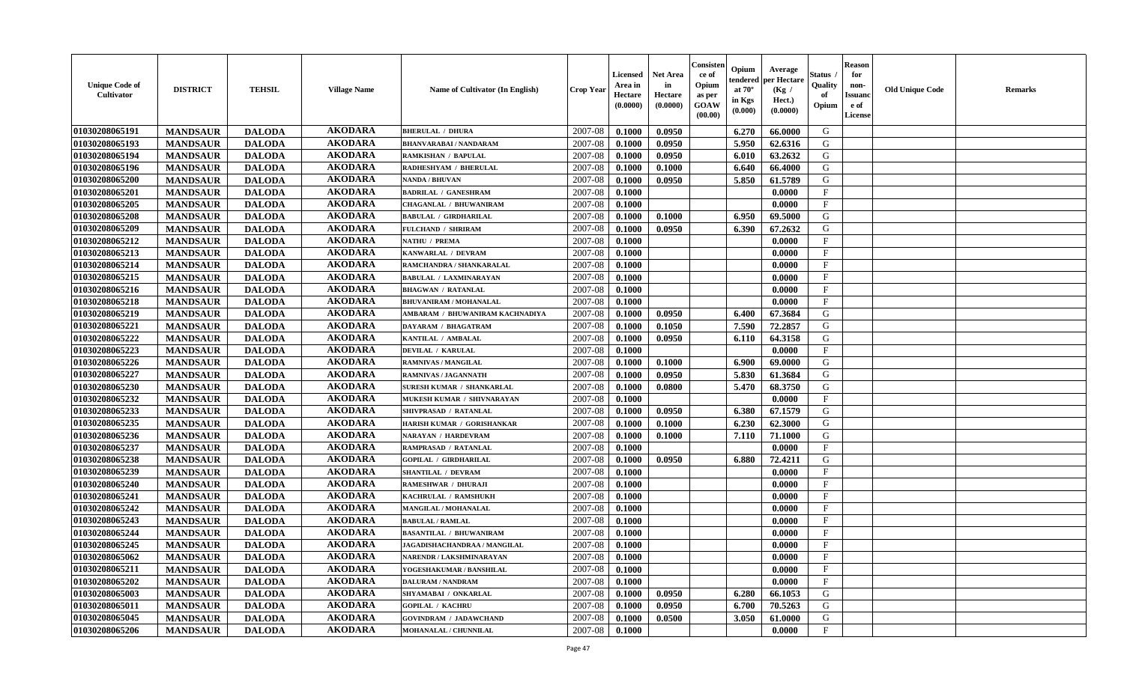| <b>Unique Code of</b><br><b>Cultivator</b> | <b>DISTRICT</b> | <b>TEHSIL</b> | <b>Village Name</b> | Name of Cultivator (In English)     | <b>Crop Year</b> | <b>Licensed</b><br>Area in<br>Hectare<br>(0.0000) | <b>Net Area</b><br>in<br>Hectare<br>(0.0000) | Consisteı<br>ce of<br>Opium<br>as per<br><b>GOAW</b><br>(00.00) | Opium<br>endered<br>at $70^\circ$<br>in Kgs<br>$(\mathbf{0.000})$ | Average<br>per Hectare<br>(Kg /<br>Hect.)<br>(0.0000) | Status<br>Quality<br>of<br>Opium | <b>Reason</b><br>for<br>non-<br>Issuan<br>e of<br>License | <b>Old Unique Code</b> | <b>Remarks</b> |
|--------------------------------------------|-----------------|---------------|---------------------|-------------------------------------|------------------|---------------------------------------------------|----------------------------------------------|-----------------------------------------------------------------|-------------------------------------------------------------------|-------------------------------------------------------|----------------------------------|-----------------------------------------------------------|------------------------|----------------|
| 01030208065191                             | <b>MANDSAUR</b> | <b>DALODA</b> | <b>AKODARA</b>      | <b>BHERULAL / DHURA</b>             | 2007-08          | 0.1000                                            | 0.0950                                       |                                                                 | 6.270                                                             | 66.0000                                               | G                                |                                                           |                        |                |
| 01030208065193                             | <b>MANDSAUR</b> | <b>DALODA</b> | <b>AKODARA</b>      | <b>BHANVARABAI / NANDARAM</b>       | 2007-08          | 0.1000                                            | 0.0950                                       |                                                                 | 5.950                                                             | 62.6316                                               | G                                |                                                           |                        |                |
| 01030208065194                             | <b>MANDSAUR</b> | <b>DALODA</b> | <b>AKODARA</b>      | <b>RAMKISHAN / BAPULAL</b>          | 2007-08          | 0.1000                                            | 0.0950                                       |                                                                 | 6.010                                                             | 63.2632                                               | G                                |                                                           |                        |                |
| 01030208065196                             | <b>MANDSAUR</b> | <b>DALODA</b> | <b>AKODARA</b>      | RADHESHYAM / BHERULAL               | 2007-08          | 0.1000                                            | 0.1000                                       |                                                                 | 6.640                                                             | 66.4000                                               | G                                |                                                           |                        |                |
| 01030208065200                             | <b>MANDSAUR</b> | <b>DALODA</b> | <b>AKODARA</b>      | <b>NANDA / BHUVAN</b>               | 2007-08          | 0.1000                                            | 0.0950                                       |                                                                 | 5.850                                                             | 61.5789                                               | G                                |                                                           |                        |                |
| 01030208065201                             | <b>MANDSAUR</b> | <b>DALODA</b> | <b>AKODARA</b>      | <b>BADRILAL / GANESHRAM</b>         | 2007-08          | 0.1000                                            |                                              |                                                                 |                                                                   | 0.0000                                                | $\mathbf{F}$                     |                                                           |                        |                |
| 01030208065205                             | <b>MANDSAUR</b> | <b>DALODA</b> | <b>AKODARA</b>      | <b>CHAGANLAL / BHUWANIRAM</b>       | 2007-08          | 0.1000                                            |                                              |                                                                 |                                                                   | 0.0000                                                | $\mathbf F$                      |                                                           |                        |                |
| 01030208065208                             | <b>MANDSAUR</b> | <b>DALODA</b> | <b>AKODARA</b>      | <b>BABULAL / GIRDHARILAL</b>        | 2007-08          | 0.1000                                            | 0.1000                                       |                                                                 | 6.950                                                             | 69.5000                                               | G                                |                                                           |                        |                |
| 01030208065209                             | <b>MANDSAUR</b> | <b>DALODA</b> | <b>AKODARA</b>      | <b>FULCHAND / SHRIRAM</b>           | 2007-08          | 0.1000                                            | 0.0950                                       |                                                                 | 6.390                                                             | 67.2632                                               | G                                |                                                           |                        |                |
| 01030208065212                             | <b>MANDSAUR</b> | <b>DALODA</b> | <b>AKODARA</b>      | <b>NATHU / PREMA</b>                | 2007-08          | 0.1000                                            |                                              |                                                                 |                                                                   | 0.0000                                                | F                                |                                                           |                        |                |
| 01030208065213                             | <b>MANDSAUR</b> | <b>DALODA</b> | <b>AKODARA</b>      | KANWARLAL / DEVRAM                  | 2007-08          | 0.1000                                            |                                              |                                                                 |                                                                   | 0.0000                                                | $\mathbf{F}$                     |                                                           |                        |                |
| 01030208065214                             | <b>MANDSAUR</b> | <b>DALODA</b> | <b>AKODARA</b>      | RAMCHANDRA / SHANKARALAL            | 2007-08          | 0.1000                                            |                                              |                                                                 |                                                                   | 0.0000                                                | $_{\rm F}$                       |                                                           |                        |                |
| 01030208065215                             | <b>MANDSAUR</b> | <b>DALODA</b> | <b>AKODARA</b>      | <b>BABULAL / LAXMINARAYAN</b>       | 2007-08          | 0.1000                                            |                                              |                                                                 |                                                                   | 0.0000                                                | $\mathbf{F}$                     |                                                           |                        |                |
| 01030208065216                             | <b>MANDSAUR</b> | <b>DALODA</b> | <b>AKODARA</b>      | <b>BHAGWAN / RATANLAL</b>           | 2007-08          | 0.1000                                            |                                              |                                                                 |                                                                   | 0.0000                                                | $_{\rm F}$                       |                                                           |                        |                |
| 01030208065218                             | <b>MANDSAUR</b> | <b>DALODA</b> | <b>AKODARA</b>      | <b>BHUVANIRAM / MOHANALAL</b>       | 2007-08          | 0.1000                                            |                                              |                                                                 |                                                                   | 0.0000                                                | $\mathbf{F}$                     |                                                           |                        |                |
| 01030208065219                             | <b>MANDSAUR</b> | <b>DALODA</b> | <b>AKODARA</b>      | AMBARAM / BHUWANIRAM KACHNADIYA     | 2007-08          | 0.1000                                            | 0.0950                                       |                                                                 | 6.400                                                             | 67.3684                                               | G                                |                                                           |                        |                |
| 01030208065221                             | <b>MANDSAUR</b> | <b>DALODA</b> | <b>AKODARA</b>      | <b>DAYARAM / BHAGATRAM</b>          | 2007-08          | 0.1000                                            | 0.1050                                       |                                                                 | 7.590                                                             | 72.2857                                               | G                                |                                                           |                        |                |
| 01030208065222                             | <b>MANDSAUR</b> | <b>DALODA</b> | <b>AKODARA</b>      | KANTILAL / AMBALAL                  | 2007-08          | 0.1000                                            | 0.0950                                       |                                                                 | 6.110                                                             | 64.3158                                               | G                                |                                                           |                        |                |
| 01030208065223                             | <b>MANDSAUR</b> | <b>DALODA</b> | <b>AKODARA</b>      | <b>DEVILAL / KARULAL</b>            | 2007-08          | 0.1000                                            |                                              |                                                                 |                                                                   | 0.0000                                                | $_{\rm F}$                       |                                                           |                        |                |
| 01030208065226                             | <b>MANDSAUR</b> | <b>DALODA</b> | <b>AKODARA</b>      | <b>RAMNIVAS / MANGILAL</b>          | 2007-08          | 0.1000                                            | 0.1000                                       |                                                                 | 6.900                                                             | 69.0000                                               | G                                |                                                           |                        |                |
| 01030208065227                             | <b>MANDSAUR</b> | <b>DALODA</b> | <b>AKODARA</b>      | <b>RAMNIVAS / JAGANNATH</b>         | 2007-08          | 0.1000                                            | 0.0950                                       |                                                                 | 5.830                                                             | 61.3684                                               | G                                |                                                           |                        |                |
| 01030208065230                             | <b>MANDSAUR</b> | <b>DALODA</b> | <b>AKODARA</b>      | SURESH KUMAR / SHANKARLAL           | 2007-08          | 0.1000                                            | 0.0800                                       |                                                                 | 5.470                                                             | 68.3750                                               | G                                |                                                           |                        |                |
| 01030208065232                             | <b>MANDSAUR</b> | <b>DALODA</b> | <b>AKODARA</b>      | MUKESH KUMAR / SHIVNARAYAN          | 2007-08          | 0.1000                                            |                                              |                                                                 |                                                                   | 0.0000                                                | $\mathbf{F}$                     |                                                           |                        |                |
| 01030208065233                             | <b>MANDSAUR</b> | <b>DALODA</b> | <b>AKODARA</b>      | SHIVPRASAD / RATANLAL               | 2007-08          | 0.1000                                            | 0.0950                                       |                                                                 | 6.380                                                             | 67.1579                                               | G                                |                                                           |                        |                |
| 01030208065235                             | <b>MANDSAUR</b> | <b>DALODA</b> | <b>AKODARA</b>      | HARISH KUMAR / GORISHANKAR          | 2007-08          | 0.1000                                            | 0.1000                                       |                                                                 | 6.230                                                             | 62.3000                                               | G                                |                                                           |                        |                |
| 01030208065236                             | <b>MANDSAUR</b> | <b>DALODA</b> | <b>AKODARA</b>      | <b>NARAYAN / HARDEVRAM</b>          | 2007-08          | 0.1000                                            | 0.1000                                       |                                                                 | 7.110                                                             | 71.1000                                               | G                                |                                                           |                        |                |
| 01030208065237                             | <b>MANDSAUR</b> | <b>DALODA</b> | <b>AKODARA</b>      | RAMPRASAD / RATANLAL                | 2007-08          | 0.1000                                            |                                              |                                                                 |                                                                   | 0.0000                                                | $_{\rm F}$                       |                                                           |                        |                |
| 01030208065238                             | <b>MANDSAUR</b> | <b>DALODA</b> | <b>AKODARA</b>      | <b>GOPILAL / GIRDHARILAL</b>        | 2007-08          | 0.1000                                            | 0.0950                                       |                                                                 | 6.880                                                             | 72.4211                                               | G                                |                                                           |                        |                |
| 01030208065239                             | <b>MANDSAUR</b> | <b>DALODA</b> | <b>AKODARA</b>      | <b>SHANTILAL / DEVRAM</b>           | 2007-08          | 0.1000                                            |                                              |                                                                 |                                                                   | 0.0000                                                | $\mathbf{F}$                     |                                                           |                        |                |
| 01030208065240                             | <b>MANDSAUR</b> | <b>DALODA</b> | <b>AKODARA</b>      | RAMESHWAR / DHURAJI                 | 2007-08          | 0.1000                                            |                                              |                                                                 |                                                                   | 0.0000                                                | $_{\rm F}$                       |                                                           |                        |                |
| 01030208065241                             | <b>MANDSAUR</b> | <b>DALODA</b> | <b>AKODARA</b>      | KACHRULAL / RAMSHUKH                | 2007-08          | 0.1000                                            |                                              |                                                                 |                                                                   | 0.0000                                                | $_{\rm F}$                       |                                                           |                        |                |
| 01030208065242                             | <b>MANDSAUR</b> | <b>DALODA</b> | <b>AKODARA</b>      | MANGILAL / MOHANALAL                | 2007-08          | 0.1000                                            |                                              |                                                                 |                                                                   | 0.0000                                                | $\mathbf{F}$                     |                                                           |                        |                |
| 01030208065243                             | <b>MANDSAUR</b> | <b>DALODA</b> | <b>AKODARA</b>      | <b>BABULAL / RAMLAL</b>             | 2007-08          | 0.1000                                            |                                              |                                                                 |                                                                   | 0.0000                                                | $\mathbf{F}$                     |                                                           |                        |                |
| 01030208065244                             | <b>MANDSAUR</b> | <b>DALODA</b> | <b>AKODARA</b>      | <b>BASANTILAL / BHUWANIRAM</b>      | 2007-08          | 0.1000                                            |                                              |                                                                 |                                                                   | 0.0000                                                | $_{\rm F}$                       |                                                           |                        |                |
| 01030208065245                             | <b>MANDSAUR</b> | <b>DALODA</b> | <b>AKODARA</b>      | <b>JAGADISHACHANDRAA / MANGILAL</b> | 2007-08          | 0.1000                                            |                                              |                                                                 |                                                                   | 0.0000                                                | $\mathbf{F}$                     |                                                           |                        |                |
| 01030208065062                             | <b>MANDSAUR</b> | <b>DALODA</b> | AKODARA             | NARENDR / LAKSHMINARAYAN            | $2007 - 08$      | 0.1000                                            |                                              |                                                                 |                                                                   | 0.0000                                                | F                                |                                                           |                        |                |
| 01030208065211                             | <b>MANDSAUR</b> | <b>DALODA</b> | <b>AKODARA</b>      | YOGESHAKUMAR / BANSHILAL            | 2007-08          | 0.1000                                            |                                              |                                                                 |                                                                   | 0.0000                                                | $\mathbf{F}$                     |                                                           |                        |                |
| 01030208065202                             | <b>MANDSAUR</b> | <b>DALODA</b> | <b>AKODARA</b>      | <b>DALURAM / NANDRAM</b>            | 2007-08          | 0.1000                                            |                                              |                                                                 |                                                                   | 0.0000                                                | $\mathbf{F}$                     |                                                           |                        |                |
| 01030208065003                             | <b>MANDSAUR</b> | <b>DALODA</b> | <b>AKODARA</b>      | SHYAMABAI / ONKARLAL                | 2007-08          | 0.1000                                            | 0.0950                                       |                                                                 | 6.280                                                             | 66.1053                                               | G                                |                                                           |                        |                |
| 01030208065011                             | <b>MANDSAUR</b> | <b>DALODA</b> | <b>AKODARA</b>      | <b>GOPILAL / KACHRU</b>             | 2007-08          | 0.1000                                            | 0.0950                                       |                                                                 | 6.700                                                             | 70.5263                                               | G                                |                                                           |                        |                |
| 01030208065045                             | <b>MANDSAUR</b> | <b>DALODA</b> | <b>AKODARA</b>      | <b>GOVINDRAM / JADAWCHAND</b>       | 2007-08          | 0.1000                                            | 0.0500                                       |                                                                 | 3.050                                                             | 61.0000                                               | G                                |                                                           |                        |                |
| 01030208065206                             | <b>MANDSAUR</b> | <b>DALODA</b> | <b>AKODARA</b>      | MOHANALAL / CHUNNILAL               | 2007-08          | 0.1000                                            |                                              |                                                                 |                                                                   | 0.0000                                                | $\mathbf{F}$                     |                                                           |                        |                |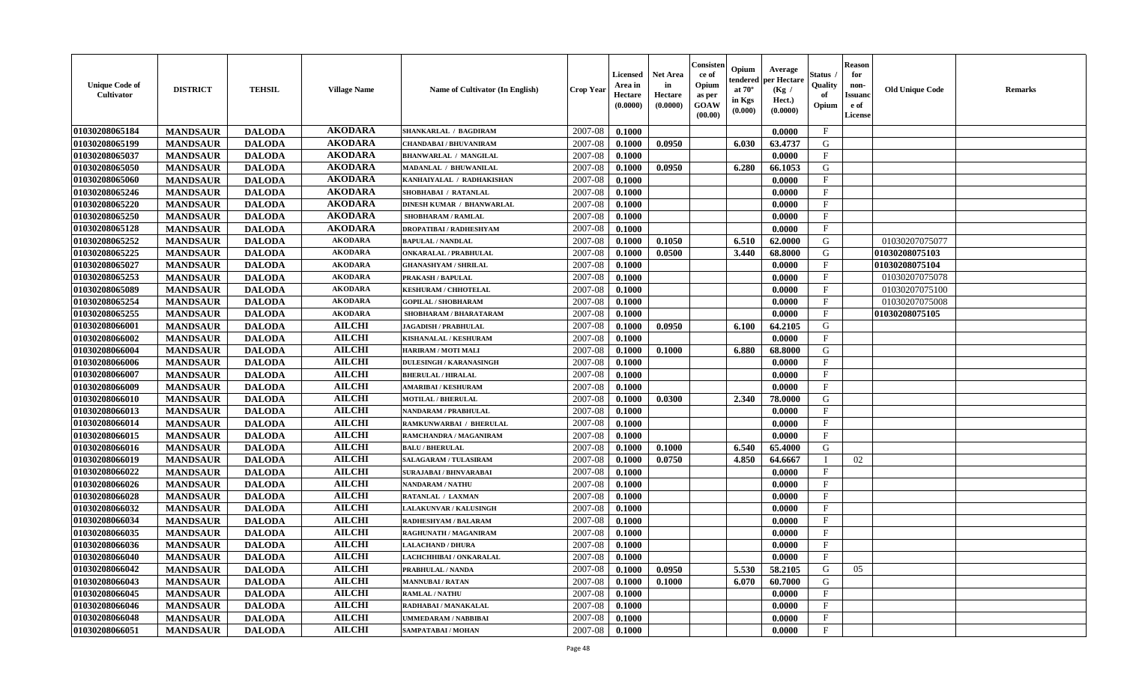| <b>Unique Code of</b><br><b>Cultivator</b> | <b>DISTRICT</b> | <b>TEHSIL</b> | <b>Village Name</b> | Name of Cultivator (In English)  | <b>Crop Year</b> | <b>Licensed</b><br>Area in<br>Hectare<br>(0.0000) | <b>Net Area</b><br>in<br>Hectare<br>(0.0000) | Consister<br>ce of<br>Opium<br>as per<br><b>GOAW</b><br>(00.00) | Opium<br>endered<br>at $70^\circ$<br>in Kgs<br>(0.000) | Average<br>per Hectare<br>(Kg /<br>Hect.)<br>(0.0000) | Status<br>Quality<br>of<br>Opium | <b>Reason</b><br>for<br>non-<br><b>Issuand</b><br>e of<br><b>License</b> | <b>Old Unique Code</b> | <b>Remarks</b> |
|--------------------------------------------|-----------------|---------------|---------------------|----------------------------------|------------------|---------------------------------------------------|----------------------------------------------|-----------------------------------------------------------------|--------------------------------------------------------|-------------------------------------------------------|----------------------------------|--------------------------------------------------------------------------|------------------------|----------------|
| 01030208065184                             | <b>MANDSAUR</b> | <b>DALODA</b> | <b>AKODARA</b>      | SHANKARLAL / BAGDIRAM            | 2007-08          | 0.1000                                            |                                              |                                                                 |                                                        | 0.0000                                                | $\mathbf{F}$                     |                                                                          |                        |                |
| 01030208065199                             | <b>MANDSAUR</b> | <b>DALODA</b> | <b>AKODARA</b>      | <b>CHANDABAI / BHUVANIRAM</b>    | 2007-08          | 0.1000                                            | 0.0950                                       |                                                                 | 6.030                                                  | 63.4737                                               | G                                |                                                                          |                        |                |
| 01030208065037                             | <b>MANDSAUR</b> | <b>DALODA</b> | <b>AKODARA</b>      | <b>BHANWARLAL / MANGILAL</b>     | 2007-08          | 0.1000                                            |                                              |                                                                 |                                                        | 0.0000                                                | $\mathbf{F}$                     |                                                                          |                        |                |
| 01030208065050                             | <b>MANDSAUR</b> | <b>DALODA</b> | <b>AKODARA</b>      | MADANLAL / BHUWANILAL            | 2007-08          | 0.1000                                            | 0.0950                                       |                                                                 | 6.280                                                  | 66.1053                                               | G                                |                                                                          |                        |                |
| 01030208065060                             | <b>MANDSAUR</b> | <b>DALODA</b> | <b>AKODARA</b>      | KANHAIYALAL / RADHAKISHAN        | 2007-08          | 0.1000                                            |                                              |                                                                 |                                                        | 0.0000                                                | $\mathbf{F}$                     |                                                                          |                        |                |
| 01030208065246                             | <b>MANDSAUR</b> | <b>DALODA</b> | <b>AKODARA</b>      | SHOBHABAI / RATANLAL             | 2007-08          | 0.1000                                            |                                              |                                                                 |                                                        | 0.0000                                                | $_{\rm F}$                       |                                                                          |                        |                |
| 01030208065220                             | <b>MANDSAUR</b> | <b>DALODA</b> | <b>AKODARA</b>      | <b>DINESH KUMAR / BHANWARLAL</b> | 2007-08          | 0.1000                                            |                                              |                                                                 |                                                        | 0.0000                                                | $\mathbf{F}$                     |                                                                          |                        |                |
| 01030208065250                             | <b>MANDSAUR</b> | <b>DALODA</b> | <b>AKODARA</b>      | <b>SHOBHARAM / RAMLAL</b>        | 2007-08          | 0.1000                                            |                                              |                                                                 |                                                        | 0.0000                                                | $\mathbf{F}$                     |                                                                          |                        |                |
| 01030208065128                             | <b>MANDSAUR</b> | <b>DALODA</b> | <b>AKODARA</b>      | <b>DROPATIBAI/RADHESHYAM</b>     | 2007-08          | 0.1000                                            |                                              |                                                                 |                                                        | 0.0000                                                | $\mathbf{F}$                     |                                                                          |                        |                |
| 01030208065252                             | <b>MANDSAUR</b> | <b>DALODA</b> | <b>AKODARA</b>      | <b>BAPULAL / NANDLAL</b>         | 2007-08          | 0.1000                                            | 0.1050                                       |                                                                 | 6.510                                                  | 62.0000                                               | G                                |                                                                          | 01030207075077         |                |
| 01030208065225                             | <b>MANDSAUR</b> | <b>DALODA</b> | <b>AKODARA</b>      | <b>ONKARALAL / PRABHULAL</b>     | 2007-08          | 0.1000                                            | 0.0500                                       |                                                                 | 3.440                                                  | 68.8000                                               | G                                |                                                                          | 01030208075103         |                |
| 01030208065027                             | <b>MANDSAUR</b> | <b>DALODA</b> | <b>AKODARA</b>      | <b>GHANASHYAM / SHRILAL</b>      | 2007-08          | 0.1000                                            |                                              |                                                                 |                                                        | 0.0000                                                | $\mathbf{F}$                     |                                                                          | 01030208075104         |                |
| 01030208065253                             | <b>MANDSAUR</b> | <b>DALODA</b> | <b>AKODARA</b>      | <b>PRAKASH / BAPULAL</b>         | 2007-08          | 0.1000                                            |                                              |                                                                 |                                                        | 0.0000                                                | $\mathbf{F}$                     |                                                                          | 01030207075078         |                |
| 01030208065089                             | <b>MANDSAUR</b> | <b>DALODA</b> | <b>AKODARA</b>      | <b>KESHURAM / CHHOTELAL</b>      | 2007-08          | 0.1000                                            |                                              |                                                                 |                                                        | 0.0000                                                | $\mathbf{F}$                     |                                                                          | 01030207075100         |                |
| 01030208065254                             | <b>MANDSAUR</b> | <b>DALODA</b> | <b>AKODARA</b>      | <b>GOPILAL / SHOBHARAM</b>       | 2007-08          | 0.1000                                            |                                              |                                                                 |                                                        | 0.0000                                                | $\mathbf{F}$                     |                                                                          | 01030207075008         |                |
| 01030208065255                             | <b>MANDSAUR</b> | <b>DALODA</b> | <b>AKODARA</b>      | SHOBHARAM / BHARATARAM           | 2007-08          | 0.1000                                            |                                              |                                                                 |                                                        | 0.0000                                                | $\rm F$                          |                                                                          | 01030208075105         |                |
| 01030208066001                             | <b>MANDSAUR</b> | <b>DALODA</b> | <b>AILCHI</b>       | <b>JAGADISH / PRABHULAL</b>      | 2007-08          | 0.1000                                            | 0.0950                                       |                                                                 | 6.100                                                  | 64.2105                                               | G                                |                                                                          |                        |                |
| 01030208066002                             | <b>MANDSAUR</b> | <b>DALODA</b> | <b>AILCHI</b>       | <b>KISHANALAL / KESHURAM</b>     | 2007-08          | 0.1000                                            |                                              |                                                                 |                                                        | 0.0000                                                | $\mathbf{F}$                     |                                                                          |                        |                |
| 01030208066004                             | <b>MANDSAUR</b> | <b>DALODA</b> | <b>AILCHI</b>       | HARIRAM / MOTI MALI              | 2007-08          | 0.1000                                            | 0.1000                                       |                                                                 | 6.880                                                  | 68.8000                                               | G                                |                                                                          |                        |                |
| 01030208066006                             | <b>MANDSAUR</b> | <b>DALODA</b> | <b>AILCHI</b>       | <b>DULESINGH / KARANASINGH</b>   | 2007-08          | 0.1000                                            |                                              |                                                                 |                                                        | 0.0000                                                | $\mathbf{F}$                     |                                                                          |                        |                |
| 01030208066007                             | <b>MANDSAUR</b> | <b>DALODA</b> | <b>AILCHI</b>       | <b>BHERULAL / HIRALAL</b>        | 2007-08          | 0.1000                                            |                                              |                                                                 |                                                        | 0.0000                                                | $\mathbf{F}$                     |                                                                          |                        |                |
| 01030208066009                             | <b>MANDSAUR</b> | <b>DALODA</b> | <b>AILCHI</b>       | <b>AMARIBAI/KESHURAM</b>         | 2007-08          | 0.1000                                            |                                              |                                                                 |                                                        | 0.0000                                                | $_{\rm F}$                       |                                                                          |                        |                |
| 01030208066010                             | <b>MANDSAUR</b> | <b>DALODA</b> | <b>AILCHI</b>       | <b>MOTILAL / BHERULAL</b>        | 2007-08          | 0.1000                                            | 0.0300                                       |                                                                 | 2.340                                                  | 78.0000                                               | G                                |                                                                          |                        |                |
| 01030208066013                             | <b>MANDSAUR</b> | <b>DALODA</b> | <b>AILCHI</b>       | NANDARAM / PRABHULAL             | 2007-08          | 0.1000                                            |                                              |                                                                 |                                                        | 0.0000                                                | $\mathbf{F}$                     |                                                                          |                        |                |
| 01030208066014                             | <b>MANDSAUR</b> | <b>DALODA</b> | <b>AILCHI</b>       | RAMKUNWARBAI / BHERULAL          | 2007-08          | 0.1000                                            |                                              |                                                                 |                                                        | 0.0000                                                | $\mathbf{F}$                     |                                                                          |                        |                |
| 01030208066015                             | <b>MANDSAUR</b> | <b>DALODA</b> | <b>AILCHI</b>       | RAMCHANDRA / MAGANIRAM           | 2007-08          | 0.1000                                            |                                              |                                                                 |                                                        | 0.0000                                                | $\mathbf{F}$                     |                                                                          |                        |                |
| 01030208066016                             | <b>MANDSAUR</b> | <b>DALODA</b> | <b>AILCHI</b>       | <b>BALU / BHERULAL</b>           | 2007-08          | 0.1000                                            | 0.1000                                       |                                                                 | 6.540                                                  | 65.4000                                               | G                                |                                                                          |                        |                |
| 01030208066019                             | <b>MANDSAUR</b> | <b>DALODA</b> | <b>AILCHI</b>       | <b>SALAGARAM / TULASIRAM</b>     | 2007-08          | 0.1000                                            | 0.0750                                       |                                                                 | 4.850                                                  | 64.6667                                               | $\mathbf I$                      | 02                                                                       |                        |                |
| 01030208066022                             | <b>MANDSAUR</b> | <b>DALODA</b> | <b>AILCHI</b>       | <b>SURAJABAI/BHNVARABAI</b>      | 2007-08          | 0.1000                                            |                                              |                                                                 |                                                        | 0.0000                                                | $\mathbf{F}$                     |                                                                          |                        |                |
| 01030208066026                             | <b>MANDSAUR</b> | <b>DALODA</b> | <b>AILCHI</b>       | <b>NANDARAM / NATHU</b>          | 2007-08          | 0.1000                                            |                                              |                                                                 |                                                        | 0.0000                                                | $\mathbf{F}$                     |                                                                          |                        |                |
| 01030208066028                             | <b>MANDSAUR</b> | <b>DALODA</b> | <b>AILCHI</b>       | RATANLAL / LAXMAN                | 2007-08          | 0.1000                                            |                                              |                                                                 |                                                        | 0.0000                                                | F                                |                                                                          |                        |                |
| 01030208066032                             | <b>MANDSAUR</b> | <b>DALODA</b> | <b>AILCHI</b>       | LALAKUNVAR / KALUSINGH           | 2007-08          | 0.1000                                            |                                              |                                                                 |                                                        | 0.0000                                                | $\mathbf{F}$                     |                                                                          |                        |                |
| 01030208066034                             | <b>MANDSAUR</b> | <b>DALODA</b> | <b>AILCHI</b>       | RADHESHYAM / BALARAM             | 2007-08          | 0.1000                                            |                                              |                                                                 |                                                        | 0.0000                                                | $\mathbf{F}$                     |                                                                          |                        |                |
| 01030208066035                             | <b>MANDSAUR</b> | <b>DALODA</b> | <b>AILCHI</b>       | RAGHUNATH / MAGANIRAM            | 2007-08          | 0.1000                                            |                                              |                                                                 |                                                        | 0.0000                                                | $\mathbf{F}$                     |                                                                          |                        |                |
| 01030208066036                             | <b>MANDSAUR</b> | <b>DALODA</b> | <b>AILCHI</b>       | <b>LALACHAND / DHURA</b>         | 2007-08          | 0.1000                                            |                                              |                                                                 |                                                        | 0.0000                                                | $\mathbf{F}$                     |                                                                          |                        |                |
| 01030208066040                             | <b>MANDSAUR</b> | <b>DALODA</b> | <b>AILCHI</b>       | LACHCHHIBAI / ONKARALAL          | 2007-08          | 0.1000                                            |                                              |                                                                 |                                                        | 0.0000                                                | $\mathbf{F}$                     |                                                                          |                        |                |
| 01030208066042                             | <b>MANDSAUR</b> | <b>DALODA</b> | <b>AILCHI</b>       | PRABHULAL / NANDA                | 2007-08          | 0.1000                                            | 0.0950                                       |                                                                 | 5.530                                                  | 58.2105                                               | G                                | 05                                                                       |                        |                |
| 01030208066043                             | <b>MANDSAUR</b> | <b>DALODA</b> | <b>AILCHI</b>       | <b>MANNUBAI/RATAN</b>            | 2007-08          | 0.1000                                            | 0.1000                                       |                                                                 | 6.070                                                  | 60.7000                                               | G                                |                                                                          |                        |                |
| 01030208066045                             | <b>MANDSAUR</b> | <b>DALODA</b> | <b>AILCHI</b>       | <b>RAMLAL / NATHU</b>            | 2007-08          | 0.1000                                            |                                              |                                                                 |                                                        | 0.0000                                                | $\mathbf{F}$                     |                                                                          |                        |                |
| 01030208066046                             | <b>MANDSAUR</b> | <b>DALODA</b> | <b>AILCHI</b>       | RADHABAI / MANAKALAL             | 2007-08          | 0.1000                                            |                                              |                                                                 |                                                        | 0.0000                                                | F                                |                                                                          |                        |                |
| 01030208066048                             | <b>MANDSAUR</b> | <b>DALODA</b> | <b>AILCHI</b>       | UMMEDARAM / NABBIBAI             | 2007-08          | 0.1000                                            |                                              |                                                                 |                                                        | 0.0000                                                | $\mathbf{F}$                     |                                                                          |                        |                |
| 01030208066051                             | <b>MANDSAUR</b> | <b>DALODA</b> | <b>AILCHI</b>       | SAMPATABAI / MOHAN               | 2007-08          | 0.1000                                            |                                              |                                                                 |                                                        | 0.0000                                                | $\mathbf{F}$                     |                                                                          |                        |                |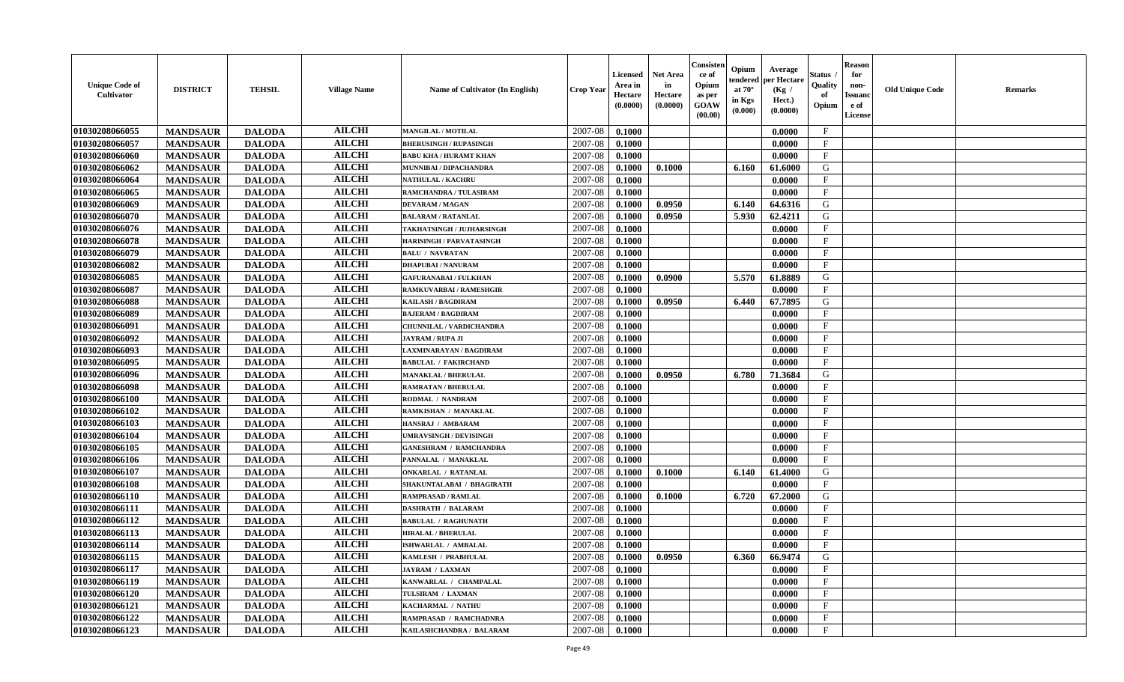| <b>Unique Code of</b><br>Cultivator | <b>DISTRICT</b> | <b>TEHSIL</b> | <b>Village Name</b> | <b>Name of Cultivator (In English)</b> | <b>Crop Year</b> | <b>Licensed</b><br>Area in<br>Hectare<br>(0.0000) | Net Area<br>in<br>Hectare<br>(0.0000) | Consister<br>ce of<br>Opium<br>as per<br>GOAW<br>(00.00) | Opium<br>endered<br>at $70^\circ$<br>in Kgs<br>(0.000) | Average<br>per Hectare<br>(Kg /<br>Hect.)<br>(0.0000) | Status<br>Quality<br>of<br>Opium | <b>Reason</b><br>for<br>non-<br>Issuan<br>e of<br>License | <b>Old Unique Code</b> | Remarks |
|-------------------------------------|-----------------|---------------|---------------------|----------------------------------------|------------------|---------------------------------------------------|---------------------------------------|----------------------------------------------------------|--------------------------------------------------------|-------------------------------------------------------|----------------------------------|-----------------------------------------------------------|------------------------|---------|
| 01030208066055                      | <b>MANDSAUR</b> | <b>DALODA</b> | <b>AILCHI</b>       | <b>MANGILAL / MOTILAL</b>              | 2007-08          | 0.1000                                            |                                       |                                                          |                                                        | 0.0000                                                | $\mathbf{F}$                     |                                                           |                        |         |
| 01030208066057                      | <b>MANDSAUR</b> | <b>DALODA</b> | <b>AILCHI</b>       | <b>BHERUSINGH / RUPASINGH</b>          | 2007-08          | 0.1000                                            |                                       |                                                          |                                                        | 0.0000                                                | $\mathbf{F}$                     |                                                           |                        |         |
| 01030208066060                      | <b>MANDSAUR</b> | <b>DALODA</b> | <b>AILCHI</b>       | <b>BABU KHA / HURAMT KHAN</b>          | 2007-08          | 0.1000                                            |                                       |                                                          |                                                        | 0.0000                                                | $_{\rm F}$                       |                                                           |                        |         |
| 01030208066062                      | <b>MANDSAUR</b> | <b>DALODA</b> | <b>AILCHI</b>       | MUNNIBAI / DIPACHANDRA                 | 2007-08          | 0.1000                                            | 0.1000                                |                                                          | 6.160                                                  | 61.6000                                               | G                                |                                                           |                        |         |
| 01030208066064                      | <b>MANDSAUR</b> | <b>DALODA</b> | <b>AILCHI</b>       | NATHULAL / KACHRU                      | 2007-08          | 0.1000                                            |                                       |                                                          |                                                        | 0.0000                                                | $\mathbf{F}$                     |                                                           |                        |         |
| 01030208066065                      | <b>MANDSAUR</b> | <b>DALODA</b> | <b>AILCHI</b>       | <b>RAMCHANDRA / TULASIRAM</b>          | 2007-08          | 0.1000                                            |                                       |                                                          |                                                        | 0.0000                                                | $\mathbf{F}$                     |                                                           |                        |         |
| 01030208066069                      | <b>MANDSAUR</b> | <b>DALODA</b> | <b>AILCHI</b>       | <b>DEVARAM / MAGAN</b>                 | 2007-08          | 0.1000                                            | 0.0950                                |                                                          | 6.140                                                  | 64.6316                                               | G                                |                                                           |                        |         |
| 01030208066070                      | <b>MANDSAUR</b> | <b>DALODA</b> | <b>AILCHI</b>       | <b>BALARAM / RATANLAL</b>              | 2007-08          | 0.1000                                            | 0.0950                                |                                                          | 5.930                                                  | 62.4211                                               | G                                |                                                           |                        |         |
| 01030208066076                      | <b>MANDSAUR</b> | <b>DALODA</b> | <b>AILCHI</b>       | TAKHATSINGH / JUJHARSINGH              | 2007-08          | 0.1000                                            |                                       |                                                          |                                                        | 0.0000                                                | $\mathbf{F}$                     |                                                           |                        |         |
| 01030208066078                      | <b>MANDSAUR</b> | <b>DALODA</b> | <b>AILCHI</b>       | <b>HARISINGH / PARVATASINGH</b>        | 2007-08          | 0.1000                                            |                                       |                                                          |                                                        | 0.0000                                                | $_{\rm F}$                       |                                                           |                        |         |
| 01030208066079                      | <b>MANDSAUR</b> | <b>DALODA</b> | <b>AILCHI</b>       | <b>BALU / NAVRATAN</b>                 | 2007-08          | 0.1000                                            |                                       |                                                          |                                                        | 0.0000                                                | $\mathbf{F}$                     |                                                           |                        |         |
| 01030208066082                      | <b>MANDSAUR</b> | <b>DALODA</b> | <b>AILCHI</b>       | <b>DHAPUBAI/NANURAM</b>                | 2007-08          | 0.1000                                            |                                       |                                                          |                                                        | 0.0000                                                | $\mathbf F$                      |                                                           |                        |         |
| 01030208066085                      | <b>MANDSAUR</b> | <b>DALODA</b> | <b>AILCHI</b>       | <b>GAFURANABAI / FULKHAN</b>           | 2007-08          | 0.1000                                            | 0.0900                                |                                                          | 5.570                                                  | 61.8889                                               | G                                |                                                           |                        |         |
| 01030208066087                      | <b>MANDSAUR</b> | <b>DALODA</b> | <b>AILCHI</b>       | RAMKUVARBAI / RAMESHGIR                | 2007-08          | 0.1000                                            |                                       |                                                          |                                                        | 0.0000                                                | $\mathbf{F}$                     |                                                           |                        |         |
| 01030208066088                      | <b>MANDSAUR</b> | <b>DALODA</b> | <b>AILCHI</b>       | KAILASH / BAGDIRAM                     | 2007-08          | 0.1000                                            | 0.0950                                |                                                          | 6.440                                                  | 67.7895                                               | G                                |                                                           |                        |         |
| 01030208066089                      | <b>MANDSAUR</b> | <b>DALODA</b> | <b>AILCHI</b>       | <b>BAJERAM / BAGDIRAM</b>              | 2007-08          | 0.1000                                            |                                       |                                                          |                                                        | 0.0000                                                | $\mathbf{F}$                     |                                                           |                        |         |
| 01030208066091                      | <b>MANDSAUR</b> | <b>DALODA</b> | <b>AILCHI</b>       | CHUNNILAL / VARDICHANDRA               | 2007-08          | 0.1000                                            |                                       |                                                          |                                                        | 0.0000                                                | $\mathbf{F}$                     |                                                           |                        |         |
| 01030208066092                      | <b>MANDSAUR</b> | <b>DALODA</b> | <b>AILCHI</b>       | <b>JAYRAM / RUPA JI</b>                | 2007-08          | 0.1000                                            |                                       |                                                          |                                                        | 0.0000                                                | $\mathbf{F}$                     |                                                           |                        |         |
| 01030208066093                      | <b>MANDSAUR</b> | <b>DALODA</b> | <b>AILCHI</b>       | LAXMINARAYAN / BAGDIRAM                | 2007-08          | 0.1000                                            |                                       |                                                          |                                                        | 0.0000                                                | $\mathbf{F}$                     |                                                           |                        |         |
| 01030208066095                      | <b>MANDSAUR</b> | <b>DALODA</b> | <b>AILCHI</b>       | <b>BABULAL / FAKIRCHAND</b>            | 2007-08          | 0.1000                                            |                                       |                                                          |                                                        | 0.0000                                                | $_{\rm F}$                       |                                                           |                        |         |
| 01030208066096                      | <b>MANDSAUR</b> | <b>DALODA</b> | <b>AILCHI</b>       | MANAKLAL / BHERULAL                    | 2007-08          | 0.1000                                            | 0.0950                                |                                                          | 6.780                                                  | 71.3684                                               | G                                |                                                           |                        |         |
| 01030208066098                      | <b>MANDSAUR</b> | <b>DALODA</b> | <b>AILCHI</b>       | <b>RAMRATAN / BHERULAL</b>             | 2007-08          | 0.1000                                            |                                       |                                                          |                                                        | 0.0000                                                | $\mathbf{F}$                     |                                                           |                        |         |
| 01030208066100                      | <b>MANDSAUR</b> | <b>DALODA</b> | <b>AILCHI</b>       | RODMAL / NANDRAM                       | 2007-08          | 0.1000                                            |                                       |                                                          |                                                        | 0.0000                                                | $\mathbf{F}$                     |                                                           |                        |         |
| 01030208066102                      | <b>MANDSAUR</b> | <b>DALODA</b> | <b>AILCHI</b>       | RAMKISHAN / MANAKLAL                   | 2007-08          | 0.1000                                            |                                       |                                                          |                                                        | 0.0000                                                | $_{\rm F}$                       |                                                           |                        |         |
| 01030208066103                      | <b>MANDSAUR</b> | <b>DALODA</b> | <b>AILCHI</b>       | HANSRAJ / AMBARAM                      | 2007-08          | 0.1000                                            |                                       |                                                          |                                                        | 0.0000                                                | $\mathbf{F}$                     |                                                           |                        |         |
| 01030208066104                      | <b>MANDSAUR</b> | <b>DALODA</b> | <b>AILCHI</b>       | <b>UMRAVSINGH / DEVISINGH</b>          | 2007-08          | 0.1000                                            |                                       |                                                          |                                                        | 0.0000                                                | $\mathbf{F}$                     |                                                           |                        |         |
| 01030208066105                      | <b>MANDSAUR</b> | <b>DALODA</b> | <b>AILCHI</b>       | <b>GANESHRAM / RAMCHANDRA</b>          | 2007-08          | 0.1000                                            |                                       |                                                          |                                                        | 0.0000                                                | $\mathbf{F}$                     |                                                           |                        |         |
| 01030208066106                      | <b>MANDSAUR</b> | <b>DALODA</b> | <b>AILCHI</b>       | PANNALAL / MANAKLAL                    | 2007-08          | 0.1000                                            |                                       |                                                          |                                                        | 0.0000                                                | $\mathbf F$                      |                                                           |                        |         |
| 01030208066107                      | <b>MANDSAUR</b> | <b>DALODA</b> | <b>AILCHI</b>       | <b>ONKARLAL / RATANLAL</b>             | 2007-08          | 0.1000                                            | 0.1000                                |                                                          | 6.140                                                  | 61.4000                                               | G                                |                                                           |                        |         |
| 01030208066108                      | <b>MANDSAUR</b> | <b>DALODA</b> | <b>AILCHI</b>       | SHAKUNTALABAI / BHAGIRATH              | 2007-08          | 0.1000                                            |                                       |                                                          |                                                        | 0.0000                                                | $\mathbf{F}$                     |                                                           |                        |         |
| 01030208066110                      | <b>MANDSAUR</b> | <b>DALODA</b> | <b>AILCHI</b>       | <b>RAMPRASAD / RAMLAL</b>              | 2007-08          | 0.1000                                            | 0.1000                                |                                                          | 6.720                                                  | 67.2000                                               | G                                |                                                           |                        |         |
| 01030208066111                      | <b>MANDSAUR</b> | <b>DALODA</b> | <b>AILCHI</b>       | <b>DASHRATH / BALARAM</b>              | 2007-08          | 0.1000                                            |                                       |                                                          |                                                        | 0.0000                                                | $\mathbf{F}$                     |                                                           |                        |         |
| 01030208066112                      | <b>MANDSAUR</b> | <b>DALODA</b> | <b>AILCHI</b>       | <b>BABULAL / RAGHUNATH</b>             | 2007-08          | 0.1000                                            |                                       |                                                          |                                                        | 0.0000                                                | $\mathbf{F}$                     |                                                           |                        |         |
| 01030208066113                      | <b>MANDSAUR</b> | <b>DALODA</b> | <b>AILCHI</b>       | <b>HIRALAL / BHERULAL</b>              | 2007-08          | 0.1000                                            |                                       |                                                          |                                                        | 0.0000                                                | $\mathbf{F}$                     |                                                           |                        |         |
| 01030208066114                      | <b>MANDSAUR</b> | <b>DALODA</b> | <b>AILCHI</b>       | ISHWARLAL / AMBALAL                    | 2007-08          | 0.1000                                            |                                       |                                                          |                                                        | 0.0000                                                | $\mathbf{F}$                     |                                                           |                        |         |
| 01030208066115                      | <b>MANDSAUR</b> | <b>DALODA</b> | <b>AILCHI</b>       | KAMLESH / PRABHULAL                    | 2007-08          | 0.1000                                            | 0.0950                                |                                                          | 6.360                                                  | 66.9474                                               | G                                |                                                           |                        |         |
| 01030208066117                      | <b>MANDSAUR</b> | <b>DALODA</b> | <b>AILCHI</b>       | <b>JAYRAM / LAXMAN</b>                 | 2007-08          | 0.1000                                            |                                       |                                                          |                                                        | 0.0000                                                | $\mathbf{F}$                     |                                                           |                        |         |
| 01030208066119                      | <b>MANDSAUR</b> | <b>DALODA</b> | <b>AILCHI</b>       | KANWARLAL / CHAMPALAL                  | 2007-08          | 0.1000                                            |                                       |                                                          |                                                        | 0.0000                                                | $\mathbf F$                      |                                                           |                        |         |
| 01030208066120                      | <b>MANDSAUR</b> | <b>DALODA</b> | <b>AILCHI</b>       | TULSIRAM / LAXMAN                      | 2007-08          | 0.1000                                            |                                       |                                                          |                                                        | 0.0000                                                | $\mathbf{F}$                     |                                                           |                        |         |
| 01030208066121                      | <b>MANDSAUR</b> | <b>DALODA</b> | <b>AILCHI</b>       | KACHARMAL / NATHU                      | 2007-08          | 0.1000                                            |                                       |                                                          |                                                        | 0.0000                                                | $\mathbf F$                      |                                                           |                        |         |
| 01030208066122                      | <b>MANDSAUR</b> | <b>DALODA</b> | <b>AILCHI</b>       | RAMPRASAD / RAMCHADNRA                 | 2007-08          | 0.1000                                            |                                       |                                                          |                                                        | 0.0000                                                | $\mathbf{F}$                     |                                                           |                        |         |
| 01030208066123                      | <b>MANDSAUR</b> | <b>DALODA</b> | <b>AILCHI</b>       | KAILASHCHANDRA / BALARAM               | 2007-08          | 0.1000                                            |                                       |                                                          |                                                        | 0.0000                                                | $\mathbf{F}$                     |                                                           |                        |         |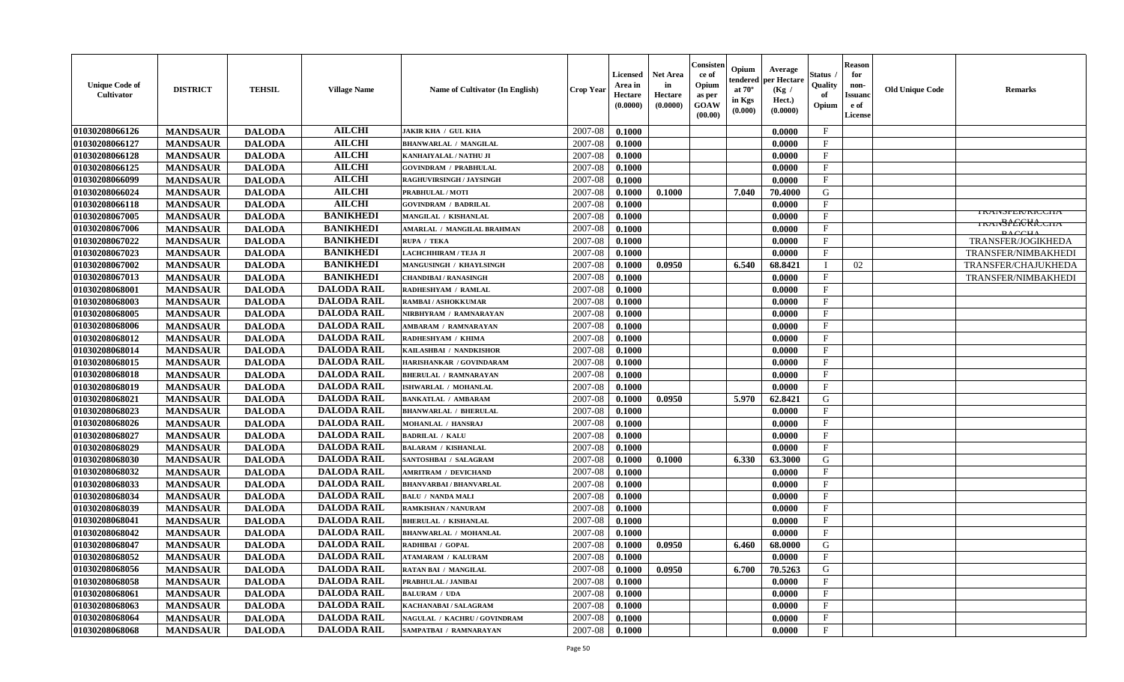| <b>Unique Code of</b><br>Cultivator | <b>DISTRICT</b> | <b>TEHSIL</b> | <b>Village Name</b> | Name of Cultivator (In English) | <b>Crop Year</b> | <b>Licensed</b><br>Area in<br>Hectare<br>(0.0000) | <b>Net Area</b><br>in<br>Hectare<br>(0.0000) | Consisten<br>ce of<br>Opium<br>as per<br><b>GOAW</b><br>(00.00) | Opium<br>endered<br>at $70^\circ$<br>in Kgs<br>(0.000) | Average<br>per Hectare<br>(Kg /<br>Hect.)<br>(0.0000) | Status ,<br>Quality<br>of<br>Opium | <b>Reason</b><br>for<br>non-<br><b>Issuand</b><br>e of<br><b>License</b> | <b>Old Unique Code</b> | <b>Remarks</b>                        |
|-------------------------------------|-----------------|---------------|---------------------|---------------------------------|------------------|---------------------------------------------------|----------------------------------------------|-----------------------------------------------------------------|--------------------------------------------------------|-------------------------------------------------------|------------------------------------|--------------------------------------------------------------------------|------------------------|---------------------------------------|
| 01030208066126                      | <b>MANDSAUR</b> | <b>DALODA</b> | <b>AILCHI</b>       | <b>JAKIR KHA / GUL KHA</b>      | 2007-08          | 0.1000                                            |                                              |                                                                 |                                                        | 0.0000                                                | $\mathbf{F}$                       |                                                                          |                        |                                       |
| 01030208066127                      | <b>MANDSAUR</b> | <b>DALODA</b> | <b>AILCHI</b>       | <b>BHANWARLAL / MANGILAL</b>    | 2007-08          | 0.1000                                            |                                              |                                                                 |                                                        | 0.0000                                                | $\mathbf{F}$                       |                                                                          |                        |                                       |
| 01030208066128                      | <b>MANDSAUR</b> | <b>DALODA</b> | <b>AILCHI</b>       | KANHAIYALAL / NATHU JI          | 2007-08          | 0.1000                                            |                                              |                                                                 |                                                        | 0.0000                                                | $\mathbf{F}$                       |                                                                          |                        |                                       |
| 01030208066125                      | <b>MANDSAUR</b> | <b>DALODA</b> | <b>AILCHI</b>       | <b>GOVINDRAM / PRABHULAL</b>    | 2007-08          | 0.1000                                            |                                              |                                                                 |                                                        | 0.0000                                                | $\mathbf{F}$                       |                                                                          |                        |                                       |
| 01030208066099                      | <b>MANDSAUR</b> | <b>DALODA</b> | <b>AILCHI</b>       | RAGHUVIRSINGH / JAYSINGH        | 2007-08          | 0.1000                                            |                                              |                                                                 |                                                        | 0.0000                                                | $\mathbf{F}$                       |                                                                          |                        |                                       |
| 01030208066024                      | <b>MANDSAUR</b> | <b>DALODA</b> | <b>AILCHI</b>       | PRABHULAL / MOTI                | 2007-08          | 0.1000                                            | 0.1000                                       |                                                                 | 7.040                                                  | 70.4000                                               | G                                  |                                                                          |                        |                                       |
| 01030208066118                      | <b>MANDSAUR</b> | <b>DALODA</b> | <b>AILCHI</b>       | <b>GOVINDRAM / BADRILAL</b>     | 2007-08          | 0.1000                                            |                                              |                                                                 |                                                        | 0.0000                                                | $\mathbf{F}$                       |                                                                          |                        |                                       |
| 01030208067005                      | <b>MANDSAUR</b> | <b>DALODA</b> | <b>BANIKHEDI</b>    | MANGILAL / KISHANLAL            | 2007-08          | 0.1000                                            |                                              |                                                                 |                                                        | 0.0000                                                | $\mathbf{F}$                       |                                                                          |                        | <b>I RAINSFEN/KIUUNA</b>              |
| 01030208067006                      | <b>MANDSAUR</b> | <b>DALODA</b> | <b>BANIKHEDI</b>    | AMARLAL / MANGILAL BRAHMAN      | 2007-08          | 0.1000                                            |                                              |                                                                 |                                                        | 0.0000                                                | $\mathbf{F}$                       |                                                                          |                        | <del>ikan31£66K1Ccha</del><br>D A C T |
| 01030208067022                      | <b>MANDSAUR</b> | <b>DALODA</b> | <b>BANIKHEDI</b>    | RUPA / TEKA                     | 2007-08          | 0.1000                                            |                                              |                                                                 |                                                        | 0.0000                                                | $\mathbf{F}$                       |                                                                          |                        | TRANSFER/JOGIKHEDA                    |
| 01030208067023                      | <b>MANDSAUR</b> | <b>DALODA</b> | <b>BANIKHEDI</b>    | <b>LACHCHHIRAM / TEJA JI</b>    | 2007-08          | 0.1000                                            |                                              |                                                                 |                                                        | 0.0000                                                | $\mathbf{F}$                       |                                                                          |                        | TRANSFER/NIMBAKHEDI                   |
| 01030208067002                      | <b>MANDSAUR</b> | <b>DALODA</b> | <b>BANIKHEDI</b>    | <b>MANGUSINGH / KHAYLSINGH</b>  | 2007-08          | 0.1000                                            | 0.0950                                       |                                                                 | 6.540                                                  | 68.8421                                               | $\mathbf I$                        | 02                                                                       |                        | TRANSFER/CHAJUKHEDA                   |
| 01030208067013                      | <b>MANDSAUR</b> | <b>DALODA</b> | <b>BANIKHEDI</b>    | <b>CHANDIBAI/RANASINGH</b>      | 2007-08          | 0.1000                                            |                                              |                                                                 |                                                        | 0.0000                                                | $\mathbf{F}$                       |                                                                          |                        | TRANSFER/NIMBAKHEDI                   |
| 01030208068001                      | <b>MANDSAUR</b> | <b>DALODA</b> | <b>DALODA RAIL</b>  | RADHESHYAM / RAMLAL             | 2007-08          | 0.1000                                            |                                              |                                                                 |                                                        | 0.0000                                                | $\mathbf{F}$                       |                                                                          |                        |                                       |
| 01030208068003                      | <b>MANDSAUR</b> | <b>DALODA</b> | <b>DALODA RAIL</b>  | RAMBAI / ASHOKKUMAR             | 2007-08          | 0.1000                                            |                                              |                                                                 |                                                        | 0.0000                                                | $\mathbf{F}$                       |                                                                          |                        |                                       |
| 01030208068005                      | <b>MANDSAUR</b> | <b>DALODA</b> | <b>DALODA RAIL</b>  | NIRBHYRAM / RAMNARAYAN          | 2007-08          | 0.1000                                            |                                              |                                                                 |                                                        | 0.0000                                                | $\mathbf F$                        |                                                                          |                        |                                       |
| 01030208068006                      | <b>MANDSAUR</b> | <b>DALODA</b> | <b>DALODA RAIL</b>  | AMBARAM / RAMNARAYAN            | 2007-08          | 0.1000                                            |                                              |                                                                 |                                                        | 0.0000                                                | $\mathbf{F}$                       |                                                                          |                        |                                       |
| 01030208068012                      | <b>MANDSAUR</b> | <b>DALODA</b> | <b>DALODA RAIL</b>  | RADHESHYAM / KHIMA              | 2007-08          | 0.1000                                            |                                              |                                                                 |                                                        | 0.0000                                                | $\mathbf F$                        |                                                                          |                        |                                       |
| 01030208068014                      | <b>MANDSAUR</b> | <b>DALODA</b> | <b>DALODA RAIL</b>  | KAILASHBAI / NANDKISHOR         | 2007-08          | 0.1000                                            |                                              |                                                                 |                                                        | 0.0000                                                | $\mathbf{F}$                       |                                                                          |                        |                                       |
| 01030208068015                      | <b>MANDSAUR</b> | <b>DALODA</b> | <b>DALODA RAIL</b>  | HARISHANKAR / GOVINDARAM        | 2007-08          | 0.1000                                            |                                              |                                                                 |                                                        | 0.0000                                                | $\mathbf{F}$                       |                                                                          |                        |                                       |
| 01030208068018                      | <b>MANDSAUR</b> | <b>DALODA</b> | <b>DALODA RAIL</b>  | <b>BHERULAL / RAMNARAYAN</b>    | 2007-08          | 0.1000                                            |                                              |                                                                 |                                                        | 0.0000                                                | $\mathbf{F}$                       |                                                                          |                        |                                       |
| 01030208068019                      | <b>MANDSAUR</b> | <b>DALODA</b> | <b>DALODA RAIL</b>  | ISHWARLAL / MOHANLAL            | 2007-08          | 0.1000                                            |                                              |                                                                 |                                                        | 0.0000                                                | $\mathbf{F}$                       |                                                                          |                        |                                       |
| 01030208068021                      | <b>MANDSAUR</b> | <b>DALODA</b> | <b>DALODA RAIL</b>  | <b>BANKATLAL / AMBARAM</b>      | 2007-08          | 0.1000                                            | 0.0950                                       |                                                                 | 5.970                                                  | 62.8421                                               | G                                  |                                                                          |                        |                                       |
| 01030208068023                      | <b>MANDSAUR</b> | <b>DALODA</b> | <b>DALODA RAIL</b>  | <b>BHANWARLAL / BHERULAL</b>    | 2007-08          | 0.1000                                            |                                              |                                                                 |                                                        | 0.0000                                                | $\mathbf{F}$                       |                                                                          |                        |                                       |
| 01030208068026                      | <b>MANDSAUR</b> | <b>DALODA</b> | <b>DALODA RAIL</b>  | <b>MOHANLAL / HANSRAJ</b>       | 2007-08          | 0.1000                                            |                                              |                                                                 |                                                        | 0.0000                                                | $\mathbf{F}$                       |                                                                          |                        |                                       |
| 01030208068027                      | <b>MANDSAUR</b> | <b>DALODA</b> | <b>DALODA RAIL</b>  | <b>BADRILAL / KALU</b>          | 2007-08          | 0.1000                                            |                                              |                                                                 |                                                        | 0.0000                                                | $\mathbf{F}$                       |                                                                          |                        |                                       |
| 01030208068029                      | <b>MANDSAUR</b> | <b>DALODA</b> | <b>DALODA RAIL</b>  | <b>BALARAM / KISHANLAL</b>      | 2007-08          | 0.1000                                            |                                              |                                                                 |                                                        | 0.0000                                                | $\mathbf{F}$                       |                                                                          |                        |                                       |
| 01030208068030                      | <b>MANDSAUR</b> | <b>DALODA</b> | <b>DALODA RAIL</b>  | SANTOSHBAI / SALAGRAM           | 2007-08          | 0.1000                                            | 0.1000                                       |                                                                 | 6.330                                                  | 63.3000                                               | G                                  |                                                                          |                        |                                       |
| 01030208068032                      | <b>MANDSAUR</b> | <b>DALODA</b> | <b>DALODA RAIL</b>  | <b>AMRITRAM / DEVICHAND</b>     | 2007-08          | 0.1000                                            |                                              |                                                                 |                                                        | 0.0000                                                | $\mathbf F$                        |                                                                          |                        |                                       |
| 01030208068033                      | <b>MANDSAUR</b> | <b>DALODA</b> | <b>DALODA RAIL</b>  | <b>BHANVARBAI/BHANVARLAL</b>    | 2007-08          | 0.1000                                            |                                              |                                                                 |                                                        | 0.0000                                                | $\mathbf{F}$                       |                                                                          |                        |                                       |
| 01030208068034                      | <b>MANDSAUR</b> | <b>DALODA</b> | <b>DALODA RAIL</b>  | <b>BALU / NANDA MALI</b>        | 2007-08          | 0.1000                                            |                                              |                                                                 |                                                        | 0.0000                                                | $\mathbf{F}$                       |                                                                          |                        |                                       |
| 01030208068039                      | <b>MANDSAUR</b> | <b>DALODA</b> | <b>DALODA RAIL</b>  | <b>RAMKISHAN / NANURAM</b>      | 2007-08          | 0.1000                                            |                                              |                                                                 |                                                        | 0.0000                                                | $\mathbf F$                        |                                                                          |                        |                                       |
| 01030208068041                      | <b>MANDSAUR</b> | <b>DALODA</b> | <b>DALODA RAIL</b>  | <b>BHERULAL / KISHANLAL</b>     | 2007-08          | 0.1000                                            |                                              |                                                                 |                                                        | 0.0000                                                | $\mathbf{F}$                       |                                                                          |                        |                                       |
| 01030208068042                      | <b>MANDSAUR</b> | <b>DALODA</b> | <b>DALODA RAIL</b>  | <b>BHANWARLAL / MOHANLAL</b>    | 2007-08          | 0.1000                                            |                                              |                                                                 |                                                        | 0.0000                                                | $\mathbf{F}$                       |                                                                          |                        |                                       |
| 01030208068047                      | <b>MANDSAUR</b> | <b>DALODA</b> | <b>DALODA RAIL</b>  | RADHIBAI / GOPAL                | 2007-08          | 0.1000                                            | 0.0950                                       |                                                                 | 6.460                                                  | 68.0000                                               | G                                  |                                                                          |                        |                                       |
| 01030208068052                      | <b>MANDSAUR</b> | <b>DALODA</b> | <b>DALODA RAIL</b>  | <b>ATAMARAM / KALURAM</b>       | 2007-08          | 0.1000                                            |                                              |                                                                 |                                                        | 0.0000                                                | $\mathbf{F}$                       |                                                                          |                        |                                       |
| 01030208068056                      | <b>MANDSAUR</b> | <b>DALODA</b> | <b>DALODA RAIL</b>  | <b>RATAN BAI / MANGILAL</b>     | 2007-08          | 0.1000                                            | 0.0950                                       |                                                                 | 6.700                                                  | 70.5263                                               | G                                  |                                                                          |                        |                                       |
| 01030208068058                      | <b>MANDSAUR</b> | <b>DALODA</b> | <b>DALODA RAIL</b>  | PRABHULAL / JANIBAI             | 2007-08          | 0.1000                                            |                                              |                                                                 |                                                        | 0.0000                                                | $\mathbf{F}$                       |                                                                          |                        |                                       |
| 01030208068061                      | <b>MANDSAUR</b> | <b>DALODA</b> | <b>DALODA RAIL</b>  | <b>BALURAM / UDA</b>            | 2007-08          | 0.1000                                            |                                              |                                                                 |                                                        | 0.0000                                                | $\mathbf{F}$                       |                                                                          |                        |                                       |
| 01030208068063                      | <b>MANDSAUR</b> | <b>DALODA</b> | <b>DALODA RAIL</b>  | KACHANABAI / SALAGRAM           | 2007-08          | 0.1000                                            |                                              |                                                                 |                                                        | 0.0000                                                | F                                  |                                                                          |                        |                                       |
| 01030208068064                      | <b>MANDSAUR</b> | <b>DALODA</b> | <b>DALODA RAIL</b>  | NAGULAL / KACHRU / GOVINDRAM    | 2007-08          | 0.1000                                            |                                              |                                                                 |                                                        | 0.0000                                                | $\mathbf{F}$                       |                                                                          |                        |                                       |
| 01030208068068                      | <b>MANDSAUR</b> | <b>DALODA</b> | <b>DALODA RAIL</b>  | SAMPATBAI / RAMNARAYAN          | 2007-08          | 0.1000                                            |                                              |                                                                 |                                                        | 0.0000                                                | $\mathbf{F}$                       |                                                                          |                        |                                       |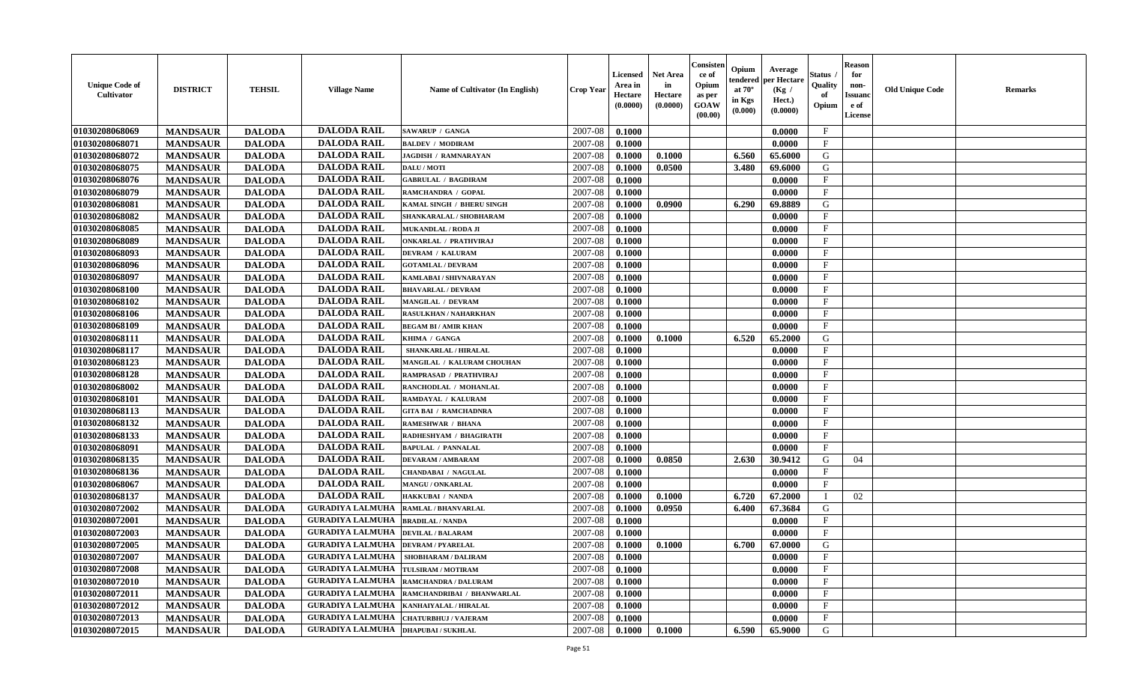| <b>Unique Code of</b><br><b>Cultivator</b> | <b>DISTRICT</b> | <b>TEHSIL</b> | <b>Village Name</b>                       | Name of Cultivator (In English)               | <b>Crop Year</b> | <b>Licensed</b><br>Area in<br>Hectare<br>(0.0000) | <b>Net Area</b><br>in<br>Hectare<br>(0.0000) | Consisteı<br>ce of<br>Opium<br>as per<br><b>GOAW</b><br>(00.00) | Opium<br>endered<br>at $70^\circ$<br>in Kgs<br>(0.000) | Average<br>per Hectare<br>(Kg /<br>Hect.)<br>(0.0000) | Status<br>Quality<br>of<br>Opium | <b>Reason</b><br>for<br>non-<br>Issuan<br>e of<br>License | <b>Old Unique Code</b> | <b>Remarks</b> |
|--------------------------------------------|-----------------|---------------|-------------------------------------------|-----------------------------------------------|------------------|---------------------------------------------------|----------------------------------------------|-----------------------------------------------------------------|--------------------------------------------------------|-------------------------------------------------------|----------------------------------|-----------------------------------------------------------|------------------------|----------------|
| 01030208068069                             | <b>MANDSAUR</b> | <b>DALODA</b> | <b>DALODA RAIL</b>                        | <b>SAWARUP / GANGA</b>                        | 2007-08          | 0.1000                                            |                                              |                                                                 |                                                        | 0.0000                                                | $\mathbf{F}$                     |                                                           |                        |                |
| 01030208068071                             | <b>MANDSAUR</b> | <b>DALODA</b> | <b>DALODA RAIL</b>                        | <b>BALDEV / MODIRAM</b>                       | 2007-08          | 0.1000                                            |                                              |                                                                 |                                                        | 0.0000                                                | $_{\rm F}$                       |                                                           |                        |                |
| 01030208068072                             | <b>MANDSAUR</b> | <b>DALODA</b> | <b>DALODA RAIL</b>                        | <b>JAGDISH / RAMNARAYAN</b>                   | 2007-08          | 0.1000                                            | 0.1000                                       |                                                                 | 6.560                                                  | 65.6000                                               | G                                |                                                           |                        |                |
| 01030208068075                             | <b>MANDSAUR</b> | <b>DALODA</b> | <b>DALODA RAIL</b>                        | DALU / MOTI                                   | 2007-08          | 0.1000                                            | 0.0500                                       |                                                                 | 3.480                                                  | 69.6000                                               | G                                |                                                           |                        |                |
| 01030208068076                             | <b>MANDSAUR</b> | <b>DALODA</b> | <b>DALODA RAIL</b>                        | <b>GABRULAL / BAGDIRAM</b>                    | 2007-08          | 0.1000                                            |                                              |                                                                 |                                                        | 0.0000                                                | F                                |                                                           |                        |                |
| 01030208068079                             | <b>MANDSAUR</b> | <b>DALODA</b> | <b>DALODA RAIL</b>                        | RAMCHANDRA / GOPAL                            | 2007-08          | 0.1000                                            |                                              |                                                                 |                                                        | 0.0000                                                | $\mathbf{F}$                     |                                                           |                        |                |
| 01030208068081                             | <b>MANDSAUR</b> | <b>DALODA</b> | <b>DALODA RAIL</b>                        | KAMAL SINGH / BHERU SINGH                     | 2007-08          | 0.1000                                            | 0.0900                                       |                                                                 | 6.290                                                  | 69.8889                                               | G                                |                                                           |                        |                |
| 01030208068082                             | <b>MANDSAUR</b> | <b>DALODA</b> | <b>DALODA RAIL</b>                        | SHANKARALAL / SHOBHARAM                       | 2007-08          | 0.1000                                            |                                              |                                                                 |                                                        | 0.0000                                                | $\mathbf{F}$                     |                                                           |                        |                |
| 01030208068085                             | <b>MANDSAUR</b> | <b>DALODA</b> | <b>DALODA RAIL</b>                        | MUKANDLAL / RODA JI                           | 2007-08          | 0.1000                                            |                                              |                                                                 |                                                        | 0.0000                                                | $_{\rm F}$                       |                                                           |                        |                |
| 01030208068089                             | <b>MANDSAUR</b> | <b>DALODA</b> | <b>DALODA RAIL</b>                        | <b>ONKARLAL / PRATHVIRAJ</b>                  | 2007-08          | 0.1000                                            |                                              |                                                                 |                                                        | 0.0000                                                | $_{\rm F}$                       |                                                           |                        |                |
| 01030208068093                             | <b>MANDSAUR</b> | <b>DALODA</b> | <b>DALODA RAIL</b>                        | <b>DEVRAM / KALURAM</b>                       | 2007-08          | 0.1000                                            |                                              |                                                                 |                                                        | 0.0000                                                | $\mathbf{F}$                     |                                                           |                        |                |
| 01030208068096                             | <b>MANDSAUR</b> | <b>DALODA</b> | <b>DALODA RAIL</b>                        | <b>GOTAMLAL / DEVRAM</b>                      | 2007-08          | 0.1000                                            |                                              |                                                                 |                                                        | 0.0000                                                | $_{\rm F}$                       |                                                           |                        |                |
| 01030208068097                             | <b>MANDSAUR</b> | <b>DALODA</b> | <b>DALODA RAIL</b>                        | KAMLABAI / SHIVNARAYAN                        | 2007-08          | 0.1000                                            |                                              |                                                                 |                                                        | 0.0000                                                | $\mathbf{F}$                     |                                                           |                        |                |
| 01030208068100                             | <b>MANDSAUR</b> | <b>DALODA</b> | <b>DALODA RAIL</b>                        | <b>BHAVARLAL / DEVRAM</b>                     | 2007-08          | 0.1000                                            |                                              |                                                                 |                                                        | 0.0000                                                | $\mathbf{F}$                     |                                                           |                        |                |
| 01030208068102                             | <b>MANDSAUR</b> | <b>DALODA</b> | <b>DALODA RAIL</b>                        | MANGILAL / DEVRAM                             | 2007-08          | 0.1000                                            |                                              |                                                                 |                                                        | 0.0000                                                | $\mathbf{F}$                     |                                                           |                        |                |
| 01030208068106                             | <b>MANDSAUR</b> | <b>DALODA</b> | <b>DALODA RAIL</b>                        | RASULKHAN / NAHARKHAN                         | 2007-08          | 0.1000                                            |                                              |                                                                 |                                                        | 0.0000                                                | F                                |                                                           |                        |                |
| 01030208068109                             | <b>MANDSAUR</b> | <b>DALODA</b> | <b>DALODA RAIL</b>                        | <b>BEGAM BI/AMIR KHAN</b>                     | 2007-08          | 0.1000                                            |                                              |                                                                 |                                                        | 0.0000                                                | $\mathbf F$                      |                                                           |                        |                |
| 01030208068111                             | <b>MANDSAUR</b> | <b>DALODA</b> | <b>DALODA RAIL</b>                        | KHIMA / GANGA                                 | 2007-08          | 0.1000                                            | 0.1000                                       |                                                                 | 6.520                                                  | 65.2000                                               | G                                |                                                           |                        |                |
| 01030208068117                             | <b>MANDSAUR</b> | <b>DALODA</b> | <b>DALODA RAIL</b>                        | SHANKARLAL / HIRALAL                          | 2007-08          | 0.1000                                            |                                              |                                                                 |                                                        | 0.0000                                                | F                                |                                                           |                        |                |
| 01030208068123                             | <b>MANDSAUR</b> | <b>DALODA</b> | <b>DALODA RAIL</b>                        | MANGILAL / KALURAM CHOUHAN                    | 2007-08          | 0.1000                                            |                                              |                                                                 |                                                        | 0.0000                                                | $_{\rm F}$                       |                                                           |                        |                |
| 01030208068128                             | <b>MANDSAUR</b> | <b>DALODA</b> | <b>DALODA RAIL</b>                        | RAMPRASAD / PRATHVIRAJ                        | 2007-08          | 0.1000                                            |                                              |                                                                 |                                                        | 0.0000                                                | F                                |                                                           |                        |                |
| 01030208068002                             | <b>MANDSAUR</b> | <b>DALODA</b> | <b>DALODA RAIL</b>                        | RANCHODLAL / MOHANLAL                         | 2007-08          | 0.1000                                            |                                              |                                                                 |                                                        | 0.0000                                                | $\mathbf{F}$                     |                                                           |                        |                |
| 01030208068101                             | <b>MANDSAUR</b> | <b>DALODA</b> | <b>DALODA RAIL</b>                        | RAMDAYAL / KALURAM                            | 2007-08          | 0.1000                                            |                                              |                                                                 |                                                        | 0.0000                                                | F.                               |                                                           |                        |                |
| 01030208068113                             | <b>MANDSAUR</b> | <b>DALODA</b> | <b>DALODA RAIL</b>                        | <b>GITA BAI / RAMCHADNRA</b>                  | 2007-08          | 0.1000                                            |                                              |                                                                 |                                                        | 0.0000                                                | $\mathbf{F}$                     |                                                           |                        |                |
| 01030208068132                             | <b>MANDSAUR</b> | <b>DALODA</b> | <b>DALODA RAIL</b>                        | <b>RAMESHWAR / BHANA</b>                      | 2007-08          | 0.1000                                            |                                              |                                                                 |                                                        | 0.0000                                                | $\mathbf{F}$                     |                                                           |                        |                |
| 01030208068133                             | <b>MANDSAUR</b> | <b>DALODA</b> | <b>DALODA RAIL</b>                        | RADHESHYAM / BHAGIRATH                        | 2007-08          | 0.1000                                            |                                              |                                                                 |                                                        | 0.0000                                                | $\mathbf{F}$                     |                                                           |                        |                |
| 01030208068091                             | <b>MANDSAUR</b> | <b>DALODA</b> | <b>DALODA RAIL</b>                        | <b>BAPULAL / PANNALAL</b>                     | 2007-08          | 0.1000                                            |                                              |                                                                 |                                                        | 0.0000                                                | $\mathbf{F}$                     |                                                           |                        |                |
| 01030208068135                             | <b>MANDSAUR</b> | <b>DALODA</b> | <b>DALODA RAIL</b>                        | <b>DEVARAM / AMBARAM</b>                      | 2007-08          | 0.1000                                            | 0.0850                                       |                                                                 | 2.630                                                  | 30.9412                                               | G                                | 04                                                        |                        |                |
| 01030208068136                             | <b>MANDSAUR</b> | <b>DALODA</b> | <b>DALODA RAIL</b>                        | <b>CHANDABAI / NAGULAL</b>                    | 2007-08          | 0.1000                                            |                                              |                                                                 |                                                        | 0.0000                                                | $\mathbf{F}$                     |                                                           |                        |                |
| 01030208068067                             | <b>MANDSAUR</b> | <b>DALODA</b> | <b>DALODA RAIL</b>                        | MANGU / ONKARLAL                              | 2007-08          | 0.1000                                            |                                              |                                                                 |                                                        | 0.0000                                                | $_{\rm F}$                       |                                                           |                        |                |
| 01030208068137                             | <b>MANDSAUR</b> | <b>DALODA</b> | <b>DALODA RAIL</b>                        | <b>HAKKUBAI / NANDA</b>                       | 2007-08          | 0.1000                                            | 0.1000                                       |                                                                 | 6.720                                                  | 67.2000                                               | - 1                              | 02                                                        |                        |                |
| 01030208072002                             | <b>MANDSAUR</b> | <b>DALODA</b> | <b>GURADIYA LALMUHA</b>                   | <b>RAMLAL / BHANVARLAL</b>                    | 2007-08          | 0.1000                                            | 0.0950                                       |                                                                 | 6.400                                                  | 67.3684                                               | G                                |                                                           |                        |                |
| 01030208072001                             | <b>MANDSAUR</b> | <b>DALODA</b> | <b>GURADIYA LALMUHA</b>                   | <b>BRADILAL / NANDA</b>                       | 2007-08          | 0.1000                                            |                                              |                                                                 |                                                        | 0.0000                                                | $\mathbf{F}$                     |                                                           |                        |                |
| 01030208072003                             | <b>MANDSAUR</b> | <b>DALODA</b> | <b>GURADIYA LALMUHA</b>                   | <b>DEVILAL / BALARAM</b>                      | 2007-08          | 0.1000                                            |                                              |                                                                 |                                                        | 0.0000                                                | $_{\rm F}$                       |                                                           |                        |                |
| 01030208072005                             | <b>MANDSAUR</b> | <b>DALODA</b> | <b>GURADIYA LALMUHA</b>                   | <b>DEVRAM / PYARELAL</b>                      | 2007-08          | 0.1000                                            | 0.1000                                       |                                                                 | 6.700                                                  | 67.0000                                               | G                                |                                                           |                        |                |
| 01030208072007                             | <b>MANDSAUR</b> | <b>DALODA</b> | GURADIYA LALMUHA   SHOBHARAM / DALIRAM    |                                               | $2007 - 08$      | 0.1000                                            |                                              |                                                                 |                                                        | 0.0000                                                | F                                |                                                           |                        |                |
| 01030208072008                             | <b>MANDSAUR</b> | <b>DALODA</b> | <b>GURADIYA LALMUHA</b>                   | TULSIRAM / MOTIRAM                            | 2007-08          | 0.1000                                            |                                              |                                                                 |                                                        | 0.0000                                                | $\mathbf{F}$                     |                                                           |                        |                |
| <b>01030208072010</b>                      | <b>MANDSAUR</b> | <b>DALODA</b> | GURADIYA LALMUHA RAMCHANDRA / DALURAM     |                                               | 2007-08          | 0.1000                                            |                                              |                                                                 |                                                        | 0.0000                                                | $\mathbf{F}$                     |                                                           |                        |                |
| 01030208072011                             | <b>MANDSAUR</b> | <b>DALODA</b> |                                           | GURADIYA LALMUHA   RAMCHANDRIBAI / BHANWARLAL | 2007-08          | 0.1000                                            |                                              |                                                                 |                                                        | 0.0000                                                | $\mathbf{F}$                     |                                                           |                        |                |
| 01030208072012                             | <b>MANDSAUR</b> | <b>DALODA</b> | <b>GURADIYA LALMUHA</b>                   | KANHAIYALAL / HIRALAL                         | 2007-08          | 0.1000                                            |                                              |                                                                 |                                                        | 0.0000                                                | $\mathbf{F}$                     |                                                           |                        |                |
| 01030208072013                             | <b>MANDSAUR</b> | <b>DALODA</b> | <b>GURADIYA LALMUHA</b>                   | <b>CHATURBHUJ / VAJERAM</b>                   | 2007-08          | 0.1000                                            |                                              |                                                                 |                                                        | 0.0000                                                | $\mathbf{F}$                     |                                                           |                        |                |
| 01030208072015                             | <b>MANDSAUR</b> | <b>DALODA</b> | <b>GURADIYA LALMUHA  DHAPUBAI/SUKHLAL</b> |                                               | 2007-08          | $\boldsymbol{0.1000}$                             | 0.1000                                       |                                                                 | 6.590                                                  | 65.9000                                               | G                                |                                                           |                        |                |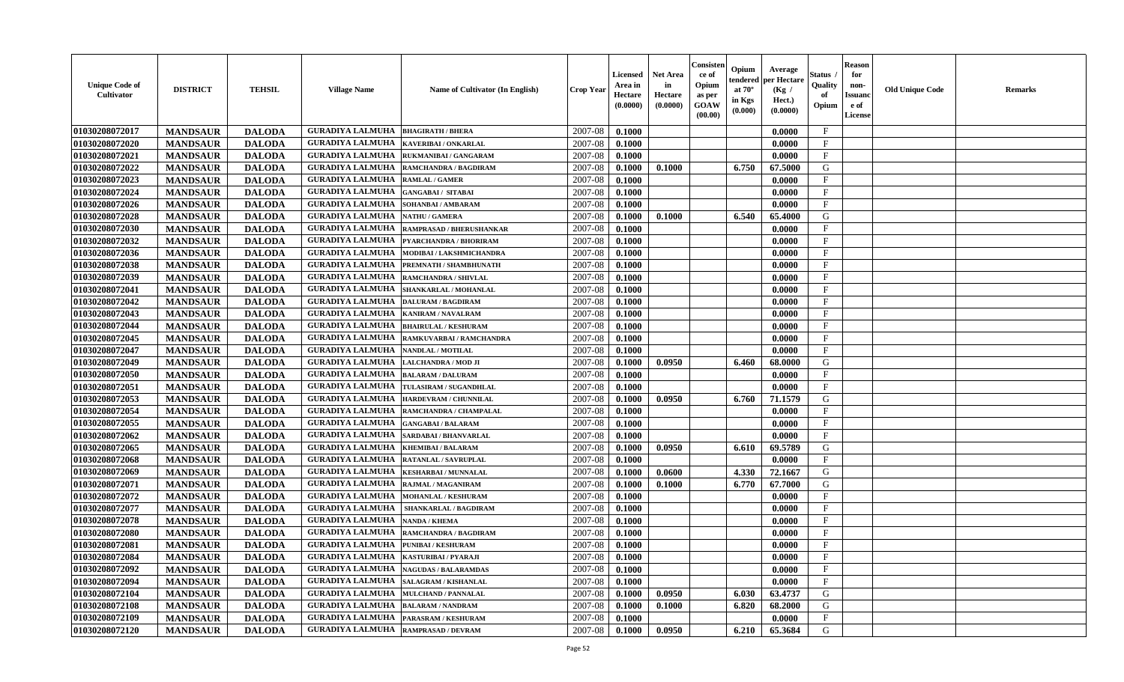| <b>Unique Code of</b><br><b>Cultivator</b> | <b>DISTRICT</b> | <b>TEHSIL</b> | <b>Village Name</b>                            | <b>Name of Cultivator (In English)</b> | <b>Crop Year</b> | <b>Licensed</b><br>Area in<br>Hectare<br>(0.0000) | <b>Net Area</b><br>in<br>Hectare<br>(0.0000) | Consisteı<br>ce of<br>Opium<br>as per<br><b>GOAW</b><br>(00.00) | Opium<br>endered<br>at $70^\circ$<br>in Kgs<br>(0.000) | Average<br>per Hectare<br>(Kg /<br>Hect.)<br>(0.0000) | Status<br>Quality<br>of<br>Opium | <b>Reason</b><br>for<br>non-<br>Issuan<br>e of<br>License | <b>Old Unique Code</b> | <b>Remarks</b> |
|--------------------------------------------|-----------------|---------------|------------------------------------------------|----------------------------------------|------------------|---------------------------------------------------|----------------------------------------------|-----------------------------------------------------------------|--------------------------------------------------------|-------------------------------------------------------|----------------------------------|-----------------------------------------------------------|------------------------|----------------|
| 01030208072017                             | <b>MANDSAUR</b> | <b>DALODA</b> | <b>GURADIYA LALMUHA</b>                        | <b>BHAGIRATH / BHERA</b>               | 2007-08          | 0.1000                                            |                                              |                                                                 |                                                        | 0.0000                                                | $\mathbf{F}$                     |                                                           |                        |                |
| 01030208072020                             | <b>MANDSAUR</b> | <b>DALODA</b> | <b>GURADIYA LALMUHA</b>                        | <b>KAVERIBAI/ONKARLAL</b>              | 2007-08          | 0.1000                                            |                                              |                                                                 |                                                        | 0.0000                                                | $_{\rm F}$                       |                                                           |                        |                |
| 01030208072021                             | <b>MANDSAUR</b> | <b>DALODA</b> | <b>GURADIYA LALMUHA</b>                        | <b>RUKMANIBAI / GANGARAM</b>           | 2007-08          | 0.1000                                            |                                              |                                                                 |                                                        | 0.0000                                                | $\mathbf{F}$                     |                                                           |                        |                |
| 01030208072022                             | <b>MANDSAUR</b> | <b>DALODA</b> | <b>GURADIYA LALMUHA</b>                        | RAMCHANDRA / BAGDIRAM                  | 2007-08          | 0.1000                                            | 0.1000                                       |                                                                 | 6.750                                                  | 67.5000                                               | G                                |                                                           |                        |                |
| 01030208072023                             | <b>MANDSAUR</b> | <b>DALODA</b> | <b>GURADIYA LALMUHA</b>                        | <b>RAMLAL / GAMER</b>                  | 2007-08          | 0.1000                                            |                                              |                                                                 |                                                        | 0.0000                                                | F                                |                                                           |                        |                |
| 01030208072024                             | <b>MANDSAUR</b> | <b>DALODA</b> | <b>GURADIYA LALMUHA</b>                        | <b>GANGABAI/ SITABAI</b>               | 2007-08          | 0.1000                                            |                                              |                                                                 |                                                        | 0.0000                                                | $\mathbf{F}$                     |                                                           |                        |                |
| 01030208072026                             | <b>MANDSAUR</b> | <b>DALODA</b> | <b>GURADIYA LALMUHA</b>                        | <b>SOHANBAI/AMBARAM</b>                | 2007-08          | 0.1000                                            |                                              |                                                                 |                                                        | 0.0000                                                | $\mathbf{F}$                     |                                                           |                        |                |
| 01030208072028                             | <b>MANDSAUR</b> | <b>DALODA</b> | <b>GURADIYA LALMUHA</b>                        | <b>NATHU / GAMERA</b>                  | 2007-08          | 0.1000                                            | 0.1000                                       |                                                                 | 6.540                                                  | 65.4000                                               | G                                |                                                           |                        |                |
| 01030208072030                             | <b>MANDSAUR</b> | <b>DALODA</b> | <b>GURADIYA LALMUHA</b>                        | <b>RAMPRASAD / BHERUSHANKAR</b>        | 2007-08          | 0.1000                                            |                                              |                                                                 |                                                        | 0.0000                                                | $_{\rm F}$                       |                                                           |                        |                |
| 01030208072032                             | <b>MANDSAUR</b> | <b>DALODA</b> | <b>GURADIYA LALMUHA</b>                        | PYARCHANDRA / BHORIRAM                 | 2007-08          | 0.1000                                            |                                              |                                                                 |                                                        | 0.0000                                                | $_{\rm F}$                       |                                                           |                        |                |
| 01030208072036                             | <b>MANDSAUR</b> | <b>DALODA</b> | <b>GURADIYA LALMUHA</b>                        | MODIBAI / LAKSHMICHANDRA               | 2007-08          | 0.1000                                            |                                              |                                                                 |                                                        | 0.0000                                                | $\mathbf{F}$                     |                                                           |                        |                |
| 01030208072038                             | <b>MANDSAUR</b> | <b>DALODA</b> | <b>GURADIYA LALMUHA</b>                        | PREMNATH / SHAMBHUNATH                 | 2007-08          | 0.1000                                            |                                              |                                                                 |                                                        | 0.0000                                                | $_{\rm F}$                       |                                                           |                        |                |
| 01030208072039                             | <b>MANDSAUR</b> | <b>DALODA</b> | <b>GURADIYA LALMUHA</b>                        | <b>RAMCHANDRA / SHIVLAL</b>            | 2007-08          | 0.1000                                            |                                              |                                                                 |                                                        | 0.0000                                                | $\mathbf{F}$                     |                                                           |                        |                |
| 01030208072041                             | <b>MANDSAUR</b> | <b>DALODA</b> | <b>GURADIYA LALMUHA</b>                        | SHANKARLAL / MOHANLAL                  | 2007-08          | 0.1000                                            |                                              |                                                                 |                                                        | 0.0000                                                | $_{\rm F}$                       |                                                           |                        |                |
| 01030208072042                             | <b>MANDSAUR</b> | <b>DALODA</b> | <b>GURADIYA LALMUHA</b>                        | <b>DALURAM / BAGDIRAM</b>              | 2007-08          | 0.1000                                            |                                              |                                                                 |                                                        | 0.0000                                                | $\mathbf{F}$                     |                                                           |                        |                |
| 01030208072043                             | <b>MANDSAUR</b> | <b>DALODA</b> | <b>GURADIYA LALMUHA</b>                        | <b>KANIRAM / NAVALRAM</b>              | 2007-08          | 0.1000                                            |                                              |                                                                 |                                                        | 0.0000                                                | F                                |                                                           |                        |                |
| 01030208072044                             | <b>MANDSAUR</b> | <b>DALODA</b> | <b>GURADIYA LALMUHA</b>                        | <b>BHAIRULAL / KESHURAM</b>            | 2007-08          | 0.1000                                            |                                              |                                                                 |                                                        | 0.0000                                                | $\mathbf{F}$                     |                                                           |                        |                |
| 01030208072045                             | <b>MANDSAUR</b> | <b>DALODA</b> | <b>GURADIYA LALMUHA</b>                        | RAMKUVARBAI / RAMCHANDRA               | 2007-08          | 0.1000                                            |                                              |                                                                 |                                                        | 0.0000                                                | $\mathbf{F}$                     |                                                           |                        |                |
| 01030208072047                             | <b>MANDSAUR</b> | <b>DALODA</b> | <b>GURADIYA LALMUHA</b>                        | NANDLAL / MOTILAL                      | 2007-08          | 0.1000                                            |                                              |                                                                 |                                                        | 0.0000                                                | $_{\rm F}$                       |                                                           |                        |                |
| 01030208072049                             | <b>MANDSAUR</b> | <b>DALODA</b> | <b>GURADIYA LALMUHA</b>                        | LALCHANDRA / MOD JI                    | 2007-08          | 0.1000                                            | 0.0950                                       |                                                                 | 6.460                                                  | 68.0000                                               | G                                |                                                           |                        |                |
| 01030208072050                             | <b>MANDSAUR</b> | <b>DALODA</b> | <b>GURADIYA LALMUHA</b>                        | <b>BALARAM / DALURAM</b>               | 2007-08          | 0.1000                                            |                                              |                                                                 |                                                        | 0.0000                                                | F                                |                                                           |                        |                |
| 01030208072051                             | <b>MANDSAUR</b> | <b>DALODA</b> | <b>GURADIYA LALMUHA</b>                        | TULASIRAM / SUGANDHLAL                 | 2007-08          | 0.1000                                            |                                              |                                                                 |                                                        | 0.0000                                                | $\mathbf{F}$                     |                                                           |                        |                |
| 01030208072053                             | <b>MANDSAUR</b> | <b>DALODA</b> | <b>GURADIYA LALMUHA</b>                        | HARDEVRAM / CHUNNILAL                  | 2007-08          | 0.1000                                            | 0.0950                                       |                                                                 | 6.760                                                  | 71.1579                                               | G                                |                                                           |                        |                |
| 01030208072054                             | <b>MANDSAUR</b> | <b>DALODA</b> | <b>GURADIYA LALMUHA</b>                        | RAMCHANDRA / CHAMPALAL                 | 2007-08          | 0.1000                                            |                                              |                                                                 |                                                        | 0.0000                                                | $\mathbf{F}$                     |                                                           |                        |                |
| 01030208072055                             | <b>MANDSAUR</b> | <b>DALODA</b> | <b>GURADIYA LALMUHA</b>                        | <b>GANGABAI/BALARAM</b>                | 2007-08          | 0.1000                                            |                                              |                                                                 |                                                        | 0.0000                                                | $\mathbf{F}$                     |                                                           |                        |                |
| 01030208072062                             | <b>MANDSAUR</b> | <b>DALODA</b> | <b>GURADIYA LALMUHA</b>                        | SARDABAI / BHANVARLAL                  | 2007-08          | 0.1000                                            |                                              |                                                                 |                                                        | 0.0000                                                | $\mathbf{F}$                     |                                                           |                        |                |
| 01030208072065                             | <b>MANDSAUR</b> | <b>DALODA</b> | <b>GURADIYA LALMUHA</b>                        | <b>KHEMIBAI/BALARAM</b>                | 2007-08          | 0.1000                                            | 0.0950                                       |                                                                 | 6.610                                                  | 69.5789                                               | G                                |                                                           |                        |                |
| 01030208072068                             | <b>MANDSAUR</b> | <b>DALODA</b> | <b>GURADIYA LALMUHA</b>                        | RATANLAL / SAVRUPLAL                   | 2007-08          | 0.1000                                            |                                              |                                                                 |                                                        | 0.0000                                                | $\mathbf{F}$                     |                                                           |                        |                |
| 01030208072069                             | <b>MANDSAUR</b> | <b>DALODA</b> | <b>GURADIYA LALMUHA</b>                        | <b>KESHARBAI / MUNNALAL</b>            | 2007-08          | 0.1000                                            | 0.0600                                       |                                                                 | 4.330                                                  | 72.1667                                               | G                                |                                                           |                        |                |
| 01030208072071                             | <b>MANDSAUR</b> | <b>DALODA</b> | <b>GURADIYA LALMUHA</b>                        | RAJMAL / MAGANIRAM                     | 2007-08          | 0.1000                                            | 0.1000                                       |                                                                 | 6.770                                                  | 67.7000                                               | G                                |                                                           |                        |                |
| 01030208072072                             | <b>MANDSAUR</b> | <b>DALODA</b> | <b>GURADIYA LALMUHA</b>                        | <b>MOHANLAL / KESHURAM</b>             | 2007-08          | 0.1000                                            |                                              |                                                                 |                                                        | 0.0000                                                | $_{\rm F}$                       |                                                           |                        |                |
| 01030208072077                             | <b>MANDSAUR</b> | <b>DALODA</b> | <b>GURADIYA LALMUHA</b>                        | <b>SHANKARLAL / BAGDIRAM</b>           | 2007-08          | 0.1000                                            |                                              |                                                                 |                                                        | 0.0000                                                | $\mathbf{F}$                     |                                                           |                        |                |
| 01030208072078                             | <b>MANDSAUR</b> | <b>DALODA</b> | <b>GURADIYA LALMUHA</b>                        | <b>NANDA / KHEMA</b>                   | 2007-08          | 0.1000                                            |                                              |                                                                 |                                                        | 0.0000                                                | $\mathbf{F}$                     |                                                           |                        |                |
| 01030208072080                             | <b>MANDSAUR</b> | <b>DALODA</b> | <b>GURADIYA LALMUHA</b>                        | <b>RAMCHANDRA / BAGDIRAM</b>           | 2007-08          | 0.1000                                            |                                              |                                                                 |                                                        | 0.0000                                                | $_{\rm F}$                       |                                                           |                        |                |
| 01030208072081                             | <b>MANDSAUR</b> | <b>DALODA</b> | <b>GURADIYA LALMUHA</b>                        | <b>PUNIBAI / KESHURAM</b>              | 2007-08          | 0.1000                                            |                                              |                                                                 |                                                        | 0.0000                                                | $\mathbf{F}$                     |                                                           |                        |                |
| 01030208072084                             | <b>MANDSAUR</b> | <b>DALODA</b> | GURADIYA LALMUHA   KASTURIBAI / PYARAJI        |                                        | $2007-08$ 0.1000 |                                                   |                                              |                                                                 |                                                        | 0.0000                                                | F                                |                                                           |                        |                |
| 01030208072092                             | <b>MANDSAUR</b> | <b>DALODA</b> | <b>GURADIYA LALMUHA</b>                        | <b>NAGUDAS / BALARAMDAS</b>            | 2007-08          | 0.1000                                            |                                              |                                                                 |                                                        | 0.0000                                                | $\mathbf{F}$                     |                                                           |                        |                |
| 01030208072094                             | <b>MANDSAUR</b> | <b>DALODA</b> | <b>GURADIYA LALMUHA   SALAGRAM / KISHANLAL</b> |                                        | 2007-08          | 0.1000                                            |                                              |                                                                 |                                                        | 0.0000                                                | $\mathbf{F}$                     |                                                           |                        |                |
| 01030208072104                             | <b>MANDSAUR</b> | <b>DALODA</b> | <b>GURADIYA LALMUHA MULCHAND / PANNALAL</b>    |                                        | 2007-08          | 0.1000                                            | 0.0950                                       |                                                                 | 6.030                                                  | 63.4737                                               | G                                |                                                           |                        |                |
| 01030208072108                             | <b>MANDSAUR</b> | <b>DALODA</b> | <b>GURADIYA LALMUHA</b>                        | <b>BALARAM / NANDRAM</b>               | 2007-08          | 0.1000                                            | 0.1000                                       |                                                                 | 6.820                                                  | 68.2000                                               | G                                |                                                           |                        |                |
| 01030208072109                             | <b>MANDSAUR</b> | <b>DALODA</b> | <b>GURADIYA LALMUHA</b>                        | PARASRAM / KESHURAM                    | 2007-08          | 0.1000                                            |                                              |                                                                 |                                                        | 0.0000                                                | $\mathbf{F}$                     |                                                           |                        |                |
| 01030208072120                             | <b>MANDSAUR</b> | <b>DALODA</b> | <b>GURADIYA LALMUHA RAMPRASAD / DEVRAM</b>     |                                        | 2007-08          | 0.1000                                            | 0.0950                                       |                                                                 | 6.210                                                  | 65.3684                                               | G                                |                                                           |                        |                |
|                                            |                 |               |                                                |                                        |                  |                                                   |                                              |                                                                 |                                                        |                                                       |                                  |                                                           |                        |                |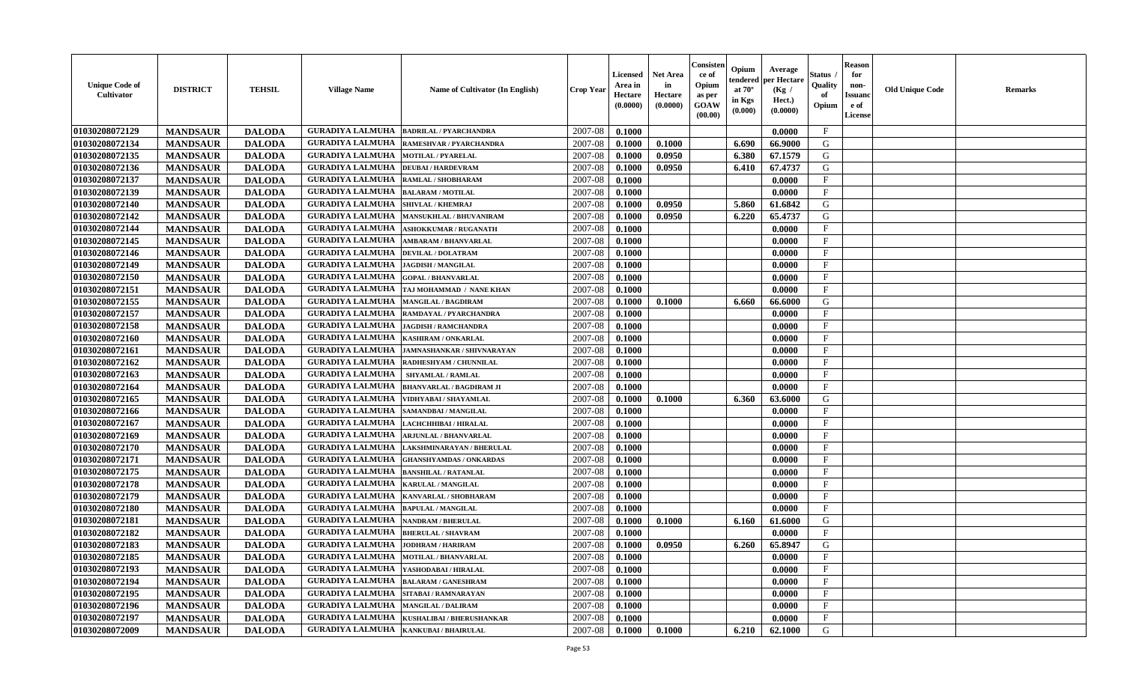| 01030208072129<br><b>GURADIYA LALMUHA</b><br>2007-08<br>$\mathbf{F}$<br>0.1000<br><b>MANDSAUR</b><br><b>DALODA</b><br><b>BADRILAL / PYARCHANDRA</b><br>0.0000<br>01030208072134<br>G<br><b>GURADIYA LALMUHA</b><br>2007-08<br><b>MANDSAUR</b><br><b>DALODA</b><br>RAMESHVAR / PYARCHANDRA<br>0.1000<br>0.1000<br>6.690<br>66.9000<br>01030208072135<br><b>GURADIYA LALMUHA</b><br>2007-08<br><b>MANDSAUR</b><br><b>DALODA</b><br><b>MOTILAL / PYARELAL</b><br>0.1000<br>0.0950<br>6.380<br>67.1579<br>G<br><b>GURADIYA LALMUHA</b><br>67.4737<br>G<br>01030208072136<br><b>MANDSAUR</b><br><b>DALODA</b><br>2007-08<br>0.0950<br>0.1000<br>6.410<br><b>DEUBAI/HARDEVRAM</b><br>$\mathbf{F}$<br><b>MANDSAUR</b><br><b>DALODA</b><br>01030208072137<br><b>GURADIYA LALMUHA</b><br>2007-08<br>0.1000<br>0.0000<br>RAMLAL / SHOBHARAM<br>01030208072139<br><b>MANDSAUR</b><br><b>DALODA</b><br>$\mathbf{F}$<br><b>GURADIYA LALMUHA</b><br>2007-08<br>0.1000<br>0.0000<br><b>BALARAM / MOTILAL</b><br>01030208072140<br><b>MANDSAUR</b><br><b>DALODA</b><br><b>GURADIYA LALMUHA</b><br>2007-08<br>0.1000<br>0.0950<br>5.860<br>61.6842<br>G<br>SHIVLAL / KHEMRAJ<br>01030208072142<br>2007-08<br>G<br><b>MANDSAUR</b><br><b>GURADIYA LALMUHA</b><br>6.220<br>65,4737<br><b>DALODA</b><br>0.1000<br>0.0950<br><b>MANSUKHLAL / BHUVANIRAM</b><br>$\mathbf{F}$<br>01030208072144<br><b>GURADIYA LALMUHA</b><br>2007-08<br><b>MANDSAUR</b><br><b>DALODA</b><br><b>ASHOKKUMAR / RUGANATH</b><br>0.1000<br>0.0000<br>01030208072145<br><b>GURADIYA LALMUHA</b><br>2007-08<br>$_{\rm F}$<br><b>MANDSAUR</b><br><b>DALODA</b><br>0.1000<br>0.0000<br><b>AMBARAM / BHANVARLAL</b><br><b>GURADIYA LALMUHA</b><br>01030208072146<br><b>MANDSAUR</b><br><b>DALODA</b><br>2007-08<br>0.1000<br>$\mathbf{F}$<br>0.0000<br><b>DEVILAL / DOLATRAM</b><br>01030208072149<br><b>MANDSAUR</b><br><b>GURADIYA LALMUHA</b><br>$\mathbf{F}$<br><b>DALODA</b><br>2007-08<br>0.1000<br>0.0000<br><b>JAGDISH / MANGILAL</b><br>01030208072150<br><b>MANDSAUR</b><br><b>DALODA</b><br><b>GURADIYA LALMUHA</b><br>2007-08<br>0.1000<br>$\mathbf{F}$<br><b>GOPAL / BHANVARLAL</b><br>0.0000<br>01030208072151<br><b>MANDSAUR</b><br><b>DALODA</b><br><b>GURADIYA LALMUHA</b><br>TAJ MOHAMMAD / NANE KHAN<br>2007-08<br>0.1000<br>0.0000<br>$\mathbf{F}$<br>G<br>01030208072155<br><b>MANDSAUR</b><br><b>DALODA</b><br><b>GURADIYA LALMUHA</b><br>2007-08<br>0.1000<br>0.1000<br>6.660<br><b>MANGILAL / BAGDIRAM</b><br>66.6000<br><b>MANDSAUR</b><br><b>DALODA</b><br>$\mathbf{F}$<br>01030208072157<br><b>GURADIYA LALMUHA</b><br>2007-08<br>0.1000<br>0.0000<br>RAMDAYAL / PYARCHANDRA<br>01030208072158<br>2007-08<br>$\mathbf{F}$<br><b>MANDSAUR</b><br><b>DALODA</b><br><b>GURADIYA LALMUHA</b><br>0.1000<br>0.0000<br><b>JAGDISH / RAMCHANDRA</b><br>01030208072160<br>$\mathbf{F}$<br><b>MANDSAUR</b><br><b>DALODA</b><br><b>GURADIYA LALMUHA</b><br>2007-08<br>0.1000<br>0.0000<br><b>KASHIRAM / ONKARLAL</b><br>01030208072161<br><b>MANDSAUR</b><br><b>DALODA</b><br><b>GURADIYA LALMUHA</b><br>$\mathbf{F}$<br>2007-08<br>0.1000<br>0.0000<br>JAMNASHANKAR / SHIVNARAYAN<br><b>GURADIYA LALMUHA</b><br>$_{\rm F}$<br>01030208072162<br><b>MANDSAUR</b><br><b>DALODA</b><br>RADHESHYAM / CHUNNILAL<br>2007-08<br>0.1000<br>0.0000<br>$\mathbf{F}$<br>01030208072163<br><b>MANDSAUR</b><br><b>DALODA</b><br><b>GURADIYA LALMUHA</b><br>2007-08<br>0.1000<br>0.0000<br>SHYAMLAL / RAMLAL<br>01030208072164<br><b>MANDSAUR</b><br><b>DALODA</b><br><b>GURADIYA LALMUHA</b><br>2007-08<br>$\mathbf{F}$<br>0.1000<br>0.0000<br><b>BHANVARLAL / BAGDIRAM JI</b><br>01030208072165<br><b>MANDSAUR</b><br><b>DALODA</b><br>G<br><b>GURADIYA LALMUHA</b><br>2007-08<br>0.1000<br>0.1000<br>6.360<br>63.6000<br>VIDHYABAI / SHAYAMLAL<br>01030208072166<br><b>MANDSAUR</b><br><b>DALODA</b><br><b>GURADIYA LALMUHA</b><br>2007-08<br>$_{\rm F}$<br>0.1000<br>0.0000<br>SAMANDBAI / MANGILAL<br>01030208072167<br><b>MANDSAUR</b><br><b>DALODA</b><br><b>GURADIYA LALMUHA</b><br>2007-08<br>$\mathbf{F}$<br>0.1000<br>0.0000<br>LACHCHHIBAI / HIRALAL<br>$\mathbf{F}$<br>01030208072169<br>2007-08<br><b>MANDSAUR</b><br><b>DALODA</b><br><b>GURADIYA LALMUHA</b><br>0.1000<br><b>ARJUNLAL / BHANVARLAL</b><br>0.0000<br>$\mathbf{F}$<br><b>GURADIYA LALMUHA</b><br>01030208072170<br><b>MANDSAUR</b><br><b>DALODA</b><br>2007-08<br>0.1000<br>0.0000<br>LAKSHMINARAYAN / BHERULAL<br>01030208072171<br><b>MANDSAUR</b><br><b>DALODA</b><br><b>GURADIYA LALMUHA</b><br>2007-08<br>$\mathbf{F}$<br>0.1000<br>0.0000<br><b>GHANSHYAMDAS / ONKARDAS</b><br>01030208072175<br><b>MANDSAUR</b><br><b>DALODA</b><br><b>GURADIYA LALMUHA</b><br>2007-08<br>$\mathbf{F}$<br>0.1000<br>0.0000<br><b>BANSHILAL / RATANLAL</b><br>01030208072178<br><b>MANDSAUR</b><br>$\mathbf{F}$<br><b>DALODA</b><br><b>GURADIYA LALMUHA</b><br>2007-08<br>0.1000<br>0.0000<br><b>KARULAL / MANGILAL</b><br>2007-08<br>01030208072179<br><b>MANDSAUR</b><br><b>DALODA</b><br><b>GURADIYA LALMUHA</b><br>0.1000<br>0.0000<br>$_{\rm F}$<br>KANVARLAL / SHOBHARAM<br>$\mathbf{F}$<br>01030208072180<br><b>GURADIYA LALMUHA</b><br>2007-08<br><b>MANDSAUR</b><br><b>DALODA</b><br>0.1000<br><b>BAPULAL / MANGILAL</b><br>0.0000<br>G<br>01030208072181<br><b>MANDSAUR</b><br><b>DALODA</b><br><b>GURADIYA LALMUHA</b><br>2007-08<br>0.1000<br>0.1000<br>6.160<br>61.6000<br><b>NANDRAM / BHERULAL</b><br>$\mathbf{F}$<br>01030208072182<br><b>GURADIYA LALMUHA</b><br>2007-08<br><b>MANDSAUR</b><br><b>DALODA</b><br>0.1000<br>0.0000<br><b>BHERULAL / SHAVRAM</b><br><b>GURADIYA LALMUHA</b><br>G<br>01030208072183<br><b>MANDSAUR</b><br><b>DALODA</b><br>2007-08<br>0.1000<br>0.0950<br>6.260<br>65.8947<br><b>JODHRAM / HARIRAM</b><br>GURADIYA LALMUHA   MOTILAL / BHANVARLAL<br><b>01030208072185</b><br><b>DALODA</b><br>$2007-08$ 0.1000<br>0.0000<br>F<br><b>MANDSAUR</b><br>$_{\rm F}$<br>01030208072193<br><b>MANDSAUR</b><br><b>GURADIYA LALMUHA YASHODABAI/HIRALAL</b><br>2007-08<br>0.0000<br><b>DALODA</b><br>0.1000<br>$\mathbf{F}$<br>01030208072194<br><b>MANDSAUR</b><br><b>DALODA</b><br><b>GURADIYA LALMUHA BALARAM / GANESHRAM</b><br>2007-08<br>0.1000<br>0.0000<br>01030208072195<br><b>MANDSAUR</b><br><b>GURADIYA LALMUHA  SITABAI/RAMNARAYAN</b><br>$\mathbf{F}$<br><b>DALODA</b><br>2007-08<br>0.1000<br>0.0000<br>01030208072196<br><b>GURADIYA LALMUHA MANGILAL / DALIRAM</b><br>2007-08<br>$\mathbf F$<br><b>MANDSAUR</b><br><b>DALODA</b><br>0.1000<br>0.0000<br>01030208072197<br>GURADIYA LALMUHA   KUSHALIBAI / BHERUSHANKAR<br>$\mathbf{F}$<br>2007-08<br><b>MANDSAUR</b><br><b>DALODA</b><br>0.1000<br>0.0000 | <b>Unique Code of</b><br><b>Cultivator</b> | <b>DISTRICT</b> | <b>TEHSIL</b> | <b>Village Name</b>     | <b>Name of Cultivator (In English)</b> | <b>Crop Year</b> | <b>Licensed</b><br>Area in<br>Hectare<br>(0.0000) | Net Area<br>in<br>Hectare<br>(0.0000) | Consisten<br>ce of<br>Opium<br>as per<br>GOAW<br>(00.00) | Opium<br>endered<br>at $70^\circ$<br>in Kgs<br>(0.000) | Average<br>per Hectare<br>(Kg /<br>Hect.)<br>(0.0000) | Status<br>Quality<br>of<br>Opium | <b>Reason</b><br>for<br>non-<br>Issuan<br>e of<br>License | <b>Old Unique Code</b> | Remarks |
|---------------------------------------------------------------------------------------------------------------------------------------------------------------------------------------------------------------------------------------------------------------------------------------------------------------------------------------------------------------------------------------------------------------------------------------------------------------------------------------------------------------------------------------------------------------------------------------------------------------------------------------------------------------------------------------------------------------------------------------------------------------------------------------------------------------------------------------------------------------------------------------------------------------------------------------------------------------------------------------------------------------------------------------------------------------------------------------------------------------------------------------------------------------------------------------------------------------------------------------------------------------------------------------------------------------------------------------------------------------------------------------------------------------------------------------------------------------------------------------------------------------------------------------------------------------------------------------------------------------------------------------------------------------------------------------------------------------------------------------------------------------------------------------------------------------------------------------------------------------------------------------------------------------------------------------------------------------------------------------------------------------------------------------------------------------------------------------------------------------------------------------------------------------------------------------------------------------------------------------------------------------------------------------------------------------------------------------------------------------------------------------------------------------------------------------------------------------------------------------------------------------------------------------------------------------------------------------------------------------------------------------------------------------------------------------------------------------------------------------------------------------------------------------------------------------------------------------------------------------------------------------------------------------------------------------------------------------------------------------------------------------------------------------------------------------------------------------------------------------------------------------------------------------------------------------------------------------------------------------------------------------------------------------------------------------------------------------------------------------------------------------------------------------------------------------------------------------------------------------------------------------------------------------------------------------------------------------------------------------------------------------------------------------------------------------------------------------------------------------------------------------------------------------------------------------------------------------------------------------------------------------------------------------------------------------------------------------------------------------------------------------------------------------------------------------------------------------------------------------------------------------------------------------------------------------------------------------------------------------------------------------------------------------------------------------------------------------------------------------------------------------------------------------------------------------------------------------------------------------------------------------------------------------------------------------------------------------------------------------------------------------------------------------------------------------------------------------------------------------------------------------------------------------------------------------------------------------------------------------------------------------------------------------------------------------------------------------------------------------------------------------------------------------------------------------------------------------------------------------------------------------------------------------------------------------------------------------------------------------------------------------------------------------------------------------------------------------------------------------------------------------------------------------------------------------------------------------------------------------------------------------------------------------------------------------------------------------------------------------------------------------------------------------------------------------------------------------------------------------------------------------------------------------------------------------------------------------------------------------------------------------------------------------------------------------------------------------------------------------------------------------------------------------------------------------------------------------------------------------------------------------------------------------------------------------------------------------------------------------------------------------------------------------------------------------------------------------------------------------------------------------------------------------------------------------------------------------------------------------------------------------------------------------------------------------------------------------------------------------------------------------------------------------------------------------|--------------------------------------------|-----------------|---------------|-------------------------|----------------------------------------|------------------|---------------------------------------------------|---------------------------------------|----------------------------------------------------------|--------------------------------------------------------|-------------------------------------------------------|----------------------------------|-----------------------------------------------------------|------------------------|---------|
|                                                                                                                                                                                                                                                                                                                                                                                                                                                                                                                                                                                                                                                                                                                                                                                                                                                                                                                                                                                                                                                                                                                                                                                                                                                                                                                                                                                                                                                                                                                                                                                                                                                                                                                                                                                                                                                                                                                                                                                                                                                                                                                                                                                                                                                                                                                                                                                                                                                                                                                                                                                                                                                                                                                                                                                                                                                                                                                                                                                                                                                                                                                                                                                                                                                                                                                                                                                                                                                                                                                                                                                                                                                                                                                                                                                                                                                                                                                                                                                                                                                                                                                                                                                                                                                                                                                                                                                                                                                                                                                                                                                                                                                                                                                                                                                                                                                                                                                                                                                                                                                                                                                                                                                                                                                                                                                                                                                                                                                                                                                                                                                                                                                                                                                                                                                                                                                                                                                                                                                                                                                                                                                                                                                                                                                                                                                                                                                                                                                                                                                                                                                                                                                                                       |                                            |                 |               |                         |                                        |                  |                                                   |                                       |                                                          |                                                        |                                                       |                                  |                                                           |                        |         |
|                                                                                                                                                                                                                                                                                                                                                                                                                                                                                                                                                                                                                                                                                                                                                                                                                                                                                                                                                                                                                                                                                                                                                                                                                                                                                                                                                                                                                                                                                                                                                                                                                                                                                                                                                                                                                                                                                                                                                                                                                                                                                                                                                                                                                                                                                                                                                                                                                                                                                                                                                                                                                                                                                                                                                                                                                                                                                                                                                                                                                                                                                                                                                                                                                                                                                                                                                                                                                                                                                                                                                                                                                                                                                                                                                                                                                                                                                                                                                                                                                                                                                                                                                                                                                                                                                                                                                                                                                                                                                                                                                                                                                                                                                                                                                                                                                                                                                                                                                                                                                                                                                                                                                                                                                                                                                                                                                                                                                                                                                                                                                                                                                                                                                                                                                                                                                                                                                                                                                                                                                                                                                                                                                                                                                                                                                                                                                                                                                                                                                                                                                                                                                                                                                       |                                            |                 |               |                         |                                        |                  |                                                   |                                       |                                                          |                                                        |                                                       |                                  |                                                           |                        |         |
|                                                                                                                                                                                                                                                                                                                                                                                                                                                                                                                                                                                                                                                                                                                                                                                                                                                                                                                                                                                                                                                                                                                                                                                                                                                                                                                                                                                                                                                                                                                                                                                                                                                                                                                                                                                                                                                                                                                                                                                                                                                                                                                                                                                                                                                                                                                                                                                                                                                                                                                                                                                                                                                                                                                                                                                                                                                                                                                                                                                                                                                                                                                                                                                                                                                                                                                                                                                                                                                                                                                                                                                                                                                                                                                                                                                                                                                                                                                                                                                                                                                                                                                                                                                                                                                                                                                                                                                                                                                                                                                                                                                                                                                                                                                                                                                                                                                                                                                                                                                                                                                                                                                                                                                                                                                                                                                                                                                                                                                                                                                                                                                                                                                                                                                                                                                                                                                                                                                                                                                                                                                                                                                                                                                                                                                                                                                                                                                                                                                                                                                                                                                                                                                                                       |                                            |                 |               |                         |                                        |                  |                                                   |                                       |                                                          |                                                        |                                                       |                                  |                                                           |                        |         |
|                                                                                                                                                                                                                                                                                                                                                                                                                                                                                                                                                                                                                                                                                                                                                                                                                                                                                                                                                                                                                                                                                                                                                                                                                                                                                                                                                                                                                                                                                                                                                                                                                                                                                                                                                                                                                                                                                                                                                                                                                                                                                                                                                                                                                                                                                                                                                                                                                                                                                                                                                                                                                                                                                                                                                                                                                                                                                                                                                                                                                                                                                                                                                                                                                                                                                                                                                                                                                                                                                                                                                                                                                                                                                                                                                                                                                                                                                                                                                                                                                                                                                                                                                                                                                                                                                                                                                                                                                                                                                                                                                                                                                                                                                                                                                                                                                                                                                                                                                                                                                                                                                                                                                                                                                                                                                                                                                                                                                                                                                                                                                                                                                                                                                                                                                                                                                                                                                                                                                                                                                                                                                                                                                                                                                                                                                                                                                                                                                                                                                                                                                                                                                                                                                       |                                            |                 |               |                         |                                        |                  |                                                   |                                       |                                                          |                                                        |                                                       |                                  |                                                           |                        |         |
|                                                                                                                                                                                                                                                                                                                                                                                                                                                                                                                                                                                                                                                                                                                                                                                                                                                                                                                                                                                                                                                                                                                                                                                                                                                                                                                                                                                                                                                                                                                                                                                                                                                                                                                                                                                                                                                                                                                                                                                                                                                                                                                                                                                                                                                                                                                                                                                                                                                                                                                                                                                                                                                                                                                                                                                                                                                                                                                                                                                                                                                                                                                                                                                                                                                                                                                                                                                                                                                                                                                                                                                                                                                                                                                                                                                                                                                                                                                                                                                                                                                                                                                                                                                                                                                                                                                                                                                                                                                                                                                                                                                                                                                                                                                                                                                                                                                                                                                                                                                                                                                                                                                                                                                                                                                                                                                                                                                                                                                                                                                                                                                                                                                                                                                                                                                                                                                                                                                                                                                                                                                                                                                                                                                                                                                                                                                                                                                                                                                                                                                                                                                                                                                                                       |                                            |                 |               |                         |                                        |                  |                                                   |                                       |                                                          |                                                        |                                                       |                                  |                                                           |                        |         |
|                                                                                                                                                                                                                                                                                                                                                                                                                                                                                                                                                                                                                                                                                                                                                                                                                                                                                                                                                                                                                                                                                                                                                                                                                                                                                                                                                                                                                                                                                                                                                                                                                                                                                                                                                                                                                                                                                                                                                                                                                                                                                                                                                                                                                                                                                                                                                                                                                                                                                                                                                                                                                                                                                                                                                                                                                                                                                                                                                                                                                                                                                                                                                                                                                                                                                                                                                                                                                                                                                                                                                                                                                                                                                                                                                                                                                                                                                                                                                                                                                                                                                                                                                                                                                                                                                                                                                                                                                                                                                                                                                                                                                                                                                                                                                                                                                                                                                                                                                                                                                                                                                                                                                                                                                                                                                                                                                                                                                                                                                                                                                                                                                                                                                                                                                                                                                                                                                                                                                                                                                                                                                                                                                                                                                                                                                                                                                                                                                                                                                                                                                                                                                                                                                       |                                            |                 |               |                         |                                        |                  |                                                   |                                       |                                                          |                                                        |                                                       |                                  |                                                           |                        |         |
|                                                                                                                                                                                                                                                                                                                                                                                                                                                                                                                                                                                                                                                                                                                                                                                                                                                                                                                                                                                                                                                                                                                                                                                                                                                                                                                                                                                                                                                                                                                                                                                                                                                                                                                                                                                                                                                                                                                                                                                                                                                                                                                                                                                                                                                                                                                                                                                                                                                                                                                                                                                                                                                                                                                                                                                                                                                                                                                                                                                                                                                                                                                                                                                                                                                                                                                                                                                                                                                                                                                                                                                                                                                                                                                                                                                                                                                                                                                                                                                                                                                                                                                                                                                                                                                                                                                                                                                                                                                                                                                                                                                                                                                                                                                                                                                                                                                                                                                                                                                                                                                                                                                                                                                                                                                                                                                                                                                                                                                                                                                                                                                                                                                                                                                                                                                                                                                                                                                                                                                                                                                                                                                                                                                                                                                                                                                                                                                                                                                                                                                                                                                                                                                                                       |                                            |                 |               |                         |                                        |                  |                                                   |                                       |                                                          |                                                        |                                                       |                                  |                                                           |                        |         |
|                                                                                                                                                                                                                                                                                                                                                                                                                                                                                                                                                                                                                                                                                                                                                                                                                                                                                                                                                                                                                                                                                                                                                                                                                                                                                                                                                                                                                                                                                                                                                                                                                                                                                                                                                                                                                                                                                                                                                                                                                                                                                                                                                                                                                                                                                                                                                                                                                                                                                                                                                                                                                                                                                                                                                                                                                                                                                                                                                                                                                                                                                                                                                                                                                                                                                                                                                                                                                                                                                                                                                                                                                                                                                                                                                                                                                                                                                                                                                                                                                                                                                                                                                                                                                                                                                                                                                                                                                                                                                                                                                                                                                                                                                                                                                                                                                                                                                                                                                                                                                                                                                                                                                                                                                                                                                                                                                                                                                                                                                                                                                                                                                                                                                                                                                                                                                                                                                                                                                                                                                                                                                                                                                                                                                                                                                                                                                                                                                                                                                                                                                                                                                                                                                       |                                            |                 |               |                         |                                        |                  |                                                   |                                       |                                                          |                                                        |                                                       |                                  |                                                           |                        |         |
|                                                                                                                                                                                                                                                                                                                                                                                                                                                                                                                                                                                                                                                                                                                                                                                                                                                                                                                                                                                                                                                                                                                                                                                                                                                                                                                                                                                                                                                                                                                                                                                                                                                                                                                                                                                                                                                                                                                                                                                                                                                                                                                                                                                                                                                                                                                                                                                                                                                                                                                                                                                                                                                                                                                                                                                                                                                                                                                                                                                                                                                                                                                                                                                                                                                                                                                                                                                                                                                                                                                                                                                                                                                                                                                                                                                                                                                                                                                                                                                                                                                                                                                                                                                                                                                                                                                                                                                                                                                                                                                                                                                                                                                                                                                                                                                                                                                                                                                                                                                                                                                                                                                                                                                                                                                                                                                                                                                                                                                                                                                                                                                                                                                                                                                                                                                                                                                                                                                                                                                                                                                                                                                                                                                                                                                                                                                                                                                                                                                                                                                                                                                                                                                                                       |                                            |                 |               |                         |                                        |                  |                                                   |                                       |                                                          |                                                        |                                                       |                                  |                                                           |                        |         |
|                                                                                                                                                                                                                                                                                                                                                                                                                                                                                                                                                                                                                                                                                                                                                                                                                                                                                                                                                                                                                                                                                                                                                                                                                                                                                                                                                                                                                                                                                                                                                                                                                                                                                                                                                                                                                                                                                                                                                                                                                                                                                                                                                                                                                                                                                                                                                                                                                                                                                                                                                                                                                                                                                                                                                                                                                                                                                                                                                                                                                                                                                                                                                                                                                                                                                                                                                                                                                                                                                                                                                                                                                                                                                                                                                                                                                                                                                                                                                                                                                                                                                                                                                                                                                                                                                                                                                                                                                                                                                                                                                                                                                                                                                                                                                                                                                                                                                                                                                                                                                                                                                                                                                                                                                                                                                                                                                                                                                                                                                                                                                                                                                                                                                                                                                                                                                                                                                                                                                                                                                                                                                                                                                                                                                                                                                                                                                                                                                                                                                                                                                                                                                                                                                       |                                            |                 |               |                         |                                        |                  |                                                   |                                       |                                                          |                                                        |                                                       |                                  |                                                           |                        |         |
|                                                                                                                                                                                                                                                                                                                                                                                                                                                                                                                                                                                                                                                                                                                                                                                                                                                                                                                                                                                                                                                                                                                                                                                                                                                                                                                                                                                                                                                                                                                                                                                                                                                                                                                                                                                                                                                                                                                                                                                                                                                                                                                                                                                                                                                                                                                                                                                                                                                                                                                                                                                                                                                                                                                                                                                                                                                                                                                                                                                                                                                                                                                                                                                                                                                                                                                                                                                                                                                                                                                                                                                                                                                                                                                                                                                                                                                                                                                                                                                                                                                                                                                                                                                                                                                                                                                                                                                                                                                                                                                                                                                                                                                                                                                                                                                                                                                                                                                                                                                                                                                                                                                                                                                                                                                                                                                                                                                                                                                                                                                                                                                                                                                                                                                                                                                                                                                                                                                                                                                                                                                                                                                                                                                                                                                                                                                                                                                                                                                                                                                                                                                                                                                                                       |                                            |                 |               |                         |                                        |                  |                                                   |                                       |                                                          |                                                        |                                                       |                                  |                                                           |                        |         |
|                                                                                                                                                                                                                                                                                                                                                                                                                                                                                                                                                                                                                                                                                                                                                                                                                                                                                                                                                                                                                                                                                                                                                                                                                                                                                                                                                                                                                                                                                                                                                                                                                                                                                                                                                                                                                                                                                                                                                                                                                                                                                                                                                                                                                                                                                                                                                                                                                                                                                                                                                                                                                                                                                                                                                                                                                                                                                                                                                                                                                                                                                                                                                                                                                                                                                                                                                                                                                                                                                                                                                                                                                                                                                                                                                                                                                                                                                                                                                                                                                                                                                                                                                                                                                                                                                                                                                                                                                                                                                                                                                                                                                                                                                                                                                                                                                                                                                                                                                                                                                                                                                                                                                                                                                                                                                                                                                                                                                                                                                                                                                                                                                                                                                                                                                                                                                                                                                                                                                                                                                                                                                                                                                                                                                                                                                                                                                                                                                                                                                                                                                                                                                                                                                       |                                            |                 |               |                         |                                        |                  |                                                   |                                       |                                                          |                                                        |                                                       |                                  |                                                           |                        |         |
|                                                                                                                                                                                                                                                                                                                                                                                                                                                                                                                                                                                                                                                                                                                                                                                                                                                                                                                                                                                                                                                                                                                                                                                                                                                                                                                                                                                                                                                                                                                                                                                                                                                                                                                                                                                                                                                                                                                                                                                                                                                                                                                                                                                                                                                                                                                                                                                                                                                                                                                                                                                                                                                                                                                                                                                                                                                                                                                                                                                                                                                                                                                                                                                                                                                                                                                                                                                                                                                                                                                                                                                                                                                                                                                                                                                                                                                                                                                                                                                                                                                                                                                                                                                                                                                                                                                                                                                                                                                                                                                                                                                                                                                                                                                                                                                                                                                                                                                                                                                                                                                                                                                                                                                                                                                                                                                                                                                                                                                                                                                                                                                                                                                                                                                                                                                                                                                                                                                                                                                                                                                                                                                                                                                                                                                                                                                                                                                                                                                                                                                                                                                                                                                                                       |                                            |                 |               |                         |                                        |                  |                                                   |                                       |                                                          |                                                        |                                                       |                                  |                                                           |                        |         |
|                                                                                                                                                                                                                                                                                                                                                                                                                                                                                                                                                                                                                                                                                                                                                                                                                                                                                                                                                                                                                                                                                                                                                                                                                                                                                                                                                                                                                                                                                                                                                                                                                                                                                                                                                                                                                                                                                                                                                                                                                                                                                                                                                                                                                                                                                                                                                                                                                                                                                                                                                                                                                                                                                                                                                                                                                                                                                                                                                                                                                                                                                                                                                                                                                                                                                                                                                                                                                                                                                                                                                                                                                                                                                                                                                                                                                                                                                                                                                                                                                                                                                                                                                                                                                                                                                                                                                                                                                                                                                                                                                                                                                                                                                                                                                                                                                                                                                                                                                                                                                                                                                                                                                                                                                                                                                                                                                                                                                                                                                                                                                                                                                                                                                                                                                                                                                                                                                                                                                                                                                                                                                                                                                                                                                                                                                                                                                                                                                                                                                                                                                                                                                                                                                       |                                            |                 |               |                         |                                        |                  |                                                   |                                       |                                                          |                                                        |                                                       |                                  |                                                           |                        |         |
|                                                                                                                                                                                                                                                                                                                                                                                                                                                                                                                                                                                                                                                                                                                                                                                                                                                                                                                                                                                                                                                                                                                                                                                                                                                                                                                                                                                                                                                                                                                                                                                                                                                                                                                                                                                                                                                                                                                                                                                                                                                                                                                                                                                                                                                                                                                                                                                                                                                                                                                                                                                                                                                                                                                                                                                                                                                                                                                                                                                                                                                                                                                                                                                                                                                                                                                                                                                                                                                                                                                                                                                                                                                                                                                                                                                                                                                                                                                                                                                                                                                                                                                                                                                                                                                                                                                                                                                                                                                                                                                                                                                                                                                                                                                                                                                                                                                                                                                                                                                                                                                                                                                                                                                                                                                                                                                                                                                                                                                                                                                                                                                                                                                                                                                                                                                                                                                                                                                                                                                                                                                                                                                                                                                                                                                                                                                                                                                                                                                                                                                                                                                                                                                                                       |                                            |                 |               |                         |                                        |                  |                                                   |                                       |                                                          |                                                        |                                                       |                                  |                                                           |                        |         |
|                                                                                                                                                                                                                                                                                                                                                                                                                                                                                                                                                                                                                                                                                                                                                                                                                                                                                                                                                                                                                                                                                                                                                                                                                                                                                                                                                                                                                                                                                                                                                                                                                                                                                                                                                                                                                                                                                                                                                                                                                                                                                                                                                                                                                                                                                                                                                                                                                                                                                                                                                                                                                                                                                                                                                                                                                                                                                                                                                                                                                                                                                                                                                                                                                                                                                                                                                                                                                                                                                                                                                                                                                                                                                                                                                                                                                                                                                                                                                                                                                                                                                                                                                                                                                                                                                                                                                                                                                                                                                                                                                                                                                                                                                                                                                                                                                                                                                                                                                                                                                                                                                                                                                                                                                                                                                                                                                                                                                                                                                                                                                                                                                                                                                                                                                                                                                                                                                                                                                                                                                                                                                                                                                                                                                                                                                                                                                                                                                                                                                                                                                                                                                                                                                       |                                            |                 |               |                         |                                        |                  |                                                   |                                       |                                                          |                                                        |                                                       |                                  |                                                           |                        |         |
|                                                                                                                                                                                                                                                                                                                                                                                                                                                                                                                                                                                                                                                                                                                                                                                                                                                                                                                                                                                                                                                                                                                                                                                                                                                                                                                                                                                                                                                                                                                                                                                                                                                                                                                                                                                                                                                                                                                                                                                                                                                                                                                                                                                                                                                                                                                                                                                                                                                                                                                                                                                                                                                                                                                                                                                                                                                                                                                                                                                                                                                                                                                                                                                                                                                                                                                                                                                                                                                                                                                                                                                                                                                                                                                                                                                                                                                                                                                                                                                                                                                                                                                                                                                                                                                                                                                                                                                                                                                                                                                                                                                                                                                                                                                                                                                                                                                                                                                                                                                                                                                                                                                                                                                                                                                                                                                                                                                                                                                                                                                                                                                                                                                                                                                                                                                                                                                                                                                                                                                                                                                                                                                                                                                                                                                                                                                                                                                                                                                                                                                                                                                                                                                                                       |                                            |                 |               |                         |                                        |                  |                                                   |                                       |                                                          |                                                        |                                                       |                                  |                                                           |                        |         |
|                                                                                                                                                                                                                                                                                                                                                                                                                                                                                                                                                                                                                                                                                                                                                                                                                                                                                                                                                                                                                                                                                                                                                                                                                                                                                                                                                                                                                                                                                                                                                                                                                                                                                                                                                                                                                                                                                                                                                                                                                                                                                                                                                                                                                                                                                                                                                                                                                                                                                                                                                                                                                                                                                                                                                                                                                                                                                                                                                                                                                                                                                                                                                                                                                                                                                                                                                                                                                                                                                                                                                                                                                                                                                                                                                                                                                                                                                                                                                                                                                                                                                                                                                                                                                                                                                                                                                                                                                                                                                                                                                                                                                                                                                                                                                                                                                                                                                                                                                                                                                                                                                                                                                                                                                                                                                                                                                                                                                                                                                                                                                                                                                                                                                                                                                                                                                                                                                                                                                                                                                                                                                                                                                                                                                                                                                                                                                                                                                                                                                                                                                                                                                                                                                       |                                            |                 |               |                         |                                        |                  |                                                   |                                       |                                                          |                                                        |                                                       |                                  |                                                           |                        |         |
|                                                                                                                                                                                                                                                                                                                                                                                                                                                                                                                                                                                                                                                                                                                                                                                                                                                                                                                                                                                                                                                                                                                                                                                                                                                                                                                                                                                                                                                                                                                                                                                                                                                                                                                                                                                                                                                                                                                                                                                                                                                                                                                                                                                                                                                                                                                                                                                                                                                                                                                                                                                                                                                                                                                                                                                                                                                                                                                                                                                                                                                                                                                                                                                                                                                                                                                                                                                                                                                                                                                                                                                                                                                                                                                                                                                                                                                                                                                                                                                                                                                                                                                                                                                                                                                                                                                                                                                                                                                                                                                                                                                                                                                                                                                                                                                                                                                                                                                                                                                                                                                                                                                                                                                                                                                                                                                                                                                                                                                                                                                                                                                                                                                                                                                                                                                                                                                                                                                                                                                                                                                                                                                                                                                                                                                                                                                                                                                                                                                                                                                                                                                                                                                                                       |                                            |                 |               |                         |                                        |                  |                                                   |                                       |                                                          |                                                        |                                                       |                                  |                                                           |                        |         |
|                                                                                                                                                                                                                                                                                                                                                                                                                                                                                                                                                                                                                                                                                                                                                                                                                                                                                                                                                                                                                                                                                                                                                                                                                                                                                                                                                                                                                                                                                                                                                                                                                                                                                                                                                                                                                                                                                                                                                                                                                                                                                                                                                                                                                                                                                                                                                                                                                                                                                                                                                                                                                                                                                                                                                                                                                                                                                                                                                                                                                                                                                                                                                                                                                                                                                                                                                                                                                                                                                                                                                                                                                                                                                                                                                                                                                                                                                                                                                                                                                                                                                                                                                                                                                                                                                                                                                                                                                                                                                                                                                                                                                                                                                                                                                                                                                                                                                                                                                                                                                                                                                                                                                                                                                                                                                                                                                                                                                                                                                                                                                                                                                                                                                                                                                                                                                                                                                                                                                                                                                                                                                                                                                                                                                                                                                                                                                                                                                                                                                                                                                                                                                                                                                       |                                            |                 |               |                         |                                        |                  |                                                   |                                       |                                                          |                                                        |                                                       |                                  |                                                           |                        |         |
|                                                                                                                                                                                                                                                                                                                                                                                                                                                                                                                                                                                                                                                                                                                                                                                                                                                                                                                                                                                                                                                                                                                                                                                                                                                                                                                                                                                                                                                                                                                                                                                                                                                                                                                                                                                                                                                                                                                                                                                                                                                                                                                                                                                                                                                                                                                                                                                                                                                                                                                                                                                                                                                                                                                                                                                                                                                                                                                                                                                                                                                                                                                                                                                                                                                                                                                                                                                                                                                                                                                                                                                                                                                                                                                                                                                                                                                                                                                                                                                                                                                                                                                                                                                                                                                                                                                                                                                                                                                                                                                                                                                                                                                                                                                                                                                                                                                                                                                                                                                                                                                                                                                                                                                                                                                                                                                                                                                                                                                                                                                                                                                                                                                                                                                                                                                                                                                                                                                                                                                                                                                                                                                                                                                                                                                                                                                                                                                                                                                                                                                                                                                                                                                                                       |                                            |                 |               |                         |                                        |                  |                                                   |                                       |                                                          |                                                        |                                                       |                                  |                                                           |                        |         |
|                                                                                                                                                                                                                                                                                                                                                                                                                                                                                                                                                                                                                                                                                                                                                                                                                                                                                                                                                                                                                                                                                                                                                                                                                                                                                                                                                                                                                                                                                                                                                                                                                                                                                                                                                                                                                                                                                                                                                                                                                                                                                                                                                                                                                                                                                                                                                                                                                                                                                                                                                                                                                                                                                                                                                                                                                                                                                                                                                                                                                                                                                                                                                                                                                                                                                                                                                                                                                                                                                                                                                                                                                                                                                                                                                                                                                                                                                                                                                                                                                                                                                                                                                                                                                                                                                                                                                                                                                                                                                                                                                                                                                                                                                                                                                                                                                                                                                                                                                                                                                                                                                                                                                                                                                                                                                                                                                                                                                                                                                                                                                                                                                                                                                                                                                                                                                                                                                                                                                                                                                                                                                                                                                                                                                                                                                                                                                                                                                                                                                                                                                                                                                                                                                       |                                            |                 |               |                         |                                        |                  |                                                   |                                       |                                                          |                                                        |                                                       |                                  |                                                           |                        |         |
|                                                                                                                                                                                                                                                                                                                                                                                                                                                                                                                                                                                                                                                                                                                                                                                                                                                                                                                                                                                                                                                                                                                                                                                                                                                                                                                                                                                                                                                                                                                                                                                                                                                                                                                                                                                                                                                                                                                                                                                                                                                                                                                                                                                                                                                                                                                                                                                                                                                                                                                                                                                                                                                                                                                                                                                                                                                                                                                                                                                                                                                                                                                                                                                                                                                                                                                                                                                                                                                                                                                                                                                                                                                                                                                                                                                                                                                                                                                                                                                                                                                                                                                                                                                                                                                                                                                                                                                                                                                                                                                                                                                                                                                                                                                                                                                                                                                                                                                                                                                                                                                                                                                                                                                                                                                                                                                                                                                                                                                                                                                                                                                                                                                                                                                                                                                                                                                                                                                                                                                                                                                                                                                                                                                                                                                                                                                                                                                                                                                                                                                                                                                                                                                                                       |                                            |                 |               |                         |                                        |                  |                                                   |                                       |                                                          |                                                        |                                                       |                                  |                                                           |                        |         |
|                                                                                                                                                                                                                                                                                                                                                                                                                                                                                                                                                                                                                                                                                                                                                                                                                                                                                                                                                                                                                                                                                                                                                                                                                                                                                                                                                                                                                                                                                                                                                                                                                                                                                                                                                                                                                                                                                                                                                                                                                                                                                                                                                                                                                                                                                                                                                                                                                                                                                                                                                                                                                                                                                                                                                                                                                                                                                                                                                                                                                                                                                                                                                                                                                                                                                                                                                                                                                                                                                                                                                                                                                                                                                                                                                                                                                                                                                                                                                                                                                                                                                                                                                                                                                                                                                                                                                                                                                                                                                                                                                                                                                                                                                                                                                                                                                                                                                                                                                                                                                                                                                                                                                                                                                                                                                                                                                                                                                                                                                                                                                                                                                                                                                                                                                                                                                                                                                                                                                                                                                                                                                                                                                                                                                                                                                                                                                                                                                                                                                                                                                                                                                                                                                       |                                            |                 |               |                         |                                        |                  |                                                   |                                       |                                                          |                                                        |                                                       |                                  |                                                           |                        |         |
|                                                                                                                                                                                                                                                                                                                                                                                                                                                                                                                                                                                                                                                                                                                                                                                                                                                                                                                                                                                                                                                                                                                                                                                                                                                                                                                                                                                                                                                                                                                                                                                                                                                                                                                                                                                                                                                                                                                                                                                                                                                                                                                                                                                                                                                                                                                                                                                                                                                                                                                                                                                                                                                                                                                                                                                                                                                                                                                                                                                                                                                                                                                                                                                                                                                                                                                                                                                                                                                                                                                                                                                                                                                                                                                                                                                                                                                                                                                                                                                                                                                                                                                                                                                                                                                                                                                                                                                                                                                                                                                                                                                                                                                                                                                                                                                                                                                                                                                                                                                                                                                                                                                                                                                                                                                                                                                                                                                                                                                                                                                                                                                                                                                                                                                                                                                                                                                                                                                                                                                                                                                                                                                                                                                                                                                                                                                                                                                                                                                                                                                                                                                                                                                                                       |                                            |                 |               |                         |                                        |                  |                                                   |                                       |                                                          |                                                        |                                                       |                                  |                                                           |                        |         |
|                                                                                                                                                                                                                                                                                                                                                                                                                                                                                                                                                                                                                                                                                                                                                                                                                                                                                                                                                                                                                                                                                                                                                                                                                                                                                                                                                                                                                                                                                                                                                                                                                                                                                                                                                                                                                                                                                                                                                                                                                                                                                                                                                                                                                                                                                                                                                                                                                                                                                                                                                                                                                                                                                                                                                                                                                                                                                                                                                                                                                                                                                                                                                                                                                                                                                                                                                                                                                                                                                                                                                                                                                                                                                                                                                                                                                                                                                                                                                                                                                                                                                                                                                                                                                                                                                                                                                                                                                                                                                                                                                                                                                                                                                                                                                                                                                                                                                                                                                                                                                                                                                                                                                                                                                                                                                                                                                                                                                                                                                                                                                                                                                                                                                                                                                                                                                                                                                                                                                                                                                                                                                                                                                                                                                                                                                                                                                                                                                                                                                                                                                                                                                                                                                       |                                            |                 |               |                         |                                        |                  |                                                   |                                       |                                                          |                                                        |                                                       |                                  |                                                           |                        |         |
|                                                                                                                                                                                                                                                                                                                                                                                                                                                                                                                                                                                                                                                                                                                                                                                                                                                                                                                                                                                                                                                                                                                                                                                                                                                                                                                                                                                                                                                                                                                                                                                                                                                                                                                                                                                                                                                                                                                                                                                                                                                                                                                                                                                                                                                                                                                                                                                                                                                                                                                                                                                                                                                                                                                                                                                                                                                                                                                                                                                                                                                                                                                                                                                                                                                                                                                                                                                                                                                                                                                                                                                                                                                                                                                                                                                                                                                                                                                                                                                                                                                                                                                                                                                                                                                                                                                                                                                                                                                                                                                                                                                                                                                                                                                                                                                                                                                                                                                                                                                                                                                                                                                                                                                                                                                                                                                                                                                                                                                                                                                                                                                                                                                                                                                                                                                                                                                                                                                                                                                                                                                                                                                                                                                                                                                                                                                                                                                                                                                                                                                                                                                                                                                                                       |                                            |                 |               |                         |                                        |                  |                                                   |                                       |                                                          |                                                        |                                                       |                                  |                                                           |                        |         |
|                                                                                                                                                                                                                                                                                                                                                                                                                                                                                                                                                                                                                                                                                                                                                                                                                                                                                                                                                                                                                                                                                                                                                                                                                                                                                                                                                                                                                                                                                                                                                                                                                                                                                                                                                                                                                                                                                                                                                                                                                                                                                                                                                                                                                                                                                                                                                                                                                                                                                                                                                                                                                                                                                                                                                                                                                                                                                                                                                                                                                                                                                                                                                                                                                                                                                                                                                                                                                                                                                                                                                                                                                                                                                                                                                                                                                                                                                                                                                                                                                                                                                                                                                                                                                                                                                                                                                                                                                                                                                                                                                                                                                                                                                                                                                                                                                                                                                                                                                                                                                                                                                                                                                                                                                                                                                                                                                                                                                                                                                                                                                                                                                                                                                                                                                                                                                                                                                                                                                                                                                                                                                                                                                                                                                                                                                                                                                                                                                                                                                                                                                                                                                                                                                       |                                            |                 |               |                         |                                        |                  |                                                   |                                       |                                                          |                                                        |                                                       |                                  |                                                           |                        |         |
|                                                                                                                                                                                                                                                                                                                                                                                                                                                                                                                                                                                                                                                                                                                                                                                                                                                                                                                                                                                                                                                                                                                                                                                                                                                                                                                                                                                                                                                                                                                                                                                                                                                                                                                                                                                                                                                                                                                                                                                                                                                                                                                                                                                                                                                                                                                                                                                                                                                                                                                                                                                                                                                                                                                                                                                                                                                                                                                                                                                                                                                                                                                                                                                                                                                                                                                                                                                                                                                                                                                                                                                                                                                                                                                                                                                                                                                                                                                                                                                                                                                                                                                                                                                                                                                                                                                                                                                                                                                                                                                                                                                                                                                                                                                                                                                                                                                                                                                                                                                                                                                                                                                                                                                                                                                                                                                                                                                                                                                                                                                                                                                                                                                                                                                                                                                                                                                                                                                                                                                                                                                                                                                                                                                                                                                                                                                                                                                                                                                                                                                                                                                                                                                                                       |                                            |                 |               |                         |                                        |                  |                                                   |                                       |                                                          |                                                        |                                                       |                                  |                                                           |                        |         |
|                                                                                                                                                                                                                                                                                                                                                                                                                                                                                                                                                                                                                                                                                                                                                                                                                                                                                                                                                                                                                                                                                                                                                                                                                                                                                                                                                                                                                                                                                                                                                                                                                                                                                                                                                                                                                                                                                                                                                                                                                                                                                                                                                                                                                                                                                                                                                                                                                                                                                                                                                                                                                                                                                                                                                                                                                                                                                                                                                                                                                                                                                                                                                                                                                                                                                                                                                                                                                                                                                                                                                                                                                                                                                                                                                                                                                                                                                                                                                                                                                                                                                                                                                                                                                                                                                                                                                                                                                                                                                                                                                                                                                                                                                                                                                                                                                                                                                                                                                                                                                                                                                                                                                                                                                                                                                                                                                                                                                                                                                                                                                                                                                                                                                                                                                                                                                                                                                                                                                                                                                                                                                                                                                                                                                                                                                                                                                                                                                                                                                                                                                                                                                                                                                       |                                            |                 |               |                         |                                        |                  |                                                   |                                       |                                                          |                                                        |                                                       |                                  |                                                           |                        |         |
|                                                                                                                                                                                                                                                                                                                                                                                                                                                                                                                                                                                                                                                                                                                                                                                                                                                                                                                                                                                                                                                                                                                                                                                                                                                                                                                                                                                                                                                                                                                                                                                                                                                                                                                                                                                                                                                                                                                                                                                                                                                                                                                                                                                                                                                                                                                                                                                                                                                                                                                                                                                                                                                                                                                                                                                                                                                                                                                                                                                                                                                                                                                                                                                                                                                                                                                                                                                                                                                                                                                                                                                                                                                                                                                                                                                                                                                                                                                                                                                                                                                                                                                                                                                                                                                                                                                                                                                                                                                                                                                                                                                                                                                                                                                                                                                                                                                                                                                                                                                                                                                                                                                                                                                                                                                                                                                                                                                                                                                                                                                                                                                                                                                                                                                                                                                                                                                                                                                                                                                                                                                                                                                                                                                                                                                                                                                                                                                                                                                                                                                                                                                                                                                                                       |                                            |                 |               |                         |                                        |                  |                                                   |                                       |                                                          |                                                        |                                                       |                                  |                                                           |                        |         |
|                                                                                                                                                                                                                                                                                                                                                                                                                                                                                                                                                                                                                                                                                                                                                                                                                                                                                                                                                                                                                                                                                                                                                                                                                                                                                                                                                                                                                                                                                                                                                                                                                                                                                                                                                                                                                                                                                                                                                                                                                                                                                                                                                                                                                                                                                                                                                                                                                                                                                                                                                                                                                                                                                                                                                                                                                                                                                                                                                                                                                                                                                                                                                                                                                                                                                                                                                                                                                                                                                                                                                                                                                                                                                                                                                                                                                                                                                                                                                                                                                                                                                                                                                                                                                                                                                                                                                                                                                                                                                                                                                                                                                                                                                                                                                                                                                                                                                                                                                                                                                                                                                                                                                                                                                                                                                                                                                                                                                                                                                                                                                                                                                                                                                                                                                                                                                                                                                                                                                                                                                                                                                                                                                                                                                                                                                                                                                                                                                                                                                                                                                                                                                                                                                       |                                            |                 |               |                         |                                        |                  |                                                   |                                       |                                                          |                                                        |                                                       |                                  |                                                           |                        |         |
|                                                                                                                                                                                                                                                                                                                                                                                                                                                                                                                                                                                                                                                                                                                                                                                                                                                                                                                                                                                                                                                                                                                                                                                                                                                                                                                                                                                                                                                                                                                                                                                                                                                                                                                                                                                                                                                                                                                                                                                                                                                                                                                                                                                                                                                                                                                                                                                                                                                                                                                                                                                                                                                                                                                                                                                                                                                                                                                                                                                                                                                                                                                                                                                                                                                                                                                                                                                                                                                                                                                                                                                                                                                                                                                                                                                                                                                                                                                                                                                                                                                                                                                                                                                                                                                                                                                                                                                                                                                                                                                                                                                                                                                                                                                                                                                                                                                                                                                                                                                                                                                                                                                                                                                                                                                                                                                                                                                                                                                                                                                                                                                                                                                                                                                                                                                                                                                                                                                                                                                                                                                                                                                                                                                                                                                                                                                                                                                                                                                                                                                                                                                                                                                                                       |                                            |                 |               |                         |                                        |                  |                                                   |                                       |                                                          |                                                        |                                                       |                                  |                                                           |                        |         |
|                                                                                                                                                                                                                                                                                                                                                                                                                                                                                                                                                                                                                                                                                                                                                                                                                                                                                                                                                                                                                                                                                                                                                                                                                                                                                                                                                                                                                                                                                                                                                                                                                                                                                                                                                                                                                                                                                                                                                                                                                                                                                                                                                                                                                                                                                                                                                                                                                                                                                                                                                                                                                                                                                                                                                                                                                                                                                                                                                                                                                                                                                                                                                                                                                                                                                                                                                                                                                                                                                                                                                                                                                                                                                                                                                                                                                                                                                                                                                                                                                                                                                                                                                                                                                                                                                                                                                                                                                                                                                                                                                                                                                                                                                                                                                                                                                                                                                                                                                                                                                                                                                                                                                                                                                                                                                                                                                                                                                                                                                                                                                                                                                                                                                                                                                                                                                                                                                                                                                                                                                                                                                                                                                                                                                                                                                                                                                                                                                                                                                                                                                                                                                                                                                       |                                            |                 |               |                         |                                        |                  |                                                   |                                       |                                                          |                                                        |                                                       |                                  |                                                           |                        |         |
|                                                                                                                                                                                                                                                                                                                                                                                                                                                                                                                                                                                                                                                                                                                                                                                                                                                                                                                                                                                                                                                                                                                                                                                                                                                                                                                                                                                                                                                                                                                                                                                                                                                                                                                                                                                                                                                                                                                                                                                                                                                                                                                                                                                                                                                                                                                                                                                                                                                                                                                                                                                                                                                                                                                                                                                                                                                                                                                                                                                                                                                                                                                                                                                                                                                                                                                                                                                                                                                                                                                                                                                                                                                                                                                                                                                                                                                                                                                                                                                                                                                                                                                                                                                                                                                                                                                                                                                                                                                                                                                                                                                                                                                                                                                                                                                                                                                                                                                                                                                                                                                                                                                                                                                                                                                                                                                                                                                                                                                                                                                                                                                                                                                                                                                                                                                                                                                                                                                                                                                                                                                                                                                                                                                                                                                                                                                                                                                                                                                                                                                                                                                                                                                                                       |                                            |                 |               |                         |                                        |                  |                                                   |                                       |                                                          |                                                        |                                                       |                                  |                                                           |                        |         |
|                                                                                                                                                                                                                                                                                                                                                                                                                                                                                                                                                                                                                                                                                                                                                                                                                                                                                                                                                                                                                                                                                                                                                                                                                                                                                                                                                                                                                                                                                                                                                                                                                                                                                                                                                                                                                                                                                                                                                                                                                                                                                                                                                                                                                                                                                                                                                                                                                                                                                                                                                                                                                                                                                                                                                                                                                                                                                                                                                                                                                                                                                                                                                                                                                                                                                                                                                                                                                                                                                                                                                                                                                                                                                                                                                                                                                                                                                                                                                                                                                                                                                                                                                                                                                                                                                                                                                                                                                                                                                                                                                                                                                                                                                                                                                                                                                                                                                                                                                                                                                                                                                                                                                                                                                                                                                                                                                                                                                                                                                                                                                                                                                                                                                                                                                                                                                                                                                                                                                                                                                                                                                                                                                                                                                                                                                                                                                                                                                                                                                                                                                                                                                                                                                       |                                            |                 |               |                         |                                        |                  |                                                   |                                       |                                                          |                                                        |                                                       |                                  |                                                           |                        |         |
|                                                                                                                                                                                                                                                                                                                                                                                                                                                                                                                                                                                                                                                                                                                                                                                                                                                                                                                                                                                                                                                                                                                                                                                                                                                                                                                                                                                                                                                                                                                                                                                                                                                                                                                                                                                                                                                                                                                                                                                                                                                                                                                                                                                                                                                                                                                                                                                                                                                                                                                                                                                                                                                                                                                                                                                                                                                                                                                                                                                                                                                                                                                                                                                                                                                                                                                                                                                                                                                                                                                                                                                                                                                                                                                                                                                                                                                                                                                                                                                                                                                                                                                                                                                                                                                                                                                                                                                                                                                                                                                                                                                                                                                                                                                                                                                                                                                                                                                                                                                                                                                                                                                                                                                                                                                                                                                                                                                                                                                                                                                                                                                                                                                                                                                                                                                                                                                                                                                                                                                                                                                                                                                                                                                                                                                                                                                                                                                                                                                                                                                                                                                                                                                                                       |                                            |                 |               |                         |                                        |                  |                                                   |                                       |                                                          |                                                        |                                                       |                                  |                                                           |                        |         |
|                                                                                                                                                                                                                                                                                                                                                                                                                                                                                                                                                                                                                                                                                                                                                                                                                                                                                                                                                                                                                                                                                                                                                                                                                                                                                                                                                                                                                                                                                                                                                                                                                                                                                                                                                                                                                                                                                                                                                                                                                                                                                                                                                                                                                                                                                                                                                                                                                                                                                                                                                                                                                                                                                                                                                                                                                                                                                                                                                                                                                                                                                                                                                                                                                                                                                                                                                                                                                                                                                                                                                                                                                                                                                                                                                                                                                                                                                                                                                                                                                                                                                                                                                                                                                                                                                                                                                                                                                                                                                                                                                                                                                                                                                                                                                                                                                                                                                                                                                                                                                                                                                                                                                                                                                                                                                                                                                                                                                                                                                                                                                                                                                                                                                                                                                                                                                                                                                                                                                                                                                                                                                                                                                                                                                                                                                                                                                                                                                                                                                                                                                                                                                                                                                       |                                            |                 |               |                         |                                        |                  |                                                   |                                       |                                                          |                                                        |                                                       |                                  |                                                           |                        |         |
|                                                                                                                                                                                                                                                                                                                                                                                                                                                                                                                                                                                                                                                                                                                                                                                                                                                                                                                                                                                                                                                                                                                                                                                                                                                                                                                                                                                                                                                                                                                                                                                                                                                                                                                                                                                                                                                                                                                                                                                                                                                                                                                                                                                                                                                                                                                                                                                                                                                                                                                                                                                                                                                                                                                                                                                                                                                                                                                                                                                                                                                                                                                                                                                                                                                                                                                                                                                                                                                                                                                                                                                                                                                                                                                                                                                                                                                                                                                                                                                                                                                                                                                                                                                                                                                                                                                                                                                                                                                                                                                                                                                                                                                                                                                                                                                                                                                                                                                                                                                                                                                                                                                                                                                                                                                                                                                                                                                                                                                                                                                                                                                                                                                                                                                                                                                                                                                                                                                                                                                                                                                                                                                                                                                                                                                                                                                                                                                                                                                                                                                                                                                                                                                                                       |                                            |                 |               |                         |                                        |                  |                                                   |                                       |                                                          |                                                        |                                                       |                                  |                                                           |                        |         |
|                                                                                                                                                                                                                                                                                                                                                                                                                                                                                                                                                                                                                                                                                                                                                                                                                                                                                                                                                                                                                                                                                                                                                                                                                                                                                                                                                                                                                                                                                                                                                                                                                                                                                                                                                                                                                                                                                                                                                                                                                                                                                                                                                                                                                                                                                                                                                                                                                                                                                                                                                                                                                                                                                                                                                                                                                                                                                                                                                                                                                                                                                                                                                                                                                                                                                                                                                                                                                                                                                                                                                                                                                                                                                                                                                                                                                                                                                                                                                                                                                                                                                                                                                                                                                                                                                                                                                                                                                                                                                                                                                                                                                                                                                                                                                                                                                                                                                                                                                                                                                                                                                                                                                                                                                                                                                                                                                                                                                                                                                                                                                                                                                                                                                                                                                                                                                                                                                                                                                                                                                                                                                                                                                                                                                                                                                                                                                                                                                                                                                                                                                                                                                                                                                       |                                            |                 |               |                         |                                        |                  |                                                   |                                       |                                                          |                                                        |                                                       |                                  |                                                           |                        |         |
|                                                                                                                                                                                                                                                                                                                                                                                                                                                                                                                                                                                                                                                                                                                                                                                                                                                                                                                                                                                                                                                                                                                                                                                                                                                                                                                                                                                                                                                                                                                                                                                                                                                                                                                                                                                                                                                                                                                                                                                                                                                                                                                                                                                                                                                                                                                                                                                                                                                                                                                                                                                                                                                                                                                                                                                                                                                                                                                                                                                                                                                                                                                                                                                                                                                                                                                                                                                                                                                                                                                                                                                                                                                                                                                                                                                                                                                                                                                                                                                                                                                                                                                                                                                                                                                                                                                                                                                                                                                                                                                                                                                                                                                                                                                                                                                                                                                                                                                                                                                                                                                                                                                                                                                                                                                                                                                                                                                                                                                                                                                                                                                                                                                                                                                                                                                                                                                                                                                                                                                                                                                                                                                                                                                                                                                                                                                                                                                                                                                                                                                                                                                                                                                                                       |                                            |                 |               |                         |                                        |                  |                                                   |                                       |                                                          |                                                        |                                                       |                                  |                                                           |                        |         |
|                                                                                                                                                                                                                                                                                                                                                                                                                                                                                                                                                                                                                                                                                                                                                                                                                                                                                                                                                                                                                                                                                                                                                                                                                                                                                                                                                                                                                                                                                                                                                                                                                                                                                                                                                                                                                                                                                                                                                                                                                                                                                                                                                                                                                                                                                                                                                                                                                                                                                                                                                                                                                                                                                                                                                                                                                                                                                                                                                                                                                                                                                                                                                                                                                                                                                                                                                                                                                                                                                                                                                                                                                                                                                                                                                                                                                                                                                                                                                                                                                                                                                                                                                                                                                                                                                                                                                                                                                                                                                                                                                                                                                                                                                                                                                                                                                                                                                                                                                                                                                                                                                                                                                                                                                                                                                                                                                                                                                                                                                                                                                                                                                                                                                                                                                                                                                                                                                                                                                                                                                                                                                                                                                                                                                                                                                                                                                                                                                                                                                                                                                                                                                                                                                       | 01030208072009                             | <b>MANDSAUR</b> | <b>DALODA</b> | <b>GURADIYA LALMUHA</b> | <b>KANKUBAI / BHAIRULAL</b>            | 2007-08          | $\boldsymbol{0.1000}$                             | 0.1000                                |                                                          | 6.210                                                  | 62.1000                                               | G                                |                                                           |                        |         |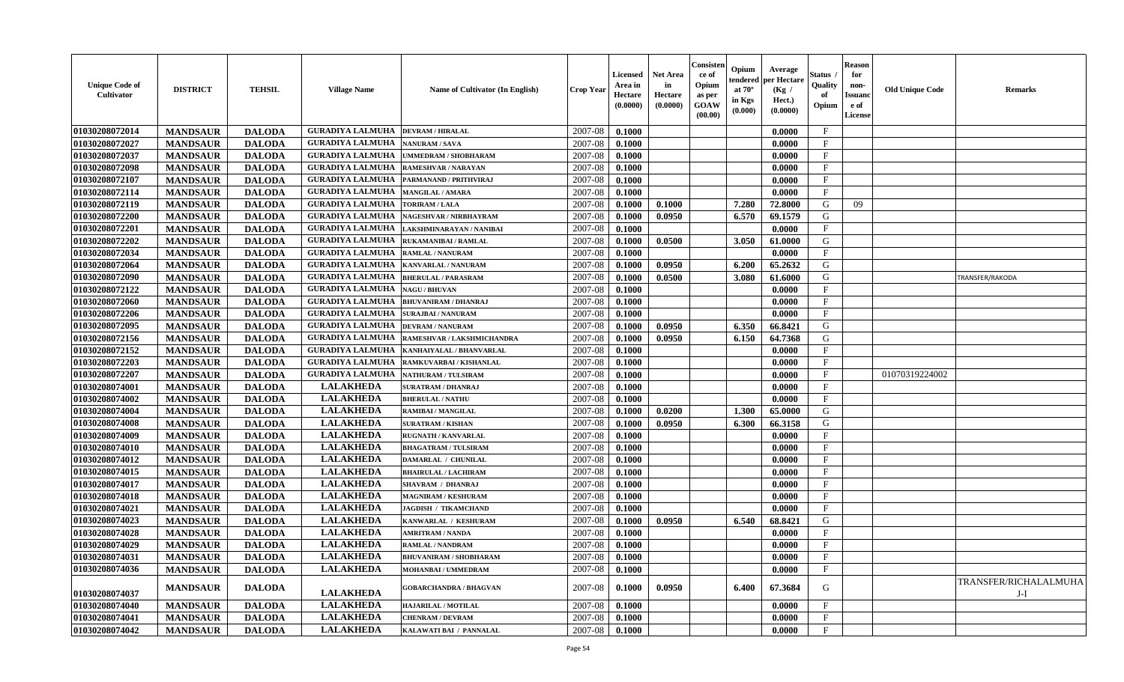| <b>Unique Code of</b><br><b>Cultivator</b> | <b>DISTRICT</b> | <b>TEHSIL</b> | <b>Village Name</b>     | <b>Name of Cultivator (In English)</b> | <b>Crop Year</b> | <b>Licensed</b><br>Area in<br>Hectare<br>(0.0000) | <b>Net Area</b><br>in<br>Hectare<br>(0.0000) | Consister<br>ce of<br>Opium<br>as per<br><b>GOAW</b><br>(00.00) | Opium<br>tendered<br>at $70^{\circ}$<br>in Kgs<br>(0.000) | Average<br>per Hectare<br>(Kg /<br>Hect.)<br>(0.0000) | Status<br>Quality<br>of<br>Opium | <b>Reason</b><br>for<br>non-<br><b>Issuand</b><br>e of<br>License | <b>Old Unique Code</b> | <b>Remarks</b>                 |
|--------------------------------------------|-----------------|---------------|-------------------------|----------------------------------------|------------------|---------------------------------------------------|----------------------------------------------|-----------------------------------------------------------------|-----------------------------------------------------------|-------------------------------------------------------|----------------------------------|-------------------------------------------------------------------|------------------------|--------------------------------|
| 01030208072014                             | <b>MANDSAUR</b> | <b>DALODA</b> | <b>GURADIYA LALMUHA</b> | <b>DEVRAM / HIRALAL</b>                | 2007-08          | 0.1000                                            |                                              |                                                                 |                                                           | 0.0000                                                | $\mathbf{F}$                     |                                                                   |                        |                                |
| 01030208072027                             | <b>MANDSAUR</b> | <b>DALODA</b> | <b>GURADIYA LALMUHA</b> | <b>NANURAM / SAVA</b>                  | 2007-08          | 0.1000                                            |                                              |                                                                 |                                                           | 0.0000                                                | $\mathbf F$                      |                                                                   |                        |                                |
| 01030208072037                             | <b>MANDSAUR</b> | <b>DALODA</b> | <b>GURADIYA LALMUHA</b> | UMMEDRAM / SHOBHARAM                   | 2007-08          | 0.1000                                            |                                              |                                                                 |                                                           | 0.0000                                                | $\mathbf{F}$                     |                                                                   |                        |                                |
| 01030208072098                             | <b>MANDSAUR</b> | <b>DALODA</b> | <b>GURADIYA LALMUHA</b> | RAMESHVAR / NARAYAN                    | 2007-08          | 0.1000                                            |                                              |                                                                 |                                                           | 0.0000                                                | $\mathbf{F}$                     |                                                                   |                        |                                |
| 01030208072107                             | <b>MANDSAUR</b> | <b>DALODA</b> | <b>GURADIYA LALMUHA</b> | PARMANAND / PRITHVIRAJ                 | 2007-08          | 0.1000                                            |                                              |                                                                 |                                                           | 0.0000                                                | $_{\rm F}$                       |                                                                   |                        |                                |
| 01030208072114                             | <b>MANDSAUR</b> | <b>DALODA</b> | <b>GURADIYA LALMUHA</b> | <b>MANGILAL / AMARA</b>                | 2007-08          | 0.1000                                            |                                              |                                                                 |                                                           | 0.0000                                                | $\mathbf{F}$                     |                                                                   |                        |                                |
| 01030208072119                             | <b>MANDSAUR</b> | <b>DALODA</b> | <b>GURADIYA LALMUHA</b> | <b>TORIRAM / LALA</b>                  | 2007-08          | 0.1000                                            | 0.1000                                       |                                                                 | 7.280                                                     | 72.8000                                               | G                                | 09                                                                |                        |                                |
| 01030208072200                             | <b>MANDSAUR</b> | <b>DALODA</b> | <b>GURADIYA LALMUHA</b> | NAGESHVAR / NIRBHAYRAM                 | 2007-08          | 0.1000                                            | 0.0950                                       |                                                                 | 6.570                                                     | 69.1579                                               | G                                |                                                                   |                        |                                |
| 01030208072201                             | <b>MANDSAUR</b> | <b>DALODA</b> | <b>GURADIYA LALMUHA</b> | LAKSHMINARAYAN / NANIBAI               | 2007-08          | 0.1000                                            |                                              |                                                                 |                                                           | 0.0000                                                | F                                |                                                                   |                        |                                |
| 01030208072202                             | <b>MANDSAUR</b> | <b>DALODA</b> | <b>GURADIYA LALMUHA</b> | RUKAMANIBAI / RAMLAL                   | 2007-08          | 0.1000                                            | 0.0500                                       |                                                                 | 3.050                                                     | 61.0000                                               | G                                |                                                                   |                        |                                |
| 01030208072034                             | <b>MANDSAUR</b> | <b>DALODA</b> | <b>GURADIYA LALMUHA</b> | <b>RAMLAL / NANURAM</b>                | 2007-08          | 0.1000                                            |                                              |                                                                 |                                                           | 0.0000                                                | $\mathbf{F}$                     |                                                                   |                        |                                |
| 01030208072064                             | <b>MANDSAUR</b> | <b>DALODA</b> | <b>GURADIYA LALMUHA</b> | <b>KANVARLAL / NANURAM</b>             | 2007-08          | 0.1000                                            | 0.0950                                       |                                                                 | 6.200                                                     | 65.2632                                               | G                                |                                                                   |                        |                                |
| 01030208072090                             | <b>MANDSAUR</b> | <b>DALODA</b> | <b>GURADIYA LALMUHA</b> | <b>BHERULAL / PARASRAM</b>             | 2007-08          | 0.1000                                            | 0.0500                                       |                                                                 | 3.080                                                     | 61.6000                                               | G                                |                                                                   |                        | TRANSFER/RAKODA                |
| 01030208072122                             | <b>MANDSAUR</b> | <b>DALODA</b> | <b>GURADIYA LALMUHA</b> | <b>NAGU / BHUVAN</b>                   | 2007-08          | 0.1000                                            |                                              |                                                                 |                                                           | 0.0000                                                | F                                |                                                                   |                        |                                |
| 01030208072060                             | <b>MANDSAUR</b> | <b>DALODA</b> | <b>GURADIYA LALMUHA</b> | <b>BHUVANIRAM / DHANRAJ</b>            | 2007-08          | 0.1000                                            |                                              |                                                                 |                                                           | 0.0000                                                | $\mathbf{F}$                     |                                                                   |                        |                                |
| 01030208072206                             | <b>MANDSAUR</b> | <b>DALODA</b> | <b>GURADIYA LALMUHA</b> | <b>SURAJBAI / NANURAM</b>              | 2007-08          | 0.1000                                            |                                              |                                                                 |                                                           | 0.0000                                                | $_{\rm F}$                       |                                                                   |                        |                                |
| 01030208072095                             | <b>MANDSAUR</b> | <b>DALODA</b> | <b>GURADIYA LALMUHA</b> | <b>DEVRAM / NANURAM</b>                | 2007-08          | 0.1000                                            | 0.0950                                       |                                                                 | 6.350                                                     | 66.8421                                               | G                                |                                                                   |                        |                                |
| 01030208072156                             | <b>MANDSAUR</b> | <b>DALODA</b> | <b>GURADIYA LALMUHA</b> | RAMESHVAR / LAKSHMICHANDRA             | 2007-08          | 0.1000                                            | 0.0950                                       |                                                                 | 6.150                                                     | 64.7368                                               | G                                |                                                                   |                        |                                |
| 01030208072152                             | <b>MANDSAUR</b> | <b>DALODA</b> | <b>GURADIYA LALMUHA</b> | KANHAIYALAL / BHANVARLAL               | 2007-08          | 0.1000                                            |                                              |                                                                 |                                                           | 0.0000                                                | F                                |                                                                   |                        |                                |
| 01030208072203                             | <b>MANDSAUR</b> | <b>DALODA</b> | <b>GURADIYA LALMUHA</b> | RAMKUVARBAI / KISHANLAL                | 2007-08          | 0.1000                                            |                                              |                                                                 |                                                           | 0.0000                                                | $\mathbf{F}$                     |                                                                   |                        |                                |
| 01030208072207                             | <b>MANDSAUR</b> | <b>DALODA</b> | <b>GURADIYA LALMUHA</b> | <b>NATHURAM / TULSIRAM</b>             | 2007-08          | 0.1000                                            |                                              |                                                                 |                                                           | 0.0000                                                | F                                |                                                                   | 01070319224002         |                                |
| 01030208074001                             | <b>MANDSAUR</b> | <b>DALODA</b> | <b>LALAKHEDA</b>        | SURATRAM / DHANRAJ                     | 2007-08          | 0.1000                                            |                                              |                                                                 |                                                           | 0.0000                                                | $\mathbf{F}$                     |                                                                   |                        |                                |
| 01030208074002                             | <b>MANDSAUR</b> | <b>DALODA</b> | <b>LALAKHEDA</b>        | <b>BHERULAL / NATHU</b>                | 2007-08          | 0.1000                                            |                                              |                                                                 |                                                           | 0.0000                                                | $_{\rm F}$                       |                                                                   |                        |                                |
| 01030208074004                             | <b>MANDSAUR</b> | <b>DALODA</b> | <b>LALAKHEDA</b>        | RAMIBAI / MANGILAL                     | 2007-08          | 0.1000                                            | 0.0200                                       |                                                                 | 1.300                                                     | 65.0000                                               | G                                |                                                                   |                        |                                |
| 01030208074008                             | <b>MANDSAUR</b> | <b>DALODA</b> | <b>LALAKHEDA</b>        | <b>SURATRAM / KISHAN</b>               | 2007-08          | 0.1000                                            | 0.0950                                       |                                                                 | 6.300                                                     | 66.3158                                               | G                                |                                                                   |                        |                                |
| 01030208074009                             | <b>MANDSAUR</b> | <b>DALODA</b> | <b>LALAKHEDA</b>        | <b>RUGNATH / KANVARLAL</b>             | 2007-08          | 0.1000                                            |                                              |                                                                 |                                                           | 0.0000                                                | $\mathbf{F}$                     |                                                                   |                        |                                |
| 01030208074010                             | <b>MANDSAUR</b> | <b>DALODA</b> | <b>LALAKHEDA</b>        | <b>BHAGATRAM / TULSIRAM</b>            | 2007-08          | 0.1000                                            |                                              |                                                                 |                                                           | 0.0000                                                | F                                |                                                                   |                        |                                |
| 01030208074012                             | <b>MANDSAUR</b> | <b>DALODA</b> | <b>LALAKHEDA</b>        | <b>DAMARLAL / CHUNILAL</b>             | 2007-08          | 0.1000                                            |                                              |                                                                 |                                                           | 0.0000                                                | $\mathbf F$                      |                                                                   |                        |                                |
| 01030208074015                             | <b>MANDSAUR</b> | <b>DALODA</b> | <b>LALAKHEDA</b>        | <b>BHAIRULAL / LACHIRAM</b>            | 2007-08          | 0.1000                                            |                                              |                                                                 |                                                           | 0.0000                                                | $\mathbf{F}$                     |                                                                   |                        |                                |
| 01030208074017                             | <b>MANDSAUR</b> | <b>DALODA</b> | <b>LALAKHEDA</b>        | <b>SHAVRAM / DHANRAJ</b>               | 2007-08          | 0.1000                                            |                                              |                                                                 |                                                           | 0.0000                                                | $_{\rm F}$                       |                                                                   |                        |                                |
| 01030208074018                             | <b>MANDSAUR</b> | <b>DALODA</b> | <b>LALAKHEDA</b>        | <b>MAGNIRAM / KESHURAM</b>             | 2007-08          | 0.1000                                            |                                              |                                                                 |                                                           | 0.0000                                                | $_{\rm F}$                       |                                                                   |                        |                                |
| 01030208074021                             | <b>MANDSAUR</b> | <b>DALODA</b> | <b>LALAKHEDA</b>        | <b>JAGDISH / TIKAMCHAND</b>            | 2007-08          | 0.1000                                            |                                              |                                                                 |                                                           | 0.0000                                                | $\mathbf F$                      |                                                                   |                        |                                |
| 01030208074023                             | <b>MANDSAUR</b> | <b>DALODA</b> | <b>LALAKHEDA</b>        | KANWARLAL / KESHURAM                   | 2007-08          | 0.1000                                            | 0.0950                                       |                                                                 | 6.540                                                     | 68.8421                                               | G                                |                                                                   |                        |                                |
| 01030208074028                             | <b>MANDSAUR</b> | <b>DALODA</b> | <b>LALAKHEDA</b>        | <b>AMRITRAM / NANDA</b>                | 2007-08          | 0.1000                                            |                                              |                                                                 |                                                           | 0.0000                                                | F                                |                                                                   |                        |                                |
| 01030208074029                             | <b>MANDSAUR</b> | <b>DALODA</b> | <b>LALAKHEDA</b>        | RAMLAL / NANDRAM                       | 2007-08          | 0.1000                                            |                                              |                                                                 |                                                           | 0.0000                                                | $\mathbf{F}$                     |                                                                   |                        |                                |
| 01030208074031                             | <b>MANDSAUR</b> | <b>DALODA</b> | <b>LALAKHEDA</b>        | <b>BHUVANIRAM / SHOBHARAM</b>          | $2007-08$ 0.1000 |                                                   |                                              |                                                                 |                                                           | 0.0000                                                | F                                |                                                                   |                        |                                |
| 01030208074036                             | <b>MANDSAUR</b> | <b>DALODA</b> | <b>LALAKHEDA</b>        | MOHANBAI / UMMEDRAM                    | 2007-08          | 0.1000                                            |                                              |                                                                 |                                                           | 0.0000                                                | $\mathbf{F}$                     |                                                                   |                        |                                |
| 01030208074037                             | <b>MANDSAUR</b> | <b>DALODA</b> | <b>LALAKHEDA</b>        | <b>GOBARCHANDRA / BHAGVAN</b>          | 2007-08          | 0.1000                                            | 0.0950                                       |                                                                 | 6.400                                                     | 67.3684                                               | G                                |                                                                   |                        | TRANSFER/RICHALALMUHA<br>$J-I$ |
| 01030208074040                             | <b>MANDSAUR</b> | <b>DALODA</b> | <b>LALAKHEDA</b>        | HAJARILAL / MOTILAL                    | 2007-08          | 0.1000                                            |                                              |                                                                 |                                                           | 0.0000                                                | $\mathbf{F}$                     |                                                                   |                        |                                |
| 01030208074041                             | <b>MANDSAUR</b> | <b>DALODA</b> | <b>LALAKHEDA</b>        | <b>CHENRAM / DEVRAM</b>                | 2007-08          | 0.1000                                            |                                              |                                                                 |                                                           | 0.0000                                                | $\mathbf{F}$                     |                                                                   |                        |                                |
| 01030208074042                             | <b>MANDSAUR</b> | <b>DALODA</b> | <b>LALAKHEDA</b>        | KALAWATI BAI / PANNALAL                | $2007 - 08$      | 0.1000                                            |                                              |                                                                 |                                                           | 0.0000                                                | $\mathbf{F}$                     |                                                                   |                        |                                |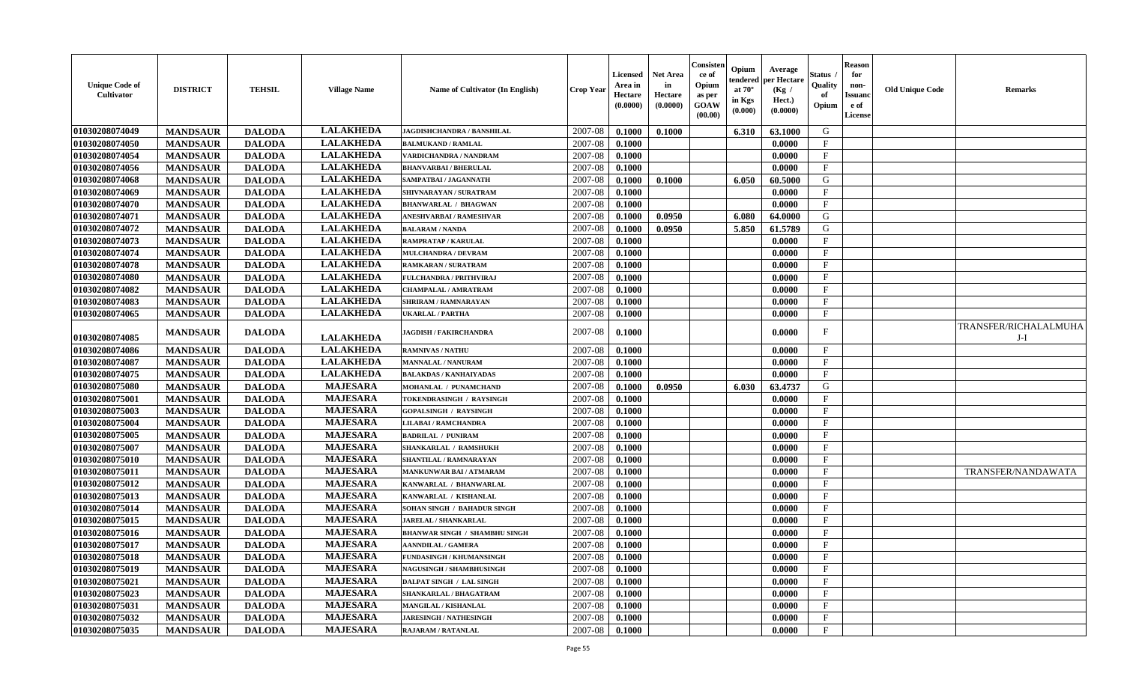| <b>Unique Code of</b><br>Cultivator | <b>DISTRICT</b> | <b>TEHSIL</b> | <b>Village Name</b> | <b>Name of Cultivator (In English)</b> | <b>Crop Year</b> | <b>Licensed</b><br>Area in<br>Hectare<br>(0.0000) | <b>Net Area</b><br>in<br>Hectare<br>(0.0000) | Consisteı<br>ce of<br>Opium<br>as per<br>GOAW<br>(00.00) | Opium<br>endered<br>at $70^\circ$<br>in Kgs<br>(0.000) | Average<br>per Hectare<br>(Kg /<br>Hect.)<br>(0.0000) | Status<br>Quality<br>of<br>Opium | <b>Reason</b><br>for<br>non-<br>Issuan<br>e of<br>License | <b>Old Unique Code</b> | <b>Remarks</b>               |
|-------------------------------------|-----------------|---------------|---------------------|----------------------------------------|------------------|---------------------------------------------------|----------------------------------------------|----------------------------------------------------------|--------------------------------------------------------|-------------------------------------------------------|----------------------------------|-----------------------------------------------------------|------------------------|------------------------------|
| 01030208074049                      | <b>MANDSAUR</b> | <b>DALODA</b> | <b>LALAKHEDA</b>    | <b>JAGDISHCHANDRA / BANSHILAL</b>      | 2007-08          | 0.1000                                            | 0.1000                                       |                                                          | 6.310                                                  | 63.1000                                               | G                                |                                                           |                        |                              |
| 01030208074050                      | <b>MANDSAUR</b> | <b>DALODA</b> | <b>LALAKHEDA</b>    | <b>BALMUKAND / RAMLAL</b>              | 2007-08          | 0.1000                                            |                                              |                                                          |                                                        | 0.0000                                                | $_{\rm F}$                       |                                                           |                        |                              |
| 01030208074054                      | <b>MANDSAUR</b> | <b>DALODA</b> | <b>LALAKHEDA</b>    | VARDICHANDRA / NANDRAM                 | 2007-08          | 0.1000                                            |                                              |                                                          |                                                        | 0.0000                                                | $\mathbf{F}$                     |                                                           |                        |                              |
| 01030208074056                      | <b>MANDSAUR</b> | <b>DALODA</b> | <b>LALAKHEDA</b>    | <b>BHANVARBAI / BHERULAL</b>           | 2007-08          | 0.1000                                            |                                              |                                                          |                                                        | 0.0000                                                | $\mathbf{F}$                     |                                                           |                        |                              |
| 01030208074068                      | <b>MANDSAUR</b> | <b>DALODA</b> | <b>LALAKHEDA</b>    | SAMPATBAI / JAGANNATH                  | 2007-08          | 0.1000                                            | 0.1000                                       |                                                          | 6.050                                                  | 60.5000                                               | G                                |                                                           |                        |                              |
| 01030208074069                      | <b>MANDSAUR</b> | <b>DALODA</b> | <b>LALAKHEDA</b>    | SHIVNARAYAN / SURATRAM                 | 2007-08          | 0.1000                                            |                                              |                                                          |                                                        | 0.0000                                                | $\mathbf{F}$                     |                                                           |                        |                              |
| 01030208074070                      | <b>MANDSAUR</b> | <b>DALODA</b> | <b>LALAKHEDA</b>    | <b>BHANWARLAL / BHAGWAN</b>            | 2007-08          | 0.1000                                            |                                              |                                                          |                                                        | 0.0000                                                | $\mathbf F$                      |                                                           |                        |                              |
| 01030208074071                      | <b>MANDSAUR</b> | <b>DALODA</b> | <b>LALAKHEDA</b>    | ANESHVARBAI / RAMESHVAR                | 2007-08          | 0.1000                                            | 0.0950                                       |                                                          | 6.080                                                  | 64.0000                                               | G                                |                                                           |                        |                              |
| 01030208074072                      | <b>MANDSAUR</b> | <b>DALODA</b> | <b>LALAKHEDA</b>    | <b>BALARAM / NANDA</b>                 | 2007-08          | 0.1000                                            | 0.0950                                       |                                                          | 5.850                                                  | 61.5789                                               | G                                |                                                           |                        |                              |
| 01030208074073                      | <b>MANDSAUR</b> | <b>DALODA</b> | <b>LALAKHEDA</b>    | RAMPRATAP / KARULAL                    | 2007-08          | 0.1000                                            |                                              |                                                          |                                                        | 0.0000                                                | $\mathbf F$                      |                                                           |                        |                              |
| 01030208074074                      | <b>MANDSAUR</b> | <b>DALODA</b> | <b>LALAKHEDA</b>    | <b>MULCHANDRA / DEVRAM</b>             | 2007-08          | 0.1000                                            |                                              |                                                          |                                                        | 0.0000                                                | $\mathbf{F}$                     |                                                           |                        |                              |
| 01030208074078                      | <b>MANDSAUR</b> | <b>DALODA</b> | <b>LALAKHEDA</b>    | RAMKARAN / SURATRAM                    | 2007-08          | 0.1000                                            |                                              |                                                          |                                                        | 0.0000                                                | F                                |                                                           |                        |                              |
| 01030208074080                      | <b>MANDSAUR</b> | <b>DALODA</b> | <b>LALAKHEDA</b>    | <b>FULCHANDRA / PRITHVIRAJ</b>         | 2007-08          | 0.1000                                            |                                              |                                                          |                                                        | 0.0000                                                | $\mathbf{F}$                     |                                                           |                        |                              |
| 01030208074082                      | <b>MANDSAUR</b> | <b>DALODA</b> | <b>LALAKHEDA</b>    | <b>CHAMPALAL / AMRATRAM</b>            | 2007-08          | 0.1000                                            |                                              |                                                          |                                                        | 0.0000                                                | $\mathbf{F}$                     |                                                           |                        |                              |
| 01030208074083                      | <b>MANDSAUR</b> | <b>DALODA</b> | <b>LALAKHEDA</b>    | <b>SHRIRAM / RAMNARAYAN</b>            | 2007-08          | 0.1000                                            |                                              |                                                          |                                                        | 0.0000                                                | $\mathbf{F}$                     |                                                           |                        |                              |
| 01030208074065                      | <b>MANDSAUR</b> | <b>DALODA</b> | <b>LALAKHEDA</b>    | UKARLAL / PARTHA                       | 2007-08          | 0.1000                                            |                                              |                                                          |                                                        | 0.0000                                                | $_{\rm F}$                       |                                                           |                        |                              |
| 01030208074085                      | <b>MANDSAUR</b> | <b>DALODA</b> | <b>LALAKHEDA</b>    | <b>JAGDISH / FAKIRCHANDRA</b>          | 2007-08          | 0.1000                                            |                                              |                                                          |                                                        | 0.0000                                                | F                                |                                                           |                        | TRANSFER/RICHALALMUHA<br>J-I |
| 01030208074086                      | <b>MANDSAUR</b> | <b>DALODA</b> | <b>LALAKHEDA</b>    | <b>RAMNIVAS / NATHU</b>                | 2007-08          | 0.1000                                            |                                              |                                                          |                                                        | 0.0000                                                | $\mathbf{F}$                     |                                                           |                        |                              |
| 01030208074087                      | <b>MANDSAUR</b> | <b>DALODA</b> | <b>LALAKHEDA</b>    | <b>MANNALAL / NANURAM</b>              | 2007-08          | 0.1000                                            |                                              |                                                          |                                                        | 0.0000                                                | $_{\rm F}$                       |                                                           |                        |                              |
| 01030208074075                      | <b>MANDSAUR</b> | <b>DALODA</b> | <b>LALAKHEDA</b>    | <b>BALAKDAS / KANHAIYADAS</b>          | 2007-08          | 0.1000                                            |                                              |                                                          |                                                        | 0.0000                                                | $\mathbf{F}$                     |                                                           |                        |                              |
| 01030208075080                      | <b>MANDSAUR</b> | <b>DALODA</b> | <b>MAJESARA</b>     | MOHANLAL / PUNAMCHAND                  | 2007-08          | 0.1000                                            | 0.0950                                       |                                                          | 6.030                                                  | 63.4737                                               | G                                |                                                           |                        |                              |
| 01030208075001                      | <b>MANDSAUR</b> | <b>DALODA</b> | <b>MAJESARA</b>     | TOKENDRASINGH / RAYSINGH               | 2007-08          | 0.1000                                            |                                              |                                                          |                                                        | 0.0000                                                | F                                |                                                           |                        |                              |
| 01030208075003                      | <b>MANDSAUR</b> | <b>DALODA</b> | <b>MAJESARA</b>     | <b>GOPALSINGH / RAYSINGH</b>           | 2007-08          | 0.1000                                            |                                              |                                                          |                                                        | 0.0000                                                | $\mathbf{F}$                     |                                                           |                        |                              |
| 01030208075004                      | <b>MANDSAUR</b> | <b>DALODA</b> | <b>MAJESARA</b>     | LILABAI / RAMCHANDRA                   | 2007-08          | 0.1000                                            |                                              |                                                          |                                                        | 0.0000                                                | $\mathbf{F}$                     |                                                           |                        |                              |
| 01030208075005                      | <b>MANDSAUR</b> | <b>DALODA</b> | <b>MAJESARA</b>     | <b>BADRILAL / PUNIRAM</b>              | 2007-08          | 0.1000                                            |                                              |                                                          |                                                        | 0.0000                                                | $_{\rm F}$                       |                                                           |                        |                              |
| 01030208075007                      | <b>MANDSAUR</b> | <b>DALODA</b> | <b>MAJESARA</b>     | SHANKARLAL / RAMSHUKH                  | 2007-08          | 0.1000                                            |                                              |                                                          |                                                        | 0.0000                                                | $\mathbf{F}$                     |                                                           |                        |                              |
| 01030208075010                      | <b>MANDSAUR</b> | <b>DALODA</b> | <b>MAJESARA</b>     | SHANTILAL / RAMNARAYAN                 | 2007-08          | 0.1000                                            |                                              |                                                          |                                                        | 0.0000                                                | $\mathbf{F}$                     |                                                           |                        |                              |
| 01030208075011                      | <b>MANDSAUR</b> | <b>DALODA</b> | <b>MAJESARA</b>     | <b>MANKUNWAR BAI/ATMARAM</b>           | 2007-08          | 0.1000                                            |                                              |                                                          |                                                        | 0.0000                                                | $\mathbf{F}$                     |                                                           |                        | TRANSFER/NANDAWATA           |
| 01030208075012                      | <b>MANDSAUR</b> | <b>DALODA</b> | <b>MAJESARA</b>     | KANWARLAL / BHANWARLAL                 | 2007-08          | 0.1000                                            |                                              |                                                          |                                                        | 0.0000                                                | F                                |                                                           |                        |                              |
| 01030208075013                      | <b>MANDSAUR</b> | <b>DALODA</b> | <b>MAJESARA</b>     | KANWARLAL / KISHANLAL                  | 2007-08          | 0.1000                                            |                                              |                                                          |                                                        | 0.0000                                                | $_{\rm F}$                       |                                                           |                        |                              |
| 01030208075014                      | <b>MANDSAUR</b> | <b>DALODA</b> | <b>MAJESARA</b>     | SOHAN SINGH / BAHADUR SINGH            | 2007-08          | 0.1000                                            |                                              |                                                          |                                                        | 0.0000                                                | $\mathbf{F}$                     |                                                           |                        |                              |
| 01030208075015                      | <b>MANDSAUR</b> | <b>DALODA</b> | <b>MAJESARA</b>     | JARELAL / SHANKARLAL                   | 2007-08          | 0.1000                                            |                                              |                                                          |                                                        | 0.0000                                                | $\mathbf{F}$                     |                                                           |                        |                              |
| 01030208075016                      | <b>MANDSAUR</b> | <b>DALODA</b> | <b>MAJESARA</b>     | <b>BHANWAR SINGH / SHAMBHU SINGH</b>   | 2007-08          | 0.1000                                            |                                              |                                                          |                                                        | 0.0000                                                | $_{\rm F}$                       |                                                           |                        |                              |
| 01030208075017                      | <b>MANDSAUR</b> | <b>DALODA</b> | <b>MAJESARA</b>     | <b>AANNDILAL / GAMERA</b>              | 2007-08          | 0.1000                                            |                                              |                                                          |                                                        | 0.0000                                                | $\mathbf F$                      |                                                           |                        |                              |
| 01030208075018                      | <b>MANDSAUR</b> | <b>DALODA</b> | MAJESARA            | FUNDASINGH / KHUMANSINGH               | $2007-08$ 0.1000 |                                                   |                                              |                                                          |                                                        | 0.0000                                                | F                                |                                                           |                        |                              |
| 01030208075019                      | <b>MANDSAUR</b> | <b>DALODA</b> | <b>MAJESARA</b>     | <b>NAGUSINGH / SHAMBHUSINGH</b>        | 2007-08          | 0.1000                                            |                                              |                                                          |                                                        | 0.0000                                                | $_{\rm F}$                       |                                                           |                        |                              |
| 01030208075021                      | <b>MANDSAUR</b> | <b>DALODA</b> | <b>MAJESARA</b>     | DALPAT SINGH / LAL SINGH               | 2007-08          | 0.1000                                            |                                              |                                                          |                                                        | 0.0000                                                | F                                |                                                           |                        |                              |
| 01030208075023                      | <b>MANDSAUR</b> | <b>DALODA</b> | <b>MAJESARA</b>     | SHANKARLAL / BHAGATRAM                 | 2007-08          | 0.1000                                            |                                              |                                                          |                                                        | 0.0000                                                | $\mathbf{F}$                     |                                                           |                        |                              |
| 01030208075031                      | <b>MANDSAUR</b> | <b>DALODA</b> | <b>MAJESARA</b>     | <b>MANGILAL / KISHANLAL</b>            | 2007-08          | 0.1000                                            |                                              |                                                          |                                                        | 0.0000                                                | $\mathbf{F}$                     |                                                           |                        |                              |
| 01030208075032                      | <b>MANDSAUR</b> | <b>DALODA</b> | <b>MAJESARA</b>     | <b>JARESINGH / NATHESINGH</b>          | 2007-08          | 0.1000                                            |                                              |                                                          |                                                        | 0.0000                                                | $\mathbf{F}$                     |                                                           |                        |                              |
| 01030208075035                      | <b>MANDSAUR</b> | <b>DALODA</b> | <b>MAJESARA</b>     | RAJARAM / RATANLAL                     | 2007-08          | 0.1000                                            |                                              |                                                          |                                                        | 0.0000                                                | $\mathbf F$                      |                                                           |                        |                              |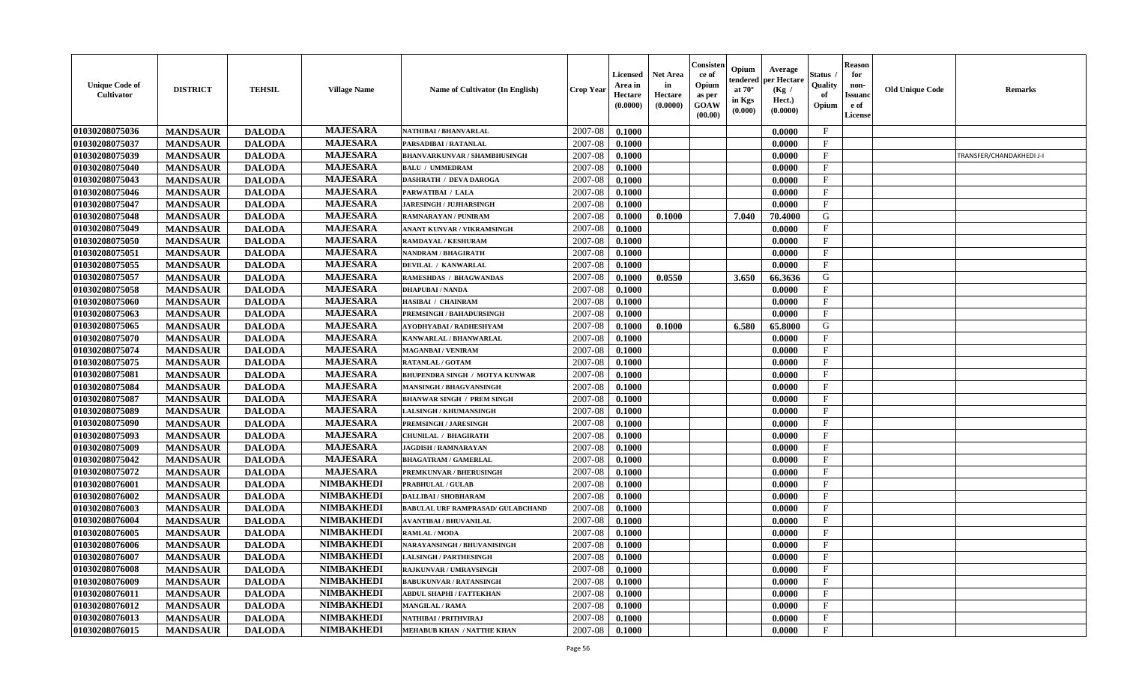| <b>Unique Code of</b><br><b>Cultivator</b> | <b>DISTRICT</b> | <b>TEHSIL</b> | <b>Village Name</b> | Name of Cultivator (In English)          | <b>Crop Year</b> | <b>Licensed</b><br>Area in<br>Hectare<br>(0.0000) | <b>Net Area</b><br>in<br>Hectare<br>(0.0000) | Consisteı<br>ce of<br>Opium<br>as per<br><b>GOAW</b><br>(00.00) | Opium<br>Average<br>per Hectare<br>endered<br>at $70^\circ$<br>(Kg /<br>in Kgs<br>Hect.)<br>(0.000)<br>(0.0000) | Status<br>Quality<br>of<br>Opium | <b>Reason</b><br>for<br>non-<br>Issuan<br>e of<br>License | <b>Old Unique Code</b> | <b>Remarks</b>           |
|--------------------------------------------|-----------------|---------------|---------------------|------------------------------------------|------------------|---------------------------------------------------|----------------------------------------------|-----------------------------------------------------------------|-----------------------------------------------------------------------------------------------------------------|----------------------------------|-----------------------------------------------------------|------------------------|--------------------------|
| 01030208075036                             | <b>MANDSAUR</b> | <b>DALODA</b> | <b>MAJESARA</b>     | NATHIBAI / BHANVARLAL                    | 2007-08          | 0.1000                                            |                                              |                                                                 | 0.0000                                                                                                          | $\mathbf{F}$                     |                                                           |                        |                          |
| 01030208075037                             | <b>MANDSAUR</b> | <b>DALODA</b> | <b>MAJESARA</b>     | PARSADIBAI / RATANLAL                    | 2007-08          | 0.1000                                            |                                              |                                                                 | 0.0000                                                                                                          | $_{\rm F}$                       |                                                           |                        |                          |
| 01030208075039                             | <b>MANDSAUR</b> | <b>DALODA</b> | <b>MAJESARA</b>     | <b>BHANVARKUNVAR / SHAMBHUSINGH</b>      | 2007-08          | 0.1000                                            |                                              |                                                                 | 0.0000                                                                                                          | $\mathbf{F}$                     |                                                           |                        | TRANSFER/CHANDAKHEDI J-I |
| 01030208075040                             | <b>MANDSAUR</b> | <b>DALODA</b> | <b>MAJESARA</b>     | <b>BALU / UMMEDRAM</b>                   | 2007-08          | 0.1000                                            |                                              |                                                                 | 0.0000                                                                                                          | $\mathbf{F}$                     |                                                           |                        |                          |
| 01030208075043                             | <b>MANDSAUR</b> | <b>DALODA</b> | <b>MAJESARA</b>     | <b>DASHRATH / DEVA DAROGA</b>            | 2007-08          | 0.1000                                            |                                              |                                                                 | 0.0000                                                                                                          | $_{\rm F}$                       |                                                           |                        |                          |
| 01030208075046                             | <b>MANDSAUR</b> | <b>DALODA</b> | <b>MAJESARA</b>     | PARWATIBAI / LALA                        | 2007-08          | 0.1000                                            |                                              |                                                                 | 0.0000                                                                                                          | $\mathbf{F}$                     |                                                           |                        |                          |
| 01030208075047                             | <b>MANDSAUR</b> | <b>DALODA</b> | <b>MAJESARA</b>     | <b>JARESINGH / JUJHARSINGH</b>           | 2007-08          | 0.1000                                            |                                              |                                                                 | 0.0000                                                                                                          | $\mathbf{F}$                     |                                                           |                        |                          |
| 01030208075048                             | <b>MANDSAUR</b> | <b>DALODA</b> | <b>MAJESARA</b>     | RAMNARAYAN / PUNIRAM                     | 2007-08          | 0.1000                                            | 0.1000                                       |                                                                 | 7.040<br>70.4000                                                                                                | G                                |                                                           |                        |                          |
| 01030208075049                             | <b>MANDSAUR</b> | <b>DALODA</b> | <b>MAJESARA</b>     | <b>ANANT KUNVAR / VIKRAMSINGH</b>        | 2007-08          | 0.1000                                            |                                              |                                                                 | 0.0000                                                                                                          | $_{\rm F}$                       |                                                           |                        |                          |
| 01030208075050                             | <b>MANDSAUR</b> | <b>DALODA</b> | <b>MAJESARA</b>     | RAMDAYAL / KESHURAM                      | 2007-08          | 0.1000                                            |                                              |                                                                 | 0.0000                                                                                                          | $_{\rm F}$                       |                                                           |                        |                          |
| 01030208075051                             | <b>MANDSAUR</b> | <b>DALODA</b> | <b>MAJESARA</b>     | NANDRAM / BHAGIRATH                      | 2007-08          | 0.1000                                            |                                              |                                                                 | 0.0000                                                                                                          | $\mathbf{F}$                     |                                                           |                        |                          |
| 01030208075055                             | <b>MANDSAUR</b> | <b>DALODA</b> | <b>MAJESARA</b>     | <b>DEVILAL / KANWARLAL</b>               | 2007-08          | 0.1000                                            |                                              |                                                                 | 0.0000                                                                                                          | $_{\rm F}$                       |                                                           |                        |                          |
| 01030208075057                             | <b>MANDSAUR</b> | <b>DALODA</b> | <b>MAJESARA</b>     | RAMESHDAS / BHAGWANDAS                   | 2007-08          | 0.1000                                            | 0.0550                                       |                                                                 | 3.650<br>66.3636                                                                                                | G                                |                                                           |                        |                          |
| 01030208075058                             | <b>MANDSAUR</b> | <b>DALODA</b> | <b>MAJESARA</b>     | <b>DHAPUBAI/NANDA</b>                    | 2007-08          | 0.1000                                            |                                              |                                                                 | 0.0000                                                                                                          | $\mathbf{F}$                     |                                                           |                        |                          |
| 01030208075060                             | <b>MANDSAUR</b> | <b>DALODA</b> | <b>MAJESARA</b>     | HASIBAI / CHAINRAM                       | 2007-08          | 0.1000                                            |                                              |                                                                 | 0.0000                                                                                                          | $\mathbf{F}$                     |                                                           |                        |                          |
| 01030208075063                             | <b>MANDSAUR</b> | <b>DALODA</b> | <b>MAJESARA</b>     | PREMSINGH / BAHADURSINGH                 | 2007-08          | 0.1000                                            |                                              |                                                                 | 0.0000                                                                                                          | $_{\rm F}$                       |                                                           |                        |                          |
| 01030208075065                             | <b>MANDSAUR</b> | <b>DALODA</b> | <b>MAJESARA</b>     | AYODHYABAI / RADHESHYAM                  | 2007-08          | 0.1000                                            | 0.1000                                       |                                                                 | 6.580<br>65.8000                                                                                                | G                                |                                                           |                        |                          |
| 01030208075070                             | <b>MANDSAUR</b> | <b>DALODA</b> | <b>MAJESARA</b>     | <b>KANWARLAL / BHANWARLAL</b>            | 2007-08          | 0.1000                                            |                                              |                                                                 | 0.0000                                                                                                          | $\mathbf{F}$                     |                                                           |                        |                          |
| 01030208075074                             | <b>MANDSAUR</b> | <b>DALODA</b> | <b>MAJESARA</b>     | <b>MAGANBAI/VENIRAM</b>                  | 2007-08          | 0.1000                                            |                                              |                                                                 | 0.0000                                                                                                          | $_{\rm F}$                       |                                                           |                        |                          |
| 01030208075075                             | <b>MANDSAUR</b> | <b>DALODA</b> | <b>MAJESARA</b>     | <b>RATANLAL / GOTAM</b>                  | 2007-08          | 0.1000                                            |                                              |                                                                 | 0.0000                                                                                                          | $_{\rm F}$                       |                                                           |                        |                          |
| 01030208075081                             | <b>MANDSAUR</b> | <b>DALODA</b> | <b>MAJESARA</b>     | <b>BHUPENDRA SINGH / MOTYA KUNWAR</b>    | 2007-08          | 0.1000                                            |                                              |                                                                 | 0.0000                                                                                                          | F                                |                                                           |                        |                          |
| 01030208075084                             | <b>MANDSAUR</b> | <b>DALODA</b> | <b>MAJESARA</b>     | MANSINGH / BHAGVANSINGH                  | 2007-08          | 0.1000                                            |                                              |                                                                 | 0.0000                                                                                                          | $\mathbf{F}$                     |                                                           |                        |                          |
| 01030208075087                             | <b>MANDSAUR</b> | <b>DALODA</b> | <b>MAJESARA</b>     | <b>BHANWAR SINGH / PREM SINGH</b>        | 2007-08          | 0.1000                                            |                                              |                                                                 | 0.0000                                                                                                          | $\mathbf{F}$                     |                                                           |                        |                          |
| 01030208075089                             | <b>MANDSAUR</b> | <b>DALODA</b> | <b>MAJESARA</b>     | <b>LALSINGH / KHUMANSINGH</b>            | 2007-08          | 0.1000                                            |                                              |                                                                 | 0.0000                                                                                                          | $\mathbf{F}$                     |                                                           |                        |                          |
| 01030208075090                             | <b>MANDSAUR</b> | <b>DALODA</b> | <b>MAJESARA</b>     | <b>PREMSINGH / JARESINGH</b>             | 2007-08          | 0.1000                                            |                                              |                                                                 | 0.0000                                                                                                          | $\mathbf{F}$                     |                                                           |                        |                          |
| 01030208075093                             | <b>MANDSAUR</b> | <b>DALODA</b> | <b>MAJESARA</b>     | CHUNILAL / BHAGIRATH                     | 2007-08          | 0.1000                                            |                                              |                                                                 | 0.0000                                                                                                          | $\mathbf{F}$                     |                                                           |                        |                          |
| 01030208075009                             | <b>MANDSAUR</b> | <b>DALODA</b> | <b>MAJESARA</b>     | <b>JAGDISH / RAMNARAYAN</b>              | 2007-08          | 0.1000                                            |                                              |                                                                 | 0.0000                                                                                                          | $_{\rm F}$                       |                                                           |                        |                          |
| 01030208075042                             | <b>MANDSAUR</b> | <b>DALODA</b> | <b>MAJESARA</b>     | <b>BHAGATRAM / GAMERLAL</b>              | 2007-08          | 0.1000                                            |                                              |                                                                 | 0.0000                                                                                                          | $\mathbf{F}$                     |                                                           |                        |                          |
| 01030208075072                             | <b>MANDSAUR</b> | <b>DALODA</b> | <b>MAJESARA</b>     | PREMKUNVAR / BHERUSINGH                  | 2007-08          | 0.1000                                            |                                              |                                                                 | 0.0000                                                                                                          | $\mathbf{F}$                     |                                                           |                        |                          |
| 01030208076001                             | <b>MANDSAUR</b> | <b>DALODA</b> | <b>NIMBAKHEDI</b>   | <b>PRABHULAL / GULAB</b>                 | 2007-08          | 0.1000                                            |                                              |                                                                 | 0.0000                                                                                                          | $_{\rm F}$                       |                                                           |                        |                          |
| 01030208076002                             | <b>MANDSAUR</b> | <b>DALODA</b> | <b>NIMBAKHEDI</b>   | <b>DALLIBAI / SHOBHARAM</b>              | 2007-08          | 0.1000                                            |                                              |                                                                 | 0.0000                                                                                                          | $_{\rm F}$                       |                                                           |                        |                          |
| 01030208076003                             | <b>MANDSAUR</b> | <b>DALODA</b> | <b>NIMBAKHEDI</b>   | <b>BABULAL URF RAMPRASAD/ GULABCHAND</b> | 2007-08          | 0.1000                                            |                                              |                                                                 | 0.0000                                                                                                          | $\mathbf{F}$                     |                                                           |                        |                          |
| 01030208076004                             | <b>MANDSAUR</b> | <b>DALODA</b> | <b>NIMBAKHEDI</b>   | <b>AVANTIBAI / BHUVANILAL</b>            | 2007-08          | 0.1000                                            |                                              |                                                                 | 0.0000                                                                                                          | $\mathbf{F}$                     |                                                           |                        |                          |
| 01030208076005                             | <b>MANDSAUR</b> | <b>DALODA</b> | <b>NIMBAKHEDI</b>   | <b>RAMLAL/MODA</b>                       | 2007-08          | 0.1000                                            |                                              |                                                                 | 0.0000                                                                                                          | $_{\rm F}$                       |                                                           |                        |                          |
| 01030208076006                             | <b>MANDSAUR</b> | <b>DALODA</b> | <b>NIMBAKHEDI</b>   | NARAYANSINGH / BHUVANISINGH              | 2007-08          | 0.1000                                            |                                              |                                                                 | 0.0000                                                                                                          | $\mathbf{F}$                     |                                                           |                        |                          |
| 01030208076007                             | <b>MANDSAUR</b> | <b>DALODA</b> | NIMBAKHEDI          | <b>LALSINGH / PARTHESINGH</b>            | $2007 - 08$      | 0.1000                                            |                                              |                                                                 | 0.0000                                                                                                          | F                                |                                                           |                        |                          |
| 01030208076008                             | <b>MANDSAUR</b> | <b>DALODA</b> | <b>NIMBAKHEDI</b>   | RAJKUNVAR / UMRAVSINGH                   | 2007-08          | 0.1000                                            |                                              |                                                                 | 0.0000                                                                                                          | $\mathbf{F}$                     |                                                           |                        |                          |
| 01030208076009                             | <b>MANDSAUR</b> | <b>DALODA</b> | <b>NIMBAKHEDI</b>   | <b>BABUKUNVAR / RATANSINGH</b>           | 2007-08          | 0.1000                                            |                                              |                                                                 | 0.0000                                                                                                          | $\mathbf{F}$                     |                                                           |                        |                          |
| 01030208076011                             | <b>MANDSAUR</b> | <b>DALODA</b> | <b>NIMBAKHEDI</b>   | <b>ABDUL SHAPHI / FATTEKHAN</b>          | 2007-08          | 0.1000                                            |                                              |                                                                 | 0.0000                                                                                                          | $\mathbf{F}$                     |                                                           |                        |                          |
| 01030208076012                             | <b>MANDSAUR</b> | <b>DALODA</b> | <b>NIMBAKHEDI</b>   | <b>MANGILAL / RAMA</b>                   | 2007-08          | 0.1000                                            |                                              |                                                                 | 0.0000                                                                                                          | $\mathbf{F}$                     |                                                           |                        |                          |
| 01030208076013                             | <b>MANDSAUR</b> | <b>DALODA</b> | <b>NIMBAKHEDI</b>   | NATHIBAI / PRITHVIRAJ                    | 2007-08          | 0.1000                                            |                                              |                                                                 | 0.0000                                                                                                          | $\mathbf{F}$                     |                                                           |                        |                          |
| 01030208076015                             | <b>MANDSAUR</b> | <b>DALODA</b> | <b>NIMBAKHEDI</b>   | <b>MEHABUB KHAN / NATTHE KHAN</b>        | 2007-08          | 0.1000                                            |                                              |                                                                 | 0.0000                                                                                                          | $\mathbf{F}$                     |                                                           |                        |                          |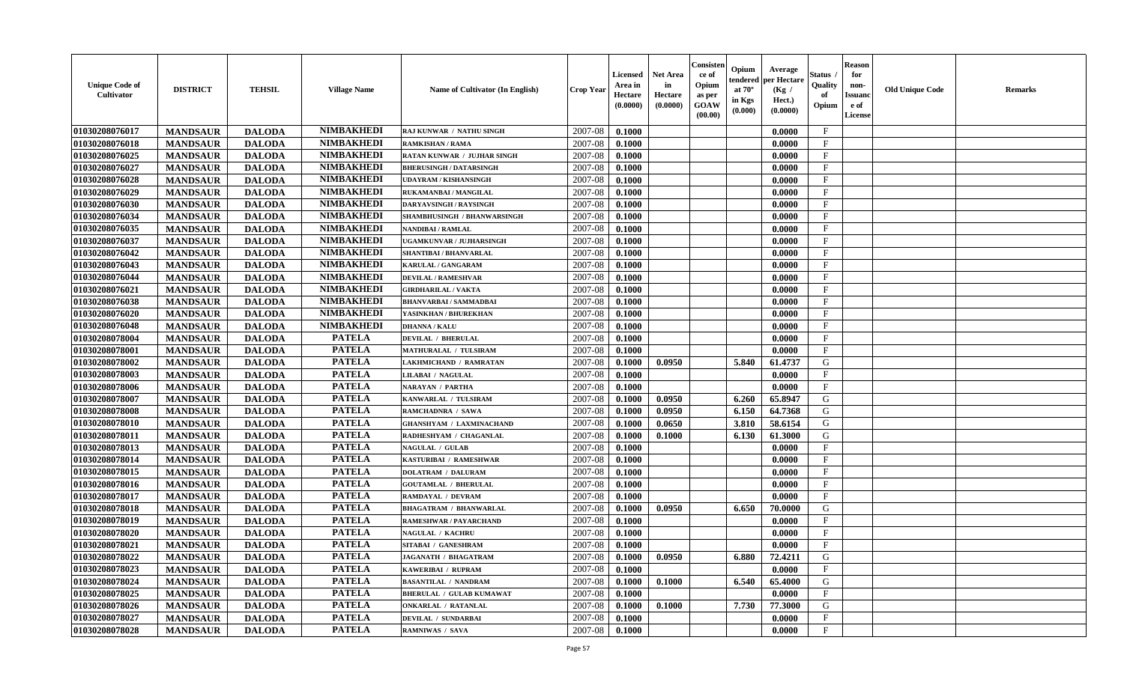| <b>Unique Code of</b><br><b>Cultivator</b> | <b>DISTRICT</b> | <b>TEHSIL</b> | <b>Village Name</b> | Name of Cultivator (In English) | <b>Crop Year</b> | <b>Licensed</b><br>Area in<br>Hectare<br>(0.0000) | <b>Net Area</b><br>in<br>Hectare<br>(0.0000) | Consister<br>ce of<br>Opium<br>as per<br><b>GOAW</b><br>(00.00) | Opium<br>Average<br>per Hectare<br>endered<br>at $70^\circ$<br>(Kg /<br>in Kgs<br>Hect.)<br>(0.0000)<br>(0.000) | Status<br>Quality<br>of<br>Opium | <b>Reason</b><br>for<br>non-<br><b>Issuand</b><br>e of<br><b>License</b> | <b>Old Unique Code</b> | <b>Remarks</b> |
|--------------------------------------------|-----------------|---------------|---------------------|---------------------------------|------------------|---------------------------------------------------|----------------------------------------------|-----------------------------------------------------------------|-----------------------------------------------------------------------------------------------------------------|----------------------------------|--------------------------------------------------------------------------|------------------------|----------------|
| 01030208076017                             | <b>MANDSAUR</b> | <b>DALODA</b> | <b>NIMBAKHEDI</b>   | RAJ KUNWAR / NATHU SINGH        | 2007-08          | 0.1000                                            |                                              |                                                                 | 0.0000                                                                                                          | $\mathbf{F}$                     |                                                                          |                        |                |
| 01030208076018                             | <b>MANDSAUR</b> | <b>DALODA</b> | <b>NIMBAKHEDI</b>   | <b>RAMKISHAN / RAMA</b>         | 2007-08          | 0.1000                                            |                                              |                                                                 | 0.0000                                                                                                          | $\mathbf F$                      |                                                                          |                        |                |
| 01030208076025                             | <b>MANDSAUR</b> | <b>DALODA</b> | <b>NIMBAKHEDI</b>   | RATAN KUNWAR / JUJHAR SINGH     | 2007-08          | 0.1000                                            |                                              |                                                                 | 0.0000                                                                                                          | $\mathbf{F}$                     |                                                                          |                        |                |
| 01030208076027                             | <b>MANDSAUR</b> | <b>DALODA</b> | <b>NIMBAKHEDI</b>   | <b>BHERUSINGH / DATARSINGH</b>  | 2007-08          | 0.1000                                            |                                              |                                                                 | 0.0000                                                                                                          | $\mathbf{F}$                     |                                                                          |                        |                |
| 01030208076028                             | <b>MANDSAUR</b> | <b>DALODA</b> | <b>NIMBAKHEDI</b>   | <b>UDAYRAM / KISHANSINGH</b>    | 2007-08          | 0.1000                                            |                                              |                                                                 | 0.0000                                                                                                          | $\mathbf{F}$                     |                                                                          |                        |                |
| 01030208076029                             | <b>MANDSAUR</b> | <b>DALODA</b> | <b>NIMBAKHEDI</b>   | RUKAMANBAI / MANGILAL           | 2007-08          | 0.1000                                            |                                              |                                                                 | 0.0000                                                                                                          | $_{\rm F}$                       |                                                                          |                        |                |
| 01030208076030                             | <b>MANDSAUR</b> | <b>DALODA</b> | <b>NIMBAKHEDI</b>   | <b>DARYAVSINGH / RAYSINGH</b>   | 2007-08          | 0.1000                                            |                                              |                                                                 | 0.0000                                                                                                          | $\mathbf{F}$                     |                                                                          |                        |                |
| 01030208076034                             | <b>MANDSAUR</b> | <b>DALODA</b> | <b>NIMBAKHEDI</b>   | SHAMBHUSINGH / BHANWARSINGH     | 2007-08          | 0.1000                                            |                                              |                                                                 | 0.0000                                                                                                          | $\mathbf{F}$                     |                                                                          |                        |                |
| 01030208076035                             | <b>MANDSAUR</b> | <b>DALODA</b> | <b>NIMBAKHEDI</b>   | <b>NANDIBAI / RAMLAL</b>        | 2007-08          | 0.1000                                            |                                              |                                                                 | 0.0000                                                                                                          | $_{\rm F}$                       |                                                                          |                        |                |
| 01030208076037                             | <b>MANDSAUR</b> | <b>DALODA</b> | <b>NIMBAKHEDI</b>   | UGAMKUNVAR / JUJHARSINGH        | 2007-08          | 0.1000                                            |                                              |                                                                 | 0.0000                                                                                                          | $\mathbf{F}$                     |                                                                          |                        |                |
| 01030208076042                             | <b>MANDSAUR</b> | <b>DALODA</b> | <b>NIMBAKHEDI</b>   | <b>SHANTIBAI / BHANVARLAL</b>   | 2007-08          | 0.1000                                            |                                              |                                                                 | 0.0000                                                                                                          | $\mathbf{F}$                     |                                                                          |                        |                |
| 01030208076043                             | <b>MANDSAUR</b> | <b>DALODA</b> | <b>NIMBAKHEDI</b>   | KARULAL / GANGARAM              | 2007-08          | 0.1000                                            |                                              |                                                                 | 0.0000                                                                                                          | $\mathbf{F}$                     |                                                                          |                        |                |
| 01030208076044                             | <b>MANDSAUR</b> | <b>DALODA</b> | <b>NIMBAKHEDI</b>   | <b>DEVILAL / RAMESHVAR</b>      | 2007-08          | 0.1000                                            |                                              |                                                                 | 0.0000                                                                                                          | $\mathbf{F}$                     |                                                                          |                        |                |
| 01030208076021                             | <b>MANDSAUR</b> | <b>DALODA</b> | <b>NIMBAKHEDI</b>   | <b>GIRDHARILAL / VAKTA</b>      | 2007-08          | 0.1000                                            |                                              |                                                                 | 0.0000                                                                                                          | $_{\rm F}$                       |                                                                          |                        |                |
| 01030208076038                             | <b>MANDSAUR</b> | <b>DALODA</b> | <b>NIMBAKHEDI</b>   | <b>BHANVARBAI/SAMMADBAI</b>     | 2007-08          | 0.1000                                            |                                              |                                                                 | 0.0000                                                                                                          | $\mathbf{F}$                     |                                                                          |                        |                |
| 01030208076020                             | <b>MANDSAUR</b> | <b>DALODA</b> | <b>NIMBAKHEDI</b>   | YASINKHAN / BHUREKHAN           | 2007-08          | 0.1000                                            |                                              |                                                                 | 0.0000                                                                                                          | $_{\rm F}$                       |                                                                          |                        |                |
| 01030208076048                             | <b>MANDSAUR</b> | <b>DALODA</b> | <b>NIMBAKHEDI</b>   | <b>DHANNA / KALU</b>            | 2007-08          | 0.1000                                            |                                              |                                                                 | 0.0000                                                                                                          | $\mathbf{F}$                     |                                                                          |                        |                |
| 01030208078004                             | <b>MANDSAUR</b> | <b>DALODA</b> | <b>PATELA</b>       | <b>DEVILAL / BHERULAL</b>       | 2007-08          | 0.1000                                            |                                              |                                                                 | 0.0000                                                                                                          | $_{\rm F}$                       |                                                                          |                        |                |
| 01030208078001                             | <b>MANDSAUR</b> | <b>DALODA</b> | <b>PATELA</b>       | <b>MATHURALAL / TULSIRAM</b>    | 2007-08          | 0.1000                                            |                                              |                                                                 | 0.0000                                                                                                          | $_{\rm F}$                       |                                                                          |                        |                |
| 01030208078002                             | <b>MANDSAUR</b> | <b>DALODA</b> | <b>PATELA</b>       | LAKHMICHAND / RAMRATAN          | 2007-08          | 0.1000                                            | 0.0950                                       |                                                                 | 5.840<br>61.4737                                                                                                | G                                |                                                                          |                        |                |
| 01030208078003                             | <b>MANDSAUR</b> | <b>DALODA</b> | <b>PATELA</b>       | <b>LILABAI / NAGULAL</b>        | 2007-08          | 0.1000                                            |                                              |                                                                 | 0.0000                                                                                                          | $\mathbf{F}$                     |                                                                          |                        |                |
| 01030208078006                             | <b>MANDSAUR</b> | <b>DALODA</b> | <b>PATELA</b>       | <b>NARAYAN / PARTHA</b>         | 2007-08          | 0.1000                                            |                                              |                                                                 | 0.0000                                                                                                          | $_{\rm F}$                       |                                                                          |                        |                |
| 01030208078007                             | <b>MANDSAUR</b> | <b>DALODA</b> | <b>PATELA</b>       | KANWARLAL / TULSIRAM            | 2007-08          | 0.1000                                            | 0.0950                                       |                                                                 | 6.260<br>65.8947                                                                                                | G                                |                                                                          |                        |                |
| 01030208078008                             | <b>MANDSAUR</b> | <b>DALODA</b> | <b>PATELA</b>       | RAMCHADNRA / SAWA               | 2007-08          | 0.1000                                            | 0.0950                                       |                                                                 | 6.150<br>64.7368                                                                                                | G                                |                                                                          |                        |                |
| 01030208078010                             | <b>MANDSAUR</b> | <b>DALODA</b> | <b>PATELA</b>       | <b>GHANSHYAM / LAXMINACHAND</b> | 2007-08          | 0.1000                                            | 0.0650                                       |                                                                 | 3.810<br>58.6154                                                                                                | G                                |                                                                          |                        |                |
| 01030208078011                             | <b>MANDSAUR</b> | <b>DALODA</b> | <b>PATELA</b>       | RADHESHYAM / CHAGANLAL          | 2007-08          | 0.1000                                            | 0.1000                                       |                                                                 | 6.130<br>61.3000                                                                                                | G                                |                                                                          |                        |                |
| 01030208078013                             | <b>MANDSAUR</b> | <b>DALODA</b> | <b>PATELA</b>       | <b>NAGULAL / GULAB</b>          | 2007-08          | 0.1000                                            |                                              |                                                                 | 0.0000                                                                                                          | F                                |                                                                          |                        |                |
| 01030208078014                             | <b>MANDSAUR</b> | <b>DALODA</b> | <b>PATELA</b>       | KASTURIBAI / RAMESHWAR          | 2007-08          | 0.1000                                            |                                              |                                                                 | 0.0000                                                                                                          | $_{\rm F}$                       |                                                                          |                        |                |
| 01030208078015                             | <b>MANDSAUR</b> | <b>DALODA</b> | <b>PATELA</b>       | <b>DOLATRAM / DALURAM</b>       | 2007-08          | 0.1000                                            |                                              |                                                                 | 0.0000                                                                                                          | $\rm F$                          |                                                                          |                        |                |
| 01030208078016                             | <b>MANDSAUR</b> | <b>DALODA</b> | <b>PATELA</b>       | <b>GOUTAMLAL / BHERULAI</b>     | 2007-08          | 0.1000                                            |                                              |                                                                 | 0.0000                                                                                                          | $\mathbf{F}$                     |                                                                          |                        |                |
| 01030208078017                             | <b>MANDSAUR</b> | <b>DALODA</b> | <b>PATELA</b>       | RAMDAYAL / DEVRAM               | 2007-08          | 0.1000                                            |                                              |                                                                 | 0.0000                                                                                                          | $\mathbf{F}$                     |                                                                          |                        |                |
| 01030208078018                             | <b>MANDSAUR</b> | <b>DALODA</b> | <b>PATELA</b>       | <b>BHAGATRAM / BHANWARLAL</b>   | 2007-08          | 0.1000                                            | 0.0950                                       |                                                                 | 6.650<br>70.0000                                                                                                | G                                |                                                                          |                        |                |
| 01030208078019                             | <b>MANDSAUR</b> | <b>DALODA</b> | <b>PATELA</b>       | RAMESHWAR / PAYARCHAND          | 2007-08          | 0.1000                                            |                                              |                                                                 | 0.0000                                                                                                          | $_{\rm F}$                       |                                                                          |                        |                |
| 01030208078020                             | <b>MANDSAUR</b> | <b>DALODA</b> | <b>PATELA</b>       | <b>NAGULAL / KACHRU</b>         | 2007-08          | 0.1000                                            |                                              |                                                                 | 0.0000                                                                                                          | $\mathbf{F}$                     |                                                                          |                        |                |
| 01030208078021                             | <b>MANDSAUR</b> | <b>DALODA</b> | <b>PATELA</b>       | SITABAI / GANESHRAM             | 2007-08          | 0.1000                                            |                                              |                                                                 | 0.0000                                                                                                          | $\mathbf{F}$                     |                                                                          |                        |                |
| 01030208078022                             | <b>MANDSAUR</b> | <b>DALODA</b> | <b>PATELA</b>       | <b>JAGANATH / BHAGATRAM</b>     | 2007-08          | 0.1000                                            | 0.0950                                       |                                                                 | 6.880<br>72.4211                                                                                                | G                                |                                                                          |                        |                |
| 01030208078023                             | <b>MANDSAUR</b> | <b>DALODA</b> | <b>PATELA</b>       | KAWERIBAI / RUPRAM              | 2007-08          | 0.1000                                            |                                              |                                                                 | 0.0000                                                                                                          | $\rm F$                          |                                                                          |                        |                |
| 01030208078024                             | <b>MANDSAUR</b> | <b>DALODA</b> | <b>PATELA</b>       | <b>BASANTILAL / NANDRAM</b>     | 2007-08          | 0.1000                                            | 0.1000                                       |                                                                 | 6.540<br>65.4000                                                                                                | G                                |                                                                          |                        |                |
| 01030208078025                             | <b>MANDSAUR</b> | <b>DALODA</b> | <b>PATELA</b>       | <b>BHERULAL / GULAB KUMAWAT</b> | 2007-08          | 0.1000                                            |                                              |                                                                 | 0.0000                                                                                                          | $\mathbf{F}$                     |                                                                          |                        |                |
| 01030208078026                             | <b>MANDSAUR</b> | <b>DALODA</b> | <b>PATELA</b>       | <b>ONKARLAL / RATANLAL</b>      | 2007-08          | 0.1000                                            | 0.1000                                       |                                                                 | 7.730<br>77.3000                                                                                                | G                                |                                                                          |                        |                |
| 01030208078027                             | <b>MANDSAUR</b> | <b>DALODA</b> | <b>PATELA</b>       | DEVILAL / SUNDARBAI             | 2007-08          | 0.1000                                            |                                              |                                                                 | 0.0000                                                                                                          | $\mathbf{F}$                     |                                                                          |                        |                |
| 01030208078028                             | <b>MANDSAUR</b> | <b>DALODA</b> | <b>PATELA</b>       | <b>RAMNIWAS / SAVA</b>          | 2007-08          | 0.1000                                            |                                              |                                                                 | 0.0000                                                                                                          | $\mathbf{F}$                     |                                                                          |                        |                |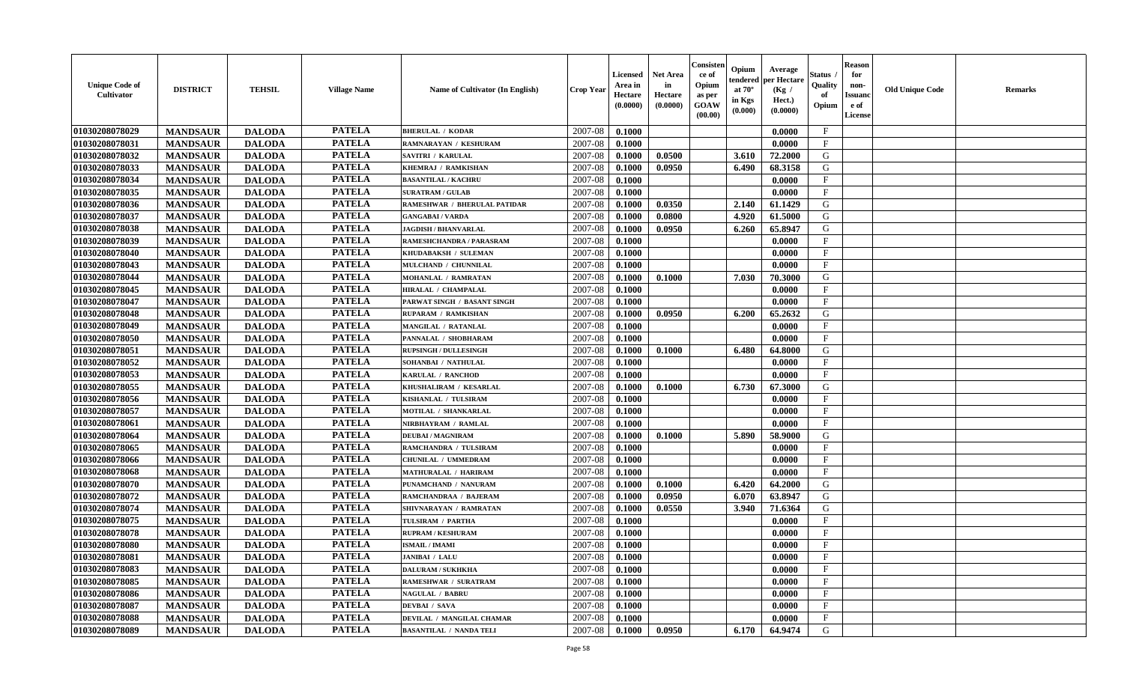| <b>Unique Code of</b><br><b>Cultivator</b> | <b>DISTRICT</b> | <b>TEHSIL</b> | <b>Village Name</b> | Name of Cultivator (In English)     | <b>Crop Year</b> | <b>Licensed</b><br>Area in<br>Hectare<br>(0.0000) | <b>Net Area</b><br>in<br>Hectare<br>(0.0000) | Consisteı<br>ce of<br>Opium<br>as per<br><b>GOAW</b><br>(00.00) | Opium<br>endered<br>at $70^\circ$<br>in Kgs<br>$(\mathbf{0.000})$ | Average<br>per Hectare<br>(Kg /<br>Hect.)<br>(0.0000) | Status<br>Quality<br>of<br>Opium | <b>Reason</b><br>for<br>non-<br>Issuan<br>e of<br>License | <b>Old Unique Code</b> | <b>Remarks</b> |
|--------------------------------------------|-----------------|---------------|---------------------|-------------------------------------|------------------|---------------------------------------------------|----------------------------------------------|-----------------------------------------------------------------|-------------------------------------------------------------------|-------------------------------------------------------|----------------------------------|-----------------------------------------------------------|------------------------|----------------|
| 01030208078029                             | <b>MANDSAUR</b> | <b>DALODA</b> | <b>PATELA</b>       | <b>BHERULAL / KODAR</b>             | 2007-08          | 0.1000                                            |                                              |                                                                 |                                                                   | 0.0000                                                | $\mathbf{F}$                     |                                                           |                        |                |
| 01030208078031                             | <b>MANDSAUR</b> | <b>DALODA</b> | <b>PATELA</b>       | RAMNARAYAN / KESHURAM               | 2007-08          | 0.1000                                            |                                              |                                                                 |                                                                   | 0.0000                                                | $_{\rm F}$                       |                                                           |                        |                |
| 01030208078032                             | <b>MANDSAUR</b> | <b>DALODA</b> | <b>PATELA</b>       | <b>SAVITRI / KARULAL</b>            | 2007-08          | 0.1000                                            | 0.0500                                       |                                                                 | 3.610                                                             | 72.2000                                               | G                                |                                                           |                        |                |
| 01030208078033                             | <b>MANDSAUR</b> | <b>DALODA</b> | <b>PATELA</b>       | KHEMRAJ / RAMKISHAN                 | 2007-08          | 0.1000                                            | 0.0950                                       |                                                                 | 6.490                                                             | 68.3158                                               | G                                |                                                           |                        |                |
| 01030208078034                             | <b>MANDSAUR</b> | <b>DALODA</b> | <b>PATELA</b>       | <b>BASANTILAL / KACHRU</b>          | 2007-08          | 0.1000                                            |                                              |                                                                 |                                                                   | 0.0000                                                | F                                |                                                           |                        |                |
| 01030208078035                             | <b>MANDSAUR</b> | <b>DALODA</b> | <b>PATELA</b>       | <b>SURATRAM / GULAB</b>             | 2007-08          | 0.1000                                            |                                              |                                                                 |                                                                   | 0.0000                                                | $\mathbf{F}$                     |                                                           |                        |                |
| 01030208078036                             | <b>MANDSAUR</b> | <b>DALODA</b> | <b>PATELA</b>       | <b>RAMESHWAR / BHERULAL PATIDAR</b> | 2007-08          | 0.1000                                            | 0.0350                                       |                                                                 | 2.140                                                             | 61.1429                                               | G                                |                                                           |                        |                |
| 01030208078037                             | <b>MANDSAUR</b> | <b>DALODA</b> | <b>PATELA</b>       | <b>GANGABAI/VARDA</b>               | 2007-08          | 0.1000                                            | 0.0800                                       |                                                                 | 4.920                                                             | 61.5000                                               | G                                |                                                           |                        |                |
| 01030208078038                             | <b>MANDSAUR</b> | <b>DALODA</b> | <b>PATELA</b>       | <b>JAGDISH / BHANVARLAL</b>         | 2007-08          | 0.1000                                            | 0.0950                                       |                                                                 | 6.260                                                             | 65.8947                                               | G                                |                                                           |                        |                |
| 01030208078039                             | <b>MANDSAUR</b> | <b>DALODA</b> | <b>PATELA</b>       | RAMESHCHANDRA / PARASRAM            | 2007-08          | 0.1000                                            |                                              |                                                                 |                                                                   | 0.0000                                                | F                                |                                                           |                        |                |
| 01030208078040                             | <b>MANDSAUR</b> | <b>DALODA</b> | <b>PATELA</b>       | KHUDABAKSH / SULEMAN                | 2007-08          | 0.1000                                            |                                              |                                                                 |                                                                   | 0.0000                                                | $\mathbf{F}$                     |                                                           |                        |                |
| 01030208078043                             | <b>MANDSAUR</b> | <b>DALODA</b> | <b>PATELA</b>       | MULCHAND / CHUNNILAL                | 2007-08          | 0.1000                                            |                                              |                                                                 |                                                                   | 0.0000                                                | $_{\rm F}$                       |                                                           |                        |                |
| 01030208078044                             | <b>MANDSAUR</b> | <b>DALODA</b> | <b>PATELA</b>       | <b>MOHANLAL / RAMRATAN</b>          | 2007-08          | 0.1000                                            | 0.1000                                       |                                                                 | 7.030                                                             | 70.3000                                               | G                                |                                                           |                        |                |
| 01030208078045                             | <b>MANDSAUR</b> | <b>DALODA</b> | <b>PATELA</b>       | HIRALAL / CHAMPALAL                 | 2007-08          | 0.1000                                            |                                              |                                                                 |                                                                   | 0.0000                                                | $_{\rm F}$                       |                                                           |                        |                |
| 01030208078047                             | <b>MANDSAUR</b> | <b>DALODA</b> | <b>PATELA</b>       | PARWAT SINGH / BASANT SINGH         | 2007-08          | 0.1000                                            |                                              |                                                                 |                                                                   | 0.0000                                                | $\mathbf{F}$                     |                                                           |                        |                |
| 01030208078048                             | <b>MANDSAUR</b> | <b>DALODA</b> | <b>PATELA</b>       | RUPARAM / RAMKISHAN                 | 2007-08          | 0.1000                                            | 0.0950                                       |                                                                 | 6.200                                                             | 65.2632                                               | G                                |                                                           |                        |                |
| 01030208078049                             | <b>MANDSAUR</b> | <b>DALODA</b> | <b>PATELA</b>       | <b>MANGILAL / RATANLAL</b>          | 2007-08          | 0.1000                                            |                                              |                                                                 |                                                                   | 0.0000                                                | $\mathbf{F}$                     |                                                           |                        |                |
| 01030208078050                             | <b>MANDSAUR</b> | <b>DALODA</b> | <b>PATELA</b>       | PANNALAL / SHOBHARAM                | 2007-08          | 0.1000                                            |                                              |                                                                 |                                                                   | 0.0000                                                | $\mathbf F$                      |                                                           |                        |                |
| 01030208078051                             | <b>MANDSAUR</b> | <b>DALODA</b> | <b>PATELA</b>       | <b>RUPSINGH / DULLESINGH</b>        | 2007-08          | 0.1000                                            | 0.1000                                       |                                                                 | 6.480                                                             | 64.8000                                               | G                                |                                                           |                        |                |
| 01030208078052                             | <b>MANDSAUR</b> | <b>DALODA</b> | <b>PATELA</b>       | SOHANBAI / NATHULAL                 | 2007-08          | 0.1000                                            |                                              |                                                                 |                                                                   | 0.0000                                                | F                                |                                                           |                        |                |
| 01030208078053                             | <b>MANDSAUR</b> | <b>DALODA</b> | <b>PATELA</b>       | <b>KARULAL / RANCHOD</b>            | 2007-08          | 0.1000                                            |                                              |                                                                 |                                                                   | 0.0000                                                | $\mathbf{F}$                     |                                                           |                        |                |
| 01030208078055                             | <b>MANDSAUR</b> | <b>DALODA</b> | <b>PATELA</b>       | KHUSHALIRAM / KESARLAL              | 2007-08          | 0.1000                                            | 0.1000                                       |                                                                 | 6.730                                                             | 67.3000                                               | G                                |                                                           |                        |                |
| 01030208078056                             | <b>MANDSAUR</b> | <b>DALODA</b> | <b>PATELA</b>       | KISHANLAL / TULSIRAM                | 2007-08          | 0.1000                                            |                                              |                                                                 |                                                                   | 0.0000                                                | $\mathbf{F}$                     |                                                           |                        |                |
| 01030208078057                             | <b>MANDSAUR</b> | <b>DALODA</b> | <b>PATELA</b>       | MOTILAL / SHANKARLAL                | 2007-08          | 0.1000                                            |                                              |                                                                 |                                                                   | 0.0000                                                | $\mathbf{F}$                     |                                                           |                        |                |
| 01030208078061                             | <b>MANDSAUR</b> | <b>DALODA</b> | <b>PATELA</b>       | NIRBHAYRAM / RAMLAL                 | 2007-08          | 0.1000                                            |                                              |                                                                 |                                                                   | 0.0000                                                | $\mathbf{F}$                     |                                                           |                        |                |
| 01030208078064                             | <b>MANDSAUR</b> | <b>DALODA</b> | <b>PATELA</b>       | <b>DEUBAI/MAGNIRAM</b>              | 2007-08          | 0.1000                                            | 0.1000                                       |                                                                 | 5.890                                                             | 58.9000                                               | G                                |                                                           |                        |                |
| 01030208078065                             | <b>MANDSAUR</b> | <b>DALODA</b> | <b>PATELA</b>       | RAMCHANDRA / TULSIRAM               | 2007-08          | 0.1000                                            |                                              |                                                                 |                                                                   | 0.0000                                                | $_{\rm F}$                       |                                                           |                        |                |
| 01030208078066                             | <b>MANDSAUR</b> | <b>DALODA</b> | <b>PATELA</b>       | CHUNILAL / UMMEDRAM                 | 2007-08          | 0.1000                                            |                                              |                                                                 |                                                                   | 0.0000                                                | $\mathbf{F}$                     |                                                           |                        |                |
| 01030208078068                             | <b>MANDSAUR</b> | <b>DALODA</b> | <b>PATELA</b>       | <b>MATHURALAL / HARIRAM</b>         | 2007-08          | 0.1000                                            |                                              |                                                                 |                                                                   | 0.0000                                                | $\mathbf{F}$                     |                                                           |                        |                |
| 01030208078070                             | <b>MANDSAUR</b> | <b>DALODA</b> | <b>PATELA</b>       | PUNAMCHAND / NANURAM                | 2007-08          | 0.1000                                            | 0.1000                                       |                                                                 | 6.420                                                             | 64.2000                                               | G                                |                                                           |                        |                |
| 01030208078072                             | <b>MANDSAUR</b> | <b>DALODA</b> | <b>PATELA</b>       | RAMCHANDRAA / BAJERAM               | 2007-08          | 0.1000                                            | 0.0950                                       |                                                                 | 6.070                                                             | 63.8947                                               | G                                |                                                           |                        |                |
| 01030208078074                             | <b>MANDSAUR</b> | <b>DALODA</b> | <b>PATELA</b>       | SHIVNARAYAN / RAMRATAN              | 2007-08          | 0.1000                                            | 0.0550                                       |                                                                 | 3.940                                                             | 71.6364                                               | G                                |                                                           |                        |                |
| 01030208078075                             | <b>MANDSAUR</b> | <b>DALODA</b> | <b>PATELA</b>       | TULSIRAM / PARTHA                   | 2007-08          | 0.1000                                            |                                              |                                                                 |                                                                   | 0.0000                                                | $\mathbf{F}$                     |                                                           |                        |                |
| 01030208078078                             | <b>MANDSAUR</b> | <b>DALODA</b> | <b>PATELA</b>       | <b>RUPRAM / KESHURAM</b>            | 2007-08          | 0.1000                                            |                                              |                                                                 |                                                                   | 0.0000                                                | $_{\rm F}$                       |                                                           |                        |                |
| 01030208078080                             | <b>MANDSAUR</b> | <b>DALODA</b> | <b>PATELA</b>       | <b>ISMAIL / IMAMI</b>               | 2007-08          | 0.1000                                            |                                              |                                                                 |                                                                   | 0.0000                                                | $\mathbf{F}$                     |                                                           |                        |                |
| 01030208078081                             | <b>MANDSAUR</b> | <b>DALODA</b> | <b>PATELA</b>       | <b>JANIBAI / LALU</b>               | $2007-08$ 0.1000 |                                                   |                                              |                                                                 |                                                                   | 0.0000                                                | F                                |                                                           |                        |                |
| 01030208078083                             | <b>MANDSAUR</b> | <b>DALODA</b> | <b>PATELA</b>       | <b>DALURAM / SUKHKHA</b>            | 2007-08          | 0.1000                                            |                                              |                                                                 |                                                                   | 0.0000                                                | $\mathbf{F}$                     |                                                           |                        |                |
| 01030208078085                             | <b>MANDSAUR</b> | <b>DALODA</b> | <b>PATELA</b>       | <b>RAMESHWAR / SURATRAM</b>         | 2007-08          | 0.1000                                            |                                              |                                                                 |                                                                   | 0.0000                                                | $\mathbf{F}$                     |                                                           |                        |                |
| 01030208078086                             | <b>MANDSAUR</b> | <b>DALODA</b> | <b>PATELA</b>       | <b>NAGULAL / BABRU</b>              | 2007-08          | 0.1000                                            |                                              |                                                                 |                                                                   | 0.0000                                                | $\mathbf{F}$                     |                                                           |                        |                |
| 01030208078087                             | <b>MANDSAUR</b> | <b>DALODA</b> | <b>PATELA</b>       | <b>DEVBAI</b> / SAVA                | 2007-08          | 0.1000                                            |                                              |                                                                 |                                                                   | 0.0000                                                | $\mathbf F$                      |                                                           |                        |                |
| 01030208078088                             | <b>MANDSAUR</b> | <b>DALODA</b> | <b>PATELA</b>       | DEVILAL / MANGILAL CHAMAR           | 2007-08          | 0.1000                                            |                                              |                                                                 |                                                                   | 0.0000                                                | $\mathbf{F}$                     |                                                           |                        |                |
| 01030208078089                             | <b>MANDSAUR</b> | <b>DALODA</b> | <b>PATELA</b>       | <b>BASANTILAL / NANDA TELI</b>      | 2007-08          | $\boldsymbol{0.1000}$                             | 0.0950                                       |                                                                 | 6.170                                                             | 64.9474                                               | G                                |                                                           |                        |                |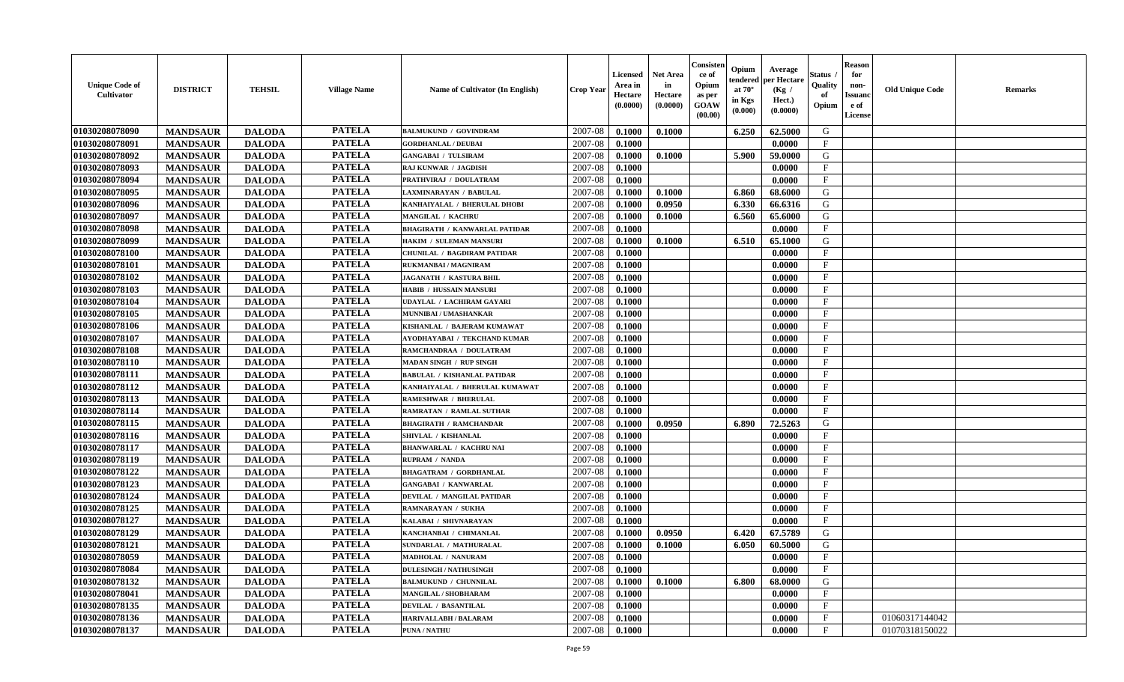| <b>Unique Code of</b><br><b>Cultivator</b> | <b>DISTRICT</b> | <b>TEHSIL</b> | <b>Village Name</b> | Name of Cultivator (In English)      | <b>Crop Year</b> | <b>Licensed</b><br>Area in<br>Hectare<br>(0.0000) | <b>Net Area</b><br>in<br>Hectare<br>(0.0000) | Consister<br>ce of<br>Opium<br>as per<br><b>GOAW</b><br>(00.00) | Opium<br>endered<br>at $70^\circ$<br>in Kgs<br>(0.000) | Average<br>per Hectare<br>(Kg /<br>Hect.)<br>(0.0000) | Status<br>Quality<br>of<br>Opium | <b>Reason</b><br>for<br>non-<br><b>Issuand</b><br>e of<br><b>License</b> | <b>Old Unique Code</b> | <b>Remarks</b> |
|--------------------------------------------|-----------------|---------------|---------------------|--------------------------------------|------------------|---------------------------------------------------|----------------------------------------------|-----------------------------------------------------------------|--------------------------------------------------------|-------------------------------------------------------|----------------------------------|--------------------------------------------------------------------------|------------------------|----------------|
| 01030208078090                             | <b>MANDSAUR</b> | <b>DALODA</b> | <b>PATELA</b>       | <b>BALMUKUND / GOVINDRAM</b>         | 2007-08          | 0.1000                                            | 0.1000                                       |                                                                 | 6.250                                                  | 62.5000                                               | G                                |                                                                          |                        |                |
| 01030208078091                             | <b>MANDSAUR</b> | <b>DALODA</b> | <b>PATELA</b>       | <b>GORDHANLAL / DEUBAI</b>           | 2007-08          | 0.1000                                            |                                              |                                                                 |                                                        | 0.0000                                                | $\mathbf F$                      |                                                                          |                        |                |
| 01030208078092                             | <b>MANDSAUR</b> | <b>DALODA</b> | <b>PATELA</b>       | <b>GANGABAI / TULSIRAM</b>           | 2007-08          | 0.1000                                            | 0.1000                                       |                                                                 | 5.900                                                  | 59.0000                                               | G                                |                                                                          |                        |                |
| 01030208078093                             | <b>MANDSAUR</b> | <b>DALODA</b> | <b>PATELA</b>       | RAJ KUNWAR / JAGDISH                 | 2007-08          | 0.1000                                            |                                              |                                                                 |                                                        | 0.0000                                                | $\mathbf{F}$                     |                                                                          |                        |                |
| 01030208078094                             | <b>MANDSAUR</b> | <b>DALODA</b> | <b>PATELA</b>       | PRATHVIRAJ / DOULATRAM               | 2007-08          | 0.1000                                            |                                              |                                                                 |                                                        | 0.0000                                                | $\mathbf{F}$                     |                                                                          |                        |                |
| 01030208078095                             | <b>MANDSAUR</b> | <b>DALODA</b> | <b>PATELA</b>       | LAXMINARAYAN / BABULAL               | 2007-08          | 0.1000                                            | 0.1000                                       |                                                                 | 6.860                                                  | 68.6000                                               | G                                |                                                                          |                        |                |
| 01030208078096                             | <b>MANDSAUR</b> | <b>DALODA</b> | <b>PATELA</b>       | KANHAIYALAL / BHERULAL DHOBI         | 2007-08          | 0.1000                                            | 0.0950                                       |                                                                 | 6.330                                                  | 66.6316                                               | G                                |                                                                          |                        |                |
| 01030208078097                             | <b>MANDSAUR</b> | <b>DALODA</b> | <b>PATELA</b>       | MANGILAL / KACHRU                    | 2007-08          | 0.1000                                            | 0.1000                                       |                                                                 | 6.560                                                  | 65.6000                                               | ${\bf G}$                        |                                                                          |                        |                |
| 01030208078098                             | <b>MANDSAUR</b> | <b>DALODA</b> | <b>PATELA</b>       | <b>BHAGIRATH / KANWARLAL PATIDAR</b> | 2007-08          | 0.1000                                            |                                              |                                                                 |                                                        | 0.0000                                                | $_{\rm F}$                       |                                                                          |                        |                |
| 01030208078099                             | <b>MANDSAUR</b> | <b>DALODA</b> | <b>PATELA</b>       | HAKIM / SULEMAN MANSURI              | 2007-08          | 0.1000                                            | 0.1000                                       |                                                                 | 6.510                                                  | 65.1000                                               | G                                |                                                                          |                        |                |
| 01030208078100                             | <b>MANDSAUR</b> | <b>DALODA</b> | <b>PATELA</b>       | <b>CHUNILAL / BAGDIRAM PATIDAR</b>   | 2007-08          | 0.1000                                            |                                              |                                                                 |                                                        | 0.0000                                                | $\mathbf{F}$                     |                                                                          |                        |                |
| 01030208078101                             | <b>MANDSAUR</b> | <b>DALODA</b> | <b>PATELA</b>       | <b>RUKMANBAI / MAGNIRAM</b>          | 2007-08          | 0.1000                                            |                                              |                                                                 |                                                        | 0.0000                                                | $\mathbf{F}$                     |                                                                          |                        |                |
| 01030208078102                             | <b>MANDSAUR</b> | <b>DALODA</b> | <b>PATELA</b>       | <b>JAGANATH / KASTURA BHIL</b>       | 2007-08          | 0.1000                                            |                                              |                                                                 |                                                        | 0.0000                                                | $\mathbf{F}$                     |                                                                          |                        |                |
| 01030208078103                             | <b>MANDSAUR</b> | <b>DALODA</b> | <b>PATELA</b>       | HABIB / HUSSAIN MANSURI              | 2007-08          | 0.1000                                            |                                              |                                                                 |                                                        | 0.0000                                                | $_{\rm F}$                       |                                                                          |                        |                |
| 01030208078104                             | <b>MANDSAUR</b> | <b>DALODA</b> | <b>PATELA</b>       | UDAYLAL / LACHIRAM GAYARI            | 2007-08          | 0.1000                                            |                                              |                                                                 |                                                        | 0.0000                                                | $\mathbf{F}$                     |                                                                          |                        |                |
| 01030208078105                             | <b>MANDSAUR</b> | <b>DALODA</b> | <b>PATELA</b>       | MUNNIBAI / UMASHANKAR                | 2007-08          | 0.1000                                            |                                              |                                                                 |                                                        | 0.0000                                                | $_{\rm F}$                       |                                                                          |                        |                |
| 01030208078106                             | <b>MANDSAUR</b> | <b>DALODA</b> | <b>PATELA</b>       | KISHANLAL / BAJERAM KUMAWAT          | 2007-08          | 0.1000                                            |                                              |                                                                 |                                                        | 0.0000                                                | $\mathbf{F}$                     |                                                                          |                        |                |
| 01030208078107                             | <b>MANDSAUR</b> | <b>DALODA</b> | <b>PATELA</b>       | AYODHAYABAI / TEKCHAND KUMAR         | 2007-08          | 0.1000                                            |                                              |                                                                 |                                                        | 0.0000                                                | $_{\rm F}$                       |                                                                          |                        |                |
| 01030208078108                             | <b>MANDSAUR</b> | <b>DALODA</b> | <b>PATELA</b>       | RAMCHANDRAA / DOULATRAM              | 2007-08          | 0.1000                                            |                                              |                                                                 |                                                        | 0.0000                                                | $\mathbf{F}$                     |                                                                          |                        |                |
| 01030208078110                             | <b>MANDSAUR</b> | <b>DALODA</b> | <b>PATELA</b>       | <b>MADAN SINGH / RUP SINGH</b>       | 2007-08          | 0.1000                                            |                                              |                                                                 |                                                        | 0.0000                                                | $\mathbf{F}$                     |                                                                          |                        |                |
| 01030208078111                             | <b>MANDSAUR</b> | <b>DALODA</b> | <b>PATELA</b>       | <b>BABULAL / KISHANLAL PATIDAR</b>   | 2007-08          | 0.1000                                            |                                              |                                                                 |                                                        | 0.0000                                                | $\mathbf{F}$                     |                                                                          |                        |                |
| 01030208078112                             | <b>MANDSAUR</b> | <b>DALODA</b> | <b>PATELA</b>       | KANHAIYALAL / BHERULAL KUMAWAT       | 2007-08          | 0.1000                                            |                                              |                                                                 |                                                        | 0.0000                                                | $_{\rm F}$                       |                                                                          |                        |                |
| 01030208078113                             | <b>MANDSAUR</b> | <b>DALODA</b> | <b>PATELA</b>       | <b>RAMESHWAR / BHERULAL</b>          | 2007-08          | 0.1000                                            |                                              |                                                                 |                                                        | 0.0000                                                | $\mathbf{F}$                     |                                                                          |                        |                |
| 01030208078114                             | <b>MANDSAUR</b> | <b>DALODA</b> | <b>PATELA</b>       | RAMRATAN / RAMLAL SUTHAR             | 2007-08          | 0.1000                                            |                                              |                                                                 |                                                        | 0.0000                                                | $\mathbf{F}$                     |                                                                          |                        |                |
| 01030208078115                             | <b>MANDSAUR</b> | <b>DALODA</b> | <b>PATELA</b>       | <b>BHAGIRATH / RAMCHANDAR</b>        | 2007-08          | 0.1000                                            | 0.0950                                       |                                                                 | 6.890                                                  | 72.5263                                               | G                                |                                                                          |                        |                |
| 01030208078116                             | <b>MANDSAUR</b> | <b>DALODA</b> | <b>PATELA</b>       | SHIVLAL / KISHANLAL                  | 2007-08          | 0.1000                                            |                                              |                                                                 |                                                        | 0.0000                                                | $\mathbf{F}$                     |                                                                          |                        |                |
| 01030208078117                             | <b>MANDSAUR</b> | <b>DALODA</b> | <b>PATELA</b>       | <b>BHANWARLAL / KACHRU NAI</b>       | 2007-08          | 0.1000                                            |                                              |                                                                 |                                                        | 0.0000                                                | F                                |                                                                          |                        |                |
| 01030208078119                             | <b>MANDSAUR</b> | <b>DALODA</b> | <b>PATELA</b>       | <b>RUPRAM / NANDA</b>                | 2007-08          | 0.1000                                            |                                              |                                                                 |                                                        | 0.0000                                                | $_{\rm F}$                       |                                                                          |                        |                |
| 01030208078122                             | <b>MANDSAUR</b> | <b>DALODA</b> | <b>PATELA</b>       | <b>BHAGATRAM / GORDHANLAL</b>        | 2007-08          | 0.1000                                            |                                              |                                                                 |                                                        | 0.0000                                                | $\rm F$                          |                                                                          |                        |                |
| 01030208078123                             | <b>MANDSAUR</b> | <b>DALODA</b> | <b>PATELA</b>       | <b>GANGABAI / KANWARLAL</b>          | 2007-08          | 0.1000                                            |                                              |                                                                 |                                                        | 0.0000                                                | $\mathbf{F}$                     |                                                                          |                        |                |
| 01030208078124                             | <b>MANDSAUR</b> | <b>DALODA</b> | <b>PATELA</b>       | DEVILAL / MANGILAL PATIDAR           | 2007-08          | 0.1000                                            |                                              |                                                                 |                                                        | 0.0000                                                | $\mathbf{F}$                     |                                                                          |                        |                |
| 01030208078125                             | <b>MANDSAUR</b> | <b>DALODA</b> | <b>PATELA</b>       | RAMNARAYAN / SUKHA                   | 2007-08          | 0.1000                                            |                                              |                                                                 |                                                        | 0.0000                                                | $\mathbf{F}$                     |                                                                          |                        |                |
| 01030208078127                             | <b>MANDSAUR</b> | <b>DALODA</b> | <b>PATELA</b>       | KALABAI / SHIVNARAYAN                | 2007-08          | 0.1000                                            |                                              |                                                                 |                                                        | 0.0000                                                | $\mathbf{F}$                     |                                                                          |                        |                |
| 01030208078129                             | <b>MANDSAUR</b> | <b>DALODA</b> | <b>PATELA</b>       | KANCHANBAI / CHIMANLAL               | 2007-08          | 0.1000                                            | 0.0950                                       |                                                                 | 6.420                                                  | 67.5789                                               | G                                |                                                                          |                        |                |
| 01030208078121                             | <b>MANDSAUR</b> | <b>DALODA</b> | <b>PATELA</b>       | SUNDARLAL / MATHURALAL               | 2007-08          | 0.1000                                            | 0.1000                                       |                                                                 | 6.050                                                  | 60.5000                                               | G                                |                                                                          |                        |                |
| 01030208078059                             | <b>MANDSAUR</b> | <b>DALODA</b> | <b>PATELA</b>       | <b>MADHOLAL / NANURAM</b>            | 2007-08          | 0.1000                                            |                                              |                                                                 |                                                        | 0.0000                                                | F                                |                                                                          |                        |                |
| 01030208078084                             | <b>MANDSAUR</b> | <b>DALODA</b> | <b>PATELA</b>       | <b>DULESINGH / NATHUSINGH</b>        | 2007-08          | 0.1000                                            |                                              |                                                                 |                                                        | 0.0000                                                | $\mathbf{F}$                     |                                                                          |                        |                |
| 01030208078132                             | <b>MANDSAUR</b> | <b>DALODA</b> | <b>PATELA</b>       | <b>BALMUKUND / CHUNNILAL</b>         | 2007-08          | 0.1000                                            | 0.1000                                       |                                                                 | 6.800                                                  | 68.0000                                               | G                                |                                                                          |                        |                |
| 01030208078041                             | <b>MANDSAUR</b> | <b>DALODA</b> | <b>PATELA</b>       | MANGILAL / SHOBHARAM                 | 2007-08          | 0.1000                                            |                                              |                                                                 |                                                        | 0.0000                                                | $\mathbf{F}$                     |                                                                          |                        |                |
| 01030208078135                             | <b>MANDSAUR</b> | <b>DALODA</b> | <b>PATELA</b>       | <b>DEVILAL / BASANTILAL</b>          | 2007-08          | 0.1000                                            |                                              |                                                                 |                                                        | 0.0000                                                | F                                |                                                                          |                        |                |
| 01030208078136                             | <b>MANDSAUR</b> | <b>DALODA</b> | <b>PATELA</b>       | <b>HARIVALLABH / BALARAM</b>         | 2007-08          | 0.1000                                            |                                              |                                                                 |                                                        | 0.0000                                                | $\mathbf{F}$                     |                                                                          | 01060317144042         |                |
| 01030208078137                             | <b>MANDSAUR</b> | <b>DALODA</b> | <b>PATELA</b>       | <b>PUNA / NATHU</b>                  | 2007-08          | 0.1000                                            |                                              |                                                                 |                                                        | 0.0000                                                | $\mathbf{F}$                     |                                                                          | 01070318150022         |                |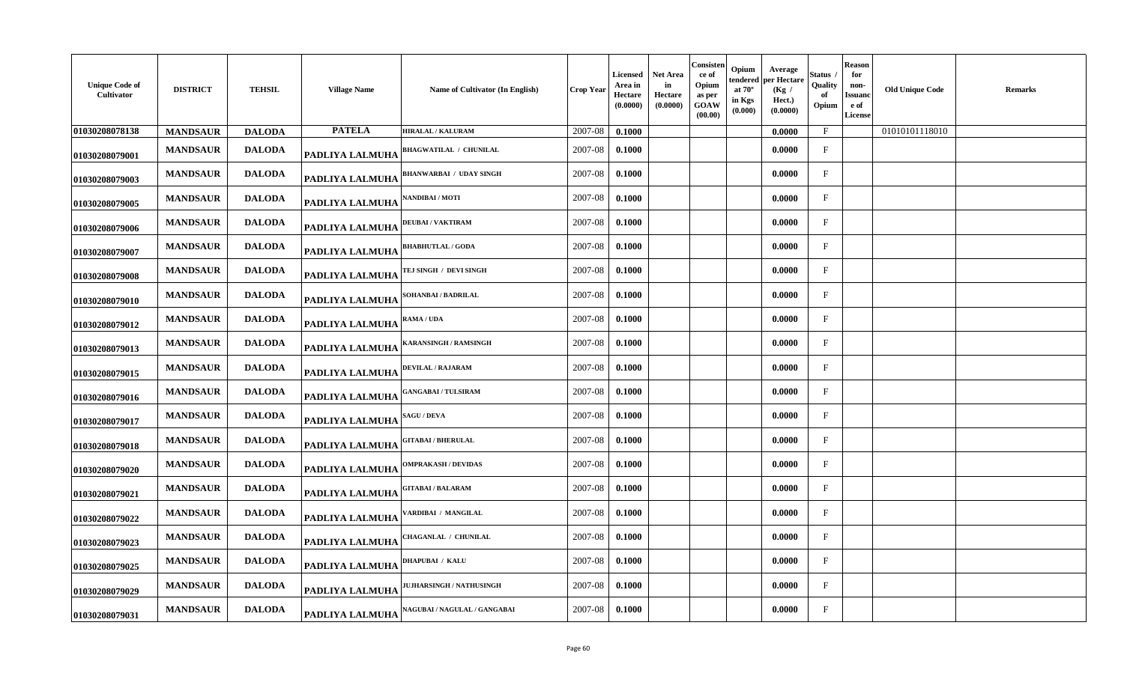| <b>Unique Code of</b><br>Cultivator | <b>DISTRICT</b> | <b>TEHSIL</b> | <b>Village Name</b> | Name of Cultivator (In English)     | <b>Crop Year</b> | Licensed<br>Area in<br>Hectare<br>(0.0000) | Net Area<br>in<br>Hectare<br>(0.0000) | Consisten<br>ce of<br>Opium<br>as per<br>GOAW<br>(00.00) | Opium<br>tendered<br>at $70^\circ$<br>in Kgs<br>(0.000) | Average<br>per Hectare<br>(Kg /<br>Hect.)<br>(0.0000) | štatus<br>Quality<br>of<br>Opium | <b>Reason</b><br>for<br>non-<br><b>Issuanc</b><br>e of<br>License | <b>Old Unique Code</b> | <b>Remarks</b> |
|-------------------------------------|-----------------|---------------|---------------------|-------------------------------------|------------------|--------------------------------------------|---------------------------------------|----------------------------------------------------------|---------------------------------------------------------|-------------------------------------------------------|----------------------------------|-------------------------------------------------------------------|------------------------|----------------|
| 01030208078138                      | <b>MANDSAUR</b> | <b>DALODA</b> | <b>PATELA</b>       | <b>HIRALAL / KALURAM</b>            | 2007-08          | 0.1000                                     |                                       |                                                          |                                                         | 0.0000                                                | $\mathbf{F}$                     |                                                                   | 01010101118010         |                |
| 01030208079001                      | <b>MANDSAUR</b> | <b>DALODA</b> | PADLIYA LALMUHA     | <b>BHAGWATILAL / CHUNILAL</b>       | 2007-08          | 0.1000                                     |                                       |                                                          |                                                         | 0.0000                                                | $\mathbf{F}$                     |                                                                   |                        |                |
| 01030208079003                      | <b>MANDSAUR</b> | <b>DALODA</b> | PADLIYA LALMUHA     | <b>BHANWARBAI / UDAY SINGH</b>      | 2007-08          | 0.1000                                     |                                       |                                                          |                                                         | 0.0000                                                | $\mathbf{F}$                     |                                                                   |                        |                |
| 01030208079005                      | <b>MANDSAUR</b> | <b>DALODA</b> | PADLIYA LALMUHA     | NANDIBAI / MOTI                     | 2007-08          | 0.1000                                     |                                       |                                                          |                                                         | 0.0000                                                | F                                |                                                                   |                        |                |
| 01030208079006                      | <b>MANDSAUR</b> | <b>DALODA</b> | PADLIYA LALMUHA     | <b>DEUBAI/VAKTIRAM</b>              | 2007-08          | 0.1000                                     |                                       |                                                          |                                                         | 0.0000                                                | $\mathbf{F}$                     |                                                                   |                        |                |
| 01030208079007                      | <b>MANDSAUR</b> | <b>DALODA</b> | PADLIYA LALMUHA     | <b>BHABHUTLAL / GODA</b>            | 2007-08          | 0.1000                                     |                                       |                                                          |                                                         | 0.0000                                                | $\mathbf{F}$                     |                                                                   |                        |                |
| 01030208079008                      | <b>MANDSAUR</b> | <b>DALODA</b> | PADLIYA LALMUHA     | TEJ SINGH / DEVI SINGH              | 2007-08          | 0.1000                                     |                                       |                                                          |                                                         | 0.0000                                                | $\mathbf{F}$                     |                                                                   |                        |                |
| 01030208079010                      | <b>MANDSAUR</b> | <b>DALODA</b> | PADLIYA LALMUHA     | SOHANBAI / BADRILAL                 | 2007-08          | 0.1000                                     |                                       |                                                          |                                                         | 0.0000                                                | F                                |                                                                   |                        |                |
| 01030208079012                      | <b>MANDSAUR</b> | <b>DALODA</b> | PADLIYA LALMUHA     | RAMA / UDA                          | 2007-08          | 0.1000                                     |                                       |                                                          |                                                         | 0.0000                                                | F                                |                                                                   |                        |                |
| 01030208079013                      | <b>MANDSAUR</b> | <b>DALODA</b> | PADLIYA LALMUHA     | KARANSINGH / RAMSINGH               | 2007-08          | 0.1000                                     |                                       |                                                          |                                                         | 0.0000                                                | $\mathbf{F}$                     |                                                                   |                        |                |
| 01030208079015                      | <b>MANDSAUR</b> | <b>DALODA</b> | PADLIYA LALMUHA     | DEVILAL / RAJARAM                   | 2007-08          | 0.1000                                     |                                       |                                                          |                                                         | 0.0000                                                | $\mathbf{F}$                     |                                                                   |                        |                |
| 01030208079016                      | <b>MANDSAUR</b> | <b>DALODA</b> | PADLIYA LALMUHA     | <b>GANGABAI / TULSIRAM</b>          | 2007-08          | 0.1000                                     |                                       |                                                          |                                                         | 0.0000                                                | $\mathbf{F}$                     |                                                                   |                        |                |
| 01030208079017                      | <b>MANDSAUR</b> | <b>DALODA</b> | PADLIYA LALMUHA     | <b>SAGU / DEVA</b>                  | 2007-08          | 0.1000                                     |                                       |                                                          |                                                         | 0.0000                                                | $\mathbf{F}$                     |                                                                   |                        |                |
| 01030208079018                      | <b>MANDSAUR</b> | <b>DALODA</b> | PADLIYA LALMUHA     | <b>GITABAI / BHERULAL</b>           | 2007-08          | 0.1000                                     |                                       |                                                          |                                                         | 0.0000                                                | F                                |                                                                   |                        |                |
| 01030208079020                      | <b>MANDSAUR</b> | <b>DALODA</b> | PADLIYA LALMUHA     | <b>OMPRAKASH / DEVIDAS</b>          | 2007-08          | 0.1000                                     |                                       |                                                          |                                                         | 0.0000                                                | $\mathbf{F}$                     |                                                                   |                        |                |
| 01030208079021                      | <b>MANDSAUR</b> | <b>DALODA</b> | PADLIYA LALMUHA     | <b>HTABAI/BALARAM</b>               | 2007-08          | 0.1000                                     |                                       |                                                          |                                                         | 0.0000                                                | $\mathbf{F}$                     |                                                                   |                        |                |
| 01030208079022                      | <b>MANDSAUR</b> | <b>DALODA</b> | PADLIYA LALMUHA     | <b>/ARDIBAI / MANGILAL</b>          | 2007-08          | 0.1000                                     |                                       |                                                          |                                                         | 0.0000                                                | $\mathbf{F}$                     |                                                                   |                        |                |
| 01030208079023                      | <b>MANDSAUR</b> | <b>DALODA</b> | PADLIYA LALMUHA     | CHAGANLAL / CHUNILAL                | 2007-08          | 0.1000                                     |                                       |                                                          |                                                         | 0.0000                                                | $\mathbf{F}$                     |                                                                   |                        |                |
| 01030208079025                      | <b>MANDSAUR</b> | <b>DALODA</b> | PADLIYA LALMUHA     | DHAPUBAI / KALU                     | 2007-08          | 0.1000                                     |                                       |                                                          |                                                         | 0.0000                                                | F                                |                                                                   |                        |                |
| 01030208079029                      | <b>MANDSAUR</b> | <b>DALODA</b> | PADLIYA LALMUHA     | <b>JUJHARSINGH / NATHUSINGH</b>     | 2007-08          | 0.1000                                     |                                       |                                                          |                                                         | 0.0000                                                | F                                |                                                                   |                        |                |
| 01030208079031                      | <b>MANDSAUR</b> | <b>DALODA</b> | PADLIYA LALMUHA     | <b>NAGUBAI / NAGULAL / GANGABAI</b> | 2007-08          | 0.1000                                     |                                       |                                                          |                                                         | 0.0000                                                | F                                |                                                                   |                        |                |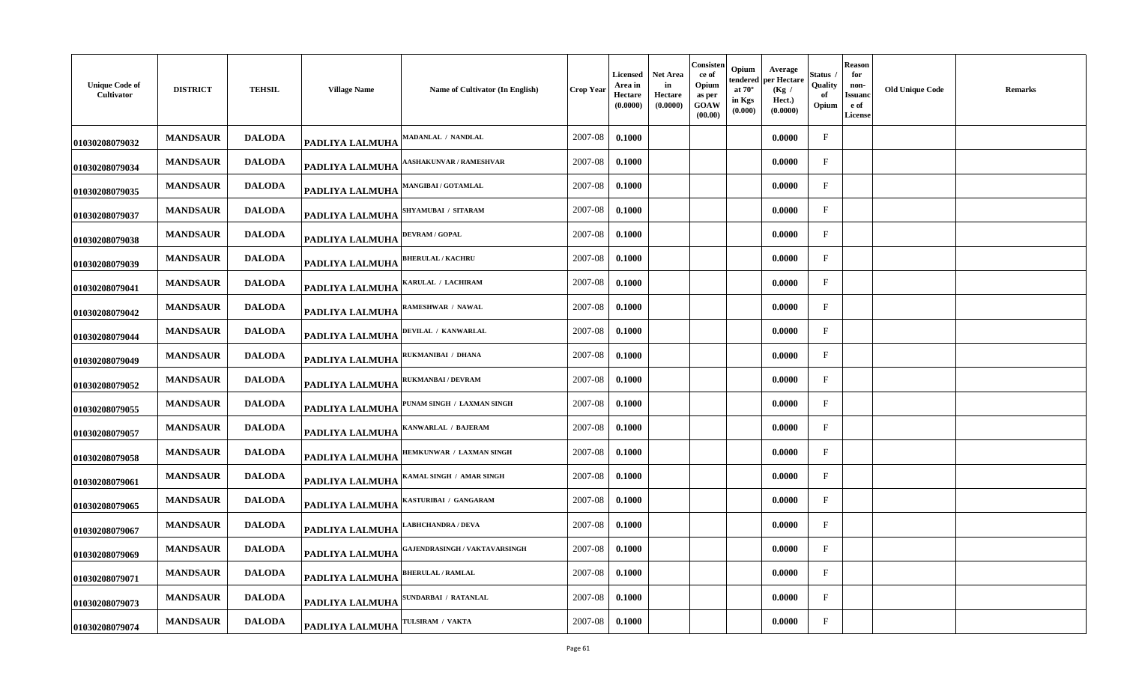| <b>Unique Code of</b><br>Cultivator | <b>DISTRICT</b> | <b>TEHSIL</b> | <b>Village Name</b>    | Name of Cultivator (In English)     | <b>Crop Year</b> | <b>Licensed</b><br>Area in<br>Hectare<br>(0.0000) | Net Area<br>in<br>Hectare<br>(0.0000) | Consisten<br>ce of<br>Opium<br>as per<br>GOAW<br>(00.00) | Opium<br>tendered<br>at $70^\circ$<br>in Kgs<br>(0.000) | Average<br>per Hectare<br>(Kg /<br>Hect.)<br>(0.0000) | Status<br>Quality<br>of<br>Opium | Reason<br>for<br>non-<br>Issuand<br>e of<br>License | Old Unique Code | Remarks |
|-------------------------------------|-----------------|---------------|------------------------|-------------------------------------|------------------|---------------------------------------------------|---------------------------------------|----------------------------------------------------------|---------------------------------------------------------|-------------------------------------------------------|----------------------------------|-----------------------------------------------------|-----------------|---------|
| 01030208079032                      | <b>MANDSAUR</b> | <b>DALODA</b> | <b>PADLIYA LALMUHA</b> | MADANLAL / NANDLAL                  | 2007-08          | 0.1000                                            |                                       |                                                          |                                                         | 0.0000                                                | $\mathbf{F}$                     |                                                     |                 |         |
| 01030208079034                      | <b>MANDSAUR</b> | <b>DALODA</b> | <b>PADLIYA LALMUHA</b> | <b>ASHAKUNVAR / RAMESHVAR</b>       | 2007-08          | 0.1000                                            |                                       |                                                          |                                                         | 0.0000                                                | $\mathbf{F}$                     |                                                     |                 |         |
| 01030208079035                      | <b>MANDSAUR</b> | <b>DALODA</b> | PADLIYA LALMUHA        | <b>MANGIBAI / GOTAMLAL</b>          | 2007-08          | 0.1000                                            |                                       |                                                          |                                                         | 0.0000                                                | $\mathbf{F}$                     |                                                     |                 |         |
| 01030208079037                      | <b>MANDSAUR</b> | <b>DALODA</b> | PADLIYA LALMUHA        | SHYAMUBAI / SITARAM                 | 2007-08          | 0.1000                                            |                                       |                                                          |                                                         | 0.0000                                                | $\mathbf{F}$                     |                                                     |                 |         |
| 01030208079038                      | <b>MANDSAUR</b> | <b>DALODA</b> | <b>PADLIYA LALMUHA</b> | <b>DEVRAM / GOPAL</b>               | 2007-08          | 0.1000                                            |                                       |                                                          |                                                         | 0.0000                                                | $\mathbf F$                      |                                                     |                 |         |
| 01030208079039                      | <b>MANDSAUR</b> | <b>DALODA</b> | <b>PADLIYA LALMUHA</b> | <b>BHERULAL / KACHRU</b>            | 2007-08          | 0.1000                                            |                                       |                                                          |                                                         | 0.0000                                                | $\mathbf{F}$                     |                                                     |                 |         |
| 01030208079041                      | <b>MANDSAUR</b> | <b>DALODA</b> | <b>PADLIYA LALMUHA</b> | <b>KARULAL / LACHIRAM</b>           | 2007-08          | 0.1000                                            |                                       |                                                          |                                                         | 0.0000                                                | $\mathbf{F}$                     |                                                     |                 |         |
| 01030208079042                      | <b>MANDSAUR</b> | <b>DALODA</b> | PADLIYA LALMUHA        | RAMESHWAR / NAWAL                   | 2007-08          | 0.1000                                            |                                       |                                                          |                                                         | 0.0000                                                | $\mathbf{F}$                     |                                                     |                 |         |
| 01030208079044                      | <b>MANDSAUR</b> | <b>DALODA</b> | PADLIYA LALMUHA        | DEVILAL / KANWARLAL                 | 2007-08          | 0.1000                                            |                                       |                                                          |                                                         | 0.0000                                                | $\mathbf{F}$                     |                                                     |                 |         |
| 01030208079049                      | <b>MANDSAUR</b> | <b>DALODA</b> | <b>PADLIYA LALMUHA</b> | RUKMANIBAI / DHANA                  | 2007-08          | 0.1000                                            |                                       |                                                          |                                                         | 0.0000                                                | F                                |                                                     |                 |         |
| 01030208079052                      | <b>MANDSAUR</b> | <b>DALODA</b> | PADLIYA LALMUHA        | <b>RUKMANBAI / DEVRAM</b>           | 2007-08          | 0.1000                                            |                                       |                                                          |                                                         | 0.0000                                                | $_{\rm F}$                       |                                                     |                 |         |
| 01030208079055                      | <b>MANDSAUR</b> | <b>DALODA</b> | PADLIYA LALMUHA        | PUNAM SINGH / LAXMAN SINGH          | 2007-08          | 0.1000                                            |                                       |                                                          |                                                         | 0.0000                                                | $\mathbf{F}$                     |                                                     |                 |         |
| 01030208079057                      | <b>MANDSAUR</b> | <b>DALODA</b> | PADLIYA LALMUHA        | KANWARLAL / BAJERAM                 | 2007-08          | 0.1000                                            |                                       |                                                          |                                                         | 0.0000                                                | $\mathbf{F}$                     |                                                     |                 |         |
| 01030208079058                      | <b>MANDSAUR</b> | <b>DALODA</b> | PADLIYA LALMUHA        | <b>IEMKUNWAR / LAXMAN SINGH</b>     | 2007-08          | 0.1000                                            |                                       |                                                          |                                                         | 0.0000                                                | $\mathbf{F}$                     |                                                     |                 |         |
| 01030208079061                      | <b>MANDSAUR</b> | <b>DALODA</b> | PADLIYA LALMUHA        | KAMAL SINGH / AMAR SINGH            | 2007-08          | 0.1000                                            |                                       |                                                          |                                                         | 0.0000                                                | $\mathbf{F}$                     |                                                     |                 |         |
| 01030208079065                      | <b>MANDSAUR</b> | <b>DALODA</b> | <b>PADLIYA LALMUHA</b> | <b>ASTURIBAI / GANGARAM</b>         | 2007-08          | 0.1000                                            |                                       |                                                          |                                                         | 0.0000                                                | $\mathbf F$                      |                                                     |                 |         |
| 01030208079067                      | <b>MANDSAUR</b> | <b>DALODA</b> | <b>PADLIYA LALMUHA</b> | <b>ABHCHANDRA / DEVA</b>            | 2007-08          | 0.1000                                            |                                       |                                                          |                                                         | 0.0000                                                | $\mathbf{F}$                     |                                                     |                 |         |
| 01030208079069                      | <b>MANDSAUR</b> | <b>DALODA</b> | <b>PADLIYA LALMUHA</b> | <b>AJENDRASINGH / VAKTAVARSINGH</b> | 2007-08          | 0.1000                                            |                                       |                                                          |                                                         | 0.0000                                                | $\mathbf{F}$                     |                                                     |                 |         |
| 01030208079071                      | <b>MANDSAUR</b> | <b>DALODA</b> | <b>PADLIYA LALMUHA</b> | <b>BHERULAL / RAMLAL</b>            | 2007-08          | 0.1000                                            |                                       |                                                          |                                                         | 0.0000                                                | $\mathbf{F}$                     |                                                     |                 |         |
| 01030208079073                      | <b>MANDSAUR</b> | <b>DALODA</b> | <b>PADLIYA LALMUHA</b> | SUNDARBAI / RATANLAL                | 2007-08          | 0.1000                                            |                                       |                                                          |                                                         | 0.0000                                                | $\mathbf{F}$                     |                                                     |                 |         |
| 01030208079074                      | <b>MANDSAUR</b> | <b>DALODA</b> | PADLIYA LALMUHA        | TULSIRAM / VAKTA                    | 2007-08          | 0.1000                                            |                                       |                                                          |                                                         | 0.0000                                                | $_{\rm F}$                       |                                                     |                 |         |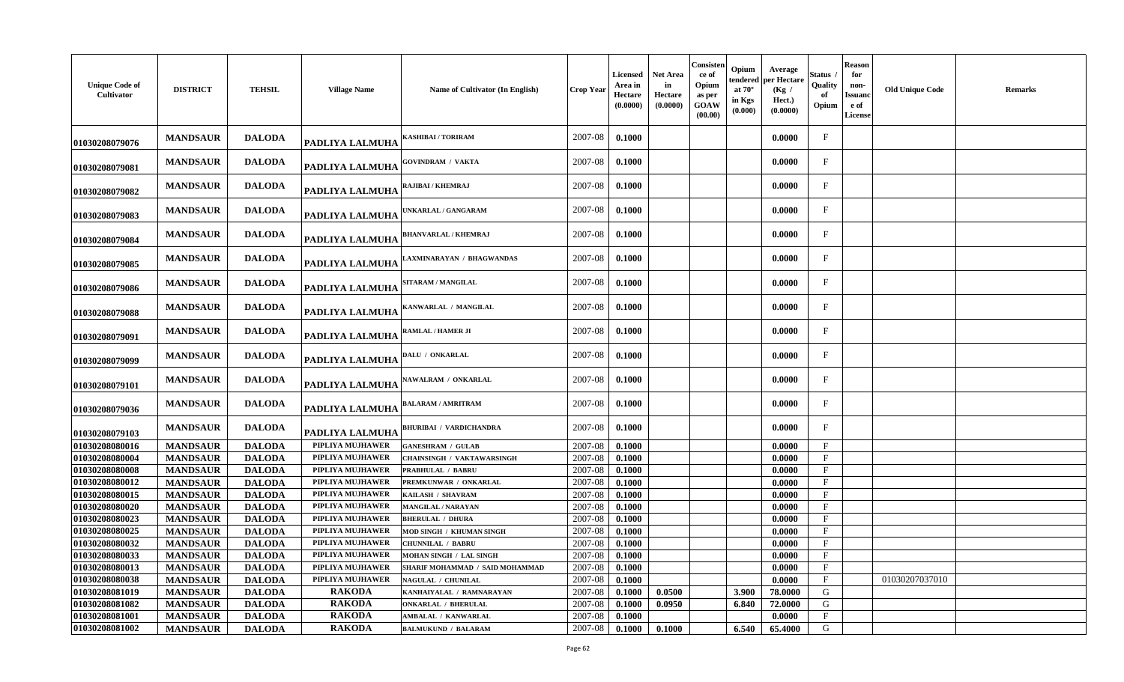| <b>Unique Code of</b><br>Cultivator | <b>DISTRICT</b>                    | <b>TEHSIL</b>                  | <b>Village Name</b>                  | Name of Cultivator (In English)            | <b>Crop Year</b>   | <b>Licensed</b><br>Area in<br>Hectare<br>(0.0000) | <b>Net Area</b><br>in<br>Hectare<br>(0.0000) | Consisten<br>ce of<br>Opium<br>as per<br>GOAW<br>(00.00) | Opium<br>tendered<br>at $70^\circ$<br>in Kgs<br>(0.000) | Average<br>per Hectare<br>(Kg)<br>Hect.)<br>(0.0000) | Status<br>Quality<br>Opium   | <b>Reason</b><br>for<br>non-<br>Issuanc<br>e of<br><b>License</b> | <b>Old Unique Code</b> | <b>Remarks</b> |
|-------------------------------------|------------------------------------|--------------------------------|--------------------------------------|--------------------------------------------|--------------------|---------------------------------------------------|----------------------------------------------|----------------------------------------------------------|---------------------------------------------------------|------------------------------------------------------|------------------------------|-------------------------------------------------------------------|------------------------|----------------|
| 01030208079076                      | <b>MANDSAUR</b>                    | <b>DALODA</b>                  | PADLIYA LALMUHA                      | <b>KASHIBAI / TORIRAM</b>                  | 2007-08            | 0.1000                                            |                                              |                                                          |                                                         | 0.0000                                               | $\mathbf F$                  |                                                                   |                        |                |
| 01030208079081                      | <b>MANDSAUR</b>                    | <b>DALODA</b>                  | PADLIYA LALMUHA                      | <b>GOVINDRAM / VAKTA</b>                   | 2007-08            | 0.1000                                            |                                              |                                                          |                                                         | 0.0000                                               | $\mathbf{F}$                 |                                                                   |                        |                |
| 01030208079082                      | <b>MANDSAUR</b>                    | <b>DALODA</b>                  | PADLIYA LALMUHA                      | RAJIBAI / KHEMRAJ                          | 2007-08            | 0.1000                                            |                                              |                                                          |                                                         | 0.0000                                               | F                            |                                                                   |                        |                |
| 01030208079083                      | <b>MANDSAUR</b>                    | <b>DALODA</b>                  | PADLIYA LALMUHA                      | UNKARLAL / GANGARAM                        | 2007-08            | 0.1000                                            |                                              |                                                          |                                                         | 0.0000                                               | $\mathbf F$                  |                                                                   |                        |                |
| 01030208079084                      | <b>MANDSAUR</b>                    | <b>DALODA</b>                  | PADLIYA LALMUHA                      | <b>BHANVARLAL / KHEMRAJ</b>                | 2007-08            | 0.1000                                            |                                              |                                                          |                                                         | 0.0000                                               | F                            |                                                                   |                        |                |
| 01030208079085                      | <b>MANDSAUR</b>                    | <b>DALODA</b>                  | PADLIYA LALMUHA                      | AXMINARAYAN / BHAGWANDAS                   | 2007-08            | 0.1000                                            |                                              |                                                          |                                                         | 0.0000                                               | $\mathbf{F}$                 |                                                                   |                        |                |
| 01030208079086                      | <b>MANDSAUR</b>                    | <b>DALODA</b>                  | PADLIYA LALMUHA                      | SITARAM / MANGILAL                         | 2007-08            | 0.1000                                            |                                              |                                                          |                                                         | 0.0000                                               | $_{\rm F}$                   |                                                                   |                        |                |
| 01030208079088                      | <b>MANDSAUR</b>                    | <b>DALODA</b>                  | PADLIYA LALMUHA                      | KANWARLAL / MANGILAL                       | 2007-08            | 0.1000                                            |                                              |                                                          |                                                         | 0.0000                                               | $\mathbf{F}$                 |                                                                   |                        |                |
| 01030208079091                      | <b>MANDSAUR</b>                    | <b>DALODA</b>                  | PADLIYA LALMUHA                      | <b>RAMLAL / HAMER JI</b>                   | 2007-08            | 0.1000                                            |                                              |                                                          |                                                         | 0.0000                                               | $\mathbf{F}$                 |                                                                   |                        |                |
| 01030208079099                      | <b>MANDSAUR</b>                    | <b>DALODA</b>                  | PADLIYA LALMUHA                      | DALU / ONKARLAL                            | 2007-08            | 0.1000                                            |                                              |                                                          |                                                         | 0.0000                                               | $\mathbf{F}$                 |                                                                   |                        |                |
| 01030208079101                      | <b>MANDSAUR</b>                    | <b>DALODA</b>                  | PADLIYA LALMUHA                      | NAWALRAM / ONKARLAL                        | 2007-08            | 0.1000                                            |                                              |                                                          |                                                         | 0.0000                                               | $\mathbf F$                  |                                                                   |                        |                |
| 01030208079036                      | <b>MANDSAUR</b>                    | <b>DALODA</b>                  | PADLIYA LALMUHA                      | <b>BALARAM / AMRITRAM</b>                  | 2007-08            | 0.1000                                            |                                              |                                                          |                                                         | 0.0000                                               | $\mathbf F$                  |                                                                   |                        |                |
| 01030208079103                      | <b>MANDSAUR</b>                    | <b>DALODA</b>                  | PADLIYA LALMUHA                      | <b>BHURIBAI / VARDICHANDRA</b>             | 2007-08            | 0.1000                                            |                                              |                                                          |                                                         | 0.0000                                               | $_{\rm F}$                   |                                                                   |                        |                |
| 01030208080016                      | <b>MANDSAUR</b>                    | <b>DALODA</b>                  | PIPLIYA MUJHAWER                     | <b>GANESHRAM / GULAB</b>                   | 2007-08            | 0.1000                                            |                                              |                                                          |                                                         | 0.0000                                               | $\mathbf{F}$                 |                                                                   |                        |                |
| 01030208080004                      | <b>MANDSAUR</b>                    | <b>DALODA</b>                  | PIPLIYA MUJHAWER<br>PIPLIYA MUJHAWER | <b>CHAINSINGH / VAKTAWARSINGH</b>          | 2007-08            | 0.1000                                            |                                              |                                                          |                                                         | 0.0000                                               | $\mathbf{F}$<br>$\mathbf{F}$ |                                                                   |                        |                |
| 01030208080008                      | <b>MANDSAUR</b>                    | <b>DALODA</b>                  | PIPLIYA MUJHAWER                     | <b>PRABHULAL / BABRU</b>                   | 2007-08            | 0.1000                                            |                                              |                                                          |                                                         | 0.0000                                               | $\mathbf F$                  |                                                                   |                        |                |
| 01030208080012<br>01030208080015    | <b>MANDSAUR</b>                    | <b>DALODA</b><br><b>DALODA</b> | PIPLIYA MUJHAWER                     | PREMKUNWAR / ONKARLAL<br>KAILASH / SHAVRAM | 2007-08<br>2007-08 | 0.1000                                            |                                              |                                                          |                                                         | 0.0000                                               | $\mathbf F$                  |                                                                   |                        |                |
| 01030208080020                      | <b>MANDSAUR</b><br><b>MANDSAUR</b> | <b>DALODA</b>                  | PIPLIYA MUJHAWER                     | <b>MANGILAL / NARAYAN</b>                  | 2007-08            | 0.1000<br>0.1000                                  |                                              |                                                          |                                                         | 0.0000<br>0.0000                                     | $\mathbf{F}$                 |                                                                   |                        |                |
| 01030208080023                      | <b>MANDSAUR</b>                    | <b>DALODA</b>                  | PIPLIYA MUJHAWER                     | <b>BHERULAL / DHURA</b>                    | 2007-08            | 0.1000                                            |                                              |                                                          |                                                         | 0.0000                                               | $\mathbf{F}$                 |                                                                   |                        |                |
| 01030208080025                      | <b>MANDSAUR</b>                    | <b>DALODA</b>                  | PIPLIYA MUJHAWER                     | MOD SINGH / KHUMAN SINGH                   | 2007-08            | 0.1000                                            |                                              |                                                          |                                                         | 0.0000                                               | $\mathbf{F}$                 |                                                                   |                        |                |
| 01030208080032                      | <b>MANDSAUR</b>                    | <b>DALODA</b>                  | PIPLIYA MUJHAWER                     | <b>CHUNNILAL / BABRU</b>                   | 2007-08            | 0.1000                                            |                                              |                                                          |                                                         | 0.0000                                               | $\mathbf{F}$                 |                                                                   |                        |                |
| 01030208080033                      | <b>MANDSAUR</b>                    | <b>DALODA</b>                  | PIPLIYA MUJHAWER                     | MOHAN SINGH / LAL SINGH                    | 2007-08            | 0.1000                                            |                                              |                                                          |                                                         | 0.0000                                               | $\mathbf{F}$                 |                                                                   |                        |                |
| 01030208080013                      | <b>MANDSAUR</b>                    | <b>DALODA</b>                  | PIPLIYA MUJHAWER                     | SHARIF MOHAMMAD / SAID MOHAMMAD            | 2007-08            | 0.1000                                            |                                              |                                                          |                                                         | 0.0000                                               | $\mathbf{F}$                 |                                                                   |                        |                |
| 01030208080038                      | <b>MANDSAUR</b>                    | <b>DALODA</b>                  | PIPLIYA MUJHAWER                     | <b>NAGULAL / CHUNILAL</b>                  | 2007-08            | 0.1000                                            |                                              |                                                          |                                                         | 0.0000                                               | $\mathbf{F}$                 |                                                                   | 01030207037010         |                |
| 01030208081019                      | <b>MANDSAUR</b>                    | <b>DALODA</b>                  | <b>RAKODA</b>                        | KANHAIYALAL / RAMNARAYAN                   | 2007-08            | 0.1000                                            | 0.0500                                       |                                                          | 3.900                                                   | 78.0000                                              | G                            |                                                                   |                        |                |
| 01030208081082                      | <b>MANDSAUR</b>                    | <b>DALODA</b>                  | <b>RAKODA</b>                        | <b>ONKARLAL / BHERULAL</b>                 | 2007-08            | 0.1000                                            | 0.0950                                       |                                                          | 6.840                                                   | 72.0000                                              | G                            |                                                                   |                        |                |
| 01030208081001                      | <b>MANDSAUR</b>                    | <b>DALODA</b>                  | <b>RAKODA</b>                        | AMBALAL / KANWARLAL                        | 2007-08            | 0.1000                                            |                                              |                                                          |                                                         | 0.0000                                               | $\mathbf F$                  |                                                                   |                        |                |
| 01030208081002                      | <b>MANDSAUR</b>                    | <b>DALODA</b>                  | <b>RAKODA</b>                        | <b>BALMUKUND / BALARAM</b>                 | 2007-08            | 0.1000                                            | 0.1000                                       |                                                          | 6.540                                                   | 65.4000                                              | G                            |                                                                   |                        |                |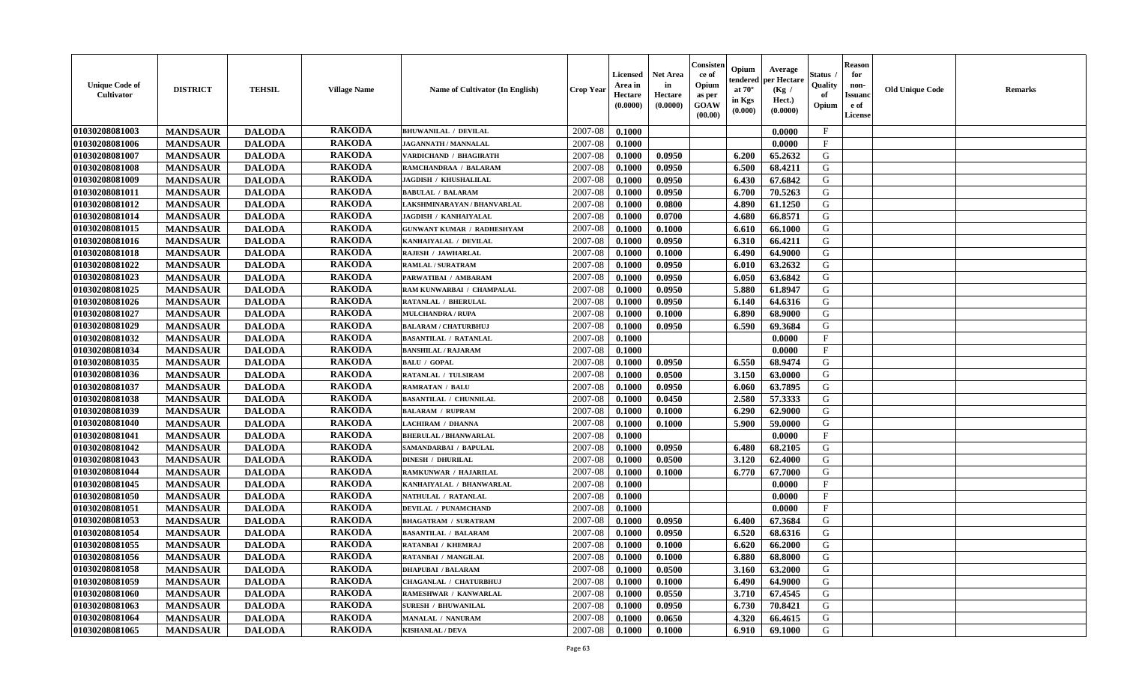| <b>Unique Code of</b><br>Cultivator | <b>DISTRICT</b> | <b>TEHSIL</b> | <b>Village Name</b> | <b>Name of Cultivator (In English)</b> | Crop Year | Licensed<br>Area in<br>Hectare<br>(0.0000) | <b>Net Area</b><br>in<br>Hectare<br>(0.0000) | Consister<br>ce of<br>Opium<br>as per<br>GOAW<br>(00.00) | Opium<br>endered<br>at $70^\circ$<br>in Kgs<br>(0.000) | Average<br>per Hectare<br>(Kg /<br>Hect.)<br>(0.0000) | Status<br>Quality<br>of<br>Opium | <b>Reason</b><br>for<br>non-<br><b>Issuanc</b><br>e of<br><b>License</b> | <b>Old Unique Code</b> | <b>Remarks</b> |
|-------------------------------------|-----------------|---------------|---------------------|----------------------------------------|-----------|--------------------------------------------|----------------------------------------------|----------------------------------------------------------|--------------------------------------------------------|-------------------------------------------------------|----------------------------------|--------------------------------------------------------------------------|------------------------|----------------|
| 01030208081003                      | <b>MANDSAUR</b> | <b>DALODA</b> | <b>RAKODA</b>       | <b>BHUWANILAL / DEVILAL</b>            | 2007-08   | 0.1000                                     |                                              |                                                          |                                                        | 0.0000                                                | $\mathbf{F}$                     |                                                                          |                        |                |
| 01030208081006                      | <b>MANDSAUR</b> | <b>DALODA</b> | <b>RAKODA</b>       | <b>JAGANNATH / MANNALAL</b>            | 2007-08   | 0.1000                                     |                                              |                                                          |                                                        | 0.0000                                                | $\mathbf{F}$                     |                                                                          |                        |                |
| 01030208081007                      | <b>MANDSAUR</b> | <b>DALODA</b> | <b>RAKODA</b>       | VARDICHAND / BHAGIRATH                 | 2007-08   | 0.1000                                     | 0.0950                                       |                                                          | 6.200                                                  | 65.2632                                               | G                                |                                                                          |                        |                |
| 01030208081008                      | <b>MANDSAUR</b> | <b>DALODA</b> | <b>RAKODA</b>       | RAMCHANDRAA / BALARAM                  | 2007-08   | 0.1000                                     | 0.0950                                       |                                                          | 6.500                                                  | 68.4211                                               | G                                |                                                                          |                        |                |
| 01030208081009                      | <b>MANDSAUR</b> | <b>DALODA</b> | <b>RAKODA</b>       | <b>JAGDISH / KHUSHALILAL</b>           | 2007-08   | 0.1000                                     | 0.0950                                       |                                                          | 6.430                                                  | 67.6842                                               | G                                |                                                                          |                        |                |
| 01030208081011                      | <b>MANDSAUR</b> | <b>DALODA</b> | <b>RAKODA</b>       | <b>BABULAL / BALARAM</b>               | 2007-08   | 0.1000                                     | 0.0950                                       |                                                          | 6.700                                                  | 70.5263                                               | G                                |                                                                          |                        |                |
| 01030208081012                      | <b>MANDSAUR</b> | <b>DALODA</b> | <b>RAKODA</b>       | LAKSHMINARAYAN / BHANVARLAL            | 2007-08   | 0.1000                                     | 0.0800                                       |                                                          | 4.890                                                  | 61.1250                                               | G                                |                                                                          |                        |                |
| 01030208081014                      | <b>MANDSAUR</b> | <b>DALODA</b> | <b>RAKODA</b>       | <b>JAGDISH / KANHAIYALAL</b>           | 2007-08   | 0.1000                                     | 0.0700                                       |                                                          | 4.680                                                  | 66.8571                                               | G                                |                                                                          |                        |                |
| 01030208081015                      | <b>MANDSAUR</b> | <b>DALODA</b> | <b>RAKODA</b>       | <b>GUNWANT KUMAR / RADHESHYAM</b>      | 2007-08   | 0.1000                                     | 0.1000                                       |                                                          | 6.610                                                  | 66.1000                                               | G                                |                                                                          |                        |                |
| 01030208081016                      | <b>MANDSAUR</b> | <b>DALODA</b> | <b>RAKODA</b>       | KANHAIYALAL / DEVILAL                  | 2007-08   | 0.1000                                     | 0.0950                                       |                                                          | 6.310                                                  | 66.4211                                               | G                                |                                                                          |                        |                |
| 01030208081018                      | <b>MANDSAUR</b> | <b>DALODA</b> | <b>RAKODA</b>       | RAJESH / JAWHARLAL                     | 2007-08   | 0.1000                                     | 0.1000                                       |                                                          | 6.490                                                  | 64.9000                                               | G                                |                                                                          |                        |                |
| 01030208081022                      | <b>MANDSAUR</b> | <b>DALODA</b> | <b>RAKODA</b>       | <b>RAMLAL / SURATRAM</b>               | 2007-08   | 0.1000                                     | 0.0950                                       |                                                          | 6.010                                                  | 63.2632                                               | G                                |                                                                          |                        |                |
| 01030208081023                      | <b>MANDSAUR</b> | <b>DALODA</b> | <b>RAKODA</b>       | PARWATIBAI / AMBARAM                   | 2007-08   | 0.1000                                     | 0.0950                                       |                                                          | 6.050                                                  | 63.6842                                               | G                                |                                                                          |                        |                |
| 01030208081025                      | <b>MANDSAUR</b> | <b>DALODA</b> | <b>RAKODA</b>       | RAM KUNWARBAI / CHAMPALAL              | 2007-08   | 0.1000                                     | 0.0950                                       |                                                          | 5.880                                                  | 61.8947                                               | G                                |                                                                          |                        |                |
| 01030208081026                      | <b>MANDSAUR</b> | <b>DALODA</b> | <b>RAKODA</b>       | <b>RATANLAL / BHERULAL</b>             | 2007-08   | 0.1000                                     | 0.0950                                       |                                                          | 6.140                                                  | 64.6316                                               | G                                |                                                                          |                        |                |
| 01030208081027                      | <b>MANDSAUR</b> | <b>DALODA</b> | <b>RAKODA</b>       | <b>MULCHANDRA / RUPA</b>               | 2007-08   | 0.1000                                     | 0.1000                                       |                                                          | 6.890                                                  | 68.9000                                               | G                                |                                                                          |                        |                |
| 01030208081029                      | <b>MANDSAUR</b> | <b>DALODA</b> | <b>RAKODA</b>       | <b>BALARAM / CHATURBHUJ</b>            | 2007-08   | 0.1000                                     | 0.0950                                       |                                                          | 6.590                                                  | 69.3684                                               | G                                |                                                                          |                        |                |
| 01030208081032                      | <b>MANDSAUR</b> | <b>DALODA</b> | <b>RAKODA</b>       | <b>BASANTILAL / RATANLAL</b>           | 2007-08   | 0.1000                                     |                                              |                                                          |                                                        | 0.0000                                                | $\mathbf{F}$                     |                                                                          |                        |                |
| 01030208081034                      | <b>MANDSAUR</b> | <b>DALODA</b> | <b>RAKODA</b>       | <b>BANSHILAL / RAJARAM</b>             | 2007-08   | 0.1000                                     |                                              |                                                          |                                                        | 0.0000                                                | $\mathbf{F}$                     |                                                                          |                        |                |
| 01030208081035                      | <b>MANDSAUR</b> | <b>DALODA</b> | <b>RAKODA</b>       | <b>BALU / GOPAL</b>                    | 2007-08   | 0.1000                                     | 0.0950                                       |                                                          | 6.550                                                  | 68.9474                                               | G                                |                                                                          |                        |                |
| 01030208081036                      | <b>MANDSAUR</b> | <b>DALODA</b> | <b>RAKODA</b>       | RATANLAL / TULSIRAM                    | 2007-08   | 0.1000                                     | 0.0500                                       |                                                          | 3.150                                                  | 63.0000                                               | G                                |                                                                          |                        |                |
| 01030208081037                      | <b>MANDSAUR</b> | <b>DALODA</b> | <b>RAKODA</b>       | <b>RAMRATAN / BALU</b>                 | 2007-08   | 0.1000                                     | 0.0950                                       |                                                          | 6.060                                                  | 63.7895                                               | G                                |                                                                          |                        |                |
| 01030208081038                      | <b>MANDSAUR</b> | <b>DALODA</b> | <b>RAKODA</b>       | <b>BASANTILAL / CHUNNILAL</b>          | 2007-08   | 0.1000                                     | 0.0450                                       |                                                          | 2.580                                                  | 57.3333                                               | G                                |                                                                          |                        |                |
| 01030208081039                      | <b>MANDSAUR</b> | <b>DALODA</b> | <b>RAKODA</b>       | <b>BALARAM / RUPRAM</b>                | 2007-08   | 0.1000                                     | 0.1000                                       |                                                          | 6.290                                                  | 62.9000                                               | G                                |                                                                          |                        |                |
| 01030208081040                      | <b>MANDSAUR</b> | <b>DALODA</b> | <b>RAKODA</b>       | <b>LACHIRAM / DHANNA</b>               | 2007-08   | 0.1000                                     | 0.1000                                       |                                                          | 5.900                                                  | 59.0000                                               | G                                |                                                                          |                        |                |
| 01030208081041                      | <b>MANDSAUR</b> | <b>DALODA</b> | <b>RAKODA</b>       | <b>BHERULAL / BHANWARLAL</b>           | 2007-08   | 0.1000                                     |                                              |                                                          |                                                        | 0.0000                                                | $\mathbf{F}$                     |                                                                          |                        |                |
| 01030208081042                      | <b>MANDSAUR</b> | <b>DALODA</b> | <b>RAKODA</b>       | SAMANDARBAI / BAPULAL                  | 2007-08   | 0.1000                                     | 0.0950                                       |                                                          | 6.480                                                  | 68.2105                                               | G                                |                                                                          |                        |                |
| 01030208081043                      | <b>MANDSAUR</b> | <b>DALODA</b> | <b>RAKODA</b>       | <b>DINESH / DHURILAL</b>               | 2007-08   | 0.1000                                     | 0.0500                                       |                                                          | 3.120                                                  | 62.4000                                               | G                                |                                                                          |                        |                |
| 01030208081044                      | <b>MANDSAUR</b> | <b>DALODA</b> | <b>RAKODA</b>       | RAMKUNWAR / HAJARILAL                  | 2007-08   | 0.1000                                     | 0.1000                                       |                                                          | 6.770                                                  | 67.7000                                               | G                                |                                                                          |                        |                |
| 01030208081045                      | <b>MANDSAUR</b> | <b>DALODA</b> | <b>RAKODA</b>       | KANHAIYALAL / BHANWARLAL               | 2007-08   | 0.1000                                     |                                              |                                                          |                                                        | 0.0000                                                | $\mathbf F$                      |                                                                          |                        |                |
| 01030208081050                      | <b>MANDSAUR</b> | <b>DALODA</b> | <b>RAKODA</b>       | NATHULAL / RATANLAL                    | 2007-08   | 0.1000                                     |                                              |                                                          |                                                        | 0.0000                                                | $\mathbf{F}$                     |                                                                          |                        |                |
| 01030208081051                      | <b>MANDSAUR</b> | <b>DALODA</b> | <b>RAKODA</b>       | <b>DEVILAL / PUNAMCHAND</b>            | 2007-08   | 0.1000                                     |                                              |                                                          |                                                        | 0.0000                                                | $\mathbf{F}$                     |                                                                          |                        |                |
| 01030208081053                      | <b>MANDSAUR</b> | <b>DALODA</b> | <b>RAKODA</b>       | <b>BHAGATRAM / SURATRAM</b>            | 2007-08   | 0.1000                                     | 0.0950                                       |                                                          | 6.400                                                  | 67.3684                                               | G                                |                                                                          |                        |                |
| 01030208081054                      | <b>MANDSAUR</b> | <b>DALODA</b> | <b>RAKODA</b>       | <b>BASANTILAL / BALARAM</b>            | 2007-08   | 0.1000                                     | 0.0950                                       |                                                          | 6.520                                                  | 68.6316                                               | G                                |                                                                          |                        |                |
| 01030208081055                      | <b>MANDSAUR</b> | <b>DALODA</b> | <b>RAKODA</b>       | RATANBAI / KHEMRAJ                     | 2007-08   | 0.1000                                     | 0.1000                                       |                                                          | 6.620                                                  | 66.2000                                               | G                                |                                                                          |                        |                |
| 01030208081056                      | <b>MANDSAUR</b> | <b>DALODA</b> | <b>RAKODA</b>       | RATANBAI / MANGILAL                    | 2007-08   | 0.1000                                     | 0.1000                                       |                                                          | 6.880                                                  | 68.8000                                               | G                                |                                                                          |                        |                |
| 01030208081058                      | <b>MANDSAUR</b> | <b>DALODA</b> | <b>RAKODA</b>       | <b>DHAPUBAI / BALARAM</b>              | 2007-08   | 0.1000                                     | 0.0500                                       |                                                          | 3.160                                                  | 63.2000                                               | G                                |                                                                          |                        |                |
| 01030208081059                      | <b>MANDSAUR</b> | <b>DALODA</b> | <b>RAKODA</b>       | CHAGANLAL / CHATURBHUJ                 | 2007-08   | 0.1000                                     | 0.1000                                       |                                                          | 6.490                                                  | 64.9000                                               | G                                |                                                                          |                        |                |
| 01030208081060                      | <b>MANDSAUR</b> | <b>DALODA</b> | <b>RAKODA</b>       | RAMESHWAR / KANWARLAL                  | 2007-08   | 0.1000                                     | 0.0550                                       |                                                          | 3.710                                                  | 67.4545                                               | G                                |                                                                          |                        |                |
| <b>01030208081063</b>               | <b>MANDSAUR</b> | <b>DALODA</b> | <b>RAKODA</b>       | <b>SURESH / BHUWANILAL</b>             | 2007-08   | 0.1000                                     | 0.0950                                       |                                                          | 6.730                                                  | 70.8421                                               | G                                |                                                                          |                        |                |
| 01030208081064                      | <b>MANDSAUR</b> | <b>DALODA</b> | <b>RAKODA</b>       | MANALAL / NANURAM                      | 2007-08   | 0.1000                                     | 0.0650                                       |                                                          | 4.320                                                  | 66.4615                                               | G                                |                                                                          |                        |                |
| 01030208081065                      | <b>MANDSAUR</b> | <b>DALODA</b> | <b>RAKODA</b>       | <b>KISHANLAL / DEVA</b>                | 2007-08   | 0.1000                                     | 0.1000                                       |                                                          | 6.910                                                  | 69.1000                                               | G                                |                                                                          |                        |                |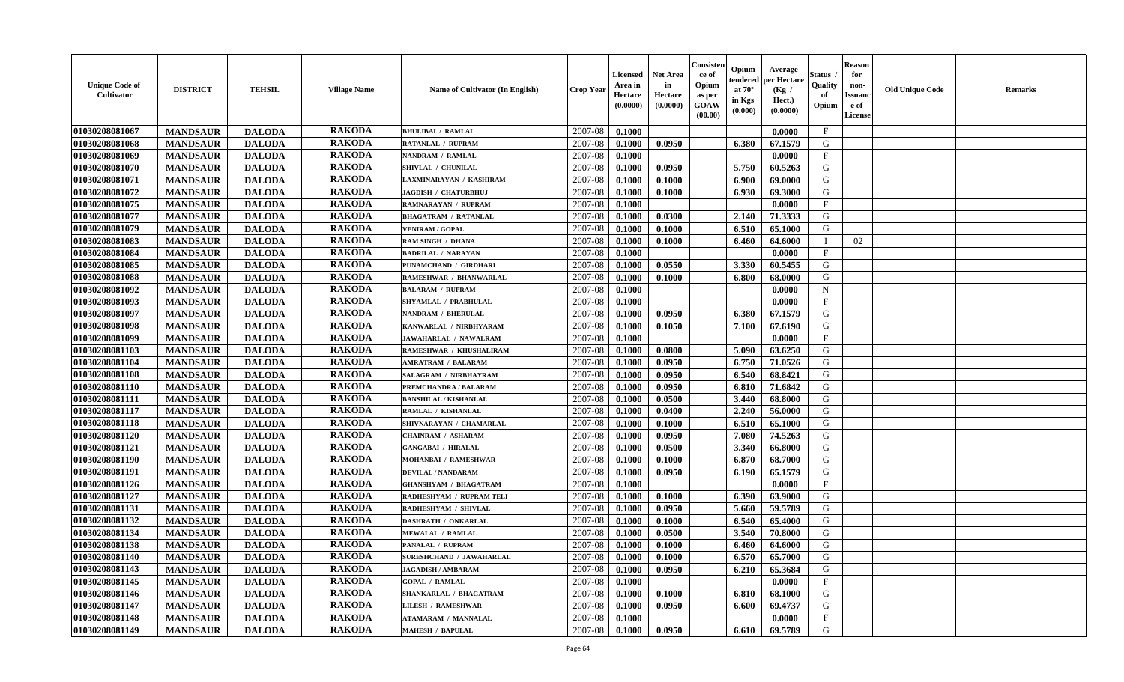| <b>Unique Code of</b><br>Cultivator | <b>DISTRICT</b> | <b>TEHSIL</b> | <b>Village Name</b> | Name of Cultivator (In English) | <b>Crop Year</b> | <b>Licensed</b><br>Area in<br>Hectare<br>(0.0000) | <b>Net Area</b><br>in<br>Hectare<br>(0.0000) | Consisten<br>ce of<br>Opium<br>as per<br><b>GOAW</b><br>(00.00) | Opium<br>endered<br>at $70^\circ$<br>in Kgs<br>(0.000) | Average<br>per Hectare<br>(Kg /<br>Hect.)<br>(0.0000) | Status ,<br>Quality<br>of<br>Opium | <b>Reason</b><br>for<br>non-<br><b>Issuanc</b><br>e of<br><b>License</b> | <b>Old Unique Code</b> | <b>Remarks</b> |
|-------------------------------------|-----------------|---------------|---------------------|---------------------------------|------------------|---------------------------------------------------|----------------------------------------------|-----------------------------------------------------------------|--------------------------------------------------------|-------------------------------------------------------|------------------------------------|--------------------------------------------------------------------------|------------------------|----------------|
| 01030208081067                      | <b>MANDSAUR</b> | <b>DALODA</b> | <b>RAKODA</b>       | <b>BHULIBAI / RAMLAL</b>        | 2007-08          | 0.1000                                            |                                              |                                                                 |                                                        | 0.0000                                                | $\mathbf{F}$                       |                                                                          |                        |                |
| 01030208081068                      | <b>MANDSAUR</b> | <b>DALODA</b> | <b>RAKODA</b>       | RATANLAL / RUPRAM               | 2007-08          | 0.1000                                            | 0.0950                                       |                                                                 | 6.380                                                  | 67.1579                                               | G                                  |                                                                          |                        |                |
| 01030208081069                      | <b>MANDSAUR</b> | <b>DALODA</b> | <b>RAKODA</b>       | NANDRAM / RAMLAL                | 2007-08          | 0.1000                                            |                                              |                                                                 |                                                        | 0.0000                                                | $\mathbf{F}$                       |                                                                          |                        |                |
| 01030208081070                      | <b>MANDSAUR</b> | <b>DALODA</b> | <b>RAKODA</b>       | SHIVLAL / CHUNILAL              | 2007-08          | 0.1000                                            | 0.0950                                       |                                                                 | 5.750                                                  | 60.5263                                               | G                                  |                                                                          |                        |                |
| 01030208081071                      | <b>MANDSAUR</b> | <b>DALODA</b> | <b>RAKODA</b>       | LAXMINARAYAN / KASHIRAM         | 2007-08          | 0.1000                                            | 0.1000                                       |                                                                 | 6.900                                                  | 69.0000                                               | G                                  |                                                                          |                        |                |
| 01030208081072                      | <b>MANDSAUR</b> | <b>DALODA</b> | <b>RAKODA</b>       | JAGDISH / CHATURBHUJ            | 2007-08          | 0.1000                                            | 0.1000                                       |                                                                 | 6.930                                                  | 69.3000                                               | G                                  |                                                                          |                        |                |
| 01030208081075                      | <b>MANDSAUR</b> | <b>DALODA</b> | <b>RAKODA</b>       | <b>RAMNARAYAN / RUPRAM</b>      | 2007-08          | 0.1000                                            |                                              |                                                                 |                                                        | 0.0000                                                | $\mathbf{F}$                       |                                                                          |                        |                |
| 01030208081077                      | <b>MANDSAUR</b> | <b>DALODA</b> | <b>RAKODA</b>       | <b>BHAGATRAM / RATANLAL</b>     | 2007-08          | 0.1000                                            | 0.0300                                       |                                                                 | 2.140                                                  | 71.3333                                               | G                                  |                                                                          |                        |                |
| 01030208081079                      | <b>MANDSAUR</b> | <b>DALODA</b> | <b>RAKODA</b>       | <b>VENIRAM / GOPAL</b>          | 2007-08          | 0.1000                                            | 0.1000                                       |                                                                 | 6.510                                                  | 65.1000                                               | G                                  |                                                                          |                        |                |
| 01030208081083                      | <b>MANDSAUR</b> | <b>DALODA</b> | <b>RAKODA</b>       | RAM SINGH / DHANA               | 2007-08          | 0.1000                                            | 0.1000                                       |                                                                 | 6.460                                                  | 64.6000                                               | <sup>1</sup>                       | 02                                                                       |                        |                |
| 01030208081084                      | <b>MANDSAUR</b> | <b>DALODA</b> | <b>RAKODA</b>       | <b>BADRILAL / NARAYAN</b>       | 2007-08          | 0.1000                                            |                                              |                                                                 |                                                        | 0.0000                                                | $\mathbf{F}$                       |                                                                          |                        |                |
| 01030208081085                      | <b>MANDSAUR</b> | <b>DALODA</b> | <b>RAKODA</b>       | PUNAMCHAND / GIRDHARI           | 2007-08          | 0.1000                                            | 0.0550                                       |                                                                 | 3.330                                                  | 60.5455                                               | G                                  |                                                                          |                        |                |
| 01030208081088                      | <b>MANDSAUR</b> | <b>DALODA</b> | <b>RAKODA</b>       | <b>RAMESHWAR / BHANWARLAL</b>   | 2007-08          | 0.1000                                            | 0.1000                                       |                                                                 | 6.800                                                  | 68.0000                                               | G                                  |                                                                          |                        |                |
| 01030208081092                      | <b>MANDSAUR</b> | <b>DALODA</b> | <b>RAKODA</b>       | <b>BALARAM / RUPRAM</b>         | 2007-08          | 0.1000                                            |                                              |                                                                 |                                                        | 0.0000                                                | $\mathbf N$                        |                                                                          |                        |                |
| 01030208081093                      | <b>MANDSAUR</b> | <b>DALODA</b> | <b>RAKODA</b>       | <b>SHYAMLAL / PRABHULAL</b>     | 2007-08          | 0.1000                                            |                                              |                                                                 |                                                        | 0.0000                                                | $\mathbf{F}$                       |                                                                          |                        |                |
| 01030208081097                      | <b>MANDSAUR</b> | <b>DALODA</b> | <b>RAKODA</b>       | <b>NANDRAM / BHERULAL</b>       | 2007-08          | 0.1000                                            | 0.0950                                       |                                                                 | 6.380                                                  | 67.1579                                               | G                                  |                                                                          |                        |                |
| 01030208081098                      | <b>MANDSAUR</b> | <b>DALODA</b> | <b>RAKODA</b>       | KANWARLAL / NIRBHYARAM          | 2007-08          | 0.1000                                            | 0.1050                                       |                                                                 | 7.100                                                  | 67.6190                                               | G                                  |                                                                          |                        |                |
| 01030208081099                      | <b>MANDSAUR</b> | <b>DALODA</b> | <b>RAKODA</b>       | JAWAHARLAL / NAWALRAM           | 2007-08          | 0.1000                                            |                                              |                                                                 |                                                        | 0.0000                                                | $_{\rm F}$                         |                                                                          |                        |                |
| 01030208081103                      | <b>MANDSAUR</b> | <b>DALODA</b> | <b>RAKODA</b>       | RAMESHWAR / KHUSHALIRAM         | 2007-08          | 0.1000                                            | 0.0800                                       |                                                                 | 5.090                                                  | 63.6250                                               | G                                  |                                                                          |                        |                |
| 01030208081104                      | <b>MANDSAUR</b> | <b>DALODA</b> | <b>RAKODA</b>       | <b>AMRATRAM / BALARAM</b>       | 2007-08          | 0.1000                                            | 0.0950                                       |                                                                 | 6.750                                                  | 71.0526                                               | G                                  |                                                                          |                        |                |
| 01030208081108                      | <b>MANDSAUR</b> | <b>DALODA</b> | <b>RAKODA</b>       | SALAGRAM / NIRBHAYRAM           | 2007-08          | 0.1000                                            | 0.0950                                       |                                                                 | 6.540                                                  | 68.8421                                               | G                                  |                                                                          |                        |                |
| 01030208081110                      | <b>MANDSAUR</b> | <b>DALODA</b> | <b>RAKODA</b>       | PREMCHANDRA / BALARAM           | 2007-08          | 0.1000                                            | 0.0950                                       |                                                                 | 6.810                                                  | 71.6842                                               | G                                  |                                                                          |                        |                |
| 01030208081111                      | <b>MANDSAUR</b> | <b>DALODA</b> | <b>RAKODA</b>       | <b>BANSHILAL / KISHANLAL</b>    | 2007-08          | 0.1000                                            | 0.0500                                       |                                                                 | 3.440                                                  | 68.8000                                               | G                                  |                                                                          |                        |                |
| 01030208081117                      | <b>MANDSAUR</b> | <b>DALODA</b> | <b>RAKODA</b>       | RAMLAL / KISHANLAL              | 2007-08          | 0.1000                                            | 0.0400                                       |                                                                 | 2.240                                                  | 56.0000                                               | G                                  |                                                                          |                        |                |
| 01030208081118                      | <b>MANDSAUR</b> | <b>DALODA</b> | <b>RAKODA</b>       | SHIVNARAYAN / CHAMARLAL         | 2007-08          | 0.1000                                            | 0.1000                                       |                                                                 | 6.510                                                  | 65.1000                                               | G                                  |                                                                          |                        |                |
| 01030208081120                      | <b>MANDSAUR</b> | <b>DALODA</b> | <b>RAKODA</b>       | <b>CHAINRAM / ASHARAM</b>       | 2007-08          | 0.1000                                            | 0.0950                                       |                                                                 | 7.080                                                  | 74.5263                                               | G                                  |                                                                          |                        |                |
| 01030208081121                      | <b>MANDSAUR</b> | <b>DALODA</b> | <b>RAKODA</b>       | <b>GANGABAI / HIRALAL</b>       | 2007-08          | 0.1000                                            | 0.0500                                       |                                                                 | 3.340                                                  | 66.8000                                               | G                                  |                                                                          |                        |                |
| 01030208081190                      | <b>MANDSAUR</b> | <b>DALODA</b> | <b>RAKODA</b>       | <b>MOHANBAI / RAMESHWAR</b>     | 2007-08          | 0.1000                                            | 0.1000                                       |                                                                 | 6.870                                                  | 68.7000                                               | G                                  |                                                                          |                        |                |
| 01030208081191                      | <b>MANDSAUR</b> | <b>DALODA</b> | <b>RAKODA</b>       | <b>DEVILAL / NANDARAM</b>       | 2007-08          | 0.1000                                            | 0.0950                                       |                                                                 | 6.190                                                  | 65.1579                                               | G                                  |                                                                          |                        |                |
| 01030208081126                      | <b>MANDSAUR</b> | <b>DALODA</b> | <b>RAKODA</b>       | <b>GHANSHYAM / BHAGATRAM</b>    | 2007-08          | 0.1000                                            |                                              |                                                                 |                                                        | 0.0000                                                | $\mathbf{F}$                       |                                                                          |                        |                |
| 01030208081127                      | <b>MANDSAUR</b> | <b>DALODA</b> | <b>RAKODA</b>       | RADHESHYAM / RUPRAM TELI        | 2007-08          | 0.1000                                            | 0.1000                                       |                                                                 | 6.390                                                  | 63.9000                                               | G                                  |                                                                          |                        |                |
| 01030208081131                      | <b>MANDSAUR</b> | <b>DALODA</b> | <b>RAKODA</b>       | RADHESHYAM / SHIVLAL            | 2007-08          | 0.1000                                            | 0.0950                                       |                                                                 | 5.660                                                  | 59.5789                                               | ${\bf G}$                          |                                                                          |                        |                |
| 01030208081132                      | <b>MANDSAUR</b> | <b>DALODA</b> | <b>RAKODA</b>       | DASHRATH / ONKARLAL             | 2007-08          | 0.1000                                            | 0.1000                                       |                                                                 | 6.540                                                  | 65.4000                                               | G                                  |                                                                          |                        |                |
| 01030208081134                      | <b>MANDSAUR</b> | <b>DALODA</b> | <b>RAKODA</b>       | <b>MEWALAL / RAMLAL</b>         | 2007-08          | 0.1000                                            | 0.0500                                       |                                                                 | 3.540                                                  | 70.8000                                               | G                                  |                                                                          |                        |                |
| 01030208081138                      | <b>MANDSAUR</b> | <b>DALODA</b> | <b>RAKODA</b>       | <b>PANALAL / RUPRAM</b>         | 2007-08          | 0.1000                                            | 0.1000                                       |                                                                 | 6.460                                                  | 64.6000                                               | G                                  |                                                                          |                        |                |
| 01030208081140                      | <b>MANDSAUR</b> | <b>DALODA</b> | <b>RAKODA</b>       | <b>SURESHCHAND / JAWAHARLAL</b> | 2007-08          | 0.1000                                            | 0.1000                                       |                                                                 | 6.570                                                  | 65.7000                                               | G                                  |                                                                          |                        |                |
| 01030208081143                      | <b>MANDSAUR</b> | <b>DALODA</b> | <b>RAKODA</b>       | <b>JAGADISH / AMBARAM</b>       | 2007-08          | 0.1000                                            | 0.0950                                       |                                                                 | 6.210                                                  | 65.3684                                               | G                                  |                                                                          |                        |                |
| 01030208081145                      | <b>MANDSAUR</b> | <b>DALODA</b> | <b>RAKODA</b>       | <b>GOPAL / RAMLAL</b>           | 2007-08          | 0.1000                                            |                                              |                                                                 |                                                        | 0.0000                                                | $\mathbf{F}$                       |                                                                          |                        |                |
| 01030208081146                      | <b>MANDSAUR</b> | <b>DALODA</b> | <b>RAKODA</b>       | SHANKARLAL / BHAGATRAM          | 2007-08          | 0.1000                                            | 0.1000                                       |                                                                 | 6.810                                                  | 68.1000                                               | G                                  |                                                                          |                        |                |
| 01030208081147                      | <b>MANDSAUR</b> | <b>DALODA</b> | <b>RAKODA</b>       | <b>LILESH / RAMESHWAR</b>       | 2007-08          | 0.1000                                            | 0.0950                                       |                                                                 | 6.600                                                  | 69.4737                                               | ${\bf G}$                          |                                                                          |                        |                |
| 01030208081148                      | <b>MANDSAUR</b> | <b>DALODA</b> | <b>RAKODA</b>       | <b>ATAMARAM / MANNALAL</b>      | 2007-08          | 0.1000                                            |                                              |                                                                 |                                                        | 0.0000                                                | $\mathbf{F}$                       |                                                                          |                        |                |
| 01030208081149                      | <b>MANDSAUR</b> | <b>DALODA</b> | <b>RAKODA</b>       | <b>MAHESH / BAPULAL</b>         | 2007-08          | 0.1000                                            | 0.0950                                       |                                                                 | 6.610                                                  | 69.5789                                               | G                                  |                                                                          |                        |                |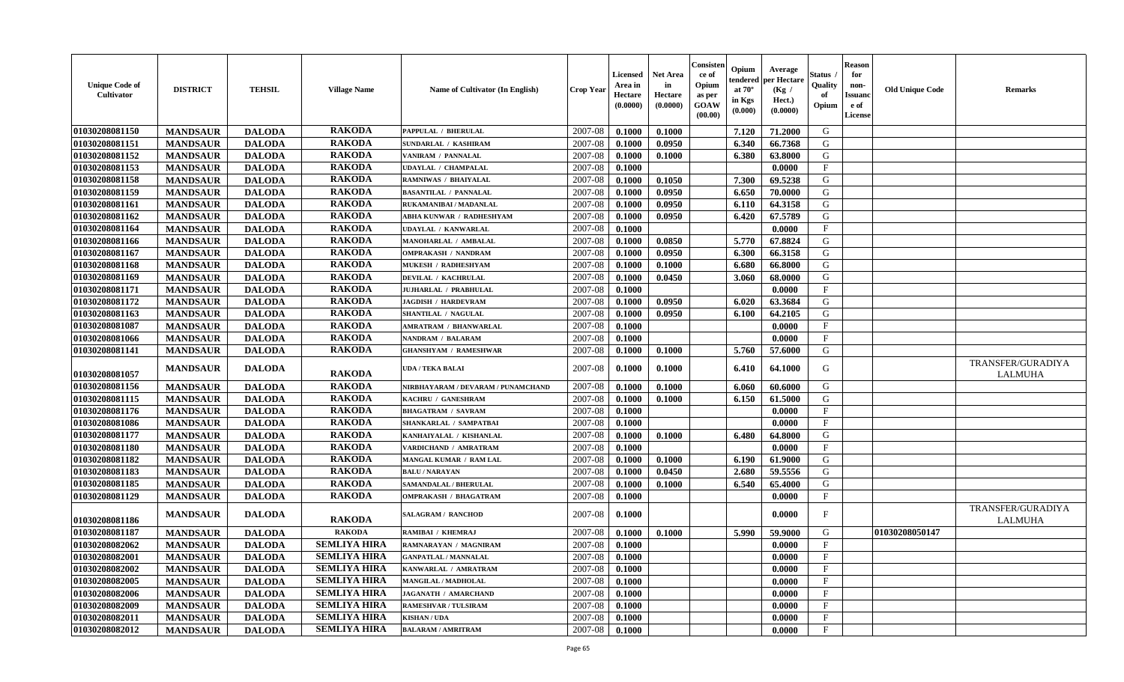| <b>Unique Code of</b><br><b>Cultivator</b> | <b>DISTRICT</b> | <b>TEHSIL</b> | <b>Village Name</b> | <b>Name of Cultivator (In English)</b> | <b>Crop Year</b> | <b>Licensed</b><br>Area in<br>Hectare<br>(0.0000) | <b>Net Area</b><br>in<br>Hectare<br>(0.0000) | Consister<br>ce of<br>Opium<br>as per<br><b>GOAW</b><br>(00.00) | Opium<br>endered<br>at $70^{\circ}$<br>in Kgs<br>(0.000) | Average<br>per Hectare<br>(Kg)<br>Hect.)<br>(0.0000) | Status<br>Quality<br>of<br>Opium | <b>Reason</b><br>for<br>non-<br><b>Issuano</b><br>e of<br>License | <b>Old Unique Code</b> | <b>Remarks</b>               |
|--------------------------------------------|-----------------|---------------|---------------------|----------------------------------------|------------------|---------------------------------------------------|----------------------------------------------|-----------------------------------------------------------------|----------------------------------------------------------|------------------------------------------------------|----------------------------------|-------------------------------------------------------------------|------------------------|------------------------------|
| 01030208081150                             | <b>MANDSAUR</b> | <b>DALODA</b> | <b>RAKODA</b>       | <b>PAPPULAL / BHERULAL</b>             | 2007-08          | 0.1000                                            | 0.1000                                       |                                                                 | 7.120                                                    | 71.2000                                              | G                                |                                                                   |                        |                              |
| 01030208081151                             | <b>MANDSAUR</b> | <b>DALODA</b> | <b>RAKODA</b>       | SUNDARLAL / KASHIRAM                   | 2007-08          | 0.1000                                            | 0.0950                                       |                                                                 | 6.340                                                    | 66.7368                                              | G                                |                                                                   |                        |                              |
| 01030208081152                             | <b>MANDSAUR</b> | <b>DALODA</b> | <b>RAKODA</b>       | VANIRAM / PANNALAL                     | 2007-08          | 0.1000                                            | 0.1000                                       |                                                                 | 6.380                                                    | 63.8000                                              | G                                |                                                                   |                        |                              |
| 01030208081153                             | <b>MANDSAUR</b> | <b>DALODA</b> | <b>RAKODA</b>       | <b>UDAYLAL / CHAMPALAL</b>             | 2007-08          | 0.1000                                            |                                              |                                                                 |                                                          | 0.0000                                               | F                                |                                                                   |                        |                              |
| 01030208081158                             | <b>MANDSAUR</b> | <b>DALODA</b> | <b>RAKODA</b>       | RAMNIWAS / BHAIYALAL                   | 2007-08          | 0.1000                                            | 0.1050                                       |                                                                 | 7.300                                                    | 69.5238                                              | G                                |                                                                   |                        |                              |
| 01030208081159                             | <b>MANDSAUR</b> | <b>DALODA</b> | <b>RAKODA</b>       | <b>BASANTILAL / PANNALAL</b>           | 2007-08          | 0.1000                                            | 0.0950                                       |                                                                 | 6.650                                                    | 70.0000                                              | G                                |                                                                   |                        |                              |
| 01030208081161                             | <b>MANDSAUR</b> | <b>DALODA</b> | <b>RAKODA</b>       | RUKAMANIBAI / MADANLAL                 | 2007-08          | 0.1000                                            | 0.0950                                       |                                                                 | 6.110                                                    | 64.3158                                              | G                                |                                                                   |                        |                              |
| 01030208081162                             | <b>MANDSAUR</b> | <b>DALODA</b> | <b>RAKODA</b>       | ABHA KUNWAR / RADHESHYAM               | 2007-08          | 0.1000                                            | 0.0950                                       |                                                                 | 6.420                                                    | 67.5789                                              | G                                |                                                                   |                        |                              |
| 01030208081164                             | <b>MANDSAUR</b> | <b>DALODA</b> | <b>RAKODA</b>       | <b>UDAYLAL / KANWARLAL</b>             | 2007-08          | 0.1000                                            |                                              |                                                                 |                                                          | 0.0000                                               | $\mathbf{F}$                     |                                                                   |                        |                              |
| 01030208081166                             | <b>MANDSAUR</b> | <b>DALODA</b> | <b>RAKODA</b>       | MANOHARLAL / AMBALAL                   | 2007-08          | 0.1000                                            | 0.0850                                       |                                                                 | 5.770                                                    | 67.8824                                              | G                                |                                                                   |                        |                              |
| 01030208081167                             | <b>MANDSAUR</b> | <b>DALODA</b> | <b>RAKODA</b>       | <b>OMPRAKASH / NANDRAM</b>             | 2007-08          | 0.1000                                            | 0.0950                                       |                                                                 | 6.300                                                    | 66.3158                                              | G                                |                                                                   |                        |                              |
| 01030208081168                             | <b>MANDSAUR</b> | <b>DALODA</b> | <b>RAKODA</b>       | <b>MUKESH / RADHESHYAM</b>             | 2007-08          | 0.1000                                            | 0.1000                                       |                                                                 | 6.680                                                    | 66.8000                                              | G                                |                                                                   |                        |                              |
| 01030208081169                             | <b>MANDSAUR</b> | <b>DALODA</b> | <b>RAKODA</b>       | <b>DEVILAL / KACHRULAL</b>             | 2007-08          | 0.1000                                            | 0.0450                                       |                                                                 | 3.060                                                    | 68.0000                                              | G                                |                                                                   |                        |                              |
| 01030208081171                             | <b>MANDSAUR</b> | <b>DALODA</b> | <b>RAKODA</b>       | JUJHARLAL / PRABHULAL                  | 2007-08          | 0.1000                                            |                                              |                                                                 |                                                          | 0.0000                                               | $\mathbf{F}$                     |                                                                   |                        |                              |
| 01030208081172                             | <b>MANDSAUR</b> | <b>DALODA</b> | <b>RAKODA</b>       | <b>JAGDISH / HARDEVRAM</b>             | 2007-08          | 0.1000                                            | 0.0950                                       |                                                                 | 6.020                                                    | 63.3684                                              | G                                |                                                                   |                        |                              |
| 01030208081163                             | <b>MANDSAUR</b> | <b>DALODA</b> | <b>RAKODA</b>       | SHANTILAL / NAGULAL                    | 2007-08          | 0.1000                                            | 0.0950                                       |                                                                 | 6.100                                                    | 64.2105                                              | G                                |                                                                   |                        |                              |
| 01030208081087                             | <b>MANDSAUR</b> | <b>DALODA</b> | <b>RAKODA</b>       | <b>AMRATRAM / BHANWARLAL</b>           | 2007-08          | 0.1000                                            |                                              |                                                                 |                                                          | 0.0000                                               | $\mathbf{F}$                     |                                                                   |                        |                              |
| 01030208081066                             | <b>MANDSAUR</b> | <b>DALODA</b> | <b>RAKODA</b>       | <b>NANDRAM / BALARAM</b>               | 2007-08          | 0.1000                                            |                                              |                                                                 |                                                          | 0.0000                                               | $\mathbf{F}$                     |                                                                   |                        |                              |
| 01030208081141                             | <b>MANDSAUR</b> | <b>DALODA</b> | <b>RAKODA</b>       | <b>GHANSHYAM / RAMESHWAR</b>           | 2007-08          | 0.1000                                            | 0.1000                                       |                                                                 | 5.760                                                    | 57.6000                                              | G                                |                                                                   |                        |                              |
| 01030208081057                             | <b>MANDSAUR</b> | <b>DALODA</b> | <b>RAKODA</b>       | UDA / TEKA BALAI                       | 2007-08          | 0.1000                                            | 0.1000                                       |                                                                 | 6.410                                                    | 64.1000                                              | G                                |                                                                   |                        | TRANSFER/GURADIYA<br>LALMUHA |
| 01030208081156                             | <b>MANDSAUR</b> | <b>DALODA</b> | <b>RAKODA</b>       | NIRBHAYARAM / DEVARAM / PUNAMCHAND     | 2007-08          | 0.1000                                            | 0.1000                                       |                                                                 | 6.060                                                    | 60.6000                                              | G                                |                                                                   |                        |                              |
| 01030208081115                             | <b>MANDSAUR</b> | <b>DALODA</b> | <b>RAKODA</b>       | KACHRU / GANESHRAM                     | 2007-08          | 0.1000                                            | 0.1000                                       |                                                                 | 6.150                                                    | 61.5000                                              | G                                |                                                                   |                        |                              |
| 01030208081176                             | <b>MANDSAUR</b> | <b>DALODA</b> | <b>RAKODA</b>       | <b>BHAGATRAM / SAVRAM</b>              | 2007-08          | 0.1000                                            |                                              |                                                                 |                                                          | 0.0000                                               | $\mathbf{F}$                     |                                                                   |                        |                              |
| 01030208081086                             | <b>MANDSAUR</b> | <b>DALODA</b> | <b>RAKODA</b>       | SHANKARLAL / SAMPATBAI                 | 2007-08          | 0.1000                                            |                                              |                                                                 |                                                          | 0.0000                                               | $\mathbf{F}$                     |                                                                   |                        |                              |
| 01030208081177                             | <b>MANDSAUR</b> | <b>DALODA</b> | <b>RAKODA</b>       | KANHAIYALAL / KISHANLAL                | 2007-08          | 0.1000                                            | 0.1000                                       |                                                                 | 6.480                                                    | 64.8000                                              | G                                |                                                                   |                        |                              |
| 01030208081180                             | <b>MANDSAUR</b> | <b>DALODA</b> | <b>RAKODA</b>       | VARDICHAND / AMRATRAM                  | 2007-08          | 0.1000                                            |                                              |                                                                 |                                                          | 0.0000                                               | $\mathbf{F}$                     |                                                                   |                        |                              |
| 01030208081182                             | <b>MANDSAUR</b> | <b>DALODA</b> | <b>RAKODA</b>       | MANGAL KUMAR / RAM LAL                 | 2007-08          | 0.1000                                            | 0.1000                                       |                                                                 | 6.190                                                    | 61.9000                                              | G                                |                                                                   |                        |                              |
| 01030208081183                             | <b>MANDSAUR</b> | <b>DALODA</b> | <b>RAKODA</b>       | <b>BALU / NARAYAN</b>                  | 2007-08          | 0.1000                                            | 0.0450                                       |                                                                 | 2.680                                                    | 59.5556                                              | G                                |                                                                   |                        |                              |
| 01030208081185                             | <b>MANDSAUR</b> | <b>DALODA</b> | <b>RAKODA</b>       | SAMANDALAL / BHERULAL                  | 2007-08          | 0.1000                                            | 0.1000                                       |                                                                 | 6.540                                                    | 65.4000                                              | G                                |                                                                   |                        |                              |
| 01030208081129                             | <b>MANDSAUR</b> | <b>DALODA</b> | <b>RAKODA</b>       | <b>OMPRAKASH / BHAGATRAM</b>           | 2007-08          | 0.1000                                            |                                              |                                                                 |                                                          | 0.0000                                               | $\mathbf{F}$                     |                                                                   |                        |                              |
| 01030208081186                             | <b>MANDSAUR</b> | <b>DALODA</b> | <b>RAKODA</b>       | SALAGRAM / RANCHOD                     | 2007-08          | 0.1000                                            |                                              |                                                                 |                                                          | 0.0000                                               | F                                |                                                                   |                        | TRANSFER/GURADIYA<br>LALMUHA |
| 01030208081187                             | <b>MANDSAUR</b> | <b>DALODA</b> | <b>RAKODA</b>       | RAMIBAI / KHEMRAJ                      | 2007-08          | 0.1000                                            | 0.1000                                       |                                                                 | 5.990                                                    | 59.9000                                              | G                                |                                                                   | 01030208050147         |                              |
| 01030208082062                             | <b>MANDSAUR</b> | <b>DALODA</b> | <b>SEMLIYA HIRA</b> | RAMNARAYAN / MAGNIRAM                  | 2007-08          | 0.1000                                            |                                              |                                                                 |                                                          | 0.0000                                               | $\mathbf{F}$                     |                                                                   |                        |                              |
| <b>01030208082001</b>                      | <b>MANDSAUR</b> | <b>DALODA</b> | <b>SEMLIYA HIRA</b> | <b>GANPATLAL / MANNALAL</b>            | $2007 - 08$      | 0.1000                                            |                                              |                                                                 |                                                          | 0.0000                                               | F                                |                                                                   |                        |                              |
| 01030208082002                             | <b>MANDSAUR</b> | <b>DALODA</b> | <b>SEMLIYA HIRA</b> | KANWARLAL / AMRATRAM                   | 2007-08          | 0.1000                                            |                                              |                                                                 |                                                          | 0.0000                                               | $\mathbf{F}$                     |                                                                   |                        |                              |
| 01030208082005                             | <b>MANDSAUR</b> | <b>DALODA</b> | <b>SEMLIYA HIRA</b> | MANGILAL / MADHOLAL                    | 2007-08          | 0.1000                                            |                                              |                                                                 |                                                          | 0.0000                                               | $\mathbf{F}$                     |                                                                   |                        |                              |
| 01030208082006                             | <b>MANDSAUR</b> | <b>DALODA</b> | <b>SEMLIYA HIRA</b> | JAGANATH / AMARCHAND                   | 2007-08          | 0.1000                                            |                                              |                                                                 |                                                          | 0.0000                                               | $\mathbf{F}$                     |                                                                   |                        |                              |
| 01030208082009                             | <b>MANDSAUR</b> | <b>DALODA</b> | <b>SEMLIYA HIRA</b> | <b>RAMESHVAR / TULSIRAM</b>            | 2007-08          | 0.1000                                            |                                              |                                                                 |                                                          | 0.0000                                               | $\mathbf{F}$                     |                                                                   |                        |                              |
| 01030208082011                             | <b>MANDSAUR</b> | <b>DALODA</b> | <b>SEMLIYA HIRA</b> | KISHAN / UDA                           | 2007-08          | 0.1000                                            |                                              |                                                                 |                                                          | 0.0000                                               | $\mathbf{F}$                     |                                                                   |                        |                              |
| 01030208082012                             | <b>MANDSAUR</b> | <b>DALODA</b> | <b>SEMLIYA HIRA</b> | <b>BALARAM / AMRITRAM</b>              | 2007-08          | $\boldsymbol{0.1000}$                             |                                              |                                                                 |                                                          | 0.0000                                               | $\mathbf{F}$                     |                                                                   |                        |                              |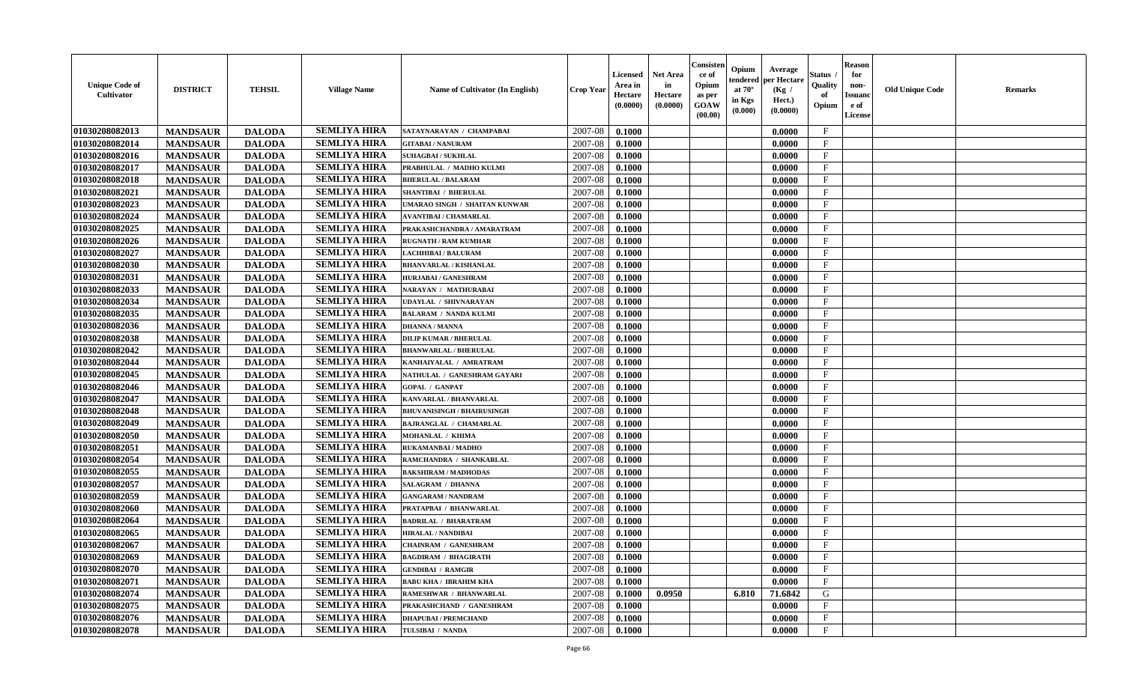| <b>SEMLIYA HIRA</b><br>01030208082013<br>2007-08<br>$\mathbf{F}$<br><b>MANDSAUR</b><br><b>DALODA</b><br>0.1000<br>0.0000<br>SATAYNARAYAN / CHAMPABAI<br>01030208082014<br><b>SEMLIYA HIRA</b><br>2007-08<br><b>MANDSAUR</b><br><b>DALODA</b><br>0.1000<br>$\mathbf F$<br><b>GITABAI/NANURAM</b><br>0.0000<br><b>SEMLIYA HIRA</b><br>01030208082016<br><b>DALODA</b><br>2007-08<br>$\mathbf{F}$<br><b>MANDSAUR</b><br><b>SUHAGBAI/SUKHLAL</b><br>0.1000<br>0.0000<br><b>SEMLIYA HIRA</b><br>01030208082017<br>2007-08<br>$\mathbf{F}$<br><b>MANDSAUR</b><br><b>DALODA</b><br>PRABHULAL / MADHO KULMI<br>0.1000<br>0.0000<br><b>SEMLIYA HIRA</b><br>01030208082018<br><b>MANDSAUR</b><br><b>DALODA</b><br><b>BHERULAL / BALARAM</b><br>2007-08<br>0.1000<br>0.0000<br>$\mathbf{F}$<br>01030208082021<br><b>MANDSAUR</b><br><b>SEMLIYA HIRA</b><br><b>DALODA</b><br>2007-08<br>0.1000<br>0.0000<br>$_{\rm F}$<br><b>SHANTIBAI / BHERULAL</b><br><b>SEMLIYA HIRA</b><br>01030208082023<br><b>MANDSAUR</b><br>$\mathbf{F}$<br><b>DALODA</b><br>2007-08<br>0.0000<br>UMARAO SINGH / SHAITAN KUNWAR<br>0.1000<br><b>SEMLIYA HIRA</b><br>$\mathbf{F}$<br>01030208082024<br>2007-08<br><b>MANDSAUR</b><br><b>DALODA</b><br>0.1000<br>0.0000<br><b>AVANTIBAI / CHAMARLAL</b><br>01030208082025<br><b>SEMLIYA HIRA</b><br><b>MANDSAUR</b><br><b>DALODA</b><br>2007-08<br>$\mathbf{F}$<br>PRAKASHCHANDRA / AMARATRAM<br>0.1000<br>0.0000<br><b>SEMLIYA HIRA</b><br>$\mathbf{F}$<br>01030208082026<br><b>MANDSAUR</b><br><b>DALODA</b><br>2007-08<br>0.1000<br>0.0000<br><b>RUGNATH / RAM KUMHAR</b><br><b>SEMLIYA HIRA</b><br>01030208082027<br><b>MANDSAUR</b><br><b>DALODA</b><br>2007-08<br>$\mathbf{F}$<br>LACHHIBAI / BALURAM<br>0.1000<br>0.0000<br><b>SEMLIYA HIRA</b><br>01030208082030<br><b>MANDSAUR</b><br><b>DALODA</b><br>2007-08<br>$\mathbf{F}$<br><b>BHANVARLAL / KISHANLAL</b><br>0.1000<br>0.0000<br><b>SEMLIYA HIRA</b><br><b>MANDSAUR</b><br>01030208082031<br><b>DALODA</b><br><b>HURJABAI/GANESHRAM</b><br>2007-08<br>0.1000<br>0.0000<br>$\mathbf{F}$<br>01030208082033<br><b>MANDSAUR</b><br><b>SEMLIYA HIRA</b><br><b>DALODA</b><br>2007-08<br>0.1000<br>0.0000<br>$_{\rm F}$<br>NARAYAN / MATHURABAI<br><b>SEMLIYA HIRA</b><br>01030208082034<br><b>MANDSAUR</b><br><b>DALODA</b><br>2007-08<br>$\mathbf{F}$<br>0.1000<br>0.0000<br>UDAYLAL / SHIVNARAYAN<br>01030208082035<br><b>MANDSAUR</b><br><b>SEMLIYA HIRA</b><br><b>DALODA</b><br>2007-08<br>0.0000<br>$_{\rm F}$<br><b>BALARAM / NANDA KULMI</b><br>0.1000<br><b>SEMLIYA HIRA</b><br>01030208082036<br><b>MANDSAUR</b><br><b>DALODA</b><br>2007-08<br>0.1000<br>$\mathbf{F}$<br><b>DHANNA / MANNA</b><br>0.0000<br><b>SEMLIYA HIRA</b><br>01030208082038<br>2007-08<br><b>MANDSAUR</b><br><b>DALODA</b><br>0.1000<br>0.0000<br>$_{\rm F}$<br><b>DILIP KUMAR / BHERULAL</b><br><b>SEMLIYA HIRA</b><br>01030208082042<br><b>MANDSAUR</b><br><b>DALODA</b><br>2007-08<br>$\mathbf{F}$<br><b>BHANWARLAL / BHERULAL</b><br>0.1000<br>0.0000<br><b>SEMLIYA HIRA</b><br>01030208082044<br>$\mathbf{F}$<br><b>MANDSAUR</b><br><b>DALODA</b><br>2007-08<br>KANHAIYALAL / AMRATRAM<br>0.1000<br>0.0000<br><b>SEMLIYA HIRA</b><br>01030208082045<br><b>MANDSAUR</b><br><b>DALODA</b><br>NATHULAL / GANESHRAM GAYARI<br>2007-08<br>0.1000<br>0.0000<br>$\mathbf{F}$<br>01030208082046<br><b>MANDSAUR</b><br><b>DALODA</b><br><b>SEMLIYA HIRA</b><br><b>GOPAL / GANPAT</b><br>2007-08<br>0.1000<br>0.0000<br>$_{\rm F}$<br><b>SEMLIYA HIRA</b><br>01030208082047<br><b>MANDSAUR</b><br><b>DALODA</b><br>2007-08<br>$\mathbf{F}$<br>KANVARLAL / BHANVARLAL<br>0.1000<br>0.0000<br><b>SEMLIYA HIRA</b><br>01030208082048<br>2007-08<br>$\mathbf{F}$<br><b>MANDSAUR</b><br><b>DALODA</b><br><b>BHUVANISINGH / BHAIRUSINGH</b><br>0.1000<br>0.0000<br>01030208082049<br><b>SEMLIYA HIRA</b><br>2007-08<br><b>MANDSAUR</b><br><b>DALODA</b><br>0.0000<br>$\mathbf{F}$<br><b>BAJRANGLAL / CHAMARLAL</b><br>0.1000<br><b>SEMLIYA HIRA</b><br>01030208082050<br>2007-08<br>$\mathbf{F}$<br><b>MANDSAUR</b><br><b>DALODA</b><br>0.1000<br>MOHANLAL / KHIMA<br>0.0000<br><b>SEMLIYA HIRA</b><br>01030208082051<br>F<br><b>MANDSAUR</b><br><b>DALODA</b><br>2007-08<br><b>RUKAMANBAI/MADHO</b><br>0.1000<br>0.0000<br><b>SEMLIYA HIRA</b><br>01030208082054<br><b>MANDSAUR</b><br><b>DALODA</b><br>2007-08<br>0.1000<br>0.0000<br>$_{\rm F}$<br>RAMCHANDRA / SHANKARLAL<br><b>SEMLIYA HIRA</b><br>01030208082055<br><b>MANDSAUR</b><br>2007-08<br>$\rm F$<br><b>DALODA</b><br><b>BAKSHIRAM / MADHODAS</b><br>0.1000<br>0.0000<br><b>SEMLIYA HIRA</b><br>01030208082057<br><b>MANDSAUR</b><br><b>DALODA</b><br><b>SALAGRAM / DHANNA</b><br>2007-08<br>0.1000<br>0.0000<br>$\mathbf{F}$<br><b>SEMLIYA HIRA</b><br>01030208082059<br><b>MANDSAUR</b><br><b>DALODA</b><br>2007-08<br>F<br><b>GANGARAM / NANDRAM</b><br>0.1000<br>0.0000<br><b>SEMLIYA HIRA</b><br>01030208082060<br>2007-08<br>$\mathbf{F}$<br><b>MANDSAUR</b><br><b>DALODA</b><br>0.0000<br>PRATAPBAI / BHANWARLAL<br>0.1000<br><b>SEMLIYA HIRA</b><br>$\mathbf{F}$<br>01030208082064<br><b>MANDSAUR</b><br><b>DALODA</b><br>2007-08<br><b>BADRILAL / BHARATRAM</b><br>0.1000<br>0.0000<br><b>SEMLIYA HIRA</b><br>01030208082065<br><b>MANDSAUR</b><br><b>DALODA</b><br>2007-08<br>$\mathbf{F}$<br><b>HIRALAL / NANDIBAI</b><br>0.1000<br>0.0000<br><b>SEMLIYA HIRA</b><br>$\mathbf{F}$<br>01030208082067<br><b>MANDSAUR</b><br><b>DALODA</b><br>2007-08<br>0.1000<br><b>CHAINRAM / GANESHRAM</b><br>0.0000<br><b>SEMLIYA HIRA</b><br>01030208082069<br>$\mathbf{F}$<br><b>MANDSAUR</b><br><b>DALODA</b><br>2007-08<br>0.1000<br><b>BAGDIRAM / BHAGIRATH</b><br>0.0000<br><b>SEMLIYA HIRA</b><br>01030208082070<br><b>MANDSAUR</b><br><b>DALODA</b><br><b>GENDIBAI / RAMGIR</b><br>2007-08<br>0.1000<br>0.0000<br>$\mathbf{F}$<br><b>SEMLIYA HIRA</b><br>01030208082071<br><b>MANDSAUR</b><br><b>DALODA</b><br>2007-08<br>$\mathbf{F}$<br><b>BABU KHA / IBRAHIM KHA</b><br>0.1000<br>0.0000<br><b>SEMLIYA HIRA</b><br>01030208082074<br><b>MANDSAUR</b><br><b>DALODA</b><br>2007-08<br>6.810<br>71.6842<br>G<br>RAMESHWAR / BHANWARLAL<br>0.1000<br>0.0950<br><b>SEMLIYA HIRA</b><br>F<br>01030208082075<br><b>MANDSAUR</b><br><b>DALODA</b><br>2007-08<br>0.0000<br>0.1000<br>PRAKASHCHAND / GANESHRAM<br><b>SEMLIYA HIRA</b><br>$\mathbf{F}$<br>01030208082076<br><b>DALODA</b><br>2007-08<br>0.1000<br><b>MANDSAUR</b><br><b>DHAPUBAI/PREMCHAND</b><br>0.0000 | <b>Unique Code of</b><br><b>Cultivator</b> | <b>DISTRICT</b> | <b>TEHSIL</b> | <b>Village Name</b> | Name of Cultivator (In English) | <b>Crop Year</b> | <b>Licensed</b><br>Area in<br>Hectare<br>(0.0000) | <b>Net Area</b><br>in<br>Hectare<br>(0.0000) | Consister<br>ce of<br>Opium<br>as per<br><b>GOAW</b><br>(00.00) | Opium<br>Average<br>per Hectare<br>endered<br>at $70^\circ$<br>(Kg /<br>in Kgs<br>Hect.)<br>(0.0000)<br>(0.000) | Status<br>Quality<br>of<br>Opium | <b>Reason</b><br>for<br>non-<br><b>Issuand</b><br>e of<br>License | <b>Old Unique Code</b> | <b>Remarks</b> |
|------------------------------------------------------------------------------------------------------------------------------------------------------------------------------------------------------------------------------------------------------------------------------------------------------------------------------------------------------------------------------------------------------------------------------------------------------------------------------------------------------------------------------------------------------------------------------------------------------------------------------------------------------------------------------------------------------------------------------------------------------------------------------------------------------------------------------------------------------------------------------------------------------------------------------------------------------------------------------------------------------------------------------------------------------------------------------------------------------------------------------------------------------------------------------------------------------------------------------------------------------------------------------------------------------------------------------------------------------------------------------------------------------------------------------------------------------------------------------------------------------------------------------------------------------------------------------------------------------------------------------------------------------------------------------------------------------------------------------------------------------------------------------------------------------------------------------------------------------------------------------------------------------------------------------------------------------------------------------------------------------------------------------------------------------------------------------------------------------------------------------------------------------------------------------------------------------------------------------------------------------------------------------------------------------------------------------------------------------------------------------------------------------------------------------------------------------------------------------------------------------------------------------------------------------------------------------------------------------------------------------------------------------------------------------------------------------------------------------------------------------------------------------------------------------------------------------------------------------------------------------------------------------------------------------------------------------------------------------------------------------------------------------------------------------------------------------------------------------------------------------------------------------------------------------------------------------------------------------------------------------------------------------------------------------------------------------------------------------------------------------------------------------------------------------------------------------------------------------------------------------------------------------------------------------------------------------------------------------------------------------------------------------------------------------------------------------------------------------------------------------------------------------------------------------------------------------------------------------------------------------------------------------------------------------------------------------------------------------------------------------------------------------------------------------------------------------------------------------------------------------------------------------------------------------------------------------------------------------------------------------------------------------------------------------------------------------------------------------------------------------------------------------------------------------------------------------------------------------------------------------------------------------------------------------------------------------------------------------------------------------------------------------------------------------------------------------------------------------------------------------------------------------------------------------------------------------------------------------------------------------------------------------------------------------------------------------------------------------------------------------------------------------------------------------------------------------------------------------------------------------------------------------------------------------------------------------------------------------------------------------------------------------------------------------------------------------------------------------------------------------------------------------------------------------------------------------------------------------------------------------------------------------------------------------------------------------------------------------------------------------------------------------------------------------------------------------------------------------------------------------------------------------------------------------------------------------------------------------------------------------------------------------------------------------------------------------------------------------------------------------------------------------------------------------------------------------------------------------------------------------------------------------------------------------------------------------------------------------------------------------------------------------------------------------------------------------------------------------------------------------------------------------------------------------------------------------------------------------|--------------------------------------------|-----------------|---------------|---------------------|---------------------------------|------------------|---------------------------------------------------|----------------------------------------------|-----------------------------------------------------------------|-----------------------------------------------------------------------------------------------------------------|----------------------------------|-------------------------------------------------------------------|------------------------|----------------|
|                                                                                                                                                                                                                                                                                                                                                                                                                                                                                                                                                                                                                                                                                                                                                                                                                                                                                                                                                                                                                                                                                                                                                                                                                                                                                                                                                                                                                                                                                                                                                                                                                                                                                                                                                                                                                                                                                                                                                                                                                                                                                                                                                                                                                                                                                                                                                                                                                                                                                                                                                                                                                                                                                                                                                                                                                                                                                                                                                                                                                                                                                                                                                                                                                                                                                                                                                                                                                                                                                                                                                                                                                                                                                                                                                                                                                                                                                                                                                                                                                                                                                                                                                                                                                                                                                                                                                                                                                                                                                                                                                                                                                                                                                                                                                                                                                                                                                                                                                                                                                                                                                                                                                                                                                                                                                                                                                                                                                                                                                                                                                                                                                                                                                                                                                                                                                                                                                                                                                                                                                                                                                                                                                                                                                                                                                                                                                                                                                                                                              |                                            |                 |               |                     |                                 |                  |                                                   |                                              |                                                                 |                                                                                                                 |                                  |                                                                   |                        |                |
|                                                                                                                                                                                                                                                                                                                                                                                                                                                                                                                                                                                                                                                                                                                                                                                                                                                                                                                                                                                                                                                                                                                                                                                                                                                                                                                                                                                                                                                                                                                                                                                                                                                                                                                                                                                                                                                                                                                                                                                                                                                                                                                                                                                                                                                                                                                                                                                                                                                                                                                                                                                                                                                                                                                                                                                                                                                                                                                                                                                                                                                                                                                                                                                                                                                                                                                                                                                                                                                                                                                                                                                                                                                                                                                                                                                                                                                                                                                                                                                                                                                                                                                                                                                                                                                                                                                                                                                                                                                                                                                                                                                                                                                                                                                                                                                                                                                                                                                                                                                                                                                                                                                                                                                                                                                                                                                                                                                                                                                                                                                                                                                                                                                                                                                                                                                                                                                                                                                                                                                                                                                                                                                                                                                                                                                                                                                                                                                                                                                                              |                                            |                 |               |                     |                                 |                  |                                                   |                                              |                                                                 |                                                                                                                 |                                  |                                                                   |                        |                |
|                                                                                                                                                                                                                                                                                                                                                                                                                                                                                                                                                                                                                                                                                                                                                                                                                                                                                                                                                                                                                                                                                                                                                                                                                                                                                                                                                                                                                                                                                                                                                                                                                                                                                                                                                                                                                                                                                                                                                                                                                                                                                                                                                                                                                                                                                                                                                                                                                                                                                                                                                                                                                                                                                                                                                                                                                                                                                                                                                                                                                                                                                                                                                                                                                                                                                                                                                                                                                                                                                                                                                                                                                                                                                                                                                                                                                                                                                                                                                                                                                                                                                                                                                                                                                                                                                                                                                                                                                                                                                                                                                                                                                                                                                                                                                                                                                                                                                                                                                                                                                                                                                                                                                                                                                                                                                                                                                                                                                                                                                                                                                                                                                                                                                                                                                                                                                                                                                                                                                                                                                                                                                                                                                                                                                                                                                                                                                                                                                                                                              |                                            |                 |               |                     |                                 |                  |                                                   |                                              |                                                                 |                                                                                                                 |                                  |                                                                   |                        |                |
|                                                                                                                                                                                                                                                                                                                                                                                                                                                                                                                                                                                                                                                                                                                                                                                                                                                                                                                                                                                                                                                                                                                                                                                                                                                                                                                                                                                                                                                                                                                                                                                                                                                                                                                                                                                                                                                                                                                                                                                                                                                                                                                                                                                                                                                                                                                                                                                                                                                                                                                                                                                                                                                                                                                                                                                                                                                                                                                                                                                                                                                                                                                                                                                                                                                                                                                                                                                                                                                                                                                                                                                                                                                                                                                                                                                                                                                                                                                                                                                                                                                                                                                                                                                                                                                                                                                                                                                                                                                                                                                                                                                                                                                                                                                                                                                                                                                                                                                                                                                                                                                                                                                                                                                                                                                                                                                                                                                                                                                                                                                                                                                                                                                                                                                                                                                                                                                                                                                                                                                                                                                                                                                                                                                                                                                                                                                                                                                                                                                                              |                                            |                 |               |                     |                                 |                  |                                                   |                                              |                                                                 |                                                                                                                 |                                  |                                                                   |                        |                |
|                                                                                                                                                                                                                                                                                                                                                                                                                                                                                                                                                                                                                                                                                                                                                                                                                                                                                                                                                                                                                                                                                                                                                                                                                                                                                                                                                                                                                                                                                                                                                                                                                                                                                                                                                                                                                                                                                                                                                                                                                                                                                                                                                                                                                                                                                                                                                                                                                                                                                                                                                                                                                                                                                                                                                                                                                                                                                                                                                                                                                                                                                                                                                                                                                                                                                                                                                                                                                                                                                                                                                                                                                                                                                                                                                                                                                                                                                                                                                                                                                                                                                                                                                                                                                                                                                                                                                                                                                                                                                                                                                                                                                                                                                                                                                                                                                                                                                                                                                                                                                                                                                                                                                                                                                                                                                                                                                                                                                                                                                                                                                                                                                                                                                                                                                                                                                                                                                                                                                                                                                                                                                                                                                                                                                                                                                                                                                                                                                                                                              |                                            |                 |               |                     |                                 |                  |                                                   |                                              |                                                                 |                                                                                                                 |                                  |                                                                   |                        |                |
|                                                                                                                                                                                                                                                                                                                                                                                                                                                                                                                                                                                                                                                                                                                                                                                                                                                                                                                                                                                                                                                                                                                                                                                                                                                                                                                                                                                                                                                                                                                                                                                                                                                                                                                                                                                                                                                                                                                                                                                                                                                                                                                                                                                                                                                                                                                                                                                                                                                                                                                                                                                                                                                                                                                                                                                                                                                                                                                                                                                                                                                                                                                                                                                                                                                                                                                                                                                                                                                                                                                                                                                                                                                                                                                                                                                                                                                                                                                                                                                                                                                                                                                                                                                                                                                                                                                                                                                                                                                                                                                                                                                                                                                                                                                                                                                                                                                                                                                                                                                                                                                                                                                                                                                                                                                                                                                                                                                                                                                                                                                                                                                                                                                                                                                                                                                                                                                                                                                                                                                                                                                                                                                                                                                                                                                                                                                                                                                                                                                                              |                                            |                 |               |                     |                                 |                  |                                                   |                                              |                                                                 |                                                                                                                 |                                  |                                                                   |                        |                |
|                                                                                                                                                                                                                                                                                                                                                                                                                                                                                                                                                                                                                                                                                                                                                                                                                                                                                                                                                                                                                                                                                                                                                                                                                                                                                                                                                                                                                                                                                                                                                                                                                                                                                                                                                                                                                                                                                                                                                                                                                                                                                                                                                                                                                                                                                                                                                                                                                                                                                                                                                                                                                                                                                                                                                                                                                                                                                                                                                                                                                                                                                                                                                                                                                                                                                                                                                                                                                                                                                                                                                                                                                                                                                                                                                                                                                                                                                                                                                                                                                                                                                                                                                                                                                                                                                                                                                                                                                                                                                                                                                                                                                                                                                                                                                                                                                                                                                                                                                                                                                                                                                                                                                                                                                                                                                                                                                                                                                                                                                                                                                                                                                                                                                                                                                                                                                                                                                                                                                                                                                                                                                                                                                                                                                                                                                                                                                                                                                                                                              |                                            |                 |               |                     |                                 |                  |                                                   |                                              |                                                                 |                                                                                                                 |                                  |                                                                   |                        |                |
|                                                                                                                                                                                                                                                                                                                                                                                                                                                                                                                                                                                                                                                                                                                                                                                                                                                                                                                                                                                                                                                                                                                                                                                                                                                                                                                                                                                                                                                                                                                                                                                                                                                                                                                                                                                                                                                                                                                                                                                                                                                                                                                                                                                                                                                                                                                                                                                                                                                                                                                                                                                                                                                                                                                                                                                                                                                                                                                                                                                                                                                                                                                                                                                                                                                                                                                                                                                                                                                                                                                                                                                                                                                                                                                                                                                                                                                                                                                                                                                                                                                                                                                                                                                                                                                                                                                                                                                                                                                                                                                                                                                                                                                                                                                                                                                                                                                                                                                                                                                                                                                                                                                                                                                                                                                                                                                                                                                                                                                                                                                                                                                                                                                                                                                                                                                                                                                                                                                                                                                                                                                                                                                                                                                                                                                                                                                                                                                                                                                                              |                                            |                 |               |                     |                                 |                  |                                                   |                                              |                                                                 |                                                                                                                 |                                  |                                                                   |                        |                |
|                                                                                                                                                                                                                                                                                                                                                                                                                                                                                                                                                                                                                                                                                                                                                                                                                                                                                                                                                                                                                                                                                                                                                                                                                                                                                                                                                                                                                                                                                                                                                                                                                                                                                                                                                                                                                                                                                                                                                                                                                                                                                                                                                                                                                                                                                                                                                                                                                                                                                                                                                                                                                                                                                                                                                                                                                                                                                                                                                                                                                                                                                                                                                                                                                                                                                                                                                                                                                                                                                                                                                                                                                                                                                                                                                                                                                                                                                                                                                                                                                                                                                                                                                                                                                                                                                                                                                                                                                                                                                                                                                                                                                                                                                                                                                                                                                                                                                                                                                                                                                                                                                                                                                                                                                                                                                                                                                                                                                                                                                                                                                                                                                                                                                                                                                                                                                                                                                                                                                                                                                                                                                                                                                                                                                                                                                                                                                                                                                                                                              |                                            |                 |               |                     |                                 |                  |                                                   |                                              |                                                                 |                                                                                                                 |                                  |                                                                   |                        |                |
|                                                                                                                                                                                                                                                                                                                                                                                                                                                                                                                                                                                                                                                                                                                                                                                                                                                                                                                                                                                                                                                                                                                                                                                                                                                                                                                                                                                                                                                                                                                                                                                                                                                                                                                                                                                                                                                                                                                                                                                                                                                                                                                                                                                                                                                                                                                                                                                                                                                                                                                                                                                                                                                                                                                                                                                                                                                                                                                                                                                                                                                                                                                                                                                                                                                                                                                                                                                                                                                                                                                                                                                                                                                                                                                                                                                                                                                                                                                                                                                                                                                                                                                                                                                                                                                                                                                                                                                                                                                                                                                                                                                                                                                                                                                                                                                                                                                                                                                                                                                                                                                                                                                                                                                                                                                                                                                                                                                                                                                                                                                                                                                                                                                                                                                                                                                                                                                                                                                                                                                                                                                                                                                                                                                                                                                                                                                                                                                                                                                                              |                                            |                 |               |                     |                                 |                  |                                                   |                                              |                                                                 |                                                                                                                 |                                  |                                                                   |                        |                |
|                                                                                                                                                                                                                                                                                                                                                                                                                                                                                                                                                                                                                                                                                                                                                                                                                                                                                                                                                                                                                                                                                                                                                                                                                                                                                                                                                                                                                                                                                                                                                                                                                                                                                                                                                                                                                                                                                                                                                                                                                                                                                                                                                                                                                                                                                                                                                                                                                                                                                                                                                                                                                                                                                                                                                                                                                                                                                                                                                                                                                                                                                                                                                                                                                                                                                                                                                                                                                                                                                                                                                                                                                                                                                                                                                                                                                                                                                                                                                                                                                                                                                                                                                                                                                                                                                                                                                                                                                                                                                                                                                                                                                                                                                                                                                                                                                                                                                                                                                                                                                                                                                                                                                                                                                                                                                                                                                                                                                                                                                                                                                                                                                                                                                                                                                                                                                                                                                                                                                                                                                                                                                                                                                                                                                                                                                                                                                                                                                                                                              |                                            |                 |               |                     |                                 |                  |                                                   |                                              |                                                                 |                                                                                                                 |                                  |                                                                   |                        |                |
|                                                                                                                                                                                                                                                                                                                                                                                                                                                                                                                                                                                                                                                                                                                                                                                                                                                                                                                                                                                                                                                                                                                                                                                                                                                                                                                                                                                                                                                                                                                                                                                                                                                                                                                                                                                                                                                                                                                                                                                                                                                                                                                                                                                                                                                                                                                                                                                                                                                                                                                                                                                                                                                                                                                                                                                                                                                                                                                                                                                                                                                                                                                                                                                                                                                                                                                                                                                                                                                                                                                                                                                                                                                                                                                                                                                                                                                                                                                                                                                                                                                                                                                                                                                                                                                                                                                                                                                                                                                                                                                                                                                                                                                                                                                                                                                                                                                                                                                                                                                                                                                                                                                                                                                                                                                                                                                                                                                                                                                                                                                                                                                                                                                                                                                                                                                                                                                                                                                                                                                                                                                                                                                                                                                                                                                                                                                                                                                                                                                                              |                                            |                 |               |                     |                                 |                  |                                                   |                                              |                                                                 |                                                                                                                 |                                  |                                                                   |                        |                |
|                                                                                                                                                                                                                                                                                                                                                                                                                                                                                                                                                                                                                                                                                                                                                                                                                                                                                                                                                                                                                                                                                                                                                                                                                                                                                                                                                                                                                                                                                                                                                                                                                                                                                                                                                                                                                                                                                                                                                                                                                                                                                                                                                                                                                                                                                                                                                                                                                                                                                                                                                                                                                                                                                                                                                                                                                                                                                                                                                                                                                                                                                                                                                                                                                                                                                                                                                                                                                                                                                                                                                                                                                                                                                                                                                                                                                                                                                                                                                                                                                                                                                                                                                                                                                                                                                                                                                                                                                                                                                                                                                                                                                                                                                                                                                                                                                                                                                                                                                                                                                                                                                                                                                                                                                                                                                                                                                                                                                                                                                                                                                                                                                                                                                                                                                                                                                                                                                                                                                                                                                                                                                                                                                                                                                                                                                                                                                                                                                                                                              |                                            |                 |               |                     |                                 |                  |                                                   |                                              |                                                                 |                                                                                                                 |                                  |                                                                   |                        |                |
|                                                                                                                                                                                                                                                                                                                                                                                                                                                                                                                                                                                                                                                                                                                                                                                                                                                                                                                                                                                                                                                                                                                                                                                                                                                                                                                                                                                                                                                                                                                                                                                                                                                                                                                                                                                                                                                                                                                                                                                                                                                                                                                                                                                                                                                                                                                                                                                                                                                                                                                                                                                                                                                                                                                                                                                                                                                                                                                                                                                                                                                                                                                                                                                                                                                                                                                                                                                                                                                                                                                                                                                                                                                                                                                                                                                                                                                                                                                                                                                                                                                                                                                                                                                                                                                                                                                                                                                                                                                                                                                                                                                                                                                                                                                                                                                                                                                                                                                                                                                                                                                                                                                                                                                                                                                                                                                                                                                                                                                                                                                                                                                                                                                                                                                                                                                                                                                                                                                                                                                                                                                                                                                                                                                                                                                                                                                                                                                                                                                                              |                                            |                 |               |                     |                                 |                  |                                                   |                                              |                                                                 |                                                                                                                 |                                  |                                                                   |                        |                |
|                                                                                                                                                                                                                                                                                                                                                                                                                                                                                                                                                                                                                                                                                                                                                                                                                                                                                                                                                                                                                                                                                                                                                                                                                                                                                                                                                                                                                                                                                                                                                                                                                                                                                                                                                                                                                                                                                                                                                                                                                                                                                                                                                                                                                                                                                                                                                                                                                                                                                                                                                                                                                                                                                                                                                                                                                                                                                                                                                                                                                                                                                                                                                                                                                                                                                                                                                                                                                                                                                                                                                                                                                                                                                                                                                                                                                                                                                                                                                                                                                                                                                                                                                                                                                                                                                                                                                                                                                                                                                                                                                                                                                                                                                                                                                                                                                                                                                                                                                                                                                                                                                                                                                                                                                                                                                                                                                                                                                                                                                                                                                                                                                                                                                                                                                                                                                                                                                                                                                                                                                                                                                                                                                                                                                                                                                                                                                                                                                                                                              |                                            |                 |               |                     |                                 |                  |                                                   |                                              |                                                                 |                                                                                                                 |                                  |                                                                   |                        |                |
|                                                                                                                                                                                                                                                                                                                                                                                                                                                                                                                                                                                                                                                                                                                                                                                                                                                                                                                                                                                                                                                                                                                                                                                                                                                                                                                                                                                                                                                                                                                                                                                                                                                                                                                                                                                                                                                                                                                                                                                                                                                                                                                                                                                                                                                                                                                                                                                                                                                                                                                                                                                                                                                                                                                                                                                                                                                                                                                                                                                                                                                                                                                                                                                                                                                                                                                                                                                                                                                                                                                                                                                                                                                                                                                                                                                                                                                                                                                                                                                                                                                                                                                                                                                                                                                                                                                                                                                                                                                                                                                                                                                                                                                                                                                                                                                                                                                                                                                                                                                                                                                                                                                                                                                                                                                                                                                                                                                                                                                                                                                                                                                                                                                                                                                                                                                                                                                                                                                                                                                                                                                                                                                                                                                                                                                                                                                                                                                                                                                                              |                                            |                 |               |                     |                                 |                  |                                                   |                                              |                                                                 |                                                                                                                 |                                  |                                                                   |                        |                |
|                                                                                                                                                                                                                                                                                                                                                                                                                                                                                                                                                                                                                                                                                                                                                                                                                                                                                                                                                                                                                                                                                                                                                                                                                                                                                                                                                                                                                                                                                                                                                                                                                                                                                                                                                                                                                                                                                                                                                                                                                                                                                                                                                                                                                                                                                                                                                                                                                                                                                                                                                                                                                                                                                                                                                                                                                                                                                                                                                                                                                                                                                                                                                                                                                                                                                                                                                                                                                                                                                                                                                                                                                                                                                                                                                                                                                                                                                                                                                                                                                                                                                                                                                                                                                                                                                                                                                                                                                                                                                                                                                                                                                                                                                                                                                                                                                                                                                                                                                                                                                                                                                                                                                                                                                                                                                                                                                                                                                                                                                                                                                                                                                                                                                                                                                                                                                                                                                                                                                                                                                                                                                                                                                                                                                                                                                                                                                                                                                                                                              |                                            |                 |               |                     |                                 |                  |                                                   |                                              |                                                                 |                                                                                                                 |                                  |                                                                   |                        |                |
|                                                                                                                                                                                                                                                                                                                                                                                                                                                                                                                                                                                                                                                                                                                                                                                                                                                                                                                                                                                                                                                                                                                                                                                                                                                                                                                                                                                                                                                                                                                                                                                                                                                                                                                                                                                                                                                                                                                                                                                                                                                                                                                                                                                                                                                                                                                                                                                                                                                                                                                                                                                                                                                                                                                                                                                                                                                                                                                                                                                                                                                                                                                                                                                                                                                                                                                                                                                                                                                                                                                                                                                                                                                                                                                                                                                                                                                                                                                                                                                                                                                                                                                                                                                                                                                                                                                                                                                                                                                                                                                                                                                                                                                                                                                                                                                                                                                                                                                                                                                                                                                                                                                                                                                                                                                                                                                                                                                                                                                                                                                                                                                                                                                                                                                                                                                                                                                                                                                                                                                                                                                                                                                                                                                                                                                                                                                                                                                                                                                                              |                                            |                 |               |                     |                                 |                  |                                                   |                                              |                                                                 |                                                                                                                 |                                  |                                                                   |                        |                |
|                                                                                                                                                                                                                                                                                                                                                                                                                                                                                                                                                                                                                                                                                                                                                                                                                                                                                                                                                                                                                                                                                                                                                                                                                                                                                                                                                                                                                                                                                                                                                                                                                                                                                                                                                                                                                                                                                                                                                                                                                                                                                                                                                                                                                                                                                                                                                                                                                                                                                                                                                                                                                                                                                                                                                                                                                                                                                                                                                                                                                                                                                                                                                                                                                                                                                                                                                                                                                                                                                                                                                                                                                                                                                                                                                                                                                                                                                                                                                                                                                                                                                                                                                                                                                                                                                                                                                                                                                                                                                                                                                                                                                                                                                                                                                                                                                                                                                                                                                                                                                                                                                                                                                                                                                                                                                                                                                                                                                                                                                                                                                                                                                                                                                                                                                                                                                                                                                                                                                                                                                                                                                                                                                                                                                                                                                                                                                                                                                                                                              |                                            |                 |               |                     |                                 |                  |                                                   |                                              |                                                                 |                                                                                                                 |                                  |                                                                   |                        |                |
|                                                                                                                                                                                                                                                                                                                                                                                                                                                                                                                                                                                                                                                                                                                                                                                                                                                                                                                                                                                                                                                                                                                                                                                                                                                                                                                                                                                                                                                                                                                                                                                                                                                                                                                                                                                                                                                                                                                                                                                                                                                                                                                                                                                                                                                                                                                                                                                                                                                                                                                                                                                                                                                                                                                                                                                                                                                                                                                                                                                                                                                                                                                                                                                                                                                                                                                                                                                                                                                                                                                                                                                                                                                                                                                                                                                                                                                                                                                                                                                                                                                                                                                                                                                                                                                                                                                                                                                                                                                                                                                                                                                                                                                                                                                                                                                                                                                                                                                                                                                                                                                                                                                                                                                                                                                                                                                                                                                                                                                                                                                                                                                                                                                                                                                                                                                                                                                                                                                                                                                                                                                                                                                                                                                                                                                                                                                                                                                                                                                                              |                                            |                 |               |                     |                                 |                  |                                                   |                                              |                                                                 |                                                                                                                 |                                  |                                                                   |                        |                |
|                                                                                                                                                                                                                                                                                                                                                                                                                                                                                                                                                                                                                                                                                                                                                                                                                                                                                                                                                                                                                                                                                                                                                                                                                                                                                                                                                                                                                                                                                                                                                                                                                                                                                                                                                                                                                                                                                                                                                                                                                                                                                                                                                                                                                                                                                                                                                                                                                                                                                                                                                                                                                                                                                                                                                                                                                                                                                                                                                                                                                                                                                                                                                                                                                                                                                                                                                                                                                                                                                                                                                                                                                                                                                                                                                                                                                                                                                                                                                                                                                                                                                                                                                                                                                                                                                                                                                                                                                                                                                                                                                                                                                                                                                                                                                                                                                                                                                                                                                                                                                                                                                                                                                                                                                                                                                                                                                                                                                                                                                                                                                                                                                                                                                                                                                                                                                                                                                                                                                                                                                                                                                                                                                                                                                                                                                                                                                                                                                                                                              |                                            |                 |               |                     |                                 |                  |                                                   |                                              |                                                                 |                                                                                                                 |                                  |                                                                   |                        |                |
|                                                                                                                                                                                                                                                                                                                                                                                                                                                                                                                                                                                                                                                                                                                                                                                                                                                                                                                                                                                                                                                                                                                                                                                                                                                                                                                                                                                                                                                                                                                                                                                                                                                                                                                                                                                                                                                                                                                                                                                                                                                                                                                                                                                                                                                                                                                                                                                                                                                                                                                                                                                                                                                                                                                                                                                                                                                                                                                                                                                                                                                                                                                                                                                                                                                                                                                                                                                                                                                                                                                                                                                                                                                                                                                                                                                                                                                                                                                                                                                                                                                                                                                                                                                                                                                                                                                                                                                                                                                                                                                                                                                                                                                                                                                                                                                                                                                                                                                                                                                                                                                                                                                                                                                                                                                                                                                                                                                                                                                                                                                                                                                                                                                                                                                                                                                                                                                                                                                                                                                                                                                                                                                                                                                                                                                                                                                                                                                                                                                                              |                                            |                 |               |                     |                                 |                  |                                                   |                                              |                                                                 |                                                                                                                 |                                  |                                                                   |                        |                |
|                                                                                                                                                                                                                                                                                                                                                                                                                                                                                                                                                                                                                                                                                                                                                                                                                                                                                                                                                                                                                                                                                                                                                                                                                                                                                                                                                                                                                                                                                                                                                                                                                                                                                                                                                                                                                                                                                                                                                                                                                                                                                                                                                                                                                                                                                                                                                                                                                                                                                                                                                                                                                                                                                                                                                                                                                                                                                                                                                                                                                                                                                                                                                                                                                                                                                                                                                                                                                                                                                                                                                                                                                                                                                                                                                                                                                                                                                                                                                                                                                                                                                                                                                                                                                                                                                                                                                                                                                                                                                                                                                                                                                                                                                                                                                                                                                                                                                                                                                                                                                                                                                                                                                                                                                                                                                                                                                                                                                                                                                                                                                                                                                                                                                                                                                                                                                                                                                                                                                                                                                                                                                                                                                                                                                                                                                                                                                                                                                                                                              |                                            |                 |               |                     |                                 |                  |                                                   |                                              |                                                                 |                                                                                                                 |                                  |                                                                   |                        |                |
|                                                                                                                                                                                                                                                                                                                                                                                                                                                                                                                                                                                                                                                                                                                                                                                                                                                                                                                                                                                                                                                                                                                                                                                                                                                                                                                                                                                                                                                                                                                                                                                                                                                                                                                                                                                                                                                                                                                                                                                                                                                                                                                                                                                                                                                                                                                                                                                                                                                                                                                                                                                                                                                                                                                                                                                                                                                                                                                                                                                                                                                                                                                                                                                                                                                                                                                                                                                                                                                                                                                                                                                                                                                                                                                                                                                                                                                                                                                                                                                                                                                                                                                                                                                                                                                                                                                                                                                                                                                                                                                                                                                                                                                                                                                                                                                                                                                                                                                                                                                                                                                                                                                                                                                                                                                                                                                                                                                                                                                                                                                                                                                                                                                                                                                                                                                                                                                                                                                                                                                                                                                                                                                                                                                                                                                                                                                                                                                                                                                                              |                                            |                 |               |                     |                                 |                  |                                                   |                                              |                                                                 |                                                                                                                 |                                  |                                                                   |                        |                |
|                                                                                                                                                                                                                                                                                                                                                                                                                                                                                                                                                                                                                                                                                                                                                                                                                                                                                                                                                                                                                                                                                                                                                                                                                                                                                                                                                                                                                                                                                                                                                                                                                                                                                                                                                                                                                                                                                                                                                                                                                                                                                                                                                                                                                                                                                                                                                                                                                                                                                                                                                                                                                                                                                                                                                                                                                                                                                                                                                                                                                                                                                                                                                                                                                                                                                                                                                                                                                                                                                                                                                                                                                                                                                                                                                                                                                                                                                                                                                                                                                                                                                                                                                                                                                                                                                                                                                                                                                                                                                                                                                                                                                                                                                                                                                                                                                                                                                                                                                                                                                                                                                                                                                                                                                                                                                                                                                                                                                                                                                                                                                                                                                                                                                                                                                                                                                                                                                                                                                                                                                                                                                                                                                                                                                                                                                                                                                                                                                                                                              |                                            |                 |               |                     |                                 |                  |                                                   |                                              |                                                                 |                                                                                                                 |                                  |                                                                   |                        |                |
|                                                                                                                                                                                                                                                                                                                                                                                                                                                                                                                                                                                                                                                                                                                                                                                                                                                                                                                                                                                                                                                                                                                                                                                                                                                                                                                                                                                                                                                                                                                                                                                                                                                                                                                                                                                                                                                                                                                                                                                                                                                                                                                                                                                                                                                                                                                                                                                                                                                                                                                                                                                                                                                                                                                                                                                                                                                                                                                                                                                                                                                                                                                                                                                                                                                                                                                                                                                                                                                                                                                                                                                                                                                                                                                                                                                                                                                                                                                                                                                                                                                                                                                                                                                                                                                                                                                                                                                                                                                                                                                                                                                                                                                                                                                                                                                                                                                                                                                                                                                                                                                                                                                                                                                                                                                                                                                                                                                                                                                                                                                                                                                                                                                                                                                                                                                                                                                                                                                                                                                                                                                                                                                                                                                                                                                                                                                                                                                                                                                                              |                                            |                 |               |                     |                                 |                  |                                                   |                                              |                                                                 |                                                                                                                 |                                  |                                                                   |                        |                |
|                                                                                                                                                                                                                                                                                                                                                                                                                                                                                                                                                                                                                                                                                                                                                                                                                                                                                                                                                                                                                                                                                                                                                                                                                                                                                                                                                                                                                                                                                                                                                                                                                                                                                                                                                                                                                                                                                                                                                                                                                                                                                                                                                                                                                                                                                                                                                                                                                                                                                                                                                                                                                                                                                                                                                                                                                                                                                                                                                                                                                                                                                                                                                                                                                                                                                                                                                                                                                                                                                                                                                                                                                                                                                                                                                                                                                                                                                                                                                                                                                                                                                                                                                                                                                                                                                                                                                                                                                                                                                                                                                                                                                                                                                                                                                                                                                                                                                                                                                                                                                                                                                                                                                                                                                                                                                                                                                                                                                                                                                                                                                                                                                                                                                                                                                                                                                                                                                                                                                                                                                                                                                                                                                                                                                                                                                                                                                                                                                                                                              |                                            |                 |               |                     |                                 |                  |                                                   |                                              |                                                                 |                                                                                                                 |                                  |                                                                   |                        |                |
|                                                                                                                                                                                                                                                                                                                                                                                                                                                                                                                                                                                                                                                                                                                                                                                                                                                                                                                                                                                                                                                                                                                                                                                                                                                                                                                                                                                                                                                                                                                                                                                                                                                                                                                                                                                                                                                                                                                                                                                                                                                                                                                                                                                                                                                                                                                                                                                                                                                                                                                                                                                                                                                                                                                                                                                                                                                                                                                                                                                                                                                                                                                                                                                                                                                                                                                                                                                                                                                                                                                                                                                                                                                                                                                                                                                                                                                                                                                                                                                                                                                                                                                                                                                                                                                                                                                                                                                                                                                                                                                                                                                                                                                                                                                                                                                                                                                                                                                                                                                                                                                                                                                                                                                                                                                                                                                                                                                                                                                                                                                                                                                                                                                                                                                                                                                                                                                                                                                                                                                                                                                                                                                                                                                                                                                                                                                                                                                                                                                                              |                                            |                 |               |                     |                                 |                  |                                                   |                                              |                                                                 |                                                                                                                 |                                  |                                                                   |                        |                |
|                                                                                                                                                                                                                                                                                                                                                                                                                                                                                                                                                                                                                                                                                                                                                                                                                                                                                                                                                                                                                                                                                                                                                                                                                                                                                                                                                                                                                                                                                                                                                                                                                                                                                                                                                                                                                                                                                                                                                                                                                                                                                                                                                                                                                                                                                                                                                                                                                                                                                                                                                                                                                                                                                                                                                                                                                                                                                                                                                                                                                                                                                                                                                                                                                                                                                                                                                                                                                                                                                                                                                                                                                                                                                                                                                                                                                                                                                                                                                                                                                                                                                                                                                                                                                                                                                                                                                                                                                                                                                                                                                                                                                                                                                                                                                                                                                                                                                                                                                                                                                                                                                                                                                                                                                                                                                                                                                                                                                                                                                                                                                                                                                                                                                                                                                                                                                                                                                                                                                                                                                                                                                                                                                                                                                                                                                                                                                                                                                                                                              |                                            |                 |               |                     |                                 |                  |                                                   |                                              |                                                                 |                                                                                                                 |                                  |                                                                   |                        |                |
|                                                                                                                                                                                                                                                                                                                                                                                                                                                                                                                                                                                                                                                                                                                                                                                                                                                                                                                                                                                                                                                                                                                                                                                                                                                                                                                                                                                                                                                                                                                                                                                                                                                                                                                                                                                                                                                                                                                                                                                                                                                                                                                                                                                                                                                                                                                                                                                                                                                                                                                                                                                                                                                                                                                                                                                                                                                                                                                                                                                                                                                                                                                                                                                                                                                                                                                                                                                                                                                                                                                                                                                                                                                                                                                                                                                                                                                                                                                                                                                                                                                                                                                                                                                                                                                                                                                                                                                                                                                                                                                                                                                                                                                                                                                                                                                                                                                                                                                                                                                                                                                                                                                                                                                                                                                                                                                                                                                                                                                                                                                                                                                                                                                                                                                                                                                                                                                                                                                                                                                                                                                                                                                                                                                                                                                                                                                                                                                                                                                                              |                                            |                 |               |                     |                                 |                  |                                                   |                                              |                                                                 |                                                                                                                 |                                  |                                                                   |                        |                |
|                                                                                                                                                                                                                                                                                                                                                                                                                                                                                                                                                                                                                                                                                                                                                                                                                                                                                                                                                                                                                                                                                                                                                                                                                                                                                                                                                                                                                                                                                                                                                                                                                                                                                                                                                                                                                                                                                                                                                                                                                                                                                                                                                                                                                                                                                                                                                                                                                                                                                                                                                                                                                                                                                                                                                                                                                                                                                                                                                                                                                                                                                                                                                                                                                                                                                                                                                                                                                                                                                                                                                                                                                                                                                                                                                                                                                                                                                                                                                                                                                                                                                                                                                                                                                                                                                                                                                                                                                                                                                                                                                                                                                                                                                                                                                                                                                                                                                                                                                                                                                                                                                                                                                                                                                                                                                                                                                                                                                                                                                                                                                                                                                                                                                                                                                                                                                                                                                                                                                                                                                                                                                                                                                                                                                                                                                                                                                                                                                                                                              |                                            |                 |               |                     |                                 |                  |                                                   |                                              |                                                                 |                                                                                                                 |                                  |                                                                   |                        |                |
|                                                                                                                                                                                                                                                                                                                                                                                                                                                                                                                                                                                                                                                                                                                                                                                                                                                                                                                                                                                                                                                                                                                                                                                                                                                                                                                                                                                                                                                                                                                                                                                                                                                                                                                                                                                                                                                                                                                                                                                                                                                                                                                                                                                                                                                                                                                                                                                                                                                                                                                                                                                                                                                                                                                                                                                                                                                                                                                                                                                                                                                                                                                                                                                                                                                                                                                                                                                                                                                                                                                                                                                                                                                                                                                                                                                                                                                                                                                                                                                                                                                                                                                                                                                                                                                                                                                                                                                                                                                                                                                                                                                                                                                                                                                                                                                                                                                                                                                                                                                                                                                                                                                                                                                                                                                                                                                                                                                                                                                                                                                                                                                                                                                                                                                                                                                                                                                                                                                                                                                                                                                                                                                                                                                                                                                                                                                                                                                                                                                                              |                                            |                 |               |                     |                                 |                  |                                                   |                                              |                                                                 |                                                                                                                 |                                  |                                                                   |                        |                |
|                                                                                                                                                                                                                                                                                                                                                                                                                                                                                                                                                                                                                                                                                                                                                                                                                                                                                                                                                                                                                                                                                                                                                                                                                                                                                                                                                                                                                                                                                                                                                                                                                                                                                                                                                                                                                                                                                                                                                                                                                                                                                                                                                                                                                                                                                                                                                                                                                                                                                                                                                                                                                                                                                                                                                                                                                                                                                                                                                                                                                                                                                                                                                                                                                                                                                                                                                                                                                                                                                                                                                                                                                                                                                                                                                                                                                                                                                                                                                                                                                                                                                                                                                                                                                                                                                                                                                                                                                                                                                                                                                                                                                                                                                                                                                                                                                                                                                                                                                                                                                                                                                                                                                                                                                                                                                                                                                                                                                                                                                                                                                                                                                                                                                                                                                                                                                                                                                                                                                                                                                                                                                                                                                                                                                                                                                                                                                                                                                                                                              |                                            |                 |               |                     |                                 |                  |                                                   |                                              |                                                                 |                                                                                                                 |                                  |                                                                   |                        |                |
|                                                                                                                                                                                                                                                                                                                                                                                                                                                                                                                                                                                                                                                                                                                                                                                                                                                                                                                                                                                                                                                                                                                                                                                                                                                                                                                                                                                                                                                                                                                                                                                                                                                                                                                                                                                                                                                                                                                                                                                                                                                                                                                                                                                                                                                                                                                                                                                                                                                                                                                                                                                                                                                                                                                                                                                                                                                                                                                                                                                                                                                                                                                                                                                                                                                                                                                                                                                                                                                                                                                                                                                                                                                                                                                                                                                                                                                                                                                                                                                                                                                                                                                                                                                                                                                                                                                                                                                                                                                                                                                                                                                                                                                                                                                                                                                                                                                                                                                                                                                                                                                                                                                                                                                                                                                                                                                                                                                                                                                                                                                                                                                                                                                                                                                                                                                                                                                                                                                                                                                                                                                                                                                                                                                                                                                                                                                                                                                                                                                                              |                                            |                 |               |                     |                                 |                  |                                                   |                                              |                                                                 |                                                                                                                 |                                  |                                                                   |                        |                |
|                                                                                                                                                                                                                                                                                                                                                                                                                                                                                                                                                                                                                                                                                                                                                                                                                                                                                                                                                                                                                                                                                                                                                                                                                                                                                                                                                                                                                                                                                                                                                                                                                                                                                                                                                                                                                                                                                                                                                                                                                                                                                                                                                                                                                                                                                                                                                                                                                                                                                                                                                                                                                                                                                                                                                                                                                                                                                                                                                                                                                                                                                                                                                                                                                                                                                                                                                                                                                                                                                                                                                                                                                                                                                                                                                                                                                                                                                                                                                                                                                                                                                                                                                                                                                                                                                                                                                                                                                                                                                                                                                                                                                                                                                                                                                                                                                                                                                                                                                                                                                                                                                                                                                                                                                                                                                                                                                                                                                                                                                                                                                                                                                                                                                                                                                                                                                                                                                                                                                                                                                                                                                                                                                                                                                                                                                                                                                                                                                                                                              |                                            |                 |               |                     |                                 |                  |                                                   |                                              |                                                                 |                                                                                                                 |                                  |                                                                   |                        |                |
|                                                                                                                                                                                                                                                                                                                                                                                                                                                                                                                                                                                                                                                                                                                                                                                                                                                                                                                                                                                                                                                                                                                                                                                                                                                                                                                                                                                                                                                                                                                                                                                                                                                                                                                                                                                                                                                                                                                                                                                                                                                                                                                                                                                                                                                                                                                                                                                                                                                                                                                                                                                                                                                                                                                                                                                                                                                                                                                                                                                                                                                                                                                                                                                                                                                                                                                                                                                                                                                                                                                                                                                                                                                                                                                                                                                                                                                                                                                                                                                                                                                                                                                                                                                                                                                                                                                                                                                                                                                                                                                                                                                                                                                                                                                                                                                                                                                                                                                                                                                                                                                                                                                                                                                                                                                                                                                                                                                                                                                                                                                                                                                                                                                                                                                                                                                                                                                                                                                                                                                                                                                                                                                                                                                                                                                                                                                                                                                                                                                                              |                                            |                 |               |                     |                                 |                  |                                                   |                                              |                                                                 |                                                                                                                 |                                  |                                                                   |                        |                |
|                                                                                                                                                                                                                                                                                                                                                                                                                                                                                                                                                                                                                                                                                                                                                                                                                                                                                                                                                                                                                                                                                                                                                                                                                                                                                                                                                                                                                                                                                                                                                                                                                                                                                                                                                                                                                                                                                                                                                                                                                                                                                                                                                                                                                                                                                                                                                                                                                                                                                                                                                                                                                                                                                                                                                                                                                                                                                                                                                                                                                                                                                                                                                                                                                                                                                                                                                                                                                                                                                                                                                                                                                                                                                                                                                                                                                                                                                                                                                                                                                                                                                                                                                                                                                                                                                                                                                                                                                                                                                                                                                                                                                                                                                                                                                                                                                                                                                                                                                                                                                                                                                                                                                                                                                                                                                                                                                                                                                                                                                                                                                                                                                                                                                                                                                                                                                                                                                                                                                                                                                                                                                                                                                                                                                                                                                                                                                                                                                                                                              |                                            |                 |               |                     |                                 |                  |                                                   |                                              |                                                                 |                                                                                                                 |                                  |                                                                   |                        |                |
|                                                                                                                                                                                                                                                                                                                                                                                                                                                                                                                                                                                                                                                                                                                                                                                                                                                                                                                                                                                                                                                                                                                                                                                                                                                                                                                                                                                                                                                                                                                                                                                                                                                                                                                                                                                                                                                                                                                                                                                                                                                                                                                                                                                                                                                                                                                                                                                                                                                                                                                                                                                                                                                                                                                                                                                                                                                                                                                                                                                                                                                                                                                                                                                                                                                                                                                                                                                                                                                                                                                                                                                                                                                                                                                                                                                                                                                                                                                                                                                                                                                                                                                                                                                                                                                                                                                                                                                                                                                                                                                                                                                                                                                                                                                                                                                                                                                                                                                                                                                                                                                                                                                                                                                                                                                                                                                                                                                                                                                                                                                                                                                                                                                                                                                                                                                                                                                                                                                                                                                                                                                                                                                                                                                                                                                                                                                                                                                                                                                                              |                                            |                 |               |                     |                                 |                  |                                                   |                                              |                                                                 |                                                                                                                 |                                  |                                                                   |                        |                |
|                                                                                                                                                                                                                                                                                                                                                                                                                                                                                                                                                                                                                                                                                                                                                                                                                                                                                                                                                                                                                                                                                                                                                                                                                                                                                                                                                                                                                                                                                                                                                                                                                                                                                                                                                                                                                                                                                                                                                                                                                                                                                                                                                                                                                                                                                                                                                                                                                                                                                                                                                                                                                                                                                                                                                                                                                                                                                                                                                                                                                                                                                                                                                                                                                                                                                                                                                                                                                                                                                                                                                                                                                                                                                                                                                                                                                                                                                                                                                                                                                                                                                                                                                                                                                                                                                                                                                                                                                                                                                                                                                                                                                                                                                                                                                                                                                                                                                                                                                                                                                                                                                                                                                                                                                                                                                                                                                                                                                                                                                                                                                                                                                                                                                                                                                                                                                                                                                                                                                                                                                                                                                                                                                                                                                                                                                                                                                                                                                                                                              |                                            |                 |               |                     |                                 |                  |                                                   |                                              |                                                                 |                                                                                                                 |                                  |                                                                   |                        |                |
|                                                                                                                                                                                                                                                                                                                                                                                                                                                                                                                                                                                                                                                                                                                                                                                                                                                                                                                                                                                                                                                                                                                                                                                                                                                                                                                                                                                                                                                                                                                                                                                                                                                                                                                                                                                                                                                                                                                                                                                                                                                                                                                                                                                                                                                                                                                                                                                                                                                                                                                                                                                                                                                                                                                                                                                                                                                                                                                                                                                                                                                                                                                                                                                                                                                                                                                                                                                                                                                                                                                                                                                                                                                                                                                                                                                                                                                                                                                                                                                                                                                                                                                                                                                                                                                                                                                                                                                                                                                                                                                                                                                                                                                                                                                                                                                                                                                                                                                                                                                                                                                                                                                                                                                                                                                                                                                                                                                                                                                                                                                                                                                                                                                                                                                                                                                                                                                                                                                                                                                                                                                                                                                                                                                                                                                                                                                                                                                                                                                                              |                                            |                 |               |                     |                                 |                  |                                                   |                                              |                                                                 |                                                                                                                 |                                  |                                                                   |                        |                |
|                                                                                                                                                                                                                                                                                                                                                                                                                                                                                                                                                                                                                                                                                                                                                                                                                                                                                                                                                                                                                                                                                                                                                                                                                                                                                                                                                                                                                                                                                                                                                                                                                                                                                                                                                                                                                                                                                                                                                                                                                                                                                                                                                                                                                                                                                                                                                                                                                                                                                                                                                                                                                                                                                                                                                                                                                                                                                                                                                                                                                                                                                                                                                                                                                                                                                                                                                                                                                                                                                                                                                                                                                                                                                                                                                                                                                                                                                                                                                                                                                                                                                                                                                                                                                                                                                                                                                                                                                                                                                                                                                                                                                                                                                                                                                                                                                                                                                                                                                                                                                                                                                                                                                                                                                                                                                                                                                                                                                                                                                                                                                                                                                                                                                                                                                                                                                                                                                                                                                                                                                                                                                                                                                                                                                                                                                                                                                                                                                                                                              |                                            |                 |               |                     |                                 |                  |                                                   |                                              |                                                                 |                                                                                                                 |                                  |                                                                   |                        |                |
| 01030208082078<br><b>SEMLIYA HIRA</b><br>2007-08<br>$\mathbf{F}$<br><b>MANDSAUR</b><br><b>DALODA</b><br>TULSIBAI / NANDA<br>0.1000<br>0.0000                                                                                                                                                                                                                                                                                                                                                                                                                                                                                                                                                                                                                                                                                                                                                                                                                                                                                                                                                                                                                                                                                                                                                                                                                                                                                                                                                                                                                                                                                                                                                                                                                                                                                                                                                                                                                                                                                                                                                                                                                                                                                                                                                                                                                                                                                                                                                                                                                                                                                                                                                                                                                                                                                                                                                                                                                                                                                                                                                                                                                                                                                                                                                                                                                                                                                                                                                                                                                                                                                                                                                                                                                                                                                                                                                                                                                                                                                                                                                                                                                                                                                                                                                                                                                                                                                                                                                                                                                                                                                                                                                                                                                                                                                                                                                                                                                                                                                                                                                                                                                                                                                                                                                                                                                                                                                                                                                                                                                                                                                                                                                                                                                                                                                                                                                                                                                                                                                                                                                                                                                                                                                                                                                                                                                                                                                                                                 |                                            |                 |               |                     |                                 |                  |                                                   |                                              |                                                                 |                                                                                                                 |                                  |                                                                   |                        |                |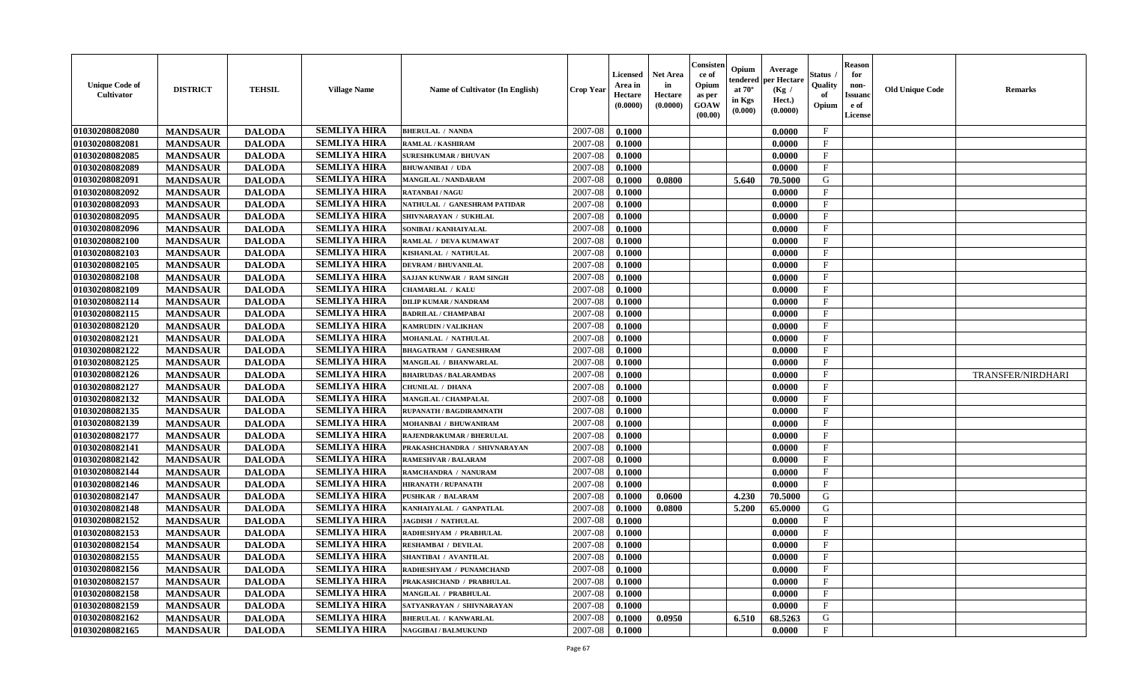| <b>Unique Code of</b><br>Cultivator | <b>DISTRICT</b> | <b>TEHSIL</b> | <b>Village Name</b> | Name of Cultivator (In English) | <b>Crop Year</b> | <b>Licensed</b><br>Area in<br>Hectare<br>(0.0000) | <b>Net Area</b><br>in<br>Hectare<br>(0.0000) | Consister<br>ce of<br>Opium<br>as per<br><b>GOAW</b><br>(00.00) | Opium<br>endered<br>at $70^\circ$<br>in Kgs<br>(0.000) | Average<br>per Hectare<br>(Kg /<br>Hect.)<br>(0.0000) | Status /<br>Quality<br>of<br>Opium | <b>Reason</b><br>for<br>non-<br><b>Issuand</b><br>e of<br>License | <b>Old Unique Code</b> | <b>Remarks</b>    |
|-------------------------------------|-----------------|---------------|---------------------|---------------------------------|------------------|---------------------------------------------------|----------------------------------------------|-----------------------------------------------------------------|--------------------------------------------------------|-------------------------------------------------------|------------------------------------|-------------------------------------------------------------------|------------------------|-------------------|
| 01030208082080                      | <b>MANDSAUR</b> | <b>DALODA</b> | <b>SEMLIYA HIRA</b> | <b>BHERULAL / NANDA</b>         | 2007-08          | 0.1000                                            |                                              |                                                                 |                                                        | 0.0000                                                | $\mathbf{F}$                       |                                                                   |                        |                   |
| 01030208082081                      | <b>MANDSAUR</b> | <b>DALODA</b> | <b>SEMLIYA HIRA</b> | RAMLAL / KASHIRAM               | 2007-08          | 0.1000                                            |                                              |                                                                 |                                                        | 0.0000                                                | $\mathbf F$                        |                                                                   |                        |                   |
| 01030208082085                      | <b>MANDSAUR</b> | <b>DALODA</b> | <b>SEMLIYA HIRA</b> | <b>SURESHKUMAR / BHUVAN</b>     | 2007-08          | 0.1000                                            |                                              |                                                                 |                                                        | 0.0000                                                | $\mathbf{F}$                       |                                                                   |                        |                   |
| 01030208082089                      | <b>MANDSAUR</b> | <b>DALODA</b> | <b>SEMLIYA HIRA</b> | <b>BHUWANIBAI / UDA</b>         | 2007-08          | 0.1000                                            |                                              |                                                                 |                                                        | 0.0000                                                | $\mathbf{F}$                       |                                                                   |                        |                   |
| 01030208082091                      | <b>MANDSAUR</b> | <b>DALODA</b> | <b>SEMLIYA HIRA</b> | MANGILAL / NANDARAM             | 2007-08          | 0.1000                                            | 0.0800                                       |                                                                 | 5.640                                                  | 70.5000                                               | G                                  |                                                                   |                        |                   |
| 01030208082092                      | <b>MANDSAUR</b> | <b>DALODA</b> | <b>SEMLIYA HIRA</b> | <b>RATANBAI/NAGU</b>            | 2007-08          | 0.1000                                            |                                              |                                                                 |                                                        | 0.0000                                                | $\mathbf{F}$                       |                                                                   |                        |                   |
| 01030208082093                      | <b>MANDSAUR</b> | <b>DALODA</b> | <b>SEMLIYA HIRA</b> | NATHULAL / GANESHRAM PATIDAR    | 2007-08          | 0.1000                                            |                                              |                                                                 |                                                        | 0.0000                                                | $\mathbf{F}$                       |                                                                   |                        |                   |
| 01030208082095                      | <b>MANDSAUR</b> | <b>DALODA</b> | <b>SEMLIYA HIRA</b> | SHIVNARAYAN / SUKHLAL           | 2007-08          | 0.1000                                            |                                              |                                                                 |                                                        | 0.0000                                                | $\mathbf F$                        |                                                                   |                        |                   |
| 01030208082096                      | <b>MANDSAUR</b> | <b>DALODA</b> | <b>SEMLIYA HIRA</b> | SONIBAI / KANHAIYALAL           | 2007-08          | 0.1000                                            |                                              |                                                                 |                                                        | 0.0000                                                | $\mathbf{F}$                       |                                                                   |                        |                   |
| 01030208082100                      | <b>MANDSAUR</b> | <b>DALODA</b> | <b>SEMLIYA HIRA</b> | RAMLAL / DEVA KUMAWAT           | 2007-08          | 0.1000                                            |                                              |                                                                 |                                                        | 0.0000                                                | $\mathbf{F}$                       |                                                                   |                        |                   |
| 01030208082103                      | <b>MANDSAUR</b> | <b>DALODA</b> | <b>SEMLIYA HIRA</b> | KISHANLAL / NATHULAL            | 2007-08          | 0.1000                                            |                                              |                                                                 |                                                        | 0.0000                                                | $\mathbf{F}$                       |                                                                   |                        |                   |
| 01030208082105                      | <b>MANDSAUR</b> | <b>DALODA</b> | <b>SEMLIYA HIRA</b> | <b>DEVRAM / BHUVANILAL</b>      | 2007-08          | 0.1000                                            |                                              |                                                                 |                                                        | 0.0000                                                | $\mathbf F$                        |                                                                   |                        |                   |
| 01030208082108                      | <b>MANDSAUR</b> | <b>DALODA</b> | <b>SEMLIYA HIRA</b> | SAJJAN KUNWAR / RAM SINGH       | 2007-08          | 0.1000                                            |                                              |                                                                 |                                                        | 0.0000                                                | $\mathbf{F}$                       |                                                                   |                        |                   |
| 01030208082109                      | <b>MANDSAUR</b> | <b>DALODA</b> | <b>SEMLIYA HIRA</b> | <b>CHAMARLAL / KALU</b>         | 2007-08          | 0.1000                                            |                                              |                                                                 |                                                        | 0.0000                                                | $\mathbf{F}$                       |                                                                   |                        |                   |
| 01030208082114                      | <b>MANDSAUR</b> | <b>DALODA</b> | <b>SEMLIYA HIRA</b> | <b>DILIP KUMAR / NANDRAM</b>    | 2007-08          | 0.1000                                            |                                              |                                                                 |                                                        | 0.0000                                                | $\mathbf{F}$                       |                                                                   |                        |                   |
| 01030208082115                      | <b>MANDSAUR</b> | <b>DALODA</b> | <b>SEMLIYA HIRA</b> | <b>BADRILAL / CHAMPABAI</b>     | 2007-08          | 0.1000                                            |                                              |                                                                 |                                                        | 0.0000                                                | $\mathbf F$                        |                                                                   |                        |                   |
| 01030208082120                      | <b>MANDSAUR</b> | <b>DALODA</b> | <b>SEMLIYA HIRA</b> | <b>KAMRUDIN / VALIKHAN</b>      | 2007-08          | 0.1000                                            |                                              |                                                                 |                                                        | 0.0000                                                | $\mathbf{F}$                       |                                                                   |                        |                   |
| 01030208082121                      | <b>MANDSAUR</b> | <b>DALODA</b> | <b>SEMLIYA HIRA</b> | MOHANLAL / NATHULAL             | 2007-08          | 0.1000                                            |                                              |                                                                 |                                                        | 0.0000                                                | $\mathbf{F}$                       |                                                                   |                        |                   |
| 01030208082122                      | <b>MANDSAUR</b> | <b>DALODA</b> | <b>SEMLIYA HIRA</b> | <b>BHAGATRAM / GANESHRAM</b>    | 2007-08          | 0.1000                                            |                                              |                                                                 |                                                        | 0.0000                                                | $_{\rm F}$                         |                                                                   |                        |                   |
| 01030208082125                      | <b>MANDSAUR</b> | <b>DALODA</b> | <b>SEMLIYA HIRA</b> | MANGILAL / BHANWARLAL           | 2007-08          | 0.1000                                            |                                              |                                                                 |                                                        | 0.0000                                                | $\mathbf{F}$                       |                                                                   |                        |                   |
| 01030208082126                      | <b>MANDSAUR</b> | <b>DALODA</b> | <b>SEMLIYA HIRA</b> | <b>BHAIRUDAS / BALARAMDAS</b>   | 2007-08          | 0.1000                                            |                                              |                                                                 |                                                        | 0.0000                                                | $\mathbf{F}$                       |                                                                   |                        | TRANSFER/NIRDHARI |
| 01030208082127                      | <b>MANDSAUR</b> | <b>DALODA</b> | <b>SEMLIYA HIRA</b> | CHUNILAL / DHANA                | 2007-08          | 0.1000                                            |                                              |                                                                 |                                                        | 0.0000                                                | $\mathbf{F}$                       |                                                                   |                        |                   |
| 01030208082132                      | <b>MANDSAUR</b> | <b>DALODA</b> | <b>SEMLIYA HIRA</b> | MANGILAL / CHAMPALAL            | 2007-08          | 0.1000                                            |                                              |                                                                 |                                                        | 0.0000                                                | $\mathbf{F}$                       |                                                                   |                        |                   |
| 01030208082135                      | <b>MANDSAUR</b> | <b>DALODA</b> | <b>SEMLIYA HIRA</b> | RUPANATH / BAGDIRAMNATH         | 2007-08          | 0.1000                                            |                                              |                                                                 |                                                        | 0.0000                                                | $\mathbf{F}$                       |                                                                   |                        |                   |
| 01030208082139                      | <b>MANDSAUR</b> | <b>DALODA</b> | <b>SEMLIYA HIRA</b> | MOHANBAI / BHUWANIRAM           | 2007-08          | 0.1000                                            |                                              |                                                                 |                                                        | 0.0000                                                | $\mathbf F$                        |                                                                   |                        |                   |
| 01030208082177                      | <b>MANDSAUR</b> | <b>DALODA</b> | <b>SEMLIYA HIRA</b> | RAJENDRAKUMAR / BHERULAL        | 2007-08          | 0.1000                                            |                                              |                                                                 |                                                        | 0.0000                                                | $\mathbf{F}$                       |                                                                   |                        |                   |
| 01030208082141                      | <b>MANDSAUR</b> | <b>DALODA</b> | <b>SEMLIYA HIRA</b> | PRAKASHCHANDRA / SHIVNARAYAN    | 2007-08          | 0.1000                                            |                                              |                                                                 |                                                        | 0.0000                                                | $\mathbf{F}$                       |                                                                   |                        |                   |
| 01030208082142                      | <b>MANDSAUR</b> | <b>DALODA</b> | <b>SEMLIYA HIRA</b> | <b>RAMESHVAR / BALARAM</b>      | 2007-08          | 0.1000                                            |                                              |                                                                 |                                                        | 0.0000                                                | $\mathbf{F}$                       |                                                                   |                        |                   |
| 01030208082144                      | <b>MANDSAUR</b> | <b>DALODA</b> | <b>SEMLIYA HIRA</b> | RAMCHANDRA / NANURAM            | 2007-08          | 0.1000                                            |                                              |                                                                 |                                                        | 0.0000                                                | $\mathbf{F}$                       |                                                                   |                        |                   |
| 01030208082146                      | <b>MANDSAUR</b> | <b>DALODA</b> | <b>SEMLIYA HIRA</b> | <b>HIRANATH / RUPANATH</b>      | 2007-08          | 0.1000                                            |                                              |                                                                 |                                                        | 0.0000                                                | $\mathbf{F}$                       |                                                                   |                        |                   |
| 01030208082147                      | <b>MANDSAUR</b> | <b>DALODA</b> | <b>SEMLIYA HIRA</b> | <b>PUSHKAR / BALARAM</b>        | 2007-08          | 0.1000                                            | 0.0600                                       |                                                                 | 4.230                                                  | 70.5000                                               | G                                  |                                                                   |                        |                   |
| 01030208082148                      | <b>MANDSAUR</b> | <b>DALODA</b> | <b>SEMLIYA HIRA</b> | KANHAIYALAL / GANPATLAL         | 2007-08          | 0.1000                                            | 0.0800                                       |                                                                 | 5.200                                                  | 65.0000                                               | G                                  |                                                                   |                        |                   |
| 01030208082152                      | <b>MANDSAUR</b> | <b>DALODA</b> | <b>SEMLIYA HIRA</b> | <b>JAGDISH / NATHULAL</b>       | 2007-08          | 0.1000                                            |                                              |                                                                 |                                                        | 0.0000                                                | $\mathbf{F}$                       |                                                                   |                        |                   |
| 01030208082153                      | <b>MANDSAUR</b> | <b>DALODA</b> | <b>SEMLIYA HIRA</b> | RADHESHYAM / PRABHULAL          | 2007-08          | 0.1000                                            |                                              |                                                                 |                                                        | 0.0000                                                | $\mathbf{F}$                       |                                                                   |                        |                   |
| 01030208082154                      | <b>MANDSAUR</b> | <b>DALODA</b> | <b>SEMLIYA HIRA</b> | RESHAMBAI / DEVILAL             | 2007-08          | 0.1000                                            |                                              |                                                                 |                                                        | 0.0000                                                | $\mathbf{F}$                       |                                                                   |                        |                   |
| 01030208082155                      | <b>MANDSAUR</b> | <b>DALODA</b> | <b>SEMLIYA HIRA</b> | SHANTIBAI / AVANTILAL           | 2007-08          | 0.1000                                            |                                              |                                                                 |                                                        | 0.0000                                                | $\mathbf{F}$                       |                                                                   |                        |                   |
| 01030208082156                      | <b>MANDSAUR</b> | <b>DALODA</b> | <b>SEMLIYA HIRA</b> | RADHESHYAM / PUNAMCHAND         | 2007-08          | 0.1000                                            |                                              |                                                                 |                                                        | 0.0000                                                | $\mathbf{F}$                       |                                                                   |                        |                   |
| 01030208082157                      | <b>MANDSAUR</b> | <b>DALODA</b> | <b>SEMLIYA HIRA</b> | PRAKASHCHAND / PRABHULAL        | 2007-08          | 0.1000                                            |                                              |                                                                 |                                                        | 0.0000                                                | $\mathbf{F}$                       |                                                                   |                        |                   |
| 01030208082158                      | <b>MANDSAUR</b> | <b>DALODA</b> | <b>SEMLIYA HIRA</b> | MANGILAL / PRABHULAL            | 2007-08          | 0.1000                                            |                                              |                                                                 |                                                        | 0.0000                                                | $\mathbf{F}$                       |                                                                   |                        |                   |
| 01030208082159                      | <b>MANDSAUR</b> | <b>DALODA</b> | <b>SEMLIYA HIRA</b> | SATYANRAYAN / SHIVNARAYAN       | 2007-08          | 0.1000                                            |                                              |                                                                 |                                                        | 0.0000                                                | F                                  |                                                                   |                        |                   |
| 01030208082162                      | <b>MANDSAUR</b> | <b>DALODA</b> | <b>SEMLIYA HIRA</b> | <b>BHERULAL / KANWARLAL</b>     | 2007-08          | 0.1000                                            | 0.0950                                       |                                                                 | 6.510                                                  | 68.5263                                               | G                                  |                                                                   |                        |                   |
| 01030208082165                      | <b>MANDSAUR</b> | <b>DALODA</b> | <b>SEMLIYA HIRA</b> | <b>NAGGIBAI / BALMUKUND</b>     | 2007-08          | 0.1000                                            |                                              |                                                                 |                                                        | 0.0000                                                | $\mathbf{F}$                       |                                                                   |                        |                   |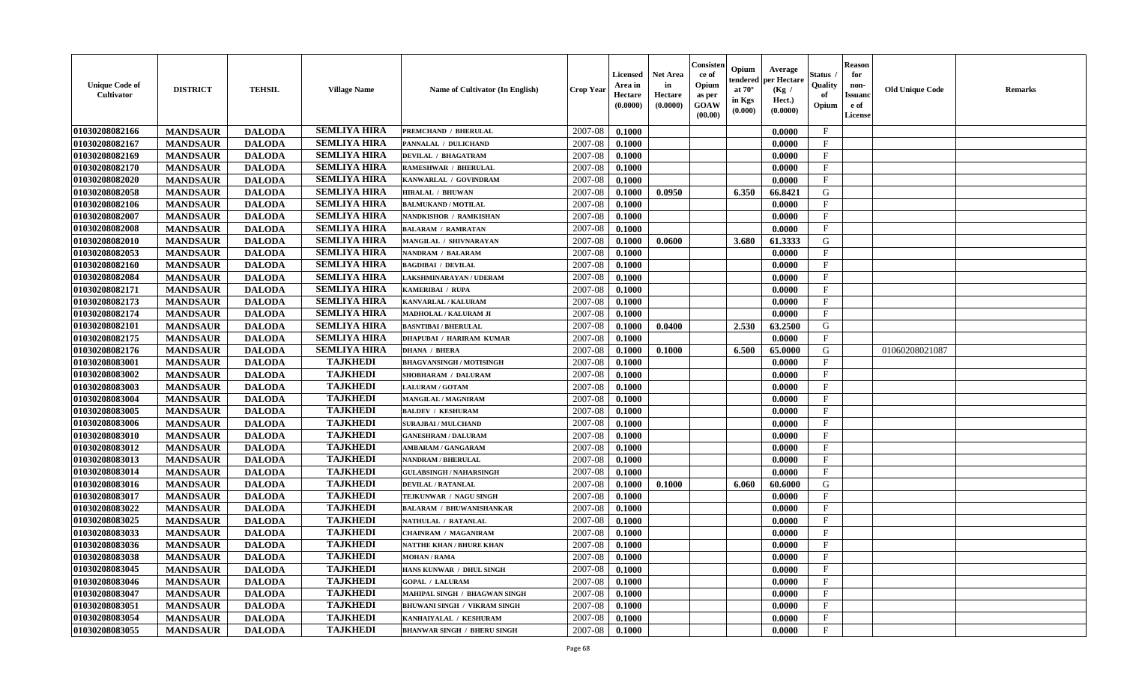| <b>Unique Code of</b><br>Cultivator | <b>DISTRICT</b> | <b>TEHSIL</b> | <b>Village Name</b> | Name of Cultivator (In English)    | <b>Crop Year</b> | <b>Licensed</b><br>Area in<br>Hectare<br>(0.0000) | <b>Net Area</b><br>in<br>Hectare<br>(0.0000) | Consister<br>ce of<br>Opium<br>as per<br><b>GOAW</b><br>(00.00) | Opium<br>endered<br>at $70^\circ$<br>in Kgs<br>(0.000) | Average<br>per Hectare<br>(Kg /<br>Hect.)<br>(0.0000) | <b>Status</b><br>Quality<br>of<br>Opium | <b>Reason</b><br>for<br>non-<br><b>Issuand</b><br>e of<br>License | <b>Old Unique Code</b> | <b>Remarks</b> |
|-------------------------------------|-----------------|---------------|---------------------|------------------------------------|------------------|---------------------------------------------------|----------------------------------------------|-----------------------------------------------------------------|--------------------------------------------------------|-------------------------------------------------------|-----------------------------------------|-------------------------------------------------------------------|------------------------|----------------|
| 01030208082166                      | <b>MANDSAUR</b> | <b>DALODA</b> | <b>SEMLIYA HIRA</b> | PREMCHAND / BHERULAL               | 2007-08          | 0.1000                                            |                                              |                                                                 |                                                        | 0.0000                                                | $\mathbf{F}$                            |                                                                   |                        |                |
| 01030208082167                      | <b>MANDSAUR</b> | <b>DALODA</b> | <b>SEMLIYA HIRA</b> | PANNALAL / DULICHAND               | 2007-08          | 0.1000                                            |                                              |                                                                 |                                                        | 0.0000                                                | $\mathbf{F}$                            |                                                                   |                        |                |
| 01030208082169                      | <b>MANDSAUR</b> | <b>DALODA</b> | <b>SEMLIYA HIRA</b> | <b>DEVILAL / BHAGATRAM</b>         | 2007-08          | 0.1000                                            |                                              |                                                                 |                                                        | 0.0000                                                | $\mathbf{F}$                            |                                                                   |                        |                |
| 01030208082170                      | <b>MANDSAUR</b> | <b>DALODA</b> | <b>SEMLIYA HIRA</b> | RAMESHWAR / BHERULAL               | 2007-08          | 0.1000                                            |                                              |                                                                 |                                                        | 0.0000                                                | $\mathbf F$                             |                                                                   |                        |                |
| 01030208082020                      | <b>MANDSAUR</b> | <b>DALODA</b> | <b>SEMLIYA HIRA</b> | KANWARLAL / GOVINDRAM              | 2007-08          | 0.1000                                            |                                              |                                                                 |                                                        | 0.0000                                                | $\mathbf{F}$                            |                                                                   |                        |                |
| 01030208082058                      | <b>MANDSAUR</b> | <b>DALODA</b> | <b>SEMLIYA HIRA</b> | <b>HIRALAL / BHUWAN</b>            | 2007-08          | 0.1000                                            | 0.0950                                       |                                                                 | 6.350                                                  | 66.8421                                               | G                                       |                                                                   |                        |                |
| 01030208082106                      | <b>MANDSAUR</b> | <b>DALODA</b> | <b>SEMLIYA HIRA</b> | <b>BALMUKAND / MOTILAL</b>         | 2007-08          | 0.1000                                            |                                              |                                                                 |                                                        | 0.0000                                                | $\mathbf{F}$                            |                                                                   |                        |                |
| 01030208082007                      | <b>MANDSAUR</b> | <b>DALODA</b> | <b>SEMLIYA HIRA</b> | NANDKISHOR / RAMKISHAN             | 2007-08          | 0.1000                                            |                                              |                                                                 |                                                        | 0.0000                                                | $\mathbf F$                             |                                                                   |                        |                |
| 01030208082008                      | <b>MANDSAUR</b> | <b>DALODA</b> | <b>SEMLIYA HIRA</b> | <b>BALARAM / RAMRATAN</b>          | 2007-08          | 0.1000                                            |                                              |                                                                 |                                                        | 0.0000                                                | $\mathbf{F}$                            |                                                                   |                        |                |
| 01030208082010                      | <b>MANDSAUR</b> | <b>DALODA</b> | <b>SEMLIYA HIRA</b> | MANGILAL / SHIVNARAYAN             | 2007-08          | 0.1000                                            | 0.0600                                       |                                                                 | 3.680                                                  | 61.3333                                               | G                                       |                                                                   |                        |                |
| 01030208082053                      | <b>MANDSAUR</b> | <b>DALODA</b> | <b>SEMLIYA HIRA</b> | <b>NANDRAM / BALARAM</b>           | 2007-08          | 0.1000                                            |                                              |                                                                 |                                                        | 0.0000                                                | $\mathbf{F}$                            |                                                                   |                        |                |
| 01030208082160                      | <b>MANDSAUR</b> | <b>DALODA</b> | <b>SEMLIYA HIRA</b> | <b>BAGDIBAI / DEVILAL</b>          | 2007-08          | 0.1000                                            |                                              |                                                                 |                                                        | 0.0000                                                | $\mathbf F$                             |                                                                   |                        |                |
| 01030208082084                      | <b>MANDSAUR</b> | <b>DALODA</b> | <b>SEMLIYA HIRA</b> | LAKSHMINARAYAN / UDERAM            | 2007-08          | 0.1000                                            |                                              |                                                                 |                                                        | 0.0000                                                | $\mathbf{F}$                            |                                                                   |                        |                |
| 01030208082171                      | <b>MANDSAUR</b> | <b>DALODA</b> | <b>SEMLIYA HIRA</b> | KAMERIBAI / RUPA                   | 2007-08          | 0.1000                                            |                                              |                                                                 |                                                        | 0.0000                                                | $\mathbf{F}$                            |                                                                   |                        |                |
| 01030208082173                      | <b>MANDSAUR</b> | <b>DALODA</b> | <b>SEMLIYA HIRA</b> | KANVARLAL / KALURAM                | 2007-08          | 0.1000                                            |                                              |                                                                 |                                                        | 0.0000                                                | $\mathbf{F}$                            |                                                                   |                        |                |
| 01030208082174                      | <b>MANDSAUR</b> | <b>DALODA</b> | <b>SEMLIYA HIRA</b> | MADHOLAL / KALURAM JI              | 2007-08          | 0.1000                                            |                                              |                                                                 |                                                        | 0.0000                                                | $\mathbf F$                             |                                                                   |                        |                |
| 01030208082101                      | <b>MANDSAUR</b> | <b>DALODA</b> | <b>SEMLIYA HIRA</b> | <b>BASNTIBAI / BHERULAL</b>        | 2007-08          | 0.1000                                            | 0.0400                                       |                                                                 | 2.530                                                  | 63.2500                                               | G                                       |                                                                   |                        |                |
| 01030208082175                      | <b>MANDSAUR</b> | <b>DALODA</b> | <b>SEMLIYA HIRA</b> | <b>DHAPUBAI / HARIRAM KUMAR</b>    | 2007-08          | 0.1000                                            |                                              |                                                                 |                                                        | 0.0000                                                | $\mathbf{F}$                            |                                                                   |                        |                |
| 01030208082176                      | <b>MANDSAUR</b> | <b>DALODA</b> | <b>SEMLIYA HIRA</b> | <b>DHANA / BHERA</b>               | 2007-08          | 0.1000                                            | 0.1000                                       |                                                                 | 6.500                                                  | 65.0000                                               | G                                       |                                                                   | 01060208021087         |                |
| 01030208083001                      | <b>MANDSAUR</b> | <b>DALODA</b> | <b>TAJKHEDI</b>     | <b>BHAGVANSINGH / MOTISINGH</b>    | 2007-08          | 0.1000                                            |                                              |                                                                 |                                                        | 0.0000                                                | $\mathbf{F}$                            |                                                                   |                        |                |
| 01030208083002                      | <b>MANDSAUR</b> | <b>DALODA</b> | <b>TAJKHEDI</b>     | SHOBHARAM / DALURAM                | 2007-08          | 0.1000                                            |                                              |                                                                 |                                                        | 0.0000                                                | $\mathbf{F}$                            |                                                                   |                        |                |
| 01030208083003                      | <b>MANDSAUR</b> | <b>DALODA</b> | <b>TAJKHEDI</b>     | <b>LALURAM / GOTAM</b>             | 2007-08          | 0.1000                                            |                                              |                                                                 |                                                        | 0.0000                                                | $\mathbf{F}$                            |                                                                   |                        |                |
| 01030208083004                      | <b>MANDSAUR</b> | <b>DALODA</b> | <b>TAJKHEDI</b>     | MANGILAL / MAGNIRAM                | 2007-08          | 0.1000                                            |                                              |                                                                 |                                                        | 0.0000                                                | $\mathbf{F}$                            |                                                                   |                        |                |
| 01030208083005                      | <b>MANDSAUR</b> | <b>DALODA</b> | <b>TAJKHEDI</b>     | <b>BALDEV / KESHURAM</b>           | 2007-08          | 0.1000                                            |                                              |                                                                 |                                                        | 0.0000                                                | $\mathbf{F}$                            |                                                                   |                        |                |
| 01030208083006                      | <b>MANDSAUR</b> | <b>DALODA</b> | <b>TAJKHEDI</b>     | <b>SURAJBAI / MULCHAND</b>         | 2007-08          | 0.1000                                            |                                              |                                                                 |                                                        | 0.0000                                                | $_{\rm F}$                              |                                                                   |                        |                |
| 01030208083010                      | <b>MANDSAUR</b> | <b>DALODA</b> | <b>TAJKHEDI</b>     | <b>GANESHRAM / DALURAM</b>         | 2007-08          | 0.1000                                            |                                              |                                                                 |                                                        | 0.0000                                                | $\mathbf{F}$                            |                                                                   |                        |                |
| 01030208083012                      | <b>MANDSAUR</b> | <b>DALODA</b> | <b>TAJKHEDI</b>     | <b>AMBARAM / GANGARAM</b>          | 2007-08          | 0.1000                                            |                                              |                                                                 |                                                        | 0.0000                                                | $_{\rm F}$                              |                                                                   |                        |                |
| 01030208083013                      | <b>MANDSAUR</b> | <b>DALODA</b> | <b>TAJKHEDI</b>     | <b>NANDRAM / BHERULAL</b>          | 2007-08          | 0.1000                                            |                                              |                                                                 |                                                        | 0.0000                                                | F                                       |                                                                   |                        |                |
| 01030208083014                      | <b>MANDSAUR</b> | <b>DALODA</b> | <b>TAJKHEDI</b>     | <b>GULABSINGH / NAHARSINGH</b>     | 2007-08          | 0.1000                                            |                                              |                                                                 |                                                        | 0.0000                                                | $\mathbf{F}$                            |                                                                   |                        |                |
| 01030208083016                      | <b>MANDSAUR</b> | <b>DALODA</b> | <b>TAJKHEDI</b>     | <b>DEVILAL / RATANLAL</b>          | 2007-08          | 0.1000                                            | 0.1000                                       |                                                                 | 6.060                                                  | 60.6000                                               | G                                       |                                                                   |                        |                |
| 01030208083017                      | <b>MANDSAUR</b> | <b>DALODA</b> | <b>TAJKHEDI</b>     | TEJKUNWAR / NAGU SINGH             | 2007-08          | 0.1000                                            |                                              |                                                                 |                                                        | 0.0000                                                | $\mathbf{F}$                            |                                                                   |                        |                |
| 01030208083022                      | <b>MANDSAUR</b> | <b>DALODA</b> | <b>TAJKHEDI</b>     | <b>BALARAM / BHUWANISHANKAR</b>    | 2007-08          | 0.1000                                            |                                              |                                                                 |                                                        | 0.0000                                                | $\mathbf F$                             |                                                                   |                        |                |
| 01030208083025                      | <b>MANDSAUR</b> | <b>DALODA</b> | <b>TAJKHEDI</b>     | NATHULAL / RATANLAL                | 2007-08          | 0.1000                                            |                                              |                                                                 |                                                        | 0.0000                                                | $\mathbf{F}$                            |                                                                   |                        |                |
| 01030208083033                      | <b>MANDSAUR</b> | <b>DALODA</b> | <b>TAJKHEDI</b>     | <b>CHAINRAM / MAGANIRAM</b>        | 2007-08          | 0.1000                                            |                                              |                                                                 |                                                        | 0.0000                                                | $\mathbf{F}$                            |                                                                   |                        |                |
| 01030208083036                      | <b>MANDSAUR</b> | <b>DALODA</b> | <b>TAJKHEDI</b>     | <b>NATTHE KHAN / BHURE KHAN</b>    | 2007-08          | 0.1000                                            |                                              |                                                                 |                                                        | 0.0000                                                | $_{\rm F}$                              |                                                                   |                        |                |
| 01030208083038                      | <b>MANDSAUR</b> | <b>DALODA</b> | <b>TAJKHEDI</b>     | <b>MOHAN / RAMA</b>                | 2007-08          | 0.1000                                            |                                              |                                                                 |                                                        | 0.0000                                                | F                                       |                                                                   |                        |                |
| 01030208083045                      | <b>MANDSAUR</b> | <b>DALODA</b> | <b>TAJKHEDI</b>     | HANS KUNWAR / DHUL SINGH           | 2007-08          | 0.1000                                            |                                              |                                                                 |                                                        | 0.0000                                                | $\mathbf{F}$                            |                                                                   |                        |                |
| 01030208083046                      | <b>MANDSAUR</b> | <b>DALODA</b> | <b>TAJKHEDI</b>     | <b>GOPAL / LALURAM</b>             | 2007-08          | 0.1000                                            |                                              |                                                                 |                                                        | 0.0000                                                | $\mathbf{F}$                            |                                                                   |                        |                |
| 01030208083047                      | <b>MANDSAUR</b> | <b>DALODA</b> | <b>TAJKHEDI</b>     | MAHIPAL SINGH / BHAGWAN SINGH      | 2007-08          | 0.1000                                            |                                              |                                                                 |                                                        | 0.0000                                                | $\mathbf{F}$                            |                                                                   |                        |                |
| 01030208083051                      | <b>MANDSAUR</b> | <b>DALODA</b> | <b>TAJKHEDI</b>     | BHUWANI SINGH / VIKRAM SINGH       | 2007-08          | 0.1000                                            |                                              |                                                                 |                                                        | 0.0000                                                | F                                       |                                                                   |                        |                |
| 01030208083054                      | <b>MANDSAUR</b> | <b>DALODA</b> | <b>TAJKHEDI</b>     | KANHAIYALAL / KESHURAM             | 2007-08          | 0.1000                                            |                                              |                                                                 |                                                        | 0.0000                                                | $\mathbf{F}$                            |                                                                   |                        |                |
| 01030208083055                      | <b>MANDSAUR</b> | <b>DALODA</b> | <b>TAJKHEDI</b>     | <b>BHANWAR SINGH / BHERU SINGH</b> | 2007-08          | 0.1000                                            |                                              |                                                                 |                                                        | 0.0000                                                | $\mathbf{F}$                            |                                                                   |                        |                |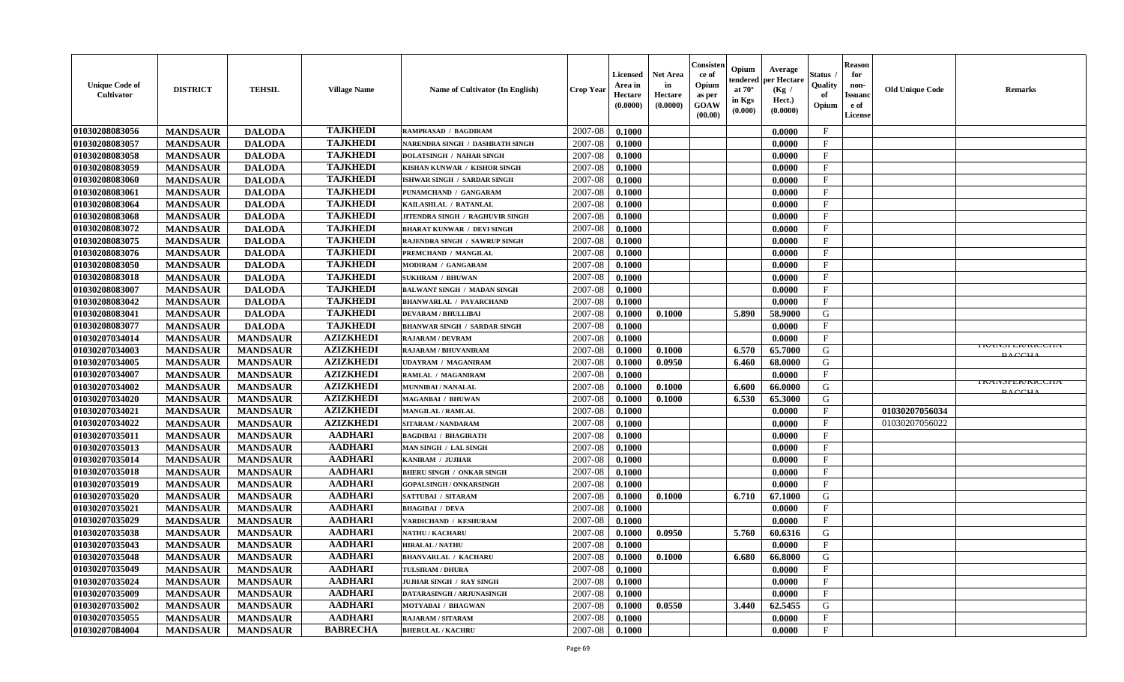| <b>Unique Code of</b><br><b>Cultivator</b> | <b>DISTRICT</b> | <b>TEHSIL</b>   | <b>Village Name</b> | Name of Cultivator (In English)     | <b>Crop Year</b> | <b>Licensed</b><br>Area in<br>Hectare<br>(0.0000) | <b>Net Area</b><br>in<br>Hectare<br>(0.0000) | Consisteı<br>ce of<br>Opium<br>as per<br><b>GOAW</b><br>(00.00) | Opium<br>Average<br>per Hectare<br>endered<br>at $70^\circ$<br>(Kg /<br>in Kgs<br>Hect.)<br>$(\mathbf{0.000})$ | (0.0000) | Status<br>Quality<br>of<br>Opium | <b>Reason</b><br>for<br>non-<br>Issuan<br>e of<br>License | <b>Old Unique Code</b> | <b>Remarks</b>                             |
|--------------------------------------------|-----------------|-----------------|---------------------|-------------------------------------|------------------|---------------------------------------------------|----------------------------------------------|-----------------------------------------------------------------|----------------------------------------------------------------------------------------------------------------|----------|----------------------------------|-----------------------------------------------------------|------------------------|--------------------------------------------|
| 01030208083056                             | <b>MANDSAUR</b> | <b>DALODA</b>   | <b>TAJKHEDI</b>     | <b>RAMPRASAD / BAGDIRAM</b>         | 2007-08          | 0.1000                                            |                                              |                                                                 |                                                                                                                | 0.0000   | $\mathbf{F}$                     |                                                           |                        |                                            |
| 01030208083057                             | <b>MANDSAUR</b> | <b>DALODA</b>   | <b>TAJKHEDI</b>     | NARENDRA SINGH / DASHRATH SINGH     | 2007-08          | 0.1000                                            |                                              |                                                                 |                                                                                                                | 0.0000   | $_{\rm F}$                       |                                                           |                        |                                            |
| 01030208083058                             | <b>MANDSAUR</b> | <b>DALODA</b>   | <b>TAJKHEDI</b>     | <b>DOLATSINGH / NAHAR SINGH</b>     | 2007-08          | 0.1000                                            |                                              |                                                                 |                                                                                                                | 0.0000   | $\mathbf{F}$                     |                                                           |                        |                                            |
| 01030208083059                             | <b>MANDSAUR</b> | <b>DALODA</b>   | <b>TAJKHEDI</b>     | KISHAN KUNWAR / KISHOR SINGH        | 2007-08          | 0.1000                                            |                                              |                                                                 |                                                                                                                | 0.0000   | $\mathbf{F}$                     |                                                           |                        |                                            |
| 01030208083060                             | <b>MANDSAUR</b> | <b>DALODA</b>   | <b>TAJKHEDI</b>     | ISHWAR SINGH / SARDAR SINGH         | 2007-08          | 0.1000                                            |                                              |                                                                 |                                                                                                                | 0.0000   | $_{\rm F}$                       |                                                           |                        |                                            |
| 01030208083061                             | <b>MANDSAUR</b> | <b>DALODA</b>   | <b>TAJKHEDI</b>     | PUNAMCHAND / GANGARAM               | 2007-08          | 0.1000                                            |                                              |                                                                 |                                                                                                                | 0.0000   | $\mathbf{F}$                     |                                                           |                        |                                            |
| 01030208083064                             | <b>MANDSAUR</b> | <b>DALODA</b>   | <b>TAJKHEDI</b>     | KAILASHLAL / RATANLAL               | 2007-08          | 0.1000                                            |                                              |                                                                 |                                                                                                                | 0.0000   | $\mathbf{F}$                     |                                                           |                        |                                            |
| 01030208083068                             | <b>MANDSAUR</b> | <b>DALODA</b>   | <b>TAJKHEDI</b>     | JITENDRA SINGH / RAGHUVIR SINGH     | 2007-08          | 0.1000                                            |                                              |                                                                 | 0.0000                                                                                                         |          | $\mathbf{F}$                     |                                                           |                        |                                            |
| 01030208083072                             | <b>MANDSAUR</b> | <b>DALODA</b>   | <b>TAJKHEDI</b>     | <b>BHARAT KUNWAR / DEVI SINGH</b>   | 2007-08          | 0.1000                                            |                                              |                                                                 |                                                                                                                | 0.0000   | $_{\rm F}$                       |                                                           |                        |                                            |
| 01030208083075                             | <b>MANDSAUR</b> | <b>DALODA</b>   | <b>TAJKHEDI</b>     | RAJENDRA SINGH / SAWRUP SINGH       | 2007-08          | 0.1000                                            |                                              |                                                                 |                                                                                                                | 0.0000   | $_{\rm F}$                       |                                                           |                        |                                            |
| 01030208083076                             | <b>MANDSAUR</b> | <b>DALODA</b>   | <b>TAJKHEDI</b>     | PREMCHAND / MANGILAL                | 2007-08          | 0.1000                                            |                                              |                                                                 |                                                                                                                | 0.0000   | $\mathbf{F}$                     |                                                           |                        |                                            |
| 01030208083050                             | <b>MANDSAUR</b> | <b>DALODA</b>   | <b>TAJKHEDI</b>     | MODIRAM / GANGARAM                  | 2007-08          | 0.1000                                            |                                              |                                                                 |                                                                                                                | 0.0000   | $_{\rm F}$                       |                                                           |                        |                                            |
| 01030208083018                             | <b>MANDSAUR</b> | <b>DALODA</b>   | <b>TAJKHEDI</b>     | <b>SUKHRAM / BHUWAN</b>             | 2007-08          | 0.1000                                            |                                              |                                                                 |                                                                                                                | 0.0000   | $\mathbf{F}$                     |                                                           |                        |                                            |
| 01030208083007                             | <b>MANDSAUR</b> | <b>DALODA</b>   | <b>TAJKHEDI</b>     | <b>BALWANT SINGH / MADAN SINGH</b>  | 2007-08          | 0.1000                                            |                                              |                                                                 |                                                                                                                | 0.0000   | $\mathbf{F}$                     |                                                           |                        |                                            |
| 01030208083042                             | <b>MANDSAUR</b> | <b>DALODA</b>   | <b>TAJKHEDI</b>     | <b>BHANWARLAL / PAYARCHAND</b>      | 2007-08          | 0.1000                                            |                                              |                                                                 |                                                                                                                | 0.0000   | $\mathbf{F}$                     |                                                           |                        |                                            |
| 01030208083041                             | <b>MANDSAUR</b> | <b>DALODA</b>   | <b>TAJKHEDI</b>     | <b>DEVARAM / BHULLIBAI</b>          | 2007-08          | 0.1000                                            | 0.1000                                       |                                                                 | 5.890<br>58.9000                                                                                               |          | G                                |                                                           |                        |                                            |
| 01030208083077                             | <b>MANDSAUR</b> | <b>DALODA</b>   | <b>TAJKHEDI</b>     | <b>BHANWAR SINGH / SARDAR SINGH</b> | 2007-08          | 0.1000                                            |                                              |                                                                 |                                                                                                                | 0.0000   | $\mathbf{F}$                     |                                                           |                        |                                            |
| 01030207034014                             | <b>MANDSAUR</b> | <b>MANDSAUR</b> | <b>AZIZKHEDI</b>    | <b>RAJARAM / DEVRAM</b>             | 2007-08          | 0.1000                                            |                                              |                                                                 |                                                                                                                | 0.0000   | $\mathbf F$                      |                                                           |                        |                                            |
| 01030207034003                             | <b>MANDSAUR</b> | <b>MANDSAUR</b> | <b>AZIZKHEDI</b>    | RAJARAM / BHUVANIRAM                | 2007-08          | 0.1000                                            | 0.1000                                       |                                                                 | 6.570<br>65.7000                                                                                               |          | G                                |                                                           |                        | <b>I KAINSFEK/KIUUTIA</b><br><b>DACCIL</b> |
| 01030207034005                             | <b>MANDSAUR</b> | <b>MANDSAUR</b> | <b>AZIZKHEDI</b>    | <b>UDAYRAM / MAGANIRAM</b>          | 2007-08          | 0.1000                                            | 0.0950                                       |                                                                 | 6.460<br>68.0000                                                                                               |          | G                                |                                                           |                        |                                            |
| 01030207034007                             | <b>MANDSAUR</b> | <b>MANDSAUR</b> | <b>AZIZKHEDI</b>    | RAMLAL / MAGANIRAM                  | 2007-08          | 0.1000                                            |                                              |                                                                 |                                                                                                                | 0.0000   | F                                |                                                           |                        |                                            |
| 01030207034002                             | <b>MANDSAUR</b> | <b>MANDSAUR</b> | <b>AZIZKHEDI</b>    | MUNNIBAI / NANALAL                  | 2007-08          | 0.1000                                            | 0.1000                                       |                                                                 | 6.600<br>66.0000                                                                                               |          | G                                |                                                           |                        | <b>IRAINSPER/RICCHA</b><br>$D \wedge CCDI$ |
| 01030207034020                             | <b>MANDSAUR</b> | <b>MANDSAUR</b> | <b>AZIZKHEDI</b>    | <b>MAGANBAI / BHUWAN</b>            | 2007-08          | 0.1000                                            | 0.1000                                       |                                                                 | 6.530                                                                                                          | 65.3000  | G                                |                                                           |                        |                                            |
| 01030207034021                             | <b>MANDSAUR</b> | <b>MANDSAUR</b> | <b>AZIZKHEDI</b>    | <b>MANGILAL / RAMLAL</b>            | 2007-08          | 0.1000                                            |                                              |                                                                 |                                                                                                                | 0.0000   | $\mathbf{F}$                     |                                                           | 01030207056034         |                                            |
| 01030207034022                             | <b>MANDSAUR</b> | <b>MANDSAUR</b> | <b>AZIZKHEDI</b>    | SITARAM / NANDARAM                  | 2007-08          | 0.1000                                            |                                              |                                                                 |                                                                                                                | 0.0000   | $\mathbf{F}$                     |                                                           | 01030207056022         |                                            |
| 01030207035011                             | <b>MANDSAUR</b> | <b>MANDSAUR</b> | <b>AADHARI</b>      | <b>BAGDIBAI / BHAGIRATH</b>         | 2007-08          | 0.1000                                            |                                              |                                                                 |                                                                                                                | 0.0000   | $\mathbf{F}$                     |                                                           |                        |                                            |
| 01030207035013                             | <b>MANDSAUR</b> | <b>MANDSAUR</b> | <b>AADHARI</b>      | MAN SINGH / LAL SINGH               | 2007-08          | 0.1000                                            |                                              |                                                                 |                                                                                                                | 0.0000   | $_{\rm F}$                       |                                                           |                        |                                            |
| 01030207035014                             | <b>MANDSAUR</b> | <b>MANDSAUR</b> | <b>AADHARI</b>      | KANIRAM / JUJHAR                    | 2007-08          | 0.1000                                            |                                              |                                                                 |                                                                                                                | 0.0000   | $\mathbf{F}$                     |                                                           |                        |                                            |
| 01030207035018                             | <b>MANDSAUR</b> | <b>MANDSAUR</b> | <b>AADHARI</b>      | <b>BHERU SINGH / ONKAR SINGH</b>    | 2007-08          | 0.1000                                            |                                              |                                                                 |                                                                                                                | 0.0000   | $\mathbf{F}$                     |                                                           |                        |                                            |
| 01030207035019                             | <b>MANDSAUR</b> | <b>MANDSAUR</b> | <b>AADHARI</b>      | <b>GOPALSINGH / ONKARSINGH</b>      | 2007-08          | 0.1000                                            |                                              |                                                                 |                                                                                                                | 0.0000   | $_{\rm F}$                       |                                                           |                        |                                            |
| 01030207035020                             | <b>MANDSAUR</b> | <b>MANDSAUR</b> | <b>AADHARI</b>      | SATTUBAI / SITARAM                  | 2007-08          | 0.1000                                            | 0.1000                                       |                                                                 | 6.710<br>67.1000                                                                                               |          | G                                |                                                           |                        |                                            |
| 01030207035021                             | <b>MANDSAUR</b> | <b>MANDSAUR</b> | <b>AADHARI</b>      | <b>BHAGIBAI / DEVA</b>              | 2007-08          | 0.1000                                            |                                              |                                                                 |                                                                                                                | 0.0000   | $\mathbf{F}$                     |                                                           |                        |                                            |
| 01030207035029                             | <b>MANDSAUR</b> | <b>MANDSAUR</b> | <b>AADHARI</b>      | VARDICHAND / KESHURAM               | 2007-08          | 0.1000                                            |                                              |                                                                 |                                                                                                                | 0.0000   | $\mathbf{F}$                     |                                                           |                        |                                            |
| 01030207035038                             | <b>MANDSAUR</b> | <b>MANDSAUR</b> | <b>AADHARI</b>      | <b>NATHU / KACHARU</b>              | 2007-08          | 0.1000                                            | 0.0950                                       |                                                                 | 5.760                                                                                                          | 60.6316  | G                                |                                                           |                        |                                            |
| 01030207035043                             | <b>MANDSAUR</b> | <b>MANDSAUR</b> | <b>AADHARI</b>      | <b>HIRALAL / NATHU</b>              | 2007-08          | 0.1000                                            |                                              |                                                                 |                                                                                                                | 0.0000   | $\mathbf{F}$                     |                                                           |                        |                                            |
| 01030207035048                             | <b>MANDSAUR</b> | <b>MANDSAUR</b> | AADHARI             | <b>BHANVARLAL / KACHARU</b>         | 2007-08          | 0.1000                                            | 0.1000                                       |                                                                 | $6.680$  <br>66.8000                                                                                           |          | G                                |                                                           |                        |                                            |
| 01030207035049                             | <b>MANDSAUR</b> | <b>MANDSAUR</b> | <b>AADHARI</b>      | TULSIRAM / DHURA                    | 2007-08          | 0.1000                                            |                                              |                                                                 |                                                                                                                | 0.0000   | $_{\rm F}$                       |                                                           |                        |                                            |
| 01030207035024                             | <b>MANDSAUR</b> | <b>MANDSAUR</b> | <b>AADHARI</b>      | JUJHAR SINGH / RAY SINGH            | 2007-08          | 0.1000                                            |                                              |                                                                 |                                                                                                                | 0.0000   | $\mathbf{F}$                     |                                                           |                        |                                            |
| 01030207035009                             | <b>MANDSAUR</b> | <b>MANDSAUR</b> | <b>AADHARI</b>      | DATARASINGH / ARJUNASINGH           | 2007-08          | 0.1000                                            |                                              |                                                                 |                                                                                                                | 0.0000   | $\mathbf{F}$                     |                                                           |                        |                                            |
| 01030207035002                             | <b>MANDSAUR</b> | <b>MANDSAUR</b> | <b>AADHARI</b>      | MOTYABAI / BHAGWAN                  | 2007-08          | 0.1000                                            | 0.0550                                       |                                                                 | 3.440                                                                                                          | 62.5455  | G                                |                                                           |                        |                                            |
| 01030207035055                             | <b>MANDSAUR</b> | <b>MANDSAUR</b> | <b>AADHARI</b>      | <b>RAJARAM / SITARAM</b>            | 2007-08          | 0.1000                                            |                                              |                                                                 |                                                                                                                | 0.0000   | $\mathbf{F}$                     |                                                           |                        |                                            |
| 01030207084004                             | <b>MANDSAUR</b> | <b>MANDSAUR</b> | <b>BABRECHA</b>     | <b>BHERULAL / KACHRU</b>            | 2007-08          | 0.1000                                            |                                              |                                                                 |                                                                                                                | 0.0000   | $\mathbf{F}$                     |                                                           |                        |                                            |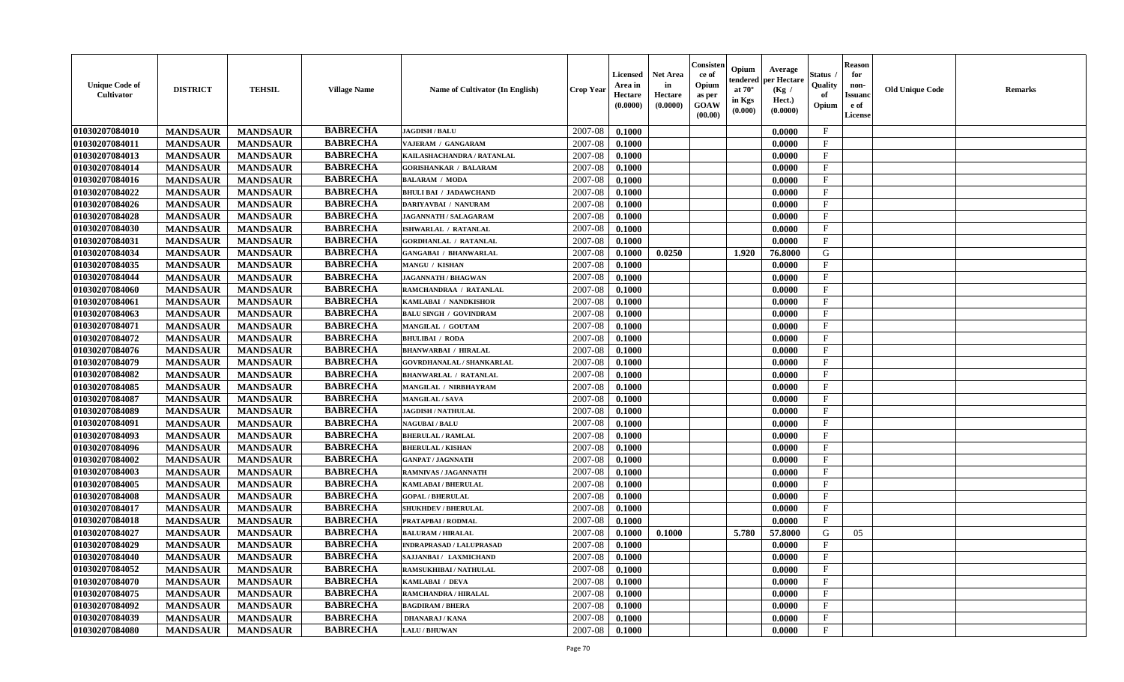| <b>Unique Code of</b><br>Cultivator | <b>DISTRICT</b> | <b>TEHSIL</b>   | <b>Village Name</b> | Name of Cultivator (In English)  | <b>Crop Year</b> | <b>Licensed</b><br>Area in<br>Hectare<br>(0.0000) | <b>Net Area</b><br>in<br>Hectare<br>(0.0000) | Consister<br>ce of<br>Opium<br>as per<br><b>GOAW</b><br>(00.00) | Opium<br>tendered<br>at $70^{\circ}$<br>in Kgs<br>(0.000) | Average<br>per Hectare<br>(Kg /<br>Hect.)<br>(0.0000) | <b>Status</b><br>Quality<br>of<br>Opium | <b>Reason</b><br>for<br>non-<br><b>Issuand</b><br>e of<br>License | <b>Old Unique Code</b> | <b>Remarks</b> |
|-------------------------------------|-----------------|-----------------|---------------------|----------------------------------|------------------|---------------------------------------------------|----------------------------------------------|-----------------------------------------------------------------|-----------------------------------------------------------|-------------------------------------------------------|-----------------------------------------|-------------------------------------------------------------------|------------------------|----------------|
| 01030207084010                      | <b>MANDSAUR</b> | <b>MANDSAUR</b> | <b>BABRECHA</b>     | <b>JAGDISH / BALU</b>            | 2007-08          | 0.1000                                            |                                              |                                                                 |                                                           | 0.0000                                                | $\mathbf{F}$                            |                                                                   |                        |                |
| 01030207084011                      | <b>MANDSAUR</b> | <b>MANDSAUR</b> | <b>BABRECHA</b>     | VAJERAM / GANGARAM               | 2007-08          | 0.1000                                            |                                              |                                                                 |                                                           | 0.0000                                                | $\mathbf F$                             |                                                                   |                        |                |
| 01030207084013                      | <b>MANDSAUR</b> | <b>MANDSAUR</b> | <b>BABRECHA</b>     | KAILASHACHANDRA / RATANLAL       | 2007-08          | 0.1000                                            |                                              |                                                                 |                                                           | 0.0000                                                | $\mathbf{F}$                            |                                                                   |                        |                |
| 01030207084014                      | <b>MANDSAUR</b> | <b>MANDSAUR</b> | <b>BABRECHA</b>     | <b>GORISHANKAR / BALARAM</b>     | 2007-08          | 0.1000                                            |                                              |                                                                 |                                                           | 0.0000                                                | $\mathbf{F}$                            |                                                                   |                        |                |
| 01030207084016                      | <b>MANDSAUR</b> | <b>MANDSAUR</b> | <b>BABRECHA</b>     | <b>BALARAM / MODA</b>            | 2007-08          | 0.1000                                            |                                              |                                                                 |                                                           | 0.0000                                                | $_{\rm F}$                              |                                                                   |                        |                |
| 01030207084022                      | <b>MANDSAUR</b> | <b>MANDSAUR</b> | <b>BABRECHA</b>     | <b>BHULI BAI / JADAWCHAND</b>    | 2007-08          | 0.1000                                            |                                              |                                                                 |                                                           | 0.0000                                                | $\mathbf{F}$                            |                                                                   |                        |                |
| 01030207084026                      | <b>MANDSAUR</b> | <b>MANDSAUR</b> | <b>BABRECHA</b>     | DARIYAVBAI / NANURAM             | 2007-08          | 0.1000                                            |                                              |                                                                 |                                                           | 0.0000                                                | $\mathbf{F}$                            |                                                                   |                        |                |
| 01030207084028                      | <b>MANDSAUR</b> | <b>MANDSAUR</b> | <b>BABRECHA</b>     | JAGANNATH / SALAGARAM            | 2007-08          | 0.1000                                            |                                              |                                                                 |                                                           | 0.0000                                                | $\mathbf{F}$                            |                                                                   |                        |                |
| 01030207084030                      | <b>MANDSAUR</b> | <b>MANDSAUR</b> | <b>BABRECHA</b>     | ISHWARLAL / RATANLAL             | 2007-08          | 0.1000                                            |                                              |                                                                 |                                                           | 0.0000                                                | F                                       |                                                                   |                        |                |
| 01030207084031                      | <b>MANDSAUR</b> | <b>MANDSAUR</b> | <b>BABRECHA</b>     | <b>GORDHANLAL / RATANLAL</b>     | 2007-08          | 0.1000                                            |                                              |                                                                 |                                                           | 0.0000                                                | $\mathbf{F}$                            |                                                                   |                        |                |
| 01030207084034                      | <b>MANDSAUR</b> | <b>MANDSAUR</b> | <b>BABRECHA</b>     | <b>GANGABAI / BHANWARLAL</b>     | 2007-08          | 0.1000                                            | 0.0250                                       |                                                                 | 1.920                                                     | 76.8000                                               | G                                       |                                                                   |                        |                |
| 01030207084035                      | <b>MANDSAUR</b> | <b>MANDSAUR</b> | <b>BABRECHA</b>     | MANGU / KISHAN                   | 2007-08          | 0.1000                                            |                                              |                                                                 |                                                           | 0.0000                                                | $\mathbf{F}$                            |                                                                   |                        |                |
| 01030207084044                      | <b>MANDSAUR</b> | <b>MANDSAUR</b> | <b>BABRECHA</b>     | JAGANNATH / BHAGWAN              | 2007-08          | 0.1000                                            |                                              |                                                                 |                                                           | 0.0000                                                | $\mathbf{F}$                            |                                                                   |                        |                |
| 01030207084060                      | <b>MANDSAUR</b> | <b>MANDSAUR</b> | <b>BABRECHA</b>     | RAMCHANDRAA / RATANLAL           | 2007-08          | 0.1000                                            |                                              |                                                                 |                                                           | 0.0000                                                | $\mathbf F$                             |                                                                   |                        |                |
| 01030207084061                      | <b>MANDSAUR</b> | <b>MANDSAUR</b> | <b>BABRECHA</b>     | KAMLABAI / NANDKISHOR            | 2007-08          | 0.1000                                            |                                              |                                                                 |                                                           | 0.0000                                                | $\mathbf{F}$                            |                                                                   |                        |                |
| 01030207084063                      | <b>MANDSAUR</b> | <b>MANDSAUR</b> | <b>BABRECHA</b>     | <b>BALU SINGH / GOVINDRAM</b>    | 2007-08          | 0.1000                                            |                                              |                                                                 |                                                           | 0.0000                                                | $\mathbf{F}$                            |                                                                   |                        |                |
| 01030207084071                      | <b>MANDSAUR</b> | <b>MANDSAUR</b> | <b>BABRECHA</b>     | MANGILAL / GOUTAM                | 2007-08          | 0.1000                                            |                                              |                                                                 |                                                           | 0.0000                                                | $\mathbf{F}$                            |                                                                   |                        |                |
| 01030207084072                      | <b>MANDSAUR</b> | <b>MANDSAUR</b> | <b>BABRECHA</b>     | <b>BHULIBAI / RODA</b>           | 2007-08          | 0.1000                                            |                                              |                                                                 |                                                           | 0.0000                                                | $\mathbf{F}$                            |                                                                   |                        |                |
| 01030207084076                      | <b>MANDSAUR</b> | <b>MANDSAUR</b> | <b>BABRECHA</b>     | <b>BHANWARBAI / HIRALAL</b>      | 2007-08          | 0.1000                                            |                                              |                                                                 |                                                           | 0.0000                                                | $\mathbf{F}$                            |                                                                   |                        |                |
| 01030207084079                      | <b>MANDSAUR</b> | <b>MANDSAUR</b> | <b>BABRECHA</b>     | <b>GOVRDHANALAL / SHANKARLAL</b> | 2007-08          | 0.1000                                            |                                              |                                                                 |                                                           | 0.0000                                                | $\mathbf{F}$                            |                                                                   |                        |                |
| 01030207084082                      | <b>MANDSAUR</b> | <b>MANDSAUR</b> | <b>BABRECHA</b>     | <b>BHANWARLAL / RATANLAL</b>     | 2007-08          | 0.1000                                            |                                              |                                                                 |                                                           | 0.0000                                                | $_{\rm F}$                              |                                                                   |                        |                |
| 01030207084085                      | <b>MANDSAUR</b> | <b>MANDSAUR</b> | <b>BABRECHA</b>     | MANGILAL / NIRBHAYRAM            | 2007-08          | 0.1000                                            |                                              |                                                                 |                                                           | 0.0000                                                | $\mathbf{F}$                            |                                                                   |                        |                |
| 01030207084087                      | <b>MANDSAUR</b> | <b>MANDSAUR</b> | <b>BABRECHA</b>     | <b>MANGILAL / SAVA</b>           | 2007-08          | 0.1000                                            |                                              |                                                                 |                                                           | 0.0000                                                | $_{\rm F}$                              |                                                                   |                        |                |
| 01030207084089                      | <b>MANDSAUR</b> | <b>MANDSAUR</b> | <b>BABRECHA</b>     | <b>JAGDISH / NATHULAL</b>        | 2007-08          | 0.1000                                            |                                              |                                                                 |                                                           | 0.0000                                                | $\mathbf F$                             |                                                                   |                        |                |
| 01030207084091                      | <b>MANDSAUR</b> | <b>MANDSAUR</b> | <b>BABRECHA</b>     | <b>NAGUBAI/BALU</b>              | 2007-08          | 0.1000                                            |                                              |                                                                 |                                                           | 0.0000                                                | $\mathbf F$                             |                                                                   |                        |                |
| 01030207084093                      | <b>MANDSAUR</b> | <b>MANDSAUR</b> | <b>BABRECHA</b>     | <b>BHERULAL / RAMLAL</b>         | 2007-08          | 0.1000                                            |                                              |                                                                 |                                                           | 0.0000                                                | $\mathbf{F}$                            |                                                                   |                        |                |
| 01030207084096                      | <b>MANDSAUR</b> | <b>MANDSAUR</b> | <b>BABRECHA</b>     | <b>BHERULAL / KISHAN</b>         | 2007-08          | 0.1000                                            |                                              |                                                                 |                                                           | 0.0000                                                | $\mathbf{F}$                            |                                                                   |                        |                |
| 01030207084002                      | <b>MANDSAUR</b> | <b>MANDSAUR</b> | <b>BABRECHA</b>     | <b>GANPAT / JAGNNATH</b>         | 2007-08          | 0.1000                                            |                                              |                                                                 |                                                           | 0.0000                                                | $\mathbf{F}$                            |                                                                   |                        |                |
| 01030207084003                      | <b>MANDSAUR</b> | <b>MANDSAUR</b> | <b>BABRECHA</b>     | <b>RAMNIVAS / JAGANNATH</b>      | 2007-08          | 0.1000                                            |                                              |                                                                 |                                                           | 0.0000                                                | $\mathbf{F}$                            |                                                                   |                        |                |
| 01030207084005                      | <b>MANDSAUR</b> | <b>MANDSAUR</b> | <b>BABRECHA</b>     | KAMLABAI / BHERULAL              | 2007-08          | 0.1000                                            |                                              |                                                                 |                                                           | 0.0000                                                | $_{\rm F}$                              |                                                                   |                        |                |
| 01030207084008                      | <b>MANDSAUR</b> | <b>MANDSAUR</b> | <b>BABRECHA</b>     | <b>GOPAL / BHERULAL</b>          | 2007-08          | 0.1000                                            |                                              |                                                                 |                                                           | 0.0000                                                | $\mathbf F$                             |                                                                   |                        |                |
| 01030207084017                      | <b>MANDSAUR</b> | <b>MANDSAUR</b> | <b>BABRECHA</b>     | <b>SHUKHDEV / BHERULAL</b>       | 2007-08          | 0.1000                                            |                                              |                                                                 |                                                           | 0.0000                                                | $\mathbf{F}$                            |                                                                   |                        |                |
| 01030207084018                      | <b>MANDSAUR</b> | <b>MANDSAUR</b> | <b>BABRECHA</b>     | PRATAPBAI / RODMAL               | 2007-08          | 0.1000                                            |                                              |                                                                 |                                                           | 0.0000                                                | $\mathbf{F}$                            |                                                                   |                        |                |
| 01030207084027                      | <b>MANDSAUR</b> | <b>MANDSAUR</b> | <b>BABRECHA</b>     | <b>BALURAM / HIRALAL</b>         | 2007-08          | 0.1000                                            | 0.1000                                       |                                                                 | 5.780                                                     | 57.8000                                               | G                                       | 05                                                                |                        |                |
| 01030207084029                      | <b>MANDSAUR</b> | <b>MANDSAUR</b> | <b>BABRECHA</b>     | <b>INDRAPRASAD / LALUPRASAD</b>  | 2007-08          | 0.1000                                            |                                              |                                                                 |                                                           | 0.0000                                                | $\mathbf{F}$                            |                                                                   |                        |                |
| 01030207084040                      | <b>MANDSAUR</b> | MANDSAUR        | <b>BABRECHA</b>     | SAJJANBAI / LAXMICHAND           | $2007-08$ 0.1000 |                                                   |                                              |                                                                 |                                                           | 0.0000                                                | F                                       |                                                                   |                        |                |
| 01030207084052                      | <b>MANDSAUR</b> | <b>MANDSAUR</b> | <b>BABRECHA</b>     | <b>RAMSUKHIBAI / NATHULAL</b>    | 2007-08          | 0.1000                                            |                                              |                                                                 |                                                           | 0.0000                                                | $\mathbf{F}$                            |                                                                   |                        |                |
| 01030207084070                      | <b>MANDSAUR</b> | <b>MANDSAUR</b> | <b>BABRECHA</b>     | KAMLABAI / DEVA                  | 2007-08          | 0.1000                                            |                                              |                                                                 |                                                           | 0.0000                                                | $\mathbf F$                             |                                                                   |                        |                |
| 01030207084075                      | <b>MANDSAUR</b> | <b>MANDSAUR</b> | <b>BABRECHA</b>     | RAMCHANDRA / HIRALAL             | 2007-08          | 0.1000                                            |                                              |                                                                 |                                                           | 0.0000                                                | $\mathbf{F}$                            |                                                                   |                        |                |
| 01030207084092                      | <b>MANDSAUR</b> | <b>MANDSAUR</b> | <b>BABRECHA</b>     | <b>BAGDIRAM / BHERA</b>          | 2007-08          | 0.1000                                            |                                              |                                                                 |                                                           | 0.0000                                                | $\mathbf{F}$                            |                                                                   |                        |                |
| 01030207084039                      | <b>MANDSAUR</b> | <b>MANDSAUR</b> | <b>BABRECHA</b>     | <b>DHANARAJ / KANA</b>           | 2007-08          | 0.1000                                            |                                              |                                                                 |                                                           | 0.0000                                                | $\mathbf{F}$                            |                                                                   |                        |                |
| 01030207084080                      | <b>MANDSAUR</b> | <b>MANDSAUR</b> | <b>BABRECHA</b>     | <b>LALU / BHUWAN</b>             | 2007-08          | 0.1000                                            |                                              |                                                                 |                                                           | 0.0000                                                | $\mathbf{F}$                            |                                                                   |                        |                |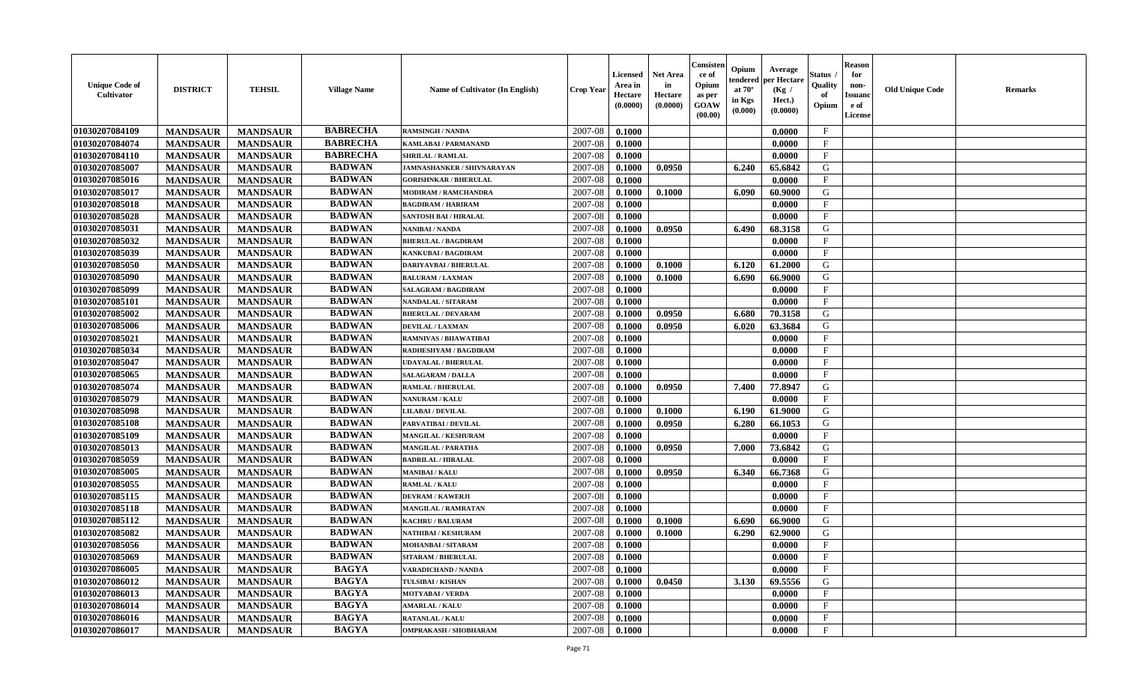| <b>Unique Code of</b><br>Cultivator | <b>DISTRICT</b> | <b>TEHSIL</b>   | <b>Village Name</b> | <b>Name of Cultivator (In English)</b> | <b>Crop Year</b> | <b>Licensed</b><br>Area in<br>Hectare<br>(0.0000) | Net Area<br>in<br>Hectare<br>(0.0000) | Consister<br>ce of<br>Opium<br>as per<br>GOAW<br>(00.00) | Opium<br>endered<br>at $70^\circ$<br>in Kgs<br>$(\mathbf{0.000})$ | Average<br>per Hectare<br>(Kg /<br>Hect.)<br>(0.0000) | Status<br>Quality<br>of<br>Opium | <b>Reason</b><br>for<br>non-<br>Issuan<br>e of<br>License | <b>Old Unique Code</b> | <b>Remarks</b> |
|-------------------------------------|-----------------|-----------------|---------------------|----------------------------------------|------------------|---------------------------------------------------|---------------------------------------|----------------------------------------------------------|-------------------------------------------------------------------|-------------------------------------------------------|----------------------------------|-----------------------------------------------------------|------------------------|----------------|
| 01030207084109                      | <b>MANDSAUR</b> | <b>MANDSAUR</b> | <b>BABRECHA</b>     | <b>RAMSINGH / NANDA</b>                | 2007-08          | 0.1000                                            |                                       |                                                          |                                                                   | 0.0000                                                | $\mathbf{F}$                     |                                                           |                        |                |
| 01030207084074                      | <b>MANDSAUR</b> | <b>MANDSAUR</b> | <b>BABRECHA</b>     | <b>KAMLABAI/PARMANAND</b>              | 2007-08          | 0.1000                                            |                                       |                                                          |                                                                   | 0.0000                                                | $\mathbf{F}$                     |                                                           |                        |                |
| 01030207084110                      | <b>MANDSAUR</b> | <b>MANDSAUR</b> | <b>BABRECHA</b>     | <b>SHRILAL / RAMLAL</b>                | 2007-08          | 0.1000                                            |                                       |                                                          |                                                                   | 0.0000                                                | $_{\rm F}$                       |                                                           |                        |                |
| 01030207085007                      | <b>MANDSAUR</b> | <b>MANDSAUR</b> | <b>BADWAN</b>       | <b>JAMNASHANKER / SHIVNARAYAN</b>      | 2007-08          | 0.1000                                            | 0.0950                                |                                                          | 6.240                                                             | 65.6842                                               | G                                |                                                           |                        |                |
| 01030207085016                      | <b>MANDSAUR</b> | <b>MANDSAUR</b> | <b>BADWAN</b>       | <b>GORISHNKAR / BHERULAL</b>           | 2007-08          | 0.1000                                            |                                       |                                                          |                                                                   | 0.0000                                                | $\mathbf{F}$                     |                                                           |                        |                |
| 01030207085017                      | <b>MANDSAUR</b> | <b>MANDSAUR</b> | <b>BADWAN</b>       | <b>MODIRAM / RAMCHANDRA</b>            | 2007-08          | 0.1000                                            | 0.1000                                |                                                          | 6.090                                                             | 60.9000                                               | G                                |                                                           |                        |                |
| 01030207085018                      | <b>MANDSAUR</b> | <b>MANDSAUR</b> | <b>BADWAN</b>       | <b>BAGDIRAM / HARIRAM</b>              | 2007-08          | 0.1000                                            |                                       |                                                          |                                                                   | 0.0000                                                | $\mathbf{F}$                     |                                                           |                        |                |
| 01030207085028                      | <b>MANDSAUR</b> | <b>MANDSAUR</b> | <b>BADWAN</b>       | <b>SANTOSH BAI / HIRALAL</b>           | 2007-08          | 0.1000                                            |                                       |                                                          |                                                                   | 0.0000                                                | $\mathbf{F}$                     |                                                           |                        |                |
| 01030207085031                      | <b>MANDSAUR</b> | <b>MANDSAUR</b> | <b>BADWAN</b>       | NANIBAI / NANDA                        | 2007-08          | 0.1000                                            | 0.0950                                |                                                          | 6.490                                                             | 68.3158                                               | G                                |                                                           |                        |                |
| 01030207085032                      | <b>MANDSAUR</b> | <b>MANDSAUR</b> | <b>BADWAN</b>       | <b>BHERULAL / BAGDIRAM</b>             | 2007-08          | 0.1000                                            |                                       |                                                          |                                                                   | 0.0000                                                | $_{\rm F}$                       |                                                           |                        |                |
| 01030207085039                      | <b>MANDSAUR</b> | <b>MANDSAUR</b> | <b>BADWAN</b>       | KANKUBAI / BAGDIRAM                    | 2007-08          | 0.1000                                            |                                       |                                                          |                                                                   | 0.0000                                                | $\mathbf F$                      |                                                           |                        |                |
| 01030207085050                      | <b>MANDSAUR</b> | <b>MANDSAUR</b> | <b>BADWAN</b>       | <b>DARIYAVBAI / BHERULAL</b>           | 2007-08          | 0.1000                                            | 0.1000                                |                                                          | 6.120                                                             | 61.2000                                               | G                                |                                                           |                        |                |
| 01030207085090                      | <b>MANDSAUR</b> | <b>MANDSAUR</b> | <b>BADWAN</b>       | <b>BALURAM / LAXMAN</b>                | 2007-08          | 0.1000                                            | 0.1000                                |                                                          | 6.690                                                             | 66.9000                                               | G                                |                                                           |                        |                |
| 01030207085099                      | <b>MANDSAUR</b> | <b>MANDSAUR</b> | <b>BADWAN</b>       | <b>SALAGRAM / BAGDIRAM</b>             | 2007-08          | 0.1000                                            |                                       |                                                          |                                                                   | 0.0000                                                | $\mathbf{F}$                     |                                                           |                        |                |
| 01030207085101                      | <b>MANDSAUR</b> | <b>MANDSAUR</b> | <b>BADWAN</b>       | NANDALAL / SITARAM                     | 2007-08          | 0.1000                                            |                                       |                                                          |                                                                   | 0.0000                                                | $\mathbf{F}$                     |                                                           |                        |                |
| 01030207085002                      | <b>MANDSAUR</b> | <b>MANDSAUR</b> | <b>BADWAN</b>       | <b>BHERULAL / DEVARAM</b>              | 2007-08          | 0.1000                                            | 0.0950                                |                                                          | 6.680                                                             | 70.3158                                               | G                                |                                                           |                        |                |
| 01030207085006                      | <b>MANDSAUR</b> | <b>MANDSAUR</b> | <b>BADWAN</b>       | <b>DEVILAL / LAXMAN</b>                | 2007-08          | 0.1000                                            | 0.0950                                |                                                          | 6.020                                                             | 63.3684                                               | G                                |                                                           |                        |                |
| 01030207085021                      | <b>MANDSAUR</b> | <b>MANDSAUR</b> | <b>BADWAN</b>       | <b>RAMNIVAS / BHAWATIBAI</b>           | 2007-08          | 0.1000                                            |                                       |                                                          |                                                                   | 0.0000                                                | $_{\rm F}$                       |                                                           |                        |                |
| 01030207085034                      | <b>MANDSAUR</b> | <b>MANDSAUR</b> | <b>BADWAN</b>       | RADHESHYAM / BAGDIRAM                  | 2007-08          | 0.1000                                            |                                       |                                                          |                                                                   | 0.0000                                                | $\mathbf{F}$                     |                                                           |                        |                |
| 01030207085047                      | <b>MANDSAUR</b> | <b>MANDSAUR</b> | <b>BADWAN</b>       | <b>UDAYALAL / BHERULAL</b>             | 2007-08          | 0.1000                                            |                                       |                                                          |                                                                   | 0.0000                                                | $_{\rm F}$                       |                                                           |                        |                |
| 01030207085065                      | <b>MANDSAUR</b> | <b>MANDSAUR</b> | <b>BADWAN</b>       | <b>SALAGARAM / DALLA</b>               | 2007-08          | 0.1000                                            |                                       |                                                          |                                                                   | 0.0000                                                | $\mathbf{F}$                     |                                                           |                        |                |
| 01030207085074                      | <b>MANDSAUR</b> | <b>MANDSAUR</b> | <b>BADWAN</b>       | <b>RAMLAL / BHERULAL</b>               | 2007-08          | 0.1000                                            | 0.0950                                |                                                          | 7.400                                                             | 77.8947                                               | G                                |                                                           |                        |                |
| 01030207085079                      | <b>MANDSAUR</b> | <b>MANDSAUR</b> | <b>BADWAN</b>       | <b>NANURAM / KALU</b>                  | 2007-08          | 0.1000                                            |                                       |                                                          |                                                                   | 0.0000                                                | $\mathbf{F}$                     |                                                           |                        |                |
| 01030207085098                      | <b>MANDSAUR</b> | <b>MANDSAUR</b> | <b>BADWAN</b>       | LILABAI / DEVILAL                      | 2007-08          | 0.1000                                            | 0.1000                                |                                                          | 6.190                                                             | 61.9000                                               | G                                |                                                           |                        |                |
| 01030207085108                      | <b>MANDSAUR</b> | <b>MANDSAUR</b> | <b>BADWAN</b>       | PARVATIBAI / DEVILAL                   | 2007-08          | 0.1000                                            | 0.0950                                |                                                          | 6.280                                                             | 66.1053                                               | G                                |                                                           |                        |                |
| 01030207085109                      | <b>MANDSAUR</b> | <b>MANDSAUR</b> | <b>BADWAN</b>       | MANGILAL / KESHURAM                    | 2007-08          | 0.1000                                            |                                       |                                                          |                                                                   | 0.0000                                                | $\mathbf{F}$                     |                                                           |                        |                |
| 01030207085013                      | <b>MANDSAUR</b> | <b>MANDSAUR</b> | <b>BADWAN</b>       | MANGILAL / PARATHA                     | 2007-08          | 0.1000                                            | 0.0950                                |                                                          | 7.000                                                             | 73.6842                                               | G                                |                                                           |                        |                |
| 01030207085059                      | <b>MANDSAUR</b> | <b>MANDSAUR</b> | <b>BADWAN</b>       | <b>BADRILAL / HIRALAL</b>              | 2007-08          | 0.1000                                            |                                       |                                                          |                                                                   | 0.0000                                                | $\mathbf F$                      |                                                           |                        |                |
| 01030207085005                      | <b>MANDSAUR</b> | <b>MANDSAUR</b> | <b>BADWAN</b>       | <b>MANIBAI / KALU</b>                  | 2007-08          | 0.1000                                            | 0.0950                                |                                                          | 6.340                                                             | 66.7368                                               | G                                |                                                           |                        |                |
| 01030207085055                      | <b>MANDSAUR</b> | <b>MANDSAUR</b> | <b>BADWAN</b>       | RAMLAL / KALU                          | 2007-08          | 0.1000                                            |                                       |                                                          |                                                                   | 0.0000                                                | $\mathbf{F}$                     |                                                           |                        |                |
| 01030207085115                      | <b>MANDSAUR</b> | <b>MANDSAUR</b> | <b>BADWAN</b>       | <b>DEVRAM / KAWERJI</b>                | 2007-08          | 0.1000                                            |                                       |                                                          |                                                                   | 0.0000                                                | $_{\rm F}$                       |                                                           |                        |                |
| 01030207085118                      | <b>MANDSAUR</b> | <b>MANDSAUR</b> | <b>BADWAN</b>       | MANGILAL / RAMRATAN                    | 2007-08          | 0.1000                                            |                                       |                                                          |                                                                   | 0.0000                                                | $\mathbf{F}$                     |                                                           |                        |                |
| 01030207085112                      | <b>MANDSAUR</b> | <b>MANDSAUR</b> | <b>BADWAN</b>       | <b>KACHRU / BALURAM</b>                | 2007-08          | 0.1000                                            | 0.1000                                |                                                          | 6.690                                                             | 66.9000                                               | G                                |                                                           |                        |                |
| 01030207085082                      | <b>MANDSAUR</b> | <b>MANDSAUR</b> | <b>BADWAN</b>       | <b>NATHIBAI / KESHURAM</b>             | 2007-08          | 0.1000                                            | 0.1000                                |                                                          | 6.290                                                             | 62.9000                                               | G                                |                                                           |                        |                |
| 01030207085056                      | <b>MANDSAUR</b> | <b>MANDSAUR</b> | <b>BADWAN</b>       | MOHANBAI / SITARAM                     | 2007-08          | 0.1000                                            |                                       |                                                          |                                                                   | 0.0000                                                | $\mathbf{F}$                     |                                                           |                        |                |
| 01030207085069                      | <b>MANDSAUR</b> | <b>MANDSAUR</b> | <b>BADWAN</b>       | <b>SITARAM / BHERULAL</b>              | 2007-08          | 0.1000                                            |                                       |                                                          |                                                                   | 0.0000                                                | F                                |                                                           |                        |                |
| 01030207086005                      | <b>MANDSAUR</b> | <b>MANDSAUR</b> | <b>BAGYA</b>        | VARADICHAND / NANDA                    | 2007-08          | 0.1000                                            |                                       |                                                          |                                                                   | 0.0000                                                | $\mathbf{F}$                     |                                                           |                        |                |
| 01030207086012                      | <b>MANDSAUR</b> | <b>MANDSAUR</b> | <b>BAGYA</b>        | TULSIBAI / KISHAN                      | 2007-08          | 0.1000                                            | 0.0450                                |                                                          | 3.130                                                             | 69.5556                                               | G                                |                                                           |                        |                |
| 01030207086013                      | <b>MANDSAUR</b> | <b>MANDSAUR</b> | <b>BAGYA</b>        | <b>MOTYABAI/VERDA</b>                  | 2007-08          | 0.1000                                            |                                       |                                                          |                                                                   | 0.0000                                                | $\mathbf{F}$                     |                                                           |                        |                |
| 01030207086014                      | <b>MANDSAUR</b> | <b>MANDSAUR</b> | <b>BAGYA</b>        | <b>AMARLAL / KALU</b>                  | 2007-08          | 0.1000                                            |                                       |                                                          |                                                                   | 0.0000                                                | $\mathbf{F}$                     |                                                           |                        |                |
| 01030207086016                      | <b>MANDSAUR</b> | <b>MANDSAUR</b> | <b>BAGYA</b>        | <b>RATANLAL / KALU</b>                 | 2007-08          | 0.1000                                            |                                       |                                                          |                                                                   | 0.0000                                                | $\mathbf{F}$                     |                                                           |                        |                |
| 01030207086017                      | <b>MANDSAUR</b> | <b>MANDSAUR</b> | <b>BAGYA</b>        | <b>OMPRAKASH / SHOBHARAM</b>           | 2007-08          | 0.1000                                            |                                       |                                                          |                                                                   | 0.0000                                                | $\mathbf{F}$                     |                                                           |                        |                |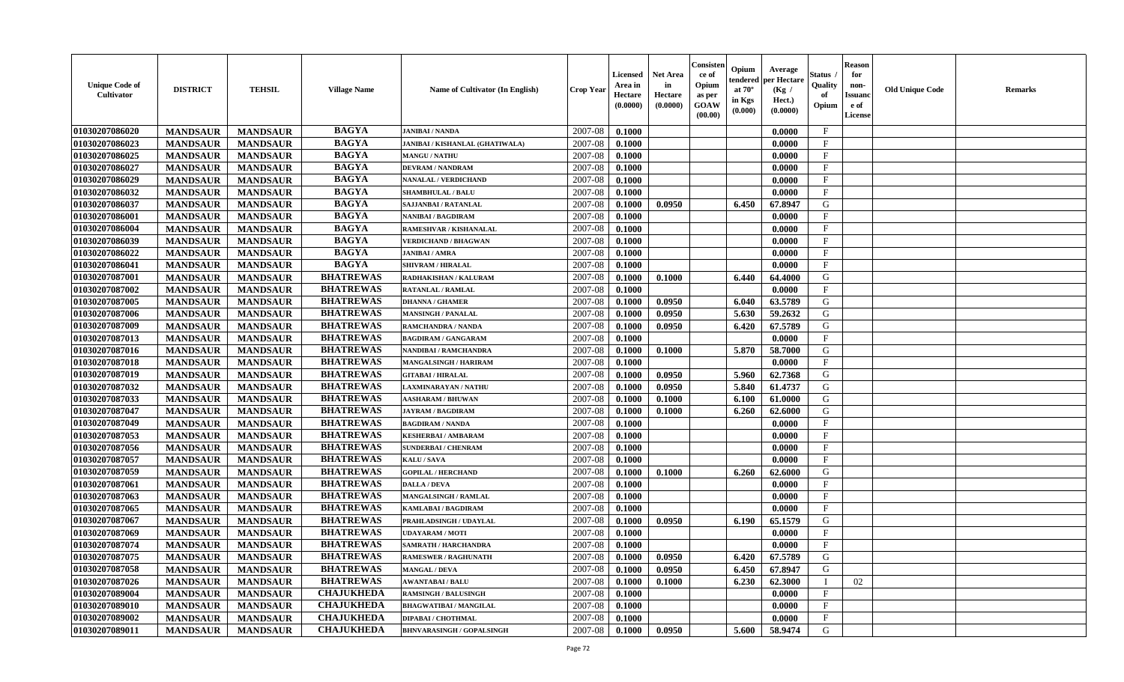| <b>Unique Code of</b><br><b>Cultivator</b> | <b>DISTRICT</b> | <b>TEHSIL</b>   | <b>Village Name</b> | Name of Cultivator (In English)        | <b>Crop Year</b> | <b>Licensed</b><br>Area in<br>Hectare<br>(0.0000) | <b>Net Area</b><br>in<br>Hectare<br>(0.0000) | Consister<br>ce of<br>Opium<br>as per<br><b>GOAW</b><br>(00.00) | Opium<br>endered<br>at $70^\circ$<br>in Kgs<br>(0.000) | Average<br>per Hectare<br>(Kg)<br>Hect.)<br>(0.0000) | Status<br>Quality<br>of<br>Opium | <b>Reason</b><br>for<br>non-<br><b>Issuand</b><br>e of<br><b>License</b> | <b>Old Unique Code</b> | <b>Remarks</b> |
|--------------------------------------------|-----------------|-----------------|---------------------|----------------------------------------|------------------|---------------------------------------------------|----------------------------------------------|-----------------------------------------------------------------|--------------------------------------------------------|------------------------------------------------------|----------------------------------|--------------------------------------------------------------------------|------------------------|----------------|
| 01030207086020                             | <b>MANDSAUR</b> | <b>MANDSAUR</b> | <b>BAGYA</b>        | <b>JANIBAI / NANDA</b>                 | 2007-08          | 0.1000                                            |                                              |                                                                 |                                                        | 0.0000                                               | $\mathbf{F}$                     |                                                                          |                        |                |
| 01030207086023                             | <b>MANDSAUR</b> | <b>MANDSAUR</b> | <b>BAGYA</b>        | <b>JANIBAI / KISHANLAL (GHATIWALA)</b> | 2007-08          | 0.1000                                            |                                              |                                                                 |                                                        | 0.0000                                               | $\mathbf F$                      |                                                                          |                        |                |
| 01030207086025                             | <b>MANDSAUR</b> | <b>MANDSAUR</b> | <b>BAGYA</b>        | <b>MANGU / NATHU</b>                   | 2007-08          | 0.1000                                            |                                              |                                                                 |                                                        | 0.0000                                               | $\mathbf{F}$                     |                                                                          |                        |                |
| 01030207086027                             | <b>MANDSAUR</b> | <b>MANDSAUR</b> | <b>BAGYA</b>        | <b>DEVRAM / NANDRAM</b>                | 2007-08          | 0.1000                                            |                                              |                                                                 |                                                        | 0.0000                                               | $\mathbf{F}$                     |                                                                          |                        |                |
| 01030207086029                             | <b>MANDSAUR</b> | <b>MANDSAUR</b> | <b>BAGYA</b>        | <b>NANALAL / VERDICHAND</b>            | 2007-08          | 0.1000                                            |                                              |                                                                 |                                                        | 0.0000                                               | $\mathbf{F}$                     |                                                                          |                        |                |
| 01030207086032                             | <b>MANDSAUR</b> | <b>MANDSAUR</b> | <b>BAGYA</b>        | <b>SHAMBHULAL / BALU</b>               | 2007-08          | 0.1000                                            |                                              |                                                                 |                                                        | 0.0000                                               | $_{\rm F}$                       |                                                                          |                        |                |
| 01030207086037                             | <b>MANDSAUR</b> | <b>MANDSAUR</b> | <b>BAGYA</b>        | <b>SAJJANBAI / RATANLAL</b>            | 2007-08          | 0.1000                                            | 0.0950                                       |                                                                 | 6.450                                                  | 67.8947                                              | G                                |                                                                          |                        |                |
| 01030207086001                             | <b>MANDSAUR</b> | <b>MANDSAUR</b> | <b>BAGYA</b>        | NANIBAI / BAGDIRAM                     | 2007-08          | 0.1000                                            |                                              |                                                                 |                                                        | 0.0000                                               | $\rm F$                          |                                                                          |                        |                |
| 01030207086004                             | <b>MANDSAUR</b> | <b>MANDSAUR</b> | <b>BAGYA</b>        | RAMESHVAR / KISHANALAL                 | 2007-08          | 0.1000                                            |                                              |                                                                 |                                                        | 0.0000                                               | $\rm F$                          |                                                                          |                        |                |
| 01030207086039                             | <b>MANDSAUR</b> | <b>MANDSAUR</b> | <b>BAGYA</b>        | <b>VERDICHAND / BHAGWAN</b>            | 2007-08          | 0.1000                                            |                                              |                                                                 |                                                        | 0.0000                                               | $\mathbf{F}$                     |                                                                          |                        |                |
| 01030207086022                             | <b>MANDSAUR</b> | <b>MANDSAUR</b> | <b>BAGYA</b>        | <b>JANIBAI / AMRA</b>                  | 2007-08          | 0.1000                                            |                                              |                                                                 |                                                        | 0.0000                                               | $\mathbf{F}$                     |                                                                          |                        |                |
| 01030207086041                             | <b>MANDSAUR</b> | <b>MANDSAUR</b> | <b>BAGYA</b>        | <b>SHIVRAM / HIRALAL</b>               | 2007-08          | 0.1000                                            |                                              |                                                                 |                                                        | 0.0000                                               | $\mathbf{F}$                     |                                                                          |                        |                |
| 01030207087001                             | <b>MANDSAUR</b> | <b>MANDSAUR</b> | <b>BHATREWAS</b>    | RADHAKISHAN / KALURAM                  | 2007-08          | 0.1000                                            | 0.1000                                       |                                                                 | 6.440                                                  | 64.4000                                              | G                                |                                                                          |                        |                |
| 01030207087002                             | <b>MANDSAUR</b> | <b>MANDSAUR</b> | <b>BHATREWAS</b>    | <b>RATANLAL / RAMLAL</b>               | 2007-08          | 0.1000                                            |                                              |                                                                 |                                                        | 0.0000                                               | $_{\rm F}$                       |                                                                          |                        |                |
| 01030207087005                             | <b>MANDSAUR</b> | <b>MANDSAUR</b> | <b>BHATREWAS</b>    | <b>DHANNA / GHAMER</b>                 | 2007-08          | 0.1000                                            | 0.0950                                       |                                                                 | 6.040                                                  | 63.5789                                              | G                                |                                                                          |                        |                |
| 01030207087006                             | <b>MANDSAUR</b> | <b>MANDSAUR</b> | <b>BHATREWAS</b>    | <b>MANSINGH / PANALAL</b>              | 2007-08          | 0.1000                                            | 0.0950                                       |                                                                 | 5.630                                                  | 59.2632                                              | G                                |                                                                          |                        |                |
| 01030207087009                             | <b>MANDSAUR</b> | <b>MANDSAUR</b> | <b>BHATREWAS</b>    | RAMCHANDRA / NANDA                     | 2007-08          | 0.1000                                            | 0.0950                                       |                                                                 | 6.420                                                  | 67.5789                                              | G                                |                                                                          |                        |                |
| 01030207087013                             | <b>MANDSAUR</b> | <b>MANDSAUR</b> | <b>BHATREWAS</b>    | <b>BAGDIRAM / GANGARAM</b>             | 2007-08          | 0.1000                                            |                                              |                                                                 |                                                        | 0.0000                                               | $\mathbf{F}$                     |                                                                          |                        |                |
| 01030207087016                             | <b>MANDSAUR</b> | <b>MANDSAUR</b> | <b>BHATREWAS</b>    | NANDIBAI / RAMCHANDRA                  | 2007-08          | 0.1000                                            | 0.1000                                       |                                                                 | 5.870                                                  | 58.7000                                              | G                                |                                                                          |                        |                |
| 01030207087018                             | <b>MANDSAUR</b> | <b>MANDSAUR</b> | <b>BHATREWAS</b>    | <b>MANGALSINGH / HARIRAM</b>           | 2007-08          | 0.1000                                            |                                              |                                                                 |                                                        | 0.0000                                               | $\mathbf{F}$                     |                                                                          |                        |                |
| 01030207087019                             | <b>MANDSAUR</b> | <b>MANDSAUR</b> | <b>BHATREWAS</b>    | <b>GITABAI/HIRALAL</b>                 | 2007-08          | 0.1000                                            | 0.0950                                       |                                                                 | 5.960                                                  | 62.7368                                              | G                                |                                                                          |                        |                |
| 01030207087032                             | <b>MANDSAUR</b> | <b>MANDSAUR</b> | <b>BHATREWAS</b>    | <b>LAXMINARAYAN / NATHU</b>            | 2007-08          | 0.1000                                            | 0.0950                                       |                                                                 | 5.840                                                  | 61.4737                                              | G                                |                                                                          |                        |                |
| 01030207087033                             | <b>MANDSAUR</b> | <b>MANDSAUR</b> | <b>BHATREWAS</b>    | <b>AASHARAM / BHUWAN</b>               | 2007-08          | 0.1000                                            | 0.1000                                       |                                                                 | 6.100                                                  | 61.0000                                              | G                                |                                                                          |                        |                |
| 01030207087047                             | <b>MANDSAUR</b> | <b>MANDSAUR</b> | <b>BHATREWAS</b>    | <b>JAYRAM / BAGDIRAM</b>               | 2007-08          | 0.1000                                            | 0.1000                                       |                                                                 | 6.260                                                  | 62.6000                                              | G                                |                                                                          |                        |                |
| 01030207087049                             | <b>MANDSAUR</b> | <b>MANDSAUR</b> | <b>BHATREWAS</b>    | <b>BAGDIRAM / NANDA</b>                | 2007-08          | 0.1000                                            |                                              |                                                                 |                                                        | 0.0000                                               | $\rm F$                          |                                                                          |                        |                |
| 01030207087053                             | <b>MANDSAUR</b> | <b>MANDSAUR</b> | <b>BHATREWAS</b>    | <b>KESHERBAI/AMBARAM</b>               | 2007-08          | 0.1000                                            |                                              |                                                                 |                                                        | 0.0000                                               | $\mathbf{F}$                     |                                                                          |                        |                |
| 01030207087056                             | <b>MANDSAUR</b> | <b>MANDSAUR</b> | <b>BHATREWAS</b>    | <b>SUNDERBAI/ CHENRAM</b>              | 2007-08          | 0.1000                                            |                                              |                                                                 |                                                        | 0.0000                                               | F                                |                                                                          |                        |                |
| 01030207087057                             | <b>MANDSAUR</b> | <b>MANDSAUR</b> | <b>BHATREWAS</b>    | KALU / SAVA                            | 2007-08          | 0.1000                                            |                                              |                                                                 |                                                        | 0.0000                                               | $_{\rm F}$                       |                                                                          |                        |                |
| 01030207087059                             | <b>MANDSAUR</b> | <b>MANDSAUR</b> | <b>BHATREWAS</b>    | <b>GOPILAL / HERCHAND</b>              | 2007-08          | 0.1000                                            | 0.1000                                       |                                                                 | 6.260                                                  | 62.6000                                              | G                                |                                                                          |                        |                |
| 01030207087061                             | <b>MANDSAUR</b> | <b>MANDSAUR</b> | <b>BHATREWAS</b>    | <b>DALLA / DEVA</b>                    | 2007-08          | 0.1000                                            |                                              |                                                                 |                                                        | 0.0000                                               | $\mathbf{F}$                     |                                                                          |                        |                |
| 01030207087063                             | <b>MANDSAUR</b> | <b>MANDSAUR</b> | <b>BHATREWAS</b>    | <b>MANGALSINGH / RAMLAL</b>            | 2007-08          | 0.1000                                            |                                              |                                                                 |                                                        | 0.0000                                               | F                                |                                                                          |                        |                |
| 01030207087065                             | <b>MANDSAUR</b> | <b>MANDSAUR</b> | <b>BHATREWAS</b>    | KAMLABAI / BAGDIRAM                    | 2007-08          | 0.1000                                            |                                              |                                                                 |                                                        | 0.0000                                               | $\mathbf{F}$                     |                                                                          |                        |                |
| 01030207087067                             | <b>MANDSAUR</b> | <b>MANDSAUR</b> | <b>BHATREWAS</b>    | PRAHLADSINGH / UDAYLAL                 | 2007-08          | 0.1000                                            | 0.0950                                       |                                                                 | 6.190                                                  | 65.1579                                              | G                                |                                                                          |                        |                |
| 01030207087069                             | <b>MANDSAUR</b> | <b>MANDSAUR</b> | <b>BHATREWAS</b>    | <b>UDAYARAM / MOTI</b>                 | 2007-08          | 0.1000                                            |                                              |                                                                 |                                                        | 0.0000                                               | $\mathbf{F}$                     |                                                                          |                        |                |
| 01030207087074                             | <b>MANDSAUR</b> | <b>MANDSAUR</b> | <b>BHATREWAS</b>    | SAMRATH / HARCHANDRA                   | 2007-08          | 0.1000                                            |                                              |                                                                 |                                                        | 0.0000                                               | $\mathbf{F}$                     |                                                                          |                        |                |
| 01030207087075                             | <b>MANDSAUR</b> | <b>MANDSAUR</b> | <b>BHATREWAS</b>    | <b>RAMESWER / RAGHUNATH</b>            | 2007-08          | 0.1000                                            | 0.0950                                       |                                                                 | 6.420                                                  | 67.5789                                              | G                                |                                                                          |                        |                |
| 01030207087058                             | <b>MANDSAUR</b> | <b>MANDSAUR</b> | <b>BHATREWAS</b>    | <b>MANGAL / DEVA</b>                   | 2007-08          | 0.1000                                            | 0.0950                                       |                                                                 | 6.450                                                  | 67.8947                                              | G                                |                                                                          |                        |                |
| 01030207087026                             | <b>MANDSAUR</b> | <b>MANDSAUR</b> | <b>BHATREWAS</b>    | <b>AWANTABAI/BALU</b>                  | 2007-08          | 0.1000                                            | 0.1000                                       |                                                                 | 6.230                                                  | 62.3000                                              | $\mathbf{I}$                     | 02                                                                       |                        |                |
| 01030207089004                             | <b>MANDSAUR</b> | <b>MANDSAUR</b> | <b>CHAJUKHEDA</b>   | <b>RAMSINGH / BALUSINGH</b>            | 2007-08          | 0.1000                                            |                                              |                                                                 |                                                        | 0.0000                                               | $\mathbf{F}$                     |                                                                          |                        |                |
| 01030207089010                             | <b>MANDSAUR</b> | <b>MANDSAUR</b> | <b>CHAJUKHEDA</b>   | <b>BHAGWATIBAI/MANGILAL</b>            | 2007-08          | 0.1000                                            |                                              |                                                                 |                                                        | 0.0000                                               | F                                |                                                                          |                        |                |
| 01030207089002                             | <b>MANDSAUR</b> | <b>MANDSAUR</b> | <b>CHAJUKHEDA</b>   | <b>DIPABAI / CHOTHMAL</b>              | 2007-08          | 0.1000                                            |                                              |                                                                 |                                                        | 0.0000                                               | $\mathbf{F}$                     |                                                                          |                        |                |
| 01030207089011                             | <b>MANDSAUR</b> | <b>MANDSAUR</b> | <b>CHAJUKHEDA</b>   | <b>BHNVARASINGH / GOPALSINGH</b>       | 2007-08          | 0.1000                                            | 0.0950                                       |                                                                 | 5.600                                                  | 58.9474                                              | G                                |                                                                          |                        |                |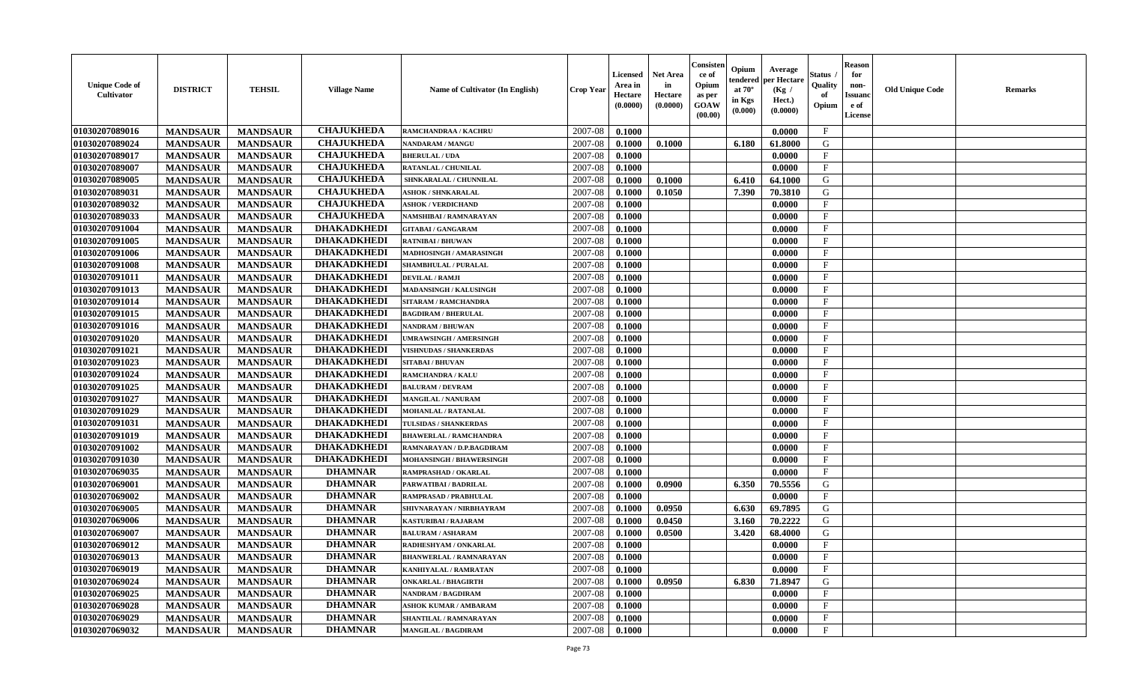| <b>Unique Code of</b><br><b>Cultivator</b> | <b>DISTRICT</b> | <b>TEHSIL</b>   | <b>Village Name</b> | Name of Cultivator (In English) | <b>Crop Year</b> | <b>Licensed</b><br>Area in<br>Hectare<br>(0.0000) | <b>Net Area</b><br>in<br>Hectare<br>(0.0000) | Consister<br>ce of<br>Opium<br>as per<br><b>GOAW</b><br>(00.00) | Opium<br>endered<br>at $70^\circ$<br>in Kgs<br>(0.000) | Average<br>per Hectare<br>(Kg /<br>Hect.)<br>(0.0000) | Status<br>Quality<br>of<br>Opium | <b>Reason</b><br>for<br>non-<br><b>Issuand</b><br>e of<br>License | <b>Old Unique Code</b> | <b>Remarks</b> |
|--------------------------------------------|-----------------|-----------------|---------------------|---------------------------------|------------------|---------------------------------------------------|----------------------------------------------|-----------------------------------------------------------------|--------------------------------------------------------|-------------------------------------------------------|----------------------------------|-------------------------------------------------------------------|------------------------|----------------|
| 01030207089016                             | <b>MANDSAUR</b> | <b>MANDSAUR</b> | <b>CHAJUKHEDA</b>   | RAMCHANDRAA / KACHRU            | 2007-08          | 0.1000                                            |                                              |                                                                 |                                                        | 0.0000                                                | $\mathbf{F}$                     |                                                                   |                        |                |
| 01030207089024                             | <b>MANDSAUR</b> | <b>MANDSAUR</b> | <b>CHAJUKHEDA</b>   | <b>NANDARAM / MANGU</b>         | 2007-08          | 0.1000                                            | 0.1000                                       |                                                                 | 6.180                                                  | 61.8000                                               | G                                |                                                                   |                        |                |
| 01030207089017                             | <b>MANDSAUR</b> | <b>MANDSAUR</b> | <b>CHAJUKHEDA</b>   | <b>BHERULAL / UDA</b>           | 2007-08          | 0.1000                                            |                                              |                                                                 |                                                        | 0.0000                                                | F                                |                                                                   |                        |                |
| 01030207089007                             | <b>MANDSAUR</b> | <b>MANDSAUR</b> | <b>CHAJUKHEDA</b>   | <b>RATANLAL / CHUNILAL</b>      | 2007-08          | 0.1000                                            |                                              |                                                                 |                                                        | 0.0000                                                | $\mathbf{F}$                     |                                                                   |                        |                |
| 01030207089005                             | <b>MANDSAUR</b> | <b>MANDSAUR</b> | <b>CHAJUKHEDA</b>   | SHNKARALAL / CHUNNILAL          | 2007-08          | 0.1000                                            | 0.1000                                       |                                                                 | 6.410                                                  | 64.1000                                               | G                                |                                                                   |                        |                |
| 01030207089031                             | <b>MANDSAUR</b> | <b>MANDSAUR</b> | <b>CHAJUKHEDA</b>   | <b>ASHOK / SHNKARALAL</b>       | 2007-08          | 0.1000                                            | 0.1050                                       |                                                                 | 7.390                                                  | 70.3810                                               | G                                |                                                                   |                        |                |
| 01030207089032                             | <b>MANDSAUR</b> | <b>MANDSAUR</b> | <b>CHAJUKHEDA</b>   | <b>ASHOK / VERDICHAND</b>       | 2007-08          | 0.1000                                            |                                              |                                                                 |                                                        | 0.0000                                                | F                                |                                                                   |                        |                |
| 01030207089033                             | <b>MANDSAUR</b> | <b>MANDSAUR</b> | <b>CHAJUKHEDA</b>   | NAMSHIBAI / RAMNARAYAN          | 2007-08          | 0.1000                                            |                                              |                                                                 |                                                        | 0.0000                                                | $\mathbf{F}$                     |                                                                   |                        |                |
| 01030207091004                             | <b>MANDSAUR</b> | <b>MANDSAUR</b> | <b>DHAKADKHEDI</b>  | <b>GITABAI/ GANGARAM</b>        | 2007-08          | 0.1000                                            |                                              |                                                                 |                                                        | 0.0000                                                | $_{\rm F}$                       |                                                                   |                        |                |
| 01030207091005                             | <b>MANDSAUR</b> | <b>MANDSAUR</b> | <b>DHAKADKHEDI</b>  | <b>RATNIBAI / BHUWAN</b>        | 2007-08          | 0.1000                                            |                                              |                                                                 |                                                        | 0.0000                                                | $\mathbf{F}$                     |                                                                   |                        |                |
| 01030207091006                             | <b>MANDSAUR</b> | <b>MANDSAUR</b> | <b>DHAKADKHEDI</b>  | MADHOSINGH / AMARASINGH         | 2007-08          | 0.1000                                            |                                              |                                                                 |                                                        | 0.0000                                                | $\mathbf{F}$                     |                                                                   |                        |                |
| 01030207091008                             | <b>MANDSAUR</b> | <b>MANDSAUR</b> | <b>DHAKADKHEDI</b>  | <b>SHAMBHULAL / PURALAL</b>     | 2007-08          | 0.1000                                            |                                              |                                                                 |                                                        | 0.0000                                                | $\mathbf{F}$                     |                                                                   |                        |                |
| 01030207091011                             | <b>MANDSAUR</b> | <b>MANDSAUR</b> | <b>DHAKADKHEDI</b>  | <b>DEVILAL / RAMJI</b>          | 2007-08          | 0.1000                                            |                                              |                                                                 |                                                        | 0.0000                                                | $\mathbf{F}$                     |                                                                   |                        |                |
| 01030207091013                             | <b>MANDSAUR</b> | <b>MANDSAUR</b> | <b>DHAKADKHEDI</b>  | <b>MADANSINGH / KALUSINGH</b>   | 2007-08          | 0.1000                                            |                                              |                                                                 |                                                        | 0.0000                                                | $_{\rm F}$                       |                                                                   |                        |                |
| 01030207091014                             | <b>MANDSAUR</b> | <b>MANDSAUR</b> | <b>DHAKADKHEDI</b>  | <b>SITARAM / RAMCHANDRA</b>     | 2007-08          | 0.1000                                            |                                              |                                                                 |                                                        | 0.0000                                                | $\mathbf{F}$                     |                                                                   |                        |                |
| 01030207091015                             | <b>MANDSAUR</b> | <b>MANDSAUR</b> | <b>DHAKADKHEDI</b>  | <b>BAGDIRAM / BHERULAL</b>      | 2007-08          | 0.1000                                            |                                              |                                                                 |                                                        | 0.0000                                                | $_{\rm F}$                       |                                                                   |                        |                |
| 01030207091016                             | <b>MANDSAUR</b> | <b>MANDSAUR</b> | <b>DHAKADKHEDI</b>  | <b>NANDRAM / BHUWAN</b>         | 2007-08          | 0.1000                                            |                                              |                                                                 |                                                        | 0.0000                                                | $_{\rm F}$                       |                                                                   |                        |                |
| 01030207091020                             | <b>MANDSAUR</b> | <b>MANDSAUR</b> | <b>DHAKADKHEDI</b>  | UMRAWSINGH / AMERSINGH          | 2007-08          | 0.1000                                            |                                              |                                                                 |                                                        | 0.0000                                                | $_{\rm F}$                       |                                                                   |                        |                |
| 01030207091021                             | <b>MANDSAUR</b> | <b>MANDSAUR</b> | <b>DHAKADKHEDI</b>  | <b>VISHNUDAS / SHANKERDAS</b>   | 2007-08          | 0.1000                                            |                                              |                                                                 |                                                        | 0.0000                                                | $\mathbf{F}$                     |                                                                   |                        |                |
| 01030207091023                             | <b>MANDSAUR</b> | <b>MANDSAUR</b> | <b>DHAKADKHEDI</b>  | <b>SITABAI/BHUVAN</b>           | 2007-08          | 0.1000                                            |                                              |                                                                 |                                                        | 0.0000                                                | $\mathbf{F}$                     |                                                                   |                        |                |
| 01030207091024                             | <b>MANDSAUR</b> | <b>MANDSAUR</b> | <b>DHAKADKHEDI</b>  | <b>RAMCHANDRA / KALU</b>        | 2007-08          | 0.1000                                            |                                              |                                                                 |                                                        | 0.0000                                                | $\mathbf{F}$                     |                                                                   |                        |                |
| 01030207091025                             | <b>MANDSAUR</b> | <b>MANDSAUR</b> | <b>DHAKADKHEDI</b>  | <b>BALURAM / DEVRAM</b>         | 2007-08          | 0.1000                                            |                                              |                                                                 |                                                        | 0.0000                                                | $_{\rm F}$                       |                                                                   |                        |                |
| 01030207091027                             | <b>MANDSAUR</b> | <b>MANDSAUR</b> | <b>DHAKADKHEDI</b>  | <b>MANGILAL / NANURAM</b>       | 2007-08          | 0.1000                                            |                                              |                                                                 |                                                        | 0.0000                                                | $\mathbf{F}$                     |                                                                   |                        |                |
| 01030207091029                             | <b>MANDSAUR</b> | <b>MANDSAUR</b> | <b>DHAKADKHEDI</b>  | <b>MOHANLAL / RATANLAL</b>      | 2007-08          | 0.1000                                            |                                              |                                                                 |                                                        | 0.0000                                                | $\mathbf{F}$                     |                                                                   |                        |                |
| 01030207091031                             | <b>MANDSAUR</b> | <b>MANDSAUR</b> | <b>DHAKADKHEDI</b>  | TULSIDAS / SHANKERDAS           | 2007-08          | 0.1000                                            |                                              |                                                                 |                                                        | 0.0000                                                | $_{\rm F}$                       |                                                                   |                        |                |
| 01030207091019                             | <b>MANDSAUR</b> | <b>MANDSAUR</b> | <b>DHAKADKHEDI</b>  | <b>BHAWERLAL / RAMCHANDRA</b>   | 2007-08          | 0.1000                                            |                                              |                                                                 |                                                        | 0.0000                                                | $\mathbf{F}$                     |                                                                   |                        |                |
| 01030207091002                             | <b>MANDSAUR</b> | <b>MANDSAUR</b> | <b>DHAKADKHEDI</b>  | RAMNARAYAN / D.P.BAGDIRAM       | 2007-08          | 0.1000                                            |                                              |                                                                 |                                                        | 0.0000                                                | F                                |                                                                   |                        |                |
| 01030207091030                             | <b>MANDSAUR</b> | <b>MANDSAUR</b> | <b>DHAKADKHEDI</b>  | <b>MOHANSINGH / BHAWERSINGH</b> | 2007-08          | 0.1000                                            |                                              |                                                                 |                                                        | 0.0000                                                | $_{\rm F}$                       |                                                                   |                        |                |
| 01030207069035                             | <b>MANDSAUR</b> | <b>MANDSAUR</b> | <b>DHAMNAR</b>      | RAMPRASHAD / OKARLAL            | 2007-08          | 0.1000                                            |                                              |                                                                 |                                                        | 0.0000                                                | $\mathbf{F}$                     |                                                                   |                        |                |
| 01030207069001                             | <b>MANDSAUR</b> | <b>MANDSAUR</b> | <b>DHAMNAR</b>      | PARWATIBAI / BADRILAL           | 2007-08          | 0.1000                                            | 0.0900                                       |                                                                 | 6.350                                                  | 70.5556                                               | G                                |                                                                   |                        |                |
| 01030207069002                             | <b>MANDSAUR</b> | <b>MANDSAUR</b> | <b>DHAMNAR</b>      | RAMPRASAD / PRABHULAL           | 2007-08          | 0.1000                                            |                                              |                                                                 |                                                        | 0.0000                                                | F                                |                                                                   |                        |                |
| 01030207069005                             | <b>MANDSAUR</b> | <b>MANDSAUR</b> | <b>DHAMNAR</b>      | SHIVNARAYAN / NIRBHAYRAM        | 2007-08          | 0.1000                                            | 0.0950                                       |                                                                 | 6.630                                                  | 69.7895                                               | ${\bf G}$                        |                                                                   |                        |                |
| 01030207069006                             | <b>MANDSAUR</b> | <b>MANDSAUR</b> | <b>DHAMNAR</b>      | KASTURIBAI / RAJARAM            | 2007-08          | 0.1000                                            | 0.0450                                       |                                                                 | 3.160                                                  | 70.2222                                               | G                                |                                                                   |                        |                |
| 01030207069007                             | <b>MANDSAUR</b> | <b>MANDSAUR</b> | <b>DHAMNAR</b>      | <b>BALURAM / ASHARAM</b>        | 2007-08          | 0.1000                                            | 0.0500                                       |                                                                 | 3.420                                                  | 68.4000                                               | G                                |                                                                   |                        |                |
| 01030207069012                             | <b>MANDSAUR</b> | <b>MANDSAUR</b> | <b>DHAMNAR</b>      | RADHESHYAM / ONKARLAL           | 2007-08          | 0.1000                                            |                                              |                                                                 |                                                        | 0.0000                                                | F                                |                                                                   |                        |                |
| 01030207069013                             | <b>MANDSAUR</b> | <b>MANDSAUR</b> | <b>DHAMNAR</b>      | <b>BHANWERLAL / RAMNARAYAN</b>  | 2007-08          | 0.1000                                            |                                              |                                                                 |                                                        | 0.0000                                                | $\mathbf{F}$                     |                                                                   |                        |                |
| 01030207069019                             | <b>MANDSAUR</b> | <b>MANDSAUR</b> | <b>DHAMNAR</b>      | KANHIYALAL / RAMRATAN           | 2007-08          | 0.1000                                            |                                              |                                                                 |                                                        | 0.0000                                                | $\mathbf{F}$                     |                                                                   |                        |                |
| 01030207069024                             | <b>MANDSAUR</b> | <b>MANDSAUR</b> | <b>DHAMNAR</b>      | <b>ONKARLAL / BHAGIRTH</b>      | 2007-08          | 0.1000                                            | 0.0950                                       |                                                                 | 6.830                                                  | 71.8947                                               | G                                |                                                                   |                        |                |
| 01030207069025                             | <b>MANDSAUR</b> | <b>MANDSAUR</b> | <b>DHAMNAR</b>      | <b>NANDRAM / BAGDIRAM</b>       | 2007-08          | 0.1000                                            |                                              |                                                                 |                                                        | 0.0000                                                | $\mathbf{F}$                     |                                                                   |                        |                |
| 01030207069028                             | <b>MANDSAUR</b> | <b>MANDSAUR</b> | <b>DHAMNAR</b>      | <b>ASHOK KUMAR / AMBARAM</b>    | 2007-08          | 0.1000                                            |                                              |                                                                 |                                                        | 0.0000                                                | F                                |                                                                   |                        |                |
| 01030207069029                             | <b>MANDSAUR</b> | <b>MANDSAUR</b> | <b>DHAMNAR</b>      | SHANTILAL / RAMNARAYAN          | 2007-08          | 0.1000                                            |                                              |                                                                 |                                                        | 0.0000                                                | $\mathbf{F}$                     |                                                                   |                        |                |
| 01030207069032                             | <b>MANDSAUR</b> | <b>MANDSAUR</b> | <b>DHAMNAR</b>      | <b>MANGILAL / BAGDIRAM</b>      | 2007-08          | 0.1000                                            |                                              |                                                                 |                                                        | 0.0000                                                | $\mathbf{F}$                     |                                                                   |                        |                |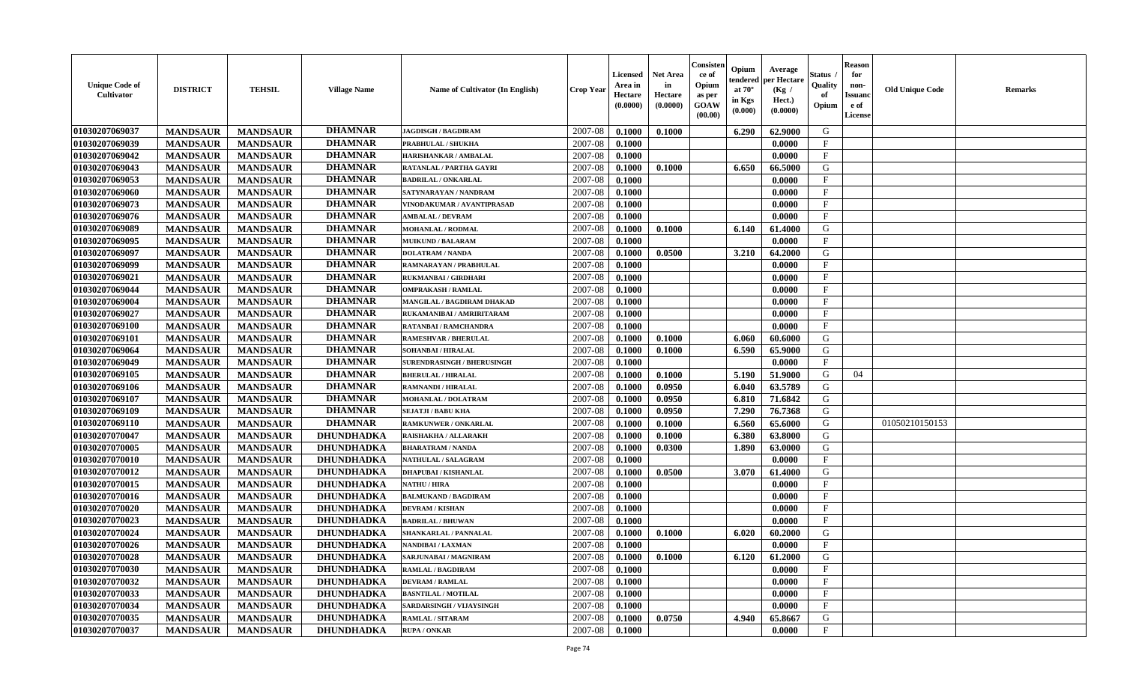| <b>Unique Code of</b><br><b>Cultivator</b> | <b>DISTRICT</b> | <b>TEHSIL</b>   | <b>Village Name</b> | Name of Cultivator (In English)   | <b>Crop Year</b> | <b>Licensed</b><br>Area in<br>Hectare<br>(0.0000) | <b>Net Area</b><br>in<br>Hectare<br>(0.0000) | Consisteı<br>ce of<br>Opium<br>as per<br><b>GOAW</b><br>(00.00) | Opium<br>endered<br>at $70^\circ$<br>in Kgs<br>$(\mathbf{0.000})$ | Average<br>per Hectare<br>(Kg /<br>Hect.)<br>(0.0000) | Status<br>Quality<br>of<br>Opium | <b>Reason</b><br>for<br>non-<br>Issuan<br>e of<br>License | <b>Old Unique Code</b> | <b>Remarks</b> |
|--------------------------------------------|-----------------|-----------------|---------------------|-----------------------------------|------------------|---------------------------------------------------|----------------------------------------------|-----------------------------------------------------------------|-------------------------------------------------------------------|-------------------------------------------------------|----------------------------------|-----------------------------------------------------------|------------------------|----------------|
| 01030207069037                             | <b>MANDSAUR</b> | <b>MANDSAUR</b> | <b>DHAMNAR</b>      | <b>JAGDISGH / BAGDIRAM</b>        | 2007-08          | 0.1000                                            | 0.1000                                       |                                                                 | 6.290                                                             | 62.9000                                               | G                                |                                                           |                        |                |
| 01030207069039                             | <b>MANDSAUR</b> | <b>MANDSAUR</b> | <b>DHAMNAR</b>      | PRABHULAL / SHUKHA                | 2007-08          | 0.1000                                            |                                              |                                                                 |                                                                   | 0.0000                                                | $_{\rm F}$                       |                                                           |                        |                |
| 01030207069042                             | <b>MANDSAUR</b> | <b>MANDSAUR</b> | <b>DHAMNAR</b>      | HARISHANKAR / AMBALAL             | 2007-08          | 0.1000                                            |                                              |                                                                 |                                                                   | 0.0000                                                | $\mathbf{F}$                     |                                                           |                        |                |
| 01030207069043                             | <b>MANDSAUR</b> | <b>MANDSAUR</b> | <b>DHAMNAR</b>      | RATANLAL / PARTHA GAYRI           | 2007-08          | 0.1000                                            | 0.1000                                       |                                                                 | 6.650                                                             | 66.5000                                               | G                                |                                                           |                        |                |
| 01030207069053                             | <b>MANDSAUR</b> | <b>MANDSAUR</b> | <b>DHAMNAR</b>      | <b>BADRILAL / ONKARLAL</b>        | 2007-08          | 0.1000                                            |                                              |                                                                 |                                                                   | 0.0000                                                | F                                |                                                           |                        |                |
| 01030207069060                             | <b>MANDSAUR</b> | <b>MANDSAUR</b> | <b>DHAMNAR</b>      | SATYNARAYAN / NANDRAM             | 2007-08          | 0.1000                                            |                                              |                                                                 |                                                                   | 0.0000                                                | $\mathbf{F}$                     |                                                           |                        |                |
| 01030207069073                             | <b>MANDSAUR</b> | <b>MANDSAUR</b> | <b>DHAMNAR</b>      | VINODAKUMAR / AVANTIPRASAD        | 2007-08          | 0.1000                                            |                                              |                                                                 |                                                                   | 0.0000                                                | $\mathbf{F}$                     |                                                           |                        |                |
| 01030207069076                             | <b>MANDSAUR</b> | <b>MANDSAUR</b> | <b>DHAMNAR</b>      | <b>AMBALAL / DEVRAM</b>           | 2007-08          | 0.1000                                            |                                              |                                                                 |                                                                   | 0.0000                                                | $\mathbf{F}$                     |                                                           |                        |                |
| 01030207069089                             | <b>MANDSAUR</b> | <b>MANDSAUR</b> | <b>DHAMNAR</b>      | <b>MOHANLAL / RODMAL</b>          | 2007-08          | 0.1000                                            | 0.1000                                       |                                                                 | 6.140                                                             | 61.4000                                               | G                                |                                                           |                        |                |
| 01030207069095                             | <b>MANDSAUR</b> | <b>MANDSAUR</b> | <b>DHAMNAR</b>      | <b>MUIKUND / BALARAM</b>          | 2007-08          | 0.1000                                            |                                              |                                                                 |                                                                   | 0.0000                                                | F                                |                                                           |                        |                |
| 01030207069097                             | <b>MANDSAUR</b> | <b>MANDSAUR</b> | <b>DHAMNAR</b>      | <b>DOLATRAM / NANDA</b>           | 2007-08          | 0.1000                                            | 0.0500                                       |                                                                 | 3.210                                                             | 64.2000                                               | G                                |                                                           |                        |                |
| 01030207069099                             | <b>MANDSAUR</b> | <b>MANDSAUR</b> | <b>DHAMNAR</b>      | RAMNARAYAN / PRABHULAL            | 2007-08          | 0.1000                                            |                                              |                                                                 |                                                                   | 0.0000                                                | $\mathbf{F}$                     |                                                           |                        |                |
| 01030207069021                             | <b>MANDSAUR</b> | <b>MANDSAUR</b> | <b>DHAMNAR</b>      | <b>RUKMANBAI/GIRDHARI</b>         | 2007-08          | 0.1000                                            |                                              |                                                                 |                                                                   | 0.0000                                                | $\mathbf{F}$                     |                                                           |                        |                |
| 01030207069044                             | <b>MANDSAUR</b> | <b>MANDSAUR</b> | <b>DHAMNAR</b>      | <b>OMPRAKASH / RAMLAL</b>         | 2007-08          | 0.1000                                            |                                              |                                                                 |                                                                   | 0.0000                                                | $\mathbf{F}$                     |                                                           |                        |                |
| 01030207069004                             | <b>MANDSAUR</b> | <b>MANDSAUR</b> | <b>DHAMNAR</b>      | MANGILAL / BAGDIRAM DHAKAD        | 2007-08          | 0.1000                                            |                                              |                                                                 |                                                                   | 0.0000                                                | $\mathbf{F}$                     |                                                           |                        |                |
| 01030207069027                             | <b>MANDSAUR</b> | <b>MANDSAUR</b> | <b>DHAMNAR</b>      | RUKAMANIBAI / AMRIRITARAM         | 2007-08          | 0.1000                                            |                                              |                                                                 |                                                                   | 0.0000                                                | F                                |                                                           |                        |                |
| 01030207069100                             | <b>MANDSAUR</b> | <b>MANDSAUR</b> | <b>DHAMNAR</b>      | <b>RATANBAI/RAMCHANDRA</b>        | 2007-08          | 0.1000                                            |                                              |                                                                 |                                                                   | 0.0000                                                | $\mathbf F$                      |                                                           |                        |                |
| 01030207069101                             | <b>MANDSAUR</b> | <b>MANDSAUR</b> | <b>DHAMNAR</b>      | <b>RAMESHVAR / BHERULAL</b>       | 2007-08          | 0.1000                                            | 0.1000                                       |                                                                 | 6.060                                                             | 60.6000                                               | G                                |                                                           |                        |                |
| 01030207069064                             | <b>MANDSAUR</b> | <b>MANDSAUR</b> | <b>DHAMNAR</b>      | SOHANBAI / HIRALAL                | 2007-08          | 0.1000                                            | 0.1000                                       |                                                                 | 6.590                                                             | 65.9000                                               | G                                |                                                           |                        |                |
| 01030207069049                             | <b>MANDSAUR</b> | <b>MANDSAUR</b> | <b>DHAMNAR</b>      | <b>SURENDRASINGH / BHERUSINGH</b> | 2007-08          | 0.1000                                            |                                              |                                                                 |                                                                   | 0.0000                                                | $\mathbf{F}$                     |                                                           |                        |                |
| 01030207069105                             | <b>MANDSAUR</b> | <b>MANDSAUR</b> | <b>DHAMNAR</b>      | <b>BHERULAL / HIRALAL</b>         | 2007-08          | 0.1000                                            | 0.1000                                       |                                                                 | 5.190                                                             | 51.9000                                               | G                                | 04                                                        |                        |                |
| 01030207069106                             | <b>MANDSAUR</b> | <b>MANDSAUR</b> | <b>DHAMNAR</b>      | <b>RAMNANDI / HIRALAL</b>         | 2007-08          | 0.1000                                            | 0.0950                                       |                                                                 | 6.040                                                             | 63.5789                                               | G                                |                                                           |                        |                |
| 01030207069107                             | <b>MANDSAUR</b> | <b>MANDSAUR</b> | <b>DHAMNAR</b>      | <b>MOHANLAL / DOLATRAM</b>        | 2007-08          | 0.1000                                            | 0.0950                                       |                                                                 | 6.810                                                             | 71.6842                                               | G                                |                                                           |                        |                |
| 01030207069109                             | <b>MANDSAUR</b> | <b>MANDSAUR</b> | <b>DHAMNAR</b>      | <b>SEJATJI / BABU KHA</b>         | 2007-08          | 0.1000                                            | 0.0950                                       |                                                                 | 7.290                                                             | 76.7368                                               | G                                |                                                           |                        |                |
| 01030207069110                             | <b>MANDSAUR</b> | <b>MANDSAUR</b> | <b>DHAMNAR</b>      | <b>RAMKUNWER / ONKARLAL</b>       | 2007-08          | 0.1000                                            | 0.1000                                       |                                                                 | 6.560                                                             | 65.6000                                               | G                                |                                                           | 01050210150153         |                |
| 01030207070047                             | <b>MANDSAUR</b> | <b>MANDSAUR</b> | <b>DHUNDHADKA</b>   | RAISHAKHA / ALLARAKH              | 2007-08          | 0.1000                                            | 0.1000                                       |                                                                 | 6.380                                                             | 63.8000                                               | G                                |                                                           |                        |                |
| 01030207070005                             | <b>MANDSAUR</b> | <b>MANDSAUR</b> | <b>DHUNDHADKA</b>   | <b>BHARATRAM / NANDA</b>          | 2007-08          | 0.1000                                            | 0.0300                                       |                                                                 | 1.890                                                             | 63.0000                                               | G                                |                                                           |                        |                |
| 01030207070010                             | <b>MANDSAUR</b> | <b>MANDSAUR</b> | <b>DHUNDHADKA</b>   | <b>NATHULAL / SALAGRAM</b>        | 2007-08          | 0.1000                                            |                                              |                                                                 |                                                                   | 0.0000                                                | $\mathbf{F}$                     |                                                           |                        |                |
| 01030207070012                             | <b>MANDSAUR</b> | <b>MANDSAUR</b> | DHUNDHADKA          | <b>DHAPUBAI/KISHANLAL</b>         | 2007-08          | 0.1000                                            | 0.0500                                       |                                                                 | 3.070                                                             | 61.4000                                               | G                                |                                                           |                        |                |
| 01030207070015                             | <b>MANDSAUR</b> | <b>MANDSAUR</b> | <b>DHUNDHADKA</b>   | <b>NATHU / HIRA</b>               | 2007-08          | 0.1000                                            |                                              |                                                                 |                                                                   | 0.0000                                                | F                                |                                                           |                        |                |
| 01030207070016                             | <b>MANDSAUR</b> | <b>MANDSAUR</b> | <b>DHUNDHADKA</b>   | <b>BALMUKAND / BAGDIRAM</b>       | 2007-08          | 0.1000                                            |                                              |                                                                 |                                                                   | 0.0000                                                | $_{\rm F}$                       |                                                           |                        |                |
| 01030207070020                             | <b>MANDSAUR</b> | <b>MANDSAUR</b> | <b>DHUNDHADKA</b>   | <b>DEVRAM / KISHAN</b>            | 2007-08          | 0.1000                                            |                                              |                                                                 |                                                                   | 0.0000                                                | $\mathbf{F}$                     |                                                           |                        |                |
| 01030207070023                             | <b>MANDSAUR</b> | <b>MANDSAUR</b> | <b>DHUNDHADKA</b>   | <b>BADRILAL / BHUWAN</b>          | 2007-08          | 0.1000                                            |                                              |                                                                 |                                                                   | 0.0000                                                | $\mathbf{F}$                     |                                                           |                        |                |
| 01030207070024                             | <b>MANDSAUR</b> | <b>MANDSAUR</b> | <b>DHUNDHADKA</b>   | <b>SHANKARLAL / PANNALAL</b>      | 2007-08          | 0.1000                                            | 0.1000                                       |                                                                 | 6.020                                                             | 60.2000                                               | G                                |                                                           |                        |                |
| 01030207070026                             | <b>MANDSAUR</b> | <b>MANDSAUR</b> | DHUNDHADKA          | NANDIBAI / LAXMAN                 | 2007-08          | 0.1000                                            |                                              |                                                                 |                                                                   | 0.0000                                                | $\mathbf{F}$                     |                                                           |                        |                |
| 01030207070028                             | <b>MANDSAUR</b> | MANDSAUR        | <b>DHUNDHADKA</b>   | SARJUNABAI / MAGNIRAM             | 2007-08          | 0.1000                                            | 0.1000                                       |                                                                 | 6.120                                                             | 61.2000                                               | G                                |                                                           |                        |                |
| 01030207070030                             | <b>MANDSAUR</b> | <b>MANDSAUR</b> | <b>DHUNDHADKA</b>   | <b>RAMLAL / BAGDIRAM</b>          | 2007-08          | 0.1000                                            |                                              |                                                                 |                                                                   | 0.0000                                                | $\mathbf{F}$                     |                                                           |                        |                |
| 01030207070032                             | <b>MANDSAUR</b> | <b>MANDSAUR</b> | <b>DHUNDHADKA</b>   | <b>DEVRAM / RAMLAL</b>            | 2007-08          | 0.1000                                            |                                              |                                                                 |                                                                   | 0.0000                                                | $\mathbf{F}$                     |                                                           |                        |                |
| 01030207070033                             | <b>MANDSAUR</b> | <b>MANDSAUR</b> | <b>DHUNDHADKA</b>   | <b>BASNTILAL / MOTILAL</b>        | 2007-08          | 0.1000                                            |                                              |                                                                 |                                                                   | 0.0000                                                | $\mathbf{F}$                     |                                                           |                        |                |
| 01030207070034                             | <b>MANDSAUR</b> | <b>MANDSAUR</b> | DHUNDHADKA          | SARDARSINGH / VIJAYSINGH          | 2007-08          | 0.1000                                            |                                              |                                                                 |                                                                   | 0.0000                                                | $\mathbf{F}$                     |                                                           |                        |                |
| 01030207070035                             | <b>MANDSAUR</b> | <b>MANDSAUR</b> | <b>DHUNDHADKA</b>   | RAMLAL / SITARAM                  | 2007-08          | 0.1000                                            | 0.0750                                       |                                                                 | 4.940                                                             | 65.8667                                               | G                                |                                                           |                        |                |
| 01030207070037                             | <b>MANDSAUR</b> | <b>MANDSAUR</b> | <b>DHUNDHADKA</b>   | <b>RUPA / ONKAR</b>               | 2007-08          | 0.1000                                            |                                              |                                                                 |                                                                   | 0.0000                                                | $\mathbf{F}$                     |                                                           |                        |                |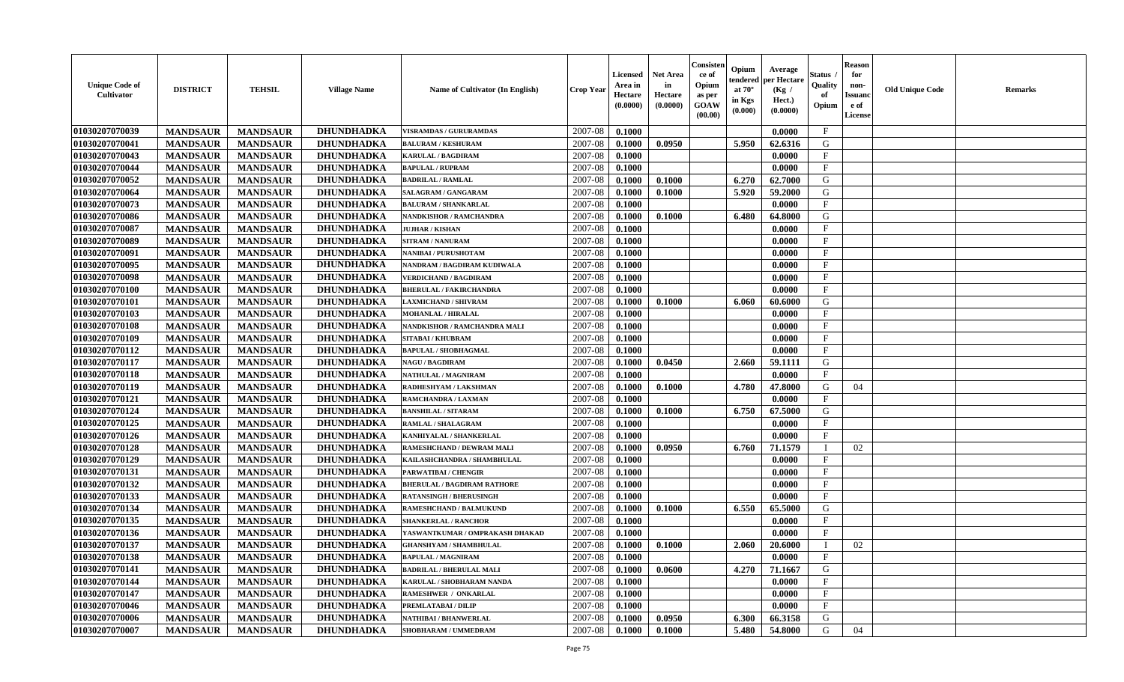| <b>Unique Code of</b><br><b>Cultivator</b> | <b>DISTRICT</b> | <b>TEHSIL</b>   | <b>Village Name</b> | Name of Cultivator (In English)    | <b>Crop Year</b> | <b>Licensed</b><br>Area in<br>Hectare<br>(0.0000) | <b>Net Area</b><br>in<br>Hectare<br>(0.0000) | Consisteı<br>ce of<br>Opium<br>as per<br><b>GOAW</b><br>(00.00) | Opium<br>endered<br>at $70^\circ$<br>in Kgs<br>$(\mathbf{0.000})$ | Average<br>per Hectare<br>(Kg /<br>Hect.)<br>(0.0000) | Status<br>Quality<br>of<br>Opium | Reason<br>for<br>non-<br>Issuan<br>e of<br>License | <b>Old Unique Code</b> | <b>Remarks</b> |
|--------------------------------------------|-----------------|-----------------|---------------------|------------------------------------|------------------|---------------------------------------------------|----------------------------------------------|-----------------------------------------------------------------|-------------------------------------------------------------------|-------------------------------------------------------|----------------------------------|----------------------------------------------------|------------------------|----------------|
| 01030207070039                             | <b>MANDSAUR</b> | <b>MANDSAUR</b> | DHUNDHADKA          | <b>VISRAMDAS / GURURAMDAS</b>      | 2007-08          | 0.1000                                            |                                              |                                                                 |                                                                   | 0.0000                                                | $\mathbf{F}$                     |                                                    |                        |                |
| 01030207070041                             | <b>MANDSAUR</b> | <b>MANDSAUR</b> | DHUNDHADKA          | <b>BALURAM / KESHURAM</b>          | 2007-08          | 0.1000                                            | 0.0950                                       |                                                                 | 5.950                                                             | 62.6316                                               | G                                |                                                    |                        |                |
| 01030207070043                             | <b>MANDSAUR</b> | <b>MANDSAUR</b> | <b>DHUNDHADKA</b>   | <b>KARULAL / BAGDIRAM</b>          | 2007-08          | 0.1000                                            |                                              |                                                                 |                                                                   | 0.0000                                                | $\mathbf{F}$                     |                                                    |                        |                |
| 01030207070044                             | <b>MANDSAUR</b> | <b>MANDSAUR</b> | <b>DHUNDHADKA</b>   | <b>BAPULAL / RUPRAM</b>            | 2007-08          | 0.1000                                            |                                              |                                                                 |                                                                   | 0.0000                                                | $\mathbf{F}$                     |                                                    |                        |                |
| 01030207070052                             | <b>MANDSAUR</b> | <b>MANDSAUR</b> | <b>DHUNDHADKA</b>   | <b>BADRILAL / RAMLAL</b>           | 2007-08          | 0.1000                                            | 0.1000                                       |                                                                 | 6.270                                                             | 62.7000                                               | G                                |                                                    |                        |                |
| 01030207070064                             | <b>MANDSAUR</b> | <b>MANDSAUR</b> | <b>DHUNDHADKA</b>   | SALAGRAM / GANGARAM                | 2007-08          | 0.1000                                            | 0.1000                                       |                                                                 | 5.920                                                             | 59.2000                                               | G                                |                                                    |                        |                |
| 01030207070073                             | <b>MANDSAUR</b> | <b>MANDSAUR</b> | <b>DHUNDHADKA</b>   | <b>BALURAM / SHANKARLAL</b>        | 2007-08          | 0.1000                                            |                                              |                                                                 |                                                                   | 0.0000                                                | $\mathbf{F}$                     |                                                    |                        |                |
| 01030207070086                             | <b>MANDSAUR</b> | <b>MANDSAUR</b> | <b>DHUNDHADKA</b>   | NANDKISHOR / RAMCHANDRA            | 2007-08          | 0.1000                                            | 0.1000                                       |                                                                 | 6.480                                                             | 64.8000                                               | G                                |                                                    |                        |                |
| 01030207070087                             | <b>MANDSAUR</b> | <b>MANDSAUR</b> | <b>DHUNDHADKA</b>   | <b>JUJHAR / KISHAN</b>             | 2007-08          | 0.1000                                            |                                              |                                                                 |                                                                   | 0.0000                                                | $_{\rm F}$                       |                                                    |                        |                |
| 01030207070089                             | <b>MANDSAUR</b> | <b>MANDSAUR</b> | <b>DHUNDHADKA</b>   | <b>SITRAM / NANURAM</b>            | 2007-08          | 0.1000                                            |                                              |                                                                 |                                                                   | 0.0000                                                | $_{\rm F}$                       |                                                    |                        |                |
| 01030207070091                             | <b>MANDSAUR</b> | <b>MANDSAUR</b> | <b>DHUNDHADKA</b>   | NANIBAI / PURUSHOTAM               | 2007-08          | 0.1000                                            |                                              |                                                                 |                                                                   | 0.0000                                                | $\mathbf{F}$                     |                                                    |                        |                |
| 01030207070095                             | <b>MANDSAUR</b> | <b>MANDSAUR</b> | <b>DHUNDHADKA</b>   | NANDRAM / BAGDIRAM KUDIWALA        | 2007-08          | 0.1000                                            |                                              |                                                                 |                                                                   | 0.0000                                                | $_{\rm F}$                       |                                                    |                        |                |
| 01030207070098                             | <b>MANDSAUR</b> | <b>MANDSAUR</b> | <b>DHUNDHADKA</b>   | <b>VERDICHAND / BAGDIRAM</b>       | 2007-08          | 0.1000                                            |                                              |                                                                 |                                                                   | 0.0000                                                | $\mathbf{F}$                     |                                                    |                        |                |
| 01030207070100                             | <b>MANDSAUR</b> | <b>MANDSAUR</b> | <b>DHUNDHADKA</b>   | <b>BHERULAL / FAKIRCHANDRA</b>     | 2007-08          | 0.1000                                            |                                              |                                                                 |                                                                   | 0.0000                                                | $\mathbf{F}$                     |                                                    |                        |                |
| 01030207070101                             | <b>MANDSAUR</b> | <b>MANDSAUR</b> | <b>DHUNDHADKA</b>   | <b>LAXMICHAND / SHIVRAM</b>        | 2007-08          | 0.1000                                            | 0.1000                                       |                                                                 | 6.060                                                             | 60.6000                                               | G                                |                                                    |                        |                |
| 01030207070103                             | <b>MANDSAUR</b> | <b>MANDSAUR</b> | DHUNDHADKA          | <b>MOHANLAL / HIRALAL</b>          | 2007-08          | 0.1000                                            |                                              |                                                                 |                                                                   | 0.0000                                                | F                                |                                                    |                        |                |
| 01030207070108                             | <b>MANDSAUR</b> | <b>MANDSAUR</b> | <b>DHUNDHADKA</b>   | NANDKISHOR / RAMCHANDRA MALI       | 2007-08          | 0.1000                                            |                                              |                                                                 |                                                                   | 0.0000                                                | $\mathbf{F}$                     |                                                    |                        |                |
| 01030207070109                             | <b>MANDSAUR</b> | <b>MANDSAUR</b> | <b>DHUNDHADKA</b>   | <b>SITABAI/KHUBRAM</b>             | 2007-08          | 0.1000                                            |                                              |                                                                 |                                                                   | 0.0000                                                | $\mathbf F$                      |                                                    |                        |                |
| 01030207070112                             | <b>MANDSAUR</b> | <b>MANDSAUR</b> | <b>DHUNDHADKA</b>   | <b>BAPULAL / SHOBHAGMAL</b>        | 2007-08          | 0.1000                                            |                                              |                                                                 |                                                                   | 0.0000                                                | $_{\rm F}$                       |                                                    |                        |                |
| 01030207070117                             | <b>MANDSAUR</b> | <b>MANDSAUR</b> | <b>DHUNDHADKA</b>   | <b>NAGU / BAGDIRAM</b>             | 2007-08          | 0.1000                                            | 0.0450                                       |                                                                 | 2.660                                                             | 59.1111                                               | G                                |                                                    |                        |                |
| 01030207070118                             | <b>MANDSAUR</b> | <b>MANDSAUR</b> | <b>DHUNDHADKA</b>   | <b>NATHULAL / MAGNIRAM</b>         | 2007-08          | 0.1000                                            |                                              |                                                                 |                                                                   | 0.0000                                                | F                                |                                                    |                        |                |
| 01030207070119                             | <b>MANDSAUR</b> | <b>MANDSAUR</b> | <b>DHUNDHADKA</b>   | RADHESHYAM / LAKSHMAN              | 2007-08          | 0.1000                                            | 0.1000                                       |                                                                 | 4.780                                                             | 47.8000                                               | G                                | 04                                                 |                        |                |
| 01030207070121                             | <b>MANDSAUR</b> | <b>MANDSAUR</b> | <b>DHUNDHADKA</b>   | RAMCHANDRA / LAXMAN                | 2007-08          | 0.1000                                            |                                              |                                                                 |                                                                   | 0.0000                                                | $\mathbf{F}$                     |                                                    |                        |                |
| 01030207070124                             | <b>MANDSAUR</b> | <b>MANDSAUR</b> | DHUNDHADKA          | <b>BANSHILAL / SITARAM</b>         | 2007-08          | 0.1000                                            | 0.1000                                       |                                                                 | 6.750                                                             | 67.5000                                               | G                                |                                                    |                        |                |
| 01030207070125                             | <b>MANDSAUR</b> | <b>MANDSAUR</b> | <b>DHUNDHADKA</b>   | RAMLAL / SHALAGRAM                 | 2007-08          | 0.1000                                            |                                              |                                                                 |                                                                   | 0.0000                                                | $\mathbf{F}$                     |                                                    |                        |                |
| 01030207070126                             | <b>MANDSAUR</b> | <b>MANDSAUR</b> | <b>DHUNDHADKA</b>   | KANHIYALAL / SHANKERLAL            | 2007-08          | 0.1000                                            |                                              |                                                                 |                                                                   | 0.0000                                                | $\mathbf{F}$                     |                                                    |                        |                |
| 01030207070128                             | <b>MANDSAUR</b> | <b>MANDSAUR</b> | <b>DHUNDHADKA</b>   | RAMESHCHAND / DEWRAM MALI          | 2007-08          | 0.1000                                            | 0.0950                                       |                                                                 | 6.760                                                             | 71.1579                                               | $\mathbf I$                      | 02                                                 |                        |                |
| 01030207070129                             | <b>MANDSAUR</b> | <b>MANDSAUR</b> | <b>DHUNDHADKA</b>   | KAILASHCHANDRA / SHAMBHULAL        | 2007-08          | 0.1000                                            |                                              |                                                                 |                                                                   | 0.0000                                                | $\mathbf{F}$                     |                                                    |                        |                |
| 01030207070131                             | <b>MANDSAUR</b> | <b>MANDSAUR</b> | DHUNDHADKA          | PARWATIBAI / CHENGIR               | 2007-08          | 0.1000                                            |                                              |                                                                 |                                                                   | 0.0000                                                | $\mathbf{F}$                     |                                                    |                        |                |
| 01030207070132                             | <b>MANDSAUR</b> | <b>MANDSAUR</b> | DHUNDHADKA          | <b>BHERULAL / BAGDIRAM RATHORE</b> | 2007-08          | 0.1000                                            |                                              |                                                                 |                                                                   | 0.0000                                                | $\mathbf{F}$                     |                                                    |                        |                |
| 01030207070133                             | <b>MANDSAUR</b> | <b>MANDSAUR</b> | <b>DHUNDHADKA</b>   | <b>RATANSINGH / BHERUSINGH</b>     | 2007-08          | 0.1000                                            |                                              |                                                                 |                                                                   | 0.0000                                                | $\mathbf{F}$                     |                                                    |                        |                |
| 01030207070134                             | <b>MANDSAUR</b> | <b>MANDSAUR</b> | <b>DHUNDHADKA</b>   | RAMESHCHAND / BALMUKUND            | 2007-08          | 0.1000                                            | 0.1000                                       |                                                                 | 6.550                                                             | 65.5000                                               | G                                |                                                    |                        |                |
| 01030207070135                             | <b>MANDSAUR</b> | <b>MANDSAUR</b> | <b>DHUNDHADKA</b>   | <b>SHANKERLAL / RANCHOR</b>        | 2007-08          | 0.1000                                            |                                              |                                                                 |                                                                   | 0.0000                                                | $\mathbf{F}$                     |                                                    |                        |                |
| 01030207070136                             | <b>MANDSAUR</b> | <b>MANDSAUR</b> | <b>DHUNDHADKA</b>   | YASWANTKUMAR / OMPRAKASH DHAKAD    | 2007-08          | 0.1000                                            |                                              |                                                                 |                                                                   | 0.0000                                                | $_{\rm F}$                       |                                                    |                        |                |
| 01030207070137                             | <b>MANDSAUR</b> | <b>MANDSAUR</b> | DHUNDHADKA          | <b>GHANSHYAM / SHAMBHULAL</b>      | 2007-08          | 0.1000                                            | 0.1000                                       |                                                                 | 2.060                                                             | 20.6000                                               |                                  | 02                                                 |                        |                |
| 01030207070138                             | <b>MANDSAUR</b> | MANDSAUR        | <b>DHUNDHADKA</b>   | <b>BAPULAL / MAGNIRAM</b>          | $2007-08$ 0.1000 |                                                   |                                              |                                                                 |                                                                   | 0.0000                                                | F                                |                                                    |                        |                |
| <b>01030207070141</b>                      | <b>MANDSAUR</b> | <b>MANDSAUR</b> | <b>DHUNDHADKA</b>   | <b>BADRILAL / BHERULAL MALI</b>    | 2007-08          | 0.1000                                            | 0.0600                                       |                                                                 | 4.270                                                             | 71.1667                                               | G                                |                                                    |                        |                |
| <b>01030207070144</b>                      | <b>MANDSAUR</b> | <b>MANDSAUR</b> | <b>DHUNDHADKA</b>   | KARULAL / SHOBHARAM NANDA          | 2007-08          | 0.1000                                            |                                              |                                                                 |                                                                   | 0.0000                                                | $_{\rm F}$                       |                                                    |                        |                |
| 01030207070147                             | <b>MANDSAUR</b> | <b>MANDSAUR</b> | <b>DHUNDHADKA</b>   | <b>RAMESHWER / ONKARLAL</b>        | 2007-08          | 0.1000                                            |                                              |                                                                 |                                                                   | 0.0000                                                | $\mathbf{F}$                     |                                                    |                        |                |
| 01030207070046                             | <b>MANDSAUR</b> | <b>MANDSAUR</b> | DHUNDHADKA          | PREMLATABAI / DILIP                | 2007-08          | 0.1000                                            |                                              |                                                                 |                                                                   | 0.0000                                                | $\mathbf{F}$                     |                                                    |                        |                |
| 01030207070006                             | <b>MANDSAUR</b> | <b>MANDSAUR</b> | <b>DHUNDHADKA</b>   | <b>NATHIBAI / BHANWERLAL</b>       | 2007-08          | 0.1000                                            | 0.0950                                       |                                                                 | 6.300                                                             | 66.3158                                               | G                                |                                                    |                        |                |
| 01030207070007                             | <b>MANDSAUR</b> | <b>MANDSAUR</b> | <b>DHUNDHADKA</b>   | SHOBHARAM / UMMEDRAM               | 2007-08          | 0.1000                                            | 0.1000                                       |                                                                 | 5.480                                                             | 54.8000                                               | G                                | 04                                                 |                        |                |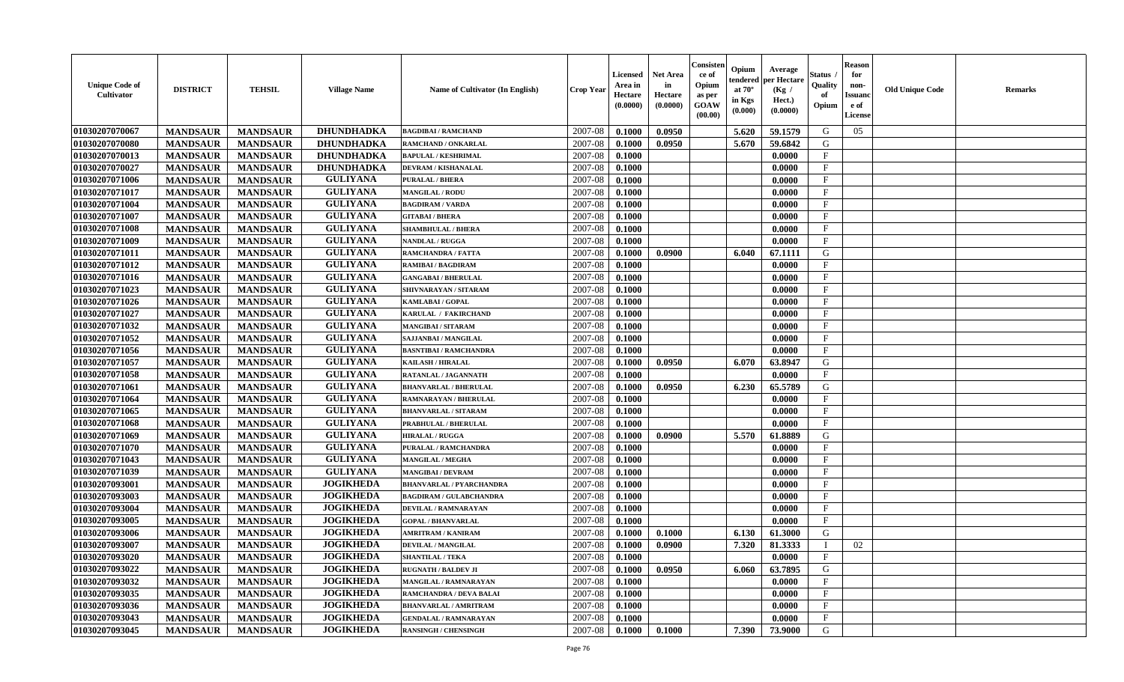| <b>Unique Code of</b><br>Cultivator | <b>DISTRICT</b> | <b>TEHSIL</b>   | <b>Village Name</b> | <b>Name of Cultivator (In English)</b> | <b>Crop Year</b> | <b>Licensed</b><br>Area in<br>Hectare<br>(0.0000) | <b>Net Area</b><br>in<br>Hectare<br>(0.0000) | Consister<br>ce of<br>Opium<br>as per<br><b>GOAW</b><br>(00.00) | Opium<br>endered<br>at $70^{\circ}$<br>in Kgs<br>(0.000) | Average<br>per Hectare<br>(Kg /<br>Hect.)<br>(0.0000) | <b>Status</b><br>Quality<br>of<br>Opium | <b>Reason</b><br>for<br>non-<br><b>Issuand</b><br>e of<br>License | <b>Old Unique Code</b> | <b>Remarks</b> |
|-------------------------------------|-----------------|-----------------|---------------------|----------------------------------------|------------------|---------------------------------------------------|----------------------------------------------|-----------------------------------------------------------------|----------------------------------------------------------|-------------------------------------------------------|-----------------------------------------|-------------------------------------------------------------------|------------------------|----------------|
| 01030207070067                      | <b>MANDSAUR</b> | <b>MANDSAUR</b> | DHUNDHADKA          | <b>BAGDIBAI / RAMCHAND</b>             | 2007-08          | 0.1000                                            | 0.0950                                       |                                                                 | 5.620                                                    | 59.1579                                               | G                                       | 05                                                                |                        |                |
| 01030207070080                      | <b>MANDSAUR</b> | <b>MANDSAUR</b> | <b>DHUNDHADKA</b>   | RAMCHAND / ONKARLAL                    | 2007-08          | 0.1000                                            | 0.0950                                       |                                                                 | 5.670                                                    | 59.6842                                               | G                                       |                                                                   |                        |                |
| 01030207070013                      | <b>MANDSAUR</b> | <b>MANDSAUR</b> | <b>DHUNDHADKA</b>   | <b>BAPULAL / KESHRIMAL</b>             | 2007-08          | 0.1000                                            |                                              |                                                                 |                                                          | 0.0000                                                | $\mathbf{F}$                            |                                                                   |                        |                |
| 01030207070027                      | <b>MANDSAUR</b> | <b>MANDSAUR</b> | <b>DHUNDHADKA</b>   | DEVRAM / KISHANALAL                    | 2007-08          | 0.1000                                            |                                              |                                                                 |                                                          | 0.0000                                                | $\mathbf{F}$                            |                                                                   |                        |                |
| 01030207071006                      | <b>MANDSAUR</b> | <b>MANDSAUR</b> | <b>GULIYANA</b>     | <b>PURALAL / BHERA</b>                 | 2007-08          | 0.1000                                            |                                              |                                                                 |                                                          | 0.0000                                                | $\mathbf F$                             |                                                                   |                        |                |
| 01030207071017                      | <b>MANDSAUR</b> | <b>MANDSAUR</b> | <b>GULIYANA</b>     | <b>MANGILAL / RODU</b>                 | 2007-08          | 0.1000                                            |                                              |                                                                 |                                                          | 0.0000                                                | $\mathbf{F}$                            |                                                                   |                        |                |
| 01030207071004                      | <b>MANDSAUR</b> | <b>MANDSAUR</b> | <b>GULIYANA</b>     | <b>BAGDIRAM / VARDA</b>                | 2007-08          | 0.1000                                            |                                              |                                                                 |                                                          | 0.0000                                                | $\mathbf{F}$                            |                                                                   |                        |                |
| 01030207071007                      | <b>MANDSAUR</b> | <b>MANDSAUR</b> | <b>GULIYANA</b>     | <b>GITABAI/BHERA</b>                   | 2007-08          | 0.1000                                            |                                              |                                                                 |                                                          | 0.0000                                                | $\mathbf{F}$                            |                                                                   |                        |                |
| 01030207071008                      | <b>MANDSAUR</b> | <b>MANDSAUR</b> | <b>GULIYANA</b>     | <b>SHAMBHULAL / BHERA</b>              | 2007-08          | 0.1000                                            |                                              |                                                                 |                                                          | 0.0000                                                | F                                       |                                                                   |                        |                |
| 01030207071009                      | <b>MANDSAUR</b> | <b>MANDSAUR</b> | <b>GULIYANA</b>     | NANDLAL / RUGGA                        | 2007-08          | 0.1000                                            |                                              |                                                                 |                                                          | 0.0000                                                | $\mathbf{F}$                            |                                                                   |                        |                |
| 01030207071011                      | <b>MANDSAUR</b> | <b>MANDSAUR</b> | <b>GULIYANA</b>     | RAMCHANDRA / FATTA                     | 2007-08          | 0.1000                                            | 0.0900                                       |                                                                 | 6.040                                                    | 67.1111                                               | G                                       |                                                                   |                        |                |
| 01030207071012                      | <b>MANDSAUR</b> | <b>MANDSAUR</b> | <b>GULIYANA</b>     | <b>RAMIBAI/BAGDIRAM</b>                | 2007-08          | 0.1000                                            |                                              |                                                                 |                                                          | 0.0000                                                | $\mathbf F$                             |                                                                   |                        |                |
| 01030207071016                      | <b>MANDSAUR</b> | <b>MANDSAUR</b> | <b>GULIYANA</b>     | <b>GANGABAI / BHERULAL</b>             | 2007-08          | 0.1000                                            |                                              |                                                                 |                                                          | 0.0000                                                | $\mathbf{F}$                            |                                                                   |                        |                |
| 01030207071023                      | <b>MANDSAUR</b> | <b>MANDSAUR</b> | <b>GULIYANA</b>     | SHIVNARAYAN / SITARAM                  | 2007-08          | 0.1000                                            |                                              |                                                                 |                                                          | 0.0000                                                | $\mathbf F$                             |                                                                   |                        |                |
| 01030207071026                      | <b>MANDSAUR</b> | <b>MANDSAUR</b> | <b>GULIYANA</b>     | KAMLABAI / GOPAL                       | 2007-08          | 0.1000                                            |                                              |                                                                 |                                                          | 0.0000                                                | $\mathbf{F}$                            |                                                                   |                        |                |
| 01030207071027                      | <b>MANDSAUR</b> | <b>MANDSAUR</b> | <b>GULIYANA</b>     | <b>KARULAL / FAKIRCHAND</b>            | 2007-08          | 0.1000                                            |                                              |                                                                 |                                                          | 0.0000                                                | $_{\rm F}$                              |                                                                   |                        |                |
| 01030207071032                      | <b>MANDSAUR</b> | <b>MANDSAUR</b> | <b>GULIYANA</b>     | <b>MANGIBAI/SITARAM</b>                | 2007-08          | 0.1000                                            |                                              |                                                                 |                                                          | 0.0000                                                | $\mathbf{F}$                            |                                                                   |                        |                |
| 01030207071052                      | <b>MANDSAUR</b> | <b>MANDSAUR</b> | <b>GULIYANA</b>     | SAJJANBAI / MANGILAL                   | 2007-08          | 0.1000                                            |                                              |                                                                 |                                                          | 0.0000                                                | $\mathbf{F}$                            |                                                                   |                        |                |
| 01030207071056                      | <b>MANDSAUR</b> | <b>MANDSAUR</b> | <b>GULIYANA</b>     | <b>BASNTIBAI / RAMCHANDRA</b>          | 2007-08          | 0.1000                                            |                                              |                                                                 |                                                          | 0.0000                                                | $\mathbf{F}$                            |                                                                   |                        |                |
| 01030207071057                      | <b>MANDSAUR</b> | <b>MANDSAUR</b> | <b>GULIYANA</b>     | KAILASH / HIRALAL                      | 2007-08          | 0.1000                                            | 0.0950                                       |                                                                 | 6.070                                                    | 63.8947                                               | G                                       |                                                                   |                        |                |
| 01030207071058                      | <b>MANDSAUR</b> | <b>MANDSAUR</b> | <b>GULIYANA</b>     | RATANLAL / JAGANNATH                   | 2007-08          | 0.1000                                            |                                              |                                                                 |                                                          | 0.0000                                                | F                                       |                                                                   |                        |                |
| 01030207071061                      | <b>MANDSAUR</b> | <b>MANDSAUR</b> | <b>GULIYANA</b>     | <b>BHANVARLAL / BHERULAL</b>           | 2007-08          | 0.1000                                            | 0.0950                                       |                                                                 | 6.230                                                    | 65.5789                                               | G                                       |                                                                   |                        |                |
| 01030207071064                      | <b>MANDSAUR</b> | <b>MANDSAUR</b> | <b>GULIYANA</b>     | RAMNARAYAN / BHERULAL                  | 2007-08          | 0.1000                                            |                                              |                                                                 |                                                          | 0.0000                                                | $\mathbf F$                             |                                                                   |                        |                |
| 01030207071065                      | <b>MANDSAUR</b> | <b>MANDSAUR</b> | <b>GULIYANA</b>     | <b>BHANVARLAL / SITARAM</b>            | 2007-08          | 0.1000                                            |                                              |                                                                 |                                                          | 0.0000                                                | $\mathbf{F}$                            |                                                                   |                        |                |
| 01030207071068                      | <b>MANDSAUR</b> | <b>MANDSAUR</b> | <b>GULIYANA</b>     | PRABHULAL / BHERULAL                   | 2007-08          | 0.1000                                            |                                              |                                                                 |                                                          | 0.0000                                                | $\mathbf F$                             |                                                                   |                        |                |
| 01030207071069                      | <b>MANDSAUR</b> | <b>MANDSAUR</b> | <b>GULIYANA</b>     | <b>HIRALAL / RUGGA</b>                 | 2007-08          | 0.1000                                            | 0.0900                                       |                                                                 | 5.570                                                    | 61.8889                                               | G                                       |                                                                   |                        |                |
| 01030207071070                      | <b>MANDSAUR</b> | <b>MANDSAUR</b> | <b>GULIYANA</b>     | PURALAL / RAMCHANDRA                   | 2007-08          | 0.1000                                            |                                              |                                                                 |                                                          | 0.0000                                                | F                                       |                                                                   |                        |                |
| 01030207071043                      | <b>MANDSAUR</b> | <b>MANDSAUR</b> | <b>GULIYANA</b>     | <b>MANGILAL / MEGHA</b>                | 2007-08          | 0.1000                                            |                                              |                                                                 |                                                          | 0.0000                                                | $\mathbf{F}$                            |                                                                   |                        |                |
| 01030207071039                      | <b>MANDSAUR</b> | <b>MANDSAUR</b> | <b>GULIYANA</b>     | <b>MANGIBAI/DEVRAM</b>                 | 2007-08          | 0.1000                                            |                                              |                                                                 |                                                          | 0.0000                                                | $\mathbf{F}$                            |                                                                   |                        |                |
| 01030207093001                      | <b>MANDSAUR</b> | <b>MANDSAUR</b> | <b>JOGIKHEDA</b>    | <b>BHANVARLAL / PYARCHANDRA</b>        | 2007-08          | 0.1000                                            |                                              |                                                                 |                                                          | 0.0000                                                | $_{\rm F}$                              |                                                                   |                        |                |
| 01030207093003                      | <b>MANDSAUR</b> | <b>MANDSAUR</b> | <b>JOGIKHEDA</b>    | <b>BAGDIRAM / GULABCHANDRA</b>         | 2007-08          | 0.1000                                            |                                              |                                                                 |                                                          | 0.0000                                                | $_{\rm F}$                              |                                                                   |                        |                |
| 01030207093004                      | <b>MANDSAUR</b> | <b>MANDSAUR</b> | <b>JOGIKHEDA</b>    | DEVILAL / RAMNARAYAN                   | 2007-08          | 0.1000                                            |                                              |                                                                 |                                                          | 0.0000                                                | $\mathbf{F}$                            |                                                                   |                        |                |
| 01030207093005                      | <b>MANDSAUR</b> | <b>MANDSAUR</b> | <b>JOGIKHEDA</b>    | <b>GOPAL / BHANVARLAL</b>              | 2007-08          | 0.1000                                            |                                              |                                                                 |                                                          | 0.0000                                                | $\mathbf{F}$                            |                                                                   |                        |                |
| 01030207093006                      | <b>MANDSAUR</b> | <b>MANDSAUR</b> | <b>JOGIKHEDA</b>    | <b>AMRITRAM / KANIRAM</b>              | 2007-08          | 0.1000                                            | 0.1000                                       |                                                                 | 6.130                                                    | 61.3000                                               | G                                       |                                                                   |                        |                |
| 01030207093007                      | <b>MANDSAUR</b> | <b>MANDSAUR</b> | <b>JOGIKHEDA</b>    | <b>DEVILAL / MANGILAL</b>              | 2007-08          | 0.1000                                            | 0.0900                                       |                                                                 | 7.320                                                    | 81.3333                                               |                                         | 02                                                                |                        |                |
| 01030207093020                      | <b>MANDSAUR</b> | MANDSAUR        | <b>JOGIKHEDA</b>    | <b>SHANTILAL / TEKA</b>                | $2007 - 08$      | 0.1000                                            |                                              |                                                                 |                                                          | 0.0000                                                | F                                       |                                                                   |                        |                |
| 01030207093022                      | <b>MANDSAUR</b> | <b>MANDSAUR</b> | <b>JOGIKHEDA</b>    | <b>RUGNATH / BALDEV JI</b>             | 2007-08          | 0.1000                                            | 0.0950                                       |                                                                 | 6.060                                                    | 63.7895                                               | G                                       |                                                                   |                        |                |
| 01030207093032                      | <b>MANDSAUR</b> | <b>MANDSAUR</b> | <b>JOGIKHEDA</b>    | <b>MANGILAL / RAMNARAYAN</b>           | 2007-08          | 0.1000                                            |                                              |                                                                 |                                                          | 0.0000                                                | F                                       |                                                                   |                        |                |
| 01030207093035                      | <b>MANDSAUR</b> | <b>MANDSAUR</b> | <b>JOGIKHEDA</b>    | <b>RAMCHANDRA / DEVA BALAI</b>         | 2007-08          | 0.1000                                            |                                              |                                                                 |                                                          | 0.0000                                                | $\mathbf{F}$                            |                                                                   |                        |                |
| 01030207093036                      | <b>MANDSAUR</b> | <b>MANDSAUR</b> | <b>JOGIKHEDA</b>    | <b>BHANVARLAL / AMRITRAM</b>           | 2007-08          | 0.1000                                            |                                              |                                                                 |                                                          | 0.0000                                                | $\mathbf{F}$                            |                                                                   |                        |                |
| 01030207093043                      | <b>MANDSAUR</b> | <b>MANDSAUR</b> | <b>JOGIKHEDA</b>    | <b>GENDALAL / RAMNARAYAN</b>           | 2007-08          | 0.1000                                            |                                              |                                                                 |                                                          | 0.0000                                                | $\mathbf{F}$                            |                                                                   |                        |                |
| 01030207093045                      | <b>MANDSAUR</b> | <b>MANDSAUR</b> | <b>JOGIKHEDA</b>    | <b>RANSINGH / CHENSINGH</b>            | 2007-08          | $\boldsymbol{0.1000}$                             | 0.1000                                       |                                                                 | 7.390                                                    | 73.9000                                               | G                                       |                                                                   |                        |                |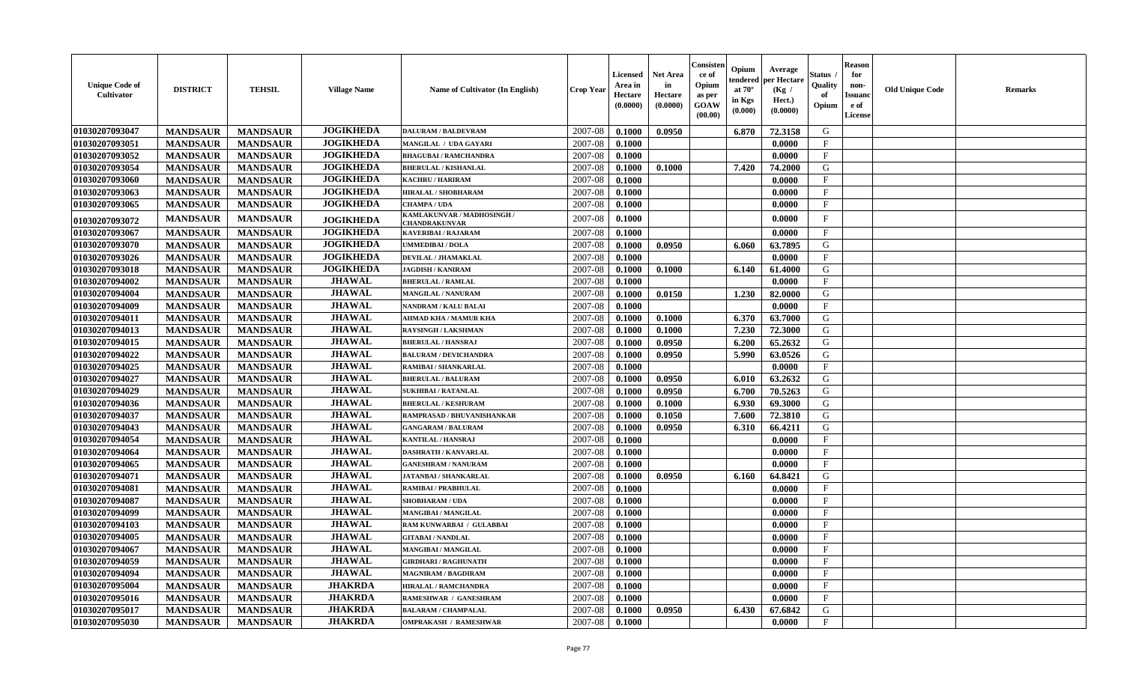| <b>Unique Code of</b><br><b>Cultivator</b> | <b>DISTRICT</b> | <b>TEHSIL</b>   | <b>Village Name</b> | Name of Cultivator (In English)             | <b>Crop Year</b> | <b>Licensed</b><br>Area in<br>Hectare<br>(0.0000) | <b>Net Area</b><br>in<br>Hectare<br>(0.0000) | Consisteı<br>ce of<br>Opium<br>as per<br><b>GOAW</b><br>(00.00) | Opium<br>endered<br>at $70^\circ$<br>in Kgs<br>(0.000) | Average<br>oer Hectare<br>(Kg /<br>Hect.)<br>(0.0000) | Status<br>Quality<br>of<br>Opium | <b>Reason</b><br>for<br>non-<br><b>Issuanc</b><br>e of<br><b>License</b> | <b>Old Unique Code</b> | <b>Remarks</b> |
|--------------------------------------------|-----------------|-----------------|---------------------|---------------------------------------------|------------------|---------------------------------------------------|----------------------------------------------|-----------------------------------------------------------------|--------------------------------------------------------|-------------------------------------------------------|----------------------------------|--------------------------------------------------------------------------|------------------------|----------------|
| 01030207093047                             | <b>MANDSAUR</b> | <b>MANDSAUR</b> | <b>JOGIKHEDA</b>    | <b>DALURAM / BALDEVRAM</b>                  | 2007-08          | 0.1000                                            | 0.0950                                       |                                                                 | 6.870                                                  | 72.3158                                               | G                                |                                                                          |                        |                |
| 01030207093051                             | <b>MANDSAUR</b> | <b>MANDSAUR</b> | <b>JOGIKHEDA</b>    | MANGILAL / UDA GAYARI                       | 2007-08          | 0.1000                                            |                                              |                                                                 |                                                        | 0.0000                                                | $\mathbf{F}$                     |                                                                          |                        |                |
| 01030207093052                             | <b>MANDSAUR</b> | <b>MANDSAUR</b> | <b>JOGIKHEDA</b>    | <b>BHAGUBAI / RAMCHANDRA</b>                | 2007-08          | 0.1000                                            |                                              |                                                                 |                                                        | 0.0000                                                | $\mathbf{F}$                     |                                                                          |                        |                |
| 01030207093054                             | <b>MANDSAUR</b> | <b>MANDSAUR</b> | <b>JOGIKHEDA</b>    | <b>BHERULAL / KISHANLAL</b>                 | 2007-08          | 0.1000                                            | 0.1000                                       |                                                                 | 7.420                                                  | 74.2000                                               | ${\bf G}$                        |                                                                          |                        |                |
| 01030207093060                             | <b>MANDSAUR</b> | <b>MANDSAUR</b> | <b>JOGIKHEDA</b>    | <b>KACHRU / HARIRAM</b>                     | 2007-08          | 0.1000                                            |                                              |                                                                 |                                                        | 0.0000                                                | $_{\rm F}$                       |                                                                          |                        |                |
| 01030207093063                             | <b>MANDSAUR</b> | <b>MANDSAUR</b> | <b>JOGIKHEDA</b>    | <b>HIRALAL / SHOBHARAM</b>                  | 2007-08          | 0.1000                                            |                                              |                                                                 |                                                        | 0.0000                                                | $\mathbf{F}$                     |                                                                          |                        |                |
| 01030207093065                             | <b>MANDSAUR</b> | <b>MANDSAUR</b> | <b>JOGIKHEDA</b>    | <b>CHAMPA / UDA</b>                         | 2007-08          | 0.1000                                            |                                              |                                                                 |                                                        | 0.0000                                                | $\mathbf{F}$                     |                                                                          |                        |                |
| 01030207093072                             | <b>MANDSAUR</b> | <b>MANDSAUR</b> | <b>JOGIKHEDA</b>    | KAMLAKUNVAR / MADHOSINGH /<br>CHANDRAKUNVAR | 2007-08          | 0.1000                                            |                                              |                                                                 |                                                        | 0.0000                                                | $\mathbf{F}$                     |                                                                          |                        |                |
| 01030207093067                             | <b>MANDSAUR</b> | <b>MANDSAUR</b> | <b>JOGIKHEDA</b>    | <b>KAVERIBAI/RAJARAM</b>                    | 2007-08          | 0.1000                                            |                                              |                                                                 |                                                        | 0.0000                                                | $\mathbf{F}$                     |                                                                          |                        |                |
| 01030207093070                             | <b>MANDSAUR</b> | <b>MANDSAUR</b> | <b>JOGIKHEDA</b>    | <b>UMMEDIBAI / DOLA</b>                     | 2007-08          | 0.1000                                            | 0.0950                                       |                                                                 | 6.060                                                  | 63.7895                                               | G                                |                                                                          |                        |                |
| 01030207093026                             | <b>MANDSAUR</b> | <b>MANDSAUR</b> | <b>JOGIKHEDA</b>    | DEVILAL / JHAMAKLAL                         | 2007-08          | 0.1000                                            |                                              |                                                                 |                                                        | 0.0000                                                | $_{\rm F}$                       |                                                                          |                        |                |
| 01030207093018                             | <b>MANDSAUR</b> | <b>MANDSAUR</b> | <b>JOGIKHEDA</b>    | <b>JAGDISH / KANIRAM</b>                    | 2007-08          | 0.1000                                            | 0.1000                                       |                                                                 | 6.140                                                  | 61.4000                                               | G                                |                                                                          |                        |                |
| 01030207094002                             | <b>MANDSAUR</b> | <b>MANDSAUR</b> | <b>JHAWAL</b>       | <b>BHERULAL / RAMLAL</b>                    | 2007-08          | 0.1000                                            |                                              |                                                                 |                                                        | 0.0000                                                | $\mathbf{F}$                     |                                                                          |                        |                |
| 01030207094004                             | <b>MANDSAUR</b> | <b>MANDSAUR</b> | <b>JHAWAL</b>       | <b>MANGILAL / NANURAM</b>                   | 2007-08          | 0.1000                                            | 0.0150                                       |                                                                 | 1.230                                                  | 82.0000                                               | G                                |                                                                          |                        |                |
| 01030207094009                             | <b>MANDSAUR</b> | <b>MANDSAUR</b> | <b>JHAWAL</b>       | <b>NANDRAM / KALU BALAI</b>                 | 2007-08          | 0.1000                                            |                                              |                                                                 |                                                        | 0.0000                                                | $\mathbf{F}$                     |                                                                          |                        |                |
| 01030207094011                             | <b>MANDSAUR</b> | <b>MANDSAUR</b> | <b>JHAWAL</b>       | AHMAD KHA / MAMUR KHA                       | 2007-08          | 0.1000                                            | 0.1000                                       |                                                                 | 6.370                                                  | 63.7000                                               | G                                |                                                                          |                        |                |
| 01030207094013                             | <b>MANDSAUR</b> | <b>MANDSAUR</b> | <b>JHAWAL</b>       | <b>RAYSINGH / LAKSHMAN</b>                  | 2007-08          | 0.1000                                            | 0.1000                                       |                                                                 | 7.230                                                  | 72.3000                                               | G                                |                                                                          |                        |                |
| 01030207094015                             | <b>MANDSAUR</b> | <b>MANDSAUR</b> | <b>JHAWAL</b>       | <b>BHERULAL / HANSRAJ</b>                   | 2007-08          | 0.1000                                            | 0.0950                                       |                                                                 | 6.200                                                  | 65.2632                                               | G                                |                                                                          |                        |                |
| 01030207094022                             | <b>MANDSAUR</b> | <b>MANDSAUR</b> | <b>JHAWAL</b>       | <b>BALURAM / DEVICHANDRA</b>                | 2007-08          | 0.1000                                            | 0.0950                                       |                                                                 | 5.990                                                  | 63.0526                                               | G                                |                                                                          |                        |                |
| 01030207094025                             | <b>MANDSAUR</b> | <b>MANDSAUR</b> | <b>JHAWAL</b>       | RAMIBAI / SHANKARLAL                        | 2007-08          | 0.1000                                            |                                              |                                                                 |                                                        | 0.0000                                                | $\mathbf{F}$                     |                                                                          |                        |                |
| 01030207094027                             | <b>MANDSAUR</b> | <b>MANDSAUR</b> | <b>JHAWAL</b>       | <b>BHERULAL / BALURAM</b>                   | 2007-08          | 0.1000                                            | 0.0950                                       |                                                                 | 6.010                                                  | 63.2632                                               | G                                |                                                                          |                        |                |
| 01030207094029                             | <b>MANDSAUR</b> | <b>MANDSAUR</b> | <b>JHAWAL</b>       | <b>SUKHIBAI / RATANLAL</b>                  | 2007-08          | 0.1000                                            | 0.0950                                       |                                                                 | 6.700                                                  | 70.5263                                               | G                                |                                                                          |                        |                |
| 01030207094036                             | <b>MANDSAUR</b> | <b>MANDSAUR</b> | <b>JHAWAL</b>       | <b>BHERULAL / KESHURAM</b>                  | 2007-08          | 0.1000                                            | 0.1000                                       |                                                                 | 6.930                                                  | 69.3000                                               | G                                |                                                                          |                        |                |
| 01030207094037                             | <b>MANDSAUR</b> | <b>MANDSAUR</b> | <b>JHAWAL</b>       | RAMPRASAD / BHUVANISHANKAR                  | 2007-08          | 0.1000                                            | 0.1050                                       |                                                                 | 7.600                                                  | 72.3810                                               | G                                |                                                                          |                        |                |
| 01030207094043                             | <b>MANDSAUR</b> | <b>MANDSAUR</b> | <b>JHAWAL</b>       | <b>GANGARAM / BALURAM</b>                   | 2007-08          | 0.1000                                            | 0.0950                                       |                                                                 | 6.310                                                  | 66.4211                                               | G                                |                                                                          |                        |                |
| 01030207094054                             | <b>MANDSAUR</b> | <b>MANDSAUR</b> | <b>JHAWAL</b>       | <b>KANTILAL / HANSRAJ</b>                   | 2007-08          | 0.1000                                            |                                              |                                                                 |                                                        | 0.0000                                                | $\mathbf{F}$                     |                                                                          |                        |                |
| 01030207094064                             | <b>MANDSAUR</b> | <b>MANDSAUR</b> | <b>JHAWAL</b>       | <b>DASHRATH / KANVARLAL</b>                 | 2007-08          | 0.1000                                            |                                              |                                                                 |                                                        | 0.0000                                                | $_{\rm F}$                       |                                                                          |                        |                |
| 01030207094065                             | <b>MANDSAUR</b> | <b>MANDSAUR</b> | <b>JHAWAL</b>       | <b>GANESHRAM / NANURAM</b>                  | 2007-08          | 0.1000                                            |                                              |                                                                 |                                                        | 0.0000                                                | $_{\rm F}$                       |                                                                          |                        |                |
| 01030207094071                             | <b>MANDSAUR</b> | <b>MANDSAUR</b> | <b>JHAWAL</b>       | <b>JATANBAI / SHANKARLAL</b>                | 2007-08          | 0.1000                                            | 0.0950                                       |                                                                 | 6.160                                                  | 64.8421                                               | G                                |                                                                          |                        |                |
| 01030207094081                             | <b>MANDSAUR</b> | <b>MANDSAUR</b> | <b>JHAWAL</b>       | RAMIBAI / PRABHULAL                         | 2007-08          | 0.1000                                            |                                              |                                                                 |                                                        | 0.0000                                                | $\mathbf{F}$                     |                                                                          |                        |                |
| 01030207094087                             | <b>MANDSAUR</b> | <b>MANDSAUR</b> | <b>JHAWAL</b>       | <b>SHOBHARAM / UDA</b>                      | 2007-08          | 0.1000                                            |                                              |                                                                 |                                                        | 0.0000                                                | $\mathbf{F}$                     |                                                                          |                        |                |
| 01030207094099                             | <b>MANDSAUR</b> | <b>MANDSAUR</b> | <b>JHAWAL</b>       | MANGIBAI / MANGILAL                         | 2007-08          | 0.1000                                            |                                              |                                                                 |                                                        | 0.0000                                                | $_{\rm F}$                       |                                                                          |                        |                |
| 01030207094103                             | <b>MANDSAUR</b> | <b>MANDSAUR</b> | <b>JHAWAL</b>       | RAM KUNWARBAI / GULABBAI                    | 2007-08          | 0.1000                                            |                                              |                                                                 |                                                        | 0.0000                                                | F                                |                                                                          |                        |                |
| 01030207094005                             | <b>MANDSAUR</b> | <b>MANDSAUR</b> | <b>JHAWAL</b>       | <b>GITABAI/NANDLAL</b>                      | 2007-08          | 0.1000                                            |                                              |                                                                 |                                                        | 0.0000                                                | $_{\rm F}$                       |                                                                          |                        |                |
| 01030207094067                             | <b>MANDSAUR</b> | <b>MANDSAUR</b> | <b>JHAWAL</b>       | <b>MANGIBAI/MANGILAL</b>                    | 2007-08          | 0.1000                                            |                                              |                                                                 |                                                        | 0.0000                                                | $_{\rm F}$                       |                                                                          |                        |                |
| 01030207094059                             | <b>MANDSAUR</b> | <b>MANDSAUR</b> | <b>JHAWAL</b>       | <b>GIRDHARI / RAGHUNATH</b>                 | 2007-08          | 0.1000                                            |                                              |                                                                 |                                                        | 0.0000                                                | $\mathbf{F}$                     |                                                                          |                        |                |
| 01030207094094                             | <b>MANDSAUR</b> | <b>MANDSAUR</b> | <b>JHAWAL</b>       | <b>MAGNIRAM / BAGDIRAM</b>                  | 2007-08          | 0.1000                                            |                                              |                                                                 |                                                        | 0.0000                                                | $\mathbf{F}$                     |                                                                          |                        |                |
| 01030207095004                             | <b>MANDSAUR</b> | <b>MANDSAUR</b> | <b>JHAKRDA</b>      | HIRALAL / RAMCHANDRA                        | 2007-08          | 0.1000                                            |                                              |                                                                 |                                                        | 0.0000                                                | $\mathbf{F}$                     |                                                                          |                        |                |
| 01030207095016                             | <b>MANDSAUR</b> | <b>MANDSAUR</b> | <b>JHAKRDA</b>      | RAMESHWAR / GANESHRAM                       | 2007-08          | 0.1000                                            |                                              |                                                                 |                                                        | 0.0000                                                | $\mathbf{F}$                     |                                                                          |                        |                |
| 01030207095017                             | <b>MANDSAUR</b> | <b>MANDSAUR</b> | <b>JHAKRDA</b>      | <b>BALARAM / CHAMPALAL</b>                  | 2007-08          | 0.1000                                            | 0.0950                                       |                                                                 | 6.430                                                  | 67.6842                                               | G                                |                                                                          |                        |                |
| 01030207095030                             | <b>MANDSAUR</b> | <b>MANDSAUR</b> | <b>JHAKRDA</b>      | <b>OMPRAKASH / RAMESHWAR</b>                | 2007-08          | 0.1000                                            |                                              |                                                                 |                                                        | 0.0000                                                | $\mathbf{F}$                     |                                                                          |                        |                |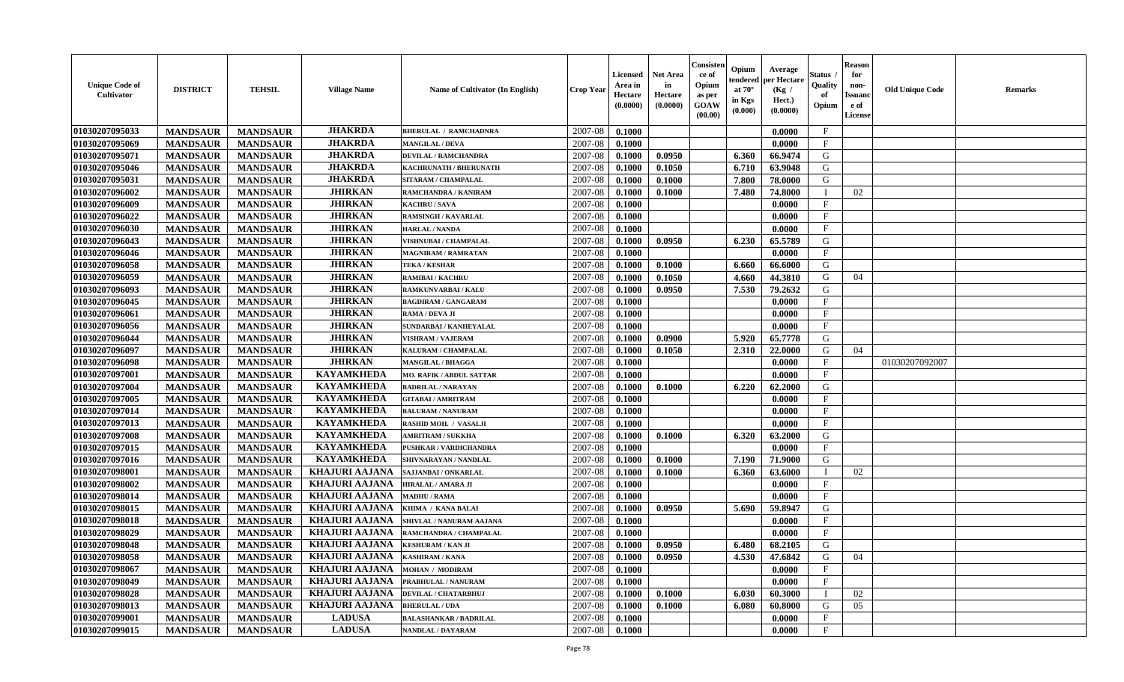| <b>Unique Code of</b><br><b>Cultivator</b> | <b>DISTRICT</b> | <b>TEHSIL</b>   | <b>Village Name</b>   | Name of Cultivator (In English) | <b>Crop Year</b> | <b>Licensed</b><br>Area in<br>Hectare<br>(0.0000) | <b>Net Area</b><br>in<br>Hectare<br>(0.0000) | Consisteı<br>ce of<br>Opium<br>as per<br><b>GOAW</b><br>(00.00) | Opium<br>endered<br>at $70^\circ$<br>in Kgs<br>(0.000) | Average<br>per Hectare<br>(Kg /<br>Hect.)<br>(0.0000) | Status<br>Quality<br>of<br>Opium | Reason<br>for<br>non-<br>Issuan<br>e of<br>License | <b>Old Unique Code</b> | <b>Remarks</b> |
|--------------------------------------------|-----------------|-----------------|-----------------------|---------------------------------|------------------|---------------------------------------------------|----------------------------------------------|-----------------------------------------------------------------|--------------------------------------------------------|-------------------------------------------------------|----------------------------------|----------------------------------------------------|------------------------|----------------|
| 01030207095033                             | <b>MANDSAUR</b> | <b>MANDSAUR</b> | <b>JHAKRDA</b>        | <b>BHERULAL / RAMCHADNRA</b>    | 2007-08          | 0.1000                                            |                                              |                                                                 |                                                        | 0.0000                                                | $\mathbf{F}$                     |                                                    |                        |                |
| 01030207095069                             | <b>MANDSAUR</b> | <b>MANDSAUR</b> | <b>JHAKRDA</b>        | <b>MANGILAL / DEVA</b>          | 2007-08          | 0.1000                                            |                                              |                                                                 |                                                        | 0.0000                                                | $\mathbf{F}$                     |                                                    |                        |                |
| 01030207095071                             | <b>MANDSAUR</b> | <b>MANDSAUR</b> | <b>JHAKRDA</b>        | <b>DEVILAL / RAMCHANDRA</b>     | 2007-08          | 0.1000                                            | 0.0950                                       |                                                                 | 6.360                                                  | 66.9474                                               | G                                |                                                    |                        |                |
| 01030207095046                             | <b>MANDSAUR</b> | <b>MANDSAUR</b> | <b>JHAKRDA</b>        | KACHRUNATH / BHERUNATH          | 2007-08          | 0.1000                                            | 0.1050                                       |                                                                 | 6.710                                                  | 63.9048                                               | G                                |                                                    |                        |                |
| 01030207095031                             | <b>MANDSAUR</b> | <b>MANDSAUR</b> | <b>JHAKRDA</b>        | SITARAM / CHAMPALAL             | 2007-08          | 0.1000                                            | 0.1000                                       |                                                                 | 7.800                                                  | 78.0000                                               | G                                |                                                    |                        |                |
| 01030207096002                             | <b>MANDSAUR</b> | <b>MANDSAUR</b> | <b>JHIRKAN</b>        | <b>RAMCHANDRA / KANIRAM</b>     | 2007-08          | 0.1000                                            | 0.1000                                       |                                                                 | 7.480                                                  | 74.8000                                               | $\blacksquare$                   | 02                                                 |                        |                |
| 01030207096009                             | <b>MANDSAUR</b> | <b>MANDSAUR</b> | <b>JHIRKAN</b>        | KACHRU / SAVA                   | 2007-08          | 0.1000                                            |                                              |                                                                 |                                                        | 0.0000                                                | $\mathbf{F}$                     |                                                    |                        |                |
| 01030207096022                             | <b>MANDSAUR</b> | <b>MANDSAUR</b> | <b>JHIRKAN</b>        | <b>RAMSINGH / KAVARLAL</b>      | 2007-08          | 0.1000                                            |                                              |                                                                 |                                                        | 0.0000                                                | $\mathbf{F}$                     |                                                    |                        |                |
| 01030207096030                             | <b>MANDSAUR</b> | <b>MANDSAUR</b> | <b>JHIRKAN</b>        | <b>HARLAL / NANDA</b>           | 2007-08          | 0.1000                                            |                                              |                                                                 |                                                        | 0.0000                                                | $_{\rm F}$                       |                                                    |                        |                |
| 01030207096043                             | <b>MANDSAUR</b> | <b>MANDSAUR</b> | <b>JHIRKAN</b>        | <b>VISHNUBAI / CHAMPALAL</b>    | 2007-08          | 0.1000                                            | 0.0950                                       |                                                                 | 6.230                                                  | 65.5789                                               | G                                |                                                    |                        |                |
| 01030207096046                             | <b>MANDSAUR</b> | <b>MANDSAUR</b> | <b>JHIRKAN</b>        | <b>MAGNIRAM / RAMRATAN</b>      | 2007-08          | 0.1000                                            |                                              |                                                                 |                                                        | 0.0000                                                | $\mathbf{F}$                     |                                                    |                        |                |
| 01030207096058                             | <b>MANDSAUR</b> | <b>MANDSAUR</b> | <b>JHIRKAN</b>        | <b>TEKA / KESHAR</b>            | 2007-08          | 0.1000                                            | 0.1000                                       |                                                                 | 6.660                                                  | 66.6000                                               | G                                |                                                    |                        |                |
| 01030207096059                             | <b>MANDSAUR</b> | <b>MANDSAUR</b> | <b>JHIRKAN</b>        | <b>RAMIBAI / KACHRU</b>         | 2007-08          | 0.1000                                            | 0.1050                                       |                                                                 | 4.660                                                  | 44.3810                                               | G                                | 04                                                 |                        |                |
| 01030207096093                             | <b>MANDSAUR</b> | <b>MANDSAUR</b> | <b>JHIRKAN</b>        | RAMKUNVARBAI / KALU             | 2007-08          | 0.1000                                            | 0.0950                                       |                                                                 | 7.530                                                  | 79.2632                                               | G                                |                                                    |                        |                |
| 01030207096045                             | <b>MANDSAUR</b> | <b>MANDSAUR</b> | <b>JHIRKAN</b>        | <b>BAGDIRAM / GANGARAM</b>      | 2007-08          | 0.1000                                            |                                              |                                                                 |                                                        | 0.0000                                                | $\mathbf{F}$                     |                                                    |                        |                |
| 01030207096061                             | <b>MANDSAUR</b> | <b>MANDSAUR</b> | <b>JHIRKAN</b>        | RAMA / DEVA JI                  | 2007-08          | 0.1000                                            |                                              |                                                                 |                                                        | 0.0000                                                | F                                |                                                    |                        |                |
| 01030207096056                             | <b>MANDSAUR</b> | <b>MANDSAUR</b> | <b>JHIRKAN</b>        | <b>SUNDARBAI / KANHEYALAL</b>   | 2007-08          | 0.1000                                            |                                              |                                                                 |                                                        | 0.0000                                                | $\mathbf{F}$                     |                                                    |                        |                |
| 01030207096044                             | <b>MANDSAUR</b> | <b>MANDSAUR</b> | <b>JHIRKAN</b>        | <b>VISHRAM / VAJERAM</b>        | 2007-08          | 0.1000                                            | 0.0900                                       |                                                                 | 5.920                                                  | 65,7778                                               | G                                |                                                    |                        |                |
| 01030207096097                             | <b>MANDSAUR</b> | <b>MANDSAUR</b> | <b>JHIRKAN</b>        | KALURAM / CHAMPALAL             | 2007-08          | 0.1000                                            | 0.1050                                       |                                                                 | 2.310                                                  | 22.0000                                               | G                                | 04                                                 |                        |                |
| 01030207096098                             | <b>MANDSAUR</b> | <b>MANDSAUR</b> | <b>JHIRKAN</b>        | <b>MANGILAL / BHAGGA</b>        | 2007-08          | 0.1000                                            |                                              |                                                                 |                                                        | 0.0000                                                | $_{\rm F}$                       |                                                    | 01030207092007         |                |
| 01030207097001                             | <b>MANDSAUR</b> | <b>MANDSAUR</b> | <b>KAYAMKHEDA</b>     | MO. RAFIK / ABDUL SATTAR        | 2007-08          | 0.1000                                            |                                              |                                                                 |                                                        | 0.0000                                                | F                                |                                                    |                        |                |
| 01030207097004                             | <b>MANDSAUR</b> | <b>MANDSAUR</b> | <b>KAYAMKHEDA</b>     | <b>BADRILAL / NARAYAN</b>       | 2007-08          | 0.1000                                            | 0.1000                                       |                                                                 | 6.220                                                  | 62.2000                                               | G                                |                                                    |                        |                |
| 01030207097005                             | <b>MANDSAUR</b> | <b>MANDSAUR</b> | <b>KAYAMKHEDA</b>     | <b>GITABAI/AMRITRAM</b>         | 2007-08          | 0.1000                                            |                                              |                                                                 |                                                        | 0.0000                                                | $\mathbf{F}$                     |                                                    |                        |                |
| 01030207097014                             | <b>MANDSAUR</b> | <b>MANDSAUR</b> | <b>KAYAMKHEDA</b>     | <b>BALURAM / NANURAM</b>        | 2007-08          | 0.1000                                            |                                              |                                                                 |                                                        | 0.0000                                                | $\mathbf{F}$                     |                                                    |                        |                |
| 01030207097013                             | <b>MANDSAUR</b> | <b>MANDSAUR</b> | <b>KAYAMKHEDA</b>     | RASHID MOH. / VASALJI           | 2007-08          | 0.1000                                            |                                              |                                                                 |                                                        | 0.0000                                                | $\mathbf{F}$                     |                                                    |                        |                |
| 01030207097008                             | <b>MANDSAUR</b> | <b>MANDSAUR</b> | <b>KAYAMKHEDA</b>     | <b>AMRITRAM / SUKKHA</b>        | 2007-08          | 0.1000                                            | 0.1000                                       |                                                                 | 6.320                                                  | 63.2000                                               | G                                |                                                    |                        |                |
| 01030207097015                             | <b>MANDSAUR</b> | <b>MANDSAUR</b> | <b>KAYAMKHEDA</b>     | PUSHKAR / VARDICHANDRA          | 2007-08          | 0.1000                                            |                                              |                                                                 |                                                        | 0.0000                                                | $_{\rm F}$                       |                                                    |                        |                |
| 01030207097016                             | <b>MANDSAUR</b> | <b>MANDSAUR</b> | <b>KAYAMKHEDA</b>     | SHIVNARAYAN / NANDLAL           | 2007-08          | 0.1000                                            | 0.1000                                       |                                                                 | 7.190                                                  | 71.9000                                               | G                                |                                                    |                        |                |
| 01030207098001                             | <b>MANDSAUR</b> | <b>MANDSAUR</b> | <b>KHAJURI AAJANA</b> | SAJJANBAI / ONKARLAL            | 2007-08          | 0.1000                                            | 0.1000                                       |                                                                 | 6.360                                                  | 63.6000                                               |                                  | 02                                                 |                        |                |
| 01030207098002                             | <b>MANDSAUR</b> | <b>MANDSAUR</b> | <b>KHAJURI AAJANA</b> | HIRALAL / AMARA JI              | 2007-08          | 0.1000                                            |                                              |                                                                 |                                                        | 0.0000                                                | $_{\rm F}$                       |                                                    |                        |                |
| 01030207098014                             | <b>MANDSAUR</b> | <b>MANDSAUR</b> | <b>KHAJURI AAJANA</b> | <b>MADHU / RAMA</b>             | 2007-08          | 0.1000                                            |                                              |                                                                 |                                                        | 0.0000                                                | $_{\rm F}$                       |                                                    |                        |                |
| 01030207098015                             | <b>MANDSAUR</b> | <b>MANDSAUR</b> | <b>KHAJURI AAJANA</b> | KHIMA / KANA BALAI              | 2007-08          | 0.1000                                            | 0.0950                                       |                                                                 | 5.690                                                  | 59.8947                                               | G                                |                                                    |                        |                |
| 01030207098018                             | <b>MANDSAUR</b> | <b>MANDSAUR</b> | <b>KHAJURI AAJANA</b> | SHIVLAL / NANURAM AAJANA        | 2007-08          | 0.1000                                            |                                              |                                                                 |                                                        | 0.0000                                                | $\mathbf{F}$                     |                                                    |                        |                |
| 01030207098029                             | <b>MANDSAUR</b> | <b>MANDSAUR</b> | <b>KHAJURI AAJANA</b> | RAMCHANDRA / CHAMPALAL          | 2007-08          | 0.1000                                            |                                              |                                                                 |                                                        | 0.0000                                                | $_{\rm F}$                       |                                                    |                        |                |
| 01030207098048                             | <b>MANDSAUR</b> | <b>MANDSAUR</b> | <b>KHAJURI AAJANA</b> | <b>KESHURAM / KAN JI</b>        | 2007-08          | 0.1000                                            | 0.0950                                       |                                                                 | 6.480                                                  | 68.2105                                               | G                                |                                                    |                        |                |
| 01030207098058                             | <b>MANDSAUR</b> | <b>MANDSAUR</b> | KHAJURI AAJANA        | <b>KASHIRAM / KANA</b>          | $2007 - 08$      | 0.1000                                            | 0.0950                                       |                                                                 |                                                        | 4.530 47.6842                                         | G                                | 04                                                 |                        |                |
| 01030207098067                             | <b>MANDSAUR</b> | <b>MANDSAUR</b> | KHAJURI AAJANA        | <b>MOHAN / MODIRAM</b>          | 2007-08          | 0.1000                                            |                                              |                                                                 |                                                        | 0.0000                                                | $\mathbf{F}$                     |                                                    |                        |                |
| 01030207098049                             | <b>MANDSAUR</b> | <b>MANDSAUR</b> | KHAJURI AAJANA        | PRABHULAL / NANURAM             | 2007-08          | 0.1000                                            |                                              |                                                                 |                                                        | 0.0000                                                | $\mathbf{F}$                     |                                                    |                        |                |
| 01030207098028                             | <b>MANDSAUR</b> | <b>MANDSAUR</b> | <b>KHAJURI AAJANA</b> | DEVILAL / CHATARBHUJ            | 2007-08          | 0.1000                                            | 0.1000                                       |                                                                 | 6.030                                                  | 60.3000                                               |                                  | 02                                                 |                        |                |
| 01030207098013                             | <b>MANDSAUR</b> | <b>MANDSAUR</b> | KHAJURI AAJANA        | <b>BHERULAL / UDA</b>           | 2007-08          | 0.1000                                            | 0.1000                                       |                                                                 | 6.080                                                  | 60.8000                                               | G                                | 05                                                 |                        |                |
| 01030207099001                             | <b>MANDSAUR</b> | <b>MANDSAUR</b> | <b>LADUSA</b>         | <b>BALASHANKAR / BADRILAL</b>   | 2007-08          | 0.1000                                            |                                              |                                                                 |                                                        | 0.0000                                                | $\mathbf{F}$                     |                                                    |                        |                |
| 01030207099015                             | <b>MANDSAUR</b> | <b>MANDSAUR</b> | <b>LADUSA</b>         | NANDLAL / DAYARAM               | 2007-08          | 0.1000                                            |                                              |                                                                 |                                                        | 0.0000                                                | $\mathbf{F}$                     |                                                    |                        |                |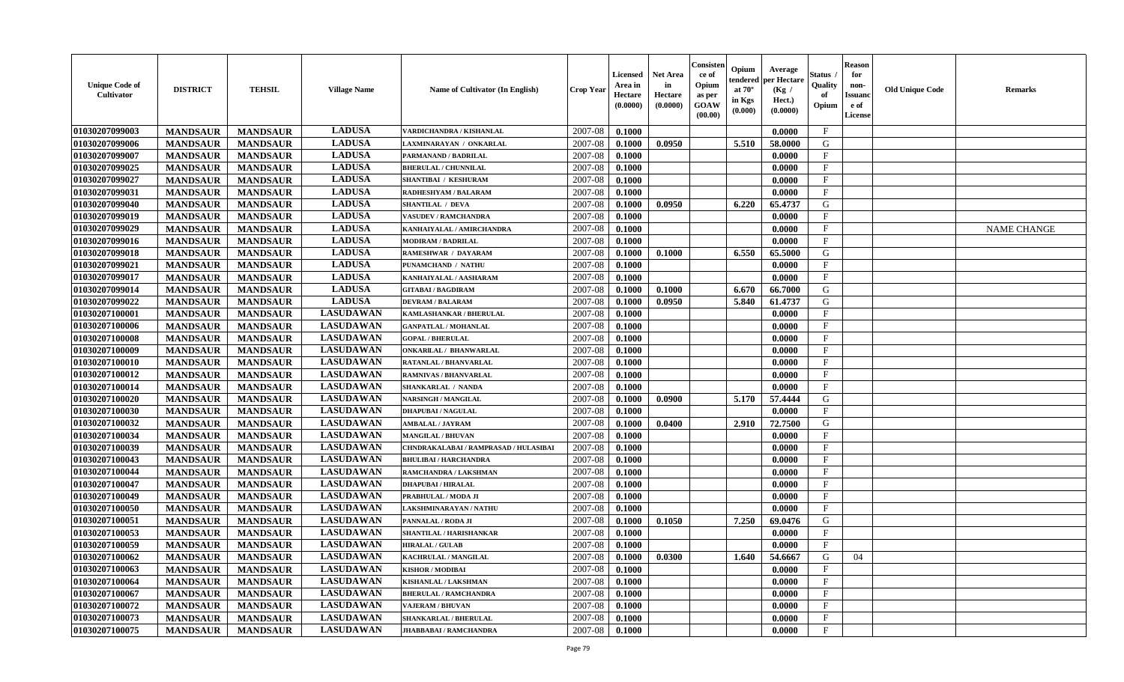| <b>Unique Code of</b><br>Cultivator | <b>DISTRICT</b> | <b>TEHSIL</b>   | <b>Village Name</b> | Name of Cultivator (In English)       | <b>Crop Year</b> | <b>Licensed</b><br>Area in<br>Hectare<br>(0.0000) | <b>Net Area</b><br>in<br>Hectare<br>(0.0000) | Consister<br>ce of<br>Opium<br>as per<br>GOAW<br>(00.00) | Opium<br>endered<br>at $70^\circ$<br>in Kgs<br>$(\mathbf{0.000})$ | Average<br>per Hectare<br>(Kg /<br>Hect.)<br>(0.0000) | Status<br>Quality<br>of<br>Opium | <b>Reason</b><br>for<br>non-<br>Issuan<br>e of<br>License | <b>Old Unique Code</b> | Remarks            |
|-------------------------------------|-----------------|-----------------|---------------------|---------------------------------------|------------------|---------------------------------------------------|----------------------------------------------|----------------------------------------------------------|-------------------------------------------------------------------|-------------------------------------------------------|----------------------------------|-----------------------------------------------------------|------------------------|--------------------|
| 01030207099003                      | <b>MANDSAUR</b> | <b>MANDSAUR</b> | <b>LADUSA</b>       | VARDICHANDRA / KISHANLAL              | 2007-08          | 0.1000                                            |                                              |                                                          |                                                                   | 0.0000                                                | $\mathbf{F}$                     |                                                           |                        |                    |
| 01030207099006                      | <b>MANDSAUR</b> | <b>MANDSAUR</b> | <b>LADUSA</b>       | LAXMINARAYAN / ONKARLAL               | 2007-08          | 0.1000                                            | 0.0950                                       |                                                          | 5.510                                                             | 58.0000                                               | G                                |                                                           |                        |                    |
| 01030207099007                      | <b>MANDSAUR</b> | <b>MANDSAUR</b> | <b>LADUSA</b>       | PARMANAND / BADRILAL                  | 2007-08          | 0.1000                                            |                                              |                                                          |                                                                   | 0.0000                                                | F                                |                                                           |                        |                    |
| 01030207099025                      | <b>MANDSAUR</b> | <b>MANDSAUR</b> | <b>LADUSA</b>       | <b>BHERULAL / CHUNNILAL</b>           | 2007-08          | 0.1000                                            |                                              |                                                          |                                                                   | 0.0000                                                | $\mathbf{F}$                     |                                                           |                        |                    |
| 01030207099027                      | <b>MANDSAUR</b> | <b>MANDSAUR</b> | <b>LADUSA</b>       | <b>SHANTIBAI / KESHURAM</b>           | 2007-08          | 0.1000                                            |                                              |                                                          |                                                                   | 0.0000                                                | $\mathbf{F}$                     |                                                           |                        |                    |
| 01030207099031                      | <b>MANDSAUR</b> | <b>MANDSAUR</b> | <b>LADUSA</b>       | <b>RADHESHYAM / BALARAM</b>           | 2007-08          | 0.1000                                            |                                              |                                                          |                                                                   | 0.0000                                                | $\mathbf{F}$                     |                                                           |                        |                    |
| 01030207099040                      | <b>MANDSAUR</b> | <b>MANDSAUR</b> | <b>LADUSA</b>       | <b>SHANTILAL / DEVA</b>               | 2007-08          | 0.1000                                            | 0.0950                                       |                                                          | 6.220                                                             | 65.4737                                               | G                                |                                                           |                        |                    |
| 01030207099019                      | <b>MANDSAUR</b> | <b>MANDSAUR</b> | <b>LADUSA</b>       | <b>VASUDEV / RAMCHANDRA</b>           | 2007-08          | 0.1000                                            |                                              |                                                          |                                                                   | 0.0000                                                | $\mathbf{F}$                     |                                                           |                        |                    |
| 01030207099029                      | <b>MANDSAUR</b> | <b>MANDSAUR</b> | <b>LADUSA</b>       | KANHAIYALAL / AMIRCHANDRA             | 2007-08          | 0.1000                                            |                                              |                                                          |                                                                   | 0.0000                                                | $\mathbf{F}$                     |                                                           |                        | <b>NAME CHANGE</b> |
| 01030207099016                      | <b>MANDSAUR</b> | <b>MANDSAUR</b> | <b>LADUSA</b>       | <b>MODIRAM / BADRILAL</b>             | 2007-08          | 0.1000                                            |                                              |                                                          |                                                                   | 0.0000                                                | $\mathbf{F}$                     |                                                           |                        |                    |
| 01030207099018                      | <b>MANDSAUR</b> | <b>MANDSAUR</b> | <b>LADUSA</b>       | <b>RAMESHWAR / DAYARAM</b>            | 2007-08          | 0.1000                                            | 0.1000                                       |                                                          | 6.550                                                             | 65.5000                                               | G                                |                                                           |                        |                    |
| 01030207099021                      | <b>MANDSAUR</b> | <b>MANDSAUR</b> | <b>LADUSA</b>       | PUNAMCHAND / NATHU                    | 2007-08          | 0.1000                                            |                                              |                                                          |                                                                   | 0.0000                                                | $\mathbf{F}$                     |                                                           |                        |                    |
| 01030207099017                      | <b>MANDSAUR</b> | <b>MANDSAUR</b> | <b>LADUSA</b>       | KANHAIYALAL / AASHARAM                | 2007-08          | 0.1000                                            |                                              |                                                          |                                                                   | 0.0000                                                | $\mathbf{F}$                     |                                                           |                        |                    |
| 01030207099014                      | <b>MANDSAUR</b> | <b>MANDSAUR</b> | <b>LADUSA</b>       | <b>GITABAI/BAGDIRAM</b>               | 2007-08          | 0.1000                                            | 0.1000                                       |                                                          | 6.670                                                             | 66.7000                                               | G                                |                                                           |                        |                    |
| 01030207099022                      | <b>MANDSAUR</b> | <b>MANDSAUR</b> | <b>LADUSA</b>       | <b>DEVRAM / BALARAM</b>               | 2007-08          | 0.1000                                            | 0.0950                                       |                                                          | 5.840                                                             | 61.4737                                               | G                                |                                                           |                        |                    |
| 01030207100001                      | <b>MANDSAUR</b> | <b>MANDSAUR</b> | <b>LASUDAWAN</b>    | KAMLASHANKAR / BHERULAL               | 2007-08          | 0.1000                                            |                                              |                                                          |                                                                   | 0.0000                                                | $\mathbf{F}$                     |                                                           |                        |                    |
| 01030207100006                      | <b>MANDSAUR</b> | <b>MANDSAUR</b> | <b>LASUDAWAN</b>    | <b>GANPATLAL / MOHANLAL</b>           | 2007-08          | 0.1000                                            |                                              |                                                          |                                                                   | 0.0000                                                | $\mathbf{F}$                     |                                                           |                        |                    |
| 01030207100008                      | <b>MANDSAUR</b> | <b>MANDSAUR</b> | <b>LASUDAWAN</b>    | <b>GOPAL / BHERULAL</b>               | 2007-08          | 0.1000                                            |                                              |                                                          |                                                                   | 0.0000                                                | $\mathbf{F}$                     |                                                           |                        |                    |
| 01030207100009                      | <b>MANDSAUR</b> | <b>MANDSAUR</b> | <b>LASUDAWAN</b>    | <b>ONKARILAL / BHANWARLAL</b>         | 2007-08          | 0.1000                                            |                                              |                                                          |                                                                   | 0.0000                                                | $\mathbf{F}$                     |                                                           |                        |                    |
| 01030207100010                      | <b>MANDSAUR</b> | <b>MANDSAUR</b> | <b>LASUDAWAN</b>    | <b>RATANLAL / BHANVARLAL</b>          | 2007-08          | 0.1000                                            |                                              |                                                          |                                                                   | 0.0000                                                | $_{\rm F}$                       |                                                           |                        |                    |
| 01030207100012                      | <b>MANDSAUR</b> | <b>MANDSAUR</b> | <b>LASUDAWAN</b>    | RAMNIVAS / BHANVARLAL                 | 2007-08          | 0.1000                                            |                                              |                                                          |                                                                   | 0.0000                                                | $\mathbf{F}$                     |                                                           |                        |                    |
| 01030207100014                      | <b>MANDSAUR</b> | <b>MANDSAUR</b> | <b>LASUDAWAN</b>    | <b>SHANKARLAL / NANDA</b>             | 2007-08          | 0.1000                                            |                                              |                                                          |                                                                   | 0.0000                                                | $\mathbf{F}$                     |                                                           |                        |                    |
| 01030207100020                      | <b>MANDSAUR</b> | <b>MANDSAUR</b> | <b>LASUDAWAN</b>    | <b>NARSINGH / MANGILAL</b>            | 2007-08          | 0.1000                                            | 0.0900                                       |                                                          | 5.170                                                             | 57.4444                                               | G                                |                                                           |                        |                    |
| 01030207100030                      | <b>MANDSAUR</b> | <b>MANDSAUR</b> | <b>LASUDAWAN</b>    | <b>DHAPUBAI/NAGULAL</b>               | 2007-08          | 0.1000                                            |                                              |                                                          |                                                                   | 0.0000                                                | $\mathbf{F}$                     |                                                           |                        |                    |
| 01030207100032                      | <b>MANDSAUR</b> | <b>MANDSAUR</b> | <b>LASUDAWAN</b>    | <b>AMBALAL / JAYRAM</b>               | 2007-08          | 0.1000                                            | 0.0400                                       |                                                          | 2.910                                                             | 72.7500                                               | G                                |                                                           |                        |                    |
| 01030207100034                      | <b>MANDSAUR</b> | <b>MANDSAUR</b> | <b>LASUDAWAN</b>    | <b>MANGILAL / BHUVAN</b>              | 2007-08          | 0.1000                                            |                                              |                                                          |                                                                   | 0.0000                                                | $\mathbf{F}$                     |                                                           |                        |                    |
| 01030207100039                      | <b>MANDSAUR</b> | <b>MANDSAUR</b> | <b>LASUDAWAN</b>    | CHNDRAKALABAI / RAMPRASAD / HULASIBAI | 2007-08          | 0.1000                                            |                                              |                                                          |                                                                   | 0.0000                                                | $\mathbf{F}$                     |                                                           |                        |                    |
| 01030207100043                      | <b>MANDSAUR</b> | <b>MANDSAUR</b> | <b>LASUDAWAN</b>    | <b>BHULIBAI / HARCHANDRA</b>          | 2007-08          | 0.1000                                            |                                              |                                                          |                                                                   | 0.0000                                                | $\mathbf{F}$                     |                                                           |                        |                    |
| 01030207100044                      | <b>MANDSAUR</b> | <b>MANDSAUR</b> | <b>LASUDAWAN</b>    | RAMCHANDRA / LAKSHMAN                 | 2007-08          | 0.1000                                            |                                              |                                                          |                                                                   | 0.0000                                                | $\mathbf{F}$                     |                                                           |                        |                    |
| 01030207100047                      | <b>MANDSAUR</b> | <b>MANDSAUR</b> | <b>LASUDAWAN</b>    | <b>DHAPUBAI/HIRALAL</b>               | 2007-08          | 0.1000                                            |                                              |                                                          |                                                                   | 0.0000                                                | $\mathbf{F}$                     |                                                           |                        |                    |
| 01030207100049                      | <b>MANDSAUR</b> | <b>MANDSAUR</b> | <b>LASUDAWAN</b>    | PRABHULAL / MODA JI                   | 2007-08          | 0.1000                                            |                                              |                                                          |                                                                   | 0.0000                                                | $_{\rm F}$                       |                                                           |                        |                    |
| 01030207100050                      | <b>MANDSAUR</b> | <b>MANDSAUR</b> | <b>LASUDAWAN</b>    | LAKSHMINARAYAN / NATHU                | 2007-08          | 0.1000                                            |                                              |                                                          |                                                                   | 0.0000                                                | $\mathbf{F}$                     |                                                           |                        |                    |
| 01030207100051                      | <b>MANDSAUR</b> | <b>MANDSAUR</b> | <b>LASUDAWAN</b>    | PANNALAL / RODA JI                    | 2007-08          | 0.1000                                            | 0.1050                                       |                                                          | 7.250                                                             | 69.0476                                               | G                                |                                                           |                        |                    |
| 01030207100053                      | <b>MANDSAUR</b> | <b>MANDSAUR</b> | <b>LASUDAWAN</b>    | SHANTILAL / HARISHANKAR               | 2007-08          | 0.1000                                            |                                              |                                                          |                                                                   | 0.0000                                                | $\mathbf{F}$                     |                                                           |                        |                    |
| 01030207100059                      | <b>MANDSAUR</b> | <b>MANDSAUR</b> | <b>LASUDAWAN</b>    | <b>HIRALAL / GULAB</b>                | 2007-08          | 0.1000                                            |                                              |                                                          |                                                                   | 0.0000                                                | $\mathbf{F}$                     |                                                           |                        |                    |
| <b>01030207100062</b>               | <b>MANDSAUR</b> | <b>MANDSAUR</b> | <b>LASUDAWAN</b>    | KACHRULAL / MANGILAL                  | 2007-08          | 0.1000                                            | 0.0300                                       |                                                          | 1.640                                                             | 54.6667                                               | G                                | 04                                                        |                        |                    |
| 01030207100063                      | <b>MANDSAUR</b> | <b>MANDSAUR</b> | <b>LASUDAWAN</b>    | <b>KISHOR / MODIBAI</b>               | 2007-08          | 0.1000                                            |                                              |                                                          |                                                                   | 0.0000                                                | $\mathbf{F}$                     |                                                           |                        |                    |
| 01030207100064                      | <b>MANDSAUR</b> | <b>MANDSAUR</b> | <b>LASUDAWAN</b>    | KISHANLAL / LAKSHMAN                  | 2007-08          | 0.1000                                            |                                              |                                                          |                                                                   | 0.0000                                                | $\mathbf{F}$                     |                                                           |                        |                    |
| 01030207100067                      | <b>MANDSAUR</b> | <b>MANDSAUR</b> | <b>LASUDAWAN</b>    | <b>BHERULAL / RAMCHANDRA</b>          | 2007-08          | 0.1000                                            |                                              |                                                          |                                                                   | 0.0000                                                | $\mathbf{F}$                     |                                                           |                        |                    |
| 01030207100072                      | <b>MANDSAUR</b> | <b>MANDSAUR</b> | <b>LASUDAWAN</b>    | <b>VAJERAM / BHUVAN</b>               | 2007-08          | 0.1000                                            |                                              |                                                          |                                                                   | 0.0000                                                | $\mathbf{F}$                     |                                                           |                        |                    |
| 01030207100073                      | <b>MANDSAUR</b> | <b>MANDSAUR</b> | <b>LASUDAWAN</b>    | SHANKARLAL / BHERULAL                 | 2007-08          | 0.1000                                            |                                              |                                                          |                                                                   | 0.0000                                                | $\mathbf{F}$                     |                                                           |                        |                    |
| 01030207100075                      | <b>MANDSAUR</b> | <b>MANDSAUR</b> | <b>LASUDAWAN</b>    | JHABBABAI / RAMCHANDRA                | 2007-08          | 0.1000                                            |                                              |                                                          |                                                                   | 0.0000                                                | $\mathbf{F}$                     |                                                           |                        |                    |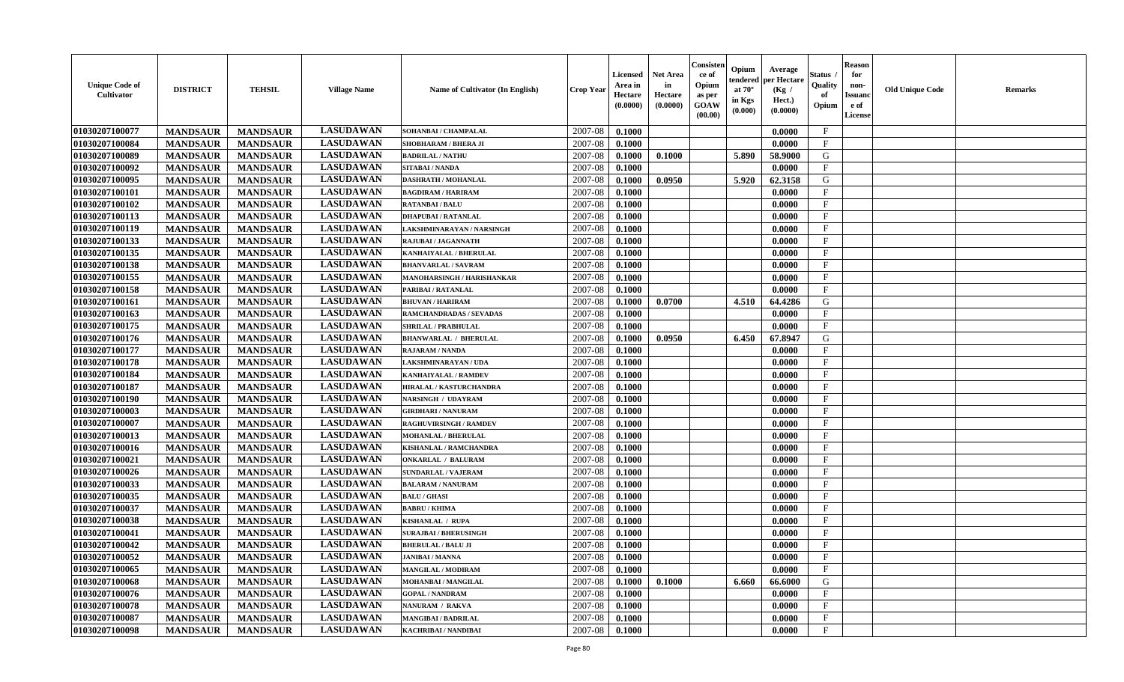| <b>Unique Code of</b><br><b>Cultivator</b> | <b>DISTRICT</b> | <b>TEHSIL</b>   | <b>Village Name</b> | Name of Cultivator (In English) | <b>Crop Year</b> | <b>Licensed</b><br>Area in<br>Hectare<br>(0.0000) | <b>Net Area</b><br>in<br>Hectare<br>(0.0000) | Consister<br>ce of<br>Opium<br>as per<br><b>GOAW</b><br>(00.00) | Opium<br>endered<br>at $70^\circ$<br>in Kgs<br>(0.000) | Average<br>per Hectare<br>(Kg /<br>Hect.)<br>(0.0000) | Status<br>Quality<br>of<br>Opium | <b>Reason</b><br>for<br>non-<br><b>Issuand</b><br>e of<br><b>License</b> | <b>Old Unique Code</b> | <b>Remarks</b> |
|--------------------------------------------|-----------------|-----------------|---------------------|---------------------------------|------------------|---------------------------------------------------|----------------------------------------------|-----------------------------------------------------------------|--------------------------------------------------------|-------------------------------------------------------|----------------------------------|--------------------------------------------------------------------------|------------------------|----------------|
| 01030207100077                             | <b>MANDSAUR</b> | <b>MANDSAUR</b> | <b>LASUDAWAN</b>    | SOHANBAI / CHAMPALAL            | 2007-08          | 0.1000                                            |                                              |                                                                 |                                                        | 0.0000                                                | $\mathbf{F}$                     |                                                                          |                        |                |
| 01030207100084                             | <b>MANDSAUR</b> | <b>MANDSAUR</b> | <b>LASUDAWAN</b>    | SHOBHARAM / BHERA JI            | 2007-08          | 0.1000                                            |                                              |                                                                 |                                                        | 0.0000                                                | $\mathbf F$                      |                                                                          |                        |                |
| 01030207100089                             | <b>MANDSAUR</b> | <b>MANDSAUR</b> | <b>LASUDAWAN</b>    | <b>BADRILAL / NATHU</b>         | 2007-08          | 0.1000                                            | 0.1000                                       |                                                                 | 5.890                                                  | 58.9000                                               | G                                |                                                                          |                        |                |
| 01030207100092                             | <b>MANDSAUR</b> | <b>MANDSAUR</b> | <b>LASUDAWAN</b>    | <b>SITABAI/NANDA</b>            | 2007-08          | 0.1000                                            |                                              |                                                                 |                                                        | 0.0000                                                | $\mathbf{F}$                     |                                                                          |                        |                |
| 01030207100095                             | <b>MANDSAUR</b> | <b>MANDSAUR</b> | <b>LASUDAWAN</b>    | <b>DASHRATH / MOHANLAL</b>      | 2007-08          | 0.1000                                            | 0.0950                                       |                                                                 | 5.920                                                  | 62.3158                                               | G                                |                                                                          |                        |                |
| 01030207100101                             | <b>MANDSAUR</b> | <b>MANDSAUR</b> | <b>LASUDAWAN</b>    | <b>BAGDIRAM / HARIRAM</b>       | 2007-08          | 0.1000                                            |                                              |                                                                 |                                                        | 0.0000                                                | $_{\rm F}$                       |                                                                          |                        |                |
| 01030207100102                             | <b>MANDSAUR</b> | <b>MANDSAUR</b> | <b>LASUDAWAN</b>    | <b>RATANBAI/BALU</b>            | 2007-08          | 0.1000                                            |                                              |                                                                 |                                                        | 0.0000                                                | $\mathbf{F}$                     |                                                                          |                        |                |
| 01030207100113                             | <b>MANDSAUR</b> | <b>MANDSAUR</b> | <b>LASUDAWAN</b>    | <b>DHAPUBAI/RATANLAL</b>        | 2007-08          | 0.1000                                            |                                              |                                                                 |                                                        | 0.0000                                                | $\mathbf{F}$                     |                                                                          |                        |                |
| 01030207100119                             | <b>MANDSAUR</b> | <b>MANDSAUR</b> | <b>LASUDAWAN</b>    | LAKSHMINARAYAN / NARSINGH       | 2007-08          | 0.1000                                            |                                              |                                                                 |                                                        | 0.0000                                                | $_{\rm F}$                       |                                                                          |                        |                |
| 01030207100133                             | <b>MANDSAUR</b> | <b>MANDSAUR</b> | <b>LASUDAWAN</b>    | RAJUBAI / JAGANNATH             | 2007-08          | 0.1000                                            |                                              |                                                                 |                                                        | 0.0000                                                | $\mathbf{F}$                     |                                                                          |                        |                |
| 01030207100135                             | <b>MANDSAUR</b> | <b>MANDSAUR</b> | <b>LASUDAWAN</b>    | <b>KANHAIYALAL / BHERULAL</b>   | 2007-08          | 0.1000                                            |                                              |                                                                 |                                                        | 0.0000                                                | $\mathbf{F}$                     |                                                                          |                        |                |
| 01030207100138                             | <b>MANDSAUR</b> | <b>MANDSAUR</b> | <b>LASUDAWAN</b>    | <b>BHANVARLAL / SAVRAM</b>      | 2007-08          | 0.1000                                            |                                              |                                                                 |                                                        | 0.0000                                                | $\mathbf{F}$                     |                                                                          |                        |                |
| 01030207100155                             | <b>MANDSAUR</b> | <b>MANDSAUR</b> | <b>LASUDAWAN</b>    | MANOHARSINGH / HARISHANKAR      | 2007-08          | 0.1000                                            |                                              |                                                                 |                                                        | 0.0000                                                | $\mathbf{F}$                     |                                                                          |                        |                |
| 01030207100158                             | <b>MANDSAUR</b> | <b>MANDSAUR</b> | <b>LASUDAWAN</b>    | PARIBAI / RATANLAL              | 2007-08          | 0.1000                                            |                                              |                                                                 |                                                        | 0.0000                                                | $_{\rm F}$                       |                                                                          |                        |                |
| 01030207100161                             | <b>MANDSAUR</b> | <b>MANDSAUR</b> | <b>LASUDAWAN</b>    | <b>BHUVAN / HARIRAM</b>         | 2007-08          | 0.1000                                            | 0.0700                                       |                                                                 | 4.510                                                  | 64.4286                                               | G                                |                                                                          |                        |                |
| 01030207100163                             | <b>MANDSAUR</b> | <b>MANDSAUR</b> | <b>LASUDAWAN</b>    | RAMCHANDRADAS / SEVADAS         | 2007-08          | 0.1000                                            |                                              |                                                                 |                                                        | 0.0000                                                | $\rm F$                          |                                                                          |                        |                |
| 01030207100175                             | <b>MANDSAUR</b> | <b>MANDSAUR</b> | <b>LASUDAWAN</b>    | <b>SHRILAL / PRABHULAL</b>      | 2007-08          | 0.1000                                            |                                              |                                                                 |                                                        | 0.0000                                                | $\mathbf{F}$                     |                                                                          |                        |                |
| 01030207100176                             | <b>MANDSAUR</b> | <b>MANDSAUR</b> | <b>LASUDAWAN</b>    | <b>BHANWARLAL / BHERULAL</b>    | 2007-08          | 0.1000                                            | 0.0950                                       |                                                                 | 6.450                                                  | 67.8947                                               | G                                |                                                                          |                        |                |
| 01030207100177                             | <b>MANDSAUR</b> | <b>MANDSAUR</b> | <b>LASUDAWAN</b>    | <b>RAJARAM / NANDA</b>          | 2007-08          | 0.1000                                            |                                              |                                                                 |                                                        | 0.0000                                                | F                                |                                                                          |                        |                |
| 01030207100178                             | <b>MANDSAUR</b> | <b>MANDSAUR</b> | <b>LASUDAWAN</b>    | <b>LAKSHMINARAYAN / UDA</b>     | 2007-08          | 0.1000                                            |                                              |                                                                 |                                                        | 0.0000                                                | $\mathbf{F}$                     |                                                                          |                        |                |
| 01030207100184                             | <b>MANDSAUR</b> | <b>MANDSAUR</b> | <b>LASUDAWAN</b>    | KANHAIYALAL / RAMDEV            | 2007-08          | 0.1000                                            |                                              |                                                                 |                                                        | 0.0000                                                | $\mathbf{F}$                     |                                                                          |                        |                |
| 01030207100187                             | <b>MANDSAUR</b> | <b>MANDSAUR</b> | <b>LASUDAWAN</b>    | HIRALAL / KASTURCHANDRA         | 2007-08          | 0.1000                                            |                                              |                                                                 |                                                        | 0.0000                                                | $_{\rm F}$                       |                                                                          |                        |                |
| 01030207100190                             | <b>MANDSAUR</b> | <b>MANDSAUR</b> | <b>LASUDAWAN</b>    | NARSINGH / UDAYRAM              | 2007-08          | 0.1000                                            |                                              |                                                                 |                                                        | 0.0000                                                | $\mathbf{F}$                     |                                                                          |                        |                |
| 01030207100003                             | <b>MANDSAUR</b> | <b>MANDSAUR</b> | <b>LASUDAWAN</b>    | <b>GIRDHARI / NANURAM</b>       | 2007-08          | 0.1000                                            |                                              |                                                                 |                                                        | 0.0000                                                | $\mathbf{F}$                     |                                                                          |                        |                |
| 01030207100007                             | <b>MANDSAUR</b> | <b>MANDSAUR</b> | <b>LASUDAWAN</b>    | <b>RAGHUVIRSINGH / RAMDEV</b>   | 2007-08          | 0.1000                                            |                                              |                                                                 |                                                        | 0.0000                                                | $\mathbf{F}$                     |                                                                          |                        |                |
| 01030207100013                             | <b>MANDSAUR</b> | <b>MANDSAUR</b> | <b>LASUDAWAN</b>    | <b>MOHANLAL / BHERULAL</b>      | 2007-08          | 0.1000                                            |                                              |                                                                 |                                                        | 0.0000                                                | $\mathbf{F}$                     |                                                                          |                        |                |
| 01030207100016                             | <b>MANDSAUR</b> | <b>MANDSAUR</b> | <b>LASUDAWAN</b>    | <b>KISHANLAL / RAMCHANDRA</b>   | 2007-08          | 0.1000                                            |                                              |                                                                 |                                                        | 0.0000                                                | F                                |                                                                          |                        |                |
| 01030207100021                             | <b>MANDSAUR</b> | <b>MANDSAUR</b> | <b>LASUDAWAN</b>    | <b>ONKARLAL / BALURAM</b>       | 2007-08          | 0.1000                                            |                                              |                                                                 |                                                        | 0.0000                                                | $_{\rm F}$                       |                                                                          |                        |                |
| 01030207100026                             | <b>MANDSAUR</b> | <b>MANDSAUR</b> | <b>LASUDAWAN</b>    | <b>SUNDARLAL / VAJERAM</b>      | 2007-08          | 0.1000                                            |                                              |                                                                 |                                                        | 0.0000                                                | $\rm F$                          |                                                                          |                        |                |
| 01030207100033                             | <b>MANDSAUR</b> | <b>MANDSAUR</b> | <b>LASUDAWAN</b>    | <b>BALARAM / NANURAM</b>        | 2007-08          | 0.1000                                            |                                              |                                                                 |                                                        | 0.0000                                                | $\mathbf{F}$                     |                                                                          |                        |                |
| 01030207100035                             | <b>MANDSAUR</b> | <b>MANDSAUR</b> | <b>LASUDAWAN</b>    | <b>BALU / GHASI</b>             | 2007-08          | 0.1000                                            |                                              |                                                                 |                                                        | 0.0000                                                | F                                |                                                                          |                        |                |
| 01030207100037                             | <b>MANDSAUR</b> | <b>MANDSAUR</b> | <b>LASUDAWAN</b>    | <b>BABRU / KHIMA</b>            | 2007-08          | 0.1000                                            |                                              |                                                                 |                                                        | 0.0000                                                | $\mathbf{F}$                     |                                                                          |                        |                |
| 01030207100038                             | <b>MANDSAUR</b> | <b>MANDSAUR</b> | <b>LASUDAWAN</b>    | KISHANLAL / RUPA                | 2007-08          | 0.1000                                            |                                              |                                                                 |                                                        | 0.0000                                                | $\mathbf{F}$                     |                                                                          |                        |                |
| 01030207100041                             | <b>MANDSAUR</b> | <b>MANDSAUR</b> | <b>LASUDAWAN</b>    | <b>SURAJBAI / BHERUSINGH</b>    | 2007-08          | 0.1000                                            |                                              |                                                                 |                                                        | 0.0000                                                | $\mathbf{F}$                     |                                                                          |                        |                |
| 01030207100042                             | <b>MANDSAUR</b> | <b>MANDSAUR</b> | <b>LASUDAWAN</b>    | <b>BHERULAL / BALU JI</b>       | 2007-08          | 0.1000                                            |                                              |                                                                 |                                                        | 0.0000                                                | $\mathbf{F}$                     |                                                                          |                        |                |
| 01030207100052                             | <b>MANDSAUR</b> | <b>MANDSAUR</b> | <b>LASUDAWAN</b>    | <b>JANIBAI / MANNA</b>          | 2007-08          | 0.1000                                            |                                              |                                                                 |                                                        | 0.0000                                                | $\mathbf{F}$                     |                                                                          |                        |                |
| 01030207100065                             | <b>MANDSAUR</b> | <b>MANDSAUR</b> | <b>LASUDAWAN</b>    | <b>MANGILAL / MODIRAM</b>       | 2007-08          | 0.1000                                            |                                              |                                                                 |                                                        | 0.0000                                                | $\mathbf{F}$                     |                                                                          |                        |                |
| 01030207100068                             | <b>MANDSAUR</b> | <b>MANDSAUR</b> | <b>LASUDAWAN</b>    | MOHANBAI / MANGILAL             | 2007-08          | 0.1000                                            | 0.1000                                       |                                                                 | 6.660                                                  | 66.6000                                               | G                                |                                                                          |                        |                |
| 01030207100076                             | <b>MANDSAUR</b> | <b>MANDSAUR</b> | <b>LASUDAWAN</b>    | <b>GOPAL / NANDRAM</b>          | 2007-08          | 0.1000                                            |                                              |                                                                 |                                                        | 0.0000                                                | $\mathbf{F}$                     |                                                                          |                        |                |
| 01030207100078                             | <b>MANDSAUR</b> | <b>MANDSAUR</b> | <b>LASUDAWAN</b>    | NANURAM / RAKVA                 | 2007-08          | 0.1000                                            |                                              |                                                                 |                                                        | 0.0000                                                | F                                |                                                                          |                        |                |
| 01030207100087                             | <b>MANDSAUR</b> | <b>MANDSAUR</b> | <b>LASUDAWAN</b>    | <b>MANGIBAI/BADRILAL</b>        | 2007-08          | 0.1000                                            |                                              |                                                                 |                                                        | 0.0000                                                | $\mathbf{F}$                     |                                                                          |                        |                |
| 01030207100098                             | <b>MANDSAUR</b> | <b>MANDSAUR</b> | <b>LASUDAWAN</b>    | <b>KACHRIBAI/NANDIBAI</b>       | 2007-08          | 0.1000                                            |                                              |                                                                 |                                                        | 0.0000                                                | $\mathbf{F}$                     |                                                                          |                        |                |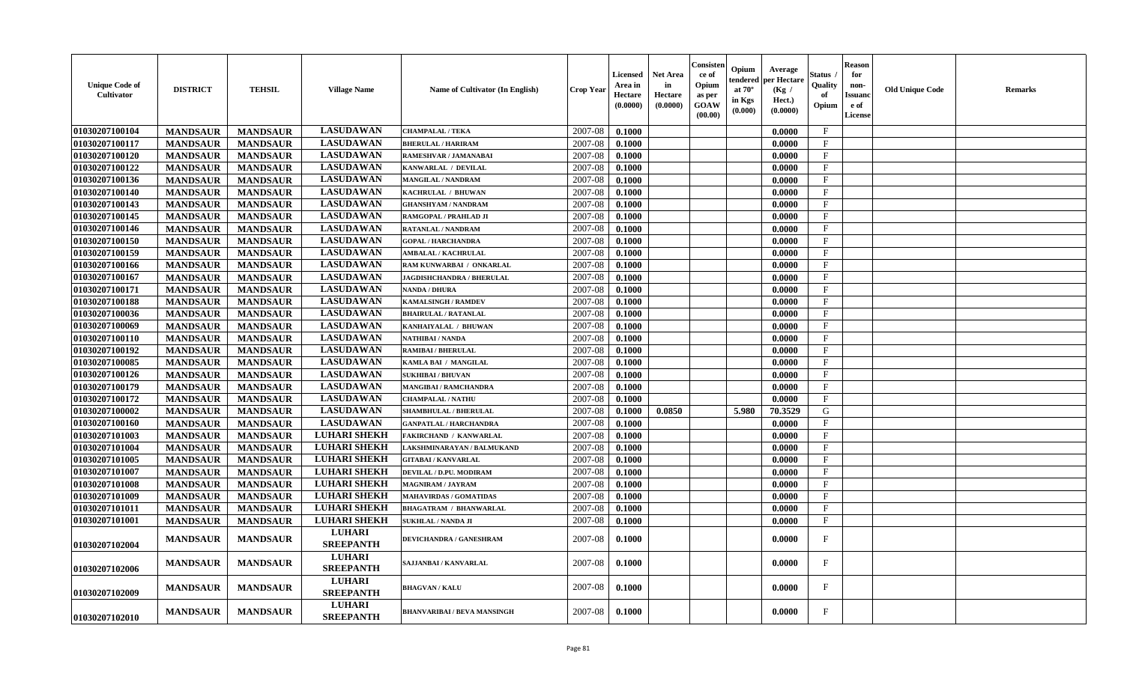| <b>Unique Code of</b><br>Cultivator | <b>DISTRICT</b> | <b>TEHSIL</b>   | <b>Village Name</b>               | Name of Cultivator (In English)  | <b>Crop Year</b> | <b>Licensed</b><br>Area in<br>Hectare<br>(0.0000) | <b>Net Area</b><br>in<br>Hectare<br>(0.0000) | Consister<br>-ce of<br>Opium<br>as per<br>GOAW<br>(00.00) | Opium<br>Average<br>er Hectare<br>endered<br>at $70^\circ$<br>(Kg /<br>in Kgs<br>Hect.)<br>(0.0000)<br>(0.000) | Status<br>Quality<br>of<br>Opium | Reason<br>for<br>non-<br>Issuanc<br>e of<br><b>License</b> | <b>Old Unique Code</b> | Remarks |
|-------------------------------------|-----------------|-----------------|-----------------------------------|----------------------------------|------------------|---------------------------------------------------|----------------------------------------------|-----------------------------------------------------------|----------------------------------------------------------------------------------------------------------------|----------------------------------|------------------------------------------------------------|------------------------|---------|
| 01030207100104                      | <b>MANDSAUR</b> | <b>MANDSAUR</b> | <b>LASUDAWAN</b>                  | <b>CHAMPALAL / TEKA</b>          | 2007-08          | 0.1000                                            |                                              |                                                           | 0.0000                                                                                                         | $\mathbf{F}$                     |                                                            |                        |         |
| 01030207100117                      | <b>MANDSAUR</b> | <b>MANDSAUR</b> | <b>LASUDAWAN</b>                  | <b>BHERULAL / HARIRAM</b>        | 2007-08          | 0.1000                                            |                                              |                                                           | 0.0000                                                                                                         | $\mathbf{F}$                     |                                                            |                        |         |
| 01030207100120                      | <b>MANDSAUR</b> | <b>MANDSAUR</b> | <b>LASUDAWAN</b>                  | RAMESHVAR / JAMANABAI            | 2007-08          | 0.1000                                            |                                              |                                                           | 0.0000                                                                                                         | $_{\rm F}$                       |                                                            |                        |         |
| 01030207100122                      | <b>MANDSAUR</b> | <b>MANDSAUR</b> | <b>LASUDAWAN</b>                  | KANWARLAL / DEVILAL              | 2007-08          | 0.1000                                            |                                              |                                                           | 0.0000                                                                                                         | $\mathbf{F}$                     |                                                            |                        |         |
| 01030207100136                      | <b>MANDSAUR</b> | <b>MANDSAUR</b> | <b>LASUDAWAN</b>                  | <b>MANGILAL / NANDRAM</b>        | 2007-08          | 0.1000                                            |                                              |                                                           | 0.0000                                                                                                         | $\mathbf{F}$                     |                                                            |                        |         |
| 01030207100140                      | <b>MANDSAUR</b> | <b>MANDSAUR</b> | <b>LASUDAWAN</b>                  | KACHRULAL / BHUWAN               | 2007-08          | 0.1000                                            |                                              |                                                           | 0.0000                                                                                                         | $\mathbf{F}$                     |                                                            |                        |         |
| 01030207100143                      | <b>MANDSAUR</b> | <b>MANDSAUR</b> | <b>LASUDAWAN</b>                  | <b>GHANSHYAM / NANDRAM</b>       | 2007-08          | 0.1000                                            |                                              |                                                           | 0.0000                                                                                                         | $_{\rm F}$                       |                                                            |                        |         |
| 01030207100145                      | <b>MANDSAUR</b> | <b>MANDSAUR</b> | <b>LASUDAWAN</b>                  | RAMGOPAL / PRAHLAD JI            | 2007-08          | 0.1000                                            |                                              |                                                           | 0.0000                                                                                                         | $\rm F$                          |                                                            |                        |         |
| 01030207100146                      | <b>MANDSAUR</b> | <b>MANDSAUR</b> | <b>LASUDAWAN</b>                  | <b>RATANLAL / NANDRAM</b>        | 2007-08          | 0.1000                                            |                                              |                                                           | 0.0000                                                                                                         | $\mathbf{F}$                     |                                                            |                        |         |
| 01030207100150                      | <b>MANDSAUR</b> | <b>MANDSAUR</b> | <b>LASUDAWAN</b>                  | <b>GOPAL / HARCHANDRA</b>        | 2007-08          | 0.1000                                            |                                              |                                                           | 0.0000                                                                                                         | $\mathbf{F}$                     |                                                            |                        |         |
| 01030207100159                      | <b>MANDSAUR</b> | <b>MANDSAUR</b> | <b>LASUDAWAN</b>                  | <b>AMBALAL / KACHRULAL</b>       | 2007-08          | 0.1000                                            |                                              |                                                           | 0.0000                                                                                                         | $_{\rm F}$                       |                                                            |                        |         |
| 01030207100166                      | <b>MANDSAUR</b> | <b>MANDSAUR</b> | <b>LASUDAWAN</b>                  | RAM KUNWARBAI / ONKARLAL         | 2007-08          | 0.1000                                            |                                              |                                                           | 0.0000                                                                                                         | $\mathbf{F}$                     |                                                            |                        |         |
| 01030207100167                      | <b>MANDSAUR</b> | <b>MANDSAUR</b> | <b>LASUDAWAN</b>                  | <b>JAGDISHCHANDRA / BHERULAL</b> | 2007-08          | 0.1000                                            |                                              |                                                           | 0.0000                                                                                                         | $\mathbf{F}$                     |                                                            |                        |         |
| 01030207100171                      | <b>MANDSAUR</b> | <b>MANDSAUR</b> | <b>LASUDAWAN</b>                  | <b>NANDA / DHURA</b>             | 2007-08          | 0.1000                                            |                                              |                                                           | 0.0000                                                                                                         | $\mathbf{F}$                     |                                                            |                        |         |
| 01030207100188                      | <b>MANDSAUR</b> | <b>MANDSAUR</b> | <b>LASUDAWAN</b>                  | <b>KAMALSINGH / RAMDEV</b>       | 2007-08          | 0.1000                                            |                                              |                                                           | 0.0000                                                                                                         | $\mathbf{F}$                     |                                                            |                        |         |
| 01030207100036                      | <b>MANDSAUR</b> | <b>MANDSAUR</b> | <b>LASUDAWAN</b>                  | <b>BHAIRULAL / RATANLAL</b>      | 2007-08          | 0.1000                                            |                                              |                                                           | 0.0000                                                                                                         | $\mathbf{F}$                     |                                                            |                        |         |
| 01030207100069                      | <b>MANDSAUR</b> | <b>MANDSAUR</b> | <b>LASUDAWAN</b>                  | KANHAIYALAL / BHUWAN             | 2007-08          | 0.1000                                            |                                              |                                                           | 0.0000                                                                                                         | $\mathbf{F}$                     |                                                            |                        |         |
| 01030207100110                      | <b>MANDSAUR</b> | <b>MANDSAUR</b> | <b>LASUDAWAN</b>                  | NATHIBAI / NANDA                 | 2007-08          | 0.1000                                            |                                              |                                                           | 0.0000                                                                                                         | $\mathbf{F}$                     |                                                            |                        |         |
| 01030207100192                      | <b>MANDSAUR</b> | <b>MANDSAUR</b> | <b>LASUDAWAN</b>                  | <b>RAMIBAI / BHERULAL</b>        | 2007-08          | 0.1000                                            |                                              |                                                           | 0.0000                                                                                                         | $\rm F$                          |                                                            |                        |         |
| 01030207100085                      | <b>MANDSAUR</b> | <b>MANDSAUR</b> | <b>LASUDAWAN</b>                  | KAMLA BAI / MANGILAL             | 2007-08          | 0.1000                                            |                                              |                                                           | 0.0000                                                                                                         | $_{\rm F}$                       |                                                            |                        |         |
| 01030207100126                      | <b>MANDSAUR</b> | <b>MANDSAUR</b> | <b>LASUDAWAN</b>                  | <b>SUKHIBAI / BHUVAN</b>         | 2007-08          | 0.1000                                            |                                              |                                                           | 0.0000                                                                                                         | $\mathbf{F}$                     |                                                            |                        |         |
| 01030207100179                      | <b>MANDSAUR</b> | <b>MANDSAUR</b> | <b>LASUDAWAN</b>                  | <b>MANGIBAI/RAMCHANDRA</b>       | 2007-08          | 0.1000                                            |                                              |                                                           | 0.0000                                                                                                         | $\rm F$                          |                                                            |                        |         |
| 01030207100172                      | <b>MANDSAUR</b> | <b>MANDSAUR</b> | <b>LASUDAWAN</b>                  | <b>CHAMPALAL / NATHU</b>         | 2007-08          | 0.1000                                            |                                              |                                                           | 0.0000                                                                                                         | $_{\rm F}$                       |                                                            |                        |         |
| 01030207100002                      | <b>MANDSAUR</b> | <b>MANDSAUR</b> | <b>LASUDAWAN</b>                  | SHAMBHULAL / BHERULAL            | 2007-08          | 0.1000                                            | 0.0850                                       |                                                           | 5.980<br>70.3529                                                                                               | ${\bf G}$                        |                                                            |                        |         |
| 01030207100160                      | <b>MANDSAUR</b> | <b>MANDSAUR</b> | <b>LASUDAWAN</b>                  | <b>GANPATLAL / HARCHANDRA</b>    | 2007-08          | 0.1000                                            |                                              |                                                           | 0.0000                                                                                                         | $\mathbf{F}$                     |                                                            |                        |         |
| 01030207101003                      | <b>MANDSAUR</b> | <b>MANDSAUR</b> | <b>LUHARI SHEKH</b>               | <b>FAKIRCHAND / KANWARLAL</b>    | 2007-08          | 0.1000                                            |                                              |                                                           | 0.0000                                                                                                         | $_{\rm F}$                       |                                                            |                        |         |
| 01030207101004                      | <b>MANDSAUR</b> | <b>MANDSAUR</b> | <b>LUHARI SHEKH</b>               | LAKSHMINARAYAN / BALMUKAND       | 2007-08          | 0.1000                                            |                                              |                                                           | 0.0000                                                                                                         | $\mathbf F$                      |                                                            |                        |         |
| 01030207101005                      | <b>MANDSAUR</b> | <b>MANDSAUR</b> | <b>LUHARI SHEKH</b>               | <b>GITABAI/KANVARLAL</b>         | 2007-08          | 0.1000                                            |                                              |                                                           | 0.0000                                                                                                         | $_{\rm F}$                       |                                                            |                        |         |
| 01030207101007                      | <b>MANDSAUR</b> | <b>MANDSAUR</b> | <b>LUHARI SHEKH</b>               | DEVILAL / D.PU. MODIRAM          | 2007-08          | 0.1000                                            |                                              |                                                           | 0.0000                                                                                                         | $\mathbf{F}$                     |                                                            |                        |         |
| 01030207101008                      | <b>MANDSAUR</b> | <b>MANDSAUR</b> | <b>LUHARI SHEKH</b>               | MAGNIRAM / JAYRAM                | 2007-08          | 0.1000                                            |                                              |                                                           | 0.0000                                                                                                         | $_{\rm F}$                       |                                                            |                        |         |
| 01030207101009                      | <b>MANDSAUR</b> | <b>MANDSAUR</b> | <b>LUHARI SHEKH</b>               | <b>MAHAVIRDAS / GOMATIDAS</b>    | 2007-08          | 0.1000                                            |                                              |                                                           | 0.0000                                                                                                         | $_{\rm F}$                       |                                                            |                        |         |
| 01030207101011                      | <b>MANDSAUR</b> | <b>MANDSAUR</b> | <b>LUHARI SHEKH</b>               | <b>BHAGATRAM / BHANWARLAL</b>    | 2007-08          | 0.1000                                            |                                              |                                                           | 0.0000                                                                                                         | $\mathbf{F}$                     |                                                            |                        |         |
| 01030207101001                      | <b>MANDSAUR</b> | <b>MANDSAUR</b> | <b>LUHARI SHEKH</b>               | <b>SUKHLAL / NANDA JI</b>        | 2007-08          | 0.1000                                            |                                              |                                                           | 0.0000                                                                                                         | $\mathbf F$                      |                                                            |                        |         |
| 01030207102004                      | <b>MANDSAUR</b> | <b>MANDSAUR</b> | <b>LUHARI</b><br><b>SREEPANTH</b> | DEVICHANDRA / GANESHRAM          | 2007-08          | 0.1000                                            |                                              |                                                           | 0.0000                                                                                                         | $\mathbf{F}$                     |                                                            |                        |         |
| 01030207102006                      | <b>MANDSAUR</b> | <b>MANDSAUR</b> | <b>LUHARI</b><br><b>SREEPANTH</b> | SAJJANBAI / KANVARLAL            | 2007-08          | 0.1000                                            |                                              |                                                           | 0.0000                                                                                                         | F                                |                                                            |                        |         |
| 01030207102009                      | <b>MANDSAUR</b> | <b>MANDSAUR</b> | <b>LUHARI</b><br><b>SREEPANTH</b> | <b>BHAGVAN / KALU</b>            | 2007-08          | 0.1000                                            |                                              |                                                           | 0.0000                                                                                                         | $\mathbf{F}$                     |                                                            |                        |         |
| 01030207102010                      | <b>MANDSAUR</b> | <b>MANDSAUR</b> | <b>LUHARI</b><br><b>SREEPANTH</b> | BHANVARIBAI / BEVA MANSINGH      | 2007-08          | 0.1000                                            |                                              |                                                           | 0.0000                                                                                                         | F                                |                                                            |                        |         |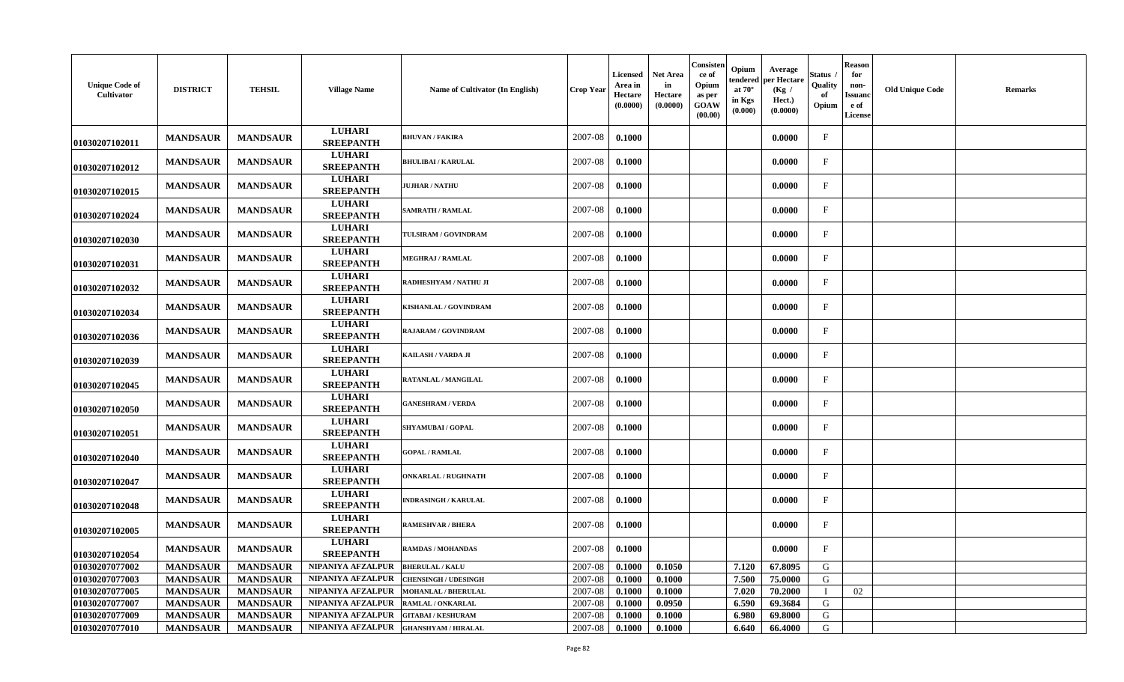| <b>Unique Code of</b><br><b>Cultivator</b> | <b>DISTRICT</b> | <b>TEHSIL</b>   | <b>Village Name</b>               | Name of Cultivator (In English) | <b>Crop Year</b> | Licensed<br>Area in<br>Hectare<br>(0.0000) | <b>Net Area</b><br>in<br>Hectare<br>(0.0000) | Consisten<br>ce of<br>Opium<br>as per<br>GOAW<br>(00.00) | Opium<br>tendered<br>at $70^{\circ}$<br>in Kgs<br>(0.000) | Average<br>per Hectare<br>(Kg /<br>Hect.)<br>(0.0000) | Status<br>Quality<br>of<br>Opium | <b>Reason</b><br>for<br>non-<br>Issuand<br>e of<br>License | <b>Old Unique Code</b> | <b>Remarks</b> |
|--------------------------------------------|-----------------|-----------------|-----------------------------------|---------------------------------|------------------|--------------------------------------------|----------------------------------------------|----------------------------------------------------------|-----------------------------------------------------------|-------------------------------------------------------|----------------------------------|------------------------------------------------------------|------------------------|----------------|
| 01030207102011                             | <b>MANDSAUR</b> | <b>MANDSAUR</b> | <b>LUHARI</b><br><b>SREEPANTH</b> | <b>BHUVAN / FAKIRA</b>          | 2007-08          | 0.1000                                     |                                              |                                                          |                                                           | 0.0000                                                | $\mathbf{F}$                     |                                                            |                        |                |
| 01030207102012                             | <b>MANDSAUR</b> | <b>MANDSAUR</b> | <b>LUHARI</b><br><b>SREEPANTH</b> | <b>BHULIBAI / KARULAL</b>       | 2007-08          | 0.1000                                     |                                              |                                                          |                                                           | 0.0000                                                | F                                |                                                            |                        |                |
| 01030207102015                             | <b>MANDSAUR</b> | <b>MANDSAUR</b> | <b>LUHARI</b><br><b>SREEPANTH</b> | <b>JUJHAR / NATHU</b>           | 2007-08          | 0.1000                                     |                                              |                                                          |                                                           | 0.0000                                                | F                                |                                                            |                        |                |
| 01030207102024                             | <b>MANDSAUR</b> | <b>MANDSAUR</b> | <b>LUHARI</b><br><b>SREEPANTH</b> | <b>SAMRATH / RAMLAL</b>         | 2007-08          | 0.1000                                     |                                              |                                                          |                                                           | 0.0000                                                | F                                |                                                            |                        |                |
| 01030207102030                             | <b>MANDSAUR</b> | <b>MANDSAUR</b> | <b>LUHARI</b><br><b>SREEPANTH</b> | <b>TULSIRAM / GOVINDRAM</b>     | 2007-08          | 0.1000                                     |                                              |                                                          |                                                           | 0.0000                                                | $\mathbf{F}$                     |                                                            |                        |                |
| 01030207102031                             | <b>MANDSAUR</b> | <b>MANDSAUR</b> | <b>LUHARI</b><br><b>SREEPANTH</b> | <b>MEGHRAJ / RAMLAL</b>         | 2007-08          | 0.1000                                     |                                              |                                                          |                                                           | 0.0000                                                | $\mathbf{F}$                     |                                                            |                        |                |
| 01030207102032                             | <b>MANDSAUR</b> | <b>MANDSAUR</b> | <b>LUHARI</b><br><b>SREEPANTH</b> | RADHESHYAM / NATHU JI           | 2007-08          | 0.1000                                     |                                              |                                                          |                                                           | 0.0000                                                | F                                |                                                            |                        |                |
| 01030207102034                             | <b>MANDSAUR</b> | <b>MANDSAUR</b> | <b>LUHARI</b><br><b>SREEPANTH</b> | KISHANLAL / GOVINDRAM           | 2007-08          | 0.1000                                     |                                              |                                                          |                                                           | 0.0000                                                | $\mathbf{F}$                     |                                                            |                        |                |
| 01030207102036                             | <b>MANDSAUR</b> | <b>MANDSAUR</b> | <b>LUHARI</b><br><b>SREEPANTH</b> | RAJARAM / GOVINDRAM             | 2007-08          | 0.1000                                     |                                              |                                                          |                                                           | 0.0000                                                | $\mathbf F$                      |                                                            |                        |                |
| 01030207102039                             | <b>MANDSAUR</b> | <b>MANDSAUR</b> | <b>LUHARI</b><br><b>SREEPANTH</b> | KAILASH / VARDA JI              | 2007-08          | 0.1000                                     |                                              |                                                          |                                                           | 0.0000                                                | $\mathbf{F}$                     |                                                            |                        |                |
| 01030207102045                             | <b>MANDSAUR</b> | <b>MANDSAUR</b> | <b>LUHARI</b><br><b>SREEPANTH</b> | RATANLAL / MANGILAL             | 2007-08          | 0.1000                                     |                                              |                                                          |                                                           | 0.0000                                                | $\mathbf{F}$                     |                                                            |                        |                |
| 01030207102050                             | <b>MANDSAUR</b> | <b>MANDSAUR</b> | <b>LUHARI</b><br><b>SREEPANTH</b> | <b>GANESHRAM / VERDA</b>        | 2007-08          | 0.1000                                     |                                              |                                                          |                                                           | 0.0000                                                | F                                |                                                            |                        |                |
| 01030207102051                             | <b>MANDSAUR</b> | <b>MANDSAUR</b> | <b>LUHARI</b><br><b>SREEPANTH</b> | <b>SHYAMUBAI / GOPAL</b>        | 2007-08          | 0.1000                                     |                                              |                                                          |                                                           | 0.0000                                                | $\mathbf{F}$                     |                                                            |                        |                |
| 01030207102040                             | <b>MANDSAUR</b> | <b>MANDSAUR</b> | <b>LUHARI</b><br><b>SREEPANTH</b> | <b>GOPAL / RAMLAL</b>           | 2007-08          | 0.1000                                     |                                              |                                                          |                                                           | 0.0000                                                | $\mathbf{F}$                     |                                                            |                        |                |
| 01030207102047                             | <b>MANDSAUR</b> | <b>MANDSAUR</b> | <b>LUHARI</b><br><b>SREEPANTH</b> | <b>DNKARLAL / RUGHNATH</b>      | 2007-08          | 0.1000                                     |                                              |                                                          |                                                           | 0.0000                                                | $\mathbf{F}$                     |                                                            |                        |                |
| 01030207102048                             | <b>MANDSAUR</b> | <b>MANDSAUR</b> | <b>LUHARI</b><br><b>SREEPANTH</b> | <b>INDRASINGH / KARULAL</b>     | 2007-08          | 0.1000                                     |                                              |                                                          |                                                           | 0.0000                                                | $_{\rm F}$                       |                                                            |                        |                |
| 01030207102005                             | <b>MANDSAUR</b> | <b>MANDSAUR</b> | <b>LUHARI</b><br><b>SREEPANTH</b> | <b>RAMESHVAR / BHERA</b>        | 2007-08          | 0.1000                                     |                                              |                                                          |                                                           | 0.0000                                                | $\mathbf{F}$                     |                                                            |                        |                |
| 01030207102054                             | <b>MANDSAUR</b> | <b>MANDSAUR</b> | <b>LUHARI</b><br><b>SREEPANTH</b> | RAMDAS / MOHANDAS               | 2007-08          | 0.1000                                     |                                              |                                                          |                                                           | 0.0000                                                | $\mathbf{F}$                     |                                                            |                        |                |
| 01030207077002                             | <b>MANDSAUR</b> | <b>MANDSAUR</b> | NIPANIYA AFZALPUR                 | <b>BHERULAL / KALU</b>          | 2007-08          | 0.1000                                     | 0.1050                                       |                                                          | 7.120                                                     | 67.8095                                               | G                                |                                                            |                        |                |
| 01030207077003                             | <b>MANDSAUR</b> | <b>MANDSAUR</b> | NIPANIYA AFZALPUR                 | <b>CHENSINGH / UDESINGH</b>     | 2007-08          | 0.1000                                     | 0.1000                                       |                                                          | 7.500                                                     | 75.0000                                               | G                                |                                                            |                        |                |
| 01030207077005                             | <b>MANDSAUR</b> | <b>MANDSAUR</b> | NIPANIYA AFZALPUR                 | <b>MOHANLAL / BHERULAL</b>      | 2007-08          | 0.1000                                     | 0.1000                                       |                                                          | 7.020                                                     | 70.2000                                               | $\mathbf{I}$                     | 02                                                         |                        |                |
| 01030207077007                             | <b>MANDSAUR</b> | <b>MANDSAUR</b> | NIPANIYA AFZALPUR                 | RAMLAL / ONKARLAL               | 2007-08          | 0.1000                                     | 0.0950                                       |                                                          | 6.590                                                     | 69.3684                                               | G                                |                                                            |                        |                |
| 01030207077009                             | <b>MANDSAUR</b> | <b>MANDSAUR</b> | NIPANIYA AFZALPUR                 | <b>GITABAI/KESHURAM</b>         | 2007-08          | 0.1000                                     | 0.1000                                       |                                                          | 6.980                                                     | 69.8000                                               | G                                |                                                            |                        |                |
| 01030207077010                             | <b>MANDSAUR</b> | <b>MANDSAUR</b> | NIPANIYA AFZALPUR                 | <b>GHANSHYAM / HIRALAL</b>      | 2007-08          | 0.1000                                     | 0.1000                                       |                                                          | 6.640                                                     | 66.4000                                               | G                                |                                                            |                        |                |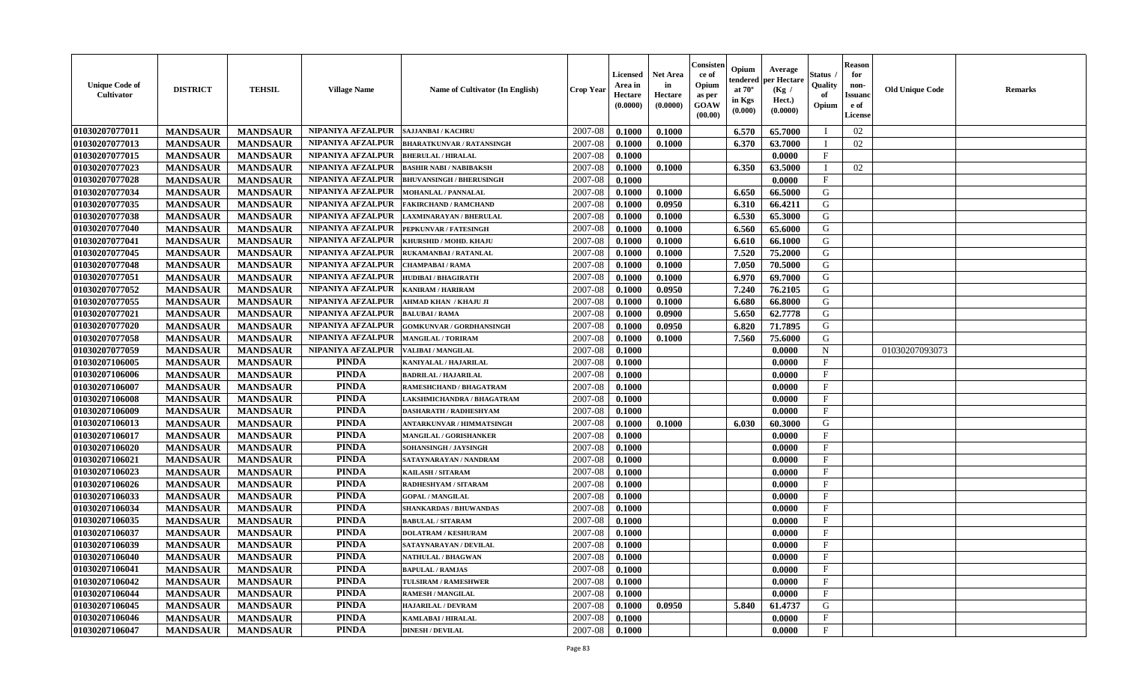| <b>Unique Code of</b><br>Cultivator | <b>DISTRICT</b> | <b>TEHSIL</b>   | <b>Village Name</b>      | <b>Name of Cultivator (In English)</b> | <b>Crop Year</b> | <b>Licensed</b><br>Area in<br>Hectare<br>(0.0000) | <b>Net Area</b><br>in<br>Hectare<br>(0.0000) | Consister<br>ce of<br>Opium<br>as per<br><b>GOAW</b><br>(00.00) | Opium<br>endered<br>at $70^\circ$<br>in Kgs<br>(0.000) | Average<br>per Hectare<br>(Kg /<br>Hect.)<br>(0.0000) | <b>Status</b><br>Quality<br>of<br>Opium | <b>Reason</b><br>for<br>non-<br><b>Issuand</b><br>e of<br><b>License</b> | <b>Old Unique Code</b> | <b>Remarks</b> |
|-------------------------------------|-----------------|-----------------|--------------------------|----------------------------------------|------------------|---------------------------------------------------|----------------------------------------------|-----------------------------------------------------------------|--------------------------------------------------------|-------------------------------------------------------|-----------------------------------------|--------------------------------------------------------------------------|------------------------|----------------|
| 01030207077011                      | <b>MANDSAUR</b> | <b>MANDSAUR</b> | NIPANIYA AFZALPUR        | <b>SAJJANBAI / KACHRU</b>              | 2007-08          | 0.1000                                            | 0.1000                                       |                                                                 | 6.570                                                  | 65.7000                                               |                                         | 02                                                                       |                        |                |
| 01030207077013                      | <b>MANDSAUR</b> | <b>MANDSAUR</b> | NIPANIYA AFZALPUR        | <b>BHARATKUNVAR / RATANSINGH</b>       | 2007-08          | 0.1000                                            | 0.1000                                       |                                                                 | 6.370                                                  | 63.7000                                               |                                         | 02                                                                       |                        |                |
| 01030207077015                      | <b>MANDSAUR</b> | <b>MANDSAUR</b> | NIPANIYA AFZALPUR        | <b>BHERULAL / HIRALAL</b>              | 2007-08          | 0.1000                                            |                                              |                                                                 |                                                        | 0.0000                                                | F                                       |                                                                          |                        |                |
| 01030207077023                      | <b>MANDSAUR</b> | <b>MANDSAUR</b> | NIPANIYA AFZALPUR        | <b>BASHIR NABI / NABIBAKSH</b>         | 2007-08          | 0.1000                                            | 0.1000                                       |                                                                 | 6.350                                                  | 63.5000                                               | $\mathbf I$                             | 02                                                                       |                        |                |
| 01030207077028                      | <b>MANDSAUR</b> | <b>MANDSAUR</b> | NIPANIYA AFZALPUR        | <b>BHUVANSINGH / BHERUSINGH</b>        | 2007-08          | 0.1000                                            |                                              |                                                                 |                                                        | 0.0000                                                | $\mathbf{F}$                            |                                                                          |                        |                |
| 01030207077034                      | <b>MANDSAUR</b> | <b>MANDSAUR</b> | NIPANIYA AFZALPUR        | <b>MOHANLAL / PANNALAL</b>             | 2007-08          | 0.1000                                            | 0.1000                                       |                                                                 | 6.650                                                  | 66.5000                                               | G                                       |                                                                          |                        |                |
| 01030207077035                      | <b>MANDSAUR</b> | <b>MANDSAUR</b> | NIPANIYA AFZALPUR        | AKIRCHAND / RAMCHAND                   | 2007-08          | 0.1000                                            | 0.0950                                       |                                                                 | 6.310                                                  | 66.4211                                               | G                                       |                                                                          |                        |                |
| 01030207077038                      | <b>MANDSAUR</b> | <b>MANDSAUR</b> | <b>NIPANIYA AFZALPUR</b> | AXMINARAYAN / BHERULAL                 | 2007-08          | 0.1000                                            | 0.1000                                       |                                                                 | 6.530                                                  | 65.3000                                               | G                                       |                                                                          |                        |                |
| 01030207077040                      | <b>MANDSAUR</b> | <b>MANDSAUR</b> | NIPANIYA AFZALPUR        | PEPKUNVAR / FATESINGH                  | 2007-08          | 0.1000                                            | 0.1000                                       |                                                                 | 6.560                                                  | 65.6000                                               | G                                       |                                                                          |                        |                |
| 01030207077041                      | <b>MANDSAUR</b> | <b>MANDSAUR</b> | NIPANIYA AFZALPUR        | KHURSHID / MOHD. KHAJU                 | 2007-08          | 0.1000                                            | 0.1000                                       |                                                                 | 6.610                                                  | 66.1000                                               | G                                       |                                                                          |                        |                |
| 01030207077045                      | <b>MANDSAUR</b> | <b>MANDSAUR</b> | NIPANIYA AFZALPUR        | RUKAMANBAI / RATANLAL                  | 2007-08          | 0.1000                                            | 0.1000                                       |                                                                 | 7.520                                                  | 75.2000                                               | G                                       |                                                                          |                        |                |
| 01030207077048                      | <b>MANDSAUR</b> | <b>MANDSAUR</b> | NIPANIYA AFZALPUR        | <b>CHAMPABAI/RAMA</b>                  | 2007-08          | 0.1000                                            | 0.1000                                       |                                                                 | 7.050                                                  | 70.5000                                               | G                                       |                                                                          |                        |                |
| 01030207077051                      | <b>MANDSAUR</b> | <b>MANDSAUR</b> | NIPANIYA AFZALPUR        | <b>HUDIBAI/BHAGIRATH</b>               | 2007-08          | 0.1000                                            | 0.1000                                       |                                                                 | 6.970                                                  | 69.7000                                               | G                                       |                                                                          |                        |                |
| 01030207077052                      | <b>MANDSAUR</b> | <b>MANDSAUR</b> | NIPANIYA AFZALPUR        | <b>KANIRAM / HARIRAM</b>               | 2007-08          | 0.1000                                            | 0.0950                                       |                                                                 | 7.240                                                  | 76.2105                                               | G                                       |                                                                          |                        |                |
| 01030207077055                      | <b>MANDSAUR</b> | <b>MANDSAUR</b> | <b>NIPANIYA AFZALPUR</b> | AHMAD KHAN / KHAJU JI                  | 2007-08          | 0.1000                                            | 0.1000                                       |                                                                 | 6.680                                                  | 66.8000                                               | G                                       |                                                                          |                        |                |
| 01030207077021                      | <b>MANDSAUR</b> | <b>MANDSAUR</b> | NIPANIYA AFZALPUR        | <b>BALUBAI/RAMA</b>                    | 2007-08          | 0.1000                                            | 0.0900                                       |                                                                 | 5.650                                                  | 62.7778                                               | G                                       |                                                                          |                        |                |
| 01030207077020                      | <b>MANDSAUR</b> | <b>MANDSAUR</b> | NIPANIYA AFZALPUR        | <b>GOMKUNVAR / GORDHANSINGH</b>        | 2007-08          | 0.1000                                            | 0.0950                                       |                                                                 | 6.820                                                  | 71.7895                                               | G                                       |                                                                          |                        |                |
| 01030207077058                      | <b>MANDSAUR</b> | <b>MANDSAUR</b> | NIPANIYA AFZALPUR        | <b>MANGILAL / TORIRAM</b>              | 2007-08          | 0.1000                                            | 0.1000                                       |                                                                 | 7.560                                                  | 75.6000                                               | G                                       |                                                                          |                        |                |
| 01030207077059                      | <b>MANDSAUR</b> | <b>MANDSAUR</b> | NIPANIYA AFZALPUR        | <b>VALIBAI/MANGILAL</b>                | 2007-08          | 0.1000                                            |                                              |                                                                 |                                                        | 0.0000                                                | $\mathbf N$                             |                                                                          | 01030207093073         |                |
| 01030207106005                      | <b>MANDSAUR</b> | <b>MANDSAUR</b> | <b>PINDA</b>             | KANIYALAL / HAJARILAL                  | 2007-08          | 0.1000                                            |                                              |                                                                 |                                                        | 0.0000                                                | $\mathbf{F}$                            |                                                                          |                        |                |
| 01030207106006                      | <b>MANDSAUR</b> | <b>MANDSAUR</b> | <b>PINDA</b>             | <b>BADRILAL / HAJARILAL</b>            | 2007-08          | 0.1000                                            |                                              |                                                                 |                                                        | 0.0000                                                | $\mathbf{F}$                            |                                                                          |                        |                |
| 01030207106007                      | <b>MANDSAUR</b> | <b>MANDSAUR</b> | <b>PINDA</b>             | RAMESHCHAND / BHAGATRAM                | 2007-08          | 0.1000                                            |                                              |                                                                 |                                                        | 0.0000                                                | $\mathbf{F}$                            |                                                                          |                        |                |
| 01030207106008                      | <b>MANDSAUR</b> | <b>MANDSAUR</b> | <b>PINDA</b>             | LAKSHMICHANDRA / BHAGATRAM             | 2007-08          | 0.1000                                            |                                              |                                                                 |                                                        | 0.0000                                                | $\mathbf{F}$                            |                                                                          |                        |                |
| 01030207106009                      | <b>MANDSAUR</b> | <b>MANDSAUR</b> | <b>PINDA</b>             | <b>DASHARATH / RADHESHYAM</b>          | 2007-08          | 0.1000                                            |                                              |                                                                 |                                                        | 0.0000                                                | $\mathbf{F}$                            |                                                                          |                        |                |
| 01030207106013                      | <b>MANDSAUR</b> | <b>MANDSAUR</b> | <b>PINDA</b>             | <b>ANTARKUNVAR / HIMMATSINGH</b>       | 2007-08          | 0.1000                                            | 0.1000                                       |                                                                 | 6.030                                                  | 60.3000                                               | G                                       |                                                                          |                        |                |
| 01030207106017                      | <b>MANDSAUR</b> | <b>MANDSAUR</b> | <b>PINDA</b>             | <b>MANGILAL / GORISHANKER</b>          | 2007-08          | 0.1000                                            |                                              |                                                                 |                                                        | 0.0000                                                | $\mathbf{F}$                            |                                                                          |                        |                |
| 01030207106020                      | <b>MANDSAUR</b> | <b>MANDSAUR</b> | <b>PINDA</b>             | SOHANSINGH / JAYSINGH                  | 2007-08          | 0.1000                                            |                                              |                                                                 |                                                        | 0.0000                                                | F                                       |                                                                          |                        |                |
| 01030207106021                      | <b>MANDSAUR</b> | <b>MANDSAUR</b> | <b>PINDA</b>             | SATAYNARAYAN / NANDRAM                 | 2007-08          | 0.1000                                            |                                              |                                                                 |                                                        | 0.0000                                                | F                                       |                                                                          |                        |                |
| 01030207106023                      | <b>MANDSAUR</b> | <b>MANDSAUR</b> | <b>PINDA</b>             | <b>KAILASH / SITARAM</b>               | 2007-08          | 0.1000                                            |                                              |                                                                 |                                                        | 0.0000                                                | $\mathbf{F}$                            |                                                                          |                        |                |
| 01030207106026                      | <b>MANDSAUR</b> | <b>MANDSAUR</b> | <b>PINDA</b>             | RADHESHYAM / SITARAM                   | 2007-08          | 0.1000                                            |                                              |                                                                 |                                                        | 0.0000                                                | $\mathbf{F}$                            |                                                                          |                        |                |
| 01030207106033                      | <b>MANDSAUR</b> | <b>MANDSAUR</b> | <b>PINDA</b>             | <b>GOPAL / MANGILAL</b>                | 2007-08          | 0.1000                                            |                                              |                                                                 |                                                        | 0.0000                                                | $\mathbf{F}$                            |                                                                          |                        |                |
| 01030207106034                      | <b>MANDSAUR</b> | <b>MANDSAUR</b> | <b>PINDA</b>             | <b>SHANKARDAS / BHUWANDAS</b>          | 2007-08          | 0.1000                                            |                                              |                                                                 |                                                        | 0.0000                                                | $\mathbf F$                             |                                                                          |                        |                |
| 01030207106035                      | <b>MANDSAUR</b> | <b>MANDSAUR</b> | <b>PINDA</b>             | <b>BABULAL / SITARAM</b>               | 2007-08          | 0.1000                                            |                                              |                                                                 |                                                        | 0.0000                                                | $\mathbf{F}$                            |                                                                          |                        |                |
| 01030207106037                      | <b>MANDSAUR</b> | <b>MANDSAUR</b> | <b>PINDA</b>             | <b>DOLATRAM / KESHURAM</b>             | 2007-08          | 0.1000                                            |                                              |                                                                 |                                                        | 0.0000                                                | $\mathbf F$                             |                                                                          |                        |                |
| 01030207106039                      | <b>MANDSAUR</b> | <b>MANDSAUR</b> | <b>PINDA</b>             | SATAYNARAYAN / DEVILAL                 | 2007-08          | 0.1000                                            |                                              |                                                                 |                                                        | 0.0000                                                | $\mathbf F$                             |                                                                          |                        |                |
| 01030207106040                      | <b>MANDSAUR</b> | <b>MANDSAUR</b> | <b>PINDA</b>             | <b>NATHULAL / BHAGWAN</b>              | 2007-08          | 0.1000                                            |                                              |                                                                 |                                                        | 0.0000                                                | F                                       |                                                                          |                        |                |
| 01030207106041                      | <b>MANDSAUR</b> | <b>MANDSAUR</b> | <b>PINDA</b>             | <b>BAPULAL / RAMJAS</b>                | 2007-08          | 0.1000                                            |                                              |                                                                 |                                                        | 0.0000                                                | $\mathbf{F}$                            |                                                                          |                        |                |
| 01030207106042                      | <b>MANDSAUR</b> | <b>MANDSAUR</b> | <b>PINDA</b>             | <b>TULSIRAM / RAMESHWER</b>            | 2007-08          | 0.1000                                            |                                              |                                                                 |                                                        | 0.0000                                                | $\mathbf{F}$                            |                                                                          |                        |                |
| 01030207106044                      | <b>MANDSAUR</b> | <b>MANDSAUR</b> | <b>PINDA</b>             | <b>RAMESH / MANGILAL</b>               | 2007-08          | 0.1000                                            |                                              |                                                                 |                                                        | 0.0000                                                | $\mathbf{F}$                            |                                                                          |                        |                |
| 01030207106045                      | <b>MANDSAUR</b> | <b>MANDSAUR</b> | <b>PINDA</b>             | <b>HAJARILAL / DEVRAM</b>              | 2007-08          | 0.1000                                            | 0.0950                                       |                                                                 | 5.840                                                  | 61.4737                                               | ${\bf G}$                               |                                                                          |                        |                |
| 01030207106046                      | <b>MANDSAUR</b> | <b>MANDSAUR</b> | <b>PINDA</b>             | KAMLABAI / HIRALAL                     | 2007-08          | 0.1000                                            |                                              |                                                                 |                                                        | 0.0000                                                | $\mathbf{F}$                            |                                                                          |                        |                |
| 01030207106047                      | <b>MANDSAUR</b> | <b>MANDSAUR</b> | <b>PINDA</b>             | <b>DINESH / DEVILAL</b>                | 2007-08          | 0.1000                                            |                                              |                                                                 |                                                        | 0.0000                                                | $\mathbf{F}$                            |                                                                          |                        |                |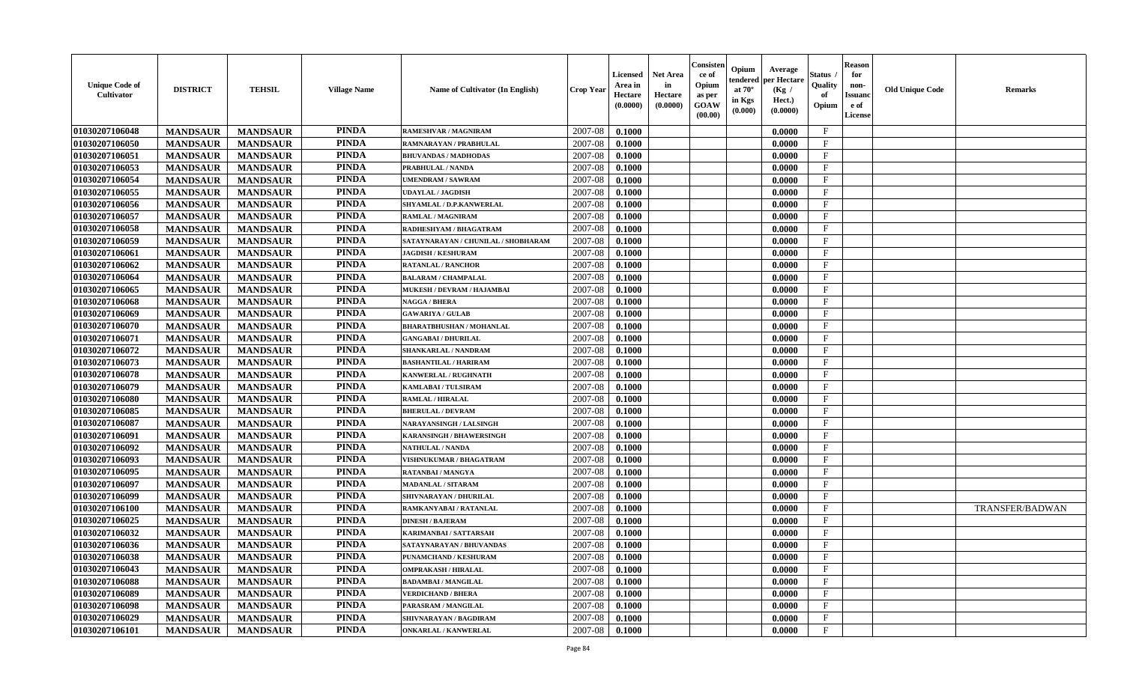| <b>Unique Code of</b><br>Cultivator | <b>DISTRICT</b> | <b>TEHSIL</b>   | <b>Village Name</b> | Name of Cultivator (In English)     | <b>Crop Year</b> | <b>Licensed</b><br>Area in<br>Hectare<br>(0.0000) | <b>Net Area</b><br>in<br>Hectare<br>(0.0000) | Consister<br>ce of<br>Opium<br>as per<br><b>GOAW</b><br>(00.00) | Opium<br>endered<br>at $70^\circ$<br>in Kgs<br>(0.000) | Average<br>per Hectare<br>(Kg /<br>Hect.)<br>(0.0000) | <b>Status</b><br>Quality<br>of<br>Opium | <b>Reason</b><br>for<br>non-<br><b>Issuand</b><br>e of<br>License | <b>Old Unique Code</b> | <b>Remarks</b>         |
|-------------------------------------|-----------------|-----------------|---------------------|-------------------------------------|------------------|---------------------------------------------------|----------------------------------------------|-----------------------------------------------------------------|--------------------------------------------------------|-------------------------------------------------------|-----------------------------------------|-------------------------------------------------------------------|------------------------|------------------------|
| 01030207106048                      | <b>MANDSAUR</b> | <b>MANDSAUR</b> | <b>PINDA</b>        | RAMESHVAR / MAGNIRAM                | 2007-08          | 0.1000                                            |                                              |                                                                 |                                                        | 0.0000                                                | $\mathbf{F}$                            |                                                                   |                        |                        |
| 01030207106050                      | <b>MANDSAUR</b> | <b>MANDSAUR</b> | <b>PINDA</b>        | RAMNARAYAN / PRABHULAL              | 2007-08          | 0.1000                                            |                                              |                                                                 |                                                        | 0.0000                                                | $\mathbf{F}$                            |                                                                   |                        |                        |
| 01030207106051                      | <b>MANDSAUR</b> | <b>MANDSAUR</b> | <b>PINDA</b>        | <b>BHUVANDAS / MADHODAS</b>         | 2007-08          | 0.1000                                            |                                              |                                                                 |                                                        | 0.0000                                                | $\mathbf{F}$                            |                                                                   |                        |                        |
| 01030207106053                      | <b>MANDSAUR</b> | <b>MANDSAUR</b> | <b>PINDA</b>        | PRABHULAL / NANDA                   | 2007-08          | 0.1000                                            |                                              |                                                                 |                                                        | 0.0000                                                | $\mathbf F$                             |                                                                   |                        |                        |
| 01030207106054                      | <b>MANDSAUR</b> | <b>MANDSAUR</b> | <b>PINDA</b>        | <b>UMENDRAM / SAWRAM</b>            | 2007-08          | 0.1000                                            |                                              |                                                                 |                                                        | 0.0000                                                | $\mathbf{F}$                            |                                                                   |                        |                        |
| 01030207106055                      | <b>MANDSAUR</b> | <b>MANDSAUR</b> | <b>PINDA</b>        | <b>UDAYLAL / JAGDISH</b>            | 2007-08          | 0.1000                                            |                                              |                                                                 |                                                        | 0.0000                                                | $\mathbf{F}$                            |                                                                   |                        |                        |
| 01030207106056                      | <b>MANDSAUR</b> | <b>MANDSAUR</b> | <b>PINDA</b>        | SHYAMLAL / D.P.KANWERLAL            | 2007-08          | 0.1000                                            |                                              |                                                                 |                                                        | 0.0000                                                | $\mathbf{F}$                            |                                                                   |                        |                        |
| 01030207106057                      | <b>MANDSAUR</b> | <b>MANDSAUR</b> | <b>PINDA</b>        | RAMLAL / MAGNIRAM                   | 2007-08          | 0.1000                                            |                                              |                                                                 |                                                        | 0.0000                                                | $\mathbf F$                             |                                                                   |                        |                        |
| 01030207106058                      | <b>MANDSAUR</b> | <b>MANDSAUR</b> | <b>PINDA</b>        | RADHESHYAM / BHAGATRAM              | 2007-08          | 0.1000                                            |                                              |                                                                 |                                                        | 0.0000                                                | $\mathbf F$                             |                                                                   |                        |                        |
| 01030207106059                      | <b>MANDSAUR</b> | <b>MANDSAUR</b> | <b>PINDA</b>        | SATAYNARAYAN / CHUNILAL / SHOBHARAM | 2007-08          | 0.1000                                            |                                              |                                                                 |                                                        | 0.0000                                                | $\mathbf{F}$                            |                                                                   |                        |                        |
| 01030207106061                      | <b>MANDSAUR</b> | <b>MANDSAUR</b> | <b>PINDA</b>        | <b>JAGDISH / KESHURAM</b>           | 2007-08          | 0.1000                                            |                                              |                                                                 |                                                        | 0.0000                                                | $\mathbf{F}$                            |                                                                   |                        |                        |
| 01030207106062                      | <b>MANDSAUR</b> | <b>MANDSAUR</b> | <b>PINDA</b>        | <b>RATANLAL / RANCHOR</b>           | 2007-08          | 0.1000                                            |                                              |                                                                 |                                                        | 0.0000                                                | $\mathbf F$                             |                                                                   |                        |                        |
| 01030207106064                      | <b>MANDSAUR</b> | <b>MANDSAUR</b> | <b>PINDA</b>        | <b>BALARAM / CHAMPALAL</b>          | 2007-08          | 0.1000                                            |                                              |                                                                 |                                                        | 0.0000                                                | $\mathbf{F}$                            |                                                                   |                        |                        |
| 01030207106065                      | <b>MANDSAUR</b> | <b>MANDSAUR</b> | <b>PINDA</b>        | MUKESH / DEVRAM / HAJAMBAI          | 2007-08          | 0.1000                                            |                                              |                                                                 |                                                        | 0.0000                                                | $\mathbf{F}$                            |                                                                   |                        |                        |
| 01030207106068                      | <b>MANDSAUR</b> | <b>MANDSAUR</b> | <b>PINDA</b>        | <b>NAGGA / BHERA</b>                | 2007-08          | 0.1000                                            |                                              |                                                                 |                                                        | 0.0000                                                | $\mathbf{F}$                            |                                                                   |                        |                        |
| 01030207106069                      | <b>MANDSAUR</b> | <b>MANDSAUR</b> | <b>PINDA</b>        | <b>GAWARIYA / GULAB</b>             | 2007-08          | 0.1000                                            |                                              |                                                                 |                                                        | 0.0000                                                | $\mathbf F$                             |                                                                   |                        |                        |
| 01030207106070                      | <b>MANDSAUR</b> | <b>MANDSAUR</b> | <b>PINDA</b>        | <b>BHARATBHUSHAN / MOHANLAL</b>     | 2007-08          | 0.1000                                            |                                              |                                                                 |                                                        | 0.0000                                                | $\mathbf{F}$                            |                                                                   |                        |                        |
| 01030207106071                      | <b>MANDSAUR</b> | <b>MANDSAUR</b> | <b>PINDA</b>        | <b>GANGABAI / DHURILAL</b>          | 2007-08          | 0.1000                                            |                                              |                                                                 |                                                        | 0.0000                                                | $_{\rm F}$                              |                                                                   |                        |                        |
| 01030207106072                      | <b>MANDSAUR</b> | <b>MANDSAUR</b> | <b>PINDA</b>        | SHANKARLAL / NANDRAM                | 2007-08          | 0.1000                                            |                                              |                                                                 |                                                        | 0.0000                                                | F                                       |                                                                   |                        |                        |
| 01030207106073                      | <b>MANDSAUR</b> | <b>MANDSAUR</b> | <b>PINDA</b>        | <b>BASHANTILAL / HARIRAM</b>        | 2007-08          | 0.1000                                            |                                              |                                                                 |                                                        | 0.0000                                                | $\mathbf{F}$                            |                                                                   |                        |                        |
| 01030207106078                      | <b>MANDSAUR</b> | <b>MANDSAUR</b> | <b>PINDA</b>        | <b>KANWERLAL / RUGHNATH</b>         | 2007-08          | 0.1000                                            |                                              |                                                                 |                                                        | 0.0000                                                | $\mathbf{F}$                            |                                                                   |                        |                        |
| 01030207106079                      | <b>MANDSAUR</b> | <b>MANDSAUR</b> | <b>PINDA</b>        | <b>KAMLABAI/TULSIRAM</b>            | 2007-08          | 0.1000                                            |                                              |                                                                 |                                                        | 0.0000                                                | $\mathbf{F}$                            |                                                                   |                        |                        |
| 01030207106080                      | <b>MANDSAUR</b> | <b>MANDSAUR</b> | <b>PINDA</b>        | RAMLAL / HIRALAL                    | 2007-08          | 0.1000                                            |                                              |                                                                 |                                                        | 0.0000                                                | $\mathbf{F}$                            |                                                                   |                        |                        |
| 01030207106085                      | <b>MANDSAUR</b> | <b>MANDSAUR</b> | <b>PINDA</b>        | <b>BHERULAL / DEVRAM</b>            | 2007-08          | 0.1000                                            |                                              |                                                                 |                                                        | 0.0000                                                | $\mathbf{F}$                            |                                                                   |                        |                        |
| 01030207106087                      | <b>MANDSAUR</b> | <b>MANDSAUR</b> | <b>PINDA</b>        | NARAYANSINGH / LALSINGH             | 2007-08          | 0.1000                                            |                                              |                                                                 |                                                        | 0.0000                                                | $\mathbf F$                             |                                                                   |                        |                        |
| 01030207106091                      | <b>MANDSAUR</b> | <b>MANDSAUR</b> | <b>PINDA</b>        | <b>KARANSINGH / BHAWERSINGH</b>     | 2007-08          | 0.1000                                            |                                              |                                                                 |                                                        | 0.0000                                                | $\mathbf{F}$                            |                                                                   |                        |                        |
| 01030207106092                      | <b>MANDSAUR</b> | <b>MANDSAUR</b> | <b>PINDA</b>        | <b>NATHULAL / NANDA</b>             | 2007-08          | 0.1000                                            |                                              |                                                                 |                                                        | 0.0000                                                | F                                       |                                                                   |                        |                        |
| 01030207106093                      | <b>MANDSAUR</b> | <b>MANDSAUR</b> | <b>PINDA</b>        | <b>VISHNUKUMAR / BHAGATRAM</b>      | 2007-08          | 0.1000                                            |                                              |                                                                 |                                                        | 0.0000                                                | $\mathbf{F}$                            |                                                                   |                        |                        |
| 01030207106095                      | <b>MANDSAUR</b> | <b>MANDSAUR</b> | <b>PINDA</b>        | <b>RATANBAI/MANGYA</b>              | 2007-08          | 0.1000                                            |                                              |                                                                 |                                                        | 0.0000                                                | $\mathbf{F}$                            |                                                                   |                        |                        |
| 01030207106097                      | <b>MANDSAUR</b> | <b>MANDSAUR</b> | <b>PINDA</b>        | <b>MADANLAL / SITARAM</b>           | 2007-08          | 0.1000                                            |                                              |                                                                 |                                                        | 0.0000                                                | $\mathbf{F}$                            |                                                                   |                        |                        |
| 01030207106099                      | <b>MANDSAUR</b> | <b>MANDSAUR</b> | <b>PINDA</b>        | SHIVNARAYAN / DHURILAL              | 2007-08          | 0.1000                                            |                                              |                                                                 |                                                        | 0.0000                                                | $\mathbf{F}$                            |                                                                   |                        |                        |
| 01030207106100                      | <b>MANDSAUR</b> | <b>MANDSAUR</b> | <b>PINDA</b>        | RAMKANYABAI / RATANLAL              | 2007-08          | 0.1000                                            |                                              |                                                                 |                                                        | 0.0000                                                | $\mathbf F$                             |                                                                   |                        | <b>TRANSFER/BADWAN</b> |
| 01030207106025                      | <b>MANDSAUR</b> | <b>MANDSAUR</b> | <b>PINDA</b>        | <b>DINESH / BAJERAM</b>             | 2007-08          | 0.1000                                            |                                              |                                                                 |                                                        | 0.0000                                                | $\mathbf{F}$                            |                                                                   |                        |                        |
| 01030207106032                      | <b>MANDSAUR</b> | <b>MANDSAUR</b> | <b>PINDA</b>        | KARIMANBAI / SATTARSAH              | 2007-08          | 0.1000                                            |                                              |                                                                 |                                                        | 0.0000                                                | $\mathbf{F}$                            |                                                                   |                        |                        |
| 01030207106036                      | <b>MANDSAUR</b> | <b>MANDSAUR</b> | <b>PINDA</b>        | SATAYNARAYAN / BHUVANDAS            | 2007-08          | 0.1000                                            |                                              |                                                                 |                                                        | 0.0000                                                | $\mathbf F$                             |                                                                   |                        |                        |
| 01030207106038                      | <b>MANDSAUR</b> | <b>MANDSAUR</b> | <b>PINDA</b>        | PUNAMCHAND / KESHURAM               | 2007-08          | 0.1000                                            |                                              |                                                                 |                                                        | 0.0000                                                | $\mathbf{F}$                            |                                                                   |                        |                        |
| 01030207106043                      | <b>MANDSAUR</b> | <b>MANDSAUR</b> | <b>PINDA</b>        | <b>OMPRAKASH / HIRALAL</b>          | 2007-08          | 0.1000                                            |                                              |                                                                 |                                                        | 0.0000                                                | $\mathbf{F}$                            |                                                                   |                        |                        |
| 01030207106088                      | <b>MANDSAUR</b> | <b>MANDSAUR</b> | <b>PINDA</b>        | <b>BADAMBAI/MANGILAL</b>            | 2007-08          | 0.1000                                            |                                              |                                                                 |                                                        | 0.0000                                                | $\mathbf{F}$                            |                                                                   |                        |                        |
| 01030207106089                      | <b>MANDSAUR</b> | <b>MANDSAUR</b> | <b>PINDA</b>        | <b>VERDICHAND / BHERA</b>           | 2007-08          | 0.1000                                            |                                              |                                                                 |                                                        | 0.0000                                                | $\mathbf{F}$                            |                                                                   |                        |                        |
| 01030207106098                      | <b>MANDSAUR</b> | <b>MANDSAUR</b> | <b>PINDA</b>        | PARASRAM / MANGILAL                 | 2007-08          | 0.1000                                            |                                              |                                                                 |                                                        | 0.0000                                                | F                                       |                                                                   |                        |                        |
| 01030207106029                      | <b>MANDSAUR</b> | <b>MANDSAUR</b> | <b>PINDA</b>        | SHIVNARAYAN / BAGDIRAM              | 2007-08          | 0.1000                                            |                                              |                                                                 |                                                        | 0.0000                                                | $\mathbf{F}$                            |                                                                   |                        |                        |
| 01030207106101                      | <b>MANDSAUR</b> | <b>MANDSAUR</b> | <b>PINDA</b>        | <b>ONKARLAL / KANWERLAL</b>         | 2007-08          | 0.1000                                            |                                              |                                                                 |                                                        | 0.0000                                                | $\mathbf{F}$                            |                                                                   |                        |                        |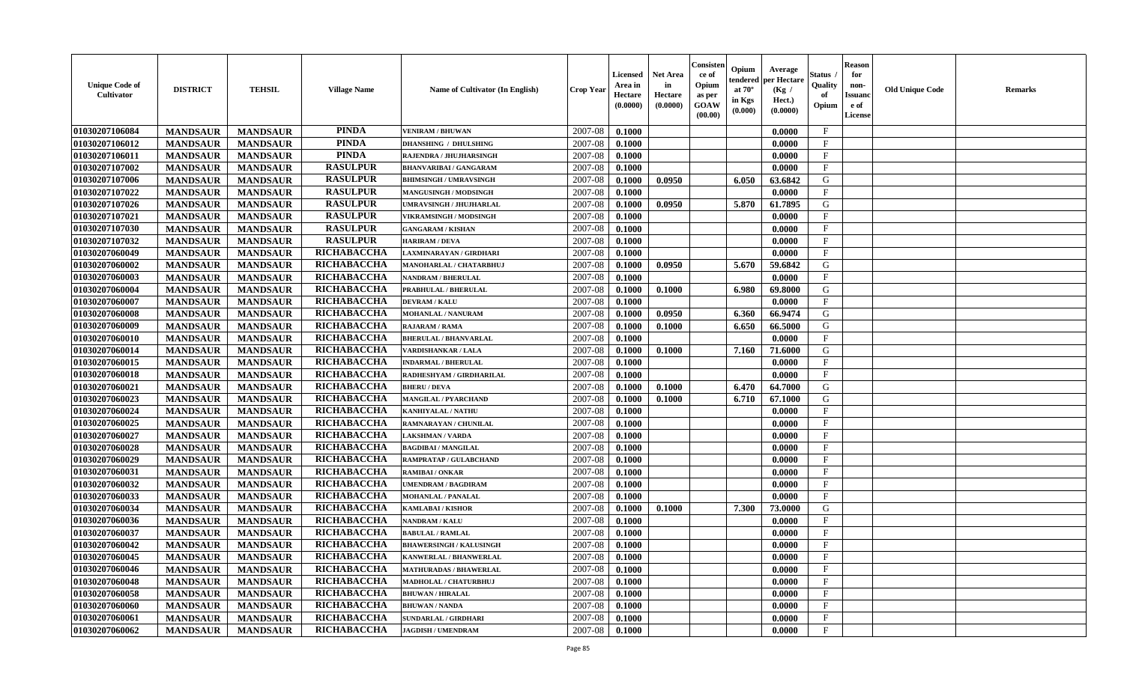| <b>Unique Code of</b><br><b>Cultivator</b> | <b>DISTRICT</b> | <b>TEHSIL</b>   | <b>Village Name</b> | Name of Cultivator (In English) | <b>Crop Year</b> | <b>Licensed</b><br>Area in<br>Hectare<br>(0.0000) | <b>Net Area</b><br>in<br>Hectare<br>(0.0000) | Consisteı<br>ce of<br>Opium<br>as per<br><b>GOAW</b><br>(00.00) | Opium<br>endered<br>at $70^\circ$<br>in Kgs<br>$(\mathbf{0.000})$ | Average<br>per Hectare<br>(Kg /<br>Hect.)<br>(0.0000) | Status<br>Quality<br>of<br>Opium | Reason<br>for<br>non-<br>Issuan<br>e of<br>License | <b>Old Unique Code</b> | <b>Remarks</b> |
|--------------------------------------------|-----------------|-----------------|---------------------|---------------------------------|------------------|---------------------------------------------------|----------------------------------------------|-----------------------------------------------------------------|-------------------------------------------------------------------|-------------------------------------------------------|----------------------------------|----------------------------------------------------|------------------------|----------------|
| 01030207106084                             | <b>MANDSAUR</b> | <b>MANDSAUR</b> | <b>PINDA</b>        | <b>VENIRAM / BHUWAN</b>         | 2007-08          | 0.1000                                            |                                              |                                                                 |                                                                   | 0.0000                                                | $\mathbf{F}$                     |                                                    |                        |                |
| 01030207106012                             | <b>MANDSAUR</b> | <b>MANDSAUR</b> | <b>PINDA</b>        | <b>DHANSHING / DHULSHING</b>    | 2007-08          | 0.1000                                            |                                              |                                                                 |                                                                   | 0.0000                                                | $\mathbf{F}$                     |                                                    |                        |                |
| 01030207106011                             | <b>MANDSAUR</b> | <b>MANDSAUR</b> | <b>PINDA</b>        | RAJENDRA / JHUJHARSINGH         | 2007-08          | 0.1000                                            |                                              |                                                                 |                                                                   | 0.0000                                                | $\mathbf{F}$                     |                                                    |                        |                |
| 01030207107002                             | <b>MANDSAUR</b> | <b>MANDSAUR</b> | <b>RASULPUR</b>     | <b>BHANVARIBAI / GANGARAM</b>   | 2007-08          | 0.1000                                            |                                              |                                                                 |                                                                   | 0.0000                                                | $\mathbf{F}$                     |                                                    |                        |                |
| 01030207107006                             | <b>MANDSAUR</b> | <b>MANDSAUR</b> | <b>RASULPUR</b>     | <b>BHIMSINGH / UMRAVSINGH</b>   | 2007-08          | 0.1000                                            | 0.0950                                       |                                                                 | 6.050                                                             | 63.6842                                               | G                                |                                                    |                        |                |
| 01030207107022                             | <b>MANDSAUR</b> | <b>MANDSAUR</b> | <b>RASULPUR</b>     | <b>MANGUSINGH / MODSINGH</b>    | 2007-08          | 0.1000                                            |                                              |                                                                 |                                                                   | 0.0000                                                | $_{\rm F}$                       |                                                    |                        |                |
| 01030207107026                             | <b>MANDSAUR</b> | <b>MANDSAUR</b> | <b>RASULPUR</b>     | UMRAVSINGH / JHUJHARLAL         | 2007-08          | 0.1000                                            | 0.0950                                       |                                                                 | 5.870                                                             | 61.7895                                               | G                                |                                                    |                        |                |
| 01030207107021                             | <b>MANDSAUR</b> | <b>MANDSAUR</b> | <b>RASULPUR</b>     | VIKRAMSINGH / MODSINGH          | 2007-08          | 0.1000                                            |                                              |                                                                 |                                                                   | 0.0000                                                | $\mathbf{F}$                     |                                                    |                        |                |
| 01030207107030                             | <b>MANDSAUR</b> | <b>MANDSAUR</b> | <b>RASULPUR</b>     | <b>GANGARAM / KISHAN</b>        | 2007-08          | 0.1000                                            |                                              |                                                                 |                                                                   | 0.0000                                                | $_{\rm F}$                       |                                                    |                        |                |
| 01030207107032                             | <b>MANDSAUR</b> | <b>MANDSAUR</b> | <b>RASULPUR</b>     | <b>HARIRAM / DEVA</b>           | 2007-08          | 0.1000                                            |                                              |                                                                 |                                                                   | 0.0000                                                | $_{\rm F}$                       |                                                    |                        |                |
| 01030207060049                             | <b>MANDSAUR</b> | <b>MANDSAUR</b> | RICHABACCHA         | LAXMINARAYAN / GIRDHARI         | 2007-08          | 0.1000                                            |                                              |                                                                 |                                                                   | 0.0000                                                | $\mathbf{F}$                     |                                                    |                        |                |
| 01030207060002                             | <b>MANDSAUR</b> | <b>MANDSAUR</b> | RICHABACCHA         | MANOHARLAL / CHATARBHUJ         | 2007-08          | 0.1000                                            | 0.0950                                       |                                                                 | 5.670                                                             | 59.6842                                               | G                                |                                                    |                        |                |
| 01030207060003                             | <b>MANDSAUR</b> | <b>MANDSAUR</b> | RICHABACCHA         | <b>NANDRAM / BHERULAL</b>       | 2007-08          | 0.1000                                            |                                              |                                                                 |                                                                   | 0.0000                                                | $\mathbf{F}$                     |                                                    |                        |                |
| 01030207060004                             | <b>MANDSAUR</b> | <b>MANDSAUR</b> | RICHABACCHA         | PRABHULAL / BHERULAL            | 2007-08          | 0.1000                                            | 0.1000                                       |                                                                 | 6.980                                                             | 69.8000                                               | G                                |                                                    |                        |                |
| 01030207060007                             | <b>MANDSAUR</b> | <b>MANDSAUR</b> | RICHABACCHA         | <b>DEVRAM / KALU</b>            | 2007-08          | 0.1000                                            |                                              |                                                                 |                                                                   | 0.0000                                                | $\mathbf{F}$                     |                                                    |                        |                |
| 01030207060008                             | <b>MANDSAUR</b> | <b>MANDSAUR</b> | RICHABACCHA         | MOHANLAL / NANURAM              | 2007-08          | 0.1000                                            | 0.0950                                       |                                                                 | 6.360                                                             | 66.9474                                               | G                                |                                                    |                        |                |
| 01030207060009                             | <b>MANDSAUR</b> | <b>MANDSAUR</b> | RICHABACCHA         | <b>RAJARAM / RAMA</b>           | 2007-08          | 0.1000                                            | 0.1000                                       |                                                                 | 6.650                                                             | 66.5000                                               | G                                |                                                    |                        |                |
| 01030207060010                             | <b>MANDSAUR</b> | <b>MANDSAUR</b> | RICHABACCHA         | <b>BHERULAL / BHANVARLAL</b>    | 2007-08          | 0.1000                                            |                                              |                                                                 |                                                                   | 0.0000                                                | $\mathbf F$                      |                                                    |                        |                |
| 01030207060014                             | <b>MANDSAUR</b> | <b>MANDSAUR</b> | RICHABACCHA         | <b>VARDISHANKAR / LALA</b>      | 2007-08          | 0.1000                                            | 0.1000                                       |                                                                 | 7.160                                                             | 71.6000                                               | G                                |                                                    |                        |                |
| 01030207060015                             | <b>MANDSAUR</b> | <b>MANDSAUR</b> | RICHABACCHA         | <b>INDARMAL / BHERULAL</b>      | 2007-08          | 0.1000                                            |                                              |                                                                 |                                                                   | 0.0000                                                | $\mathbf{F}$                     |                                                    |                        |                |
| 01030207060018                             | <b>MANDSAUR</b> | <b>MANDSAUR</b> | RICHABACCHA         | RADHESHYAM / GIRDHARILAL        | 2007-08          | 0.1000                                            |                                              |                                                                 |                                                                   | 0.0000                                                | F                                |                                                    |                        |                |
| 01030207060021                             | <b>MANDSAUR</b> | <b>MANDSAUR</b> | RICHABACCHA         | <b>BHERU / DEVA</b>             | 2007-08          | 0.1000                                            | 0.1000                                       |                                                                 | 6.470                                                             | 64.7000                                               | G                                |                                                    |                        |                |
| 01030207060023                             | <b>MANDSAUR</b> | <b>MANDSAUR</b> | RICHABACCHA         | <b>MANGILAL / PYARCHAND</b>     | 2007-08          | 0.1000                                            | 0.1000                                       |                                                                 | 6.710                                                             | 67.1000                                               | G                                |                                                    |                        |                |
| 01030207060024                             | <b>MANDSAUR</b> | <b>MANDSAUR</b> | RICHABACCHA         | KANHIYALAL / NATHU              | 2007-08          | 0.1000                                            |                                              |                                                                 |                                                                   | 0.0000                                                | $\mathbf{F}$                     |                                                    |                        |                |
| 01030207060025                             | <b>MANDSAUR</b> | <b>MANDSAUR</b> | RICHABACCHA         | RAMNARAYAN / CHUNILAL           | 2007-08          | 0.1000                                            |                                              |                                                                 |                                                                   | 0.0000                                                | $\mathbf{F}$                     |                                                    |                        |                |
| 01030207060027                             | <b>MANDSAUR</b> | <b>MANDSAUR</b> | RICHABACCHA         | <b>LAKSHMAN / VARDA</b>         | 2007-08          | 0.1000                                            |                                              |                                                                 |                                                                   | 0.0000                                                | $\mathbf{F}$                     |                                                    |                        |                |
| 01030207060028                             | <b>MANDSAUR</b> | <b>MANDSAUR</b> | RICHABACCHA         | <b>BAGDIBAI / MANGILAL</b>      | 2007-08          | 0.1000                                            |                                              |                                                                 |                                                                   | 0.0000                                                | $_{\rm F}$                       |                                                    |                        |                |
| 01030207060029                             | <b>MANDSAUR</b> | <b>MANDSAUR</b> | RICHABACCHA         | RAMPRATAP / GULABCHAND          | 2007-08          | 0.1000                                            |                                              |                                                                 |                                                                   | 0.0000                                                | $\mathbf{F}$                     |                                                    |                        |                |
| 01030207060031                             | <b>MANDSAUR</b> | <b>MANDSAUR</b> | RICHABACCHA         | <b>RAMIBAI/ONKAR</b>            | 2007-08          | 0.1000                                            |                                              |                                                                 |                                                                   | 0.0000                                                | $\mathbf{F}$                     |                                                    |                        |                |
| 01030207060032                             | <b>MANDSAUR</b> | <b>MANDSAUR</b> | RICHABACCHA         | <b>JMENDRAM / BAGDIRAM</b>      | 2007-08          | 0.1000                                            |                                              |                                                                 |                                                                   | 0.0000                                                | $_{\rm F}$                       |                                                    |                        |                |
| 01030207060033                             | <b>MANDSAUR</b> | <b>MANDSAUR</b> | RICHABACCHA         | <b>MOHANLAL / PANALAL</b>       | 2007-08          | 0.1000                                            |                                              |                                                                 |                                                                   | 0.0000                                                | $\mathbf{F}$                     |                                                    |                        |                |
| 01030207060034                             | <b>MANDSAUR</b> | <b>MANDSAUR</b> | RICHABACCHA         | <b>KAMLABAI/KISHOR</b>          | 2007-08          | 0.1000                                            | 0.1000                                       |                                                                 | 7.300                                                             | 73.0000                                               | G                                |                                                    |                        |                |
| 01030207060036                             | <b>MANDSAUR</b> | <b>MANDSAUR</b> | RICHABACCHA         | NANDRAM / KALU                  | 2007-08          | 0.1000                                            |                                              |                                                                 |                                                                   | 0.0000                                                | $\mathbf{F}$                     |                                                    |                        |                |
| 01030207060037                             | <b>MANDSAUR</b> | <b>MANDSAUR</b> | RICHABACCHA         | <b>BABULAL/RAMLAL</b>           | 2007-08          | 0.1000                                            |                                              |                                                                 |                                                                   | 0.0000                                                | $_{\rm F}$                       |                                                    |                        |                |
| 01030207060042                             | <b>MANDSAUR</b> | <b>MANDSAUR</b> | <b>RICHABACCHA</b>  | <b>BHAWERSINGH / KALUSINGH</b>  | 2007-08          | 0.1000                                            |                                              |                                                                 |                                                                   | 0.0000                                                | $\mathbf{F}$                     |                                                    |                        |                |
| 01030207060045                             | <b>MANDSAUR</b> | <b>MANDSAUR</b> | RICHABACCHA         | <b>KANWERLAL / BHANWERLAL</b>   | $2007 - 08$      | 0.1000                                            |                                              |                                                                 |                                                                   | 0.0000                                                | F                                |                                                    |                        |                |
| 01030207060046                             | <b>MANDSAUR</b> | <b>MANDSAUR</b> | RICHABACCHA         | <b>MATHURADAS / BHAWERLAL</b>   | 2007-08          | 0.1000                                            |                                              |                                                                 |                                                                   | 0.0000                                                | $_{\rm F}$                       |                                                    |                        |                |
| 01030207060048                             | <b>MANDSAUR</b> | <b>MANDSAUR</b> | <b>RICHABACCHA</b>  | MADHOLAL / CHATURBHUJ           | 2007-08          | 0.1000                                            |                                              |                                                                 |                                                                   | 0.0000                                                | $\mathbf{F}$                     |                                                    |                        |                |
| 01030207060058                             | <b>MANDSAUR</b> | <b>MANDSAUR</b> | <b>RICHABACCHA</b>  | <b>BHUWAN / HIRALAL</b>         | 2007-08          | 0.1000                                            |                                              |                                                                 |                                                                   | 0.0000                                                | $\mathbf{F}$                     |                                                    |                        |                |
| 01030207060060                             | <b>MANDSAUR</b> | <b>MANDSAUR</b> | <b>RICHABACCHA</b>  | <b>BHUWAN / NANDA</b>           | 2007-08          | 0.1000                                            |                                              |                                                                 |                                                                   | 0.0000                                                | $\mathbf{F}$                     |                                                    |                        |                |
| 01030207060061                             | <b>MANDSAUR</b> | <b>MANDSAUR</b> | RICHABACCHA         | <b>SUNDARLAL / GIRDHARI</b>     | 2007-08          | 0.1000                                            |                                              |                                                                 |                                                                   | 0.0000                                                | $\mathbf{F}$                     |                                                    |                        |                |
| 01030207060062                             | <b>MANDSAUR</b> | <b>MANDSAUR</b> | <b>RICHABACCHA</b>  | <b>JAGDISH / UMENDRAM</b>       | 2007-08          | 0.1000                                            |                                              |                                                                 |                                                                   | 0.0000                                                | $\mathbf{F}$                     |                                                    |                        |                |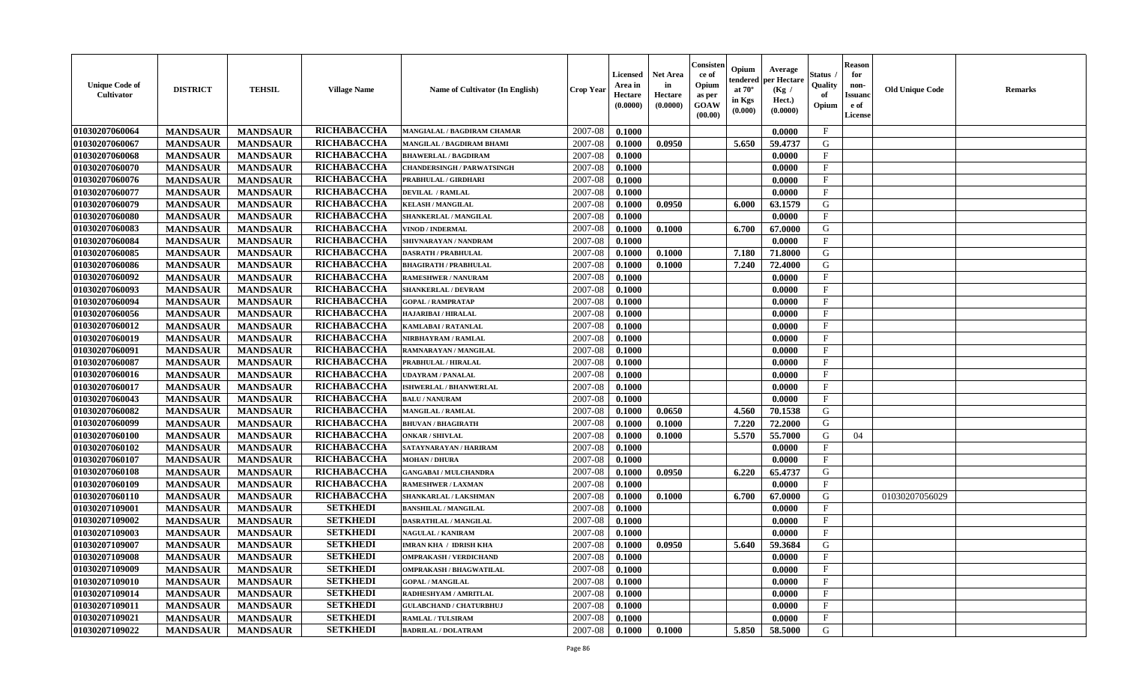| <b>Unique Code of</b><br>Cultivator | <b>DISTRICT</b> | <b>TEHSIL</b>   | <b>Village Name</b> | Name of Cultivator (In English)    | <b>Crop Year</b> | <b>Licensed</b><br>Area in<br>Hectare<br>(0.0000) | <b>Net Area</b><br>in<br>Hectare<br>(0.0000) | Consisten<br>ce of<br>Opium<br>as per<br><b>GOAW</b><br>(00.00) | Opium<br>endered<br>at $70^\circ$<br>in Kgs<br>(0.000) | Average<br>per Hectare<br>(Kg /<br>Hect.)<br>(0.0000) | <b>Status</b><br>Quality<br>of<br>Opium | <b>Reason</b><br>for<br>non-<br><b>Issuand</b><br>e of<br>License | <b>Old Unique Code</b> | <b>Remarks</b> |
|-------------------------------------|-----------------|-----------------|---------------------|------------------------------------|------------------|---------------------------------------------------|----------------------------------------------|-----------------------------------------------------------------|--------------------------------------------------------|-------------------------------------------------------|-----------------------------------------|-------------------------------------------------------------------|------------------------|----------------|
| 01030207060064                      | <b>MANDSAUR</b> | <b>MANDSAUR</b> | <b>RICHABACCHA</b>  | <b>MANGIALAL / BAGDIRAM CHAMAR</b> | 2007-08          | 0.1000                                            |                                              |                                                                 |                                                        | 0.0000                                                | $\mathbf{F}$                            |                                                                   |                        |                |
| 01030207060067                      | <b>MANDSAUR</b> | <b>MANDSAUR</b> | RICHABACCHA         | MANGILAL / BAGDIRAM BHAMI          | 2007-08          | 0.1000                                            | 0.0950                                       |                                                                 | 5.650                                                  | 59.4737                                               | G                                       |                                                                   |                        |                |
| 01030207060068                      | <b>MANDSAUR</b> | <b>MANDSAUR</b> | RICHABACCHA         | <b>BHAWERLAL / BAGDIRAM</b>        | 2007-08          | 0.1000                                            |                                              |                                                                 |                                                        | 0.0000                                                | $\mathbf{F}$                            |                                                                   |                        |                |
| 01030207060070                      | <b>MANDSAUR</b> | <b>MANDSAUR</b> | RICHABACCHA         | <b>CHANDERSINGH / PARWATSINGH</b>  | 2007-08          | 0.1000                                            |                                              |                                                                 |                                                        | 0.0000                                                | $\mathbf{F}$                            |                                                                   |                        |                |
| 01030207060076                      | <b>MANDSAUR</b> | <b>MANDSAUR</b> | RICHABACCHA         | PRABHULAL / GIRDHARI               | 2007-08          | 0.1000                                            |                                              |                                                                 |                                                        | 0.0000                                                | $\mathbf{F}$                            |                                                                   |                        |                |
| 01030207060077                      | <b>MANDSAUR</b> | <b>MANDSAUR</b> | RICHABACCHA         | <b>DEVILAL / RAMLAL</b>            | 2007-08          | 0.1000                                            |                                              |                                                                 |                                                        | 0.0000                                                | $\mathbf{F}$                            |                                                                   |                        |                |
| 01030207060079                      | <b>MANDSAUR</b> | <b>MANDSAUR</b> | RICHABACCHA         | <b>KELASH / MANGILAL</b>           | 2007-08          | 0.1000                                            | 0.0950                                       |                                                                 | 6.000                                                  | 63.1579                                               | ${\bf G}$                               |                                                                   |                        |                |
| 01030207060080                      | <b>MANDSAUR</b> | <b>MANDSAUR</b> | RICHABACCHA         | SHANKERLAL / MANGILAL              | 2007-08          | 0.1000                                            |                                              |                                                                 |                                                        | 0.0000                                                | $\mathbf{F}$                            |                                                                   |                        |                |
| 01030207060083                      | <b>MANDSAUR</b> | <b>MANDSAUR</b> | RICHABACCHA         | VINOD / INDERMAL                   | 2007-08          | 0.1000                                            | 0.1000                                       |                                                                 | 6.700                                                  | 67.0000                                               | G                                       |                                                                   |                        |                |
| 01030207060084                      | <b>MANDSAUR</b> | <b>MANDSAUR</b> | RICHABACCHA         | SHIVNARAYAN / NANDRAM              | 2007-08          | 0.1000                                            |                                              |                                                                 |                                                        | 0.0000                                                | $\mathbf F$                             |                                                                   |                        |                |
| 01030207060085                      | <b>MANDSAUR</b> | <b>MANDSAUR</b> | <b>RICHABACCHA</b>  | <b>DASRATH / PRABHULAL</b>         | 2007-08          | 0.1000                                            | 0.1000                                       |                                                                 | 7.180                                                  | 71.8000                                               | G                                       |                                                                   |                        |                |
| 01030207060086                      | <b>MANDSAUR</b> | <b>MANDSAUR</b> | RICHABACCHA         | <b>BHAGIRATH / PRABHULAL</b>       | 2007-08          | 0.1000                                            | 0.1000                                       |                                                                 | 7.240                                                  | 72.4000                                               | G                                       |                                                                   |                        |                |
| 01030207060092                      | <b>MANDSAUR</b> | <b>MANDSAUR</b> | RICHABACCHA         | <b>RAMESHWER / NANURAM</b>         | 2007-08          | 0.1000                                            |                                              |                                                                 |                                                        | 0.0000                                                | $\mathbf{F}$                            |                                                                   |                        |                |
| 01030207060093                      | <b>MANDSAUR</b> | <b>MANDSAUR</b> | RICHABACCHA         | <b>SHANKERLAL / DEVRAM</b>         | 2007-08          | 0.1000                                            |                                              |                                                                 |                                                        | 0.0000                                                | $\mathbf{F}$                            |                                                                   |                        |                |
| 01030207060094                      | <b>MANDSAUR</b> | <b>MANDSAUR</b> | RICHABACCHA         | <b>GOPAL / RAMPRATAP</b>           | 2007-08          | 0.1000                                            |                                              |                                                                 |                                                        | 0.0000                                                | F                                       |                                                                   |                        |                |
| 01030207060056                      | <b>MANDSAUR</b> | <b>MANDSAUR</b> | RICHABACCHA         | HAJARIBAI / HIRALAL                | 2007-08          | 0.1000                                            |                                              |                                                                 |                                                        | 0.0000                                                | $\mathbf{F}$                            |                                                                   |                        |                |
| 01030207060012                      | <b>MANDSAUR</b> | <b>MANDSAUR</b> | RICHABACCHA         | KAMLABAI / RATANLAL                | 2007-08          | 0.1000                                            |                                              |                                                                 |                                                        | 0.0000                                                | $\mathbf{F}$                            |                                                                   |                        |                |
| 01030207060019                      | <b>MANDSAUR</b> | <b>MANDSAUR</b> | RICHABACCHA         | NIRBHAYRAM / RAMLAL                | 2007-08          | 0.1000                                            |                                              |                                                                 |                                                        | 0.0000                                                | $\mathbf F$                             |                                                                   |                        |                |
| 01030207060091                      | <b>MANDSAUR</b> | <b>MANDSAUR</b> | RICHABACCHA         | RAMNARAYAN / MANGILAL              | 2007-08          | 0.1000                                            |                                              |                                                                 |                                                        | 0.0000                                                | $\mathbf{F}$                            |                                                                   |                        |                |
| 01030207060087                      | <b>MANDSAUR</b> | <b>MANDSAUR</b> | RICHABACCHA         | PRABHULAL / HIRALAL                | 2007-08          | 0.1000                                            |                                              |                                                                 |                                                        | 0.0000                                                | $\mathbf{F}$                            |                                                                   |                        |                |
| 01030207060016                      | <b>MANDSAUR</b> | <b>MANDSAUR</b> | RICHABACCHA         | <b>UDAYRAM / PANALAL</b>           | 2007-08          | 0.1000                                            |                                              |                                                                 |                                                        | 0.0000                                                | $\mathbf{F}$                            |                                                                   |                        |                |
| 01030207060017                      | <b>MANDSAUR</b> | <b>MANDSAUR</b> | RICHABACCHA         | <b>ISHWERLAL / BHANWERLAL</b>      | 2007-08          | 0.1000                                            |                                              |                                                                 |                                                        | 0.0000                                                | $\mathbf{F}$                            |                                                                   |                        |                |
| 01030207060043                      | <b>MANDSAUR</b> |                 | RICHABACCHA         |                                    |                  |                                                   |                                              |                                                                 |                                                        | 0.0000                                                | $\mathbf{F}$                            |                                                                   |                        |                |
|                                     |                 | <b>MANDSAUR</b> |                     | <b>BALU / NANURAM</b>              | 2007-08          | 0.1000                                            |                                              |                                                                 |                                                        |                                                       |                                         |                                                                   |                        |                |
| 01030207060082                      | <b>MANDSAUR</b> | <b>MANDSAUR</b> | RICHABACCHA         | <b>MANGILAL / RAMLAL</b>           | 2007-08          | 0.1000                                            | 0.0650                                       |                                                                 | 4.560                                                  | 70.1538                                               | G                                       |                                                                   |                        |                |
| 01030207060099                      | <b>MANDSAUR</b> | <b>MANDSAUR</b> | RICHABACCHA         | <b>BHUVAN / BHAGIRATH</b>          | 2007-08          | 0.1000                                            | 0.1000                                       |                                                                 | 7.220                                                  | 72.2000                                               | G                                       |                                                                   |                        |                |
| 01030207060100                      | <b>MANDSAUR</b> | <b>MANDSAUR</b> | RICHABACCHA         | <b>ONKAR / SHIVLAL</b>             | 2007-08          | 0.1000                                            | 0.1000                                       |                                                                 | 5.570                                                  | 55.7000                                               | G                                       | 04                                                                |                        |                |
| 01030207060102                      | <b>MANDSAUR</b> | <b>MANDSAUR</b> | RICHABACCHA         | SATAYNARAYAN / HARIRAM             | 2007-08          | 0.1000                                            |                                              |                                                                 |                                                        | 0.0000                                                | $\mathbf{F}$                            |                                                                   |                        |                |
| 01030207060107                      | <b>MANDSAUR</b> | <b>MANDSAUR</b> | RICHABACCHA         | <b>MOHAN / DHURA</b>               | 2007-08          | 0.1000                                            |                                              |                                                                 |                                                        | 0.0000                                                | $\mathbf{F}$                            |                                                                   |                        |                |
| 01030207060108                      | <b>MANDSAUR</b> | <b>MANDSAUR</b> | RICHABACCHA         | <b>GANGABAI / MULCHANDRA</b>       | 2007-08          | 0.1000                                            | 0.0950                                       |                                                                 | 6.220                                                  | 65.4737                                               | G                                       |                                                                   |                        |                |
| 01030207060109                      | <b>MANDSAUR</b> | <b>MANDSAUR</b> | RICHABACCHA         | <b>RAMESHWER / LAXMAN</b>          | 2007-08          | 0.1000                                            |                                              |                                                                 |                                                        | 0.0000                                                | $\mathbf{F}$                            |                                                                   |                        |                |
| 01030207060110                      | <b>MANDSAUR</b> | <b>MANDSAUR</b> | RICHABACCHA         | SHANKARLAL / LAKSHMAN              | 2007-08          | 0.1000                                            | 0.1000                                       |                                                                 | 6.700                                                  | 67.0000                                               | ${\bf G}$                               |                                                                   | 01030207056029         |                |
| 01030207109001                      | <b>MANDSAUR</b> | <b>MANDSAUR</b> | <b>SETKHEDI</b>     | <b>BANSHILAL / MANGILAL</b>        | 2007-08          | 0.1000                                            |                                              |                                                                 |                                                        | 0.0000                                                | $_{\rm F}$                              |                                                                   |                        |                |
| 01030207109002                      | <b>MANDSAUR</b> | <b>MANDSAUR</b> | <b>SETKHEDI</b>     | DASRATHLAL / MANGILAL              | 2007-08          | 0.1000                                            |                                              |                                                                 |                                                        | 0.0000                                                | $\mathbf{F}$                            |                                                                   |                        |                |
| 01030207109003                      | <b>MANDSAUR</b> | <b>MANDSAUR</b> | <b>SETKHEDI</b>     | NAGULAL / KANIRAM                  | 2007-08          | 0.1000                                            |                                              |                                                                 |                                                        | 0.0000                                                | $\mathbf F$                             |                                                                   |                        |                |
| 01030207109007                      | <b>MANDSAUR</b> | <b>MANDSAUR</b> | <b>SETKHEDI</b>     | <b>IMRAN KHA / IDRISH KHA</b>      | 2007-08          | 0.1000                                            | 0.0950                                       |                                                                 | 5.640                                                  | 59.3684                                               | G                                       |                                                                   |                        |                |
| 01030207109008                      | <b>MANDSAUR</b> | <b>MANDSAUR</b> | <b>SETKHEDI</b>     | <b>OMPRAKASH / VERDICHAND</b>      | 2007-08          | 0.1000                                            |                                              |                                                                 |                                                        | 0.0000                                                | $\mathbf{F}$                            |                                                                   |                        |                |
| 01030207109009                      | <b>MANDSAUR</b> | <b>MANDSAUR</b> | <b>SETKHEDI</b>     | <b>OMPRAKASH / BHAGWATILAL</b>     | 2007-08          | 0.1000                                            |                                              |                                                                 |                                                        | 0.0000                                                | $\mathbf{F}$                            |                                                                   |                        |                |
| 01030207109010                      | <b>MANDSAUR</b> | <b>MANDSAUR</b> | <b>SETKHEDI</b>     | <b>GOPAL / MANGILAL</b>            | 2007-08          | 0.1000                                            |                                              |                                                                 |                                                        | 0.0000                                                | $\mathbf{F}$                            |                                                                   |                        |                |
| 01030207109014                      | <b>MANDSAUR</b> | <b>MANDSAUR</b> | <b>SETKHEDI</b>     | RADHESHYAM / AMRITLAL              | 2007-08          | 0.1000                                            |                                              |                                                                 |                                                        | 0.0000                                                | $\mathbf{F}$                            |                                                                   |                        |                |
| 01030207109011                      | <b>MANDSAUR</b> | <b>MANDSAUR</b> | <b>SETKHEDI</b>     | <b>GULABCHAND / CHATURBHUJ</b>     | 2007-08          | 0.1000                                            |                                              |                                                                 |                                                        | 0.0000                                                | $\mathbf{F}$                            |                                                                   |                        |                |
| 01030207109021                      | <b>MANDSAUR</b> | <b>MANDSAUR</b> | <b>SETKHEDI</b>     | <b>RAMLAL / TULSIRAM</b>           | 2007-08          | 0.1000                                            |                                              |                                                                 |                                                        | 0.0000                                                | $\mathbf{F}$                            |                                                                   |                        |                |
| 01030207109022                      | <b>MANDSAUR</b> | <b>MANDSAUR</b> | <b>SETKHEDI</b>     | <b>BADRILAL / DOLATRAM</b>         | 2007-08          | 0.1000                                            | 0.1000                                       |                                                                 | 5.850                                                  | 58.5000                                               | G                                       |                                                                   |                        |                |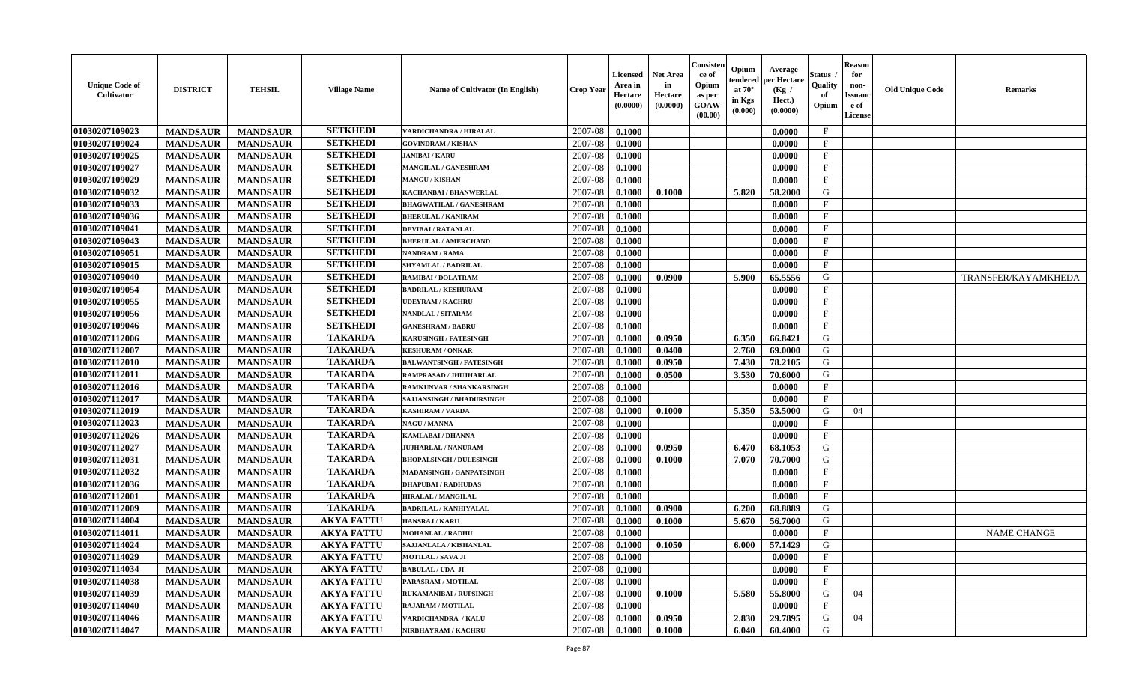| <b>Unique Code of</b><br>Cultivator | <b>DISTRICT</b> | <b>TEHSIL</b>   | <b>Village Name</b> | Name of Cultivator (In English)  | <b>Crop Year</b> | <b>Licensed</b><br>Area in<br>Hectare<br>(0.0000) | <b>Net Area</b><br>in<br>Hectare<br>(0.0000) | Consisten<br>ce of<br>Opium<br>as per<br>GOAW<br>(00.00) | Opium<br>tendered<br>at $70^\circ$<br>in Kgs<br>$(\mathbf{0.000})$ | Average<br>per Hectare<br>(Kg /<br>Hect.)<br>(0.0000) | Status<br>Quality<br>of<br>Opium | <b>Reason</b><br>for<br>non-<br><b>Issuand</b><br>e of<br>License | <b>Old Unique Code</b> | <b>Remarks</b>      |
|-------------------------------------|-----------------|-----------------|---------------------|----------------------------------|------------------|---------------------------------------------------|----------------------------------------------|----------------------------------------------------------|--------------------------------------------------------------------|-------------------------------------------------------|----------------------------------|-------------------------------------------------------------------|------------------------|---------------------|
| 01030207109023                      | <b>MANDSAUR</b> | <b>MANDSAUR</b> | <b>SETKHEDI</b>     | VARDICHANDRA / HIRALAL           | 2007-08          | 0.1000                                            |                                              |                                                          |                                                                    | 0.0000                                                | $\mathbf{F}$                     |                                                                   |                        |                     |
| 01030207109024                      | <b>MANDSAUR</b> | <b>MANDSAUR</b> | <b>SETKHEDI</b>     | <b>GOVINDRAM / KISHAN</b>        | 2007-08          | 0.1000                                            |                                              |                                                          |                                                                    | 0.0000                                                | $\mathbf{F}$                     |                                                                   |                        |                     |
| 01030207109025                      | <b>MANDSAUR</b> | <b>MANDSAUR</b> | <b>SETKHEDI</b>     | <b>JANIBAI/KARU</b>              | 2007-08          | 0.1000                                            |                                              |                                                          |                                                                    | 0.0000                                                | F                                |                                                                   |                        |                     |
| 01030207109027                      | <b>MANDSAUR</b> | <b>MANDSAUR</b> | <b>SETKHEDI</b>     | MANGILAL / GANESHRAM             | 2007-08          | 0.1000                                            |                                              |                                                          |                                                                    | 0.0000                                                | $\mathbf{F}$                     |                                                                   |                        |                     |
| 01030207109029                      | <b>MANDSAUR</b> | <b>MANDSAUR</b> | <b>SETKHEDI</b>     | <b>MANGU / KISHAN</b>            | 2007-08          | 0.1000                                            |                                              |                                                          |                                                                    | 0.0000                                                | $\mathbf{F}$                     |                                                                   |                        |                     |
| 01030207109032                      | <b>MANDSAUR</b> | <b>MANDSAUR</b> | <b>SETKHEDI</b>     | KACHANBAI / BHANWERLAL           | 2007-08          | 0.1000                                            | 0.1000                                       |                                                          | 5.820                                                              | 58.2000                                               | G                                |                                                                   |                        |                     |
| 01030207109033                      | <b>MANDSAUR</b> | <b>MANDSAUR</b> | <b>SETKHEDI</b>     | <b>BHAGWATILAL / GANESHRAM</b>   | 2007-08          | 0.1000                                            |                                              |                                                          |                                                                    | 0.0000                                                | $\mathbf{F}$                     |                                                                   |                        |                     |
| 01030207109036                      | <b>MANDSAUR</b> | <b>MANDSAUR</b> | <b>SETKHEDI</b>     | <b>BHERULAL / KANIRAM</b>        | 2007-08          | 0.1000                                            |                                              |                                                          |                                                                    | 0.0000                                                | $\mathbf{F}$                     |                                                                   |                        |                     |
| 01030207109041                      | <b>MANDSAUR</b> | <b>MANDSAUR</b> | <b>SETKHEDI</b>     | <b>DEVIBAI/RATANLAL</b>          | 2007-08          | 0.1000                                            |                                              |                                                          |                                                                    | 0.0000                                                | $\mathbf{F}$                     |                                                                   |                        |                     |
| 01030207109043                      | <b>MANDSAUR</b> | <b>MANDSAUR</b> | <b>SETKHEDI</b>     | <b>BHERULAL / AMERCHAND</b>      | 2007-08          | 0.1000                                            |                                              |                                                          |                                                                    | 0.0000                                                | $_{\rm F}$                       |                                                                   |                        |                     |
| 01030207109051                      | <b>MANDSAUR</b> | <b>MANDSAUR</b> | <b>SETKHEDI</b>     | NANDRAM / RAMA                   | 2007-08          | 0.1000                                            |                                              |                                                          |                                                                    | 0.0000                                                | $\mathbf{F}$                     |                                                                   |                        |                     |
| 01030207109015                      | <b>MANDSAUR</b> | <b>MANDSAUR</b> | <b>SETKHEDI</b>     | SHYAMLAL / BADRILAL              | 2007-08          | 0.1000                                            |                                              |                                                          |                                                                    | 0.0000                                                | $\mathbf{F}$                     |                                                                   |                        |                     |
| 01030207109040                      | <b>MANDSAUR</b> | <b>MANDSAUR</b> | <b>SETKHEDI</b>     | RAMIBAI / DOLATRAM               | 2007-08          | 0.1000                                            | 0.0900                                       |                                                          | 5.900                                                              | 65.5556                                               | G                                |                                                                   |                        | TRANSFER/KAYAMKHEDA |
| 01030207109054                      | <b>MANDSAUR</b> | <b>MANDSAUR</b> | <b>SETKHEDI</b>     | <b>BADRILAL / KESHURAM</b>       | 2007-08          | 0.1000                                            |                                              |                                                          |                                                                    | 0.0000                                                | $\mathbf F$                      |                                                                   |                        |                     |
| 01030207109055                      | <b>MANDSAUR</b> | <b>MANDSAUR</b> | <b>SETKHEDI</b>     | <b>UDEYRAM / KACHRU</b>          | 2007-08          | 0.1000                                            |                                              |                                                          |                                                                    | 0.0000                                                | $\mathbf{F}$                     |                                                                   |                        |                     |
| 01030207109056                      | <b>MANDSAUR</b> | <b>MANDSAUR</b> | <b>SETKHEDI</b>     | <b>NANDLAL / SITARAM</b>         | 2007-08          | 0.1000                                            |                                              |                                                          |                                                                    | 0.0000                                                | $\mathbf{F}$                     |                                                                   |                        |                     |
| 01030207109046                      | <b>MANDSAUR</b> | <b>MANDSAUR</b> | <b>SETKHEDI</b>     | <b>GANESHRAM / BABRU</b>         | 2007-08          | 0.1000                                            |                                              |                                                          |                                                                    | 0.0000                                                | $\mathbf{F}$                     |                                                                   |                        |                     |
| 01030207112006                      | <b>MANDSAUR</b> | <b>MANDSAUR</b> | <b>TAKARDA</b>      | <b>KARUSINGH / FATESINGH</b>     | 2007-08          | 0.1000                                            | 0.0950                                       |                                                          | 6.350                                                              | 66.8421                                               | G                                |                                                                   |                        |                     |
| 01030207112007                      | <b>MANDSAUR</b> | <b>MANDSAUR</b> | <b>TAKARDA</b>      | <b>KESHURAM / ONKAR</b>          | 2007-08          | 0.1000                                            | 0.0400                                       |                                                          | 2.760                                                              | 69.0000                                               | G                                |                                                                   |                        |                     |
| 01030207112010                      | <b>MANDSAUR</b> | <b>MANDSAUR</b> | <b>TAKARDA</b>      | <b>BALWANTSINGH / FATESINGH</b>  | 2007-08          | 0.1000                                            | 0.0950                                       |                                                          | 7.430                                                              | 78.2105                                               | G                                |                                                                   |                        |                     |
| 01030207112011                      | <b>MANDSAUR</b> | <b>MANDSAUR</b> | <b>TAKARDA</b>      | RAMPRASAD / JHUJHARLAL           | 2007-08          | 0.1000                                            | 0.0500                                       |                                                          | 3.530                                                              | 70.6000                                               | G                                |                                                                   |                        |                     |
| 01030207112016                      | <b>MANDSAUR</b> | <b>MANDSAUR</b> | <b>TAKARDA</b>      | RAMKUNVAR / SHANKARSINGH         | 2007-08          | 0.1000                                            |                                              |                                                          |                                                                    | 0.0000                                                | $\mathbf{F}$                     |                                                                   |                        |                     |
| 01030207112017                      | <b>MANDSAUR</b> | <b>MANDSAUR</b> | <b>TAKARDA</b>      | <b>SAJJANSINGH / BHADURSINGH</b> | 2007-08          | 0.1000                                            |                                              |                                                          |                                                                    | 0.0000                                                | $\mathbf{F}$                     |                                                                   |                        |                     |
| 01030207112019                      | <b>MANDSAUR</b> | <b>MANDSAUR</b> | <b>TAKARDA</b>      | <b>KASHIRAM / VARDA</b>          | 2007-08          | 0.1000                                            | 0.1000                                       |                                                          | 5.350                                                              | 53.5000                                               | G                                | 04                                                                |                        |                     |
| 01030207112023                      | <b>MANDSAUR</b> | <b>MANDSAUR</b> | <b>TAKARDA</b>      | <b>NAGU / MANNA</b>              | 2007-08          | 0.1000                                            |                                              |                                                          |                                                                    | 0.0000                                                | $\mathbf F$                      |                                                                   |                        |                     |
| 01030207112026                      | <b>MANDSAUR</b> | <b>MANDSAUR</b> | <b>TAKARDA</b>      | KAMLABAI / DHANNA                | 2007-08          | 0.1000                                            |                                              |                                                          |                                                                    | 0.0000                                                | $\mathbf{F}$                     |                                                                   |                        |                     |
| 01030207112027                      | <b>MANDSAUR</b> | <b>MANDSAUR</b> | <b>TAKARDA</b>      | <b>JUJHARLAL / NANURAM</b>       | 2007-08          | 0.1000                                            | 0.0950                                       |                                                          | 6.470                                                              | 68.1053                                               | G                                |                                                                   |                        |                     |
| 01030207112031                      | <b>MANDSAUR</b> | <b>MANDSAUR</b> | <b>TAKARDA</b>      | <b>BHOPALSINGH / DULESINGH</b>   | 2007-08          | 0.1000                                            | 0.1000                                       |                                                          | 7.070                                                              | 70.7000                                               | G                                |                                                                   |                        |                     |
| 01030207112032                      | <b>MANDSAUR</b> | <b>MANDSAUR</b> | <b>TAKARDA</b>      | <b>MADANSINGH / GANPATSINGH</b>  | 2007-08          | 0.1000                                            |                                              |                                                          |                                                                    | 0.0000                                                | $\mathbf{F}$                     |                                                                   |                        |                     |
| 01030207112036                      | <b>MANDSAUR</b> | <b>MANDSAUR</b> | <b>TAKARDA</b>      | <b>DHAPUBAI/RADHUDAS</b>         | 2007-08          | 0.1000                                            |                                              |                                                          |                                                                    | 0.0000                                                | $\mathbf{F}$                     |                                                                   |                        |                     |
| 01030207112001                      | <b>MANDSAUR</b> | <b>MANDSAUR</b> | <b>TAKARDA</b>      | <b>HIRALAL / MANGILAL</b>        | 2007-08          | 0.1000                                            |                                              |                                                          |                                                                    | 0.0000                                                | $_{\rm F}$                       |                                                                   |                        |                     |
| 01030207112009                      | <b>MANDSAUR</b> | <b>MANDSAUR</b> | <b>TAKARDA</b>      | <b>BADRILAL / KANHIYALAL</b>     | 2007-08          | 0.1000                                            | 0.0900                                       |                                                          | 6.200                                                              | 68.8889                                               | G                                |                                                                   |                        |                     |
| 01030207114004                      | <b>MANDSAUR</b> | <b>MANDSAUR</b> | <b>AKYA FATTU</b>   | HANSRAJ / KARU                   | 2007-08          | 0.1000                                            | 0.1000                                       |                                                          | 5.670                                                              | 56.7000                                               | G                                |                                                                   |                        |                     |
| 01030207114011                      | <b>MANDSAUR</b> | <b>MANDSAUR</b> | <b>AKYA FATTU</b>   | <b>MOHANLAL / RADHU</b>          | 2007-08          | 0.1000                                            |                                              |                                                          |                                                                    | 0.0000                                                | $\mathbf{F}$                     |                                                                   |                        | <b>NAME CHANGE</b>  |
| 01030207114024                      | <b>MANDSAUR</b> | <b>MANDSAUR</b> | <b>AKYA FATTU</b>   | SAJJANLALA / KISHANLAL           | 2007-08          | 0.1000                                            | 0.1050                                       |                                                          | 6.000                                                              | 57.1429                                               | G                                |                                                                   |                        |                     |
| 01030207114029                      | <b>MANDSAUR</b> | MANDSAUR        | <b>AKYA FATTU</b>   | <b>MOTILAL / SAVA JI</b>         |                  | $2007-08$ 0.1000                                  |                                              |                                                          |                                                                    | 0.0000                                                | F                                |                                                                   |                        |                     |
| 01030207114034                      | <b>MANDSAUR</b> | <b>MANDSAUR</b> | <b>AKYA FATTU</b>   | <b>BABULAL / UDA JI</b>          | 2007-08          | 0.1000                                            |                                              |                                                          |                                                                    | 0.0000                                                | $\mathbf{F}$                     |                                                                   |                        |                     |
| 01030207114038                      | <b>MANDSAUR</b> | <b>MANDSAUR</b> | <b>AKYA FATTU</b>   | PARASRAM / MOTILAL               | 2007-08          | 0.1000                                            |                                              |                                                          |                                                                    | 0.0000                                                | $\mathbf{F}$                     |                                                                   |                        |                     |
| 01030207114039                      | <b>MANDSAUR</b> | <b>MANDSAUR</b> | <b>AKYA FATTU</b>   | <b>RUKAMANIBAI / RUPSINGH</b>    | 2007-08          | 0.1000                                            | 0.1000                                       |                                                          | 5.580                                                              | 55.8000                                               | G                                | 04                                                                |                        |                     |
| 01030207114040                      | <b>MANDSAUR</b> | <b>MANDSAUR</b> | <b>AKYA FATTU</b>   | <b>RAJARAM / MOTILAL</b>         | 2007-08          | 0.1000                                            |                                              |                                                          |                                                                    | 0.0000                                                | $\mathbf{F}$                     |                                                                   |                        |                     |
| 01030207114046                      | <b>MANDSAUR</b> | <b>MANDSAUR</b> | <b>AKYA FATTU</b>   | VARDICHANDRA / KALU              | 2007-08          | 0.1000                                            | 0.0950                                       |                                                          | 2.830                                                              | 29.7895                                               | G                                | 04                                                                |                        |                     |
| 01030207114047                      | <b>MANDSAUR</b> | <b>MANDSAUR</b> | <b>AKYA FATTU</b>   | NIRBHAYRAM / KACHRU              | 2007-08          | 0.1000                                            | 0.1000                                       |                                                          | 6.040                                                              | 60.4000                                               | G                                |                                                                   |                        |                     |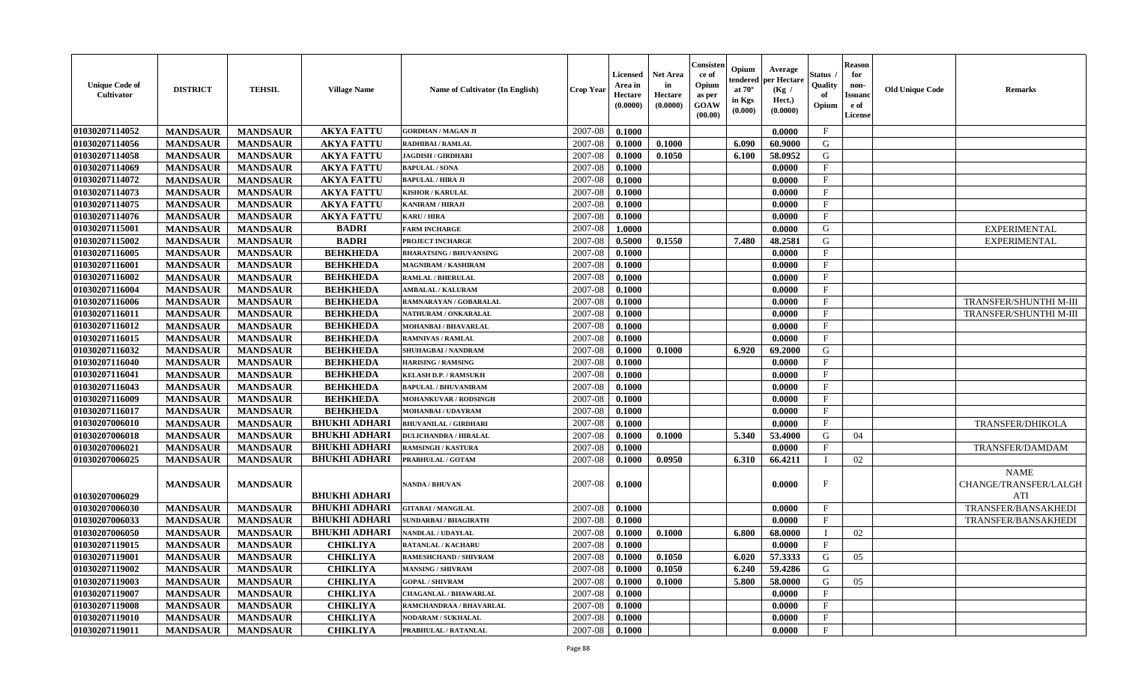| <b>Unique Code of</b><br>Cultivator | <b>DISTRICT</b> | <b>TEHSIL</b>   | <b>Village Name</b>  | <b>Name of Cultivator (In English)</b> | <b>Crop Year</b> | Licensed<br>Area in<br>Hectare<br>(0.0000) | <b>Net Area</b><br>in<br>Hectare<br>(0.0000) | Consister<br>ce of<br>Opium<br>as per<br><b>GOAW</b><br>(00.00) | Opium<br>tendered<br>at $70^{\circ}$<br>in Kgs<br>(0.000) | Average<br>per Hectare<br>(Kg /<br>Hect.)<br>(0.0000) | Status<br>Quality<br>of<br>Opium | <b>Reason</b><br>for<br>non-<br><b>Issuand</b><br>e of<br>License | <b>Old Unique Code</b> | <b>Remarks</b>                              |
|-------------------------------------|-----------------|-----------------|----------------------|----------------------------------------|------------------|--------------------------------------------|----------------------------------------------|-----------------------------------------------------------------|-----------------------------------------------------------|-------------------------------------------------------|----------------------------------|-------------------------------------------------------------------|------------------------|---------------------------------------------|
| 01030207114052                      | <b>MANDSAUR</b> | <b>MANDSAUR</b> | <b>AKYA FATTU</b>    | <b>GORDHAN / MAGAN JI</b>              | 2007-08          | 0.1000                                     |                                              |                                                                 |                                                           | 0.0000                                                | $\mathbf{F}$                     |                                                                   |                        |                                             |
| 01030207114056                      | <b>MANDSAUR</b> | <b>MANDSAUR</b> | <b>AKYA FATTU</b>    | <b>RADHIBAI / RAMLAL</b>               | 2007-08          | 0.1000                                     | 0.1000                                       |                                                                 | 6.090                                                     | 60.9000                                               | G                                |                                                                   |                        |                                             |
| 01030207114058                      | <b>MANDSAUR</b> | <b>MANDSAUR</b> | <b>AKYA FATTU</b>    | <b>JAGDISH / GIRDHARI</b>              | 2007-08          | 0.1000                                     | 0.1050                                       |                                                                 | 6.100                                                     | 58.0952                                               | G                                |                                                                   |                        |                                             |
| 01030207114069                      | <b>MANDSAUR</b> | <b>MANDSAUR</b> | <b>AKYA FATTU</b>    | <b>BAPULAL / SONA</b>                  | 2007-08          | 0.1000                                     |                                              |                                                                 |                                                           | 0.0000                                                | F                                |                                                                   |                        |                                             |
| 01030207114072                      | <b>MANDSAUR</b> | <b>MANDSAUR</b> | <b>AKYA FATTU</b>    | <b>BAPULAL / HIRA JI</b>               | 2007-08          | 0.1000                                     |                                              |                                                                 |                                                           | 0.0000                                                | F                                |                                                                   |                        |                                             |
| 01030207114073                      | <b>MANDSAUR</b> | <b>MANDSAUR</b> | <b>AKYA FATTU</b>    | <b>KISHOR / KARULAL</b>                | 2007-08          | 0.1000                                     |                                              |                                                                 |                                                           | 0.0000                                                | $\mathbf{F}$                     |                                                                   |                        |                                             |
| 01030207114075                      | <b>MANDSAUR</b> | <b>MANDSAUR</b> | <b>AKYA FATTU</b>    | <b>KANIRAM / HIRAJI</b>                | 2007-08          | 0.1000                                     |                                              |                                                                 |                                                           | 0.0000                                                | $\mathbf{F}$                     |                                                                   |                        |                                             |
| 01030207114076                      | <b>MANDSAUR</b> | <b>MANDSAUR</b> | <b>AKYA FATTU</b>    | <b>KARU / HIRA</b>                     | 2007-08          | 0.1000                                     |                                              |                                                                 |                                                           | 0.0000                                                | $\mathbf{F}$                     |                                                                   |                        |                                             |
| 01030207115001                      | <b>MANDSAUR</b> | <b>MANDSAUR</b> | <b>BADRI</b>         | <b>FARM INCHARGE</b>                   | 2007-08          | 1.0000                                     |                                              |                                                                 |                                                           | 0.0000                                                | G                                |                                                                   |                        | <b>EXPERIMENTAL</b>                         |
| 01030207115002                      | <b>MANDSAUR</b> | <b>MANDSAUR</b> | <b>BADRI</b>         | PROJECT INCHARGE                       | 2007-08          | 0.5000                                     | 0.1550                                       |                                                                 | 7.480                                                     | 48.2581                                               | G                                |                                                                   |                        | <b>EXPERIMENTAL</b>                         |
| 01030207116005                      | <b>MANDSAUR</b> | <b>MANDSAUR</b> | <b>BEHKHEDA</b>      | <b>BHARATSING / BHUVANSING</b>         | 2007-08          | 0.1000                                     |                                              |                                                                 |                                                           | 0.0000                                                | $\mathbf{F}$                     |                                                                   |                        |                                             |
| 01030207116001                      | <b>MANDSAUR</b> | <b>MANDSAUR</b> | <b>BEHKHEDA</b>      | <b>MAGNIRAM / KASHIRAM</b>             | 2007-08          | 0.1000                                     |                                              |                                                                 |                                                           | 0.0000                                                | $\mathbf{F}$                     |                                                                   |                        |                                             |
| 01030207116002                      | <b>MANDSAUR</b> | <b>MANDSAUR</b> | <b>BEHKHEDA</b>      | <b>RAMLAL / BHERULAL</b>               | 2007-08          | 0.1000                                     |                                              |                                                                 |                                                           | 0.0000                                                | $\mathbf{F}$                     |                                                                   |                        |                                             |
| 01030207116004                      | <b>MANDSAUR</b> | <b>MANDSAUR</b> | <b>BEHKHEDA</b>      | <b>AMBALAL / KALURAM</b>               | 2007-08          | 0.1000                                     |                                              |                                                                 |                                                           | 0.0000                                                | $\mathbf{F}$                     |                                                                   |                        |                                             |
| 01030207116006                      | <b>MANDSAUR</b> | <b>MANDSAUR</b> | <b>BEHKHEDA</b>      | RAMNARAYAN / GOBARALAL                 | 2007-08          | 0.1000                                     |                                              |                                                                 |                                                           | 0.0000                                                | $_{\rm F}$                       |                                                                   |                        | TRANSFER/SHUNTHI M-III                      |
| 01030207116011                      | <b>MANDSAUR</b> | <b>MANDSAUR</b> | <b>BEHKHEDA</b>      | NATHURAM / ONKARALAL                   | 2007-08          | 0.1000                                     |                                              |                                                                 |                                                           | 0.0000                                                | $\mathbf{F}$                     |                                                                   |                        | TRANSFER/SHUNTHI M-III                      |
| 01030207116012                      | <b>MANDSAUR</b> | <b>MANDSAUR</b> | <b>BEHKHEDA</b>      | MOHANBAI / BHAVARLAL                   | 2007-08          | 0.1000                                     |                                              |                                                                 |                                                           | 0.0000                                                | $\mathbf{F}$                     |                                                                   |                        |                                             |
| 01030207116015                      | <b>MANDSAUR</b> | <b>MANDSAUR</b> | <b>BEHKHEDA</b>      | <b>RAMNIVAS / RAMLAL</b>               | 2007-08          | 0.1000                                     |                                              |                                                                 |                                                           | 0.0000                                                | $\mathbf{F}$                     |                                                                   |                        |                                             |
| 01030207116032                      | <b>MANDSAUR</b> | <b>MANDSAUR</b> | <b>BEHKHEDA</b>      | SHUHAGBAI / NANDRAM                    | 2007-08          | 0.1000                                     | 0.1000                                       |                                                                 | 6.920                                                     | 69.2000                                               | G                                |                                                                   |                        |                                             |
| 01030207116040                      | <b>MANDSAUR</b> | <b>MANDSAUR</b> | <b>BEHKHEDA</b>      | <b>HARISING / RAMSING</b>              | 2007-08          | 0.1000                                     |                                              |                                                                 |                                                           | 0.0000                                                | $\mathbf{F}$                     |                                                                   |                        |                                             |
| 01030207116041                      | <b>MANDSAUR</b> | <b>MANDSAUR</b> | <b>BEHKHEDA</b>      | <b>KELASH D.P. / RAMSUKH</b>           | 2007-08          | 0.1000                                     |                                              |                                                                 |                                                           | 0.0000                                                | $\mathbf{F}$                     |                                                                   |                        |                                             |
| 01030207116043                      | <b>MANDSAUR</b> | <b>MANDSAUR</b> | <b>BEHKHEDA</b>      | <b>BAPULAL / BHUVANIRAM</b>            | 2007-08          | 0.1000                                     |                                              |                                                                 |                                                           | 0.0000                                                | $\mathbf{F}$                     |                                                                   |                        |                                             |
| 01030207116009                      | <b>MANDSAUR</b> | <b>MANDSAUR</b> | <b>BEHKHEDA</b>      | <b>MOHANKUVAR / RODSINGH</b>           | 2007-08          | 0.1000                                     |                                              |                                                                 |                                                           | 0.0000                                                | $\mathbf{F}$                     |                                                                   |                        |                                             |
| 01030207116017                      | <b>MANDSAUR</b> | <b>MANDSAUR</b> | <b>BEHKHEDA</b>      | MOHANBAI / UDAYRAM                     | 2007-08          | 0.1000                                     |                                              |                                                                 |                                                           | 0.0000                                                | $\mathbf{F}$                     |                                                                   |                        |                                             |
| 01030207006010                      | <b>MANDSAUR</b> | <b>MANDSAUR</b> | <b>BHUKHI ADHARI</b> | <b>BHUVANILAL / GIRDHARI</b>           | 2007-08          | 0.1000                                     |                                              |                                                                 |                                                           | 0.0000                                                | $\mathbf{F}$                     |                                                                   |                        | <b>TRANSFER/DHIKOLA</b>                     |
| 01030207006018                      | <b>MANDSAUR</b> | <b>MANDSAUR</b> | <b>BHUKHI ADHARI</b> | <b>DULICHANDRA / HIRALAL</b>           | 2007-08          | 0.1000                                     | 0.1000                                       |                                                                 | 5.340                                                     | 53.4000                                               | G                                | 04                                                                |                        |                                             |
| 01030207006021                      | <b>MANDSAUR</b> | <b>MANDSAUR</b> | <b>BHUKHI ADHARI</b> | <b>RAMSINGH / KASTURA</b>              | 2007-08          | 0.1000                                     |                                              |                                                                 |                                                           | 0.0000                                                | F                                |                                                                   |                        | TRANSFER/DAMDAM                             |
| 01030207006025                      | <b>MANDSAUR</b> | <b>MANDSAUR</b> | <b>BHUKHI ADHARI</b> | PRABHULAL / GOTAM                      | 2007-08          | 0.1000                                     | 0.0950                                       |                                                                 | 6.310                                                     | 66.4211                                               |                                  | 02                                                                |                        |                                             |
| 01030207006029                      | <b>MANDSAUR</b> | <b>MANDSAUR</b> | <b>BHUKHI ADHARI</b> | <b>NANDA / BHUVAN</b>                  | 2007-08          | 0.1000                                     |                                              |                                                                 |                                                           | 0.0000                                                | $\mathbf F$                      |                                                                   |                        | <b>NAME</b><br>CHANGE/TRANSFER/LALGH<br>ATI |
| 01030207006030                      | <b>MANDSAUR</b> | <b>MANDSAUR</b> | <b>BHUKHI ADHARI</b> | <b>GITABAI/MANGILAL</b>                | 2007-08          | 0.1000                                     |                                              |                                                                 |                                                           | 0.0000                                                | $\mathbf{F}$                     |                                                                   |                        | TRANSFER/BANSAKHEDI                         |
| 01030207006033                      | <b>MANDSAUR</b> | <b>MANDSAUR</b> | <b>BHUKHI ADHARI</b> | <b>SUNDARBAI / BHAGIRATH</b>           | 2007-08          | 0.1000                                     |                                              |                                                                 |                                                           | 0.0000                                                | $\mathbf{F}$                     |                                                                   |                        | TRANSFER/BANSAKHEDI                         |
| 01030207006050                      | <b>MANDSAUR</b> | <b>MANDSAUR</b> | <b>BHUKHI ADHARI</b> | NANDLAL / UDAYLAL                      | 2007-08          | 0.1000                                     | 0.1000                                       |                                                                 | 6.800                                                     | 68.0000                                               |                                  | 02                                                                |                        |                                             |
| 01030207119015                      | <b>MANDSAUR</b> | <b>MANDSAUR</b> | <b>CHIKLIYA</b>      | <b>RATANLAL / KACHARU</b>              | 2007-08          | 0.1000                                     |                                              |                                                                 |                                                           | 0.0000                                                | $\mathbf{F}$                     |                                                                   |                        |                                             |
| 01030207119001                      | <b>MANDSAUR</b> | <b>MANDSAUR</b> | <b>CHIKLIYA</b>      | <b>RAMESHCHAND / SHIVRAM</b>           | 2007-08          | 0.1000                                     | 0.1050                                       |                                                                 |                                                           | 6.020 57.3333                                         | G                                | 05                                                                |                        |                                             |
| 01030207119002                      | <b>MANDSAUR</b> | <b>MANDSAUR</b> | <b>CHIKLIYA</b>      | <b>MANSING / SHIVRAM</b>               | 2007-08          | 0.1000                                     | 0.1050                                       |                                                                 | 6.240                                                     | 59.4286                                               | G                                |                                                                   |                        |                                             |
| 01030207119003                      | <b>MANDSAUR</b> | <b>MANDSAUR</b> | <b>CHIKLIYA</b>      | <b>GOPAL / SHIVRAM</b>                 | 2007-08          | 0.1000                                     | 0.1000                                       |                                                                 | 5.800                                                     | 58.0000                                               | G                                | 05                                                                |                        |                                             |
| 01030207119007                      | <b>MANDSAUR</b> | <b>MANDSAUR</b> | <b>CHIKLIYA</b>      | <b>CHAGANLAL / BHAWARLAL</b>           | 2007-08          | 0.1000                                     |                                              |                                                                 |                                                           | 0.0000                                                | $\mathbf{F}$                     |                                                                   |                        |                                             |
| 01030207119008                      | <b>MANDSAUR</b> | <b>MANDSAUR</b> | <b>CHIKLIYA</b>      | RAMCHANDRAA / BHAVARLAL                | 2007-08          | 0.1000                                     |                                              |                                                                 |                                                           | 0.0000                                                | $\mathbf{F}$                     |                                                                   |                        |                                             |
| 01030207119010                      | <b>MANDSAUR</b> | <b>MANDSAUR</b> | <b>CHIKLIYA</b>      | <b>NODARAM / SUKHALAL</b>              | 2007-08          | 0.1000                                     |                                              |                                                                 |                                                           | 0.0000                                                | $\mathbf{F}$                     |                                                                   |                        |                                             |
| 01030207119011                      | <b>MANDSAUR</b> | <b>MANDSAUR</b> | <b>CHIKLIYA</b>      | PRABHULAL / RATANLAL                   | 2007-08          | $\boldsymbol{0.1000}$                      |                                              |                                                                 |                                                           | 0.0000                                                | $\mathbf{F}$                     |                                                                   |                        |                                             |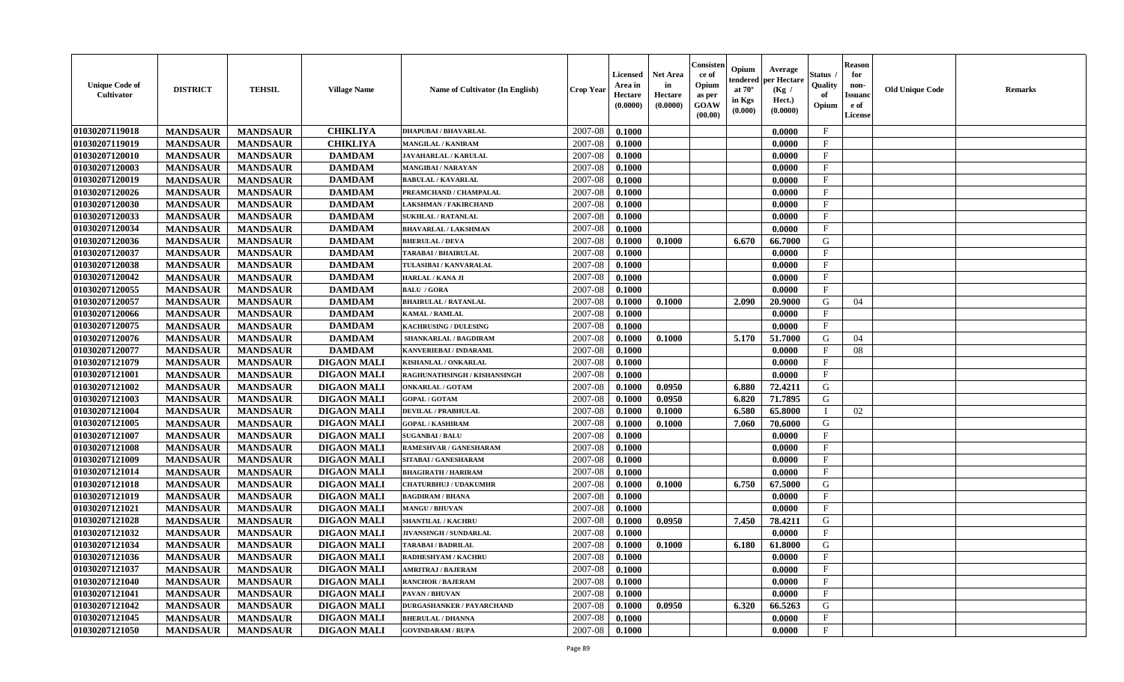| <b>Unique Code of</b><br><b>Cultivator</b> | <b>DISTRICT</b> | <b>TEHSIL</b>   | <b>Village Name</b> | Name of Cultivator (In English)  | <b>Crop Year</b> | <b>Licensed</b><br>Area in<br>Hectare<br>(0.0000) | <b>Net Area</b><br>in<br>Hectare<br>(0.0000) | Consister<br>ce of<br>Opium<br>as per<br><b>GOAW</b><br>(00.00) | Opium<br>endered<br>at $70^\circ$<br>in Kgs<br>(0.000) | Average<br>per Hectare<br>(Kg /<br>Hect.)<br>(0.0000) | Status<br>Quality<br>of<br>Opium | <b>Reason</b><br>for<br>non-<br><b>Issuand</b><br>e of<br><b>License</b> | <b>Old Unique Code</b> | <b>Remarks</b> |
|--------------------------------------------|-----------------|-----------------|---------------------|----------------------------------|------------------|---------------------------------------------------|----------------------------------------------|-----------------------------------------------------------------|--------------------------------------------------------|-------------------------------------------------------|----------------------------------|--------------------------------------------------------------------------|------------------------|----------------|
| 01030207119018                             | <b>MANDSAUR</b> | <b>MANDSAUR</b> | <b>CHIKLIYA</b>     | <b>DHAPUBAI/BHAVARLAL</b>        | 2007-08          | 0.1000                                            |                                              |                                                                 |                                                        | 0.0000                                                | $\mathbf{F}$                     |                                                                          |                        |                |
| 01030207119019                             | <b>MANDSAUR</b> | <b>MANDSAUR</b> | <b>CHIKLIYA</b>     | <b>MANGILAL / KANIRAM</b>        | 2007-08          | 0.1000                                            |                                              |                                                                 |                                                        | 0.0000                                                | $\mathbf F$                      |                                                                          |                        |                |
| 01030207120010                             | <b>MANDSAUR</b> | <b>MANDSAUR</b> | <b>DAMDAM</b>       | <b>JAVAHARLAL / KARULAL</b>      | 2007-08          | 0.1000                                            |                                              |                                                                 |                                                        | 0.0000                                                | $\mathbf{F}$                     |                                                                          |                        |                |
| 01030207120003                             | <b>MANDSAUR</b> | <b>MANDSAUR</b> | <b>DAMDAM</b>       | <b>MANGIBAI/NARAYAN</b>          | 2007-08          | 0.1000                                            |                                              |                                                                 |                                                        | 0.0000                                                | $\mathbf{F}$                     |                                                                          |                        |                |
| 01030207120019                             | <b>MANDSAUR</b> | <b>MANDSAUR</b> | <b>DAMDAM</b>       | <b>BABULAL / KAVARLAL</b>        | 2007-08          | 0.1000                                            |                                              |                                                                 |                                                        | 0.0000                                                | $\mathbf{F}$                     |                                                                          |                        |                |
| 01030207120026                             | <b>MANDSAUR</b> | <b>MANDSAUR</b> | <b>DAMDAM</b>       | PREAMCHAND / CHAMPALAL           | 2007-08          | 0.1000                                            |                                              |                                                                 |                                                        | 0.0000                                                | $_{\rm F}$                       |                                                                          |                        |                |
| 01030207120030                             | <b>MANDSAUR</b> | <b>MANDSAUR</b> | <b>DAMDAM</b>       | <b>LAKSHMAN / FAKIRCHAND</b>     | 2007-08          | 0.1000                                            |                                              |                                                                 |                                                        | 0.0000                                                | $\mathbf{F}$                     |                                                                          |                        |                |
| 01030207120033                             | <b>MANDSAUR</b> | <b>MANDSAUR</b> | <b>DAMDAM</b>       | <b>SUKHLAL / RATANLAL</b>        | 2007-08          | 0.1000                                            |                                              |                                                                 |                                                        | 0.0000                                                | $\mathbf{F}$                     |                                                                          |                        |                |
| 01030207120034                             | <b>MANDSAUR</b> | <b>MANDSAUR</b> | <b>DAMDAM</b>       | <b>BHAVARLAL / LAKSHMAN</b>      | 2007-08          | 0.1000                                            |                                              |                                                                 |                                                        | 0.0000                                                | $\mathbf{F}$                     |                                                                          |                        |                |
| 01030207120036                             | <b>MANDSAUR</b> | <b>MANDSAUR</b> | <b>DAMDAM</b>       | <b>BHERULAL / DEVA</b>           | 2007-08          | 0.1000                                            | 0.1000                                       |                                                                 | 6.670                                                  | 66.7000                                               | G                                |                                                                          |                        |                |
| 01030207120037                             | <b>MANDSAUR</b> | <b>MANDSAUR</b> | <b>DAMDAM</b>       | <b>TARABAI / BHAIRULAL</b>       | 2007-08          | 0.1000                                            |                                              |                                                                 |                                                        | 0.0000                                                | $\mathbf{F}$                     |                                                                          |                        |                |
| 01030207120038                             | <b>MANDSAUR</b> | <b>MANDSAUR</b> | <b>DAMDAM</b>       | TULASIBAI / KANVARALAL           | 2007-08          | 0.1000                                            |                                              |                                                                 |                                                        | 0.0000                                                | $\mathbf{F}$                     |                                                                          |                        |                |
| 01030207120042                             | <b>MANDSAUR</b> | <b>MANDSAUR</b> | <b>DAMDAM</b>       | HARLAL / KANA JI                 | 2007-08          | 0.1000                                            |                                              |                                                                 |                                                        | 0.0000                                                | $\mathbf{F}$                     |                                                                          |                        |                |
| 01030207120055                             | <b>MANDSAUR</b> | <b>MANDSAUR</b> | <b>DAMDAM</b>       | <b>BALU / GORA</b>               | 2007-08          | 0.1000                                            |                                              |                                                                 |                                                        | 0.0000                                                | $_{\rm F}$                       |                                                                          |                        |                |
| 01030207120057                             | <b>MANDSAUR</b> | <b>MANDSAUR</b> | <b>DAMDAM</b>       | <b>BHAIRULAL / RATANLAL</b>      | 2007-08          | 0.1000                                            | 0.1000                                       |                                                                 | 2.090                                                  | 20.9000                                               | G                                | 04                                                                       |                        |                |
| 01030207120066                             | <b>MANDSAUR</b> | <b>MANDSAUR</b> | <b>DAMDAM</b>       | <b>KAMAL / RAMLAL</b>            | 2007-08          | 0.1000                                            |                                              |                                                                 |                                                        | 0.0000                                                | $_{\rm F}$                       |                                                                          |                        |                |
| 01030207120075                             | <b>MANDSAUR</b> | <b>MANDSAUR</b> | <b>DAMDAM</b>       | <b>KACHRUSING / DULESING</b>     | 2007-08          | 0.1000                                            |                                              |                                                                 |                                                        | 0.0000                                                | $\mathbf{F}$                     |                                                                          |                        |                |
| 01030207120076                             | <b>MANDSAUR</b> | <b>MANDSAUR</b> | <b>DAMDAM</b>       | <b>SHANKARLAL / BAGDIRAM</b>     | 2007-08          | 0.1000                                            | 0.1000                                       |                                                                 | 5.170                                                  | 51.7000                                               | G                                | 04                                                                       |                        |                |
| 01030207120077                             | <b>MANDSAUR</b> | <b>MANDSAUR</b> | <b>DAMDAM</b>       | KANVERIEBAI / INDARAML           | 2007-08          | 0.1000                                            |                                              |                                                                 |                                                        | 0.0000                                                | $_{\rm F}$                       | 08                                                                       |                        |                |
| 01030207121079                             | <b>MANDSAUR</b> | <b>MANDSAUR</b> | <b>DIGAON MALI</b>  | <b>KISHANLAL / ONKARLAL</b>      | 2007-08          | 0.1000                                            |                                              |                                                                 |                                                        | 0.0000                                                | $\mathbf{F}$                     |                                                                          |                        |                |
| 01030207121001                             | <b>MANDSAUR</b> | <b>MANDSAUR</b> | <b>DIGAON MALI</b>  | RAGHUNATHSINGH / KISHANSINGH     | 2007-08          | 0.1000                                            |                                              |                                                                 |                                                        | 0.0000                                                | $\mathbf{F}$                     |                                                                          |                        |                |
| 01030207121002                             | <b>MANDSAUR</b> | <b>MANDSAUR</b> | <b>DIGAON MALI</b>  | <b>ONKARLAL / GOTAM</b>          | 2007-08          | 0.1000                                            | 0.0950                                       |                                                                 | 6.880                                                  | 72.4211                                               | G                                |                                                                          |                        |                |
| 01030207121003                             | <b>MANDSAUR</b> | <b>MANDSAUR</b> | <b>DIGAON MALI</b>  | <b>GOPAL / GOTAM</b>             | 2007-08          | 0.1000                                            | 0.0950                                       |                                                                 | 6.820                                                  | 71.7895                                               | G                                |                                                                          |                        |                |
| 01030207121004                             | <b>MANDSAUR</b> | <b>MANDSAUR</b> | <b>DIGAON MALI</b>  | <b>DEVILAL / PRABHULAL</b>       | 2007-08          | 0.1000                                            | 0.1000                                       |                                                                 | 6.580                                                  | 65.8000                                               |                                  | 02                                                                       |                        |                |
| 01030207121005                             | <b>MANDSAUR</b> | <b>MANDSAUR</b> | <b>DIGAON MALI</b>  | <b>GOPAL / KASHIRAM</b>          | 2007-08          | 0.1000                                            | 0.1000                                       |                                                                 | 7.060                                                  | 70.6000                                               | G                                |                                                                          |                        |                |
| 01030207121007                             | <b>MANDSAUR</b> | <b>MANDSAUR</b> | <b>DIGAON MALI</b>  | <b>SUGANBAI/BALU</b>             | 2007-08          | 0.1000                                            |                                              |                                                                 |                                                        | 0.0000                                                | $\mathbf{F}$                     |                                                                          |                        |                |
| 01030207121008                             | <b>MANDSAUR</b> | <b>MANDSAUR</b> | <b>DIGAON MALI</b>  | RAMESHVAR / GANESHARAM           | 2007-08          | 0.1000                                            |                                              |                                                                 |                                                        | 0.0000                                                | F                                |                                                                          |                        |                |
| 01030207121009                             | <b>MANDSAUR</b> | <b>MANDSAUR</b> | <b>DIGAON MALI</b>  | SITABAI / GANESHARAM             | 2007-08          | 0.1000                                            |                                              |                                                                 |                                                        | 0.0000                                                | $_{\rm F}$                       |                                                                          |                        |                |
| 01030207121014                             | <b>MANDSAUR</b> | <b>MANDSAUR</b> | <b>DIGAON MALI</b>  | <b>BHAGIRATH / HARIRAM</b>       | 2007-08          | 0.1000                                            |                                              |                                                                 |                                                        | 0.0000                                                | $\mathbf{F}$                     |                                                                          |                        |                |
| 01030207121018                             | <b>MANDSAUR</b> | <b>MANDSAUR</b> | <b>DIGAON MALI</b>  | <b>CHATURBHUJ / UDAKUMHR</b>     | 2007-08          | 0.1000                                            | 0.1000                                       |                                                                 | 6.750                                                  | 67.5000                                               | G                                |                                                                          |                        |                |
| 01030207121019                             | <b>MANDSAUR</b> | <b>MANDSAUR</b> | <b>DIGAON MALI</b>  | <b>BAGDIRAM / BHANA</b>          | 2007-08          | 0.1000                                            |                                              |                                                                 |                                                        | 0.0000                                                | F                                |                                                                          |                        |                |
| 01030207121021                             | <b>MANDSAUR</b> | <b>MANDSAUR</b> | <b>DIGAON MALI</b>  | <b>MANGU / BHUVAN</b>            | 2007-08          | 0.1000                                            |                                              |                                                                 |                                                        | 0.0000                                                | $\mathbf{F}$                     |                                                                          |                        |                |
| 01030207121028                             | <b>MANDSAUR</b> | <b>MANDSAUR</b> | <b>DIGAON MALI</b>  | SHANTILAL / KACHRU               | 2007-08          | 0.1000                                            | 0.0950                                       |                                                                 | 7.450                                                  | 78.4211                                               | G                                |                                                                          |                        |                |
| 01030207121032                             | <b>MANDSAUR</b> | <b>MANDSAUR</b> | <b>DIGAON MALI</b>  | <b>JIVANSINGH / SUNDARLAL</b>    | 2007-08          | 0.1000                                            |                                              |                                                                 |                                                        | 0.0000                                                | $\mathbf{F}$                     |                                                                          |                        |                |
| 01030207121034                             | <b>MANDSAUR</b> | <b>MANDSAUR</b> | <b>DIGAON MALI</b>  | <b>TARABAI/BADRILAL</b>          | 2007-08          | 0.1000                                            | 0.1000                                       |                                                                 | 6.180                                                  | 61.8000                                               | G                                |                                                                          |                        |                |
| 01030207121036                             | <b>MANDSAUR</b> | <b>MANDSAUR</b> | <b>DIGAON MALI</b>  | <b>RADHESHYAM / KACHRU</b>       | 2007-08          | 0.1000                                            |                                              |                                                                 |                                                        | 0.0000                                                | F                                |                                                                          |                        |                |
| 01030207121037                             | <b>MANDSAUR</b> | <b>MANDSAUR</b> | <b>DIGAON MALI</b>  | <b>AMRITRAJ / BAJERAM</b>        | 2007-08          | 0.1000                                            |                                              |                                                                 |                                                        | 0.0000                                                | $_{\rm F}$                       |                                                                          |                        |                |
| 01030207121040                             | <b>MANDSAUR</b> | <b>MANDSAUR</b> | <b>DIGAON MALI</b>  | <b>RANCHOR / BAJERAM</b>         | 2007-08          | 0.1000                                            |                                              |                                                                 |                                                        | 0.0000                                                | $\mathbf{F}$                     |                                                                          |                        |                |
| 01030207121041                             | <b>MANDSAUR</b> | <b>MANDSAUR</b> | <b>DIGAON MALI</b>  | PAVAN / BHUVAN                   | 2007-08          | 0.1000                                            |                                              |                                                                 |                                                        | 0.0000                                                | $\mathbf{F}$                     |                                                                          |                        |                |
| 01030207121042                             | <b>MANDSAUR</b> | <b>MANDSAUR</b> | <b>DIGAON MALI</b>  | <b>DURGASHANKER / PAYARCHAND</b> | 2007-08          | 0.1000                                            | 0.0950                                       |                                                                 | 6.320                                                  | 66.5263                                               | $\mathbf G$                      |                                                                          |                        |                |
| 01030207121045                             | <b>MANDSAUR</b> | <b>MANDSAUR</b> | <b>DIGAON MALI</b>  | <b>BHERULAL / DHANNA</b>         | 2007-08          | 0.1000                                            |                                              |                                                                 |                                                        | 0.0000                                                | $\mathbf{F}$                     |                                                                          |                        |                |
| 01030207121050                             | <b>MANDSAUR</b> | <b>MANDSAUR</b> | <b>DIGAON MALI</b>  | <b>GOVINDARAM / RUPA</b>         | 2007-08          | 0.1000                                            |                                              |                                                                 |                                                        | 0.0000                                                | $\mathbf{F}$                     |                                                                          |                        |                |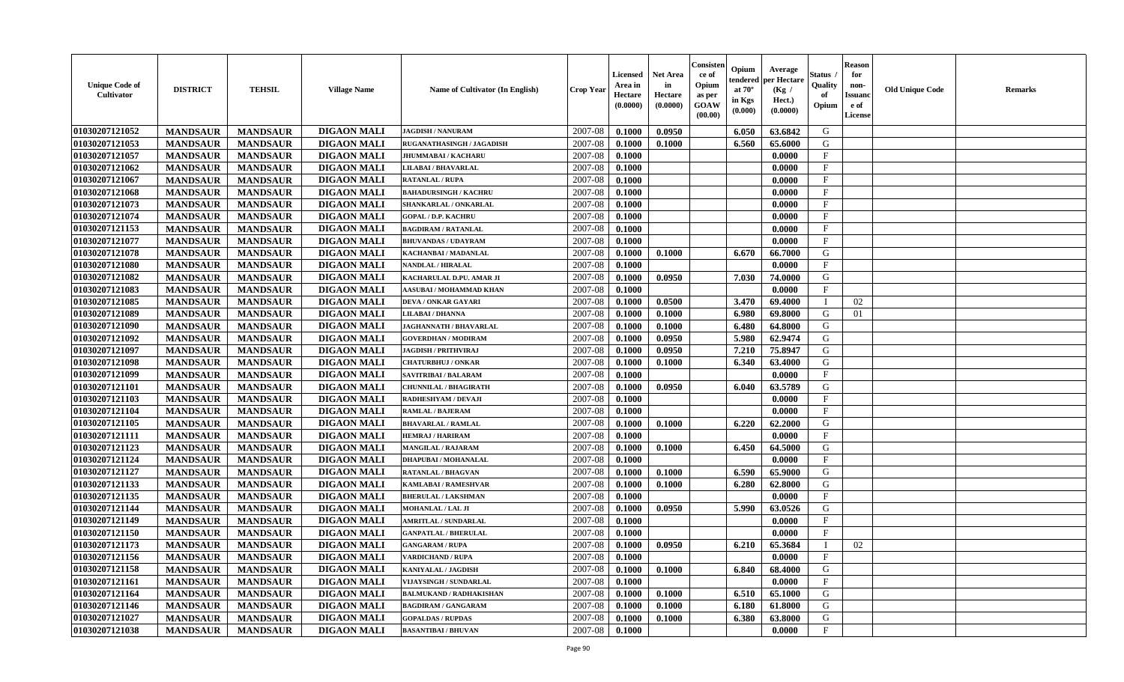| <b>Unique Code of</b><br><b>Cultivator</b> | <b>DISTRICT</b> | <b>TEHSIL</b>   | <b>Village Name</b> | Name of Cultivator (In English) | <b>Crop Year</b> | <b>Licensed</b><br>Area in<br>Hectare<br>(0.0000) | <b>Net Area</b><br>in<br>Hectare<br>(0.0000) | Consisteı<br>ce of<br>Opium<br>as per<br><b>GOAW</b><br>(00.00) | Opium<br>endered<br>at $70^\circ$<br>in Kgs<br>$(\mathbf{0.000})$ | Average<br>per Hectare<br>(Kg /<br>Hect.)<br>(0.0000) | Status<br>Quality<br>of<br>Opium | <b>Reason</b><br>for<br>non-<br>Issuan<br>e of<br>License | <b>Old Unique Code</b> | <b>Remarks</b> |
|--------------------------------------------|-----------------|-----------------|---------------------|---------------------------------|------------------|---------------------------------------------------|----------------------------------------------|-----------------------------------------------------------------|-------------------------------------------------------------------|-------------------------------------------------------|----------------------------------|-----------------------------------------------------------|------------------------|----------------|
| 01030207121052                             | <b>MANDSAUR</b> | <b>MANDSAUR</b> | <b>DIGAON MALI</b>  | <b>JAGDISH / NANURAM</b>        | 2007-08          | 0.1000                                            | 0.0950                                       |                                                                 | 6.050                                                             | 63.6842                                               | G                                |                                                           |                        |                |
| 01030207121053                             | <b>MANDSAUR</b> | <b>MANDSAUR</b> | <b>DIGAON MALI</b>  | RUGANATHASINGH / JAGADISH       | 2007-08          | 0.1000                                            | 0.1000                                       |                                                                 | 6.560                                                             | 65.6000                                               | G                                |                                                           |                        |                |
| 01030207121057                             | <b>MANDSAUR</b> | <b>MANDSAUR</b> | <b>DIGAON MALI</b>  | <b>JHUMMABAI / KACHARU</b>      | 2007-08          | 0.1000                                            |                                              |                                                                 |                                                                   | 0.0000                                                | $\mathbf{F}$                     |                                                           |                        |                |
| 01030207121062                             | <b>MANDSAUR</b> | <b>MANDSAUR</b> | <b>DIGAON MALI</b>  | LILABAI / BHAVARLAL             | 2007-08          | 0.1000                                            |                                              |                                                                 |                                                                   | 0.0000                                                | $\mathbf{F}$                     |                                                           |                        |                |
| 01030207121067                             | <b>MANDSAUR</b> | <b>MANDSAUR</b> | <b>DIGAON MALI</b>  | <b>RATANLAL / RUPA</b>          | 2007-08          | 0.1000                                            |                                              |                                                                 |                                                                   | 0.0000                                                | $_{\rm F}$                       |                                                           |                        |                |
| 01030207121068                             | <b>MANDSAUR</b> | <b>MANDSAUR</b> | <b>DIGAON MALI</b>  | <b>BAHADURSINGH / KACHRU</b>    | 2007-08          | 0.1000                                            |                                              |                                                                 |                                                                   | 0.0000                                                | $\mathbf{F}$                     |                                                           |                        |                |
| 01030207121073                             | <b>MANDSAUR</b> | <b>MANDSAUR</b> | <b>DIGAON MALI</b>  | SHANKARLAL / ONKARLAL           | 2007-08          | 0.1000                                            |                                              |                                                                 |                                                                   | 0.0000                                                | $\mathbf{F}$                     |                                                           |                        |                |
| 01030207121074                             | <b>MANDSAUR</b> | <b>MANDSAUR</b> | <b>DIGAON MALI</b>  | <b>GOPAL / D.P. KACHRU</b>      | 2007-08          | 0.1000                                            |                                              |                                                                 |                                                                   | 0.0000                                                | $\mathbf{F}$                     |                                                           |                        |                |
| 01030207121153                             | <b>MANDSAUR</b> | <b>MANDSAUR</b> | <b>DIGAON MALI</b>  | <b>BAGDIRAM / RATANLAL</b>      | 2007-08          | 0.1000                                            |                                              |                                                                 |                                                                   | 0.0000                                                | $_{\rm F}$                       |                                                           |                        |                |
| 01030207121077                             | <b>MANDSAUR</b> | <b>MANDSAUR</b> | <b>DIGAON MALI</b>  | <b>BHUVANDAS / UDAYRAM</b>      | 2007-08          | 0.1000                                            |                                              |                                                                 |                                                                   | 0.0000                                                | $_{\rm F}$                       |                                                           |                        |                |
| 01030207121078                             | <b>MANDSAUR</b> | <b>MANDSAUR</b> | <b>DIGAON MALI</b>  | KACHANBAI / MADANLAL            | 2007-08          | 0.1000                                            | 0.1000                                       |                                                                 | 6.670                                                             | 66.7000                                               | G                                |                                                           |                        |                |
| 01030207121080                             | <b>MANDSAUR</b> | <b>MANDSAUR</b> | <b>DIGAON MALI</b>  | <b>NANDLAL / HIRALAL</b>        | 2007-08          | 0.1000                                            |                                              |                                                                 |                                                                   | 0.0000                                                | $\mathbf{F}$                     |                                                           |                        |                |
| 01030207121082                             | <b>MANDSAUR</b> | <b>MANDSAUR</b> | <b>DIGAON MALI</b>  | KACHARULAL D.PU. AMAR JI        | 2007-08          | 0.1000                                            | 0.0950                                       |                                                                 | 7.030                                                             | 74.0000                                               | G                                |                                                           |                        |                |
| 01030207121083                             | <b>MANDSAUR</b> | <b>MANDSAUR</b> | <b>DIGAON MALI</b>  | AASUBAI / MOHAMMAD KHAN         | 2007-08          | 0.1000                                            |                                              |                                                                 |                                                                   | 0.0000                                                | $\mathbf{F}$                     |                                                           |                        |                |
| 01030207121085                             | <b>MANDSAUR</b> | <b>MANDSAUR</b> | <b>DIGAON MALI</b>  | DEVA / ONKAR GAYARI             | 2007-08          | 0.1000                                            | 0.0500                                       |                                                                 | 3.470                                                             | 69.4000                                               |                                  | 02                                                        |                        |                |
| 01030207121089                             | <b>MANDSAUR</b> | <b>MANDSAUR</b> | <b>DIGAON MALI</b>  | <b>LILABAI/DHANNA</b>           | 2007-08          | 0.1000                                            | 0.1000                                       |                                                                 | 6.980                                                             | 69.8000                                               | G                                | 01                                                        |                        |                |
| 01030207121090                             | <b>MANDSAUR</b> | <b>MANDSAUR</b> | <b>DIGAON MALI</b>  | <b>JAGHANNATH / BHAVARLAL</b>   | 2007-08          | 0.1000                                            | 0.1000                                       |                                                                 | 6.480                                                             | 64.8000                                               | G                                |                                                           |                        |                |
| 01030207121092                             | <b>MANDSAUR</b> | <b>MANDSAUR</b> | <b>DIGAON MALI</b>  | <b>GOVERDHAN / MODIRAM</b>      | 2007-08          | 0.1000                                            | 0.0950                                       |                                                                 | 5.980                                                             | 62.9474                                               | G                                |                                                           |                        |                |
| 01030207121097                             | <b>MANDSAUR</b> | <b>MANDSAUR</b> | <b>DIGAON MALI</b>  | <b>JAGDISH / PRITHVIRAJ</b>     | 2007-08          | 0.1000                                            | 0.0950                                       |                                                                 | 7.210                                                             | 75.8947                                               | G                                |                                                           |                        |                |
| 01030207121098                             | <b>MANDSAUR</b> | <b>MANDSAUR</b> | <b>DIGAON MALI</b>  | <b>CHATURBHUJ / ONKAR</b>       | 2007-08          | 0.1000                                            | 0.1000                                       |                                                                 | 6.340                                                             | 63.4000                                               | G                                |                                                           |                        |                |
| 01030207121099                             | <b>MANDSAUR</b> | <b>MANDSAUR</b> | <b>DIGAON MALI</b>  | SAVITRIBAI / BALARAM            | 2007-08          | 0.1000                                            |                                              |                                                                 |                                                                   | 0.0000                                                | F                                |                                                           |                        |                |
| 01030207121101                             | <b>MANDSAUR</b> | <b>MANDSAUR</b> | <b>DIGAON MALI</b>  | <b>CHUNNILAL / BHAGIRATH</b>    | 2007-08          | 0.1000                                            | 0.0950                                       |                                                                 | 6.040                                                             | 63.5789                                               | G                                |                                                           |                        |                |
| 01030207121103                             | <b>MANDSAUR</b> | <b>MANDSAUR</b> | <b>DIGAON MALI</b>  | RADHESHYAM / DEVAJI             | 2007-08          | 0.1000                                            |                                              |                                                                 |                                                                   | 0.0000                                                | $\mathbf{F}$                     |                                                           |                        |                |
| 01030207121104                             | <b>MANDSAUR</b> | <b>MANDSAUR</b> | <b>DIGAON MALI</b>  | <b>RAMLAL / BAJERAM</b>         | 2007-08          | 0.1000                                            |                                              |                                                                 |                                                                   | 0.0000                                                | $\mathbf{F}$                     |                                                           |                        |                |
| 01030207121105                             | <b>MANDSAUR</b> | <b>MANDSAUR</b> | <b>DIGAON MALI</b>  | <b>BHAVARLAL / RAMLAL</b>       | 2007-08          | 0.1000                                            | 0.1000                                       |                                                                 | 6.220                                                             | 62.2000                                               | G                                |                                                           |                        |                |
| 01030207121111                             | <b>MANDSAUR</b> | <b>MANDSAUR</b> | <b>DIGAON MALI</b>  | <b>HEMRAJ / HARIRAM</b>         | 2007-08          | 0.1000                                            |                                              |                                                                 |                                                                   | 0.0000                                                | $\mathbf{F}$                     |                                                           |                        |                |
| 01030207121123                             | <b>MANDSAUR</b> | <b>MANDSAUR</b> | <b>DIGAON MALI</b>  | MANGILAL / RAJARAM              | 2007-08          | 0.1000                                            | 0.1000                                       |                                                                 | 6.450                                                             | 64.5000                                               | G                                |                                                           |                        |                |
| 01030207121124                             | <b>MANDSAUR</b> | <b>MANDSAUR</b> | <b>DIGAON MALI</b>  | <b>DHAPUBAI/MOHANALAL</b>       | 2007-08          | 0.1000                                            |                                              |                                                                 |                                                                   | 0.0000                                                | $\mathbf{F}$                     |                                                           |                        |                |
| 01030207121127                             | <b>MANDSAUR</b> | <b>MANDSAUR</b> | <b>DIGAON MALI</b>  | <b>RATANLAL / BHAGVAN</b>       | 2007-08          | 0.1000                                            | 0.1000                                       |                                                                 | 6.590                                                             | 65.9000                                               | G                                |                                                           |                        |                |
| 01030207121133                             | <b>MANDSAUR</b> | <b>MANDSAUR</b> | <b>DIGAON MALI</b>  | KAMLABAI / RAMESHVAR            | 2007-08          | 0.1000                                            | 0.1000                                       |                                                                 | 6.280                                                             | 62.8000                                               | G                                |                                                           |                        |                |
| 01030207121135                             | <b>MANDSAUR</b> | <b>MANDSAUR</b> | <b>DIGAON MALI</b>  | <b>BHERULAL / LAKSHMAN</b>      | 2007-08          | 0.1000                                            |                                              |                                                                 |                                                                   | 0.0000                                                | $\mathbf{F}$                     |                                                           |                        |                |
| 01030207121144                             | <b>MANDSAUR</b> | <b>MANDSAUR</b> | <b>DIGAON MALI</b>  | MOHANLAL / LAL JI               | 2007-08          | 0.1000                                            | 0.0950                                       |                                                                 | 5.990                                                             | 63.0526                                               | G                                |                                                           |                        |                |
| 01030207121149                             | <b>MANDSAUR</b> | <b>MANDSAUR</b> | <b>DIGAON MALI</b>  | <b>AMRITLAL / SUNDARLAL</b>     | 2007-08          | 0.1000                                            |                                              |                                                                 |                                                                   | 0.0000                                                | $\mathbf{F}$                     |                                                           |                        |                |
| 01030207121150                             | <b>MANDSAUR</b> | <b>MANDSAUR</b> | <b>DIGAON MALI</b>  | <b>GANPATLAL / BHERULAL</b>     | 2007-08          | 0.1000                                            |                                              |                                                                 |                                                                   | 0.0000                                                | $_{\rm F}$                       |                                                           |                        |                |
| 01030207121173                             | <b>MANDSAUR</b> | <b>MANDSAUR</b> | <b>DIGAON MALI</b>  | <b>GANGARAM / RUPA</b>          | 2007-08          | 0.1000                                            | 0.0950                                       |                                                                 | 6.210                                                             | 65.3684                                               | - 1                              | 02                                                        |                        |                |
| 01030207121156                             | <b>MANDSAUR</b> | <b>MANDSAUR</b> | <b>DIGAON MALI</b>  | <b>VARDICHAND / RUPA</b>        | $2007-08$ 0.1000 |                                                   |                                              |                                                                 |                                                                   | 0.0000                                                | F                                |                                                           |                        |                |
| 01030207121158                             | <b>MANDSAUR</b> | <b>MANDSAUR</b> | <b>DIGAON MALI</b>  | <b>KANIYALAL / JAGDISH</b>      | 2007-08          | 0.1000                                            | 0.1000                                       |                                                                 | 6.840                                                             | 68.4000                                               | G                                |                                                           |                        |                |
| 01030207121161                             | <b>MANDSAUR</b> | <b>MANDSAUR</b> | <b>DIGAON MALI</b>  | VIJAYSINGH / SUNDARLAL          | 2007-08          | 0.1000                                            |                                              |                                                                 |                                                                   | 0.0000                                                | $\mathbf{F}$                     |                                                           |                        |                |
| 01030207121164                             | <b>MANDSAUR</b> | <b>MANDSAUR</b> | <b>DIGAON MALI</b>  | <b>BALMUKAND / RADHAKISHAN</b>  | 2007-08          | 0.1000                                            | 0.1000                                       |                                                                 | 6.510                                                             | 65.1000                                               | G                                |                                                           |                        |                |
| 01030207121146                             | <b>MANDSAUR</b> | <b>MANDSAUR</b> | <b>DIGAON MALI</b>  | <b>BAGDIRAM / GANGARAM</b>      | 2007-08          | 0.1000                                            | 0.1000                                       |                                                                 | 6.180                                                             | 61.8000                                               | G                                |                                                           |                        |                |
| 01030207121027                             | <b>MANDSAUR</b> | <b>MANDSAUR</b> | <b>DIGAON MALI</b>  | <b>GOPALDAS / RUPDAS</b>        | 2007-08          | 0.1000                                            | 0.1000                                       |                                                                 | 6.380                                                             | 63.8000                                               | G                                |                                                           |                        |                |
| 01030207121038                             | <b>MANDSAUR</b> | <b>MANDSAUR</b> | <b>DIGAON MALI</b>  | <b>BASANTIBAI/BHUVAN</b>        | 2007-08          | 0.1000                                            |                                              |                                                                 |                                                                   | 0.0000                                                | $\mathbf{F}$                     |                                                           |                        |                |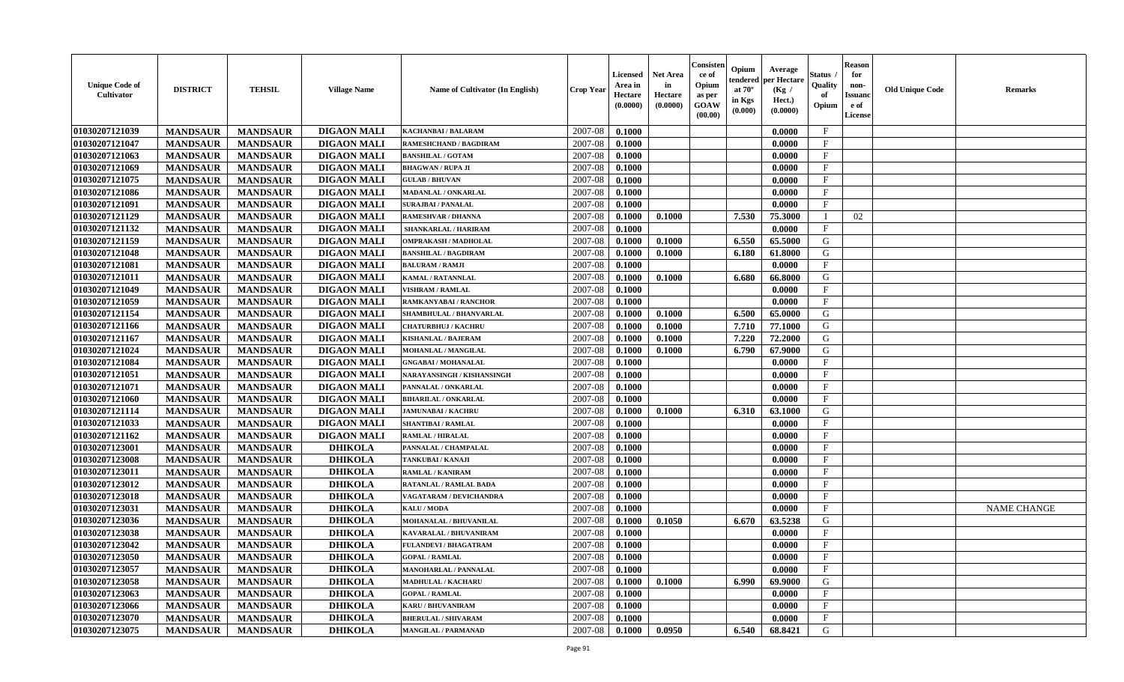| <b>Unique Code of</b><br>Cultivator | <b>DISTRICT</b> | <b>TEHSIL</b>   | <b>Village Name</b> | Name of Cultivator (In English) | <b>Crop Year</b> | <b>Licensed</b><br>Area in<br>Hectare<br>(0.0000) | <b>Net Area</b><br>in<br>Hectare<br>(0.0000) | Consisten<br>ce of<br>Opium<br>as per<br><b>GOAW</b><br>(00.00) | Opium<br>endered<br>at $70^\circ$<br>in Kgs<br>(0.000) | Average<br>per Hectare<br>(Kg /<br>Hect.)<br>(0.0000) | <b>Status</b><br>Quality<br>of<br>Opium | <b>Reason</b><br>for<br>non-<br><b>Issuand</b><br>e of<br>License | <b>Old Unique Code</b> | <b>Remarks</b>     |
|-------------------------------------|-----------------|-----------------|---------------------|---------------------------------|------------------|---------------------------------------------------|----------------------------------------------|-----------------------------------------------------------------|--------------------------------------------------------|-------------------------------------------------------|-----------------------------------------|-------------------------------------------------------------------|------------------------|--------------------|
| 01030207121039                      | <b>MANDSAUR</b> | <b>MANDSAUR</b> | <b>DIGAON MALI</b>  | <b>KACHANBAI/BALARAM</b>        | 2007-08          | 0.1000                                            |                                              |                                                                 |                                                        | 0.0000                                                | $\mathbf{F}$                            |                                                                   |                        |                    |
| 01030207121047                      | <b>MANDSAUR</b> | <b>MANDSAUR</b> | <b>DIGAON MALI</b>  | RAMESHCHAND / BAGDIRAM          | 2007-08          | 0.1000                                            |                                              |                                                                 |                                                        | 0.0000                                                | $\mathbf{F}$                            |                                                                   |                        |                    |
| 01030207121063                      | <b>MANDSAUR</b> | <b>MANDSAUR</b> | <b>DIGAON MALI</b>  | <b>BANSHILAL / GOTAM</b>        | 2007-08          | 0.1000                                            |                                              |                                                                 |                                                        | 0.0000                                                | $\mathbf{F}$                            |                                                                   |                        |                    |
| 01030207121069                      | <b>MANDSAUR</b> | <b>MANDSAUR</b> | <b>DIGAON MALI</b>  | <b>BHAGWAN / RUPA JI</b>        | 2007-08          | 0.1000                                            |                                              |                                                                 |                                                        | 0.0000                                                | $\mathbf{F}$                            |                                                                   |                        |                    |
| 01030207121075                      | <b>MANDSAUR</b> | <b>MANDSAUR</b> | <b>DIGAON MALI</b>  | <b>GULAB / BHUVAN</b>           | 2007-08          | 0.1000                                            |                                              |                                                                 |                                                        | 0.0000                                                | $\mathbf{F}$                            |                                                                   |                        |                    |
| 01030207121086                      | <b>MANDSAUR</b> | <b>MANDSAUR</b> | <b>DIGAON MALI</b>  | MADANLAL / ONKARLAL             | 2007-08          | 0.1000                                            |                                              |                                                                 |                                                        | 0.0000                                                | $\mathbf{F}$                            |                                                                   |                        |                    |
| 01030207121091                      | <b>MANDSAUR</b> | <b>MANDSAUR</b> | <b>DIGAON MALI</b>  | <b>SURAJBAI / PANALAL</b>       | 2007-08          | 0.1000                                            |                                              |                                                                 |                                                        | 0.0000                                                | $\mathbf{F}$                            |                                                                   |                        |                    |
| 01030207121129                      | <b>MANDSAUR</b> | <b>MANDSAUR</b> | <b>DIGAON MALI</b>  | RAMESHVAR / DHANNA              | 2007-08          | 0.1000                                            | 0.1000                                       |                                                                 | 7.530                                                  | 75.3000                                               |                                         | 02                                                                |                        |                    |
| 01030207121132                      | <b>MANDSAUR</b> | <b>MANDSAUR</b> | <b>DIGAON MALI</b>  | SHANKARLAL / HARIRAM            | 2007-08          | 0.1000                                            |                                              |                                                                 |                                                        | 0.0000                                                | $\mathbf{F}$                            |                                                                   |                        |                    |
| 01030207121159                      | <b>MANDSAUR</b> | <b>MANDSAUR</b> | <b>DIGAON MALI</b>  | OMPRAKASH / MADHOLAL            | 2007-08          | 0.1000                                            | 0.1000                                       |                                                                 | 6.550                                                  | 65.5000                                               | G                                       |                                                                   |                        |                    |
| 01030207121048                      | <b>MANDSAUR</b> | <b>MANDSAUR</b> | <b>DIGAON MALI</b>  | <b>BANSHILAL / BAGDIRAM</b>     | 2007-08          | 0.1000                                            | 0.1000                                       |                                                                 | 6.180                                                  | 61.8000                                               | G                                       |                                                                   |                        |                    |
| 01030207121081                      | <b>MANDSAUR</b> | <b>MANDSAUR</b> | <b>DIGAON MALI</b>  | <b>BALURAM / RAMJI</b>          | 2007-08          | 0.1000                                            |                                              |                                                                 |                                                        | 0.0000                                                | $\mathbf{F}$                            |                                                                   |                        |                    |
| 01030207121011                      | <b>MANDSAUR</b> | <b>MANDSAUR</b> | <b>DIGAON MALI</b>  | <b>KAMAL / RATANNLAL</b>        | 2007-08          | 0.1000                                            | 0.1000                                       |                                                                 | 6.680                                                  | 66.8000                                               | G                                       |                                                                   |                        |                    |
| 01030207121049                      | <b>MANDSAUR</b> | <b>MANDSAUR</b> | <b>DIGAON MALI</b>  | <b>VISHRAM / RAMLAL</b>         | 2007-08          | 0.1000                                            |                                              |                                                                 |                                                        | 0.0000                                                | $\mathbf{F}$                            |                                                                   |                        |                    |
| 01030207121059                      | <b>MANDSAUR</b> | <b>MANDSAUR</b> | <b>DIGAON MALI</b>  | <b>RAMKANYABAI/RANCHOR</b>      | 2007-08          | 0.1000                                            |                                              |                                                                 |                                                        | 0.0000                                                | $\mathbf{F}$                            |                                                                   |                        |                    |
| 01030207121154                      | <b>MANDSAUR</b> | <b>MANDSAUR</b> | <b>DIGAON MALI</b>  | <b>SHAMBHULAL / BHANVARLAL</b>  | 2007-08          | 0.1000                                            | 0.1000                                       |                                                                 | 6.500                                                  | 65.0000                                               | G                                       |                                                                   |                        |                    |
| 01030207121166                      | <b>MANDSAUR</b> | <b>MANDSAUR</b> | <b>DIGAON MALI</b>  | <b>CHATURBHUJ / KACHRU</b>      | 2007-08          | 0.1000                                            | 0.1000                                       |                                                                 | 7.710                                                  | 77.1000                                               | G                                       |                                                                   |                        |                    |
| 01030207121167                      | <b>MANDSAUR</b> | <b>MANDSAUR</b> | <b>DIGAON MALI</b>  | <b>KISHANLAL / BAJERAM</b>      | 2007-08          | 0.1000                                            | 0.1000                                       |                                                                 | 7.220                                                  | 72.2000                                               | G                                       |                                                                   |                        |                    |
| 01030207121024                      | <b>MANDSAUR</b> | <b>MANDSAUR</b> | <b>DIGAON MALI</b>  | MOHANLAL / MANGILAL             | 2007-08          | 0.1000                                            | 0.1000                                       |                                                                 | 6.790                                                  | 67.9000                                               | $\mathbf G$                             |                                                                   |                        |                    |
| 01030207121084                      | <b>MANDSAUR</b> | <b>MANDSAUR</b> | <b>DIGAON MALI</b>  | <b>GNGABAI/MOHANALAL</b>        | 2007-08          | 0.1000                                            |                                              |                                                                 |                                                        | 0.0000                                                | $\mathbf{F}$                            |                                                                   |                        |                    |
| 01030207121051                      | <b>MANDSAUR</b> | <b>MANDSAUR</b> | <b>DIGAON MALI</b>  | NARAYANSINGH / KISHANSINGH      | 2007-08          | 0.1000                                            |                                              |                                                                 |                                                        | 0.0000                                                | $\mathbf{F}$                            |                                                                   |                        |                    |
| 01030207121071                      | <b>MANDSAUR</b> | <b>MANDSAUR</b> | <b>DIGAON MALI</b>  | PANNALAL / ONKARLAL             | 2007-08          | 0.1000                                            |                                              |                                                                 |                                                        | 0.0000                                                | $\mathbf{F}$                            |                                                                   |                        |                    |
| 01030207121060                      | <b>MANDSAUR</b> | <b>MANDSAUR</b> | <b>DIGAON MALI</b>  | <b>BIHARILAL / ONKARLAL</b>     | 2007-08          | 0.1000                                            |                                              |                                                                 |                                                        | 0.0000                                                | $\mathbf{F}$                            |                                                                   |                        |                    |
| 01030207121114                      | <b>MANDSAUR</b> | <b>MANDSAUR</b> | <b>DIGAON MALI</b>  | JAMUNABAI / KACHRU              | 2007-08          | 0.1000                                            | 0.1000                                       |                                                                 | 6.310                                                  | 63.1000                                               | G                                       |                                                                   |                        |                    |
| 01030207121033                      | <b>MANDSAUR</b> | <b>MANDSAUR</b> | <b>DIGAON MALI</b>  | <b>SHANTIBAI / RAMLAL</b>       | 2007-08          | 0.1000                                            |                                              |                                                                 |                                                        | 0.0000                                                | $\mathbf F$                             |                                                                   |                        |                    |
| 01030207121162                      | <b>MANDSAUR</b> | <b>MANDSAUR</b> | <b>DIGAON MALI</b>  | <b>RAMLAL / HIRALAL</b>         | $2007 - 08$      | 0.1000                                            |                                              |                                                                 |                                                        | 0.0000                                                | $\mathbf F$                             |                                                                   |                        |                    |
| 01030207123001                      | <b>MANDSAUR</b> | <b>MANDSAUR</b> | <b>DHIKOLA</b>      | PANNALAL / CHAMPALAL            | 2007-08          | 0.1000                                            |                                              |                                                                 |                                                        | 0.0000                                                | $\mathbf{F}$                            |                                                                   |                        |                    |
| 01030207123008                      | <b>MANDSAUR</b> | <b>MANDSAUR</b> | <b>DHIKOLA</b>      | TANKUBAI / KANAJI               | 2007-08          | 0.1000                                            |                                              |                                                                 |                                                        | 0.0000                                                | $\mathbf{F}$                            |                                                                   |                        |                    |
| 01030207123011                      | <b>MANDSAUR</b> | <b>MANDSAUR</b> | <b>DHIKOLA</b>      | RAMLAL / KANIRAM                | 2007-08          | 0.1000                                            |                                              |                                                                 |                                                        | 0.0000                                                | $\mathbf{F}$                            |                                                                   |                        |                    |
| 01030207123012                      | <b>MANDSAUR</b> | <b>MANDSAUR</b> | <b>DHIKOLA</b>      | RATANLAL / RAMLAL BADA          | 2007-08          | 0.1000                                            |                                              |                                                                 |                                                        | 0.0000                                                | $\mathbf{F}$                            |                                                                   |                        |                    |
| 01030207123018                      | <b>MANDSAUR</b> | <b>MANDSAUR</b> | <b>DHIKOLA</b>      | VAGATARAM / DEVICHANDRA         | 2007-08          | 0.1000                                            |                                              |                                                                 |                                                        | 0.0000                                                | $\mathbf{F}$                            |                                                                   |                        |                    |
| 01030207123031                      | <b>MANDSAUR</b> | <b>MANDSAUR</b> | <b>DHIKOLA</b>      | <b>KALU / MODA</b>              | 2007-08          | 0.1000                                            |                                              |                                                                 |                                                        | 0.0000                                                | $\mathbf{F}$                            |                                                                   |                        | <b>NAME CHANGE</b> |
| 01030207123036                      | <b>MANDSAUR</b> | <b>MANDSAUR</b> | <b>DHIKOLA</b>      | MOHANALAL / BHUVANILAL          | 2007-08          | 0.1000                                            | 0.1050                                       |                                                                 | 6.670                                                  | 63.5238                                               | G                                       |                                                                   |                        |                    |
| 01030207123038                      | <b>MANDSAUR</b> | <b>MANDSAUR</b> | <b>DHIKOLA</b>      | KAVARALAL / BHUVANIRAM          | 2007-08          | 0.1000                                            |                                              |                                                                 |                                                        | 0.0000                                                | $\mathbf{F}$                            |                                                                   |                        |                    |
| 01030207123042                      | <b>MANDSAUR</b> | <b>MANDSAUR</b> | <b>DHIKOLA</b>      | <b>FULANDEVI / BHAGATRAM</b>    | 2007-08          | 0.1000                                            |                                              |                                                                 |                                                        | 0.0000                                                | $\mathbf{F}$                            |                                                                   |                        |                    |
| 01030207123050                      | <b>MANDSAUR</b> | <b>MANDSAUR</b> | <b>DHIKOLA</b>      | <b>GOPAL / RAMLAL</b>           | 2007-08          | 0.1000                                            |                                              |                                                                 |                                                        | 0.0000                                                | $\mathbf{F}$                            |                                                                   |                        |                    |
| 01030207123057                      | <b>MANDSAUR</b> | <b>MANDSAUR</b> | <b>DHIKOLA</b>      | <b>MANOHARLAL / PANNALAL</b>    | 2007-08          | 0.1000                                            |                                              |                                                                 |                                                        | 0.0000                                                | $\mathbf{F}$                            |                                                                   |                        |                    |
| 01030207123058                      | <b>MANDSAUR</b> | <b>MANDSAUR</b> | <b>DHIKOLA</b>      | <b>MADHULAL / KACHARU</b>       | 2007-08          | 0.1000                                            | 0.1000                                       |                                                                 | 6.990                                                  | 69.9000                                               | G                                       |                                                                   |                        |                    |
| 01030207123063                      | <b>MANDSAUR</b> | <b>MANDSAUR</b> | <b>DHIKOLA</b>      | <b>GOPAL / RAMLAL</b>           | 2007-08          | 0.1000                                            |                                              |                                                                 |                                                        | 0.0000                                                | $\mathbf{F}$                            |                                                                   |                        |                    |
| 01030207123066                      | <b>MANDSAUR</b> | <b>MANDSAUR</b> | <b>DHIKOLA</b>      | <b>KARU / BHUVANIRAM</b>        | 2007-08          | 0.1000                                            |                                              |                                                                 |                                                        | 0.0000                                                | F                                       |                                                                   |                        |                    |
| 01030207123070                      | <b>MANDSAUR</b> | <b>MANDSAUR</b> | <b>DHIKOLA</b>      | <b>BHERULAL / SHIVARAM</b>      | 2007-08          | 0.1000                                            |                                              |                                                                 |                                                        | 0.0000                                                | $\mathbf{F}$                            |                                                                   |                        |                    |
| 01030207123075                      | <b>MANDSAUR</b> | <b>MANDSAUR</b> | <b>DHIKOLA</b>      | <b>MANGILAL / PARMANAD</b>      | 2007-08          | 0.1000                                            | 0.0950                                       |                                                                 | 6.540                                                  | 68.8421                                               | G                                       |                                                                   |                        |                    |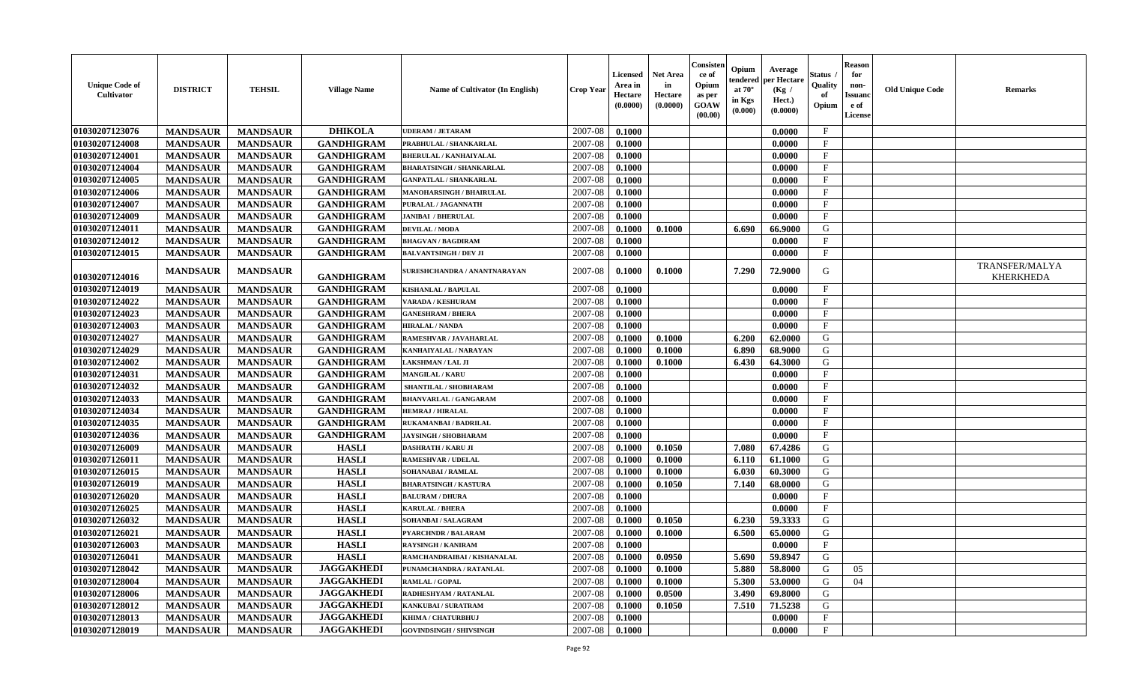| <b>Unique Code of</b><br><b>Cultivator</b> | <b>DISTRICT</b> | <b>TEHSIL</b>   | <b>Village Name</b> | Name of Cultivator (In English) | <b>Crop Year</b> | <b>Licensed</b><br>Area in<br>Hectare<br>(0.0000) | <b>Net Area</b><br>in<br>Hectare<br>(0.0000) | Consisteı<br>ce of<br>Opium<br>as per<br><b>GOAW</b><br>(00.00) | Opium<br>endered<br>at $70^\circ$<br>in Kgs<br>(0.000) | Average<br>per Hectare<br>(Kg /<br>Hect.)<br>(0.0000) | Status<br>Quality<br>of<br>Opium | <b>Reason</b><br>for<br>non-<br>Issuan<br>e of<br>License | <b>Old Unique Code</b> | <b>Remarks</b>                            |
|--------------------------------------------|-----------------|-----------------|---------------------|---------------------------------|------------------|---------------------------------------------------|----------------------------------------------|-----------------------------------------------------------------|--------------------------------------------------------|-------------------------------------------------------|----------------------------------|-----------------------------------------------------------|------------------------|-------------------------------------------|
| 01030207123076                             | <b>MANDSAUR</b> | <b>MANDSAUR</b> | <b>DHIKOLA</b>      | <b>UDERAM / JETARAM</b>         | 2007-08          | 0.1000                                            |                                              |                                                                 |                                                        | 0.0000                                                | $\mathbf{F}$                     |                                                           |                        |                                           |
| 01030207124008                             | <b>MANDSAUR</b> | <b>MANDSAUR</b> | <b>GANDHIGRAM</b>   | PRABHULAL / SHANKARLAL          | 2007-08          | 0.1000                                            |                                              |                                                                 |                                                        | 0.0000                                                | $_{\rm F}$                       |                                                           |                        |                                           |
| 01030207124001                             | <b>MANDSAUR</b> | <b>MANDSAUR</b> | <b>GANDHIGRAM</b>   | <b>BHERULAL / KANHAIYALAL</b>   | 2007-08          | 0.1000                                            |                                              |                                                                 |                                                        | 0.0000                                                | $\mathbf{F}$                     |                                                           |                        |                                           |
| 01030207124004                             | <b>MANDSAUR</b> | <b>MANDSAUR</b> | <b>GANDHIGRAM</b>   | <b>BHARATSINGH / SHANKARLAL</b> | 2007-08          | 0.1000                                            |                                              |                                                                 |                                                        | 0.0000                                                | $\mathbf{F}$                     |                                                           |                        |                                           |
| 01030207124005                             | <b>MANDSAUR</b> | <b>MANDSAUR</b> | <b>GANDHIGRAM</b>   | <b>GANPATLAL / SHANKARLAL</b>   | 2007-08          | 0.1000                                            |                                              |                                                                 |                                                        | 0.0000                                                | $_{\rm F}$                       |                                                           |                        |                                           |
| 01030207124006                             | <b>MANDSAUR</b> | <b>MANDSAUR</b> | <b>GANDHIGRAM</b>   | <b>MANOHARSINGH / BHAIRULAL</b> | 2007-08          | 0.1000                                            |                                              |                                                                 |                                                        | 0.0000                                                | $\mathbf{F}$                     |                                                           |                        |                                           |
| 01030207124007                             | <b>MANDSAUR</b> | <b>MANDSAUR</b> | <b>GANDHIGRAM</b>   | PURALAL / JAGANNATH             | 2007-08          | 0.1000                                            |                                              |                                                                 |                                                        | 0.0000                                                | $\mathbf{F}$                     |                                                           |                        |                                           |
| 01030207124009                             | <b>MANDSAUR</b> | <b>MANDSAUR</b> | <b>GANDHIGRAM</b>   | <b>JANIBAI / BHERULAL</b>       | 2007-08          | 0.1000                                            |                                              |                                                                 |                                                        | 0.0000                                                | $\mathbf{F}$                     |                                                           |                        |                                           |
| 01030207124011                             | <b>MANDSAUR</b> | <b>MANDSAUR</b> | <b>GANDHIGRAM</b>   | <b>DEVILAL / MODA</b>           | 2007-08          | 0.1000                                            | 0.1000                                       |                                                                 | 6.690                                                  | 66.9000                                               | G                                |                                                           |                        |                                           |
| 01030207124012                             | <b>MANDSAUR</b> | <b>MANDSAUR</b> | <b>GANDHIGRAM</b>   | <b>BHAGVAN / BAGDIRAM</b>       | 2007-08          | 0.1000                                            |                                              |                                                                 |                                                        | 0.0000                                                | F                                |                                                           |                        |                                           |
| 01030207124015                             | <b>MANDSAUR</b> | <b>MANDSAUR</b> | <b>GANDHIGRAM</b>   | <b>BALVANTSINGH / DEV JI</b>    | 2007-08          | 0.1000                                            |                                              |                                                                 |                                                        | 0.0000                                                | $\mathbf{F}$                     |                                                           |                        |                                           |
| 01030207124016                             | <b>MANDSAUR</b> | <b>MANDSAUR</b> | <b>GANDHIGRAM</b>   | SURESHCHANDRA / ANANTNARAYAN    | 2007-08          | 0.1000                                            | 0.1000                                       |                                                                 | 7.290                                                  | 72.9000                                               | G                                |                                                           |                        | <b>TRANSFER/MALYA</b><br><b>KHERKHEDA</b> |
| 01030207124019                             | <b>MANDSAUR</b> | <b>MANDSAUR</b> | <b>GANDHIGRAM</b>   | KISHANLAL / BAPULAL             | 2007-08          | 0.1000                                            |                                              |                                                                 |                                                        | 0.0000                                                | $\mathbf{F}$                     |                                                           |                        |                                           |
| 01030207124022                             | <b>MANDSAUR</b> | <b>MANDSAUR</b> | <b>GANDHIGRAM</b>   | <b>VARADA / KESHURAM</b>        | 2007-08          | 0.1000                                            |                                              |                                                                 |                                                        | 0.0000                                                | $\mathbf{F}$                     |                                                           |                        |                                           |
| 01030207124023                             | <b>MANDSAUR</b> | <b>MANDSAUR</b> | <b>GANDHIGRAM</b>   | <b>GANESHRAM / BHERA</b>        | 2007-08          | 0.1000                                            |                                              |                                                                 |                                                        | 0.0000                                                | F                                |                                                           |                        |                                           |
| 01030207124003                             | <b>MANDSAUR</b> | <b>MANDSAUR</b> | <b>GANDHIGRAM</b>   | <b>HIRALAL / NANDA</b>          | 2007-08          | 0.1000                                            |                                              |                                                                 |                                                        | 0.0000                                                | $\mathbf F$                      |                                                           |                        |                                           |
| 01030207124027                             | <b>MANDSAUR</b> | <b>MANDSAUR</b> | <b>GANDHIGRAM</b>   | RAMESHVAR / JAVAHARLAL          | 2007-08          | 0.1000                                            | 0.1000                                       |                                                                 | 6.200                                                  | 62.0000                                               | G                                |                                                           |                        |                                           |
| 01030207124029                             | <b>MANDSAUR</b> | <b>MANDSAUR</b> | <b>GANDHIGRAM</b>   | KANHAIYALAL / NARAYAN           | 2007-08          | 0.1000                                            | 0.1000                                       |                                                                 | 6.890                                                  | 68.9000                                               | G                                |                                                           |                        |                                           |
| 01030207124002                             | <b>MANDSAUR</b> | <b>MANDSAUR</b> | <b>GANDHIGRAM</b>   | LAKSHMAN / LAL JI               | 2007-08          | 0.1000                                            | 0.1000                                       |                                                                 | 6.430                                                  | 64.3000                                               | G                                |                                                           |                        |                                           |
| 01030207124031                             | <b>MANDSAUR</b> | <b>MANDSAUR</b> | <b>GANDHIGRAM</b>   | <b>MANGILAL / KARU</b>          | 2007-08          | 0.1000                                            |                                              |                                                                 |                                                        | 0.0000                                                | $\mathbf{F}$                     |                                                           |                        |                                           |
| 01030207124032                             | <b>MANDSAUR</b> | <b>MANDSAUR</b> | <b>GANDHIGRAM</b>   | SHANTILAL / SHOBHARAM           | 2007-08          | 0.1000                                            |                                              |                                                                 |                                                        | 0.0000                                                | $\mathbf{F}$                     |                                                           |                        |                                           |
| 01030207124033                             | <b>MANDSAUR</b> | <b>MANDSAUR</b> | <b>GANDHIGRAM</b>   | <b>BHANVARLAL / GANGARAM</b>    | 2007-08          | 0.1000                                            |                                              |                                                                 |                                                        | 0.0000                                                | $\mathbf{F}$                     |                                                           |                        |                                           |
| 01030207124034                             | <b>MANDSAUR</b> | <b>MANDSAUR</b> | <b>GANDHIGRAM</b>   | <b>HEMRAJ / HIRALAL</b>         | 2007-08          | 0.1000                                            |                                              |                                                                 |                                                        | 0.0000                                                | $\mathbf{F}$                     |                                                           |                        |                                           |
| 01030207124035                             | <b>MANDSAUR</b> | <b>MANDSAUR</b> | <b>GANDHIGRAM</b>   | RUKAMANBAI / BADRILAL           | 2007-08          | 0.1000                                            |                                              |                                                                 |                                                        | 0.0000                                                | $\mathbf{F}$                     |                                                           |                        |                                           |
| 01030207124036                             | <b>MANDSAUR</b> | <b>MANDSAUR</b> | <b>GANDHIGRAM</b>   | <b>JAYSINGH / SHOBHARAM</b>     | 2007-08          | 0.1000                                            |                                              |                                                                 |                                                        | 0.0000                                                | $\mathbf{F}$                     |                                                           |                        |                                           |
| 01030207126009                             | <b>MANDSAUR</b> | <b>MANDSAUR</b> | <b>HASLI</b>        | <b>DASHRATH / KARU JI</b>       | 2007-08          | 0.1000                                            | 0.1050                                       |                                                                 | 7.080                                                  | 67.4286                                               | G                                |                                                           |                        |                                           |
| 01030207126011                             | <b>MANDSAUR</b> | <b>MANDSAUR</b> | <b>HASLI</b>        | <b>RAMESHVAR / UDELAL</b>       | 2007-08          | 0.1000                                            | 0.1000                                       |                                                                 | 6.110                                                  | 61.1000                                               | G                                |                                                           |                        |                                           |
| 01030207126015                             | <b>MANDSAUR</b> | <b>MANDSAUR</b> | <b>HASLI</b>        | <b>SOHANABAI/RAMLAL</b>         | 2007-08          | 0.1000                                            | 0.1000                                       |                                                                 | 6.030                                                  | 60.3000                                               | G                                |                                                           |                        |                                           |
| 01030207126019                             | <b>MANDSAUR</b> | <b>MANDSAUR</b> | <b>HASLI</b>        | <b>BHARATSINGH / KASTURA</b>    | 2007-08          | 0.1000                                            | 0.1050                                       |                                                                 | 7.140                                                  | 68.0000                                               | G                                |                                                           |                        |                                           |
| 01030207126020                             | <b>MANDSAUR</b> | <b>MANDSAUR</b> | <b>HASLI</b>        | <b>BALURAM / DHURA</b>          | 2007-08          | 0.1000                                            |                                              |                                                                 |                                                        | 0.0000                                                | $\mathbf{F}$                     |                                                           |                        |                                           |
| 01030207126025                             | <b>MANDSAUR</b> | <b>MANDSAUR</b> | <b>HASLI</b>        | <b>KARULAL / BHERA</b>          | 2007-08          | 0.1000                                            |                                              |                                                                 |                                                        | 0.0000                                                | $\mathbf{F}$                     |                                                           |                        |                                           |
| 01030207126032                             | <b>MANDSAUR</b> | <b>MANDSAUR</b> | <b>HASLI</b>        | SOHANBAI / SALAGRAM             | 2007-08          | 0.1000                                            | 0.1050                                       |                                                                 | 6.230                                                  | 59.3333                                               | G                                |                                                           |                        |                                           |
| 01030207126021                             | <b>MANDSAUR</b> | <b>MANDSAUR</b> | <b>HASLI</b>        | <b>PYARCHNDR / BALARAM</b>      | 2007-08          | 0.1000                                            | 0.1000                                       |                                                                 | 6.500                                                  | 65.0000                                               | G                                |                                                           |                        |                                           |
| 01030207126003                             | <b>MANDSAUR</b> | <b>MANDSAUR</b> | <b>HASLI</b>        | <b>RAYSINGH / KANIRAM</b>       | 2007-08          | 0.1000                                            |                                              |                                                                 |                                                        | 0.0000                                                | $_{\rm F}$                       |                                                           |                        |                                           |
| 01030207126041                             | <b>MANDSAUR</b> | <b>MANDSAUR</b> | <b>HASLI</b>        | RAMCHANDRAIBAI / KISHANALAL     | 2007-08          | 0.1000                                            | 0.0950                                       |                                                                 | $5.690$                                                | 59.8947                                               | G                                |                                                           |                        |                                           |
| 01030207128042                             | <b>MANDSAUR</b> | <b>MANDSAUR</b> | <b>JAGGAKHEDI</b>   | PUNAMCHANDRA / RATANLAL         | 2007-08          | 0.1000                                            | 0.1000                                       |                                                                 | 5.880                                                  | 58.8000                                               | G                                | 05                                                        |                        |                                           |
| 01030207128004                             | <b>MANDSAUR</b> | <b>MANDSAUR</b> | <b>JAGGAKHEDI</b>   | <b>RAMLAL / GOPAL</b>           | 2007-08          | 0.1000                                            | 0.1000                                       |                                                                 | 5.300                                                  | 53.0000                                               | G                                | 04                                                        |                        |                                           |
| 01030207128006                             | <b>MANDSAUR</b> | <b>MANDSAUR</b> | <b>JAGGAKHEDI</b>   | RADHESHYAM / RATANLAL           | 2007-08          | 0.1000                                            | 0.0500                                       |                                                                 | 3.490                                                  | 69.8000                                               | G                                |                                                           |                        |                                           |
| 01030207128012                             | <b>MANDSAUR</b> | <b>MANDSAUR</b> | <b>JAGGAKHEDI</b>   | <b>KANKUBAI / SURATRAM</b>      | 2007-08          | 0.1000                                            | 0.1050                                       |                                                                 | 7.510                                                  | 71.5238                                               | G                                |                                                           |                        |                                           |
| 01030207128013                             | <b>MANDSAUR</b> | <b>MANDSAUR</b> | <b>JAGGAKHEDI</b>   | KHIMA / CHATURBHUJ              | 2007-08          | 0.1000                                            |                                              |                                                                 |                                                        | 0.0000                                                | $\mathbf{F}$                     |                                                           |                        |                                           |
| 01030207128019                             | <b>MANDSAUR</b> | <b>MANDSAUR</b> | <b>JAGGAKHEDI</b>   | <b>GOVINDSINGH / SHIVSINGH</b>  | 2007-08          | 0.1000                                            |                                              |                                                                 |                                                        | 0.0000                                                | $\mathbf{F}$                     |                                                           |                        |                                           |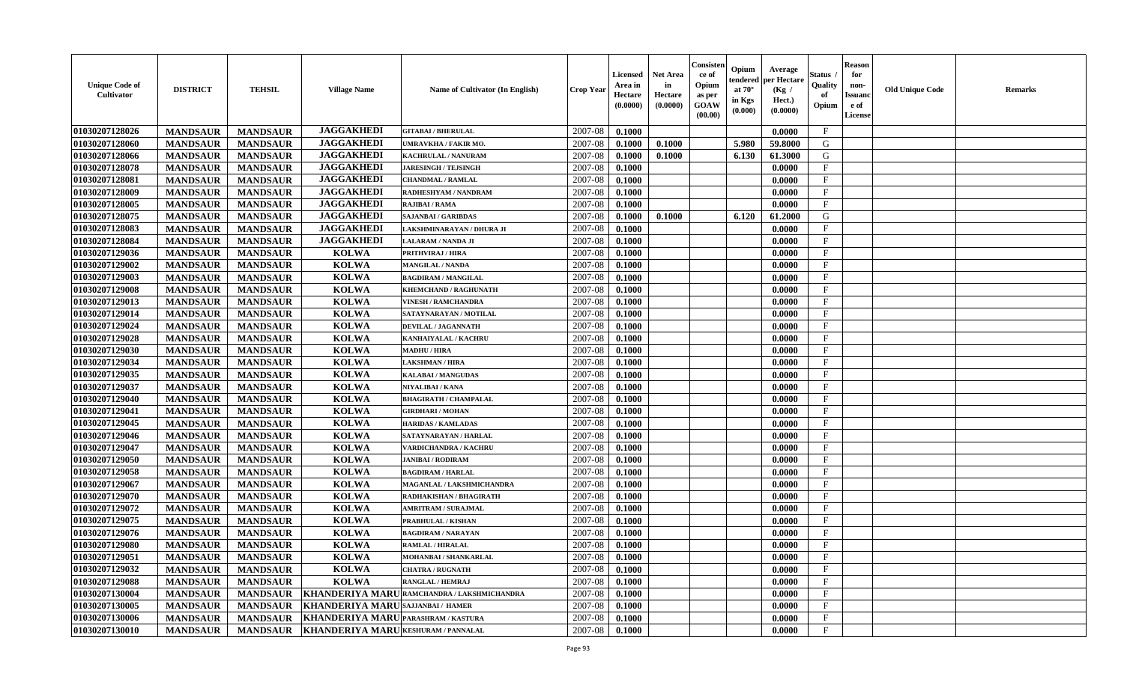| <b>Unique Code of</b><br><b>Cultivator</b> | <b>DISTRICT</b> | <b>TEHSIL</b>   | <b>Village Name</b>                 | Name of Cultivator (In English)            | <b>Crop Year</b> | <b>Licensed</b><br>Area in<br>Hectare<br>(0.0000) | <b>Net Area</b><br>in<br>Hectare<br>(0.0000) | Consisteı<br>ce of<br>Opium<br>as per<br><b>GOAW</b><br>(00.00) | Opium<br>endered<br>at $70^\circ$<br>in Kgs<br>$(\mathbf{0.000})$ | Average<br>per Hectare<br>(Kg /<br>Hect.)<br>(0.0000) | Status<br>Quality<br>of<br>Opium | <b>Reason</b><br>for<br>non-<br>Issuan<br>e of<br>License | <b>Old Unique Code</b> | <b>Remarks</b> |
|--------------------------------------------|-----------------|-----------------|-------------------------------------|--------------------------------------------|------------------|---------------------------------------------------|----------------------------------------------|-----------------------------------------------------------------|-------------------------------------------------------------------|-------------------------------------------------------|----------------------------------|-----------------------------------------------------------|------------------------|----------------|
| 01030207128026                             | <b>MANDSAUR</b> | <b>MANDSAUR</b> | <b>JAGGAKHEDI</b>                   | <b>GITABAI/BHERULAL</b>                    | 2007-08          | 0.1000                                            |                                              |                                                                 |                                                                   | 0.0000                                                | $\mathbf{F}$                     |                                                           |                        |                |
| 01030207128060                             | <b>MANDSAUR</b> | <b>MANDSAUR</b> | <b>JAGGAKHEDI</b>                   | <b>JMRAVKHA / FAKIR MO.</b>                | 2007-08          | 0.1000                                            | 0.1000                                       |                                                                 | 5.980                                                             | 59.8000                                               | G                                |                                                           |                        |                |
| 01030207128066                             | <b>MANDSAUR</b> | <b>MANDSAUR</b> | <b>JAGGAKHEDI</b>                   | KACHRULAL / NANURAM                        | 2007-08          | 0.1000                                            | 0.1000                                       |                                                                 | 6.130                                                             | 61.3000                                               | G                                |                                                           |                        |                |
| 01030207128078                             | <b>MANDSAUR</b> | <b>MANDSAUR</b> | <b>JAGGAKHEDI</b>                   | <b>JARESINGH / TEJSINGH</b>                | 2007-08          | 0.1000                                            |                                              |                                                                 |                                                                   | 0.0000                                                | $_{\rm F}$                       |                                                           |                        |                |
| 01030207128081                             | <b>MANDSAUR</b> | <b>MANDSAUR</b> | <b>JAGGAKHEDI</b>                   | <b>CHANDMAL / RAMLAL</b>                   | 2007-08          | 0.1000                                            |                                              |                                                                 |                                                                   | 0.0000                                                | $_{\rm F}$                       |                                                           |                        |                |
| 01030207128009                             | <b>MANDSAUR</b> | <b>MANDSAUR</b> | <b>JAGGAKHEDI</b>                   | <b>RADHESHYAM / NANDRAM</b>                | 2007-08          | 0.1000                                            |                                              |                                                                 |                                                                   | 0.0000                                                | $\mathbf{F}$                     |                                                           |                        |                |
| 01030207128005                             | <b>MANDSAUR</b> | <b>MANDSAUR</b> | <b>JAGGAKHEDI</b>                   | RAJIBAI / RAMA                             | 2007-08          | 0.1000                                            |                                              |                                                                 |                                                                   | 0.0000                                                | $\mathbf{F}$                     |                                                           |                        |                |
| 01030207128075                             | <b>MANDSAUR</b> | <b>MANDSAUR</b> | <b>JAGGAKHEDI</b>                   | <b>SAJANBAI / GARIBDAS</b>                 | 2007-08          | 0.1000                                            | 0.1000                                       |                                                                 | 6.120                                                             | 61.2000                                               | G                                |                                                           |                        |                |
| 01030207128083                             | <b>MANDSAUR</b> | <b>MANDSAUR</b> | <b>JAGGAKHEDI</b>                   | LAKSHMINARAYAN / DHURA JI                  | 2007-08          | 0.1000                                            |                                              |                                                                 |                                                                   | 0.0000                                                | $_{\rm F}$                       |                                                           |                        |                |
| 01030207128084                             | <b>MANDSAUR</b> | <b>MANDSAUR</b> | <b>JAGGAKHEDI</b>                   | LALARAM / NANDA JI                         | 2007-08          | 0.1000                                            |                                              |                                                                 |                                                                   | 0.0000                                                | $_{\rm F}$                       |                                                           |                        |                |
| 01030207129036                             | <b>MANDSAUR</b> | <b>MANDSAUR</b> | <b>KOLWA</b>                        | PRITHVIRAJ / HIRA                          | 2007-08          | 0.1000                                            |                                              |                                                                 |                                                                   | 0.0000                                                | $\mathbf{F}$                     |                                                           |                        |                |
| 01030207129002                             | <b>MANDSAUR</b> | <b>MANDSAUR</b> | <b>KOLWA</b>                        | <b>MANGILAL / NANDA</b>                    | 2007-08          | 0.1000                                            |                                              |                                                                 |                                                                   | 0.0000                                                | $_{\rm F}$                       |                                                           |                        |                |
| 01030207129003                             | <b>MANDSAUR</b> | <b>MANDSAUR</b> | <b>KOLWA</b>                        | <b>BAGDIRAM / MANGILAL</b>                 | 2007-08          | 0.1000                                            |                                              |                                                                 |                                                                   | 0.0000                                                | $\mathbf{F}$                     |                                                           |                        |                |
| 01030207129008                             | <b>MANDSAUR</b> | <b>MANDSAUR</b> | <b>KOLWA</b>                        | KHEMCHAND / RAGHUNATH                      | 2007-08          | 0.1000                                            |                                              |                                                                 |                                                                   | 0.0000                                                | $_{\rm F}$                       |                                                           |                        |                |
| 01030207129013                             | <b>MANDSAUR</b> | <b>MANDSAUR</b> | <b>KOLWA</b>                        | <b>VINESH / RAMCHANDRA</b>                 | 2007-08          | 0.1000                                            |                                              |                                                                 |                                                                   | 0.0000                                                | $\mathbf{F}$                     |                                                           |                        |                |
| 01030207129014                             | <b>MANDSAUR</b> | <b>MANDSAUR</b> | <b>KOLWA</b>                        | SATAYNARAYAN / MOTILAL                     | 2007-08          | 0.1000                                            |                                              |                                                                 |                                                                   | 0.0000                                                | F                                |                                                           |                        |                |
| 01030207129024                             | <b>MANDSAUR</b> | <b>MANDSAUR</b> | <b>KOLWA</b>                        | <b>DEVILAL / JAGANNATH</b>                 | 2007-08          | 0.1000                                            |                                              |                                                                 |                                                                   | 0.0000                                                | $\mathbf{F}$                     |                                                           |                        |                |
| 01030207129028                             | <b>MANDSAUR</b> | <b>MANDSAUR</b> | <b>KOLWA</b>                        | KANHAIYALAL / KACHRU                       | 2007-08          | 0.1000                                            |                                              |                                                                 |                                                                   | 0.0000                                                | $\mathbf F$                      |                                                           |                        |                |
| 01030207129030                             | <b>MANDSAUR</b> | <b>MANDSAUR</b> | <b>KOLWA</b>                        | <b>MADHU / HIRA</b>                        | 2007-08          | 0.1000                                            |                                              |                                                                 |                                                                   | 0.0000                                                | $_{\rm F}$                       |                                                           |                        |                |
| 01030207129034                             | <b>MANDSAUR</b> | <b>MANDSAUR</b> | <b>KOLWA</b>                        | LAKSHMAN / HIRA                            | 2007-08          | 0.1000                                            |                                              |                                                                 |                                                                   | 0.0000                                                | $_{\rm F}$                       |                                                           |                        |                |
| 01030207129035                             | <b>MANDSAUR</b> | <b>MANDSAUR</b> | <b>KOLWA</b>                        | KALABAI / MANGUDAS                         | 2007-08          | 0.1000                                            |                                              |                                                                 |                                                                   | 0.0000                                                | F                                |                                                           |                        |                |
| 01030207129037                             | <b>MANDSAUR</b> | <b>MANDSAUR</b> | <b>KOLWA</b>                        | NIYALIBAI / KANA                           | 2007-08          | 0.1000                                            |                                              |                                                                 |                                                                   | 0.0000                                                | $\mathbf{F}$                     |                                                           |                        |                |
| 01030207129040                             | <b>MANDSAUR</b> | <b>MANDSAUR</b> | <b>KOLWA</b>                        | <b>BHAGIRATH / CHAMPALAL</b>               | 2007-08          | 0.1000                                            |                                              |                                                                 |                                                                   | 0.0000                                                | $\mathbf{F}$                     |                                                           |                        |                |
| 01030207129041                             | <b>MANDSAUR</b> | <b>MANDSAUR</b> | <b>KOLWA</b>                        | <b>GIRDHARI / MOHAN</b>                    | 2007-08          | 0.1000                                            |                                              |                                                                 |                                                                   | 0.0000                                                | $\mathbf{F}$                     |                                                           |                        |                |
| 01030207129045                             | <b>MANDSAUR</b> | <b>MANDSAUR</b> | <b>KOLWA</b>                        | <b>HARIDAS / KAMLADAS</b>                  | 2007-08          | 0.1000                                            |                                              |                                                                 |                                                                   | 0.0000                                                | $\mathbf{F}$                     |                                                           |                        |                |
| 01030207129046                             | <b>MANDSAUR</b> | <b>MANDSAUR</b> | <b>KOLWA</b>                        | SATAYNARAYAN / HARLAL                      | 2007-08          | 0.1000                                            |                                              |                                                                 |                                                                   | 0.0000                                                | $\mathbf{F}$                     |                                                           |                        |                |
| 01030207129047                             | <b>MANDSAUR</b> | <b>MANDSAUR</b> | <b>KOLWA</b>                        | VARDICHANDRA / KACHRU                      | 2007-08          | 0.1000                                            |                                              |                                                                 |                                                                   | 0.0000                                                | $_{\rm F}$                       |                                                           |                        |                |
| 01030207129050                             | <b>MANDSAUR</b> | <b>MANDSAUR</b> | <b>KOLWA</b>                        | <b>JANIBAI / RODIRAM</b>                   | 2007-08          | 0.1000                                            |                                              |                                                                 |                                                                   | 0.0000                                                | $\mathbf{F}$                     |                                                           |                        |                |
| 01030207129058                             | <b>MANDSAUR</b> | <b>MANDSAUR</b> | <b>KOLWA</b>                        | <b>BAGDIRAM / HARLAL</b>                   | 2007-08          | 0.1000                                            |                                              |                                                                 |                                                                   | 0.0000                                                | $\mathbf{F}$                     |                                                           |                        |                |
| 01030207129067                             | <b>MANDSAUR</b> | <b>MANDSAUR</b> | <b>KOLWA</b>                        | MAGANLAL / LAKSHMICHANDRA                  | 2007-08          | 0.1000                                            |                                              |                                                                 |                                                                   | 0.0000                                                | $_{\rm F}$                       |                                                           |                        |                |
| 01030207129070                             | <b>MANDSAUR</b> | <b>MANDSAUR</b> | <b>KOLWA</b>                        | RADHAKISHAN / BHAGIRATH                    | 2007-08          | 0.1000                                            |                                              |                                                                 |                                                                   | 0.0000                                                | $_{\rm F}$                       |                                                           |                        |                |
| 01030207129072                             | <b>MANDSAUR</b> | <b>MANDSAUR</b> | <b>KOLWA</b>                        | <b>AMRITRAM / SURAJMAL</b>                 | 2007-08          | 0.1000                                            |                                              |                                                                 |                                                                   | 0.0000                                                | $\mathbf{F}$                     |                                                           |                        |                |
| 01030207129075                             | <b>MANDSAUR</b> | <b>MANDSAUR</b> | <b>KOLWA</b>                        | PRABHULAL / KISHAN                         | 2007-08          | 0.1000                                            |                                              |                                                                 |                                                                   | 0.0000                                                | $\mathbf{F}$                     |                                                           |                        |                |
| 01030207129076                             | <b>MANDSAUR</b> | <b>MANDSAUR</b> | <b>KOLWA</b>                        | <b>BAGDIRAM / NARAYAN</b>                  | 2007-08          | 0.1000                                            |                                              |                                                                 |                                                                   | 0.0000                                                | $_{\rm F}$                       |                                                           |                        |                |
| 01030207129080                             | <b>MANDSAUR</b> | <b>MANDSAUR</b> | <b>KOLWA</b>                        | <b>RAMLAL / HIRALAL</b>                    | 2007-08          | 0.1000                                            |                                              |                                                                 |                                                                   | 0.0000                                                | $\mathbf{F}$                     |                                                           |                        |                |
| <b>01030207129051</b>                      | <b>MANDSAUR</b> | <b>MANDSAUR</b> | <b>KOLWA</b>                        | MOHANBAI / SHANKARLAL                      | $2007 - 08$      | 0.1000                                            |                                              |                                                                 |                                                                   | 0.0000                                                | F                                |                                                           |                        |                |
| 01030207129032                             | <b>MANDSAUR</b> | <b>MANDSAUR</b> | <b>KOLWA</b>                        | <b>CHATRA / RUGNATH</b>                    | 2007-08          | 0.1000                                            |                                              |                                                                 |                                                                   | 0.0000                                                | $\mathbf{F}$                     |                                                           |                        |                |
| 01030207129088                             | <b>MANDSAUR</b> | <b>MANDSAUR</b> | <b>KOLWA</b>                        | <b>RANGLAL / HEMRAJ</b>                    | 2007-08          | 0.1000                                            |                                              |                                                                 |                                                                   | 0.0000                                                | $\mathbf{F}$                     |                                                           |                        |                |
| 01030207130004                             | <b>MANDSAUR</b> | <b>MANDSAUR</b> |                                     | KHANDERIYA MARURAMCHANDRA / LAKSHMICHANDRA | 2007-08          | 0.1000                                            |                                              |                                                                 |                                                                   | 0.0000                                                | $\mathbf{F}$                     |                                                           |                        |                |
| 01030207130005                             | <b>MANDSAUR</b> | <b>MANDSAUR</b> | KHANDERIYA MARUSAJJANBAI/ HAMER     |                                            | 2007-08          | 0.1000                                            |                                              |                                                                 |                                                                   | 0.0000                                                | $\mathbf{F}$                     |                                                           |                        |                |
| 01030207130006                             | <b>MANDSAUR</b> | <b>MANDSAUR</b> | KHANDERIYA MARU PARASHRAM / KASTURA |                                            | 2007-08          | 0.1000                                            |                                              |                                                                 |                                                                   | 0.0000                                                | $\mathbf{F}$                     |                                                           |                        |                |
| 01030207130010                             | <b>MANDSAUR</b> | <b>MANDSAUR</b> | KHANDERIYA MARU KESHURAM / PANNALAL |                                            | $2007 - 08$      | 0.1000                                            |                                              |                                                                 |                                                                   | 0.0000                                                | $\mathbf{F}$                     |                                                           |                        |                |
|                                            |                 |                 |                                     |                                            |                  |                                                   |                                              |                                                                 |                                                                   |                                                       |                                  |                                                           |                        |                |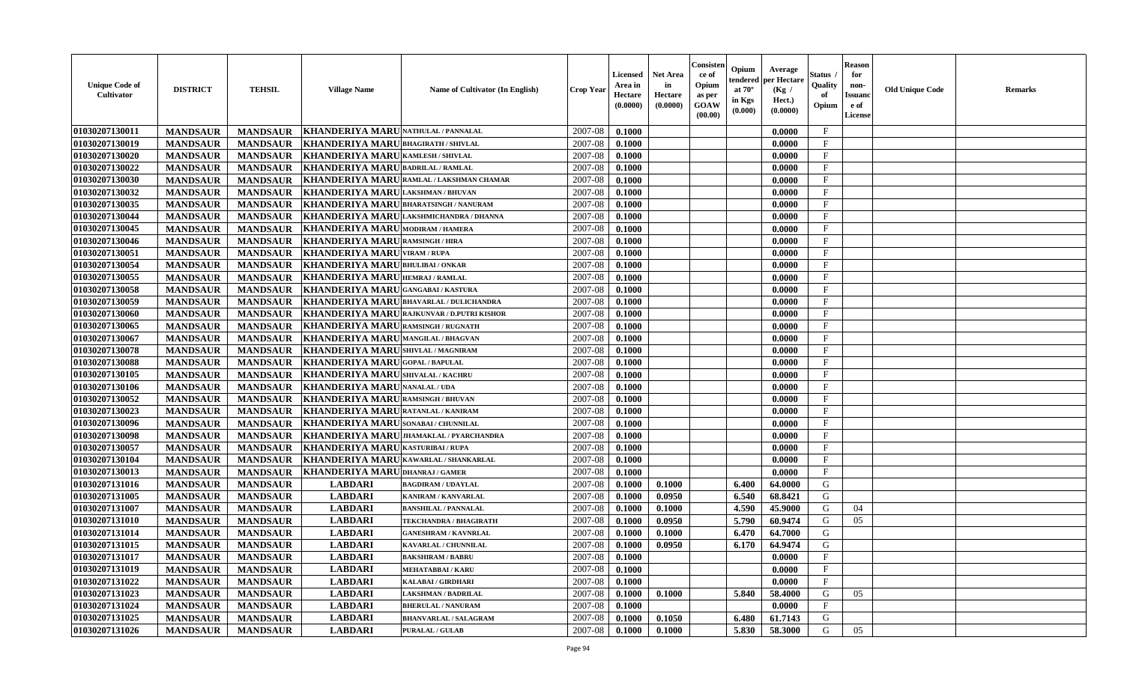| <b>Unique Code of</b><br><b>Cultivator</b> | <b>DISTRICT</b>                    | <b>TEHSIL</b>   | <b>Village Name</b>                        | Name of Cultivator (In English)                   | <b>Crop Year</b>   | <b>Licensed</b><br>Area in<br>Hectare<br>(0.0000) | <b>Net Area</b><br>in<br>Hectare<br>(0.0000) | Consister<br>ce of<br>Opium<br>as per<br><b>GOAW</b><br>(00.00) | Opium<br>endered<br>at $70^\circ$<br>in Kgs<br>(0.000) | Average<br>per Hectare<br>(Kg /<br>Hect.)<br>(0.0000) | Status<br>Quality<br>of<br>Opium | <b>Reason</b><br>for<br>non-<br><b>Issuand</b><br>e of<br><b>License</b> | <b>Old Unique Code</b> | <b>Remarks</b> |
|--------------------------------------------|------------------------------------|-----------------|--------------------------------------------|---------------------------------------------------|--------------------|---------------------------------------------------|----------------------------------------------|-----------------------------------------------------------------|--------------------------------------------------------|-------------------------------------------------------|----------------------------------|--------------------------------------------------------------------------|------------------------|----------------|
| 01030207130011                             | <b>MANDSAUR</b>                    | <b>MANDSAUR</b> | KHANDERIYA MARU NATHULAL / PANNALAL        |                                                   | 2007-08            | 0.1000                                            |                                              |                                                                 |                                                        | 0.0000                                                | $\mathbf{F}$                     |                                                                          |                        |                |
| 01030207130019                             | <b>MANDSAUR</b>                    | <b>MANDSAUR</b> | <b>KHANDERIYA MARUBHAGIRATH / SHIVLAL</b>  |                                                   | 2007-08            | 0.1000                                            |                                              |                                                                 |                                                        | 0.0000                                                | $\mathbf F$                      |                                                                          |                        |                |
| 01030207130020                             | <b>MANDSAUR</b>                    | <b>MANDSAUR</b> | KHANDERIYA MARU KAMLESH / SHIVLAL          |                                                   | 2007-08            | 0.1000                                            |                                              |                                                                 |                                                        | 0.0000                                                | $\mathbf{F}$                     |                                                                          |                        |                |
| 01030207130022                             | <b>MANDSAUR</b>                    | <b>MANDSAUR</b> | KHANDERIYA MARU BADRILAL / RAMLAL          |                                                   | 2007-08            | 0.1000                                            |                                              |                                                                 |                                                        | 0.0000                                                | $\mathbf{F}$                     |                                                                          |                        |                |
| 01030207130030                             | <b>MANDSAUR</b>                    | <b>MANDSAUR</b> |                                            | KHANDERIYA MARURAMLAL/LAKSHMAN CHAMAR             | 2007-08            | 0.1000                                            |                                              |                                                                 |                                                        | 0.0000                                                | $\mathbf{F}$                     |                                                                          |                        |                |
| 01030207130032                             | <b>MANDSAUR</b>                    | <b>MANDSAUR</b> | KHANDERIYA MARULAKSHMAN/BHUVAN             |                                                   | 2007-08            | 0.1000                                            |                                              |                                                                 |                                                        | 0.0000                                                | $_{\rm F}$                       |                                                                          |                        |                |
| 01030207130035                             | <b>MANDSAUR</b>                    | <b>MANDSAUR</b> | KHANDERIYA MARUBHARATSINGH / NANURAM       |                                                   | 2007-08            | 0.1000                                            |                                              |                                                                 |                                                        | 0.0000                                                | F                                |                                                                          |                        |                |
| 01030207130044                             | <b>MANDSAUR</b>                    | <b>MANDSAUR</b> |                                            | KHANDERIYA MARULAKSHMICHANDRA / DHANNA            | 2007-08            | 0.1000                                            |                                              |                                                                 |                                                        | 0.0000                                                | $\rm F$                          |                                                                          |                        |                |
| 01030207130045                             | <b>MANDSAUR</b>                    | <b>MANDSAUR</b> | KHANDERIYA MARU MODIRAM / HAMERA           |                                                   | 2007-08            | 0.1000                                            |                                              |                                                                 |                                                        | 0.0000                                                | $_{\rm F}$                       |                                                                          |                        |                |
| 01030207130046                             | <b>MANDSAUR</b>                    | <b>MANDSAUR</b> | KHANDERIYA MARU RAMSINGH / HIRA            |                                                   | 2007-08            | 0.1000                                            |                                              |                                                                 |                                                        | 0.0000                                                | $\mathbf{F}$                     |                                                                          |                        |                |
| 01030207130051                             | <b>MANDSAUR</b>                    | <b>MANDSAUR</b> | <b>KHANDERIYA MARU VIRAM / RUPA</b>        |                                                   | 2007-08            | 0.1000                                            |                                              |                                                                 |                                                        | 0.0000                                                | $\mathbf{F}$                     |                                                                          |                        |                |
| 01030207130054                             | <b>MANDSAUR</b>                    | <b>MANDSAUR</b> | KHANDERIYA MARUBHULIBAI / ONKAR            |                                                   | 2007-08            | 0.1000                                            |                                              |                                                                 |                                                        | 0.0000                                                | $\mathbf{F}$                     |                                                                          |                        |                |
| 01030207130055                             | <b>MANDSAUR</b>                    | <b>MANDSAUR</b> | KHANDERIYA MARU HEMRAJ / RAMLAL            |                                                   | 2007-08            | 0.1000                                            |                                              |                                                                 |                                                        | 0.0000                                                | $\mathbf{F}$                     |                                                                          |                        |                |
| 01030207130058                             | <b>MANDSAUR</b>                    | <b>MANDSAUR</b> | KHANDERIYA MARU GANGABAI/KASTURA           |                                                   | 2007-08            | 0.1000                                            |                                              |                                                                 |                                                        | 0.0000                                                | $_{\rm F}$                       |                                                                          |                        |                |
| 01030207130059                             | <b>MANDSAUR</b>                    | <b>MANDSAUR</b> | KHANDERIYA MARUBHAVARLAL / DULICHANDRA     |                                                   | 2007-08            | 0.1000                                            |                                              |                                                                 |                                                        | 0.0000                                                | $\mathbf{F}$                     |                                                                          |                        |                |
| 01030207130060                             | <b>MANDSAUR</b>                    | <b>MANDSAUR</b> |                                            | <b>KHANDERIYA MARU RAJKUNVAR / D.PUTRI KISHOR</b> | 2007-08            | 0.1000                                            |                                              |                                                                 |                                                        | 0.0000                                                | $_{\rm F}$                       |                                                                          |                        |                |
| 01030207130065                             | <b>MANDSAUR</b>                    | <b>MANDSAUR</b> | KHANDERIYA MARU RAMSINGH / RUGNATH         |                                                   | 2007-08            | 0.1000                                            |                                              |                                                                 |                                                        | 0.0000                                                | $_{\rm F}$                       |                                                                          |                        |                |
| 01030207130067                             | <b>MANDSAUR</b>                    | <b>MANDSAUR</b> | KHANDERIYA MARUMANGILAL / BHAGVAN          |                                                   | 2007-08            | 0.1000                                            |                                              |                                                                 |                                                        | 0.0000                                                | $_{\rm F}$                       |                                                                          |                        |                |
| 01030207130078                             | <b>MANDSAUR</b>                    | <b>MANDSAUR</b> | <b>KHANDERIYA MARUSHIVLAL / MAGNIRAM</b>   |                                                   | 2007-08            | 0.1000                                            |                                              |                                                                 |                                                        | 0.0000                                                | $_{\rm F}$                       |                                                                          |                        |                |
| 01030207130088                             | <b>MANDSAUR</b>                    | <b>MANDSAUR</b> | <b>KHANDERIYA MARUGOPAL/BAPULAL</b>        |                                                   | 2007-08            | 0.1000                                            |                                              |                                                                 |                                                        | 0.0000                                                | $\mathbf{F}$                     |                                                                          |                        |                |
| 01030207130105                             | <b>MANDSAUR</b>                    | <b>MANDSAUR</b> | <b>KHANDERIYA MARU SHIVALAL / KACHRU</b>   |                                                   | 2007-08            | 0.1000                                            |                                              |                                                                 |                                                        | 0.0000                                                | $\mathbf{F}$                     |                                                                          |                        |                |
| 01030207130106                             | <b>MANDSAUR</b>                    | <b>MANDSAUR</b> | <b>KHANDERIYA MARU NANALAL / UDA</b>       |                                                   | 2007-08            | 0.1000                                            |                                              |                                                                 |                                                        | 0.0000                                                | $_{\rm F}$                       |                                                                          |                        |                |
| 01030207130052                             | <b>MANDSAUR</b>                    | <b>MANDSAUR</b> | <b>KHANDERIYA MARU RAMSINGH / BHUVAN</b>   |                                                   | 2007-08            | 0.1000                                            |                                              |                                                                 |                                                        | 0.0000                                                | $\mathbf{F}$                     |                                                                          |                        |                |
| 01030207130023                             | <b>MANDSAUR</b>                    | <b>MANDSAUR</b> | KHANDERIYA MARURATANLAL / KANIRAM          |                                                   | 2007-08            | 0.1000                                            |                                              |                                                                 |                                                        | 0.0000                                                | $\mathbf{F}$                     |                                                                          |                        |                |
| 01030207130096                             | <b>MANDSAUR</b>                    | <b>MANDSAUR</b> | <b>KHANDERIYA MARU SONABAI / CHUNNILAL</b> |                                                   | 2007-08            | 0.1000                                            |                                              |                                                                 |                                                        | 0.0000                                                | $\rm F$                          |                                                                          |                        |                |
| 01030207130098                             | <b>MANDSAUR</b>                    | <b>MANDSAUR</b> |                                            | KHANDERIYA MARU JHAMAKLAL / PYARCHANDRA           | 2007-08            | 0.1000                                            |                                              |                                                                 |                                                        | 0.0000                                                | $\mathbf{F}$                     |                                                                          |                        |                |
| 01030207130057                             | <b>MANDSAUR</b>                    | <b>MANDSAUR</b> | KHANDERIYA MARU KASTURIBAI/RUPA            |                                                   | 2007-08            | 0.1000                                            |                                              |                                                                 |                                                        | 0.0000                                                | F                                |                                                                          |                        |                |
| 01030207130104                             |                                    | <b>MANDSAUR</b> | KHANDERIYA MARU KAWARLAL / SHANKARLAL      |                                                   | 2007-08            | 0.1000                                            |                                              |                                                                 |                                                        | 0.0000                                                | $_{\rm F}$                       |                                                                          |                        |                |
| 01030207130013                             | <b>MANDSAUR</b><br><b>MANDSAUR</b> | <b>MANDSAUR</b> | <b>KHANDERIYA MARU DHANRAJ / GAMER</b>     |                                                   | 2007-08            | 0.1000                                            |                                              |                                                                 |                                                        | 0.0000                                                | $\mathbf{F}$                     |                                                                          |                        |                |
| 01030207131016                             | <b>MANDSAUR</b>                    | <b>MANDSAUR</b> | <b>LABDARI</b>                             | <b>BAGDIRAM / UDAYLAL</b>                         | 2007-08            | 0.1000                                            | 0.1000                                       |                                                                 | 6.400                                                  | 64.0000                                               | G                                |                                                                          |                        |                |
| 01030207131005                             | <b>MANDSAUR</b>                    | <b>MANDSAUR</b> | <b>LABDARI</b>                             | <b>KANIRAM / KANVARLAL</b>                        | 2007-08            | 0.1000                                            | 0.0950                                       |                                                                 | 6.540                                                  | 68.8421                                               | G                                |                                                                          |                        |                |
| 01030207131007                             | <b>MANDSAUR</b>                    | <b>MANDSAUR</b> | <b>LABDARI</b>                             | <b>BANSHILAL / PANNALAL</b>                       | 2007-08            | 0.1000                                            | 0.1000                                       |                                                                 | 4.590                                                  | 45.9000                                               | G                                | 04                                                                       |                        |                |
| 01030207131010                             |                                    | <b>MANDSAUR</b> | <b>LABDARI</b>                             | TEKCHANDRA / BHAGIRATH                            | 2007-08            | 0.1000                                            | 0.0950                                       |                                                                 | 5.790                                                  | 60.9474                                               | G                                | 05                                                                       |                        |                |
| 01030207131014                             | <b>MANDSAUR</b><br><b>MANDSAUR</b> | <b>MANDSAUR</b> | <b>LABDARI</b>                             | <b>GANESHRAM / KAVNRLAL</b>                       | 2007-08            | 0.1000                                            | 0.1000                                       |                                                                 | 6.470                                                  | 64.7000                                               | G                                |                                                                          |                        |                |
|                                            |                                    |                 |                                            |                                                   |                    |                                                   |                                              |                                                                 |                                                        |                                                       | G                                |                                                                          |                        |                |
| 01030207131015                             | <b>MANDSAUR</b>                    | <b>MANDSAUR</b> | <b>LABDARI</b>                             | KAVARLAL / CHUNNILAL<br><b>BAKSHIRAM / BABRU</b>  | 2007-08<br>2007-08 | 0.1000                                            | 0.0950                                       |                                                                 | 6.170                                                  | 64.9474<br>0.0000                                     | F                                |                                                                          |                        |                |
| 01030207131017                             | <b>MANDSAUR</b>                    | <b>MANDSAUR</b> | <b>LABDARI</b>                             | <b>MEHATABBAI/KARU</b>                            |                    | 0.1000                                            |                                              |                                                                 |                                                        |                                                       |                                  |                                                                          |                        |                |
| 01030207131019<br>01030207131022           | <b>MANDSAUR</b>                    | <b>MANDSAUR</b> | <b>LABDARI</b><br><b>LABDARI</b>           | <b>KALABAI/GIRDHARI</b>                           | 2007-08            | 0.1000                                            |                                              |                                                                 |                                                        | 0.0000                                                | $_{\rm F}$<br>$\mathbf{F}$       |                                                                          |                        |                |
|                                            | <b>MANDSAUR</b>                    | <b>MANDSAUR</b> |                                            |                                                   | 2007-08            | 0.1000                                            |                                              |                                                                 |                                                        | 0.0000                                                |                                  |                                                                          |                        |                |
| 01030207131023                             | <b>MANDSAUR</b>                    | <b>MANDSAUR</b> | <b>LABDARI</b>                             | <b>LAKSHMAN / BADRILAL</b>                        | 2007-08            | 0.1000                                            | 0.1000                                       |                                                                 | 5.840                                                  | 58.4000                                               | G<br>F                           | 05                                                                       |                        |                |
| 01030207131024                             | <b>MANDSAUR</b>                    | <b>MANDSAUR</b> | <b>LABDARI</b>                             | <b>BHERULAL / NANURAM</b>                         | 2007-08            | 0.1000                                            |                                              |                                                                 |                                                        | 0.0000                                                |                                  |                                                                          |                        |                |
| 01030207131025                             | <b>MANDSAUR</b>                    | <b>MANDSAUR</b> | <b>LABDARI</b>                             | <b>BHANVARLAL / SALAGRAM</b>                      | 2007-08            | 0.1000                                            | 0.1050                                       |                                                                 | 6.480                                                  | 61.7143                                               | G                                |                                                                          |                        |                |
| 01030207131026                             | <b>MANDSAUR</b>                    | <b>MANDSAUR</b> | <b>LABDARI</b>                             | <b>PURALAL / GULAB</b>                            | 2007-08            | 0.1000                                            | 0.1000                                       |                                                                 | 5.830                                                  | 58.3000                                               | G                                | 05                                                                       |                        |                |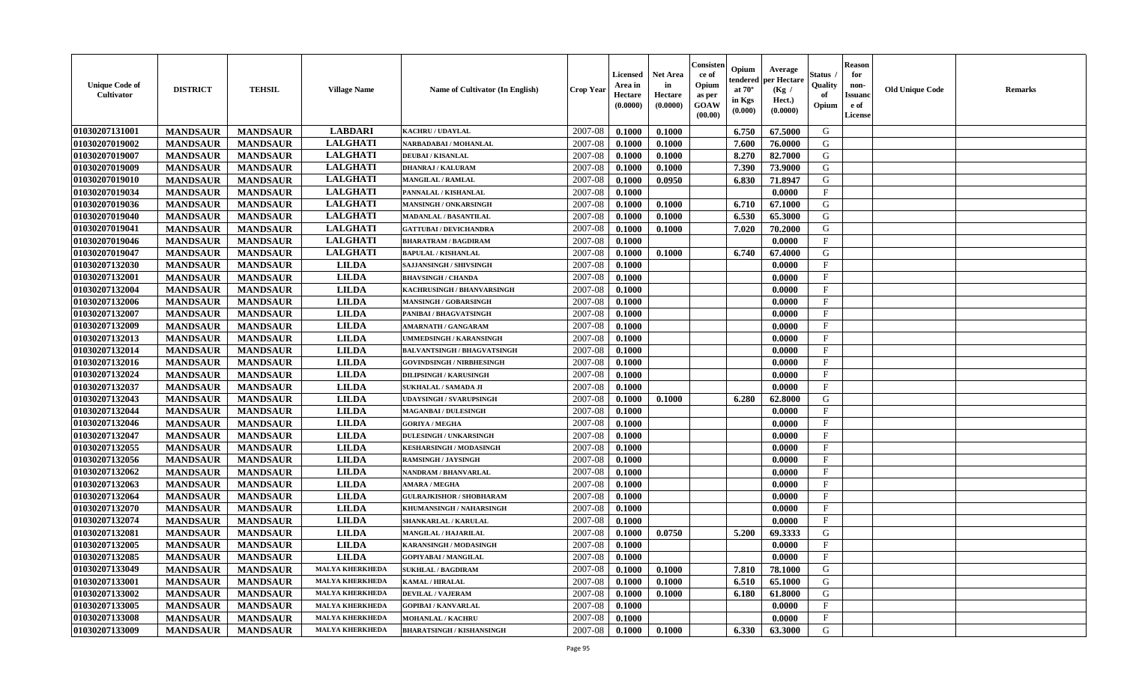| <b>Unique Code of</b><br>Cultivator | <b>DISTRICT</b> | <b>TEHSIL</b>   | <b>Village Name</b>    | Name of Cultivator (In English)    | <b>Crop Year</b> | <b>Licensed</b><br>Area in<br>Hectare<br>(0.0000) | <b>Net Area</b><br>in<br>Hectare<br>(0.0000) | Consister<br>ce of<br>Opium<br>as per<br><b>GOAW</b><br>(00.00) | Opium<br>endered<br>at $70^{\circ}$<br>in Kgs<br>(0.000) | Average<br>per Hectare<br>(Kg /<br>Hect.)<br>(0.0000) | <b>Status</b><br>Quality<br>of<br>Opium | <b>Reason</b><br>for<br>non-<br><b>Issuanc</b><br>e of<br>License | <b>Old Unique Code</b> | <b>Remarks</b> |
|-------------------------------------|-----------------|-----------------|------------------------|------------------------------------|------------------|---------------------------------------------------|----------------------------------------------|-----------------------------------------------------------------|----------------------------------------------------------|-------------------------------------------------------|-----------------------------------------|-------------------------------------------------------------------|------------------------|----------------|
| 01030207131001                      | <b>MANDSAUR</b> | <b>MANDSAUR</b> | <b>LABDARI</b>         | <b>KACHRU / UDAYLAL</b>            | 2007-08          | 0.1000                                            | 0.1000                                       |                                                                 | 6.750                                                    | 67.5000                                               | G                                       |                                                                   |                        |                |
| 01030207019002                      | <b>MANDSAUR</b> | <b>MANDSAUR</b> | <b>LALGHATI</b>        | NARBADABAI / MOHANLAL              | 2007-08          | 0.1000                                            | 0.1000                                       |                                                                 | 7.600                                                    | 76.0000                                               | G                                       |                                                                   |                        |                |
| 01030207019007                      | <b>MANDSAUR</b> | <b>MANDSAUR</b> | <b>LALGHATI</b>        | <b>DEUBAI/KISANLAL</b>             | 2007-08          | 0.1000                                            | 0.1000                                       |                                                                 | 8.270                                                    | 82.7000                                               | G                                       |                                                                   |                        |                |
| 01030207019009                      | <b>MANDSAUR</b> | <b>MANDSAUR</b> | <b>LALGHATI</b>        | <b>DHANRAJ / KALURAM</b>           | 2007-08          | 0.1000                                            | 0.1000                                       |                                                                 | 7.390                                                    | 73.9000                                               | G                                       |                                                                   |                        |                |
| 01030207019010                      | <b>MANDSAUR</b> | <b>MANDSAUR</b> | <b>LALGHATI</b>        | <b>MANGILAL / RAMLAL</b>           | 2007-08          | 0.1000                                            | 0.0950                                       |                                                                 | 6.830                                                    | 71.8947                                               | G                                       |                                                                   |                        |                |
| 01030207019034                      | <b>MANDSAUR</b> | <b>MANDSAUR</b> | <b>LALGHATI</b>        | PANNALAL / KISHANLAL               | 2007-08          | 0.1000                                            |                                              |                                                                 |                                                          | 0.0000                                                | $\mathbf{F}$                            |                                                                   |                        |                |
| 01030207019036                      | <b>MANDSAUR</b> | <b>MANDSAUR</b> | <b>LALGHATI</b>        | <b>MANSINGH / ONKARSINGH</b>       | 2007-08          | 0.1000                                            | 0.1000                                       |                                                                 | 6.710                                                    | 67.1000                                               | G                                       |                                                                   |                        |                |
| 01030207019040                      | <b>MANDSAUR</b> | <b>MANDSAUR</b> | <b>LALGHATI</b>        | <b>MADANLAL / BASANTILAL</b>       | 2007-08          | 0.1000                                            | 0.1000                                       |                                                                 | 6.530                                                    | 65.3000                                               | G                                       |                                                                   |                        |                |
| 01030207019041                      | <b>MANDSAUR</b> | <b>MANDSAUR</b> | <b>LALGHATI</b>        | <b>GATTUBAI/DEVICHANDRA</b>        | 2007-08          | 0.1000                                            | 0.1000                                       |                                                                 | 7.020                                                    | 70.2000                                               | G                                       |                                                                   |                        |                |
| 01030207019046                      | <b>MANDSAUR</b> | <b>MANDSAUR</b> | <b>LALGHATI</b>        | <b>BHARATRAM / BAGDIRAM</b>        | 2007-08          | 0.1000                                            |                                              |                                                                 |                                                          | 0.0000                                                | $\mathbf{F}$                            |                                                                   |                        |                |
| 01030207019047                      | <b>MANDSAUR</b> | <b>MANDSAUR</b> | <b>LALGHATI</b>        | <b>BAPULAL / KISHANLAL</b>         | 2007-08          | 0.1000                                            | 0.1000                                       |                                                                 | 6.740                                                    | 67.4000                                               | G                                       |                                                                   |                        |                |
| 01030207132030                      | <b>MANDSAUR</b> | <b>MANDSAUR</b> | <b>LILDA</b>           | <b>SAJJANSINGH / SHIVSINGH</b>     | 2007-08          | 0.1000                                            |                                              |                                                                 |                                                          | 0.0000                                                | $\mathbf{F}$                            |                                                                   |                        |                |
| 01030207132001                      | <b>MANDSAUR</b> | <b>MANDSAUR</b> | <b>LILDA</b>           | <b>BHAVSINGH / CHANDA</b>          | 2007-08          | 0.1000                                            |                                              |                                                                 |                                                          | 0.0000                                                | $\mathbf{F}$                            |                                                                   |                        |                |
| 01030207132004                      | <b>MANDSAUR</b> | <b>MANDSAUR</b> | <b>LILDA</b>           | KACHRUSINGH / BHANVARSINGH         | 2007-08          | 0.1000                                            |                                              |                                                                 |                                                          | 0.0000                                                | $\mathbf F$                             |                                                                   |                        |                |
| 01030207132006                      | <b>MANDSAUR</b> | <b>MANDSAUR</b> | <b>LILDA</b>           | <b>MANSINGH / GOBARSINGH</b>       | 2007-08          | 0.1000                                            |                                              |                                                                 |                                                          | 0.0000                                                | $\mathbf{F}$                            |                                                                   |                        |                |
| 01030207132007                      | <b>MANDSAUR</b> | <b>MANDSAUR</b> | <b>LILDA</b>           | PANIBAI / BHAGVATSINGH             | 2007-08          | 0.1000                                            |                                              |                                                                 |                                                          | 0.0000                                                | $_{\rm F}$                              |                                                                   |                        |                |
| 01030207132009                      | <b>MANDSAUR</b> | <b>MANDSAUR</b> | <b>LILDA</b>           | <b>AMARNATH / GANGARAM</b>         | 2007-08          | 0.1000                                            |                                              |                                                                 |                                                          | 0.0000                                                | $\mathbf{F}$                            |                                                                   |                        |                |
| 01030207132013                      | <b>MANDSAUR</b> | <b>MANDSAUR</b> | <b>LILDA</b>           | UMMEDSINGH / KARANSINGH            | 2007-08          | 0.1000                                            |                                              |                                                                 |                                                          | 0.0000                                                | $\mathbf{F}$                            |                                                                   |                        |                |
| 01030207132014                      | <b>MANDSAUR</b> | <b>MANDSAUR</b> | <b>LILDA</b>           | <b>BALVANTSINGH / BHAGVATSINGH</b> | 2007-08          | 0.1000                                            |                                              |                                                                 |                                                          | 0.0000                                                | $\mathbf{F}$                            |                                                                   |                        |                |
| 01030207132016                      | <b>MANDSAUR</b> | <b>MANDSAUR</b> | <b>LILDA</b>           | <b>GOVINDSINGH / NIRBHESINGH</b>   | 2007-08          | 0.1000                                            |                                              |                                                                 |                                                          | 0.0000                                                | $_{\rm F}$                              |                                                                   |                        |                |
| 01030207132024                      | <b>MANDSAUR</b> | <b>MANDSAUR</b> | <b>LILDA</b>           | <b>DILIPSINGH / KARUSINGH</b>      | 2007-08          | 0.1000                                            |                                              |                                                                 |                                                          | 0.0000                                                | $\mathbf F$                             |                                                                   |                        |                |
| 01030207132037                      | <b>MANDSAUR</b> | <b>MANDSAUR</b> | <b>LILDA</b>           | SUKHALAL / SAMADA JI               | 2007-08          | 0.1000                                            |                                              |                                                                 |                                                          | 0.0000                                                | $\mathbf{F}$                            |                                                                   |                        |                |
| 01030207132043                      | <b>MANDSAUR</b> | <b>MANDSAUR</b> | <b>LILDA</b>           | <b>UDAYSINGH / SVARUPSINGH</b>     | 2007-08          | 0.1000                                            | 0.1000                                       |                                                                 | 6.280                                                    | 62.8000                                               | G                                       |                                                                   |                        |                |
| 01030207132044                      | <b>MANDSAUR</b> | <b>MANDSAUR</b> | <b>LILDA</b>           | <b>MAGANBAI/DULESINGH</b>          | 2007-08          | 0.1000                                            |                                              |                                                                 |                                                          | 0.0000                                                | $\mathbf F$                             |                                                                   |                        |                |
| 01030207132046                      | <b>MANDSAUR</b> | <b>MANDSAUR</b> | <b>LILDA</b>           | <b>GORIYA / MEGHA</b>              | 2007-08          | 0.1000                                            |                                              |                                                                 |                                                          | 0.0000                                                | $\mathbf F$                             |                                                                   |                        |                |
| 01030207132047                      | <b>MANDSAUR</b> | <b>MANDSAUR</b> | <b>LILDA</b>           | <b>DULESINGH / UNKARSINGH</b>      | 2007-08          | 0.1000                                            |                                              |                                                                 |                                                          | 0.0000                                                | $\mathbf{F}$                            |                                                                   |                        |                |
| 01030207132055                      | <b>MANDSAUR</b> | <b>MANDSAUR</b> | <b>LILDA</b>           | <b>KESHARSINGH / MODASINGH</b>     | 2007-08          | 0.1000                                            |                                              |                                                                 |                                                          | 0.0000                                                | $\mathbf{F}$                            |                                                                   |                        |                |
| 01030207132056                      | <b>MANDSAUR</b> | <b>MANDSAUR</b> | <b>LILDA</b>           | <b>RAMSINGH / JAYSINGH</b>         | 2007-08          | 0.1000                                            |                                              |                                                                 |                                                          | 0.0000                                                | $\mathbf{F}$                            |                                                                   |                        |                |
| 01030207132062                      | <b>MANDSAUR</b> | <b>MANDSAUR</b> | <b>LILDA</b>           | <b>NANDRAM / BHANVARLAL</b>        | 2007-08          | 0.1000                                            |                                              |                                                                 |                                                          | 0.0000                                                | $\mathbf{F}$                            |                                                                   |                        |                |
| 01030207132063                      | <b>MANDSAUR</b> | <b>MANDSAUR</b> | <b>LILDA</b>           | <b>AMARA / MEGHA</b>               | 2007-08          | 0.1000                                            |                                              |                                                                 |                                                          | 0.0000                                                | $_{\rm F}$                              |                                                                   |                        |                |
| 01030207132064                      | <b>MANDSAUR</b> | <b>MANDSAUR</b> | <b>LILDA</b>           | <b>GULRAJKISHOR / SHOBHARAM</b>    | 2007-08          | 0.1000                                            |                                              |                                                                 |                                                          | 0.0000                                                | $\mathbf F$                             |                                                                   |                        |                |
| 01030207132070                      | <b>MANDSAUR</b> | <b>MANDSAUR</b> | <b>LILDA</b>           | KHUMANSINGH / NAHARSINGH           | 2007-08          | 0.1000                                            |                                              |                                                                 |                                                          | 0.0000                                                | $\mathbf{F}$                            |                                                                   |                        |                |
| 01030207132074                      | <b>MANDSAUR</b> | <b>MANDSAUR</b> | <b>LILDA</b>           | SHANKARLAL / KARULAL               | 2007-08          | 0.1000                                            |                                              |                                                                 |                                                          | 0.0000                                                | $\mathbf{F}$                            |                                                                   |                        |                |
| 01030207132081                      | <b>MANDSAUR</b> | <b>MANDSAUR</b> | <b>LILDA</b>           | <b>MANGILAL / HAJARILAL</b>        | 2007-08          | 0.1000                                            | 0.0750                                       |                                                                 | 5.200                                                    | 69.3333                                               | G                                       |                                                                   |                        |                |
| 01030207132005                      | <b>MANDSAUR</b> | <b>MANDSAUR</b> | <b>LILDA</b>           | KARANSINGH / MODASINGH             | 2007-08          | 0.1000                                            |                                              |                                                                 |                                                          | 0.0000                                                | $\mathbf{F}$                            |                                                                   |                        |                |
| 01030207132085                      | <b>MANDSAUR</b> | MANDSAUR        | <b>LILDA</b>           | <b>GOPIYABAI / MANGILAL</b>        | 2007-08          | 0.1000                                            |                                              |                                                                 |                                                          | 0.0000                                                | F                                       |                                                                   |                        |                |
| 01030207133049                      | <b>MANDSAUR</b> | <b>MANDSAUR</b> | <b>MALYA KHERKHEDA</b> | <b>SUKHLAL / BAGDIRAM</b>          | 2007-08          | 0.1000                                            | 0.1000                                       |                                                                 | 7.810                                                    | 78.1000                                               | G                                       |                                                                   |                        |                |
| 01030207133001                      | <b>MANDSAUR</b> | <b>MANDSAUR</b> | <b>MALYA KHERKHEDA</b> | <b>KAMAL / HIRALAL</b>             | 2007-08          | 0.1000                                            | 0.1000                                       |                                                                 | 6.510                                                    | 65.1000                                               | G                                       |                                                                   |                        |                |
| 01030207133002                      | <b>MANDSAUR</b> | <b>MANDSAUR</b> | <b>MALYA KHERKHEDA</b> | <b>DEVILAL / VAJERAM</b>           | 2007-08          | 0.1000                                            | 0.1000                                       |                                                                 | 6.180                                                    | 61.8000                                               | G                                       |                                                                   |                        |                |
| 01030207133005                      | <b>MANDSAUR</b> | <b>MANDSAUR</b> | <b>MALYA KHERKHEDA</b> | <b>GOPIBAI/KANVARLAL</b>           | 2007-08          | 0.1000                                            |                                              |                                                                 |                                                          | 0.0000                                                | $\mathbf{F}$                            |                                                                   |                        |                |
| 01030207133008                      | <b>MANDSAUR</b> | <b>MANDSAUR</b> | <b>MALYA KHERKHEDA</b> | <b>MOHANLAL / KACHRU</b>           | 2007-08          | 0.1000                                            |                                              |                                                                 |                                                          | 0.0000                                                | $\mathbf{F}$                            |                                                                   |                        |                |
| 01030207133009                      | <b>MANDSAUR</b> | <b>MANDSAUR</b> | <b>MALYA KHERKHEDA</b> | <b>BHARATSINGH / KISHANSINGH</b>   | 2007-08          | $\boldsymbol{0.1000}$                             | 0.1000                                       |                                                                 | 6.330                                                    | 63.3000                                               | G                                       |                                                                   |                        |                |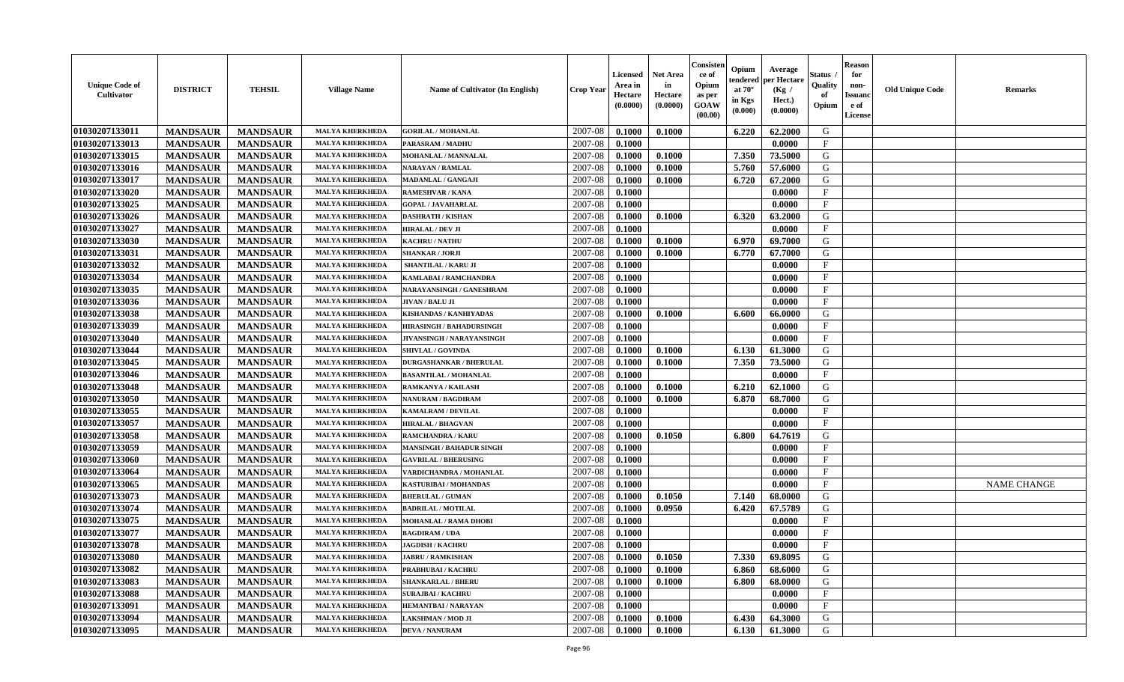| <b>Unique Code of</b><br>Cultivator | <b>DISTRICT</b> | <b>TEHSIL</b>   | <b>Village Name</b>    | Name of Cultivator (In English)  | <b>Crop Year</b> | <b>Licensed</b><br>Area in<br>Hectare<br>(0.0000) | <b>Net Area</b><br>in<br>Hectare<br>(0.0000) | Consister<br>ce of<br>Opium<br>as per<br>GOAW<br>(00.00) | Opium<br>endered<br>at $70^{\circ}$<br>in Kgs<br>$(\mathbf{0.000})$ | Average<br>per Hectare<br>(Kg /<br>Hect.)<br>(0.0000) | <b>Status</b><br>Quality<br>of<br>Opium | <b>Reason</b><br>for<br>non-<br><b>Issuanc</b><br>e of<br>License | <b>Old Unique Code</b> | <b>Remarks</b>     |
|-------------------------------------|-----------------|-----------------|------------------------|----------------------------------|------------------|---------------------------------------------------|----------------------------------------------|----------------------------------------------------------|---------------------------------------------------------------------|-------------------------------------------------------|-----------------------------------------|-------------------------------------------------------------------|------------------------|--------------------|
| 01030207133011                      | <b>MANDSAUR</b> | <b>MANDSAUR</b> | <b>MALYA KHERKHEDA</b> | <b>GORILAL / MOHANLAL</b>        | 2007-08          | 0.1000                                            | 0.1000                                       |                                                          | 6.220                                                               | 62.2000                                               | G                                       |                                                                   |                        |                    |
| 01030207133013                      | <b>MANDSAUR</b> | <b>MANDSAUR</b> | <b>MALYA KHERKHEDA</b> | <b>PARASRAM / MADHU</b>          | 2007-08          | 0.1000                                            |                                              |                                                          |                                                                     | 0.0000                                                | $\mathbf F$                             |                                                                   |                        |                    |
| 01030207133015                      | <b>MANDSAUR</b> | <b>MANDSAUR</b> | <b>MALYA KHERKHEDA</b> | <b>MOHANLAL / MANNALAL</b>       | 2007-08          | 0.1000                                            | 0.1000                                       |                                                          | 7.350                                                               | 73.5000                                               | G                                       |                                                                   |                        |                    |
| 01030207133016                      | <b>MANDSAUR</b> | <b>MANDSAUR</b> | <b>MALYA KHERKHEDA</b> | <b>NARAYAN / RAMLAL</b>          | 2007-08          | 0.1000                                            | 0.1000                                       |                                                          | 5.760                                                               | 57.6000                                               | G                                       |                                                                   |                        |                    |
| 01030207133017                      | <b>MANDSAUR</b> | <b>MANDSAUR</b> | <b>MALYA KHERKHEDA</b> | <b>MADANLAL / GANGAJI</b>        | 2007-08          | 0.1000                                            | 0.1000                                       |                                                          | 6.720                                                               | 67.2000                                               | G                                       |                                                                   |                        |                    |
| 01030207133020                      | <b>MANDSAUR</b> | <b>MANDSAUR</b> | <b>MALYA KHERKHEDA</b> | RAMESHVAR / KANA                 | 2007-08          | 0.1000                                            |                                              |                                                          |                                                                     | 0.0000                                                | $\mathbf{F}$                            |                                                                   |                        |                    |
| 01030207133025                      | <b>MANDSAUR</b> | <b>MANDSAUR</b> | <b>MALYA KHERKHEDA</b> | <b>GOPAL / JAVAHARLAL</b>        | 2007-08          | 0.1000                                            |                                              |                                                          |                                                                     | 0.0000                                                | $\mathbf{F}$                            |                                                                   |                        |                    |
| 01030207133026                      | <b>MANDSAUR</b> | <b>MANDSAUR</b> | <b>MALYA KHERKHEDA</b> | <b>DASHRATH / KISHAN</b>         | 2007-08          | 0.1000                                            | 0.1000                                       |                                                          | 6.320                                                               | 63.2000                                               | G                                       |                                                                   |                        |                    |
| 01030207133027                      | <b>MANDSAUR</b> | <b>MANDSAUR</b> | <b>MALYA KHERKHEDA</b> | <b>HIRALAL / DEV JI</b>          | 2007-08          | 0.1000                                            |                                              |                                                          |                                                                     | 0.0000                                                | F                                       |                                                                   |                        |                    |
| 01030207133030                      | <b>MANDSAUR</b> | <b>MANDSAUR</b> | <b>MALYA KHERKHEDA</b> | <b>KACHRU / NATHU</b>            | 2007-08          | 0.1000                                            | 0.1000                                       |                                                          | 6.970                                                               | 69.7000                                               | G                                       |                                                                   |                        |                    |
| 01030207133031                      | <b>MANDSAUR</b> | <b>MANDSAUR</b> | <b>MALYA KHERKHEDA</b> | <b>SHANKAR / JORJI</b>           | 2007-08          | 0.1000                                            | 0.1000                                       |                                                          | 6.770                                                               | 67.7000                                               | G                                       |                                                                   |                        |                    |
| 01030207133032                      | <b>MANDSAUR</b> | <b>MANDSAUR</b> | <b>MALYA KHERKHEDA</b> | SHANTILAL / KARU JI              | 2007-08          | 0.1000                                            |                                              |                                                          |                                                                     | 0.0000                                                | F                                       |                                                                   |                        |                    |
| 01030207133034                      | <b>MANDSAUR</b> | <b>MANDSAUR</b> | <b>MALYA KHERKHEDA</b> | KAMLABAI / RAMCHANDRA            | 2007-08          | 0.1000                                            |                                              |                                                          |                                                                     | 0.0000                                                | $\mathbf{F}$                            |                                                                   |                        |                    |
| 01030207133035                      | <b>MANDSAUR</b> | <b>MANDSAUR</b> | MALYA KHERKHEDA        | NARAYANSINGH / GANESHRAM         | 2007-08          | 0.1000                                            |                                              |                                                          |                                                                     | 0.0000                                                | $\mathbf F$                             |                                                                   |                        |                    |
| 01030207133036                      | <b>MANDSAUR</b> | <b>MANDSAUR</b> | <b>MALYA KHERKHEDA</b> | <b>JIVAN / BALU JI</b>           | 2007-08          | 0.1000                                            |                                              |                                                          |                                                                     | 0.0000                                                | $\mathbf{F}$                            |                                                                   |                        |                    |
| 01030207133038                      | <b>MANDSAUR</b> | <b>MANDSAUR</b> | <b>MALYA KHERKHEDA</b> | KISHANDAS / KANHIYADAS           | 2007-08          | 0.1000                                            | 0.1000                                       |                                                          | 6.600                                                               | 66.0000                                               | G                                       |                                                                   |                        |                    |
| 01030207133039                      | <b>MANDSAUR</b> | <b>MANDSAUR</b> | <b>MALYA KHERKHEDA</b> | <b>HIRASINGH / BAHADURSINGH</b>  | 2007-08          | 0.1000                                            |                                              |                                                          |                                                                     | 0.0000                                                | $\mathbf{F}$                            |                                                                   |                        |                    |
| 01030207133040                      | <b>MANDSAUR</b> | <b>MANDSAUR</b> | <b>MALYA KHERKHEDA</b> | <b>JIVANSINGH / NARAYANSINGH</b> | 2007-08          | 0.1000                                            |                                              |                                                          |                                                                     | 0.0000                                                | $\mathbf{F}$                            |                                                                   |                        |                    |
| 01030207133044                      | <b>MANDSAUR</b> | <b>MANDSAUR</b> | <b>MALYA KHERKHEDA</b> | <b>SHIVLAL / GOVINDA</b>         | 2007-08          | 0.1000                                            | 0.1000                                       |                                                          | 6.130                                                               | 61.3000                                               | G                                       |                                                                   |                        |                    |
| 01030207133045                      | <b>MANDSAUR</b> | <b>MANDSAUR</b> | <b>MALYA KHERKHEDA</b> | <b>DURGASHANKAR / BHERULAL</b>   | 2007-08          | 0.1000                                            | 0.1000                                       |                                                          | 7.350                                                               | 73.5000                                               | G                                       |                                                                   |                        |                    |
| 01030207133046                      | <b>MANDSAUR</b> | <b>MANDSAUR</b> | <b>MALYA KHERKHEDA</b> | <b>BASANTILAL / MOHANLAL</b>     | 2007-08          | 0.1000                                            |                                              |                                                          |                                                                     | 0.0000                                                | F                                       |                                                                   |                        |                    |
| 01030207133048                      | <b>MANDSAUR</b> | <b>MANDSAUR</b> | <b>MALYA KHERKHEDA</b> | RAMKANYA / KAILASH               | 2007-08          | 0.1000                                            | 0.1000                                       |                                                          | 6.210                                                               | 62.1000                                               | G                                       |                                                                   |                        |                    |
| 01030207133050                      | <b>MANDSAUR</b> | <b>MANDSAUR</b> | <b>MALYA KHERKHEDA</b> | NANURAM / BAGDIRAM               | 2007-08          | 0.1000                                            | 0.1000                                       |                                                          | 6.870                                                               | 68.7000                                               | G                                       |                                                                   |                        |                    |
| 01030207133055                      | <b>MANDSAUR</b> | <b>MANDSAUR</b> | <b>MALYA KHERKHEDA</b> | KAMALRAM / DEVILAL               | 2007-08          | 0.1000                                            |                                              |                                                          |                                                                     | 0.0000                                                | $\mathbf F$                             |                                                                   |                        |                    |
| 01030207133057                      | <b>MANDSAUR</b> | <b>MANDSAUR</b> | MALYA KHERKHEDA        | <b>HIRALAL / BHAGVAN</b>         | 2007-08          | 0.1000                                            |                                              |                                                          |                                                                     | 0.0000                                                | $\mathbf F$                             |                                                                   |                        |                    |
| 01030207133058                      | <b>MANDSAUR</b> | <b>MANDSAUR</b> | <b>MALYA KHERKHEDA</b> | <b>RAMCHANDRA / KARU</b>         | 2007-08          | 0.1000                                            | 0.1050                                       |                                                          | 6.800                                                               | 64.7619                                               | G                                       |                                                                   |                        |                    |
| 01030207133059                      | <b>MANDSAUR</b> | <b>MANDSAUR</b> | <b>MALYA KHERKHEDA</b> | <b>MANSINGH / BAHADUR SINGH</b>  | 2007-08          | 0.1000                                            |                                              |                                                          |                                                                     | 0.0000                                                | F                                       |                                                                   |                        |                    |
| 01030207133060                      | <b>MANDSAUR</b> | <b>MANDSAUR</b> | <b>MALYA KHERKHEDA</b> | <b>GAVRILAL / BHERUSING</b>      | 2007-08          | 0.1000                                            |                                              |                                                          |                                                                     | 0.0000                                                | $\mathbf{F}$                            |                                                                   |                        |                    |
| 01030207133064                      | <b>MANDSAUR</b> | <b>MANDSAUR</b> | <b>MALYA KHERKHEDA</b> | VARDICHANDRA / MOHANLAL          | 2007-08          | 0.1000                                            |                                              |                                                          |                                                                     | 0.0000                                                | $\mathbf{F}$                            |                                                                   |                        |                    |
| 01030207133065                      | <b>MANDSAUR</b> | <b>MANDSAUR</b> | <b>MALYA KHERKHEDA</b> | KASTURIBAI / MOHANDAS            | 2007-08          | 0.1000                                            |                                              |                                                          |                                                                     | 0.0000                                                | $\mathbf F$                             |                                                                   |                        | <b>NAME CHANGE</b> |
| 01030207133073                      | <b>MANDSAUR</b> | <b>MANDSAUR</b> | <b>MALYA KHERKHEDA</b> | <b>BHERULAL / GUMAN</b>          | 2007-08          | 0.1000                                            | 0.1050                                       |                                                          | 7.140                                                               | 68.0000                                               | G                                       |                                                                   |                        |                    |
| 01030207133074                      | <b>MANDSAUR</b> | <b>MANDSAUR</b> | <b>MALYA KHERKHEDA</b> | <b>BADRILAL / MOTILAL</b>        | 2007-08          | 0.1000                                            | 0.0950                                       |                                                          | 6.420                                                               | 67.5789                                               | G                                       |                                                                   |                        |                    |
| 01030207133075                      | <b>MANDSAUR</b> | <b>MANDSAUR</b> | <b>MALYA KHERKHEDA</b> | <b>MOHANLAL / RAMA DHOBI</b>     | 2007-08          | 0.1000                                            |                                              |                                                          |                                                                     | 0.0000                                                | $\mathbf{F}$                            |                                                                   |                        |                    |
| 01030207133077                      | <b>MANDSAUR</b> | <b>MANDSAUR</b> | <b>MALYA KHERKHEDA</b> | <b>BAGDIRAM / UDA</b>            | 2007-08          | 0.1000                                            |                                              |                                                          |                                                                     | 0.0000                                                | F                                       |                                                                   |                        |                    |
| 01030207133078                      | <b>MANDSAUR</b> | <b>MANDSAUR</b> | <b>MALYA KHERKHEDA</b> | <b>JAGDISH / KACHRU</b>          | 2007-08          | 0.1000                                            |                                              |                                                          |                                                                     | 0.0000                                                | $\mathbf{F}$                            |                                                                   |                        |                    |
| 01030207133080                      | <b>MANDSAUR</b> | MANDSAUR        | <b>MALYA KHERKHEDA</b> | <b>JABRU / RAMKISHAN</b>         | 2007-08          | 0.1000                                            | 0.1050                                       |                                                          | 7.330                                                               | 69.8095                                               | G                                       |                                                                   |                        |                    |
| 01030207133082                      | <b>MANDSAUR</b> | <b>MANDSAUR</b> | <b>MALYA KHERKHEDA</b> | PRABHUBAI / KACHRU               | 2007-08          | 0.1000                                            | 0.1000                                       |                                                          | 6.860                                                               | 68.6000                                               | G                                       |                                                                   |                        |                    |
| 01030207133083                      | <b>MANDSAUR</b> | <b>MANDSAUR</b> | <b>MALYA KHERKHEDA</b> | <b>SHANKARLAL / BHERU</b>        | 2007-08          | 0.1000                                            | 0.1000                                       |                                                          | 6.800                                                               | 68.0000                                               | G                                       |                                                                   |                        |                    |
| 01030207133088                      | <b>MANDSAUR</b> | <b>MANDSAUR</b> | <b>MALYA KHERKHEDA</b> | <b>SURAJBAI / KACHRU</b>         | 2007-08          | 0.1000                                            |                                              |                                                          |                                                                     | 0.0000                                                | $\mathbf{F}$                            |                                                                   |                        |                    |
| 01030207133091                      | <b>MANDSAUR</b> | <b>MANDSAUR</b> | <b>MALYA KHERKHEDA</b> | <b>HEMANTBAI/NARAYAN</b>         | 2007-08          | 0.1000                                            |                                              |                                                          |                                                                     | 0.0000                                                | $\mathbf{F}$                            |                                                                   |                        |                    |
| 01030207133094                      | <b>MANDSAUR</b> | <b>MANDSAUR</b> | <b>MALYA KHERKHEDA</b> | LAKSHMAN / MOD JI                | 2007-08          | 0.1000                                            | 0.1000                                       |                                                          | 6.430                                                               | 64.3000                                               | G                                       |                                                                   |                        |                    |
| 01030207133095                      | <b>MANDSAUR</b> | <b>MANDSAUR</b> | <b>MALYA KHERKHEDA</b> | <b>DEVA / NANURAM</b>            | 2007-08          | 0.1000                                            | 0.1000                                       |                                                          | 6.130                                                               | 61.3000                                               | G                                       |                                                                   |                        |                    |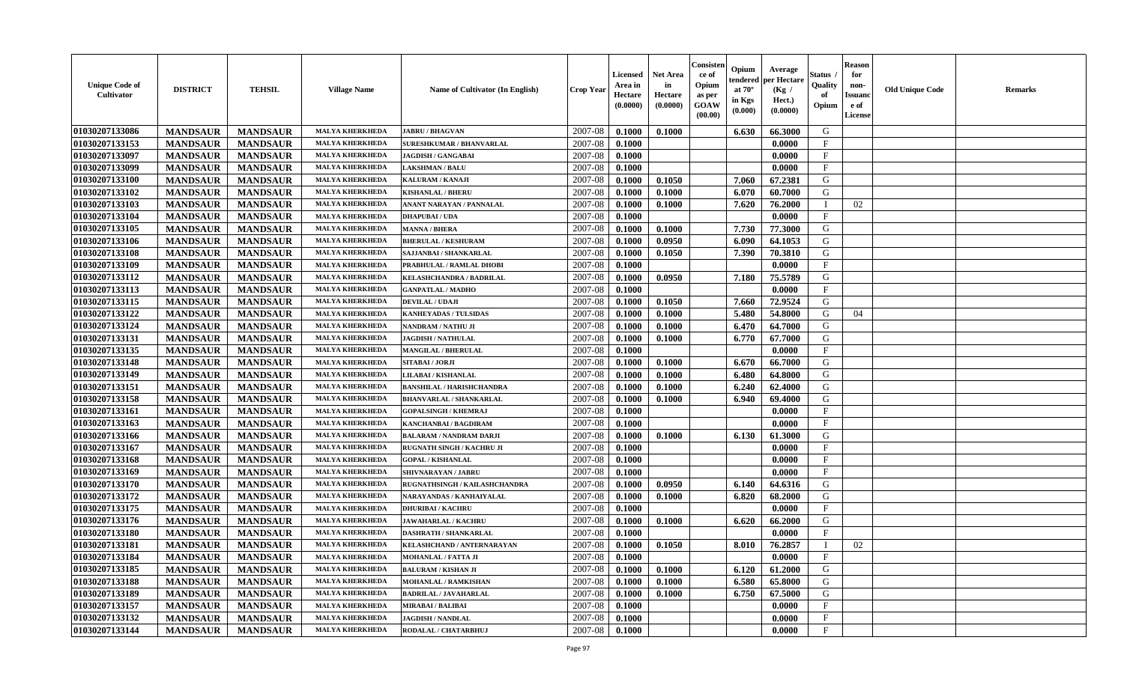| 01030207133086<br>2007-08<br>G<br><b>MALYA KHERKHEDA</b><br><b>MANDSAUR</b><br><b>MANDSAUR</b><br>0.1000<br>0.1000<br>6.630<br>66.3000<br><b>JABRU / BHAGVAN</b><br>01030207133153<br>$\mathbf{F}$<br>2007-08<br><b>MANDSAUR</b><br><b>MANDSAUR</b><br><b>MALYA KHERKHEDA</b><br>0.1000<br>0.0000<br>SURESHKUMAR / BHANVARLAL<br>01030207133097<br><b>MANDSAUR</b><br><b>MANDSAUR</b><br><b>MALYA KHERKHED</b><br>2007-08<br>0.1000<br>0.0000<br>F<br>JAGDISH / GANGABAI<br>$\mathbf{F}$<br>01030207133099<br><b>MANDSAUR</b><br>2007-08<br><b>MANDSAUR</b><br><b>MALYA KHERKHEDA</b><br>0.1000<br>0.0000<br><b>LAKSHMAN / BALU</b><br><b>MANDSAUR</b><br><b>MANDSAUR</b><br>G<br>01030207133100<br>2007-08<br>0.1000<br>0.1050<br>7.060<br>67.2381<br><b>MALYA KHERKHEDA</b><br>KALURAM / KANAJI<br>01030207133102<br><b>MANDSAUR</b><br>60.7000<br><b>MANDSAUR</b><br><b>MALYA KHERKHEDA</b><br>2007-08<br>0.1000<br>0.1000<br>6.070<br>G<br><b>KISHANLAL / BHERU</b><br>01030207133103<br><b>MANDSAUR</b><br><b>MANDSAUR</b><br><b>MALYA KHERKHEDA</b><br>2007-08<br>0.1000<br>0.1000<br>7.620<br>76.2000<br>02<br>ANANT NARAYAN / PANNALAL<br>- 1<br>01030207133104<br><b>MANDSAUR</b><br><b>MALYA KHERKHEDA</b><br>2007-08<br>$\mathbf{F}$<br><b>MANDSAUR</b><br>0.1000<br>0.0000<br><b>DHAPUBAI/UDA</b><br>01030207133105<br>2007-08<br>7.730<br>G<br><b>MANDSAUR</b><br><b>MANDSAUR</b><br><b>MALYA KHERKHEDA</b><br><b>MANNA / BHERA</b><br>0.1000<br>0.1000<br>77.3000<br>01030207133106<br>2007-08<br>G<br><b>MANDSAUR</b><br><b>MANDSAUR</b><br>0.0950<br>6.090<br>64.1053<br><b>MALYA KHERKHEDA</b><br>0.1000<br><b>BHERULAL / KESHURAM</b><br>01030207133108<br><b>MANDSAUR</b><br><b>MANDSAUR</b><br>0.1050<br>7.390<br>G<br><b>MALYA KHERKHEDA</b><br>2007-08<br>0.1000<br>70.3810<br>SAJJANBAI / SHANKARLAL<br>01030207133109<br>$\mathbf{F}$<br><b>MANDSAUR</b><br><b>MANDSAUR</b><br>2007-08<br>0.0000<br><b>MALYA KHERKHEDA</b><br>PRABHULAL / RAMLAL DHOBI<br>0.1000<br>01030207133112<br><b>MANDSAUR</b><br><b>MANDSAUR</b><br><b>MALYA KHERKHEDA</b><br>2007-08<br>0.1000<br>0.0950<br>7.180<br>75.5789<br>G<br>KELASHCHANDRA / BADRILAL<br>01030207133113<br><b>MANDSAUR</b><br>$\mathbf{F}$<br><b>MANDSAUR</b><br><b>MALYA KHERKHED</b><br>2007-08<br>0.1000<br>0.0000<br><b>GANPATLAL / MADHO</b><br>01030207133115<br>G<br><b>MANDSAUR</b><br><b>MANDSAUR</b><br>2007-08<br>0.1000<br>0.1050<br>7.660<br>72.9524<br><b>MALYA KHERKHEDA</b><br><b>DEVILAL / UDAJI</b><br><b>MANDSAUR</b><br><b>MANDSAUR</b><br>54.8000<br>G<br>01030207133122<br>2007-08<br>0.1000<br>5.480<br><b>MALYA KHERKHEDA</b><br>0.1000<br>04<br>KANHEYADAS / TULSIDAS<br>01030207133124<br>2007-08<br><b>MANDSAUR</b><br><b>MANDSAUR</b><br>6.470<br>64.7000<br>G<br><b>MALYA KHERKHEDA</b><br>0.1000<br>0.1000<br>NANDRAM / NATHU JI<br>01030207133131<br><b>MANDSAUR</b><br>2007-08<br>67.7000<br>G<br><b>MANDSAUR</b><br>0.1000<br>6.770<br><b>MALYA KHERKHEDA</b><br><b>JAGDISH / NATHULAL</b><br>0.1000<br>01030207133135<br><b>MANDSAUR</b><br><b>MANDSAUR</b><br>$\mathbf{F}$<br><b>MALYA KHERKHEDA</b><br>2007-08<br>0.1000<br>0.0000<br>MANGILAL / BHERULAL<br>01030207133148<br><b>MANDSAUR</b><br><b>MANDSAUR</b><br><b>MALYA KHERKHEDA</b><br>2007-08<br>0.1000<br>0.1000<br>6.670<br>66.7000<br>G<br>SITABAI / JORJI<br>01030207133149<br><b>MANDSAUR</b><br><b>MANDSAUR</b><br><b>MALYA KHERKHEDA</b><br>2007-08<br>0.1000<br>0.1000<br>6.480<br>64.8000<br>G<br>LILABAI / KISHANLAL<br>01030207133151<br><b>MANDSAUR</b><br><b>MANDSAUR</b><br>2007-08<br>6.240<br>G<br><b>MALYA KHERKHEDA</b><br>0.1000<br>0.1000<br>62.4000<br><b>BANSHILAL / HARISHCHANDRA</b><br>01030207133158<br><b>MANDSAUR</b><br>G<br><b>MANDSAUR</b><br>2007-08<br>0.1000<br>6.940<br>69.4000<br><b>MALYA KHERKHEDA</b><br><b>BHANVARLAL / SHANKARLAL</b><br>0.1000<br>01030207133161<br><b>MANDSAUR</b><br><b>MALYA KHERKHEDA</b><br>2007-08<br>$_{\rm F}$<br><b>MANDSAUR</b><br>0.1000<br><b>GOPALSINGH / KHEMRAJ</b><br>0.0000<br>01030207133163<br><b>MANDSAUR</b><br><b>MANDSAUR</b><br><b>MALYA KHERKHED</b><br>2007-08<br>$\mathbf{F}$<br>0.1000<br>0.0000<br>KANCHANBAI / BAGDIRAM<br>01030207133166<br>2007-08<br>G<br><b>MANDSAUR</b><br>0.1000<br>6.130<br>61.3000<br><b>MANDSAUR</b><br><b>MALYA KHERKHEDA</b><br>0.1000<br><b>BALARAM / NANDRAM DARJI</b><br>F<br>01030207133167<br><b>MANDSAUR</b><br><b>MANDSAUR</b><br>2007-08<br>0.1000<br>0.0000<br><b>MALYA KHERKHEDA</b><br>RUGNATH SINGH / KACHRU JI<br>01030207133168<br><b>MANDSAUR</b><br><b>MANDSAUR</b><br>$\mathbf{F}$<br><b>MALYA KHERKHEDA</b><br>2007-08<br>0.1000<br>0.0000<br><b>GOPAL / KISHANLAL</b><br>01030207133169<br><b>MANDSAUR</b><br><b>MANDSAUR</b><br>$\mathbf{F}$<br><b>MALYA KHERKHEDA</b><br>2007-08<br>0.1000<br>0.0000<br><b>SHIVNARAYAN / JABRU</b><br>01030207133170<br><b>MANDSAUR</b><br>G<br><b>MANDSAUR</b><br><b>MALYA KHERKHEDA</b><br>2007-08<br>0.0950<br>6.140<br>64.6316<br>RUGNATHSINGH / KAILASHCHANDRA<br>0.1000<br><b>MANDSAUR</b><br>01030207133172<br><b>MANDSAUR</b><br>2007-08<br>0.1000<br>6.820<br>68.2000<br>G<br><b>MALYA KHERKHEDA</b><br>NARAYANDAS / KANHAIYALAL<br>0.1000<br>$\mathbf{F}$<br>01030207133175<br>2007-08<br><b>MANDSAUR</b><br><b>MALYA KHERKHEDA</b><br>0.1000<br><b>MANDSAUR</b><br><b>DHURIBAI / KACHRU</b><br>0.0000<br>01030207133176<br>G<br><b>MANDSAUR</b><br><b>MANDSAUR</b><br><b>MALYA KHERKHEDA</b><br>2007-08<br>0.1000<br>0.1000<br>6.620<br>66.2000<br><b>JAWAHARLAL / KACHRU</b><br>01030207133180<br>$\mathbf{F}$<br><b>MANDSAUR</b><br><b>MANDSAUR</b><br>2007-08<br>0.1000<br>0.0000<br><b>MALYA KHERKHEDA</b><br><b>DASHRATH / SHANKARLAL</b><br>01030207133181<br><b>MANDSAUR</b><br>2007-08<br>0.1000<br>0.1050<br>8.010<br>76.2857<br>02<br><b>MANDSAUR</b><br><b>MALYA KHERKHEDA</b><br>KELASHCHAND / ANTERNARAYAN<br>01030207133184<br>F<br><b>MANDSAUR</b><br><b>MALYA KHERKHEDA</b><br><b>MOHANLAL / FATTA JI</b><br>2007-08<br>0.1000<br>0.0000<br><b>MANDSAUR</b><br>01030207133185<br>2007-08<br>0.1000<br>61.2000<br>G<br><b>MANDSAUR</b><br><b>MANDSAUR</b><br><b>MALYA KHERKHEDA</b><br><b>BALURAM / KISHAN JI</b><br>0.1000<br>6.120 | <b>Unique Code of</b><br>Cultivator | <b>DISTRICT</b> | <b>TEHSIL</b>   | <b>Village Name</b>    | <b>Name of Cultivator (In English)</b> | <b>Crop Year</b> | <b>Licensed</b><br>Area in<br>Hectare<br>(0.0000) | Net Area<br>in<br>Hectare<br>(0.0000) | Consister<br>ce of<br>Opium<br>as per<br><b>GOAW</b><br>(00.00) | Opium<br>endered<br>at $70^\circ$<br>in Kgs<br>$(\mathbf{0.000})$ | Average<br>per Hectare<br>(Kg /<br>Hect.)<br>(0.0000) | Status<br>Quality<br>of<br>Opium | <b>Reason</b><br>for<br>non-<br>Issuan<br>e of<br>License | <b>Old Unique Code</b> | Remarks |
|--------------------------------------------------------------------------------------------------------------------------------------------------------------------------------------------------------------------------------------------------------------------------------------------------------------------------------------------------------------------------------------------------------------------------------------------------------------------------------------------------------------------------------------------------------------------------------------------------------------------------------------------------------------------------------------------------------------------------------------------------------------------------------------------------------------------------------------------------------------------------------------------------------------------------------------------------------------------------------------------------------------------------------------------------------------------------------------------------------------------------------------------------------------------------------------------------------------------------------------------------------------------------------------------------------------------------------------------------------------------------------------------------------------------------------------------------------------------------------------------------------------------------------------------------------------------------------------------------------------------------------------------------------------------------------------------------------------------------------------------------------------------------------------------------------------------------------------------------------------------------------------------------------------------------------------------------------------------------------------------------------------------------------------------------------------------------------------------------------------------------------------------------------------------------------------------------------------------------------------------------------------------------------------------------------------------------------------------------------------------------------------------------------------------------------------------------------------------------------------------------------------------------------------------------------------------------------------------------------------------------------------------------------------------------------------------------------------------------------------------------------------------------------------------------------------------------------------------------------------------------------------------------------------------------------------------------------------------------------------------------------------------------------------------------------------------------------------------------------------------------------------------------------------------------------------------------------------------------------------------------------------------------------------------------------------------------------------------------------------------------------------------------------------------------------------------------------------------------------------------------------------------------------------------------------------------------------------------------------------------------------------------------------------------------------------------------------------------------------------------------------------------------------------------------------------------------------------------------------------------------------------------------------------------------------------------------------------------------------------------------------------------------------------------------------------------------------------------------------------------------------------------------------------------------------------------------------------------------------------------------------------------------------------------------------------------------------------------------------------------------------------------------------------------------------------------------------------------------------------------------------------------------------------------------------------------------------------------------------------------------------------------------------------------------------------------------------------------------------------------------------------------------------------------------------------------------------------------------------------------------------------------------------------------------------------------------------------------------------------------------------------------------------------------------------------------------------------------------------------------------------------------------------------------------------------------------------------------------------------------------------------------------------------------------------------------------------------------------------------------------------------------------------------------------------------------------------------------------------------------------------------------------------------------------------------------------------------------------------------------------------------------------------------------------------------------------------------------------------------------------------------------------------------------------------------------------------------------------------------------------------------------------------------------------------------------------------------------------------------------------------------------------------------------------------------------------------------------------------------------------------------------------------------------------------------------------------------|-------------------------------------|-----------------|-----------------|------------------------|----------------------------------------|------------------|---------------------------------------------------|---------------------------------------|-----------------------------------------------------------------|-------------------------------------------------------------------|-------------------------------------------------------|----------------------------------|-----------------------------------------------------------|------------------------|---------|
|                                                                                                                                                                                                                                                                                                                                                                                                                                                                                                                                                                                                                                                                                                                                                                                                                                                                                                                                                                                                                                                                                                                                                                                                                                                                                                                                                                                                                                                                                                                                                                                                                                                                                                                                                                                                                                                                                                                                                                                                                                                                                                                                                                                                                                                                                                                                                                                                                                                                                                                                                                                                                                                                                                                                                                                                                                                                                                                                                                                                                                                                                                                                                                                                                                                                                                                                                                                                                                                                                                                                                                                                                                                                                                                                                                                                                                                                                                                                                                                                                                                                                                                                                                                                                                                                                                                                                                                                                                                                                                                                                                                                                                                                                                                                                                                                                                                                                                                                                                                                                                                                                                                                                                                                                                                                                                                                                                                                                                                                                                                                                                                                                                                                                                                                                                                                                                                                                                                                                                                                                                                                                                                                                                                                              |                                     |                 |                 |                        |                                        |                  |                                                   |                                       |                                                                 |                                                                   |                                                       |                                  |                                                           |                        |         |
|                                                                                                                                                                                                                                                                                                                                                                                                                                                                                                                                                                                                                                                                                                                                                                                                                                                                                                                                                                                                                                                                                                                                                                                                                                                                                                                                                                                                                                                                                                                                                                                                                                                                                                                                                                                                                                                                                                                                                                                                                                                                                                                                                                                                                                                                                                                                                                                                                                                                                                                                                                                                                                                                                                                                                                                                                                                                                                                                                                                                                                                                                                                                                                                                                                                                                                                                                                                                                                                                                                                                                                                                                                                                                                                                                                                                                                                                                                                                                                                                                                                                                                                                                                                                                                                                                                                                                                                                                                                                                                                                                                                                                                                                                                                                                                                                                                                                                                                                                                                                                                                                                                                                                                                                                                                                                                                                                                                                                                                                                                                                                                                                                                                                                                                                                                                                                                                                                                                                                                                                                                                                                                                                                                                                              |                                     |                 |                 |                        |                                        |                  |                                                   |                                       |                                                                 |                                                                   |                                                       |                                  |                                                           |                        |         |
|                                                                                                                                                                                                                                                                                                                                                                                                                                                                                                                                                                                                                                                                                                                                                                                                                                                                                                                                                                                                                                                                                                                                                                                                                                                                                                                                                                                                                                                                                                                                                                                                                                                                                                                                                                                                                                                                                                                                                                                                                                                                                                                                                                                                                                                                                                                                                                                                                                                                                                                                                                                                                                                                                                                                                                                                                                                                                                                                                                                                                                                                                                                                                                                                                                                                                                                                                                                                                                                                                                                                                                                                                                                                                                                                                                                                                                                                                                                                                                                                                                                                                                                                                                                                                                                                                                                                                                                                                                                                                                                                                                                                                                                                                                                                                                                                                                                                                                                                                                                                                                                                                                                                                                                                                                                                                                                                                                                                                                                                                                                                                                                                                                                                                                                                                                                                                                                                                                                                                                                                                                                                                                                                                                                                              |                                     |                 |                 |                        |                                        |                  |                                                   |                                       |                                                                 |                                                                   |                                                       |                                  |                                                           |                        |         |
|                                                                                                                                                                                                                                                                                                                                                                                                                                                                                                                                                                                                                                                                                                                                                                                                                                                                                                                                                                                                                                                                                                                                                                                                                                                                                                                                                                                                                                                                                                                                                                                                                                                                                                                                                                                                                                                                                                                                                                                                                                                                                                                                                                                                                                                                                                                                                                                                                                                                                                                                                                                                                                                                                                                                                                                                                                                                                                                                                                                                                                                                                                                                                                                                                                                                                                                                                                                                                                                                                                                                                                                                                                                                                                                                                                                                                                                                                                                                                                                                                                                                                                                                                                                                                                                                                                                                                                                                                                                                                                                                                                                                                                                                                                                                                                                                                                                                                                                                                                                                                                                                                                                                                                                                                                                                                                                                                                                                                                                                                                                                                                                                                                                                                                                                                                                                                                                                                                                                                                                                                                                                                                                                                                                                              |                                     |                 |                 |                        |                                        |                  |                                                   |                                       |                                                                 |                                                                   |                                                       |                                  |                                                           |                        |         |
|                                                                                                                                                                                                                                                                                                                                                                                                                                                                                                                                                                                                                                                                                                                                                                                                                                                                                                                                                                                                                                                                                                                                                                                                                                                                                                                                                                                                                                                                                                                                                                                                                                                                                                                                                                                                                                                                                                                                                                                                                                                                                                                                                                                                                                                                                                                                                                                                                                                                                                                                                                                                                                                                                                                                                                                                                                                                                                                                                                                                                                                                                                                                                                                                                                                                                                                                                                                                                                                                                                                                                                                                                                                                                                                                                                                                                                                                                                                                                                                                                                                                                                                                                                                                                                                                                                                                                                                                                                                                                                                                                                                                                                                                                                                                                                                                                                                                                                                                                                                                                                                                                                                                                                                                                                                                                                                                                                                                                                                                                                                                                                                                                                                                                                                                                                                                                                                                                                                                                                                                                                                                                                                                                                                                              |                                     |                 |                 |                        |                                        |                  |                                                   |                                       |                                                                 |                                                                   |                                                       |                                  |                                                           |                        |         |
|                                                                                                                                                                                                                                                                                                                                                                                                                                                                                                                                                                                                                                                                                                                                                                                                                                                                                                                                                                                                                                                                                                                                                                                                                                                                                                                                                                                                                                                                                                                                                                                                                                                                                                                                                                                                                                                                                                                                                                                                                                                                                                                                                                                                                                                                                                                                                                                                                                                                                                                                                                                                                                                                                                                                                                                                                                                                                                                                                                                                                                                                                                                                                                                                                                                                                                                                                                                                                                                                                                                                                                                                                                                                                                                                                                                                                                                                                                                                                                                                                                                                                                                                                                                                                                                                                                                                                                                                                                                                                                                                                                                                                                                                                                                                                                                                                                                                                                                                                                                                                                                                                                                                                                                                                                                                                                                                                                                                                                                                                                                                                                                                                                                                                                                                                                                                                                                                                                                                                                                                                                                                                                                                                                                                              |                                     |                 |                 |                        |                                        |                  |                                                   |                                       |                                                                 |                                                                   |                                                       |                                  |                                                           |                        |         |
|                                                                                                                                                                                                                                                                                                                                                                                                                                                                                                                                                                                                                                                                                                                                                                                                                                                                                                                                                                                                                                                                                                                                                                                                                                                                                                                                                                                                                                                                                                                                                                                                                                                                                                                                                                                                                                                                                                                                                                                                                                                                                                                                                                                                                                                                                                                                                                                                                                                                                                                                                                                                                                                                                                                                                                                                                                                                                                                                                                                                                                                                                                                                                                                                                                                                                                                                                                                                                                                                                                                                                                                                                                                                                                                                                                                                                                                                                                                                                                                                                                                                                                                                                                                                                                                                                                                                                                                                                                                                                                                                                                                                                                                                                                                                                                                                                                                                                                                                                                                                                                                                                                                                                                                                                                                                                                                                                                                                                                                                                                                                                                                                                                                                                                                                                                                                                                                                                                                                                                                                                                                                                                                                                                                                              |                                     |                 |                 |                        |                                        |                  |                                                   |                                       |                                                                 |                                                                   |                                                       |                                  |                                                           |                        |         |
|                                                                                                                                                                                                                                                                                                                                                                                                                                                                                                                                                                                                                                                                                                                                                                                                                                                                                                                                                                                                                                                                                                                                                                                                                                                                                                                                                                                                                                                                                                                                                                                                                                                                                                                                                                                                                                                                                                                                                                                                                                                                                                                                                                                                                                                                                                                                                                                                                                                                                                                                                                                                                                                                                                                                                                                                                                                                                                                                                                                                                                                                                                                                                                                                                                                                                                                                                                                                                                                                                                                                                                                                                                                                                                                                                                                                                                                                                                                                                                                                                                                                                                                                                                                                                                                                                                                                                                                                                                                                                                                                                                                                                                                                                                                                                                                                                                                                                                                                                                                                                                                                                                                                                                                                                                                                                                                                                                                                                                                                                                                                                                                                                                                                                                                                                                                                                                                                                                                                                                                                                                                                                                                                                                                                              |                                     |                 |                 |                        |                                        |                  |                                                   |                                       |                                                                 |                                                                   |                                                       |                                  |                                                           |                        |         |
|                                                                                                                                                                                                                                                                                                                                                                                                                                                                                                                                                                                                                                                                                                                                                                                                                                                                                                                                                                                                                                                                                                                                                                                                                                                                                                                                                                                                                                                                                                                                                                                                                                                                                                                                                                                                                                                                                                                                                                                                                                                                                                                                                                                                                                                                                                                                                                                                                                                                                                                                                                                                                                                                                                                                                                                                                                                                                                                                                                                                                                                                                                                                                                                                                                                                                                                                                                                                                                                                                                                                                                                                                                                                                                                                                                                                                                                                                                                                                                                                                                                                                                                                                                                                                                                                                                                                                                                                                                                                                                                                                                                                                                                                                                                                                                                                                                                                                                                                                                                                                                                                                                                                                                                                                                                                                                                                                                                                                                                                                                                                                                                                                                                                                                                                                                                                                                                                                                                                                                                                                                                                                                                                                                                                              |                                     |                 |                 |                        |                                        |                  |                                                   |                                       |                                                                 |                                                                   |                                                       |                                  |                                                           |                        |         |
|                                                                                                                                                                                                                                                                                                                                                                                                                                                                                                                                                                                                                                                                                                                                                                                                                                                                                                                                                                                                                                                                                                                                                                                                                                                                                                                                                                                                                                                                                                                                                                                                                                                                                                                                                                                                                                                                                                                                                                                                                                                                                                                                                                                                                                                                                                                                                                                                                                                                                                                                                                                                                                                                                                                                                                                                                                                                                                                                                                                                                                                                                                                                                                                                                                                                                                                                                                                                                                                                                                                                                                                                                                                                                                                                                                                                                                                                                                                                                                                                                                                                                                                                                                                                                                                                                                                                                                                                                                                                                                                                                                                                                                                                                                                                                                                                                                                                                                                                                                                                                                                                                                                                                                                                                                                                                                                                                                                                                                                                                                                                                                                                                                                                                                                                                                                                                                                                                                                                                                                                                                                                                                                                                                                                              |                                     |                 |                 |                        |                                        |                  |                                                   |                                       |                                                                 |                                                                   |                                                       |                                  |                                                           |                        |         |
|                                                                                                                                                                                                                                                                                                                                                                                                                                                                                                                                                                                                                                                                                                                                                                                                                                                                                                                                                                                                                                                                                                                                                                                                                                                                                                                                                                                                                                                                                                                                                                                                                                                                                                                                                                                                                                                                                                                                                                                                                                                                                                                                                                                                                                                                                                                                                                                                                                                                                                                                                                                                                                                                                                                                                                                                                                                                                                                                                                                                                                                                                                                                                                                                                                                                                                                                                                                                                                                                                                                                                                                                                                                                                                                                                                                                                                                                                                                                                                                                                                                                                                                                                                                                                                                                                                                                                                                                                                                                                                                                                                                                                                                                                                                                                                                                                                                                                                                                                                                                                                                                                                                                                                                                                                                                                                                                                                                                                                                                                                                                                                                                                                                                                                                                                                                                                                                                                                                                                                                                                                                                                                                                                                                                              |                                     |                 |                 |                        |                                        |                  |                                                   |                                       |                                                                 |                                                                   |                                                       |                                  |                                                           |                        |         |
|                                                                                                                                                                                                                                                                                                                                                                                                                                                                                                                                                                                                                                                                                                                                                                                                                                                                                                                                                                                                                                                                                                                                                                                                                                                                                                                                                                                                                                                                                                                                                                                                                                                                                                                                                                                                                                                                                                                                                                                                                                                                                                                                                                                                                                                                                                                                                                                                                                                                                                                                                                                                                                                                                                                                                                                                                                                                                                                                                                                                                                                                                                                                                                                                                                                                                                                                                                                                                                                                                                                                                                                                                                                                                                                                                                                                                                                                                                                                                                                                                                                                                                                                                                                                                                                                                                                                                                                                                                                                                                                                                                                                                                                                                                                                                                                                                                                                                                                                                                                                                                                                                                                                                                                                                                                                                                                                                                                                                                                                                                                                                                                                                                                                                                                                                                                                                                                                                                                                                                                                                                                                                                                                                                                                              |                                     |                 |                 |                        |                                        |                  |                                                   |                                       |                                                                 |                                                                   |                                                       |                                  |                                                           |                        |         |
|                                                                                                                                                                                                                                                                                                                                                                                                                                                                                                                                                                                                                                                                                                                                                                                                                                                                                                                                                                                                                                                                                                                                                                                                                                                                                                                                                                                                                                                                                                                                                                                                                                                                                                                                                                                                                                                                                                                                                                                                                                                                                                                                                                                                                                                                                                                                                                                                                                                                                                                                                                                                                                                                                                                                                                                                                                                                                                                                                                                                                                                                                                                                                                                                                                                                                                                                                                                                                                                                                                                                                                                                                                                                                                                                                                                                                                                                                                                                                                                                                                                                                                                                                                                                                                                                                                                                                                                                                                                                                                                                                                                                                                                                                                                                                                                                                                                                                                                                                                                                                                                                                                                                                                                                                                                                                                                                                                                                                                                                                                                                                                                                                                                                                                                                                                                                                                                                                                                                                                                                                                                                                                                                                                                                              |                                     |                 |                 |                        |                                        |                  |                                                   |                                       |                                                                 |                                                                   |                                                       |                                  |                                                           |                        |         |
|                                                                                                                                                                                                                                                                                                                                                                                                                                                                                                                                                                                                                                                                                                                                                                                                                                                                                                                                                                                                                                                                                                                                                                                                                                                                                                                                                                                                                                                                                                                                                                                                                                                                                                                                                                                                                                                                                                                                                                                                                                                                                                                                                                                                                                                                                                                                                                                                                                                                                                                                                                                                                                                                                                                                                                                                                                                                                                                                                                                                                                                                                                                                                                                                                                                                                                                                                                                                                                                                                                                                                                                                                                                                                                                                                                                                                                                                                                                                                                                                                                                                                                                                                                                                                                                                                                                                                                                                                                                                                                                                                                                                                                                                                                                                                                                                                                                                                                                                                                                                                                                                                                                                                                                                                                                                                                                                                                                                                                                                                                                                                                                                                                                                                                                                                                                                                                                                                                                                                                                                                                                                                                                                                                                                              |                                     |                 |                 |                        |                                        |                  |                                                   |                                       |                                                                 |                                                                   |                                                       |                                  |                                                           |                        |         |
|                                                                                                                                                                                                                                                                                                                                                                                                                                                                                                                                                                                                                                                                                                                                                                                                                                                                                                                                                                                                                                                                                                                                                                                                                                                                                                                                                                                                                                                                                                                                                                                                                                                                                                                                                                                                                                                                                                                                                                                                                                                                                                                                                                                                                                                                                                                                                                                                                                                                                                                                                                                                                                                                                                                                                                                                                                                                                                                                                                                                                                                                                                                                                                                                                                                                                                                                                                                                                                                                                                                                                                                                                                                                                                                                                                                                                                                                                                                                                                                                                                                                                                                                                                                                                                                                                                                                                                                                                                                                                                                                                                                                                                                                                                                                                                                                                                                                                                                                                                                                                                                                                                                                                                                                                                                                                                                                                                                                                                                                                                                                                                                                                                                                                                                                                                                                                                                                                                                                                                                                                                                                                                                                                                                                              |                                     |                 |                 |                        |                                        |                  |                                                   |                                       |                                                                 |                                                                   |                                                       |                                  |                                                           |                        |         |
|                                                                                                                                                                                                                                                                                                                                                                                                                                                                                                                                                                                                                                                                                                                                                                                                                                                                                                                                                                                                                                                                                                                                                                                                                                                                                                                                                                                                                                                                                                                                                                                                                                                                                                                                                                                                                                                                                                                                                                                                                                                                                                                                                                                                                                                                                                                                                                                                                                                                                                                                                                                                                                                                                                                                                                                                                                                                                                                                                                                                                                                                                                                                                                                                                                                                                                                                                                                                                                                                                                                                                                                                                                                                                                                                                                                                                                                                                                                                                                                                                                                                                                                                                                                                                                                                                                                                                                                                                                                                                                                                                                                                                                                                                                                                                                                                                                                                                                                                                                                                                                                                                                                                                                                                                                                                                                                                                                                                                                                                                                                                                                                                                                                                                                                                                                                                                                                                                                                                                                                                                                                                                                                                                                                                              |                                     |                 |                 |                        |                                        |                  |                                                   |                                       |                                                                 |                                                                   |                                                       |                                  |                                                           |                        |         |
|                                                                                                                                                                                                                                                                                                                                                                                                                                                                                                                                                                                                                                                                                                                                                                                                                                                                                                                                                                                                                                                                                                                                                                                                                                                                                                                                                                                                                                                                                                                                                                                                                                                                                                                                                                                                                                                                                                                                                                                                                                                                                                                                                                                                                                                                                                                                                                                                                                                                                                                                                                                                                                                                                                                                                                                                                                                                                                                                                                                                                                                                                                                                                                                                                                                                                                                                                                                                                                                                                                                                                                                                                                                                                                                                                                                                                                                                                                                                                                                                                                                                                                                                                                                                                                                                                                                                                                                                                                                                                                                                                                                                                                                                                                                                                                                                                                                                                                                                                                                                                                                                                                                                                                                                                                                                                                                                                                                                                                                                                                                                                                                                                                                                                                                                                                                                                                                                                                                                                                                                                                                                                                                                                                                                              |                                     |                 |                 |                        |                                        |                  |                                                   |                                       |                                                                 |                                                                   |                                                       |                                  |                                                           |                        |         |
|                                                                                                                                                                                                                                                                                                                                                                                                                                                                                                                                                                                                                                                                                                                                                                                                                                                                                                                                                                                                                                                                                                                                                                                                                                                                                                                                                                                                                                                                                                                                                                                                                                                                                                                                                                                                                                                                                                                                                                                                                                                                                                                                                                                                                                                                                                                                                                                                                                                                                                                                                                                                                                                                                                                                                                                                                                                                                                                                                                                                                                                                                                                                                                                                                                                                                                                                                                                                                                                                                                                                                                                                                                                                                                                                                                                                                                                                                                                                                                                                                                                                                                                                                                                                                                                                                                                                                                                                                                                                                                                                                                                                                                                                                                                                                                                                                                                                                                                                                                                                                                                                                                                                                                                                                                                                                                                                                                                                                                                                                                                                                                                                                                                                                                                                                                                                                                                                                                                                                                                                                                                                                                                                                                                                              |                                     |                 |                 |                        |                                        |                  |                                                   |                                       |                                                                 |                                                                   |                                                       |                                  |                                                           |                        |         |
|                                                                                                                                                                                                                                                                                                                                                                                                                                                                                                                                                                                                                                                                                                                                                                                                                                                                                                                                                                                                                                                                                                                                                                                                                                                                                                                                                                                                                                                                                                                                                                                                                                                                                                                                                                                                                                                                                                                                                                                                                                                                                                                                                                                                                                                                                                                                                                                                                                                                                                                                                                                                                                                                                                                                                                                                                                                                                                                                                                                                                                                                                                                                                                                                                                                                                                                                                                                                                                                                                                                                                                                                                                                                                                                                                                                                                                                                                                                                                                                                                                                                                                                                                                                                                                                                                                                                                                                                                                                                                                                                                                                                                                                                                                                                                                                                                                                                                                                                                                                                                                                                                                                                                                                                                                                                                                                                                                                                                                                                                                                                                                                                                                                                                                                                                                                                                                                                                                                                                                                                                                                                                                                                                                                                              |                                     |                 |                 |                        |                                        |                  |                                                   |                                       |                                                                 |                                                                   |                                                       |                                  |                                                           |                        |         |
|                                                                                                                                                                                                                                                                                                                                                                                                                                                                                                                                                                                                                                                                                                                                                                                                                                                                                                                                                                                                                                                                                                                                                                                                                                                                                                                                                                                                                                                                                                                                                                                                                                                                                                                                                                                                                                                                                                                                                                                                                                                                                                                                                                                                                                                                                                                                                                                                                                                                                                                                                                                                                                                                                                                                                                                                                                                                                                                                                                                                                                                                                                                                                                                                                                                                                                                                                                                                                                                                                                                                                                                                                                                                                                                                                                                                                                                                                                                                                                                                                                                                                                                                                                                                                                                                                                                                                                                                                                                                                                                                                                                                                                                                                                                                                                                                                                                                                                                                                                                                                                                                                                                                                                                                                                                                                                                                                                                                                                                                                                                                                                                                                                                                                                                                                                                                                                                                                                                                                                                                                                                                                                                                                                                                              |                                     |                 |                 |                        |                                        |                  |                                                   |                                       |                                                                 |                                                                   |                                                       |                                  |                                                           |                        |         |
|                                                                                                                                                                                                                                                                                                                                                                                                                                                                                                                                                                                                                                                                                                                                                                                                                                                                                                                                                                                                                                                                                                                                                                                                                                                                                                                                                                                                                                                                                                                                                                                                                                                                                                                                                                                                                                                                                                                                                                                                                                                                                                                                                                                                                                                                                                                                                                                                                                                                                                                                                                                                                                                                                                                                                                                                                                                                                                                                                                                                                                                                                                                                                                                                                                                                                                                                                                                                                                                                                                                                                                                                                                                                                                                                                                                                                                                                                                                                                                                                                                                                                                                                                                                                                                                                                                                                                                                                                                                                                                                                                                                                                                                                                                                                                                                                                                                                                                                                                                                                                                                                                                                                                                                                                                                                                                                                                                                                                                                                                                                                                                                                                                                                                                                                                                                                                                                                                                                                                                                                                                                                                                                                                                                                              |                                     |                 |                 |                        |                                        |                  |                                                   |                                       |                                                                 |                                                                   |                                                       |                                  |                                                           |                        |         |
|                                                                                                                                                                                                                                                                                                                                                                                                                                                                                                                                                                                                                                                                                                                                                                                                                                                                                                                                                                                                                                                                                                                                                                                                                                                                                                                                                                                                                                                                                                                                                                                                                                                                                                                                                                                                                                                                                                                                                                                                                                                                                                                                                                                                                                                                                                                                                                                                                                                                                                                                                                                                                                                                                                                                                                                                                                                                                                                                                                                                                                                                                                                                                                                                                                                                                                                                                                                                                                                                                                                                                                                                                                                                                                                                                                                                                                                                                                                                                                                                                                                                                                                                                                                                                                                                                                                                                                                                                                                                                                                                                                                                                                                                                                                                                                                                                                                                                                                                                                                                                                                                                                                                                                                                                                                                                                                                                                                                                                                                                                                                                                                                                                                                                                                                                                                                                                                                                                                                                                                                                                                                                                                                                                                                              |                                     |                 |                 |                        |                                        |                  |                                                   |                                       |                                                                 |                                                                   |                                                       |                                  |                                                           |                        |         |
|                                                                                                                                                                                                                                                                                                                                                                                                                                                                                                                                                                                                                                                                                                                                                                                                                                                                                                                                                                                                                                                                                                                                                                                                                                                                                                                                                                                                                                                                                                                                                                                                                                                                                                                                                                                                                                                                                                                                                                                                                                                                                                                                                                                                                                                                                                                                                                                                                                                                                                                                                                                                                                                                                                                                                                                                                                                                                                                                                                                                                                                                                                                                                                                                                                                                                                                                                                                                                                                                                                                                                                                                                                                                                                                                                                                                                                                                                                                                                                                                                                                                                                                                                                                                                                                                                                                                                                                                                                                                                                                                                                                                                                                                                                                                                                                                                                                                                                                                                                                                                                                                                                                                                                                                                                                                                                                                                                                                                                                                                                                                                                                                                                                                                                                                                                                                                                                                                                                                                                                                                                                                                                                                                                                                              |                                     |                 |                 |                        |                                        |                  |                                                   |                                       |                                                                 |                                                                   |                                                       |                                  |                                                           |                        |         |
|                                                                                                                                                                                                                                                                                                                                                                                                                                                                                                                                                                                                                                                                                                                                                                                                                                                                                                                                                                                                                                                                                                                                                                                                                                                                                                                                                                                                                                                                                                                                                                                                                                                                                                                                                                                                                                                                                                                                                                                                                                                                                                                                                                                                                                                                                                                                                                                                                                                                                                                                                                                                                                                                                                                                                                                                                                                                                                                                                                                                                                                                                                                                                                                                                                                                                                                                                                                                                                                                                                                                                                                                                                                                                                                                                                                                                                                                                                                                                                                                                                                                                                                                                                                                                                                                                                                                                                                                                                                                                                                                                                                                                                                                                                                                                                                                                                                                                                                                                                                                                                                                                                                                                                                                                                                                                                                                                                                                                                                                                                                                                                                                                                                                                                                                                                                                                                                                                                                                                                                                                                                                                                                                                                                                              |                                     |                 |                 |                        |                                        |                  |                                                   |                                       |                                                                 |                                                                   |                                                       |                                  |                                                           |                        |         |
|                                                                                                                                                                                                                                                                                                                                                                                                                                                                                                                                                                                                                                                                                                                                                                                                                                                                                                                                                                                                                                                                                                                                                                                                                                                                                                                                                                                                                                                                                                                                                                                                                                                                                                                                                                                                                                                                                                                                                                                                                                                                                                                                                                                                                                                                                                                                                                                                                                                                                                                                                                                                                                                                                                                                                                                                                                                                                                                                                                                                                                                                                                                                                                                                                                                                                                                                                                                                                                                                                                                                                                                                                                                                                                                                                                                                                                                                                                                                                                                                                                                                                                                                                                                                                                                                                                                                                                                                                                                                                                                                                                                                                                                                                                                                                                                                                                                                                                                                                                                                                                                                                                                                                                                                                                                                                                                                                                                                                                                                                                                                                                                                                                                                                                                                                                                                                                                                                                                                                                                                                                                                                                                                                                                                              |                                     |                 |                 |                        |                                        |                  |                                                   |                                       |                                                                 |                                                                   |                                                       |                                  |                                                           |                        |         |
|                                                                                                                                                                                                                                                                                                                                                                                                                                                                                                                                                                                                                                                                                                                                                                                                                                                                                                                                                                                                                                                                                                                                                                                                                                                                                                                                                                                                                                                                                                                                                                                                                                                                                                                                                                                                                                                                                                                                                                                                                                                                                                                                                                                                                                                                                                                                                                                                                                                                                                                                                                                                                                                                                                                                                                                                                                                                                                                                                                                                                                                                                                                                                                                                                                                                                                                                                                                                                                                                                                                                                                                                                                                                                                                                                                                                                                                                                                                                                                                                                                                                                                                                                                                                                                                                                                                                                                                                                                                                                                                                                                                                                                                                                                                                                                                                                                                                                                                                                                                                                                                                                                                                                                                                                                                                                                                                                                                                                                                                                                                                                                                                                                                                                                                                                                                                                                                                                                                                                                                                                                                                                                                                                                                                              |                                     |                 |                 |                        |                                        |                  |                                                   |                                       |                                                                 |                                                                   |                                                       |                                  |                                                           |                        |         |
|                                                                                                                                                                                                                                                                                                                                                                                                                                                                                                                                                                                                                                                                                                                                                                                                                                                                                                                                                                                                                                                                                                                                                                                                                                                                                                                                                                                                                                                                                                                                                                                                                                                                                                                                                                                                                                                                                                                                                                                                                                                                                                                                                                                                                                                                                                                                                                                                                                                                                                                                                                                                                                                                                                                                                                                                                                                                                                                                                                                                                                                                                                                                                                                                                                                                                                                                                                                                                                                                                                                                                                                                                                                                                                                                                                                                                                                                                                                                                                                                                                                                                                                                                                                                                                                                                                                                                                                                                                                                                                                                                                                                                                                                                                                                                                                                                                                                                                                                                                                                                                                                                                                                                                                                                                                                                                                                                                                                                                                                                                                                                                                                                                                                                                                                                                                                                                                                                                                                                                                                                                                                                                                                                                                                              |                                     |                 |                 |                        |                                        |                  |                                                   |                                       |                                                                 |                                                                   |                                                       |                                  |                                                           |                        |         |
|                                                                                                                                                                                                                                                                                                                                                                                                                                                                                                                                                                                                                                                                                                                                                                                                                                                                                                                                                                                                                                                                                                                                                                                                                                                                                                                                                                                                                                                                                                                                                                                                                                                                                                                                                                                                                                                                                                                                                                                                                                                                                                                                                                                                                                                                                                                                                                                                                                                                                                                                                                                                                                                                                                                                                                                                                                                                                                                                                                                                                                                                                                                                                                                                                                                                                                                                                                                                                                                                                                                                                                                                                                                                                                                                                                                                                                                                                                                                                                                                                                                                                                                                                                                                                                                                                                                                                                                                                                                                                                                                                                                                                                                                                                                                                                                                                                                                                                                                                                                                                                                                                                                                                                                                                                                                                                                                                                                                                                                                                                                                                                                                                                                                                                                                                                                                                                                                                                                                                                                                                                                                                                                                                                                                              |                                     |                 |                 |                        |                                        |                  |                                                   |                                       |                                                                 |                                                                   |                                                       |                                  |                                                           |                        |         |
|                                                                                                                                                                                                                                                                                                                                                                                                                                                                                                                                                                                                                                                                                                                                                                                                                                                                                                                                                                                                                                                                                                                                                                                                                                                                                                                                                                                                                                                                                                                                                                                                                                                                                                                                                                                                                                                                                                                                                                                                                                                                                                                                                                                                                                                                                                                                                                                                                                                                                                                                                                                                                                                                                                                                                                                                                                                                                                                                                                                                                                                                                                                                                                                                                                                                                                                                                                                                                                                                                                                                                                                                                                                                                                                                                                                                                                                                                                                                                                                                                                                                                                                                                                                                                                                                                                                                                                                                                                                                                                                                                                                                                                                                                                                                                                                                                                                                                                                                                                                                                                                                                                                                                                                                                                                                                                                                                                                                                                                                                                                                                                                                                                                                                                                                                                                                                                                                                                                                                                                                                                                                                                                                                                                                              |                                     |                 |                 |                        |                                        |                  |                                                   |                                       |                                                                 |                                                                   |                                                       |                                  |                                                           |                        |         |
|                                                                                                                                                                                                                                                                                                                                                                                                                                                                                                                                                                                                                                                                                                                                                                                                                                                                                                                                                                                                                                                                                                                                                                                                                                                                                                                                                                                                                                                                                                                                                                                                                                                                                                                                                                                                                                                                                                                                                                                                                                                                                                                                                                                                                                                                                                                                                                                                                                                                                                                                                                                                                                                                                                                                                                                                                                                                                                                                                                                                                                                                                                                                                                                                                                                                                                                                                                                                                                                                                                                                                                                                                                                                                                                                                                                                                                                                                                                                                                                                                                                                                                                                                                                                                                                                                                                                                                                                                                                                                                                                                                                                                                                                                                                                                                                                                                                                                                                                                                                                                                                                                                                                                                                                                                                                                                                                                                                                                                                                                                                                                                                                                                                                                                                                                                                                                                                                                                                                                                                                                                                                                                                                                                                                              |                                     |                 |                 |                        |                                        |                  |                                                   |                                       |                                                                 |                                                                   |                                                       |                                  |                                                           |                        |         |
|                                                                                                                                                                                                                                                                                                                                                                                                                                                                                                                                                                                                                                                                                                                                                                                                                                                                                                                                                                                                                                                                                                                                                                                                                                                                                                                                                                                                                                                                                                                                                                                                                                                                                                                                                                                                                                                                                                                                                                                                                                                                                                                                                                                                                                                                                                                                                                                                                                                                                                                                                                                                                                                                                                                                                                                                                                                                                                                                                                                                                                                                                                                                                                                                                                                                                                                                                                                                                                                                                                                                                                                                                                                                                                                                                                                                                                                                                                                                                                                                                                                                                                                                                                                                                                                                                                                                                                                                                                                                                                                                                                                                                                                                                                                                                                                                                                                                                                                                                                                                                                                                                                                                                                                                                                                                                                                                                                                                                                                                                                                                                                                                                                                                                                                                                                                                                                                                                                                                                                                                                                                                                                                                                                                                              |                                     |                 |                 |                        |                                        |                  |                                                   |                                       |                                                                 |                                                                   |                                                       |                                  |                                                           |                        |         |
|                                                                                                                                                                                                                                                                                                                                                                                                                                                                                                                                                                                                                                                                                                                                                                                                                                                                                                                                                                                                                                                                                                                                                                                                                                                                                                                                                                                                                                                                                                                                                                                                                                                                                                                                                                                                                                                                                                                                                                                                                                                                                                                                                                                                                                                                                                                                                                                                                                                                                                                                                                                                                                                                                                                                                                                                                                                                                                                                                                                                                                                                                                                                                                                                                                                                                                                                                                                                                                                                                                                                                                                                                                                                                                                                                                                                                                                                                                                                                                                                                                                                                                                                                                                                                                                                                                                                                                                                                                                                                                                                                                                                                                                                                                                                                                                                                                                                                                                                                                                                                                                                                                                                                                                                                                                                                                                                                                                                                                                                                                                                                                                                                                                                                                                                                                                                                                                                                                                                                                                                                                                                                                                                                                                                              |                                     |                 |                 |                        |                                        |                  |                                                   |                                       |                                                                 |                                                                   |                                                       |                                  |                                                           |                        |         |
|                                                                                                                                                                                                                                                                                                                                                                                                                                                                                                                                                                                                                                                                                                                                                                                                                                                                                                                                                                                                                                                                                                                                                                                                                                                                                                                                                                                                                                                                                                                                                                                                                                                                                                                                                                                                                                                                                                                                                                                                                                                                                                                                                                                                                                                                                                                                                                                                                                                                                                                                                                                                                                                                                                                                                                                                                                                                                                                                                                                                                                                                                                                                                                                                                                                                                                                                                                                                                                                                                                                                                                                                                                                                                                                                                                                                                                                                                                                                                                                                                                                                                                                                                                                                                                                                                                                                                                                                                                                                                                                                                                                                                                                                                                                                                                                                                                                                                                                                                                                                                                                                                                                                                                                                                                                                                                                                                                                                                                                                                                                                                                                                                                                                                                                                                                                                                                                                                                                                                                                                                                                                                                                                                                                                              |                                     |                 |                 |                        |                                        |                  |                                                   |                                       |                                                                 |                                                                   |                                                       |                                  |                                                           |                        |         |
|                                                                                                                                                                                                                                                                                                                                                                                                                                                                                                                                                                                                                                                                                                                                                                                                                                                                                                                                                                                                                                                                                                                                                                                                                                                                                                                                                                                                                                                                                                                                                                                                                                                                                                                                                                                                                                                                                                                                                                                                                                                                                                                                                                                                                                                                                                                                                                                                                                                                                                                                                                                                                                                                                                                                                                                                                                                                                                                                                                                                                                                                                                                                                                                                                                                                                                                                                                                                                                                                                                                                                                                                                                                                                                                                                                                                                                                                                                                                                                                                                                                                                                                                                                                                                                                                                                                                                                                                                                                                                                                                                                                                                                                                                                                                                                                                                                                                                                                                                                                                                                                                                                                                                                                                                                                                                                                                                                                                                                                                                                                                                                                                                                                                                                                                                                                                                                                                                                                                                                                                                                                                                                                                                                                                              |                                     |                 |                 |                        |                                        |                  |                                                   |                                       |                                                                 |                                                                   |                                                       |                                  |                                                           |                        |         |
|                                                                                                                                                                                                                                                                                                                                                                                                                                                                                                                                                                                                                                                                                                                                                                                                                                                                                                                                                                                                                                                                                                                                                                                                                                                                                                                                                                                                                                                                                                                                                                                                                                                                                                                                                                                                                                                                                                                                                                                                                                                                                                                                                                                                                                                                                                                                                                                                                                                                                                                                                                                                                                                                                                                                                                                                                                                                                                                                                                                                                                                                                                                                                                                                                                                                                                                                                                                                                                                                                                                                                                                                                                                                                                                                                                                                                                                                                                                                                                                                                                                                                                                                                                                                                                                                                                                                                                                                                                                                                                                                                                                                                                                                                                                                                                                                                                                                                                                                                                                                                                                                                                                                                                                                                                                                                                                                                                                                                                                                                                                                                                                                                                                                                                                                                                                                                                                                                                                                                                                                                                                                                                                                                                                                              |                                     |                 |                 |                        |                                        |                  |                                                   |                                       |                                                                 |                                                                   |                                                       |                                  |                                                           |                        |         |
|                                                                                                                                                                                                                                                                                                                                                                                                                                                                                                                                                                                                                                                                                                                                                                                                                                                                                                                                                                                                                                                                                                                                                                                                                                                                                                                                                                                                                                                                                                                                                                                                                                                                                                                                                                                                                                                                                                                                                                                                                                                                                                                                                                                                                                                                                                                                                                                                                                                                                                                                                                                                                                                                                                                                                                                                                                                                                                                                                                                                                                                                                                                                                                                                                                                                                                                                                                                                                                                                                                                                                                                                                                                                                                                                                                                                                                                                                                                                                                                                                                                                                                                                                                                                                                                                                                                                                                                                                                                                                                                                                                                                                                                                                                                                                                                                                                                                                                                                                                                                                                                                                                                                                                                                                                                                                                                                                                                                                                                                                                                                                                                                                                                                                                                                                                                                                                                                                                                                                                                                                                                                                                                                                                                                              |                                     |                 |                 |                        |                                        |                  |                                                   |                                       |                                                                 |                                                                   |                                                       |                                  |                                                           |                        |         |
|                                                                                                                                                                                                                                                                                                                                                                                                                                                                                                                                                                                                                                                                                                                                                                                                                                                                                                                                                                                                                                                                                                                                                                                                                                                                                                                                                                                                                                                                                                                                                                                                                                                                                                                                                                                                                                                                                                                                                                                                                                                                                                                                                                                                                                                                                                                                                                                                                                                                                                                                                                                                                                                                                                                                                                                                                                                                                                                                                                                                                                                                                                                                                                                                                                                                                                                                                                                                                                                                                                                                                                                                                                                                                                                                                                                                                                                                                                                                                                                                                                                                                                                                                                                                                                                                                                                                                                                                                                                                                                                                                                                                                                                                                                                                                                                                                                                                                                                                                                                                                                                                                                                                                                                                                                                                                                                                                                                                                                                                                                                                                                                                                                                                                                                                                                                                                                                                                                                                                                                                                                                                                                                                                                                                              |                                     |                 |                 |                        |                                        |                  |                                                   |                                       |                                                                 |                                                                   |                                                       |                                  |                                                           |                        |         |
|                                                                                                                                                                                                                                                                                                                                                                                                                                                                                                                                                                                                                                                                                                                                                                                                                                                                                                                                                                                                                                                                                                                                                                                                                                                                                                                                                                                                                                                                                                                                                                                                                                                                                                                                                                                                                                                                                                                                                                                                                                                                                                                                                                                                                                                                                                                                                                                                                                                                                                                                                                                                                                                                                                                                                                                                                                                                                                                                                                                                                                                                                                                                                                                                                                                                                                                                                                                                                                                                                                                                                                                                                                                                                                                                                                                                                                                                                                                                                                                                                                                                                                                                                                                                                                                                                                                                                                                                                                                                                                                                                                                                                                                                                                                                                                                                                                                                                                                                                                                                                                                                                                                                                                                                                                                                                                                                                                                                                                                                                                                                                                                                                                                                                                                                                                                                                                                                                                                                                                                                                                                                                                                                                                                                              | 01030207133188                      | <b>MANDSAUR</b> | <b>MANDSAUR</b> | <b>MALYA KHERKHEDA</b> | MOHANLAL / RAMKISHAN                   | 2007-08          | 0.1000                                            | 0.1000                                |                                                                 | 6.580                                                             | 65.8000                                               | G                                |                                                           |                        |         |
| 01030207133189<br><b>MANDSAUR</b><br>67.5000<br>G<br><b>MANDSAUR</b><br><b>MALYA KHERKHEDA</b><br><b>BADRILAL / JAVAHARLAL</b><br>2007-08<br>0.1000<br>0.1000<br>6.750                                                                                                                                                                                                                                                                                                                                                                                                                                                                                                                                                                                                                                                                                                                                                                                                                                                                                                                                                                                                                                                                                                                                                                                                                                                                                                                                                                                                                                                                                                                                                                                                                                                                                                                                                                                                                                                                                                                                                                                                                                                                                                                                                                                                                                                                                                                                                                                                                                                                                                                                                                                                                                                                                                                                                                                                                                                                                                                                                                                                                                                                                                                                                                                                                                                                                                                                                                                                                                                                                                                                                                                                                                                                                                                                                                                                                                                                                                                                                                                                                                                                                                                                                                                                                                                                                                                                                                                                                                                                                                                                                                                                                                                                                                                                                                                                                                                                                                                                                                                                                                                                                                                                                                                                                                                                                                                                                                                                                                                                                                                                                                                                                                                                                                                                                                                                                                                                                                                                                                                                                                       |                                     |                 |                 |                        |                                        |                  |                                                   |                                       |                                                                 |                                                                   |                                                       |                                  |                                                           |                        |         |
| 01030207133157<br><b>MALYA KHERKHEDA</b><br>2007-08<br>$\mathbf F$<br><b>MANDSAUR</b><br><b>MANDSAUR</b><br>0.0000<br>0.1000<br><b>MIRABAI / BALIBAI</b>                                                                                                                                                                                                                                                                                                                                                                                                                                                                                                                                                                                                                                                                                                                                                                                                                                                                                                                                                                                                                                                                                                                                                                                                                                                                                                                                                                                                                                                                                                                                                                                                                                                                                                                                                                                                                                                                                                                                                                                                                                                                                                                                                                                                                                                                                                                                                                                                                                                                                                                                                                                                                                                                                                                                                                                                                                                                                                                                                                                                                                                                                                                                                                                                                                                                                                                                                                                                                                                                                                                                                                                                                                                                                                                                                                                                                                                                                                                                                                                                                                                                                                                                                                                                                                                                                                                                                                                                                                                                                                                                                                                                                                                                                                                                                                                                                                                                                                                                                                                                                                                                                                                                                                                                                                                                                                                                                                                                                                                                                                                                                                                                                                                                                                                                                                                                                                                                                                                                                                                                                                                     |                                     |                 |                 |                        |                                        |                  |                                                   |                                       |                                                                 |                                                                   |                                                       |                                  |                                                           |                        |         |
| 01030207133132<br>$\mathbf{F}$<br><b>MALYA KHERKHEDA</b><br>2007-08<br><b>MANDSAUR</b><br><b>MANDSAUR</b><br><b>JAGDISH / NANDLAL</b><br>0.1000<br>0.0000                                                                                                                                                                                                                                                                                                                                                                                                                                                                                                                                                                                                                                                                                                                                                                                                                                                                                                                                                                                                                                                                                                                                                                                                                                                                                                                                                                                                                                                                                                                                                                                                                                                                                                                                                                                                                                                                                                                                                                                                                                                                                                                                                                                                                                                                                                                                                                                                                                                                                                                                                                                                                                                                                                                                                                                                                                                                                                                                                                                                                                                                                                                                                                                                                                                                                                                                                                                                                                                                                                                                                                                                                                                                                                                                                                                                                                                                                                                                                                                                                                                                                                                                                                                                                                                                                                                                                                                                                                                                                                                                                                                                                                                                                                                                                                                                                                                                                                                                                                                                                                                                                                                                                                                                                                                                                                                                                                                                                                                                                                                                                                                                                                                                                                                                                                                                                                                                                                                                                                                                                                                    |                                     |                 |                 |                        |                                        |                  |                                                   |                                       |                                                                 |                                                                   |                                                       |                                  |                                                           |                        |         |
| 01030207133144<br>2007-08<br>$\mathbf{F}$<br><b>MANDSAUR</b><br><b>MANDSAUR</b><br><b>MALYA KHERKHEDA</b><br>RODALAL / CHATARBHUJ<br>0.1000<br>0.0000                                                                                                                                                                                                                                                                                                                                                                                                                                                                                                                                                                                                                                                                                                                                                                                                                                                                                                                                                                                                                                                                                                                                                                                                                                                                                                                                                                                                                                                                                                                                                                                                                                                                                                                                                                                                                                                                                                                                                                                                                                                                                                                                                                                                                                                                                                                                                                                                                                                                                                                                                                                                                                                                                                                                                                                                                                                                                                                                                                                                                                                                                                                                                                                                                                                                                                                                                                                                                                                                                                                                                                                                                                                                                                                                                                                                                                                                                                                                                                                                                                                                                                                                                                                                                                                                                                                                                                                                                                                                                                                                                                                                                                                                                                                                                                                                                                                                                                                                                                                                                                                                                                                                                                                                                                                                                                                                                                                                                                                                                                                                                                                                                                                                                                                                                                                                                                                                                                                                                                                                                                                        |                                     |                 |                 |                        |                                        |                  |                                                   |                                       |                                                                 |                                                                   |                                                       |                                  |                                                           |                        |         |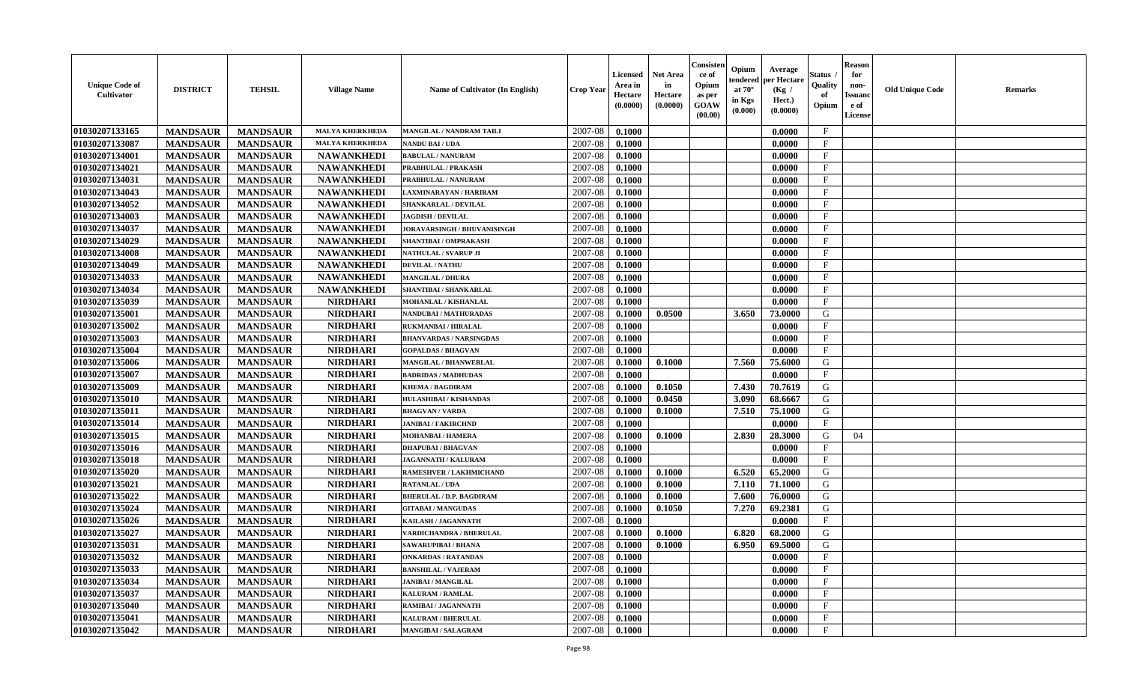| <b>Unique Code of</b><br><b>Cultivator</b> | <b>DISTRICT</b> | <b>TEHSIL</b>   | <b>Village Name</b>    | Name of Cultivator (In English) | <b>Crop Year</b> | <b>Licensed</b><br>Area in<br>Hectare<br>(0.0000) | <b>Net Area</b><br>in<br>Hectare<br>(0.0000) | Consister<br>ce of<br>Opium<br>as per<br><b>GOAW</b><br>(00.00) | Opium<br>endered<br>at $70^\circ$<br>in Kgs<br>(0.000) | Average<br>per Hectare<br>(Kg /<br>Hect.)<br>(0.0000) | Status<br>Quality<br>of<br>Opium | <b>Reason</b><br>for<br>non-<br><b>Issuand</b><br>e of<br><b>License</b> | <b>Old Unique Code</b> | <b>Remarks</b> |
|--------------------------------------------|-----------------|-----------------|------------------------|---------------------------------|------------------|---------------------------------------------------|----------------------------------------------|-----------------------------------------------------------------|--------------------------------------------------------|-------------------------------------------------------|----------------------------------|--------------------------------------------------------------------------|------------------------|----------------|
| 01030207133165                             | <b>MANDSAUR</b> | <b>MANDSAUR</b> | <b>MALYA KHERKHEDA</b> | MANGILAL / NANDRAM TAILI        | 2007-08          | 0.1000                                            |                                              |                                                                 |                                                        | 0.0000                                                | $\mathbf{F}$                     |                                                                          |                        |                |
| 01030207133087                             | <b>MANDSAUR</b> | <b>MANDSAUR</b> | <b>MALYA KHERKHEDA</b> | <b>NANDU BAI / UDA</b>          | 2007-08          | 0.1000                                            |                                              |                                                                 |                                                        | 0.0000                                                | $\mathbf F$                      |                                                                          |                        |                |
| 01030207134001                             | <b>MANDSAUR</b> | <b>MANDSAUR</b> | <b>NAWANKHEDI</b>      | <b>BABULAL / NANURAM</b>        | 2007-08          | 0.1000                                            |                                              |                                                                 |                                                        | 0.0000                                                | $\mathbf{F}$                     |                                                                          |                        |                |
| 01030207134021                             | <b>MANDSAUR</b> | <b>MANDSAUR</b> | <b>NAWANKHEDI</b>      | PRABHULAL / PRAKASH             | 2007-08          | 0.1000                                            |                                              |                                                                 |                                                        | 0.0000                                                | $\mathbf{F}$                     |                                                                          |                        |                |
| 01030207134031                             | <b>MANDSAUR</b> | <b>MANDSAUR</b> | <b>NAWANKHEDI</b>      | PRABHULAL / NANURAM             | 2007-08          | 0.1000                                            |                                              |                                                                 |                                                        | 0.0000                                                | $\mathbf{F}$                     |                                                                          |                        |                |
| 01030207134043                             | <b>MANDSAUR</b> | <b>MANDSAUR</b> | <b>NAWANKHEDI</b>      | LAXMINARAYAN / HARIRAM          | 2007-08          | 0.1000                                            |                                              |                                                                 |                                                        | 0.0000                                                | $_{\rm F}$                       |                                                                          |                        |                |
| 01030207134052                             | <b>MANDSAUR</b> | <b>MANDSAUR</b> | <b>NAWANKHEDI</b>      | <b>SHANKARLAL / DEVILAL</b>     | 2007-08          | 0.1000                                            |                                              |                                                                 |                                                        | 0.0000                                                | F                                |                                                                          |                        |                |
| 01030207134003                             | <b>MANDSAUR</b> | <b>MANDSAUR</b> | <b>NAWANKHEDI</b>      | <b>JAGDISH / DEVILAL</b>        | 2007-08          | 0.1000                                            |                                              |                                                                 |                                                        | 0.0000                                                | $\mathbf{F}$                     |                                                                          |                        |                |
| 01030207134037                             | <b>MANDSAUR</b> | <b>MANDSAUR</b> | <b>NAWANKHEDI</b>      | JORAVARSINGH / BHUVANISINGH     | 2007-08          | 0.1000                                            |                                              |                                                                 |                                                        | 0.0000                                                | $_{\rm F}$                       |                                                                          |                        |                |
| 01030207134029                             | <b>MANDSAUR</b> | <b>MANDSAUR</b> | <b>NAWANKHEDI</b>      | SHANTIBAI / OMPRAKASH           | 2007-08          | 0.1000                                            |                                              |                                                                 |                                                        | 0.0000                                                | $\mathbf{F}$                     |                                                                          |                        |                |
| 01030207134008                             | <b>MANDSAUR</b> | <b>MANDSAUR</b> | <b>NAWANKHEDI</b>      | NATHULAL / SVARUP JI            | 2007-08          | 0.1000                                            |                                              |                                                                 |                                                        | 0.0000                                                | $\mathbf{F}$                     |                                                                          |                        |                |
| 01030207134049                             | <b>MANDSAUR</b> | <b>MANDSAUR</b> | <b>NAWANKHEDI</b>      | <b>DEVILAL / NATHU</b>          | 2007-08          | 0.1000                                            |                                              |                                                                 |                                                        | 0.0000                                                | $\mathbf{F}$                     |                                                                          |                        |                |
| 01030207134033                             | <b>MANDSAUR</b> | <b>MANDSAUR</b> | <b>NAWANKHEDI</b>      | <b>MANGILAL / DHURA</b>         | 2007-08          | 0.1000                                            |                                              |                                                                 |                                                        | 0.0000                                                | $\mathbf{F}$                     |                                                                          |                        |                |
| 01030207134034                             | <b>MANDSAUR</b> | <b>MANDSAUR</b> | <b>NAWANKHEDI</b>      | SHANTIBAI / SHANKARLAL          | 2007-08          | 0.1000                                            |                                              |                                                                 |                                                        | 0.0000                                                | $_{\rm F}$                       |                                                                          |                        |                |
| 01030207135039                             | <b>MANDSAUR</b> | <b>MANDSAUR</b> | <b>NIRDHARI</b>        | MOHANLAL / KISHANLAL            | 2007-08          | 0.1000                                            |                                              |                                                                 |                                                        | 0.0000                                                | $\mathbf{F}$                     |                                                                          |                        |                |
| 01030207135001                             | <b>MANDSAUR</b> | <b>MANDSAUR</b> | <b>NIRDHARI</b>        | <b>NANDUBAI/MATHURADAS</b>      | 2007-08          | 0.1000                                            | 0.0500                                       |                                                                 | 3.650                                                  | 73.0000                                               | G                                |                                                                          |                        |                |
| 01030207135002                             | <b>MANDSAUR</b> | <b>MANDSAUR</b> | <b>NIRDHARI</b>        | <b>RUKMANBAI / HIRALAL</b>      | 2007-08          | 0.1000                                            |                                              |                                                                 |                                                        | 0.0000                                                | $_{\rm F}$                       |                                                                          |                        |                |
| 01030207135003                             | <b>MANDSAUR</b> | <b>MANDSAUR</b> | <b>NIRDHARI</b>        | <b>BHANVARDAS / NARSINGDAS</b>  | 2007-08          | 0.1000                                            |                                              |                                                                 |                                                        | 0.0000                                                | $_{\rm F}$                       |                                                                          |                        |                |
| 01030207135004                             | <b>MANDSAUR</b> | <b>MANDSAUR</b> | <b>NIRDHARI</b>        | <b>GOPALDAS / BHAGVAN</b>       | 2007-08          | 0.1000                                            |                                              |                                                                 |                                                        | 0.0000                                                | $\mathbf{F}$                     |                                                                          |                        |                |
| 01030207135006                             | <b>MANDSAUR</b> | <b>MANDSAUR</b> | <b>NIRDHARI</b>        | <b>MANGILAL / BHANWERLAL</b>    | 2007-08          | 0.1000                                            | 0.1000                                       |                                                                 | 7.560                                                  | 75.6000                                               | G                                |                                                                          |                        |                |
| 01030207135007                             | <b>MANDSAUR</b> | <b>MANDSAUR</b> | <b>NIRDHARI</b>        | <b>BADRIDAS / MADHUDAS</b>      | 2007-08          | 0.1000                                            |                                              |                                                                 |                                                        | 0.0000                                                | $\mathbf{F}$                     |                                                                          |                        |                |
| 01030207135009                             | <b>MANDSAUR</b> | <b>MANDSAUR</b> | <b>NIRDHARI</b>        | <b>KHEMA / BAGDIRAM</b>         | 2007-08          | 0.1000                                            | 0.1050                                       |                                                                 | 7.430                                                  | 70.7619                                               | G                                |                                                                          |                        |                |
| 01030207135010                             | <b>MANDSAUR</b> | <b>MANDSAUR</b> | <b>NIRDHARI</b>        | HULASHIBAI / KISHANDAS          | 2007-08          | 0.1000                                            | 0.0450                                       |                                                                 | 3.090                                                  | 68.6667                                               | G                                |                                                                          |                        |                |
| 01030207135011                             | <b>MANDSAUR</b> | <b>MANDSAUR</b> | <b>NIRDHARI</b>        | <b>BHAGVAN / VARDA</b>          | 2007-08          | 0.1000                                            | 0.1000                                       |                                                                 | 7.510                                                  | 75.1000                                               | G                                |                                                                          |                        |                |
| 01030207135014                             | <b>MANDSAUR</b> | <b>MANDSAUR</b> | <b>NIRDHARI</b>        | <b>JANIBAI / FAKIRCHND</b>      | 2007-08          | 0.1000                                            |                                              |                                                                 |                                                        | 0.0000                                                | $\rm F$                          |                                                                          |                        |                |
| 01030207135015                             | <b>MANDSAUR</b> | <b>MANDSAUR</b> | <b>NIRDHARI</b>        | <b>MOHANBAI/HAMERA</b>          | 2007-08          | 0.1000                                            | 0.1000                                       |                                                                 | 2.830                                                  | 28.3000                                               | G                                | 04                                                                       |                        |                |
| 01030207135016                             | <b>MANDSAUR</b> | <b>MANDSAUR</b> | <b>NIRDHARI</b>        | <b>DHAPUBAI/BHAGVAN</b>         | 2007-08          | 0.1000                                            |                                              |                                                                 |                                                        | 0.0000                                                | $\mathbf{F}$                     |                                                                          |                        |                |
| 01030207135018                             | <b>MANDSAUR</b> | <b>MANDSAUR</b> | <b>NIRDHARI</b>        | <b>JAGANNATH / KALURAM</b>      | 2007-08          | 0.1000                                            |                                              |                                                                 |                                                        | 0.0000                                                | $_{\rm F}$                       |                                                                          |                        |                |
| 01030207135020                             | <b>MANDSAUR</b> | <b>MANDSAUR</b> | <b>NIRDHARI</b>        | <b>RAMESHVER / LAKHMICHAND</b>  | 2007-08          | 0.1000                                            | 0.1000                                       |                                                                 | 6.520                                                  | 65.2000                                               | G                                |                                                                          |                        |                |
| 01030207135021                             | <b>MANDSAUR</b> | <b>MANDSAUR</b> | <b>NIRDHARI</b>        | <b>RATANLAL / UDA</b>           | 2007-08          | 0.1000                                            | 0.1000                                       |                                                                 | 7.110                                                  | 71.1000                                               | G                                |                                                                          |                        |                |
| 01030207135022                             | <b>MANDSAUR</b> | <b>MANDSAUR</b> | <b>NIRDHARI</b>        | <b>BHERULAL / D.P. BAGDIRAM</b> | 2007-08          | 0.1000                                            | 0.1000                                       |                                                                 | 7.600                                                  | 76.0000                                               | G                                |                                                                          |                        |                |
| 01030207135024                             | <b>MANDSAUR</b> | <b>MANDSAUR</b> | <b>NIRDHARI</b>        | <b>GITABAI/MANGUDAS</b>         | 2007-08          | 0.1000                                            | 0.1050                                       |                                                                 | 7.270                                                  | 69.2381                                               | ${\bf G}$                        |                                                                          |                        |                |
| 01030207135026                             | <b>MANDSAUR</b> | <b>MANDSAUR</b> | <b>NIRDHARI</b>        | KAILASH / JAGANNATH             | 2007-08          | 0.1000                                            |                                              |                                                                 |                                                        | 0.0000                                                | $_{\rm F}$                       |                                                                          |                        |                |
| 01030207135027                             | <b>MANDSAUR</b> | <b>MANDSAUR</b> | <b>NIRDHARI</b>        | VARDICHANDRA / BHERULAL         | 2007-08          | 0.1000                                            | 0.1000                                       |                                                                 | 6.820                                                  | 68.2000                                               | G                                |                                                                          |                        |                |
| 01030207135031                             | <b>MANDSAUR</b> | <b>MANDSAUR</b> | <b>NIRDHARI</b>        | <b>SAWARUPIBAI / BHANA</b>      | 2007-08          | 0.1000                                            | 0.1000                                       |                                                                 | 6.950                                                  | 69.5000                                               | G                                |                                                                          |                        |                |
| 01030207135032                             | <b>MANDSAUR</b> | <b>MANDSAUR</b> | <b>NIRDHARI</b>        | <b>ONKARDAS / RATANDAS</b>      | 2007-08          | 0.1000                                            |                                              |                                                                 |                                                        | 0.0000                                                | F                                |                                                                          |                        |                |
| 01030207135033                             | <b>MANDSAUR</b> | <b>MANDSAUR</b> | <b>NIRDHARI</b>        | <b>BANSHILAL / VAJERAM</b>      | 2007-08          | 0.1000                                            |                                              |                                                                 |                                                        | 0.0000                                                | $_{\rm F}$                       |                                                                          |                        |                |
| 01030207135034                             | <b>MANDSAUR</b> | <b>MANDSAUR</b> | <b>NIRDHARI</b>        | <b>JANIBAI / MANGILAL</b>       | 2007-08          | 0.1000                                            |                                              |                                                                 |                                                        | 0.0000                                                | $\mathbf{F}$                     |                                                                          |                        |                |
| 01030207135037                             | <b>MANDSAUR</b> | <b>MANDSAUR</b> | <b>NIRDHARI</b>        | <b>KALURAM / RAMLAL</b>         | 2007-08          | 0.1000                                            |                                              |                                                                 |                                                        | 0.0000                                                | $\mathbf{F}$                     |                                                                          |                        |                |
| 01030207135040                             | <b>MANDSAUR</b> | <b>MANDSAUR</b> | <b>NIRDHARI</b>        | RAMIBAI / JAGANNATH             | 2007-08          | 0.1000                                            |                                              |                                                                 |                                                        | 0.0000                                                | F                                |                                                                          |                        |                |
| 01030207135041                             | <b>MANDSAUR</b> | <b>MANDSAUR</b> | <b>NIRDHARI</b>        | <b>KALURAM / BHERULAL</b>       | 2007-08          | 0.1000                                            |                                              |                                                                 |                                                        | 0.0000                                                | $\mathbf{F}$                     |                                                                          |                        |                |
| 01030207135042                             | <b>MANDSAUR</b> | <b>MANDSAUR</b> | <b>NIRDHARI</b>        | <b>MANGIBAI/SALAGRAM</b>        | 2007-08          | 0.1000                                            |                                              |                                                                 |                                                        | 0.0000                                                | $\mathbf{F}$                     |                                                                          |                        |                |
|                                            |                 |                 |                        |                                 |                  |                                                   |                                              |                                                                 |                                                        |                                                       |                                  |                                                                          |                        |                |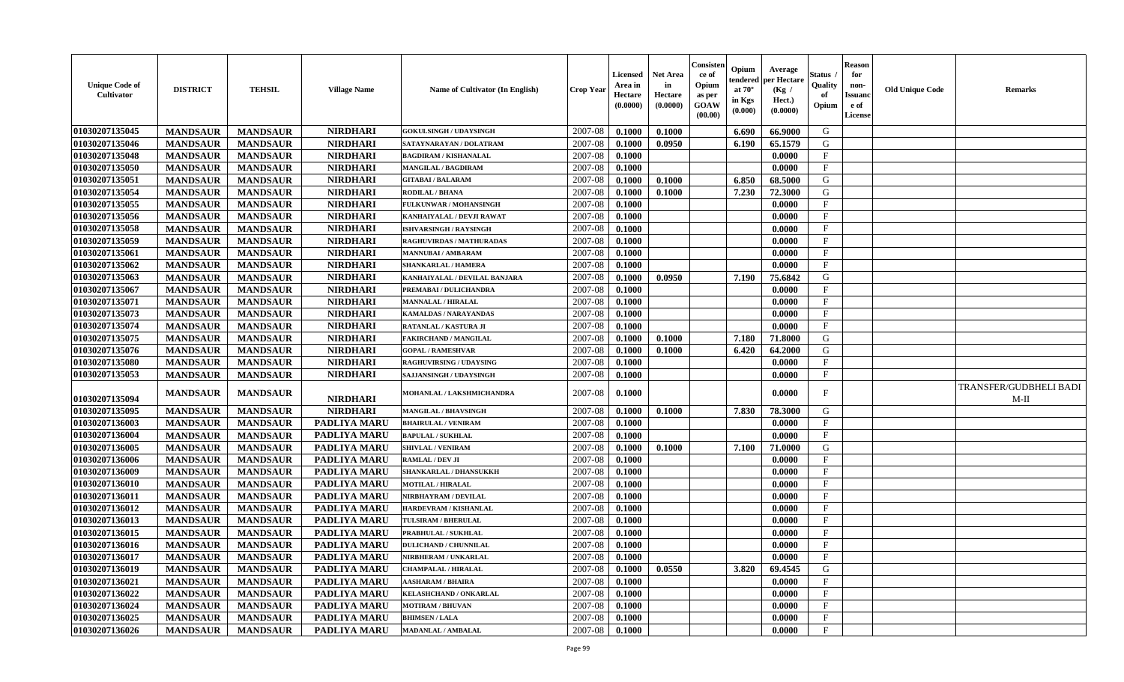| <b>Unique Code of</b><br><b>Cultivator</b> | <b>DISTRICT</b> | <b>TEHSIL</b>   | <b>Village Name</b> | Name of Cultivator (In English) | <b>Crop Year</b> | <b>Licensed</b><br>Area in<br>Hectare<br>(0.0000) | <b>Net Area</b><br>in<br>Hectare<br>(0.0000) | Consisteı<br>ce of<br>Opium<br>as per<br><b>GOAW</b><br>(00.00) | Opium<br>endered<br>at $70^\circ$<br>in Kgs<br>$(\mathbf{0.000})$ | Average<br>per Hectare<br>(Kg /<br>Hect.)<br>(0.0000) | Status<br>Quality<br>of<br>Opium | <b>Reason</b><br>for<br>non-<br>Issuan<br>e of<br>License | <b>Old Unique Code</b> | <b>Remarks</b>                 |
|--------------------------------------------|-----------------|-----------------|---------------------|---------------------------------|------------------|---------------------------------------------------|----------------------------------------------|-----------------------------------------------------------------|-------------------------------------------------------------------|-------------------------------------------------------|----------------------------------|-----------------------------------------------------------|------------------------|--------------------------------|
| 01030207135045                             | <b>MANDSAUR</b> | <b>MANDSAUR</b> | <b>NIRDHARI</b>     | <b>GOKULSINGH / UDAYSINGH</b>   | 2007-08          | 0.1000                                            | 0.1000                                       |                                                                 | 6.690                                                             | 66.9000                                               | G                                |                                                           |                        |                                |
| 01030207135046                             | <b>MANDSAUR</b> | <b>MANDSAUR</b> | <b>NIRDHARI</b>     | SATAYNARAYAN / DOLATRAM         | 2007-08          | 0.1000                                            | 0.0950                                       |                                                                 | 6.190                                                             | 65.1579                                               | G                                |                                                           |                        |                                |
| 01030207135048                             | <b>MANDSAUR</b> | <b>MANDSAUR</b> | <b>NIRDHARI</b>     | <b>BAGDIRAM / KISHANALAL</b>    | 2007-08          | 0.1000                                            |                                              |                                                                 |                                                                   | 0.0000                                                | $\mathbf{F}$                     |                                                           |                        |                                |
| 01030207135050                             | <b>MANDSAUR</b> | <b>MANDSAUR</b> | <b>NIRDHARI</b>     | MANGILAL / BAGDIRAM             | 2007-08          | 0.1000                                            |                                              |                                                                 |                                                                   | 0.0000                                                | $\mathbf{F}$                     |                                                           |                        |                                |
| 01030207135051                             | <b>MANDSAUR</b> | <b>MANDSAUR</b> | <b>NIRDHARI</b>     | <b>GITABAI/BALARAM</b>          | 2007-08          | 0.1000                                            | 0.1000                                       |                                                                 | 6.850                                                             | 68.5000                                               | G                                |                                                           |                        |                                |
| 01030207135054                             | <b>MANDSAUR</b> | <b>MANDSAUR</b> | <b>NIRDHARI</b>     | <b>RODILAL / BHANA</b>          | 2007-08          | 0.1000                                            | 0.1000                                       |                                                                 | 7.230                                                             | 72.3000                                               | G                                |                                                           |                        |                                |
| 01030207135055                             | <b>MANDSAUR</b> | <b>MANDSAUR</b> | <b>NIRDHARI</b>     | <b>FULKUNWAR / MOHANSINGH</b>   | 2007-08          | 0.1000                                            |                                              |                                                                 |                                                                   | 0.0000                                                | $\mathbf{F}$                     |                                                           |                        |                                |
| 01030207135056                             | <b>MANDSAUR</b> | <b>MANDSAUR</b> | <b>NIRDHARI</b>     | KANHAIYALAL / DEVJI RAWAT       | 2007-08          | 0.1000                                            |                                              |                                                                 |                                                                   | 0.0000                                                | $\mathbf{F}$                     |                                                           |                        |                                |
| 01030207135058                             | <b>MANDSAUR</b> | <b>MANDSAUR</b> | <b>NIRDHARI</b>     | <b>ISHVARSINGH / RAYSINGH</b>   | 2007-08          | 0.1000                                            |                                              |                                                                 |                                                                   | 0.0000                                                | $_{\rm F}$                       |                                                           |                        |                                |
| 01030207135059                             | <b>MANDSAUR</b> | <b>MANDSAUR</b> | <b>NIRDHARI</b>     | RAGHUVIRDAS / MATHURADAS        | 2007-08          | 0.1000                                            |                                              |                                                                 |                                                                   | 0.0000                                                | $_{\rm F}$                       |                                                           |                        |                                |
| 01030207135061                             | <b>MANDSAUR</b> | <b>MANDSAUR</b> | <b>NIRDHARI</b>     | MANNUBAI / AMBARAM              | 2007-08          | 0.1000                                            |                                              |                                                                 |                                                                   | 0.0000                                                | $\mathbf{F}$                     |                                                           |                        |                                |
| 01030207135062                             | <b>MANDSAUR</b> | <b>MANDSAUR</b> | <b>NIRDHARI</b>     | <b>SHANKARLAL / HAMERA</b>      | 2007-08          | 0.1000                                            |                                              |                                                                 |                                                                   | 0.0000                                                | $_{\rm F}$                       |                                                           |                        |                                |
| 01030207135063                             | <b>MANDSAUR</b> | <b>MANDSAUR</b> | <b>NIRDHARI</b>     | KANHAIYALAL / DEVILAL BANJARA   | 2007-08          | 0.1000                                            | 0.0950                                       |                                                                 | 7.190                                                             | 75.6842                                               | G                                |                                                           |                        |                                |
| 01030207135067                             | <b>MANDSAUR</b> | <b>MANDSAUR</b> | <b>NIRDHARI</b>     | PREMABAI / DULICHANDRA          | 2007-08          | 0.1000                                            |                                              |                                                                 |                                                                   | 0.0000                                                | $\mathbf{F}$                     |                                                           |                        |                                |
| 01030207135071                             | <b>MANDSAUR</b> | <b>MANDSAUR</b> | <b>NIRDHARI</b>     | <b>MANNALAL / HIRALAL</b>       | 2007-08          | 0.1000                                            |                                              |                                                                 |                                                                   | 0.0000                                                | $\mathbf{F}$                     |                                                           |                        |                                |
| 01030207135073                             | <b>MANDSAUR</b> | <b>MANDSAUR</b> | <b>NIRDHARI</b>     | <b>KAMALDAS / NARAYANDAS</b>    | 2007-08          | 0.1000                                            |                                              |                                                                 |                                                                   | 0.0000                                                | F                                |                                                           |                        |                                |
| 01030207135074                             | <b>MANDSAUR</b> | <b>MANDSAUR</b> | <b>NIRDHARI</b>     | RATANLAL / KASTURA JI           | 2007-08          | 0.1000                                            |                                              |                                                                 |                                                                   | 0.0000                                                | $\mathbf F$                      |                                                           |                        |                                |
| 01030207135075                             | <b>MANDSAUR</b> | <b>MANDSAUR</b> | <b>NIRDHARI</b>     | <b>FAKIRCHAND / MANGILAL</b>    | 2007-08          | 0.1000                                            | 0.1000                                       |                                                                 | 7.180                                                             | 71.8000                                               | G                                |                                                           |                        |                                |
| 01030207135076                             | <b>MANDSAUR</b> | <b>MANDSAUR</b> | <b>NIRDHARI</b>     | <b>GOPAL / RAMESHVAR</b>        | 2007-08          | 0.1000                                            | 0.1000                                       |                                                                 | 6.420                                                             | 64.2000                                               | G                                |                                                           |                        |                                |
| 01030207135080                             | <b>MANDSAUR</b> | <b>MANDSAUR</b> | <b>NIRDHARI</b>     | <b>RAGHUVIRSING / UDAYSING</b>  | 2007-08          | 0.1000                                            |                                              |                                                                 |                                                                   | 0.0000                                                | $\mathbf{F}$                     |                                                           |                        |                                |
| 01030207135053                             | <b>MANDSAUR</b> | <b>MANDSAUR</b> | <b>NIRDHARI</b>     | SAJJANSINGH / UDAYSINGH         | 2007-08          | 0.1000                                            |                                              |                                                                 |                                                                   | 0.0000                                                | $_{\rm F}$                       |                                                           |                        |                                |
| 01030207135094                             | <b>MANDSAUR</b> | <b>MANDSAUR</b> | <b>NIRDHARI</b>     | MOHANLAL / LAKSHMICHANDRA       | 2007-08          | 0.1000                                            |                                              |                                                                 |                                                                   | 0.0000                                                | F                                |                                                           |                        | TRANSFER/GUDBHELI BADI<br>M-II |
| 01030207135095                             | <b>MANDSAUR</b> | <b>MANDSAUR</b> | <b>NIRDHARI</b>     | <b>MANGILAL / BHAVSINGH</b>     | 2007-08          | 0.1000                                            | 0.1000                                       |                                                                 | 7.830                                                             | 78.3000                                               | G                                |                                                           |                        |                                |
| 01030207136003                             | <b>MANDSAUR</b> | <b>MANDSAUR</b> | PADLIYA MARU        | <b>BHAIRULAL / VENIRAM</b>      | 2007-08          | 0.1000                                            |                                              |                                                                 |                                                                   | 0.0000                                                | $\mathbf{F}$                     |                                                           |                        |                                |
| 01030207136004                             | <b>MANDSAUR</b> | <b>MANDSAUR</b> | PADLIYA MARU        | <b>BAPULAL / SUKHLAL</b>        | 2007-08          | 0.1000                                            |                                              |                                                                 |                                                                   | 0.0000                                                | $\mathbf{F}$                     |                                                           |                        |                                |
| 01030207136005                             | <b>MANDSAUR</b> | <b>MANDSAUR</b> | <b>PADLIYA MARU</b> | <b>SHIVLAL / VENIRAM</b>        | 2007-08          | 0.1000                                            | 0.1000                                       |                                                                 | 7.100                                                             | 71.0000                                               | G                                |                                                           |                        |                                |
| 01030207136006                             | <b>MANDSAUR</b> | <b>MANDSAUR</b> | PADLIYA MARU        | RAMLAL / DEV JI                 | 2007-08          | 0.1000                                            |                                              |                                                                 |                                                                   | 0.0000                                                | $\mathbf{F}$                     |                                                           |                        |                                |
| 01030207136009                             | <b>MANDSAUR</b> | <b>MANDSAUR</b> | PADLIYA MARU        | SHANKARLAL / DHANSUKKH          | 2007-08          | 0.1000                                            |                                              |                                                                 |                                                                   | 0.0000                                                | $\mathbf{F}$                     |                                                           |                        |                                |
| 01030207136010                             | <b>MANDSAUR</b> | <b>MANDSAUR</b> | <b>PADLIYA MARU</b> | <b>MOTILAL / HIRALAL</b>        | 2007-08          | 0.1000                                            |                                              |                                                                 |                                                                   | 0.0000                                                | $_{\rm F}$                       |                                                           |                        |                                |
| 01030207136011                             | <b>MANDSAUR</b> | <b>MANDSAUR</b> | <b>PADLIYA MARU</b> | NIRBHAYRAM / DEVILAL            | 2007-08          | 0.1000                                            |                                              |                                                                 |                                                                   | 0.0000                                                | $\mathbf{F}$                     |                                                           |                        |                                |
| 01030207136012                             | <b>MANDSAUR</b> | <b>MANDSAUR</b> | <b>PADLIYA MARU</b> | <b>HARDEVRAM / KISHANLAL</b>    | 2007-08          | 0.1000                                            |                                              |                                                                 |                                                                   | 0.0000                                                | $\mathbf{F}$                     |                                                           |                        |                                |
| 01030207136013                             | <b>MANDSAUR</b> | <b>MANDSAUR</b> | <b>PADLIYA MARU</b> | TULSIRAM / BHERULAL             | 2007-08          | 0.1000                                            |                                              |                                                                 |                                                                   | 0.0000                                                | $\mathbf{F}$                     |                                                           |                        |                                |
| 01030207136015                             | <b>MANDSAUR</b> | <b>MANDSAUR</b> | PADLIYA MARU        | PRABHULAL / SUKHLAL             | 2007-08          | 0.1000                                            |                                              |                                                                 |                                                                   | 0.0000                                                | $_{\rm F}$                       |                                                           |                        |                                |
| 01030207136016                             | <b>MANDSAUR</b> | <b>MANDSAUR</b> | <b>PADLIYA MARU</b> | <b>DULICHAND / CHUNNILAL</b>    | 2007-08          | 0.1000                                            |                                              |                                                                 |                                                                   | 0.0000                                                | $_{\rm F}$                       |                                                           |                        |                                |
| 01030207136017                             | <b>MANDSAUR</b> | <b>MANDSAUR</b> | PADLIYA MARU        | NIRBHERAM / UNKARLAL            | $2007-08$ 0.1000 |                                                   |                                              |                                                                 |                                                                   | 0.0000                                                | $\mathbf{F}$                     |                                                           |                        |                                |
| 01030207136019                             | <b>MANDSAUR</b> | <b>MANDSAUR</b> | <b>PADLIYA MARU</b> | <b>CHAMPALAL / HIRALAL</b>      | 2007-08          | 0.1000                                            | 0.0550                                       |                                                                 | 3.820                                                             | 69.4545                                               | G                                |                                                           |                        |                                |
| 01030207136021                             | <b>MANDSAUR</b> | <b>MANDSAUR</b> | <b>PADLIYA MARU</b> | <b>AASHARAM / BHAIRA</b>        | 2007-08          | 0.1000                                            |                                              |                                                                 |                                                                   | 0.0000                                                | $\mathbf{F}$                     |                                                           |                        |                                |
| 01030207136022                             | <b>MANDSAUR</b> | <b>MANDSAUR</b> | PADLIYA MARU        | <b>KELASHCHAND / ONKARLAL</b>   | 2007-08          | 0.1000                                            |                                              |                                                                 |                                                                   | 0.0000                                                | $\mathbf{F}$                     |                                                           |                        |                                |
| 01030207136024                             | <b>MANDSAUR</b> | <b>MANDSAUR</b> | <b>PADLIYA MARU</b> | <b>MOTIRAM / BHUVAN</b>         | 2007-08          | 0.1000                                            |                                              |                                                                 |                                                                   | 0.0000                                                | $\mathbf{F}$                     |                                                           |                        |                                |
| 01030207136025                             | <b>MANDSAUR</b> | <b>MANDSAUR</b> | <b>PADLIYA MARU</b> | <b>BHIMSEN / LALA</b>           | 2007-08          | 0.1000                                            |                                              |                                                                 |                                                                   | 0.0000                                                | $\mathbf{F}$                     |                                                           |                        |                                |
| 01030207136026                             | <b>MANDSAUR</b> | <b>MANDSAUR</b> | PADLIYA MARU        | <b>MADANLAL / AMBALAL</b>       | 2007-08          | 0.1000                                            |                                              |                                                                 |                                                                   | 0.0000                                                | $\mathbf{F}$                     |                                                           |                        |                                |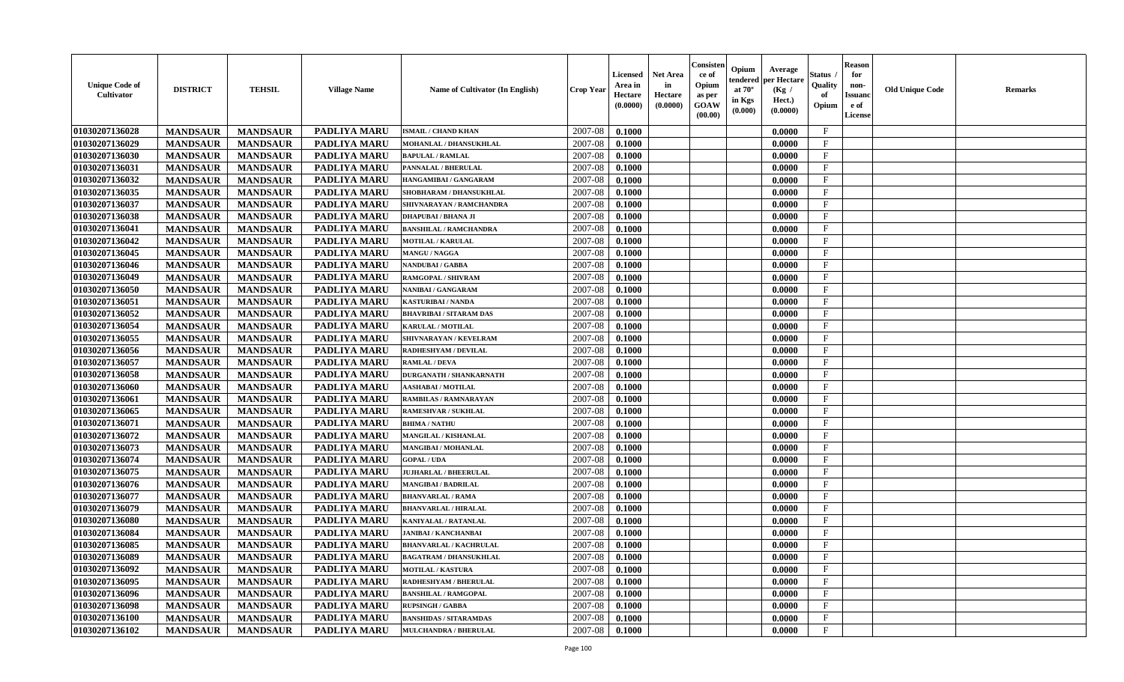| <b>Unique Code of</b><br><b>Cultivator</b> | <b>DISTRICT</b> | <b>TEHSIL</b>   | <b>Village Name</b> | Name of Cultivator (In English) | <b>Crop Year</b> | <b>Licensed</b><br>Area in<br>Hectare<br>(0.0000) | <b>Net Area</b><br>in<br>Hectare<br>(0.0000) | Consister<br>ce of<br>Opium<br>as per<br><b>GOAW</b><br>(00.00) | Opium<br>Average<br>per Hectare<br>endered<br>at $70^\circ$<br>(Kg /<br>in Kgs<br>Hect.)<br>(0.0000)<br>(0.000) | Status<br>Quality<br>of<br>Opium | <b>Reason</b><br>for<br>non-<br><b>Issuand</b><br>e of<br><b>License</b> | <b>Old Unique Code</b> | <b>Remarks</b> |
|--------------------------------------------|-----------------|-----------------|---------------------|---------------------------------|------------------|---------------------------------------------------|----------------------------------------------|-----------------------------------------------------------------|-----------------------------------------------------------------------------------------------------------------|----------------------------------|--------------------------------------------------------------------------|------------------------|----------------|
| 01030207136028                             | <b>MANDSAUR</b> | <b>MANDSAUR</b> | <b>PADLIYA MARU</b> | <b>ISMAIL / CHAND KHAN</b>      | 2007-08          | 0.1000                                            |                                              |                                                                 | 0.0000                                                                                                          | $\mathbf{F}$                     |                                                                          |                        |                |
| 01030207136029                             | <b>MANDSAUR</b> | <b>MANDSAUR</b> | PADLIYA MARU        | MOHANLAL / DHANSUKHLAL          | 2007-08          | 0.1000                                            |                                              |                                                                 | 0.0000                                                                                                          | $\mathbf F$                      |                                                                          |                        |                |
| 01030207136030                             | <b>MANDSAUR</b> | <b>MANDSAUR</b> | PADLIYA MARU        | <b>BAPULAL / RAMLAL</b>         | 2007-08          | 0.1000                                            |                                              |                                                                 | 0.0000                                                                                                          | $\mathbf{F}$                     |                                                                          |                        |                |
| 01030207136031                             | <b>MANDSAUR</b> | <b>MANDSAUR</b> | PADLIYA MARU        | PANNALAL / BHERULAL             | 2007-08          | 0.1000                                            |                                              |                                                                 | 0.0000                                                                                                          | $\mathbf{F}$                     |                                                                          |                        |                |
| 01030207136032                             | <b>MANDSAUR</b> | <b>MANDSAUR</b> | <b>PADLIYA MARU</b> | HANGAMIBAI / GANGARAM           | 2007-08          | 0.1000                                            |                                              |                                                                 | 0.0000                                                                                                          | $\mathbf{F}$                     |                                                                          |                        |                |
| 01030207136035                             | <b>MANDSAUR</b> | <b>MANDSAUR</b> | <b>PADLIYA MARU</b> | SHOBHARAM / DHANSUKHLAL         | 2007-08          | 0.1000                                            |                                              |                                                                 | 0.0000                                                                                                          | $_{\rm F}$                       |                                                                          |                        |                |
| 01030207136037                             | <b>MANDSAUR</b> | <b>MANDSAUR</b> | PADLIYA MARU        | SHIVNARAYAN / RAMCHANDRA        | 2007-08          | 0.1000                                            |                                              |                                                                 | 0.0000                                                                                                          | F                                |                                                                          |                        |                |
| 01030207136038                             | <b>MANDSAUR</b> | <b>MANDSAUR</b> | PADLIYA MARU        | DHAPUBAI / BHANA JI             | 2007-08          | 0.1000                                            |                                              |                                                                 | 0.0000                                                                                                          | $\mathbf{F}$                     |                                                                          |                        |                |
| 01030207136041                             | <b>MANDSAUR</b> | <b>MANDSAUR</b> | PADLIYA MARU        | <b>BANSHILAL / RAMCHANDRA</b>   | 2007-08          | 0.1000                                            |                                              |                                                                 | 0.0000                                                                                                          | $_{\rm F}$                       |                                                                          |                        |                |
| 01030207136042                             | <b>MANDSAUR</b> | <b>MANDSAUR</b> | <b>PADLIYA MARU</b> | <b>MOTILAL / KARULAL</b>        | 2007-08          | 0.1000                                            |                                              |                                                                 | 0.0000                                                                                                          | $\mathbf{F}$                     |                                                                          |                        |                |
| 01030207136045                             | <b>MANDSAUR</b> | <b>MANDSAUR</b> | <b>PADLIYA MARU</b> | <b>MANGU / NAGGA</b>            | 2007-08          | 0.1000                                            |                                              |                                                                 | 0.0000                                                                                                          | $\mathbf{F}$                     |                                                                          |                        |                |
| 01030207136046                             | <b>MANDSAUR</b> | <b>MANDSAUR</b> | <b>PADLIYA MARU</b> | <b>NANDUBAI/GABBA</b>           | 2007-08          | 0.1000                                            |                                              |                                                                 | 0.0000                                                                                                          | $\mathbf{F}$                     |                                                                          |                        |                |
| 01030207136049                             | <b>MANDSAUR</b> | <b>MANDSAUR</b> | <b>PADLIYA MARU</b> | <b>RAMGOPAL / SHIVRAM</b>       | 2007-08          | 0.1000                                            |                                              |                                                                 | 0.0000                                                                                                          | $\mathbf{F}$                     |                                                                          |                        |                |
| 01030207136050                             | <b>MANDSAUR</b> | <b>MANDSAUR</b> | PADLIYA MARU        | NANIBAI / GANGARAM              | 2007-08          | 0.1000                                            |                                              |                                                                 | 0.0000                                                                                                          | $_{\rm F}$                       |                                                                          |                        |                |
| 01030207136051                             | <b>MANDSAUR</b> | <b>MANDSAUR</b> | PADLIYA MARU        | KASTURIBAI / NANDA              | 2007-08          | 0.1000                                            |                                              |                                                                 | 0.0000                                                                                                          | $\mathbf{F}$                     |                                                                          |                        |                |
| 01030207136052                             | <b>MANDSAUR</b> | <b>MANDSAUR</b> | PADLIYA MARU        | <b>BHAVRIBAI/SITARAM DAS</b>    | 2007-08          | 0.1000                                            |                                              |                                                                 | 0.0000                                                                                                          | $_{\rm F}$                       |                                                                          |                        |                |
| 01030207136054                             | <b>MANDSAUR</b> | <b>MANDSAUR</b> | PADLIYA MARU        | <b>KARULAL / MOTILAL</b>        | 2007-08          | 0.1000                                            |                                              |                                                                 | 0.0000                                                                                                          | $\rm F$                          |                                                                          |                        |                |
| 01030207136055                             | <b>MANDSAUR</b> | <b>MANDSAUR</b> | PADLIYA MARU        | SHIVNARAYAN / KEVELRAM          | 2007-08          | 0.1000                                            |                                              |                                                                 | 0.0000                                                                                                          | $_{\rm F}$                       |                                                                          |                        |                |
| 01030207136056                             | <b>MANDSAUR</b> | <b>MANDSAUR</b> | <b>PADLIYA MARU</b> | RADHESHYAM / DEVILAL            | 2007-08          | 0.1000                                            |                                              |                                                                 | 0.0000                                                                                                          | $\mathbf{F}$                     |                                                                          |                        |                |
| 01030207136057                             | <b>MANDSAUR</b> | <b>MANDSAUR</b> | <b>PADLIYA MARU</b> | <b>RAMLAL / DEVA</b>            | 2007-08          | 0.1000                                            |                                              |                                                                 | 0.0000                                                                                                          | $\mathbf{F}$                     |                                                                          |                        |                |
| 01030207136058                             | <b>MANDSAUR</b> | <b>MANDSAUR</b> | PADLIYA MARU        | <b>DURGANATH / SHANKARNATH</b>  | 2007-08          | 0.1000                                            |                                              |                                                                 | 0.0000                                                                                                          | $\mathbf{F}$                     |                                                                          |                        |                |
| 01030207136060                             | <b>MANDSAUR</b> | <b>MANDSAUR</b> | PADLIYA MARU        | <b>AASHABAI/MOTILAL</b>         | 2007-08          | 0.1000                                            |                                              |                                                                 | 0.0000                                                                                                          | $_{\rm F}$                       |                                                                          |                        |                |
| 01030207136061                             | <b>MANDSAUR</b> | <b>MANDSAUR</b> | PADLIYA MARU        | <b>RAMBILAS / RAMNARAYAN</b>    | 2007-08          | 0.1000                                            |                                              |                                                                 | 0.0000                                                                                                          | $\mathbf{F}$                     |                                                                          |                        |                |
| 01030207136065                             | <b>MANDSAUR</b> | <b>MANDSAUR</b> | PADLIYA MARU        | <b>RAMESHVAR / SUKHLAL</b>      | 2007-08          | 0.1000                                            |                                              |                                                                 | 0.0000                                                                                                          | $\mathbf{F}$                     |                                                                          |                        |                |
| 01030207136071                             | <b>MANDSAUR</b> | <b>MANDSAUR</b> | PADLIYA MARU        | <b>BHIMA / NATHU</b>            | 2007-08          | 0.1000                                            |                                              |                                                                 | 0.0000                                                                                                          | $\rm F$                          |                                                                          |                        |                |
| 01030207136072                             | <b>MANDSAUR</b> | <b>MANDSAUR</b> | <b>PADLIYA MARU</b> | MANGILAL / KISHANLAL            | 2007-08          | 0.1000                                            |                                              |                                                                 | 0.0000                                                                                                          | $\mathbf{F}$                     |                                                                          |                        |                |
| 01030207136073                             | <b>MANDSAUR</b> | <b>MANDSAUR</b> | <b>PADLIYA MARU</b> | MANGIBAI / MOHANLAL             | 2007-08          | 0.1000                                            |                                              |                                                                 | 0.0000                                                                                                          | F                                |                                                                          |                        |                |
| 01030207136074                             | <b>MANDSAUR</b> | <b>MANDSAUR</b> | PADLIYA MARU        | <b>GOPAL / UDA</b>              | 2007-08          | 0.1000                                            |                                              |                                                                 | 0.0000                                                                                                          | $_{\rm F}$                       |                                                                          |                        |                |
| 01030207136075                             | <b>MANDSAUR</b> | <b>MANDSAUR</b> | PADLIYA MARU        | <b>JUJHARLAL / BHEERULAL</b>    | 2007-08          | 0.1000                                            |                                              |                                                                 | 0.0000                                                                                                          | $\rm F$                          |                                                                          |                        |                |
| 01030207136076                             | <b>MANDSAUR</b> | <b>MANDSAUR</b> | PADLIYA MARU        | <b>MANGIBAI/BADRILAL</b>        | 2007-08          | 0.1000                                            |                                              |                                                                 | 0.0000                                                                                                          | $\mathbf{F}$                     |                                                                          |                        |                |
| 01030207136077                             | <b>MANDSAUR</b> | <b>MANDSAUR</b> | PADLIYA MARU        | <b>BHANVARLAL / RAMA</b>        | 2007-08          | 0.1000                                            |                                              |                                                                 | 0.0000                                                                                                          | F                                |                                                                          |                        |                |
| 01030207136079                             | <b>MANDSAUR</b> | <b>MANDSAUR</b> | PADLIYA MARU        | <b>BHANVARLAL / HIRALAL</b>     | 2007-08          | 0.1000                                            |                                              |                                                                 | 0.0000                                                                                                          | $\mathbf{F}$                     |                                                                          |                        |                |
| 01030207136080                             | <b>MANDSAUR</b> | <b>MANDSAUR</b> | <b>PADLIYA MARU</b> | KANIYALAL / RATANLAL            | 2007-08          | 0.1000                                            |                                              |                                                                 | 0.0000                                                                                                          | $\mathbf{F}$                     |                                                                          |                        |                |
| 01030207136084                             | <b>MANDSAUR</b> | <b>MANDSAUR</b> | <b>PADLIYA MARU</b> | <b>JANIBAI / KANCHANBAI</b>     | 2007-08          | 0.1000                                            |                                              |                                                                 | 0.0000                                                                                                          | $\mathbf{F}$                     |                                                                          |                        |                |
| 01030207136085                             | <b>MANDSAUR</b> | <b>MANDSAUR</b> | PADLIYA MARU        | <b>BHANVARLAL / KACHRULAL</b>   | 2007-08          | 0.1000                                            |                                              |                                                                 | 0.0000                                                                                                          | $\mathbf{F}$                     |                                                                          |                        |                |
| 01030207136089                             | <b>MANDSAUR</b> | <b>MANDSAUR</b> | PADLIYA MARU        | <b>BAGATRAM / DHANSUKHLAL</b>   | 2007-08          | 0.1000                                            |                                              |                                                                 | 0.0000                                                                                                          | $\mathbf{F}$                     |                                                                          |                        |                |
| 01030207136092                             | <b>MANDSAUR</b> | <b>MANDSAUR</b> | PADLIYA MARU        | <b>MOTILAL / KASTURA</b>        | 2007-08          | 0.1000                                            |                                              |                                                                 | 0.0000                                                                                                          | $_{\rm F}$                       |                                                                          |                        |                |
| 01030207136095                             | <b>MANDSAUR</b> | <b>MANDSAUR</b> | PADLIYA MARU        | RADHESHYAM / BHERULAL           | 2007-08          | 0.1000                                            |                                              |                                                                 | 0.0000                                                                                                          | $\mathbf{F}$                     |                                                                          |                        |                |
| 01030207136096                             | <b>MANDSAUR</b> | <b>MANDSAUR</b> | PADLIYA MARU        | <b>BANSHILAL / RAMGOPAI</b>     | 2007-08          | 0.1000                                            |                                              |                                                                 | 0.0000                                                                                                          | $\mathbf{F}$                     |                                                                          |                        |                |
| 01030207136098                             | <b>MANDSAUR</b> | <b>MANDSAUR</b> | <b>PADLIYA MARU</b> | <b>RUPSINGH / GABBA</b>         | 2007-08          | 0.1000                                            |                                              |                                                                 | 0.0000                                                                                                          | F                                |                                                                          |                        |                |
| 01030207136100                             | <b>MANDSAUR</b> | <b>MANDSAUR</b> | <b>PADLIYA MARU</b> | <b>BANSHIDAS / SITARAMDAS</b>   | 2007-08          | 0.1000                                            |                                              |                                                                 | 0.0000                                                                                                          | $\mathbf{F}$                     |                                                                          |                        |                |
| 01030207136102                             | <b>MANDSAUR</b> | <b>MANDSAUR</b> | PADLIYA MARU        | <b>MULCHANDRA / BHERULAL</b>    | 2007-08          | 0.1000                                            |                                              |                                                                 | 0.0000                                                                                                          | $\mathbf{F}$                     |                                                                          |                        |                |
|                                            |                 |                 |                     |                                 |                  |                                                   |                                              |                                                                 |                                                                                                                 |                                  |                                                                          |                        |                |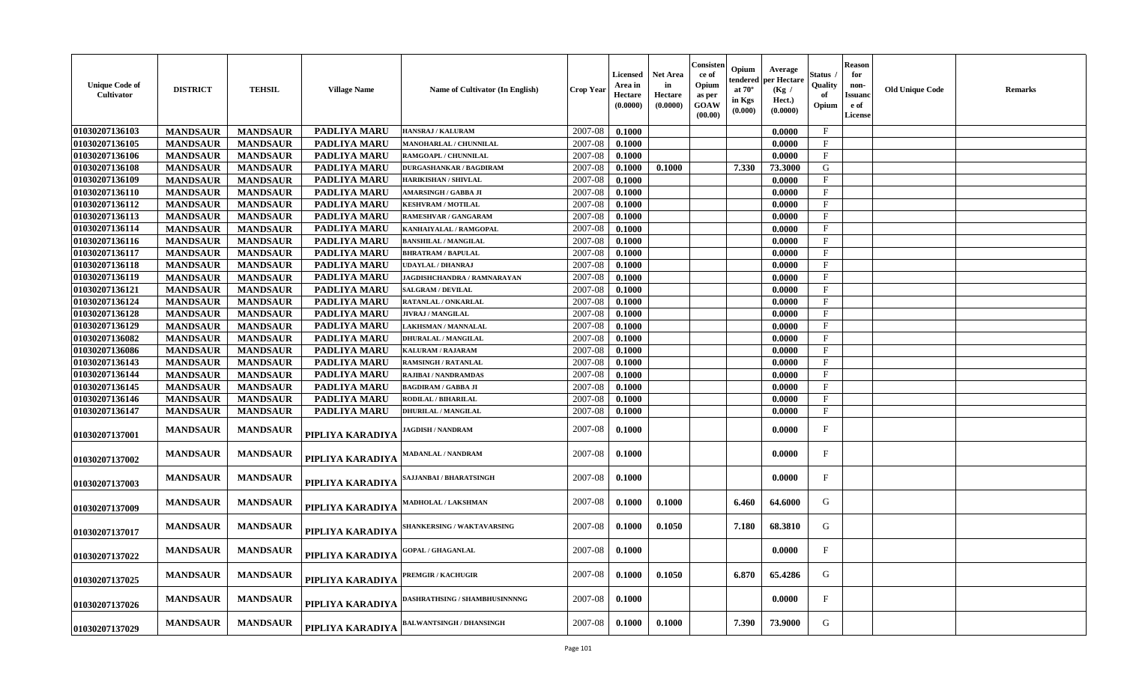| <b>Unique Code of</b><br>Cultivator | <b>DISTRICT</b> | <b>TEHSIL</b>   | <b>Village Name</b> | <b>Name of Cultivator (In English)</b> | <b>Crop Year</b> | Licensed<br>Area in<br>Hectare<br>(0.0000) | <b>Net Area</b><br>in<br>Hectare<br>(0.0000) | Consister<br>-ce of<br>Opium<br>as per<br><b>GOAW</b><br>(00.00) | Opium<br>Average<br>oer Hectare<br>endered<br>at $70^\circ$<br>(Kg /<br>in Kgs<br>Hect.)<br>(0.000)<br>(0.0000) | Status<br>Quality<br>of<br>Opium | <b>Reason</b><br>for<br>non-<br>Issuanc<br>e of<br>License | <b>Old Unique Code</b> | Remarks |
|-------------------------------------|-----------------|-----------------|---------------------|----------------------------------------|------------------|--------------------------------------------|----------------------------------------------|------------------------------------------------------------------|-----------------------------------------------------------------------------------------------------------------|----------------------------------|------------------------------------------------------------|------------------------|---------|
| 01030207136103                      | <b>MANDSAUR</b> | <b>MANDSAUR</b> | <b>PADLIYA MARU</b> | HANSRAJ / KALURAM                      | 2007-08          | 0.1000                                     |                                              |                                                                  | 0.0000                                                                                                          | $\mathbf{F}$                     |                                                            |                        |         |
| 01030207136105                      | <b>MANDSAUR</b> | <b>MANDSAUR</b> | PADLIYA MARU        | <b>MANOHARLAL / CHUNNILAL</b>          | 2007-08          | 0.1000                                     |                                              |                                                                  | 0.0000                                                                                                          | $\mathbf{F}$                     |                                                            |                        |         |
| 01030207136106                      | <b>MANDSAUR</b> | <b>MANDSAUR</b> | PADLIYA MARU        | RAMGOAPL / CHUNNILAL                   | 2007-08          | 0.1000                                     |                                              |                                                                  | 0.0000                                                                                                          | $_{\rm F}$                       |                                                            |                        |         |
| 01030207136108                      | <b>MANDSAUR</b> | <b>MANDSAUR</b> | PADLIYA MARU        | <b>DURGASHANKAR / BAGDIRAM</b>         | 2007-08          | 0.1000                                     | 0.1000                                       |                                                                  | 7.330<br>73.3000                                                                                                | G                                |                                                            |                        |         |
| 01030207136109                      | <b>MANDSAUR</b> | <b>MANDSAUR</b> | PADLIYA MARU        | <b>HARIKISHAN / SHIVLAL</b>            | 2007-08          | 0.1000                                     |                                              |                                                                  | 0.0000                                                                                                          | F                                |                                                            |                        |         |
| 01030207136110                      | <b>MANDSAUR</b> | <b>MANDSAUR</b> | PADLIYA MARU        | AMARSINGH / GABBA JI                   | 2007-08          | 0.1000                                     |                                              |                                                                  | 0.0000                                                                                                          | $\mathbf{F}$                     |                                                            |                        |         |
| 01030207136112                      | <b>MANDSAUR</b> | <b>MANDSAUR</b> | PADLIYA MARU        | <b>KESHVRAM / MOTILAL</b>              | 2007-08          | 0.1000                                     |                                              |                                                                  | 0.0000                                                                                                          | $\mathbf{F}$                     |                                                            |                        |         |
| 01030207136113                      | <b>MANDSAUR</b> | <b>MANDSAUR</b> | PADLIYA MARU        | RAMESHVAR / GANGARAM                   | 2007-08          | 0.1000                                     |                                              |                                                                  | 0.0000                                                                                                          | $_{\rm F}$                       |                                                            |                        |         |
| 01030207136114                      | <b>MANDSAUR</b> | <b>MANDSAUR</b> | PADLIYA MARU        | KANHAIYALAL / RAMGOPAL                 | 2007-08          | 0.1000                                     |                                              |                                                                  | 0.0000                                                                                                          | $\mathbf{F}$                     |                                                            |                        |         |
| 01030207136116                      | <b>MANDSAUR</b> | <b>MANDSAUR</b> | PADLIYA MARU        | <b>BANSHILAL / MANGILAL</b>            | 2007-08          | 0.1000                                     |                                              |                                                                  | 0.0000                                                                                                          | $\mathbf{F}$                     |                                                            |                        |         |
| 01030207136117                      | <b>MANDSAUR</b> | <b>MANDSAUR</b> | PADLIYA MARU        | <b>BHRATRAM / BAPULAL</b>              | 2007-08          | 0.1000                                     |                                              |                                                                  | 0.0000                                                                                                          | $\mathbf{F}$                     |                                                            |                        |         |
| 01030207136118                      | <b>MANDSAUR</b> | <b>MANDSAUR</b> | PADLIYA MARU        | UDAYLAL / DHANRAJ                      | 2007-08          | 0.1000                                     |                                              |                                                                  | 0.0000                                                                                                          | $_{\rm F}$                       |                                                            |                        |         |
| 01030207136119                      | <b>MANDSAUR</b> | <b>MANDSAUR</b> | <b>PADLIYA MARU</b> | <b>JAGDISHCHANDRA / RAMNARAYAN</b>     | 2007-08          | 0.1000                                     |                                              |                                                                  | 0.0000                                                                                                          | F                                |                                                            |                        |         |
| 01030207136121                      | <b>MANDSAUR</b> | <b>MANDSAUR</b> | <b>PADLIYA MARU</b> | <b>SALGRAM / DEVILAL</b>               | 2007-08          | 0.1000                                     |                                              |                                                                  | 0.0000                                                                                                          | $_{\rm F}$                       |                                                            |                        |         |
| 01030207136124                      | <b>MANDSAUR</b> | <b>MANDSAUR</b> | <b>PADLIYA MARU</b> | RATANLAL / ONKARLAL                    | 2007-08          | 0.1000                                     |                                              |                                                                  | 0.0000                                                                                                          | $\mathbf{F}$                     |                                                            |                        |         |
| 01030207136128                      | <b>MANDSAUR</b> | <b>MANDSAUR</b> | PADLIYA MARU        | <b>JIVRAJ / MANGILAL</b>               | 2007-08          | 0.1000                                     |                                              |                                                                  | 0.0000                                                                                                          | $_{\rm F}$                       |                                                            |                        |         |
| 01030207136129                      | <b>MANDSAUR</b> | <b>MANDSAUR</b> | PADLIYA MARU        | LAKHSMAN / MANNALAL                    | 2007-08          | 0.1000                                     |                                              |                                                                  | 0.0000                                                                                                          | $\mathbf{F}$                     |                                                            |                        |         |
| 01030207136082                      | <b>MANDSAUR</b> | <b>MANDSAUR</b> | PADLIYA MARU        | DHURALAL / MANGILAL                    | 2007-08          | 0.1000                                     |                                              |                                                                  | 0.0000                                                                                                          | $_{\rm F}$                       |                                                            |                        |         |
| 01030207136086                      | <b>MANDSAUR</b> | <b>MANDSAUR</b> | PADLIYA MARU        | <b>KALURAM / RAJARAM</b>               | 2007-08          | 0.1000                                     |                                              |                                                                  | 0.0000                                                                                                          | $\mathbf{F}$                     |                                                            |                        |         |
| 01030207136143                      | <b>MANDSAUR</b> | <b>MANDSAUR</b> | <b>PADLIYA MARU</b> | <b>RAMSINGH / RATANLAL</b>             | 2007-08          | 0.1000                                     |                                              |                                                                  | 0.0000                                                                                                          | $\mathbf{F}$                     |                                                            |                        |         |
| 01030207136144                      | <b>MANDSAUR</b> | <b>MANDSAUR</b> | <b>PADLIYA MARU</b> | <b>RAJIBAI / NANDRAMDAS</b>            | 2007-08          | 0.1000                                     |                                              |                                                                  | 0.0000                                                                                                          | F                                |                                                            |                        |         |
| 01030207136145                      | <b>MANDSAUR</b> | <b>MANDSAUR</b> | PADLIYA MARU        | <b>BAGDIRAM / GABBA JI</b>             | 2007-08          | 0.1000                                     |                                              |                                                                  | 0.0000                                                                                                          | $\mathbf{F}$                     |                                                            |                        |         |
| 01030207136146                      | <b>MANDSAUR</b> | <b>MANDSAUR</b> | PADLIYA MARU        | RODILAL / BIHARILAL                    | 2007-08          | 0.1000                                     |                                              |                                                                  | 0.0000                                                                                                          | $\mathbf{F}$                     |                                                            |                        |         |
| 01030207136147                      | <b>MANDSAUR</b> | <b>MANDSAUR</b> | <b>PADLIYA MARU</b> | <b>DHURILAL / MANGILAL</b>             | 2007-08          | 0.1000                                     |                                              |                                                                  | 0.0000                                                                                                          | $\mathbf{F}$                     |                                                            |                        |         |
| 01030207137001                      | <b>MANDSAUR</b> | <b>MANDSAUR</b> | PIPLIYA KARADIYA    | <b>IAGDISH / NANDRAM</b>               | 2007-08          | 0.1000                                     |                                              |                                                                  | 0.0000                                                                                                          | $_{\rm F}$                       |                                                            |                        |         |
| 01030207137002                      | <b>MANDSAUR</b> | <b>MANDSAUR</b> | PIPLIYA KARADIYA    | <b>MADANLAL / NANDRAM</b>              | 2007-08          | 0.1000                                     |                                              |                                                                  | 0.0000                                                                                                          | $\mathbf{F}$                     |                                                            |                        |         |
| 01030207137003                      | <b>MANDSAUR</b> | <b>MANDSAUR</b> | PIPLIYA KARADIYA    | SAJJANBAI / BHARATSINGH                | 2007-08          | 0.1000                                     |                                              |                                                                  | 0.0000                                                                                                          | $\mathbf{F}$                     |                                                            |                        |         |
| 01030207137009                      | <b>MANDSAUR</b> | <b>MANDSAUR</b> | PIPLIYA KARADIYA    | MADHOLAL / LAKSHMAN                    | 2007-08          | 0.1000                                     | 0.1000                                       |                                                                  | 64.6000<br>6.460                                                                                                | G                                |                                                            |                        |         |
| 01030207137017                      | <b>MANDSAUR</b> | <b>MANDSAUR</b> | PIPLIYA KARADIYA    | SHANKERSING / WAKTAVARSING             | 2007-08          | 0.1000                                     | 0.1050                                       |                                                                  | 7.180<br>68.3810                                                                                                | G                                |                                                            |                        |         |
| 01030207137022                      | <b>MANDSAUR</b> | <b>MANDSAUR</b> | PIPLIYA KARADIYA    | <b>GOPAL / GHAGANLAL</b>               | 2007-08          | 0.1000                                     |                                              |                                                                  | 0.0000                                                                                                          | $\mathbf{F}$                     |                                                            |                        |         |
| 01030207137025                      | <b>MANDSAUR</b> | <b>MANDSAUR</b> | PIPLIYA KARADIYA    | PREMGIR / KACHUGIR                     | 2007-08          | 0.1000                                     | 0.1050                                       |                                                                  | 65.4286<br>6.870                                                                                                | G                                |                                                            |                        |         |
| 01030207137026                      | <b>MANDSAUR</b> | <b>MANDSAUR</b> | PIPLIYA KARADIYA    | DASHRATHSING / SHAMBHUSINNNNG          | 2007-08          | 0.1000                                     |                                              |                                                                  | 0.0000                                                                                                          | F                                |                                                            |                        |         |
| 01030207137029                      | <b>MANDSAUR</b> | <b>MANDSAUR</b> | PIPLIYA KARADIYA    | <b>BALWANTSINGH / DHANSINGH</b>        | 2007-08          | 0.1000                                     | 0.1000                                       |                                                                  | 73.9000<br>7.390                                                                                                | G                                |                                                            |                        |         |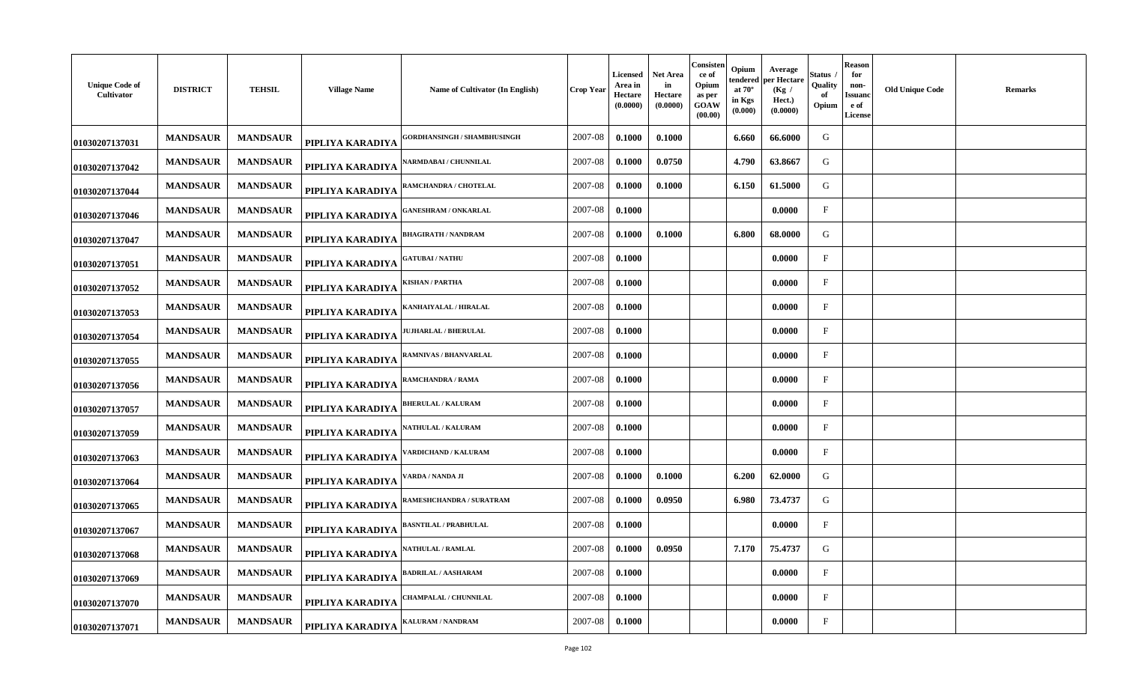| <b>Unique Code of</b><br>Cultivator | <b>DISTRICT</b> | <b>TEHSIL</b>   | <b>Village Name</b> | Name of Cultivator (In English)    | Crop Year | <b>Licensed</b><br>Area in<br>Hectare<br>(0.0000) | Net Area<br>in<br>Hectare<br>(0.0000) | Consisten<br>ce of<br>Opium<br>as per<br>GOAW<br>(00.00) | Opium<br>tendered<br>at $70^\circ$<br>in Kgs<br>(0.000) | Average<br>per Hectare<br>(Kg /<br>Hect.)<br>(0.0000) | Status<br>Quality<br>-of<br>Opium | Reason<br>for<br>non-<br>Issuand<br>e of<br>License | <b>Old Unique Code</b> | <b>Remarks</b> |
|-------------------------------------|-----------------|-----------------|---------------------|------------------------------------|-----------|---------------------------------------------------|---------------------------------------|----------------------------------------------------------|---------------------------------------------------------|-------------------------------------------------------|-----------------------------------|-----------------------------------------------------|------------------------|----------------|
| 01030207137031                      | <b>MANDSAUR</b> | <b>MANDSAUR</b> | PIPLIYA KARADIYA    | <b>GORDHANSINGH / SHAMBHUSINGH</b> | 2007-08   | 0.1000                                            | 0.1000                                |                                                          | 6.660                                                   | 66.6000                                               | G                                 |                                                     |                        |                |
| 01030207137042                      | <b>MANDSAUR</b> | <b>MANDSAUR</b> | PIPLIYA KARADIYA    | <b>\ARMDABAI / CHUNNILAL</b>       | 2007-08   | 0.1000                                            | 0.0750                                |                                                          | 4.790                                                   | 63.8667                                               | G                                 |                                                     |                        |                |
| 01030207137044                      | <b>MANDSAUR</b> | <b>MANDSAUR</b> | PIPLIYA KARADIYA    | RAMCHANDRA / CHOTELAL              | 2007-08   | 0.1000                                            | 0.1000                                |                                                          | 6.150                                                   | 61.5000                                               | G                                 |                                                     |                        |                |
| 01030207137046                      | <b>MANDSAUR</b> | <b>MANDSAUR</b> | PIPLIYA KARADIYA    | <b>ANESHRAM / ONKARLAL</b>         | 2007-08   | 0.1000                                            |                                       |                                                          |                                                         | 0.0000                                                | $\mathbf{F}$                      |                                                     |                        |                |
| 01030207137047                      | <b>MANDSAUR</b> | <b>MANDSAUR</b> | PIPLIYA KARADIYA    | <b>HAGIRATH / NANDRAM</b>          | 2007-08   | 0.1000                                            | 0.1000                                |                                                          | 6.800                                                   | 68.0000                                               | G                                 |                                                     |                        |                |
| 01030207137051                      | <b>MANDSAUR</b> | <b>MANDSAUR</b> | PIPLIYA KARADIYA    | <b>ATUBAI / NATHU</b>              | 2007-08   | 0.1000                                            |                                       |                                                          |                                                         | 0.0000                                                | $\mathbf{F}$                      |                                                     |                        |                |
| 01030207137052                      | <b>MANDSAUR</b> | <b>MANDSAUR</b> | PIPLIYA KARADIYA    | <b>ISHAN / PARTHA</b>              | 2007-08   | 0.1000                                            |                                       |                                                          |                                                         | 0.0000                                                | $\mathbf{F}$                      |                                                     |                        |                |
| 01030207137053                      | <b>MANDSAUR</b> | <b>MANDSAUR</b> | PIPLIYA KARADIYA    | KANHAIYALAL / HIRALAL              | 2007-08   | 0.1000                                            |                                       |                                                          |                                                         | 0.0000                                                | $\mathbf{F}$                      |                                                     |                        |                |
| 01030207137054                      | <b>MANDSAUR</b> | <b>MANDSAUR</b> | PIPLIYA KARADIYA    | <b>UJHARLAL / BHERULAL</b>         | 2007-08   | 0.1000                                            |                                       |                                                          |                                                         | 0.0000                                                | $\mathbf{F}$                      |                                                     |                        |                |
| 01030207137055                      | <b>MANDSAUR</b> | <b>MANDSAUR</b> | PIPLIYA KARADIYA    | RAMNIVAS / BHANVARLAL              | 2007-08   | 0.1000                                            |                                       |                                                          |                                                         | 0.0000                                                | $\mathbf{F}$                      |                                                     |                        |                |
| 01030207137056                      | <b>MANDSAUR</b> | <b>MANDSAUR</b> | PIPLIYA KARADIYA    | RAMCHANDRA / RAMA                  | 2007-08   | 0.1000                                            |                                       |                                                          |                                                         | 0.0000                                                | $_{\rm F}$                        |                                                     |                        |                |
| 01030207137057                      | <b>MANDSAUR</b> | <b>MANDSAUR</b> | PIPLIYA KARADIYA    | <b>BHERULAL / KALURAM</b>          | 2007-08   | 0.1000                                            |                                       |                                                          |                                                         | 0.0000                                                | $\mathbf{F}$                      |                                                     |                        |                |
| 01030207137059                      | <b>MANDSAUR</b> | <b>MANDSAUR</b> | PIPLIYA KARADIYA    | <b>NATHULAL / KALURAM</b>          | 2007-08   | 0.1000                                            |                                       |                                                          |                                                         | 0.0000                                                | $\mathbf{F}$                      |                                                     |                        |                |
| 01030207137063                      | <b>MANDSAUR</b> | <b>MANDSAUR</b> | PIPLIYA KARADIYA    | <b>ARDICHAND / KALURAM</b>         | 2007-08   | 0.1000                                            |                                       |                                                          |                                                         | 0.0000                                                | $\mathbf{F}$                      |                                                     |                        |                |
| 01030207137064                      | <b>MANDSAUR</b> | <b>MANDSAUR</b> | PIPLIYA KARADIYA    | <b>/ARDA / NANDA JI</b>            | 2007-08   | 0.1000                                            | 0.1000                                |                                                          | 6.200                                                   | 62.0000                                               | G                                 |                                                     |                        |                |
| 01030207137065                      | <b>MANDSAUR</b> | <b>MANDSAUR</b> | PIPLIYA KARADIYA    | <b>AMESHCHANDRA / SURATRAM</b>     | 2007-08   | 0.1000                                            | 0.0950                                |                                                          | 6.980                                                   | 73.4737                                               | G                                 |                                                     |                        |                |
| 01030207137067                      | <b>MANDSAUR</b> | <b>MANDSAUR</b> | PIPLIYA KARADIYA    | <b>BASNTILAL / PRABHULAL</b>       | 2007-08   | 0.1000                                            |                                       |                                                          |                                                         | 0.0000                                                | $\mathbf{F}$                      |                                                     |                        |                |
| 01030207137068                      | <b>MANDSAUR</b> | <b>MANDSAUR</b> | PIPLIYA KARADIYA    | <b>NATHULAL / RAMLAL</b>           | 2007-08   | 0.1000                                            | 0.0950                                |                                                          | 7.170                                                   | 75.4737                                               | G                                 |                                                     |                        |                |
| 01030207137069                      | <b>MANDSAUR</b> | <b>MANDSAUR</b> | PIPLIYA KARADIYA    | <b>BADRILAL / AASHARAM</b>         | 2007-08   | 0.1000                                            |                                       |                                                          |                                                         | 0.0000                                                | $\mathbf{F}$                      |                                                     |                        |                |
| 01030207137070                      | <b>MANDSAUR</b> | <b>MANDSAUR</b> | PIPLIYA KARADIYA    | 'HAMPALAL / CHUNNILAL              | 2007-08   | 0.1000                                            |                                       |                                                          |                                                         | 0.0000                                                | $\mathbf{F}$                      |                                                     |                        |                |
| 01030207137071                      | <b>MANDSAUR</b> | <b>MANDSAUR</b> | PIPLIYA KARADIYA    | <b>ALURAM / NANDRAM</b>            | 2007-08   | 0.1000                                            |                                       |                                                          |                                                         | 0.0000                                                | $_{\rm F}$                        |                                                     |                        |                |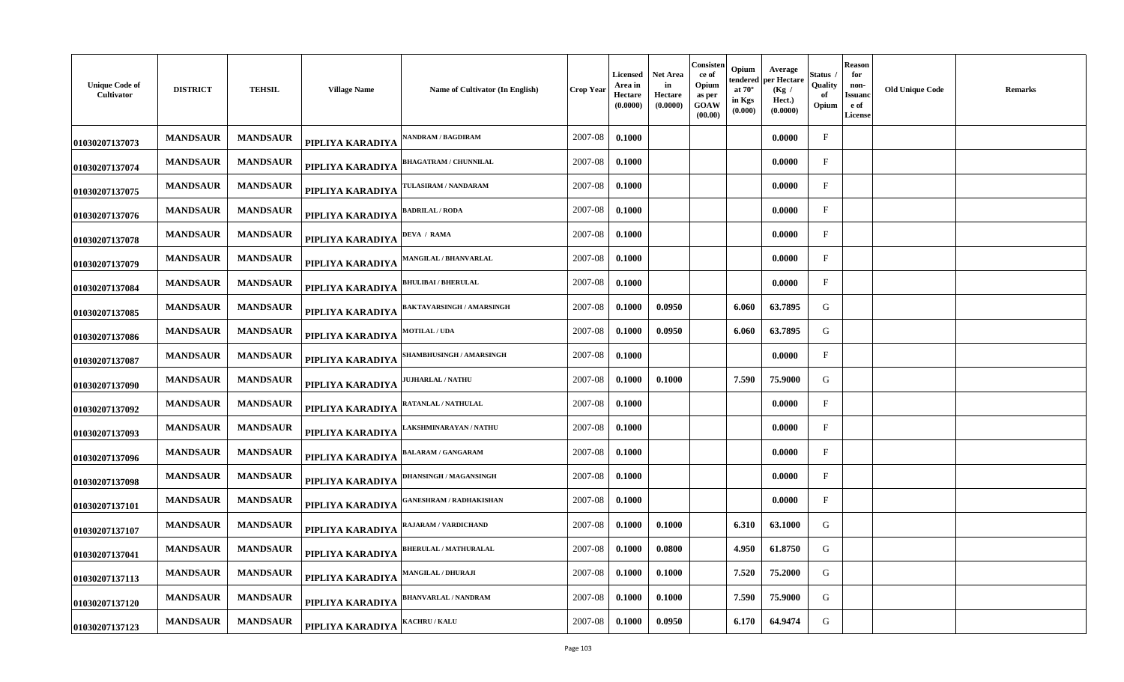| <b>Unique Code of</b><br>Cultivator | <b>DISTRICT</b> | <b>TEHSIL</b>   | <b>Village Name</b> | Name of Cultivator (In English)  | Crop Year   | <b>Licensed</b><br>Area in<br>Hectare<br>(0.0000) | Net Area<br>in<br>Hectare<br>(0.0000) | Consisten<br>ce of<br>Opium<br>as per<br>GOAW<br>(00.00) | Opium<br>tendered<br>at $70^\circ$<br>in Kgs<br>(0.000) | Average<br>per Hectare<br>(Kg)<br>Hect.)<br>(0.0000) | Status<br>Quality<br>-of<br>Opium | Reason<br>for<br>non-<br>Issuand<br>e of<br><b>License</b> | <b>Old Unique Code</b> | Remarks |
|-------------------------------------|-----------------|-----------------|---------------------|----------------------------------|-------------|---------------------------------------------------|---------------------------------------|----------------------------------------------------------|---------------------------------------------------------|------------------------------------------------------|-----------------------------------|------------------------------------------------------------|------------------------|---------|
| 01030207137073                      | <b>MANDSAUR</b> | <b>MANDSAUR</b> | PIPLIYA KARADIYA    | <b>ANDRAM / BAGDIRAM</b>         | 2007-08     | 0.1000                                            |                                       |                                                          |                                                         | 0.0000                                               | $\mathbf{F}$                      |                                                            |                        |         |
| 01030207137074                      | <b>MANDSAUR</b> | <b>MANDSAUR</b> | PIPLIYA KARADIYA    | <b>BHAGATRAM / CHUNNILAL</b>     | 2007-08     | 0.1000                                            |                                       |                                                          |                                                         | 0.0000                                               | $_{\rm F}$                        |                                                            |                        |         |
| 01030207137075                      | <b>MANDSAUR</b> | <b>MANDSAUR</b> | PIPLIYA KARADIYA    | <b>FULASIRAM / NANDARAM</b>      | 2007-08     | 0.1000                                            |                                       |                                                          |                                                         | 0.0000                                               | $\mathbf{F}$                      |                                                            |                        |         |
| 01030207137076                      | <b>MANDSAUR</b> | <b>MANDSAUR</b> | PIPLIYA KARADIYA    | <b>BADRILAL / RODA</b>           | 2007-08     | 0.1000                                            |                                       |                                                          |                                                         | 0.0000                                               | $\mathbf{F}$                      |                                                            |                        |         |
| 01030207137078                      | <b>MANDSAUR</b> | <b>MANDSAUR</b> | PIPLIYA KARADIYA    | <b>DEVA / RAMA</b>               | 2007-08     | 0.1000                                            |                                       |                                                          |                                                         | 0.0000                                               | $\mathbf F$                       |                                                            |                        |         |
| 01030207137079                      | <b>MANDSAUR</b> | <b>MANDSAUR</b> | PIPLIYA KARADIYA    | <b>MANGILAL / BHANVARLAL</b>     | 2007-08     | 0.1000                                            |                                       |                                                          |                                                         | 0.0000                                               | $\mathbf{F}$                      |                                                            |                        |         |
| 01030207137084                      | <b>MANDSAUR</b> | <b>MANDSAUR</b> | PIPLIYA KARADIYA    | <b>HULIBAI / BHERULAL</b>        | 2007-08     | 0.1000                                            |                                       |                                                          |                                                         | 0.0000                                               | $\mathbf{F}$                      |                                                            |                        |         |
| 01030207137085                      | <b>MANDSAUR</b> | <b>MANDSAUR</b> | PIPLIYA KARADIYA    | <b>BAKTAVARSINGH / AMARSINGH</b> | 2007-08     | 0.1000                                            | 0.0950                                |                                                          | 6.060                                                   | 63.7895                                              | G                                 |                                                            |                        |         |
| 01030207137086                      | <b>MANDSAUR</b> | <b>MANDSAUR</b> | PIPLIYA KARADIYA    | <b>MOTILAL / UDA</b>             | 2007-08     | 0.1000                                            | 0.0950                                |                                                          | 6.060                                                   | 63.7895                                              | G                                 |                                                            |                        |         |
| 01030207137087                      | <b>MANDSAUR</b> | <b>MANDSAUR</b> | PIPLIYA KARADIYA    | SHAMBHUSINGH / AMARSINGH         | $2007 - 08$ | 0.1000                                            |                                       |                                                          |                                                         | 0.0000                                               | $\mathbf{F}$                      |                                                            |                        |         |
| 01030207137090                      | <b>MANDSAUR</b> | <b>MANDSAUR</b> | PIPLIYA KARADIYA    | <b>JUHARLAL / NATHU</b>          | 2007-08     | 0.1000                                            | 0.1000                                |                                                          | 7.590                                                   | 75.9000                                              | G                                 |                                                            |                        |         |
| 01030207137092                      | <b>MANDSAUR</b> | <b>MANDSAUR</b> | PIPLIYA KARADIYA    | RATANLAL / NATHULAL              | 2007-08     | 0.1000                                            |                                       |                                                          |                                                         | 0.0000                                               | $\mathbf{F}$                      |                                                            |                        |         |
| 01030207137093                      | <b>MANDSAUR</b> | <b>MANDSAUR</b> | PIPLIYA KARADIYA    | AKSHMINARAYAN / NATHU            | 2007-08     | 0.1000                                            |                                       |                                                          |                                                         | 0.0000                                               | $\mathbf{F}$                      |                                                            |                        |         |
| 01030207137096                      | <b>MANDSAUR</b> | <b>MANDSAUR</b> | PIPLIYA KARADIYA    | ALARAM / GANGARAM                | 2007-08     | 0.1000                                            |                                       |                                                          |                                                         | 0.0000                                               | $\mathbf{F}$                      |                                                            |                        |         |
| 01030207137098                      | <b>MANDSAUR</b> | <b>MANDSAUR</b> | PIPLIYA KARADIYA    | <b>DHANSINGH / MAGANSINGH</b>    | 2007-08     | 0.1000                                            |                                       |                                                          |                                                         | 0.0000                                               | $\mathbf{F}$                      |                                                            |                        |         |
| 01030207137101                      | <b>MANDSAUR</b> | <b>MANDSAUR</b> | PIPLIYA KARADIYA    | ANESHRAM / RADHAKISHAN           | 2007-08     | 0.1000                                            |                                       |                                                          |                                                         | 0.0000                                               | $\mathbf F$                       |                                                            |                        |         |
| 01030207137107                      | <b>MANDSAUR</b> | <b>MANDSAUR</b> | PIPLIYA KARADIYA    | RAJARAM / VARDICHAND             | 2007-08     | 0.1000                                            | 0.1000                                |                                                          | 6.310                                                   | 63.1000                                              | G                                 |                                                            |                        |         |
| 01030207137041                      | <b>MANDSAUR</b> | <b>MANDSAUR</b> | PIPLIYA KARADIYA    | <b>BHERULAL / MATHURALAL</b>     | 2007-08     | 0.1000                                            | 0.0800                                |                                                          | 4.950                                                   | 61.8750                                              | G                                 |                                                            |                        |         |
| 01030207137113                      | <b>MANDSAUR</b> | <b>MANDSAUR</b> | PIPLIYA KARADIYA    | <b>MANGILAL / DHURAJI</b>        | 2007-08     | 0.1000                                            | 0.1000                                |                                                          | 7.520                                                   | 75.2000                                              | G                                 |                                                            |                        |         |
| 01030207137120                      | <b>MANDSAUR</b> | <b>MANDSAUR</b> | PIPLIYA KARADIYA    | BHANVARLAL / NANDRAM             | 2007-08     | 0.1000                                            | 0.1000                                |                                                          | 7.590                                                   | 75.9000                                              | G                                 |                                                            |                        |         |
| 01030207137123                      | <b>MANDSAUR</b> | <b>MANDSAUR</b> | PIPLIYA KARADIYA    | <b>KACHRU / KALU</b>             | 2007-08     | 0.1000                                            | 0.0950                                |                                                          | 6.170                                                   | 64.9474                                              | G                                 |                                                            |                        |         |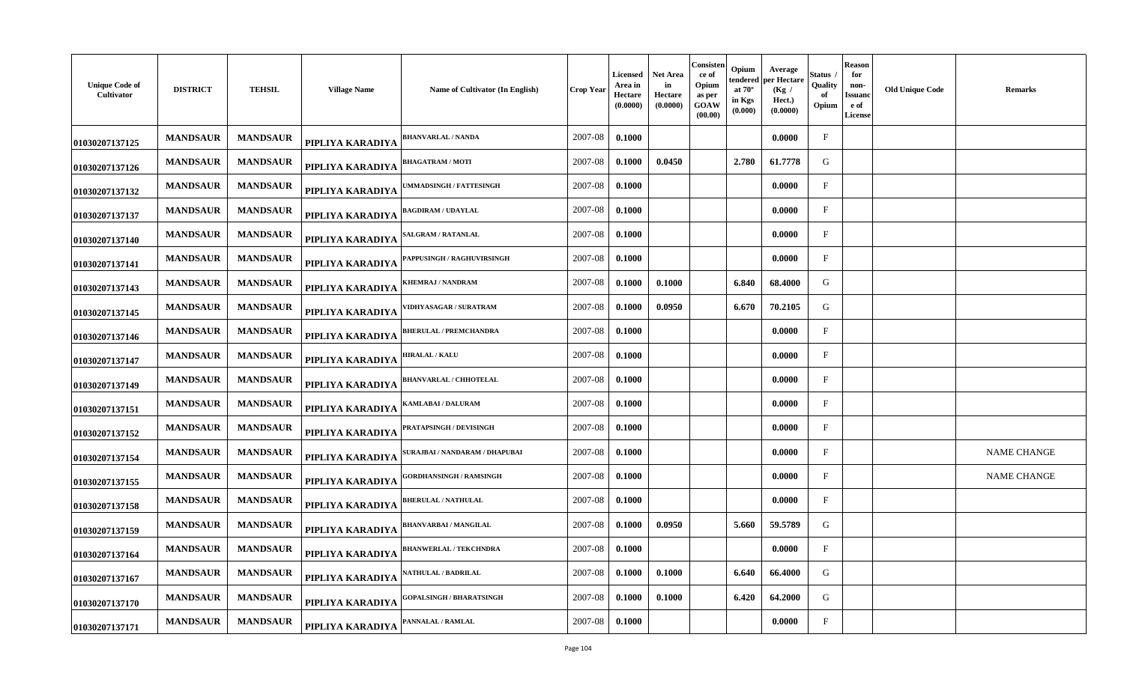| <b>Unique Code of</b><br>Cultivator | <b>DISTRICT</b> | <b>TEHSIL</b>   | <b>Village Name</b> | Name of Cultivator (In English)       | Crop Year | <b>Licensed</b><br>Area in<br>Hectare<br>(0.0000) | Net Area<br>in<br>Hectare<br>(0.0000) | Consisten<br>ce of<br>Opium<br>as per<br>GOAW<br>(00.00) | Opium<br>tendered<br>at $70^\circ$<br>in Kgs<br>(0.000) | Average<br>per Hectare<br>(Kg /<br>Hect.)<br>(0.0000) | Status<br>Quality<br>-of<br>Opium | Reason<br>for<br>non-<br>Issuand<br>e of<br>License | <b>Old Unique Code</b> | <b>Remarks</b>     |
|-------------------------------------|-----------------|-----------------|---------------------|---------------------------------------|-----------|---------------------------------------------------|---------------------------------------|----------------------------------------------------------|---------------------------------------------------------|-------------------------------------------------------|-----------------------------------|-----------------------------------------------------|------------------------|--------------------|
| 01030207137125                      | <b>MANDSAUR</b> | <b>MANDSAUR</b> | PIPLIYA KARADIYA    | <b>BHANVARLAL / NANDA</b>             | 2007-08   | 0.1000                                            |                                       |                                                          |                                                         | 0.0000                                                | $\mathbf{F}$                      |                                                     |                        |                    |
| 01030207137126                      | <b>MANDSAUR</b> | <b>MANDSAUR</b> | PIPLIYA KARADIYA    | <b>BHAGATRAM / MOTI</b>               | 2007-08   | 0.1000                                            | 0.0450                                |                                                          | 2.780                                                   | 61.7778                                               | G                                 |                                                     |                        |                    |
| 01030207137132                      | <b>MANDSAUR</b> | <b>MANDSAUR</b> | PIPLIYA KARADIYA    | <b>MMADSINGH / FATTESINGH</b>         | 2007-08   | 0.1000                                            |                                       |                                                          |                                                         | 0.0000                                                | $\mathbf{F}$                      |                                                     |                        |                    |
| 01030207137137                      | <b>MANDSAUR</b> | <b>MANDSAUR</b> | PIPLIYA KARADIYA    | <b>BAGDIRAM / UDAYLAL</b>             | 2007-08   | 0.1000                                            |                                       |                                                          |                                                         | 0.0000                                                | $\mathbf{F}$                      |                                                     |                        |                    |
| 01030207137140                      | <b>MANDSAUR</b> | <b>MANDSAUR</b> | PIPLIYA KARADIYA    | <b>ALGRAM / RATANLAL</b>              | 2007-08   | 0.1000                                            |                                       |                                                          |                                                         | 0.0000                                                | $\mathbf F$                       |                                                     |                        |                    |
| 01030207137141                      | <b>MANDSAUR</b> | <b>MANDSAUR</b> | PIPLIYA KARADIYA    | <b>APPUSINGH / RAGHUVIRSINGH</b>      | 2007-08   | 0.1000                                            |                                       |                                                          |                                                         | 0.0000                                                | $\mathbf{F}$                      |                                                     |                        |                    |
| 01030207137143                      | <b>MANDSAUR</b> | <b>MANDSAUR</b> | PIPLIYA KARADIYA    | <b>HEMRAJ / NANDRAM</b>               | 2007-08   | 0.1000                                            | 0.1000                                |                                                          | 6.840                                                   | 68.4000                                               | G                                 |                                                     |                        |                    |
| 01030207137145                      | <b>MANDSAUR</b> | <b>MANDSAUR</b> | PIPLIYA KARADIYA    | /IDHYASAGAR / SURATRAM                | 2007-08   | 0.1000                                            | 0.0950                                |                                                          | 6.670                                                   | 70.2105                                               | G                                 |                                                     |                        |                    |
| 01030207137146                      | <b>MANDSAUR</b> | <b>MANDSAUR</b> | PIPLIYA KARADIYA    | <b>BHERULAL / PREMCHANDRA</b>         | 2007-08   | 0.1000                                            |                                       |                                                          |                                                         | 0.0000                                                | $\mathbf{F}$                      |                                                     |                        |                    |
| 01030207137147                      | <b>MANDSAUR</b> | <b>MANDSAUR</b> | PIPLIYA KARADIYA    | <b>HIRALAL / KALU</b>                 | 2007-08   | 0.1000                                            |                                       |                                                          |                                                         | 0.0000                                                | $\mathbf{F}$                      |                                                     |                        |                    |
| 01030207137149                      | <b>MANDSAUR</b> | <b>MANDSAUR</b> | PIPLIYA KARADIYA    | <b>BHANVARLAL / CHHOTELAL</b>         | 2007-08   | 0.1000                                            |                                       |                                                          |                                                         | 0.0000                                                | $_{\rm F}$                        |                                                     |                        |                    |
| 01030207137151                      | <b>MANDSAUR</b> | <b>MANDSAUR</b> | PIPLIYA KARADIYA    | <b>(AMLABAI / DALURAM</b>             | 2007-08   | 0.1000                                            |                                       |                                                          |                                                         | 0.0000                                                | $\mathbf{F}$                      |                                                     |                        |                    |
| 01030207137152                      | <b>MANDSAUR</b> | <b>MANDSAUR</b> | PIPLIYA KARADIYA    | PRATAPSINGH / DEVISINGH               | 2007-08   | 0.1000                                            |                                       |                                                          |                                                         | 0.0000                                                | $\mathbf{F}$                      |                                                     |                        |                    |
| 01030207137154                      | <b>MANDSAUR</b> | <b>MANDSAUR</b> | PIPLIYA KARADIYA    | <b>;URAJBAI / NANDARAM / DHAPUBAI</b> | 2007-08   | 0.1000                                            |                                       |                                                          |                                                         | 0.0000                                                | $\mathbf{F}$                      |                                                     |                        | <b>NAME CHANGE</b> |
| 01030207137155                      | <b>MANDSAUR</b> | <b>MANDSAUR</b> | PIPLIYA KARADIYA    | <b>GORDHANSINGH / RAMSINGH</b>        | 2007-08   | 0.1000                                            |                                       |                                                          |                                                         | 0.0000                                                | $\mathbf{F}$                      |                                                     |                        | <b>NAME CHANGE</b> |
| 01030207137158                      | <b>MANDSAUR</b> | <b>MANDSAUR</b> | PIPLIYA KARADIYA    | <b>BHERULAL / NATHULAL</b>            | 2007-08   | 0.1000                                            |                                       |                                                          |                                                         | 0.0000                                                | $\mathbf F$                       |                                                     |                        |                    |
| 01030207137159                      | <b>MANDSAUR</b> | <b>MANDSAUR</b> | PIPLIYA KARADIYA    | <b>BHANVARBAI/MANGILAL</b>            | 2007-08   | 0.1000                                            | 0.0950                                |                                                          | 5.660                                                   | 59.5789                                               | G                                 |                                                     |                        |                    |
| 01030207137164                      | <b>MANDSAUR</b> | <b>MANDSAUR</b> | PIPLIYA KARADIYA    | <b>BHANWERLAL / TEKCHNDRA</b>         | 2007-08   | 0.1000                                            |                                       |                                                          |                                                         | 0.0000                                                | $\mathbf{F}$                      |                                                     |                        |                    |
| 01030207137167                      | <b>MANDSAUR</b> | <b>MANDSAUR</b> | PIPLIYA KARADIYA    | ATHULAL / BADRILAL                    | 2007-08   | 0.1000                                            | 0.1000                                |                                                          | 6.640                                                   | 66.4000                                               | G                                 |                                                     |                        |                    |
| 01030207137170                      | <b>MANDSAUR</b> | <b>MANDSAUR</b> | PIPLIYA KARADIYA    | <b>GOPALSINGH / BHARATSINGH</b>       | 2007-08   | 0.1000                                            | 0.1000                                |                                                          | 6.420                                                   | 64.2000                                               | G                                 |                                                     |                        |                    |
| 01030207137171                      | <b>MANDSAUR</b> | <b>MANDSAUR</b> | PIPLIYA KARADIYA    | 'ANNALAL / RAMLAL                     | 2007-08   | 0.1000                                            |                                       |                                                          |                                                         | 0.0000                                                | $_{\rm F}$                        |                                                     |                        |                    |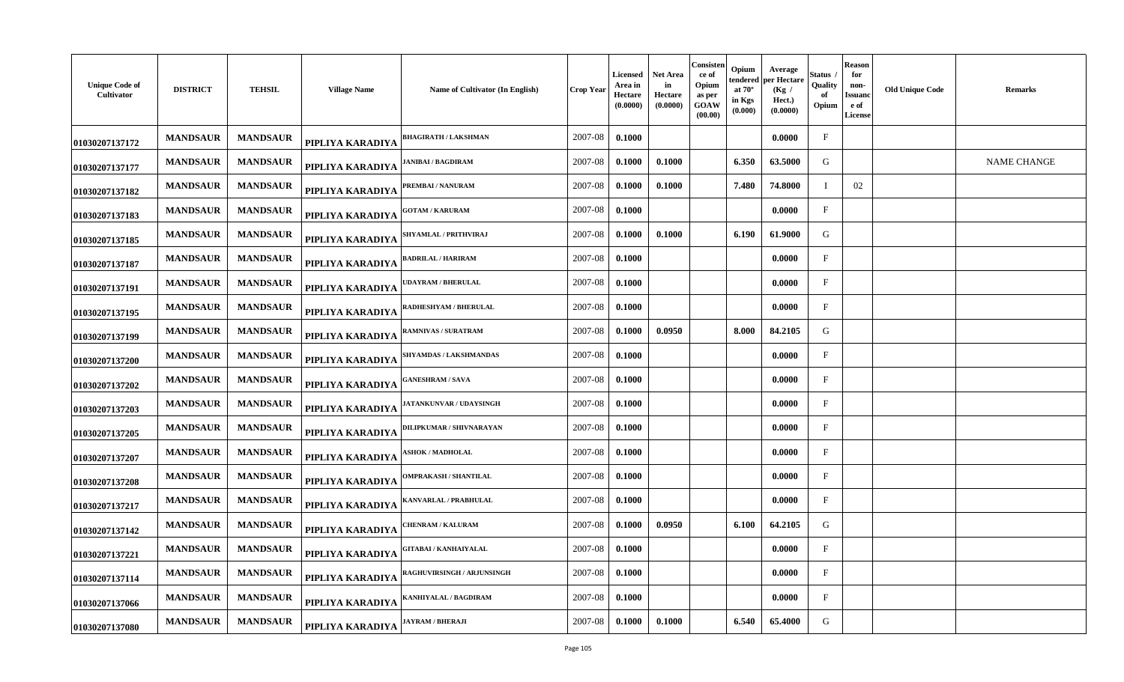| <b>Unique Code of</b><br>Cultivator | <b>DISTRICT</b> | <b>TEHSIL</b>   | <b>Village Name</b> | Name of Cultivator (In English)   | <b>Crop Year</b> | Licensed<br>Area in<br><b>Hectare</b><br>(0.0000) | <b>Net Area</b><br>in<br>Hectare<br>(0.0000) | Consisten<br>ce of<br>Opium<br>as per<br>GOAW<br>(00.00) | Opium<br>endered<br>at $70^\circ$<br>in Kgs<br>(0.000) | Average<br>per Hectare<br>(Kg /<br>Hect.)<br>(0.0000) | Status<br>Quality<br>of<br>Opium | Reason<br>for<br>non-<br><b>Issuanc</b><br>e of<br><b>License</b> | <b>Old Unique Code</b><br><b>Remarks</b> |
|-------------------------------------|-----------------|-----------------|---------------------|-----------------------------------|------------------|---------------------------------------------------|----------------------------------------------|----------------------------------------------------------|--------------------------------------------------------|-------------------------------------------------------|----------------------------------|-------------------------------------------------------------------|------------------------------------------|
| 01030207137172                      | <b>MANDSAUR</b> | <b>MANDSAUR</b> | PIPLIYA KARADIYA    | <b>BHAGIRATH / LAKSHMAN</b>       | 2007-08          | 0.1000                                            |                                              |                                                          |                                                        | 0.0000                                                | $\rm F$                          |                                                                   |                                          |
| 01030207137177                      | <b>MANDSAUR</b> | <b>MANDSAUR</b> | PIPLIYA KARADIYA    | <b>JANIBAI / BAGDIRAM</b>         | 2007-08          | 0.1000                                            | 0.1000                                       |                                                          | 6.350                                                  | 63.5000                                               | G                                |                                                                   | <b>NAME CHANGE</b>                       |
| 01030207137182                      | <b>MANDSAUR</b> | <b>MANDSAUR</b> | PIPLIYA KARADIYA    | PREMBAI / NANURAM                 | 2007-08          | 0.1000                                            | 0.1000                                       |                                                          | 7.480                                                  | 74.8000                                               | T                                | 02                                                                |                                          |
| 01030207137183                      | <b>MANDSAUR</b> | <b>MANDSAUR</b> | PIPLIYA KARADIYA    | <b>GOTAM / KARURAM</b>            | 2007-08          | 0.1000                                            |                                              |                                                          |                                                        | 0.0000                                                | $_{\rm F}$                       |                                                                   |                                          |
| 01030207137185                      | <b>MANDSAUR</b> | <b>MANDSAUR</b> | PIPLIYA KARADIYA    | SHYAMLAL / PRITHVIRAJ             | 2007-08          | 0.1000                                            | 0.1000                                       |                                                          | 6.190                                                  | 61.9000                                               | G                                |                                                                   |                                          |
| 01030207137187                      | <b>MANDSAUR</b> | <b>MANDSAUR</b> | PIPLIYA KARADIYA    | <b>BADRILAL / HARIRAM</b>         | 2007-08          | 0.1000                                            |                                              |                                                          |                                                        | 0.0000                                                | $\mathbf{F}$                     |                                                                   |                                          |
| 01030207137191                      | <b>MANDSAUR</b> | <b>MANDSAUR</b> | PIPLIYA KARADIYA    | <b>UDAYRAM / BHERULAL</b>         | 2007-08          | 0.1000                                            |                                              |                                                          |                                                        | 0.0000                                                | $\mathbf{F}$                     |                                                                   |                                          |
| 01030207137195                      | <b>MANDSAUR</b> | <b>MANDSAUR</b> | PIPLIYA KARADIYA    | <b>RADHESHYAM / BHERULAL</b>      | 2007-08          | 0.1000                                            |                                              |                                                          |                                                        | 0.0000                                                | $\mathbf F$                      |                                                                   |                                          |
| 01030207137199                      | <b>MANDSAUR</b> | <b>MANDSAUR</b> | PIPLIYA KARADIYA    | RAMNIVAS / SURATRAM               | 2007-08          | 0.1000                                            | 0.0950                                       |                                                          | 8.000                                                  | 84.2105                                               | G                                |                                                                   |                                          |
| 01030207137200                      | <b>MANDSAUR</b> | <b>MANDSAUR</b> | PIPLIYA KARADIYA    | SHYAMDAS / LAKSHMANDAS            | 2007-08          | 0.1000                                            |                                              |                                                          |                                                        | 0.0000                                                | $\mathbf{F}$                     |                                                                   |                                          |
| 01030207137202                      | <b>MANDSAUR</b> | <b>MANDSAUR</b> | PIPLIYA KARADIYA    | <b>GANESHRAM / SAVA</b>           | 2007-08          | 0.1000                                            |                                              |                                                          |                                                        | 0.0000                                                | $\rm F$                          |                                                                   |                                          |
| 01030207137203                      | <b>MANDSAUR</b> | <b>MANDSAUR</b> | PIPLIYA KARADIYA    | <b>JATANKUNVAR / UDAYSINGH</b>    | 2007-08          | 0.1000                                            |                                              |                                                          |                                                        | 0.0000                                                | $_{\rm F}$                       |                                                                   |                                          |
| 01030207137205                      | <b>MANDSAUR</b> | <b>MANDSAUR</b> | PIPLIYA KARADIYA    | DILIPKUMAR / SHIVNARAYAN          | 2007-08          | 0.1000                                            |                                              |                                                          |                                                        | 0.0000                                                | $_{\rm F}$                       |                                                                   |                                          |
| 01030207137207                      | <b>MANDSAUR</b> | <b>MANDSAUR</b> | PIPLIYA KARADIYA    | <b>SHOK / MADHOLAL</b>            | 2007-08          | 0.1000                                            |                                              |                                                          |                                                        | 0.0000                                                | $\mathbf{F}$                     |                                                                   |                                          |
| 01030207137208                      | <b>MANDSAUR</b> | <b>MANDSAUR</b> | PIPLIYA KARADIYA    | <b>OMPRAKASH / SHANTILAL</b>      | 2007-08          | 0.1000                                            |                                              |                                                          |                                                        | 0.0000                                                | $\mathbf{F}$                     |                                                                   |                                          |
| 01030207137217                      | <b>MANDSAUR</b> | <b>MANDSAUR</b> | PIPLIYA KARADIYA    | KANVARLAL / PRABHULAL             | 2007-08          | 0.1000                                            |                                              |                                                          |                                                        | 0.0000                                                | $\mathbf{F}$                     |                                                                   |                                          |
| 01030207137142                      | <b>MANDSAUR</b> | <b>MANDSAUR</b> | PIPLIYA KARADIYA    | <b>CHENRAM / KALURAM</b>          | 2007-08          | 0.1000                                            | 0.0950                                       |                                                          | 6.100                                                  | 64.2105                                               | G                                |                                                                   |                                          |
| 01030207137221                      | <b>MANDSAUR</b> | <b>MANDSAUR</b> | PIPLIYA KARADIYA    | GITABAI / KANHAIYALAL             | 2007-08          | 0.1000                                            |                                              |                                                          |                                                        | 0.0000                                                | $\mathbf{F}$                     |                                                                   |                                          |
| 01030207137114                      | <b>MANDSAUR</b> | <b>MANDSAUR</b> | PIPLIYA KARADIYA    | <b>RAGHUVIRSINGH / ARJUNSINGH</b> | 2007-08          | 0.1000                                            |                                              |                                                          |                                                        | 0.0000                                                | $_{\rm F}$                       |                                                                   |                                          |
| 01030207137066                      | <b>MANDSAUR</b> | <b>MANDSAUR</b> | PIPLIYA KARADIYA    | KANHIYALAL / BAGDIRAM             | 2007-08          | 0.1000                                            |                                              |                                                          |                                                        | 0.0000                                                | $_{\rm F}$                       |                                                                   |                                          |
| 01030207137080                      | <b>MANDSAUR</b> | <b>MANDSAUR</b> | PIPLIYA KARADIYA    | JAYRAM / BHERAJI                  | 2007-08          | 0.1000                                            | 0.1000                                       |                                                          | 6.540                                                  | 65.4000                                               | G                                |                                                                   |                                          |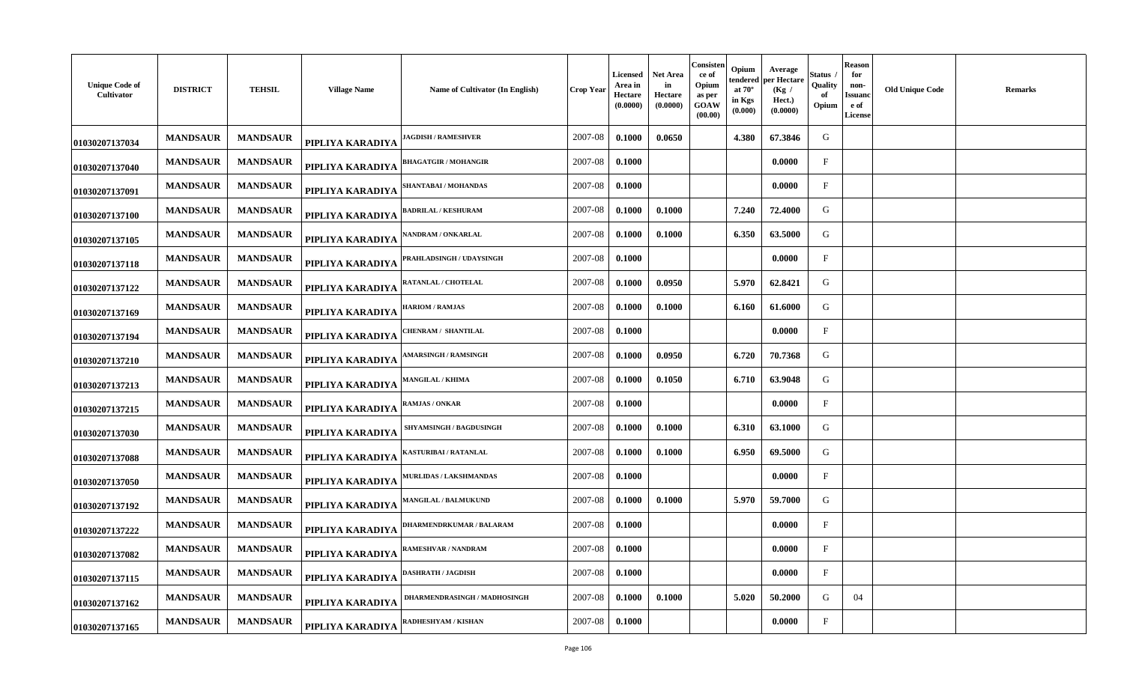| <b>Unique Code of</b><br>Cultivator | <b>DISTRICT</b> | <b>TEHSIL</b>   | <b>Village Name</b> | Name of Cultivator (In English) | Crop Year | <b>Licensed</b><br>Area in<br><b>Hectare</b><br>(0.0000) | Net Area<br>in<br>Hectare<br>(0.0000) | Consisten<br>ce of<br>Opium<br>as per<br>GOAW<br>(00.00) | Opium<br>tendered<br>at $70^\circ$<br>in Kgs<br>(0.000) | Average<br>per Hectare<br>(Kg /<br>Hect.)<br>(0.0000) | Status<br>Quality<br>-of<br>Opium | <b>Reason</b><br>for<br>non-<br>Issuand<br>e of<br><b>License</b> | <b>Old Unique Code</b> | <b>Remarks</b> |
|-------------------------------------|-----------------|-----------------|---------------------|---------------------------------|-----------|----------------------------------------------------------|---------------------------------------|----------------------------------------------------------|---------------------------------------------------------|-------------------------------------------------------|-----------------------------------|-------------------------------------------------------------------|------------------------|----------------|
| 01030207137034                      | <b>MANDSAUR</b> | <b>MANDSAUR</b> | PIPLIYA KARADIYA    | <b>AGDISH / RAMESHVER</b>       | 2007-08   | 0.1000                                                   | 0.0650                                |                                                          | 4.380                                                   | 67.3846                                               | G                                 |                                                                   |                        |                |
| 01030207137040                      | <b>MANDSAUR</b> | <b>MANDSAUR</b> | PIPLIYA KARADIYA    | <b>BHAGATGIR / MOHANGIR</b>     | 2007-08   | 0.1000                                                   |                                       |                                                          |                                                         | 0.0000                                                | $_{\rm F}$                        |                                                                   |                        |                |
| 01030207137091                      | <b>MANDSAUR</b> | <b>MANDSAUR</b> | PIPLIYA KARADIYA    | SHANTABAI / MOHANDAS            | 2007-08   | 0.1000                                                   |                                       |                                                          |                                                         | 0.0000                                                | $\mathbf{F}$                      |                                                                   |                        |                |
| 01030207137100                      | <b>MANDSAUR</b> | <b>MANDSAUR</b> | PIPLIYA KARADIYA    | <b>BADRILAL / KESHURAM</b>      | 2007-08   | 0.1000                                                   | 0.1000                                |                                                          | 7.240                                                   | 72.4000                                               | G                                 |                                                                   |                        |                |
| 01030207137105                      | <b>MANDSAUR</b> | <b>MANDSAUR</b> | PIPLIYA KARADIYA    | ANDRAM / ONKARLAL               | 2007-08   | 0.1000                                                   | 0.1000                                |                                                          | 6.350                                                   | 63.5000                                               | G                                 |                                                                   |                        |                |
| 01030207137118                      | <b>MANDSAUR</b> | <b>MANDSAUR</b> | PIPLIYA KARADIYA    | PRAHLADSINGH / UDAYSINGH        | 2007-08   | 0.1000                                                   |                                       |                                                          |                                                         | 0.0000                                                | $\mathbf{F}$                      |                                                                   |                        |                |
| 01030207137122                      | <b>MANDSAUR</b> | <b>MANDSAUR</b> | PIPLIYA KARADIYA    | RATANLAL / CHOTELAL             | 2007-08   | 0.1000                                                   | 0.0950                                |                                                          | 5.970                                                   | 62.8421                                               | G                                 |                                                                   |                        |                |
| 01030207137169                      | <b>MANDSAUR</b> | <b>MANDSAUR</b> | PIPLIYA KARADIYA    | HARIOM / RAMJAS                 | 2007-08   | 0.1000                                                   | 0.1000                                |                                                          | 6.160                                                   | 61.6000                                               | G                                 |                                                                   |                        |                |
| 01030207137194                      | <b>MANDSAUR</b> | <b>MANDSAUR</b> | PIPLIYA KARADIYA    | 'HENRAM / SHANTILAL             | 2007-08   | 0.1000                                                   |                                       |                                                          |                                                         | 0.0000                                                | $\mathbf{F}$                      |                                                                   |                        |                |
| 01030207137210                      | <b>MANDSAUR</b> | <b>MANDSAUR</b> | PIPLIYA KARADIYA    | <b>AMARSINGH / RAMSINGH</b>     | 2007-08   | 0.1000                                                   | 0.0950                                |                                                          | 6.720                                                   | 70.7368                                               | G                                 |                                                                   |                        |                |
| 01030207137213                      | <b>MANDSAUR</b> | <b>MANDSAUR</b> | PIPLIYA KARADIYA    | <b>MANGILAL / KHIMA</b>         | 2007-08   | 0.1000                                                   | 0.1050                                |                                                          | 6.710                                                   | 63.9048                                               | G                                 |                                                                   |                        |                |
| 01030207137215                      | <b>MANDSAUR</b> | <b>MANDSAUR</b> | PIPLIYA KARADIYA    | <b>RAMJAS / ONKAR</b>           | 2007-08   | 0.1000                                                   |                                       |                                                          |                                                         | 0.0000                                                | $\mathbf{F}$                      |                                                                   |                        |                |
| 01030207137030                      | <b>MANDSAUR</b> | <b>MANDSAUR</b> | PIPLIYA KARADIYA    | <b>SHYAMSINGH / BAGDUSINGH</b>  | 2007-08   | 0.1000                                                   | 0.1000                                |                                                          | 6.310                                                   | 63.1000                                               | G                                 |                                                                   |                        |                |
| 01030207137088                      | <b>MANDSAUR</b> | <b>MANDSAUR</b> | PIPLIYA KARADIYA    | ASTURIBAI / RATANLAL            | 2007-08   | 0.1000                                                   | 0.1000                                |                                                          | 6.950                                                   | 69.5000                                               | G                                 |                                                                   |                        |                |
| 01030207137050                      | <b>MANDSAUR</b> | <b>MANDSAUR</b> | PIPLIYA KARADIYA    | <b>MURLIDAS / LAKSHMANDAS</b>   | 2007-08   | 0.1000                                                   |                                       |                                                          |                                                         | 0.0000                                                | $\mathbf{F}$                      |                                                                   |                        |                |
| 01030207137192                      | <b>MANDSAUR</b> | <b>MANDSAUR</b> | PIPLIYA KARADIYA    | <b>MANGILAL / BALMUKUND</b>     | 2007-08   | 0.1000                                                   | 0.1000                                |                                                          | 5.970                                                   | 59.7000                                               | G                                 |                                                                   |                        |                |
| 01030207137222                      | <b>MANDSAUR</b> | <b>MANDSAUR</b> | PIPLIYA KARADIYA    | <b>DHARMENDRKUMAR / BALARAM</b> | 2007-08   | 0.1000                                                   |                                       |                                                          |                                                         | 0.0000                                                | $\mathbf{F}$                      |                                                                   |                        |                |
| 01030207137082                      | <b>MANDSAUR</b> | <b>MANDSAUR</b> | PIPLIYA KARADIYA    | RAMESHVAR / NANDRAM             | 2007-08   | 0.1000                                                   |                                       |                                                          |                                                         | 0.0000                                                | $\mathbf{F}$                      |                                                                   |                        |                |
| 01030207137115                      | <b>MANDSAUR</b> | <b>MANDSAUR</b> | PIPLIYA KARADIYA    | <b>DASHRATH / JAGDISH</b>       | 2007-08   | 0.1000                                                   |                                       |                                                          |                                                         | 0.0000                                                | $\mathbf{F}$                      |                                                                   |                        |                |
| 01030207137162                      | <b>MANDSAUR</b> | <b>MANDSAUR</b> | PIPLIYA KARADIYA    | DHARMENDRASINGH / MADHOSINGH    | 2007-08   | 0.1000                                                   | 0.1000                                |                                                          | 5.020                                                   | 50.2000                                               | G                                 | 04                                                                |                        |                |
| 01030207137165                      | <b>MANDSAUR</b> | <b>MANDSAUR</b> | PIPLIYA KARADIYA    | RADHESHYAM / KISHAN             | 2007-08   | 0.1000                                                   |                                       |                                                          |                                                         | 0.0000                                                | $_{\rm F}$                        |                                                                   |                        |                |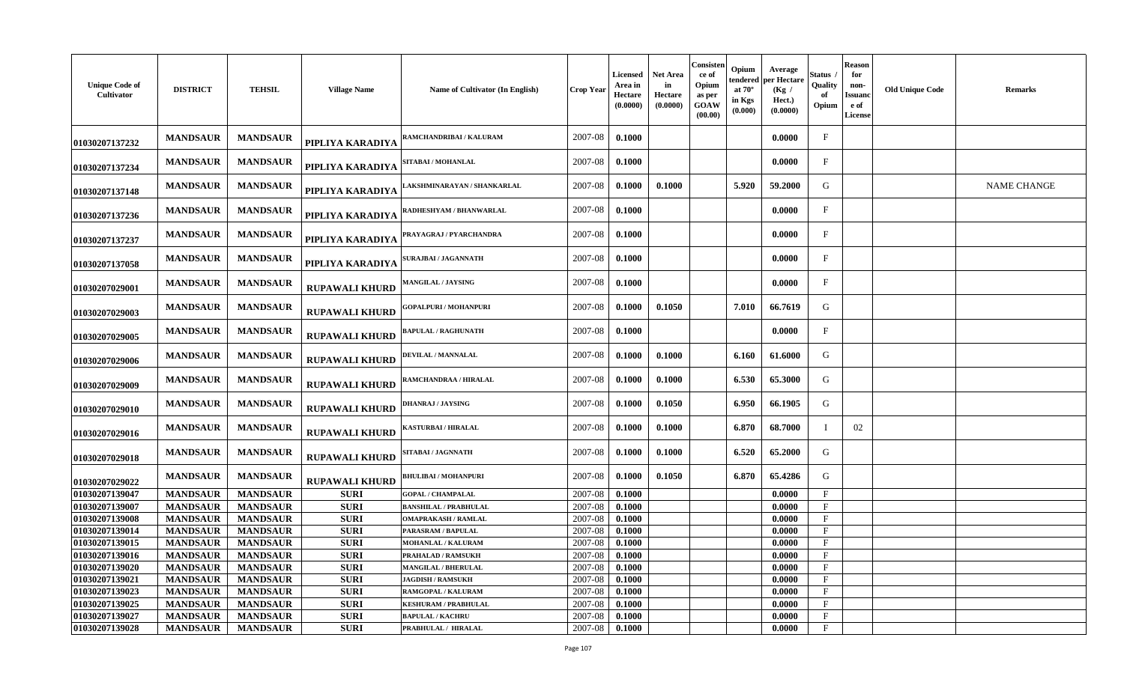| <b>Unique Code of</b><br>Cultivator | <b>DISTRICT</b> | <b>TEHSIL</b>   | <b>Village Name</b>   | Name of Cultivator (In English) | <b>Crop Year</b> | Licensed<br>Area in<br>Hectare<br>(0.0000) | <b>Net Area</b><br>in<br>Hectare<br>(0.0000) | Consisten<br>ce of<br>Opium<br>as per<br>GOAW<br>(00.00) | Opium<br>tendered<br>at $70^\circ$<br>in Kgs<br>(0.000) | Average<br>per Hectare<br>(Kg)<br>Hect.)<br>(0.0000) | Status<br>Quality<br>Opium | Reason<br>for<br>non-<br>Issuanc<br>e of<br><b>License</b> | <b>Old Unique Code</b> | <b>Remarks</b>     |
|-------------------------------------|-----------------|-----------------|-----------------------|---------------------------------|------------------|--------------------------------------------|----------------------------------------------|----------------------------------------------------------|---------------------------------------------------------|------------------------------------------------------|----------------------------|------------------------------------------------------------|------------------------|--------------------|
| 01030207137232                      | <b>MANDSAUR</b> | <b>MANDSAUR</b> | PIPLIYA KARADIYA      | AMCHANDRIBAI / KALURAM          | 2007-08          | 0.1000                                     |                                              |                                                          |                                                         | 0.0000                                               | $\mathbf{F}$               |                                                            |                        |                    |
| 01030207137234                      | <b>MANDSAUR</b> | <b>MANDSAUR</b> | PIPLIYA KARADIYA      | <b>SITABAI / MOHANLAL</b>       | 2007-08          | 0.1000                                     |                                              |                                                          |                                                         | 0.0000                                               | $\mathbf{F}$               |                                                            |                        |                    |
| 01030207137148                      | <b>MANDSAUR</b> | <b>MANDSAUR</b> | PIPLIYA KARADIYA      | AKSHMINARAYAN / SHANKARLAL      | 2007-08          | 0.1000                                     | 0.1000                                       |                                                          | 5.920                                                   | 59.2000                                              | G                          |                                                            |                        | <b>NAME CHANGE</b> |
| 01030207137236                      | <b>MANDSAUR</b> | <b>MANDSAUR</b> | PIPLIYA KARADIYA      | RADHESHYAM / BHANWARLAL         | 2007-08          | 0.1000                                     |                                              |                                                          |                                                         | 0.0000                                               | $\mathbf{F}$               |                                                            |                        |                    |
| 01030207137237                      | <b>MANDSAUR</b> | <b>MANDSAUR</b> | PIPLIYA KARADIYA      | PRAYAGRAJ / PYARCHANDRA         | 2007-08          | 0.1000                                     |                                              |                                                          |                                                         | 0.0000                                               | $\mathbf{F}$               |                                                            |                        |                    |
| 01030207137058                      | <b>MANDSAUR</b> | <b>MANDSAUR</b> | PIPLIYA KARADIYA      | <b>SURAJBAI / JAGANNATH</b>     | 2007-08          | 0.1000                                     |                                              |                                                          |                                                         | 0.0000                                               | $\mathbf{F}$               |                                                            |                        |                    |
| 01030207029001                      | <b>MANDSAUR</b> | <b>MANDSAUR</b> | <b>RUPAWALI KHURD</b> | <b>AANGILAL / JAYSING</b>       | 2007-08          | 0.1000                                     |                                              |                                                          |                                                         | 0.0000                                               | $_{\rm F}$                 |                                                            |                        |                    |
| 01030207029003                      | <b>MANDSAUR</b> | <b>MANDSAUR</b> | <b>RUPAWALI KHURD</b> | <b>GOPALPURI / MOHANPURI</b>    | 2007-08          | 0.1000                                     | 0.1050                                       |                                                          | 7.010                                                   | 66.7619                                              | G                          |                                                            |                        |                    |
| 01030207029005                      | <b>MANDSAUR</b> | <b>MANDSAUR</b> | <b>RUPAWALI KHURD</b> | <b>APULAL / RAGHUNATH</b>       | 2007-08          | 0.1000                                     |                                              |                                                          |                                                         | 0.0000                                               | $\mathbf{F}$               |                                                            |                        |                    |
| 01030207029006                      | <b>MANDSAUR</b> | <b>MANDSAUR</b> | <b>RUPAWALI KHURD</b> | <b>DEVILAL / MANNALAL</b>       | 2007-08          | 0.1000                                     | 0.1000                                       |                                                          | 6.160                                                   | 61.6000                                              | G                          |                                                            |                        |                    |
| 01030207029009                      | <b>MANDSAUR</b> | <b>MANDSAUR</b> | <b>RUPAWALI KHURD</b> | RAMCHANDRAA / HIRALAL           | 2007-08          | 0.1000                                     | 0.1000                                       |                                                          | 6.530                                                   | 65.3000                                              | G                          |                                                            |                        |                    |
| 01030207029010                      | <b>MANDSAUR</b> | <b>MANDSAUR</b> | <b>RUPAWALI KHURD</b> | <b>DHANRAJ / JAYSING</b>        | 2007-08          | 0.1000                                     | 0.1050                                       |                                                          | 6.950                                                   | 66.1905                                              | G                          |                                                            |                        |                    |
| 01030207029016                      | <b>MANDSAUR</b> | <b>MANDSAUR</b> | <b>RUPAWALI KHURD</b> | <b>(ASTURBAI / HIRALAL</b>      | 2007-08          | 0.1000                                     | 0.1000                                       |                                                          | 6.870                                                   | 68.7000                                              |                            | 02                                                         |                        |                    |
| 01030207029018                      | <b>MANDSAUR</b> | <b>MANDSAUR</b> | <b>RUPAWALI KHURD</b> | SITABAI / JAGNNATH              | 2007-08          | 0.1000                                     | 0.1000                                       |                                                          | 6.520                                                   | 65.2000                                              | G                          |                                                            |                        |                    |
| 01030207029022                      | <b>MANDSAUR</b> | <b>MANDSAUR</b> | <b>RUPAWALI KHURD</b> | <b>BHULIBAI / MOHANPURI</b>     | 2007-08          | 0.1000                                     | 0.1050                                       |                                                          | 6.870                                                   | 65.4286                                              | G                          |                                                            |                        |                    |
| 01030207139047                      | <b>MANDSAUR</b> | <b>MANDSAUR</b> | <b>SURI</b>           | <b>GOPAL / CHAMPALAL</b>        | 2007-08          | 0.1000                                     |                                              |                                                          |                                                         | 0.0000                                               | F                          |                                                            |                        |                    |
| 01030207139007                      | <b>MANDSAUR</b> | <b>MANDSAUR</b> | <b>SURI</b>           | <b>BANSHILAL / PRABHULAL</b>    | 2007-08          | 0.1000                                     |                                              |                                                          |                                                         | 0.0000                                               | $\mathbf{F}$               |                                                            |                        |                    |
| 01030207139008                      | <b>MANDSAUR</b> | <b>MANDSAUR</b> | <b>SURI</b>           | <b>OMAPRAKASH / RAMLAL</b>      | 2007-08          | 0.1000                                     |                                              |                                                          |                                                         | 0.0000                                               | $\mathbf{F}$               |                                                            |                        |                    |
| 01030207139014                      | <b>MANDSAUR</b> | <b>MANDSAUR</b> | <b>SURI</b>           | PARASRAM / BAPULAL              | 2007-08          | 0.1000                                     |                                              |                                                          |                                                         | 0.0000                                               | $\mathbf{F}$               |                                                            |                        |                    |
| 01030207139015                      | <b>MANDSAUR</b> | <b>MANDSAUR</b> | <b>SURI</b>           | <b>MOHANLAL / KALURAM</b>       | 2007-08          | 0.1000                                     |                                              |                                                          |                                                         | 0.0000                                               | $_{\rm F}$                 |                                                            |                        |                    |
| 01030207139016                      | <b>MANDSAUR</b> | <b>MANDSAUR</b> | <b>SURI</b>           | PRAHALAD / RAMSUKH              | 2007-08          | 0.1000                                     |                                              |                                                          |                                                         | 0.0000                                               | $_{\rm F}$                 |                                                            |                        |                    |
| 01030207139020                      | <b>MANDSAUR</b> | <b>MANDSAUR</b> | <b>SURI</b>           | <b>MANGILAL / BHERULAL</b>      | 2007-08          | 0.1000                                     |                                              |                                                          |                                                         | 0.0000                                               | $\mathbf{F}$               |                                                            |                        |                    |
| 01030207139021                      | <b>MANDSAUR</b> | <b>MANDSAUR</b> | <b>SURI</b>           | <b>JAGDISH / RAMSUKH</b>        | 2007-08          | 0.1000                                     |                                              |                                                          |                                                         | 0.0000                                               | $\mathbf{F}$               |                                                            |                        |                    |
| 01030207139023                      | <b>MANDSAUR</b> | <b>MANDSAUR</b> | <b>SURI</b>           | RAMGOPAL / KALURAM              | 2007-08          | 0.1000                                     |                                              |                                                          |                                                         | 0.0000                                               | $\mathbf{F}$               |                                                            |                        |                    |
| 01030207139025                      | <b>MANDSAUR</b> | <b>MANDSAUR</b> | <b>SURI</b>           | <b>KESHURAM / PRABHULAL</b>     | 2007-08          | 0.1000                                     |                                              |                                                          |                                                         | 0.0000                                               | $\mathbf{F}$               |                                                            |                        |                    |
| 01030207139027                      | <b>MANDSAUR</b> | <b>MANDSAUR</b> | <b>SURI</b>           | <b>BAPULAL / KACHRU</b>         | 2007-08          | 0.1000                                     |                                              |                                                          |                                                         | 0.0000                                               | $\mathbf F$                |                                                            |                        |                    |
| 01030207139028                      | <b>MANDSAUR</b> | <b>MANDSAUR</b> | <b>SURI</b>           | PRABHULAL / HIRALAL             | 2007-08          | 0.1000                                     |                                              |                                                          |                                                         | 0.0000                                               | $\mathbf{F}$               |                                                            |                        |                    |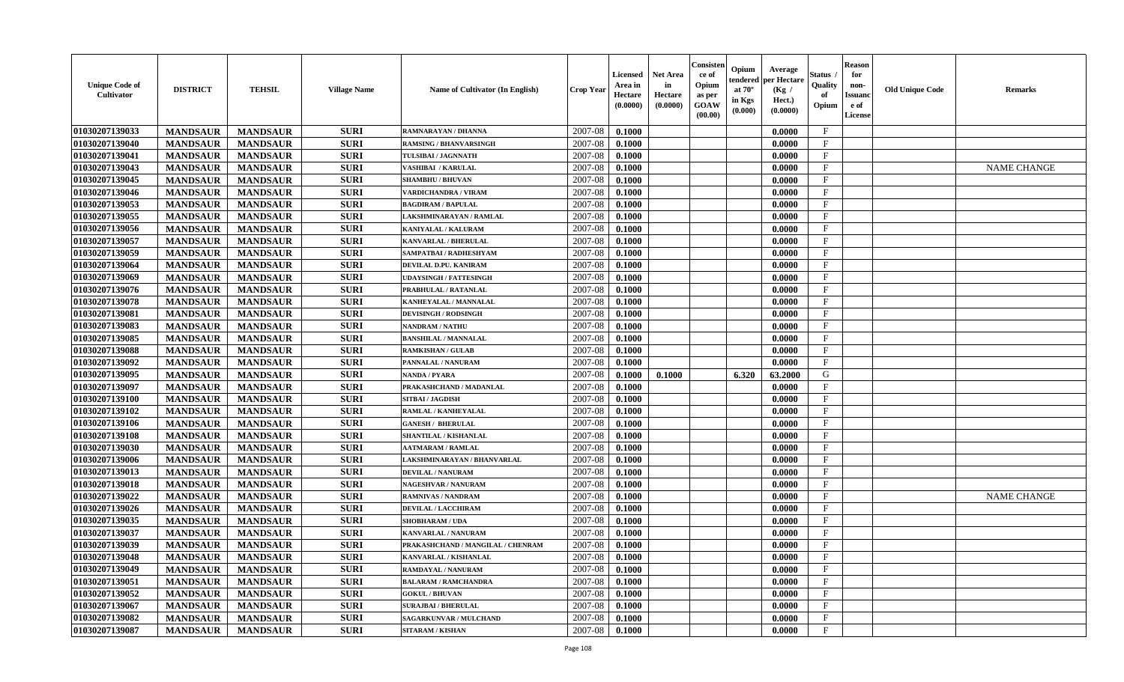| 01030207139033<br><b>SURI</b><br>2007-08<br>$\mathbf{F}$<br><b>MANDSAUR</b><br><b>MANDSAUR</b><br>0.1000<br>0.0000<br>RAMNARAYAN / DHANNA<br>01030207139040<br>2007-08<br><b>MANDSAUR</b><br><b>MANDSAUR</b><br><b>SURI</b><br>$\mathbf F$<br><b>RAMSING / BHANVARSINGH</b><br>0.1000<br>0.0000<br>01030207139041<br><b>SURI</b><br>2007-08<br>$\mathbf{F}$<br><b>MANDSAUR</b><br><b>MANDSAUR</b><br>TULSIBAI / JAGNNATH<br>0.1000<br>0.0000<br>01030207139043<br>2007-08<br>$\mathbf{F}$<br><b>MANDSAUR</b><br><b>MANDSAUR</b><br><b>SURI</b><br><b>VASHIBAI / KARULAL</b><br>0.1000<br>0.0000<br><b>NAME CHANGE</b><br>01030207139045<br><b>MANDSAUR</b><br><b>MANDSAUR</b><br><b>SURI</b><br><b>SHAMBHU / BHUVAN</b><br>2007-08<br>0.1000<br>0.0000<br>$\mathbf{F}$<br>01030207139046<br><b>MANDSAUR</b><br><b>MANDSAUR</b><br><b>SURI</b><br>2007-08<br>0.1000<br>0.0000<br>$_{\rm F}$<br><b>VARDICHANDRA / VIRAM</b><br>01030207139053<br><b>MANDSAUR</b><br><b>SURI</b><br>$\mathbf{F}$<br><b>MANDSAUR</b><br>2007-08<br>0.0000<br><b>BAGDIRAM / BAPULAL</b><br>0.1000<br><b>SURI</b><br>$\mathbf{F}$<br>01030207139055<br>2007-08<br><b>MANDSAUR</b><br><b>MANDSAUR</b><br>0.1000<br>0.0000<br>LAKSHMINARAYAN / RAMLAL<br>01030207139056<br><b>SURI</b><br><b>MANDSAUR</b><br><b>MANDSAUR</b><br>2007-08<br>$_{\rm F}$<br>KANIYALAL / KALURAM<br>0.1000<br>0.0000<br>01030207139057<br><b>MANDSAUR</b><br><b>MANDSAUR</b><br><b>SURI</b><br>2007-08<br>0.1000<br>$\mathbf{F}$<br>0.0000<br>KANVARLAL / BHERULAL<br>01030207139059<br><b>MANDSAUR</b><br><b>MANDSAUR</b><br><b>SURI</b><br>2007-08<br>$\mathbf{F}$<br>SAMPATBAI / RADHESHYAM<br>0.1000<br>0.0000<br>01030207139064<br><b>MANDSAUR</b><br><b>MANDSAUR</b><br><b>SURI</b><br>2007-08<br>$\mathbf{F}$<br>DEVILAL D.PU. KANIRAM<br>0.1000<br>0.0000<br>01030207139069<br><b>MANDSAUR</b><br><b>MANDSAUR</b><br><b>SURI</b><br><b>UDAYSINGH / FATTESINGH</b><br>2007-08<br>0.1000<br>0.0000<br>$\mathbf{F}$<br>01030207139076<br><b>MANDSAUR</b><br><b>MANDSAUR</b><br><b>SURI</b><br>2007-08<br>0.1000<br>0.0000<br>$_{\rm F}$<br>PRABHULAL / RATANLAL<br>01030207139078<br><b>MANDSAUR</b><br><b>MANDSAUR</b><br><b>SURI</b><br>2007-08<br>$\mathbf{F}$<br>0.1000<br>0.0000<br>KANHEYALAL / MANNALAL<br>01030207139081<br><b>MANDSAUR</b><br><b>SURI</b><br><b>MANDSAUR</b><br>2007-08<br>0.0000<br>$_{\rm F}$<br><b>DEVISINGH / RODSINGH</b><br>0.1000<br>01030207139083<br><b>SURI</b><br><b>MANDSAUR</b><br><b>MANDSAUR</b><br>2007-08<br>0.1000<br>$\mathbf{F}$<br><b>NANDRAM / NATHU</b><br>0.0000<br>01030207139085<br><b>SURI</b><br>2007-08<br>$\mathbf{F}$<br><b>MANDSAUR</b><br><b>MANDSAUR</b><br>0.0000<br><b>BANSHILAL / MANNALAL</b><br>0.1000<br>F<br>01030207139088<br><b>MANDSAUR</b><br><b>MANDSAUR</b><br><b>SURI</b><br>2007-08<br><b>RAMKISHAN / GULAB</b><br>0.1000<br>0.0000<br>$\mathbf{F}$<br>01030207139092<br><b>MANDSAUR</b><br><b>MANDSAUR</b><br><b>SURI</b><br>2007-08<br>PANNALAL / NANURAM<br>0.1000<br>0.0000<br>01030207139095<br><b>MANDSAUR</b><br><b>MANDSAUR</b><br><b>SURI</b><br><b>NANDA / PYARA</b><br>2007-08<br>0.1000<br>0.1000<br>6.320<br>63.2000<br>G<br>01030207139097<br><b>MANDSAUR</b><br><b>MANDSAUR</b><br><b>SURI</b><br>PRAKASHCHAND / MADANLAL<br>2007-08<br>0.1000<br>0.0000<br>$_{\rm F}$<br>01030207139100<br><b>MANDSAUR</b><br><b>MANDSAUR</b><br><b>SURI</b><br>2007-08<br>$\mathbf{F}$<br>SITBAI / JAGDISH<br>0.1000<br>0.0000<br>01030207139102<br><b>SURI</b><br>2007-08<br>$\mathbf{F}$<br><b>MANDSAUR</b><br><b>MANDSAUR</b><br>RAMLAL / KANHEYALAL<br>0.1000<br>0.0000<br>01030207139106<br><b>SURI</b><br>2007-08<br><b>MANDSAUR</b><br><b>MANDSAUR</b><br>0.0000<br>$\mathbf{F}$<br><b>GANESH / BHERULAL</b><br>0.1000<br>01030207139108<br><b>SURI</b><br>2007-08<br>$\mathbf{F}$<br><b>MANDSAUR</b><br><b>MANDSAUR</b><br>0.1000<br>SHANTILAL / KISHANLAL<br>0.0000<br>01030207139030<br>F<br><b>MANDSAUR</b><br><b>MANDSAUR</b><br><b>SURI</b><br>2007-08<br><b>AATMARAM / RAMLAL</b><br>0.1000<br>0.0000<br>01030207139006<br><b>MANDSAUR</b><br><b>MANDSAUR</b><br><b>SURI</b><br>2007-08<br>0.1000<br>0.0000<br>$_{\rm F}$<br>LAKSHMINARAYAN / BHANVARLAL<br><b>MANDSAUR</b><br><b>SURI</b><br>2007-08<br>$\rm F$<br>01030207139013<br><b>MANDSAUR</b><br><b>DEVILAL / NANURAM</b><br>0.1000<br>0.0000<br>01030207139018<br><b>MANDSAUR</b><br><b>MANDSAUR</b><br><b>SURI</b><br><b>NAGESHVAR / NANURAM</b><br>2007-08<br>0.1000<br>0.0000<br>$\mathbf{F}$<br><b>SURI</b><br>01030207139022<br><b>MANDSAUR</b><br><b>MANDSAUR</b><br>2007-08<br>F<br><b>RAMNIVAS / NANDRAM</b><br>0.1000<br>0.0000<br><b>NAME CHANGE</b><br>01030207139026<br><b>SURI</b><br>2007-08<br>$\mathbf{F}$<br><b>MANDSAUR</b><br><b>MANDSAUR</b><br>0.0000<br><b>DEVILAL / LACCHIRAM</b><br>0.1000<br>01030207139035<br><b>SURI</b><br>$\mathbf{F}$<br><b>MANDSAUR</b><br><b>MANDSAUR</b><br>2007-08<br><b>SHOBHARAM / UDA</b><br>0.1000<br>0.0000<br>01030207139037<br><b>MANDSAUR</b><br><b>SURI</b><br>2007-08<br>$\mathbf{F}$<br><b>MANDSAUR</b><br>0.1000<br>0.0000<br>KANVARLAL / NANURAM<br>01030207139039<br>$\mathbf{F}$<br><b>MANDSAUR</b><br><b>MANDSAUR</b><br><b>SURI</b><br>2007-08<br>0.1000<br>0.0000<br>PRAKASHCHAND / MANGILAL / CHENRAM<br>01030207139048<br>$\mathbf{F}$<br><b>MANDSAUR</b><br><b>MANDSAUR</b><br><b>SURI</b><br>KANVARLAL / KISHANLAL<br>2007-08<br>0.1000<br>0.0000<br>01030207139049<br><b>MANDSAUR</b><br><b>SURI</b><br>2007-08<br><b>MANDSAUR</b><br>RAMDAYAL / NANURAM<br>0.1000<br>0.0000<br>$\mathbf{F}$<br>01030207139051<br><b>MANDSAUR</b><br><b>MANDSAUR</b><br><b>SURI</b><br>2007-08<br>$\mathbf{F}$<br><b>BALARAM / RAMCHANDRA</b><br>0.1000<br>0.0000<br>01030207139052<br><b>MANDSAUR</b><br><b>MANDSAUR</b><br><b>SURI</b><br>2007-08<br>$\mathbf{F}$<br><b>GOKUL / BHUVAN</b><br>0.1000<br>0.0000<br>01030207139067<br><b>SURI</b><br>F<br><b>MANDSAUR</b><br><b>MANDSAUR</b><br>2007-08<br>0.1000<br>0.0000<br><b>SURAJBAI / BHERULAL</b><br>01030207139082<br><b>SURI</b><br>$\mathbf{F}$<br><b>MANDSAUR</b><br>2007-08<br>0.1000<br>0.0000<br><b>MANDSAUR</b><br><b>SAGARKUNVAR / MULCHAND</b><br><b>SURI</b><br>01030207139087<br>2007-08<br>0.1000<br>$\mathbf{F}$<br><b>MANDSAUR</b><br><b>MANDSAUR</b><br><b>SITARAM / KISHAN</b><br>0.0000 | <b>Unique Code of</b><br><b>Cultivator</b> | <b>DISTRICT</b> | <b>TEHSIL</b> | <b>Village Name</b> | <b>Name of Cultivator (In English)</b> | <b>Crop Year</b> | <b>Licensed</b><br>Area in<br>Hectare<br>(0.0000) | <b>Net Area</b><br>in<br>Hectare<br>(0.0000) | Consister<br>ce of<br>Opium<br>as per<br><b>GOAW</b><br>(00.00) | Opium<br>endered<br>at $70^\circ$<br>in Kgs<br>(0.000) | Average<br>per Hectare<br>(Kg /<br>Hect.)<br>(0.0000) | Status<br>Quality<br>of<br>Opium | <b>Reason</b><br>for<br>non-<br><b>Issuand</b><br>e of<br>License | <b>Old Unique Code</b> | <b>Remarks</b> |
|---------------------------------------------------------------------------------------------------------------------------------------------------------------------------------------------------------------------------------------------------------------------------------------------------------------------------------------------------------------------------------------------------------------------------------------------------------------------------------------------------------------------------------------------------------------------------------------------------------------------------------------------------------------------------------------------------------------------------------------------------------------------------------------------------------------------------------------------------------------------------------------------------------------------------------------------------------------------------------------------------------------------------------------------------------------------------------------------------------------------------------------------------------------------------------------------------------------------------------------------------------------------------------------------------------------------------------------------------------------------------------------------------------------------------------------------------------------------------------------------------------------------------------------------------------------------------------------------------------------------------------------------------------------------------------------------------------------------------------------------------------------------------------------------------------------------------------------------------------------------------------------------------------------------------------------------------------------------------------------------------------------------------------------------------------------------------------------------------------------------------------------------------------------------------------------------------------------------------------------------------------------------------------------------------------------------------------------------------------------------------------------------------------------------------------------------------------------------------------------------------------------------------------------------------------------------------------------------------------------------------------------------------------------------------------------------------------------------------------------------------------------------------------------------------------------------------------------------------------------------------------------------------------------------------------------------------------------------------------------------------------------------------------------------------------------------------------------------------------------------------------------------------------------------------------------------------------------------------------------------------------------------------------------------------------------------------------------------------------------------------------------------------------------------------------------------------------------------------------------------------------------------------------------------------------------------------------------------------------------------------------------------------------------------------------------------------------------------------------------------------------------------------------------------------------------------------------------------------------------------------------------------------------------------------------------------------------------------------------------------------------------------------------------------------------------------------------------------------------------------------------------------------------------------------------------------------------------------------------------------------------------------------------------------------------------------------------------------------------------------------------------------------------------------------------------------------------------------------------------------------------------------------------------------------------------------------------------------------------------------------------------------------------------------------------------------------------------------------------------------------------------------------------------------------------------------------------------------------------------------------------------------------------------------------------------------------------------------------------------------------------------------------------------------------------------------------------------------------------------------------------------------------------------------------------------------------------------------------------------------------------------------------------------------------------------------------------------------------------------------------------------------------------------------------------------------------------------------------------------------------------------------------------------------------------------------------------------------------------------------------------------------------------------------------------------------------------------------------------------------------------------------------------------------------------------------------------------------------------------------------------------------------------------------------------------------------------------------------------------------------------------------------------------------------------------------------------------------------------------------------------------------------------------------------------------------------------------------------------------------------------------------------------------------------------------------------------------|--------------------------------------------|-----------------|---------------|---------------------|----------------------------------------|------------------|---------------------------------------------------|----------------------------------------------|-----------------------------------------------------------------|--------------------------------------------------------|-------------------------------------------------------|----------------------------------|-------------------------------------------------------------------|------------------------|----------------|
|                                                                                                                                                                                                                                                                                                                                                                                                                                                                                                                                                                                                                                                                                                                                                                                                                                                                                                                                                                                                                                                                                                                                                                                                                                                                                                                                                                                                                                                                                                                                                                                                                                                                                                                                                                                                                                                                                                                                                                                                                                                                                                                                                                                                                                                                                                                                                                                                                                                                                                                                                                                                                                                                                                                                                                                                                                                                                                                                                                                                                                                                                                                                                                                                                                                                                                                                                                                                                                                                                                                                                                                                                                                                                                                                                                                                                                                                                                                                                                                                                                                                                                                                                                                                                                                                                                                                                                                                                                                                                                                                                                                                                                                                                                                                                                                                                                                                                                                                                                                                                                                                                                                                                                                                                                                                                                                                                                                                                                                                                                                                                                                                                                                                                                                                                                                                                                                                                                                                                                                                                                                                                                                                                                                                                                                                                                                                       |                                            |                 |               |                     |                                        |                  |                                                   |                                              |                                                                 |                                                        |                                                       |                                  |                                                                   |                        |                |
|                                                                                                                                                                                                                                                                                                                                                                                                                                                                                                                                                                                                                                                                                                                                                                                                                                                                                                                                                                                                                                                                                                                                                                                                                                                                                                                                                                                                                                                                                                                                                                                                                                                                                                                                                                                                                                                                                                                                                                                                                                                                                                                                                                                                                                                                                                                                                                                                                                                                                                                                                                                                                                                                                                                                                                                                                                                                                                                                                                                                                                                                                                                                                                                                                                                                                                                                                                                                                                                                                                                                                                                                                                                                                                                                                                                                                                                                                                                                                                                                                                                                                                                                                                                                                                                                                                                                                                                                                                                                                                                                                                                                                                                                                                                                                                                                                                                                                                                                                                                                                                                                                                                                                                                                                                                                                                                                                                                                                                                                                                                                                                                                                                                                                                                                                                                                                                                                                                                                                                                                                                                                                                                                                                                                                                                                                                                                       |                                            |                 |               |                     |                                        |                  |                                                   |                                              |                                                                 |                                                        |                                                       |                                  |                                                                   |                        |                |
|                                                                                                                                                                                                                                                                                                                                                                                                                                                                                                                                                                                                                                                                                                                                                                                                                                                                                                                                                                                                                                                                                                                                                                                                                                                                                                                                                                                                                                                                                                                                                                                                                                                                                                                                                                                                                                                                                                                                                                                                                                                                                                                                                                                                                                                                                                                                                                                                                                                                                                                                                                                                                                                                                                                                                                                                                                                                                                                                                                                                                                                                                                                                                                                                                                                                                                                                                                                                                                                                                                                                                                                                                                                                                                                                                                                                                                                                                                                                                                                                                                                                                                                                                                                                                                                                                                                                                                                                                                                                                                                                                                                                                                                                                                                                                                                                                                                                                                                                                                                                                                                                                                                                                                                                                                                                                                                                                                                                                                                                                                                                                                                                                                                                                                                                                                                                                                                                                                                                                                                                                                                                                                                                                                                                                                                                                                                                       |                                            |                 |               |                     |                                        |                  |                                                   |                                              |                                                                 |                                                        |                                                       |                                  |                                                                   |                        |                |
|                                                                                                                                                                                                                                                                                                                                                                                                                                                                                                                                                                                                                                                                                                                                                                                                                                                                                                                                                                                                                                                                                                                                                                                                                                                                                                                                                                                                                                                                                                                                                                                                                                                                                                                                                                                                                                                                                                                                                                                                                                                                                                                                                                                                                                                                                                                                                                                                                                                                                                                                                                                                                                                                                                                                                                                                                                                                                                                                                                                                                                                                                                                                                                                                                                                                                                                                                                                                                                                                                                                                                                                                                                                                                                                                                                                                                                                                                                                                                                                                                                                                                                                                                                                                                                                                                                                                                                                                                                                                                                                                                                                                                                                                                                                                                                                                                                                                                                                                                                                                                                                                                                                                                                                                                                                                                                                                                                                                                                                                                                                                                                                                                                                                                                                                                                                                                                                                                                                                                                                                                                                                                                                                                                                                                                                                                                                                       |                                            |                 |               |                     |                                        |                  |                                                   |                                              |                                                                 |                                                        |                                                       |                                  |                                                                   |                        |                |
|                                                                                                                                                                                                                                                                                                                                                                                                                                                                                                                                                                                                                                                                                                                                                                                                                                                                                                                                                                                                                                                                                                                                                                                                                                                                                                                                                                                                                                                                                                                                                                                                                                                                                                                                                                                                                                                                                                                                                                                                                                                                                                                                                                                                                                                                                                                                                                                                                                                                                                                                                                                                                                                                                                                                                                                                                                                                                                                                                                                                                                                                                                                                                                                                                                                                                                                                                                                                                                                                                                                                                                                                                                                                                                                                                                                                                                                                                                                                                                                                                                                                                                                                                                                                                                                                                                                                                                                                                                                                                                                                                                                                                                                                                                                                                                                                                                                                                                                                                                                                                                                                                                                                                                                                                                                                                                                                                                                                                                                                                                                                                                                                                                                                                                                                                                                                                                                                                                                                                                                                                                                                                                                                                                                                                                                                                                                                       |                                            |                 |               |                     |                                        |                  |                                                   |                                              |                                                                 |                                                        |                                                       |                                  |                                                                   |                        |                |
|                                                                                                                                                                                                                                                                                                                                                                                                                                                                                                                                                                                                                                                                                                                                                                                                                                                                                                                                                                                                                                                                                                                                                                                                                                                                                                                                                                                                                                                                                                                                                                                                                                                                                                                                                                                                                                                                                                                                                                                                                                                                                                                                                                                                                                                                                                                                                                                                                                                                                                                                                                                                                                                                                                                                                                                                                                                                                                                                                                                                                                                                                                                                                                                                                                                                                                                                                                                                                                                                                                                                                                                                                                                                                                                                                                                                                                                                                                                                                                                                                                                                                                                                                                                                                                                                                                                                                                                                                                                                                                                                                                                                                                                                                                                                                                                                                                                                                                                                                                                                                                                                                                                                                                                                                                                                                                                                                                                                                                                                                                                                                                                                                                                                                                                                                                                                                                                                                                                                                                                                                                                                                                                                                                                                                                                                                                                                       |                                            |                 |               |                     |                                        |                  |                                                   |                                              |                                                                 |                                                        |                                                       |                                  |                                                                   |                        |                |
|                                                                                                                                                                                                                                                                                                                                                                                                                                                                                                                                                                                                                                                                                                                                                                                                                                                                                                                                                                                                                                                                                                                                                                                                                                                                                                                                                                                                                                                                                                                                                                                                                                                                                                                                                                                                                                                                                                                                                                                                                                                                                                                                                                                                                                                                                                                                                                                                                                                                                                                                                                                                                                                                                                                                                                                                                                                                                                                                                                                                                                                                                                                                                                                                                                                                                                                                                                                                                                                                                                                                                                                                                                                                                                                                                                                                                                                                                                                                                                                                                                                                                                                                                                                                                                                                                                                                                                                                                                                                                                                                                                                                                                                                                                                                                                                                                                                                                                                                                                                                                                                                                                                                                                                                                                                                                                                                                                                                                                                                                                                                                                                                                                                                                                                                                                                                                                                                                                                                                                                                                                                                                                                                                                                                                                                                                                                                       |                                            |                 |               |                     |                                        |                  |                                                   |                                              |                                                                 |                                                        |                                                       |                                  |                                                                   |                        |                |
|                                                                                                                                                                                                                                                                                                                                                                                                                                                                                                                                                                                                                                                                                                                                                                                                                                                                                                                                                                                                                                                                                                                                                                                                                                                                                                                                                                                                                                                                                                                                                                                                                                                                                                                                                                                                                                                                                                                                                                                                                                                                                                                                                                                                                                                                                                                                                                                                                                                                                                                                                                                                                                                                                                                                                                                                                                                                                                                                                                                                                                                                                                                                                                                                                                                                                                                                                                                                                                                                                                                                                                                                                                                                                                                                                                                                                                                                                                                                                                                                                                                                                                                                                                                                                                                                                                                                                                                                                                                                                                                                                                                                                                                                                                                                                                                                                                                                                                                                                                                                                                                                                                                                                                                                                                                                                                                                                                                                                                                                                                                                                                                                                                                                                                                                                                                                                                                                                                                                                                                                                                                                                                                                                                                                                                                                                                                                       |                                            |                 |               |                     |                                        |                  |                                                   |                                              |                                                                 |                                                        |                                                       |                                  |                                                                   |                        |                |
|                                                                                                                                                                                                                                                                                                                                                                                                                                                                                                                                                                                                                                                                                                                                                                                                                                                                                                                                                                                                                                                                                                                                                                                                                                                                                                                                                                                                                                                                                                                                                                                                                                                                                                                                                                                                                                                                                                                                                                                                                                                                                                                                                                                                                                                                                                                                                                                                                                                                                                                                                                                                                                                                                                                                                                                                                                                                                                                                                                                                                                                                                                                                                                                                                                                                                                                                                                                                                                                                                                                                                                                                                                                                                                                                                                                                                                                                                                                                                                                                                                                                                                                                                                                                                                                                                                                                                                                                                                                                                                                                                                                                                                                                                                                                                                                                                                                                                                                                                                                                                                                                                                                                                                                                                                                                                                                                                                                                                                                                                                                                                                                                                                                                                                                                                                                                                                                                                                                                                                                                                                                                                                                                                                                                                                                                                                                                       |                                            |                 |               |                     |                                        |                  |                                                   |                                              |                                                                 |                                                        |                                                       |                                  |                                                                   |                        |                |
|                                                                                                                                                                                                                                                                                                                                                                                                                                                                                                                                                                                                                                                                                                                                                                                                                                                                                                                                                                                                                                                                                                                                                                                                                                                                                                                                                                                                                                                                                                                                                                                                                                                                                                                                                                                                                                                                                                                                                                                                                                                                                                                                                                                                                                                                                                                                                                                                                                                                                                                                                                                                                                                                                                                                                                                                                                                                                                                                                                                                                                                                                                                                                                                                                                                                                                                                                                                                                                                                                                                                                                                                                                                                                                                                                                                                                                                                                                                                                                                                                                                                                                                                                                                                                                                                                                                                                                                                                                                                                                                                                                                                                                                                                                                                                                                                                                                                                                                                                                                                                                                                                                                                                                                                                                                                                                                                                                                                                                                                                                                                                                                                                                                                                                                                                                                                                                                                                                                                                                                                                                                                                                                                                                                                                                                                                                                                       |                                            |                 |               |                     |                                        |                  |                                                   |                                              |                                                                 |                                                        |                                                       |                                  |                                                                   |                        |                |
|                                                                                                                                                                                                                                                                                                                                                                                                                                                                                                                                                                                                                                                                                                                                                                                                                                                                                                                                                                                                                                                                                                                                                                                                                                                                                                                                                                                                                                                                                                                                                                                                                                                                                                                                                                                                                                                                                                                                                                                                                                                                                                                                                                                                                                                                                                                                                                                                                                                                                                                                                                                                                                                                                                                                                                                                                                                                                                                                                                                                                                                                                                                                                                                                                                                                                                                                                                                                                                                                                                                                                                                                                                                                                                                                                                                                                                                                                                                                                                                                                                                                                                                                                                                                                                                                                                                                                                                                                                                                                                                                                                                                                                                                                                                                                                                                                                                                                                                                                                                                                                                                                                                                                                                                                                                                                                                                                                                                                                                                                                                                                                                                                                                                                                                                                                                                                                                                                                                                                                                                                                                                                                                                                                                                                                                                                                                                       |                                            |                 |               |                     |                                        |                  |                                                   |                                              |                                                                 |                                                        |                                                       |                                  |                                                                   |                        |                |
|                                                                                                                                                                                                                                                                                                                                                                                                                                                                                                                                                                                                                                                                                                                                                                                                                                                                                                                                                                                                                                                                                                                                                                                                                                                                                                                                                                                                                                                                                                                                                                                                                                                                                                                                                                                                                                                                                                                                                                                                                                                                                                                                                                                                                                                                                                                                                                                                                                                                                                                                                                                                                                                                                                                                                                                                                                                                                                                                                                                                                                                                                                                                                                                                                                                                                                                                                                                                                                                                                                                                                                                                                                                                                                                                                                                                                                                                                                                                                                                                                                                                                                                                                                                                                                                                                                                                                                                                                                                                                                                                                                                                                                                                                                                                                                                                                                                                                                                                                                                                                                                                                                                                                                                                                                                                                                                                                                                                                                                                                                                                                                                                                                                                                                                                                                                                                                                                                                                                                                                                                                                                                                                                                                                                                                                                                                                                       |                                            |                 |               |                     |                                        |                  |                                                   |                                              |                                                                 |                                                        |                                                       |                                  |                                                                   |                        |                |
|                                                                                                                                                                                                                                                                                                                                                                                                                                                                                                                                                                                                                                                                                                                                                                                                                                                                                                                                                                                                                                                                                                                                                                                                                                                                                                                                                                                                                                                                                                                                                                                                                                                                                                                                                                                                                                                                                                                                                                                                                                                                                                                                                                                                                                                                                                                                                                                                                                                                                                                                                                                                                                                                                                                                                                                                                                                                                                                                                                                                                                                                                                                                                                                                                                                                                                                                                                                                                                                                                                                                                                                                                                                                                                                                                                                                                                                                                                                                                                                                                                                                                                                                                                                                                                                                                                                                                                                                                                                                                                                                                                                                                                                                                                                                                                                                                                                                                                                                                                                                                                                                                                                                                                                                                                                                                                                                                                                                                                                                                                                                                                                                                                                                                                                                                                                                                                                                                                                                                                                                                                                                                                                                                                                                                                                                                                                                       |                                            |                 |               |                     |                                        |                  |                                                   |                                              |                                                                 |                                                        |                                                       |                                  |                                                                   |                        |                |
|                                                                                                                                                                                                                                                                                                                                                                                                                                                                                                                                                                                                                                                                                                                                                                                                                                                                                                                                                                                                                                                                                                                                                                                                                                                                                                                                                                                                                                                                                                                                                                                                                                                                                                                                                                                                                                                                                                                                                                                                                                                                                                                                                                                                                                                                                                                                                                                                                                                                                                                                                                                                                                                                                                                                                                                                                                                                                                                                                                                                                                                                                                                                                                                                                                                                                                                                                                                                                                                                                                                                                                                                                                                                                                                                                                                                                                                                                                                                                                                                                                                                                                                                                                                                                                                                                                                                                                                                                                                                                                                                                                                                                                                                                                                                                                                                                                                                                                                                                                                                                                                                                                                                                                                                                                                                                                                                                                                                                                                                                                                                                                                                                                                                                                                                                                                                                                                                                                                                                                                                                                                                                                                                                                                                                                                                                                                                       |                                            |                 |               |                     |                                        |                  |                                                   |                                              |                                                                 |                                                        |                                                       |                                  |                                                                   |                        |                |
|                                                                                                                                                                                                                                                                                                                                                                                                                                                                                                                                                                                                                                                                                                                                                                                                                                                                                                                                                                                                                                                                                                                                                                                                                                                                                                                                                                                                                                                                                                                                                                                                                                                                                                                                                                                                                                                                                                                                                                                                                                                                                                                                                                                                                                                                                                                                                                                                                                                                                                                                                                                                                                                                                                                                                                                                                                                                                                                                                                                                                                                                                                                                                                                                                                                                                                                                                                                                                                                                                                                                                                                                                                                                                                                                                                                                                                                                                                                                                                                                                                                                                                                                                                                                                                                                                                                                                                                                                                                                                                                                                                                                                                                                                                                                                                                                                                                                                                                                                                                                                                                                                                                                                                                                                                                                                                                                                                                                                                                                                                                                                                                                                                                                                                                                                                                                                                                                                                                                                                                                                                                                                                                                                                                                                                                                                                                                       |                                            |                 |               |                     |                                        |                  |                                                   |                                              |                                                                 |                                                        |                                                       |                                  |                                                                   |                        |                |
|                                                                                                                                                                                                                                                                                                                                                                                                                                                                                                                                                                                                                                                                                                                                                                                                                                                                                                                                                                                                                                                                                                                                                                                                                                                                                                                                                                                                                                                                                                                                                                                                                                                                                                                                                                                                                                                                                                                                                                                                                                                                                                                                                                                                                                                                                                                                                                                                                                                                                                                                                                                                                                                                                                                                                                                                                                                                                                                                                                                                                                                                                                                                                                                                                                                                                                                                                                                                                                                                                                                                                                                                                                                                                                                                                                                                                                                                                                                                                                                                                                                                                                                                                                                                                                                                                                                                                                                                                                                                                                                                                                                                                                                                                                                                                                                                                                                                                                                                                                                                                                                                                                                                                                                                                                                                                                                                                                                                                                                                                                                                                                                                                                                                                                                                                                                                                                                                                                                                                                                                                                                                                                                                                                                                                                                                                                                                       |                                            |                 |               |                     |                                        |                  |                                                   |                                              |                                                                 |                                                        |                                                       |                                  |                                                                   |                        |                |
|                                                                                                                                                                                                                                                                                                                                                                                                                                                                                                                                                                                                                                                                                                                                                                                                                                                                                                                                                                                                                                                                                                                                                                                                                                                                                                                                                                                                                                                                                                                                                                                                                                                                                                                                                                                                                                                                                                                                                                                                                                                                                                                                                                                                                                                                                                                                                                                                                                                                                                                                                                                                                                                                                                                                                                                                                                                                                                                                                                                                                                                                                                                                                                                                                                                                                                                                                                                                                                                                                                                                                                                                                                                                                                                                                                                                                                                                                                                                                                                                                                                                                                                                                                                                                                                                                                                                                                                                                                                                                                                                                                                                                                                                                                                                                                                                                                                                                                                                                                                                                                                                                                                                                                                                                                                                                                                                                                                                                                                                                                                                                                                                                                                                                                                                                                                                                                                                                                                                                                                                                                                                                                                                                                                                                                                                                                                                       |                                            |                 |               |                     |                                        |                  |                                                   |                                              |                                                                 |                                                        |                                                       |                                  |                                                                   |                        |                |
|                                                                                                                                                                                                                                                                                                                                                                                                                                                                                                                                                                                                                                                                                                                                                                                                                                                                                                                                                                                                                                                                                                                                                                                                                                                                                                                                                                                                                                                                                                                                                                                                                                                                                                                                                                                                                                                                                                                                                                                                                                                                                                                                                                                                                                                                                                                                                                                                                                                                                                                                                                                                                                                                                                                                                                                                                                                                                                                                                                                                                                                                                                                                                                                                                                                                                                                                                                                                                                                                                                                                                                                                                                                                                                                                                                                                                                                                                                                                                                                                                                                                                                                                                                                                                                                                                                                                                                                                                                                                                                                                                                                                                                                                                                                                                                                                                                                                                                                                                                                                                                                                                                                                                                                                                                                                                                                                                                                                                                                                                                                                                                                                                                                                                                                                                                                                                                                                                                                                                                                                                                                                                                                                                                                                                                                                                                                                       |                                            |                 |               |                     |                                        |                  |                                                   |                                              |                                                                 |                                                        |                                                       |                                  |                                                                   |                        |                |
|                                                                                                                                                                                                                                                                                                                                                                                                                                                                                                                                                                                                                                                                                                                                                                                                                                                                                                                                                                                                                                                                                                                                                                                                                                                                                                                                                                                                                                                                                                                                                                                                                                                                                                                                                                                                                                                                                                                                                                                                                                                                                                                                                                                                                                                                                                                                                                                                                                                                                                                                                                                                                                                                                                                                                                                                                                                                                                                                                                                                                                                                                                                                                                                                                                                                                                                                                                                                                                                                                                                                                                                                                                                                                                                                                                                                                                                                                                                                                                                                                                                                                                                                                                                                                                                                                                                                                                                                                                                                                                                                                                                                                                                                                                                                                                                                                                                                                                                                                                                                                                                                                                                                                                                                                                                                                                                                                                                                                                                                                                                                                                                                                                                                                                                                                                                                                                                                                                                                                                                                                                                                                                                                                                                                                                                                                                                                       |                                            |                 |               |                     |                                        |                  |                                                   |                                              |                                                                 |                                                        |                                                       |                                  |                                                                   |                        |                |
|                                                                                                                                                                                                                                                                                                                                                                                                                                                                                                                                                                                                                                                                                                                                                                                                                                                                                                                                                                                                                                                                                                                                                                                                                                                                                                                                                                                                                                                                                                                                                                                                                                                                                                                                                                                                                                                                                                                                                                                                                                                                                                                                                                                                                                                                                                                                                                                                                                                                                                                                                                                                                                                                                                                                                                                                                                                                                                                                                                                                                                                                                                                                                                                                                                                                                                                                                                                                                                                                                                                                                                                                                                                                                                                                                                                                                                                                                                                                                                                                                                                                                                                                                                                                                                                                                                                                                                                                                                                                                                                                                                                                                                                                                                                                                                                                                                                                                                                                                                                                                                                                                                                                                                                                                                                                                                                                                                                                                                                                                                                                                                                                                                                                                                                                                                                                                                                                                                                                                                                                                                                                                                                                                                                                                                                                                                                                       |                                            |                 |               |                     |                                        |                  |                                                   |                                              |                                                                 |                                                        |                                                       |                                  |                                                                   |                        |                |
|                                                                                                                                                                                                                                                                                                                                                                                                                                                                                                                                                                                                                                                                                                                                                                                                                                                                                                                                                                                                                                                                                                                                                                                                                                                                                                                                                                                                                                                                                                                                                                                                                                                                                                                                                                                                                                                                                                                                                                                                                                                                                                                                                                                                                                                                                                                                                                                                                                                                                                                                                                                                                                                                                                                                                                                                                                                                                                                                                                                                                                                                                                                                                                                                                                                                                                                                                                                                                                                                                                                                                                                                                                                                                                                                                                                                                                                                                                                                                                                                                                                                                                                                                                                                                                                                                                                                                                                                                                                                                                                                                                                                                                                                                                                                                                                                                                                                                                                                                                                                                                                                                                                                                                                                                                                                                                                                                                                                                                                                                                                                                                                                                                                                                                                                                                                                                                                                                                                                                                                                                                                                                                                                                                                                                                                                                                                                       |                                            |                 |               |                     |                                        |                  |                                                   |                                              |                                                                 |                                                        |                                                       |                                  |                                                                   |                        |                |
|                                                                                                                                                                                                                                                                                                                                                                                                                                                                                                                                                                                                                                                                                                                                                                                                                                                                                                                                                                                                                                                                                                                                                                                                                                                                                                                                                                                                                                                                                                                                                                                                                                                                                                                                                                                                                                                                                                                                                                                                                                                                                                                                                                                                                                                                                                                                                                                                                                                                                                                                                                                                                                                                                                                                                                                                                                                                                                                                                                                                                                                                                                                                                                                                                                                                                                                                                                                                                                                                                                                                                                                                                                                                                                                                                                                                                                                                                                                                                                                                                                                                                                                                                                                                                                                                                                                                                                                                                                                                                                                                                                                                                                                                                                                                                                                                                                                                                                                                                                                                                                                                                                                                                                                                                                                                                                                                                                                                                                                                                                                                                                                                                                                                                                                                                                                                                                                                                                                                                                                                                                                                                                                                                                                                                                                                                                                                       |                                            |                 |               |                     |                                        |                  |                                                   |                                              |                                                                 |                                                        |                                                       |                                  |                                                                   |                        |                |
|                                                                                                                                                                                                                                                                                                                                                                                                                                                                                                                                                                                                                                                                                                                                                                                                                                                                                                                                                                                                                                                                                                                                                                                                                                                                                                                                                                                                                                                                                                                                                                                                                                                                                                                                                                                                                                                                                                                                                                                                                                                                                                                                                                                                                                                                                                                                                                                                                                                                                                                                                                                                                                                                                                                                                                                                                                                                                                                                                                                                                                                                                                                                                                                                                                                                                                                                                                                                                                                                                                                                                                                                                                                                                                                                                                                                                                                                                                                                                                                                                                                                                                                                                                                                                                                                                                                                                                                                                                                                                                                                                                                                                                                                                                                                                                                                                                                                                                                                                                                                                                                                                                                                                                                                                                                                                                                                                                                                                                                                                                                                                                                                                                                                                                                                                                                                                                                                                                                                                                                                                                                                                                                                                                                                                                                                                                                                       |                                            |                 |               |                     |                                        |                  |                                                   |                                              |                                                                 |                                                        |                                                       |                                  |                                                                   |                        |                |
|                                                                                                                                                                                                                                                                                                                                                                                                                                                                                                                                                                                                                                                                                                                                                                                                                                                                                                                                                                                                                                                                                                                                                                                                                                                                                                                                                                                                                                                                                                                                                                                                                                                                                                                                                                                                                                                                                                                                                                                                                                                                                                                                                                                                                                                                                                                                                                                                                                                                                                                                                                                                                                                                                                                                                                                                                                                                                                                                                                                                                                                                                                                                                                                                                                                                                                                                                                                                                                                                                                                                                                                                                                                                                                                                                                                                                                                                                                                                                                                                                                                                                                                                                                                                                                                                                                                                                                                                                                                                                                                                                                                                                                                                                                                                                                                                                                                                                                                                                                                                                                                                                                                                                                                                                                                                                                                                                                                                                                                                                                                                                                                                                                                                                                                                                                                                                                                                                                                                                                                                                                                                                                                                                                                                                                                                                                                                       |                                            |                 |               |                     |                                        |                  |                                                   |                                              |                                                                 |                                                        |                                                       |                                  |                                                                   |                        |                |
|                                                                                                                                                                                                                                                                                                                                                                                                                                                                                                                                                                                                                                                                                                                                                                                                                                                                                                                                                                                                                                                                                                                                                                                                                                                                                                                                                                                                                                                                                                                                                                                                                                                                                                                                                                                                                                                                                                                                                                                                                                                                                                                                                                                                                                                                                                                                                                                                                                                                                                                                                                                                                                                                                                                                                                                                                                                                                                                                                                                                                                                                                                                                                                                                                                                                                                                                                                                                                                                                                                                                                                                                                                                                                                                                                                                                                                                                                                                                                                                                                                                                                                                                                                                                                                                                                                                                                                                                                                                                                                                                                                                                                                                                                                                                                                                                                                                                                                                                                                                                                                                                                                                                                                                                                                                                                                                                                                                                                                                                                                                                                                                                                                                                                                                                                                                                                                                                                                                                                                                                                                                                                                                                                                                                                                                                                                                                       |                                            |                 |               |                     |                                        |                  |                                                   |                                              |                                                                 |                                                        |                                                       |                                  |                                                                   |                        |                |
|                                                                                                                                                                                                                                                                                                                                                                                                                                                                                                                                                                                                                                                                                                                                                                                                                                                                                                                                                                                                                                                                                                                                                                                                                                                                                                                                                                                                                                                                                                                                                                                                                                                                                                                                                                                                                                                                                                                                                                                                                                                                                                                                                                                                                                                                                                                                                                                                                                                                                                                                                                                                                                                                                                                                                                                                                                                                                                                                                                                                                                                                                                                                                                                                                                                                                                                                                                                                                                                                                                                                                                                                                                                                                                                                                                                                                                                                                                                                                                                                                                                                                                                                                                                                                                                                                                                                                                                                                                                                                                                                                                                                                                                                                                                                                                                                                                                                                                                                                                                                                                                                                                                                                                                                                                                                                                                                                                                                                                                                                                                                                                                                                                                                                                                                                                                                                                                                                                                                                                                                                                                                                                                                                                                                                                                                                                                                       |                                            |                 |               |                     |                                        |                  |                                                   |                                              |                                                                 |                                                        |                                                       |                                  |                                                                   |                        |                |
|                                                                                                                                                                                                                                                                                                                                                                                                                                                                                                                                                                                                                                                                                                                                                                                                                                                                                                                                                                                                                                                                                                                                                                                                                                                                                                                                                                                                                                                                                                                                                                                                                                                                                                                                                                                                                                                                                                                                                                                                                                                                                                                                                                                                                                                                                                                                                                                                                                                                                                                                                                                                                                                                                                                                                                                                                                                                                                                                                                                                                                                                                                                                                                                                                                                                                                                                                                                                                                                                                                                                                                                                                                                                                                                                                                                                                                                                                                                                                                                                                                                                                                                                                                                                                                                                                                                                                                                                                                                                                                                                                                                                                                                                                                                                                                                                                                                                                                                                                                                                                                                                                                                                                                                                                                                                                                                                                                                                                                                                                                                                                                                                                                                                                                                                                                                                                                                                                                                                                                                                                                                                                                                                                                                                                                                                                                                                       |                                            |                 |               |                     |                                        |                  |                                                   |                                              |                                                                 |                                                        |                                                       |                                  |                                                                   |                        |                |
|                                                                                                                                                                                                                                                                                                                                                                                                                                                                                                                                                                                                                                                                                                                                                                                                                                                                                                                                                                                                                                                                                                                                                                                                                                                                                                                                                                                                                                                                                                                                                                                                                                                                                                                                                                                                                                                                                                                                                                                                                                                                                                                                                                                                                                                                                                                                                                                                                                                                                                                                                                                                                                                                                                                                                                                                                                                                                                                                                                                                                                                                                                                                                                                                                                                                                                                                                                                                                                                                                                                                                                                                                                                                                                                                                                                                                                                                                                                                                                                                                                                                                                                                                                                                                                                                                                                                                                                                                                                                                                                                                                                                                                                                                                                                                                                                                                                                                                                                                                                                                                                                                                                                                                                                                                                                                                                                                                                                                                                                                                                                                                                                                                                                                                                                                                                                                                                                                                                                                                                                                                                                                                                                                                                                                                                                                                                                       |                                            |                 |               |                     |                                        |                  |                                                   |                                              |                                                                 |                                                        |                                                       |                                  |                                                                   |                        |                |
|                                                                                                                                                                                                                                                                                                                                                                                                                                                                                                                                                                                                                                                                                                                                                                                                                                                                                                                                                                                                                                                                                                                                                                                                                                                                                                                                                                                                                                                                                                                                                                                                                                                                                                                                                                                                                                                                                                                                                                                                                                                                                                                                                                                                                                                                                                                                                                                                                                                                                                                                                                                                                                                                                                                                                                                                                                                                                                                                                                                                                                                                                                                                                                                                                                                                                                                                                                                                                                                                                                                                                                                                                                                                                                                                                                                                                                                                                                                                                                                                                                                                                                                                                                                                                                                                                                                                                                                                                                                                                                                                                                                                                                                                                                                                                                                                                                                                                                                                                                                                                                                                                                                                                                                                                                                                                                                                                                                                                                                                                                                                                                                                                                                                                                                                                                                                                                                                                                                                                                                                                                                                                                                                                                                                                                                                                                                                       |                                            |                 |               |                     |                                        |                  |                                                   |                                              |                                                                 |                                                        |                                                       |                                  |                                                                   |                        |                |
|                                                                                                                                                                                                                                                                                                                                                                                                                                                                                                                                                                                                                                                                                                                                                                                                                                                                                                                                                                                                                                                                                                                                                                                                                                                                                                                                                                                                                                                                                                                                                                                                                                                                                                                                                                                                                                                                                                                                                                                                                                                                                                                                                                                                                                                                                                                                                                                                                                                                                                                                                                                                                                                                                                                                                                                                                                                                                                                                                                                                                                                                                                                                                                                                                                                                                                                                                                                                                                                                                                                                                                                                                                                                                                                                                                                                                                                                                                                                                                                                                                                                                                                                                                                                                                                                                                                                                                                                                                                                                                                                                                                                                                                                                                                                                                                                                                                                                                                                                                                                                                                                                                                                                                                                                                                                                                                                                                                                                                                                                                                                                                                                                                                                                                                                                                                                                                                                                                                                                                                                                                                                                                                                                                                                                                                                                                                                       |                                            |                 |               |                     |                                        |                  |                                                   |                                              |                                                                 |                                                        |                                                       |                                  |                                                                   |                        |                |
|                                                                                                                                                                                                                                                                                                                                                                                                                                                                                                                                                                                                                                                                                                                                                                                                                                                                                                                                                                                                                                                                                                                                                                                                                                                                                                                                                                                                                                                                                                                                                                                                                                                                                                                                                                                                                                                                                                                                                                                                                                                                                                                                                                                                                                                                                                                                                                                                                                                                                                                                                                                                                                                                                                                                                                                                                                                                                                                                                                                                                                                                                                                                                                                                                                                                                                                                                                                                                                                                                                                                                                                                                                                                                                                                                                                                                                                                                                                                                                                                                                                                                                                                                                                                                                                                                                                                                                                                                                                                                                                                                                                                                                                                                                                                                                                                                                                                                                                                                                                                                                                                                                                                                                                                                                                                                                                                                                                                                                                                                                                                                                                                                                                                                                                                                                                                                                                                                                                                                                                                                                                                                                                                                                                                                                                                                                                                       |                                            |                 |               |                     |                                        |                  |                                                   |                                              |                                                                 |                                                        |                                                       |                                  |                                                                   |                        |                |
|                                                                                                                                                                                                                                                                                                                                                                                                                                                                                                                                                                                                                                                                                                                                                                                                                                                                                                                                                                                                                                                                                                                                                                                                                                                                                                                                                                                                                                                                                                                                                                                                                                                                                                                                                                                                                                                                                                                                                                                                                                                                                                                                                                                                                                                                                                                                                                                                                                                                                                                                                                                                                                                                                                                                                                                                                                                                                                                                                                                                                                                                                                                                                                                                                                                                                                                                                                                                                                                                                                                                                                                                                                                                                                                                                                                                                                                                                                                                                                                                                                                                                                                                                                                                                                                                                                                                                                                                                                                                                                                                                                                                                                                                                                                                                                                                                                                                                                                                                                                                                                                                                                                                                                                                                                                                                                                                                                                                                                                                                                                                                                                                                                                                                                                                                                                                                                                                                                                                                                                                                                                                                                                                                                                                                                                                                                                                       |                                            |                 |               |                     |                                        |                  |                                                   |                                              |                                                                 |                                                        |                                                       |                                  |                                                                   |                        |                |
|                                                                                                                                                                                                                                                                                                                                                                                                                                                                                                                                                                                                                                                                                                                                                                                                                                                                                                                                                                                                                                                                                                                                                                                                                                                                                                                                                                                                                                                                                                                                                                                                                                                                                                                                                                                                                                                                                                                                                                                                                                                                                                                                                                                                                                                                                                                                                                                                                                                                                                                                                                                                                                                                                                                                                                                                                                                                                                                                                                                                                                                                                                                                                                                                                                                                                                                                                                                                                                                                                                                                                                                                                                                                                                                                                                                                                                                                                                                                                                                                                                                                                                                                                                                                                                                                                                                                                                                                                                                                                                                                                                                                                                                                                                                                                                                                                                                                                                                                                                                                                                                                                                                                                                                                                                                                                                                                                                                                                                                                                                                                                                                                                                                                                                                                                                                                                                                                                                                                                                                                                                                                                                                                                                                                                                                                                                                                       |                                            |                 |               |                     |                                        |                  |                                                   |                                              |                                                                 |                                                        |                                                       |                                  |                                                                   |                        |                |
|                                                                                                                                                                                                                                                                                                                                                                                                                                                                                                                                                                                                                                                                                                                                                                                                                                                                                                                                                                                                                                                                                                                                                                                                                                                                                                                                                                                                                                                                                                                                                                                                                                                                                                                                                                                                                                                                                                                                                                                                                                                                                                                                                                                                                                                                                                                                                                                                                                                                                                                                                                                                                                                                                                                                                                                                                                                                                                                                                                                                                                                                                                                                                                                                                                                                                                                                                                                                                                                                                                                                                                                                                                                                                                                                                                                                                                                                                                                                                                                                                                                                                                                                                                                                                                                                                                                                                                                                                                                                                                                                                                                                                                                                                                                                                                                                                                                                                                                                                                                                                                                                                                                                                                                                                                                                                                                                                                                                                                                                                                                                                                                                                                                                                                                                                                                                                                                                                                                                                                                                                                                                                                                                                                                                                                                                                                                                       |                                            |                 |               |                     |                                        |                  |                                                   |                                              |                                                                 |                                                        |                                                       |                                  |                                                                   |                        |                |
|                                                                                                                                                                                                                                                                                                                                                                                                                                                                                                                                                                                                                                                                                                                                                                                                                                                                                                                                                                                                                                                                                                                                                                                                                                                                                                                                                                                                                                                                                                                                                                                                                                                                                                                                                                                                                                                                                                                                                                                                                                                                                                                                                                                                                                                                                                                                                                                                                                                                                                                                                                                                                                                                                                                                                                                                                                                                                                                                                                                                                                                                                                                                                                                                                                                                                                                                                                                                                                                                                                                                                                                                                                                                                                                                                                                                                                                                                                                                                                                                                                                                                                                                                                                                                                                                                                                                                                                                                                                                                                                                                                                                                                                                                                                                                                                                                                                                                                                                                                                                                                                                                                                                                                                                                                                                                                                                                                                                                                                                                                                                                                                                                                                                                                                                                                                                                                                                                                                                                                                                                                                                                                                                                                                                                                                                                                                                       |                                            |                 |               |                     |                                        |                  |                                                   |                                              |                                                                 |                                                        |                                                       |                                  |                                                                   |                        |                |
|                                                                                                                                                                                                                                                                                                                                                                                                                                                                                                                                                                                                                                                                                                                                                                                                                                                                                                                                                                                                                                                                                                                                                                                                                                                                                                                                                                                                                                                                                                                                                                                                                                                                                                                                                                                                                                                                                                                                                                                                                                                                                                                                                                                                                                                                                                                                                                                                                                                                                                                                                                                                                                                                                                                                                                                                                                                                                                                                                                                                                                                                                                                                                                                                                                                                                                                                                                                                                                                                                                                                                                                                                                                                                                                                                                                                                                                                                                                                                                                                                                                                                                                                                                                                                                                                                                                                                                                                                                                                                                                                                                                                                                                                                                                                                                                                                                                                                                                                                                                                                                                                                                                                                                                                                                                                                                                                                                                                                                                                                                                                                                                                                                                                                                                                                                                                                                                                                                                                                                                                                                                                                                                                                                                                                                                                                                                                       |                                            |                 |               |                     |                                        |                  |                                                   |                                              |                                                                 |                                                        |                                                       |                                  |                                                                   |                        |                |
|                                                                                                                                                                                                                                                                                                                                                                                                                                                                                                                                                                                                                                                                                                                                                                                                                                                                                                                                                                                                                                                                                                                                                                                                                                                                                                                                                                                                                                                                                                                                                                                                                                                                                                                                                                                                                                                                                                                                                                                                                                                                                                                                                                                                                                                                                                                                                                                                                                                                                                                                                                                                                                                                                                                                                                                                                                                                                                                                                                                                                                                                                                                                                                                                                                                                                                                                                                                                                                                                                                                                                                                                                                                                                                                                                                                                                                                                                                                                                                                                                                                                                                                                                                                                                                                                                                                                                                                                                                                                                                                                                                                                                                                                                                                                                                                                                                                                                                                                                                                                                                                                                                                                                                                                                                                                                                                                                                                                                                                                                                                                                                                                                                                                                                                                                                                                                                                                                                                                                                                                                                                                                                                                                                                                                                                                                                                                       |                                            |                 |               |                     |                                        |                  |                                                   |                                              |                                                                 |                                                        |                                                       |                                  |                                                                   |                        |                |
|                                                                                                                                                                                                                                                                                                                                                                                                                                                                                                                                                                                                                                                                                                                                                                                                                                                                                                                                                                                                                                                                                                                                                                                                                                                                                                                                                                                                                                                                                                                                                                                                                                                                                                                                                                                                                                                                                                                                                                                                                                                                                                                                                                                                                                                                                                                                                                                                                                                                                                                                                                                                                                                                                                                                                                                                                                                                                                                                                                                                                                                                                                                                                                                                                                                                                                                                                                                                                                                                                                                                                                                                                                                                                                                                                                                                                                                                                                                                                                                                                                                                                                                                                                                                                                                                                                                                                                                                                                                                                                                                                                                                                                                                                                                                                                                                                                                                                                                                                                                                                                                                                                                                                                                                                                                                                                                                                                                                                                                                                                                                                                                                                                                                                                                                                                                                                                                                                                                                                                                                                                                                                                                                                                                                                                                                                                                                       |                                            |                 |               |                     |                                        |                  |                                                   |                                              |                                                                 |                                                        |                                                       |                                  |                                                                   |                        |                |
|                                                                                                                                                                                                                                                                                                                                                                                                                                                                                                                                                                                                                                                                                                                                                                                                                                                                                                                                                                                                                                                                                                                                                                                                                                                                                                                                                                                                                                                                                                                                                                                                                                                                                                                                                                                                                                                                                                                                                                                                                                                                                                                                                                                                                                                                                                                                                                                                                                                                                                                                                                                                                                                                                                                                                                                                                                                                                                                                                                                                                                                                                                                                                                                                                                                                                                                                                                                                                                                                                                                                                                                                                                                                                                                                                                                                                                                                                                                                                                                                                                                                                                                                                                                                                                                                                                                                                                                                                                                                                                                                                                                                                                                                                                                                                                                                                                                                                                                                                                                                                                                                                                                                                                                                                                                                                                                                                                                                                                                                                                                                                                                                                                                                                                                                                                                                                                                                                                                                                                                                                                                                                                                                                                                                                                                                                                                                       |                                            |                 |               |                     |                                        |                  |                                                   |                                              |                                                                 |                                                        |                                                       |                                  |                                                                   |                        |                |
|                                                                                                                                                                                                                                                                                                                                                                                                                                                                                                                                                                                                                                                                                                                                                                                                                                                                                                                                                                                                                                                                                                                                                                                                                                                                                                                                                                                                                                                                                                                                                                                                                                                                                                                                                                                                                                                                                                                                                                                                                                                                                                                                                                                                                                                                                                                                                                                                                                                                                                                                                                                                                                                                                                                                                                                                                                                                                                                                                                                                                                                                                                                                                                                                                                                                                                                                                                                                                                                                                                                                                                                                                                                                                                                                                                                                                                                                                                                                                                                                                                                                                                                                                                                                                                                                                                                                                                                                                                                                                                                                                                                                                                                                                                                                                                                                                                                                                                                                                                                                                                                                                                                                                                                                                                                                                                                                                                                                                                                                                                                                                                                                                                                                                                                                                                                                                                                                                                                                                                                                                                                                                                                                                                                                                                                                                                                                       |                                            |                 |               |                     |                                        |                  |                                                   |                                              |                                                                 |                                                        |                                                       |                                  |                                                                   |                        |                |
|                                                                                                                                                                                                                                                                                                                                                                                                                                                                                                                                                                                                                                                                                                                                                                                                                                                                                                                                                                                                                                                                                                                                                                                                                                                                                                                                                                                                                                                                                                                                                                                                                                                                                                                                                                                                                                                                                                                                                                                                                                                                                                                                                                                                                                                                                                                                                                                                                                                                                                                                                                                                                                                                                                                                                                                                                                                                                                                                                                                                                                                                                                                                                                                                                                                                                                                                                                                                                                                                                                                                                                                                                                                                                                                                                                                                                                                                                                                                                                                                                                                                                                                                                                                                                                                                                                                                                                                                                                                                                                                                                                                                                                                                                                                                                                                                                                                                                                                                                                                                                                                                                                                                                                                                                                                                                                                                                                                                                                                                                                                                                                                                                                                                                                                                                                                                                                                                                                                                                                                                                                                                                                                                                                                                                                                                                                                                       |                                            |                 |               |                     |                                        |                  |                                                   |                                              |                                                                 |                                                        |                                                       |                                  |                                                                   |                        |                |
|                                                                                                                                                                                                                                                                                                                                                                                                                                                                                                                                                                                                                                                                                                                                                                                                                                                                                                                                                                                                                                                                                                                                                                                                                                                                                                                                                                                                                                                                                                                                                                                                                                                                                                                                                                                                                                                                                                                                                                                                                                                                                                                                                                                                                                                                                                                                                                                                                                                                                                                                                                                                                                                                                                                                                                                                                                                                                                                                                                                                                                                                                                                                                                                                                                                                                                                                                                                                                                                                                                                                                                                                                                                                                                                                                                                                                                                                                                                                                                                                                                                                                                                                                                                                                                                                                                                                                                                                                                                                                                                                                                                                                                                                                                                                                                                                                                                                                                                                                                                                                                                                                                                                                                                                                                                                                                                                                                                                                                                                                                                                                                                                                                                                                                                                                                                                                                                                                                                                                                                                                                                                                                                                                                                                                                                                                                                                       |                                            |                 |               |                     |                                        |                  |                                                   |                                              |                                                                 |                                                        |                                                       |                                  |                                                                   |                        |                |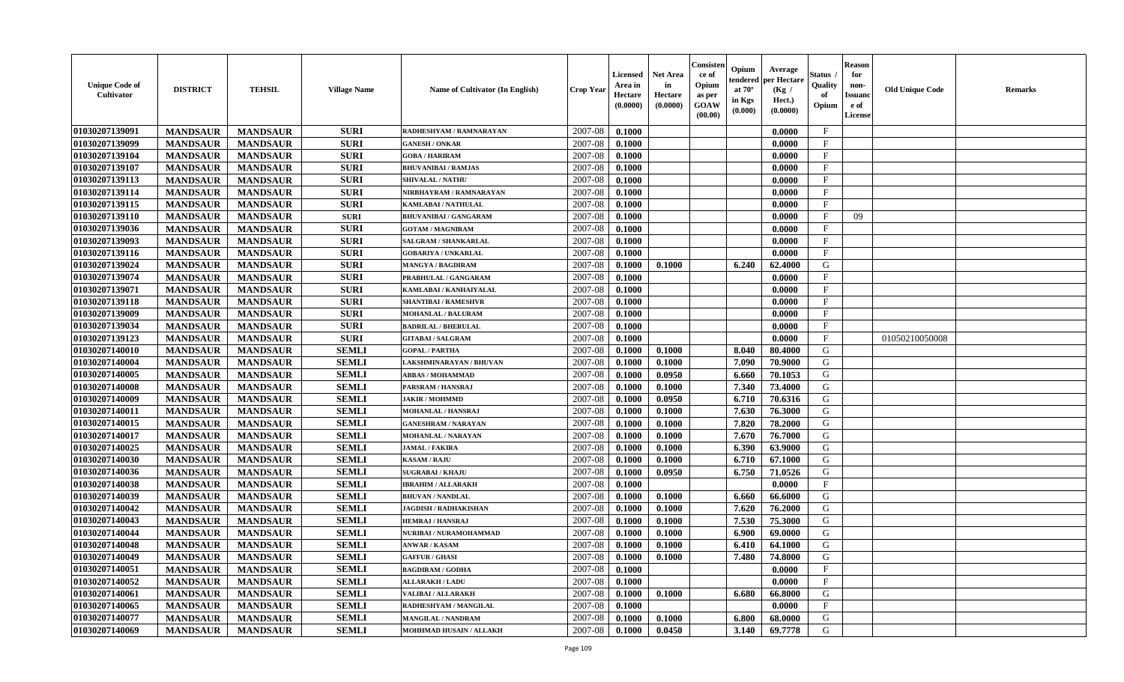| <b>Unique Code of</b><br>Cultivator | <b>DISTRICT</b> | <b>TEHSIL</b>   | <b>Village Name</b> | <b>Name of Cultivator (In English)</b> | <b>Crop Year</b> | <b>Licensed</b><br>Area in<br>Hectare<br>(0.0000) | Net Area<br>in<br>Hectare<br>(0.0000) | Consister<br>ce of<br>Opium<br>as per<br>GOAW<br>(00.00) | Opium<br>endered<br>at $70^\circ$<br>in Kgs<br>$(\mathbf{0.000})$ | Average<br>per Hectare<br>(Kg /<br>Hect.)<br>(0.0000) | Status<br>Quality<br>of<br>Opium | <b>Reason</b><br>for<br>non-<br>Issuan<br>e of<br>License | <b>Old Unique Code</b> | Remarks |
|-------------------------------------|-----------------|-----------------|---------------------|----------------------------------------|------------------|---------------------------------------------------|---------------------------------------|----------------------------------------------------------|-------------------------------------------------------------------|-------------------------------------------------------|----------------------------------|-----------------------------------------------------------|------------------------|---------|
| 01030207139091                      | <b>MANDSAUR</b> | <b>MANDSAUR</b> | <b>SURI</b>         | RADHESHYAM / RAMNARAYAN                | 2007-08          | 0.1000                                            |                                       |                                                          |                                                                   | 0.0000                                                | $\mathbf{F}$                     |                                                           |                        |         |
| 01030207139099                      | <b>MANDSAUR</b> | <b>MANDSAUR</b> | <b>SURI</b>         | <b>GANESH / ONKAR</b>                  | 2007-08          | 0.1000                                            |                                       |                                                          |                                                                   | 0.0000                                                | $\mathbf{F}$                     |                                                           |                        |         |
| 01030207139104                      | <b>MANDSAUR</b> | <b>MANDSAUR</b> | <b>SURI</b>         | <b>GOBA / HARIRAM</b>                  | 2007-08          | 0.1000                                            |                                       |                                                          |                                                                   | 0.0000                                                | $_{\rm F}$                       |                                                           |                        |         |
| 01030207139107                      | <b>MANDSAUR</b> | <b>MANDSAUR</b> | <b>SURI</b>         | <b>BHUVANIBAI / RAMJAS</b>             | 2007-08          | 0.1000                                            |                                       |                                                          |                                                                   | 0.0000                                                | $\mathbf{F}$                     |                                                           |                        |         |
| 01030207139113                      | <b>MANDSAUR</b> | <b>MANDSAUR</b> | <b>SURI</b>         | <b>SHIVALAL / NATHU</b>                | 2007-08          | 0.1000                                            |                                       |                                                          |                                                                   | 0.0000                                                | $\mathbf{F}$                     |                                                           |                        |         |
| 01030207139114                      | <b>MANDSAUR</b> | <b>MANDSAUR</b> | <b>SURI</b>         | NIRBHAYRAM / RAMNARAYAN                | 2007-08          | 0.1000                                            |                                       |                                                          |                                                                   | 0.0000                                                | $\mathbf{F}$                     |                                                           |                        |         |
| 01030207139115                      | <b>MANDSAUR</b> | <b>MANDSAUR</b> | <b>SURI</b>         | KAMLABAI / NATHULAL                    | 2007-08          | 0.1000                                            |                                       |                                                          |                                                                   | 0.0000                                                | $\mathbf{F}$                     |                                                           |                        |         |
| 01030207139110                      | <b>MANDSAUR</b> | <b>MANDSAUR</b> | <b>SURI</b>         | <b>BHUVANIBAI / GANGARAM</b>           | 2007-08          | 0.1000                                            |                                       |                                                          |                                                                   | 0.0000                                                | $_{\rm F}$                       | 09                                                        |                        |         |
| 01030207139036                      | <b>MANDSAUR</b> | <b>MANDSAUR</b> | <b>SURI</b>         | <b>GOTAM / MAGNIRAM</b>                | 2007-08          | 0.1000                                            |                                       |                                                          |                                                                   | 0.0000                                                | $\mathbf{F}$                     |                                                           |                        |         |
| 01030207139093                      | <b>MANDSAUR</b> | <b>MANDSAUR</b> | <b>SURI</b>         | <b>SALGRAM / SHANKARLAL</b>            | 2007-08          | 0.1000                                            |                                       |                                                          |                                                                   | 0.0000                                                | $_{\rm F}$                       |                                                           |                        |         |
| 01030207139116                      | <b>MANDSAUR</b> | <b>MANDSAUR</b> | <b>SURI</b>         | <b>GOBARIYA / UNKARLAL</b>             | 2007-08          | 0.1000                                            |                                       |                                                          |                                                                   | 0.0000                                                | $\mathbf{F}$                     |                                                           |                        |         |
| 01030207139024                      | <b>MANDSAUR</b> | <b>MANDSAUR</b> | <b>SURI</b>         | <b>MANGYA / BAGDIRAM</b>               | 2007-08          | 0.1000                                            | 0.1000                                |                                                          | 6.240                                                             | 62.4000                                               | G                                |                                                           |                        |         |
| 01030207139074                      | <b>MANDSAUR</b> | <b>MANDSAUR</b> | <b>SURI</b>         | PRABHULAL / GANGARAM                   | 2007-08          | 0.1000                                            |                                       |                                                          |                                                                   | 0.0000                                                | $\mathbf{F}$                     |                                                           |                        |         |
| 01030207139071                      | <b>MANDSAUR</b> | <b>MANDSAUR</b> | <b>SURI</b>         | KAMLABAI / KANHAIYALAL                 | 2007-08          | 0.1000                                            |                                       |                                                          |                                                                   | 0.0000                                                | $_{\rm F}$                       |                                                           |                        |         |
| 01030207139118                      | <b>MANDSAUR</b> | <b>MANDSAUR</b> | <b>SURI</b>         | <b>SHANTIBAI / RAMESHVR</b>            | 2007-08          | 0.1000                                            |                                       |                                                          |                                                                   | 0.0000                                                | $\mathbf{F}$                     |                                                           |                        |         |
| 01030207139009                      | <b>MANDSAUR</b> | <b>MANDSAUR</b> | <b>SURI</b>         | MOHANLAL / BALURAM                     | 2007-08          | 0.1000                                            |                                       |                                                          |                                                                   | 0.0000                                                | $\mathbf{F}$                     |                                                           |                        |         |
| 01030207139034                      | <b>MANDSAUR</b> | <b>MANDSAUR</b> | <b>SURI</b>         | <b>BADRILAL / BHERULAL</b>             | 2007-08          | 0.1000                                            |                                       |                                                          |                                                                   | 0.0000                                                | $\mathbf{F}$                     |                                                           |                        |         |
| 01030207139123                      | <b>MANDSAUR</b> | <b>MANDSAUR</b> | <b>SURI</b>         | <b>GITABAI/SALGRAM</b>                 | 2007-08          | 0.1000                                            |                                       |                                                          |                                                                   | 0.0000                                                | $\mathbf{F}$                     |                                                           | 01050210050008         |         |
| 01030207140010                      | <b>MANDSAUR</b> | <b>MANDSAUR</b> | <b>SEMLI</b>        | <b>GOPAL / PARTHA</b>                  | 2007-08          | 0.1000                                            | 0.1000                                |                                                          | 8.040                                                             | 80.4000                                               | G                                |                                                           |                        |         |
| 01030207140004                      | <b>MANDSAUR</b> | <b>MANDSAUR</b> | <b>SEMLI</b>        | <b>LAKSHMINARAYAN / BHUVAN</b>         | 2007-08          | 0.1000                                            | 0.1000                                |                                                          | 7.090                                                             | 70.9000                                               | G                                |                                                           |                        |         |
| 01030207140005                      | <b>MANDSAUR</b> | <b>MANDSAUR</b> | <b>SEMLI</b>        | <b>ABBAS / MOHAMMAD</b>                | 2007-08          | 0.1000                                            | 0.0950                                |                                                          | 6.660                                                             | 70.1053                                               | G                                |                                                           |                        |         |
| 01030207140008                      | <b>MANDSAUR</b> | <b>MANDSAUR</b> | <b>SEMLI</b>        | PARSRAM / HANSRAJ                      | 2007-08          | 0.1000                                            | 0.1000                                |                                                          | 7.340                                                             | 73.4000                                               | G                                |                                                           |                        |         |
| 01030207140009                      | <b>MANDSAUR</b> | <b>MANDSAUR</b> | <b>SEMLI</b>        | <b>JAKIR / MOHMMD</b>                  | 2007-08          | 0.1000                                            | 0.0950                                |                                                          | 6.710                                                             | 70.6316                                               | G                                |                                                           |                        |         |
| 01030207140011                      | <b>MANDSAUR</b> | <b>MANDSAUR</b> | <b>SEMLI</b>        | MOHANLAL / HANSRAJ                     | 2007-08          | 0.1000                                            | 0.1000                                |                                                          | 7.630                                                             | 76.3000                                               | G                                |                                                           |                        |         |
| 01030207140015                      | <b>MANDSAUR</b> | <b>MANDSAUR</b> | <b>SEMLI</b>        | <b>GANESHRAM / NARAYAN</b>             | 2007-08          | 0.1000                                            | 0.1000                                |                                                          | 7.820                                                             | 78.2000                                               | G                                |                                                           |                        |         |
| 01030207140017                      | <b>MANDSAUR</b> | <b>MANDSAUR</b> | <b>SEMLI</b>        | MOHANLAL / NARAYAN                     | 2007-08          | 0.1000                                            | 0.1000                                |                                                          | 7.670                                                             | 76.7000                                               | G                                |                                                           |                        |         |
| 01030207140025                      | <b>MANDSAUR</b> | <b>MANDSAUR</b> | <b>SEMLI</b>        | <b>JAMAL / FAKIRA</b>                  | 2007-08          | 0.1000                                            | 0.1000                                |                                                          | 6.390                                                             | 63.9000                                               | G                                |                                                           |                        |         |
| 01030207140030                      | <b>MANDSAUR</b> | <b>MANDSAUR</b> | <b>SEMLI</b>        | <b>KASAM / RAJU</b>                    | 2007-08          | 0.1000                                            | 0.1000                                |                                                          | 6.710                                                             | 67.1000                                               | G                                |                                                           |                        |         |
| 01030207140036                      | <b>MANDSAUR</b> | <b>MANDSAUR</b> | <b>SEMLI</b>        | <b>SUGRABAI/KHAJU</b>                  | 2007-08          | 0.1000                                            | 0.0950                                |                                                          | 6.750                                                             | 71.0526                                               | G                                |                                                           |                        |         |
| 01030207140038                      | <b>MANDSAUR</b> | <b>MANDSAUR</b> | <b>SEMLI</b>        | <b>IBRAHIM / ALLARAKH</b>              | 2007-08          | 0.1000                                            |                                       |                                                          |                                                                   | 0.0000                                                | $\mathbf{F}$                     |                                                           |                        |         |
| 01030207140039                      | <b>MANDSAUR</b> | <b>MANDSAUR</b> | <b>SEMLI</b>        | <b>BHUVAN / NANDLAL</b>                | 2007-08          | 0.1000                                            | 0.1000                                |                                                          | 6.660                                                             | 66.6000                                               | G                                |                                                           |                        |         |
| 01030207140042                      | <b>MANDSAUR</b> | <b>MANDSAUR</b> | <b>SEMLI</b>        | <b>JAGDISH / RADHAKISHAN</b>           | 2007-08          | 0.1000                                            | 0.1000                                |                                                          | 7.620                                                             | 76.2000                                               | G                                |                                                           |                        |         |
| 01030207140043                      | <b>MANDSAUR</b> | <b>MANDSAUR</b> | <b>SEMLI</b>        | <b>HEMRAJ / HANSRAJ</b>                | 2007-08          | 0.1000                                            | 0.1000                                |                                                          | 7.530                                                             | 75.3000                                               | G                                |                                                           |                        |         |
| 01030207140044                      | <b>MANDSAUR</b> | <b>MANDSAUR</b> | <b>SEMLI</b>        | NURIBAI / NURAMOHAMMAD                 | 2007-08          | 0.1000                                            | 0.1000                                |                                                          | 6.900                                                             | 69.0000                                               | G                                |                                                           |                        |         |
| 01030207140048                      | <b>MANDSAUR</b> | <b>MANDSAUR</b> | <b>SEMLI</b>        | <b>ANWAR / KASAM</b>                   | 2007-08          | 0.1000                                            | 0.1000                                |                                                          | 6.410                                                             | 64.1000                                               | G                                |                                                           |                        |         |
| 01030207140049                      | <b>MANDSAUR</b> | <b>MANDSAUR</b> | SEMLI               | <b>GAFFUR / GHASI</b>                  | 2007-08          | 0.1000                                            | 0.1000                                |                                                          | 7.480 L                                                           | 74.8000                                               | G                                |                                                           |                        |         |
| 01030207140051                      | <b>MANDSAUR</b> | <b>MANDSAUR</b> | <b>SEMLI</b>        | <b>BAGDIRAM / GODHA</b>                | 2007-08          | 0.1000                                            |                                       |                                                          |                                                                   | 0.0000                                                | $\mathbf{F}$                     |                                                           |                        |         |
| 01030207140052                      | <b>MANDSAUR</b> | <b>MANDSAUR</b> | <b>SEMLI</b>        | <b>ALLARAKH / LADU</b>                 | 2007-08          | 0.1000                                            |                                       |                                                          |                                                                   | 0.0000                                                | $\mathbf{F}$                     |                                                           |                        |         |
| 01030207140061                      | <b>MANDSAUR</b> | <b>MANDSAUR</b> | <b>SEMLI</b>        | <b>VALIBAI/ALLARAKH</b>                | 2007-08          | 0.1000                                            | 0.1000                                |                                                          | 6.680                                                             | 66.8000                                               | G                                |                                                           |                        |         |
| 01030207140065                      | <b>MANDSAUR</b> | <b>MANDSAUR</b> | <b>SEMLI</b>        | RADHESHYAM / MANGILAL                  | 2007-08          | 0.1000                                            |                                       |                                                          |                                                                   | 0.0000                                                | $\mathbf F$                      |                                                           |                        |         |
| 01030207140077                      | <b>MANDSAUR</b> | <b>MANDSAUR</b> | <b>SEMLI</b>        | <b>MANGILAL / NANDRAM</b>              | 2007-08          | 0.1000                                            | 0.1000                                |                                                          | 6.800                                                             | 68.0000                                               | G                                |                                                           |                        |         |
| 01030207140069                      | <b>MANDSAUR</b> | <b>MANDSAUR</b> | <b>SEMLI</b>        | MOHHMAD HUSAIN / ALLAKH                | 2007-08          | 0.1000                                            | 0.0450                                |                                                          | 3.140                                                             | 69.7778                                               | G                                |                                                           |                        |         |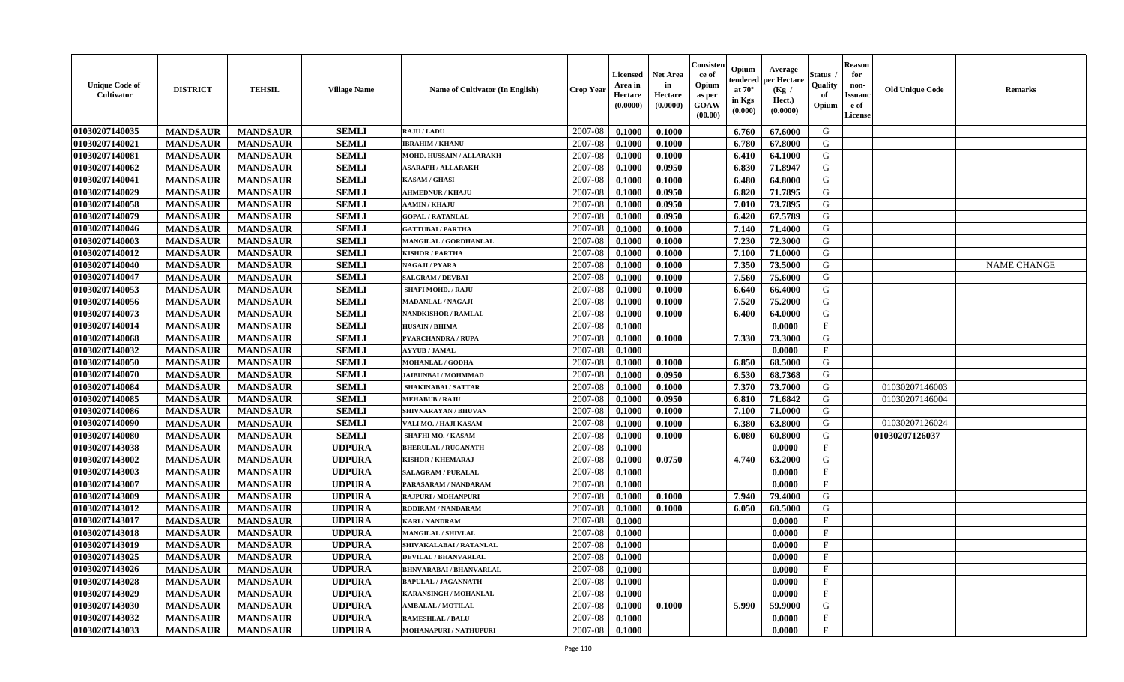| <b>Unique Code of</b><br><b>Cultivator</b> | <b>DISTRICT</b> | <b>TEHSIL</b>   | <b>Village Name</b> | <b>Name of Cultivator (In English)</b> | <b>Crop Year</b> | <b>Licensed</b><br>Area in<br>Hectare<br>(0.0000) | <b>Net Area</b><br>in<br>Hectare<br>(0.0000) | Consisteı<br>ce of<br>Opium<br>as per<br><b>GOAW</b><br>(00.00) | Opium<br>endered<br>at $70^\circ$<br>in Kgs<br>$(\mathbf{0.000})$ | Average<br>per Hectare<br>(Kg /<br>Hect.)<br>(0.0000) | Status<br>Quality<br>of<br>Opium | <b>Reason</b><br>for<br>non-<br>Issuan<br>e of<br>License | <b>Old Unique Code</b> | <b>Remarks</b>     |
|--------------------------------------------|-----------------|-----------------|---------------------|----------------------------------------|------------------|---------------------------------------------------|----------------------------------------------|-----------------------------------------------------------------|-------------------------------------------------------------------|-------------------------------------------------------|----------------------------------|-----------------------------------------------------------|------------------------|--------------------|
| 01030207140035                             | <b>MANDSAUR</b> | <b>MANDSAUR</b> | <b>SEMLI</b>        | <b>RAJU / LADU</b>                     | 2007-08          | 0.1000                                            | 0.1000                                       |                                                                 | 6.760                                                             | 67.6000                                               | G                                |                                                           |                        |                    |
| 01030207140021                             | <b>MANDSAUR</b> | <b>MANDSAUR</b> | <b>SEMLI</b>        | <b>IBRAHIM / KHANU</b>                 | 2007-08          | 0.1000                                            | 0.1000                                       |                                                                 | 6.780                                                             | 67.8000                                               | G                                |                                                           |                        |                    |
| 01030207140081                             | <b>MANDSAUR</b> | <b>MANDSAUR</b> | <b>SEMLI</b>        | MOHD. HUSSAIN / ALLARAKH               | 2007-08          | 0.1000                                            | 0.1000                                       |                                                                 | 6.410                                                             | 64.1000                                               | G                                |                                                           |                        |                    |
| 01030207140062                             | <b>MANDSAUR</b> | <b>MANDSAUR</b> | <b>SEMLI</b>        | <b>ASARAPH / ALLARAKH</b>              | 2007-08          | 0.1000                                            | 0.0950                                       |                                                                 | 6.830                                                             | 71.8947                                               | G                                |                                                           |                        |                    |
| 01030207140041                             | <b>MANDSAUR</b> | <b>MANDSAUR</b> | <b>SEMLI</b>        | <b>KASAM / GHASI</b>                   | 2007-08          | 0.1000                                            | 0.1000                                       |                                                                 | 6.480                                                             | 64.8000                                               | G                                |                                                           |                        |                    |
| 01030207140029                             | <b>MANDSAUR</b> | <b>MANDSAUR</b> | <b>SEMLI</b>        | <b>AHMEDNUR / KHAJU</b>                | 2007-08          | 0.1000                                            | 0.0950                                       |                                                                 | 6.820                                                             | 71.7895                                               | G                                |                                                           |                        |                    |
| 01030207140058                             | <b>MANDSAUR</b> | <b>MANDSAUR</b> | <b>SEMLI</b>        | <b>AAMIN / KHAJU</b>                   | 2007-08          | 0.1000                                            | 0.0950                                       |                                                                 | 7.010                                                             | 73.7895                                               | G                                |                                                           |                        |                    |
| 01030207140079                             | <b>MANDSAUR</b> | <b>MANDSAUR</b> | <b>SEMLI</b>        | <b>GOPAL / RATANLAL</b>                | 2007-08          | 0.1000                                            | 0.0950                                       |                                                                 | 6.420                                                             | 67.5789                                               | G                                |                                                           |                        |                    |
| 01030207140046                             | <b>MANDSAUR</b> | <b>MANDSAUR</b> | <b>SEMLI</b>        | <b>GATTUBAI/PARTHA</b>                 | 2007-08          | 0.1000                                            | 0.1000                                       |                                                                 | 7.140                                                             | 71.4000                                               | G                                |                                                           |                        |                    |
| 01030207140003                             | <b>MANDSAUR</b> | <b>MANDSAUR</b> | <b>SEMLI</b>        | MANGILAL / GORDHANLAL                  | 2007-08          | 0.1000                                            | 0.1000                                       |                                                                 | 7.230                                                             | 72.3000                                               | G                                |                                                           |                        |                    |
| 01030207140012                             | <b>MANDSAUR</b> | <b>MANDSAUR</b> | <b>SEMLI</b>        | <b>KISHOR / PARTHA</b>                 | 2007-08          | 0.1000                                            | 0.1000                                       |                                                                 | 7.100                                                             | 71.0000                                               | G                                |                                                           |                        |                    |
| 01030207140040                             | <b>MANDSAUR</b> | <b>MANDSAUR</b> | <b>SEMLI</b>        | NAGAJI / PYARA                         | 2007-08          | 0.1000                                            | 0.1000                                       |                                                                 | 7.350                                                             | 73.5000                                               | G                                |                                                           |                        | <b>NAME CHANGE</b> |
| 01030207140047                             | <b>MANDSAUR</b> | <b>MANDSAUR</b> | <b>SEMLI</b>        | <b>SALGRAM / DEVBAI</b>                | 2007-08          | 0.1000                                            | 0.1000                                       |                                                                 | 7.560                                                             | 75.6000                                               | G                                |                                                           |                        |                    |
| 01030207140053                             | <b>MANDSAUR</b> | <b>MANDSAUR</b> | <b>SEMLI</b>        | <b>SHAFI MOHD. / RAJU</b>              | 2007-08          | 0.1000                                            | 0.1000                                       |                                                                 | 6.640                                                             | 66.4000                                               | G                                |                                                           |                        |                    |
| 01030207140056                             | <b>MANDSAUR</b> | <b>MANDSAUR</b> | <b>SEMLI</b>        | <b>MADANLAL / NAGAJI</b>               | 2007-08          | 0.1000                                            | 0.1000                                       |                                                                 | 7.520                                                             | 75.2000                                               | G                                |                                                           |                        |                    |
| 01030207140073                             | <b>MANDSAUR</b> | <b>MANDSAUR</b> | <b>SEMLI</b>        | <b>NANDKISHOR / RAMLAL</b>             | 2007-08          | 0.1000                                            | 0.1000                                       |                                                                 | 6.400                                                             | 64.0000                                               | G                                |                                                           |                        |                    |
| 01030207140014                             | <b>MANDSAUR</b> | <b>MANDSAUR</b> | <b>SEMLI</b>        | <b>HUSAIN / BHIMA</b>                  | 2007-08          | 0.1000                                            |                                              |                                                                 |                                                                   | 0.0000                                                | $\mathbf{F}$                     |                                                           |                        |                    |
| 01030207140068                             | <b>MANDSAUR</b> | <b>MANDSAUR</b> | <b>SEMLI</b>        | <b>PYARCHANDRA / RUPA</b>              | 2007-08          | 0.1000                                            | 0.1000                                       |                                                                 | 7.330                                                             | 73.3000                                               | G                                |                                                           |                        |                    |
| 01030207140032                             | <b>MANDSAUR</b> | <b>MANDSAUR</b> | <b>SEMLI</b>        | <b>AYYUB / JAMAL</b>                   | 2007-08          | 0.1000                                            |                                              |                                                                 |                                                                   | 0.0000                                                | F                                |                                                           |                        |                    |
| 01030207140050                             | <b>MANDSAUR</b> | <b>MANDSAUR</b> | <b>SEMLI</b>        | <b>MOHANLAL / GODHA</b>                | 2007-08          | 0.1000                                            | 0.1000                                       |                                                                 | 6.850                                                             | 68.5000                                               | G                                |                                                           |                        |                    |
| 01030207140070                             | <b>MANDSAUR</b> | <b>MANDSAUR</b> | <b>SEMLI</b>        | <b>JAIBUNBAI / MOHMMAD</b>             | 2007-08          | 0.1000                                            | 0.0950                                       |                                                                 | 6.530                                                             | 68.7368                                               | G                                |                                                           |                        |                    |
| 01030207140084                             | <b>MANDSAUR</b> | <b>MANDSAUR</b> | <b>SEMLI</b>        | <b>SHAKINABAI/SATTAR</b>               | 2007-08          | 0.1000                                            | 0.1000                                       |                                                                 | 7.370                                                             | 73.7000                                               | G                                |                                                           | 01030207146003         |                    |
| 01030207140085                             | <b>MANDSAUR</b> | <b>MANDSAUR</b> | <b>SEMLI</b>        | <b>MEHABUB / RAJU</b>                  | 2007-08          | 0.1000                                            | 0.0950                                       |                                                                 | 6.810                                                             | 71.6842                                               | G                                |                                                           | 01030207146004         |                    |
| 01030207140086                             | <b>MANDSAUR</b> | <b>MANDSAUR</b> | <b>SEMLI</b>        | SHIVNARAYAN / BHUVAN                   | 2007-08          | 0.1000                                            | 0.1000                                       |                                                                 | 7.100                                                             | 71.0000                                               | G                                |                                                           |                        |                    |
| 01030207140090                             | <b>MANDSAUR</b> | <b>MANDSAUR</b> | <b>SEMLI</b>        | VALI MO. / HAJI KASAM                  | 2007-08          | 0.1000                                            | 0.1000                                       |                                                                 | 6.380                                                             | 63.8000                                               | G                                |                                                           | 01030207126024         |                    |
| 01030207140080                             | <b>MANDSAUR</b> | <b>MANDSAUR</b> | <b>SEMLI</b>        | <b>SHAFHI MO. / KASAM</b>              | 2007-08          | 0.1000                                            | 0.1000                                       |                                                                 | 6.080                                                             | 60.8000                                               | G                                |                                                           | 01030207126037         |                    |
| 01030207143038                             | <b>MANDSAUR</b> | <b>MANDSAUR</b> | <b>UDPURA</b>       | <b>BHERULAL / RUGANATH</b>             | 2007-08          | 0.1000                                            |                                              |                                                                 |                                                                   | 0.0000                                                | $_{\rm F}$                       |                                                           |                        |                    |
| 01030207143002                             | <b>MANDSAUR</b> | <b>MANDSAUR</b> | <b>UDPURA</b>       | <b>KISHOR / KHEMARAJ</b>               | 2007-08          | 0.1000                                            | 0.0750                                       |                                                                 | 4.740                                                             | 63.2000                                               | G                                |                                                           |                        |                    |
| 01030207143003                             | <b>MANDSAUR</b> | <b>MANDSAUR</b> | <b>UDPURA</b>       | <b>SALAGRAM / PURALAL</b>              | 2007-08          | 0.1000                                            |                                              |                                                                 |                                                                   | 0.0000                                                | $\mathbf{F}$                     |                                                           |                        |                    |
| 01030207143007                             | <b>MANDSAUR</b> | <b>MANDSAUR</b> | <b>UDPURA</b>       | PARASARAM / NANDARAM                   | 2007-08          | 0.1000                                            |                                              |                                                                 |                                                                   | 0.0000                                                | $_{\rm F}$                       |                                                           |                        |                    |
| 01030207143009                             | <b>MANDSAUR</b> | <b>MANDSAUR</b> | <b>UDPURA</b>       | RAJPURI / MOHANPURI                    | 2007-08          | 0.1000                                            | 0.1000                                       |                                                                 | 7.940                                                             | 79.4000                                               | G                                |                                                           |                        |                    |
| 01030207143012                             | <b>MANDSAUR</b> | <b>MANDSAUR</b> | <b>UDPURA</b>       | RODIRAM / NANDARAM                     | 2007-08          | 0.1000                                            | 0.1000                                       |                                                                 | 6.050                                                             | 60.5000                                               | G                                |                                                           |                        |                    |
| 01030207143017                             | <b>MANDSAUR</b> | <b>MANDSAUR</b> | <b>UDPURA</b>       | <b>KARI / NANDRAM</b>                  | 2007-08          | 0.1000                                            |                                              |                                                                 |                                                                   | 0.0000                                                | $\mathbf{F}$                     |                                                           |                        |                    |
| 01030207143018                             | <b>MANDSAUR</b> | <b>MANDSAUR</b> | <b>UDPURA</b>       | <b>MANGILAL / SHIVLAL</b>              | 2007-08          | 0.1000                                            |                                              |                                                                 |                                                                   | 0.0000                                                | $_{\rm F}$                       |                                                           |                        |                    |
| 01030207143019                             | <b>MANDSAUR</b> | <b>MANDSAUR</b> | <b>UDPURA</b>       | SHIVAKALABAI / RATANLAL                | 2007-08          | 0.1000                                            |                                              |                                                                 |                                                                   | 0.0000                                                | $\mathbf{F}$                     |                                                           |                        |                    |
| 01030207143025                             | <b>MANDSAUR</b> | <b>MANDSAUR</b> | <b>UDPURA</b>       | <b>DEVILAL / BHANVARLAL</b>            | $2007 - 08$      | 0.1000                                            |                                              |                                                                 |                                                                   | 0.0000                                                | F                                |                                                           |                        |                    |
| 01030207143026                             | <b>MANDSAUR</b> | <b>MANDSAUR</b> | <b>UDPURA</b>       | <b>BHNVARABAI/BHANVARLAL</b>           | 2007-08          | 0.1000                                            |                                              |                                                                 |                                                                   | 0.0000                                                | $\mathbf{F}$                     |                                                           |                        |                    |
| 01030207143028                             | <b>MANDSAUR</b> | <b>MANDSAUR</b> | <b>UDPURA</b>       | <b>BAPULAL / JAGANNATH</b>             | 2007-08          | 0.1000                                            |                                              |                                                                 |                                                                   | 0.0000                                                | $\mathbf{F}$                     |                                                           |                        |                    |
| 01030207143029                             | <b>MANDSAUR</b> | <b>MANDSAUR</b> | <b>UDPURA</b>       | <b>KARANSINGH / MOHANLAL</b>           | 2007-08          | 0.1000                                            |                                              |                                                                 |                                                                   | 0.0000                                                | $\mathbf{F}$                     |                                                           |                        |                    |
| 01030207143030                             | <b>MANDSAUR</b> | <b>MANDSAUR</b> | <b>UDPURA</b>       | <b>AMBALAL / MOTILAL</b>               | 2007-08          | 0.1000                                            | 0.1000                                       |                                                                 | 5.990                                                             | 59.9000                                               | G                                |                                                           |                        |                    |
| 01030207143032                             | <b>MANDSAUR</b> | <b>MANDSAUR</b> | <b>UDPURA</b>       | <b>RAMESHLAL / BALU</b>                | 2007-08          | 0.1000                                            |                                              |                                                                 |                                                                   | 0.0000                                                | $\mathbf{F}$                     |                                                           |                        |                    |
| 01030207143033                             | <b>MANDSAUR</b> | <b>MANDSAUR</b> | <b>UDPURA</b>       | MOHANAPURI / NATHUPURI                 | 2007-08          | 0.1000                                            |                                              |                                                                 |                                                                   | 0.0000                                                | $\mathbf{F}$                     |                                                           |                        |                    |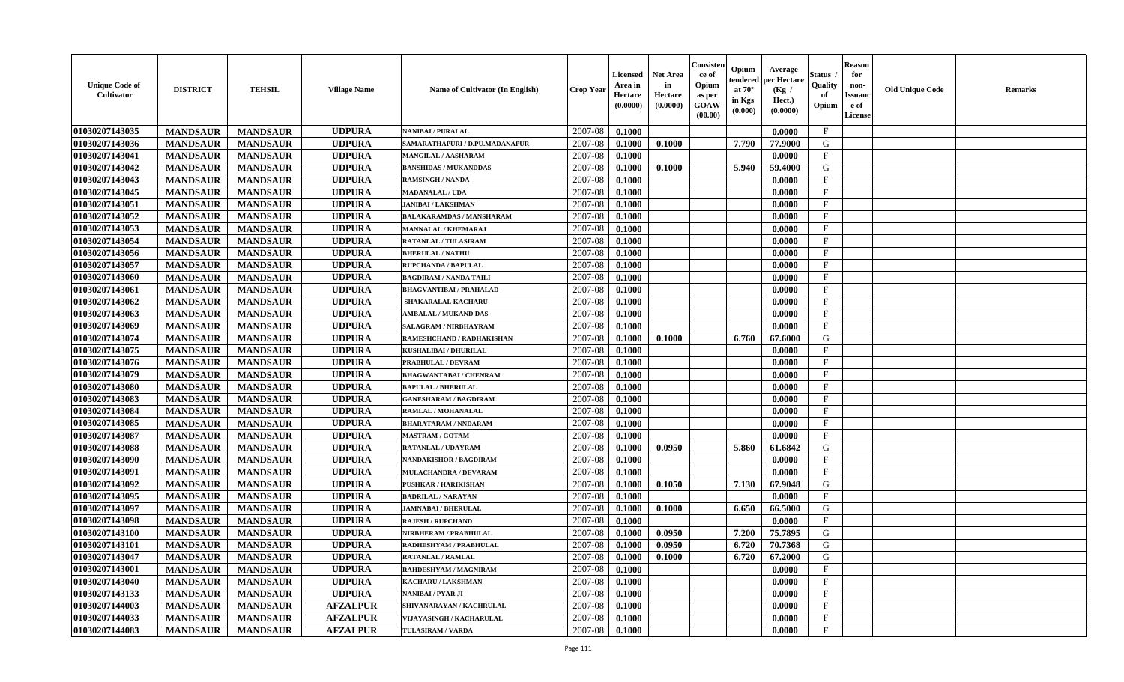| <b>Unique Code of</b><br>Opium<br>Quality<br>non-<br><b>DISTRICT</b><br><b>TEHSIL</b><br>at $70^\circ$<br><b>Old Unique Code</b><br><b>Village Name</b><br>Name of Cultivator (In English)<br><b>Crop Year</b><br>(Kg /<br><b>Cultivator</b><br>Hectare<br>of<br><b>Issuand</b><br>Hectare<br>as per<br>in Kgs<br>Hect.)<br>(0.0000)<br>(0.0000)<br>GOAW<br>Opium<br>e of<br>(0.0000)<br>(0.000)<br>(00.00)<br>License | Remarks |
|------------------------------------------------------------------------------------------------------------------------------------------------------------------------------------------------------------------------------------------------------------------------------------------------------------------------------------------------------------------------------------------------------------------------|---------|
| 01030207143035<br><b>UDPURA</b><br>2007-08<br>$\mathbf{F}$<br><b>MANDSAUR</b><br><b>MANDSAUR</b><br>0.1000<br>0.0000<br><b>NANIBAI / PURALAL</b>                                                                                                                                                                                                                                                                       |         |
| 01030207143036<br><b>UDPURA</b><br>2007-08<br>G<br><b>MANDSAUR</b><br><b>MANDSAUR</b><br>0.1000<br>7.790<br>SAMARATHAPURI / D.PU.MADANAPUR<br>0.1000<br>77.9000                                                                                                                                                                                                                                                        |         |
| 01030207143041<br><b>MANDSAUR</b><br><b>UDPURA</b><br>2007-08<br>$\mathbf{F}$<br><b>MANDSAUR</b><br>MANGILAL / AASHARAM<br>0.1000<br>0.0000                                                                                                                                                                                                                                                                            |         |
| 01030207143042<br><b>MANDSAUR</b><br><b>MANDSAUR</b><br><b>UDPURA</b><br>2007-08<br>0.1000<br>5.940<br>59.4000<br><b>BANSHIDAS / MUKANDDAS</b><br>0.1000<br>G                                                                                                                                                                                                                                                          |         |
| 01030207143043<br><b>MANDSAUR</b><br><b>MANDSAUR</b><br><b>UDPURA</b><br>2007-08<br>0.0000<br>$_{\rm F}$<br><b>RAMSINGH / NANDA</b><br>0.1000                                                                                                                                                                                                                                                                          |         |
| 01030207143045<br><b>MANDSAUR</b><br><b>MANDSAUR</b><br><b>UDPURA</b><br>2007-08<br>F<br>0.1000<br>0.0000<br><b>MADANALAL / UDA</b>                                                                                                                                                                                                                                                                                    |         |
| 01030207143051<br><b>MANDSAUR</b><br><b>UDPURA</b><br>$\mathbf{F}$<br><b>MANDSAUR</b><br>2007-08<br>0.0000<br><b>JANIBAI / LAKSHMAN</b><br>0.1000                                                                                                                                                                                                                                                                      |         |
| 01030207143052<br><b>MANDSAUR</b><br><b>MANDSAUR</b><br><b>UDPURA</b><br>2007-08<br>$\mathbf{F}$<br><b>BALAKARAMDAS / MANSHARAM</b><br>0.1000<br>0.0000                                                                                                                                                                                                                                                                |         |
| 01030207143053<br><b>UDPURA</b><br>2007-08<br><b>MANDSAUR</b><br><b>MANDSAUR</b><br>0.1000<br>0.0000<br>$_{\rm F}$<br><b>MANNALAL / KHEMARAJ</b>                                                                                                                                                                                                                                                                       |         |
| 01030207143054<br><b>UDPURA</b><br>2007-08<br>$_{\rm F}$<br><b>MANDSAUR</b><br><b>MANDSAUR</b><br><b>RATANLAL / TULASIRAM</b><br>0.1000<br>0.0000                                                                                                                                                                                                                                                                      |         |
| 01030207143056<br>F<br><b>MANDSAUR</b><br><b>MANDSAUR</b><br><b>UDPURA</b><br>2007-08<br><b>BHERULAL / NATHU</b><br>0.1000<br>0.0000                                                                                                                                                                                                                                                                                   |         |
| 01030207143057<br><b>MANDSAUR</b><br><b>MANDSAUR</b><br><b>UDPURA</b><br>RUPCHANDA / BAPULAL<br>2007-08<br>0.1000<br>0.0000<br>$\mathbf{F}$                                                                                                                                                                                                                                                                            |         |
| 01030207143060<br><b>MANDSAUR</b><br><b>MANDSAUR</b><br><b>UDPURA</b><br><b>BAGDIRAM / NANDA TAILI</b><br>2007-08<br>0.1000<br>0.0000<br>$\mathbf{F}$                                                                                                                                                                                                                                                                  |         |
| 01030207143061<br><b>MANDSAUR</b><br><b>MANDSAUR</b><br><b>UDPURA</b><br>2007-08<br>$\mathbf{F}$<br><b>BHAGVANTIBAI / PRAHALAD</b><br>0.1000<br>0.0000                                                                                                                                                                                                                                                                 |         |
| F<br>01030207143062<br><b>MANDSAUR</b><br><b>MANDSAUR</b><br><b>UDPURA</b><br>2007-08<br>0.1000<br>0.0000<br><b>SHAKARALAL KACHARU</b>                                                                                                                                                                                                                                                                                 |         |
| 01030207143063<br><b>UDPURA</b><br>2007-08<br>$_{\rm F}$<br><b>MANDSAUR</b><br><b>MANDSAUR</b><br>0.1000<br>0.0000<br><b>AMBALAL / MUKAND DAS</b>                                                                                                                                                                                                                                                                      |         |
| 01030207143069<br><b>UDPURA</b><br>2007-08<br>$\mathbf{F}$<br><b>MANDSAUR</b><br><b>MANDSAUR</b><br>0.1000<br>0.0000<br>SALAGRAM / NIRBHAYRAM                                                                                                                                                                                                                                                                          |         |
| 01030207143074<br><b>MANDSAUR</b><br><b>UDPURA</b><br>2007-08<br>G<br><b>MANDSAUR</b><br>0.1000<br>6.760<br>67.6000<br>0.1000<br>RAMESHCHAND / RADHAKISHAN                                                                                                                                                                                                                                                             |         |
| 01030207143075<br><b>UDPURA</b><br>F<br><b>MANDSAUR</b><br><b>MANDSAUR</b><br>2007-08<br>0.1000<br>0.0000<br>KUSHALIBAI / DHURILAL                                                                                                                                                                                                                                                                                     |         |
| 01030207143076<br>2007-08<br>$\mathbf{F}$<br><b>MANDSAUR</b><br><b>MANDSAUR</b><br><b>UDPURA</b><br>PRABHULAL / DEVRAM<br>0.1000<br>0.0000                                                                                                                                                                                                                                                                             |         |
| 01030207143079<br><b>MANDSAUR</b><br><b>MANDSAUR</b><br><b>UDPURA</b><br>2007-08<br><b>BHAGWANTABAI / CHENRAM</b><br>0.1000<br>0.0000<br>$\mathbf{F}$                                                                                                                                                                                                                                                                  |         |
| 01030207143080<br><b>MANDSAUR</b><br><b>MANDSAUR</b><br><b>UDPURA</b><br>2007-08<br>$_{\rm F}$<br><b>BAPULAL / BHERULAL</b><br>0.1000<br>0.0000                                                                                                                                                                                                                                                                        |         |
| 01030207143083<br><b>MANDSAUR</b><br>F<br><b>MANDSAUR</b><br><b>UDPURA</b><br>2007-08<br>0.0000<br><b>GANESHARAM / BAGDIRAM</b><br>0.1000                                                                                                                                                                                                                                                                              |         |
| 01030207143084<br><b>UDPURA</b><br>2007-08<br>$_{\rm F}$<br><b>MANDSAUR</b><br><b>MANDSAUR</b><br>0.1000<br>RAMLAL / MOHANALAL<br>0.0000                                                                                                                                                                                                                                                                               |         |
| 01030207143085<br><b>UDPURA</b><br><b>MANDSAUR</b><br><b>MANDSAUR</b><br>2007-08<br>$\mathbf{F}$<br><b>BHARATARAM / NNDARAM</b><br>0.1000<br>0.0000                                                                                                                                                                                                                                                                    |         |
| 01030207143087<br><b>UDPURA</b><br><b>MANDSAUR</b><br>2007-08<br>$\mathbf F$<br><b>MANDSAUR</b><br>0.1000<br>0.0000<br><b>MASTRAM / GOTAM</b>                                                                                                                                                                                                                                                                          |         |
| 01030207143088<br><b>MANDSAUR</b><br><b>UDPURA</b><br>2007-08<br>0.0950<br>61.6842<br>G<br><b>MANDSAUR</b><br>0.1000<br>5.860<br><b>RATANLAL / UDAYRAM</b>                                                                                                                                                                                                                                                             |         |
| 01030207143090<br><b>MANDSAUR</b><br><b>UDPURA</b><br>2007-08<br>$\mathbf{F}$<br><b>MANDSAUR</b><br><b>NANDAKISHOR / BAGDIRAM</b><br>0.1000<br>0.0000                                                                                                                                                                                                                                                                  |         |
| 01030207143091<br><b>MANDSAUR</b><br><b>MANDSAUR</b><br><b>UDPURA</b><br>2007-08<br>0.1000<br>0.0000<br>$\mathbf{F}$<br>MULACHANDRA / DEVARAM                                                                                                                                                                                                                                                                          |         |
| 01030207143092<br><b>MANDSAUR</b><br><b>MANDSAUR</b><br><b>UDPURA</b><br><b>PUSHKAR / HARIKISHAN</b><br>2007-08<br>0.1050<br>7.130<br>67.9048<br>G<br>0.1000                                                                                                                                                                                                                                                           |         |
| 01030207143095<br><b>MANDSAUR</b><br><b>MANDSAUR</b><br><b>UDPURA</b><br>2007-08<br>$\mathbf{F}$<br>0.1000<br>0.0000<br><b>BADRILAL / NARAYAN</b>                                                                                                                                                                                                                                                                      |         |
| 01030207143097<br>G<br><b>MANDSAUR</b><br><b>MANDSAUR</b><br><b>UDPURA</b><br>2007-08<br><b>JAMNABAI / BHERULAL</b><br>0.1000<br>0.1000<br>6.650<br>66.5000                                                                                                                                                                                                                                                            |         |
| $\mathbf{F}$<br>01030207143098<br><b>MANDSAUR</b><br><b>MANDSAUR</b><br><b>UDPURA</b><br>2007-08<br><b>RAJESH / RUPCHAND</b><br>0.1000<br>0.0000                                                                                                                                                                                                                                                                       |         |
| 01030207143100<br><b>UDPURA</b><br>2007-08<br><b>MANDSAUR</b><br><b>MANDSAUR</b><br>0.1000<br>0.0950<br>7.200<br>75.7895<br>G<br>NIRBHERAM / PRABHULAL                                                                                                                                                                                                                                                                 |         |
| 01030207143101<br><b>MANDSAUR</b><br><b>MANDSAUR</b><br><b>UDPURA</b><br>2007-08<br>0.0950<br>6.720<br>70.7368<br>G<br>RADHESHYAM / PRABHULAL<br>0.1000                                                                                                                                                                                                                                                                |         |
| 01030207143047<br><b>MANDSAUR</b><br><b>MANDSAUR</b><br><b>UDPURA</b><br>2007-08<br>0.1000<br>6.720<br>67.2000<br>G<br><b>RATANLAL / RAMLAL</b><br>0.1000                                                                                                                                                                                                                                                              |         |
| 01030207143001<br><b>UDPURA</b><br>$\rm F$<br><b>MANDSAUR</b><br><b>MANDSAUR</b><br>RAHDESHYAM / MAGNIRAM<br>2007-08<br>0.1000<br>0.0000                                                                                                                                                                                                                                                                               |         |
| 01030207143040<br><b>MANDSAUR</b><br><b>MANDSAUR</b><br><b>UDPURA</b><br>KACHARU / LAKSHMAN<br>2007-08<br>0.1000<br>0.0000<br>$\mathbf{F}$                                                                                                                                                                                                                                                                             |         |
| 01030207143133<br><b>MANDSAUR</b><br><b>MANDSAUR</b><br><b>UDPURA</b><br>2007-08<br>$\mathbf{F}$<br>NANIBAI / PYAR JI<br>0.1000<br>0.0000                                                                                                                                                                                                                                                                              |         |
| 01030207144003<br><b>AFZALPUR</b><br><b>MANDSAUR</b><br><b>MANDSAUR</b><br>2007-08<br>F<br>0.1000<br>0.0000<br>SHIVANARAYAN / KACHRULAL                                                                                                                                                                                                                                                                                |         |
| 01030207144033<br>$\mathbf{F}$<br><b>MANDSAUR</b><br><b>AFZALPUR</b><br>2007-08<br>0.0000<br><b>MANDSAUR</b><br><b>VIJAYASINGH / KACHARULAL</b><br>0.1000                                                                                                                                                                                                                                                              |         |
| 01030207144083<br><b>AFZALPUR</b><br>2007-08<br>$\mathbf{F}$<br><b>MANDSAUR</b><br><b>MANDSAUR</b><br>0.1000<br>0.0000<br><b>TULASIRAM / VARDA</b>                                                                                                                                                                                                                                                                     |         |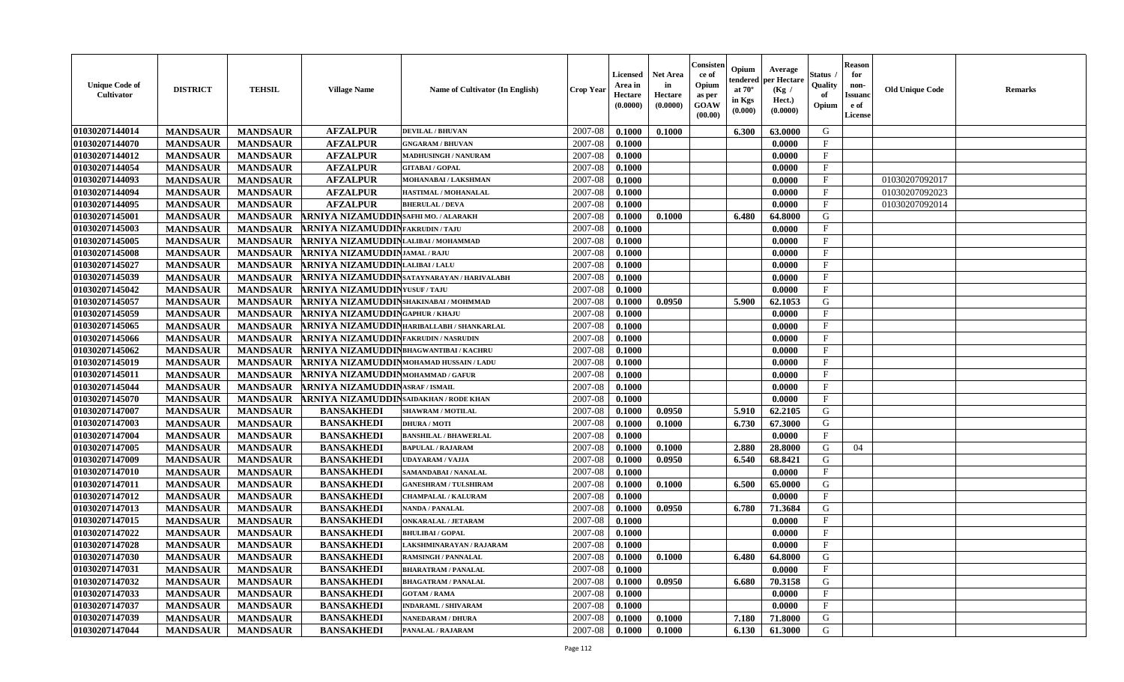| <b>Unique Code of</b><br>Cultivator | <b>DISTRICT</b> | <b>TEHSIL</b>   | <b>Village Name</b>                            | Name of Cultivator (In English)            | <b>Crop Year</b> | <b>Licensed</b><br>Area in<br>Hectare<br>(0.0000) | <b>Net Area</b><br>in<br>Hectare<br>(0.0000) | Consisten<br>ce of<br>Opium<br>as per<br><b>GOAW</b><br>(00.00) | Opium<br>endered<br>at $70^\circ$<br>in Kgs<br>(0.000) | Average<br>per Hectare<br>(Kg /<br>Hect.)<br>(0.0000) | Status ,<br>Quality<br>of<br>Opium | <b>Reason</b><br>for<br>non-<br><b>Issuanc</b><br>e of<br><b>License</b> | <b>Old Unique Code</b> | <b>Remarks</b> |
|-------------------------------------|-----------------|-----------------|------------------------------------------------|--------------------------------------------|------------------|---------------------------------------------------|----------------------------------------------|-----------------------------------------------------------------|--------------------------------------------------------|-------------------------------------------------------|------------------------------------|--------------------------------------------------------------------------|------------------------|----------------|
| 01030207144014                      | <b>MANDSAUR</b> | <b>MANDSAUR</b> | <b>AFZALPUR</b>                                | <b>DEVILAL / BHUVAN</b>                    | 2007-08          | 0.1000                                            | 0.1000                                       |                                                                 | 6.300                                                  | 63.0000                                               | G                                  |                                                                          |                        |                |
| 01030207144070                      | <b>MANDSAUR</b> | <b>MANDSAUR</b> | <b>AFZALPUR</b>                                | <b>GNGARAM / BHUVAN</b>                    | 2007-08          | 0.1000                                            |                                              |                                                                 |                                                        | 0.0000                                                | $\mathbf{F}$                       |                                                                          |                        |                |
| 01030207144012                      | <b>MANDSAUR</b> | <b>MANDSAUR</b> | <b>AFZALPUR</b>                                | <b>MADHUSINGH / NANURAM</b>                | 2007-08          | 0.1000                                            |                                              |                                                                 |                                                        | 0.0000                                                | $\mathbf{F}$                       |                                                                          |                        |                |
| 01030207144054                      | <b>MANDSAUR</b> | <b>MANDSAUR</b> | <b>AFZALPUR</b>                                | <b>GITABAI/GOPAL</b>                       | 2007-08          | 0.1000                                            |                                              |                                                                 |                                                        | 0.0000                                                | $\mathbf{F}$                       |                                                                          |                        |                |
| 01030207144093                      | <b>MANDSAUR</b> | <b>MANDSAUR</b> | <b>AFZALPUR</b>                                | MOHANABAI / LAKSHMAN                       | 2007-08          | 0.1000                                            |                                              |                                                                 |                                                        | 0.0000                                                | $\mathbf{F}$                       |                                                                          | 01030207092017         |                |
| 01030207144094                      | <b>MANDSAUR</b> | <b>MANDSAUR</b> | <b>AFZALPUR</b>                                | HASTIMAL / MOHANALAL                       | 2007-08          | 0.1000                                            |                                              |                                                                 |                                                        | 0.0000                                                | $\mathbf{F}$                       |                                                                          | 01030207092023         |                |
| 01030207144095                      | <b>MANDSAUR</b> | <b>MANDSAUR</b> | <b>AFZALPUR</b>                                | <b>BHERULAL / DEVA</b>                     | 2007-08          | 0.1000                                            |                                              |                                                                 |                                                        | 0.0000                                                | $\mathbf{F}$                       |                                                                          | 01030207092014         |                |
| 01030207145001                      | <b>MANDSAUR</b> | <b>MANDSAUR</b> | ARNIYA NIZAMUDDIN SAFHI MO. / ALARAKH          |                                            | 2007-08          | 0.1000                                            | 0.1000                                       |                                                                 | 6.480                                                  | 64.8000                                               | G                                  |                                                                          |                        |                |
| 01030207145003                      | <b>MANDSAUR</b> | <b>MANDSAUR</b> | <b>ARNIYA NIZAMUDDINFAKRUDIN/TAJU</b>          |                                            | 2007-08          | 0.1000                                            |                                              |                                                                 |                                                        | 0.0000                                                | $\mathbf F$                        |                                                                          |                        |                |
| 01030207145005                      | <b>MANDSAUR</b> | <b>MANDSAUR</b> | ARNIYA NIZAMUDDINLALIBAI/MOHAMMAD              |                                            | 2007-08          | 0.1000                                            |                                              |                                                                 |                                                        | 0.0000                                                | $\mathbf{F}$                       |                                                                          |                        |                |
| 01030207145008                      | <b>MANDSAUR</b> | <b>MANDSAUR</b> | <b>ARNIYA NIZAMUDDINJAMAL/RAJU</b>             |                                            | 2007-08          | 0.1000                                            |                                              |                                                                 |                                                        | 0.0000                                                | $\mathbf{F}$                       |                                                                          |                        |                |
| 01030207145027                      | <b>MANDSAUR</b> | <b>MANDSAUR</b> | ARNIYA NIZAMUDDINLALIBAI/LALU                  |                                            | 2007-08          | 0.1000                                            |                                              |                                                                 |                                                        | 0.0000                                                | $\mathbf{F}$                       |                                                                          |                        |                |
| 01030207145039                      | <b>MANDSAUR</b> | <b>MANDSAUR</b> |                                                | ARNIYA NIZAMUDDINSATAYNARAYAN / HARIVALABH | 2007-08          | 0.1000                                            |                                              |                                                                 |                                                        | 0.0000                                                | $\mathbf{F}$                       |                                                                          |                        |                |
| 01030207145042                      | <b>MANDSAUR</b> | <b>MANDSAUR</b> | <b>ARNIYA NIZAMUDDIN</b> YUSUF/TAJU            |                                            | 2007-08          | 0.1000                                            |                                              |                                                                 |                                                        | 0.0000                                                | $\mathbf{F}$                       |                                                                          |                        |                |
| 01030207145057                      | <b>MANDSAUR</b> | <b>MANDSAUR</b> | ARNIYA NIZAMUDDINSHAKINABAI/MOHMMAD            |                                            | 2007-08          | 0.1000                                            | 0.0950                                       |                                                                 | 5.900                                                  | 62.1053                                               | G                                  |                                                                          |                        |                |
| 01030207145059                      | <b>MANDSAUR</b> | <b>MANDSAUR</b> | <b>ARNIYA NIZAMUDDINGAPHUR / KHAJU</b>         |                                            | 2007-08          | 0.1000                                            |                                              |                                                                 |                                                        | 0.0000                                                | $\mathbf F$                        |                                                                          |                        |                |
| 01030207145065                      | <b>MANDSAUR</b> | <b>MANDSAUR</b> |                                                | ARNIYA NIZAMUDDINHARIBALLABH / SHANKARLAL  | 2007-08          | 0.1000                                            |                                              |                                                                 |                                                        | 0.0000                                                | $\mathbf{F}$                       |                                                                          |                        |                |
| 01030207145066                      | <b>MANDSAUR</b> | <b>MANDSAUR</b> | <b>ARNIYA NIZAMUDDINFAKRUDIN / NASRUDIN</b>    |                                            | 2007-08          | 0.1000                                            |                                              |                                                                 |                                                        | 0.0000                                                | $\mathbf F$                        |                                                                          |                        |                |
| 01030207145062                      | <b>MANDSAUR</b> | <b>MANDSAUR</b> | ARNIYA NIZAMUDDINBHAGWANTIBAI/KACHRU           |                                            | 2007-08          | 0.1000                                            |                                              |                                                                 |                                                        | 0.0000                                                | $\mathbf{F}$                       |                                                                          |                        |                |
| 01030207145019                      | <b>MANDSAUR</b> | <b>MANDSAUR</b> | ARNIYA NIZAMUDDINMOHAMAD HUSSAIN / LADU        |                                            | 2007-08          | 0.1000                                            |                                              |                                                                 |                                                        | 0.0000                                                | $\mathbf{F}$                       |                                                                          |                        |                |
| 01030207145011                      | <b>MANDSAUR</b> | <b>MANDSAUR</b> | ARNIYA NIZAMUDDIN MOHAMMAD / GAFUR             |                                            | 2007-08          | 0.1000                                            |                                              |                                                                 |                                                        | 0.0000                                                | $\mathbf{F}$                       |                                                                          |                        |                |
| 01030207145044                      | <b>MANDSAUR</b> | <b>MANDSAUR</b> | <b>ARNIYA NIZAMUDDINASRAF / ISMAIL</b>         |                                            | 2007-08          | 0.1000                                            |                                              |                                                                 |                                                        | 0.0000                                                | $\mathbf{F}$                       |                                                                          |                        |                |
| 01030207145070                      | <b>MANDSAUR</b> | <b>MANDSAUR</b> | <b>ARNIYA NIZAMUDDIN</b> SAIDAKHAN / RODE KHAN |                                            | 2007-08          | 0.1000                                            |                                              |                                                                 |                                                        | 0.0000                                                | $\mathbf{F}$                       |                                                                          |                        |                |
| 01030207147007                      | <b>MANDSAUR</b> | <b>MANDSAUR</b> | <b>BANSAKHEDI</b>                              | <b>SHAWRAM / MOTILAL</b>                   | 2007-08          | 0.1000                                            | 0.0950                                       |                                                                 | 5.910                                                  | 62.2105                                               | G                                  |                                                                          |                        |                |
| 01030207147003                      | <b>MANDSAUR</b> | <b>MANDSAUR</b> | <b>BANSAKHEDI</b>                              | <b>DHURA / MOTI</b>                        | 2007-08          | 0.1000                                            | 0.1000                                       |                                                                 | 6.730                                                  | 67.3000                                               | G                                  |                                                                          |                        |                |
| 01030207147004                      | <b>MANDSAUR</b> | <b>MANDSAUR</b> | <b>BANSAKHEDI</b>                              | <b>BANSHILAL / BHAWERLAL</b>               | 2007-08          | 0.1000                                            |                                              |                                                                 |                                                        | 0.0000                                                | F                                  |                                                                          |                        |                |
| 01030207147005                      | <b>MANDSAUR</b> | <b>MANDSAUR</b> | <b>BANSAKHEDI</b>                              | <b>BAPULAL / RAJARAM</b>                   | 2007-08          | 0.1000                                            | 0.1000                                       |                                                                 | 2.880                                                  | 28.8000                                               | G                                  | 04                                                                       |                        |                |
| 01030207147009                      | <b>MANDSAUR</b> | <b>MANDSAUR</b> | <b>BANSAKHEDI</b>                              | <b>UDAYARAM / VAJJA</b>                    | 2007-08          | 0.1000                                            | 0.0950                                       |                                                                 | 6.540                                                  | 68.8421                                               | G                                  |                                                                          |                        |                |
| 01030207147010                      | <b>MANDSAUR</b> | <b>MANDSAUR</b> | <b>BANSAKHEDI</b>                              | SAMANDABAI / NANALAL                       | 2007-08          | 0.1000                                            |                                              |                                                                 |                                                        | 0.0000                                                | $\mathbf F$                        |                                                                          |                        |                |
| 01030207147011                      | <b>MANDSAUR</b> | <b>MANDSAUR</b> | <b>BANSAKHEDI</b>                              | <b>GANESHRAM / TULSHIRAM</b>               | 2007-08          | 0.1000                                            | 0.1000                                       |                                                                 | 6.500                                                  | 65.0000                                               | G                                  |                                                                          |                        |                |
| 01030207147012                      | <b>MANDSAUR</b> | <b>MANDSAUR</b> | <b>BANSAKHEDI</b>                              | <b>CHAMPALAL / KALURAM</b>                 | 2007-08          | 0.1000                                            |                                              |                                                                 |                                                        | 0.0000                                                | $\mathbf{F}$                       |                                                                          |                        |                |
| 01030207147013                      | <b>MANDSAUR</b> | <b>MANDSAUR</b> | <b>BANSAKHEDI</b>                              | <b>NANDA / PANALAL</b>                     | 2007-08          | 0.1000                                            | 0.0950                                       |                                                                 | 6.780                                                  | 71.3684                                               | ${\bf G}$                          |                                                                          |                        |                |
| 01030207147015                      | <b>MANDSAUR</b> | <b>MANDSAUR</b> | <b>BANSAKHEDI</b>                              | <b>ONKARALAL / JETARAM</b>                 | 2007-08          | 0.1000                                            |                                              |                                                                 |                                                        | 0.0000                                                | $\mathbf F$                        |                                                                          |                        |                |
| 01030207147022                      | <b>MANDSAUR</b> | <b>MANDSAUR</b> | <b>BANSAKHEDI</b>                              | <b>BHULIBAI/GOPAL</b>                      | 2007-08          | 0.1000                                            |                                              |                                                                 |                                                        | 0.0000                                                | $\mathbf{F}$                       |                                                                          |                        |                |
| 01030207147028                      | <b>MANDSAUR</b> | <b>MANDSAUR</b> | <b>BANSAKHEDI</b>                              | LAKSHMINARAYAN / RAJARAM                   | 2007-08          | 0.1000                                            |                                              |                                                                 |                                                        | 0.0000                                                | $\mathbf{F}$                       |                                                                          |                        |                |
| 01030207147030                      | <b>MANDSAUR</b> | <b>MANDSAUR</b> | <b>BANSAKHEDI</b>                              | <b>RAMSINGH / PANNALAL</b>                 | 2007-08          | 0.1000                                            | 0.1000                                       |                                                                 | 6.480                                                  | 64.8000                                               | G                                  |                                                                          |                        |                |
| 01030207147031                      | <b>MANDSAUR</b> | <b>MANDSAUR</b> | <b>BANSAKHEDI</b>                              | <b>BHARATRAM / PANALAL</b>                 | 2007-08          | 0.1000                                            |                                              |                                                                 |                                                        | 0.0000                                                | $\mathbf{F}$                       |                                                                          |                        |                |
| 01030207147032                      | <b>MANDSAUR</b> | <b>MANDSAUR</b> | <b>BANSAKHEDI</b>                              | <b>BHAGATRAM / PANALAL</b>                 | 2007-08          | 0.1000                                            | 0.0950                                       |                                                                 | 6.680                                                  | 70.3158                                               | G                                  |                                                                          |                        |                |
| 01030207147033                      | <b>MANDSAUR</b> | <b>MANDSAUR</b> | <b>BANSAKHEDI</b>                              | <b>GOTAM / RAMA</b>                        | 2007-08          | 0.1000                                            |                                              |                                                                 |                                                        | 0.0000                                                | $\mathbf{F}$                       |                                                                          |                        |                |
| 01030207147037                      | <b>MANDSAUR</b> | <b>MANDSAUR</b> | <b>BANSAKHEDI</b>                              | <b>INDARAML / SHIVARAM</b>                 | 2007-08          | 0.1000                                            |                                              |                                                                 |                                                        | 0.0000                                                | F                                  |                                                                          |                        |                |
| 01030207147039                      | <b>MANDSAUR</b> | <b>MANDSAUR</b> | <b>BANSAKHEDI</b>                              | <b>NANEDARAM / DHURA</b>                   | 2007-08          | 0.1000                                            | 0.1000                                       |                                                                 | 7.180                                                  | 71.8000                                               | G                                  |                                                                          |                        |                |
| 01030207147044                      | <b>MANDSAUR</b> | <b>MANDSAUR</b> | <b>BANSAKHEDI</b>                              | <b>PANALAL / RAJARAM</b>                   | 2007-08          | 0.1000                                            | 0.1000                                       |                                                                 | 6.130                                                  | 61.3000                                               | G                                  |                                                                          |                        |                |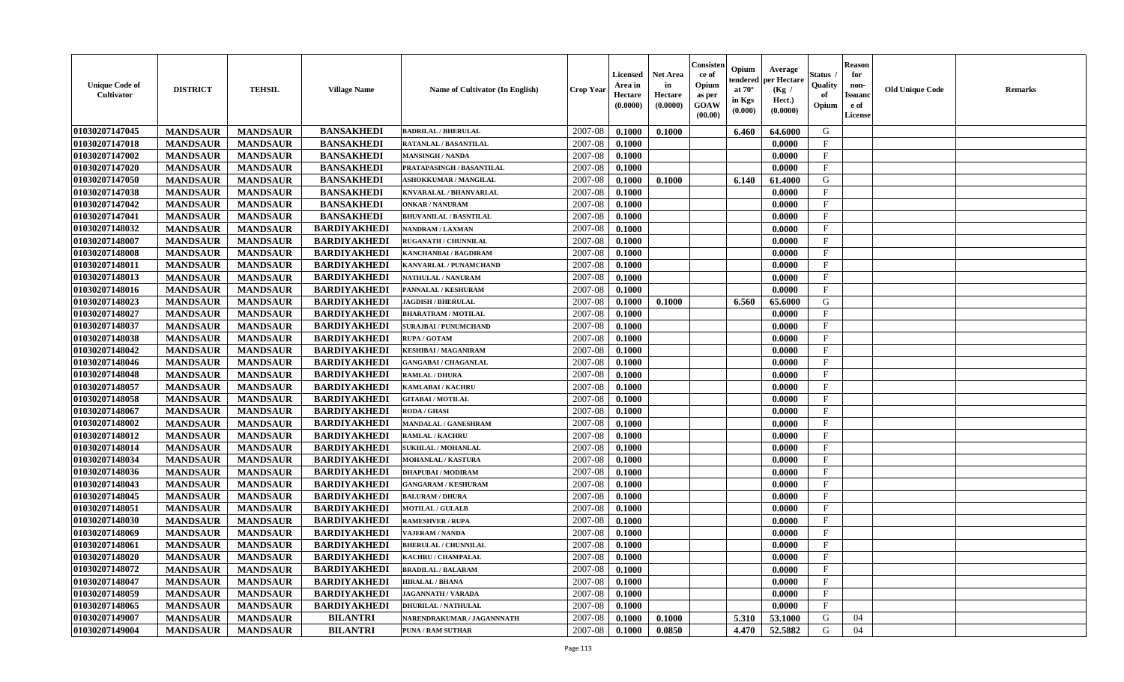| <b>Unique Code of</b><br><b>Cultivator</b> | <b>DISTRICT</b> | <b>TEHSIL</b>   | <b>Village Name</b> | Name of Cultivator (In English) | <b>Crop Year</b> | <b>Licensed</b><br>Area in<br>Hectare<br>(0.0000) | <b>Net Area</b><br>in<br>Hectare<br>(0.0000) | Consister<br>ce of<br>Opium<br>as per<br><b>GOAW</b><br>(00.00) | Opium<br>endered<br>at $70^\circ$<br>in Kgs<br>(0.000) | Average<br>per Hectare<br>(Kg /<br>Hect.)<br>(0.0000) | Status<br>Quality<br>of<br>Opium | <b>Reason</b><br>for<br>non-<br><b>Issuand</b><br>e of<br>License | <b>Old Unique Code</b> | <b>Remarks</b> |
|--------------------------------------------|-----------------|-----------------|---------------------|---------------------------------|------------------|---------------------------------------------------|----------------------------------------------|-----------------------------------------------------------------|--------------------------------------------------------|-------------------------------------------------------|----------------------------------|-------------------------------------------------------------------|------------------------|----------------|
| 01030207147045                             | <b>MANDSAUR</b> | <b>MANDSAUR</b> | <b>BANSAKHEDI</b>   | <b>BADRILAL / BHERULAL</b>      | 2007-08          | 0.1000                                            | 0.1000                                       |                                                                 | 6.460                                                  | 64.6000                                               | G                                |                                                                   |                        |                |
| 01030207147018                             | <b>MANDSAUR</b> | <b>MANDSAUR</b> | <b>BANSAKHEDI</b>   | RATANLAL / BASANTILAL           | 2007-08          | 0.1000                                            |                                              |                                                                 |                                                        | 0.0000                                                | $\mathbf F$                      |                                                                   |                        |                |
| 01030207147002                             | <b>MANDSAUR</b> | <b>MANDSAUR</b> | <b>BANSAKHEDI</b>   | <b>MANSINGH / NANDA</b>         | 2007-08          | 0.1000                                            |                                              |                                                                 |                                                        | 0.0000                                                | $\mathbf{F}$                     |                                                                   |                        |                |
| 01030207147020                             | <b>MANDSAUR</b> | <b>MANDSAUR</b> | <b>BANSAKHEDI</b>   | PRATAPASINGH / BASANTILAL       | 2007-08          | 0.1000                                            |                                              |                                                                 |                                                        | 0.0000                                                | $\mathbf{F}$                     |                                                                   |                        |                |
| 01030207147050                             | <b>MANDSAUR</b> | <b>MANDSAUR</b> | <b>BANSAKHEDI</b>   | <b>ASHOKKUMAR / MANGILAL</b>    | 2007-08          | 0.1000                                            | 0.1000                                       |                                                                 | 6.140                                                  | 61.4000                                               | G                                |                                                                   |                        |                |
| 01030207147038                             | <b>MANDSAUR</b> | <b>MANDSAUR</b> | <b>BANSAKHEDI</b>   | <b>KNVARALAL / BHANVARLAL</b>   | 2007-08          | 0.1000                                            |                                              |                                                                 |                                                        | 0.0000                                                | $_{\rm F}$                       |                                                                   |                        |                |
| 01030207147042                             | <b>MANDSAUR</b> | <b>MANDSAUR</b> | <b>BANSAKHEDI</b>   | <b>ONKAR / NANURAM</b>          | 2007-08          | 0.1000                                            |                                              |                                                                 |                                                        | 0.0000                                                | F                                |                                                                   |                        |                |
| 01030207147041                             | <b>MANDSAUR</b> | <b>MANDSAUR</b> | <b>BANSAKHEDI</b>   | <b>BHUVANILAL / BASNTILAL</b>   | 2007-08          | 0.1000                                            |                                              |                                                                 |                                                        | 0.0000                                                | $\mathbf{F}$                     |                                                                   |                        |                |
| 01030207148032                             | <b>MANDSAUR</b> | <b>MANDSAUR</b> | <b>BARDIYAKHEDI</b> | <b>NANDRAM / LAXMAN</b>         | 2007-08          | 0.1000                                            |                                              |                                                                 |                                                        | 0.0000                                                | $_{\rm F}$                       |                                                                   |                        |                |
| 01030207148007                             | <b>MANDSAUR</b> | <b>MANDSAUR</b> | <b>BARDIYAKHEDI</b> | <b>RUGANATH / CHUNNILAL</b>     | 2007-08          | 0.1000                                            |                                              |                                                                 |                                                        | 0.0000                                                | $\mathbf{F}$                     |                                                                   |                        |                |
| 01030207148008                             | <b>MANDSAUR</b> | <b>MANDSAUR</b> | <b>BARDIYAKHEDI</b> | <b>KANCHANBAI / BAGDIRAM</b>    | 2007-08          | 0.1000                                            |                                              |                                                                 |                                                        | 0.0000                                                | $\mathbf{F}$                     |                                                                   |                        |                |
| 01030207148011                             | <b>MANDSAUR</b> | <b>MANDSAUR</b> | <b>BARDIYAKHEDI</b> | KANVARLAL / PUNAMCHAND          | 2007-08          | 0.1000                                            |                                              |                                                                 |                                                        | 0.0000                                                | $\mathbf{F}$                     |                                                                   |                        |                |
| 01030207148013                             | <b>MANDSAUR</b> | <b>MANDSAUR</b> | <b>BARDIYAKHEDI</b> | <b>NATHULAL / NANURAM</b>       | 2007-08          | 0.1000                                            |                                              |                                                                 |                                                        | 0.0000                                                | $\mathbf{F}$                     |                                                                   |                        |                |
| 01030207148016                             | <b>MANDSAUR</b> | <b>MANDSAUR</b> | <b>BARDIYAKHEDI</b> | PANNALAL / KESHURAM             | 2007-08          | 0.1000                                            |                                              |                                                                 |                                                        | 0.0000                                                | $_{\rm F}$                       |                                                                   |                        |                |
| 01030207148023                             | <b>MANDSAUR</b> | <b>MANDSAUR</b> | <b>BARDIYAKHEDI</b> | <b>JAGDISH / BHERULAL</b>       | 2007-08          | 0.1000                                            | 0.1000                                       |                                                                 | 6.560                                                  | 65.6000                                               | G                                |                                                                   |                        |                |
| 01030207148027                             | <b>MANDSAUR</b> | <b>MANDSAUR</b> | <b>BARDIYAKHEDI</b> | <b>BHARATRAM / MOTILAL</b>      | 2007-08          | 0.1000                                            |                                              |                                                                 |                                                        | 0.0000                                                | $\mathbf{F}$                     |                                                                   |                        |                |
| 01030207148037                             | <b>MANDSAUR</b> | <b>MANDSAUR</b> | <b>BARDIYAKHEDI</b> | <b>SURAJBAI / PUNUMCHAND</b>    | 2007-08          | 0.1000                                            |                                              |                                                                 |                                                        | 0.0000                                                | $\rm F$                          |                                                                   |                        |                |
| 01030207148038                             | <b>MANDSAUR</b> | <b>MANDSAUR</b> | <b>BARDIYAKHEDI</b> | <b>RUPA / GOTAM</b>             | 2007-08          | 0.1000                                            |                                              |                                                                 |                                                        | 0.0000                                                | $\mathbf{F}$                     |                                                                   |                        |                |
| 01030207148042                             | <b>MANDSAUR</b> | <b>MANDSAUR</b> | <b>BARDIYAKHEDI</b> | <b>KESHIBAI / MAGANIRAM</b>     | 2007-08          | 0.1000                                            |                                              |                                                                 |                                                        | 0.0000                                                | F                                |                                                                   |                        |                |
| 01030207148046                             | <b>MANDSAUR</b> | <b>MANDSAUR</b> | <b>BARDIYAKHEDI</b> | <b>GANGABAI/CHAGANLAL</b>       | 2007-08          | 0.1000                                            |                                              |                                                                 |                                                        | 0.0000                                                | $\mathbf{F}$                     |                                                                   |                        |                |
| 01030207148048                             | <b>MANDSAUR</b> | <b>MANDSAUR</b> | <b>BARDIYAKHEDI</b> | <b>RAMLAL / DHURA</b>           | 2007-08          | 0.1000                                            |                                              |                                                                 |                                                        | 0.0000                                                | $\mathbf{F}$                     |                                                                   |                        |                |
| 01030207148057                             | <b>MANDSAUR</b> | <b>MANDSAUR</b> | <b>BARDIYAKHEDI</b> | <b>KAMLABAI/KACHRU</b>          | 2007-08          | 0.1000                                            |                                              |                                                                 |                                                        | 0.0000                                                | $_{\rm F}$                       |                                                                   |                        |                |
| 01030207148058                             | <b>MANDSAUR</b> | <b>MANDSAUR</b> | <b>BARDIYAKHEDI</b> | <b>GITABAI/MOTILAL</b>          | 2007-08          | 0.1000                                            |                                              |                                                                 |                                                        | 0.0000                                                | $\mathbf{F}$                     |                                                                   |                        |                |
| 01030207148067                             | <b>MANDSAUR</b> | <b>MANDSAUR</b> | <b>BARDIYAKHEDI</b> | RODA / GHASI                    | 2007-08          | 0.1000                                            |                                              |                                                                 |                                                        | 0.0000                                                | $\mathbf{F}$                     |                                                                   |                        |                |
| 01030207148002                             | <b>MANDSAUR</b> | <b>MANDSAUR</b> | <b>BARDIYAKHEDI</b> | <b>MANDALAL / GANESHRAM</b>     | 2007-08          | 0.1000                                            |                                              |                                                                 |                                                        | 0.0000                                                | $\rm F$                          |                                                                   |                        |                |
| 01030207148012                             | <b>MANDSAUR</b> | <b>MANDSAUR</b> | <b>BARDIYAKHEDI</b> | <b>RAMLAL / KACHRU</b>          | 2007-08          | 0.1000                                            |                                              |                                                                 |                                                        | 0.0000                                                | $\mathbf{F}$                     |                                                                   |                        |                |
| 01030207148014                             | <b>MANDSAUR</b> | <b>MANDSAUR</b> | <b>BARDIYAKHEDI</b> | <b>SUKHLAL / MOHANLAL</b>       | 2007-08          | 0.1000                                            |                                              |                                                                 |                                                        | 0.0000                                                | F                                |                                                                   |                        |                |
| 01030207148034                             | <b>MANDSAUR</b> | <b>MANDSAUR</b> | <b>BARDIYAKHEDI</b> | <b>MOHANLAL / KASTURA</b>       | 2007-08          | 0.1000                                            |                                              |                                                                 |                                                        | 0.0000                                                | $_{\rm F}$                       |                                                                   |                        |                |
| 01030207148036                             | <b>MANDSAUR</b> | <b>MANDSAUR</b> | <b>BARDIYAKHEDI</b> | <b>DHAPUBAI/MODIRAM</b>         | 2007-08          | 0.1000                                            |                                              |                                                                 |                                                        | 0.0000                                                | $\rm F$                          |                                                                   |                        |                |
| 01030207148043                             | <b>MANDSAUR</b> | <b>MANDSAUR</b> | <b>BARDIYAKHEDI</b> | <b>GANGARAM / KESHURAM</b>      | 2007-08          | 0.1000                                            |                                              |                                                                 |                                                        | 0.0000                                                | $\mathbf{F}$                     |                                                                   |                        |                |
| 01030207148045                             | <b>MANDSAUR</b> | <b>MANDSAUR</b> | <b>BARDIYAKHEDI</b> | <b>BALURAM / DHURA</b>          | 2007-08          | 0.1000                                            |                                              |                                                                 |                                                        | 0.0000                                                | F                                |                                                                   |                        |                |
| 01030207148051                             | <b>MANDSAUR</b> | <b>MANDSAUR</b> | <b>BARDIYAKHEDI</b> | <b>MOTILAL / GULALB</b>         | 2007-08          | 0.1000                                            |                                              |                                                                 |                                                        | 0.0000                                                | $\mathbf{F}$                     |                                                                   |                        |                |
| 01030207148030                             | <b>MANDSAUR</b> | <b>MANDSAUR</b> | <b>BARDIYAKHEDI</b> | <b>RAMESHVER / RUPA</b>         | 2007-08          | 0.1000                                            |                                              |                                                                 |                                                        | 0.0000                                                | $\mathbf{F}$                     |                                                                   |                        |                |
| 01030207148069                             | <b>MANDSAUR</b> | <b>MANDSAUR</b> | <b>BARDIYAKHEDI</b> | <b>VAJERAM / NANDA</b>          | 2007-08          | 0.1000                                            |                                              |                                                                 |                                                        | 0.0000                                                | $\mathbf{F}$                     |                                                                   |                        |                |
| 01030207148061                             | <b>MANDSAUR</b> | <b>MANDSAUR</b> | <b>BARDIYAKHEDI</b> | <b>BHERULAL / CHUNNILAL</b>     | 2007-08          | 0.1000                                            |                                              |                                                                 |                                                        | 0.0000                                                | $\mathbf{F}$                     |                                                                   |                        |                |
| 01030207148020                             | <b>MANDSAUR</b> | <b>MANDSAUR</b> | <b>BARDIYAKHEDI</b> | KACHRU / CHAMPALAL              | 2007-08          | 0.1000                                            |                                              |                                                                 |                                                        | 0.0000                                                | $\mathbf{F}$                     |                                                                   |                        |                |
| 01030207148072                             | <b>MANDSAUR</b> | <b>MANDSAUR</b> | <b>BARDIYAKHEDI</b> | <b>BRADILAL / BALARAM</b>       | 2007-08          | 0.1000                                            |                                              |                                                                 |                                                        | 0.0000                                                | $_{\rm F}$                       |                                                                   |                        |                |
| 01030207148047                             | <b>MANDSAUR</b> | <b>MANDSAUR</b> | <b>BARDIYAKHEDI</b> | <b>HIRALAL / BHANA</b>          | 2007-08          | 0.1000                                            |                                              |                                                                 |                                                        | 0.0000                                                | $\mathbf{F}$                     |                                                                   |                        |                |
| 01030207148059                             | <b>MANDSAUR</b> | <b>MANDSAUR</b> | <b>BARDIYAKHEDI</b> | <b>JAGANNATH / VARADA</b>       | 2007-08          | 0.1000                                            |                                              |                                                                 |                                                        | 0.0000                                                | $\mathbf{F}$                     |                                                                   |                        |                |
| 01030207148065                             | <b>MANDSAUR</b> | <b>MANDSAUR</b> | <b>BARDIYAKHEDI</b> | <b>DHURILAL / NATHULAL</b>      | 2007-08          | 0.1000                                            |                                              |                                                                 |                                                        | 0.0000                                                | F                                |                                                                   |                        |                |
| 01030207149007                             | <b>MANDSAUR</b> | <b>MANDSAUR</b> | <b>BILANTRI</b>     | NARENDRAKUMAR / JAGANNNATH      | 2007-08          | 0.1000                                            | 0.1000                                       |                                                                 | 5.310                                                  | 53.1000                                               | G                                | 04                                                                |                        |                |
| 01030207149004                             | <b>MANDSAUR</b> | <b>MANDSAUR</b> | <b>BILANTRI</b>     | <b>PUNA / RAM SUTHAR</b>        | 2007-08          | 0.1000                                            | 0.0850                                       |                                                                 | 4.470                                                  | 52.5882                                               | G                                | 04                                                                |                        |                |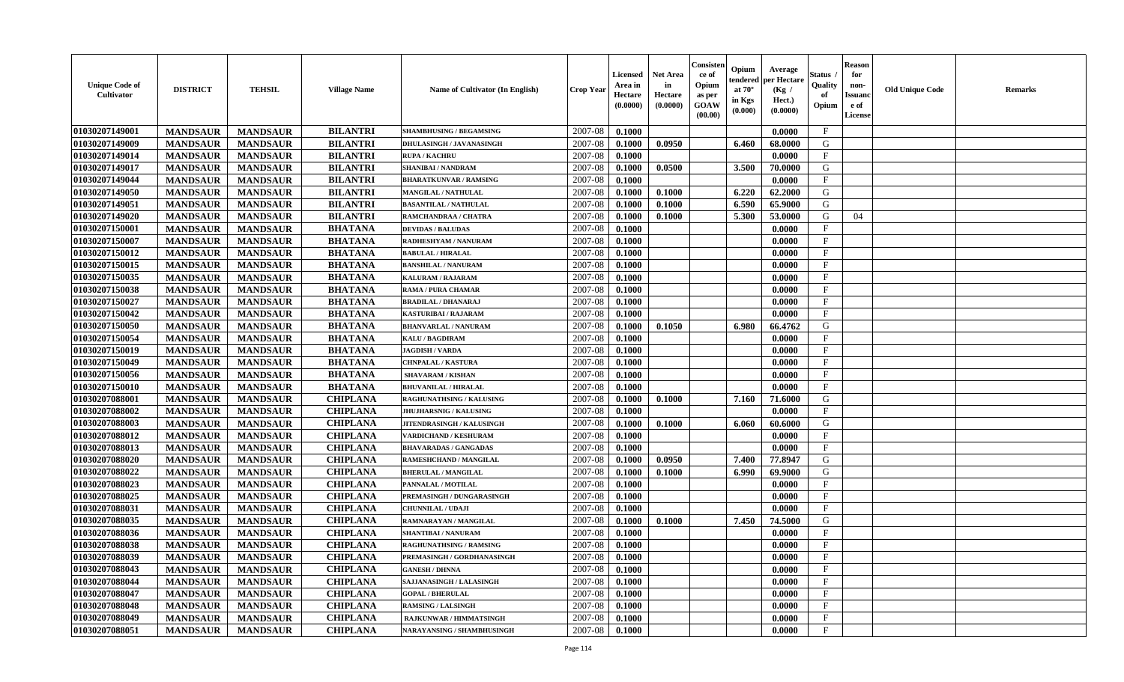| <b>Unique Code of</b><br><b>Cultivator</b> | <b>DISTRICT</b> | <b>TEHSIL</b>   | <b>Village Name</b> | <b>Name of Cultivator (In English)</b> | <b>Crop Year</b> | <b>Licensed</b><br>Area in<br>Hectare<br>(0.0000) | <b>Net Area</b><br>in<br>Hectare<br>(0.0000) | Consisteı<br>ce of<br>Opium<br>as per<br><b>GOAW</b><br>(00.00) | Opium<br>endered<br>at $70^\circ$<br>in Kgs<br>$(\mathbf{0.000})$ | Average<br>per Hectare<br>(Kg /<br>Hect.)<br>(0.0000) | Status<br>Quality<br>of<br>Opium | <b>Reason</b><br>for<br>non-<br>Issuan<br>e of<br>License | <b>Old Unique Code</b> | <b>Remarks</b> |
|--------------------------------------------|-----------------|-----------------|---------------------|----------------------------------------|------------------|---------------------------------------------------|----------------------------------------------|-----------------------------------------------------------------|-------------------------------------------------------------------|-------------------------------------------------------|----------------------------------|-----------------------------------------------------------|------------------------|----------------|
| 01030207149001                             | <b>MANDSAUR</b> | <b>MANDSAUR</b> | <b>BILANTRI</b>     | <b>SHAMBHUSING / BEGAMSING</b>         | 2007-08          | 0.1000                                            |                                              |                                                                 |                                                                   | 0.0000                                                | $\mathbf{F}$                     |                                                           |                        |                |
| 01030207149009                             | <b>MANDSAUR</b> | <b>MANDSAUR</b> | <b>BILANTRI</b>     | DHULASINGH / JAVANASINGH               | 2007-08          | 0.1000                                            | 0.0950                                       |                                                                 | 6.460                                                             | 68.0000                                               | G                                |                                                           |                        |                |
| 01030207149014                             | <b>MANDSAUR</b> | <b>MANDSAUR</b> | <b>BILANTRI</b>     | <b>RUPA / KACHRU</b>                   | 2007-08          | 0.1000                                            |                                              |                                                                 |                                                                   | 0.0000                                                | $\mathbf{F}$                     |                                                           |                        |                |
| 01030207149017                             | <b>MANDSAUR</b> | <b>MANDSAUR</b> | <b>BILANTRI</b>     | <b>SHANIBAI / NANDRAM</b>              | 2007-08          | 0.1000                                            | 0.0500                                       |                                                                 | 3.500                                                             | 70.0000                                               | G                                |                                                           |                        |                |
| 01030207149044                             | <b>MANDSAUR</b> | <b>MANDSAUR</b> | <b>BILANTRI</b>     | <b>BHARATKUNVAR / RAMSING</b>          | 2007-08          | 0.1000                                            |                                              |                                                                 |                                                                   | 0.0000                                                | $\mathbf{F}$                     |                                                           |                        |                |
| 01030207149050                             | <b>MANDSAUR</b> | <b>MANDSAUR</b> | <b>BILANTRI</b>     | <b>MANGILAL / NATHULAL</b>             | 2007-08          | 0.1000                                            | 0.1000                                       |                                                                 | 6.220                                                             | 62.2000                                               | G                                |                                                           |                        |                |
| 01030207149051                             | <b>MANDSAUR</b> | <b>MANDSAUR</b> | <b>BILANTRI</b>     | <b>BASANTILAL / NATHULAL</b>           | 2007-08          | 0.1000                                            | 0.1000                                       |                                                                 | 6.590                                                             | 65.9000                                               | G                                |                                                           |                        |                |
| 01030207149020                             | <b>MANDSAUR</b> | <b>MANDSAUR</b> | <b>BILANTRI</b>     | RAMCHANDRAA / CHATRA                   | 2007-08          | 0.1000                                            | 0.1000                                       |                                                                 | 5.300                                                             | 53.0000                                               | G                                | 04                                                        |                        |                |
| 01030207150001                             | <b>MANDSAUR</b> | <b>MANDSAUR</b> | <b>BHATANA</b>      | <b>DEVIDAS / BALUDAS</b>               | 2007-08          | 0.1000                                            |                                              |                                                                 |                                                                   | 0.0000                                                | $_{\rm F}$                       |                                                           |                        |                |
| 01030207150007                             | <b>MANDSAUR</b> | <b>MANDSAUR</b> | <b>BHATANA</b>      | RADHESHYAM / NANURAM                   | 2007-08          | 0.1000                                            |                                              |                                                                 |                                                                   | 0.0000                                                | $_{\rm F}$                       |                                                           |                        |                |
| 01030207150012                             | <b>MANDSAUR</b> | <b>MANDSAUR</b> | <b>BHATANA</b>      | <b>BABULAL / HIRALAL</b>               | 2007-08          | 0.1000                                            |                                              |                                                                 |                                                                   | 0.0000                                                | $\mathbf{F}$                     |                                                           |                        |                |
| 01030207150015                             | <b>MANDSAUR</b> | <b>MANDSAUR</b> | <b>BHATANA</b>      | <b>BANSHILAL / NANURAM</b>             | 2007-08          | 0.1000                                            |                                              |                                                                 |                                                                   | 0.0000                                                | $_{\rm F}$                       |                                                           |                        |                |
| 01030207150035                             | <b>MANDSAUR</b> | <b>MANDSAUR</b> | <b>BHATANA</b>      | <b>KALURAM / RAJARAM</b>               | 2007-08          | 0.1000                                            |                                              |                                                                 |                                                                   | 0.0000                                                | $\mathbf{F}$                     |                                                           |                        |                |
| 01030207150038                             | <b>MANDSAUR</b> | <b>MANDSAUR</b> | <b>BHATANA</b>      | RAMA / PURA CHAMAR                     | 2007-08          | 0.1000                                            |                                              |                                                                 |                                                                   | 0.0000                                                | $\mathbf{F}$                     |                                                           |                        |                |
| 01030207150027                             | <b>MANDSAUR</b> | <b>MANDSAUR</b> | <b>BHATANA</b>      | <b>BRADILAL / DHANARAJ</b>             | 2007-08          | 0.1000                                            |                                              |                                                                 |                                                                   | 0.0000                                                | $\mathbf{F}$                     |                                                           |                        |                |
| 01030207150042                             | <b>MANDSAUR</b> | <b>MANDSAUR</b> | <b>BHATANA</b>      | KASTURIBAI / RAJARAM                   | 2007-08          | 0.1000                                            |                                              |                                                                 |                                                                   | 0.0000                                                | $_{\rm F}$                       |                                                           |                        |                |
| 01030207150050                             | <b>MANDSAUR</b> | <b>MANDSAUR</b> | <b>BHATANA</b>      | <b>BHANVARLAL / NANURAM</b>            | 2007-08          | 0.1000                                            | 0.1050                                       |                                                                 | 6.980                                                             | 66.4762                                               | G                                |                                                           |                        |                |
| 01030207150054                             | <b>MANDSAUR</b> | <b>MANDSAUR</b> | <b>BHATANA</b>      | <b>KALU / BAGDIRAM</b>                 | 2007-08          | 0.1000                                            |                                              |                                                                 |                                                                   | 0.0000                                                | $\mathbf{F}$                     |                                                           |                        |                |
| 01030207150019                             | <b>MANDSAUR</b> | <b>MANDSAUR</b> | <b>BHATANA</b>      | <b>JAGDISH / VARDA</b>                 | 2007-08          | 0.1000                                            |                                              |                                                                 |                                                                   | 0.0000                                                | $_{\rm F}$                       |                                                           |                        |                |
| 01030207150049                             | <b>MANDSAUR</b> | <b>MANDSAUR</b> | <b>BHATANA</b>      | <b>CHNPALAL / KASTURA</b>              | 2007-08          | 0.1000                                            |                                              |                                                                 |                                                                   | 0.0000                                                | $_{\rm F}$                       |                                                           |                        |                |
| 01030207150056                             | <b>MANDSAUR</b> | <b>MANDSAUR</b> | <b>BHATANA</b>      | <b>SHAVARAM / KISHAN</b>               | 2007-08          | 0.1000                                            |                                              |                                                                 |                                                                   | 0.0000                                                | $_{\rm F}$                       |                                                           |                        |                |
| 01030207150010                             | <b>MANDSAUR</b> | <b>MANDSAUR</b> | <b>BHATANA</b>      | <b>BHUVANILAL / HIRALAL</b>            | 2007-08          | 0.1000                                            |                                              |                                                                 |                                                                   | 0.0000                                                | $\mathbf{F}$                     |                                                           |                        |                |
| 01030207088001                             | <b>MANDSAUR</b> | <b>MANDSAUR</b> | <b>CHIPLANA</b>     | <b>RAGHUNATHSING / KALUSING</b>        | 2007-08          | 0.1000                                            | 0.1000                                       |                                                                 | 7.160                                                             | 71.6000                                               | G                                |                                                           |                        |                |
| 01030207088002                             | <b>MANDSAUR</b> | <b>MANDSAUR</b> | <b>CHIPLANA</b>     | <b>JHUJHARSNIG / KALUSING</b>          | 2007-08          | 0.1000                                            |                                              |                                                                 |                                                                   | 0.0000                                                | $\mathbf{F}$                     |                                                           |                        |                |
| 01030207088003                             | <b>MANDSAUR</b> | <b>MANDSAUR</b> | <b>CHIPLANA</b>     | JITENDRASINGH / KALUSINGH              | 2007-08          | 0.1000                                            | 0.1000                                       |                                                                 | 6.060                                                             | 60.6000                                               | G                                |                                                           |                        |                |
| 01030207088012                             | <b>MANDSAUR</b> | <b>MANDSAUR</b> | <b>CHIPLANA</b>     | <b>VARDICHAND / KESHURAM</b>           | 2007-08          | 0.1000                                            |                                              |                                                                 |                                                                   | 0.0000                                                | $\mathbf{F}$                     |                                                           |                        |                |
| 01030207088013                             | <b>MANDSAUR</b> | <b>MANDSAUR</b> | <b>CHIPLANA</b>     | <b>BHAVARADAS / GANGADAS</b>           | 2007-08          | 0.1000                                            |                                              |                                                                 |                                                                   | 0.0000                                                | $_{\rm F}$                       |                                                           |                        |                |
| 01030207088020                             | <b>MANDSAUR</b> | <b>MANDSAUR</b> | <b>CHIPLANA</b>     | RAMESHCHAND / MANGILAL                 | 2007-08          | 0.1000                                            | 0.0950                                       |                                                                 | 7.400                                                             | 77.8947                                               | G                                |                                                           |                        |                |
| 01030207088022                             | <b>MANDSAUR</b> | <b>MANDSAUR</b> | <b>CHIPLANA</b>     | <b>BHERULAL / MANGILAL</b>             | 2007-08          | 0.1000                                            | 0.1000                                       |                                                                 | 6.990                                                             | 69.9000                                               | G                                |                                                           |                        |                |
| 01030207088023                             | <b>MANDSAUR</b> | <b>MANDSAUR</b> | <b>CHIPLANA</b>     | PANNALAL / MOTILAL                     | 2007-08          | 0.1000                                            |                                              |                                                                 |                                                                   | 0.0000                                                | $_{\rm F}$                       |                                                           |                        |                |
| 01030207088025                             | <b>MANDSAUR</b> | <b>MANDSAUR</b> | <b>CHIPLANA</b>     | PREMASINGH / DUNGARASINGH              | 2007-08          | 0.1000                                            |                                              |                                                                 |                                                                   | 0.0000                                                | $_{\rm F}$                       |                                                           |                        |                |
| 01030207088031                             | <b>MANDSAUR</b> | <b>MANDSAUR</b> | <b>CHIPLANA</b>     | <b>CHUNNILAL / UDAJI</b>               | 2007-08          | 0.1000                                            |                                              |                                                                 |                                                                   | 0.0000                                                | $\mathbf{F}$                     |                                                           |                        |                |
| 01030207088035                             | <b>MANDSAUR</b> | <b>MANDSAUR</b> | <b>CHIPLANA</b>     | RAMNARAYAN / MANGILAL                  | 2007-08          | 0.1000                                            | 0.1000                                       |                                                                 | 7.450                                                             | 74.5000                                               | G                                |                                                           |                        |                |
| 01030207088036                             | <b>MANDSAUR</b> | <b>MANDSAUR</b> | <b>CHIPLANA</b>     | <b>SHANTIBAI / NANURAM</b>             | 2007-08          | 0.1000                                            |                                              |                                                                 |                                                                   | 0.0000                                                | F                                |                                                           |                        |                |
| 01030207088038                             | <b>MANDSAUR</b> | <b>MANDSAUR</b> | <b>CHIPLANA</b>     | <b>RAGHUNATHSING / RAMSING</b>         | 2007-08          | 0.1000                                            |                                              |                                                                 |                                                                   | 0.0000                                                | $\mathbf{F}$                     |                                                           |                        |                |
| 01030207088039                             | <b>MANDSAUR</b> | <b>MANDSAUR</b> | <b>CHIPLANA</b>     | PREMASINGH / GORDHANASINGH             | $2007 - 08$      | 0.1000                                            |                                              |                                                                 |                                                                   | 0.0000                                                | F                                |                                                           |                        |                |
| 01030207088043                             | <b>MANDSAUR</b> | <b>MANDSAUR</b> | <b>CHIPLANA</b>     | <b>GANESH / DHNNA</b>                  | 2007-08          | 0.1000                                            |                                              |                                                                 |                                                                   | 0.0000                                                | $_{\rm F}$                       |                                                           |                        |                |
| 01030207088044                             | <b>MANDSAUR</b> | <b>MANDSAUR</b> | <b>CHIPLANA</b>     | SAJJANASINGH / LALASINGH               | 2007-08          | 0.1000                                            |                                              |                                                                 |                                                                   | 0.0000                                                | $\mathbf{F}$                     |                                                           |                        |                |
| 01030207088047                             | <b>MANDSAUR</b> | <b>MANDSAUR</b> | <b>CHIPLANA</b>     | <b>GOPAL / BHERULAL</b>                | 2007-08          | 0.1000                                            |                                              |                                                                 |                                                                   | 0.0000                                                | $\mathbf{F}$                     |                                                           |                        |                |
| 01030207088048                             | <b>MANDSAUR</b> | <b>MANDSAUR</b> | <b>CHIPLANA</b>     | <b>RAMSING / LALSINGH</b>              | 2007-08          | 0.1000                                            |                                              |                                                                 |                                                                   | 0.0000                                                | $\mathbf{F}$                     |                                                           |                        |                |
| 01030207088049                             | <b>MANDSAUR</b> | <b>MANDSAUR</b> | <b>CHIPLANA</b>     | <b>RAJKUNWAR / HIMMATSINGH</b>         | 2007-08          | 0.1000                                            |                                              |                                                                 |                                                                   | 0.0000                                                | $\mathbf{F}$                     |                                                           |                        |                |
| 01030207088051                             | <b>MANDSAUR</b> | <b>MANDSAUR</b> | <b>CHIPLANA</b>     | NARAYANSING / SHAMBHUSINGH             | 2007-08          | 0.1000                                            |                                              |                                                                 |                                                                   | 0.0000                                                | $\mathbf{F}$                     |                                                           |                        |                |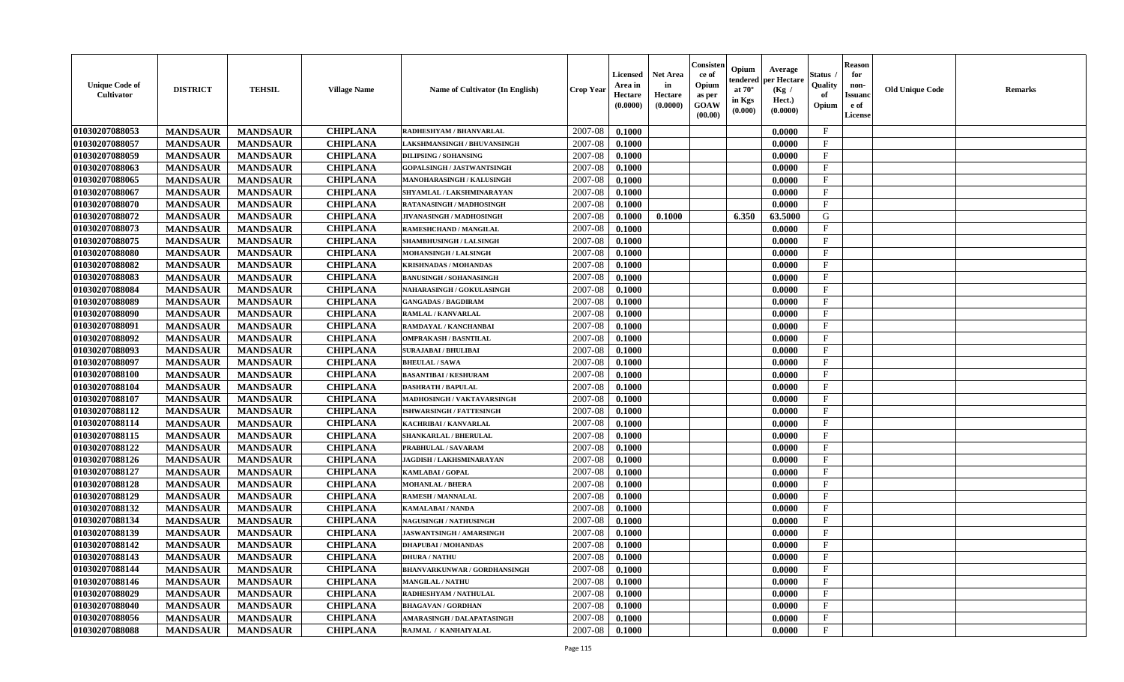| <b>Unique Code of</b><br>Cultivator | <b>DISTRICT</b> | <b>TEHSIL</b>   | <b>Village Name</b> | <b>Name of Cultivator (In English)</b> | <b>Crop Year</b> | <b>Licensed</b><br>Area in<br>Hectare<br>(0.0000) | <b>Net Area</b><br>in<br>Hectare<br>(0.0000) | Consister<br>ce of<br>Opium<br>as per<br>GOAW<br>(00.00) | Opium<br>endered<br>at $70^{\circ}$<br>in Kgs<br>(0.000) | Average<br>per Hectare<br>(Kg /<br>Hect.)<br>(0.0000) | <b>Status</b><br>Quality<br>of<br>Opium | <b>Reason</b><br>for<br>non-<br><b>Issuanc</b><br>e of<br>License | <b>Old Unique Code</b> | <b>Remarks</b> |
|-------------------------------------|-----------------|-----------------|---------------------|----------------------------------------|------------------|---------------------------------------------------|----------------------------------------------|----------------------------------------------------------|----------------------------------------------------------|-------------------------------------------------------|-----------------------------------------|-------------------------------------------------------------------|------------------------|----------------|
| 01030207088053                      | <b>MANDSAUR</b> | <b>MANDSAUR</b> | <b>CHIPLANA</b>     | RADHESHYAM / BHANVARLAL                | 2007-08          | 0.1000                                            |                                              |                                                          |                                                          | 0.0000                                                | $\mathbf{F}$                            |                                                                   |                        |                |
| 01030207088057                      | <b>MANDSAUR</b> | <b>MANDSAUR</b> | <b>CHIPLANA</b>     | LAKSHMANSINGH / BHUVANSINGH            | 2007-08          | 0.1000                                            |                                              |                                                          |                                                          | 0.0000                                                | $\mathbf F$                             |                                                                   |                        |                |
| 01030207088059                      | <b>MANDSAUR</b> | <b>MANDSAUR</b> | <b>CHIPLANA</b>     | <b>DILIPSING / SOHANSING</b>           | 2007-08          | 0.1000                                            |                                              |                                                          |                                                          | 0.0000                                                | $\mathbf{F}$                            |                                                                   |                        |                |
| 01030207088063                      | <b>MANDSAUR</b> | <b>MANDSAUR</b> | <b>CHIPLANA</b>     | <b>GOPALSINGH / JASTWANTSINGH</b>      | 2007-08          | 0.1000                                            |                                              |                                                          |                                                          | 0.0000                                                | $\mathbf{F}$                            |                                                                   |                        |                |
| 01030207088065                      | <b>MANDSAUR</b> | <b>MANDSAUR</b> | <b>CHIPLANA</b>     | MANOHARASINGH / KALUSINGH              | 2007-08          | 0.1000                                            |                                              |                                                          |                                                          | 0.0000                                                | $_{\rm F}$                              |                                                                   |                        |                |
| 01030207088067                      | <b>MANDSAUR</b> | <b>MANDSAUR</b> | <b>CHIPLANA</b>     | SHYAMLAL / LAKSHMINARAYAN              | 2007-08          | 0.1000                                            |                                              |                                                          |                                                          | 0.0000                                                | $\mathbf{F}$                            |                                                                   |                        |                |
| 01030207088070                      | <b>MANDSAUR</b> | <b>MANDSAUR</b> | <b>CHIPLANA</b>     | RATANASINGH / MADHOSINGH               | 2007-08          | 0.1000                                            |                                              |                                                          |                                                          | 0.0000                                                | $\mathbf{F}$                            |                                                                   |                        |                |
| 01030207088072                      | <b>MANDSAUR</b> | <b>MANDSAUR</b> | <b>CHIPLANA</b>     | JIVANASINGH / MADHOSINGH               | 2007-08          | 0.1000                                            | 0.1000                                       |                                                          | 6.350                                                    | 63.5000                                               | G                                       |                                                                   |                        |                |
| 01030207088073                      | <b>MANDSAUR</b> | <b>MANDSAUR</b> | <b>CHIPLANA</b>     | RAMESHCHAND / MANGILAL                 | 2007-08          | 0.1000                                            |                                              |                                                          |                                                          | 0.0000                                                | F                                       |                                                                   |                        |                |
| 01030207088075                      | <b>MANDSAUR</b> | <b>MANDSAUR</b> | <b>CHIPLANA</b>     | SHAMBHUSINGH / LALSINGH                | 2007-08          | 0.1000                                            |                                              |                                                          |                                                          | 0.0000                                                | $\mathbf{F}$                            |                                                                   |                        |                |
| 01030207088080                      | <b>MANDSAUR</b> | <b>MANDSAUR</b> | <b>CHIPLANA</b>     | MOHANSINGH / LALSINGH                  | 2007-08          | 0.1000                                            |                                              |                                                          |                                                          | 0.0000                                                | $\mathbf{F}$                            |                                                                   |                        |                |
| 01030207088082                      | <b>MANDSAUR</b> | <b>MANDSAUR</b> | <b>CHIPLANA</b>     | <b>KRISHNADAS / MOHANDAS</b>           | 2007-08          | 0.1000                                            |                                              |                                                          |                                                          | 0.0000                                                | $\mathbf{F}$                            |                                                                   |                        |                |
| 01030207088083                      | <b>MANDSAUR</b> | <b>MANDSAUR</b> | <b>CHIPLANA</b>     | <b>BANUSINGH / SOHANASINGH</b>         | 2007-08          | 0.1000                                            |                                              |                                                          |                                                          | 0.0000                                                | $\mathbf F$                             |                                                                   |                        |                |
| 01030207088084                      | <b>MANDSAUR</b> | <b>MANDSAUR</b> | <b>CHIPLANA</b>     | <b>NAHARASINGH / GOKULASINGH</b>       | 2007-08          | 0.1000                                            |                                              |                                                          |                                                          | 0.0000                                                | $\mathbf F$                             |                                                                   |                        |                |
| 01030207088089                      | <b>MANDSAUR</b> | <b>MANDSAUR</b> | <b>CHIPLANA</b>     | <b>GANGADAS / BAGDIRAM</b>             | 2007-08          | 0.1000                                            |                                              |                                                          |                                                          | 0.0000                                                | $\mathbf{F}$                            |                                                                   |                        |                |
| 01030207088090                      | <b>MANDSAUR</b> | <b>MANDSAUR</b> | <b>CHIPLANA</b>     | <b>RAMLAL / KANVARLAL</b>              | 2007-08          | 0.1000                                            |                                              |                                                          |                                                          | 0.0000                                                | $\mathbf{F}$                            |                                                                   |                        |                |
| 01030207088091                      | <b>MANDSAUR</b> | <b>MANDSAUR</b> | <b>CHIPLANA</b>     | RAMDAYAL / KANCHANBAI                  | 2007-08          | 0.1000                                            |                                              |                                                          |                                                          | 0.0000                                                | $\mathbf{F}$                            |                                                                   |                        |                |
| 01030207088092                      | <b>MANDSAUR</b> | <b>MANDSAUR</b> | <b>CHIPLANA</b>     | <b>OMPRAKASH / BASNTILAL</b>           | 2007-08          | 0.1000                                            |                                              |                                                          |                                                          | 0.0000                                                | $\mathbf{F}$                            |                                                                   |                        |                |
| 01030207088093                      | <b>MANDSAUR</b> | <b>MANDSAUR</b> | <b>CHIPLANA</b>     | <b>SURAJABAI / BHULIBAI</b>            | 2007-08          | 0.1000                                            |                                              |                                                          |                                                          | 0.0000                                                | $\mathbf{F}$                            |                                                                   |                        |                |
| 01030207088097                      | <b>MANDSAUR</b> | <b>MANDSAUR</b> | <b>CHIPLANA</b>     | <b>BHEULAL / SAWA</b>                  | 2007-08          | 0.1000                                            |                                              |                                                          |                                                          | 0.0000                                                | $\mathbf{F}$                            |                                                                   |                        |                |
| 01030207088100                      | <b>MANDSAUR</b> | <b>MANDSAUR</b> | <b>CHIPLANA</b>     | <b>BASANTIBAI / KESHURAM</b>           | 2007-08          | 0.1000                                            |                                              |                                                          |                                                          | 0.0000                                                | $_{\rm F}$                              |                                                                   |                        |                |
| 01030207088104                      | <b>MANDSAUR</b> | <b>MANDSAUR</b> | <b>CHIPLANA</b>     | <b>DASHRATH / BAPULAL</b>              | 2007-08          | 0.1000                                            |                                              |                                                          |                                                          | 0.0000                                                | $\mathbf{F}$                            |                                                                   |                        |                |
| 01030207088107                      | <b>MANDSAUR</b> | <b>MANDSAUR</b> | <b>CHIPLANA</b>     | MADHOSINGH / VAKTAVARSINGH             | 2007-08          | 0.1000                                            |                                              |                                                          |                                                          | 0.0000                                                | $_{\rm F}$                              |                                                                   |                        |                |
| 01030207088112                      | <b>MANDSAUR</b> | <b>MANDSAUR</b> | <b>CHIPLANA</b>     | <b>ISHWARSINGH / FATTESINGH</b>        | 2007-08          | 0.1000                                            |                                              |                                                          |                                                          | 0.0000                                                | $\mathbf{F}$                            |                                                                   |                        |                |
| 01030207088114                      | <b>MANDSAUR</b> | <b>MANDSAUR</b> | <b>CHIPLANA</b>     | KACHRIBAI / KANVARLAL                  | 2007-08          | 0.1000                                            |                                              |                                                          |                                                          | 0.0000                                                | $\mathbf F$                             |                                                                   |                        |                |
| 01030207088115                      | <b>MANDSAUR</b> | <b>MANDSAUR</b> | <b>CHIPLANA</b>     | <b>SHANKARLAL / BHERULAL</b>           | 2007-08          | 0.1000                                            |                                              |                                                          |                                                          | 0.0000                                                | $\mathbf{F}$                            |                                                                   |                        |                |
| 01030207088122                      | <b>MANDSAUR</b> | <b>MANDSAUR</b> | <b>CHIPLANA</b>     | PRABHULAL / SAVARAM                    | 2007-08          | 0.1000                                            |                                              |                                                          |                                                          | 0.0000                                                | $\mathbf{F}$                            |                                                                   |                        |                |
| 01030207088126                      | <b>MANDSAUR</b> | <b>MANDSAUR</b> | <b>CHIPLANA</b>     | <b>JAGDISH / LAKHSMINARAYAN</b>        | 2007-08          | 0.1000                                            |                                              |                                                          |                                                          | 0.0000                                                | $\mathbf{F}$                            |                                                                   |                        |                |
| 01030207088127                      | <b>MANDSAUR</b> | <b>MANDSAUR</b> | <b>CHIPLANA</b>     | KAMLABAI / GOPAL                       | 2007-08          | 0.1000                                            |                                              |                                                          |                                                          | 0.0000                                                | $\mathbf{F}$                            |                                                                   |                        |                |
| 01030207088128                      | <b>MANDSAUR</b> | <b>MANDSAUR</b> | <b>CHIPLANA</b>     | <b>MOHANLAL / BHERA</b>                | 2007-08          | 0.1000                                            |                                              |                                                          |                                                          | 0.0000                                                | $_{\rm F}$                              |                                                                   |                        |                |
| 01030207088129                      | <b>MANDSAUR</b> | <b>MANDSAUR</b> | <b>CHIPLANA</b>     | <b>RAMESH / MANNALAL</b>               | 2007-08          | 0.1000                                            |                                              |                                                          |                                                          | 0.0000                                                | $\mathbf F$                             |                                                                   |                        |                |
| 01030207088132                      | <b>MANDSAUR</b> | <b>MANDSAUR</b> | <b>CHIPLANA</b>     | <b>KAMALABAI/NANDA</b>                 | 2007-08          | 0.1000                                            |                                              |                                                          |                                                          | 0.0000                                                | $\mathbf{F}$                            |                                                                   |                        |                |
| 01030207088134                      | <b>MANDSAUR</b> | <b>MANDSAUR</b> | <b>CHIPLANA</b>     | <b>NAGUSINGH / NATHUSINGH</b>          | 2007-08          | 0.1000                                            |                                              |                                                          |                                                          | 0.0000                                                | $\mathbf{F}$                            |                                                                   |                        |                |
| 01030207088139                      | <b>MANDSAUR</b> | <b>MANDSAUR</b> | <b>CHIPLANA</b>     | <b>JASWANTSINGH / AMARSINGH</b>        | 2007-08          | 0.1000                                            |                                              |                                                          |                                                          | 0.0000                                                | F                                       |                                                                   |                        |                |
| 01030207088142                      | <b>MANDSAUR</b> | <b>MANDSAUR</b> | <b>CHIPLANA</b>     | <b>DHAPUBAI/MOHANDAS</b>               | 2007-08          | 0.1000                                            |                                              |                                                          |                                                          | 0.0000                                                | $\mathbf{F}$                            |                                                                   |                        |                |
| 01030207088143                      | <b>MANDSAUR</b> | MANDSAUR        | <b>CHIPLANA</b>     | <b>DHURA / NATHU</b>                   |                  | 2007-08   0.1000                                  |                                              |                                                          |                                                          | 0.0000                                                | F                                       |                                                                   |                        |                |
| 01030207088144                      | <b>MANDSAUR</b> | <b>MANDSAUR</b> | <b>CHIPLANA</b>     | <b>BHANVARKUNWAR / GORDHANSINGH</b>    | 2007-08          | 0.1000                                            |                                              |                                                          |                                                          | 0.0000                                                | $\mathbf{F}$                            |                                                                   |                        |                |
| 01030207088146                      | <b>MANDSAUR</b> | <b>MANDSAUR</b> | <b>CHIPLANA</b>     | <b>MANGILAL / NATHU</b>                | 2007-08          | 0.1000                                            |                                              |                                                          |                                                          | 0.0000                                                | $\mathbf F$                             |                                                                   |                        |                |
| 01030207088029                      | <b>MANDSAUR</b> | <b>MANDSAUR</b> | <b>CHIPLANA</b>     | RADHESHYAM / NATHULAL                  | 2007-08          | 0.1000                                            |                                              |                                                          |                                                          | 0.0000                                                | $\mathbf{F}$                            |                                                                   |                        |                |
| 01030207088040                      | <b>MANDSAUR</b> | <b>MANDSAUR</b> | <b>CHIPLANA</b>     | <b>BHAGAVAN / GORDHAN</b>              | 2007-08          | 0.1000                                            |                                              |                                                          |                                                          | 0.0000                                                | $\mathbf{F}$                            |                                                                   |                        |                |
| 01030207088056                      | <b>MANDSAUR</b> | <b>MANDSAUR</b> | <b>CHIPLANA</b>     | AMARASINGH / DALAPATASINGH             | 2007-08          | 0.1000                                            |                                              |                                                          |                                                          | 0.0000                                                | $\mathbf{F}$                            |                                                                   |                        |                |
| 01030207088088                      | <b>MANDSAUR</b> | <b>MANDSAUR</b> | <b>CHIPLANA</b>     | RAJMAL / KANHAIYALAL                   | 2007-08          | 0.1000                                            |                                              |                                                          |                                                          | 0.0000                                                | $\mathbf{F}$                            |                                                                   |                        |                |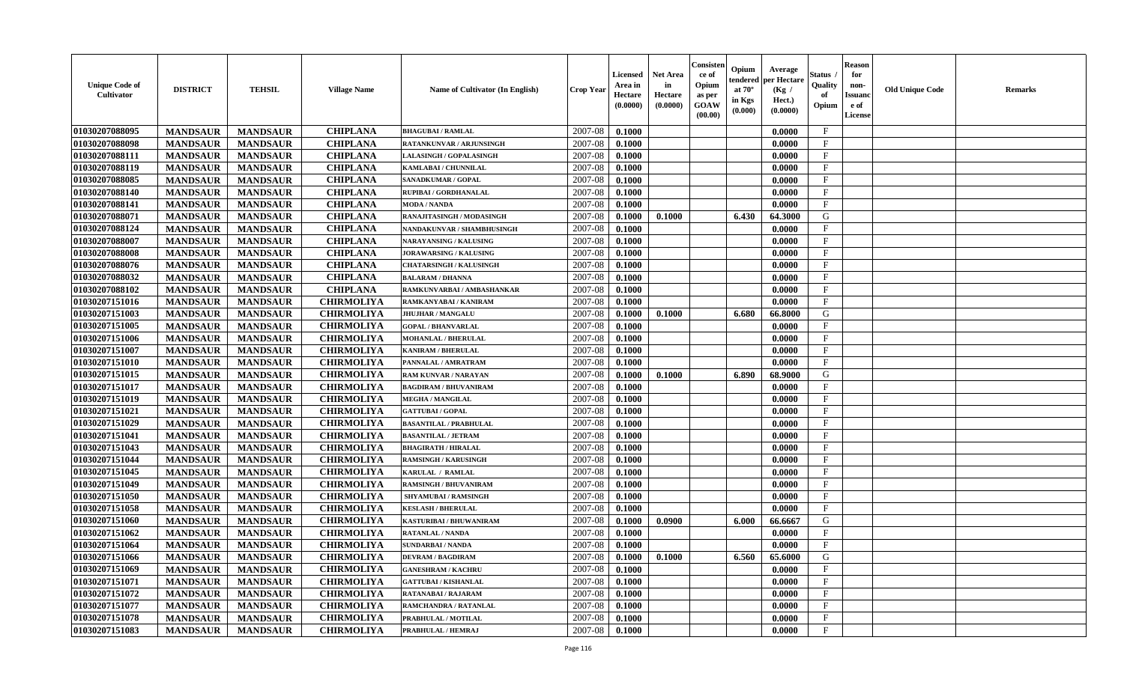| <b>Unique Code of</b><br><b>Cultivator</b> | <b>DISTRICT</b> | <b>TEHSIL</b>   | <b>Village Name</b> | <b>Name of Cultivator (In English)</b> | <b>Crop Year</b> | <b>Licensed</b><br>Area in<br>Hectare<br>(0.0000) | <b>Net Area</b><br>in<br>Hectare<br>(0.0000) | Consisteı<br>ce of<br>Opium<br>as per<br><b>GOAW</b><br>(00.00) | Opium<br>endered<br>at $70^\circ$<br>in Kgs<br>(0.000) | Average<br>per Hectare<br>(Kg /<br>Hect.)<br>(0.0000) | Status<br>Quality<br>of<br>Opium | <b>Reason</b><br>for<br>non-<br>Issuan<br>e of<br>License | <b>Old Unique Code</b> | <b>Remarks</b> |
|--------------------------------------------|-----------------|-----------------|---------------------|----------------------------------------|------------------|---------------------------------------------------|----------------------------------------------|-----------------------------------------------------------------|--------------------------------------------------------|-------------------------------------------------------|----------------------------------|-----------------------------------------------------------|------------------------|----------------|
| 01030207088095                             | <b>MANDSAUR</b> | <b>MANDSAUR</b> | <b>CHIPLANA</b>     | <b>BHAGUBAI/RAMLAL</b>                 | 2007-08          | 0.1000                                            |                                              |                                                                 |                                                        | 0.0000                                                | $\mathbf{F}$                     |                                                           |                        |                |
| 01030207088098                             | <b>MANDSAUR</b> | <b>MANDSAUR</b> | <b>CHIPLANA</b>     | RATANKUNVAR / ARJUNSINGH               | 2007-08          | 0.1000                                            |                                              |                                                                 |                                                        | 0.0000                                                | $_{\rm F}$                       |                                                           |                        |                |
| 01030207088111                             | <b>MANDSAUR</b> | <b>MANDSAUR</b> | <b>CHIPLANA</b>     | <b>LALASINGH / GOPALASINGH</b>         | 2007-08          | 0.1000                                            |                                              |                                                                 |                                                        | 0.0000                                                | $\mathbf{F}$                     |                                                           |                        |                |
| 01030207088119                             | <b>MANDSAUR</b> | <b>MANDSAUR</b> | <b>CHIPLANA</b>     | KAMLABAI / CHUNNILAL                   | 2007-08          | 0.1000                                            |                                              |                                                                 |                                                        | 0.0000                                                | $\mathbf{F}$                     |                                                           |                        |                |
| 01030207088085                             | <b>MANDSAUR</b> | <b>MANDSAUR</b> | <b>CHIPLANA</b>     | SANADKUMAR / GOPAL                     | 2007-08          | 0.1000                                            |                                              |                                                                 |                                                        | 0.0000                                                | $_{\rm F}$                       |                                                           |                        |                |
| 01030207088140                             | <b>MANDSAUR</b> | <b>MANDSAUR</b> | <b>CHIPLANA</b>     | RUPIBAI / GORDHANALAL                  | 2007-08          | 0.1000                                            |                                              |                                                                 |                                                        | 0.0000                                                | $\mathbf{F}$                     |                                                           |                        |                |
| 01030207088141                             | <b>MANDSAUR</b> | <b>MANDSAUR</b> | <b>CHIPLANA</b>     | <b>MODA / NANDA</b>                    | 2007-08          | 0.1000                                            |                                              |                                                                 |                                                        | 0.0000                                                | $\mathbf{F}$                     |                                                           |                        |                |
| 01030207088071                             | <b>MANDSAUR</b> | <b>MANDSAUR</b> | <b>CHIPLANA</b>     | RANAJITASINGH / MODASINGH              | 2007-08          | 0.1000                                            | 0.1000                                       |                                                                 | 6.430                                                  | 64.3000                                               | G                                |                                                           |                        |                |
| 01030207088124                             | <b>MANDSAUR</b> | <b>MANDSAUR</b> | <b>CHIPLANA</b>     | NANDAKUNVAR / SHAMBHUSINGH             | 2007-08          | 0.1000                                            |                                              |                                                                 |                                                        | 0.0000                                                | $_{\rm F}$                       |                                                           |                        |                |
| 01030207088007                             | <b>MANDSAUR</b> | <b>MANDSAUR</b> | <b>CHIPLANA</b>     | <b>NARAYANSING / KALUSING</b>          | 2007-08          | 0.1000                                            |                                              |                                                                 |                                                        | 0.0000                                                | $_{\rm F}$                       |                                                           |                        |                |
| 01030207088008                             | <b>MANDSAUR</b> | <b>MANDSAUR</b> | <b>CHIPLANA</b>     | JORAWARSING / KALUSING                 | 2007-08          | 0.1000                                            |                                              |                                                                 |                                                        | 0.0000                                                | $\mathbf{F}$                     |                                                           |                        |                |
| 01030207088076                             | <b>MANDSAUR</b> | <b>MANDSAUR</b> | <b>CHIPLANA</b>     | <b>CHATARSINGH / KALUSINGH</b>         | 2007-08          | 0.1000                                            |                                              |                                                                 |                                                        | 0.0000                                                | $_{\rm F}$                       |                                                           |                        |                |
| 01030207088032                             | <b>MANDSAUR</b> | <b>MANDSAUR</b> | <b>CHIPLANA</b>     | <b>BALARAM / DHANNA</b>                | 2007-08          | 0.1000                                            |                                              |                                                                 |                                                        | 0.0000                                                | $\mathbf{F}$                     |                                                           |                        |                |
| 01030207088102                             | <b>MANDSAUR</b> | <b>MANDSAUR</b> | <b>CHIPLANA</b>     | RAMKUNVARBAI / AMBASHANKAR             | 2007-08          | 0.1000                                            |                                              |                                                                 |                                                        | 0.0000                                                | $\mathbf{F}$                     |                                                           |                        |                |
| 01030207151016                             | <b>MANDSAUR</b> | <b>MANDSAUR</b> | <b>CHIRMOLIYA</b>   | RAMKANYABAI / KANIRAM                  | 2007-08          | 0.1000                                            |                                              |                                                                 |                                                        | 0.0000                                                | $\mathbf{F}$                     |                                                           |                        |                |
| 01030207151003                             | <b>MANDSAUR</b> | <b>MANDSAUR</b> | <b>CHIRMOLIYA</b>   | <b>JHUJHAR / MANGALU</b>               | 2007-08          | 0.1000                                            | 0.1000                                       |                                                                 | 6.680                                                  | 66.8000                                               | G                                |                                                           |                        |                |
| 01030207151005                             | <b>MANDSAUR</b> | <b>MANDSAUR</b> | <b>CHIRMOLIYA</b>   | <b>GOPAL / BHANVARLAL</b>              | 2007-08          | 0.1000                                            |                                              |                                                                 |                                                        | 0.0000                                                | $\mathbf{F}$                     |                                                           |                        |                |
| 01030207151006                             | <b>MANDSAUR</b> | <b>MANDSAUR</b> | <b>CHIRMOLIYA</b>   | <b>MOHANLAL / BHERULAL</b>             | 2007-08          | 0.1000                                            |                                              |                                                                 |                                                        | 0.0000                                                | $\mathbf F$                      |                                                           |                        |                |
| 01030207151007                             | <b>MANDSAUR</b> | <b>MANDSAUR</b> | <b>CHIRMOLIYA</b>   | <b>KANIRAM / BHERULAL</b>              | 2007-08          | 0.1000                                            |                                              |                                                                 |                                                        | 0.0000                                                | $_{\rm F}$                       |                                                           |                        |                |
| 01030207151010                             | <b>MANDSAUR</b> | <b>MANDSAUR</b> | <b>CHIRMOLIYA</b>   | PANNALAL / AMRATRAM                    | 2007-08          | 0.1000                                            |                                              |                                                                 |                                                        | 0.0000                                                | $_{\rm F}$                       |                                                           |                        |                |
| 01030207151015                             | <b>MANDSAUR</b> | <b>MANDSAUR</b> | <b>CHIRMOLIYA</b>   | <b>RAM KUNVAR / NARAYAN</b>            | 2007-08          | 0.1000                                            | 0.1000                                       |                                                                 | 6.890                                                  | 68.9000                                               | G                                |                                                           |                        |                |
| 01030207151017                             | <b>MANDSAUR</b> | <b>MANDSAUR</b> | <b>CHIRMOLIYA</b>   | <b>BAGDIRAM / BHUVANIRAM</b>           | 2007-08          | 0.1000                                            |                                              |                                                                 |                                                        | 0.0000                                                | $\mathbf{F}$                     |                                                           |                        |                |
| 01030207151019                             | <b>MANDSAUR</b> | <b>MANDSAUR</b> | <b>CHIRMOLIYA</b>   | <b>MEGHA / MANGILAL</b>                | 2007-08          | 0.1000                                            |                                              |                                                                 |                                                        | 0.0000                                                | $\mathbf{F}$                     |                                                           |                        |                |
| 01030207151021                             | <b>MANDSAUR</b> | <b>MANDSAUR</b> | <b>CHIRMOLIYA</b>   | <b>GATTUBAI/GOPAL</b>                  | 2007-08          | 0.1000                                            |                                              |                                                                 |                                                        | 0.0000                                                | $\mathbf{F}$                     |                                                           |                        |                |
| 01030207151029                             | <b>MANDSAUR</b> | <b>MANDSAUR</b> | <b>CHIRMOLIYA</b>   | <b>BASANTILAL / PRABHULAL</b>          | 2007-08          | 0.1000                                            |                                              |                                                                 |                                                        | 0.0000                                                | $\mathbf{F}$                     |                                                           |                        |                |
| 01030207151041                             | <b>MANDSAUR</b> | <b>MANDSAUR</b> | <b>CHIRMOLIYA</b>   | <b>BASANTILAL / JETRAM</b>             | 2007-08          | 0.1000                                            |                                              |                                                                 |                                                        | 0.0000                                                | $\mathbf{F}$                     |                                                           |                        |                |
| 01030207151043                             | <b>MANDSAUR</b> | <b>MANDSAUR</b> | <b>CHIRMOLIYA</b>   | <b>BHAGIRATH / HIRALAL</b>             | 2007-08          | 0.1000                                            |                                              |                                                                 |                                                        | 0.0000                                                | $_{\rm F}$                       |                                                           |                        |                |
| 01030207151044                             | <b>MANDSAUR</b> | <b>MANDSAUR</b> | <b>CHIRMOLIYA</b>   | <b>RAMSINGH / KARUSINGH</b>            | 2007-08          | 0.1000                                            |                                              |                                                                 |                                                        | 0.0000                                                | $\mathbf{F}$                     |                                                           |                        |                |
| 01030207151045                             | <b>MANDSAUR</b> | <b>MANDSAUR</b> | <b>CHIRMOLIYA</b>   | KARULAL / RAMLAL                       | 2007-08          | 0.1000                                            |                                              |                                                                 |                                                        | 0.0000                                                | $\mathbf{F}$                     |                                                           |                        |                |
| 01030207151049                             | <b>MANDSAUR</b> | <b>MANDSAUR</b> | <b>CHIRMOLIYA</b>   | <b>RAMSINGH / BHUVANIRAM</b>           | 2007-08          | 0.1000                                            |                                              |                                                                 |                                                        | 0.0000                                                | $_{\rm F}$                       |                                                           |                        |                |
| 01030207151050                             | <b>MANDSAUR</b> | <b>MANDSAUR</b> | <b>CHIRMOLIYA</b>   | <b>SHYAMUBAI / RAMSINGH</b>            | 2007-08          | 0.1000                                            |                                              |                                                                 |                                                        | 0.0000                                                | $_{\rm F}$                       |                                                           |                        |                |
| 01030207151058                             | <b>MANDSAUR</b> | <b>MANDSAUR</b> | <b>CHIRMOLIYA</b>   | <b>KESLASH / BHERULAL</b>              | 2007-08          | 0.1000                                            |                                              |                                                                 |                                                        | 0.0000                                                | $\mathbf{F}$                     |                                                           |                        |                |
| 01030207151060                             | <b>MANDSAUR</b> | <b>MANDSAUR</b> | <b>CHIRMOLIYA</b>   | KASTURIBAI / BHUWANIRAM                | 2007-08          | 0.1000                                            | 0.0900                                       |                                                                 | 6.000                                                  | 66.6667                                               | G                                |                                                           |                        |                |
| 01030207151062                             | <b>MANDSAUR</b> | <b>MANDSAUR</b> | <b>CHIRMOLIYA</b>   | RATANLAL / NANDA                       | 2007-08          | 0.1000                                            |                                              |                                                                 |                                                        | 0.0000                                                | F                                |                                                           |                        |                |
| 01030207151064                             | <b>MANDSAUR</b> | <b>MANDSAUR</b> | <b>CHIRMOLIYA</b>   | <b>SUNDARBAI / NANDA</b>               | 2007-08          | 0.1000                                            |                                              |                                                                 |                                                        | 0.0000                                                | $\mathbf{F}$                     |                                                           |                        |                |
| 01030207151066                             | <b>MANDSAUR</b> | <b>MANDSAUR</b> | <b>CHIRMOLIYA</b>   | <b>DEVRAM / BAGDIRAM</b>               | 2007-08          | 0.1000                                            | 0.1000                                       |                                                                 | 6.560                                                  | 65.6000                                               | G                                |                                                           |                        |                |
| 01030207151069                             | <b>MANDSAUR</b> | <b>MANDSAUR</b> | <b>CHIRMOLIYA</b>   | <b>GANESHRAM / KACHRU</b>              | 2007-08          | 0.1000                                            |                                              |                                                                 |                                                        | 0.0000                                                | $\mathbf{F}$                     |                                                           |                        |                |
| 01030207151071                             | <b>MANDSAUR</b> | <b>MANDSAUR</b> | <b>CHIRMOLIYA</b>   | <b>GATTUBAI/KISHANLAL</b>              | 2007-08          | 0.1000                                            |                                              |                                                                 |                                                        | 0.0000                                                | $\mathbf{F}$                     |                                                           |                        |                |
| 01030207151072                             | <b>MANDSAUR</b> | <b>MANDSAUR</b> | <b>CHIRMOLIYA</b>   | RATANABAI / RAJARAM                    | 2007-08          | 0.1000                                            |                                              |                                                                 |                                                        | 0.0000                                                | $\mathbf{F}$                     |                                                           |                        |                |
| 01030207151077                             | <b>MANDSAUR</b> | <b>MANDSAUR</b> | <b>CHIRMOLIYA</b>   | RAMCHANDRA / RATANLAL                  | 2007-08          | 0.1000                                            |                                              |                                                                 |                                                        | 0.0000                                                | $\mathbf{F}$                     |                                                           |                        |                |
| 01030207151078                             | <b>MANDSAUR</b> | <b>MANDSAUR</b> | <b>CHIRMOLIYA</b>   | PRABHULAL / MOTILAL                    | 2007-08          | 0.1000                                            |                                              |                                                                 |                                                        | 0.0000                                                | $\mathbf{F}$                     |                                                           |                        |                |
| 01030207151083                             | <b>MANDSAUR</b> | <b>MANDSAUR</b> | <b>CHIRMOLIYA</b>   | PRABHULAL / HEMRAJ                     | 2007-08          | 0.1000                                            |                                              |                                                                 |                                                        | 0.0000                                                | $\mathbf{F}$                     |                                                           |                        |                |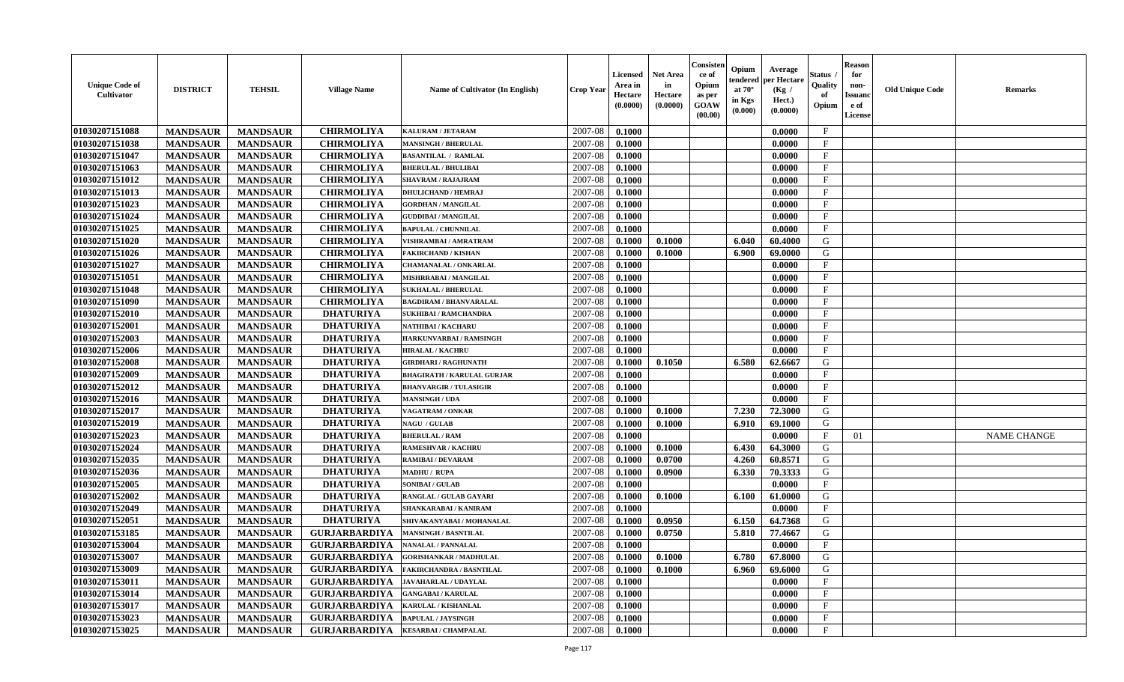| <b>Unique Code of</b><br><b>Cultivator</b> | <b>DISTRICT</b> | <b>TEHSIL</b>   | <b>Village Name</b>  | <b>Name of Cultivator (In English)</b> | <b>Crop Year</b> | <b>Licensed</b><br>Area in<br>Hectare<br>(0.0000) | <b>Net Area</b><br>in<br>Hectare<br>(0.0000) | Consisteı<br>ce of<br>Opium<br>as per<br><b>GOAW</b><br>(00.00) | Opium<br>endered<br>at $70^\circ$<br>in Kgs<br>(0.000) | Average<br>per Hectare<br>(Kg /<br>Hect.)<br>(0.0000) | Status<br>Quality<br>of<br>Opium | Reason<br>for<br>non-<br>Issuan<br>e of<br>License | <b>Old Unique Code</b> | <b>Remarks</b>     |
|--------------------------------------------|-----------------|-----------------|----------------------|----------------------------------------|------------------|---------------------------------------------------|----------------------------------------------|-----------------------------------------------------------------|--------------------------------------------------------|-------------------------------------------------------|----------------------------------|----------------------------------------------------|------------------------|--------------------|
| 01030207151088                             | <b>MANDSAUR</b> | <b>MANDSAUR</b> | <b>CHIRMOLIYA</b>    | KALURAM / JETARAM                      | 2007-08          | 0.1000                                            |                                              |                                                                 |                                                        | 0.0000                                                | $\mathbf{F}$                     |                                                    |                        |                    |
| 01030207151038                             | <b>MANDSAUR</b> | <b>MANDSAUR</b> | <b>CHIRMOLIYA</b>    | <b>MANSINGH / BHERULAL</b>             | 2007-08          | 0.1000                                            |                                              |                                                                 |                                                        | 0.0000                                                | $_{\rm F}$                       |                                                    |                        |                    |
| 01030207151047                             | <b>MANDSAUR</b> | <b>MANDSAUR</b> | <b>CHIRMOLIYA</b>    | <b>BASANTILAL / RAMLAL</b>             | 2007-08          | 0.1000                                            |                                              |                                                                 |                                                        | 0.0000                                                | $\mathbf{F}$                     |                                                    |                        |                    |
| 01030207151063                             | <b>MANDSAUR</b> | <b>MANDSAUR</b> | <b>CHIRMOLIYA</b>    | <b>BHERULAL / BHULIBAI</b>             | 2007-08          | 0.1000                                            |                                              |                                                                 |                                                        | 0.0000                                                | $\mathbf{F}$                     |                                                    |                        |                    |
| 01030207151012                             | <b>MANDSAUR</b> | <b>MANDSAUR</b> | <b>CHIRMOLIYA</b>    | <b>SHAVRAM / RAJAJRAM</b>              | 2007-08          | 0.1000                                            |                                              |                                                                 |                                                        | 0.0000                                                | $_{\rm F}$                       |                                                    |                        |                    |
| 01030207151013                             | <b>MANDSAUR</b> | <b>MANDSAUR</b> | <b>CHIRMOLIYA</b>    | <b>DHULICHAND / HEMRAJ</b>             | 2007-08          | 0.1000                                            |                                              |                                                                 |                                                        | 0.0000                                                | $\mathbf{F}$                     |                                                    |                        |                    |
| 01030207151023                             | <b>MANDSAUR</b> | <b>MANDSAUR</b> | <b>CHIRMOLIYA</b>    | <b>GORDHAN/MANGILAL</b>                | 2007-08          | 0.1000                                            |                                              |                                                                 |                                                        | 0.0000                                                | $\mathbf{F}$                     |                                                    |                        |                    |
| 01030207151024                             | <b>MANDSAUR</b> | <b>MANDSAUR</b> | <b>CHIRMOLIYA</b>    | <b>GUDDIBAI / MANGILAL</b>             | 2007-08          | 0.1000                                            |                                              |                                                                 |                                                        | 0.0000                                                | $\mathbf{F}$                     |                                                    |                        |                    |
| 01030207151025                             | <b>MANDSAUR</b> | <b>MANDSAUR</b> | <b>CHIRMOLIYA</b>    | <b>BAPULAL / CHUNNILAL</b>             | 2007-08          | 0.1000                                            |                                              |                                                                 |                                                        | 0.0000                                                | $_{\rm F}$                       |                                                    |                        |                    |
| 01030207151020                             | <b>MANDSAUR</b> | <b>MANDSAUR</b> | <b>CHIRMOLIYA</b>    | VISHRAMBAI / AMRATRAM                  | 2007-08          | 0.1000                                            | 0.1000                                       |                                                                 | 6.040                                                  | 60.4000                                               | G                                |                                                    |                        |                    |
| 01030207151026                             | <b>MANDSAUR</b> | <b>MANDSAUR</b> | <b>CHIRMOLIYA</b>    | <b>FAKIRCHAND / KISHAN</b>             | 2007-08          | 0.1000                                            | 0.1000                                       |                                                                 | 6.900                                                  | 69.0000                                               | G                                |                                                    |                        |                    |
| 01030207151027                             | <b>MANDSAUR</b> | <b>MANDSAUR</b> | <b>CHIRMOLIYA</b>    | <b>CHAMANALAL / ONKARLAL</b>           | 2007-08          | 0.1000                                            |                                              |                                                                 |                                                        | 0.0000                                                | $\mathbf{F}$                     |                                                    |                        |                    |
| 01030207151051                             | <b>MANDSAUR</b> | <b>MANDSAUR</b> | <b>CHIRMOLIYA</b>    | MISHRRABAI / MANGILAL                  | 2007-08          | 0.1000                                            |                                              |                                                                 |                                                        | 0.0000                                                | $\mathbf{F}$                     |                                                    |                        |                    |
| 01030207151048                             | <b>MANDSAUR</b> | <b>MANDSAUR</b> | <b>CHIRMOLIYA</b>    | <b>SUKHALAL / BHERULAL</b>             | 2007-08          | 0.1000                                            |                                              |                                                                 |                                                        | 0.0000                                                | $\mathbf{F}$                     |                                                    |                        |                    |
| 01030207151090                             | <b>MANDSAUR</b> | <b>MANDSAUR</b> | <b>CHIRMOLIYA</b>    | <b>BAGDIRAM / BHANVARALAL</b>          | 2007-08          | 0.1000                                            |                                              |                                                                 |                                                        | 0.0000                                                | $\mathbf{F}$                     |                                                    |                        |                    |
| 01030207152010                             | <b>MANDSAUR</b> | <b>MANDSAUR</b> | <b>DHATURIYA</b>     | <b>SUKHIBAI / RAMCHANDRA</b>           | 2007-08          | 0.1000                                            |                                              |                                                                 |                                                        | 0.0000                                                | F                                |                                                    |                        |                    |
| 01030207152001                             | <b>MANDSAUR</b> | <b>MANDSAUR</b> | <b>DHATURIYA</b>     | NATHIBAI / KACHARU                     | 2007-08          | 0.1000                                            |                                              |                                                                 |                                                        | 0.0000                                                | $\mathbf{F}$                     |                                                    |                        |                    |
| 01030207152003                             | <b>MANDSAUR</b> | <b>MANDSAUR</b> | <b>DHATURIYA</b>     | HARKUNVARBAI / RAMSINGH                | 2007-08          | 0.1000                                            |                                              |                                                                 |                                                        | 0.0000                                                | $\mathbf F$                      |                                                    |                        |                    |
| 01030207152006                             | <b>MANDSAUR</b> | <b>MANDSAUR</b> | <b>DHATURIYA</b>     | <b>HIRALAL / KACHRU</b>                | 2007-08          | 0.1000                                            |                                              |                                                                 |                                                        | 0.0000                                                | $_{\rm F}$                       |                                                    |                        |                    |
| 01030207152008                             | <b>MANDSAUR</b> | <b>MANDSAUR</b> | <b>DHATURIYA</b>     | <b>GIRDHARI / RAGHUNATH</b>            | 2007-08          | 0.1000                                            | 0.1050                                       |                                                                 | 6.580                                                  | 62.6667                                               | G                                |                                                    |                        |                    |
| 01030207152009                             | <b>MANDSAUR</b> | <b>MANDSAUR</b> | <b>DHATURIYA</b>     | <b>BHAGIRATH / KARULAL GURJAR</b>      | 2007-08          | 0.1000                                            |                                              |                                                                 |                                                        | 0.0000                                                | F                                |                                                    |                        |                    |
| 01030207152012                             | <b>MANDSAUR</b> | <b>MANDSAUR</b> | <b>DHATURIYA</b>     | <b>BHANVARGIR / TULASIGIR</b>          | 2007-08          | 0.1000                                            |                                              |                                                                 |                                                        | 0.0000                                                | $\mathbf{F}$                     |                                                    |                        |                    |
| 01030207152016                             | <b>MANDSAUR</b> | <b>MANDSAUR</b> | <b>DHATURIYA</b>     | <b>MANSINGH / UDA</b>                  | 2007-08          | 0.1000                                            |                                              |                                                                 |                                                        | 0.0000                                                | F.                               |                                                    |                        |                    |
| 01030207152017                             | <b>MANDSAUR</b> | <b>MANDSAUR</b> | <b>DHATURIYA</b>     | VAGATRAM / ONKAR                       | 2007-08          | 0.1000                                            | 0.1000                                       |                                                                 | 7.230                                                  | 72.3000                                               | G                                |                                                    |                        |                    |
| 01030207152019                             | <b>MANDSAUR</b> | <b>MANDSAUR</b> | <b>DHATURIYA</b>     | <b>NAGU / GULAB</b>                    | 2007-08          | 0.1000                                            | 0.1000                                       |                                                                 | 6.910                                                  | 69.1000                                               | G                                |                                                    |                        |                    |
| 01030207152023                             | <b>MANDSAUR</b> | <b>MANDSAUR</b> | <b>DHATURIYA</b>     | <b>BHERULAL / RAM</b>                  | 2007-08          | 0.1000                                            |                                              |                                                                 |                                                        | 0.0000                                                | $\mathbf{F}$                     | 01                                                 |                        | <b>NAME CHANGE</b> |
| 01030207152024                             | <b>MANDSAUR</b> | <b>MANDSAUR</b> | <b>DHATURIYA</b>     | <b>RAMESHVAR / KACHRU</b>              | 2007-08          | 0.1000                                            | 0.1000                                       |                                                                 | 6.430                                                  | 64.3000                                               | G                                |                                                    |                        |                    |
| 01030207152035                             | <b>MANDSAUR</b> | <b>MANDSAUR</b> | <b>DHATURIYA</b>     | RAMIBAI / DEVARAM                      | 2007-08          | 0.1000                                            | 0.0700                                       |                                                                 | 4.260                                                  | 60.8571                                               | G                                |                                                    |                        |                    |
| 01030207152036                             | <b>MANDSAUR</b> | <b>MANDSAUR</b> | <b>DHATURIYA</b>     | MADHU / RUPA                           | 2007-08          | 0.1000                                            | 0.0900                                       |                                                                 | 6.330                                                  | 70.3333                                               | G                                |                                                    |                        |                    |
| 01030207152005                             | <b>MANDSAUR</b> | <b>MANDSAUR</b> | <b>DHATURIYA</b>     | <b>SONIBAI/GULAB</b>                   | 2007-08          | 0.1000                                            |                                              |                                                                 |                                                        | 0.0000                                                | $\mathbf{F}$                     |                                                    |                        |                    |
| 01030207152002                             | <b>MANDSAUR</b> | <b>MANDSAUR</b> | <b>DHATURIYA</b>     | RANGLAL / GULAB GAYARI                 | 2007-08          | 0.1000                                            | 0.1000                                       |                                                                 | 6.100                                                  | 61.0000                                               | G                                |                                                    |                        |                    |
| 01030207152049                             | <b>MANDSAUR</b> | <b>MANDSAUR</b> | <b>DHATURIYA</b>     | SHANKARABAI / KANIRAM                  | 2007-08          | 0.1000                                            |                                              |                                                                 |                                                        | 0.0000                                                | $\mathbf{F}$                     |                                                    |                        |                    |
| 01030207152051                             | <b>MANDSAUR</b> | <b>MANDSAUR</b> | <b>DHATURIYA</b>     | SHIVAKANYABAI / MOHANALAL              | 2007-08          | 0.1000                                            | 0.0950                                       |                                                                 | 6.150                                                  | 64.7368                                               | G                                |                                                    |                        |                    |
| 01030207153185                             | <b>MANDSAUR</b> | <b>MANDSAUR</b> | <b>GURJARBARDIYA</b> | <b>MANSINGH / BASNTILAL</b>            | 2007-08          | 0.1000                                            | 0.0750                                       |                                                                 | 5.810                                                  | 77.4667                                               | G                                |                                                    |                        |                    |
| 01030207153004                             | <b>MANDSAUR</b> | <b>MANDSAUR</b> | <b>GURJARBARDIYA</b> | <b>NANALAL / PANNALAL</b>              | 2007-08          | 0.1000                                            |                                              |                                                                 |                                                        | 0.0000                                                | $\mathbf{F}$                     |                                                    |                        |                    |
| <b>01030207153007</b>                      | <b>MANDSAUR</b> | <b>MANDSAUR</b> | <b>GURJARBARDIYA</b> | <b>GORISHANKAR / MADHULAL</b>          | $2007 - 08$      | 0.1000                                            | 0.1000                                       |                                                                 | $6.780$                                                | 67.8000                                               | G                                |                                                    |                        |                    |
| 01030207153009                             | <b>MANDSAUR</b> | <b>MANDSAUR</b> | <b>GURJARBARDIYA</b> | <b>FAKIRCHANDRA / BASNTILAL</b>        | 2007-08          | 0.1000                                            | 0.1000                                       |                                                                 | 6.960                                                  | 69.6000                                               | G                                |                                                    |                        |                    |
| 01030207153011                             | <b>MANDSAUR</b> | <b>MANDSAUR</b> | GURJARBARDIYA        | <b>JAVAHARLAL / UDAYLAL</b>            | 2007-08          | 0.1000                                            |                                              |                                                                 |                                                        | 0.0000                                                | $\mathbf{F}$                     |                                                    |                        |                    |
| 01030207153014                             | <b>MANDSAUR</b> | <b>MANDSAUR</b> | <b>GURJARBARDIYA</b> | <b>GANGABAI/KARULAL</b>                | 2007-08          | 0.1000                                            |                                              |                                                                 |                                                        | 0.0000                                                | $\mathbf{F}$                     |                                                    |                        |                    |
| 01030207153017                             | <b>MANDSAUR</b> | <b>MANDSAUR</b> | <b>GURJARBARDIYA</b> | <b>KARULAL / KISHANLAL</b>             | 2007-08          | 0.1000                                            |                                              |                                                                 |                                                        | 0.0000                                                | $\mathbf{F}$                     |                                                    |                        |                    |
| 01030207153023                             | <b>MANDSAUR</b> | <b>MANDSAUR</b> | <b>GURJARBARDIYA</b> | <b>BAPULAL / JAYSINGH</b>              | 2007-08          | 0.1000                                            |                                              |                                                                 |                                                        | 0.0000                                                | $\mathbf{F}$                     |                                                    |                        |                    |
| 01030207153025                             | <b>MANDSAUR</b> | <b>MANDSAUR</b> | <b>GURJARBARDIYA</b> | <b>KESARBAI/ CHAMPALAL</b>             | 2007-08          | 0.1000                                            |                                              |                                                                 |                                                        | 0.0000                                                | $\mathbf{F}$                     |                                                    |                        |                    |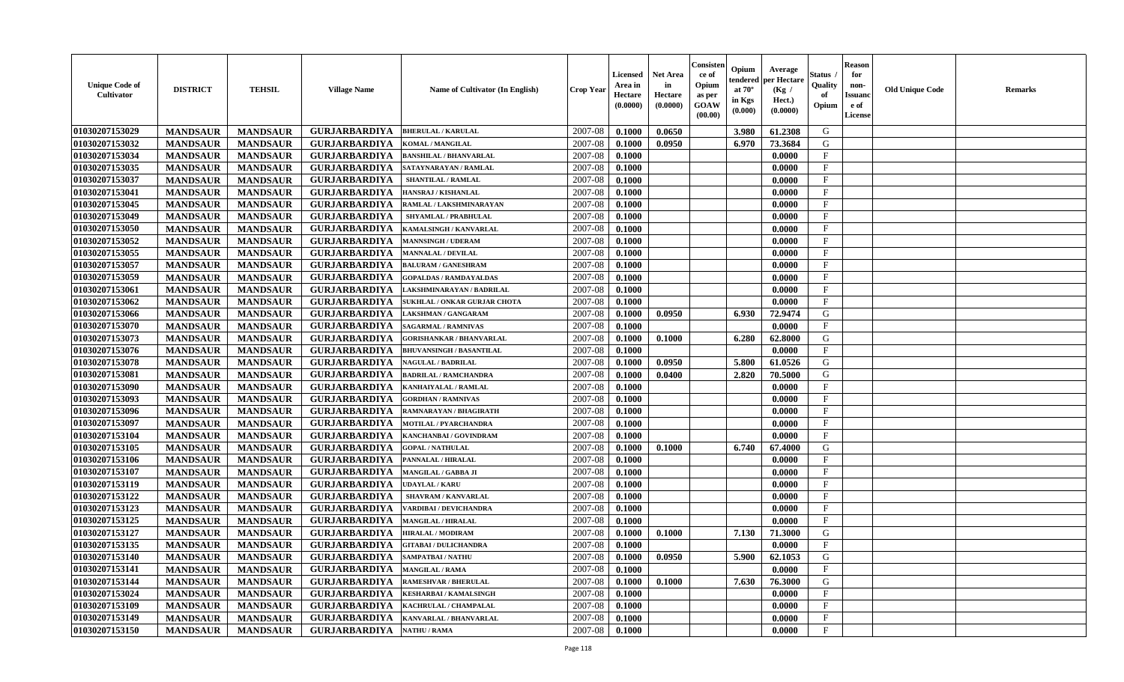| <b>Unique Code of</b><br><b>Cultivator</b> | <b>DISTRICT</b> | <b>TEHSIL</b>   | <b>Village Name</b>  | Name of Cultivator (In English) | <b>Crop Year</b> | Licensed<br>Area in<br>Hectare<br>(0.0000) | <b>Net Area</b><br>in<br>Hectare<br>(0.0000) | Consister<br>ce of<br>Opium<br>as per<br>GOAW<br>(00.00) | Opium<br>tendered<br>at $70^\circ$<br>in Kgs<br>(0.000) | Average<br>per Hectare<br>(Kg)<br>Hect.)<br>(0.0000) | <b>Status</b><br>Quality<br>of<br>Opium | <b>Reason</b><br>for<br>non-<br><b>Issuand</b><br>e of<br>License | <b>Old Unique Code</b><br><b>Remarks</b> |
|--------------------------------------------|-----------------|-----------------|----------------------|---------------------------------|------------------|--------------------------------------------|----------------------------------------------|----------------------------------------------------------|---------------------------------------------------------|------------------------------------------------------|-----------------------------------------|-------------------------------------------------------------------|------------------------------------------|
| 01030207153029                             | <b>MANDSAUR</b> | <b>MANDSAUR</b> | <b>GURJARBARDIYA</b> | <b>BHERULAL / KARULAL</b>       | 2007-08          | 0.1000                                     | 0.0650                                       |                                                          | 3.980                                                   | 61.2308                                              | G                                       |                                                                   |                                          |
| 01030207153032                             | <b>MANDSAUR</b> | <b>MANDSAUR</b> | <b>GURJARBARDIYA</b> | <b>KOMAL / MANGILAL</b>         | 2007-08          | 0.1000                                     | 0.0950                                       |                                                          | 6.970                                                   | 73.3684                                              | G                                       |                                                                   |                                          |
| 01030207153034                             | <b>MANDSAUR</b> | <b>MANDSAUR</b> | <b>GURJARBARDIYA</b> | <b>BANSHILAL / BHANVARLAL</b>   | 2007-08          | 0.1000                                     |                                              |                                                          |                                                         | 0.0000                                               | F                                       |                                                                   |                                          |
| 01030207153035                             | <b>MANDSAUR</b> | <b>MANDSAUR</b> | <b>GURJARBARDIYA</b> | SATAYNARAYAN / RAMLAL           | 2007-08          | 0.1000                                     |                                              |                                                          |                                                         | 0.0000                                               | $\mathbf F$                             |                                                                   |                                          |
| 01030207153037                             | <b>MANDSAUR</b> | <b>MANDSAUR</b> | <b>GURJARBARDIYA</b> | <b>SHANTILAL / RAMLAL</b>       | 2007-08          | 0.1000                                     |                                              |                                                          |                                                         | 0.0000                                               | F                                       |                                                                   |                                          |
| 01030207153041                             | <b>MANDSAUR</b> | <b>MANDSAUR</b> | <b>GURJARBARDIYA</b> | HANSRAJ / KISHANLAL             | 2007-08          | 0.1000                                     |                                              |                                                          |                                                         | 0.0000                                               | $_{\rm F}$                              |                                                                   |                                          |
| 01030207153045                             | <b>MANDSAUR</b> | <b>MANDSAUR</b> | <b>GURJARBARDIYA</b> | RAMLAL / LAKSHMINARAYAN         | 2007-08          | 0.1000                                     |                                              |                                                          |                                                         | 0.0000                                               | $_{\rm F}$                              |                                                                   |                                          |
| 01030207153049                             | <b>MANDSAUR</b> | <b>MANDSAUR</b> | <b>GURJARBARDIYA</b> | SHYAMLAL / PRABHULAL            | 2007-08          | 0.1000                                     |                                              |                                                          |                                                         | 0.0000                                               | F                                       |                                                                   |                                          |
| 01030207153050                             | <b>MANDSAUR</b> | <b>MANDSAUR</b> | <b>GURJARBARDIYA</b> | <b>KAMALSINGH / KANVARLAL</b>   | 2007-08          | 0.1000                                     |                                              |                                                          |                                                         | 0.0000                                               | F                                       |                                                                   |                                          |
| 01030207153052                             | <b>MANDSAUR</b> | <b>MANDSAUR</b> | <b>GURJARBARDIYA</b> | <b>MANNSINGH / UDERAM</b>       | 2007-08          | 0.1000                                     |                                              |                                                          |                                                         | 0.0000                                               | F                                       |                                                                   |                                          |
| 01030207153055                             | <b>MANDSAUR</b> | <b>MANDSAUR</b> | <b>GURJARBARDIYA</b> | <b>MANNALAL / DEVILAL</b>       | 2007-08          | 0.1000                                     |                                              |                                                          |                                                         | 0.0000                                               | F                                       |                                                                   |                                          |
| 01030207153057                             | <b>MANDSAUR</b> | <b>MANDSAUR</b> | <b>GURJARBARDIYA</b> | <b>BALURAM / GANESHRAM</b>      | 2007-08          | 0.1000                                     |                                              |                                                          |                                                         | 0.0000                                               | $\mathbf{F}$                            |                                                                   |                                          |
| 01030207153059                             | <b>MANDSAUR</b> | <b>MANDSAUR</b> | <b>GURJARBARDIYA</b> | <b>GOPALDAS / RAMDAYALDAS</b>   | 2007-08          | 0.1000                                     |                                              |                                                          |                                                         | 0.0000                                               | $\mathbf{F}$                            |                                                                   |                                          |
| 01030207153061                             | <b>MANDSAUR</b> | <b>MANDSAUR</b> | <b>GURJARBARDIYA</b> | LAKSHMINARAYAN / BADRILAL       | 2007-08          | 0.1000                                     |                                              |                                                          |                                                         | 0.0000                                               | F                                       |                                                                   |                                          |
| 01030207153062                             | <b>MANDSAUR</b> | <b>MANDSAUR</b> | <b>GURJARBARDIYA</b> | SUKHLAL / ONKAR GURJAR CHOTA    | 2007-08          | 0.1000                                     |                                              |                                                          |                                                         | 0.0000                                               | F                                       |                                                                   |                                          |
| 01030207153066                             | <b>MANDSAUR</b> | <b>MANDSAUR</b> | <b>GURJARBARDIYA</b> | LAKSHMAN / GANGARAM             | 2007-08          | 0.1000                                     | 0.0950                                       |                                                          | 6.930                                                   | 72.9474                                              | G                                       |                                                                   |                                          |
| 01030207153070                             | <b>MANDSAUR</b> | <b>MANDSAUR</b> | <b>GURJARBARDIYA</b> | <b>SAGARMAL / RAMNIVAS</b>      | 2007-08          | 0.1000                                     |                                              |                                                          |                                                         | 0.0000                                               | F                                       |                                                                   |                                          |
| 01030207153073                             | <b>MANDSAUR</b> | <b>MANDSAUR</b> | <b>GURJARBARDIYA</b> | <b>GORISHANKAR / BHANVARLAL</b> | 2007-08          | 0.1000                                     | 0.1000                                       |                                                          | 6.280                                                   | 62.8000                                              | G                                       |                                                                   |                                          |
| 01030207153076                             | <b>MANDSAUR</b> | <b>MANDSAUR</b> | <b>GURJARBARDIYA</b> | <b>BHUVANSINGH / BASANTILAL</b> | 2007-08          | 0.1000                                     |                                              |                                                          |                                                         | 0.0000                                               | $_{\rm F}$                              |                                                                   |                                          |
| 01030207153078                             | <b>MANDSAUR</b> | <b>MANDSAUR</b> | <b>GURJARBARDIYA</b> | <b>NAGULAL / BADRILAL</b>       | 2007-08          | 0.1000                                     | 0.0950                                       |                                                          | 5.800                                                   | 61.0526                                              | G                                       |                                                                   |                                          |
| 01030207153081                             | <b>MANDSAUR</b> | <b>MANDSAUR</b> | <b>GURJARBARDIYA</b> | <b>BADRILAL / RAMCHANDRA</b>    | 2007-08          | 0.1000                                     | 0.0400                                       |                                                          | 2.820                                                   | 70.5000                                              | G                                       |                                                                   |                                          |
| 01030207153090                             | <b>MANDSAUR</b> | <b>MANDSAUR</b> | <b>GURJARBARDIYA</b> | KANHAIYALAL / RAMLAL            | 2007-08          | 0.1000                                     |                                              |                                                          |                                                         | 0.0000                                               | F                                       |                                                                   |                                          |
| 01030207153093                             | <b>MANDSAUR</b> | <b>MANDSAUR</b> | <b>GURJARBARDIYA</b> | <b>GORDHAN / RAMNIVAS</b>       | 2007-08          | 0.1000                                     |                                              |                                                          |                                                         | 0.0000                                               | F                                       |                                                                   |                                          |
| 01030207153096                             | <b>MANDSAUR</b> | <b>MANDSAUR</b> | <b>GURJARBARDIYA</b> | RAMNARAYAN / BHAGIRATH          | 2007-08          | 0.1000                                     |                                              |                                                          |                                                         | 0.0000                                               | F                                       |                                                                   |                                          |
| 01030207153097                             | <b>MANDSAUR</b> | <b>MANDSAUR</b> | <b>GURJARBARDIYA</b> | <b>MOTILAL / PYARCHANDRA</b>    | 2007-08          | 0.1000                                     |                                              |                                                          |                                                         | 0.0000                                               | $_{\rm F}$                              |                                                                   |                                          |
| 01030207153104                             | <b>MANDSAUR</b> | <b>MANDSAUR</b> | <b>GURJARBARDIYA</b> | KANCHANBAI / GOVINDRAM          | 2007-08          | 0.1000                                     |                                              |                                                          |                                                         | 0.0000                                               | F                                       |                                                                   |                                          |
| 01030207153105                             | <b>MANDSAUR</b> | <b>MANDSAUR</b> | <b>GURJARBARDIYA</b> | <b>GOPAL / NATHULAL</b>         | 2007-08          | 0.1000                                     | 0.1000                                       |                                                          | 6.740                                                   | 67.4000                                              | G                                       |                                                                   |                                          |
| 01030207153106                             | <b>MANDSAUR</b> | <b>MANDSAUR</b> | <b>GURJARBARDIYA</b> | PANNALAL / HIRALAL              | 2007-08          | 0.1000                                     |                                              |                                                          |                                                         | 0.0000                                               | F                                       |                                                                   |                                          |
| 01030207153107                             | <b>MANDSAUR</b> | <b>MANDSAUR</b> | <b>GURJARBARDIYA</b> | MANGILAL / GABBA JI             | 2007-08          | 0.1000                                     |                                              |                                                          |                                                         | 0.0000                                               | $\mathbf{F}$                            |                                                                   |                                          |
| 01030207153119                             | <b>MANDSAUR</b> | <b>MANDSAUR</b> | <b>GURJARBARDIYA</b> | <b>UDAYLAL / KARU</b>           | 2007-08          | 0.1000                                     |                                              |                                                          |                                                         | 0.0000                                               | F                                       |                                                                   |                                          |
| 01030207153122                             | <b>MANDSAUR</b> | <b>MANDSAUR</b> | <b>GURJARBARDIYA</b> | <b>SHAVRAM / KANVARLAL</b>      | 2007-08          | 0.1000                                     |                                              |                                                          |                                                         | 0.0000                                               | F                                       |                                                                   |                                          |
| 01030207153123                             | <b>MANDSAUR</b> | <b>MANDSAUR</b> | <b>GURJARBARDIYA</b> | ARDIBAI / DEVICHANDRA           | 2007-08          | 0.1000                                     |                                              |                                                          |                                                         | 0.0000                                               | $\mathbf F$                             |                                                                   |                                          |
| 01030207153125                             | <b>MANDSAUR</b> | <b>MANDSAUR</b> | <b>GURJARBARDIYA</b> | <b>MANGILAL / HIRALAL</b>       | 2007-08          | 0.1000                                     |                                              |                                                          |                                                         | 0.0000                                               | $_{\rm F}$                              |                                                                   |                                          |
| 01030207153127                             | <b>MANDSAUR</b> | <b>MANDSAUR</b> | <b>GURJARBARDIYA</b> | <b>HIRALAL / MODIRAM</b>        | 2007-08          | 0.1000                                     | 0.1000                                       |                                                          | 7.130                                                   | 71.3000                                              | G                                       |                                                                   |                                          |
| 01030207153135                             | <b>MANDSAUR</b> | <b>MANDSAUR</b> | <b>GURJARBARDIYA</b> | <b>GITABAI / DULICHANDRA</b>    | 2007-08          | 0.1000                                     |                                              |                                                          |                                                         | 0.0000                                               | F                                       |                                                                   |                                          |
| 01030207153140                             | <b>MANDSAUR</b> | <b>MANDSAUR</b> | <b>GURJARBARDIYA</b> | <b>SAMPATBAI / NATHU</b>        | 2007-08          | 0.1000                                     | 0.0950                                       |                                                          | $5.900$                                                 | 62.1053                                              | G                                       |                                                                   |                                          |
| 01030207153141                             | <b>MANDSAUR</b> | <b>MANDSAUR</b> | <b>GURJARBARDIYA</b> | <b>MANGILAL / RAMA</b>          | 2007-08          | 0.1000                                     |                                              |                                                          |                                                         | 0.0000                                               | F                                       |                                                                   |                                          |
| 01030207153144                             | <b>MANDSAUR</b> | <b>MANDSAUR</b> | <b>GURJARBARDIYA</b> | <b>RAMESHVAR / BHERULAL</b>     | 2007-08          | 0.1000                                     | 0.1000                                       |                                                          | 7.630                                                   | 76.3000                                              | G                                       |                                                                   |                                          |
| 01030207153024                             | <b>MANDSAUR</b> | <b>MANDSAUR</b> | <b>GURJARBARDIYA</b> | <b>KESHARBAI/KAMALSINGH</b>     | 2007-08          | 0.1000                                     |                                              |                                                          |                                                         | 0.0000                                               | $\mathbf{F}$                            |                                                                   |                                          |
| 01030207153109                             | <b>MANDSAUR</b> | <b>MANDSAUR</b> | <b>GURJARBARDIYA</b> | KACHRULAL / CHAMPALAL           | 2007-08          | 0.1000                                     |                                              |                                                          |                                                         | 0.0000                                               | $\mathbf{F}$                            |                                                                   |                                          |
| 01030207153149                             | <b>MANDSAUR</b> | <b>MANDSAUR</b> | <b>GURJARBARDIYA</b> | KANVARLAL / BHANVARLAL          | 2007-08          | 0.1000                                     |                                              |                                                          |                                                         | 0.0000                                               | $_{\rm F}$                              |                                                                   |                                          |
| 01030207153150                             | <b>MANDSAUR</b> | <b>MANDSAUR</b> | <b>GURJARBARDIYA</b> | <b>NATHU / RAMA</b>             | 2007-08          | 0.1000                                     |                                              |                                                          |                                                         | 0.0000                                               | F                                       |                                                                   |                                          |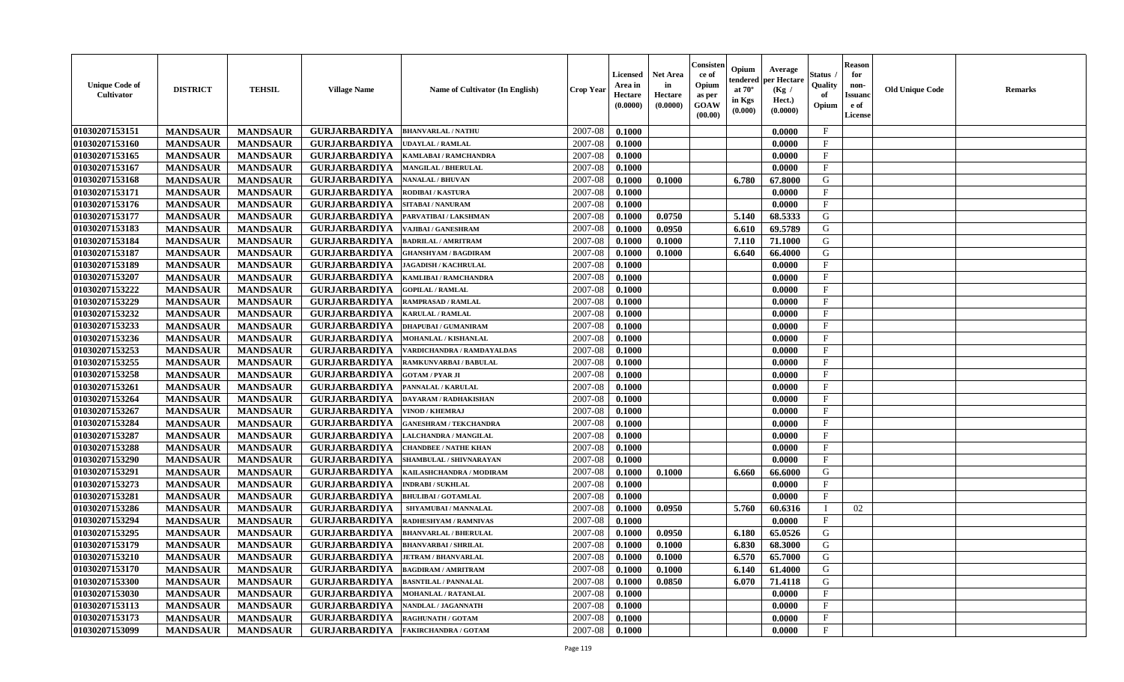| <b>Unique Code of</b><br><b>Cultivator</b> | <b>DISTRICT</b> | <b>TEHSIL</b>   | <b>Village Name</b>  | <b>Name of Cultivator (In English)</b> | <b>Crop Year</b> | Licensed<br>Area in<br>Hectare<br>(0.0000) | <b>Net Area</b><br>in<br>Hectare<br>(0.0000) | Consister<br>ce of<br>Opium<br>as per<br><b>GOAW</b><br>(00.00) | Opium<br>endered<br>at $70^{\circ}$<br>in Kgs<br>(0.000) | Average<br>per Hectare<br>(Kg /<br>Hect.)<br>(0.0000) | Status<br>Quality<br>of<br>Opium | <b>Reason</b><br>for<br>non-<br><b>Issuano</b><br>e of<br>License | <b>Old Unique Code</b> | <b>Remarks</b> |
|--------------------------------------------|-----------------|-----------------|----------------------|----------------------------------------|------------------|--------------------------------------------|----------------------------------------------|-----------------------------------------------------------------|----------------------------------------------------------|-------------------------------------------------------|----------------------------------|-------------------------------------------------------------------|------------------------|----------------|
| 01030207153151                             | <b>MANDSAUR</b> | <b>MANDSAUR</b> | <b>GURJARBARDIYA</b> | <b>BHANVARLAL / NATHU</b>              | 2007-08          | 0.1000                                     |                                              |                                                                 |                                                          | 0.0000                                                | $\mathbf{F}$                     |                                                                   |                        |                |
| 01030207153160                             | <b>MANDSAUR</b> | <b>MANDSAUR</b> | <b>GURJARBARDIYA</b> | <b>UDAYLAL / RAMLAL</b>                | 2007-08          | 0.1000                                     |                                              |                                                                 |                                                          | 0.0000                                                | $\mathbf{F}$                     |                                                                   |                        |                |
| 01030207153165                             | <b>MANDSAUR</b> | <b>MANDSAUR</b> | <b>GURJARBARDIYA</b> | KAMLABAI / RAMCHANDRA                  | 2007-08          | 0.1000                                     |                                              |                                                                 |                                                          | 0.0000                                                | $\mathbf{F}$                     |                                                                   |                        |                |
| 01030207153167                             | <b>MANDSAUR</b> | <b>MANDSAUR</b> | <b>GURJARBARDIYA</b> | <b>MANGILAL / BHERULAL</b>             | 2007-08          | 0.1000                                     |                                              |                                                                 |                                                          | 0.0000                                                | $\mathbf{F}$                     |                                                                   |                        |                |
| 01030207153168                             | <b>MANDSAUR</b> | <b>MANDSAUR</b> | <b>GURJARBARDIYA</b> | <b>NANALAL / BHUVAN</b>                | 2007-08          | 0.1000                                     | 0.1000                                       |                                                                 | 6.780                                                    | 67.8000                                               | G                                |                                                                   |                        |                |
| 01030207153171                             | <b>MANDSAUR</b> | <b>MANDSAUR</b> | <b>GURJARBARDIYA</b> | <b>RODIBAI/KASTURA</b>                 | 2007-08          | 0.1000                                     |                                              |                                                                 |                                                          | 0.0000                                                | $\mathbf{F}$                     |                                                                   |                        |                |
| 01030207153176                             | <b>MANDSAUR</b> | <b>MANDSAUR</b> | <b>GURJARBARDIYA</b> | <b>SITABAI/NANURAM</b>                 | 2007-08          | 0.1000                                     |                                              |                                                                 |                                                          | 0.0000                                                | $\mathbf{F}$                     |                                                                   |                        |                |
| 01030207153177                             | <b>MANDSAUR</b> | <b>MANDSAUR</b> | <b>GURJARBARDIYA</b> | PARVATIBAI / LAKSHMAN                  | 2007-08          | 0.1000                                     | 0.0750                                       |                                                                 | 5.140                                                    | 68.5333                                               | G                                |                                                                   |                        |                |
| 01030207153183                             | <b>MANDSAUR</b> | <b>MANDSAUR</b> | <b>GURJARBARDIYA</b> | VAJIBAI / GANESHRAM                    | 2007-08          | 0.1000                                     | 0.0950                                       |                                                                 | 6.610                                                    | 69.5789                                               | G                                |                                                                   |                        |                |
| 01030207153184                             | <b>MANDSAUR</b> | <b>MANDSAUR</b> | <b>GURJARBARDIYA</b> | <b>BADRILAL / AMRITRAM</b>             | 2007-08          | 0.1000                                     | 0.1000                                       |                                                                 | 7.110                                                    | 71.1000                                               | G                                |                                                                   |                        |                |
| 01030207153187                             | <b>MANDSAUR</b> | <b>MANDSAUR</b> | <b>GURJARBARDIYA</b> | <b>GHANSHYAM / BAGDIRAM</b>            | 2007-08          | 0.1000                                     | 0.1000                                       |                                                                 | 6.640                                                    | 66.4000                                               | G                                |                                                                   |                        |                |
| 01030207153189                             | <b>MANDSAUR</b> | <b>MANDSAUR</b> | <b>GURJARBARDIYA</b> | <b>JAGADISH / KACHRULAL</b>            | 2007-08          | 0.1000                                     |                                              |                                                                 |                                                          | 0.0000                                                | $\mathbf{F}$                     |                                                                   |                        |                |
| 01030207153207                             | <b>MANDSAUR</b> | <b>MANDSAUR</b> | <b>GURJARBARDIYA</b> | KAMLIBAI / RAMCHANDRA                  | 2007-08          | 0.1000                                     |                                              |                                                                 |                                                          | 0.0000                                                | $\mathbf{F}$                     |                                                                   |                        |                |
| 01030207153222                             | <b>MANDSAUR</b> | <b>MANDSAUR</b> | <b>GURJARBARDIYA</b> | <b>GOPILAL / RAMLAL</b>                | 2007-08          | 0.1000                                     |                                              |                                                                 |                                                          | 0.0000                                                | $\mathbf{F}$                     |                                                                   |                        |                |
| 01030207153229                             | <b>MANDSAUR</b> | <b>MANDSAUR</b> | <b>GURJARBARDIYA</b> | <b>RAMPRASAD / RAMLAL</b>              | 2007-08          | 0.1000                                     |                                              |                                                                 |                                                          | 0.0000                                                | $\mathbf{F}$                     |                                                                   |                        |                |
| 01030207153232                             | <b>MANDSAUR</b> | <b>MANDSAUR</b> | <b>GURJARBARDIYA</b> | <b>KARULAL / RAMLAL</b>                | 2007-08          | 0.1000                                     |                                              |                                                                 |                                                          | 0.0000                                                | F                                |                                                                   |                        |                |
| 01030207153233                             | <b>MANDSAUR</b> | <b>MANDSAUR</b> | <b>GURJARBARDIYA</b> | <b>DHAPUBAI/GUMANIRAM</b>              | 2007-08          | 0.1000                                     |                                              |                                                                 |                                                          | 0.0000                                                | $\mathbf{F}$                     |                                                                   |                        |                |
| 01030207153236                             | <b>MANDSAUR</b> | <b>MANDSAUR</b> | <b>GURJARBARDIYA</b> | <b>MOHANLAL / KISHANLAL</b>            | 2007-08          | 0.1000                                     |                                              |                                                                 |                                                          | 0.0000                                                | $\mathbf{F}$                     |                                                                   |                        |                |
| 01030207153253                             | <b>MANDSAUR</b> | <b>MANDSAUR</b> | <b>GURJARBARDIYA</b> | VARDICHANDRA / RAMDAYALDAS             | 2007-08          | 0.1000                                     |                                              |                                                                 |                                                          | 0.0000                                                | F                                |                                                                   |                        |                |
| 01030207153255                             | <b>MANDSAUR</b> | <b>MANDSAUR</b> | <b>GURJARBARDIYA</b> | RAMKUNVARBAI / BABULAL                 | 2007-08          | 0.1000                                     |                                              |                                                                 |                                                          | 0.0000                                                | $\mathbf F$                      |                                                                   |                        |                |
| 01030207153258                             | <b>MANDSAUR</b> | <b>MANDSAUR</b> | <b>GURJARBARDIYA</b> | <b>GOTAM / PYAR JI</b>                 | 2007-08          | 0.1000                                     |                                              |                                                                 |                                                          | 0.0000                                                | F                                |                                                                   |                        |                |
| 01030207153261                             | <b>MANDSAUR</b> | <b>MANDSAUR</b> | <b>GURJARBARDIYA</b> | PANNALAL / KARULAL                     | 2007-08          | 0.1000                                     |                                              |                                                                 |                                                          | 0.0000                                                | $\mathbf{F}$                     |                                                                   |                        |                |
| 01030207153264                             | <b>MANDSAUR</b> | <b>MANDSAUR</b> | <b>GURJARBARDIYA</b> | <b>DAYARAM / RADHAKISHAN</b>           | 2007-08          | 0.1000                                     |                                              |                                                                 |                                                          | 0.0000                                                | $\mathbf{F}$                     |                                                                   |                        |                |
| 01030207153267                             | <b>MANDSAUR</b> | <b>MANDSAUR</b> | <b>GURJARBARDIYA</b> | <b>VINOD / KHEMRAJ</b>                 | 2007-08          | 0.1000                                     |                                              |                                                                 |                                                          | 0.0000                                                | $\mathbf{F}$                     |                                                                   |                        |                |
| 01030207153284                             | <b>MANDSAUR</b> | <b>MANDSAUR</b> | <b>GURJARBARDIYA</b> | <b>GANESHRAM / TEKCHANDRA</b>          | 2007-08          | 0.1000                                     |                                              |                                                                 |                                                          | 0.0000                                                | $\mathbf{F}$                     |                                                                   |                        |                |
| 01030207153287                             | <b>MANDSAUR</b> | <b>MANDSAUR</b> | <b>GURJARBARDIYA</b> | LALCHANDRA / MANGILAL                  | 2007-08          | 0.1000                                     |                                              |                                                                 |                                                          | 0.0000                                                | $\mathbf{F}$                     |                                                                   |                        |                |
| 01030207153288                             | <b>MANDSAUR</b> | <b>MANDSAUR</b> | <b>GURJARBARDIYA</b> | <b>CHANDBEE / NATHE KHAN</b>           | 2007-08          | 0.1000                                     |                                              |                                                                 |                                                          | 0.0000                                                | $\mathbf F$                      |                                                                   |                        |                |
| 01030207153290                             | <b>MANDSAUR</b> | <b>MANDSAUR</b> | <b>GURJARBARDIYA</b> | SHAMBULAL / SHIVNARAYAN                | 2007-08          | 0.1000                                     |                                              |                                                                 |                                                          | 0.0000                                                | $\mathbf{F}$                     |                                                                   |                        |                |
| 01030207153291                             | <b>MANDSAUR</b> | <b>MANDSAUR</b> | <b>GURJARBARDIYA</b> | KAILASHCHANDRA / MODIRAM               | 2007-08          | 0.1000                                     | 0.1000                                       |                                                                 | 6.660                                                    | 66.6000                                               | G                                |                                                                   |                        |                |
| 01030207153273                             | <b>MANDSAUR</b> | <b>MANDSAUR</b> | <b>GURJARBARDIYA</b> | <b>INDRABI/SUKHLAL</b>                 | 2007-08          | 0.1000                                     |                                              |                                                                 |                                                          | 0.0000                                                | F                                |                                                                   |                        |                |
| 01030207153281                             | <b>MANDSAUR</b> | <b>MANDSAUR</b> | <b>GURJARBARDIYA</b> | <b>BHULIBAI / GOTAMLAL</b>             | 2007-08          | 0.1000                                     |                                              |                                                                 |                                                          | 0.0000                                                | $_{\rm F}$                       |                                                                   |                        |                |
| 01030207153286                             | <b>MANDSAUR</b> | <b>MANDSAUR</b> | <b>GURJARBARDIYA</b> | SHYAMUBAI / MANNALAL                   | 2007-08          | 0.1000                                     | 0.0950                                       |                                                                 | 5.760                                                    | 60.6316                                               |                                  | 02                                                                |                        |                |
| 01030207153294                             | <b>MANDSAUR</b> | <b>MANDSAUR</b> | <b>GURJARBARDIYA</b> | RADHESHYAM / RAMNIVAS                  | 2007-08          | 0.1000                                     |                                              |                                                                 |                                                          | 0.0000                                                | $\mathbf{F}$                     |                                                                   |                        |                |
| 01030207153295                             | <b>MANDSAUR</b> | <b>MANDSAUR</b> | <b>GURJARBARDIYA</b> | <b>BHANVARLAL / BHERULAI</b>           | 2007-08          | 0.1000                                     | 0.0950                                       |                                                                 | 6.180                                                    | 65.0526                                               | G                                |                                                                   |                        |                |
| 01030207153179                             | <b>MANDSAUR</b> | <b>MANDSAUR</b> | <b>GURJARBARDIYA</b> | <b>BHANVARBAI/SHRILAL</b>              | 2007-08          | 0.1000                                     | 0.1000                                       |                                                                 | 6.830                                                    | 68.3000                                               | G                                |                                                                   |                        |                |
| 01030207153210                             | <b>MANDSAUR</b> | <b>MANDSAUR</b> | <b>GURJARBARDIYA</b> | <b>JETRAM / BHANVARLAL</b>             | 2007-08          | 0.1000                                     | 0.1000                                       |                                                                 | 6.570                                                    | 65.7000                                               | G                                |                                                                   |                        |                |
| 01030207153170                             | <b>MANDSAUR</b> | <b>MANDSAUR</b> | <b>GURJARBARDIYA</b> | <b>BAGDIRAM / AMRITRAM</b>             | 2007-08          | 0.1000                                     | 0.1000                                       |                                                                 | 6.140                                                    | 61.4000                                               | G                                |                                                                   |                        |                |
| 01030207153300                             | <b>MANDSAUR</b> | <b>MANDSAUR</b> | <b>GURJARBARDIYA</b> | <b>BASNTILAL / PANNALAL</b>            | 2007-08          | 0.1000                                     | 0.0850                                       |                                                                 | 6.070                                                    | 71.4118                                               | G                                |                                                                   |                        |                |
| 01030207153030                             | <b>MANDSAUR</b> | <b>MANDSAUR</b> | <b>GURJARBARDIYA</b> | <b>MOHANLAL / RATANLAL</b>             | 2007-08          | 0.1000                                     |                                              |                                                                 |                                                          | 0.0000                                                | $\mathbf{F}$                     |                                                                   |                        |                |
| 01030207153113                             | <b>MANDSAUR</b> | <b>MANDSAUR</b> | <b>GURJARBARDIYA</b> | NANDLAL / JAGANNATH                    | 2007-08          | 0.1000                                     |                                              |                                                                 |                                                          | 0.0000                                                | $\mathbf{F}$                     |                                                                   |                        |                |
| 01030207153173                             | <b>MANDSAUR</b> | <b>MANDSAUR</b> | <b>GURJARBARDIYA</b> | <b>RAGHUNATH / GOTAM</b>               | 2007-08          | 0.1000                                     |                                              |                                                                 |                                                          | 0.0000                                                | $\mathbf{F}$                     |                                                                   |                        |                |
| 01030207153099                             | <b>MANDSAUR</b> | <b>MANDSAUR</b> | <b>GURJARBARDIYA</b> | <b>FAKIRCHANDRA / GOTAM</b>            | 2007-08          | 0.1000                                     |                                              |                                                                 |                                                          | 0.0000                                                | $\mathbf{F}$                     |                                                                   |                        |                |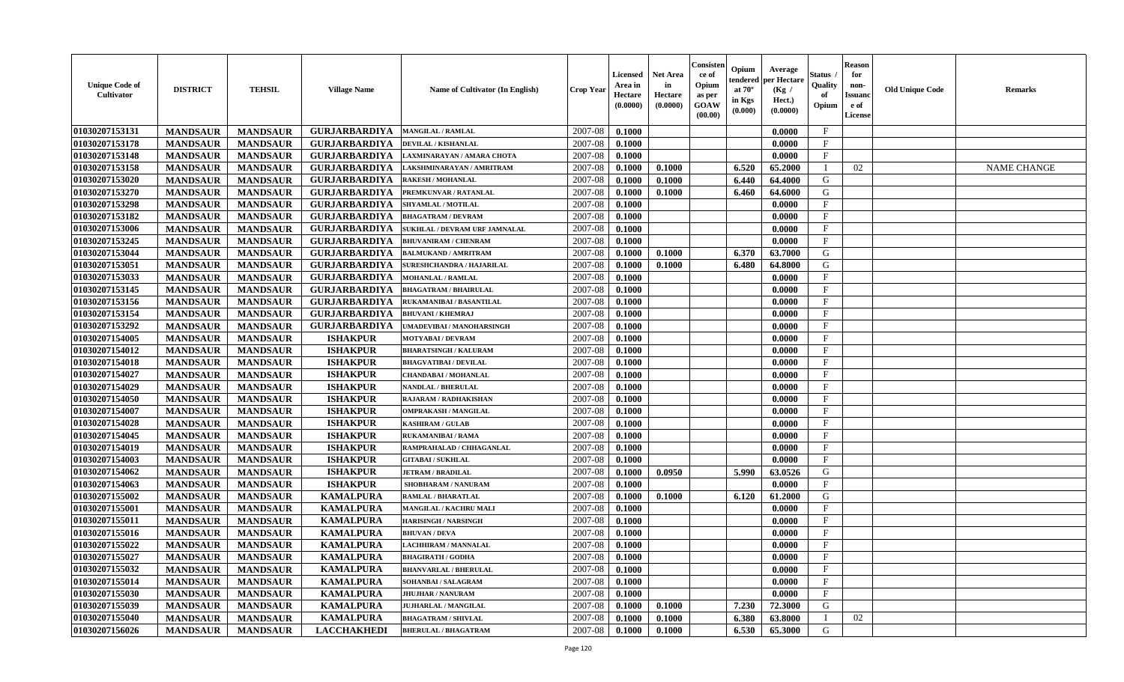| <b>Unique Code of</b><br><b>Cultivator</b> | <b>DISTRICT</b> | <b>TEHSIL</b>   | <b>Village Name</b>  | Name of Cultivator (In English)  | <b>Crop Year</b> | <b>Licensed</b><br>Area in<br>Hectare<br>(0.0000) | <b>Net Area</b><br>in<br>Hectare<br>(0.0000) | Consister<br>ce of<br>Opium<br>as per<br>GOAW<br>(00.00) | Opium<br>endered<br>at $70^\circ$<br>in Kgs<br>(0.000) | Average<br>per Hectare<br>(Kg /<br>Hect.)<br>(0.0000) | Status<br>Quality<br>of<br>Opium | <b>Reason</b><br>for<br>non-<br><b>Issuand</b><br>e of<br>License | <b>Old Unique Code</b> | Remarks            |
|--------------------------------------------|-----------------|-----------------|----------------------|----------------------------------|------------------|---------------------------------------------------|----------------------------------------------|----------------------------------------------------------|--------------------------------------------------------|-------------------------------------------------------|----------------------------------|-------------------------------------------------------------------|------------------------|--------------------|
| 01030207153131                             | <b>MANDSAUR</b> | <b>MANDSAUR</b> | <b>GURJARBARDIYA</b> | <b>MANGILAL / RAMLAL</b>         | 2007-08          | 0.1000                                            |                                              |                                                          |                                                        | 0.0000                                                | $\mathbf{F}$                     |                                                                   |                        |                    |
| 01030207153178                             | <b>MANDSAUR</b> | <b>MANDSAUR</b> | <b>GURJARBARDIYA</b> | <b>DEVILAL / KISHANLAL</b>       | 2007-08          | 0.1000                                            |                                              |                                                          |                                                        | 0.0000                                                | $\mathbf{F}$                     |                                                                   |                        |                    |
| 01030207153148                             | <b>MANDSAUR</b> | <b>MANDSAUR</b> | <b>GURJARBARDIYA</b> | LAXMINARAYAN / AMARA CHOTA       | 2007-08          | 0.1000                                            |                                              |                                                          |                                                        | 0.0000                                                | $\mathbf{F}$                     |                                                                   |                        |                    |
| 01030207153158                             | <b>MANDSAUR</b> | <b>MANDSAUR</b> | <b>GURJARBARDIYA</b> | LAKSHMINARAYAN / AMRITRAM        | 2007-08          | 0.1000                                            | 0.1000                                       |                                                          | 6.520                                                  | 65.2000                                               | $\mathbf{I}$                     | 02                                                                |                        | <b>NAME CHANGE</b> |
| 01030207153020                             | <b>MANDSAUR</b> | <b>MANDSAUR</b> | <b>GURJARBARDIYA</b> | <b>RAKESH / MOHANLAL</b>         | 2007-08          | 0.1000                                            | 0.1000                                       |                                                          | 6.440                                                  | 64.4000                                               | G                                |                                                                   |                        |                    |
| 01030207153270                             | <b>MANDSAUR</b> | <b>MANDSAUR</b> | <b>GURJARBARDIYA</b> | PREMKUNVAR / RATANLAL            | 2007-08          | 0.1000                                            | 0.1000                                       |                                                          | 6.460                                                  | 64.6000                                               | G                                |                                                                   |                        |                    |
| 01030207153298                             | <b>MANDSAUR</b> | <b>MANDSAUR</b> | <b>GURJARBARDIYA</b> | SHYAMLAL / MOTILAL               | 2007-08          | 0.1000                                            |                                              |                                                          |                                                        | 0.0000                                                | $\mathbf{F}$                     |                                                                   |                        |                    |
| 01030207153182                             | <b>MANDSAUR</b> | <b>MANDSAUR</b> | <b>GURJARBARDIYA</b> | <b>BHAGATRAM / DEVRAM</b>        | 2007-08          | 0.1000                                            |                                              |                                                          |                                                        | 0.0000                                                | $\mathbf{F}$                     |                                                                   |                        |                    |
| 01030207153006                             | <b>MANDSAUR</b> | <b>MANDSAUR</b> | <b>GURJARBARDIYA</b> | SUKHLAL / DEVRAM URF JAMNALAL    | 2007-08          | 0.1000                                            |                                              |                                                          |                                                        | 0.0000                                                | $\mathbf{F}$                     |                                                                   |                        |                    |
| 01030207153245                             | <b>MANDSAUR</b> | <b>MANDSAUR</b> | <b>GURJARBARDIYA</b> | <b>BHUVANIRAM / CHENRAM</b>      | 2007-08          | 0.1000                                            |                                              |                                                          |                                                        | 0.0000                                                | $\mathbf{F}$                     |                                                                   |                        |                    |
| 01030207153044                             | <b>MANDSAUR</b> | <b>MANDSAUR</b> | <b>GURJARBARDIYA</b> | <b>BALMUKAND / AMRITRAM</b>      | 2007-08          | 0.1000                                            | 0.1000                                       |                                                          | 6.370                                                  | 63.7000                                               | G                                |                                                                   |                        |                    |
| 01030207153051                             | <b>MANDSAUR</b> | <b>MANDSAUR</b> | <b>GURJARBARDIYA</b> | <b>SURESHCHANDRA / HAJARILAL</b> | 2007-08          | 0.1000                                            | 0.1000                                       |                                                          | 6.480                                                  | 64.8000                                               | G                                |                                                                   |                        |                    |
| 01030207153033                             | <b>MANDSAUR</b> | <b>MANDSAUR</b> | <b>GURJARBARDIYA</b> | <b>MOHANLAL / RAMLAL</b>         | 2007-08          | 0.1000                                            |                                              |                                                          |                                                        | 0.0000                                                | $\mathbf{F}$                     |                                                                   |                        |                    |
| 01030207153145                             | <b>MANDSAUR</b> | <b>MANDSAUR</b> | <b>GURJARBARDIYA</b> | <b>BHAGATRAM / BHAIRULAL</b>     | 2007-08          | 0.1000                                            |                                              |                                                          |                                                        | 0.0000                                                | $\mathbf{F}$                     |                                                                   |                        |                    |
| 01030207153156                             | <b>MANDSAUR</b> | <b>MANDSAUR</b> | <b>GURJARBARDIYA</b> | RUKAMANIBAI / BASANTILAL         | 2007-08          | 0.1000                                            |                                              |                                                          |                                                        | 0.0000                                                | F                                |                                                                   |                        |                    |
| 01030207153154                             | <b>MANDSAUR</b> | <b>MANDSAUR</b> | <b>GURJARBARDIYA</b> | <b>BHUVANI / KHEMRAJ</b>         | 2007-08          | 0.1000                                            |                                              |                                                          |                                                        | 0.0000                                                | $\mathbf{F}$                     |                                                                   |                        |                    |
| 01030207153292                             | <b>MANDSAUR</b> | <b>MANDSAUR</b> | <b>GURJARBARDIYA</b> | UMADEVIBAI / MANOHARSINGH        | 2007-08          | 0.1000                                            |                                              |                                                          |                                                        | 0.0000                                                | $\mathbf{F}$                     |                                                                   |                        |                    |
| 01030207154005                             | <b>MANDSAUR</b> | <b>MANDSAUR</b> | <b>ISHAKPUR</b>      | <b>MOTYABAI/DEVRAM</b>           | 2007-08          | 0.1000                                            |                                              |                                                          |                                                        | 0.0000                                                | $_{\rm F}$                       |                                                                   |                        |                    |
| 01030207154012                             | <b>MANDSAUR</b> | <b>MANDSAUR</b> | <b>ISHAKPUR</b>      | <b>BHARATSINGH / KALURAM</b>     | 2007-08          | 0.1000                                            |                                              |                                                          |                                                        | 0.0000                                                | $\mathbf{F}$                     |                                                                   |                        |                    |
| 01030207154018                             | <b>MANDSAUR</b> | <b>MANDSAUR</b> | <b>ISHAKPUR</b>      | <b>BHAGVATIBAI/DEVILAL</b>       | 2007-08          | 0.1000                                            |                                              |                                                          |                                                        | 0.0000                                                | $\mathbf{F}$                     |                                                                   |                        |                    |
| 01030207154027                             | <b>MANDSAUR</b> | <b>MANDSAUR</b> | <b>ISHAKPUR</b>      | <b>CHANDABAI / MOHANLAL</b>      | 2007-08          | 0.1000                                            |                                              |                                                          |                                                        | 0.0000                                                | $\mathbf{F}$                     |                                                                   |                        |                    |
| 01030207154029                             | <b>MANDSAUR</b> | <b>MANDSAUR</b> | <b>ISHAKPUR</b>      | <b>NANDLAL / BHERULAL</b>        | 2007-08          | 0.1000                                            |                                              |                                                          |                                                        | 0.0000                                                | $_{\rm F}$                       |                                                                   |                        |                    |
| 01030207154050                             | <b>MANDSAUR</b> | <b>MANDSAUR</b> | <b>ISHAKPUR</b>      | RAJARAM / RADHAKISHAN            | 2007-08          | 0.1000                                            |                                              |                                                          |                                                        | 0.0000                                                | F                                |                                                                   |                        |                    |
| 01030207154007                             | <b>MANDSAUR</b> | <b>MANDSAUR</b> | <b>ISHAKPUR</b>      | OMPRAKASH / MANGILAL             | 2007-08          | 0.1000                                            |                                              |                                                          |                                                        | 0.0000                                                | $\rm F$                          |                                                                   |                        |                    |
| 01030207154028                             | <b>MANDSAUR</b> | <b>MANDSAUR</b> | <b>ISHAKPUR</b>      | <b>KASHIRAM / GULAB</b>          | 2007-08          | 0.1000                                            |                                              |                                                          |                                                        | 0.0000                                                | $\mathbf{F}$                     |                                                                   |                        |                    |
| 01030207154045                             | <b>MANDSAUR</b> | <b>MANDSAUR</b> | <b>ISHAKPUR</b>      | <b>RUKAMANIBAI / RAMA</b>        | 2007-08          | 0.1000                                            |                                              |                                                          |                                                        | 0.0000                                                | $\mathbf{F}$                     |                                                                   |                        |                    |
| 01030207154019                             | <b>MANDSAUR</b> | <b>MANDSAUR</b> | <b>ISHAKPUR</b>      | RAMPRAHALAD / CHHAGANLAL         | 2007-08          | 0.1000                                            |                                              |                                                          |                                                        | 0.0000                                                | F                                |                                                                   |                        |                    |
| 01030207154003                             | <b>MANDSAUR</b> | <b>MANDSAUR</b> | <b>ISHAKPUR</b>      | <b>GITABAI/SUKHLAL</b>           | 2007-08          | 0.1000                                            |                                              |                                                          |                                                        | 0.0000                                                | $\mathbf{F}$                     |                                                                   |                        |                    |
| 01030207154062                             | <b>MANDSAUR</b> | <b>MANDSAUR</b> | <b>ISHAKPUR</b>      | <b>JETRAM / BRADILAL</b>         | 2007-08          | 0.1000                                            | 0.0950                                       |                                                          | 5.990                                                  | 63.0526                                               | G                                |                                                                   |                        |                    |
| 01030207154063                             | <b>MANDSAUR</b> | <b>MANDSAUR</b> | <b>ISHAKPUR</b>      | SHOBHARAM / NANURAM              | 2007-08          | 0.1000                                            |                                              |                                                          |                                                        | 0.0000                                                | $_{\rm F}$                       |                                                                   |                        |                    |
| 01030207155002                             | <b>MANDSAUR</b> | <b>MANDSAUR</b> | <b>KAMALPURA</b>     | <b>RAMLAL / BHARATLAL</b>        | 2007-08          | 0.1000                                            | 0.1000                                       |                                                          | 6.120                                                  | 61.2000                                               | G                                |                                                                   |                        |                    |
| 01030207155001                             | <b>MANDSAUR</b> | <b>MANDSAUR</b> | <b>KAMALPURA</b>     | MANGILAL / KACHRU MALI           | 2007-08          | 0.1000                                            |                                              |                                                          |                                                        | 0.0000                                                | $\mathbf{F}$                     |                                                                   |                        |                    |
| 01030207155011                             | <b>MANDSAUR</b> | <b>MANDSAUR</b> | <b>KAMALPURA</b>     | <b>HARISINGH / NARSINGH</b>      | 2007-08          | 0.1000                                            |                                              |                                                          |                                                        | 0.0000                                                | $\mathbf{F}$                     |                                                                   |                        |                    |
| 01030207155016                             | <b>MANDSAUR</b> | <b>MANDSAUR</b> | <b>KAMALPURA</b>     | <b>BHUVAN / DEVA</b>             | 2007-08          | 0.1000                                            |                                              |                                                          |                                                        | 0.0000                                                | $\mathbf{F}$                     |                                                                   |                        |                    |
| 01030207155022                             | <b>MANDSAUR</b> | <b>MANDSAUR</b> | <b>KAMALPURA</b>     | LACHHIRAM / MANNALAL             | 2007-08          | 0.1000                                            |                                              |                                                          |                                                        | 0.0000                                                | $\mathbf{F}$                     |                                                                   |                        |                    |
| 01030207155027                             | <b>MANDSAUR</b> | <b>MANDSAUR</b> | <b>KAMALPURA</b>     | <b>BHAGIRATH / GODHA</b>         | 2007-08          | 0.1000                                            |                                              |                                                          |                                                        | 0.0000                                                | $\mathbf{F}$                     |                                                                   |                        |                    |
| 01030207155032                             | <b>MANDSAUR</b> | <b>MANDSAUR</b> | <b>KAMALPURA</b>     | <b>BHANVARLAL / BHERULAL</b>     | 2007-08          | 0.1000                                            |                                              |                                                          |                                                        | 0.0000                                                | $\mathbf{F}$                     |                                                                   |                        |                    |
| 01030207155014                             | <b>MANDSAUR</b> | <b>MANDSAUR</b> | <b>KAMALPURA</b>     | SOHANBAI / SALAGRAM              | 2007-08          | 0.1000                                            |                                              |                                                          |                                                        | 0.0000                                                | $\mathbf{F}$                     |                                                                   |                        |                    |
| 01030207155030                             | <b>MANDSAUR</b> | <b>MANDSAUR</b> | <b>KAMALPURA</b>     | <b>JHUJHAR / NANURAM</b>         | 2007-08          | 0.1000                                            |                                              |                                                          |                                                        | 0.0000                                                | $\mathbf{F}$                     |                                                                   |                        |                    |
| 01030207155039                             | <b>MANDSAUR</b> | <b>MANDSAUR</b> | <b>KAMALPURA</b>     | <b>JUJHARLAL / MANGILAL</b>      | 2007-08          | 0.1000                                            | 0.1000                                       |                                                          | 7.230                                                  | 72.3000                                               | G                                |                                                                   |                        |                    |
| 01030207155040                             | <b>MANDSAUR</b> | <b>MANDSAUR</b> | <b>KAMALPURA</b>     | <b>BHAGATRAM / SHIVLAL</b>       | 2007-08          | 0.1000                                            | 0.1000                                       |                                                          | 6.380                                                  | 63.8000                                               |                                  | 02                                                                |                        |                    |
| 01030207156026                             | <b>MANDSAUR</b> | <b>MANDSAUR</b> | <b>LACCHAKHEDI</b>   | <b>BHERULAL / BHAGATRAM</b>      | 2007-08          | 0.1000                                            | 0.1000                                       |                                                          | 6.530                                                  | 65.3000                                               | G                                |                                                                   |                        |                    |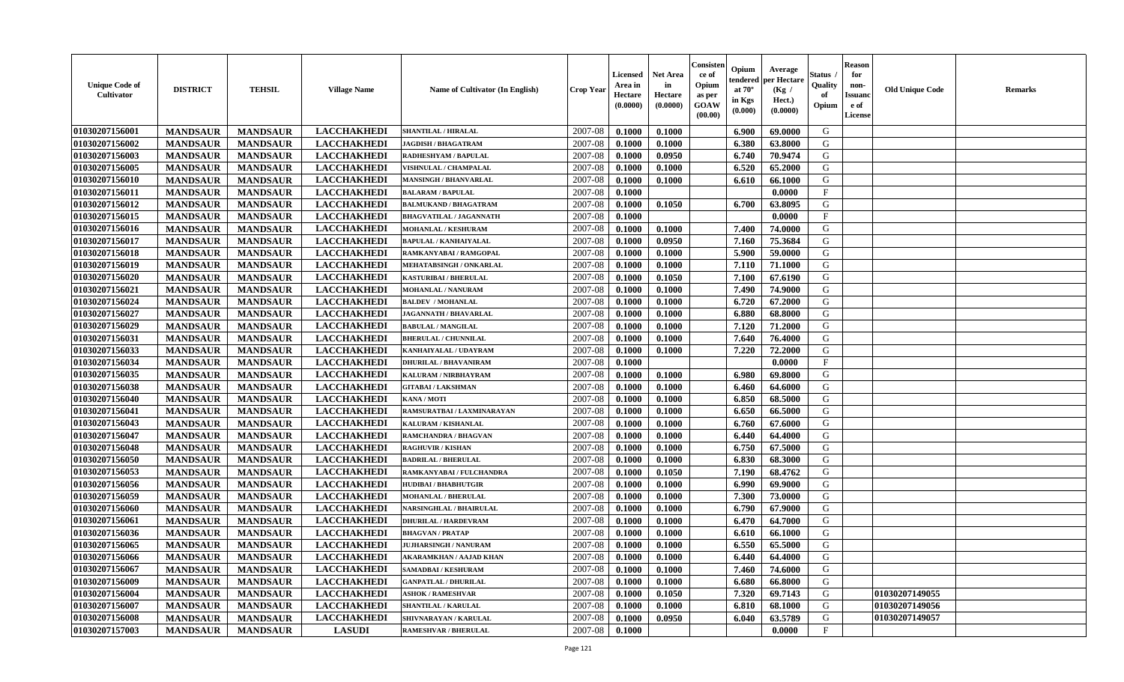| <b>Unique Code of</b><br><b>Cultivator</b> | <b>DISTRICT</b> | <b>TEHSIL</b>   | <b>Village Name</b> | <b>Name of Cultivator (In English)</b> | <b>Crop Year</b> | <b>Licensed</b><br>Area in<br>Hectare<br>(0.0000) | <b>Net Area</b><br>in<br>Hectare<br>(0.0000) | Consisteı<br>ce of<br>Opium<br>as per<br><b>GOAW</b><br>(00.00) | Opium<br>endered<br>at $70^\circ$<br>in Kgs<br>$(\mathbf{0.000})$ | Average<br>per Hectare<br>(Kg /<br>Hect.)<br>(0.0000) | Status<br>Quality<br>of<br>Opium | Reason<br>for<br>non-<br>Issuan<br>e of<br>License | <b>Old Unique Code</b> | <b>Remarks</b> |
|--------------------------------------------|-----------------|-----------------|---------------------|----------------------------------------|------------------|---------------------------------------------------|----------------------------------------------|-----------------------------------------------------------------|-------------------------------------------------------------------|-------------------------------------------------------|----------------------------------|----------------------------------------------------|------------------------|----------------|
| 01030207156001                             | <b>MANDSAUR</b> | <b>MANDSAUR</b> | <b>LACCHAKHEDI</b>  | <b>SHANTILAL / HIRALAL</b>             | 2007-08          | 0.1000                                            | 0.1000                                       |                                                                 | 6.900                                                             | 69.0000                                               | G                                |                                                    |                        |                |
| 01030207156002                             | <b>MANDSAUR</b> | <b>MANDSAUR</b> | <b>LACCHAKHEDI</b>  | <b>JAGDISH / BHAGATRAM</b>             | 2007-08          | 0.1000                                            | 0.1000                                       |                                                                 | 6.380                                                             | 63.8000                                               | G                                |                                                    |                        |                |
| 01030207156003                             | <b>MANDSAUR</b> | <b>MANDSAUR</b> | <b>LACCHAKHEDI</b>  | RADHESHYAM / BAPULAL                   | 2007-08          | 0.1000                                            | 0.0950                                       |                                                                 | 6.740                                                             | 70.9474                                               | G                                |                                                    |                        |                |
| 01030207156005                             | <b>MANDSAUR</b> | <b>MANDSAUR</b> | <b>LACCHAKHEDI</b>  | <b>VISHNULAL / CHAMPALAL</b>           | 2007-08          | 0.1000                                            | 0.1000                                       |                                                                 | 6.520                                                             | 65.2000                                               | G                                |                                                    |                        |                |
| 01030207156010                             | <b>MANDSAUR</b> | <b>MANDSAUR</b> | <b>LACCHAKHEDI</b>  | <b>MANSINGH / BHANVARLAL</b>           | 2007-08          | 0.1000                                            | 0.1000                                       |                                                                 | 6.610                                                             | 66.1000                                               | G                                |                                                    |                        |                |
| 01030207156011                             | <b>MANDSAUR</b> | <b>MANDSAUR</b> | <b>LACCHAKHEDI</b>  | <b>BALARAM / BAPULAL</b>               | 2007-08          | 0.1000                                            |                                              |                                                                 |                                                                   | 0.0000                                                | $\mathbf{F}$                     |                                                    |                        |                |
| 01030207156012                             | <b>MANDSAUR</b> | <b>MANDSAUR</b> | <b>LACCHAKHEDI</b>  | <b>BALMUKAND / BHAGATRAM</b>           | 2007-08          | 0.1000                                            | 0.1050                                       |                                                                 | 6.700                                                             | 63.8095                                               | G                                |                                                    |                        |                |
| 01030207156015                             | <b>MANDSAUR</b> | <b>MANDSAUR</b> | <b>LACCHAKHEDI</b>  | <b>BHAGVATILAL / JAGANNATH</b>         | 2007-08          | 0.1000                                            |                                              |                                                                 |                                                                   | 0.0000                                                | $\mathbf{F}$                     |                                                    |                        |                |
| 01030207156016                             | <b>MANDSAUR</b> | <b>MANDSAUR</b> | <b>LACCHAKHEDI</b>  | <b>MOHANLAL / KESHURAM</b>             | 2007-08          | 0.1000                                            | 0.1000                                       |                                                                 | 7.400                                                             | 74.0000                                               | G                                |                                                    |                        |                |
| 01030207156017                             | <b>MANDSAUR</b> | <b>MANDSAUR</b> | <b>LACCHAKHEDI</b>  | <b>BAPULAL / KANHAIYALAL</b>           | 2007-08          | 0.1000                                            | 0.0950                                       |                                                                 | 7.160                                                             | 75.3684                                               | G                                |                                                    |                        |                |
| 01030207156018                             | <b>MANDSAUR</b> | <b>MANDSAUR</b> | <b>LACCHAKHEDI</b>  | RAMKANYABAI / RAMGOPAL                 | 2007-08          | 0.1000                                            | 0.1000                                       |                                                                 | 5.900                                                             | 59.0000                                               | G                                |                                                    |                        |                |
| 01030207156019                             | <b>MANDSAUR</b> | <b>MANDSAUR</b> | <b>LACCHAKHEDI</b>  | MEHATABSINGH / ONKARLAL                | 2007-08          | 0.1000                                            | 0.1000                                       |                                                                 | 7.110                                                             | 71.1000                                               | G                                |                                                    |                        |                |
| 01030207156020                             | <b>MANDSAUR</b> | <b>MANDSAUR</b> | <b>LACCHAKHEDI</b>  | <b>KASTURIBAI / BHERULAL</b>           | 2007-08          | 0.1000                                            | 0.1050                                       |                                                                 | 7.100                                                             | 67.6190                                               | G                                |                                                    |                        |                |
| 01030207156021                             | <b>MANDSAUR</b> | <b>MANDSAUR</b> | <b>LACCHAKHEDI</b>  | MOHANLAL / NANURAM                     | 2007-08          | 0.1000                                            | 0.1000                                       |                                                                 | 7.490                                                             | 74.9000                                               | G                                |                                                    |                        |                |
| 01030207156024                             | <b>MANDSAUR</b> | <b>MANDSAUR</b> | <b>LACCHAKHEDI</b>  | <b>BALDEV / MOHANLAL</b>               | 2007-08          | 0.1000                                            | 0.1000                                       |                                                                 | 6.720                                                             | 67.2000                                               | G                                |                                                    |                        |                |
| 01030207156027                             | <b>MANDSAUR</b> | <b>MANDSAUR</b> | <b>LACCHAKHEDI</b>  | <b>JAGANNATH / BHAVARLAL</b>           | 2007-08          | 0.1000                                            | 0.1000                                       |                                                                 | 6.880                                                             | 68.8000                                               | G                                |                                                    |                        |                |
| 01030207156029                             | <b>MANDSAUR</b> | <b>MANDSAUR</b> | <b>LACCHAKHEDI</b>  | <b>BABULAL / MANGILAL</b>              | 2007-08          | 0.1000                                            | 0.1000                                       |                                                                 | 7.120                                                             | 71.2000                                               | G                                |                                                    |                        |                |
| 01030207156031                             | <b>MANDSAUR</b> | <b>MANDSAUR</b> | <b>LACCHAKHEDI</b>  | <b>BHERULAL / CHUNNILAL</b>            | 2007-08          | 0.1000                                            | 0.1000                                       |                                                                 | 7.640                                                             | 76.4000                                               | G                                |                                                    |                        |                |
| 01030207156033                             | <b>MANDSAUR</b> | <b>MANDSAUR</b> | <b>LACCHAKHEDI</b>  | KANHAIYALAL / UDAYRAM                  | 2007-08          | 0.1000                                            | 0.1000                                       |                                                                 | 7.220                                                             | 72.2000                                               | G                                |                                                    |                        |                |
| 01030207156034                             | <b>MANDSAUR</b> | <b>MANDSAUR</b> | <b>LACCHAKHEDI</b>  | <b>DHURILAL / BHAVANIRAM</b>           | 2007-08          | 0.1000                                            |                                              |                                                                 |                                                                   | 0.0000                                                | $\mathbf{F}$                     |                                                    |                        |                |
| 01030207156035                             | <b>MANDSAUR</b> | <b>MANDSAUR</b> | <b>LACCHAKHEDI</b>  | KALURAM / NIRBHAYRAM                   | 2007-08          | 0.1000                                            | 0.1000                                       |                                                                 | 6.980                                                             | 69.8000                                               | G                                |                                                    |                        |                |
| 01030207156038                             | <b>MANDSAUR</b> | <b>MANDSAUR</b> | <b>LACCHAKHEDI</b>  | <b>GITABAI/LAKSHMAN</b>                | 2007-08          | 0.1000                                            | 0.1000                                       |                                                                 | 6.460                                                             | 64.6000                                               | G                                |                                                    |                        |                |
| 01030207156040                             | <b>MANDSAUR</b> | <b>MANDSAUR</b> | <b>LACCHAKHEDI</b>  | KANA / MOTI                            | 2007-08          | 0.1000                                            | 0.1000                                       |                                                                 | 6.850                                                             | 68.5000                                               | G                                |                                                    |                        |                |
| 01030207156041                             | <b>MANDSAUR</b> | <b>MANDSAUR</b> | <b>LACCHAKHEDI</b>  | RAMSURATBAI / LAXMINARAYAN             | 2007-08          | 0.1000                                            | 0.1000                                       |                                                                 | 6.650                                                             | 66.5000                                               | G                                |                                                    |                        |                |
| 01030207156043                             | <b>MANDSAUR</b> | <b>MANDSAUR</b> | <b>LACCHAKHEDI</b>  | KALURAM / KISHANLAL                    | 2007-08          | 0.1000                                            | 0.1000                                       |                                                                 | 6.760                                                             | 67.6000                                               | G                                |                                                    |                        |                |
| 01030207156047                             | <b>MANDSAUR</b> | <b>MANDSAUR</b> | <b>LACCHAKHEDI</b>  | <b>RAMCHANDRA / BHAGVAN</b>            | 2007-08          | 0.1000                                            | 0.1000                                       |                                                                 | 6.440                                                             | 64.4000                                               | G                                |                                                    |                        |                |
| 01030207156048                             | <b>MANDSAUR</b> | <b>MANDSAUR</b> | <b>LACCHAKHEDI</b>  | <b>RAGHUVIR / KISHAN</b>               | 2007-08          | 0.1000                                            | 0.1000                                       |                                                                 | 6.750                                                             | 67.5000                                               | G                                |                                                    |                        |                |
| 01030207156050                             | <b>MANDSAUR</b> | <b>MANDSAUR</b> | <b>LACCHAKHEDI</b>  | <b>BADRILAL / BHERULAL</b>             | 2007-08          | 0.1000                                            | 0.1000                                       |                                                                 | 6.830                                                             | 68.3000                                               | G                                |                                                    |                        |                |
| 01030207156053                             | <b>MANDSAUR</b> | <b>MANDSAUR</b> | <b>LACCHAKHEDI</b>  | RAMKANYABAI / FULCHANDRA               | 2007-08          | 0.1000                                            | 0.1050                                       |                                                                 | 7.190                                                             | 68.4762                                               | G                                |                                                    |                        |                |
| 01030207156056                             | <b>MANDSAUR</b> | <b>MANDSAUR</b> | <b>LACCHAKHEDI</b>  | <b>HUDIBAI/BHABHUTGIR</b>              | 2007-08          | 0.1000                                            | 0.1000                                       |                                                                 | 6.990                                                             | 69.9000                                               | G                                |                                                    |                        |                |
| 01030207156059                             | <b>MANDSAUR</b> | <b>MANDSAUR</b> | <b>LACCHAKHEDI</b>  | <b>MOHANLAL / BHERULAL</b>             | 2007-08          | 0.1000                                            | 0.1000                                       |                                                                 | 7.300                                                             | 73.0000                                               | G                                |                                                    |                        |                |
| 01030207156060                             | <b>MANDSAUR</b> | <b>MANDSAUR</b> | <b>LACCHAKHEDI</b>  | <b>NARSINGHLAL / BHAIRULAL</b>         | 2007-08          | 0.1000                                            | 0.1000                                       |                                                                 | 6.790                                                             | 67.9000                                               | G                                |                                                    |                        |                |
| 01030207156061                             | <b>MANDSAUR</b> | <b>MANDSAUR</b> | <b>LACCHAKHEDI</b>  | DHURILAL / HARDEVRAM                   | 2007-08          | 0.1000                                            | 0.1000                                       |                                                                 | 6.470                                                             | 64.7000                                               | G                                |                                                    |                        |                |
| 01030207156036                             | <b>MANDSAUR</b> | <b>MANDSAUR</b> | <b>LACCHAKHEDI</b>  | <b>BHAGVAN / PRATAP</b>                | 2007-08          | 0.1000                                            | 0.1000                                       |                                                                 | 6.610                                                             | 66.1000                                               | G                                |                                                    |                        |                |
| 01030207156065                             | <b>MANDSAUR</b> | <b>MANDSAUR</b> | <b>LACCHAKHEDI</b>  | <b>JUJHARSINGH / NANURAM</b>           | 2007-08          | 0.1000                                            | 0.1000                                       |                                                                 | 6.550                                                             | 65.5000                                               | G                                |                                                    |                        |                |
| 01030207156066                             | <b>MANDSAUR</b> | <b>MANDSAUR</b> | <b>LACCHAKHEDI</b>  | <b>AKARAMKHAN / AAJAD KHAN</b>         | $2007 - 08$      | 0.1000                                            | 0.1000                                       |                                                                 | $6.440$                                                           | 64.4000                                               | G                                |                                                    |                        |                |
| 01030207156067                             | <b>MANDSAUR</b> | <b>MANDSAUR</b> | <b>LACCHAKHEDI</b>  | SAMADBAI / KESHURAM                    | 2007-08          | 0.1000                                            | 0.1000                                       |                                                                 | 7.460                                                             | 74.6000                                               | G                                |                                                    |                        |                |
| 01030207156009                             | <b>MANDSAUR</b> | <b>MANDSAUR</b> | <b>LACCHAKHEDI</b>  | <b>GANPATLAL / DHURILAL</b>            | 2007-08          | 0.1000                                            | 0.1000                                       |                                                                 | 6.680                                                             | 66.8000                                               | G                                |                                                    |                        |                |
| 01030207156004                             | <b>MANDSAUR</b> | <b>MANDSAUR</b> | <b>LACCHAKHEDI</b>  | <b>ASHOK / RAMESHVAR</b>               | 2007-08          | 0.1000                                            | 0.1050                                       |                                                                 | 7.320                                                             | 69.7143                                               | G                                |                                                    | 01030207149055         |                |
| 01030207156007                             | <b>MANDSAUR</b> | <b>MANDSAUR</b> | <b>LACCHAKHEDI</b>  | <b>SHANTILAL / KARULAL</b>             | 2007-08          | 0.1000                                            | 0.1000                                       |                                                                 | 6.810                                                             | 68.1000                                               | G                                |                                                    | 01030207149056         |                |
| 01030207156008                             | <b>MANDSAUR</b> | <b>MANDSAUR</b> | <b>LACCHAKHEDI</b>  | SHIVNARAYAN / KARULAL                  | 2007-08          | 0.1000                                            | 0.0950                                       |                                                                 | 6.040                                                             | 63.5789                                               | G                                |                                                    | 01030207149057         |                |
| 01030207157003                             | <b>MANDSAUR</b> | <b>MANDSAUR</b> | <b>LASUDI</b>       | <b>RAMESHVAR / BHERULAL</b>            | 2007-08          | 0.1000                                            |                                              |                                                                 |                                                                   | 0.0000                                                | $\mathbf{F}$                     |                                                    |                        |                |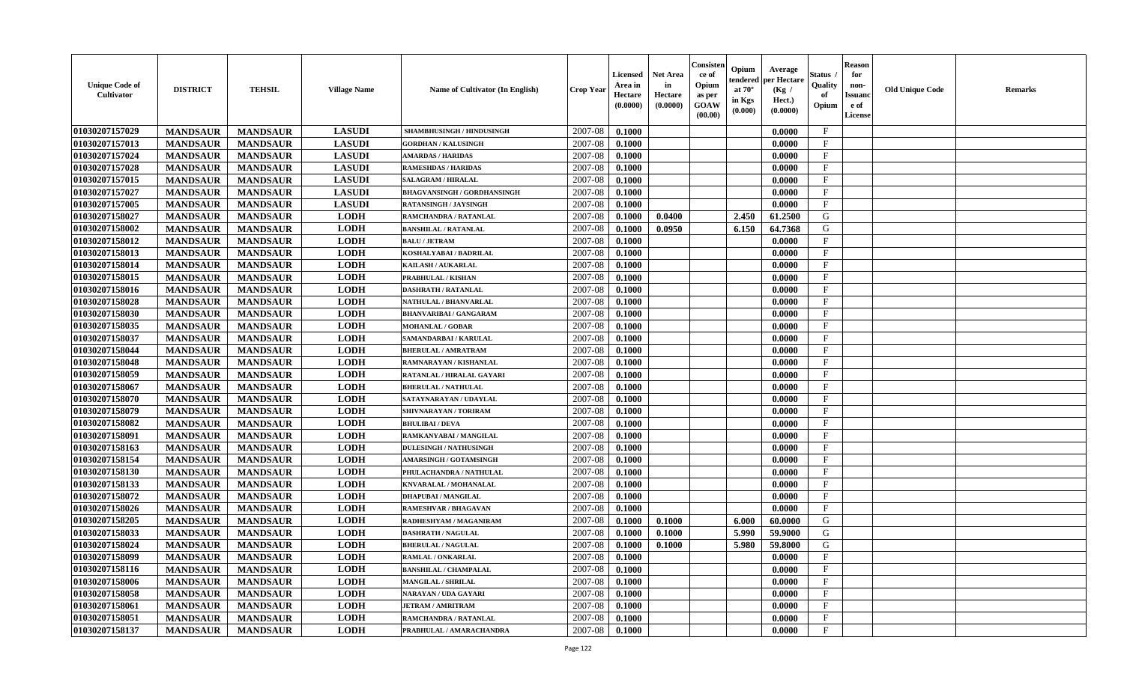| <b>Unique Code of</b><br><b>Cultivator</b> | <b>DISTRICT</b> | <b>TEHSIL</b>   | <b>Village Name</b> | <b>Name of Cultivator (In English)</b> | <b>Crop Year</b> | <b>Licensed</b><br>Area in<br>Hectare<br>(0.0000) | <b>Net Area</b><br>in<br>Hectare<br>(0.0000) | Consister<br>ce of<br>Opium<br>as per<br>GOAW<br>(00.00) | Opium<br>endered<br>at $70^{\circ}$<br>in Kgs<br>(0.000) | Average<br>per Hectare<br>(Kg /<br>Hect.)<br>(0.0000) | <b>Status</b><br>Quality<br>of<br>Opium | <b>Reason</b><br>for<br>non-<br><b>Issuanc</b><br>e of<br>License | <b>Old Unique Code</b> | <b>Remarks</b> |
|--------------------------------------------|-----------------|-----------------|---------------------|----------------------------------------|------------------|---------------------------------------------------|----------------------------------------------|----------------------------------------------------------|----------------------------------------------------------|-------------------------------------------------------|-----------------------------------------|-------------------------------------------------------------------|------------------------|----------------|
| 01030207157029                             | <b>MANDSAUR</b> | <b>MANDSAUR</b> | <b>LASUDI</b>       | SHAMBHUSINGH / HINDUSINGH              | 2007-08          | 0.1000                                            |                                              |                                                          |                                                          | 0.0000                                                | $\mathbf{F}$                            |                                                                   |                        |                |
| 01030207157013                             | <b>MANDSAUR</b> | <b>MANDSAUR</b> | <b>LASUDI</b>       | <b>GORDHAN / KALUSINGH</b>             | 2007-08          | 0.1000                                            |                                              |                                                          |                                                          | 0.0000                                                | $\mathbf F$                             |                                                                   |                        |                |
| 01030207157024                             | <b>MANDSAUR</b> | <b>MANDSAUR</b> | <b>LASUDI</b>       | <b>AMARDAS / HARIDAS</b>               | 2007-08          | 0.1000                                            |                                              |                                                          |                                                          | 0.0000                                                | $\mathbf{F}$                            |                                                                   |                        |                |
| 01030207157028                             | <b>MANDSAUR</b> | <b>MANDSAUR</b> | <b>LASUDI</b>       | <b>RAMESHDAS / HARIDAS</b>             | 2007-08          | 0.1000                                            |                                              |                                                          |                                                          | 0.0000                                                | $\mathbf{F}$                            |                                                                   |                        |                |
| 01030207157015                             | <b>MANDSAUR</b> | <b>MANDSAUR</b> | <b>LASUDI</b>       | <b>SALAGRAM / HIRALAL</b>              | 2007-08          | 0.1000                                            |                                              |                                                          |                                                          | 0.0000                                                | $_{\rm F}$                              |                                                                   |                        |                |
| 01030207157027                             | <b>MANDSAUR</b> | <b>MANDSAUR</b> | <b>LASUDI</b>       | <b>BHAGVANSINGH / GORDHANSINGH</b>     | 2007-08          | 0.1000                                            |                                              |                                                          |                                                          | 0.0000                                                | $\mathbf{F}$                            |                                                                   |                        |                |
| 01030207157005                             | <b>MANDSAUR</b> | <b>MANDSAUR</b> | <b>LASUDI</b>       | <b>RATANSINGH / JAYSINGH</b>           | 2007-08          | 0.1000                                            |                                              |                                                          |                                                          | 0.0000                                                | $\mathbf{F}$                            |                                                                   |                        |                |
| 01030207158027                             | <b>MANDSAUR</b> | <b>MANDSAUR</b> | <b>LODH</b>         | RAMCHANDRA / RATANLAL                  | 2007-08          | 0.1000                                            | 0.0400                                       |                                                          | 2.450                                                    | 61.2500                                               | G                                       |                                                                   |                        |                |
| 01030207158002                             | <b>MANDSAUR</b> | <b>MANDSAUR</b> | <b>LODH</b>         | <b>BANSHILAL / RATANLAL</b>            | 2007-08          | 0.1000                                            | 0.0950                                       |                                                          | 6.150                                                    | 64.7368                                               | G                                       |                                                                   |                        |                |
| 01030207158012                             | <b>MANDSAUR</b> | <b>MANDSAUR</b> | <b>LODH</b>         | <b>BALU / JETRAM</b>                   | 2007-08          | 0.1000                                            |                                              |                                                          |                                                          | 0.0000                                                | $\mathbf{F}$                            |                                                                   |                        |                |
| 01030207158013                             | <b>MANDSAUR</b> | <b>MANDSAUR</b> | <b>LODH</b>         | KOSHALYABAI / BADRILAL                 | 2007-08          | 0.1000                                            |                                              |                                                          |                                                          | 0.0000                                                | $\mathbf{F}$                            |                                                                   |                        |                |
| 01030207158014                             | <b>MANDSAUR</b> | <b>MANDSAUR</b> | <b>LODH</b>         | KAILASH / AUKARLAL                     | 2007-08          | 0.1000                                            |                                              |                                                          |                                                          | 0.0000                                                | F                                       |                                                                   |                        |                |
| 01030207158015                             | <b>MANDSAUR</b> | <b>MANDSAUR</b> | <b>LODH</b>         | PRABHULAL / KISHAN                     | 2007-08          | 0.1000                                            |                                              |                                                          |                                                          | 0.0000                                                | $\mathbf F$                             |                                                                   |                        |                |
| 01030207158016                             | <b>MANDSAUR</b> | <b>MANDSAUR</b> | <b>LODH</b>         | <b>DASHRATH / RATANLAL</b>             | 2007-08          | 0.1000                                            |                                              |                                                          |                                                          | 0.0000                                                | $\mathbf F$                             |                                                                   |                        |                |
| 01030207158028                             | <b>MANDSAUR</b> | <b>MANDSAUR</b> | <b>LODH</b>         | NATHULAL / BHANVARLAL                  | 2007-08          | 0.1000                                            |                                              |                                                          |                                                          | 0.0000                                                | $\mathbf{F}$                            |                                                                   |                        |                |
| 01030207158030                             | <b>MANDSAUR</b> | <b>MANDSAUR</b> | <b>LODH</b>         | BHANVARIBAI / GANGARAM                 | 2007-08          | 0.1000                                            |                                              |                                                          |                                                          | 0.0000                                                | $_{\rm F}$                              |                                                                   |                        |                |
| 01030207158035                             | <b>MANDSAUR</b> | <b>MANDSAUR</b> | <b>LODH</b>         | <b>MOHANLAL / GOBAR</b>                | 2007-08          | 0.1000                                            |                                              |                                                          |                                                          | 0.0000                                                | $\mathbf{F}$                            |                                                                   |                        |                |
| 01030207158037                             | <b>MANDSAUR</b> | <b>MANDSAUR</b> | <b>LODH</b>         | SAMANDARBAI / KARULAL                  | 2007-08          | 0.1000                                            |                                              |                                                          |                                                          | 0.0000                                                | $\mathbf{F}$                            |                                                                   |                        |                |
| 01030207158044                             | <b>MANDSAUR</b> | <b>MANDSAUR</b> | <b>LODH</b>         | <b>BHERULAL / AMRATRAM</b>             | 2007-08          | 0.1000                                            |                                              |                                                          |                                                          | 0.0000                                                | $\mathbf{F}$                            |                                                                   |                        |                |
| 01030207158048                             | <b>MANDSAUR</b> | <b>MANDSAUR</b> | <b>LODH</b>         | RAMNARAYAN / KISHANLAL                 | 2007-08          | 0.1000                                            |                                              |                                                          |                                                          | 0.0000                                                | $_{\rm F}$                              |                                                                   |                        |                |
| 01030207158059                             | <b>MANDSAUR</b> | <b>MANDSAUR</b> | <b>LODH</b>         | RATANLAL / HIRALAL GAYARI              | 2007-08          | 0.1000                                            |                                              |                                                          |                                                          | 0.0000                                                | $\mathbf F$                             |                                                                   |                        |                |
| 01030207158067                             | <b>MANDSAUR</b> | <b>MANDSAUR</b> | <b>LODH</b>         | <b>BHERULAL / NATHULAL</b>             | 2007-08          | 0.1000                                            |                                              |                                                          |                                                          | 0.0000                                                | $\mathbf{F}$                            |                                                                   |                        |                |
| 01030207158070                             | <b>MANDSAUR</b> | <b>MANDSAUR</b> | <b>LODH</b>         | SATAYNARAYAN / UDAYLAL                 | 2007-08          | 0.1000                                            |                                              |                                                          |                                                          | 0.0000                                                | $_{\rm F}$                              |                                                                   |                        |                |
| 01030207158079                             | <b>MANDSAUR</b> | <b>MANDSAUR</b> | <b>LODH</b>         | SHIVNARAYAN / TORIRAM                  | 2007-08          | 0.1000                                            |                                              |                                                          |                                                          | 0.0000                                                | $\mathbf F$                             |                                                                   |                        |                |
| 01030207158082                             | <b>MANDSAUR</b> | <b>MANDSAUR</b> | <b>LODH</b>         | <b>BHULIBAI/DEVA</b>                   | 2007-08          | 0.1000                                            |                                              |                                                          |                                                          | 0.0000                                                | $\mathbf F$                             |                                                                   |                        |                |
| 01030207158091                             | <b>MANDSAUR</b> | <b>MANDSAUR</b> | <b>LODH</b>         | RAMKANYABAI / MANGILAL                 | 2007-08          | 0.1000                                            |                                              |                                                          |                                                          | 0.0000                                                | $\mathbf{F}$                            |                                                                   |                        |                |
| 01030207158163                             | <b>MANDSAUR</b> | <b>MANDSAUR</b> | <b>LODH</b>         | <b>DULESINGH / NATHUSINGH</b>          | 2007-08          | 0.1000                                            |                                              |                                                          |                                                          | 0.0000                                                | F                                       |                                                                   |                        |                |
| 01030207158154                             | <b>MANDSAUR</b> | <b>MANDSAUR</b> | <b>LODH</b>         | <b>AMARSINGH / GOTAMSINGH</b>          | 2007-08          | 0.1000                                            |                                              |                                                          |                                                          | 0.0000                                                | $\mathbf{F}$                            |                                                                   |                        |                |
| 01030207158130                             | <b>MANDSAUR</b> | <b>MANDSAUR</b> | <b>LODH</b>         | PHULACHANDRA / NATHULAL                | 2007-08          | 0.1000                                            |                                              |                                                          |                                                          | 0.0000                                                | $\mathbf{F}$                            |                                                                   |                        |                |
| 01030207158133                             | <b>MANDSAUR</b> | <b>MANDSAUR</b> | <b>LODH</b>         | KNVARALAL / MOHANALAL                  | 2007-08          | 0.1000                                            |                                              |                                                          |                                                          | 0.0000                                                | $_{\rm F}$                              |                                                                   |                        |                |
| 01030207158072                             | <b>MANDSAUR</b> | <b>MANDSAUR</b> | <b>LODH</b>         | <b>DHAPUBAI/MANGILAL</b>               | 2007-08          | 0.1000                                            |                                              |                                                          |                                                          | 0.0000                                                | $\mathbf F$                             |                                                                   |                        |                |
| 01030207158026                             | <b>MANDSAUR</b> | <b>MANDSAUR</b> | <b>LODH</b>         | RAMESHVAR / BHAGAVAN                   | 2007-08          | 0.1000                                            |                                              |                                                          |                                                          | 0.0000                                                | $\mathbf{F}$                            |                                                                   |                        |                |
| 01030207158205                             | <b>MANDSAUR</b> | <b>MANDSAUR</b> | <b>LODH</b>         | RADHESHYAM / MAGANIRAM                 | 2007-08          | 0.1000                                            | 0.1000                                       |                                                          | 6.000                                                    | 60.0000                                               | G                                       |                                                                   |                        |                |
| 01030207158033                             | <b>MANDSAUR</b> | <b>MANDSAUR</b> | <b>LODH</b>         | <b>DASHRATH / NAGULAL</b>              | 2007-08          | 0.1000                                            | 0.1000                                       |                                                          | 5.990                                                    | 59.9000                                               | G                                       |                                                                   |                        |                |
| 01030207158024                             | <b>MANDSAUR</b> | <b>MANDSAUR</b> | <b>LODH</b>         | <b>BHERULAL / NAGULAL</b>              | 2007-08          | 0.1000                                            | 0.1000                                       |                                                          | 5.980                                                    | 59.8000                                               | G                                       |                                                                   |                        |                |
| 01030207158099                             | <b>MANDSAUR</b> | MANDSAUR        | <b>LODH</b>         | RAMLAL / ONKARLAL                      | $2007 - 08$      | 0.1000                                            |                                              |                                                          |                                                          | 0.0000                                                | F                                       |                                                                   |                        |                |
| 01030207158116                             | <b>MANDSAUR</b> | <b>MANDSAUR</b> | <b>LODH</b>         | <b>BANSHILAL / CHAMPALAL</b>           | 2007-08          | 0.1000                                            |                                              |                                                          |                                                          | 0.0000                                                | $\mathbf{F}$                            |                                                                   |                        |                |
| 01030207158006                             | <b>MANDSAUR</b> | <b>MANDSAUR</b> | <b>LODH</b>         | <b>MANGILAL / SHRILAL</b>              | 2007-08          | 0.1000                                            |                                              |                                                          |                                                          | 0.0000                                                | $\mathbf{F}$                            |                                                                   |                        |                |
| 01030207158058                             | <b>MANDSAUR</b> | <b>MANDSAUR</b> | <b>LODH</b>         | NARAYAN / UDA GAYARI                   | 2007-08          | 0.1000                                            |                                              |                                                          |                                                          | 0.0000                                                | $\mathbf{F}$                            |                                                                   |                        |                |
| 01030207158061                             | <b>MANDSAUR</b> | <b>MANDSAUR</b> | <b>LODH</b>         | <b>JETRAM / AMRITRAM</b>               | 2007-08          | 0.1000                                            |                                              |                                                          |                                                          | 0.0000                                                | $\mathbf{F}$                            |                                                                   |                        |                |
| 01030207158051                             | <b>MANDSAUR</b> | <b>MANDSAUR</b> | <b>LODH</b>         | RAMCHANDRA / RATANLAL                  | 2007-08          | 0.1000                                            |                                              |                                                          |                                                          | 0.0000                                                | $\mathbf{F}$                            |                                                                   |                        |                |
| 01030207158137                             | <b>MANDSAUR</b> | <b>MANDSAUR</b> | <b>LODH</b>         | PRABHULAL / AMARACHANDRA               | 2007-08          | 0.1000                                            |                                              |                                                          |                                                          | 0.0000                                                | $\mathbf{F}$                            |                                                                   |                        |                |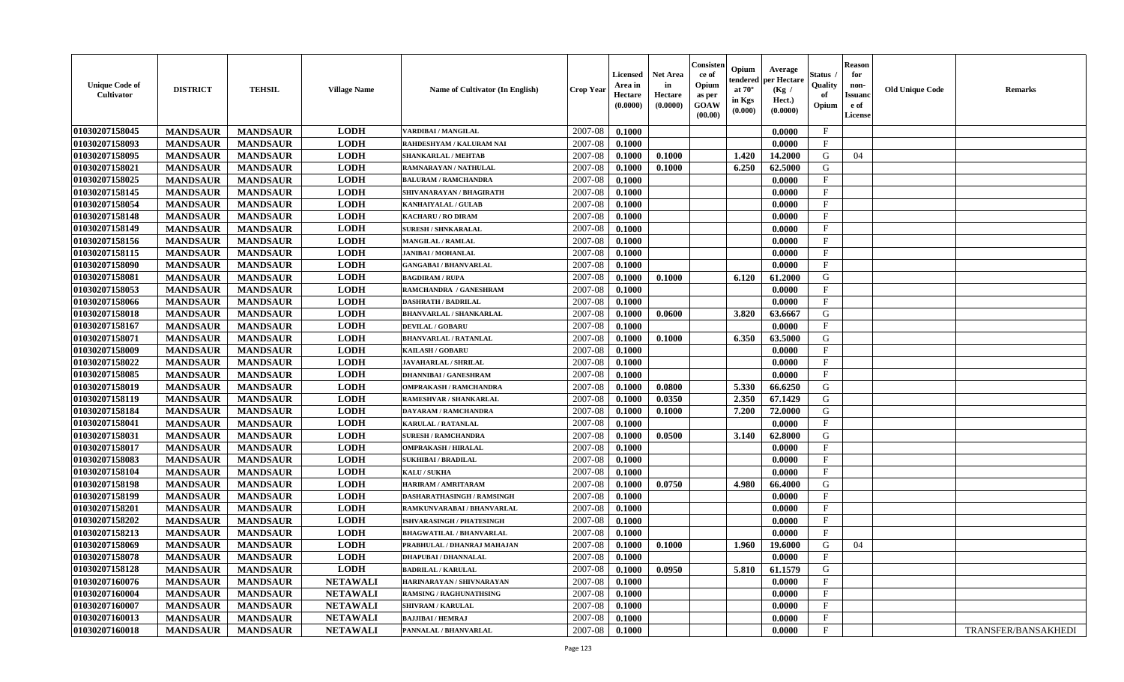| <b>Unique Code of</b><br>Cultivator | <b>DISTRICT</b> | <b>TEHSIL</b>   | <b>Village Name</b> | <b>Name of Cultivator (In English)</b> | <b>Crop Year</b> | <b>Licensed</b><br>Area in<br>Hectare<br>(0.0000) | Net Area<br>in<br>Hectare<br>(0.0000) | Consister<br>ce of<br>Opium<br>as per<br>GOAW<br>(00.00) | Opium<br>endered<br>at $70^\circ$<br>in Kgs<br>$(\mathbf{0.000})$ | Average<br>per Hectare<br>(Kg /<br>Hect.)<br>(0.0000) | Status<br>Quality<br>of<br>Opium | <b>Reason</b><br>for<br>non-<br>Issuan<br>e of<br>License | <b>Old Unique Code</b> | Remarks             |
|-------------------------------------|-----------------|-----------------|---------------------|----------------------------------------|------------------|---------------------------------------------------|---------------------------------------|----------------------------------------------------------|-------------------------------------------------------------------|-------------------------------------------------------|----------------------------------|-----------------------------------------------------------|------------------------|---------------------|
| 01030207158045                      | <b>MANDSAUR</b> | <b>MANDSAUR</b> | <b>LODH</b>         | VARDIBAI / MANGILAL                    | 2007-08          | 0.1000                                            |                                       |                                                          |                                                                   | 0.0000                                                | $\mathbf{F}$                     |                                                           |                        |                     |
| 01030207158093                      | <b>MANDSAUR</b> | <b>MANDSAUR</b> | <b>LODH</b>         | RAHDESHYAM / KALURAM NAI               | 2007-08          | 0.1000                                            |                                       |                                                          |                                                                   | 0.0000                                                | $\mathbf{F}$                     |                                                           |                        |                     |
| 01030207158095                      | <b>MANDSAUR</b> | <b>MANDSAUR</b> | <b>LODH</b>         | <b>SHANKARLAL / MEHTAB</b>             | 2007-08          | 0.1000                                            | 0.1000                                |                                                          | 1.420                                                             | 14.2000                                               | G                                | 04                                                        |                        |                     |
| 01030207158021                      | <b>MANDSAUR</b> | <b>MANDSAUR</b> | <b>LODH</b>         | RAMNARAYAN / NATHULAL                  | 2007-08          | 0.1000                                            | 0.1000                                |                                                          | 6.250                                                             | 62.5000                                               | G                                |                                                           |                        |                     |
| 01030207158025                      | <b>MANDSAUR</b> | <b>MANDSAUR</b> | <b>LODH</b>         | <b>BALURAM / RAMCHANDRA</b>            | 2007-08          | 0.1000                                            |                                       |                                                          |                                                                   | 0.0000                                                | $\mathbf{F}$                     |                                                           |                        |                     |
| 01030207158145                      | <b>MANDSAUR</b> | <b>MANDSAUR</b> | <b>LODH</b>         | SHIVANARAYAN / BHAGIRATH               | 2007-08          | 0.1000                                            |                                       |                                                          |                                                                   | 0.0000                                                | $\mathbf{F}$                     |                                                           |                        |                     |
| 01030207158054                      | <b>MANDSAUR</b> | <b>MANDSAUR</b> | <b>LODH</b>         | KANHAIYALAL / GULAB                    | 2007-08          | 0.1000                                            |                                       |                                                          |                                                                   | 0.0000                                                | $\mathbf{F}$                     |                                                           |                        |                     |
| 01030207158148                      | <b>MANDSAUR</b> | <b>MANDSAUR</b> | <b>LODH</b>         | <b>KACHARU / RO DIRAM</b>              | 2007-08          | 0.1000                                            |                                       |                                                          |                                                                   | 0.0000                                                | $\mathbf{F}$                     |                                                           |                        |                     |
| 01030207158149                      | <b>MANDSAUR</b> | <b>MANDSAUR</b> | <b>LODH</b>         | <b>SURESH / SHNKARALAL</b>             | 2007-08          | 0.1000                                            |                                       |                                                          |                                                                   | 0.0000                                                | $\mathbf{F}$                     |                                                           |                        |                     |
| 01030207158156                      | <b>MANDSAUR</b> | <b>MANDSAUR</b> | <b>LODH</b>         | <b>MANGILAL / RAMLAL</b>               | 2007-08          | 0.1000                                            |                                       |                                                          |                                                                   | 0.0000                                                | $_{\rm F}$                       |                                                           |                        |                     |
| 01030207158115                      | <b>MANDSAUR</b> | <b>MANDSAUR</b> | <b>LODH</b>         | <b>JANIBAI / MOHANLAL</b>              | 2007-08          | 0.1000                                            |                                       |                                                          |                                                                   | 0.0000                                                | $\mathbf{F}$                     |                                                           |                        |                     |
| 01030207158090                      | <b>MANDSAUR</b> | <b>MANDSAUR</b> | <b>LODH</b>         | <b>GANGABAI / BHANVARLAL</b>           | 2007-08          | 0.1000                                            |                                       |                                                          |                                                                   | 0.0000                                                | $\mathbf{F}$                     |                                                           |                        |                     |
| 01030207158081                      | <b>MANDSAUR</b> | <b>MANDSAUR</b> | <b>LODH</b>         | <b>BAGDIRAM / RUPA</b>                 | 2007-08          | 0.1000                                            | 0.1000                                |                                                          | 6.120                                                             | 61.2000                                               | G                                |                                                           |                        |                     |
| 01030207158053                      | <b>MANDSAUR</b> | <b>MANDSAUR</b> | <b>LODH</b>         | RAMCHANDRA / GANESHRAM                 | 2007-08          | 0.1000                                            |                                       |                                                          |                                                                   | 0.0000                                                | $\mathbf{F}$                     |                                                           |                        |                     |
| 01030207158066                      | <b>MANDSAUR</b> | <b>MANDSAUR</b> | <b>LODH</b>         | <b>DASHRATH / BADRILAL</b>             | 2007-08          | 0.1000                                            |                                       |                                                          |                                                                   | 0.0000                                                | $\mathbf{F}$                     |                                                           |                        |                     |
| 01030207158018                      | <b>MANDSAUR</b> | <b>MANDSAUR</b> | <b>LODH</b>         | <b>BHANVARLAL / SHANKARLAL</b>         | 2007-08          | 0.1000                                            | 0.0600                                |                                                          | 3.820                                                             | 63.6667                                               | G                                |                                                           |                        |                     |
| 01030207158167                      | <b>MANDSAUR</b> | <b>MANDSAUR</b> | <b>LODH</b>         | <b>DEVILAL / GOBARU</b>                | 2007-08          | 0.1000                                            |                                       |                                                          |                                                                   | 0.0000                                                | $_{\rm F}$                       |                                                           |                        |                     |
| 01030207158071                      | <b>MANDSAUR</b> | <b>MANDSAUR</b> | <b>LODH</b>         | <b>BHANVARLAL / RATANLAL</b>           | 2007-08          | 0.1000                                            | 0.1000                                |                                                          | 6.350                                                             | 63.5000                                               | G                                |                                                           |                        |                     |
| 01030207158009                      | <b>MANDSAUR</b> | <b>MANDSAUR</b> | <b>LODH</b>         | KAILASH / GOBARU                       | 2007-08          | 0.1000                                            |                                       |                                                          |                                                                   | 0.0000                                                | $\mathbf{F}$                     |                                                           |                        |                     |
| 01030207158022                      | <b>MANDSAUR</b> | <b>MANDSAUR</b> | <b>LODH</b>         | <b>JAVAHARLAL / SHRILAL</b>            | 2007-08          | 0.1000                                            |                                       |                                                          |                                                                   | 0.0000                                                | $_{\rm F}$                       |                                                           |                        |                     |
| 01030207158085                      | <b>MANDSAUR</b> | <b>MANDSAUR</b> | <b>LODH</b>         | <b>DHANNIBAI / GANESHRAM</b>           | 2007-08          | 0.1000                                            |                                       |                                                          |                                                                   | 0.0000                                                | $\mathbf{F}$                     |                                                           |                        |                     |
| 01030207158019                      | <b>MANDSAUR</b> | <b>MANDSAUR</b> | <b>LODH</b>         | <b>OMPRAKASH / RAMCHANDRA</b>          | 2007-08          | 0.1000                                            | 0.0800                                |                                                          | 5.330                                                             | 66.6250                                               | G                                |                                                           |                        |                     |
| 01030207158119                      | <b>MANDSAUR</b> | <b>MANDSAUR</b> | <b>LODH</b>         | RAMESHVAR / SHANKARLAL                 | 2007-08          | 0.1000                                            | 0.0350                                |                                                          | 2.350                                                             | 67.1429                                               | G                                |                                                           |                        |                     |
| 01030207158184                      | <b>MANDSAUR</b> | <b>MANDSAUR</b> | <b>LODH</b>         | DAYARAM / RAMCHANDRA                   | 2007-08          | 0.1000                                            | 0.1000                                |                                                          | 7.200                                                             | 72.0000                                               | G                                |                                                           |                        |                     |
| 01030207158041                      | <b>MANDSAUR</b> | <b>MANDSAUR</b> | <b>LODH</b>         | <b>KARULAL / RATANLAL</b>              | 2007-08          | 0.1000                                            |                                       |                                                          |                                                                   | 0.0000                                                | $\mathbf{F}$                     |                                                           |                        |                     |
| 01030207158031                      | <b>MANDSAUR</b> | <b>MANDSAUR</b> | <b>LODH</b>         | <b>SURESH / RAMCHANDRA</b>             | 2007-08          | 0.1000                                            | 0.0500                                |                                                          | 3.140                                                             | 62.8000                                               | G                                |                                                           |                        |                     |
| 01030207158017                      | <b>MANDSAUR</b> | <b>MANDSAUR</b> | <b>LODH</b>         | <b>OMPRAKASH / HIRALAL</b>             | 2007-08          | 0.1000                                            |                                       |                                                          |                                                                   | 0.0000                                                | F                                |                                                           |                        |                     |
| 01030207158083                      | <b>MANDSAUR</b> | <b>MANDSAUR</b> | <b>LODH</b>         | <b>SUKHIBAI / BRADILAL</b>             | 2007-08          | 0.1000                                            |                                       |                                                          |                                                                   | 0.0000                                                | $\mathbf{F}$                     |                                                           |                        |                     |
| 01030207158104                      | <b>MANDSAUR</b> | <b>MANDSAUR</b> | <b>LODH</b>         | KALU / SUKHA                           | 2007-08          | 0.1000                                            |                                       |                                                          |                                                                   | 0.0000                                                | $\mathbf{F}$                     |                                                           |                        |                     |
| 01030207158198                      | <b>MANDSAUR</b> | <b>MANDSAUR</b> | <b>LODH</b>         | <b>HARIRAM / AMRITARAM</b>             | 2007-08          | 0.1000                                            | 0.0750                                |                                                          | 4.980                                                             | 66.4000                                               | G                                |                                                           |                        |                     |
| 01030207158199                      | <b>MANDSAUR</b> | <b>MANDSAUR</b> | <b>LODH</b>         | DASHARATHASINGH / RAMSINGH             | 2007-08          | 0.1000                                            |                                       |                                                          |                                                                   | 0.0000                                                | $_{\rm F}$                       |                                                           |                        |                     |
| 01030207158201                      | <b>MANDSAUR</b> | <b>MANDSAUR</b> | <b>LODH</b>         | RAMKUNVARABAI / BHANVARLAL             | 2007-08          | 0.1000                                            |                                       |                                                          |                                                                   | 0.0000                                                | $\mathbf{F}$                     |                                                           |                        |                     |
| 01030207158202                      | <b>MANDSAUR</b> | <b>MANDSAUR</b> | <b>LODH</b>         | <b>ISHVARASINGH / PHATESINGH</b>       | 2007-08          | 0.1000                                            |                                       |                                                          |                                                                   | 0.0000                                                | $\mathbf{F}$                     |                                                           |                        |                     |
| 01030207158213                      | <b>MANDSAUR</b> | <b>MANDSAUR</b> | <b>LODH</b>         | <b>BHAGWATILAL / BHANVARLAL</b>        | 2007-08          | 0.1000                                            |                                       |                                                          |                                                                   | 0.0000                                                | $\mathbf{F}$                     |                                                           |                        |                     |
| 01030207158069                      | <b>MANDSAUR</b> | <b>MANDSAUR</b> | <b>LODH</b>         | PRABHULAL / DHANRAJ MAHAJAN            | 2007-08          | 0.1000                                            | 0.1000                                |                                                          | 1.960                                                             | 19.6000                                               | G                                | 04                                                        |                        |                     |
| 01030207158078                      | <b>MANDSAUR</b> | <b>MANDSAUR</b> | <b>LODH</b>         | <b>DHAPUBAI/DHANNALAL</b>              | $2007 - 08$      | 0.1000                                            |                                       |                                                          |                                                                   | 0.0000                                                | $_{\rm F}$                       |                                                           |                        |                     |
| 01030207158128                      | <b>MANDSAUR</b> | <b>MANDSAUR</b> | <b>LODH</b>         | <b>BADRILAL / KARULAL</b>              | 2007-08          | 0.1000                                            | 0.0950                                |                                                          | 5.810                                                             | 61.1579                                               | G                                |                                                           |                        |                     |
| 01030207160076                      | <b>MANDSAUR</b> | <b>MANDSAUR</b> | <b>NETAWALI</b>     | HARINARAYAN / SHIVNARAYAN              | 2007-08          | 0.1000                                            |                                       |                                                          |                                                                   | 0.0000                                                | $\mathbf{F}$                     |                                                           |                        |                     |
| 01030207160004                      | <b>MANDSAUR</b> | <b>MANDSAUR</b> | <b>NETAWALI</b>     | <b>RAMSING / RAGHUNATHSING</b>         | 2007-08          | 0.1000                                            |                                       |                                                          |                                                                   | 0.0000                                                | $\mathbf{F}$                     |                                                           |                        |                     |
| 01030207160007                      | <b>MANDSAUR</b> | <b>MANDSAUR</b> | <b>NETAWALI</b>     | <b>SHIVRAM / KARULAL</b>               | 2007-08          | 0.1000                                            |                                       |                                                          |                                                                   | 0.0000                                                | $\mathbf{F}$                     |                                                           |                        |                     |
| 01030207160013                      | <b>MANDSAUR</b> | <b>MANDSAUR</b> | <b>NETAWALI</b>     | <b>BAJJIBAI / HEMRAJ</b>               | 2007-08          | 0.1000                                            |                                       |                                                          |                                                                   | 0.0000                                                | $\mathbf{F}$                     |                                                           |                        |                     |
| 01030207160018                      | <b>MANDSAUR</b> | <b>MANDSAUR</b> | <b>NETAWALI</b>     | PANNALAL / BHANVARLAL                  | 2007-08          | 0.1000                                            |                                       |                                                          |                                                                   | 0.0000                                                | $\mathbf{F}$                     |                                                           |                        | TRANSFER/BANSAKHEDI |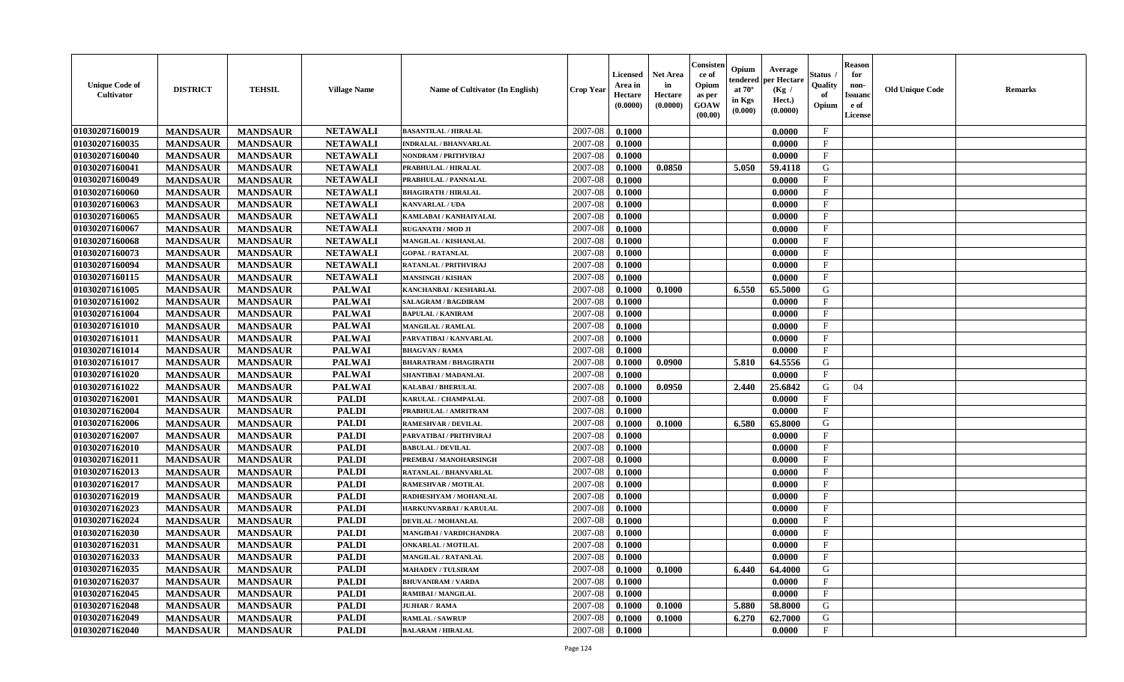| 01030207160019<br><b>NETAWALI</b><br>2007-08<br>$\mathbf{F}$<br><b>MANDSAUR</b><br><b>MANDSAUR</b><br>0.1000<br>0.0000<br><b>BASANTILAL / HIRALAL</b><br>01030207160035<br><b>NETAWALI</b><br>2007-08<br><b>MANDSAUR</b><br><b>MANDSAUR</b><br>$\mathbf F$<br><b>INDRALAL / BHANVARLAL</b><br>0.1000<br>0.0000<br>01030207160040<br><b>NETAWALI</b><br>2007-08<br>$\mathbf{F}$<br><b>MANDSAUR</b><br><b>MANDSAUR</b><br>NONDRAM / PRITHVIRAJ<br>0.1000<br>0.0000<br>01030207160041<br><b>NETAWALI</b><br>2007-08<br>0.0850<br><b>MANDSAUR</b><br><b>MANDSAUR</b><br>PRABHULAL / HIRALAL<br>0.1000<br>5.050<br>59.4118<br>G<br>01030207160049<br><b>MANDSAUR</b><br><b>MANDSAUR</b><br><b>NETAWALI</b><br>2007-08<br>0.0000<br>$\mathbf{F}$<br>PRABHULAL / PANNALAL<br>0.1000<br><b>MANDSAUR</b><br><b>MANDSAUR</b><br><b>NETAWALI</b><br>01030207160060<br>2007-08<br>0.1000<br>0.0000<br>$_{\rm F}$<br><b>BHAGIRATH / HIRALAL</b><br>01030207160063<br><b>MANDSAUR</b><br><b>NETAWALI</b><br>F<br><b>MANDSAUR</b><br>2007-08<br>0.0000<br>KANVARLAL / UDA<br>0.1000<br><b>NETAWALI</b><br>$\mathbf{F}$<br>01030207160065<br>2007-08<br><b>MANDSAUR</b><br><b>MANDSAUR</b><br>0.1000<br>0.0000<br>KAMLABAI / KANHAIYALAL<br><b>NETAWALI</b><br>01030207160067<br><b>MANDSAUR</b><br><b>MANDSAUR</b><br>2007-08<br>$_{\rm F}$<br><b>RUGANATH / MOD JI</b><br>0.1000<br>0.0000<br><b>NETAWALI</b><br>01030207160068<br><b>MANDSAUR</b><br><b>MANDSAUR</b><br>2007-08<br>0.1000<br>$\mathbf{F}$<br>MANGILAL / KISHANLAL<br>0.0000<br>01030207160073<br><b>MANDSAUR</b><br><b>MANDSAUR</b><br><b>NETAWALI</b><br>2007-08<br>$\mathbf{F}$<br><b>GOPAL / RATANLAL</b><br>0.1000<br>0.0000<br>01030207160094<br><b>MANDSAUR</b><br><b>MANDSAUR</b><br><b>NETAWALI</b><br>2007-08<br>$\mathbf{F}$<br><b>RATANLAL / PRITHVIRAJ</b><br>0.1000<br>0.0000<br><b>MANDSAUR</b><br><b>NETAWALI</b><br>01030207160115<br><b>MANDSAUR</b><br><b>MANSINGH / KISHAN</b><br>2007-08<br>0.1000<br>0.0000<br>$\mathbf{F}$<br>01030207161005<br><b>MANDSAUR</b><br><b>MANDSAUR</b><br><b>PALWAI</b><br>2007-08<br>0.1000<br>6.550<br>65.5000<br>G<br>KANCHANBAI / KESHARLAL<br>0.1000<br>01030207161002<br><b>MANDSAUR</b><br><b>MANDSAUR</b><br><b>PALWAI</b><br>2007-08<br>$\mathbf{F}$<br>0.1000<br>0.0000<br>SALAGRAM / BAGDIRAM<br>01030207161004<br><b>MANDSAUR</b><br><b>PALWAI</b><br><b>MANDSAUR</b><br>2007-08<br>0.0000<br>$_{\rm F}$<br><b>BAPULAL / KANIRAM</b><br>0.1000<br>01030207161010<br><b>PALWAI</b><br><b>MANDSAUR</b><br><b>MANDSAUR</b><br>2007-08<br>$\mathbf{F}$<br><b>MANGILAL / RAMLAL</b><br>0.1000<br>0.0000<br>01030207161011<br><b>PALWAI</b><br><b>MANDSAUR</b><br><b>MANDSAUR</b><br>2007-08<br>0.0000<br>$_{\rm F}$<br>0.1000<br>PARVATIBAI / KANVARLAL<br>01030207161014<br><b>MANDSAUR</b><br><b>MANDSAUR</b><br><b>PALWAI</b><br>2007-08<br>0.0000<br>$\mathbf F$<br><b>BHAGVAN / RAMA</b><br>0.1000<br>01030207161017<br><b>MANDSAUR</b><br><b>MANDSAUR</b><br><b>PALWAI</b><br>2007-08<br>0.0900<br>5.810<br>64.5556<br>G<br><b>BHARATRAM / BHAGIRATH</b><br>0.1000<br>01030207161020<br><b>MANDSAUR</b><br><b>MANDSAUR</b><br><b>PALWAI</b><br><b>SHANTIBAI / MADANLAL</b><br>2007-08<br>0.0000<br>$\mathbf{F}$<br>0.1000<br>01030207161022<br><b>MANDSAUR</b><br><b>MANDSAUR</b><br><b>PALWAI</b><br><b>KALABAI/BHERULAL</b><br>2007-08<br>0.1000<br>0.0950<br>2.440<br>25.6842<br>G<br>04<br>01030207162001<br><b>MANDSAUR</b><br><b>MANDSAUR</b><br><b>PALDI</b><br>2007-08<br>0.0000<br>$\mathbf{F}$<br>KARULAL / CHAMPALAL<br>0.1000<br>01030207162004<br><b>PALDI</b><br>$\mathbf{F}$<br><b>MANDSAUR</b><br><b>MANDSAUR</b><br>2007-08<br>PRABHULAL / AMRITRAM<br>0.1000<br>0.0000<br>01030207162006<br><b>PALDI</b><br>2007-08<br><b>MANDSAUR</b><br><b>MANDSAUR</b><br>0.1000<br>6.580<br>65.8000<br>G<br><b>RAMESHVAR / DEVILAL</b><br>0.1000<br>01030207162007<br><b>PALDI</b><br>2007-08<br>$\mathbf{F}$<br><b>MANDSAUR</b><br><b>MANDSAUR</b><br>0.1000<br>0.0000<br>PARVATIBAI / PRITHVIRAJ<br>01030207162010<br>F<br><b>MANDSAUR</b><br><b>MANDSAUR</b><br><b>PALDI</b><br>2007-08<br><b>BABULAL / DEVILAL</b><br>0.1000<br>0.0000<br>01030207162011<br><b>MANDSAUR</b><br><b>MANDSAUR</b><br><b>PALDI</b><br>2007-08<br>0.1000<br>0.0000<br>$_{\rm F}$<br>PREMBAI / MANOHARSINGH<br>01030207162013<br><b>MANDSAUR</b><br>2007-08<br>$\rm F$<br><b>MANDSAUR</b><br><b>PALDI</b><br><b>RATANLAL / BHANVARLAL</b><br>0.1000<br>0.0000<br>01030207162017<br><b>MANDSAUR</b><br><b>MANDSAUR</b><br><b>PALDI</b><br><b>RAMESHVAR / MOTILAL</b><br>2007-08<br>0.1000<br>0.0000<br>$\mathbf{F}$<br>01030207162019<br><b>MANDSAUR</b><br><b>MANDSAUR</b><br><b>PALDI</b><br>2007-08<br>F<br>RADHESHYAM / MOHANLAL<br>0.1000<br>0.0000<br>01030207162023<br><b>PALDI</b><br>2007-08<br>$\mathbf{F}$<br><b>MANDSAUR</b><br><b>MANDSAUR</b><br>0.0000<br>HARKUNVARBAI / KARULAL<br>0.1000<br>01030207162024<br><b>PALDI</b><br><b>MANDSAUR</b><br><b>MANDSAUR</b><br>2007-08<br>$\mathbf{F}$<br>DEVILAL / MOHANLAL<br>0.1000<br>0.0000<br>01030207162030<br><b>MANDSAUR</b><br><b>PALDI</b><br>2007-08<br>$\mathbf{F}$<br><b>MANDSAUR</b><br>MANGIBAI / VARDICHANDRA<br>0.1000<br>0.0000<br>01030207162031<br>$\mathbf{F}$<br><b>MANDSAUR</b><br><b>MANDSAUR</b><br><b>PALDI</b><br>2007-08<br><b>ONKARLAL / MOTILAL</b><br>0.1000<br>0.0000<br>01030207162033<br>$\mathbf{F}$<br><b>MANDSAUR</b><br><b>MANDSAUR</b><br><b>PALDI</b><br>2007-08<br><b>MANGILAL / RATANLAL</b><br>0.1000<br>0.0000<br>01030207162035<br><b>MANDSAUR</b><br><b>MANDSAUR</b><br><b>PALDI</b><br><b>MAHADEV / TULSIRAM</b><br>2007-08<br>0.1000<br>0.1000<br>6.440<br>64.4000<br>G<br>01030207162037<br><b>MANDSAUR</b><br><b>MANDSAUR</b><br><b>PALDI</b><br>2007-08<br>$\mathbf{F}$<br><b>BHUVANIRAM / VARDA</b><br>0.1000<br>0.0000<br>01030207162045<br><b>MANDSAUR</b><br><b>MANDSAUR</b><br><b>PALDI</b><br>2007-08<br>$\mathbf{F}$<br><b>RAMIBAI / MANGILAL</b><br>0.1000<br>0.0000<br>01030207162048<br><b>PALDI</b><br>$\mathbf G$<br><b>MANDSAUR</b><br><b>MANDSAUR</b><br>2007-08<br>5.880<br>58.8000<br>0.1000<br>0.1000<br><b>JUJHAR / RAMA</b><br>G<br>01030207162049<br><b>PALDI</b><br>62.7000<br><b>MANDSAUR</b><br>2007-08<br>0.1000<br>6.270<br><b>MANDSAUR</b><br><b>RAMLAL / SAWRUP</b><br>0.1000 | <b>Unique Code of</b><br><b>Cultivator</b> | <b>DISTRICT</b> | <b>TEHSIL</b>   | <b>Village Name</b> | Name of Cultivator (In English) | <b>Crop Year</b> | <b>Licensed</b><br>Area in<br>Hectare<br>(0.0000) | <b>Net Area</b><br>in<br>Hectare<br>(0.0000) | Consister<br>ce of<br>Opium<br>as per<br><b>GOAW</b><br>(00.00) | Opium<br>endered<br>at $70^\circ$<br>in Kgs<br>(0.000) | Average<br>per Hectare<br>(Kg /<br>Hect.)<br>(0.0000) | Status<br>Quality<br>of<br>Opium | <b>Reason</b><br>for<br>non-<br><b>Issuand</b><br>e of<br>License | <b>Old Unique Code</b> | <b>Remarks</b> |
|-------------------------------------------------------------------------------------------------------------------------------------------------------------------------------------------------------------------------------------------------------------------------------------------------------------------------------------------------------------------------------------------------------------------------------------------------------------------------------------------------------------------------------------------------------------------------------------------------------------------------------------------------------------------------------------------------------------------------------------------------------------------------------------------------------------------------------------------------------------------------------------------------------------------------------------------------------------------------------------------------------------------------------------------------------------------------------------------------------------------------------------------------------------------------------------------------------------------------------------------------------------------------------------------------------------------------------------------------------------------------------------------------------------------------------------------------------------------------------------------------------------------------------------------------------------------------------------------------------------------------------------------------------------------------------------------------------------------------------------------------------------------------------------------------------------------------------------------------------------------------------------------------------------------------------------------------------------------------------------------------------------------------------------------------------------------------------------------------------------------------------------------------------------------------------------------------------------------------------------------------------------------------------------------------------------------------------------------------------------------------------------------------------------------------------------------------------------------------------------------------------------------------------------------------------------------------------------------------------------------------------------------------------------------------------------------------------------------------------------------------------------------------------------------------------------------------------------------------------------------------------------------------------------------------------------------------------------------------------------------------------------------------------------------------------------------------------------------------------------------------------------------------------------------------------------------------------------------------------------------------------------------------------------------------------------------------------------------------------------------------------------------------------------------------------------------------------------------------------------------------------------------------------------------------------------------------------------------------------------------------------------------------------------------------------------------------------------------------------------------------------------------------------------------------------------------------------------------------------------------------------------------------------------------------------------------------------------------------------------------------------------------------------------------------------------------------------------------------------------------------------------------------------------------------------------------------------------------------------------------------------------------------------------------------------------------------------------------------------------------------------------------------------------------------------------------------------------------------------------------------------------------------------------------------------------------------------------------------------------------------------------------------------------------------------------------------------------------------------------------------------------------------------------------------------------------------------------------------------------------------------------------------------------------------------------------------------------------------------------------------------------------------------------------------------------------------------------------------------------------------------------------------------------------------------------------------------------------------------------------------------------------------------------------------------------------------------------------------------------------------------------------------------------------------------------------------------------------------------------------------------------------------------------------------------------------------------------------------------------------------------------------------------------------------------------------------------------------------------------------------------------------------------------------------------------------------------------------------------------------------------------------------------------------------------------------------------------------------------------------------------------------------------------------------------------------------------------------------------------------------------------------------------------------------------------------------------------------------------------------------------------------------------------------------------------------------|--------------------------------------------|-----------------|-----------------|---------------------|---------------------------------|------------------|---------------------------------------------------|----------------------------------------------|-----------------------------------------------------------------|--------------------------------------------------------|-------------------------------------------------------|----------------------------------|-------------------------------------------------------------------|------------------------|----------------|
|                                                                                                                                                                                                                                                                                                                                                                                                                                                                                                                                                                                                                                                                                                                                                                                                                                                                                                                                                                                                                                                                                                                                                                                                                                                                                                                                                                                                                                                                                                                                                                                                                                                                                                                                                                                                                                                                                                                                                                                                                                                                                                                                                                                                                                                                                                                                                                                                                                                                                                                                                                                                                                                                                                                                                                                                                                                                                                                                                                                                                                                                                                                                                                                                                                                                                                                                                                                                                                                                                                                                                                                                                                                                                                                                                                                                                                                                                                                                                                                                                                                                                                                                                                                                                                                                                                                                                                                                                                                                                                                                                                                                                                                                                                                                                                                                                                                                                                                                                                                                                                                                                                                                                                                                                                                                                                                                                                                                                                                                                                                                                                                                                                                                                                                                                                                                                                                                                                                                                                                                                                                                                                                                                                                                                                                                                                                         |                                            |                 |                 |                     |                                 |                  |                                                   |                                              |                                                                 |                                                        |                                                       |                                  |                                                                   |                        |                |
|                                                                                                                                                                                                                                                                                                                                                                                                                                                                                                                                                                                                                                                                                                                                                                                                                                                                                                                                                                                                                                                                                                                                                                                                                                                                                                                                                                                                                                                                                                                                                                                                                                                                                                                                                                                                                                                                                                                                                                                                                                                                                                                                                                                                                                                                                                                                                                                                                                                                                                                                                                                                                                                                                                                                                                                                                                                                                                                                                                                                                                                                                                                                                                                                                                                                                                                                                                                                                                                                                                                                                                                                                                                                                                                                                                                                                                                                                                                                                                                                                                                                                                                                                                                                                                                                                                                                                                                                                                                                                                                                                                                                                                                                                                                                                                                                                                                                                                                                                                                                                                                                                                                                                                                                                                                                                                                                                                                                                                                                                                                                                                                                                                                                                                                                                                                                                                                                                                                                                                                                                                                                                                                                                                                                                                                                                                                         |                                            |                 |                 |                     |                                 |                  |                                                   |                                              |                                                                 |                                                        |                                                       |                                  |                                                                   |                        |                |
|                                                                                                                                                                                                                                                                                                                                                                                                                                                                                                                                                                                                                                                                                                                                                                                                                                                                                                                                                                                                                                                                                                                                                                                                                                                                                                                                                                                                                                                                                                                                                                                                                                                                                                                                                                                                                                                                                                                                                                                                                                                                                                                                                                                                                                                                                                                                                                                                                                                                                                                                                                                                                                                                                                                                                                                                                                                                                                                                                                                                                                                                                                                                                                                                                                                                                                                                                                                                                                                                                                                                                                                                                                                                                                                                                                                                                                                                                                                                                                                                                                                                                                                                                                                                                                                                                                                                                                                                                                                                                                                                                                                                                                                                                                                                                                                                                                                                                                                                                                                                                                                                                                                                                                                                                                                                                                                                                                                                                                                                                                                                                                                                                                                                                                                                                                                                                                                                                                                                                                                                                                                                                                                                                                                                                                                                                                                         |                                            |                 |                 |                     |                                 |                  |                                                   |                                              |                                                                 |                                                        |                                                       |                                  |                                                                   |                        |                |
|                                                                                                                                                                                                                                                                                                                                                                                                                                                                                                                                                                                                                                                                                                                                                                                                                                                                                                                                                                                                                                                                                                                                                                                                                                                                                                                                                                                                                                                                                                                                                                                                                                                                                                                                                                                                                                                                                                                                                                                                                                                                                                                                                                                                                                                                                                                                                                                                                                                                                                                                                                                                                                                                                                                                                                                                                                                                                                                                                                                                                                                                                                                                                                                                                                                                                                                                                                                                                                                                                                                                                                                                                                                                                                                                                                                                                                                                                                                                                                                                                                                                                                                                                                                                                                                                                                                                                                                                                                                                                                                                                                                                                                                                                                                                                                                                                                                                                                                                                                                                                                                                                                                                                                                                                                                                                                                                                                                                                                                                                                                                                                                                                                                                                                                                                                                                                                                                                                                                                                                                                                                                                                                                                                                                                                                                                                                         |                                            |                 |                 |                     |                                 |                  |                                                   |                                              |                                                                 |                                                        |                                                       |                                  |                                                                   |                        |                |
|                                                                                                                                                                                                                                                                                                                                                                                                                                                                                                                                                                                                                                                                                                                                                                                                                                                                                                                                                                                                                                                                                                                                                                                                                                                                                                                                                                                                                                                                                                                                                                                                                                                                                                                                                                                                                                                                                                                                                                                                                                                                                                                                                                                                                                                                                                                                                                                                                                                                                                                                                                                                                                                                                                                                                                                                                                                                                                                                                                                                                                                                                                                                                                                                                                                                                                                                                                                                                                                                                                                                                                                                                                                                                                                                                                                                                                                                                                                                                                                                                                                                                                                                                                                                                                                                                                                                                                                                                                                                                                                                                                                                                                                                                                                                                                                                                                                                                                                                                                                                                                                                                                                                                                                                                                                                                                                                                                                                                                                                                                                                                                                                                                                                                                                                                                                                                                                                                                                                                                                                                                                                                                                                                                                                                                                                                                                         |                                            |                 |                 |                     |                                 |                  |                                                   |                                              |                                                                 |                                                        |                                                       |                                  |                                                                   |                        |                |
|                                                                                                                                                                                                                                                                                                                                                                                                                                                                                                                                                                                                                                                                                                                                                                                                                                                                                                                                                                                                                                                                                                                                                                                                                                                                                                                                                                                                                                                                                                                                                                                                                                                                                                                                                                                                                                                                                                                                                                                                                                                                                                                                                                                                                                                                                                                                                                                                                                                                                                                                                                                                                                                                                                                                                                                                                                                                                                                                                                                                                                                                                                                                                                                                                                                                                                                                                                                                                                                                                                                                                                                                                                                                                                                                                                                                                                                                                                                                                                                                                                                                                                                                                                                                                                                                                                                                                                                                                                                                                                                                                                                                                                                                                                                                                                                                                                                                                                                                                                                                                                                                                                                                                                                                                                                                                                                                                                                                                                                                                                                                                                                                                                                                                                                                                                                                                                                                                                                                                                                                                                                                                                                                                                                                                                                                                                                         |                                            |                 |                 |                     |                                 |                  |                                                   |                                              |                                                                 |                                                        |                                                       |                                  |                                                                   |                        |                |
|                                                                                                                                                                                                                                                                                                                                                                                                                                                                                                                                                                                                                                                                                                                                                                                                                                                                                                                                                                                                                                                                                                                                                                                                                                                                                                                                                                                                                                                                                                                                                                                                                                                                                                                                                                                                                                                                                                                                                                                                                                                                                                                                                                                                                                                                                                                                                                                                                                                                                                                                                                                                                                                                                                                                                                                                                                                                                                                                                                                                                                                                                                                                                                                                                                                                                                                                                                                                                                                                                                                                                                                                                                                                                                                                                                                                                                                                                                                                                                                                                                                                                                                                                                                                                                                                                                                                                                                                                                                                                                                                                                                                                                                                                                                                                                                                                                                                                                                                                                                                                                                                                                                                                                                                                                                                                                                                                                                                                                                                                                                                                                                                                                                                                                                                                                                                                                                                                                                                                                                                                                                                                                                                                                                                                                                                                                                         |                                            |                 |                 |                     |                                 |                  |                                                   |                                              |                                                                 |                                                        |                                                       |                                  |                                                                   |                        |                |
|                                                                                                                                                                                                                                                                                                                                                                                                                                                                                                                                                                                                                                                                                                                                                                                                                                                                                                                                                                                                                                                                                                                                                                                                                                                                                                                                                                                                                                                                                                                                                                                                                                                                                                                                                                                                                                                                                                                                                                                                                                                                                                                                                                                                                                                                                                                                                                                                                                                                                                                                                                                                                                                                                                                                                                                                                                                                                                                                                                                                                                                                                                                                                                                                                                                                                                                                                                                                                                                                                                                                                                                                                                                                                                                                                                                                                                                                                                                                                                                                                                                                                                                                                                                                                                                                                                                                                                                                                                                                                                                                                                                                                                                                                                                                                                                                                                                                                                                                                                                                                                                                                                                                                                                                                                                                                                                                                                                                                                                                                                                                                                                                                                                                                                                                                                                                                                                                                                                                                                                                                                                                                                                                                                                                                                                                                                                         |                                            |                 |                 |                     |                                 |                  |                                                   |                                              |                                                                 |                                                        |                                                       |                                  |                                                                   |                        |                |
|                                                                                                                                                                                                                                                                                                                                                                                                                                                                                                                                                                                                                                                                                                                                                                                                                                                                                                                                                                                                                                                                                                                                                                                                                                                                                                                                                                                                                                                                                                                                                                                                                                                                                                                                                                                                                                                                                                                                                                                                                                                                                                                                                                                                                                                                                                                                                                                                                                                                                                                                                                                                                                                                                                                                                                                                                                                                                                                                                                                                                                                                                                                                                                                                                                                                                                                                                                                                                                                                                                                                                                                                                                                                                                                                                                                                                                                                                                                                                                                                                                                                                                                                                                                                                                                                                                                                                                                                                                                                                                                                                                                                                                                                                                                                                                                                                                                                                                                                                                                                                                                                                                                                                                                                                                                                                                                                                                                                                                                                                                                                                                                                                                                                                                                                                                                                                                                                                                                                                                                                                                                                                                                                                                                                                                                                                                                         |                                            |                 |                 |                     |                                 |                  |                                                   |                                              |                                                                 |                                                        |                                                       |                                  |                                                                   |                        |                |
|                                                                                                                                                                                                                                                                                                                                                                                                                                                                                                                                                                                                                                                                                                                                                                                                                                                                                                                                                                                                                                                                                                                                                                                                                                                                                                                                                                                                                                                                                                                                                                                                                                                                                                                                                                                                                                                                                                                                                                                                                                                                                                                                                                                                                                                                                                                                                                                                                                                                                                                                                                                                                                                                                                                                                                                                                                                                                                                                                                                                                                                                                                                                                                                                                                                                                                                                                                                                                                                                                                                                                                                                                                                                                                                                                                                                                                                                                                                                                                                                                                                                                                                                                                                                                                                                                                                                                                                                                                                                                                                                                                                                                                                                                                                                                                                                                                                                                                                                                                                                                                                                                                                                                                                                                                                                                                                                                                                                                                                                                                                                                                                                                                                                                                                                                                                                                                                                                                                                                                                                                                                                                                                                                                                                                                                                                                                         |                                            |                 |                 |                     |                                 |                  |                                                   |                                              |                                                                 |                                                        |                                                       |                                  |                                                                   |                        |                |
|                                                                                                                                                                                                                                                                                                                                                                                                                                                                                                                                                                                                                                                                                                                                                                                                                                                                                                                                                                                                                                                                                                                                                                                                                                                                                                                                                                                                                                                                                                                                                                                                                                                                                                                                                                                                                                                                                                                                                                                                                                                                                                                                                                                                                                                                                                                                                                                                                                                                                                                                                                                                                                                                                                                                                                                                                                                                                                                                                                                                                                                                                                                                                                                                                                                                                                                                                                                                                                                                                                                                                                                                                                                                                                                                                                                                                                                                                                                                                                                                                                                                                                                                                                                                                                                                                                                                                                                                                                                                                                                                                                                                                                                                                                                                                                                                                                                                                                                                                                                                                                                                                                                                                                                                                                                                                                                                                                                                                                                                                                                                                                                                                                                                                                                                                                                                                                                                                                                                                                                                                                                                                                                                                                                                                                                                                                                         |                                            |                 |                 |                     |                                 |                  |                                                   |                                              |                                                                 |                                                        |                                                       |                                  |                                                                   |                        |                |
|                                                                                                                                                                                                                                                                                                                                                                                                                                                                                                                                                                                                                                                                                                                                                                                                                                                                                                                                                                                                                                                                                                                                                                                                                                                                                                                                                                                                                                                                                                                                                                                                                                                                                                                                                                                                                                                                                                                                                                                                                                                                                                                                                                                                                                                                                                                                                                                                                                                                                                                                                                                                                                                                                                                                                                                                                                                                                                                                                                                                                                                                                                                                                                                                                                                                                                                                                                                                                                                                                                                                                                                                                                                                                                                                                                                                                                                                                                                                                                                                                                                                                                                                                                                                                                                                                                                                                                                                                                                                                                                                                                                                                                                                                                                                                                                                                                                                                                                                                                                                                                                                                                                                                                                                                                                                                                                                                                                                                                                                                                                                                                                                                                                                                                                                                                                                                                                                                                                                                                                                                                                                                                                                                                                                                                                                                                                         |                                            |                 |                 |                     |                                 |                  |                                                   |                                              |                                                                 |                                                        |                                                       |                                  |                                                                   |                        |                |
|                                                                                                                                                                                                                                                                                                                                                                                                                                                                                                                                                                                                                                                                                                                                                                                                                                                                                                                                                                                                                                                                                                                                                                                                                                                                                                                                                                                                                                                                                                                                                                                                                                                                                                                                                                                                                                                                                                                                                                                                                                                                                                                                                                                                                                                                                                                                                                                                                                                                                                                                                                                                                                                                                                                                                                                                                                                                                                                                                                                                                                                                                                                                                                                                                                                                                                                                                                                                                                                                                                                                                                                                                                                                                                                                                                                                                                                                                                                                                                                                                                                                                                                                                                                                                                                                                                                                                                                                                                                                                                                                                                                                                                                                                                                                                                                                                                                                                                                                                                                                                                                                                                                                                                                                                                                                                                                                                                                                                                                                                                                                                                                                                                                                                                                                                                                                                                                                                                                                                                                                                                                                                                                                                                                                                                                                                                                         |                                            |                 |                 |                     |                                 |                  |                                                   |                                              |                                                                 |                                                        |                                                       |                                  |                                                                   |                        |                |
|                                                                                                                                                                                                                                                                                                                                                                                                                                                                                                                                                                                                                                                                                                                                                                                                                                                                                                                                                                                                                                                                                                                                                                                                                                                                                                                                                                                                                                                                                                                                                                                                                                                                                                                                                                                                                                                                                                                                                                                                                                                                                                                                                                                                                                                                                                                                                                                                                                                                                                                                                                                                                                                                                                                                                                                                                                                                                                                                                                                                                                                                                                                                                                                                                                                                                                                                                                                                                                                                                                                                                                                                                                                                                                                                                                                                                                                                                                                                                                                                                                                                                                                                                                                                                                                                                                                                                                                                                                                                                                                                                                                                                                                                                                                                                                                                                                                                                                                                                                                                                                                                                                                                                                                                                                                                                                                                                                                                                                                                                                                                                                                                                                                                                                                                                                                                                                                                                                                                                                                                                                                                                                                                                                                                                                                                                                                         |                                            |                 |                 |                     |                                 |                  |                                                   |                                              |                                                                 |                                                        |                                                       |                                  |                                                                   |                        |                |
|                                                                                                                                                                                                                                                                                                                                                                                                                                                                                                                                                                                                                                                                                                                                                                                                                                                                                                                                                                                                                                                                                                                                                                                                                                                                                                                                                                                                                                                                                                                                                                                                                                                                                                                                                                                                                                                                                                                                                                                                                                                                                                                                                                                                                                                                                                                                                                                                                                                                                                                                                                                                                                                                                                                                                                                                                                                                                                                                                                                                                                                                                                                                                                                                                                                                                                                                                                                                                                                                                                                                                                                                                                                                                                                                                                                                                                                                                                                                                                                                                                                                                                                                                                                                                                                                                                                                                                                                                                                                                                                                                                                                                                                                                                                                                                                                                                                                                                                                                                                                                                                                                                                                                                                                                                                                                                                                                                                                                                                                                                                                                                                                                                                                                                                                                                                                                                                                                                                                                                                                                                                                                                                                                                                                                                                                                                                         |                                            |                 |                 |                     |                                 |                  |                                                   |                                              |                                                                 |                                                        |                                                       |                                  |                                                                   |                        |                |
|                                                                                                                                                                                                                                                                                                                                                                                                                                                                                                                                                                                                                                                                                                                                                                                                                                                                                                                                                                                                                                                                                                                                                                                                                                                                                                                                                                                                                                                                                                                                                                                                                                                                                                                                                                                                                                                                                                                                                                                                                                                                                                                                                                                                                                                                                                                                                                                                                                                                                                                                                                                                                                                                                                                                                                                                                                                                                                                                                                                                                                                                                                                                                                                                                                                                                                                                                                                                                                                                                                                                                                                                                                                                                                                                                                                                                                                                                                                                                                                                                                                                                                                                                                                                                                                                                                                                                                                                                                                                                                                                                                                                                                                                                                                                                                                                                                                                                                                                                                                                                                                                                                                                                                                                                                                                                                                                                                                                                                                                                                                                                                                                                                                                                                                                                                                                                                                                                                                                                                                                                                                                                                                                                                                                                                                                                                                         |                                            |                 |                 |                     |                                 |                  |                                                   |                                              |                                                                 |                                                        |                                                       |                                  |                                                                   |                        |                |
|                                                                                                                                                                                                                                                                                                                                                                                                                                                                                                                                                                                                                                                                                                                                                                                                                                                                                                                                                                                                                                                                                                                                                                                                                                                                                                                                                                                                                                                                                                                                                                                                                                                                                                                                                                                                                                                                                                                                                                                                                                                                                                                                                                                                                                                                                                                                                                                                                                                                                                                                                                                                                                                                                                                                                                                                                                                                                                                                                                                                                                                                                                                                                                                                                                                                                                                                                                                                                                                                                                                                                                                                                                                                                                                                                                                                                                                                                                                                                                                                                                                                                                                                                                                                                                                                                                                                                                                                                                                                                                                                                                                                                                                                                                                                                                                                                                                                                                                                                                                                                                                                                                                                                                                                                                                                                                                                                                                                                                                                                                                                                                                                                                                                                                                                                                                                                                                                                                                                                                                                                                                                                                                                                                                                                                                                                                                         |                                            |                 |                 |                     |                                 |                  |                                                   |                                              |                                                                 |                                                        |                                                       |                                  |                                                                   |                        |                |
|                                                                                                                                                                                                                                                                                                                                                                                                                                                                                                                                                                                                                                                                                                                                                                                                                                                                                                                                                                                                                                                                                                                                                                                                                                                                                                                                                                                                                                                                                                                                                                                                                                                                                                                                                                                                                                                                                                                                                                                                                                                                                                                                                                                                                                                                                                                                                                                                                                                                                                                                                                                                                                                                                                                                                                                                                                                                                                                                                                                                                                                                                                                                                                                                                                                                                                                                                                                                                                                                                                                                                                                                                                                                                                                                                                                                                                                                                                                                                                                                                                                                                                                                                                                                                                                                                                                                                                                                                                                                                                                                                                                                                                                                                                                                                                                                                                                                                                                                                                                                                                                                                                                                                                                                                                                                                                                                                                                                                                                                                                                                                                                                                                                                                                                                                                                                                                                                                                                                                                                                                                                                                                                                                                                                                                                                                                                         |                                            |                 |                 |                     |                                 |                  |                                                   |                                              |                                                                 |                                                        |                                                       |                                  |                                                                   |                        |                |
|                                                                                                                                                                                                                                                                                                                                                                                                                                                                                                                                                                                                                                                                                                                                                                                                                                                                                                                                                                                                                                                                                                                                                                                                                                                                                                                                                                                                                                                                                                                                                                                                                                                                                                                                                                                                                                                                                                                                                                                                                                                                                                                                                                                                                                                                                                                                                                                                                                                                                                                                                                                                                                                                                                                                                                                                                                                                                                                                                                                                                                                                                                                                                                                                                                                                                                                                                                                                                                                                                                                                                                                                                                                                                                                                                                                                                                                                                                                                                                                                                                                                                                                                                                                                                                                                                                                                                                                                                                                                                                                                                                                                                                                                                                                                                                                                                                                                                                                                                                                                                                                                                                                                                                                                                                                                                                                                                                                                                                                                                                                                                                                                                                                                                                                                                                                                                                                                                                                                                                                                                                                                                                                                                                                                                                                                                                                         |                                            |                 |                 |                     |                                 |                  |                                                   |                                              |                                                                 |                                                        |                                                       |                                  |                                                                   |                        |                |
|                                                                                                                                                                                                                                                                                                                                                                                                                                                                                                                                                                                                                                                                                                                                                                                                                                                                                                                                                                                                                                                                                                                                                                                                                                                                                                                                                                                                                                                                                                                                                                                                                                                                                                                                                                                                                                                                                                                                                                                                                                                                                                                                                                                                                                                                                                                                                                                                                                                                                                                                                                                                                                                                                                                                                                                                                                                                                                                                                                                                                                                                                                                                                                                                                                                                                                                                                                                                                                                                                                                                                                                                                                                                                                                                                                                                                                                                                                                                                                                                                                                                                                                                                                                                                                                                                                                                                                                                                                                                                                                                                                                                                                                                                                                                                                                                                                                                                                                                                                                                                                                                                                                                                                                                                                                                                                                                                                                                                                                                                                                                                                                                                                                                                                                                                                                                                                                                                                                                                                                                                                                                                                                                                                                                                                                                                                                         |                                            |                 |                 |                     |                                 |                  |                                                   |                                              |                                                                 |                                                        |                                                       |                                  |                                                                   |                        |                |
|                                                                                                                                                                                                                                                                                                                                                                                                                                                                                                                                                                                                                                                                                                                                                                                                                                                                                                                                                                                                                                                                                                                                                                                                                                                                                                                                                                                                                                                                                                                                                                                                                                                                                                                                                                                                                                                                                                                                                                                                                                                                                                                                                                                                                                                                                                                                                                                                                                                                                                                                                                                                                                                                                                                                                                                                                                                                                                                                                                                                                                                                                                                                                                                                                                                                                                                                                                                                                                                                                                                                                                                                                                                                                                                                                                                                                                                                                                                                                                                                                                                                                                                                                                                                                                                                                                                                                                                                                                                                                                                                                                                                                                                                                                                                                                                                                                                                                                                                                                                                                                                                                                                                                                                                                                                                                                                                                                                                                                                                                                                                                                                                                                                                                                                                                                                                                                                                                                                                                                                                                                                                                                                                                                                                                                                                                                                         |                                            |                 |                 |                     |                                 |                  |                                                   |                                              |                                                                 |                                                        |                                                       |                                  |                                                                   |                        |                |
|                                                                                                                                                                                                                                                                                                                                                                                                                                                                                                                                                                                                                                                                                                                                                                                                                                                                                                                                                                                                                                                                                                                                                                                                                                                                                                                                                                                                                                                                                                                                                                                                                                                                                                                                                                                                                                                                                                                                                                                                                                                                                                                                                                                                                                                                                                                                                                                                                                                                                                                                                                                                                                                                                                                                                                                                                                                                                                                                                                                                                                                                                                                                                                                                                                                                                                                                                                                                                                                                                                                                                                                                                                                                                                                                                                                                                                                                                                                                                                                                                                                                                                                                                                                                                                                                                                                                                                                                                                                                                                                                                                                                                                                                                                                                                                                                                                                                                                                                                                                                                                                                                                                                                                                                                                                                                                                                                                                                                                                                                                                                                                                                                                                                                                                                                                                                                                                                                                                                                                                                                                                                                                                                                                                                                                                                                                                         |                                            |                 |                 |                     |                                 |                  |                                                   |                                              |                                                                 |                                                        |                                                       |                                  |                                                                   |                        |                |
|                                                                                                                                                                                                                                                                                                                                                                                                                                                                                                                                                                                                                                                                                                                                                                                                                                                                                                                                                                                                                                                                                                                                                                                                                                                                                                                                                                                                                                                                                                                                                                                                                                                                                                                                                                                                                                                                                                                                                                                                                                                                                                                                                                                                                                                                                                                                                                                                                                                                                                                                                                                                                                                                                                                                                                                                                                                                                                                                                                                                                                                                                                                                                                                                                                                                                                                                                                                                                                                                                                                                                                                                                                                                                                                                                                                                                                                                                                                                                                                                                                                                                                                                                                                                                                                                                                                                                                                                                                                                                                                                                                                                                                                                                                                                                                                                                                                                                                                                                                                                                                                                                                                                                                                                                                                                                                                                                                                                                                                                                                                                                                                                                                                                                                                                                                                                                                                                                                                                                                                                                                                                                                                                                                                                                                                                                                                         |                                            |                 |                 |                     |                                 |                  |                                                   |                                              |                                                                 |                                                        |                                                       |                                  |                                                                   |                        |                |
|                                                                                                                                                                                                                                                                                                                                                                                                                                                                                                                                                                                                                                                                                                                                                                                                                                                                                                                                                                                                                                                                                                                                                                                                                                                                                                                                                                                                                                                                                                                                                                                                                                                                                                                                                                                                                                                                                                                                                                                                                                                                                                                                                                                                                                                                                                                                                                                                                                                                                                                                                                                                                                                                                                                                                                                                                                                                                                                                                                                                                                                                                                                                                                                                                                                                                                                                                                                                                                                                                                                                                                                                                                                                                                                                                                                                                                                                                                                                                                                                                                                                                                                                                                                                                                                                                                                                                                                                                                                                                                                                                                                                                                                                                                                                                                                                                                                                                                                                                                                                                                                                                                                                                                                                                                                                                                                                                                                                                                                                                                                                                                                                                                                                                                                                                                                                                                                                                                                                                                                                                                                                                                                                                                                                                                                                                                                         |                                            |                 |                 |                     |                                 |                  |                                                   |                                              |                                                                 |                                                        |                                                       |                                  |                                                                   |                        |                |
|                                                                                                                                                                                                                                                                                                                                                                                                                                                                                                                                                                                                                                                                                                                                                                                                                                                                                                                                                                                                                                                                                                                                                                                                                                                                                                                                                                                                                                                                                                                                                                                                                                                                                                                                                                                                                                                                                                                                                                                                                                                                                                                                                                                                                                                                                                                                                                                                                                                                                                                                                                                                                                                                                                                                                                                                                                                                                                                                                                                                                                                                                                                                                                                                                                                                                                                                                                                                                                                                                                                                                                                                                                                                                                                                                                                                                                                                                                                                                                                                                                                                                                                                                                                                                                                                                                                                                                                                                                                                                                                                                                                                                                                                                                                                                                                                                                                                                                                                                                                                                                                                                                                                                                                                                                                                                                                                                                                                                                                                                                                                                                                                                                                                                                                                                                                                                                                                                                                                                                                                                                                                                                                                                                                                                                                                                                                         |                                            |                 |                 |                     |                                 |                  |                                                   |                                              |                                                                 |                                                        |                                                       |                                  |                                                                   |                        |                |
|                                                                                                                                                                                                                                                                                                                                                                                                                                                                                                                                                                                                                                                                                                                                                                                                                                                                                                                                                                                                                                                                                                                                                                                                                                                                                                                                                                                                                                                                                                                                                                                                                                                                                                                                                                                                                                                                                                                                                                                                                                                                                                                                                                                                                                                                                                                                                                                                                                                                                                                                                                                                                                                                                                                                                                                                                                                                                                                                                                                                                                                                                                                                                                                                                                                                                                                                                                                                                                                                                                                                                                                                                                                                                                                                                                                                                                                                                                                                                                                                                                                                                                                                                                                                                                                                                                                                                                                                                                                                                                                                                                                                                                                                                                                                                                                                                                                                                                                                                                                                                                                                                                                                                                                                                                                                                                                                                                                                                                                                                                                                                                                                                                                                                                                                                                                                                                                                                                                                                                                                                                                                                                                                                                                                                                                                                                                         |                                            |                 |                 |                     |                                 |                  |                                                   |                                              |                                                                 |                                                        |                                                       |                                  |                                                                   |                        |                |
|                                                                                                                                                                                                                                                                                                                                                                                                                                                                                                                                                                                                                                                                                                                                                                                                                                                                                                                                                                                                                                                                                                                                                                                                                                                                                                                                                                                                                                                                                                                                                                                                                                                                                                                                                                                                                                                                                                                                                                                                                                                                                                                                                                                                                                                                                                                                                                                                                                                                                                                                                                                                                                                                                                                                                                                                                                                                                                                                                                                                                                                                                                                                                                                                                                                                                                                                                                                                                                                                                                                                                                                                                                                                                                                                                                                                                                                                                                                                                                                                                                                                                                                                                                                                                                                                                                                                                                                                                                                                                                                                                                                                                                                                                                                                                                                                                                                                                                                                                                                                                                                                                                                                                                                                                                                                                                                                                                                                                                                                                                                                                                                                                                                                                                                                                                                                                                                                                                                                                                                                                                                                                                                                                                                                                                                                                                                         |                                            |                 |                 |                     |                                 |                  |                                                   |                                              |                                                                 |                                                        |                                                       |                                  |                                                                   |                        |                |
|                                                                                                                                                                                                                                                                                                                                                                                                                                                                                                                                                                                                                                                                                                                                                                                                                                                                                                                                                                                                                                                                                                                                                                                                                                                                                                                                                                                                                                                                                                                                                                                                                                                                                                                                                                                                                                                                                                                                                                                                                                                                                                                                                                                                                                                                                                                                                                                                                                                                                                                                                                                                                                                                                                                                                                                                                                                                                                                                                                                                                                                                                                                                                                                                                                                                                                                                                                                                                                                                                                                                                                                                                                                                                                                                                                                                                                                                                                                                                                                                                                                                                                                                                                                                                                                                                                                                                                                                                                                                                                                                                                                                                                                                                                                                                                                                                                                                                                                                                                                                                                                                                                                                                                                                                                                                                                                                                                                                                                                                                                                                                                                                                                                                                                                                                                                                                                                                                                                                                                                                                                                                                                                                                                                                                                                                                                                         |                                            |                 |                 |                     |                                 |                  |                                                   |                                              |                                                                 |                                                        |                                                       |                                  |                                                                   |                        |                |
|                                                                                                                                                                                                                                                                                                                                                                                                                                                                                                                                                                                                                                                                                                                                                                                                                                                                                                                                                                                                                                                                                                                                                                                                                                                                                                                                                                                                                                                                                                                                                                                                                                                                                                                                                                                                                                                                                                                                                                                                                                                                                                                                                                                                                                                                                                                                                                                                                                                                                                                                                                                                                                                                                                                                                                                                                                                                                                                                                                                                                                                                                                                                                                                                                                                                                                                                                                                                                                                                                                                                                                                                                                                                                                                                                                                                                                                                                                                                                                                                                                                                                                                                                                                                                                                                                                                                                                                                                                                                                                                                                                                                                                                                                                                                                                                                                                                                                                                                                                                                                                                                                                                                                                                                                                                                                                                                                                                                                                                                                                                                                                                                                                                                                                                                                                                                                                                                                                                                                                                                                                                                                                                                                                                                                                                                                                                         |                                            |                 |                 |                     |                                 |                  |                                                   |                                              |                                                                 |                                                        |                                                       |                                  |                                                                   |                        |                |
|                                                                                                                                                                                                                                                                                                                                                                                                                                                                                                                                                                                                                                                                                                                                                                                                                                                                                                                                                                                                                                                                                                                                                                                                                                                                                                                                                                                                                                                                                                                                                                                                                                                                                                                                                                                                                                                                                                                                                                                                                                                                                                                                                                                                                                                                                                                                                                                                                                                                                                                                                                                                                                                                                                                                                                                                                                                                                                                                                                                                                                                                                                                                                                                                                                                                                                                                                                                                                                                                                                                                                                                                                                                                                                                                                                                                                                                                                                                                                                                                                                                                                                                                                                                                                                                                                                                                                                                                                                                                                                                                                                                                                                                                                                                                                                                                                                                                                                                                                                                                                                                                                                                                                                                                                                                                                                                                                                                                                                                                                                                                                                                                                                                                                                                                                                                                                                                                                                                                                                                                                                                                                                                                                                                                                                                                                                                         |                                            |                 |                 |                     |                                 |                  |                                                   |                                              |                                                                 |                                                        |                                                       |                                  |                                                                   |                        |                |
|                                                                                                                                                                                                                                                                                                                                                                                                                                                                                                                                                                                                                                                                                                                                                                                                                                                                                                                                                                                                                                                                                                                                                                                                                                                                                                                                                                                                                                                                                                                                                                                                                                                                                                                                                                                                                                                                                                                                                                                                                                                                                                                                                                                                                                                                                                                                                                                                                                                                                                                                                                                                                                                                                                                                                                                                                                                                                                                                                                                                                                                                                                                                                                                                                                                                                                                                                                                                                                                                                                                                                                                                                                                                                                                                                                                                                                                                                                                                                                                                                                                                                                                                                                                                                                                                                                                                                                                                                                                                                                                                                                                                                                                                                                                                                                                                                                                                                                                                                                                                                                                                                                                                                                                                                                                                                                                                                                                                                                                                                                                                                                                                                                                                                                                                                                                                                                                                                                                                                                                                                                                                                                                                                                                                                                                                                                                         |                                            |                 |                 |                     |                                 |                  |                                                   |                                              |                                                                 |                                                        |                                                       |                                  |                                                                   |                        |                |
|                                                                                                                                                                                                                                                                                                                                                                                                                                                                                                                                                                                                                                                                                                                                                                                                                                                                                                                                                                                                                                                                                                                                                                                                                                                                                                                                                                                                                                                                                                                                                                                                                                                                                                                                                                                                                                                                                                                                                                                                                                                                                                                                                                                                                                                                                                                                                                                                                                                                                                                                                                                                                                                                                                                                                                                                                                                                                                                                                                                                                                                                                                                                                                                                                                                                                                                                                                                                                                                                                                                                                                                                                                                                                                                                                                                                                                                                                                                                                                                                                                                                                                                                                                                                                                                                                                                                                                                                                                                                                                                                                                                                                                                                                                                                                                                                                                                                                                                                                                                                                                                                                                                                                                                                                                                                                                                                                                                                                                                                                                                                                                                                                                                                                                                                                                                                                                                                                                                                                                                                                                                                                                                                                                                                                                                                                                                         |                                            |                 |                 |                     |                                 |                  |                                                   |                                              |                                                                 |                                                        |                                                       |                                  |                                                                   |                        |                |
|                                                                                                                                                                                                                                                                                                                                                                                                                                                                                                                                                                                                                                                                                                                                                                                                                                                                                                                                                                                                                                                                                                                                                                                                                                                                                                                                                                                                                                                                                                                                                                                                                                                                                                                                                                                                                                                                                                                                                                                                                                                                                                                                                                                                                                                                                                                                                                                                                                                                                                                                                                                                                                                                                                                                                                                                                                                                                                                                                                                                                                                                                                                                                                                                                                                                                                                                                                                                                                                                                                                                                                                                                                                                                                                                                                                                                                                                                                                                                                                                                                                                                                                                                                                                                                                                                                                                                                                                                                                                                                                                                                                                                                                                                                                                                                                                                                                                                                                                                                                                                                                                                                                                                                                                                                                                                                                                                                                                                                                                                                                                                                                                                                                                                                                                                                                                                                                                                                                                                                                                                                                                                                                                                                                                                                                                                                                         |                                            |                 |                 |                     |                                 |                  |                                                   |                                              |                                                                 |                                                        |                                                       |                                  |                                                                   |                        |                |
|                                                                                                                                                                                                                                                                                                                                                                                                                                                                                                                                                                                                                                                                                                                                                                                                                                                                                                                                                                                                                                                                                                                                                                                                                                                                                                                                                                                                                                                                                                                                                                                                                                                                                                                                                                                                                                                                                                                                                                                                                                                                                                                                                                                                                                                                                                                                                                                                                                                                                                                                                                                                                                                                                                                                                                                                                                                                                                                                                                                                                                                                                                                                                                                                                                                                                                                                                                                                                                                                                                                                                                                                                                                                                                                                                                                                                                                                                                                                                                                                                                                                                                                                                                                                                                                                                                                                                                                                                                                                                                                                                                                                                                                                                                                                                                                                                                                                                                                                                                                                                                                                                                                                                                                                                                                                                                                                                                                                                                                                                                                                                                                                                                                                                                                                                                                                                                                                                                                                                                                                                                                                                                                                                                                                                                                                                                                         |                                            |                 |                 |                     |                                 |                  |                                                   |                                              |                                                                 |                                                        |                                                       |                                  |                                                                   |                        |                |
|                                                                                                                                                                                                                                                                                                                                                                                                                                                                                                                                                                                                                                                                                                                                                                                                                                                                                                                                                                                                                                                                                                                                                                                                                                                                                                                                                                                                                                                                                                                                                                                                                                                                                                                                                                                                                                                                                                                                                                                                                                                                                                                                                                                                                                                                                                                                                                                                                                                                                                                                                                                                                                                                                                                                                                                                                                                                                                                                                                                                                                                                                                                                                                                                                                                                                                                                                                                                                                                                                                                                                                                                                                                                                                                                                                                                                                                                                                                                                                                                                                                                                                                                                                                                                                                                                                                                                                                                                                                                                                                                                                                                                                                                                                                                                                                                                                                                                                                                                                                                                                                                                                                                                                                                                                                                                                                                                                                                                                                                                                                                                                                                                                                                                                                                                                                                                                                                                                                                                                                                                                                                                                                                                                                                                                                                                                                         |                                            |                 |                 |                     |                                 |                  |                                                   |                                              |                                                                 |                                                        |                                                       |                                  |                                                                   |                        |                |
|                                                                                                                                                                                                                                                                                                                                                                                                                                                                                                                                                                                                                                                                                                                                                                                                                                                                                                                                                                                                                                                                                                                                                                                                                                                                                                                                                                                                                                                                                                                                                                                                                                                                                                                                                                                                                                                                                                                                                                                                                                                                                                                                                                                                                                                                                                                                                                                                                                                                                                                                                                                                                                                                                                                                                                                                                                                                                                                                                                                                                                                                                                                                                                                                                                                                                                                                                                                                                                                                                                                                                                                                                                                                                                                                                                                                                                                                                                                                                                                                                                                                                                                                                                                                                                                                                                                                                                                                                                                                                                                                                                                                                                                                                                                                                                                                                                                                                                                                                                                                                                                                                                                                                                                                                                                                                                                                                                                                                                                                                                                                                                                                                                                                                                                                                                                                                                                                                                                                                                                                                                                                                                                                                                                                                                                                                                                         |                                            |                 |                 |                     |                                 |                  |                                                   |                                              |                                                                 |                                                        |                                                       |                                  |                                                                   |                        |                |
|                                                                                                                                                                                                                                                                                                                                                                                                                                                                                                                                                                                                                                                                                                                                                                                                                                                                                                                                                                                                                                                                                                                                                                                                                                                                                                                                                                                                                                                                                                                                                                                                                                                                                                                                                                                                                                                                                                                                                                                                                                                                                                                                                                                                                                                                                                                                                                                                                                                                                                                                                                                                                                                                                                                                                                                                                                                                                                                                                                                                                                                                                                                                                                                                                                                                                                                                                                                                                                                                                                                                                                                                                                                                                                                                                                                                                                                                                                                                                                                                                                                                                                                                                                                                                                                                                                                                                                                                                                                                                                                                                                                                                                                                                                                                                                                                                                                                                                                                                                                                                                                                                                                                                                                                                                                                                                                                                                                                                                                                                                                                                                                                                                                                                                                                                                                                                                                                                                                                                                                                                                                                                                                                                                                                                                                                                                                         |                                            |                 |                 |                     |                                 |                  |                                                   |                                              |                                                                 |                                                        |                                                       |                                  |                                                                   |                        |                |
|                                                                                                                                                                                                                                                                                                                                                                                                                                                                                                                                                                                                                                                                                                                                                                                                                                                                                                                                                                                                                                                                                                                                                                                                                                                                                                                                                                                                                                                                                                                                                                                                                                                                                                                                                                                                                                                                                                                                                                                                                                                                                                                                                                                                                                                                                                                                                                                                                                                                                                                                                                                                                                                                                                                                                                                                                                                                                                                                                                                                                                                                                                                                                                                                                                                                                                                                                                                                                                                                                                                                                                                                                                                                                                                                                                                                                                                                                                                                                                                                                                                                                                                                                                                                                                                                                                                                                                                                                                                                                                                                                                                                                                                                                                                                                                                                                                                                                                                                                                                                                                                                                                                                                                                                                                                                                                                                                                                                                                                                                                                                                                                                                                                                                                                                                                                                                                                                                                                                                                                                                                                                                                                                                                                                                                                                                                                         |                                            |                 |                 |                     |                                 |                  |                                                   |                                              |                                                                 |                                                        |                                                       |                                  |                                                                   |                        |                |
|                                                                                                                                                                                                                                                                                                                                                                                                                                                                                                                                                                                                                                                                                                                                                                                                                                                                                                                                                                                                                                                                                                                                                                                                                                                                                                                                                                                                                                                                                                                                                                                                                                                                                                                                                                                                                                                                                                                                                                                                                                                                                                                                                                                                                                                                                                                                                                                                                                                                                                                                                                                                                                                                                                                                                                                                                                                                                                                                                                                                                                                                                                                                                                                                                                                                                                                                                                                                                                                                                                                                                                                                                                                                                                                                                                                                                                                                                                                                                                                                                                                                                                                                                                                                                                                                                                                                                                                                                                                                                                                                                                                                                                                                                                                                                                                                                                                                                                                                                                                                                                                                                                                                                                                                                                                                                                                                                                                                                                                                                                                                                                                                                                                                                                                                                                                                                                                                                                                                                                                                                                                                                                                                                                                                                                                                                                                         |                                            |                 |                 |                     |                                 |                  |                                                   |                                              |                                                                 |                                                        |                                                       |                                  |                                                                   |                        |                |
|                                                                                                                                                                                                                                                                                                                                                                                                                                                                                                                                                                                                                                                                                                                                                                                                                                                                                                                                                                                                                                                                                                                                                                                                                                                                                                                                                                                                                                                                                                                                                                                                                                                                                                                                                                                                                                                                                                                                                                                                                                                                                                                                                                                                                                                                                                                                                                                                                                                                                                                                                                                                                                                                                                                                                                                                                                                                                                                                                                                                                                                                                                                                                                                                                                                                                                                                                                                                                                                                                                                                                                                                                                                                                                                                                                                                                                                                                                                                                                                                                                                                                                                                                                                                                                                                                                                                                                                                                                                                                                                                                                                                                                                                                                                                                                                                                                                                                                                                                                                                                                                                                                                                                                                                                                                                                                                                                                                                                                                                                                                                                                                                                                                                                                                                                                                                                                                                                                                                                                                                                                                                                                                                                                                                                                                                                                                         |                                            |                 |                 |                     |                                 |                  |                                                   |                                              |                                                                 |                                                        |                                                       |                                  |                                                                   |                        |                |
|                                                                                                                                                                                                                                                                                                                                                                                                                                                                                                                                                                                                                                                                                                                                                                                                                                                                                                                                                                                                                                                                                                                                                                                                                                                                                                                                                                                                                                                                                                                                                                                                                                                                                                                                                                                                                                                                                                                                                                                                                                                                                                                                                                                                                                                                                                                                                                                                                                                                                                                                                                                                                                                                                                                                                                                                                                                                                                                                                                                                                                                                                                                                                                                                                                                                                                                                                                                                                                                                                                                                                                                                                                                                                                                                                                                                                                                                                                                                                                                                                                                                                                                                                                                                                                                                                                                                                                                                                                                                                                                                                                                                                                                                                                                                                                                                                                                                                                                                                                                                                                                                                                                                                                                                                                                                                                                                                                                                                                                                                                                                                                                                                                                                                                                                                                                                                                                                                                                                                                                                                                                                                                                                                                                                                                                                                                                         |                                            |                 |                 |                     |                                 |                  |                                                   |                                              |                                                                 |                                                        |                                                       |                                  |                                                                   |                        |                |
|                                                                                                                                                                                                                                                                                                                                                                                                                                                                                                                                                                                                                                                                                                                                                                                                                                                                                                                                                                                                                                                                                                                                                                                                                                                                                                                                                                                                                                                                                                                                                                                                                                                                                                                                                                                                                                                                                                                                                                                                                                                                                                                                                                                                                                                                                                                                                                                                                                                                                                                                                                                                                                                                                                                                                                                                                                                                                                                                                                                                                                                                                                                                                                                                                                                                                                                                                                                                                                                                                                                                                                                                                                                                                                                                                                                                                                                                                                                                                                                                                                                                                                                                                                                                                                                                                                                                                                                                                                                                                                                                                                                                                                                                                                                                                                                                                                                                                                                                                                                                                                                                                                                                                                                                                                                                                                                                                                                                                                                                                                                                                                                                                                                                                                                                                                                                                                                                                                                                                                                                                                                                                                                                                                                                                                                                                                                         | 01030207162040                             | <b>MANDSAUR</b> | <b>MANDSAUR</b> | <b>PALDI</b>        | <b>BALARAM / HIRALAL</b>        | 2007-08          | 0.1000                                            |                                              |                                                                 |                                                        | 0.0000                                                | $\mathbf{F}$                     |                                                                   |                        |                |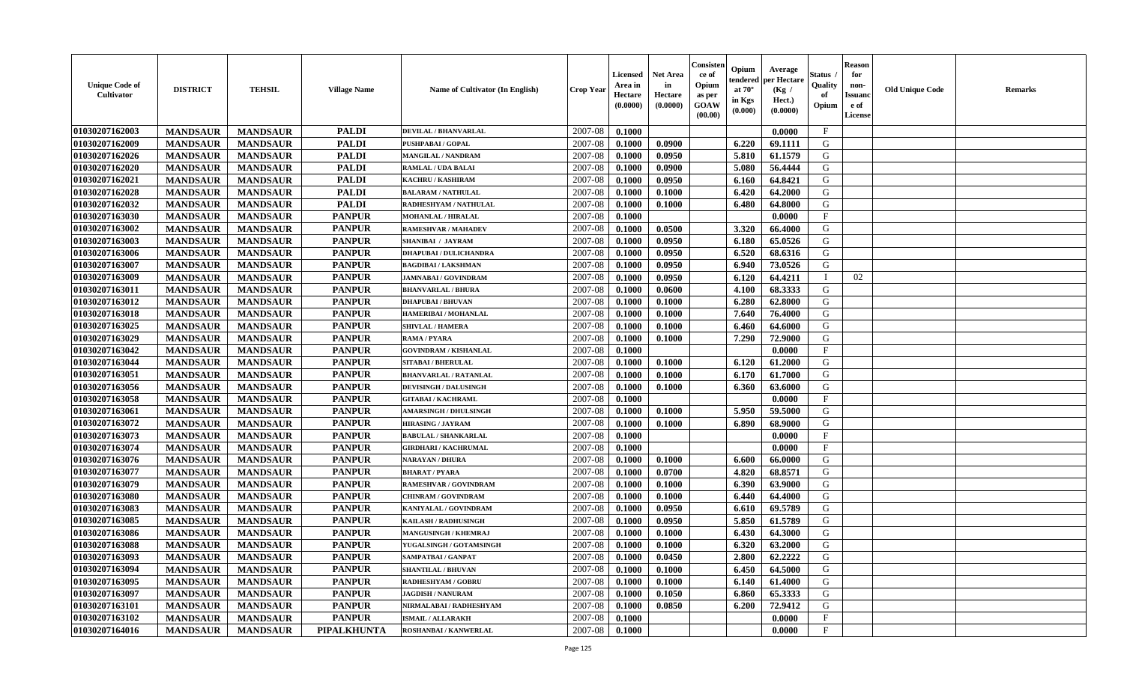| <b>Unique Code of</b><br><b>Cultivator</b> | <b>DISTRICT</b> | <b>TEHSIL</b>   | <b>Village Name</b> | <b>Name of Cultivator (In English)</b> | <b>Crop Year</b> | <b>Licensed</b><br>Area in<br>Hectare<br>(0.0000) | <b>Net Area</b><br>in<br>Hectare<br>(0.0000) | Consister<br>ce of<br>Opium<br>as per<br><b>GOAW</b><br>(00.00) | Opium<br>endered<br>at $70^\circ$<br>in Kgs<br>$(\mathbf{0.000})$ | Average<br>per Hectare<br>(Kg /<br>Hect.)<br>(0.0000) | Status<br>Quality<br>of<br>Opium | Reason<br>for<br>non-<br>Issuan<br>e of<br>License | <b>Old Unique Code</b> | <b>Remarks</b> |
|--------------------------------------------|-----------------|-----------------|---------------------|----------------------------------------|------------------|---------------------------------------------------|----------------------------------------------|-----------------------------------------------------------------|-------------------------------------------------------------------|-------------------------------------------------------|----------------------------------|----------------------------------------------------|------------------------|----------------|
| 01030207162003                             | <b>MANDSAUR</b> | <b>MANDSAUR</b> | <b>PALDI</b>        | <b>DEVILAL / BHANVARLAL</b>            | 2007-08          | 0.1000                                            |                                              |                                                                 |                                                                   | 0.0000                                                | $\mathbf{F}$                     |                                                    |                        |                |
| 01030207162009                             | <b>MANDSAUR</b> | <b>MANDSAUR</b> | <b>PALDI</b>        | PUSHPABAI / GOPAL                      | 2007-08          | 0.1000                                            | 0.0900                                       |                                                                 | 6.220                                                             | 69.1111                                               | G                                |                                                    |                        |                |
| 01030207162026                             | <b>MANDSAUR</b> | <b>MANDSAUR</b> | <b>PALDI</b>        | MANGILAL / NANDRAM                     | 2007-08          | 0.1000                                            | 0.0950                                       |                                                                 | 5.810                                                             | 61.1579                                               | G                                |                                                    |                        |                |
| 01030207162020                             | <b>MANDSAUR</b> | <b>MANDSAUR</b> | <b>PALDI</b>        | RAMLAL / UDA BALAI                     | 2007-08          | 0.1000                                            | 0.0900                                       |                                                                 | 5.080                                                             | 56.4444                                               | G                                |                                                    |                        |                |
| 01030207162021                             | <b>MANDSAUR</b> | <b>MANDSAUR</b> | <b>PALDI</b>        | KACHRU / KASHIRAM                      | 2007-08          | 0.1000                                            | 0.0950                                       |                                                                 | 6.160                                                             | 64.8421                                               | G                                |                                                    |                        |                |
| 01030207162028                             | <b>MANDSAUR</b> | <b>MANDSAUR</b> | <b>PALDI</b>        | <b>BALARAM / NATHULAL</b>              | 2007-08          | 0.1000                                            | 0.1000                                       |                                                                 | 6.420                                                             | 64.2000                                               | G                                |                                                    |                        |                |
| 01030207162032                             | <b>MANDSAUR</b> | <b>MANDSAUR</b> | <b>PALDI</b>        | RADHESHYAM / NATHULAL                  | 2007-08          | 0.1000                                            | 0.1000                                       |                                                                 | 6.480                                                             | 64.8000                                               | G                                |                                                    |                        |                |
| 01030207163030                             | <b>MANDSAUR</b> | <b>MANDSAUR</b> | <b>PANPUR</b>       | <b>MOHANLAL / HIRALAL</b>              | 2007-08          | 0.1000                                            |                                              |                                                                 |                                                                   | 0.0000                                                | $\mathbf{F}$                     |                                                    |                        |                |
| 01030207163002                             | <b>MANDSAUR</b> | <b>MANDSAUR</b> | <b>PANPUR</b>       | <b>RAMESHVAR / MAHADEV</b>             | 2007-08          | 0.1000                                            | 0.0500                                       |                                                                 | 3.320                                                             | 66.4000                                               | G                                |                                                    |                        |                |
| 01030207163003                             | <b>MANDSAUR</b> | <b>MANDSAUR</b> | <b>PANPUR</b>       | SHANIBAI / JAYRAM                      | 2007-08          | 0.1000                                            | 0.0950                                       |                                                                 | 6.180                                                             | 65.0526                                               | G                                |                                                    |                        |                |
| 01030207163006                             | <b>MANDSAUR</b> | <b>MANDSAUR</b> | <b>PANPUR</b>       | <b>DHAPUBAI / DULICHANDRA</b>          | 2007-08          | 0.1000                                            | 0.0950                                       |                                                                 | 6.520                                                             | 68.6316                                               | G                                |                                                    |                        |                |
| 01030207163007                             | <b>MANDSAUR</b> | <b>MANDSAUR</b> | <b>PANPUR</b>       | <b>BAGDIBAI/LAKSHMAN</b>               | 2007-08          | 0.1000                                            | 0.0950                                       |                                                                 | 6.940                                                             | 73.0526                                               | G                                |                                                    |                        |                |
| 01030207163009                             | <b>MANDSAUR</b> | <b>MANDSAUR</b> | <b>PANPUR</b>       | <b>JAMNABAI/GOVINDRAM</b>              | 2007-08          | 0.1000                                            | 0.0950                                       |                                                                 | 6.120                                                             | 64.4211                                               | $\blacksquare$                   | 02                                                 |                        |                |
| 01030207163011                             | <b>MANDSAUR</b> | <b>MANDSAUR</b> | <b>PANPUR</b>       | <b>BHANVARLAL / BHURA</b>              | 2007-08          | 0.1000                                            | 0.0600                                       |                                                                 | 4.100                                                             | 68.3333                                               | G                                |                                                    |                        |                |
| 01030207163012                             | <b>MANDSAUR</b> | <b>MANDSAUR</b> | <b>PANPUR</b>       | <b>DHAPUBAI/BHUVAN</b>                 | 2007-08          | 0.1000                                            | 0.1000                                       |                                                                 | 6.280                                                             | 62.8000                                               | G                                |                                                    |                        |                |
| 01030207163018                             | <b>MANDSAUR</b> | <b>MANDSAUR</b> | <b>PANPUR</b>       | HAMERIBAI / MOHANLAL                   | 2007-08          | 0.1000                                            | 0.1000                                       |                                                                 | 7.640                                                             | 76.4000                                               | G                                |                                                    |                        |                |
| 01030207163025                             | <b>MANDSAUR</b> | <b>MANDSAUR</b> | <b>PANPUR</b>       | <b>SHIVLAL / HAMERA</b>                | 2007-08          | 0.1000                                            | 0.1000                                       |                                                                 | 6.460                                                             | 64.6000                                               | G                                |                                                    |                        |                |
| 01030207163029                             | <b>MANDSAUR</b> | <b>MANDSAUR</b> | <b>PANPUR</b>       | RAMA / PYARA                           | 2007-08          | 0.1000                                            | 0.1000                                       |                                                                 | 7.290                                                             | 72.9000                                               | G                                |                                                    |                        |                |
| 01030207163042                             | <b>MANDSAUR</b> | <b>MANDSAUR</b> | <b>PANPUR</b>       | <b>GOVINDRAM / KISHANLAL</b>           | 2007-08          | 0.1000                                            |                                              |                                                                 |                                                                   | 0.0000                                                | $_{\rm F}$                       |                                                    |                        |                |
| 01030207163044                             | <b>MANDSAUR</b> | <b>MANDSAUR</b> | <b>PANPUR</b>       | <b>SITABAI / BHERULAL</b>              | 2007-08          | 0.1000                                            | 0.1000                                       |                                                                 | 6.120                                                             | 61.2000                                               | G                                |                                                    |                        |                |
| 01030207163051                             | <b>MANDSAUR</b> | <b>MANDSAUR</b> | <b>PANPUR</b>       | <b>BHANVARLAL / RATANLAL</b>           | 2007-08          | 0.1000                                            | 0.1000                                       |                                                                 | 6.170                                                             | 61.7000                                               | G                                |                                                    |                        |                |
| 01030207163056                             | <b>MANDSAUR</b> | <b>MANDSAUR</b> | <b>PANPUR</b>       | <b>DEVISINGH / DALUSINGH</b>           | 2007-08          | 0.1000                                            | 0.1000                                       |                                                                 | 6.360                                                             | 63.6000                                               | G                                |                                                    |                        |                |
| 01030207163058                             | <b>MANDSAUR</b> | <b>MANDSAUR</b> | <b>PANPUR</b>       | <b>GITABAI/KACHRAML</b>                | 2007-08          | 0.1000                                            |                                              |                                                                 |                                                                   | 0.0000                                                | $\mathbf{F}$                     |                                                    |                        |                |
| 01030207163061                             | <b>MANDSAUR</b> | <b>MANDSAUR</b> | <b>PANPUR</b>       | <b>AMARSINGH / DHULSINGH</b>           | 2007-08          | 0.1000                                            | 0.1000                                       |                                                                 | 5.950                                                             | 59.5000                                               | G                                |                                                    |                        |                |
| 01030207163072                             | <b>MANDSAUR</b> | <b>MANDSAUR</b> | <b>PANPUR</b>       | <b>HIRASING / JAYRAM</b>               | 2007-08          | 0.1000                                            | 0.1000                                       |                                                                 | 6.890                                                             | 68.9000                                               | G                                |                                                    |                        |                |
| 01030207163073                             | <b>MANDSAUR</b> | <b>MANDSAUR</b> | <b>PANPUR</b>       | <b>BABULAL / SHANKARLAL</b>            | 2007-08          | 0.1000                                            |                                              |                                                                 |                                                                   | 0.0000                                                | $\mathbf{F}$                     |                                                    |                        |                |
| 01030207163074                             | <b>MANDSAUR</b> | <b>MANDSAUR</b> | <b>PANPUR</b>       | <b>GIRDHARI / KACHRUMAL</b>            | 2007-08          | 0.1000                                            |                                              |                                                                 |                                                                   | 0.0000                                                | $_{\rm F}$                       |                                                    |                        |                |
| 01030207163076                             | <b>MANDSAUR</b> | <b>MANDSAUR</b> | <b>PANPUR</b>       | <b>NARAYAN / DHURA</b>                 | 2007-08          | 0.1000                                            | 0.1000                                       |                                                                 | 6.600                                                             | 66.0000                                               | G                                |                                                    |                        |                |
| 01030207163077                             | <b>MANDSAUR</b> | <b>MANDSAUR</b> | <b>PANPUR</b>       | <b>BHARAT / PYARA</b>                  | 2007-08          | 0.1000                                            | 0.0700                                       |                                                                 | 4.820                                                             | 68.8571                                               | G                                |                                                    |                        |                |
| 01030207163079                             | <b>MANDSAUR</b> | <b>MANDSAUR</b> | <b>PANPUR</b>       | <b>RAMESHVAR / GOVINDRAM</b>           | 2007-08          | 0.1000                                            | 0.1000                                       |                                                                 | 6.390                                                             | 63.9000                                               | G                                |                                                    |                        |                |
| 01030207163080                             | <b>MANDSAUR</b> | <b>MANDSAUR</b> | <b>PANPUR</b>       | <b>CHINRAM / GOVINDRAM</b>             | 2007-08          | 0.1000                                            | 0.1000                                       |                                                                 | 6.440                                                             | 64.4000                                               | G                                |                                                    |                        |                |
| 01030207163083                             | <b>MANDSAUR</b> | <b>MANDSAUR</b> | <b>PANPUR</b>       | KANIYALAL / GOVINDRAM                  | 2007-08          | 0.1000                                            | 0.0950                                       |                                                                 | 6.610                                                             | 69.5789                                               | G                                |                                                    |                        |                |
| 01030207163085                             | <b>MANDSAUR</b> | <b>MANDSAUR</b> | <b>PANPUR</b>       | KAILASH / RADHUSINGH                   | 2007-08          | 0.1000                                            | 0.0950                                       |                                                                 | 5.850                                                             | 61.5789                                               | G                                |                                                    |                        |                |
| 01030207163086                             | <b>MANDSAUR</b> | <b>MANDSAUR</b> | <b>PANPUR</b>       | <b>MANGUSINGH / KHEMRAJ</b>            | 2007-08          | 0.1000                                            | 0.1000                                       |                                                                 | 6.430                                                             | 64.3000                                               | G                                |                                                    |                        |                |
| 01030207163088                             | <b>MANDSAUR</b> | <b>MANDSAUR</b> | <b>PANPUR</b>       | YUGALSINGH / GOTAMSINGH                | 2007-08          | 0.1000                                            | 0.1000                                       |                                                                 | 6.320                                                             | 63.2000                                               | G                                |                                                    |                        |                |
| 01030207163093                             | <b>MANDSAUR</b> | <b>MANDSAUR</b> | <b>PANPUR</b>       | SAMPATBAI / GANPAT                     | 2007-08          | 0.1000                                            | 0.0450                                       |                                                                 | 2.800 l                                                           | 62.2222                                               | G                                |                                                    |                        |                |
| 01030207163094                             | <b>MANDSAUR</b> | <b>MANDSAUR</b> | <b>PANPUR</b>       | <b>SHANTILAL / BHUVAN</b>              | 2007-08          | 0.1000                                            | 0.1000                                       |                                                                 | 6.450                                                             | 64.5000                                               | G                                |                                                    |                        |                |
| 01030207163095                             | <b>MANDSAUR</b> | <b>MANDSAUR</b> | <b>PANPUR</b>       | <b>RADHESHYAM / GOBRU</b>              | 2007-08          | 0.1000                                            | 0.1000                                       |                                                                 | 6.140                                                             | 61.4000                                               | G                                |                                                    |                        |                |
| 01030207163097                             | <b>MANDSAUR</b> | <b>MANDSAUR</b> | <b>PANPUR</b>       | <b>JAGDISH / NANURAM</b>               | 2007-08          | 0.1000                                            | 0.1050                                       |                                                                 | 6.860                                                             | 65.3333                                               | G                                |                                                    |                        |                |
| <b>01030207163101</b>                      | <b>MANDSAUR</b> | <b>MANDSAUR</b> | <b>PANPUR</b>       | NIRMALABAI / RADHESHYAM                | 2007-08          | 0.1000                                            | 0.0850                                       |                                                                 | 6.200                                                             | 72.9412                                               | G                                |                                                    |                        |                |
| 01030207163102                             | <b>MANDSAUR</b> | <b>MANDSAUR</b> | <b>PANPUR</b>       | <b>ISMAIL / ALLARAKH</b>               | 2007-08          | 0.1000                                            |                                              |                                                                 |                                                                   | 0.0000                                                | $\mathbf{F}$                     |                                                    |                        |                |
| 01030207164016                             | <b>MANDSAUR</b> | <b>MANDSAUR</b> | <b>PIPALKHUNTA</b>  | ROSHANBAI / KANWERLAL                  | 2007-08          | 0.1000                                            |                                              |                                                                 |                                                                   | 0.0000                                                | $\mathbf{F}$                     |                                                    |                        |                |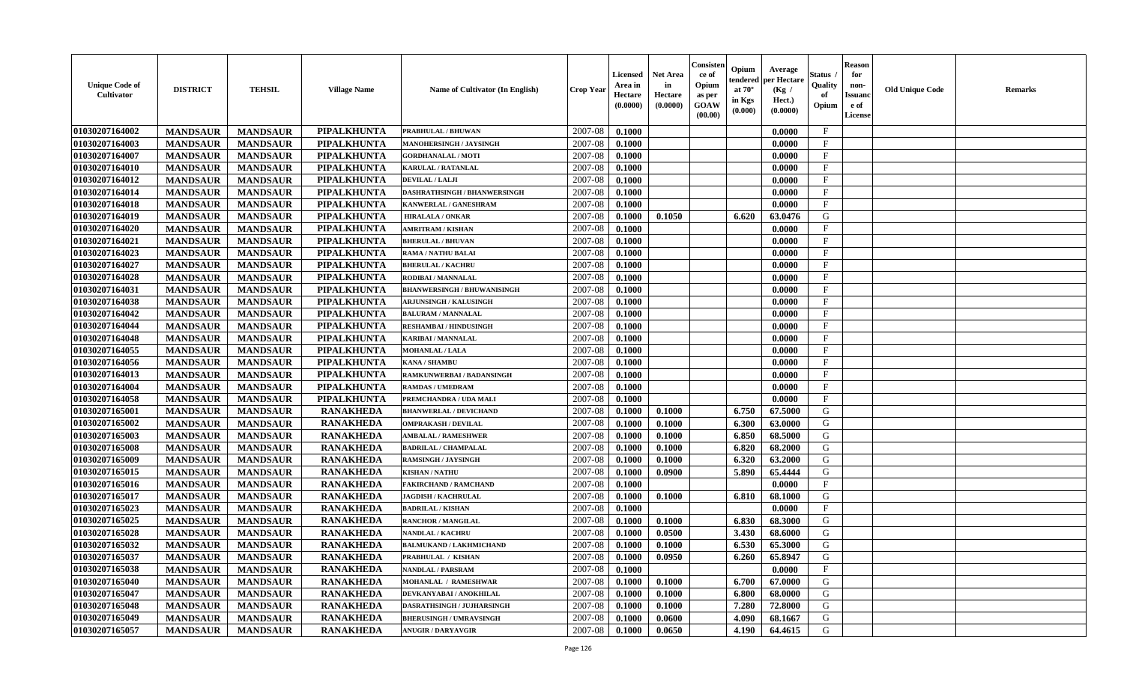| <b>Unique Code of</b><br><b>Cultivator</b> | <b>DISTRICT</b> | <b>TEHSIL</b>   | <b>Village Name</b> | <b>Name of Cultivator (In English)</b> | <b>Crop Year</b> | <b>Licensed</b><br>Area in<br>Hectare<br>(0.0000) | <b>Net Area</b><br>in<br>Hectare<br>(0.0000) | Consister<br>ce of<br>Opium<br>as per<br><b>GOAW</b><br>(00.00) | Opium<br>endered<br>at $70^\circ$<br>in Kgs<br>$(\mathbf{0.000})$ | Average<br>per Hectare<br>(Kg /<br>Hect.)<br>(0.0000) | Status<br>Quality<br>of<br>Opium | Reason<br>for<br>non-<br>Issuan<br>e of<br>License | <b>Old Unique Code</b> | <b>Remarks</b> |
|--------------------------------------------|-----------------|-----------------|---------------------|----------------------------------------|------------------|---------------------------------------------------|----------------------------------------------|-----------------------------------------------------------------|-------------------------------------------------------------------|-------------------------------------------------------|----------------------------------|----------------------------------------------------|------------------------|----------------|
| 01030207164002                             | <b>MANDSAUR</b> | <b>MANDSAUR</b> | PIPALKHUNTA         | PRABHULAL / BHUWAN                     | 2007-08          | 0.1000                                            |                                              |                                                                 |                                                                   | 0.0000                                                | $\mathbf{F}$                     |                                                    |                        |                |
| 01030207164003                             | <b>MANDSAUR</b> | <b>MANDSAUR</b> | <b>PIPALKHUNTA</b>  | MANOHERSINGH / JAYSINGH                | 2007-08          | 0.1000                                            |                                              |                                                                 |                                                                   | 0.0000                                                | $\mathbf{F}$                     |                                                    |                        |                |
| 01030207164007                             | <b>MANDSAUR</b> | <b>MANDSAUR</b> | PIPALKHUNTA         | <b>GORDHANALAL / MOTI</b>              | 2007-08          | 0.1000                                            |                                              |                                                                 |                                                                   | 0.0000                                                | $\mathbf{F}$                     |                                                    |                        |                |
| 01030207164010                             | <b>MANDSAUR</b> | <b>MANDSAUR</b> | <b>PIPALKHUNTA</b>  | KARULAL / RATANLAL                     | 2007-08          | 0.1000                                            |                                              |                                                                 |                                                                   | 0.0000                                                | $\mathbf{F}$                     |                                                    |                        |                |
| 01030207164012                             | <b>MANDSAUR</b> | <b>MANDSAUR</b> | <b>PIPALKHUNTA</b>  | DEVILAL / LALJI                        | 2007-08          | 0.1000                                            |                                              |                                                                 |                                                                   | 0.0000                                                | $_{\rm F}$                       |                                                    |                        |                |
| 01030207164014                             | <b>MANDSAUR</b> | <b>MANDSAUR</b> | <b>PIPALKHUNTA</b>  | <b>DASHRATHSINGH / BHANWERSINGH</b>    | 2007-08          | 0.1000                                            |                                              |                                                                 |                                                                   | 0.0000                                                | $\mathbf{F}$                     |                                                    |                        |                |
| 01030207164018                             | <b>MANDSAUR</b> | <b>MANDSAUR</b> | PIPALKHUNTA         | KANWERLAL / GANESHRAM                  | 2007-08          | 0.1000                                            |                                              |                                                                 |                                                                   | 0.0000                                                | $\mathbf{F}$                     |                                                    |                        |                |
| 01030207164019                             | <b>MANDSAUR</b> | <b>MANDSAUR</b> | <b>PIPALKHUNTA</b>  | <b>HIRALALA / ONKAR</b>                | 2007-08          | 0.1000                                            | 0.1050                                       |                                                                 | 6.620                                                             | 63.0476                                               | G                                |                                                    |                        |                |
| 01030207164020                             | <b>MANDSAUR</b> | <b>MANDSAUR</b> | <b>PIPALKHUNTA</b>  | <b>AMRITRAM / KISHAN</b>               | 2007-08          | 0.1000                                            |                                              |                                                                 |                                                                   | 0.0000                                                | $_{\rm F}$                       |                                                    |                        |                |
| 01030207164021                             | <b>MANDSAUR</b> | <b>MANDSAUR</b> | PIPALKHUNTA         | <b>BHERULAL / BHUVAN</b>               | 2007-08          | 0.1000                                            |                                              |                                                                 |                                                                   | 0.0000                                                | $_{\rm F}$                       |                                                    |                        |                |
| 01030207164023                             | <b>MANDSAUR</b> | <b>MANDSAUR</b> | <b>PIPALKHUNTA</b>  | RAMA / NATHU BALAI                     | 2007-08          | 0.1000                                            |                                              |                                                                 |                                                                   | 0.0000                                                | $\mathbf{F}$                     |                                                    |                        |                |
| 01030207164027                             | <b>MANDSAUR</b> | <b>MANDSAUR</b> | PIPALKHUNTA         | <b>BHERULAL / KACHRU</b>               | 2007-08          | 0.1000                                            |                                              |                                                                 |                                                                   | 0.0000                                                | $_{\rm F}$                       |                                                    |                        |                |
| 01030207164028                             | <b>MANDSAUR</b> | <b>MANDSAUR</b> | <b>PIPALKHUNTA</b>  | RODIBAI / MANNALAL                     | 2007-08          | 0.1000                                            |                                              |                                                                 |                                                                   | 0.0000                                                | $\mathbf{F}$                     |                                                    |                        |                |
| 01030207164031                             | <b>MANDSAUR</b> | <b>MANDSAUR</b> | <b>PIPALKHUNTA</b>  | <b>BHANWERSINGH / BHUWANISINGH</b>     | 2007-08          | 0.1000                                            |                                              |                                                                 |                                                                   | 0.0000                                                | $\mathbf{F}$                     |                                                    |                        |                |
| 01030207164038                             | <b>MANDSAUR</b> | <b>MANDSAUR</b> | <b>PIPALKHUNTA</b>  | <b>ARJUNSINGH / KALUSINGH</b>          | 2007-08          | 0.1000                                            |                                              |                                                                 |                                                                   | 0.0000                                                | $\mathbf{F}$                     |                                                    |                        |                |
| 01030207164042                             | <b>MANDSAUR</b> | <b>MANDSAUR</b> | <b>PIPALKHUNTA</b>  | <b>BALURAM / MANNALAL</b>              | 2007-08          | 0.1000                                            |                                              |                                                                 |                                                                   | 0.0000                                                | F                                |                                                    |                        |                |
| 01030207164044                             | <b>MANDSAUR</b> | <b>MANDSAUR</b> | <b>PIPALKHUNTA</b>  | <b>RESHAMBAI/HINDUSINGH</b>            | 2007-08          | 0.1000                                            |                                              |                                                                 |                                                                   | 0.0000                                                | $\mathbf{F}$                     |                                                    |                        |                |
| 01030207164048                             | <b>MANDSAUR</b> | <b>MANDSAUR</b> | PIPALKHUNTA         | <b>KARIBAI/MANNALAL</b>                | 2007-08          | 0.1000                                            |                                              |                                                                 |                                                                   | 0.0000                                                | $\mathbf F$                      |                                                    |                        |                |
| 01030207164055                             | <b>MANDSAUR</b> | <b>MANDSAUR</b> | <b>PIPALKHUNTA</b>  | <b>MOHANLAL / LALA</b>                 | 2007-08          | 0.1000                                            |                                              |                                                                 |                                                                   | 0.0000                                                | $_{\rm F}$                       |                                                    |                        |                |
| 01030207164056                             | <b>MANDSAUR</b> | <b>MANDSAUR</b> | PIPALKHUNTA         | <b>KANA / SHAMBU</b>                   | 2007-08          | 0.1000                                            |                                              |                                                                 |                                                                   | 0.0000                                                | $_{\rm F}$                       |                                                    |                        |                |
| 01030207164013                             | <b>MANDSAUR</b> | <b>MANDSAUR</b> | PIPALKHUNTA         | <b>RAMKUNWERBAI/BADANSINGH</b>         | 2007-08          | 0.1000                                            |                                              |                                                                 |                                                                   | 0.0000                                                | F                                |                                                    |                        |                |
| 01030207164004                             | <b>MANDSAUR</b> | <b>MANDSAUR</b> | <b>PIPALKHUNTA</b>  | <b>RAMDAS / UMEDRAM</b>                | 2007-08          | 0.1000                                            |                                              |                                                                 |                                                                   | 0.0000                                                | $\mathbf{F}$                     |                                                    |                        |                |
| 01030207164058                             | <b>MANDSAUR</b> | <b>MANDSAUR</b> | <b>PIPALKHUNTA</b>  | PREMCHANDRA / UDA MALI                 | 2007-08          | 0.1000                                            |                                              |                                                                 |                                                                   | 0.0000                                                | F.                               |                                                    |                        |                |
| 01030207165001                             | <b>MANDSAUR</b> | <b>MANDSAUR</b> | <b>RANAKHEDA</b>    | <b>BHANWERLAL / DEVICHAND</b>          | 2007-08          | 0.1000                                            | 0.1000                                       |                                                                 | 6.750                                                             | 67.5000                                               | G                                |                                                    |                        |                |
| 01030207165002                             | <b>MANDSAUR</b> | <b>MANDSAUR</b> | <b>RANAKHEDA</b>    | <b>OMPRAKASH / DEVILAL</b>             | 2007-08          | 0.1000                                            | 0.1000                                       |                                                                 | 6.300                                                             | 63.0000                                               | G                                |                                                    |                        |                |
| 01030207165003                             | <b>MANDSAUR</b> | <b>MANDSAUR</b> | <b>RANAKHEDA</b>    | <b>AMBALAL / RAMESHWER</b>             | 2007-08          | 0.1000                                            | 0.1000                                       |                                                                 | 6.850                                                             | 68.5000                                               | G                                |                                                    |                        |                |
| 01030207165008                             | <b>MANDSAUR</b> | <b>MANDSAUR</b> | <b>RANAKHEDA</b>    | <b>BADRILAL / CHAMPALAL</b>            | 2007-08          | 0.1000                                            | 0.1000                                       |                                                                 | 6.820                                                             | 68.2000                                               | G                                |                                                    |                        |                |
| 01030207165009                             | <b>MANDSAUR</b> | <b>MANDSAUR</b> | <b>RANAKHEDA</b>    | <b>RAMSINGH / JAYSINGH</b>             | 2007-08          | 0.1000                                            | 0.1000                                       |                                                                 | 6.320                                                             | 63.2000                                               | G                                |                                                    |                        |                |
| 01030207165015                             | <b>MANDSAUR</b> | <b>MANDSAUR</b> | <b>RANAKHEDA</b>    | <b>KISHAN / NATHU</b>                  | 2007-08          | 0.1000                                            | 0.0900                                       |                                                                 | 5.890                                                             | 65.4444                                               | G                                |                                                    |                        |                |
| 01030207165016                             | <b>MANDSAUR</b> | <b>MANDSAUR</b> | <b>RANAKHEDA</b>    | <b>FAKIRCHAND / RAMCHAND</b>           | 2007-08          | 0.1000                                            |                                              |                                                                 |                                                                   | 0.0000                                                | $\mathbf{F}$                     |                                                    |                        |                |
| 01030207165017                             | <b>MANDSAUR</b> | <b>MANDSAUR</b> | <b>RANAKHEDA</b>    | <b>JAGDISH / KACHRULAL</b>             | 2007-08          | 0.1000                                            | 0.1000                                       |                                                                 | 6.810                                                             | 68.1000                                               | G                                |                                                    |                        |                |
| 01030207165023                             | <b>MANDSAUR</b> | <b>MANDSAUR</b> | <b>RANAKHEDA</b>    | <b>BADRILAL / KISHAN</b>               | 2007-08          | 0.1000                                            |                                              |                                                                 |                                                                   | 0.0000                                                | $\mathbf{F}$                     |                                                    |                        |                |
| 01030207165025                             | <b>MANDSAUR</b> | <b>MANDSAUR</b> | <b>RANAKHEDA</b>    | <b>RANCHOR / MANGILAL</b>              | 2007-08          | 0.1000                                            | 0.1000                                       |                                                                 | 6.830                                                             | 68.3000                                               | G                                |                                                    |                        |                |
| 01030207165028                             | <b>MANDSAUR</b> | <b>MANDSAUR</b> | <b>RANAKHEDA</b>    | NANDLAL / KACHRU                       | 2007-08          | 0.1000                                            | 0.0500                                       |                                                                 | 3.430                                                             | 68.6000                                               | G                                |                                                    |                        |                |
| 01030207165032                             | <b>MANDSAUR</b> | <b>MANDSAUR</b> | <b>RANAKHEDA</b>    | <b>BALMUKAND / LAKHMICHAND</b>         | 2007-08          | 0.1000                                            | 0.1000                                       |                                                                 | 6.530                                                             | 65.3000                                               | G                                |                                                    |                        |                |
| 01030207165037                             | <b>MANDSAUR</b> | <b>MANDSAUR</b> | <b>RANAKHEDA</b>    | <b>PRABHULAL / KISHAN</b>              | $2007-08$ 0.1000 |                                                   | 0.0950                                       |                                                                 | 6.260                                                             | 65.8947                                               | G                                |                                                    |                        |                |
| 01030207165038                             | <b>MANDSAUR</b> | <b>MANDSAUR</b> | <b>RANAKHEDA</b>    | <b>NANDLAL / PARSRAM</b>               | 2007-08          | 0.1000                                            |                                              |                                                                 |                                                                   | 0.0000                                                | $_{\rm F}$                       |                                                    |                        |                |
| 01030207165040                             | <b>MANDSAUR</b> | <b>MANDSAUR</b> | <b>RANAKHEDA</b>    | MOHANLAL / RAMESHWAR                   | 2007-08          | 0.1000                                            | 0.1000                                       |                                                                 | 6.700                                                             | 67.0000                                               | G                                |                                                    |                        |                |
| 01030207165047                             | <b>MANDSAUR</b> | <b>MANDSAUR</b> | <b>RANAKHEDA</b>    | DEVKANYABAI / ANOKHILAL                | 2007-08          | 0.1000                                            | 0.1000                                       |                                                                 | 6.800                                                             | 68.0000                                               | G                                |                                                    |                        |                |
| 01030207165048                             | <b>MANDSAUR</b> | <b>MANDSAUR</b> | <b>RANAKHEDA</b>    | DASRATHSINGH / JUJHARSINGH             | 2007-08          | 0.1000                                            | 0.1000                                       |                                                                 | 7.280                                                             | 72.8000                                               | G                                |                                                    |                        |                |
| 01030207165049                             | <b>MANDSAUR</b> | <b>MANDSAUR</b> | <b>RANAKHEDA</b>    | <b>BHERUSINGH / UMRAVSINGH</b>         | 2007-08          | 0.1000                                            | 0.0600                                       |                                                                 | 4.090                                                             | 68.1667                                               | G                                |                                                    |                        |                |
| 01030207165057                             | <b>MANDSAUR</b> | <b>MANDSAUR</b> | <b>RANAKHEDA</b>    | <b>ANUGIR / DARYAVGIR</b>              | 2007-08          | 0.1000                                            | 0.0650                                       |                                                                 | 4.190                                                             | 64.4615                                               | G                                |                                                    |                        |                |
|                                            |                 |                 |                     |                                        |                  |                                                   |                                              |                                                                 |                                                                   |                                                       |                                  |                                                    |                        |                |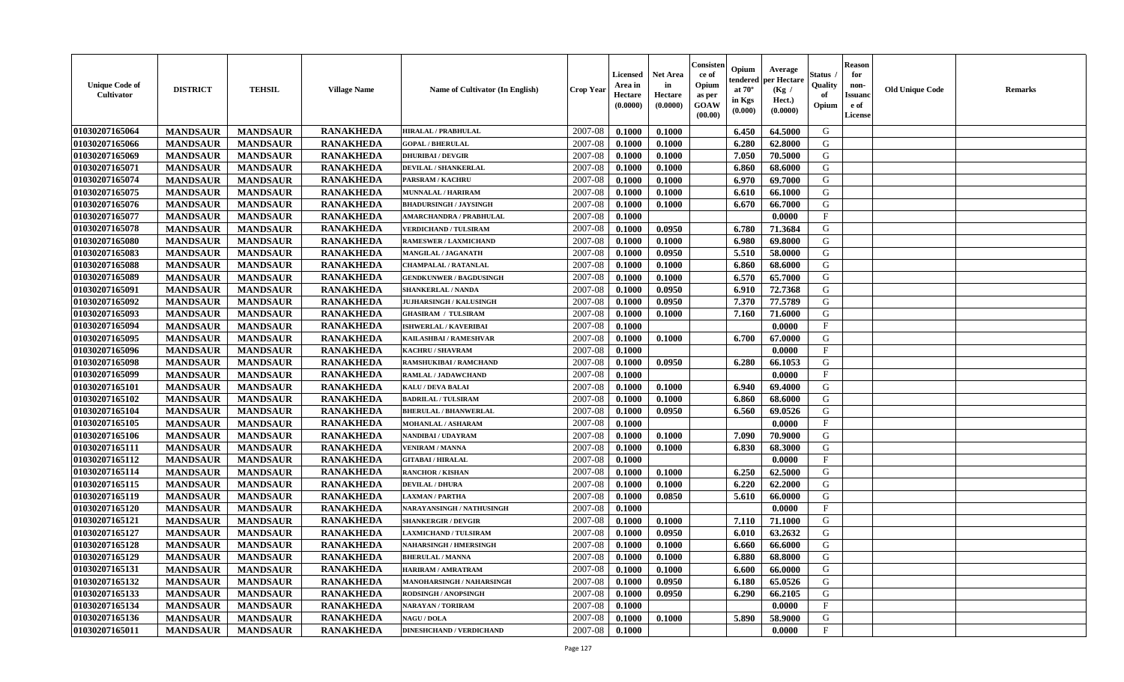| <b>Unique Code of</b><br><b>Cultivator</b> | <b>DISTRICT</b> | <b>TEHSIL</b>   | <b>Village Name</b> | <b>Name of Cultivator (In English)</b> | <b>Crop Year</b> | <b>Licensed</b><br>Area in<br>Hectare<br>(0.0000) | <b>Net Area</b><br>in<br>Hectare<br>(0.0000) | Consisteı<br>ce of<br>Opium<br>as per<br><b>GOAW</b><br>(00.00) | Opium<br>endered<br>at $70^\circ$<br>in Kgs<br>$(\mathbf{0.000})$ | Average<br>per Hectare<br>(Kg /<br>Hect.)<br>(0.0000) | Status<br>Quality<br>of<br>Opium | Reason<br>for<br>non-<br>Issuan<br>e of<br>License | <b>Old Unique Code</b> | <b>Remarks</b> |
|--------------------------------------------|-----------------|-----------------|---------------------|----------------------------------------|------------------|---------------------------------------------------|----------------------------------------------|-----------------------------------------------------------------|-------------------------------------------------------------------|-------------------------------------------------------|----------------------------------|----------------------------------------------------|------------------------|----------------|
| 01030207165064                             | <b>MANDSAUR</b> | <b>MANDSAUR</b> | <b>RANAKHEDA</b>    | <b>HIRALAL / PRABHULAL</b>             | 2007-08          | 0.1000                                            | 0.1000                                       |                                                                 | 6.450                                                             | 64.5000                                               | G                                |                                                    |                        |                |
| 01030207165066                             | <b>MANDSAUR</b> | <b>MANDSAUR</b> | <b>RANAKHEDA</b>    | <b>GOPAL / BHERULAL</b>                | 2007-08          | 0.1000                                            | 0.1000                                       |                                                                 | 6.280                                                             | 62.8000                                               | G                                |                                                    |                        |                |
| 01030207165069                             | <b>MANDSAUR</b> | <b>MANDSAUR</b> | <b>RANAKHEDA</b>    | <b>DHURIBAI / DEVGIR</b>               | 2007-08          | 0.1000                                            | 0.1000                                       |                                                                 | 7.050                                                             | 70.5000                                               | G                                |                                                    |                        |                |
| 01030207165071                             | <b>MANDSAUR</b> | <b>MANDSAUR</b> | <b>RANAKHEDA</b>    | DEVILAL / SHANKERLAL                   | 2007-08          | 0.1000                                            | 0.1000                                       |                                                                 | 6.860                                                             | 68.6000                                               | G                                |                                                    |                        |                |
| 01030207165074                             | <b>MANDSAUR</b> | <b>MANDSAUR</b> | <b>RANAKHEDA</b>    | <b>PARSRAM / KACHRU</b>                | 2007-08          | 0.1000                                            | 0.1000                                       |                                                                 | 6.970                                                             | 69.7000                                               | G                                |                                                    |                        |                |
| 01030207165075                             | <b>MANDSAUR</b> | <b>MANDSAUR</b> | <b>RANAKHEDA</b>    | <b>MUNNALAL / HARIRAM</b>              | 2007-08          | 0.1000                                            | 0.1000                                       |                                                                 | 6.610                                                             | 66.1000                                               | G                                |                                                    |                        |                |
| 01030207165076                             | <b>MANDSAUR</b> | <b>MANDSAUR</b> | <b>RANAKHEDA</b>    | <b>BHADURSINGH / JAYSINGH</b>          | 2007-08          | 0.1000                                            | 0.1000                                       |                                                                 | 6.670                                                             | 66.7000                                               | G                                |                                                    |                        |                |
| 01030207165077                             | <b>MANDSAUR</b> | <b>MANDSAUR</b> | <b>RANAKHEDA</b>    | <b>AMARCHANDRA / PRABHULAL</b>         | 2007-08          | 0.1000                                            |                                              |                                                                 |                                                                   | 0.0000                                                | $\mathbf{F}$                     |                                                    |                        |                |
| 01030207165078                             | <b>MANDSAUR</b> | <b>MANDSAUR</b> | <b>RANAKHEDA</b>    | <b>VERDICHAND / TULSIRAM</b>           | 2007-08          | 0.1000                                            | 0.0950                                       |                                                                 | 6.780                                                             | 71.3684                                               | G                                |                                                    |                        |                |
| 01030207165080                             | <b>MANDSAUR</b> | <b>MANDSAUR</b> | <b>RANAKHEDA</b>    | <b>RAMESWER / LAXMICHAND</b>           | 2007-08          | 0.1000                                            | 0.1000                                       |                                                                 | 6.980                                                             | 69.8000                                               | G                                |                                                    |                        |                |
| 01030207165083                             | <b>MANDSAUR</b> | <b>MANDSAUR</b> | <b>RANAKHEDA</b>    | MANGILAL / JAGANATH                    | 2007-08          | 0.1000                                            | 0.0950                                       |                                                                 | 5.510                                                             | 58.0000                                               | G                                |                                                    |                        |                |
| 01030207165088                             | <b>MANDSAUR</b> | <b>MANDSAUR</b> | <b>RANAKHEDA</b>    | <b>CHAMPALAL / RATANLAL</b>            | 2007-08          | 0.1000                                            | 0.1000                                       |                                                                 | 6.860                                                             | 68.6000                                               | G                                |                                                    |                        |                |
| 01030207165089                             | <b>MANDSAUR</b> | <b>MANDSAUR</b> | <b>RANAKHEDA</b>    | <b>GENDKUNWER / BAGDUSINGH</b>         | 2007-08          | 0.1000                                            | 0.1000                                       |                                                                 | 6.570                                                             | 65.7000                                               | G                                |                                                    |                        |                |
| 01030207165091                             | <b>MANDSAUR</b> | <b>MANDSAUR</b> | <b>RANAKHEDA</b>    | <b>SHANKERLAL / NANDA</b>              | 2007-08          | 0.1000                                            | 0.0950                                       |                                                                 | 6.910                                                             | 72.7368                                               | G                                |                                                    |                        |                |
| 01030207165092                             | <b>MANDSAUR</b> | <b>MANDSAUR</b> | <b>RANAKHEDA</b>    | <b>JUJHARSINGH / KALUSINGH</b>         | 2007-08          | 0.1000                                            | 0.0950                                       |                                                                 | 7.370                                                             | 77.5789                                               | G                                |                                                    |                        |                |
| 01030207165093                             | <b>MANDSAUR</b> | <b>MANDSAUR</b> | <b>RANAKHEDA</b>    | <b>GHASIRAM / TULSIRAM</b>             | 2007-08          | 0.1000                                            | 0.1000                                       |                                                                 | 7.160                                                             | 71.6000                                               | G                                |                                                    |                        |                |
| 01030207165094                             | <b>MANDSAUR</b> | <b>MANDSAUR</b> | <b>RANAKHEDA</b>    | <b>ISHWERLAL / KAVERIBAI</b>           | 2007-08          | 0.1000                                            |                                              |                                                                 |                                                                   | 0.0000                                                | $\mathbf{F}$                     |                                                    |                        |                |
| 01030207165095                             | <b>MANDSAUR</b> | <b>MANDSAUR</b> | <b>RANAKHEDA</b>    | KAILASHBAI / RAMESHVAR                 | 2007-08          | 0.1000                                            | 0.1000                                       |                                                                 | 6.700                                                             | 67.0000                                               | G                                |                                                    |                        |                |
| 01030207165096                             | <b>MANDSAUR</b> | <b>MANDSAUR</b> | <b>RANAKHEDA</b>    | KACHRU / SHAVRAM                       | 2007-08          | 0.1000                                            |                                              |                                                                 |                                                                   | 0.0000                                                | $_{\rm F}$                       |                                                    |                        |                |
| 01030207165098                             | <b>MANDSAUR</b> | <b>MANDSAUR</b> | <b>RANAKHEDA</b>    | RAMSHUKIBAI / RAMCHAND                 | 2007-08          | 0.1000                                            | 0.0950                                       |                                                                 | 6.280                                                             | 66.1053                                               | G                                |                                                    |                        |                |
| 01030207165099                             | <b>MANDSAUR</b> | <b>MANDSAUR</b> | <b>RANAKHEDA</b>    | RAMLAL / JADAWCHAND                    | 2007-08          | 0.1000                                            |                                              |                                                                 |                                                                   | 0.0000                                                | F                                |                                                    |                        |                |
| 01030207165101                             | <b>MANDSAUR</b> | <b>MANDSAUR</b> | <b>RANAKHEDA</b>    | <b>KALU / DEVA BALAI</b>               | 2007-08          | 0.1000                                            | 0.1000                                       |                                                                 | 6.940                                                             | 69.4000                                               | G                                |                                                    |                        |                |
| 01030207165102                             | <b>MANDSAUR</b> | <b>MANDSAUR</b> | <b>RANAKHEDA</b>    | <b>BADRILAL / TULSIRAM</b>             | 2007-08          | 0.1000                                            | 0.1000                                       |                                                                 | 6.860                                                             | 68.6000                                               | G                                |                                                    |                        |                |
| 01030207165104                             | <b>MANDSAUR</b> | <b>MANDSAUR</b> | <b>RANAKHEDA</b>    | <b>BHERULAL / BHANWERLAL</b>           | 2007-08          | 0.1000                                            | 0.0950                                       |                                                                 | 6.560                                                             | 69.0526                                               | G                                |                                                    |                        |                |
| 01030207165105                             | <b>MANDSAUR</b> | <b>MANDSAUR</b> | <b>RANAKHEDA</b>    | <b>MOHANLAL / ASHARAM</b>              | 2007-08          | 0.1000                                            |                                              |                                                                 |                                                                   | 0.0000                                                | $\mathbf{F}$                     |                                                    |                        |                |
| 01030207165106                             | <b>MANDSAUR</b> | <b>MANDSAUR</b> | <b>RANAKHEDA</b>    | NANDIBAI / UDAYRAM                     | 2007-08          | 0.1000                                            | 0.1000                                       |                                                                 | 7.090                                                             | 70.9000                                               | G                                |                                                    |                        |                |
| 01030207165111                             | <b>MANDSAUR</b> | <b>MANDSAUR</b> | <b>RANAKHEDA</b>    | <b>VENIRAM / MANNA</b>                 | 2007-08          | 0.1000                                            | 0.1000                                       |                                                                 | 6.830                                                             | 68.3000                                               | G                                |                                                    |                        |                |
| 01030207165112                             | <b>MANDSAUR</b> | <b>MANDSAUR</b> | <b>RANAKHEDA</b>    | <b>GITABAI/HIRALAL</b>                 | 2007-08          | 0.1000                                            |                                              |                                                                 |                                                                   | 0.0000                                                | $\mathbf{F}$                     |                                                    |                        |                |
| 01030207165114                             | <b>MANDSAUR</b> | <b>MANDSAUR</b> | <b>RANAKHEDA</b>    | <b>RANCHOR / KISHAN</b>                | 2007-08          | 0.1000                                            | 0.1000                                       |                                                                 | 6.250                                                             | 62.5000                                               | G                                |                                                    |                        |                |
| 01030207165115                             | <b>MANDSAUR</b> | <b>MANDSAUR</b> | <b>RANAKHEDA</b>    | <b>DEVILAL / DHURA</b>                 | 2007-08          | 0.1000                                            | 0.1000                                       |                                                                 | 6.220                                                             | 62.2000                                               | G                                |                                                    |                        |                |
| 01030207165119                             | <b>MANDSAUR</b> | <b>MANDSAUR</b> | <b>RANAKHEDA</b>    | <b>LAXMAN / PARTHA</b>                 | 2007-08          | 0.1000                                            | 0.0850                                       |                                                                 | 5.610                                                             | 66.0000                                               | G                                |                                                    |                        |                |
| 01030207165120                             | <b>MANDSAUR</b> | <b>MANDSAUR</b> | <b>RANAKHEDA</b>    | NARAYANSINGH / NATHUSINGH              | 2007-08          | 0.1000                                            |                                              |                                                                 |                                                                   | 0.0000                                                | $\mathbf{F}$                     |                                                    |                        |                |
| 01030207165121                             | <b>MANDSAUR</b> | <b>MANDSAUR</b> | <b>RANAKHEDA</b>    | <b>SHANKERGIR / DEVGIR</b>             | 2007-08          | 0.1000                                            | 0.1000                                       |                                                                 | 7.110                                                             | 71.1000                                               | G                                |                                                    |                        |                |
| 01030207165127                             | <b>MANDSAUR</b> | <b>MANDSAUR</b> | <b>RANAKHEDA</b>    | <b>LAXMICHAND / TULSIRAM</b>           | 2007-08          | 0.1000                                            | 0.0950                                       |                                                                 | 6.010                                                             | 63.2632                                               | G                                |                                                    |                        |                |
| 01030207165128                             | <b>MANDSAUR</b> | <b>MANDSAUR</b> | <b>RANAKHEDA</b>    | NAHARSINGH / HMERSINGH                 | 2007-08          | 0.1000                                            | 0.1000                                       |                                                                 | 6.660                                                             | 66.6000                                               | G                                |                                                    |                        |                |
| <b>01030207165129</b>                      | <b>MANDSAUR</b> | MANDSAUR        | <b>RANAKHEDA</b>    | <b>BHERULAL / MANNA</b>                | $2007-08$ 0.1000 |                                                   | 0.1000                                       |                                                                 | $6.880$                                                           | 68.8000                                               | G                                |                                                    |                        |                |
| 01030207165131                             | <b>MANDSAUR</b> | <b>MANDSAUR</b> | <b>RANAKHEDA</b>    | <b>HARIRAM / AMRATRAM</b>              | 2007-08          | 0.1000                                            | 0.1000                                       |                                                                 | 6.600                                                             | 66.0000                                               | G                                |                                                    |                        |                |
| 01030207165132                             | <b>MANDSAUR</b> | <b>MANDSAUR</b> | <b>RANAKHEDA</b>    | MANOHARSINGH / NAHARSINGH              | 2007-08          | 0.1000                                            | 0.0950                                       |                                                                 | 6.180                                                             | 65.0526                                               | G                                |                                                    |                        |                |
| 01030207165133                             | <b>MANDSAUR</b> | <b>MANDSAUR</b> | <b>RANAKHEDA</b>    | <b>RODSINGH / ANOPSINGH</b>            | 2007-08          | 0.1000                                            | 0.0950                                       |                                                                 | 6.290                                                             | 66.2105                                               | G                                |                                                    |                        |                |
| 01030207165134                             | <b>MANDSAUR</b> | <b>MANDSAUR</b> | <b>RANAKHEDA</b>    | <b>NARAYAN / TORIRAM</b>               | 2007-08          | 0.1000                                            |                                              |                                                                 |                                                                   | 0.0000                                                | $\mathbf{F}$                     |                                                    |                        |                |
| 01030207165136                             | <b>MANDSAUR</b> | <b>MANDSAUR</b> | <b>RANAKHEDA</b>    | <b>NAGU / DOLA</b>                     | 2007-08          | 0.1000                                            | 0.1000                                       |                                                                 | 5.890                                                             | 58.9000                                               | G                                |                                                    |                        |                |
| 01030207165011                             | <b>MANDSAUR</b> | <b>MANDSAUR</b> | <b>RANAKHEDA</b>    | <b>DINESHCHAND / VERDICHAND</b>        | 2007-08          | 0.1000                                            |                                              |                                                                 |                                                                   | 0.0000                                                | $\mathbf{F}$                     |                                                    |                        |                |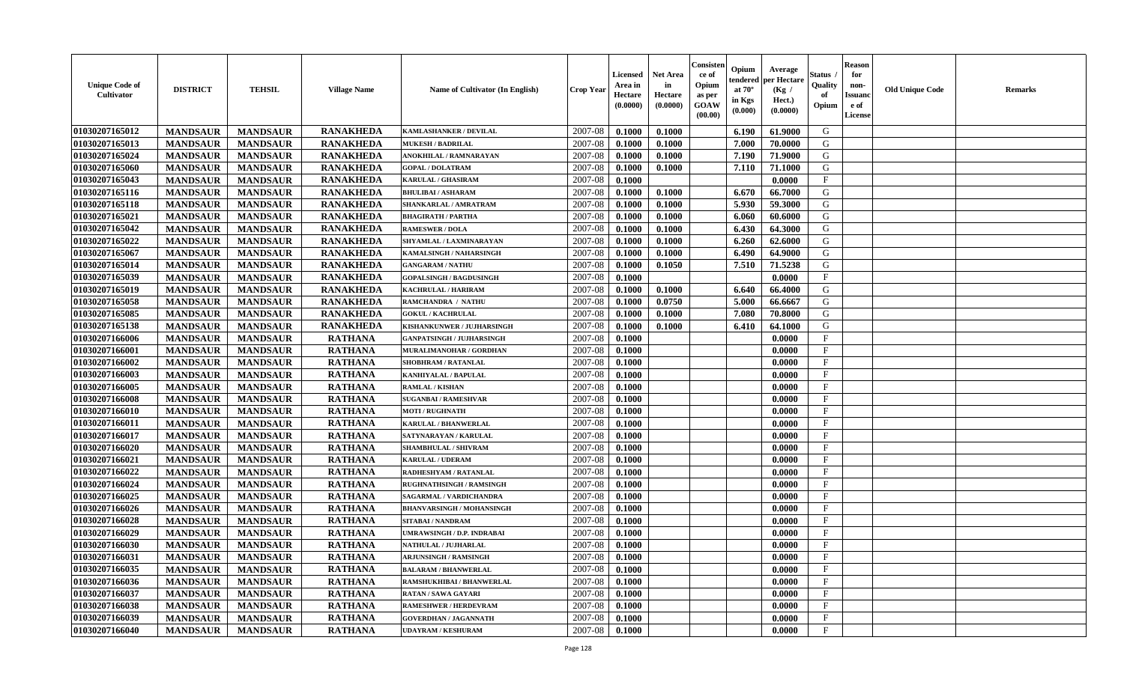| <b>Unique Code of</b><br>Cultivator | <b>DISTRICT</b> | <b>TEHSIL</b>   | <b>Village Name</b> | Name of Cultivator (In English)  | <b>Crop Year</b> | <b>Licensed</b><br>Area in<br>Hectare<br>(0.0000) | <b>Net Area</b><br>in<br>Hectare<br>(0.0000) | Consister<br>ce of<br>Opium<br>as per<br><b>GOAW</b><br>(00.00) | Opium<br>endered<br>at $70^\circ$<br>in Kgs<br>(0.000) | Average<br>per Hectare<br>(Kg /<br>Hect.)<br>(0.0000) | <b>Status</b><br>Quality<br>of<br>Opium | <b>Reason</b><br>for<br>non-<br><b>Issuand</b><br>e of<br>License | <b>Old Unique Code</b> | <b>Remarks</b> |
|-------------------------------------|-----------------|-----------------|---------------------|----------------------------------|------------------|---------------------------------------------------|----------------------------------------------|-----------------------------------------------------------------|--------------------------------------------------------|-------------------------------------------------------|-----------------------------------------|-------------------------------------------------------------------|------------------------|----------------|
| 01030207165012                      | <b>MANDSAUR</b> | <b>MANDSAUR</b> | <b>RANAKHEDA</b>    | <b>KAMLASHANKER / DEVILAL</b>    | 2007-08          | 0.1000                                            | 0.1000                                       |                                                                 | 6.190                                                  | 61.9000                                               | G                                       |                                                                   |                        |                |
| 01030207165013                      | <b>MANDSAUR</b> | <b>MANDSAUR</b> | <b>RANAKHEDA</b>    | <b>MUKESH / BADRILAL</b>         | 2007-08          | 0.1000                                            | 0.1000                                       |                                                                 | 7.000                                                  | 70.0000                                               | G                                       |                                                                   |                        |                |
| 01030207165024                      | <b>MANDSAUR</b> | <b>MANDSAUR</b> | <b>RANAKHEDA</b>    | ANOKHILAL / RAMNARAYAN           | 2007-08          | 0.1000                                            | 0.1000                                       |                                                                 | 7.190                                                  | 71.9000                                               | G                                       |                                                                   |                        |                |
| 01030207165060                      | <b>MANDSAUR</b> | <b>MANDSAUR</b> | <b>RANAKHEDA</b>    | <b>GOPAL / DOLATRAM</b>          | 2007-08          | 0.1000                                            | 0.1000                                       |                                                                 | 7.110                                                  | 71.1000                                               | G                                       |                                                                   |                        |                |
| 01030207165043                      | <b>MANDSAUR</b> | <b>MANDSAUR</b> | <b>RANAKHEDA</b>    | <b>KARULAL / GHASIRAM</b>        | 2007-08          | 0.1000                                            |                                              |                                                                 |                                                        | 0.0000                                                | $\mathbf{F}$                            |                                                                   |                        |                |
| 01030207165116                      | <b>MANDSAUR</b> | <b>MANDSAUR</b> | <b>RANAKHEDA</b>    | <b>BHULIBAI / ASHARAM</b>        | 2007-08          | 0.1000                                            | 0.1000                                       |                                                                 | 6.670                                                  | 66.7000                                               | G                                       |                                                                   |                        |                |
| 01030207165118                      | <b>MANDSAUR</b> | <b>MANDSAUR</b> | <b>RANAKHEDA</b>    | SHANKARLAL / AMRATRAM            | 2007-08          | 0.1000                                            | 0.1000                                       |                                                                 | 5.930                                                  | 59.3000                                               | G                                       |                                                                   |                        |                |
| 01030207165021                      | <b>MANDSAUR</b> | <b>MANDSAUR</b> | <b>RANAKHEDA</b>    | <b>BHAGIRATH / PARTHA</b>        | 2007-08          | 0.1000                                            | 0.1000                                       |                                                                 | 6.060                                                  | 60.6000                                               | G                                       |                                                                   |                        |                |
| 01030207165042                      | <b>MANDSAUR</b> | <b>MANDSAUR</b> | <b>RANAKHEDA</b>    | <b>RAMESWER / DOLA</b>           | 2007-08          | 0.1000                                            | 0.1000                                       |                                                                 | 6.430                                                  | 64.3000                                               | G                                       |                                                                   |                        |                |
| 01030207165022                      | <b>MANDSAUR</b> | <b>MANDSAUR</b> | <b>RANAKHEDA</b>    | SHYAMLAL / LAXMINARAYAN          | 2007-08          | 0.1000                                            | 0.1000                                       |                                                                 | 6.260                                                  | 62.6000                                               | G                                       |                                                                   |                        |                |
| 01030207165067                      | <b>MANDSAUR</b> | <b>MANDSAUR</b> | <b>RANAKHEDA</b>    | KAMALSINGH / NAHARSINGH          | 2007-08          | 0.1000                                            | 0.1000                                       |                                                                 | 6.490                                                  | 64.9000                                               | G                                       |                                                                   |                        |                |
| 01030207165014                      | <b>MANDSAUR</b> | <b>MANDSAUR</b> | <b>RANAKHEDA</b>    | <b>GANGARAM / NATHU</b>          | 2007-08          | 0.1000                                            | 0.1050                                       |                                                                 | 7.510                                                  | 71.5238                                               | G                                       |                                                                   |                        |                |
| 01030207165039                      | <b>MANDSAUR</b> | <b>MANDSAUR</b> | <b>RANAKHEDA</b>    | <b>GOPALSINGH / BAGDUSINGH</b>   | 2007-08          | 0.1000                                            |                                              |                                                                 |                                                        | 0.0000                                                | $\mathbf{F}$                            |                                                                   |                        |                |
| 01030207165019                      | <b>MANDSAUR</b> | <b>MANDSAUR</b> | <b>RANAKHEDA</b>    | <b>KACHRULAL / HARIRAM</b>       | 2007-08          | 0.1000                                            | 0.1000                                       |                                                                 | 6.640                                                  | 66.4000                                               | G                                       |                                                                   |                        |                |
| 01030207165058                      | <b>MANDSAUR</b> | <b>MANDSAUR</b> | <b>RANAKHEDA</b>    | RAMCHANDRA / NATHU               | 2007-08          | 0.1000                                            | 0.0750                                       |                                                                 | 5.000                                                  | 66.6667                                               | G                                       |                                                                   |                        |                |
| 01030207165085                      | <b>MANDSAUR</b> | <b>MANDSAUR</b> | <b>RANAKHEDA</b>    | <b>GOKUL / KACHRULAL</b>         | 2007-08          | 0.1000                                            | 0.1000                                       |                                                                 | 7.080                                                  | 70.8000                                               | G                                       |                                                                   |                        |                |
| 01030207165138                      | <b>MANDSAUR</b> | <b>MANDSAUR</b> | <b>RANAKHEDA</b>    | KISHANKUNWER / JUJHARSINGH       | 2007-08          | 0.1000                                            | 0.1000                                       |                                                                 | 6.410                                                  | 64.1000                                               | G                                       |                                                                   |                        |                |
| 01030207166006                      | <b>MANDSAUR</b> | <b>MANDSAUR</b> | <b>RATHANA</b>      | <b>GANPATSINGH / JUJHARSINGH</b> | 2007-08          | 0.1000                                            |                                              |                                                                 |                                                        | 0.0000                                                | $_{\rm F}$                              |                                                                   |                        |                |
| 01030207166001                      | <b>MANDSAUR</b> | <b>MANDSAUR</b> | <b>RATHANA</b>      | MURALIMANOHAR / GORDHAN          | 2007-08          | 0.1000                                            |                                              |                                                                 |                                                        | 0.0000                                                | $\mathbf F$                             |                                                                   |                        |                |
| 01030207166002                      | <b>MANDSAUR</b> | <b>MANDSAUR</b> | <b>RATHANA</b>      | <b>SHOBHRAM / RATANLAL</b>       | 2007-08          | 0.1000                                            |                                              |                                                                 |                                                        | 0.0000                                                | $\mathbf{F}$                            |                                                                   |                        |                |
| 01030207166003                      | <b>MANDSAUR</b> | <b>MANDSAUR</b> | <b>RATHANA</b>      | KANHIYALAL / BAPULAL             | 2007-08          | 0.1000                                            |                                              |                                                                 |                                                        | 0.0000                                                | $\mathbf{F}$                            |                                                                   |                        |                |
| 01030207166005                      | <b>MANDSAUR</b> | <b>MANDSAUR</b> | <b>RATHANA</b>      | <b>RAMLAL / KISHAN</b>           | 2007-08          | 0.1000                                            |                                              |                                                                 |                                                        | 0.0000                                                | $\mathbf{F}$                            |                                                                   |                        |                |
| 01030207166008                      | <b>MANDSAUR</b> | <b>MANDSAUR</b> | <b>RATHANA</b>      | <b>SUGANBAI/RAMESHVAR</b>        | 2007-08          | 0.1000                                            |                                              |                                                                 |                                                        | 0.0000                                                | $\mathbf{F}$                            |                                                                   |                        |                |
| 01030207166010                      | <b>MANDSAUR</b> | <b>MANDSAUR</b> | <b>RATHANA</b>      | <b>MOTI / RUGHNATH</b>           | 2007-08          | 0.1000                                            |                                              |                                                                 |                                                        | 0.0000                                                | $\mathbf{F}$                            |                                                                   |                        |                |
| 01030207166011                      | <b>MANDSAUR</b> | <b>MANDSAUR</b> | <b>RATHANA</b>      | <b>KARULAL / BHANWERLAL</b>      | 2007-08          | 0.1000                                            |                                              |                                                                 |                                                        | 0.0000                                                | $\mathbf F$                             |                                                                   |                        |                |
| 01030207166017                      | <b>MANDSAUR</b> | <b>MANDSAUR</b> | <b>RATHANA</b>      | SATYNARAYAN / KARULAL            | $2007 - 08$      | 0.1000                                            |                                              |                                                                 |                                                        | 0.0000                                                | $\mathbf{F}$                            |                                                                   |                        |                |
| 01030207166020                      | <b>MANDSAUR</b> | <b>MANDSAUR</b> | <b>RATHANA</b>      | SHAMBHULAL / SHIVRAM             | 2007-08          | 0.1000                                            |                                              |                                                                 |                                                        | 0.0000                                                | F                                       |                                                                   |                        |                |
| 01030207166021                      | <b>MANDSAUR</b> | <b>MANDSAUR</b> | <b>RATHANA</b>      | <b>KARULAL / UDERAM</b>          | 2007-08          | 0.1000                                            |                                              |                                                                 |                                                        | 0.0000                                                | F                                       |                                                                   |                        |                |
| 01030207166022                      | <b>MANDSAUR</b> | <b>MANDSAUR</b> | <b>RATHANA</b>      | RADHESHYAM / RATANLAL            | 2007-08          | 0.1000                                            |                                              |                                                                 |                                                        | 0.0000                                                | $\mathbf{F}$                            |                                                                   |                        |                |
| 01030207166024                      | <b>MANDSAUR</b> | <b>MANDSAUR</b> | <b>RATHANA</b>      | <b>RUGHNATHSINGH / RAMSINGH</b>  | 2007-08          | 0.1000                                            |                                              |                                                                 |                                                        | 0.0000                                                | $\mathbf{F}$                            |                                                                   |                        |                |
| 01030207166025                      | <b>MANDSAUR</b> | <b>MANDSAUR</b> | <b>RATHANA</b>      | SAGARMAL / VARDICHANDRA          | 2007-08          | 0.1000                                            |                                              |                                                                 |                                                        | 0.0000                                                | $\mathbf{F}$                            |                                                                   |                        |                |
| 01030207166026                      | <b>MANDSAUR</b> | <b>MANDSAUR</b> | <b>RATHANA</b>      | <b>BHANVARSINGH / MOHANSINGH</b> | 2007-08          | 0.1000                                            |                                              |                                                                 |                                                        | 0.0000                                                | $\mathbf F$                             |                                                                   |                        |                |
| 01030207166028                      | <b>MANDSAUR</b> | <b>MANDSAUR</b> | <b>RATHANA</b>      | SITABAI / NANDRAM                | 2007-08          | 0.1000                                            |                                              |                                                                 |                                                        | 0.0000                                                | $\mathbf{F}$                            |                                                                   |                        |                |
| 01030207166029                      | <b>MANDSAUR</b> | <b>MANDSAUR</b> | <b>RATHANA</b>      | UMRAWSINGH / D.P. INDRABAI       | 2007-08          | 0.1000                                            |                                              |                                                                 |                                                        | 0.0000                                                | $\mathbf{F}$                            |                                                                   |                        |                |
| 01030207166030                      | <b>MANDSAUR</b> | <b>MANDSAUR</b> | <b>RATHANA</b>      | NATHULAL / JUJHARLAL             | 2007-08          | 0.1000                                            |                                              |                                                                 |                                                        | 0.0000                                                | $\mathbf F$                             |                                                                   |                        |                |
| 01030207166031                      | <b>MANDSAUR</b> | <b>MANDSAUR</b> | <b>RATHANA</b>      | <b>ARJUNSINGH / RAMSINGH</b>     | 2007-08          | 0.1000                                            |                                              |                                                                 |                                                        | 0.0000                                                | F                                       |                                                                   |                        |                |
| 01030207166035                      | <b>MANDSAUR</b> | <b>MANDSAUR</b> | <b>RATHANA</b>      | <b>BALARAM / BHANWERLAL</b>      | 2007-08          | 0.1000                                            |                                              |                                                                 |                                                        | 0.0000                                                | $\mathbf{F}$                            |                                                                   |                        |                |
| 01030207166036                      | <b>MANDSAUR</b> | <b>MANDSAUR</b> | <b>RATHANA</b>      | RAMSHUKHIBAI / BHANWERLAL        | 2007-08          | 0.1000                                            |                                              |                                                                 |                                                        | 0.0000                                                | $\mathbf{F}$                            |                                                                   |                        |                |
| 01030207166037                      | <b>MANDSAUR</b> | <b>MANDSAUR</b> | <b>RATHANA</b>      | <b>RATAN / SAWA GAYARI</b>       | 2007-08          | 0.1000                                            |                                              |                                                                 |                                                        | 0.0000                                                | $\mathbf{F}$                            |                                                                   |                        |                |
| 01030207166038                      | <b>MANDSAUR</b> | <b>MANDSAUR</b> | <b>RATHANA</b>      | RAMESHWER / HERDEVRAM            | 2007-08          | 0.1000                                            |                                              |                                                                 |                                                        | 0.0000                                                | F                                       |                                                                   |                        |                |
| 01030207166039                      | <b>MANDSAUR</b> | <b>MANDSAUR</b> | <b>RATHANA</b>      | <b>GOVERDHAN / JAGANNATH</b>     | 2007-08          | 0.1000                                            |                                              |                                                                 |                                                        | 0.0000                                                | $\mathbf{F}$                            |                                                                   |                        |                |
| 01030207166040                      | <b>MANDSAUR</b> | <b>MANDSAUR</b> | <b>RATHANA</b>      | <b>UDAYRAM / KESHURAM</b>        | 2007-08          | 0.1000                                            |                                              |                                                                 |                                                        | 0.0000                                                | $\mathbf{F}$                            |                                                                   |                        |                |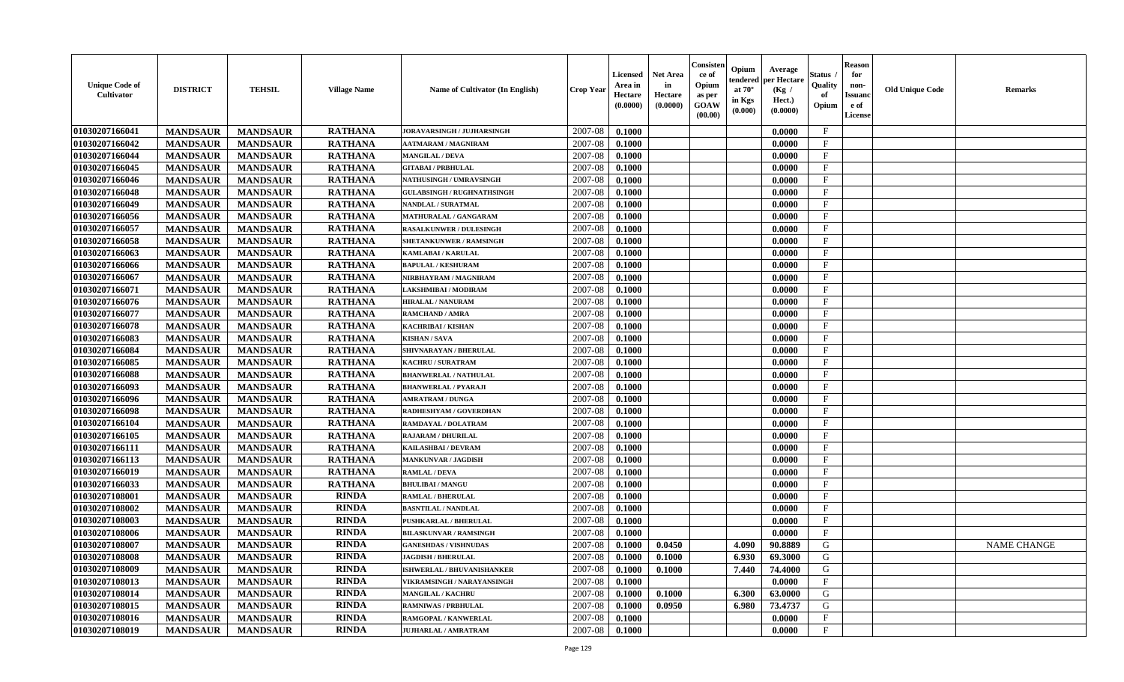| <b>Unique Code of</b><br>Cultivator | <b>DISTRICT</b> | <b>TEHSIL</b>   | <b>Village Name</b> | Name of Cultivator (In English)   | <b>Crop Year</b> | <b>Licensed</b><br>Area in<br>Hectare<br>(0.0000) | <b>Net Area</b><br>in<br>Hectare<br>(0.0000) | Consister<br>ce of<br>Opium<br>as per<br><b>GOAW</b><br>(00.00) | Opium<br>endered<br>at $70^\circ$<br>in Kgs<br>(0.000) | Average<br>per Hectare<br>(Kg /<br>Hect.)<br>(0.0000) | <b>Status</b><br>Quality<br>of<br>Opium | <b>Reason</b><br>for<br>non-<br><b>Issuand</b><br>e of<br>License | <b>Old Unique Code</b> | <b>Remarks</b>     |
|-------------------------------------|-----------------|-----------------|---------------------|-----------------------------------|------------------|---------------------------------------------------|----------------------------------------------|-----------------------------------------------------------------|--------------------------------------------------------|-------------------------------------------------------|-----------------------------------------|-------------------------------------------------------------------|------------------------|--------------------|
| 01030207166041                      | <b>MANDSAUR</b> | <b>MANDSAUR</b> | <b>RATHANA</b>      | JORAVARSINGH / JUJHARSINGH        | 2007-08          | 0.1000                                            |                                              |                                                                 |                                                        | 0.0000                                                | $\mathbf{F}$                            |                                                                   |                        |                    |
| 01030207166042                      | <b>MANDSAUR</b> | <b>MANDSAUR</b> | <b>RATHANA</b>      | AATMARAM / MAGNIRAM               | 2007-08          | 0.1000                                            |                                              |                                                                 |                                                        | 0.0000                                                | $\mathbf{F}$                            |                                                                   |                        |                    |
| 01030207166044                      | <b>MANDSAUR</b> | <b>MANDSAUR</b> | <b>RATHANA</b>      | <b>MANGILAL / DEVA</b>            | 2007-08          | 0.1000                                            |                                              |                                                                 |                                                        | 0.0000                                                | $\mathbf{F}$                            |                                                                   |                        |                    |
| 01030207166045                      | <b>MANDSAUR</b> | <b>MANDSAUR</b> | <b>RATHANA</b>      | <b>GITABAI/PRBHULAL</b>           | 2007-08          | 0.1000                                            |                                              |                                                                 |                                                        | 0.0000                                                | $\mathbf F$                             |                                                                   |                        |                    |
| 01030207166046                      | <b>MANDSAUR</b> | <b>MANDSAUR</b> | <b>RATHANA</b>      | <b>NATHUSINGH / UMRAVSINGH</b>    | 2007-08          | 0.1000                                            |                                              |                                                                 |                                                        | 0.0000                                                | $\mathbf{F}$                            |                                                                   |                        |                    |
| 01030207166048                      | <b>MANDSAUR</b> | <b>MANDSAUR</b> | <b>RATHANA</b>      | <b>GULABSINGH / RUGHNATHSINGH</b> | 2007-08          | 0.1000                                            |                                              |                                                                 |                                                        | 0.0000                                                | $\mathbf{F}$                            |                                                                   |                        |                    |
| 01030207166049                      | <b>MANDSAUR</b> | <b>MANDSAUR</b> | <b>RATHANA</b>      | NANDLAL / SURATMAL                | 2007-08          | 0.1000                                            |                                              |                                                                 |                                                        | 0.0000                                                | $\mathbf{F}$                            |                                                                   |                        |                    |
| 01030207166056                      | <b>MANDSAUR</b> | <b>MANDSAUR</b> | <b>RATHANA</b>      | MATHURALAL / GANGARAM             | 2007-08          | 0.1000                                            |                                              |                                                                 |                                                        | 0.0000                                                | $\mathbf F$                             |                                                                   |                        |                    |
| 01030207166057                      | <b>MANDSAUR</b> | <b>MANDSAUR</b> | <b>RATHANA</b>      | <b>RASALKUNWER / DULESINGH</b>    | 2007-08          | 0.1000                                            |                                              |                                                                 |                                                        | 0.0000                                                | $\mathbf F$                             |                                                                   |                        |                    |
| 01030207166058                      | <b>MANDSAUR</b> | <b>MANDSAUR</b> | <b>RATHANA</b>      | SHETANKUNWER / RAMSINGH           | 2007-08          | 0.1000                                            |                                              |                                                                 |                                                        | 0.0000                                                | $\mathbf{F}$                            |                                                                   |                        |                    |
| 01030207166063                      | <b>MANDSAUR</b> | <b>MANDSAUR</b> | <b>RATHANA</b>      | KAMLABAI / KARULAL                | 2007-08          | 0.1000                                            |                                              |                                                                 |                                                        | 0.0000                                                | $\mathbf{F}$                            |                                                                   |                        |                    |
| 01030207166066                      | <b>MANDSAUR</b> | <b>MANDSAUR</b> | <b>RATHANA</b>      | <b>BAPULAL / KESHURAM</b>         | 2007-08          | 0.1000                                            |                                              |                                                                 |                                                        | 0.0000                                                | $\mathbf F$                             |                                                                   |                        |                    |
| 01030207166067                      | <b>MANDSAUR</b> | <b>MANDSAUR</b> | <b>RATHANA</b>      | NIRBHAYRAM / MAGNIRAM             | 2007-08          | 0.1000                                            |                                              |                                                                 |                                                        | 0.0000                                                | $\mathbf{F}$                            |                                                                   |                        |                    |
| 01030207166071                      | <b>MANDSAUR</b> | <b>MANDSAUR</b> | <b>RATHANA</b>      | LAKSHMIBAI / MODIRAM              | 2007-08          | 0.1000                                            |                                              |                                                                 |                                                        | 0.0000                                                | $\mathbf{F}$                            |                                                                   |                        |                    |
| 01030207166076                      | <b>MANDSAUR</b> | <b>MANDSAUR</b> | <b>RATHANA</b>      | <b>HIRALAL / NANURAM</b>          | 2007-08          | 0.1000                                            |                                              |                                                                 |                                                        | 0.0000                                                | $\mathbf{F}$                            |                                                                   |                        |                    |
| 01030207166077                      | <b>MANDSAUR</b> | <b>MANDSAUR</b> | <b>RATHANA</b>      | RAMCHAND / AMRA                   | 2007-08          | 0.1000                                            |                                              |                                                                 |                                                        | 0.0000                                                | $\mathbf F$                             |                                                                   |                        |                    |
| 01030207166078                      | <b>MANDSAUR</b> | <b>MANDSAUR</b> | <b>RATHANA</b>      | KACHRIBAI / KISHAN                | 2007-08          | 0.1000                                            |                                              |                                                                 |                                                        | 0.0000                                                | $\mathbf{F}$                            |                                                                   |                        |                    |
| 01030207166083                      | <b>MANDSAUR</b> | <b>MANDSAUR</b> | <b>RATHANA</b>      | <b>KISHAN / SAVA</b>              | 2007-08          | 0.1000                                            |                                              |                                                                 |                                                        | 0.0000                                                | $_{\rm F}$                              |                                                                   |                        |                    |
| 01030207166084                      | <b>MANDSAUR</b> | <b>MANDSAUR</b> | <b>RATHANA</b>      | SHIVNARAYAN / BHERULAL            | 2007-08          | 0.1000                                            |                                              |                                                                 |                                                        | 0.0000                                                | F                                       |                                                                   |                        |                    |
| 01030207166085                      | <b>MANDSAUR</b> | <b>MANDSAUR</b> | <b>RATHANA</b>      | KACHRU / SURATRAM                 | 2007-08          | 0.1000                                            |                                              |                                                                 |                                                        | 0.0000                                                | $\mathbf{F}$                            |                                                                   |                        |                    |
| 01030207166088                      | <b>MANDSAUR</b> | <b>MANDSAUR</b> | <b>RATHANA</b>      | <b>BHANWERLAL / NATHULAL</b>      | 2007-08          | 0.1000                                            |                                              |                                                                 |                                                        | 0.0000                                                | $\mathbf{F}$                            |                                                                   |                        |                    |
| 01030207166093                      | <b>MANDSAUR</b> | <b>MANDSAUR</b> | <b>RATHANA</b>      | <b>BHANWERLAL / PYARAJI</b>       | 2007-08          | 0.1000                                            |                                              |                                                                 |                                                        | 0.0000                                                | $\mathbf{F}$                            |                                                                   |                        |                    |
| 01030207166096                      | <b>MANDSAUR</b> | <b>MANDSAUR</b> | <b>RATHANA</b>      | <b>AMRATRAM / DUNGA</b>           | 2007-08          | 0.1000                                            |                                              |                                                                 |                                                        | 0.0000                                                | $\mathbf{F}$                            |                                                                   |                        |                    |
| 01030207166098                      | <b>MANDSAUR</b> | <b>MANDSAUR</b> | <b>RATHANA</b>      | RADHESHYAM / GOVERDHAN            | 2007-08          | 0.1000                                            |                                              |                                                                 |                                                        | 0.0000                                                | $\mathbf{F}$                            |                                                                   |                        |                    |
| 01030207166104                      | <b>MANDSAUR</b> | <b>MANDSAUR</b> | <b>RATHANA</b>      | RAMDAYAL / DOLATRAM               | 2007-08          | 0.1000                                            |                                              |                                                                 |                                                        | 0.0000                                                | $\mathbf F$                             |                                                                   |                        |                    |
| 01030207166105                      | <b>MANDSAUR</b> | <b>MANDSAUR</b> | <b>RATHANA</b>      | <b>RAJARAM / DHURILAL</b>         | 2007-08          | 0.1000                                            |                                              |                                                                 |                                                        | 0.0000                                                | $\mathbf{F}$                            |                                                                   |                        |                    |
| 01030207166111                      | <b>MANDSAUR</b> | <b>MANDSAUR</b> | <b>RATHANA</b>      | KAILASHBAI / DEVRAM               | 2007-08          | 0.1000                                            |                                              |                                                                 |                                                        | 0.0000                                                | F                                       |                                                                   |                        |                    |
| 01030207166113                      | <b>MANDSAUR</b> | <b>MANDSAUR</b> | <b>RATHANA</b>      | <b>MANKUNVAR / JAGDISH</b>        | 2007-08          | 0.1000                                            |                                              |                                                                 |                                                        | 0.0000                                                | F                                       |                                                                   |                        |                    |
| 01030207166019                      | <b>MANDSAUR</b> | <b>MANDSAUR</b> | <b>RATHANA</b>      | <b>RAMLAL / DEVA</b>              | 2007-08          | 0.1000                                            |                                              |                                                                 |                                                        | 0.0000                                                | $\mathbf{F}$                            |                                                                   |                        |                    |
| 01030207166033                      | <b>MANDSAUR</b> | <b>MANDSAUR</b> | <b>RATHANA</b>      | <b>BHULIBAI/MANGU</b>             | 2007-08          | 0.1000                                            |                                              |                                                                 |                                                        | 0.0000                                                | $\mathbf{F}$                            |                                                                   |                        |                    |
| 01030207108001                      | <b>MANDSAUR</b> | <b>MANDSAUR</b> | <b>RINDA</b>        | <b>RAMLAL / BHERULAL</b>          | 2007-08          | 0.1000                                            |                                              |                                                                 |                                                        | 0.0000                                                | $\mathbf{F}$                            |                                                                   |                        |                    |
| 01030207108002                      | <b>MANDSAUR</b> | <b>MANDSAUR</b> | <b>RINDA</b>        | <b>BASNTILAL / NANDLAL</b>        | 2007-08          | 0.1000                                            |                                              |                                                                 |                                                        | 0.0000                                                | $\mathbf F$                             |                                                                   |                        |                    |
| 01030207108003                      | <b>MANDSAUR</b> | <b>MANDSAUR</b> | <b>RINDA</b>        | <b>PUSHKARLAL / BHERULAL</b>      | 2007-08          | 0.1000                                            |                                              |                                                                 |                                                        | 0.0000                                                | $\mathbf{F}$                            |                                                                   |                        |                    |
| 01030207108006                      | <b>MANDSAUR</b> | <b>MANDSAUR</b> | <b>RINDA</b>        | <b>BILASKUNVAR / RAMSINGH</b>     | 2007-08          | 0.1000                                            |                                              |                                                                 |                                                        | 0.0000                                                | $\mathbf{F}$                            |                                                                   |                        |                    |
| 01030207108007                      | <b>MANDSAUR</b> | <b>MANDSAUR</b> | <b>RINDA</b>        | <b>GANESHDAS / VISHNUDAS</b>      | 2007-08          | 0.1000                                            | 0.0450                                       |                                                                 | 4.090                                                  | 90.8889                                               | G                                       |                                                                   |                        | <b>NAME CHANGE</b> |
| 01030207108008                      | <b>MANDSAUR</b> | <b>MANDSAUR</b> | <b>RINDA</b>        | <b>JAGDISH / BHERULAL</b>         | 2007-08          | 0.1000                                            | 0.1000                                       |                                                                 | 6.930                                                  | 69.3000                                               | G                                       |                                                                   |                        |                    |
| 01030207108009                      | <b>MANDSAUR</b> | <b>MANDSAUR</b> | <b>RINDA</b>        | ISHWERLAL / BHUVANISHANKER        | 2007-08          | 0.1000                                            | 0.1000                                       |                                                                 | 7.440                                                  | 74.4000                                               | G                                       |                                                                   |                        |                    |
| 01030207108013                      | <b>MANDSAUR</b> | <b>MANDSAUR</b> | <b>RINDA</b>        | <b>VIKRAMSINGH / NARAYANSINGH</b> | 2007-08          | 0.1000                                            |                                              |                                                                 |                                                        | 0.0000                                                | $\mathbf{F}$                            |                                                                   |                        |                    |
| 01030207108014                      | <b>MANDSAUR</b> | <b>MANDSAUR</b> | <b>RINDA</b>        | <b>MANGILAL / KACHRU</b>          | 2007-08          | 0.1000                                            | 0.1000                                       |                                                                 | 6.300                                                  | 63.0000                                               | G                                       |                                                                   |                        |                    |
| 01030207108015                      | <b>MANDSAUR</b> | <b>MANDSAUR</b> | <b>RINDA</b>        | RAMNIWAS / PRBHULAL               | 2007-08          | 0.1000                                            | 0.0950                                       |                                                                 | 6.980                                                  | 73.4737                                               | ${\bf G}$                               |                                                                   |                        |                    |
| 01030207108016                      | <b>MANDSAUR</b> | <b>MANDSAUR</b> | <b>RINDA</b>        | RAMGOPAL / KANWERLAL              | 2007-08          | 0.1000                                            |                                              |                                                                 |                                                        | 0.0000                                                | $\mathbf{F}$                            |                                                                   |                        |                    |
| 01030207108019                      | <b>MANDSAUR</b> | <b>MANDSAUR</b> | <b>RINDA</b>        | <b>JUJHARLAL / AMRATRAM</b>       | 2007-08          | 0.1000                                            |                                              |                                                                 |                                                        | 0.0000                                                | $\mathbf{F}$                            |                                                                   |                        |                    |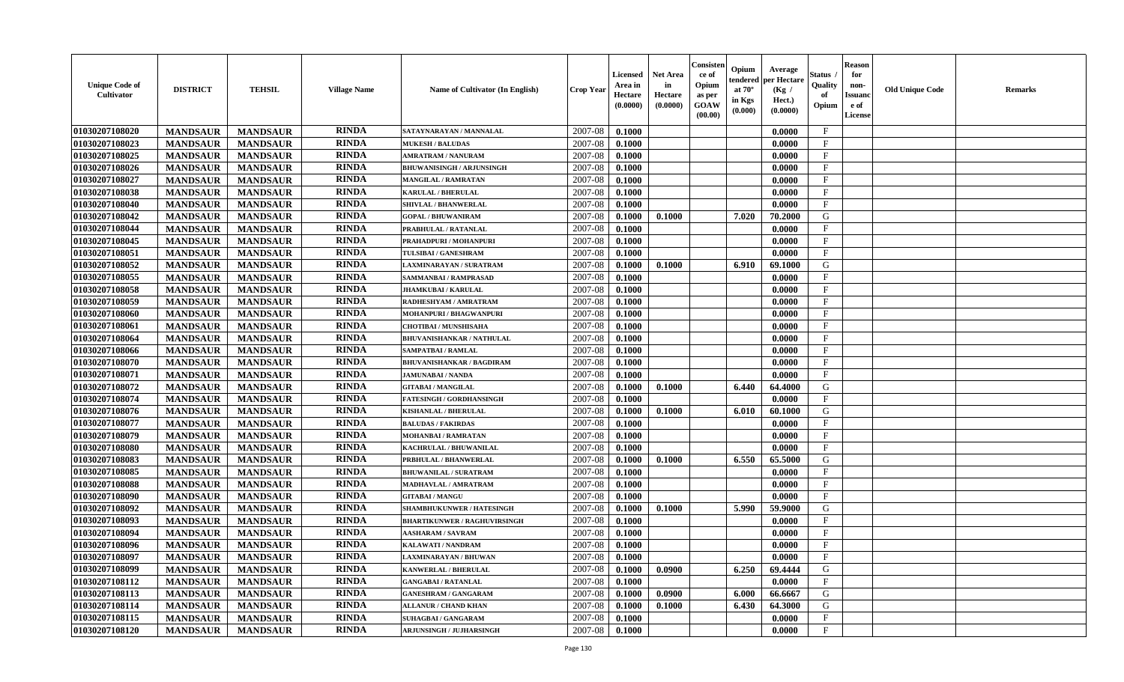| <b>Unique Code of</b><br>Cultivator | <b>DISTRICT</b> | <b>TEHSIL</b>   | <b>Village Name</b> | <b>Name of Cultivator (In English)</b> | <b>Crop Year</b> | <b>Licensed</b><br>Area in<br>Hectare<br>(0.0000) | Net Area<br>in<br>Hectare<br>(0.0000) | Consister<br>ce of<br>Opium<br>as per<br>GOAW<br>(00.00) | Opium<br>endered<br>at $70^\circ$<br>in Kgs<br>$(\mathbf{0.000})$ | Average<br>per Hectare<br>(Kg /<br>Hect.)<br>(0.0000) | Status<br>Quality<br>of<br>Opium | <b>Reason</b><br>for<br>non-<br>Issuan<br>e of<br>License | <b>Old Unique Code</b> | Remarks |
|-------------------------------------|-----------------|-----------------|---------------------|----------------------------------------|------------------|---------------------------------------------------|---------------------------------------|----------------------------------------------------------|-------------------------------------------------------------------|-------------------------------------------------------|----------------------------------|-----------------------------------------------------------|------------------------|---------|
| 01030207108020                      | <b>MANDSAUR</b> | <b>MANDSAUR</b> | <b>RINDA</b>        | SATAYNARAYAN / MANNALAL                | 2007-08          | 0.1000                                            |                                       |                                                          |                                                                   | 0.0000                                                | $\mathbf{F}$                     |                                                           |                        |         |
| 01030207108023                      | <b>MANDSAUR</b> | <b>MANDSAUR</b> | <b>RINDA</b>        | <b>MUKESH / BALUDAS</b>                | 2007-08          | 0.1000                                            |                                       |                                                          |                                                                   | 0.0000                                                | $\mathbf{F}$                     |                                                           |                        |         |
| 01030207108025                      | <b>MANDSAUR</b> | <b>MANDSAUR</b> | <b>RINDA</b>        | <b>AMRATRAM / NANURAM</b>              | 2007-08          | 0.1000                                            |                                       |                                                          |                                                                   | 0.0000                                                | $_{\rm F}$                       |                                                           |                        |         |
| 01030207108026                      | <b>MANDSAUR</b> | <b>MANDSAUR</b> | <b>RINDA</b>        | <b>BHUWANISINGH / ARJUNSINGH</b>       | 2007-08          | 0.1000                                            |                                       |                                                          |                                                                   | 0.0000                                                | $\mathbf{F}$                     |                                                           |                        |         |
| 01030207108027                      | <b>MANDSAUR</b> | <b>MANDSAUR</b> | <b>RINDA</b>        | MANGILAL / RAMRATAN                    | 2007-08          | 0.1000                                            |                                       |                                                          |                                                                   | 0.0000                                                | $\mathbf{F}$                     |                                                           |                        |         |
| 01030207108038                      | <b>MANDSAUR</b> | <b>MANDSAUR</b> | <b>RINDA</b>        | <b>KARULAL / BHERULAL</b>              | 2007-08          | 0.1000                                            |                                       |                                                          |                                                                   | 0.0000                                                | $\mathbf{F}$                     |                                                           |                        |         |
| 01030207108040                      | <b>MANDSAUR</b> | <b>MANDSAUR</b> | <b>RINDA</b>        | SHIVLAL / BHANWERLAL                   | 2007-08          | 0.1000                                            |                                       |                                                          |                                                                   | 0.0000                                                | $\mathbf{F}$                     |                                                           |                        |         |
| 01030207108042                      | <b>MANDSAUR</b> | <b>MANDSAUR</b> | <b>RINDA</b>        | <b>GOPAL / BHUWANIRAM</b>              | 2007-08          | 0.1000                                            | 0.1000                                |                                                          | 7.020                                                             | 70.2000                                               | G                                |                                                           |                        |         |
| 01030207108044                      | <b>MANDSAUR</b> | <b>MANDSAUR</b> | <b>RINDA</b>        | PRABHULAL / RATANLAL                   | 2007-08          | 0.1000                                            |                                       |                                                          |                                                                   | 0.0000                                                | $\mathbf{F}$                     |                                                           |                        |         |
| 01030207108045                      | <b>MANDSAUR</b> | <b>MANDSAUR</b> | <b>RINDA</b>        | PRAHADPURI / MOHANPURI                 | 2007-08          | 0.1000                                            |                                       |                                                          |                                                                   | 0.0000                                                | $_{\rm F}$                       |                                                           |                        |         |
| 01030207108051                      | <b>MANDSAUR</b> | <b>MANDSAUR</b> | <b>RINDA</b>        | TULSIBAI / GANESHRAM                   | 2007-08          | 0.1000                                            |                                       |                                                          |                                                                   | 0.0000                                                | $\mathbf{F}$                     |                                                           |                        |         |
| 01030207108052                      | <b>MANDSAUR</b> | <b>MANDSAUR</b> | <b>RINDA</b>        | LAXMINARAYAN / SURATRAM                | 2007-08          | 0.1000                                            | 0.1000                                |                                                          | 6.910                                                             | 69.1000                                               | G                                |                                                           |                        |         |
| 01030207108055                      | <b>MANDSAUR</b> | <b>MANDSAUR</b> | <b>RINDA</b>        | SAMMANBAI / RAMPRASAD                  | 2007-08          | 0.1000                                            |                                       |                                                          |                                                                   | 0.0000                                                | $\mathbf{F}$                     |                                                           |                        |         |
| 01030207108058                      | <b>MANDSAUR</b> | <b>MANDSAUR</b> | <b>RINDA</b>        | <b>JHAMKUBAI/KARULAL</b>               | 2007-08          | 0.1000                                            |                                       |                                                          |                                                                   | 0.0000                                                | $_{\rm F}$                       |                                                           |                        |         |
| 01030207108059                      | <b>MANDSAUR</b> | <b>MANDSAUR</b> | <b>RINDA</b>        | RADHESHYAM / AMRATRAM                  | 2007-08          | 0.1000                                            |                                       |                                                          |                                                                   | 0.0000                                                | $\mathbf{F}$                     |                                                           |                        |         |
| 01030207108060                      | <b>MANDSAUR</b> | <b>MANDSAUR</b> | <b>RINDA</b>        | <b>MOHANPURI / BHAGWANPURI</b>         | 2007-08          | 0.1000                                            |                                       |                                                          |                                                                   | 0.0000                                                | $\mathbf{F}$                     |                                                           |                        |         |
| 01030207108061                      | <b>MANDSAUR</b> | <b>MANDSAUR</b> | <b>RINDA</b>        | <b>CHOTIBAI / MUNSHISAHA</b>           | 2007-08          | 0.1000                                            |                                       |                                                          |                                                                   | 0.0000                                                | $\mathbf{F}$                     |                                                           |                        |         |
| 01030207108064                      | <b>MANDSAUR</b> | <b>MANDSAUR</b> | <b>RINDA</b>        | <b>BHUVANISHANKAR / NATHULAL</b>       | 2007-08          | 0.1000                                            |                                       |                                                          |                                                                   | 0.0000                                                | $\mathbf{F}$                     |                                                           |                        |         |
| 01030207108066                      | <b>MANDSAUR</b> | <b>MANDSAUR</b> | <b>RINDA</b>        | SAMPATBAI / RAMLAL                     | 2007-08          | 0.1000                                            |                                       |                                                          |                                                                   | 0.0000                                                | $\mathbf{F}$                     |                                                           |                        |         |
| 01030207108070                      | <b>MANDSAUR</b> | <b>MANDSAUR</b> | <b>RINDA</b>        | <b>BHUVANISHANKAR / BAGDIRAM</b>       | 2007-08          | 0.1000                                            |                                       |                                                          |                                                                   | 0.0000                                                | $_{\rm F}$                       |                                                           |                        |         |
| 01030207108071                      | <b>MANDSAUR</b> | <b>MANDSAUR</b> | <b>RINDA</b>        | <b>JAMUNABAI / NANDA</b>               | 2007-08          | 0.1000                                            |                                       |                                                          |                                                                   | 0.0000                                                | $\mathbf{F}$                     |                                                           |                        |         |
| 01030207108072                      | <b>MANDSAUR</b> | <b>MANDSAUR</b> | <b>RINDA</b>        | <b>GITABAI/MANGILAL</b>                | 2007-08          | 0.1000                                            | 0.1000                                |                                                          | 6.440                                                             | 64.4000                                               | G                                |                                                           |                        |         |
| 01030207108074                      | <b>MANDSAUR</b> | <b>MANDSAUR</b> | <b>RINDA</b>        | <b>FATESINGH / GORDHANSINGH</b>        | 2007-08          | 0.1000                                            |                                       |                                                          |                                                                   | 0.0000                                                | $\mathbf{F}$                     |                                                           |                        |         |
| 01030207108076                      | <b>MANDSAUR</b> | <b>MANDSAUR</b> | <b>RINDA</b>        | KISHANLAL / BHERULAL                   | 2007-08          | 0.1000                                            | 0.1000                                |                                                          | 6.010                                                             | 60.1000                                               | G                                |                                                           |                        |         |
| 01030207108077                      | <b>MANDSAUR</b> | <b>MANDSAUR</b> | <b>RINDA</b>        | <b>BALUDAS / FAKIRDAS</b>              | 2007-08          | 0.1000                                            |                                       |                                                          |                                                                   | 0.0000                                                | $_{\rm F}$                       |                                                           |                        |         |
| 01030207108079                      | <b>MANDSAUR</b> | <b>MANDSAUR</b> | <b>RINDA</b>        | MOHANBAI / RAMRATAN                    | 2007-08          | 0.1000                                            |                                       |                                                          |                                                                   | 0.0000                                                | $\mathbf{F}$                     |                                                           |                        |         |
| 01030207108080                      | <b>MANDSAUR</b> | <b>MANDSAUR</b> | <b>RINDA</b>        | KACHRULAL / BHUWANILAL                 | 2007-08          | 0.1000                                            |                                       |                                                          |                                                                   | 0.0000                                                | $\mathbf{F}$                     |                                                           |                        |         |
| 01030207108083                      | <b>MANDSAUR</b> | <b>MANDSAUR</b> | <b>RINDA</b>        | PRBHULAL / BHANWERLAL                  | 2007-08          | 0.1000                                            | 0.1000                                |                                                          | 6.550                                                             | 65.5000                                               | G                                |                                                           |                        |         |
| 01030207108085                      | <b>MANDSAUR</b> | <b>MANDSAUR</b> | <b>RINDA</b>        | <b>BHUWANILAL / SURATRAM</b>           | 2007-08          | 0.1000                                            |                                       |                                                          |                                                                   | 0.0000                                                | $\mathbf{F}$                     |                                                           |                        |         |
| 01030207108088                      | <b>MANDSAUR</b> | <b>MANDSAUR</b> | <b>RINDA</b>        | MADHAVLAL / AMRATRAM                   | 2007-08          | 0.1000                                            |                                       |                                                          |                                                                   | 0.0000                                                | $\mathbf{F}$                     |                                                           |                        |         |
| 01030207108090                      | <b>MANDSAUR</b> | <b>MANDSAUR</b> | <b>RINDA</b>        | <b>GITABAI/MANGU</b>                   | 2007-08          | 0.1000                                            |                                       |                                                          |                                                                   | 0.0000                                                | $_{\rm F}$                       |                                                           |                        |         |
| 01030207108092                      | <b>MANDSAUR</b> | <b>MANDSAUR</b> | <b>RINDA</b>        | SHAMBHUKUNWER / HATESINGH              | 2007-08          | 0.1000                                            | 0.1000                                |                                                          | 5.990                                                             | 59.9000                                               | G                                |                                                           |                        |         |
| 01030207108093                      | <b>MANDSAUR</b> | <b>MANDSAUR</b> | <b>RINDA</b>        | <b>BHARTIKUNWER / RAGHUVIRSINGH</b>    | 2007-08          | 0.1000                                            |                                       |                                                          |                                                                   | 0.0000                                                | $\mathbf{F}$                     |                                                           |                        |         |
| 01030207108094                      | <b>MANDSAUR</b> | <b>MANDSAUR</b> | <b>RINDA</b>        | <b>AASHARAM / SAVRAM</b>               | 2007-08          | 0.1000                                            |                                       |                                                          |                                                                   | 0.0000                                                | $\mathbf{F}$                     |                                                           |                        |         |
| 01030207108096                      | <b>MANDSAUR</b> | <b>MANDSAUR</b> | <b>RINDA</b>        | KALAWATI / NANDRAM                     | 2007-08          | 0.1000                                            |                                       |                                                          |                                                                   | 0.0000                                                | $\mathbf{F}$                     |                                                           |                        |         |
| 01030207108097                      | <b>MANDSAUR</b> | <b>MANDSAUR</b> | RINDA               | LAXMINARAYAN / BHUWAN                  | 2007-08          | 0.1000                                            |                                       |                                                          |                                                                   | 0.0000                                                | F                                |                                                           |                        |         |
| 01030207108099                      | <b>MANDSAUR</b> | <b>MANDSAUR</b> | <b>RINDA</b>        | KANWERLAL / BHERULAL                   | 2007-08          | 0.1000                                            | 0.0900                                |                                                          | 6.250                                                             | 69.4444                                               | G                                |                                                           |                        |         |
| 01030207108112                      | <b>MANDSAUR</b> | <b>MANDSAUR</b> | <b>RINDA</b>        | <b>GANGABAI / RATANLAL</b>             | 2007-08          | 0.1000                                            |                                       |                                                          |                                                                   | 0.0000                                                | $\mathbf{F}$                     |                                                           |                        |         |
| 01030207108113                      | <b>MANDSAUR</b> | <b>MANDSAUR</b> | <b>RINDA</b>        | <b>GANESHRAM / GANGARAM</b>            | 2007-08          | 0.1000                                            | 0.0900                                |                                                          | 6.000                                                             | 66.6667                                               | G                                |                                                           |                        |         |
| 01030207108114                      | <b>MANDSAUR</b> | <b>MANDSAUR</b> | <b>RINDA</b>        | <b>ALLANUR / CHAND KHAN</b>            | 2007-08          | 0.1000                                            | 0.1000                                |                                                          | 6.430                                                             | 64.3000                                               | G                                |                                                           |                        |         |
| 01030207108115                      | <b>MANDSAUR</b> | <b>MANDSAUR</b> | <b>RINDA</b>        | SUHAGBAI / GANGARAM                    | 2007-08          | 0.1000                                            |                                       |                                                          |                                                                   | 0.0000                                                | $_{\rm F}$                       |                                                           |                        |         |
| 01030207108120                      | <b>MANDSAUR</b> | <b>MANDSAUR</b> | <b>RINDA</b>        | <b>ARJUNSINGH / JUJHARSINGH</b>        | 2007-08          | 0.1000                                            |                                       |                                                          |                                                                   | 0.0000                                                | $\mathbf{F}$                     |                                                           |                        |         |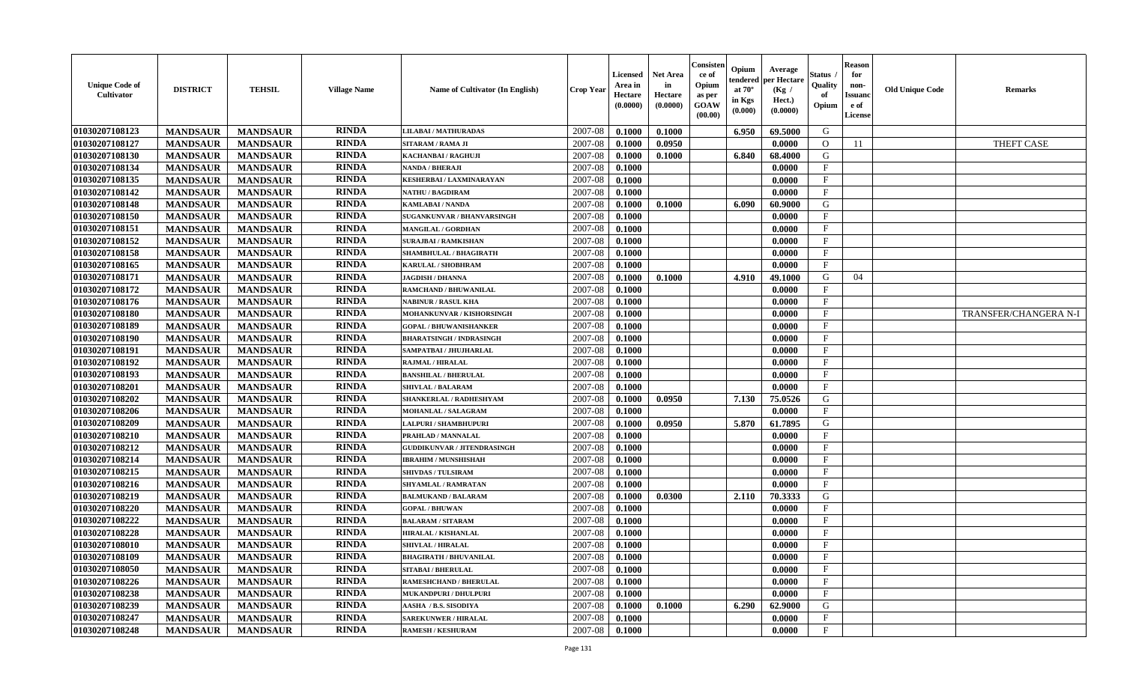| <b>Unique Code of</b><br>Cultivator | <b>DISTRICT</b> | <b>TEHSIL</b>   | <b>Village Name</b> | Name of Cultivator (In English)    | <b>Crop Year</b> | Licensed<br>Area in<br>Hectare<br>(0.0000) | <b>Net Area</b><br>in<br>Hectare<br>(0.0000) | Consisten<br>ce of<br>Opium<br>as per<br>GOAW<br>(00.00) | Opium<br>tendered<br>at $70^\circ$<br>in Kgs<br>(0.000) | Average<br>per Hectare<br>(Kg /<br>Hect.)<br>(0.0000) | Status<br>Quality<br>of<br>Opium | <b>Reason</b><br>for<br>non-<br>Issuanc<br>e of<br>License | <b>Old Unique Code</b> | <b>Remarks</b>        |
|-------------------------------------|-----------------|-----------------|---------------------|------------------------------------|------------------|--------------------------------------------|----------------------------------------------|----------------------------------------------------------|---------------------------------------------------------|-------------------------------------------------------|----------------------------------|------------------------------------------------------------|------------------------|-----------------------|
| 01030207108123                      | <b>MANDSAUR</b> | <b>MANDSAUR</b> | <b>RINDA</b>        | <b>LILABAI/MATHURADAS</b>          | 2007-08          | 0.1000                                     | 0.1000                                       |                                                          | 6.950                                                   | 69.5000                                               | G                                |                                                            |                        |                       |
| 01030207108127                      | <b>MANDSAUR</b> | <b>MANDSAUR</b> | <b>RINDA</b>        | SITARAM / RAMA JI                  | 2007-08          | 0.1000                                     | 0.0950                                       |                                                          |                                                         | 0.0000                                                | $\Omega$                         | 11                                                         |                        | <b>THEFT CASE</b>     |
| 01030207108130                      | <b>MANDSAUR</b> | <b>MANDSAUR</b> | <b>RINDA</b>        | KACHANBAI / RAGHUJI                | 2007-08          | 0.1000                                     | 0.1000                                       |                                                          | 6.840                                                   | 68.4000                                               | G                                |                                                            |                        |                       |
| 01030207108134                      | <b>MANDSAUR</b> | <b>MANDSAUR</b> | <b>RINDA</b>        | <b>NANDA / BHERAJI</b>             | 2007-08          | 0.1000                                     |                                              |                                                          |                                                         | 0.0000                                                | $\mathbf{F}$                     |                                                            |                        |                       |
| 01030207108135                      | <b>MANDSAUR</b> | <b>MANDSAUR</b> | <b>RINDA</b>        | <b>KESHERBAI/LAXMINARAYAN</b>      | 2007-08          | 0.1000                                     |                                              |                                                          |                                                         | 0.0000                                                | $\mathbf{F}$                     |                                                            |                        |                       |
| 01030207108142                      | <b>MANDSAUR</b> | <b>MANDSAUR</b> | <b>RINDA</b>        | <b>NATHU / BAGDIRAM</b>            | 2007-08          | 0.1000                                     |                                              |                                                          |                                                         | 0.0000                                                | $\mathbf F$                      |                                                            |                        |                       |
| 01030207108148                      | <b>MANDSAUR</b> | <b>MANDSAUR</b> | <b>RINDA</b>        | <b>KAMLABAI/NANDA</b>              | 2007-08          | 0.1000                                     | 0.1000                                       |                                                          | 6.090                                                   | 60.9000                                               | G                                |                                                            |                        |                       |
| 01030207108150                      | <b>MANDSAUR</b> | <b>MANDSAUR</b> | <b>RINDA</b>        | SUGANKUNVAR / BHANVARSINGH         | 2007-08          | 0.1000                                     |                                              |                                                          |                                                         | 0.0000                                                | $\mathbf{F}$                     |                                                            |                        |                       |
| 01030207108151                      | <b>MANDSAUR</b> | <b>MANDSAUR</b> | <b>RINDA</b>        | <b>MANGILAL / GORDHAN</b>          | 2007-08          | 0.1000                                     |                                              |                                                          |                                                         | 0.0000                                                | $\mathbf F$                      |                                                            |                        |                       |
| 01030207108152                      | <b>MANDSAUR</b> | <b>MANDSAUR</b> | <b>RINDA</b>        | <b>SURAJBAI / RAMKISHAN</b>        | 2007-08          | 0.1000                                     |                                              |                                                          |                                                         | 0.0000                                                | $\mathbf{F}$                     |                                                            |                        |                       |
| 01030207108158                      | <b>MANDSAUR</b> | <b>MANDSAUR</b> | <b>RINDA</b>        | SHAMBHULAL / BHAGIRATH             | 2007-08          | 0.1000                                     |                                              |                                                          |                                                         | 0.0000                                                | $\mathbf{F}$                     |                                                            |                        |                       |
| 01030207108165                      | <b>MANDSAUR</b> | <b>MANDSAUR</b> | <b>RINDA</b>        | <b>KARULAL / SHOBHRAM</b>          | 2007-08          | 0.1000                                     |                                              |                                                          |                                                         | 0.0000                                                | $_{\rm F}$                       |                                                            |                        |                       |
| 01030207108171                      | <b>MANDSAUR</b> | <b>MANDSAUR</b> | <b>RINDA</b>        | <b>JAGDISH / DHANNA</b>            | 2007-08          | 0.1000                                     | 0.1000                                       |                                                          | 4.910                                                   | 49.1000                                               | G                                | 04                                                         |                        |                       |
| 01030207108172                      | <b>MANDSAUR</b> | <b>MANDSAUR</b> | <b>RINDA</b>        | RAMCHAND / BHUWANILAL              | 2007-08          | 0.1000                                     |                                              |                                                          |                                                         | 0.0000                                                | $\mathbf F$                      |                                                            |                        |                       |
| 01030207108176                      | <b>MANDSAUR</b> | <b>MANDSAUR</b> | <b>RINDA</b>        | <b>NABINUR / RASUL KHA</b>         | 2007-08          | 0.1000                                     |                                              |                                                          |                                                         | 0.0000                                                | $\mathbf{F}$                     |                                                            |                        |                       |
| 01030207108180                      | <b>MANDSAUR</b> | <b>MANDSAUR</b> | <b>RINDA</b>        | MOHANKUNVAR / KISHORSINGH          | 2007-08          | 0.1000                                     |                                              |                                                          |                                                         | 0.0000                                                | $\mathbf{F}$                     |                                                            |                        | TRANSFER/CHANGERA N-I |
| 01030207108189                      | <b>MANDSAUR</b> | <b>MANDSAUR</b> | <b>RINDA</b>        | <b>GOPAL / BHUWANISHANKER</b>      | 2007-08          | 0.1000                                     |                                              |                                                          |                                                         | 0.0000                                                | $\mathbf F$                      |                                                            |                        |                       |
| 01030207108190                      | <b>MANDSAUR</b> | <b>MANDSAUR</b> | <b>RINDA</b>        | <b>BHARATSINGH / INDRASINGH</b>    | 2007-08          | 0.1000                                     |                                              |                                                          |                                                         | 0.0000                                                | $\mathbf{F}$                     |                                                            |                        |                       |
| 01030207108191                      | <b>MANDSAUR</b> | <b>MANDSAUR</b> | <b>RINDA</b>        | SAMPATBAI / JHUJHARLAL             | 2007-08          | 0.1000                                     |                                              |                                                          |                                                         | 0.0000                                                | $\mathbf F$                      |                                                            |                        |                       |
| 01030207108192                      | <b>MANDSAUR</b> | <b>MANDSAUR</b> | <b>RINDA</b>        | <b>RAJMAL / HIRALAL</b>            | 2007-08          | 0.1000                                     |                                              |                                                          |                                                         | 0.0000                                                | $\mathbf F$                      |                                                            |                        |                       |
| 01030207108193                      | <b>MANDSAUR</b> | <b>MANDSAUR</b> | <b>RINDA</b>        | <b>BANSHILAL / BHERULAL</b>        | 2007-08          | 0.1000                                     |                                              |                                                          |                                                         | 0.0000                                                | $\mathbf{F}$                     |                                                            |                        |                       |
| 01030207108201                      | <b>MANDSAUR</b> | <b>MANDSAUR</b> | <b>RINDA</b>        | <b>SHIVLAL / BALARAM</b>           | 2007-08          | 0.1000                                     |                                              |                                                          |                                                         | 0.0000                                                | $\mathbf F$                      |                                                            |                        |                       |
| 01030207108202                      | <b>MANDSAUR</b> | <b>MANDSAUR</b> | <b>RINDA</b>        | SHANKERLAL / RADHESHYAM            | 2007-08          | 0.1000                                     | 0.0950                                       |                                                          | 7.130                                                   | 75.0526                                               | G                                |                                                            |                        |                       |
| 01030207108206                      | <b>MANDSAUR</b> | <b>MANDSAUR</b> | <b>RINDA</b>        | <b>MOHANLAL / SALAGRAM</b>         | 2007-08          | 0.1000                                     |                                              |                                                          |                                                         | 0.0000                                                | $\mathbf{F}$                     |                                                            |                        |                       |
| 01030207108209                      | <b>MANDSAUR</b> | <b>MANDSAUR</b> | <b>RINDA</b>        | <b>LALPURI / SHAMBHUPURI</b>       | 2007-08          | 0.1000                                     | 0.0950                                       |                                                          | 5.870                                                   | 61.7895                                               | G                                |                                                            |                        |                       |
| 01030207108210                      | <b>MANDSAUR</b> | <b>MANDSAUR</b> | <b>RINDA</b>        | PRAHLAD / MANNALAL                 | 2007-08          | 0.1000                                     |                                              |                                                          |                                                         | 0.0000                                                | $\mathbf{F}$                     |                                                            |                        |                       |
| 01030207108212                      | <b>MANDSAUR</b> | <b>MANDSAUR</b> | <b>RINDA</b>        | <b>GUDDIKUNVAR / JITENDRASINGH</b> | 2007-08          | 0.1000                                     |                                              |                                                          |                                                         | 0.0000                                                | F                                |                                                            |                        |                       |
| 01030207108214                      | <b>MANDSAUR</b> | <b>MANDSAUR</b> | <b>RINDA</b>        | <b>IBRAHIM / MUNSHISHAH</b>        | 2007-08          | 0.1000                                     |                                              |                                                          |                                                         | 0.0000                                                | $\mathbf F$                      |                                                            |                        |                       |
| 01030207108215                      | <b>MANDSAUR</b> | <b>MANDSAUR</b> | <b>RINDA</b>        | <b>SHIVDAS / TULSIRAM</b>          | 2007-08          | 0.1000                                     |                                              |                                                          |                                                         | 0.0000                                                | $\mathbf{F}$                     |                                                            |                        |                       |
| 01030207108216                      | <b>MANDSAUR</b> | <b>MANDSAUR</b> | <b>RINDA</b>        | <b>SHYAMLAL / RAMRATAN</b>         | 2007-08          | 0.1000                                     |                                              |                                                          |                                                         | 0.0000                                                | $\mathbf{F}$                     |                                                            |                        |                       |
| 01030207108219                      | <b>MANDSAUR</b> | <b>MANDSAUR</b> | <b>RINDA</b>        | <b>BALMUKAND / BALARAM</b>         | 2007-08          | 0.1000                                     | 0.0300                                       |                                                          | 2.110                                                   | 70.3333                                               | G                                |                                                            |                        |                       |
| 01030207108220                      | <b>MANDSAUR</b> | <b>MANDSAUR</b> | <b>RINDA</b>        | <b>GOPAL / BHUWAN</b>              | 2007-08          | 0.1000                                     |                                              |                                                          |                                                         | 0.0000                                                | $\mathbf{F}$                     |                                                            |                        |                       |
| 01030207108222                      | <b>MANDSAUR</b> | <b>MANDSAUR</b> | <b>RINDA</b>        | <b>BALARAM / SITARAM</b>           | 2007-08          | 0.1000                                     |                                              |                                                          |                                                         | 0.0000                                                | $_{\rm F}$                       |                                                            |                        |                       |
| 01030207108228                      | <b>MANDSAUR</b> | <b>MANDSAUR</b> | <b>RINDA</b>        | <b>HIRALAL / KISHANLAL</b>         | 2007-08          | 0.1000                                     |                                              |                                                          |                                                         | 0.0000                                                | $\mathbf{F}$                     |                                                            |                        |                       |
| 01030207108010                      | <b>MANDSAUR</b> | <b>MANDSAUR</b> | <b>RINDA</b>        | <b>SHIVLAL / HIRALAL</b>           | 2007-08          | 0.1000                                     |                                              |                                                          |                                                         | 0.0000                                                | $\mathbf F$                      |                                                            |                        |                       |
| 01030207108109                      | <b>MANDSAUR</b> | <b>MANDSAUR</b> | <b>RINDA</b>        | <b>BHAGIRATH / BHUVANILAL</b>      | 2007-08          | 0.1000                                     |                                              |                                                          |                                                         | 0.0000                                                | $\mathbf{F}$                     |                                                            |                        |                       |
| 01030207108050                      | <b>MANDSAUR</b> | <b>MANDSAUR</b> | <b>RINDA</b>        | <b>SITABAI/BHERULAL</b>            | 2007-08          | 0.1000                                     |                                              |                                                          |                                                         | 0.0000                                                | $\mathbf{F}$                     |                                                            |                        |                       |
| 01030207108226                      | <b>MANDSAUR</b> | <b>MANDSAUR</b> | <b>RINDA</b>        | RAMESHCHAND / BHERULAL             | 2007-08          | 0.1000                                     |                                              |                                                          |                                                         | 0.0000                                                | $\mathbf{F}$                     |                                                            |                        |                       |
| 01030207108238                      | <b>MANDSAUR</b> | <b>MANDSAUR</b> | <b>RINDA</b>        | MUKANDPURI / DHULPURI              | 2007-08          | 0.1000                                     |                                              |                                                          |                                                         | 0.0000                                                | $\mathbf{F}$                     |                                                            |                        |                       |
| 01030207108239                      | <b>MANDSAUR</b> | <b>MANDSAUR</b> | <b>RINDA</b>        | AASHA / B.S. SISODIYA              | 2007-08          | 0.1000                                     | 0.1000                                       |                                                          | 6.290                                                   | 62.9000                                               | G                                |                                                            |                        |                       |
| 01030207108247                      | <b>MANDSAUR</b> | <b>MANDSAUR</b> | <b>RINDA</b>        | <b>SAREKUNWER / HIRALAL</b>        | 2007-08          | 0.1000                                     |                                              |                                                          |                                                         | 0.0000                                                | $\mathbf{F}$                     |                                                            |                        |                       |
| 01030207108248                      | <b>MANDSAUR</b> | <b>MANDSAUR</b> | <b>RINDA</b>        | <b>RAMESH / KESHURAM</b>           | 2007-08          | 0.1000                                     |                                              |                                                          |                                                         | 0.0000                                                | $\mathbf{F}$                     |                                                            |                        |                       |
|                                     |                 |                 |                     |                                    |                  |                                            |                                              |                                                          |                                                         |                                                       |                                  |                                                            |                        |                       |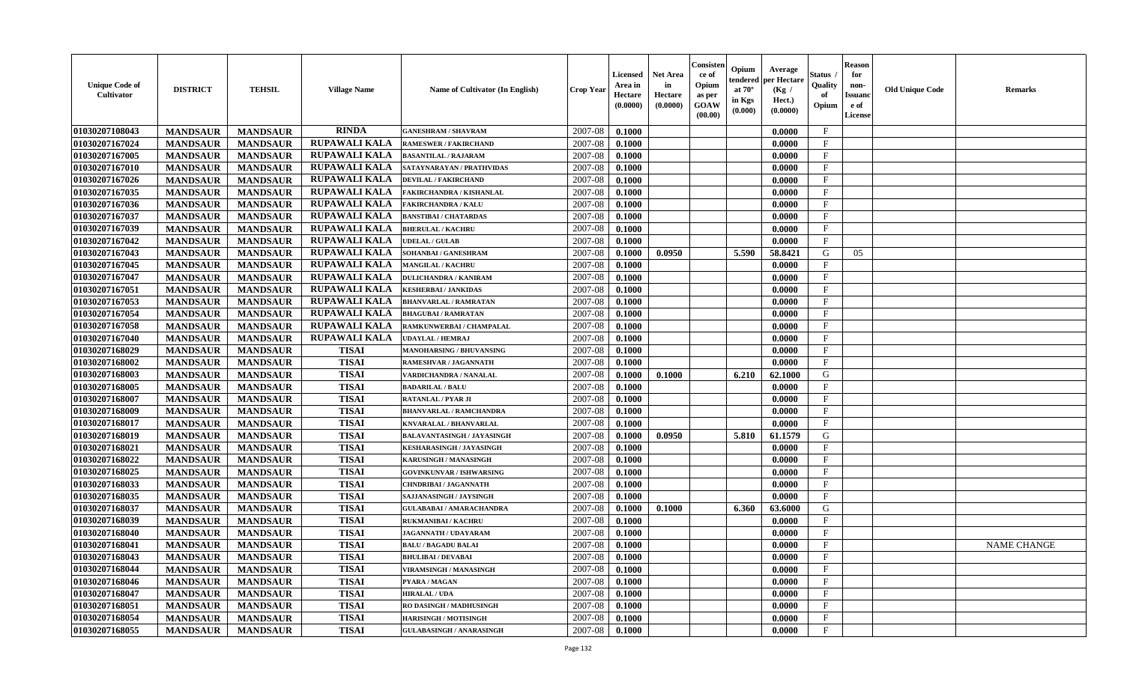| <b>Unique Code of</b><br>Cultivator | <b>DISTRICT</b> | <b>TEHSIL</b>   | <b>Village Name</b>  | Name of Cultivator (In English)   | <b>Crop Year</b> | <b>Licensed</b><br>Area in<br>Hectare<br>(0.0000) | <b>Net Area</b><br>in<br>Hectare<br>(0.0000) | Consister<br>ce of<br>Opium<br>as per<br><b>GOAW</b><br>(00.00) | Opium<br>tendered<br>at $70^\circ$<br>in Kgs<br>(0.000) | Average<br>per Hectare<br>(Kg /<br>Hect.)<br>(0.0000) | <b>Status</b><br>Quality<br>of<br>Opium | <b>Reason</b><br>for<br>non-<br><b>Issuano</b><br>e of<br>License | <b>Old Unique Code</b> | <b>Remarks</b>     |
|-------------------------------------|-----------------|-----------------|----------------------|-----------------------------------|------------------|---------------------------------------------------|----------------------------------------------|-----------------------------------------------------------------|---------------------------------------------------------|-------------------------------------------------------|-----------------------------------------|-------------------------------------------------------------------|------------------------|--------------------|
| 01030207108043                      | <b>MANDSAUR</b> | <b>MANDSAUR</b> | <b>RINDA</b>         | <b>GANESHRAM / SHAVRAM</b>        | 2007-08          | 0.1000                                            |                                              |                                                                 |                                                         | 0.0000                                                | $\mathbf{F}$                            |                                                                   |                        |                    |
| 01030207167024                      | <b>MANDSAUR</b> | <b>MANDSAUR</b> | <b>RUPAWALI KALA</b> | <b>RAMESWER / FAKIRCHAND</b>      | 2007-08          | 0.1000                                            |                                              |                                                                 |                                                         | 0.0000                                                | $\mathbf F$                             |                                                                   |                        |                    |
| 01030207167005                      | <b>MANDSAUR</b> | <b>MANDSAUR</b> | <b>RUPAWALI KALA</b> | <b>BASANTILAL / RAJARAM</b>       | 2007-08          | 0.1000                                            |                                              |                                                                 |                                                         | 0.0000                                                | $\mathbf{F}$                            |                                                                   |                        |                    |
| 01030207167010                      | <b>MANDSAUR</b> | <b>MANDSAUR</b> | <b>RUPAWALI KALA</b> | SATAYNARAYAN / PRATHVIDAS         | 2007-08          | 0.1000                                            |                                              |                                                                 |                                                         | 0.0000                                                | $\mathbf{F}$                            |                                                                   |                        |                    |
| 01030207167026                      | <b>MANDSAUR</b> | <b>MANDSAUR</b> | <b>RUPAWALI KALA</b> | <b>DEVILAL / FAKIRCHAND</b>       | 2007-08          | 0.1000                                            |                                              |                                                                 |                                                         | 0.0000                                                | F                                       |                                                                   |                        |                    |
| 01030207167035                      | <b>MANDSAUR</b> | <b>MANDSAUR</b> | <b>RUPAWALI KALA</b> | <b>FAKIRCHANDRA / KISHANLAL</b>   | 2007-08          | 0.1000                                            |                                              |                                                                 |                                                         | 0.0000                                                | $\mathbf{F}$                            |                                                                   |                        |                    |
| 01030207167036                      | <b>MANDSAUR</b> | <b>MANDSAUR</b> | <b>RUPAWALI KALA</b> | <b>FAKIRCHANDRA / KALU</b>        | 2007-08          | 0.1000                                            |                                              |                                                                 |                                                         | 0.0000                                                | $\mathbf{F}$                            |                                                                   |                        |                    |
| 01030207167037                      | <b>MANDSAUR</b> | <b>MANDSAUR</b> | <b>RUPAWALI KALA</b> | <b>BANSTIBAI / CHATARDAS</b>      | 2007-08          | 0.1000                                            |                                              |                                                                 |                                                         | 0.0000                                                | $\mathbf{F}$                            |                                                                   |                        |                    |
| 01030207167039                      | <b>MANDSAUR</b> | <b>MANDSAUR</b> | <b>RUPAWALI KALA</b> | <b>BHERULAL / KACHRU</b>          | 2007-08          | 0.1000                                            |                                              |                                                                 |                                                         | 0.0000                                                | F                                       |                                                                   |                        |                    |
| 01030207167042                      | <b>MANDSAUR</b> | <b>MANDSAUR</b> | <b>RUPAWALI KALA</b> | <b>JDELAL / GULAB</b>             | 2007-08          | 0.1000                                            |                                              |                                                                 |                                                         | 0.0000                                                | $\mathbf{F}$                            |                                                                   |                        |                    |
| 01030207167043                      | <b>MANDSAUR</b> | <b>MANDSAUR</b> | <b>RUPAWALI KALA</b> | SOHANBAI / GANESHRAM              | 2007-08          | 0.1000                                            | 0.0950                                       |                                                                 | 5.590                                                   | 58.8421                                               | G                                       | 05                                                                |                        |                    |
| 01030207167045                      | <b>MANDSAUR</b> | <b>MANDSAUR</b> | <b>RUPAWALI KALA</b> | <b>MANGILAL / KACHRU</b>          | 2007-08          | 0.1000                                            |                                              |                                                                 |                                                         | 0.0000                                                | F                                       |                                                                   |                        |                    |
| 01030207167047                      | <b>MANDSAUR</b> | <b>MANDSAUR</b> | <b>RUPAWALI KALA</b> | <b>DULICHANDRA / KANIRAM</b>      | 2007-08          | 0.1000                                            |                                              |                                                                 |                                                         | 0.0000                                                | $\mathbf F$                             |                                                                   |                        |                    |
| 01030207167051                      | <b>MANDSAUR</b> | <b>MANDSAUR</b> | <b>RUPAWALI KALA</b> | <b>KESHERBAI / JANKIDAS</b>       | 2007-08          | 0.1000                                            |                                              |                                                                 |                                                         | 0.0000                                                | $\mathbf F$                             |                                                                   |                        |                    |
| 01030207167053                      | <b>MANDSAUR</b> | <b>MANDSAUR</b> | <b>RUPAWALI KALA</b> | <b>BHANVARLAL / RAMRATAN</b>      | 2007-08          | 0.1000                                            |                                              |                                                                 |                                                         | 0.0000                                                | $\mathbf{F}$                            |                                                                   |                        |                    |
| 01030207167054                      | <b>MANDSAUR</b> | <b>MANDSAUR</b> | RUPAWALI KALA        | <b>BHAGUBAI / RAMRATAN</b>        | 2007-08          | 0.1000                                            |                                              |                                                                 |                                                         | 0.0000                                                | $\mathbf{F}$                            |                                                                   |                        |                    |
| 01030207167058                      | <b>MANDSAUR</b> | <b>MANDSAUR</b> | <b>RUPAWALI KALA</b> | RAMKUNWERBAI / CHAMPALAL          | 2007-08          | 0.1000                                            |                                              |                                                                 |                                                         | 0.0000                                                | $\mathbf{F}$                            |                                                                   |                        |                    |
| 01030207167040                      | <b>MANDSAUR</b> | <b>MANDSAUR</b> | <b>RUPAWALI KALA</b> | <b>UDAYLAL / HEMRAJ</b>           | 2007-08          | 0.1000                                            |                                              |                                                                 |                                                         | 0.0000                                                | $\mathbf{F}$                            |                                                                   |                        |                    |
| 01030207168029                      | <b>MANDSAUR</b> | <b>MANDSAUR</b> | <b>TISAI</b>         | <b>MANOHARSING / BHUVANSING</b>   | 2007-08          | 0.1000                                            |                                              |                                                                 |                                                         | 0.0000                                                | F                                       |                                                                   |                        |                    |
| 01030207168002                      | <b>MANDSAUR</b> | <b>MANDSAUR</b> | <b>TISAI</b>         | RAMESHVAR / JAGANNATH             | 2007-08          | 0.1000                                            |                                              |                                                                 |                                                         | 0.0000                                                | $_{\rm F}$                              |                                                                   |                        |                    |
| 01030207168003                      | <b>MANDSAUR</b> | <b>MANDSAUR</b> | <b>TISAI</b>         | VARDICHANDRA / NANALAL            | 2007-08          | 0.1000                                            | 0.1000                                       |                                                                 | 6.210                                                   | 62.1000                                               | G                                       |                                                                   |                        |                    |
| 01030207168005                      | <b>MANDSAUR</b> | <b>MANDSAUR</b> | <b>TISAI</b>         | <b>BADARILAL / BALU</b>           | 2007-08          | 0.1000                                            |                                              |                                                                 |                                                         | 0.0000                                                | F                                       |                                                                   |                        |                    |
| 01030207168007                      | <b>MANDSAUR</b> | <b>MANDSAUR</b> | <b>TISAI</b>         | <b>RATANLAL / PYAR JI</b>         | 2007-08          | 0.1000                                            |                                              |                                                                 |                                                         | 0.0000                                                | $_{\rm F}$                              |                                                                   |                        |                    |
| 01030207168009                      | <b>MANDSAUR</b> | <b>MANDSAUR</b> | <b>TISAI</b>         | <b>BHANVARLAL / RAMCHANDRA</b>    | 2007-08          | 0.1000                                            |                                              |                                                                 |                                                         | 0.0000                                                | $\mathbf F$                             |                                                                   |                        |                    |
| 01030207168017                      | <b>MANDSAUR</b> | <b>MANDSAUR</b> | <b>TISAI</b>         | KNVARALAL / BHANVARLAL            | 2007-08          | 0.1000                                            |                                              |                                                                 |                                                         | 0.0000                                                | $\mathbf F$                             |                                                                   |                        |                    |
| 01030207168019                      | <b>MANDSAUR</b> | <b>MANDSAUR</b> | <b>TISAI</b>         | <b>BALAVANTASINGH / JAYASINGH</b> | 2007-08          | 0.1000                                            | 0.0950                                       |                                                                 | 5.810                                                   | 61.1579                                               | G                                       |                                                                   |                        |                    |
| 01030207168021                      | <b>MANDSAUR</b> | <b>MANDSAUR</b> | <b>TISAI</b>         | KESHARASINGH / JAYASINGH          | 2007-08          | 0.1000                                            |                                              |                                                                 |                                                         | 0.0000                                                | F                                       |                                                                   |                        |                    |
| 01030207168022                      | <b>MANDSAUR</b> | <b>MANDSAUR</b> | <b>TISAI</b>         | <b>KARUSINGH / MANASINGH</b>      | 2007-08          | 0.1000                                            |                                              |                                                                 |                                                         | 0.0000                                                | $\mathbf{F}$                            |                                                                   |                        |                    |
| 01030207168025                      | <b>MANDSAUR</b> | <b>MANDSAUR</b> | <b>TISAI</b>         | <b>GOVINKUNVAR / ISHWARSING</b>   | 2007-08          | 0.1000                                            |                                              |                                                                 |                                                         | 0.0000                                                | $\mathbf{F}$                            |                                                                   |                        |                    |
| 01030207168033                      | <b>MANDSAUR</b> | <b>MANDSAUR</b> | <b>TISAI</b>         | <b>CHNDRIBAI / JAGANNATH</b>      | 2007-08          | 0.1000                                            |                                              |                                                                 |                                                         | 0.0000                                                | $_{\rm F}$                              |                                                                   |                        |                    |
| 01030207168035                      | <b>MANDSAUR</b> | <b>MANDSAUR</b> | <b>TISAI</b>         | SAJJANASINGH / JAYSINGH           | 2007-08          | 0.1000                                            |                                              |                                                                 |                                                         | 0.0000                                                | F                                       |                                                                   |                        |                    |
| 01030207168037                      | <b>MANDSAUR</b> | <b>MANDSAUR</b> | <b>TISAI</b>         | <b>GULABABAI / AMARACHANDRA</b>   | 2007-08          | 0.1000                                            | 0.1000                                       |                                                                 | 6.360                                                   | 63.6000                                               | G                                       |                                                                   |                        |                    |
| 01030207168039                      | <b>MANDSAUR</b> | <b>MANDSAUR</b> | <b>TISAI</b>         | RUKMANIBAI / KACHRU               | 2007-08          | 0.1000                                            |                                              |                                                                 |                                                         | 0.0000                                                | $\mathbf{F}$                            |                                                                   |                        |                    |
| 01030207168040                      | <b>MANDSAUR</b> | <b>MANDSAUR</b> | <b>TISAI</b>         | <b>JAGANNATH / UDAYARAM</b>       | 2007-08          | 0.1000                                            |                                              |                                                                 |                                                         | 0.0000                                                | F                                       |                                                                   |                        |                    |
| 01030207168041                      | <b>MANDSAUR</b> | <b>MANDSAUR</b> | <b>TISAI</b>         | <b>BALU / BAGADU BALAI</b>        | 2007-08          | 0.1000                                            |                                              |                                                                 |                                                         | 0.0000                                                | $\mathbf{F}$                            |                                                                   |                        | <b>NAME CHANGE</b> |
| 01030207168043                      | <b>MANDSAUR</b> | MANDSAUR        | <b>TISAI</b>         | <b>BHULIBAI / DEVABAI</b>         | 2007-08          | 0.1000                                            |                                              |                                                                 |                                                         | 0.0000                                                | F                                       |                                                                   |                        |                    |
| 01030207168044                      | <b>MANDSAUR</b> | <b>MANDSAUR</b> | <b>TISAI</b>         | VIRAMSINGH / MANASINGH            | 2007-08          | 0.1000                                            |                                              |                                                                 |                                                         | 0.0000                                                | $\mathbf{F}$                            |                                                                   |                        |                    |
| 01030207168046                      | <b>MANDSAUR</b> | <b>MANDSAUR</b> | <b>TISAI</b>         | PYARA / MAGAN                     | 2007-08          | 0.1000                                            |                                              |                                                                 |                                                         | 0.0000                                                | $\mathbf{F}$                            |                                                                   |                        |                    |
| 01030207168047                      | <b>MANDSAUR</b> | <b>MANDSAUR</b> | <b>TISAI</b>         | <b>HIRALAL / UDA</b>              | 2007-08          | 0.1000                                            |                                              |                                                                 |                                                         | 0.0000                                                | $\mathbf{F}$                            |                                                                   |                        |                    |
| 01030207168051                      | <b>MANDSAUR</b> | <b>MANDSAUR</b> | <b>TISAI</b>         | RO DASINGH / MADHUSINGH           | 2007-08          | 0.1000                                            |                                              |                                                                 |                                                         | 0.0000                                                | $\mathbf{F}$                            |                                                                   |                        |                    |
| 01030207168054                      | <b>MANDSAUR</b> | <b>MANDSAUR</b> | <b>TISAI</b>         | <b>HARISINGH / MOTISINGH</b>      | 2007-08          | 0.1000                                            |                                              |                                                                 |                                                         | 0.0000                                                | $\mathbf{F}$                            |                                                                   |                        |                    |
| 01030207168055                      | <b>MANDSAUR</b> | <b>MANDSAUR</b> | <b>TISAI</b>         | <b>GULABASINGH / ANARASINGH</b>   | 2007-08          | 0.1000                                            |                                              |                                                                 |                                                         | 0.0000                                                | $\mathbf{F}$                            |                                                                   |                        |                    |